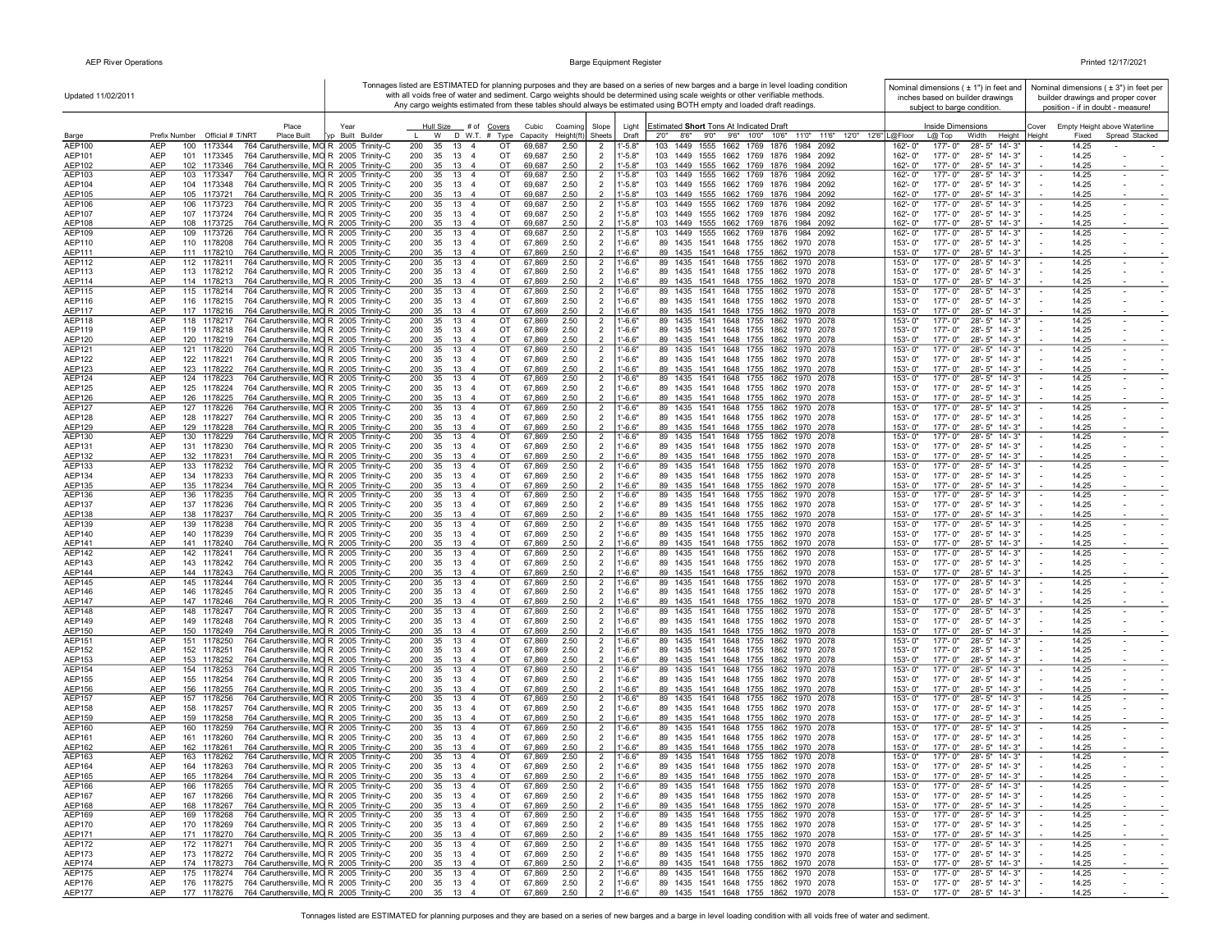$\mathbf{I}$ 

**r** 

| Updated 11/02/2011      |                                                        |                                                                                    | Tonnages listed are ESTIMATED for planning purposes and they are based on a series of new barges and a barge in level loading condition<br>Nominal dimensions ( ± 1") in feet and<br>with all voids free of water and sediment. Cargo weights should be determined using scale weights or other verifiable methods.<br>inches based on builder drawings |                                        |                                                           |                   |                       |                                  |                            |                                                                                                                      |                           |                                                                            |                                                          | Nominal dimensions $(±3")$ in feet per<br>builder drawings and proper cover |  |  |
|-------------------------|--------------------------------------------------------|------------------------------------------------------------------------------------|---------------------------------------------------------------------------------------------------------------------------------------------------------------------------------------------------------------------------------------------------------------------------------------------------------------------------------------------------------|----------------------------------------|-----------------------------------------------------------|-------------------|-----------------------|----------------------------------|----------------------------|----------------------------------------------------------------------------------------------------------------------|---------------------------|----------------------------------------------------------------------------|----------------------------------------------------------|-----------------------------------------------------------------------------|--|--|
|                         |                                                        |                                                                                    |                                                                                                                                                                                                                                                                                                                                                         |                                        |                                                           |                   |                       |                                  |                            | Any cargo weights estimated from these tables should always be estimated using BOTH empty and loaded draft readings. |                           | subject to barge condition.                                                | position - if in doubt - measure!                        |                                                                             |  |  |
|                         |                                                        |                                                                                    |                                                                                                                                                                                                                                                                                                                                                         |                                        |                                                           |                   |                       |                                  |                            |                                                                                                                      |                           |                                                                            |                                                          |                                                                             |  |  |
| Barge                   | Prefix Number Official # T/NRT                         | Place<br>Place Built                                                               | Year<br>n Built Builde                                                                                                                                                                                                                                                                                                                                  | Hull Size<br>W                         | # of Covers<br>D W.T. # Type                              | Cubic<br>Capacity | Coaming<br>Height(ft) | Slope<br>Sheets                  | Light<br>Draft             | Estimated Short Tons At Indicated Draft<br>2'0" 8'6" 9'0" 9'6" 10'0" 10'6"<br>11'0" 11'6" 12'0" 12'6" L@Floor        |                           | <b>Inside Dimensions</b><br>L@ Top<br>Width<br>Height                      | Empty Height above Waterline<br>Cover<br>Fixed<br>Height | Spread Stacked                                                              |  |  |
| <b>AEP100</b>           | <b>AFP</b><br>100 1173344                              | 764 Caruthersville, MO R 2005 Trinity-C                                            |                                                                                                                                                                                                                                                                                                                                                         | 200<br>35<br>$13 \quad 4$              | от                                                        | 69.687            | 2.50                  | 2                                | 1'-5.8'                    | 103 1449 1555 1662 1769 1876<br>1984 2092                                                                            | 162'- 0'                  | 28'-5" 14'-3"<br>$177 - 0$ "                                               | 14.25                                                    |                                                                             |  |  |
| AEP101                  | <b>AFP</b><br>101 1173345                              | 764 Caruthersville, MO R 2005 Trinity-C                                            |                                                                                                                                                                                                                                                                                                                                                         | 200<br>35<br>13                        | $\overline{4}$<br>OT                                      | 69.687            | 2.50                  | $\overline{2}$                   | $1' - 5.8'$                | 103 1449 1555 1662 1769<br>1876<br>1984 2092                                                                         | $162 - 0'$                | $177 - 0"$<br>$28' - 5''$ 14'-3"                                           | 14.25                                                    |                                                                             |  |  |
| AEP102                  | <b>AFP</b><br>102 1173346                              | 764 Caruthersville, MO R 2005 Trinity-C                                            |                                                                                                                                                                                                                                                                                                                                                         | 200<br>35<br>13                        | $\overline{4}$<br>OT                                      | 69,687            | 2.50                  |                                  | $1' - 5.8'$                | 103 1449 1555 1662 1769 1876 1984 2092                                                                               | 162'-0'                   | 177'-0"<br>28'-5" 14'-3"                                                   | 14.25                                                    |                                                                             |  |  |
| <b>AEP103</b><br>AEP104 | <b>AFP</b><br>103 1173347<br><b>AFP</b><br>104 1173348 | 764 Caruthersville, MO R 2005 Trinity-C<br>764 Caruthersville, MO R 2005 Trinity-C |                                                                                                                                                                                                                                                                                                                                                         | 200<br>35<br>13<br>200<br>35<br>13     | OT<br>$\overline{4}$<br>OT<br>$\overline{4}$              | 69,687<br>69,687  | 2.50<br>2.50          | $\overline{2}$<br>$\overline{2}$ | $-5.8'$<br>$1' - 5.8"$     | 1449 1555 1662 1769 1876<br>103<br>1984 2092<br>103 1449 1555 1662 1769 1876<br>1984 2092                            | 162'-0'<br>162'-0"        | $177 - 0$ "<br>$28 - 5"$ 14'- 3'<br>177'-0"<br>28'-5" 14'-3"               | 14.25<br>14.25                                           |                                                                             |  |  |
| AEP105                  | 105 1173721<br><b>AFP</b>                              | 764 Caruthersville, MO R 2005 Trinity-C                                            |                                                                                                                                                                                                                                                                                                                                                         | 13<br>200<br>35                        | OT<br>-4                                                  | 69.687            | 2.50                  |                                  | $-5.8'$                    | 103 1449 1555 1662 1769 1876 1984 2092                                                                               | $162 - 0'$                | $177 - 0"$<br>$28 - 5"$ 14'- 3'                                            | 14.25                                                    |                                                                             |  |  |
| AEP106                  | AEP<br>106 1173723                                     | 764 Caruthersville, MO R 2005 Trinity-C                                            |                                                                                                                                                                                                                                                                                                                                                         | 200<br>35<br>13 4                      | OT                                                        | 69.687            | 2.50                  | $\overline{2}$                   | $1' - 5.8'$                | 103 1449 1555 1662 1769 1876 1984 2092                                                                               | $162 - 0'$                | 177'-0"<br>28'-5" 14'-3"                                                   | 14.25                                                    |                                                                             |  |  |
| <b>AEP107</b>           | AFP<br>107 1173724                                     | 764 Caruthersville, MO R 2005 Trinity-C                                            |                                                                                                                                                                                                                                                                                                                                                         | 200<br>35<br>$13 \quad 4$              | $\cap$ T                                                  | 69.687            | 2.50                  | $\overline{2}$                   | $1' - 5.8'$                | 103 1449 1555 1662 1769 1876 1984 2092                                                                               | 162'-0"                   | $177' - 0''$<br>28'-5" 14'-3'                                              | 14 25                                                    |                                                                             |  |  |
| AEP108<br>AEP109        | <b>AEP</b><br>108 1173725<br><b>AFP</b><br>109 1173726 | 764 Caruthersville, MO R 2005 Trinity-C                                            |                                                                                                                                                                                                                                                                                                                                                         | 35<br>13<br>200<br>35 13 4<br>200      | OT<br>OT                                                  | 69.687<br>69.687  | 2.50<br>2.50          | $\overline{2}$                   | $1' - 5.8"$<br>$1' - 5.8'$ | 1449 1555 1662 1769 1876 1984 2092<br>103<br>103 1449 1555 1662 1769 1876 1984 2092                                  | 162'-0'<br>$162 - 0'$     | $177 - 0$ "<br>28'-5" 14'-3'<br>$177 - 0$ "<br>28'-5" 14'-3"               | 14.25<br>14.25                                           |                                                                             |  |  |
| AEP110                  | <b>AEP</b><br>110 1178208                              | 764 Caruthersville, MO R 2005 Trinity-C<br>764 Caruthersville, MO R 2005 Trinity-C |                                                                                                                                                                                                                                                                                                                                                         | 35<br>13 4<br>200                      | OT                                                        | 67,869            | 2.50                  | $\overline{2}$<br>$\overline{2}$ | $1' - 6.6"$                | 89 1435 1541 1648 1755 1862 1970 2078                                                                                | 153'-0"                   | 177'-0"<br>28'-5" 14'-3"                                                   | 14.25                                                    |                                                                             |  |  |
| AEP111                  | <b>AFP</b><br>111 1178210                              | 764 Caruthersville, MO R 2005 Trinity-C                                            |                                                                                                                                                                                                                                                                                                                                                         | 200<br>35<br>13                        | OT<br>$\overline{4}$                                      | 67.869            | 2.50                  |                                  | l'-6.6'                    | 89 1435<br>1541 1648 1755 1862 1970 2078                                                                             | 153'-0'                   | 177'-0"<br>28'-5" 14'-3"                                                   | 14.25                                                    |                                                                             |  |  |
| <b>AEP112</b>           | <b>AEP</b><br>112 1178211                              | 764 Caruthersville, MO R 2005 Trinity-C                                            |                                                                                                                                                                                                                                                                                                                                                         | 200<br>35<br>$13 \quad 4$              | OT                                                        | 67.869            | 2.50                  | $\overline{2}$                   | $1 - 6.6'$                 | 89 1435 1541 1648 1755 1862 1970 2078                                                                                | $153 - 0'$                | $177 - 0$ "<br>28'-5" 14'-3"                                               | 14.25                                                    |                                                                             |  |  |
| AEP113<br>AFP114        | <b>AEP</b><br>113 1178212<br>114 1178213<br><b>AFP</b> | 764 Caruthersville, MO R 2005 Trinity-C<br>764 Caruthersville, MO R 2005 Trinity-C |                                                                                                                                                                                                                                                                                                                                                         | 35<br>13<br>200<br>35<br>13<br>200     | OT<br>$\overline{4}$<br>OT<br>-4                          | 67,869<br>67.869  | 2.50<br>2.50          |                                  | $1' - 6.6"$<br>$1 - 6.6'$  | 89 1435 1541<br>1648 1755 1862<br>1970 2078<br>89 1435 1541 1648 1755 1862 1970 2078                                 | 153'-0"<br>$153 - 0'$     | 177'-0"<br>28'-5" 14'-3"<br>$177 - 0"$<br>28'-5" 14'-3"                    | 14.25<br>14.25                                           |                                                                             |  |  |
| AEP115                  | <b>AEP</b><br>115 1178214                              | 764 Caruthersville, MO R 2005 Trinity-C                                            |                                                                                                                                                                                                                                                                                                                                                         | 200<br>35<br>13 4                      | OT                                                        | 67,869            | 2.50                  | $\overline{2}$                   | $1' - 6.6'$                | 89 1435 1541 1648 1755 1862 1970 2078                                                                                | $153 - 0'$                | $177 - 0"$<br>28'-5" 14'-3"                                                | 14.25                                                    |                                                                             |  |  |
| AEP116                  | <b>AFP</b><br>116 1178215                              | 764 Caruthersville, MO R 2005 Trinity-C                                            |                                                                                                                                                                                                                                                                                                                                                         | 200<br>- 35<br>13 4                    | OT                                                        | 67.869            | 2.50                  | $\overline{2}$                   | 1'-6.6'                    | 89 1435 1541 1648 1755 1862 1970 2078                                                                                | $153 - 0$ "               | 177'- 0"<br>28'-5" 14'-3'                                                  | 14.25                                                    |                                                                             |  |  |
| <b>AEP117</b>           | AEP<br>117 1178216                                     | 764 Caruthersville, MO R 2005 Trinity-C                                            |                                                                                                                                                                                                                                                                                                                                                         | 35<br>200<br>13                        | OT<br>$\overline{4}$                                      | 67,869            | 2.50                  |                                  | "-6.6"                     | 89 1435 1541 1648 1755 1862 1970 2078                                                                                | $153 - 0'$                | $177 - 0$ "<br>28'-5" 14'-3'                                               | 14.25                                                    |                                                                             |  |  |
| AEP118                  | <b>AEP</b><br>118 1178217                              | 764 Caruthersville, MO R 2005 Trinity-C                                            |                                                                                                                                                                                                                                                                                                                                                         | 200<br>35<br>13 4                      | OT                                                        | 67,869            | 2.50                  | $\overline{2}$                   | $1' - 6.6"$                | 89 1435 1541 1648 1755 1862 1970 2078                                                                                | $153 - 0'$                | 177'-0"<br>28'-5" 14'-3'                                                   | 14.25                                                    |                                                                             |  |  |
| AEP119<br>AEP120        | <b>AFP</b><br>119 1178218<br><b>AFP</b><br>120 1178219 | 764 Caruthersville, MO R 2005 Trinity-C<br>764 Caruthersville, MO R 2005 Trinity-C |                                                                                                                                                                                                                                                                                                                                                         | 35<br>13<br>200<br>35<br>13<br>200     | OT<br>$\overline{a}$<br>OT<br>$\overline{4}$              | 67.869<br>67,869  | 2.50<br>2.50          | $\overline{2}$                   | $1' - 6.6'$<br>"-6.6"      | 89 1435 1541 1648 1755 1862 1970 2078<br>89 1435 1541 1648 1755 1862 1970 2078                                       | $153 - 0'$<br>153'-0"     | $177 - 0"$<br>28'-5" 14'-3"<br>177'-0"<br>28'-5" 14'-3"                    | 14.25<br>14.25                                           |                                                                             |  |  |
| AFP121                  | <b>AFP</b><br>121 1178220                              | 764 Caruthersville, MO R 2005 Trinity-C                                            |                                                                                                                                                                                                                                                                                                                                                         | 200<br>35 13 4                         | OT                                                        | 67.869            | 2.50                  | -2                               | l'-6.6'                    | 89 1435 1541 1648 1755 1862 1970 2078                                                                                | $153 - 0'$                | $177 - 0$ "<br>$28' - 5''$ 14'-3'                                          | 14.25                                                    |                                                                             |  |  |
| AEP122                  | AEP<br>122 1178221                                     | 764 Caruthersville, MO R 2005 Trinity-C                                            |                                                                                                                                                                                                                                                                                                                                                         | 35<br>13<br>200                        | OT<br>$\overline{4}$                                      | 67,869            | 2.50                  | $\overline{2}$                   | $1' - 6.6"$                | 89 1435 1541 1648 1755 1862 1970 2078                                                                                | 153'-0"                   | 177'-0"<br>28'-5" 14'-3"                                                   | 14.25                                                    |                                                                             |  |  |
| <b>AEP123</b>           | 123 1178222<br><b>AEP</b>                              | 764 Caruthersville, MO R 2005 Trinity-C                                            |                                                                                                                                                                                                                                                                                                                                                         | 35<br>13<br>200                        | OT<br>$\mathbf{A}$                                        | 67,869            | 2.50                  |                                  | $1' - 6.6'$                | 89 1435 1541 1648 1755 1862 1970 2078                                                                                | 153'-0"                   | 177'-0"<br>28'-5" 14'-3"                                                   | 14.25                                                    |                                                                             |  |  |
| AEP124<br>AEP125        | <b>AFP</b><br>124 1178223<br><b>AFP</b><br>125 1178224 | 764 Caruthersville, MO R 2005 Trinity-C<br>764 Caruthersville, MO R 2005 Trinity-C |                                                                                                                                                                                                                                                                                                                                                         | 200<br>35<br>13 4<br>35<br>200<br>13 4 | OT<br>OT                                                  | 67,869<br>67.869  | 2.50<br>2.50          | $\overline{2}$<br>$\overline{2}$ | $1' - 6.6"$<br>1'-6.6'     | 89 1435 1541 1648 1755 1862 1970 2078<br>89 1435 1541 1648 1755 1862 1970 2078                                       | 153'-0"<br>$153 - 0$ "    | $177 - 0$ "<br>28'-5" 14'-3"<br>177'- 0"<br>28'-5" 14'-3'                  | 14.25<br>14.25                                           |                                                                             |  |  |
| AEP126                  | <b>AEP</b><br>126 1178225                              | 764 Caruthersville, MO R 2005 Trinity-C                                            |                                                                                                                                                                                                                                                                                                                                                         | 200<br>35<br>13                        | OT<br>$\overline{4}$                                      | 67,869            | 2.50                  | $\overline{2}$                   | $-6.6"$                    | 89 1435 1541 1648 1755 1862 1970 2078                                                                                | 153'-0"                   | 177'-0"<br>28'-5" 14'-3"                                                   | 14.25                                                    |                                                                             |  |  |
| <b>AEP127</b>           | AEP<br>127 1178226                                     | 764 Caruthersville, MO R 2005 Trinity-C                                            |                                                                                                                                                                                                                                                                                                                                                         | 200<br>35<br>13 4                      | OT                                                        | 67,869            | 2.50                  | $\overline{2}$                   | $1' - 6.6"$                | 89 1435 1541 1648 1755 1862 1970 2078                                                                                | 153'-0"                   | $177 - 0$ "<br>28'-5" 14'-3'                                               | 14.25                                                    |                                                                             |  |  |
| AEP128                  | <b>AFP</b><br>128 1178227                              | 764 Caruthersville, MO R 2005 Trinity-C                                            |                                                                                                                                                                                                                                                                                                                                                         | 200<br>35 13 4                         | OT                                                        | 67.869            | 2.50                  | $\overline{2}$                   | $1' - 6.6'$                | 89 1435 1541 1648 1755 1862 1970 2078                                                                                | $153 - 0'$                | 177'-0"<br>28'-5" 14'-3"                                                   | 14.25                                                    |                                                                             |  |  |
| AEP129                  | 129 1178228<br><b>AEP</b><br>AFP<br>130 1178229        | 764 Caruthersville, MO R 2005 Trinity-C                                            |                                                                                                                                                                                                                                                                                                                                                         | 13<br>200<br>35<br>200                 | ОT<br>$\overline{4}$<br>OT                                | 67,869<br>67.869  | 2.50                  |                                  | $1' - 6.6"$<br>1'-6.6'     | 89 1435 1541 1648 1755 1862 1970 2078                                                                                | 153'-0'<br>$153 - 0'$     | 177'-0"<br>28'-5" 14'-3"<br>$177 - 0$ "<br>$28' - 5''$ 14'- 3'             | 14.25<br>14.25                                           |                                                                             |  |  |
| AEP130<br>AEP131        | <b>AEP</b><br>131 1178230                              | 764 Caruthersville, MO R 2005 Trinity-C<br>764 Caruthersville, MO R 2005 Trinity-C |                                                                                                                                                                                                                                                                                                                                                         | 35<br>13 4<br>200<br>35<br>13          | OT<br>$\overline{4}$                                      | 67.869            | 2.50<br>2.50          | $\overline{2}$<br>$\overline{2}$ | $1' - 6.6'$                | 89 1435 1541 1648 1755 1862 1970 2078<br>89 1435 1541 1648 1755 1862 1970 2078                                       | 153'-0"                   | $177 - 0$ "<br>28'-5" 14'-3'                                               | 14.25                                                    |                                                                             |  |  |
| AEP132                  | <b>AEP</b><br>132 1178231                              | 764 Caruthersville, MO R 2005 Trinity-C                                            |                                                                                                                                                                                                                                                                                                                                                         | 200<br>35<br>- 13                      | $\mathbf{A}$<br>OT                                        | 67.869            | 2.50                  | $\overline{2}$                   | $1' - 6.6"$                | 89 1435 1541 1648 1755 1862 1970 2078                                                                                | 153'-0"                   | 177'-0"<br>28'-5" 14'-3"                                                   | 14.25                                                    |                                                                             |  |  |
| AEP133                  | <b>AFP</b><br>133 1178232                              | 764 Caruthersville, MO R 2005 Trinity-C                                            |                                                                                                                                                                                                                                                                                                                                                         | 200<br>35<br>13 4                      | OT                                                        | 67,869            | 2.50                  | $\overline{2}$                   | $1' - 6.6"$                | 89 1435 1541 1648 1755 1862 1970 2078                                                                                | $153 - 0'$                | $177 - 0"$<br>28'-5" 14'-3"                                                | 14.25                                                    |                                                                             |  |  |
| AEP134<br>AEP135        | <b>AEP</b><br>134 1178233<br><b>AEP</b><br>135 1178234 | 764 Caruthersville, MO R 2005 Trinity-C<br>764 Caruthersville, MO R 2005 Trinity-C |                                                                                                                                                                                                                                                                                                                                                         | 200<br>35<br>13<br>200<br>35<br>13     | $\overline{4}$<br>OT<br>OT<br>-4                          | 67,869<br>67.869  | 2.50<br>2.50          | $\overline{2}$                   | $1' - 6.6"$<br>$-6.6"$     | 89 1435 1541 1648 1755 1862 1970 2078<br>89 1435 1541 1648 1755 1862 1970 2078                                       | 153'-0"<br>$153 - 0'$     | 177'-0" 28'-5" 14'-3"<br>$177 - 0$ "<br>$28' - 5''$ 14'- 3'                | 14.25<br>14.25                                           |                                                                             |  |  |
| AEP136                  | AEP<br>136 1178235                                     | 764 Caruthersville, MO R 2005 Trinity-C                                            |                                                                                                                                                                                                                                                                                                                                                         | 200<br>35<br>13 4                      | OT                                                        | 67,869            | 2.50                  | $\overline{2}$                   | $1' - 6.6"$                | 89 1435 1541 1648 1755 1862 1970 2078                                                                                | 153'-0"                   | $177 - 0$ "<br>28'-5" 14'-3'                                               | 14.25                                                    |                                                                             |  |  |
| <b>AEP137</b>           | <b>AFP</b><br>137 1178236                              | 764 Caruthersville, MO R 2005 Trinity-C                                            |                                                                                                                                                                                                                                                                                                                                                         | 200<br>35 13 4                         | OT                                                        | 67.869            | 2.50                  | $\overline{2}$                   | $1' - 6.6'$                | 89 1435 1541 1648 1755 1862 1970 2078                                                                                | $153 - 0$ "               | $177' - 0''$<br>28'-5" 14'-3"                                              | 14.25                                                    |                                                                             |  |  |
| AEP138                  | <b>AFP</b><br>138 1178237                              | 764 Caruthersville, MO R 2005 Trinity-C                                            |                                                                                                                                                                                                                                                                                                                                                         | 35<br>13<br>200                        | OT                                                        | 67,869            | 2.50                  |                                  | $1' - 6.6'$                | 89 1435 1541 1648 1755 1862 1970 2078                                                                                | $153 - 0'$                | $177 - 0"$<br>28'-5" 14'-3"                                                | 14.25                                                    |                                                                             |  |  |
| AEP139                  | AFP<br>139 1178238<br><b>AFP</b>                       | 764 Caruthersville, MO R 2005 Trinity-C                                            |                                                                                                                                                                                                                                                                                                                                                         | 200<br>35 13 4                         | OT                                                        | 67.869            | 2.50                  | $\overline{2}$                   | 1'-6.6'                    | 89 1435 1541 1648 1755 1862 1970 2078                                                                                | $153 - 0'$                | 177'-0"<br>28'-5" 14'-3"                                                   | 14.25                                                    |                                                                             |  |  |
| AEP140<br>AEP141        | 140 1178239<br>AEP<br>141 1178240                      | 764 Caruthersville, MO R 2005 Trinity-C<br>764 Caruthersville, MO R 2005 Trinity-C |                                                                                                                                                                                                                                                                                                                                                         | 200<br>35<br>13 4<br>200<br>35<br>13   | OT<br>OT<br>$\overline{4}$                                | 67,869<br>67,869  | 2.50<br>2.50          | $\overline{2}$<br>$\overline{2}$ | $1' - 6.6"$<br>"-6.6"      | 89 1435 1541 1648 1755 1862 1970 2078<br>89 1435 1541 1648 1755 1862 1970 2078                                       | 153'-0"<br>153'-0"        | 177'-0"<br>28'-5" 14'-3"<br>177'-0"<br>28'-5" 14'-3"                       | 14.25<br>14.25                                           |                                                                             |  |  |
| <b>AEP142</b>           | <b>AEP</b><br>142 1178241                              | 764 Caruthersville, MO R 2005 Trinity-C                                            |                                                                                                                                                                                                                                                                                                                                                         | 200<br>$35$ 13 4                       | OT                                                        | 67,869            | 2.50                  | $\overline{2}$                   | $1' - 6.6'$                | 89 1435 1541 1648 1755 1862 1970 2078                                                                                | $153 - 0$                 | $177 - 0$ "<br>28'-5" 14'-3"                                               | 14.25                                                    |                                                                             |  |  |
| AEP143                  | AEP<br>143 1178242                                     | 764 Caruthersville, MO R 2005 Trinity-C                                            |                                                                                                                                                                                                                                                                                                                                                         | 200<br>35<br>13                        | OT<br>$\overline{4}$                                      | 67,869            | 2.50                  | $\overline{2}$                   | $1' - 6.6"$                | 89 1435 1541 1648 1755 1862 1970 2078                                                                                | 153'-0"                   | 177'-0"<br>28'-5" 14'-3"                                                   | 14.25                                                    |                                                                             |  |  |
| <b>AEP144</b>           | 144 1178243<br>AFP                                     | 764 Caruthersville, MO R 2005 Trinity-C                                            |                                                                                                                                                                                                                                                                                                                                                         | 200<br>35<br>13                        | $\cap$ T<br>$\mathbf{A}$                                  | 67869             | 2.50                  |                                  | $-66'$                     | 89 1435 1541 1648 1755 1862 1970 2078                                                                                | $153 - 0'$                | $177' - 0''$<br>28'-5" 14'-3'                                              | 14 25                                                    |                                                                             |  |  |
| <b>AEP145</b><br>AEP146 | <b>AEP</b><br>145 1178244<br><b>AFP</b><br>146 1178245 | 764 Caruthersville, MO R 2005 Trinity-C<br>764 Caruthersville, MO R 2005 Trinity-C |                                                                                                                                                                                                                                                                                                                                                         | 200<br>35<br>13<br>35<br>200<br>- 13   | OT<br>$\overline{4}$<br>OT<br>$\overline{a}$              | 67,869<br>67.869  | 2.50<br>2.50          | $\overline{2}$<br>$\overline{2}$ | $1' - 6.6'$<br>$1' - 6.6"$ | 89 1435<br>1541 1648 1755 1862<br>1970 2078<br>89 1435 1541 1648 1755 1862 1970 2078                                 | $153 - 0'$<br>$153 - 0'$  | $177 - 0$ "<br>$28 - 5"$ 14'- 3'<br>$177 - 0$ "<br>28'-5" 14'-3"           | 14.25<br>14.25                                           |                                                                             |  |  |
| <b>AEP147</b>           | <b>AEP</b><br>147 1178246                              | 764 Caruthersville, MO R 2005 Trinity-C                                            |                                                                                                                                                                                                                                                                                                                                                         | 200<br>35<br>13                        | OT                                                        | 67.869            | 2.50                  |                                  | $1' - 6.6'$                | 89 1435 1541 1648 1755 1862 1970 2078                                                                                | $153 - 0'$                | 177'-0"<br>28'-5" 14'-3"                                                   | 14.25                                                    |                                                                             |  |  |
| <b>AEP148</b>           | <b>AFP</b><br>148 1178247                              | 764 Caruthersville, MO R 2005 Trinity-C                                            |                                                                                                                                                                                                                                                                                                                                                         | 200<br>35 13 4                         | OT                                                        | 67,869            | 2.50                  | -2                               | 1'-6.6'                    | 89 1435 1541 1648 1755 1862 1970 2078                                                                                | $153 - 0'$                | 177'-0"<br>28'-5" 14'-3"                                                   | 14.25                                                    |                                                                             |  |  |
| AEP149                  | <b>AEP</b><br>149 1178248                              | 764 Caruthersville, MO R 2005 Trinity-C                                            |                                                                                                                                                                                                                                                                                                                                                         | 35<br>200<br>$13 \quad 4$              | OT                                                        | 67,869            | 2.50                  | $\overline{2}$                   | $1 - 6.6'$                 | 89 1435 1541 1648 1755 1862 1970 2078                                                                                | 153'-0"                   | 177'-0"<br>28'-5" 14'-3"                                                   | 14.25                                                    |                                                                             |  |  |
| AEP150<br>AEP151        | <b>AEP</b><br>150 1178249<br><b>AFP</b><br>151 1178250 | 764 Caruthersville, MO R 2005 Trinity-C<br>764 Caruthersville, MO R 2005 Trinity-C |                                                                                                                                                                                                                                                                                                                                                         | 200<br>35<br>13<br>200<br>35 13 4      | OT<br>$\overline{4}$<br>OT                                | 67,869<br>67,869  | 2.50<br>2.50          | $\overline{2}$<br>$\overline{2}$ | "-6.6"<br>$1' - 6.6'$      | 89 1435 1541 1648 1755 1862 1970 2078<br>89 1435 1541 1648 1755 1862 1970 2078                                       | 153'-0"<br>$153 - 0'$     | 177'-0"<br>28'-5" 14'-3"<br>$177 - 0$ "<br>28'-5" 14'-3"                   | 14.25<br>14.25                                           |                                                                             |  |  |
| AEP152                  | <b>AEP</b><br>152 1178251                              | 764 Caruthersville, MO R 2005 Trinity-C                                            |                                                                                                                                                                                                                                                                                                                                                         | 200<br>35<br>13                        | OT                                                        | 67.869            | 2.50                  | $\overline{2}$                   | $1' - 6.6'$                | 89 1435 1541 1648 1755 1862 1970 2078                                                                                | 153'-0"                   | 177'-0"<br>28'-5" 14'-3"                                                   | 14.25                                                    |                                                                             |  |  |
| AEP153                  | <b>AFP</b><br>153 1178252                              | 764 Caruthersville, MO R 2005 Trinity-C                                            |                                                                                                                                                                                                                                                                                                                                                         | 35<br>200<br>13                        | OT<br>-4                                                  | 67.869            | 2.50                  |                                  | $-6.6'$                    | 89 1435 1541 1648 1755 1862 1970 2078                                                                                | $153 - 0'$                | $177 - 0$ "<br>28'-5" 14'-3'                                               | 14.25                                                    |                                                                             |  |  |
| <b>AEP154</b>           | <b>AFP</b><br>154 1178253                              | 764 Caruthersville, MO R 2005 Trinity-C                                            |                                                                                                                                                                                                                                                                                                                                                         | 200<br>35<br>13                        | $\overline{4}$<br>OT                                      | 67.869            | 2.50                  | $\overline{2}$                   | $1' - 6.6"$                | 89 1435<br>1541 1648 1755 1862<br>1970 2078                                                                          | $153 - 0'$                | 28'-5" 14'-3"<br>$177 - 0$ "                                               | 14.25                                                    |                                                                             |  |  |
| AEP155<br>AEP156        | <b>AEP</b><br>155 1178254<br><b>AEP</b><br>156 1178255 | 764 Caruthersville, MO R 2005 Trinity-C<br>764 Caruthersville, MO R 2005 Trinity-C |                                                                                                                                                                                                                                                                                                                                                         | 200<br>35<br>13 4<br>200<br>35<br>13 4 | OT<br>OT                                                  | 67.869<br>67,869  | 2.50<br>2.50          | $\overline{2}$                   | $1' - 6.6"$<br>$1' - 6.6"$ | 89 1435 1541 1648 1755 1862 1970 2078<br>89 1435 1541 1648 1755 1862 1970 2078                                       | 153'-0"<br>$153 - 0'$     | 177'-0"<br>28'-5" 14'-3"<br>$177 - 0$ "<br>28'-5" 14'-3"                   | 14.25<br>14.25                                           |                                                                             |  |  |
| AEP157                  | <b>AFP</b><br>157 1178256                              | 764 Caruthersville, MO R 2005 Trinity-C                                            |                                                                                                                                                                                                                                                                                                                                                         | 35 13 4<br>200                         | OT                                                        | 67,869            | 2.50                  | $\overline{2}$                   | 1'-6.6'                    | 89 1435 1541 1648 1755 1862 1970 2078                                                                                | 153'-0"                   | $177 - 0$ "<br>28'-5" 14'-3"                                               | 14.25                                                    |                                                                             |  |  |
| <b>AEP158</b>           | <b>AEP</b><br>158 1178257                              | 764 Caruthersville, MO R 2005 Trinity-C                                            |                                                                                                                                                                                                                                                                                                                                                         | 200<br>35 13 4                         | OT                                                        | 67,869            | 2.50                  | $\overline{2}$                   | $1' - 6.6"$                | 89 1435 1541 1648 1755 1862 1970 2078                                                                                | 153'-0"                   | 177'-0"<br>28'-5" 14'-3"                                                   | 14.25                                                    |                                                                             |  |  |
| AEP159                  | AEP<br>159 1178258                                     | 764 Caruthersville, MO R 2005 Trinity-C                                            |                                                                                                                                                                                                                                                                                                                                                         | 200<br>35<br>13                        | OT<br>$\overline{4}$                                      | 67,869            | 2.50                  | $\overline{2}$                   | $1' - 6.6"$                | 89 1435 1541 1648 1755 1862 1970 2078                                                                                | 153'-0"                   | 177'-0"<br>28'-5" 14'-3"                                                   | 14.25                                                    |                                                                             |  |  |
| AEP160                  | AFP<br>160 1178259                                     | 764 Caruthersville, MO R 2005 Trinity-C                                            |                                                                                                                                                                                                                                                                                                                                                         | 200<br>35 13 4                         | OT                                                        | 67.869            | 2.50                  | $\overline{2}$                   | $1' - 6.6'$                | 89 1435 1541 1648 1755 1862 1970 2078                                                                                | $153 - 0'$                | $177' - 0''$<br>$28 - 5" 14 - 3"$                                          | 14.25                                                    |                                                                             |  |  |
| AEP161<br><b>AEP162</b> | <b>AEP</b><br>161 1178260<br><b>AFP</b><br>162 1178261 | 764 Caruthersville, MO R 2005 Trinity-C<br>764 Caruthersville, MO R 2005 Trinity-C |                                                                                                                                                                                                                                                                                                                                                         | 200<br>35<br>13<br>35<br>200<br>13     | OT<br>$\overline{4}$<br>OT<br>$\overline{a}$              | 67.869<br>67.869  | 2.50<br>2.50          | $\overline{2}$                   | $1' - 6.6'$<br>$1' - 6.6"$ | 89 1435 1541 1648 1755 1862 1970 2078<br>89 1435 1541 1648 1755 1862 1970 2078                                       | 153'-0"<br>$153 - 0'$     | 177'-0"<br>28'-5" 14'-3"<br>$177 - 0$ "<br>28'-5" 14'-3"                   | 14.25<br>14.25                                           |                                                                             |  |  |
| AEP163                  | <b>AEP</b><br>163 1178262                              | 764 Caruthersville, MO R 2005 Trinity-C                                            |                                                                                                                                                                                                                                                                                                                                                         | 200<br>35<br>13                        | OT<br>$\overline{4}$                                      | 67,869            | 2.50                  | $\overline{2}$                   | $1' - 6.6"$                | 89 1435<br>1541 1648 1755 1862<br>1970 2078                                                                          | 153'-0"                   | 177'-0"<br>$28 - 5"$<br>$14' - 3'$                                         | 14.25                                                    |                                                                             |  |  |
| AEP164                  | <b>AEP</b><br>164 1178263                              | 764 Caruthersville, MO R 2005 Trinity-C                                            |                                                                                                                                                                                                                                                                                                                                                         | 200<br>35<br>13                        | $\overline{4}$<br>OT                                      | 67.869            | 2.50                  | $\overline{2}$                   | 1'-6.6"                    | 89 1435 1541 1648 1755 1862 1970 2078                                                                                | $153 - 0'$                | $177 - 0$ "<br>28'-5" 14'-3'                                               | 14.25                                                    |                                                                             |  |  |
| AEP165                  | 165 1178264<br><b>AFP</b>                              | 764 Caruthersville, MO R 2005 Trinity-C                                            |                                                                                                                                                                                                                                                                                                                                                         | 13 4<br>200<br>35                      | OT                                                        | 67,869            | 2.50                  |                                  | $1' - 6.6"$                | 89 1435 1541 1648 1755 1862 1970 2078                                                                                | 153'-0"                   | 177'-0"<br>28'-5" 14'-3"                                                   | 14.25                                                    |                                                                             |  |  |
| AEP166<br>AFP167        | <b>AEP</b><br>166 1178265<br><b>AEP</b><br>167 1178266 | 764 Caruthersville, MO R 2005 Trinity-C<br>764 Caruthersville, MO R 2005 Trinity-C |                                                                                                                                                                                                                                                                                                                                                         | 200<br>35 13 4<br>200<br>35<br>13 4    | OT<br>OT                                                  | 67.869<br>67.869  | 2.50<br>2.50          | $\overline{2}$<br>$\overline{2}$ | $1' - 6.6'$<br>1'-6.6'     | 89 1435 1541 1648 1755 1862 1970 2078<br>89 1435 1541 1648 1755 1862 1970 2078                                       | $153 - 0'$<br>$153 - 0$ " | 177'-0"<br>28'-5" 14'-3"<br>$177 - 0"$<br>28'-5" 14'-3'                    | 14.25<br>14.25                                           |                                                                             |  |  |
| AEP168                  | <b>AEP</b><br>168 1178267                              | 764 Caruthersville, MO R 2005 Trinity-C                                            |                                                                                                                                                                                                                                                                                                                                                         | 200<br>35<br>13                        | OT                                                        | 67,869            | 2.50                  |                                  | $1' - 6.6'$                | 89 1435 1541 1648 1755 1862 1970 2078                                                                                | 153'-0'                   | 177'-0"<br>28'-5" 14'-3"                                                   | 14.25                                                    |                                                                             |  |  |
| AEP169                  | <b>AFP</b><br>169 1178268                              | 764 Caruthersville, MO R 2005 Trinity-C                                            |                                                                                                                                                                                                                                                                                                                                                         | 200<br>35 13 4                         | OT                                                        | 67,869            | 2.50                  | $\overline{2}$                   | 1'-6.6"                    | 89 1435 1541 1648 1755 1862 1970 2078                                                                                | $153 - 0'$                | $177 - 0$ "<br>28'-5" 14'-3"                                               | 14.25                                                    |                                                                             |  |  |
| AEP170                  | <b>AFP</b><br>170 1178269                              | 764 Caruthersville, MO R 2005 Trinity-C                                            |                                                                                                                                                                                                                                                                                                                                                         | 200<br>35<br>13                        | $\overline{4}$<br>OT                                      | 67,869            | 2.50                  | $\overline{2}$                   | $1' - 6.6"$                | 89 1435 1541 1648 1755 1862 1970 2078                                                                                | $153 - 0$ "               | $177 - 0"$<br>28'-5" 14'-3"                                                | 14.25                                                    |                                                                             |  |  |
| AEP171                  | <b>AFP</b><br>171 1178270                              | 764 Caruthersville, MO R 2005 Trinity-C                                            |                                                                                                                                                                                                                                                                                                                                                         | 200<br>35<br>13                        | OT<br>$\overline{A}$                                      | 67.869            | 2.50                  |                                  | "-6.6"                     | 89 1435 1541 1648 1755 1862 1970 2078                                                                                | 153'-0"                   | 177'-0"<br>28'-5" 14'-3"                                                   | 14.25                                                    |                                                                             |  |  |
| <b>AEP172</b><br>AEP173 | <b>AEP</b><br>172 1178271<br><b>AFP</b><br>173 1178272 | 764 Caruthersville, MO R 2005 Trinity-C<br>764 Caruthersville, MO R 2005 Trinity-C |                                                                                                                                                                                                                                                                                                                                                         | 200<br>35<br>13<br>200<br>35<br>13     | $\overline{OT}$<br>$\overline{4}$<br>OT<br>$\overline{4}$ | 67,869<br>67.869  | 2.50<br>2.50          | $\overline{2}$<br>$\overline{2}$ | $1' - 6.6"$<br>$1' - 6.6"$ | 89 1435 1541 1648 1755 1862 1970 2078<br>89 1435 1541 1648 1755 1862 1970 2078                                       | 153'-0'<br>$153 - 0$ "    | $177 - 0$ "<br>$28 - 5"$<br>$14 - 3'$<br>$177 - 0$ "<br>$28' - 5''$ 14'-3" | 14.25<br>14.25                                           |                                                                             |  |  |
| <b>AEP174</b>           | 174 1178273<br><b>AFP</b>                              | 764 Caruthersville, MO R 2005 Trinity-C                                            |                                                                                                                                                                                                                                                                                                                                                         | 35<br>13<br>200                        | OT<br>- 4                                                 | 67.869            | 2.50                  |                                  | $1' - 6.6'$                | 89 1435 1541 1648 1755 1862 1970 2078                                                                                | $153 - 0'$                | $177 - 0"$<br>28'-5" 14'-3"                                                | 14.25                                                    |                                                                             |  |  |
| <b>AEP175</b>           | AEP<br>175 1178274                                     | 764 Caruthersville, MO R 2005 Trinity-C                                            |                                                                                                                                                                                                                                                                                                                                                         | 200<br>35 13 4                         | OT                                                        | 67.869            | 2.50                  | $\overline{2}$                   | 1'-6.6'                    | 89 1435 1541 1648 1755 1862 1970 2078                                                                                | $153 - 0'$                | 28'-5" 14'-3"<br>$177 - 0$ "                                               | 14.25                                                    |                                                                             |  |  |
| AEP176                  | <b>AFP</b>                                             | 176 1178275 764 Caruthersville, MO R 2005 Trinity-C                                |                                                                                                                                                                                                                                                                                                                                                         | 200 35 13 4                            | OT                                                        | 67.869            | 2.50                  | $\overline{2}$                   | $1' - 6.6'$                | 89 1435 1541 1648 1755 1862 1970 2078                                                                                | 153'-0"                   | 177'-0" 28'-5" 14'-3"                                                      | 14.25                                                    |                                                                             |  |  |
| <b>AEP177</b>           | AEP<br>177 1178276                                     | 764 Caruthersville, MO R 2005 Trinity-C                                            |                                                                                                                                                                                                                                                                                                                                                         | 200<br>35 13 4                         | OT                                                        | 67,869            | 2.50                  |                                  | $1' - 6.6'$                | 89 1435 1541 1648 1755 1862 1970 2078                                                                                | 153'-0"                   | 177'-0"<br>28'-5" 14'-3"                                                   | 14.25                                                    |                                                                             |  |  |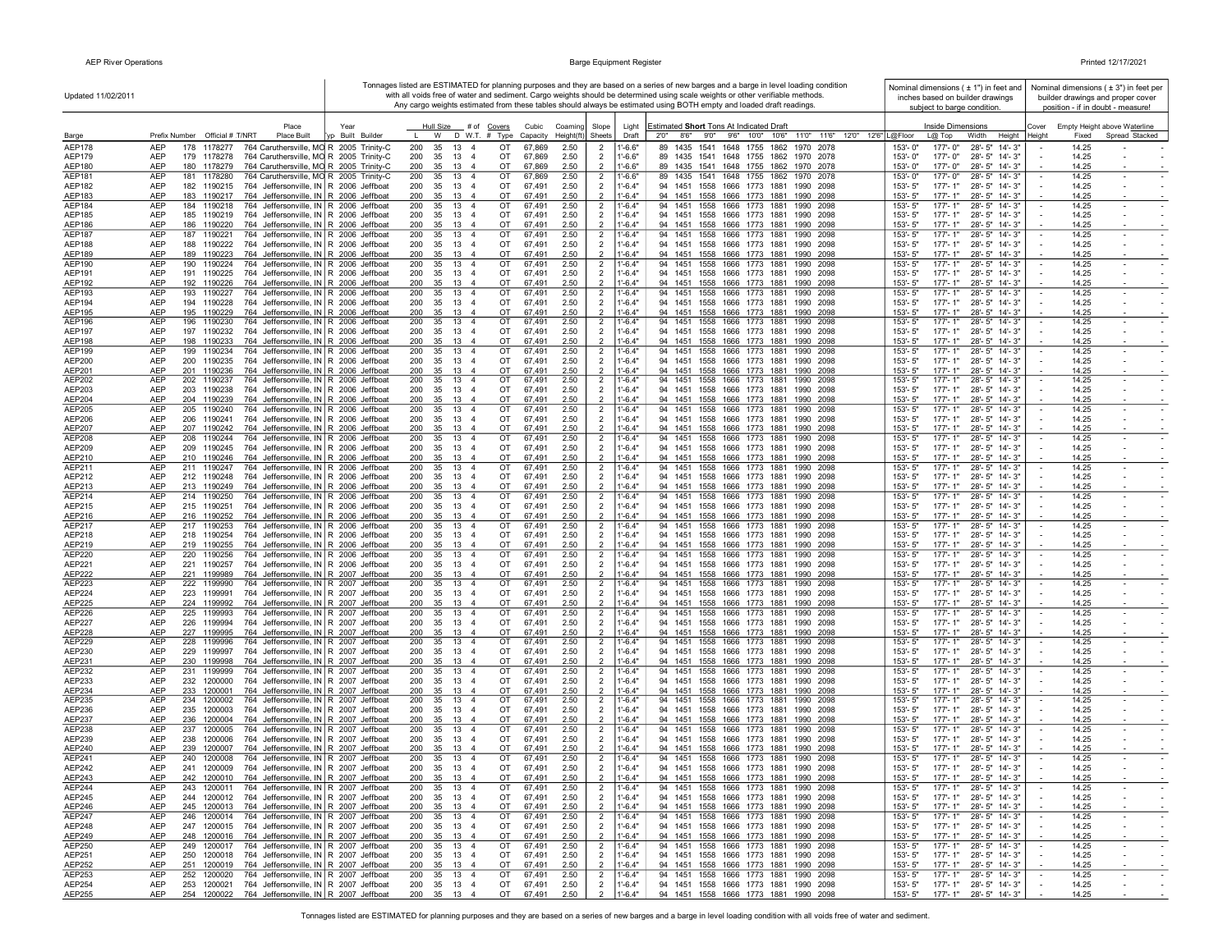$\mathbf{r}$ 

|                         | Updated 11/02/2011                                     |                                                                                                          | Tonnages listed are ESTIMATED for planning purposes and they are based on a series of new barges and a barge in level loading condition<br>with all voids free of water and sediment. Cargo weights should be determined using scale weights or other verifiable methods.<br>Any cargo weights estimated from these tables should always be estimated using BOTH empty and loaded draft readings. |                                                                        |               |                          |                                |                                                              |  |                                                                                |                               |      |                                                                 | Nominal dimensions ( ± 1") in feet and<br>inches based on builder drawings<br>subject to barge condition. |                               |                                                | Nominal dimensions ( $\pm$ 3") in feet per<br>builder drawings and proper cover<br>position - if in doubt - measure! |                |                                                |
|-------------------------|--------------------------------------------------------|----------------------------------------------------------------------------------------------------------|---------------------------------------------------------------------------------------------------------------------------------------------------------------------------------------------------------------------------------------------------------------------------------------------------------------------------------------------------------------------------------------------------|------------------------------------------------------------------------|---------------|--------------------------|--------------------------------|--------------------------------------------------------------|--|--------------------------------------------------------------------------------|-------------------------------|------|-----------------------------------------------------------------|-----------------------------------------------------------------------------------------------------------|-------------------------------|------------------------------------------------|----------------------------------------------------------------------------------------------------------------------|----------------|------------------------------------------------|
|                         | Place                                                  |                                                                                                          |                                                                                                                                                                                                                                                                                                                                                                                                   |                                                                        |               |                          |                                |                                                              |  |                                                                                |                               |      |                                                                 |                                                                                                           |                               |                                                |                                                                                                                      |                |                                                |
| Barge                   | Prefix Number Official # T/NRT                         | Place Built                                                                                              | Year<br>yp Built Builder                                                                                                                                                                                                                                                                                                                                                                          | Hull Size # of Covers<br>W                                             | D W.T. # Type | Cubic<br>Capacity        | Coaming<br>$Height(ft)$ Sheets | Slope<br>Light<br>Draft                                      |  | Estimated Short Tons At Indicated Draft                                        |                               |      | 2'0" 8'6" 9'0" 9'6" 10'0" 10'6" 11'0" 11'6" 12'0" 12'6" L@Floor |                                                                                                           | Inside Dimensions<br>$L@$ Top | Width<br>Height                                | Cover<br>Height                                                                                                      | Fixed          | Empty Height above Waterline<br>Spread Stacked |
| <b>AEP178</b>           | AEP<br>178<br>1178277                                  | 764 Caruthersville, MO R 2005 Trinity-C                                                                  |                                                                                                                                                                                                                                                                                                                                                                                                   | 200<br>35<br>13<br>$\overline{4}$                                      | OT            | 67,869                   | 2.50                           | $1' - 6.6"$<br>$\overline{2}$                                |  | 89<br>1435                                                                     | 1541 1648 1755 1862 1970 2078 |      |                                                                 | 153'-0"                                                                                                   | 177'-0"                       | $28 - 5"$<br>$14 - 3"$                         |                                                                                                                      | 14.25          |                                                |
| <b>AEP179</b><br>AEP180 | <b>AEP</b><br>179 1178278<br><b>AEP</b><br>180 1178279 | 764 Caruthersville, MO R 2005 Trinity-C<br>764 Caruthersville, MO R 2005 Trinity-C                       |                                                                                                                                                                                                                                                                                                                                                                                                   | 200<br>35<br>13<br>$\overline{4}$<br>200<br>35<br>13<br>$\overline{4}$ | OT<br>OT      | 67,869<br>67,869         | 2.50<br>2.50                   | $1' - 6.6"$<br>2<br>$\overline{2}$<br>$1' - 6.6"$            |  | 89 1435 1541 1648 1755 1862 1970 2078<br>89 1435 1541 1648 1755 1862 1970 2078 |                               |      |                                                                 | 153'-0"<br>153'-0"                                                                                        | 177'-0"<br>177'-0"            | 28'-5" 14'-3"<br>28'-5" 14'-3"                 |                                                                                                                      | 14.25<br>14.25 |                                                |
| AEP181                  | <b>AEP</b><br>181 1178280                              | 764 Caruthersville, MO R 2005 Trinity-C                                                                  |                                                                                                                                                                                                                                                                                                                                                                                                   | 13<br>200<br>35<br>$\overline{4}$                                      | OT            | 67,869                   | 2.50                           | $\overline{2}$<br>$1' - 6.6"$                                |  | 89 1435 1541 1648 1755 1862 1970 2078                                          |                               |      |                                                                 | 153'-0"                                                                                                   | 177'-0"                       | 28'-5" 14'-3"                                  | $\overline{\phantom{a}}$                                                                                             | 14.25          | $\sim$                                         |
| <b>AEP182</b>           | AEP<br>182 1190215                                     | 764 Jeffersonville, IN R 2006 Jeffboat                                                                   |                                                                                                                                                                                                                                                                                                                                                                                                   | 200<br>35 13<br>$\overline{4}$                                         | OT            | 67,491                   | 2.50                           | $\overline{2}$<br>$1' - 6.4"$                                |  | 94 1451 1558 1666 1773 1881 1990 2098                                          |                               |      |                                                                 | $153 - 5"$                                                                                                | 177'-1"                       | 28'-5" 14'-3"                                  |                                                                                                                      | 14.25          |                                                |
| AEP183<br>AEP184        | AEP<br>183 1190217<br>AEP<br>184 1190218               | 764 Jeffersonville, IN R 2006 Jeffboat<br>764 Jeffersonville, IN R 2006 Jeffboat                         |                                                                                                                                                                                                                                                                                                                                                                                                   | 35 13 4<br>200<br>200<br>35 13 4                                       | OT<br>OT      | 67,491<br>67,491         | 2.50<br>2.50                   | $1'-6.4"$<br>$\overline{2}$<br>$1'-6.4"$                     |  | 94 1451 1558 1666 1773 1881 1990 2098<br>94 1451 1558 1666 1773 1881 1990 2098 |                               |      |                                                                 | 153'-5"<br>153'-5"                                                                                        | 177'-1"<br>$177 - 1"$         | 28'-5" 14'-3"<br>28'-5" 14'-3"                 |                                                                                                                      | 14.25<br>14.25 |                                                |
| <b>AEP185</b>           | AEP<br>185 1190219                                     | 764 Jeffersonville, IN R 2006 Jeffboat                                                                   |                                                                                                                                                                                                                                                                                                                                                                                                   | 200<br>35 13<br>$\overline{4}$                                         | OT            | 67,491                   | 2.50                           | 2<br>$\overline{2}$<br>$1'-6.4"$                             |  | 94 1451 1558 1666 1773 1881 1990 2098                                          |                               |      |                                                                 | 153'-5"                                                                                                   | 177'-1"                       | 28'-5" 14'-3"                                  | $\overline{\phantom{a}}$                                                                                             | 14.25          |                                                |
| AEP186                  | AEP<br>186 1190220                                     | 764 Jeffersonville, IN R 2006 Jeffboat                                                                   |                                                                                                                                                                                                                                                                                                                                                                                                   | 200<br>35 13 4                                                         | OT            | 67,491                   | 2.50                           | $\overline{2}$<br>$1'-6.4"$                                  |  | 94 1451 1558 1666 1773 1881 1990 2098                                          |                               |      |                                                                 | 153'-5"                                                                                                   | $177 - 1"$                    | 28'-5" 14'-3"                                  |                                                                                                                      | 14.25          |                                                |
| AEP187                  | AEP<br>187 1190221<br>AEP                              | 764 Jeffersonville, IN R 2006 Jeffboat                                                                   |                                                                                                                                                                                                                                                                                                                                                                                                   | 13<br>200<br>35<br>$\overline{4}$                                      | OT<br>OT      | 67,491                   | 2.50                           | $\overline{2}$<br>$1'-6.4"$                                  |  | 94 1451 1558 1666 1773 1881 1990 2098                                          |                               |      |                                                                 | 153'-5"<br>153'-5"                                                                                        | $177 - 1"$<br>177'-1"         | $28 - 5" 14 - 3"$                              |                                                                                                                      | 14.25          | $\blacksquare$                                 |
| AEP188<br>AEP189        | 188 1190222<br>AEP<br>189 1190223                      | 764 Jeffersonville, IN R 2006 Jeffboat<br>764 Jeffersonville, IN R 2006 Jeffboat                         |                                                                                                                                                                                                                                                                                                                                                                                                   | 13<br>200<br>35<br>$\overline{4}$<br>35 13<br>200<br>$\overline{4}$    | OT            | 67,491<br>67,491         | 2.50<br>2.50                   | $\overline{2}$<br>$1'-6.4"$<br>$1'-6.4"$<br>$\overline{2}$   |  | 94 1451 1558 1666 1773 1881 1990 2098<br>94 1451 1558 1666 1773 1881 1990 2098 |                               |      |                                                                 | 153'-5"                                                                                                   | 177'-1"                       | 28'-5" 14'-3"<br>28'-5" 14'-3"                 |                                                                                                                      | 14.25<br>14.25 | $\sim$                                         |
| AEP190                  | AEP<br>190 1190224                                     | 764 Jeffersonville, IN R 2006 Jeffboat                                                                   |                                                                                                                                                                                                                                                                                                                                                                                                   | 200<br>35<br>13<br>$\overline{4}$                                      | OT            | 67,491                   | 2.50                           | $\overline{2}$<br>$1'-6.4"$                                  |  | 94 1451 1558 1666 1773 1881 1990 2098                                          |                               |      |                                                                 | 153'-5"                                                                                                   | $177 - 1"$                    | 28'-5" 14'-3"                                  |                                                                                                                      | 14.25          |                                                |
| AEP191                  | AEP<br>191 1190225<br><b>AEP</b><br>192 1190226        | 764 Jeffersonville, IN R 2006 Jeffboat                                                                   |                                                                                                                                                                                                                                                                                                                                                                                                   | 200<br>35<br>13<br>$\overline{4}$<br>200                               | OT<br>OT      | 67,491<br>67.491         | 2.50<br>2.50                   | $\overline{2}$<br>$1'-6.4"$<br>$\overline{2}$<br>$1'-6.4"$   |  | 94 1451 1558 1666 1773 1881 1990 2098                                          |                               |      |                                                                 | 153'-5"<br>153'-5"                                                                                        | 177'-1"<br>$177 - 1"$         | 28'-5" 14'-3"                                  |                                                                                                                      | 14.25<br>14.25 |                                                |
| AEP192<br>AEP193        | AEP<br>193 1190227                                     | 764 Jeffersonville, IN R 2006 Jeffboat<br>764 Jeffersonville, IN R 2006 Jeffboat                         |                                                                                                                                                                                                                                                                                                                                                                                                   | 35 13 4<br>200<br>13<br>35<br>$\overline{4}$                           | OT            | 67,491                   | 2.50                           | $\overline{2}$<br>$1' - 6.4'$                                |  | 94 1451 1558 1666 1773 1881 1990 2098<br>94 1451 1558 1666 1773 1881 1990 2098 |                               |      |                                                                 | 153'-5"                                                                                                   | 177'-1"                       | 28'-5" 14'-3"<br>28'-5" 14'-3"                 | $\overline{\phantom{a}}$                                                                                             | 14.25          | $\sim$                                         |
| AEP194                  | AEP<br>194 1190228                                     | 764 Jeffersonville, IN R 2006 Jeffboat                                                                   |                                                                                                                                                                                                                                                                                                                                                                                                   | 200<br>35 13<br>$\overline{4}$                                         | OT            | 67,491                   | 2.50                           | $\overline{2}$<br>$1' - 6.4"$                                |  | 94 1451 1558 1666 1773 1881 1990 2098                                          |                               |      |                                                                 | 153'-5"                                                                                                   | 177'-1"                       | 28'-5" 14'-3"                                  |                                                                                                                      | 14.25          | $\sim$                                         |
| AEP195                  | AEP<br>195 1190229                                     | 764 Jeffersonville, IN R 2006 Jeffboat                                                                   |                                                                                                                                                                                                                                                                                                                                                                                                   | 35 13 4<br>200                                                         | OT<br>OT      | 67,491                   | 2.50                           | $1'-6.4"$<br>$\overline{2}$                                  |  | 94 1451 1558 1666 1773 1881 1990 2098                                          |                               |      |                                                                 | 153'-5"                                                                                                   | 177'-1"                       | 28'-5" 14'-3"                                  |                                                                                                                      | 14.25          |                                                |
| AEP196<br><b>AEP197</b> | AEP<br>196 1190230<br>AEP<br>197 1190232               | 764 Jeffersonville, IN R 2006 Jeffboat<br>764 Jeffersonville, IN R 2006 Jeffboat                         |                                                                                                                                                                                                                                                                                                                                                                                                   | 200<br>35<br>13 4<br>200<br>35 13<br>$\overline{4}$                    | OT            | 67,491<br>67,491         | 2.50<br>2.50                   | $\overline{2}$<br>$1' - 6.4'$<br>$\overline{2}$<br>$1'-6.4"$ |  | 94 1451 1558 1666 1773 1881 1990 2098<br>94 1451 1558 1666 1773 1881 1990 2098 |                               |      |                                                                 | $153 - 5'$<br>153'-5"                                                                                     | 177'-1"<br>177'-1"            | 28'-5" 14'-3"<br>28'-5" 14'-3"                 | $\sim$                                                                                                               | 14.25<br>14.25 |                                                |
| AEP198                  | <b>AEP</b><br>198 1190233                              | 764 Jeffersonville, IN R 2006 Jeffboat                                                                   |                                                                                                                                                                                                                                                                                                                                                                                                   | 200<br>35 13 4                                                         | OT            | 67.491                   | 2.50                           | $\overline{2}$<br>$1'-6.4"$                                  |  | 94 1451 1558 1666 1773 1881 1990 2098                                          |                               |      |                                                                 | $153 - 5"$                                                                                                | $177 - 1"$                    | 28'-5" 14'-3"                                  |                                                                                                                      | 14.25          |                                                |
| AEP199                  | AEP<br>199 1190234                                     | 764 Jeffersonville, IN R 2006 Jeffboat                                                                   |                                                                                                                                                                                                                                                                                                                                                                                                   | 200<br>35<br>13 4                                                      | OT            | 67,491                   | 2.50                           | $1' - 6.4'$<br>$\overline{2}$                                |  | 94 1451 1558 1666 1773 1881 1990 2098                                          |                               |      |                                                                 | 153'-5"                                                                                                   | 177'-1"                       | 28'-5" 14'-3"                                  |                                                                                                                      | 14.25          | $\sim$                                         |
| AEP200<br>AEP201        | AEP<br>200 1190235<br>AEP<br>201 1190236               | 764 Jeffersonville, IN R 2006 Jeffboat<br>764 Jeffersonville, IN R 2006 Jeffboat                         |                                                                                                                                                                                                                                                                                                                                                                                                   | 35 13<br>200<br>$\overline{4}$<br>35<br>13<br>200<br>$\overline{4}$    | OT<br>OT      | 67,491<br>67,491         | 2.50<br>2.50                   | $1' - 6.4"$<br>$\overline{2}$<br>$1'-6.4"$<br>2              |  | 94 1451 1558 1666 1773 1881 1990 2098<br>94 1451 1558 1666 1773 1881           |                               | 1990 | 2098                                                            | 153'-5"<br>153'-5"                                                                                        | 177'-1"<br>$177 - 1"$         | 28'-5" 14'-3"<br>28'-5" 14'-3"                 |                                                                                                                      | 14.25<br>14.25 |                                                |
| AEP202                  | AEP<br>202 1190237                                     | 764 Jeffersonville, IN R 2006 Jeffboat                                                                   |                                                                                                                                                                                                                                                                                                                                                                                                   | 200<br>35<br>13<br>$\overline{4}$                                      | OT            | 67,491                   | 2.50                           | $\overline{2}$<br>$1' - 6.4'$                                |  | 94 1451 1558 1666 1773 1881                                                    |                               | 1990 | 2098                                                            | $153 - 5"$                                                                                                | 177'-1'                       | 28'-5" 14'-3"                                  |                                                                                                                      | 14.25          | $\sim$                                         |
| AEP203                  | AEP<br>203 1190238                                     | 764 Jeffersonville, IN R 2006 Jeffboat                                                                   |                                                                                                                                                                                                                                                                                                                                                                                                   | 35<br>13<br>200<br>$\overline{4}$                                      | OT            | 67,491                   | 2.50                           | $\overline{2}$<br>$1'-6.4"$                                  |  | 94 1451 1558 1666 1773 1881 1990 2098                                          |                               |      |                                                                 | 153'-5"                                                                                                   | 177'-1"                       | 28'-5" 14'-3"                                  |                                                                                                                      | 14.25          | $\sim$                                         |
| AEP204<br>AEP205        | <b>AEP</b><br>204 1190239<br><b>AEP</b><br>205 1190240 | 764 Jeffersonville, IN R 2006 Jeffboat<br>764 Jeffersonville, IN R 2006 Jeffboat                         |                                                                                                                                                                                                                                                                                                                                                                                                   | 200<br>35<br>13<br>$\overline{a}$<br>200<br>35<br>13<br>$\overline{4}$ | OT<br>OT      | 67.491<br>67,491         | 2.50<br>2.50                   | $1'-6.4"$<br>$\mathcal{P}$<br>$\overline{2}$<br>$1' - 6.4'$  |  | 94 1451 1558 1666 1773 1881 1990 2098<br>94 1451 1558 1666 1773 1881 1990 2098 |                               |      |                                                                 | 153'-5"<br>153'-5"                                                                                        | $177 - 1"$<br>$177 - 1"$      | 28'-5" 14'-3"<br>28'-5" 14'-3"                 |                                                                                                                      | 14.25<br>14.25 | $\sim$                                         |
| AEP206                  | AEP<br>206 1190241                                     | 764 Jeffersonville, IN R 2006 Jeffboat                                                                   |                                                                                                                                                                                                                                                                                                                                                                                                   | 200<br>35<br>13<br>$\overline{4}$                                      | OT            | 67,491                   | 2.50                           | $\overline{2}$<br>$1' - 6.4"$                                |  | 94 1451 1558 1666 1773 1881 1990 2098                                          |                               |      |                                                                 | 153'-5"                                                                                                   | $177 - 1"$                    | 28'-5" 14'-3"                                  |                                                                                                                      | 14.25          |                                                |
| AEP207                  | AEP<br>207 1190242                                     | 764 Jeffersonville, IN R 2006 Jeffboat                                                                   |                                                                                                                                                                                                                                                                                                                                                                                                   | 200<br>35 13 4                                                         | OT            | 67,491                   | 2.50                           | $1'-6.4"$<br>$\overline{2}$                                  |  | 94 1451 1558 1666 1773 1881 1990 2098                                          |                               |      |                                                                 | 153'-5"                                                                                                   | 177'-1"                       | 28'-5" 14'-3"                                  |                                                                                                                      | 14.25          |                                                |
| <b>AEP208</b><br>AEP209 | AEP<br>208 1190244<br>AEP<br>209 1190245               | 764 Jeffersonville, IN R 2006 Jeffboat<br>764 Jeffersonville, IN R 2006 Jeffboat                         |                                                                                                                                                                                                                                                                                                                                                                                                   | 200<br>35 13 4<br>200<br>35 13<br>$\overline{4}$                       | OT<br>OT      | 67,491<br>67,491         | 2.50<br>2.50                   | $1' - 6.4'$<br>$\overline{2}$<br>$\overline{2}$<br>$1'-6.4"$ |  | 94 1451 1558 1666 1773 1881 1990 2098<br>94 1451 1558 1666 1773 1881 1990 2098 |                               |      |                                                                 | 153'-5"<br>153'-5"                                                                                        | 177'-1"<br>$177 - 1"$         | 28'-5" 14'-3"<br>28'-5" 14'-3"                 | $\sim$                                                                                                               | 14.25<br>14.25 | $\sim$                                         |
| AEP210                  | AEP<br>210 1190246                                     | 764 Jeffersonville, IN R 2006 Jeffboat                                                                   |                                                                                                                                                                                                                                                                                                                                                                                                   | 35<br>13<br>200<br>$\overline{4}$                                      | OT            | 67,491                   | 2.50                           | $\overline{2}$<br>$1'-6.4"$                                  |  | 94 1451 1558 1666 1773 1881 1990 2098                                          |                               |      |                                                                 | 153'-5"                                                                                                   | 177'-1"                       | 28'-5" 14'-3"                                  |                                                                                                                      | 14.25          |                                                |
| AEP211                  | AEP<br>211 1190247                                     | 764 Jeffersonville, IN R 2006 Jeffboat                                                                   |                                                                                                                                                                                                                                                                                                                                                                                                   | 200<br>35<br>13<br>$\overline{4}$                                      | OT            | 67,491                   | 2.50                           | $\overline{2}$<br>$1' - 6.4"$                                |  | 94 1451 1558 1666 1773 1881 1990 2098                                          |                               |      |                                                                 | 153'-5"                                                                                                   | $177 - 1"$                    | 28'-5" 14'-3"                                  |                                                                                                                      | 14.25          |                                                |
| AEP212<br>AEP213        | AEP<br>212 1190248<br>AEP<br>213 1190249               | 764 Jeffersonville, IN R 2006 Jeffboat<br>764 Jeffersonville, IN R 2006 Jeffboat                         |                                                                                                                                                                                                                                                                                                                                                                                                   | 200<br>13<br>35<br>$\overline{4}$<br>13<br>200<br>35<br>$\overline{4}$ | OT<br>OT      | 67,491<br>67,491         | 2.50<br>2.50                   | $1'-6.4"$<br>$\overline{2}$<br>$1'-6.4"$<br>$\overline{2}$   |  | 94 1451 1558 1666 1773 1881 1990 2098<br>94 1451 1558 1666 1773 1881 1990 2098 |                               |      |                                                                 | 153'-5"<br>153'-5"                                                                                        | 177'-1"<br>177'-1"            | 28'-5" 14'-3"<br>28'-5" 14'-3"                 |                                                                                                                      | 14.25<br>14.25 |                                                |
| AEP214                  | AEP<br>214 1190250                                     | 764 Jeffersonville, IN   R 2006 Jeffboat                                                                 |                                                                                                                                                                                                                                                                                                                                                                                                   | 200<br>13<br>35<br>$\overline{4}$                                      | OT            | 67,491                   | 2.50                           | $\overline{2}$<br>$1' - 6.4"$                                |  | 94 1451 1558 1666 1773 1881                                                    |                               |      | 1990 2098                                                       | 153'-5"                                                                                                   | $177 - 1"$                    | 28'-5" 14'-3"                                  |                                                                                                                      | 14.25          |                                                |
| AEP215                  | AEP<br>215 1190251                                     | 764 Jeffersonville, IN R 2006 Jeffboat                                                                   |                                                                                                                                                                                                                                                                                                                                                                                                   | 200<br>35<br>13<br>$\overline{4}$                                      | OT            | 67,491                   | 2.50                           | $\overline{2}$<br>$1'-6.4"$                                  |  | 94 1451 1558 1666 1773 1881 1990 2098                                          |                               |      |                                                                 | 153'-5"                                                                                                   | 177'-1"                       | 28'-5" 14'-3"                                  |                                                                                                                      | 14.25          | $\sim$                                         |
| AEP216<br>AEP217        | AEP<br>216 1190252<br><b>AEP</b><br>217 1190253        | 764 Jeffersonville, IN R 2006 Jeffboat<br>764 Jeffersonville, IN R 2006 Jeffboat                         |                                                                                                                                                                                                                                                                                                                                                                                                   | 200<br>35<br>13<br>$\overline{4}$<br>200<br>35<br>13<br>$\overline{4}$ | OT<br>OT      | 67,491<br>67,491         | 2.50<br>2.50                   | $\overline{2}$<br>$1'-6.4"$<br>$\overline{2}$<br>$1' - 6.4"$ |  | 94 1451 1558 1666 1773 1881 1990 2098<br>94 1451                               | 1558 1666 1773 1881           |      | 1990 2098                                                       | 153'-5"<br>$153 - 5"$                                                                                     | $177 - 1"$<br>$177 - 1"$      | 28'-5" 14'-3"<br>28'-5" 14'-3"                 |                                                                                                                      | 14.25<br>14.25 |                                                |
| AEP218                  | AEP<br>218 1190254                                     | 764 Jeffersonville, IN R 2006 Jeffboat                                                                   |                                                                                                                                                                                                                                                                                                                                                                                                   | 200<br>35<br>13<br>$\overline{4}$                                      | OT            | 67,491                   | 2.50                           | $\overline{2}$<br>$1'-6.4"$                                  |  | 94 1451 1558 1666 1773 1881                                                    |                               |      | 1990 2098                                                       | 153'-5"                                                                                                   | $177 - 1"$                    | 28'-5" 14'-3"                                  |                                                                                                                      | 14.25          |                                                |
| AEP219                  | AEP<br>219 1190255                                     | 764 Jeffersonville, IN R 2006 Jeffboat                                                                   |                                                                                                                                                                                                                                                                                                                                                                                                   | 200<br>35 13 4                                                         | OT            | 67,491                   | 2.50                           | $\overline{2}$<br>$1'-6.4"$                                  |  | 94 1451 1558 1666 1773 1881 1990 2098                                          |                               |      |                                                                 | 153'-5"                                                                                                   | $177 - 1"$                    | 28'-5" 14'-3"                                  |                                                                                                                      | 14.25          |                                                |
| AEP220<br>AEP221        | AEP<br>220 1190256<br>AEP<br>221 1190257               | 764 Jeffersonville, IN R 2006 Jeffboat<br>764 Jeffersonville, IN R 2006 Jeffboat                         |                                                                                                                                                                                                                                                                                                                                                                                                   | 200<br>35<br>13<br>$\overline{4}$<br>200<br>35<br>13<br>$\overline{4}$ | OT<br>OT      | 67,491<br>67,491         | 2.50<br>2.50                   | $\overline{2}$<br>$1' - 6.4'$<br>$\overline{2}$<br>$1'-6.4"$ |  | 94 1451 1558 1666 1773 1881<br>94 1451 1558 1666 1773 1881                     |                               |      | 1990 2098<br>1990 2098                                          | $153 - 5'$<br>$153 - 5"$                                                                                  | $177 - 1"$<br>177'-1"         | 28'-5" 14'-3"<br>28'-5" 14'-3"                 |                                                                                                                      | 14.25<br>14.25 |                                                |
| <b>AEP222</b>           | AEP<br>221 1199989                                     | 764 Jeffersonville, IN R 2007 Jeffboat                                                                   |                                                                                                                                                                                                                                                                                                                                                                                                   | 200<br>35 13 4                                                         | OT            | 67,491                   | 2.50                           | $\overline{2}$<br>$1'-6.4"$                                  |  | 94 1451 1558 1666 1773 1881 1990 2098                                          |                               |      |                                                                 | 153'-5"                                                                                                   | 177'-1"                       | 28'-5" 14'-3"                                  |                                                                                                                      | 14.25          |                                                |
| AEP223                  | <b>AEP</b><br>222 1199990                              | 764 Jeffersonville, IN R 2007 Jeffboat                                                                   |                                                                                                                                                                                                                                                                                                                                                                                                   | 200<br>35<br>13<br>$\overline{4}$                                      | OT            | 67,491                   | 2.50                           | $\overline{2}$<br>$1' - 6.4'$                                |  | 94 1451                                                                        | 1558 1666 1773 1881           |      | 1990 2098                                                       | 153'-5"                                                                                                   | $177 - 1"$                    | 28'-5" 14'-3"                                  |                                                                                                                      | 14.25          |                                                |
| AEP224<br>AEP225        | AEP<br>223 1199991<br>AEP<br>224 1199992               | 764 Jeffersonville, IN R 2007 Jeffboat<br>764 Jeffersonville, IN R 2007 Jeffboat                         |                                                                                                                                                                                                                                                                                                                                                                                                   | 13<br>200<br>35<br>$\overline{4}$<br>200<br>13<br>35<br>$\overline{4}$ | OT<br>OT      | 67,491<br>67,491         | 2.50<br>2.50                   | $\overline{2}$<br>$1'-6.4"$<br>$1'-6.4"$<br>$\overline{2}$   |  | 94 1451 1558 1666 1773 1881<br>94 1451 1558 1666 1773 1881                     |                               |      | 1990 2098<br>1990 2098                                          | 153'-5"<br>153'-5"                                                                                        | $177 - 1"$<br>$177 - 1"$      | 28'-5" 14'-3"<br>28'-5" 14'-3"                 |                                                                                                                      | 14.25<br>14.25 |                                                |
| AEP226                  | AEP<br>225 1199993                                     | 764 Jeffersonville, IN R 2007 Jeffboat                                                                   |                                                                                                                                                                                                                                                                                                                                                                                                   | 13<br>$\overline{4}$<br>200<br>35                                      | OT            | 67,491                   | 2.50                           | $1'-6.4'$<br>$\overline{2}$                                  |  | 94 1451                                                                        | 1558 1666 1773 1881           | 1990 | 2098                                                            | 153'-5"                                                                                                   | $177 - 1'$                    | 28'-5" 14'-3"                                  | $\overline{\phantom{a}}$                                                                                             | 14.25          | $\sim$                                         |
| AEP227                  | AEP<br>226<br>1199994                                  | 764 Jeffersonville, IN R 2007 Jeffboat                                                                   |                                                                                                                                                                                                                                                                                                                                                                                                   | 200<br>35<br>13<br>$\overline{4}$                                      | OT            | 67,491                   | 2.50                           | $1'-6.4"$<br>$\overline{2}$                                  |  | 94 1451 1558 1666 1773 1881                                                    |                               | 1990 | 2098                                                            | 153'-5"                                                                                                   | 177'-1"                       | 28'-5" 14'-3"                                  |                                                                                                                      | 14.25          |                                                |
| <b>AEP228</b>           | AEP<br>227 1199995<br><b>AEP</b><br>228<br>1199996     | 764 Jeffersonville, IN R 2007 Jeffboat                                                                   |                                                                                                                                                                                                                                                                                                                                                                                                   | 200<br>35 13<br>$\overline{4}$<br>200<br>35<br>13<br>$\overline{4}$    | OT<br>OT      | 67,491                   | 2.50                           | $\overline{2}$<br>$1'-6.4"$                                  |  | 94 1451 1558 1666 1773 1881 1990 2098<br>94 1451                               | 1558 1666 1773 1881           |      | 1990 2098                                                       | $153 - 5"$<br>$153 - 5"$                                                                                  | $177 - 1"$<br>$177 - 1"$      | 28'-5" 14'-3"<br>28'-5" 14'-3"                 |                                                                                                                      | 14.25<br>14.25 |                                                |
| <b>AEP229</b><br>AEP230 | AEP<br>229 1199997                                     | 764 Jeffersonville, IN R 2007 Jeffboat<br>764 Jeffersonville, IN R 2007 Jeffboat                         |                                                                                                                                                                                                                                                                                                                                                                                                   | 200<br>35<br>13<br>$\overline{4}$                                      | OT            | 67,491<br>67,491         | 2.50<br>2.50                   | $\overline{2}$<br>$1'-6.4"$<br>$\overline{2}$<br>$1'-6.4"$   |  | 94 1451 1558 1666 1773 1881 1990 2098                                          |                               |      |                                                                 | $153 - 5"$                                                                                                | $177 - 1"$                    | 28'-5" 14'-3"                                  |                                                                                                                      | 14.25          | $\sim$<br>$\sim$                               |
| AEP231                  | AEP<br>230 1199998                                     | 764 Jeffersonville, IN   R 2007 Jeffboat                                                                 |                                                                                                                                                                                                                                                                                                                                                                                                   | 200<br>35 13<br>$\overline{4}$                                         | OT            | 67,491                   | 2.50                           | $\overline{2}$<br>$1'-6.4"$                                  |  | 94 1451 1558 1666 1773 1881 1990 2098                                          |                               |      |                                                                 | 153'-5"                                                                                                   | $177 - 1"$                    | 28'-5" 14'-3"                                  |                                                                                                                      | 14.25          |                                                |
| AEP232                  | AEP<br>231 1199999                                     | 764 Jeffersonville, IN R 2007 Jeffboat                                                                   |                                                                                                                                                                                                                                                                                                                                                                                                   | 200<br>13<br>$\overline{4}$<br>35                                      | OT            | 67,491                   | 2.50                           | $1'-6.4'$<br>$\overline{2}$                                  |  | 94 1451 1558 1666 1773 1881 1990 2098                                          |                               |      |                                                                 | $153 - 5"$                                                                                                | 177'-1"                       | 28'-5" 14'-3"                                  | $\overline{\phantom{a}}$                                                                                             | 14.25          | $\sim$                                         |
| AEP233<br>AEP234        | AEP<br>232 1200000<br>AEP<br>233 1200001               | 764 Jeffersonville, IN R 2007 Jeffboat<br>764 Jeffersonville, IN R 2007 Jeffboat                         |                                                                                                                                                                                                                                                                                                                                                                                                   | 200 35 13 4<br>200<br>35 13 4                                          | OT<br>OT      | 67,491<br>67,491         | 2.50<br>2.50                   | $\overline{2}$<br>$1'-6.4"$<br>$\overline{2}$<br>$1'-6.4"$   |  | 94 1451 1558 1666 1773 1881 1990 2098<br>94 1451 1558 1666 1773 1881 1990 2098 |                               |      |                                                                 | $153 - 5"$<br>$153 - 5"$                                                                                  | 177'- 1"<br>$177 - 1"$        | 28'-5" 14'-3"<br>28'-5" 14'-3"                 |                                                                                                                      | 14.25<br>14.25 |                                                |
| AEP235                  | AEP<br>234 1200002                                     | 764 Jeffersonville, IN R 2007 Jeffboat                                                                   |                                                                                                                                                                                                                                                                                                                                                                                                   | 35 13 4<br>200                                                         | OT            | 67,491                   | 2.50                           | 2<br>$1' - 6.4"$                                             |  | 94 1451 1558 1666 1773 1881 1990 2098                                          |                               |      |                                                                 | $153 - 5"$                                                                                                | 177'-1"                       | 28'-5" 14'-3"                                  |                                                                                                                      | 14.25          | $\sim$                                         |
| AEP236                  | AEP<br>235 1200003                                     | 764 Jeffersonville, IN R 2007 Jeffboat                                                                   |                                                                                                                                                                                                                                                                                                                                                                                                   | 200 35 13 4                                                            | OT            | 67,491                   | 2.50                           | $\overline{2}$<br>$1'-6.4"$                                  |  | 94 1451 1558 1666 1773 1881 1990 2098                                          |                               |      |                                                                 | $153 - 5"$                                                                                                | 177'-1"                       | 28'-5" 14'-3"                                  |                                                                                                                      | 14.25          |                                                |
| AEP237<br>AEP238        | AEP<br>236 1200004<br>AEP<br>237 1200005               | 764 Jeffersonville, IN R 2007 Jeffboat<br>764 Jeffersonville, IN R 2007 Jeffboat                         |                                                                                                                                                                                                                                                                                                                                                                                                   | 200<br>35<br>13<br>$\overline{4}$<br>13<br>200<br>35<br>$\overline{4}$ | OT<br>OT      | 67,491<br>67,491         | 2.50<br>2.50                   | $1'-6.4"$<br>$\overline{2}$<br>$1'-6.4'$<br>$\overline{2}$   |  | 94 1451 1558 1666 1773 1881 1990 2098<br>94 1451 1558 1666 1773 1881 1990 2098 |                               |      |                                                                 | 153'-5"<br>153'-5"                                                                                        | $177 - 1"$<br>$177 - 1"$      | 28'-5" 14'-3"<br>28'-5" 14'-3"                 |                                                                                                                      | 14.25<br>14.25 | $\blacksquare$                                 |
| AEP239                  | AEP<br>238 1200006                                     | 764 Jeffersonville, IN R 2007 Jeffboat                                                                   |                                                                                                                                                                                                                                                                                                                                                                                                   | 200<br>35<br>13<br>$\overline{4}$                                      | OT            | 67,491                   | 2.50                           | $\overline{2}$<br>$1'-6.4"$                                  |  | 94 1451 1558 1666 1773 1881 1990 2098                                          |                               |      |                                                                 | 153'-5"                                                                                                   | 177'-1"                       | 28'-5" 14'-3"                                  |                                                                                                                      | 14.25          |                                                |
| AEP240                  | AEP<br>239 1200007                                     | 764 Jeffersonville, IN R 2007 Jeffboat                                                                   |                                                                                                                                                                                                                                                                                                                                                                                                   | 200<br>35<br>13<br>$\overline{4}$                                      | OT            | 67,491                   | 2.50                           | $\overline{2}$<br>$1'-6.4"$                                  |  | 94 1451 1558 1666 1773 1881 1990 2098                                          |                               |      |                                                                 | $153 - 5"$                                                                                                | $177 - 1"$                    | 28'-5" 14'-3"                                  |                                                                                                                      | 14.25          |                                                |
| AEP241<br>AEP242        | AEP<br>240 1200008<br>AEP<br>241 1200009               | 764 Jeffersonville, IN R 2007 Jeffboat<br>764 Jeffersonville, IN R 2007 Jeffboat                         |                                                                                                                                                                                                                                                                                                                                                                                                   | 200<br>35<br>13<br>$\overline{4}$<br>200 35 13 4                       | OT<br>OT      | 67,491<br>67.491         | 2.50<br>2.50                   | 2<br>$1' - 6.4"$<br>$\overline{2}$<br>$1'-6.4"$              |  | 94 1451 1558 1666 1773 1881 1990 2098<br>94 1451 1558 1666 1773 1881 1990 2098 |                               |      |                                                                 | $153 - 5"$<br>$153 - 5"$                                                                                  | $177 - 1"$<br>177'-1"         | 28'-5" 14'-3"<br>28'-5" 14'-3"                 |                                                                                                                      | 14.25<br>14.25 | $\sim$                                         |
| AEP243                  | AEP                                                    | 242 1200010 764 Jeffersonville, IN R 2007 Jeffboat                                                       |                                                                                                                                                                                                                                                                                                                                                                                                   | 200<br>35 13 4                                                         | OT            | 67,491                   | 2.50                           | $\overline{2}$<br>$1'-6.4"$                                  |  | 94 1451 1558 1666 1773 1881 1990 2098                                          |                               |      |                                                                 | 153'-5"                                                                                                   |                               | 177'-1" 28'-5" 14'-3"                          |                                                                                                                      | 14.25          |                                                |
| AEP244                  | AEP                                                    | 243 1200011 764 Jeffersonville, IN R 2007 Jeffboat                                                       |                                                                                                                                                                                                                                                                                                                                                                                                   | 13<br>200<br>35<br>- 4                                                 | ОT            | 67,491                   | 2.50                           | $\overline{2}$<br>$1' - 6.4"$                                |  | 94 1451 1558 1666 1773 1881 1990 2098                                          |                               |      |                                                                 | 153'-5"                                                                                                   | 177'- 1"                      | 28'-5" 14'-3"                                  |                                                                                                                      | 14.25          |                                                |
| AEP245<br>AEP246        | AEP<br>AEP                                             | 244 1200012 764 Jeffersonville, IN R 2007 Jeffboat<br>245 1200013 764 Jeffersonville, IN R 2007 Jeffboat |                                                                                                                                                                                                                                                                                                                                                                                                   | 200<br>35 13<br>$\overline{4}$<br>200 35 13 4                          | OT<br>OT      | 67,491<br>67,491         | 2.50<br>2.50                   | $1'-6.4"$<br>$\overline{2}$<br>$\overline{2}$<br>$1'-6.4"$   |  | 94 1451 1558 1666 1773 1881 1990 2098<br>94 1451 1558 1666 1773 1881 1990 2098 |                               |      |                                                                 | 153'-5"<br>153'-5"                                                                                        | 177'- 1"<br>177'-1"           | 28'-5" 14'-3"<br>28'-5" 14'-3"                 |                                                                                                                      | 14.25<br>14.25 |                                                |
| <b>AEP247</b>           | AEP                                                    | 246 1200014 764 Jeffersonville, IN R 2007 Jeffboat                                                       |                                                                                                                                                                                                                                                                                                                                                                                                   | 200<br>35 13 4                                                         | OT            | 67,491                   | 2.50                           | $\overline{2}$<br>$1'-6.4"$                                  |  | 94 1451 1558 1666 1773 1881 1990 2098                                          |                               |      |                                                                 | 153'-5"                                                                                                   | 177'-1"                       | 28'-5" 14'-3"                                  | $\sim$                                                                                                               | 14.25          |                                                |
| AEP248                  | AEP                                                    | 247 1200015 764 Jeffersonville, IN R 2007 Jeffboat                                                       |                                                                                                                                                                                                                                                                                                                                                                                                   | 200 35 13 4                                                            | OT            | 67,491                   | 2.50                           | $\overline{2}$<br>$1'-6.4"$                                  |  | 94 1451 1558 1666 1773 1881 1990 2098                                          |                               |      |                                                                 | 153'-5"                                                                                                   |                               | 177'-1" 28'-5" 14'-3"                          |                                                                                                                      | 14.25          |                                                |
| AEP249<br>AEP250        | AEP<br>AEP                                             | 248 1200016 764 Jeffersonville, IN R 2007 Jeffboat<br>249 1200017 764 Jeffersonville, IN R 2007 Jeffboat |                                                                                                                                                                                                                                                                                                                                                                                                   | 200<br>35 13 4<br>200<br>35 13 4                                       | OT            | 67,491<br>67,491         | 2.50<br>2.50                   | $\overline{2}$<br>$1'-6.4"$<br>$1'-6.4"$                     |  | 94 1451 1558 1666 1773 1881 1990 2098<br>94 1451 1558 1666 1773 1881 1990 2098 |                               |      |                                                                 | 153'-5"<br>153'-5"                                                                                        | 177'-1"<br>177'-1"            | 28'-5" 14'-3"<br>28'-5" 14'-3"                 |                                                                                                                      | 14.25<br>14.25 |                                                |
| AEP251                  | AEP                                                    | 250 1200018 764 Jeffersonville, IN R 2007 Jeffboat                                                       |                                                                                                                                                                                                                                                                                                                                                                                                   | 35 13<br>200<br>$\overline{4}$                                         | OT<br>OT      | 67,491                   | 2.50                           | $\overline{2}$<br>$1'-6.4"$<br>$\overline{2}$                |  | 94 1451 1558 1666 1773 1881 1990 2098                                          |                               |      |                                                                 | 153'-5"                                                                                                   | 177'-1"                       | 28'-5" 14'-3"                                  | $\overline{\phantom{a}}$                                                                                             | 14.25          |                                                |
| AEP252                  | AEP                                                    | 251 1200019 764 Jeffersonville, IN R 2007 Jeffboat                                                       |                                                                                                                                                                                                                                                                                                                                                                                                   | 200<br>35 13<br>$\overline{4}$                                         | OT            | 67,491                   | 2.50                           | $1'-6.4"$<br>$\overline{2}$                                  |  | 94 1451 1558 1666 1773 1881 1990 2098                                          |                               |      |                                                                 | 153'-5"                                                                                                   | 177'-1"                       | 28'-5" 14'-3"                                  |                                                                                                                      | 14.25          |                                                |
| AEP253                  | AEP<br><b>AEP</b>                                      | 252 1200020 764 Jeffersonville, IN R 2007 Jeffboat                                                       |                                                                                                                                                                                                                                                                                                                                                                                                   | 200<br>35 13 4                                                         | OT            | 67,491                   | 2.50                           | $\overline{2}$<br>$1'-6.4"$                                  |  | 94 1451 1558 1666 1773 1881 1990 2098<br>94 1451 1558 1666 1773 1881 1990 2098 |                               |      |                                                                 | $153 - 5"$                                                                                                | 177'-1"                       | 28'-5" 14'-3"<br>153'-5" 177'-1" 28'-5" 14'-3" | $\sim$                                                                                                               | 14.25          | $\sim$                                         |
| AEP254<br>AEP255        | AEP                                                    | 253 1200021 764 Jeffersonville, IN R 2007 Jeffboat<br>254 1200022 764 Jeffersonville, IN R 2007 Jeffboat |                                                                                                                                                                                                                                                                                                                                                                                                   | 200 35 13 4<br>200 35 13 4                                             | OT            | 67,491<br>OT 67,491 2.50 | 2.50                           | $1'-6.4"$<br>$\overline{2}$<br>$1'-6.4"$<br>$\overline{2}$   |  | 94 1451 1558 1666 1773 1881 1990 2098                                          |                               |      |                                                                 |                                                                                                           |                               | 153'-5" 177'-1" 28'-5" 14'-3"                  |                                                                                                                      | 14.25<br>14.25 |                                                |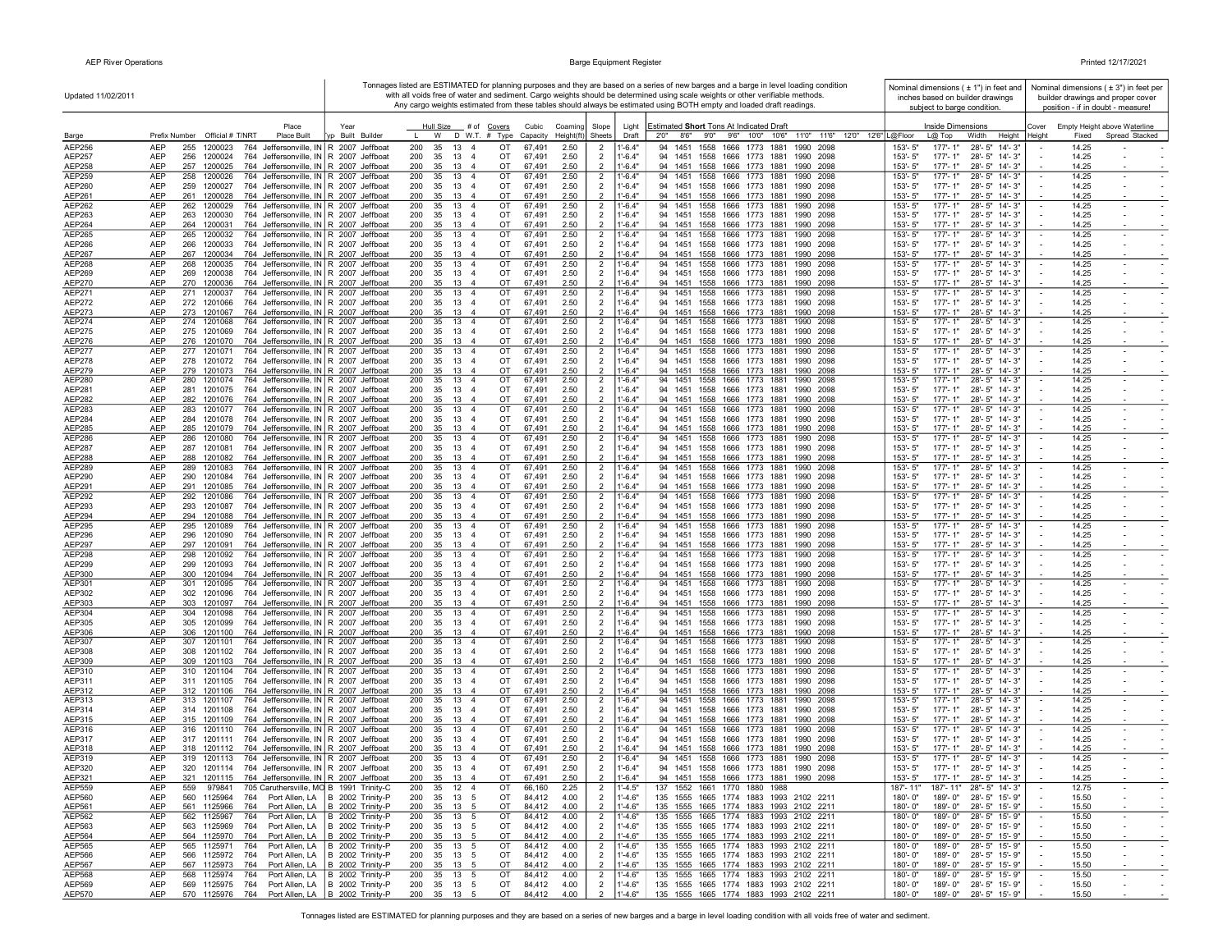|  | Printed 12/17/2021 |  |  |
|--|--------------------|--|--|
|--|--------------------|--|--|

| Updated 11/02/2011      |                                                                                                                                                  |                                                                      | Tonnages listed are ESTIMATED for planning purposes and they are based on a series of new barges and a barge in level loading condition<br>with all voids free of water and sediment. Cargo weights should be determined using scale weights or other verifiable methods. | Nominal dimensions ( ± 1") in feet and<br>inches based on builder drawings | Nominal dimensions $(±3")$ in feet per<br>builder drawings and proper cover |                                                                                                                                   |                                                                                     |                                                                            |
|-------------------------|--------------------------------------------------------------------------------------------------------------------------------------------------|----------------------------------------------------------------------|---------------------------------------------------------------------------------------------------------------------------------------------------------------------------------------------------------------------------------------------------------------------------|----------------------------------------------------------------------------|-----------------------------------------------------------------------------|-----------------------------------------------------------------------------------------------------------------------------------|-------------------------------------------------------------------------------------|----------------------------------------------------------------------------|
|                         |                                                                                                                                                  |                                                                      |                                                                                                                                                                                                                                                                           |                                                                            |                                                                             | Any cargo weights estimated from these tables should always be estimated using BOTH empty and loaded draft readings.              | subject to barge condition.                                                         | position - if in doubt - measure!                                          |
| Barge                   | Place<br>Prefix Number Official # T/NRT<br><b>Place Built</b>                                                                                    | Year<br>Built Builde                                                 | Hull Size # of Covers<br>D W.T. # Type<br>W                                                                                                                                                                                                                               | Cubic<br>Coaming<br>Capacity<br>Height(ft)                                 | Slope<br>Sheets                                                             | Estimated Short Tons At Indicated Draft<br>Light<br>8'6" 9'0" 9'6" 10'0" 10'6" 11'0" 11'6" 12'0" 12'6"   L@Floor<br>Draft<br>2'0" | Inside Dimensions<br>$L@$ Top<br>Width<br>Height                                    | Cover<br>Empty Height above Waterline<br>Spread Stacked<br>Height<br>Fixed |
| AEP256                  | <b>AEP</b><br>255<br>1200023<br>764 Jeffersonville, IN R 2007 Jeffboat                                                                           |                                                                      | 200<br>35<br>13<br>OT<br>$\overline{4}$                                                                                                                                                                                                                                   | 67,491<br>2.50                                                             | $\overline{2}$                                                              | $1' - 6.4"$<br>1558<br>1666 1773 1881<br>1990<br>94<br>1451<br>2098                                                               | 153'-5"<br>177'-1"<br>28'-5" 14'-3"                                                 | 14.25                                                                      |
| AEP257                  | <b>AEP</b><br>256<br>764 Jeffersonville, IN R 2007 Jeffboat<br>1200024                                                                           |                                                                      | 200<br>35<br>13<br>OT<br>$\overline{4}$                                                                                                                                                                                                                                   | 67,491<br>2.50                                                             | $\overline{2}$                                                              | $1' - 6.4"$<br>94 1451 1558<br>1666 1773 1881<br>1990 2098                                                                        | 153'-5"<br>$177 - 1"$<br>28'-5" 14'-3"                                              | 14.25                                                                      |
| AEP258<br>AEP259        | <b>AEP</b><br>257<br>1200025<br>764 Jeffersonville, IN R 2007 Jeffboat<br><b>AEP</b><br>764 Jeffersonville, IN R 2007 Jeffboat<br>258<br>1200026 |                                                                      | 200<br>35<br>13<br>OT<br>$\overline{4}$<br>13<br>OT<br>200<br>35<br>$\overline{4}$                                                                                                                                                                                        | 67.491<br>2.50<br>67,491<br>2.50                                           | $\overline{2}$<br>$\overline{2}$                                            | $1'-6.4"$<br>94 1451 1558 1666 1773 1881<br>1990 2098<br>94 1451 1558 1666 1773 1881<br>$1' - 6.4'$<br>1990 2098                  | 153'-5"<br>$177 - 1"$<br>28'-5" 14'-3"<br>$177 - 1"$<br>153'-5"<br>28'-5" 14'-3"    | 14.25<br>14.25<br>$\sim$<br>$\sim$                                         |
| AEP260                  | AEP<br>259 1200027<br>764 Jeffersonville, IN   R 2007 Jeffboat                                                                                   |                                                                      | 35 13<br>200<br>OT<br>-4                                                                                                                                                                                                                                                  | 2.50<br>67,491                                                             | $\overline{2}$                                                              | $1'-6.4"$<br>94 1451 1558 1666 1773 1881 1990 2098                                                                                | 153'-5"<br>177'-1"<br>28'-5" 14'-3"                                                 | 14.25                                                                      |
| AEP261                  | AEP<br>764 Jeffersonville, IN R 2007 Jeffboat<br>261 1200028                                                                                     |                                                                      | 35 13 4<br>200<br>OT                                                                                                                                                                                                                                                      | 2.50<br>67,491                                                             | $\overline{2}$                                                              | $1'-6.4"$<br>94 1451 1558 1666 1773 1881 1990 2098                                                                                | 153'-5"<br>177'-1"<br>28'-5" 14'-3"                                                 | 14.25                                                                      |
| AEP262<br>AEP263        | AEP<br>262 1200029<br>764 Jeffersonville, IN R 2007 Jeffboat<br>AEP<br>764 Jeffersonville, IN R 2007 Jeffboat<br>263 1200030                     |                                                                      | 200<br>35 13 4<br>OT<br>35<br>13<br>OT<br>200<br>$\overline{4}$                                                                                                                                                                                                           | 67,491<br>2.50<br>67,491<br>2.50                                           | $\overline{2}$<br>$\overline{2}$                                            | $1' - 6.4"$<br>94 1451 1558 1666 1773 1881<br>1990 2098<br>$1' - 6.4"$<br>94 1451 1558 1666 1773 1881 1990 2098                   | 153'-5"<br>$177 - 1"$<br>28'-5" 14'-3"<br>153'-5"<br>177'-1"<br>28'-5" 14'-3"       | 14.25<br>$\sim$<br>$\sim$<br>14.25                                         |
| AEP264                  | AEP<br>264 1200031<br>764 Jeffersonville, IN R 2007 Jeffboat                                                                                     |                                                                      | 200<br>35 13<br>OT<br>$\overline{4}$                                                                                                                                                                                                                                      | 67,491<br>2.50                                                             | $\overline{2}$                                                              | $1'-6.4"$<br>94 1451 1558 1666 1773 1881 1990 2098                                                                                | 153'-5"<br>$177 - 1"$<br>28'-5" 14'-3"                                              | 14.25                                                                      |
| AEP265                  | 764 Jeffersonville, IN R 2007 Jeffboat<br>AEP<br>265<br>1200032                                                                                  |                                                                      | 13<br>OT<br>200<br>35<br>$\overline{4}$                                                                                                                                                                                                                                   | 67,491<br>2.50                                                             | $\overline{2}$                                                              | 94 1451 1558 1666 1773 1881<br>$1 - 6.4"$<br>1990 2098                                                                            | $177 - 1"$<br>28'-5" 14'-3"<br>153'-5"                                              | 14.25<br>$\blacksquare$                                                    |
| AEP266<br>AEP267        | AEP<br>764 Jeffersonville, IN R 2007 Jeffboat<br>266<br>1200033<br>764 Jeffersonville, IN R 2007 Jeffboat<br>AEP<br>267 1200034                  |                                                                      | 13<br>OT<br>200<br>35<br>$\overline{4}$<br>13<br>200<br>35<br>$\overline{4}$<br>OT                                                                                                                                                                                        | 67,491<br>2.50<br>67,491<br>2.50                                           | $\overline{2}$<br>$\overline{2}$                                            | $1'-6.4"$<br>94 1451 1558 1666 1773 1881<br>1990 2098<br>$1'-6.4"$<br>94 1451 1558 1666 1773 1881 1990 2098                       | 153'-5"<br>177'-1"<br>28'-5" 14'-3"<br>153'-5"<br>$177 - 1"$<br>28'-5" 14'-3"       | 14.25<br>$\sim$<br>14.25                                                   |
| <b>AEP268</b>           | AEP<br>268<br>764 Jeffersonville, IN R 2007 Jeffboat<br>1200035                                                                                  |                                                                      | 200<br>35<br>13<br>OT<br>$\overline{4}$                                                                                                                                                                                                                                   | 67,491<br>2.50                                                             | $\overline{2}$                                                              | $1' - 6.4"$<br>94 1451 1558 1666 1773 1881<br>1990 2098                                                                           | 153'-5"<br>$177 - 1"$<br>28'-5" 14'-3"                                              | 14.25                                                                      |
| AEP269                  | AEP<br>764 Jeffersonville, IN R 2007 Jeffboat<br>269 1200038<br><b>AEP</b><br>270 1200036<br>764 Jeffersonville, IN R 2007 Jeffboat              |                                                                      | 200<br>35<br>13<br>OT<br>$\overline{4}$<br>200<br>35 13 4<br>OT                                                                                                                                                                                                           | 67,491<br>2.50<br>67.491<br>2.50                                           | $\overline{2}$<br>$\overline{2}$                                            | $1'-6.4"$<br>94 1451 1558 1666 1773 1881 1990 2098<br>$1'-6.4"$<br>94 1451 1558 1666 1773 1881 1990 2098                          | 153'-5"<br>177'-1"<br>28'-5" 14'-3"<br>153'-5"<br>$177 - 1"$<br>28'-5" 14'-3"       | 14.25<br>14.25                                                             |
| AEP270<br>AEP271        | 764 Jeffersonville, IN R 2007 Jeffboat<br>AEP<br>271 1200037                                                                                     |                                                                      | 13<br>OT<br>200<br>35<br>$\overline{4}$                                                                                                                                                                                                                                   | 67,491<br>2.50                                                             | $\overline{2}$                                                              | $1'-6.4'$<br>94 1451 1558 1666 1773 1881<br>1990 2098                                                                             | 153'-5"<br>$177 - 1"$<br>28'-5" 14'-3"                                              | 14.25<br>$\sim$<br>$\overline{\phantom{a}}$                                |
| <b>AEP272</b>           | <b>AEP</b><br>272 1201066<br>764 Jeffersonville, IN   R 2007 Jeffboat                                                                            |                                                                      | 200<br>35 13<br>OT<br>-4                                                                                                                                                                                                                                                  | 2.50<br>67,491                                                             | $\overline{2}$                                                              | $1'-6.4"$<br>94 1451 1558 1666 1773 1881 1990 2098                                                                                | 153'-5"<br>177'-1"<br>28'-5" 14'-3"                                                 | 14.25<br>$\sim$                                                            |
| AEP273<br>AEP274        | AEP<br>764 Jeffersonville, IN R 2007 Jeffboat<br>273 1201067<br>AEP<br>274 1201068<br>764 Jeffersonville, IN R 2007 Jeffboat                     |                                                                      | 35 13 4<br>200<br>OT<br>200<br>35 13 4<br>OT                                                                                                                                                                                                                              | 67,491<br>2.50<br>67,491<br>2.50                                           | $\overline{2}$<br>$\overline{2}$                                            | $1'-6.4"$<br>94 1451 1558 1666 1773 1881 1990 2098<br>$1' - 6.4"$<br>94 1451 1558 1666 1773 1881 1990 2098                        | 153'-5"<br>177'-1"<br>28'-5" 14'-3"<br>153'-5"<br>177'-1"<br>28'-5" 14'-3"          | 14.25<br>14.25                                                             |
| <b>AEP275</b>           | <b>AEP</b><br>764 Jeffersonville, IN R 2007 Jeffboat<br>275 1201069                                                                              |                                                                      | 200<br>35 13 4<br>OT                                                                                                                                                                                                                                                      | 67,491<br>2.50                                                             | $\overline{2}$                                                              | $1' - 6.4"$<br>94 1451 1558 1666 1773 1881 1990 2098                                                                              | 153'-5"<br>177'-1"<br>28'-5" 14'-3"                                                 | 14.25                                                                      |
| <b>AEP276</b>           | <b>AEP</b><br>276 1201070<br>764 Jeffersonville, IN R 2007 Jeffboat                                                                              |                                                                      | 200<br>35<br>13<br>OT<br>$\overline{4}$                                                                                                                                                                                                                                   | 67.491<br>2.50                                                             | $\overline{2}$                                                              | $1'-6.4"$<br>94 1451 1558 1666 1773 1881<br>1990<br>2098                                                                          | $153 - 5"$<br>$177 - 1"$<br>28'-5" 14'-3"                                           | 14.25                                                                      |
| AEP277<br>AEP278        | <b>AEP</b><br>277 1201071<br>764 Jeffersonville, IN R 2007 Jeffboat<br>764 Jeffersonville, IN R 2007 Jeffboat<br>AEP<br>278 1201072              |                                                                      | 200<br>35<br>13<br>$\overline{4}$<br>OT<br>OT<br>200<br>35<br>13<br>-4                                                                                                                                                                                                    | 67,491<br>2.50<br>67,491<br>2.50                                           | $\overline{2}$<br>$\overline{2}$                                            | $1'-6.4"$<br>94 1451 1558 1666 1773 1881<br>1990 2098<br>$1'-6.4"$<br>94 1451 1558 1666 1773 1881<br>1990 2098                    | 153'-5"<br>$177 - 1"$<br>28'-5" 14'-3"<br>153'-5"<br>177'-1"<br>28'-5" 14'-3"       | 14.25<br>14.25                                                             |
| AEP279                  | AEP<br>279 1201073<br>764 Jeffersonville, IN R 2007 Jeffboat                                                                                     |                                                                      | 200<br>35<br>13<br>$\overline{4}$<br>OT                                                                                                                                                                                                                                   | 67,491<br>2.50                                                             | $\overline{\phantom{a}}$                                                    | $1'-6.4"$<br>94 1451 1558 1666 1773 1881<br>1990 2098                                                                             | 153'-5"<br>177'-1"<br>28'-5" 14'-3"                                                 | 14.25                                                                      |
| AEP280                  | AEP<br>280<br>1201074<br>764 Jeffersonville, IN R 2007 Jeffboat                                                                                  |                                                                      | 13 4<br>200<br>35<br>OT                                                                                                                                                                                                                                                   | 2.50<br>67,491                                                             | $\overline{2}$                                                              | $1' - 6.4"$<br>94 1451 1558 1666 1773 1881<br>1990 2098                                                                           | 153'-5"<br>177'-1'<br>28'-5" 14'-3"                                                 | 14.25                                                                      |
| AEP281<br><b>AEP282</b> | AEP<br>764 Jeffersonville, IN R 2007 Jeffboat<br>281 1201075<br><b>AEP</b><br>282<br>1201076<br>764 Jeffersonville, IN   R 2007 Jeffboat         |                                                                      | 200<br>35<br>13<br>OT<br>$\overline{4}$<br>200<br>35<br>13<br>OT                                                                                                                                                                                                          | 67,491<br>2.50<br>67.491<br>2.50                                           | 2                                                                           | $1'-6.4"$<br>94 1451 1558 1666 1773 1881 1990 2098<br>$1 - 6.4"$<br>94 1451 1558 1666 1773 1881<br>1990 2098                      | 153'-5"<br>177'-1"<br>28'-5" 14'-3"<br>153'-5"<br>$177 - 1"$<br>28'-5" 14'-3"       | 14.25<br>14.25                                                             |
| AEP283                  | AEP<br>283 1201077<br>764 Jeffersonville, IN   R 2007 Jeffboat                                                                                   |                                                                      | 200<br>35<br>13<br>OT<br>$\overline{4}$                                                                                                                                                                                                                                   | 67,491<br>2.50                                                             | $\overline{2}$                                                              | $1' - 6.4'$<br>94 1451 1558 1666 1773 1881<br>1990 2098                                                                           | 153'-5"<br>$177 - 1"$<br>$28 - 5"$ 14'-3"                                           | 14.25<br>$\sim$                                                            |
| AEP284<br>AEP285        | <b>AEP</b><br>284 1201078<br>764 Jeffersonville, IN R 2007 Jeffboat<br>AEP<br>285 1201079<br>764 Jeffersonville, IN R 2007 Jeffboat              |                                                                      | 200<br>35 13<br>OT<br>4<br>200<br>35 13<br>OT                                                                                                                                                                                                                             | 67,491<br>2.50<br>67,491<br>2.50                                           | $\overline{2}$<br>$\overline{2}$                                            | $1'-6.4"$<br>94 1451 1558 1666 1773 1881<br>1990 2098<br>$1'-6.4"$<br>94 1451 1558 1666 1773 1881<br>1990 2098                    | 153'-5"<br>$177 - 1"$<br>28'-5" 14'-3"<br>177'-1"<br>153'-5"                        | 14.25<br>14.25                                                             |
| AEP286                  | AEP<br>286 1201080<br>764 Jeffersonville, IN R 2007 Jeffboat                                                                                     |                                                                      | OT<br>200<br>35 13 4                                                                                                                                                                                                                                                      | 2.50<br>67,491                                                             | $\overline{2}$                                                              | $1'-6.4"$<br>94 1451 1558 1666 1773 1881<br>1990 2098                                                                             | 28'-5" 14'-3"<br>177'-1"<br>28'-5" 14'-3"<br>153'-5"                                | 14.25                                                                      |
| <b>AEP287</b>           | AEP<br>287 1201081<br>764 Jeffersonville, IN R 2007 Jeffboat                                                                                     |                                                                      | 200<br>35 13<br>OT<br>$\overline{4}$                                                                                                                                                                                                                                      | 67,491<br>2.50                                                             | $\overline{2}$                                                              | $1' - 6.4"$<br>94 1451 1558 1666 1773 1881 1990 2098                                                                              | 153'-5"<br>177'-1"<br>28'-5" 14'-3"                                                 | 14.25                                                                      |
| <b>AEP288</b><br>AEP289 | AEP<br>764 Jeffersonville, IN R 2007 Jeffboat<br>288 1201082<br><b>AEP</b><br>289 1201083<br>764 Jeffersonville, IN R 2007 Jeffboat              |                                                                      | 35<br>13 4<br>OT<br>200<br>200<br>35<br>13<br>OT<br>$\overline{4}$                                                                                                                                                                                                        | 67,491<br>2.50<br>67,491<br>2.50                                           | $\overline{2}$<br>$\overline{2}$                                            | $1'-6.4"$<br>94 1451 1558 1666 1773 1881<br>1990 2098<br>$1' - 6.4"$<br>94 1451 1558 1666 1773 1881<br>1990 2098                  | 153'-5"<br>177'-1"<br>28'-5" 14'-3"<br>153'-5"<br>$177 - 1"$<br>28'-5" 14'-3"       | 14.25<br>14.25<br>$\sim$<br>$\sim$                                         |
| AEP290                  | 764 Jeffersonville, IN R 2007 Jeffboat<br>AEP<br>290 1201084                                                                                     |                                                                      | 200<br>35<br>13<br>OT<br>$\overline{4}$                                                                                                                                                                                                                                   | 67,491<br>2.50                                                             | $\overline{2}$                                                              | $1'-6.4"$<br>94 1451 1558 1666 1773 1881<br>1990 2098                                                                             | 153'-5"<br>177'-1"<br>28'-5" 14'-3"                                                 | 14.25<br>$\sim$                                                            |
| AEP291                  | 764 Jeffersonville, IN R 2007 Jeffboat<br>AEP<br>291 1201085                                                                                     |                                                                      | 200<br>35<br>13<br>OT<br>-4                                                                                                                                                                                                                                               | 67,491<br>2.50                                                             | $\overline{2}$                                                              | $1'-6.4"$<br>94 1451 1558 1666 1773 1881<br>1990 2098                                                                             | 28'-5" 14'-3"<br>153'-5"<br>177'-1"                                                 | 14.25                                                                      |
| <b>AEP292</b><br>AEP293 | 292 1201086<br>764 Jeffersonville, IN R 2007 Jeffboat<br>AEP<br>AEP<br>293 1201087<br>764 Jeffersonville, IN R 2007 Jeffboat                     |                                                                      | 200<br>35<br>13<br>$\overline{4}$<br>OT<br>200<br>35<br>13<br>OT<br>$\overline{4}$                                                                                                                                                                                        | 2.50<br>67,491<br>67,491<br>2.50                                           | $\overline{2}$<br>$\overline{2}$                                            | $1'-6.4"$<br>94 1451 1558 1666 1773 1881<br>1990 2098<br>$1'-6.4"$<br>94 1451 1558 1666 1773 1881<br>1990 2098                    | 153'-5"<br>$177 - 1"$<br>28'-5" 14'-3"<br>153'-5"<br>$177 - 1"$<br>28'-5" 14'-3"    | 14.25<br>$\sim$<br>14.25<br>$\sim$                                         |
| AEP294                  | AEP<br>764 Jeffersonville, IN R 2007 Jeffboat<br>294 1201088                                                                                     |                                                                      | 200<br>35<br>13<br>OT<br>$\overline{4}$                                                                                                                                                                                                                                   | 67,491<br>2.50                                                             | $\overline{2}$                                                              | $1 - 6.4"$<br>94 1451 1558 1666 1773 1881 1990 2098                                                                               | 153'-5"<br>$177 - 1"$<br>28'-5" 14'-3"                                              | 14.25                                                                      |
| AEP295                  | AEP<br>295 1201089<br>764 Jeffersonville, IN R 2007 Jeffboat                                                                                     |                                                                      | 200<br>35<br>13<br>$\overline{4}$<br>OT                                                                                                                                                                                                                                   | 67,491<br>2.50                                                             | $\overline{2}$                                                              | $1' - 6.4"$<br>94 1451 1558 1666 1773 1881<br>1990 2098                                                                           | 153'-5"<br>$177 - 1"$<br>28'-5" 14'-3"                                              | 14.25                                                                      |
| AEP296<br>AEP297        | <b>AEP</b><br>296 1201090<br>764 Jeffersonville, IN R 2007 Jeffboat<br><b>AEP</b><br>297 1201091<br>764 Jeffersonville, IN R 2007 Jeffboat       |                                                                      | 200<br>35<br>13<br>OT<br>$\overline{4}$<br>200<br>35 13 4<br>OT                                                                                                                                                                                                           | 2.50<br>67,491<br>67,491<br>2.50                                           | $\overline{2}$<br>$\overline{2}$                                            | $1'-6.4"$<br>94 1451 1558 1666 1773 1881<br>1990 2098<br>$1'-6.4"$<br>94 1451 1558 1666 1773 1881<br>1990 2098                    | 153'-5"<br>$177 - 1"$<br>28'-5" 14'-3"<br>153'-5"<br>177'-1"<br>28'-5" 14'-3"       | 14.25<br>$\sim$<br>14.25                                                   |
| <b>AEP298</b>           | AEP<br>298 1201092<br>764 Jeffersonville, IN   R 2007 Jeffboat                                                                                   |                                                                      | 200<br>35<br>13 4<br>OT                                                                                                                                                                                                                                                   | 67,491<br>2.50                                                             | $\overline{2}$                                                              | $1'-6.4"$<br>94 1451 1558 1666 1773 1881<br>1990 2098                                                                             | 153'-5"<br>28'-5" 14'-3"<br>177'-1"                                                 | 14.25<br>$\sim$<br>$\sim$                                                  |
| <b>AEP299</b><br>AEP300 | AEP<br>299 1201093<br>764 Jeffersonville, IN   R 2007 Jeffboat<br><b>AEP</b><br>300 1201094<br>764 Jeffersonville, IN R 2007 Jeffboat            |                                                                      | 200<br>35 13<br>$\overline{4}$<br>OT<br>200<br>35 13 4<br>OT                                                                                                                                                                                                              | 2.50<br>67,491<br>67,491<br>2.50                                           | $\overline{2}$<br>$\overline{2}$                                            | $1' - 6.4"$<br>94 1451 1558<br>1666 1773 1881<br>1990 2098<br>$1'-6.4"$<br>94 1451 1558 1666 1773 1881<br>1990 2098               | 153'-5"<br>177'-1"<br>28'-5" 14'-3"<br>153'-5"<br>$177 - 1"$<br>28'-5" 14'-3"       | 14.25<br>14.25                                                             |
| AEP301                  | <b>AEP</b><br>301 1201095<br>764 Jeffersonville, IN R 2007 Jeffboat                                                                              |                                                                      | 200<br>35<br>13<br>OT<br>$\overline{4}$                                                                                                                                                                                                                                   | 67,491<br>2.50                                                             | $\overline{2}$                                                              | $1' - 6.4"$<br>94 1451 1558<br>1666 1773 1881<br>1990 2098                                                                        | $153 - 5"$<br>$177 - 1"$<br>28'-5" 14'-3"                                           | 14.25                                                                      |
| AEP302                  | <b>AEP</b><br>302 1201096<br>764 Jeffersonville, IN R 2007 Jeffboat                                                                              |                                                                      | 35<br>13<br>OT<br>200<br>$\overline{4}$                                                                                                                                                                                                                                   | 67,491<br>2.50                                                             | $\overline{2}$                                                              | $1' - 6.4"$<br>94 1451 1558 1666 1773 1881<br>1990 2098                                                                           | 153'-5"<br>177'-1"<br>28'-5" 14'-3"                                                 | 14.25                                                                      |
| AEP303<br>AEP304        | 764 Jeffersonville, IN R 2007 Jeffboat<br>AEP<br>303 1201097<br>764 Jeffersonville, IN R 2007 Jeffboat<br>AEP<br>304<br>1201098                  |                                                                      | 200<br>35<br>13<br>OT<br>$\overline{4}$<br>35<br>13<br>200<br>$\overline{4}$<br>OT                                                                                                                                                                                        | 67,491<br>2.50<br>67,491<br>2.50                                           | $\overline{2}$<br>$\overline{2}$                                            | $1'-6.4"$<br>94 1451 1558 1666 1773 1881<br>1990 2098<br>$1' - 6.4"$<br>94 1451 1558 1666 1773 1881<br>1990<br>2098               | 153'-5"<br>$177 - 1"$<br>28'-5" 14'-3"<br>$177 - 1'$<br>28'-5" 14'-3"<br>153'-5"    | 14.25<br>14.25<br>$\sim$                                                   |
| AEP305                  | AEP<br>305<br>1201099<br>764 Jeffersonville, IN   R 2007 Jeffboat                                                                                |                                                                      | 200<br>35<br>13<br>$\overline{4}$<br>OT                                                                                                                                                                                                                                   | 67,491<br>2.50                                                             | $\overline{2}$                                                              | $1'-6.4"$<br>94 1451 1558 1666 1773 1881<br>1990<br>2098                                                                          | 153'-5"<br>177'-1"<br>28'-5" 14'-3"                                                 | 14.25                                                                      |
| AEP306                  | <b>AEP</b><br>306 1201100<br>764 Jeffersonville, IN R 2007 Jeffboat                                                                              |                                                                      | 200<br>35<br>13<br>OT                                                                                                                                                                                                                                                     | 67,491<br>2.50                                                             | $\overline{\phantom{0}}$                                                    | $1'-6.4"$<br>94 1451 1558 1666 1773 1881<br>1990 2098                                                                             | 153'-5"<br>$177 - 1"$<br>28'-5" 14'-3"                                              | 14.25                                                                      |
| AEP307<br>AEP308        | <b>AEP</b><br>307<br>1201101<br>764 Jeffersonville, IN R 2007 Jeffboat<br><b>AEP</b><br>308 1201102<br>764 Jeffersonville, IN R 2007 Jeffboat    |                                                                      | 200<br>35<br>13<br>$\overline{4}$<br>OT<br>200<br>35<br>13<br>OT<br>$\overline{4}$                                                                                                                                                                                        | 67,491<br>2.50<br>67,491<br>2.50                                           | $\overline{2}$<br>$\overline{2}$                                            | $1' - 6.4"$<br>94 1451 1558<br>1666 1773 1881<br>1990<br>2098<br>$1' - 6.4"$<br>94 1451 1558 1666 1773 1881 1990 2098             | 153'-5"<br>$177 - 1"$<br>28'-5" 14'-3"<br>$153 - 5"$<br>$177 - 1"$<br>28'-5" 14'-3" | 14.25<br>$\sim$<br>14.25<br>$\sim$                                         |
| AEP309                  | AEP<br>764 Jeffersonville, IN   R 2007 Jeffboat<br>309 1201103                                                                                   |                                                                      | 200<br>35<br>13<br>OT                                                                                                                                                                                                                                                     | 2.50<br>67,491                                                             | $\overline{\phantom{0}}$                                                    | $1 - 6.4"$<br>94 1451 1558 1666 1773 1881<br>1990 2098                                                                            | $177 - 1"$<br>153'-5"<br>28'-5" 14'-3"                                              | 14.25                                                                      |
| AEP310<br>AEP311        | <b>AEP</b><br>310 1201104<br>764 Jeffersonville, IN   R 2007 Jeffboat<br>AEP<br>311 1201105<br>764 Jeffersonville, IN R 2007 Jeffboat            |                                                                      | 13<br>OT<br>200<br>35<br>$\overline{4}$<br>35 13 4<br>OT<br>200                                                                                                                                                                                                           | 67,491<br>2.50<br>2.50<br>67,491                                           | $\overline{2}$<br>$\overline{2}$                                            | $1'-6.4'$<br>94 1451 1558 1666 1773 1881<br>1990 2098<br>$1' - 6.4"$<br>94 1451 1558 1666 1773 1881 1990 2098                     | 177'-1"<br>153'-5"<br>28'-5" 14'-3"<br>153'-5"<br>177'- 1"<br>28'-5" 14'-3"         | 14.25<br>$\sim$<br>$\sim$<br>14.25                                         |
| AEP312                  | <b>AEP</b><br>764 Jeffersonville, IN R 2007 Jeffboat<br>312 1201106                                                                              |                                                                      | 200<br>35 13 4<br>OT                                                                                                                                                                                                                                                      | 67,491<br>2.50                                                             | $\overline{2}$                                                              | $1'-6.4"$<br>94 1451 1558 1666 1773 1881<br>1990 2098                                                                             | 153'-5"<br>$177 - 1"$<br>28'-5" 14'-3"                                              | 14.25                                                                      |
| AEP313                  | AEP<br>764 Jeffersonville, IN R 2007 Jeffboat<br>313 1201107                                                                                     |                                                                      | 13 4<br>OT<br>200<br>35                                                                                                                                                                                                                                                   | 67,491<br>2.50                                                             | $\overline{2}$                                                              | 94 1451 1558 1666 1773 1881 1990 2098<br>$1' - 6.4"$                                                                              | 177'-1"<br>28'-5" 14'-3"<br>153'-5"                                                 | 14.25<br>$\sim$                                                            |
| AEP314<br>AEP315        | AEP<br>314 1201108<br>764 Jeffersonville, IN R 2007 Jeffboat<br>764 Jeffersonville, IN R 2007 Jeffboat<br>AEP<br>315 1201109                     |                                                                      | 200<br>35 13 4<br>OT<br>OT<br>200<br>35<br>13<br>$\overline{4}$                                                                                                                                                                                                           | 67,491<br>2.50<br>67,491<br>2.50                                           | $\overline{2}$<br>$\overline{2}$                                            | $1' - 6.4"$<br>94 1451 1558 1666 1773 1881 1990 2098<br>$1'-6.4"$<br>94 1451 1558 1666 1773 1881<br>1990 2098                     | $153 - 5"$<br>177'-1"<br>28'-5" 14'-3"<br>153'-5"<br>$177 - 1"$<br>28'-5" 14'-3"    | 14.25<br>14.25                                                             |
| AEP316                  | <b>AEP</b><br>764 Jeffersonville, IN R 2007 Jeffboat<br>316 1201110                                                                              |                                                                      | 200<br>13<br>OT<br>35<br>$\overline{4}$                                                                                                                                                                                                                                   | 67,491<br>2.50                                                             | $\overline{2}$                                                              | $1'-6.4"$<br>94 1451 1558 1666 1773 1881<br>1990 2098                                                                             | 177'-1"<br>28'-5" 14'-3"<br>153'-5"                                                 | 14.25                                                                      |
| AEP317                  | 764 Jeffersonville, IN R 2007 Jeffboat<br>AEP<br>317 1201111                                                                                     |                                                                      | 13 4<br>200<br>35<br>OT                                                                                                                                                                                                                                                   | 67,491<br>2.50                                                             | $\overline{2}$                                                              | $1' - 6.4"$<br>94 1451 1558 1666 1773 1881<br>1990 2098                                                                           | 153'-5"<br>177'-1"<br>28'-5" 14'-3"                                                 | 14.25                                                                      |
| AEP318<br>AEP319        | <b>AEP</b><br>764 Jeffersonville, IN R 2007 Jeffboat<br>318 1201112<br><b>AEP</b><br>764 Jeffersonville, IN R 2007 Jeffboat<br>319 1201113       |                                                                      | 200<br>35<br>13<br>OT<br>$\overline{4}$<br>200<br>35<br>13 4<br>OT                                                                                                                                                                                                        | 67,491<br>2.50<br>67,491<br>2.50                                           | $\overline{\phantom{0}}$<br>$\overline{2}$                                  | $1'-6.4"$<br>94 1451 1558 1666 1773 1881<br>1990 2098<br>$1' - 6.4"$<br>94 1451 1558 1666 1773 1881 1990 2098                     | 153'-5"<br>$177 - 1"$<br>28'-5" 14'-3"<br>153'-5"<br>$177 - 1"$<br>28'-5" 14'-3"    | 14.25<br>14.25                                                             |
| AEP320                  | <b>AEP</b><br>320 1201114 764 Jeffersonville, IN R 2007 Jeffboat                                                                                 |                                                                      | 200<br>35 13 4<br>OT                                                                                                                                                                                                                                                      | 67,491<br>2.50                                                             | $\overline{2}$                                                              | $1' - 6.4"$<br>94 1451 1558 1666 1773 1881 1990 2098                                                                              | $153 - 5"$<br>177'-1"<br>28'-5" 14'-3"                                              | 14.25                                                                      |
| AEP321                  | AEP<br>321 1201115 764 Jeffersonville, IN   R 2007 Jeffboat                                                                                      |                                                                      | OT<br>200<br>35 13 4                                                                                                                                                                                                                                                      | 2.50<br>67,491                                                             | $\overline{2}$                                                              | $1'-6.4"$<br>94 1451 1558 1666 1773 1881 1990 2098                                                                                | 177'-1" 28'-5" 14'-3"<br>153'- 5"                                                   | 14.25                                                                      |
| <b>AEP559</b><br>AEP560 | 559<br>705 Caruthersville, MO B 1991 Trinity-C<br>AEP<br>979841<br>AEP<br>764 Port Allen, LA   B 2002 Trinity-P<br>560 1125964                   |                                                                      | 12<br>200<br>35<br>ОT<br>-4<br>35 13<br>200<br>5<br>OT                                                                                                                                                                                                                    | 66,160<br>2.25<br>4.00<br>84,412                                           | 2<br>$\overline{2}$                                                         | 1'-4.5"<br>137 1552 1661 1770 1880 1988<br>$1' - 4.6"$<br>135 1555 1665 1774 1883 1993 2102 2211                                  | 187'-11" 187'-11" 28"-5" 14'-3"<br>180'-0"<br>189'-0"<br>28'-5" 15'-9"              | 12.75<br>15.50                                                             |
| AEP561                  | AEP<br>561 1125966<br>764                                                                                                                        | Port Allen, LA   B 2002 Trinity-P                                    | 200<br>35 13 5<br>OT                                                                                                                                                                                                                                                      | 4.00<br>84,412                                                             | $\overline{2}$                                                              | $1' - 4.6"$<br>135 1555 1665 1774 1883 1993 2102 2211                                                                             | 180'-0"<br>189'-0"<br>28'-5" 15'-9"                                                 | 15.50                                                                      |
| AEP562<br>AEP563        | AEP<br>764 Port Allen, LA B 2002 Trinity-P<br>562 1125967<br>AEP<br>563 1125969<br>764 Port Allen, LA B 2002 Trinity-P                           |                                                                      | 35 13 5<br>200<br>OT<br>200<br>35 13 5<br>OT                                                                                                                                                                                                                              | 4.00<br>84,412<br>4.00                                                     | $\overline{2}$                                                              | $1' - 4.6"$<br>135 1555 1665 1774 1883 1993 2102 2211<br>$1' - 4.6"$<br>135 1555 1665 1774 1883 1993 2102 2211                    | 180'-0"<br>189'-0"<br>28'-5" 15'-9"<br>180'-0"<br>189'-0"<br>28'-5" 15'-9"          | 15.50<br>$\sim$<br>15.50                                                   |
| AEP564                  | AEP<br>564 1125970<br>764                                                                                                                        | Port Allen, LA   B 2002 Trinity-P                                    | 200<br>35 13<br>OT<br>5                                                                                                                                                                                                                                                   | 84,412<br>84,412<br>4.00                                                   | $\overline{2}$<br>2                                                         | $1' - 4.6"$<br>135 1555 1665 1774 1883 1993 2102 2211                                                                             | 180'-0"<br>189'-0"<br>28'-5" 15'-9"                                                 | 15.50                                                                      |
| AEP565                  | AEP<br>764 Port Allen, LA   B 2002 Trinity-P<br>565 1125971                                                                                      |                                                                      | 35 13 5<br>200<br>OT                                                                                                                                                                                                                                                      | 4.00<br>84,412                                                             | $\overline{2}$                                                              | $1' - 4.6"$<br>135 1555 1665 1774 1883 1993 2102 2211                                                                             | 180'-0"<br>189'-0"<br>28'-5" 15'-9"                                                 | 15.50<br>$\sim$                                                            |
| AEP566<br>AEP567        | AEP<br>566 1125972<br>764<br>AEP<br>567 1125973<br>764                                                                                           | Port Allen, LA   B 2002 Trinity-P<br>Port Allen, LA B 2002 Trinity-P | 200<br>35 13<br>5<br>OT<br>200<br>35 13 5<br>OT                                                                                                                                                                                                                           | 84,412<br>4.00<br>84,412<br>4.00                                           | $\overline{2}$<br>$\overline{2}$                                            | $1' - 4.6"$<br>135 1555 1665 1774 1883 1993 2102 2211<br>$1' - 4.6"$<br>135 1555 1665 1774 1883 1993 2102 2211                    | 180'-0"<br>189'-0"<br>28'-5" 15'-9"<br>180'-0"<br>189'-0"<br>28'-5" 15'-9"          | 15.50<br>15.50                                                             |
| <b>AEP568</b>           | AEP<br>568 1125974 764 Port Allen, LA B 2002 Trinity-P                                                                                           |                                                                      | 200<br>35 13 5<br>OT                                                                                                                                                                                                                                                      | 84,412<br>4.00                                                             | $\overline{2}$                                                              | $1' - 4.6"$<br>135 1555 1665 1774 1883 1993 2102 2211                                                                             | 189'-0"<br>28'-5" 15'-9"<br>180'-0"                                                 | 15.50<br>$\sim$<br>$\sim$                                                  |
| AEP569                  | AEP<br>569 1125975 764 Port Allen, LA B 2002 Trinity-P                                                                                           |                                                                      | 200 35 13 5<br>OT                                                                                                                                                                                                                                                         | 84,412<br>4.00                                                             | $\overline{2}$<br>$\overline{2}$                                            | $1' - 4.6"$<br>135 1555 1665 1774 1883 1993 2102 2211<br>$1' - 4.6"$<br>135 1555 1665 1774 1883 1993 2102 2211                    | 180'-0"<br>189'-0" 28'-5" 15'-9"                                                    | 15.50<br>$\sim$                                                            |
| AEP570                  | 570 1125976 764 Port Allen, LA B 2002 Trinity-P<br>AEP                                                                                           |                                                                      | 200 35 13 5                                                                                                                                                                                                                                                               | OT 84,412 4.00                                                             |                                                                             |                                                                                                                                   | 180'-0" 189'-0" 28'-5" 15'-9"                                                       | 15.50                                                                      |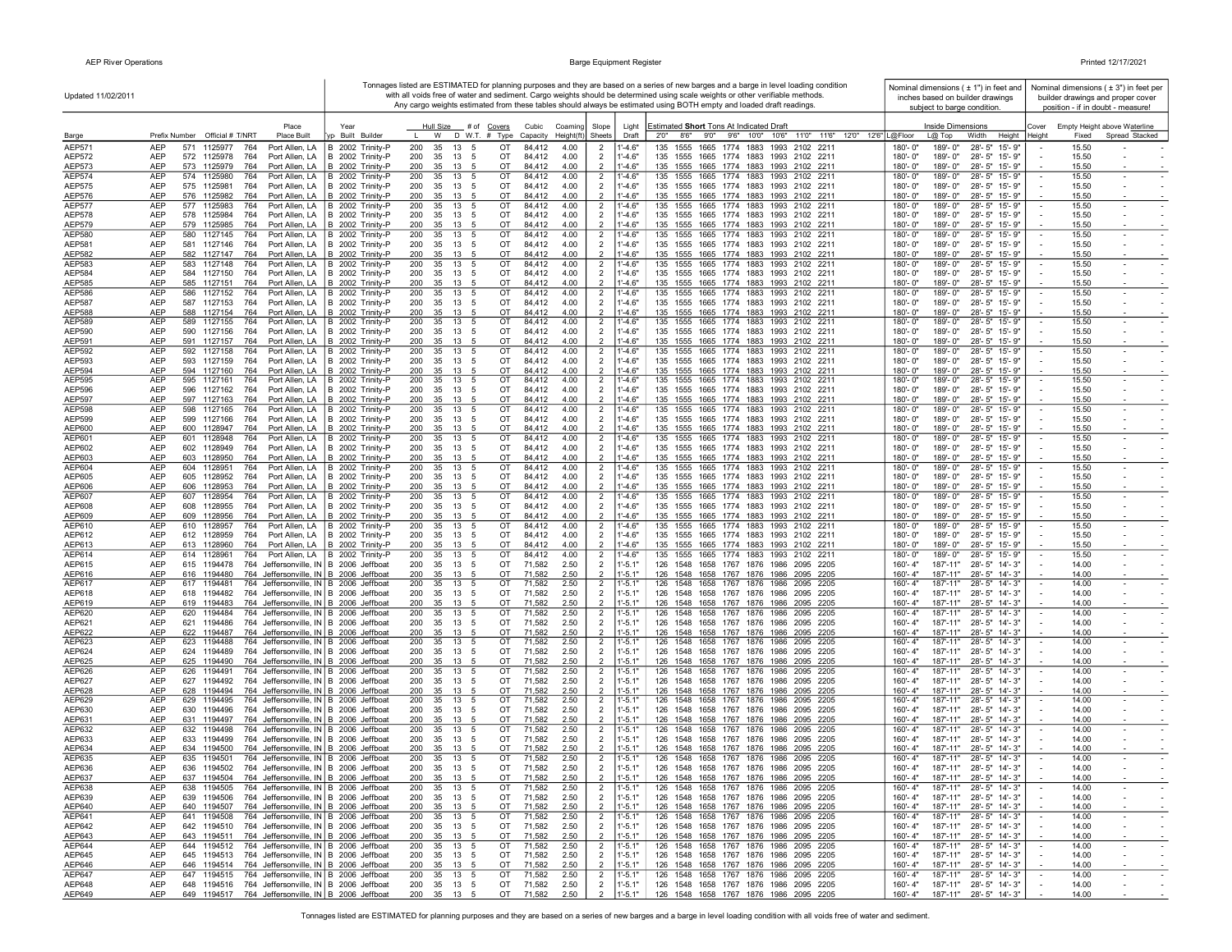| Updated 11/02/2011             |                                                                                                                                     |                                                       |                                                  |          |                                  |                                            |                            | Tonnages listed are ESTIMATED for planning purposes and they are based on a series of new barges and a barge in level loading condition<br>with all voids free of water and sediment. Cargo weights should be determined using scale weights or other verifiable methods. | Nominal dimensions $(± 1")$ in feet and<br>inches based on builder drawings     | Nominal dimensions ( $\pm$ 3") in feet per<br>builder drawings and proper cover |
|--------------------------------|-------------------------------------------------------------------------------------------------------------------------------------|-------------------------------------------------------|--------------------------------------------------|----------|----------------------------------|--------------------------------------------|----------------------------|---------------------------------------------------------------------------------------------------------------------------------------------------------------------------------------------------------------------------------------------------------------------------|---------------------------------------------------------------------------------|---------------------------------------------------------------------------------|
|                                |                                                                                                                                     |                                                       |                                                  |          |                                  |                                            |                            | Any cargo weights estimated from these tables should always be estimated using BOTH empty and loaded draft readings.                                                                                                                                                      | subject to barge condition.                                                     | position - if in doubt - measure!                                               |
|                                | Place                                                                                                                               | Year                                                  | Hull Size # of Covers                            |          | Cubic<br>Coaming                 | Slope                                      | Light                      | Estimated Short Tons At Indicated Draft                                                                                                                                                                                                                                   | Inside Dimensions                                                               | Empty Height above Waterline<br>Cover                                           |
| Barge<br>AEP571                | Prefix Number Official # T/NRT<br>Place Built<br><b>AEP</b><br>571<br>1125977                                                       | /p Built Builder                                      | W D W.T. # Type Capacity<br>200<br>35<br>13      |          | Height(ft)                       | Sheets                                     | Draft                      | 2'0" 8'6" 9'0" 9'6" 10'0" 10'6" 11'0" 11'6" 12'0" 12'6" L@Floor<br>1555<br>1993 2102 221                                                                                                                                                                                  | L@ Top<br>Width<br>Height<br>189'-0"<br>180'-0"                                 | Spread Stacked<br>Height<br>Fixed<br>15.50                                      |
| AEP572                         | Port Allen, LA<br>764<br>AEP<br>572 1125978<br>764<br>Port Allen, LA                                                                | B 2002 Trinity-P<br>B 2002 Trinity-P                  | -5<br>200<br>35<br>13<br>5                       | ОT<br>OT | 4.00<br>84,412<br>84,412<br>4.00 | 2<br>$\overline{2}$                        | $1 - 4.6"$<br>1'-4.6"      | 1665 1774 1883<br>135<br>135<br>1555 1665 1774 1883 1993 2102 2211                                                                                                                                                                                                        | 28'-5" 15'-9"<br>189'-0"<br>28'-5" 15'-9"<br>180'-0"                            | 15.50                                                                           |
| AEP573                         | AEP<br>573 1125979<br>764<br>Port Allen, LA                                                                                         | B 2002 Trinity-P                                      | 200<br>35<br>13<br>5                             | ОT       | 84,412<br>4.00                   | $\overline{2}$                             | 1'-4.6"                    | 135 1555 1665 1774 1883 1993 2102 2211                                                                                                                                                                                                                                    | 28'-5" 15'-9"<br>180'-0"<br>189'-0"                                             | 15.50                                                                           |
| AEP574<br>AEP575               | AEP<br>574<br>1125980<br>764<br>Port Allen, LA<br>AEP<br>575 1125981<br>764<br>Port Allen, LA                                       | B 2002 Trinity-P<br>B 2002 Trinity-P                  | 200<br>35<br>13<br>5<br>200<br>35<br>13 5        | OT<br>OT | 84,412<br>4.00<br>84,412<br>4.00 | $\overline{2}$<br>$\overline{2}$           | $1' - 4.6"$<br>$1' - 4.6"$ | 135 1555 1665 1774 1883 1993 2102 2211<br>135 1555 1665 1774 1883 1993 2102 2211                                                                                                                                                                                          | 189'-0"<br>28'-5" 15'-9"<br>180'-0"<br>28'-5" 15'-9"<br>180'-0"<br>189'-0"      | 15.50<br>15.50                                                                  |
| <b>AEP576</b>                  | AEP<br>576 1125982<br>764<br>Port Allen, LA                                                                                         | B 2002 Trinity-P                                      | 200<br>35<br>13 5                                | OT       | 84.412<br>4.00                   | $\overline{2}$                             | $1' - 4.6"$                | 135 1555 1665 1774 1883 1993 2102 2211                                                                                                                                                                                                                                    | 180'-0"<br>189'-0"<br>28'-5" 15'-9"                                             | 15.50                                                                           |
| <b>AEP577</b><br><b>AEP578</b> | AEP<br>577 1125983<br>764<br>Port Allen, LA<br>AEP<br>578 1125984<br>764<br>Port Allen, LA                                          | B 2002 Trinity-P<br>B 2002 Trinity-P                  | 13<br>200<br>35<br>5<br>200<br>35<br>13 5        | OT<br>OT | 84,412<br>4.00<br>84,412<br>4.00 | $\overline{2}$<br>$\overline{2}$           | $1' - 4.6"$<br>$1' - 4.6"$ | 1665 1774 1883 1993 2102 2211<br>135 1555<br>135 1555 1665 1774 1883 1993 2102 2211                                                                                                                                                                                       | 189'-0"<br>28'-5" 15'-9"<br>180'-0"<br>180'-0"<br>189'-0"<br>28'-5" 15'-9"      | 15.50<br>15.50                                                                  |
| AEP579                         | AEP<br>579 1125985<br>764<br>Port Allen, LA                                                                                         | B 2002 Trinity-P                                      | 200<br>35 13 5                                   | OT       | 84,412<br>4.00                   | 2                                          | $1' - 4.6"$                | 135 1555 1665 1774 1883 1993 2102 2211                                                                                                                                                                                                                                    | 28'-5" 15'-9"<br>180'-0"<br>189'-0"                                             | 15.50                                                                           |
| AEP580                         | AEP<br>580 1127145<br>764<br>Port Allen, LA                                                                                         | B 2002 Trinity-P                                      | 35<br>13<br>200<br>- 5                           | OT       | 84,412<br>4.00                   | $\overline{2}$                             | $1' - 4.6"$                | 135 1555 1665 1774 1883 1993 2102 2211                                                                                                                                                                                                                                    | 189'-0"<br>28'-5" 15'-9"<br>180'-0"                                             | $\sim$<br>15.50                                                                 |
| AEP581<br><b>AEP582</b>        | AEP<br>581 1127146<br>764<br>Port Allen, LA<br>AEP<br>582 1127147<br>764<br>Port Allen, LA                                          | B 2002 Trinity-P<br>B 2002 Trinity-P                  | 35<br>13 5<br>200<br>200<br>35<br>13 5           | OT<br>OT | 84,412<br>4.00<br>84,412<br>4.00 | $\overline{2}$<br>$\overline{2}$           | $1' - 4.6"$<br>$1' - 4.6"$ | 135 1555 1665 1774 1883 1993 2102 2211<br>135 1555 1665 1774 1883 1993 2102 2211                                                                                                                                                                                          | 28'-5" 15'-9"<br>180'-0"<br>189'-0"<br>180'-0"<br>189'-0"<br>28'-5" 15'-9"      | 15.50<br>15.50                                                                  |
| AEP583                         | AEP<br>583<br>1127148<br>764<br>Port Allen, LA                                                                                      | B 2002 Trinity-P                                      | 13<br>200<br>35<br>5                             | OT       | 84,412<br>4.00                   | $\overline{2}$                             | $1' - 4.6"$                | 135<br>1555 1665 1774 1883 1993 2102 2211                                                                                                                                                                                                                                 | 180'-0"<br>189'-0"<br>28'-5" 15'-9"                                             | 15.50<br>$\overline{\phantom{a}}$                                               |
| AEP584<br>AEP585               | AEP<br>1127150<br>764<br>Port Allen, LA<br>584<br>AEP<br>585 1127151<br>764<br>Port Allen, LA                                       | B 2002 Trinity-P<br>B 2002 Trinity-P                  | 200<br>35<br>13<br>- 5<br>200<br>35<br>13<br>- 5 | OT<br>ОT | 84,412<br>4.00<br>4.00<br>84,412 | $\overline{2}$<br>$\overline{2}$           | $1' - 4.6"$<br>$1' - 4.6"$ | 135 1555 1665 1774 1883 1993 2102 2211<br>135<br>1555 1665 1774 1883 1993 2102 2211                                                                                                                                                                                       | 180'-0"<br>189'-0"<br>28'-5" 15'-9"<br>28'-5" 15'-9"<br>180'-0"<br>189'-0"      | 15.50<br>15.50                                                                  |
| <b>AEP586</b>                  | AEP<br>586<br>1127152<br>764<br>Port Allen, LA                                                                                      | B 2002 Trinity-P                                      | 13<br>200<br>35<br>5                             | OT       | 84,412<br>4.00                   | $\overline{2}$                             | $1' - 4.6"$                | 135<br>1555 1665 1774 1883 1993 2102 2211                                                                                                                                                                                                                                 | 189'-0"<br>28'-5" 15'-9"<br>180'-0"                                             | 15.50<br>$\blacksquare$                                                         |
| <b>AEP587</b>                  | AEP<br>587<br>1127153<br>764<br>Port Allen, LA                                                                                      | B 2002 Trinity-P                                      | 35<br>13<br>200<br>- 5                           | OT       | 84,412<br>4.00                   | $\overline{2}$                             | $1' - 4.6"$                | 1555 1665 1774 1883 1993 2102 2211<br>135                                                                                                                                                                                                                                 | 189'-0"<br>28'-5" 15'-9"<br>180'-0"                                             | 15.50                                                                           |
| AEP588<br><b>AEP589</b>        | <b>AEP</b><br>588 1127154<br>764<br>Port Allen, LA<br>AEP<br>589<br>1127155<br>764<br>Port Allen, LA                                | B 2002 Trinity-P<br>B 2002 Trinity-P                  | 200<br>35<br>13 5<br>200<br>35<br>13 5           | OT<br>OT | 84.412<br>4.00<br>84,412<br>4.00 | $\overline{2}$<br>$\overline{2}$           | $1' - 4.6"$<br>$1' - 4.6"$ | 135 1555 1665 1774 1883 1993 2102 2211<br>135 1555 1665 1774 1883 1993 2102 2211                                                                                                                                                                                          | 180'-0"<br>189'-0"<br>28'-5" 15'-9"<br>189'-0"<br>28'-5" 15'-9"<br>180'-0"      | 15.50<br>15.50<br>$\sim$<br>$\sim$                                              |
| AEP590                         | AEP<br>590 1127156<br>764                                                                                                           | Port Allen, LA   B 2002 Trinity-P                     | 200<br>35<br>13 5                                | OT       | 4.00<br>84,412                   | $\overline{2}$                             | $1' - 4.6"$                | 135 1555 1665 1774 1883 1993 2102 221                                                                                                                                                                                                                                     | 189'-0"<br>180'-0"<br>28'-5" 15'-9"                                             | 15.50                                                                           |
| AEP591                         | AEP<br>591 1127157<br>764<br>Port Allen, LA                                                                                         | B 2002 Trinity-P                                      | 200<br>35<br>13 5                                | OT       | 84,412<br>4.00                   | $\overline{2}$                             | $1' - 4.6"$                | 135 1555 1665 1774 1883 1993 2102 2211                                                                                                                                                                                                                                    | 180'-0"<br>189'-0"<br>28'-5" 15'-9"                                             | 15.50                                                                           |
| AEP592<br>AEP593               | AEP<br>592 1127158<br>764<br>593 1127159<br>AEP<br>764<br>Port Allen, LA                                                            | Port Allen, LA   B 2002 Trinity-P<br>B 2002 Trinity-P | 200<br>35<br>13 5<br>35 13 5<br>200              | OT<br>OT | 84,412<br>4.00<br>84,412<br>4.00 | $\overline{2}$<br>$\overline{2}$           | $1' - 4.6"$<br>$1' - 4.6"$ | 135 1555 1665 1774 1883 1993 2102 2211<br>135 1555 1665 1774 1883 1993 2102 2211                                                                                                                                                                                          | 180'-0"<br>189'-0"<br>28'-5" 15'-9"<br>189'-0" 28'-5" 15'-9"<br>180'-0"         | 15.50<br>$\blacksquare$<br>$\sim$<br>15.50                                      |
| AEP594                         | <b>AEP</b><br>594 1127160<br>764                                                                                                    | Port Allen, LA   B 2002 Trinity-P                     | 200<br>35<br>13 5                                | OT       | 84.412<br>4.00                   | $\overline{2}$                             | $1' - 4.6"$                | 135 1555 1665 1774 1883 1993 2102 2211                                                                                                                                                                                                                                    | 180'-0"<br>189'-0"<br>28'-5" 15'-9"                                             | 15.50                                                                           |
| AEP595                         | AEP<br>595 1127161<br>764<br>Port Allen, LA                                                                                         | Port Allen, LA   B 2002 Trinity-P                     | 200<br>35<br>13 5                                | OT       | 84,412<br>4.00                   | $\overline{2}$                             | $1' - 4.6"$                | 135 1555 1665 1774 1883 1993 2102 2211                                                                                                                                                                                                                                    | 180'-0"<br>189'-0"<br>28'-5" 15'-9"<br>180'-0"<br>189'-0"                       | 15.50                                                                           |
| AEP596<br>AEP597               | AEP<br>596 1127162<br>764<br>AEP<br>764<br>597 1127163<br>Port Allen, LA                                                            | B 2002 Trinity-P<br>B 2002 Trinity-P                  | 35<br>13<br>200<br>5<br>200<br>35<br>13<br>- 5   | OT<br>OT | 84,412<br>4.00<br>84,412<br>4.00 | $\overline{2}$<br>$\mathcal{P}$            | $1' - 4.6"$<br>$1' - 4.6"$ | 135 1555 1665 1774 1883 1993 2102 2211<br>135 1555 1665 1774 1883 1993 2102 2211                                                                                                                                                                                          | 28'-5" 15'-9"<br>180'-0"<br>28'-5" 15'-9"<br>189'-0"                            | 15.50<br>15.50                                                                  |
| <b>AEP598</b>                  | AEP<br>598 1127165<br>764<br>Port Allen, LA                                                                                         | B 2002 Trinity-P                                      | 200<br>35<br>13 5                                | OT       | 84,412<br>4.00                   | $\overline{2}$                             | 1'-4.6"                    | 135 1555 1665 1774 1883 1993 2102 2211                                                                                                                                                                                                                                    | 28'-5" 15'-9"<br>180'-0"<br>189'-0"                                             | 15.50                                                                           |
| <b>AEP599</b><br>AEP600        | AEP<br>764<br>Port Allen, LA<br>599<br>1127166<br>AEP<br>600 1128947<br>764<br>Port Allen, LA                                       | B 2002 Trinity-P<br>B 2002 Trinity-P                  | 200<br>35<br>13 5<br>200<br>35<br>13 5           | OT<br>OT | 84,412<br>4.00<br>4.00<br>84,412 | $\overline{2}$<br>$\overline{2}$           | $1' - 4.6"$<br>$1' - 4.6"$ | 135 1555 1665 1774 1883 1993 2102 2211<br>135 1555 1665 1774 1883 1993 2102 2211                                                                                                                                                                                          | 189'-0"<br>28'-5" 15'-9"<br>180'-0"<br>180'-0"<br>189'-0"<br>28'-5" 15'-9"      | 15.50<br>15.50                                                                  |
| AEP601                         | <b>AEP</b><br>601<br>1128948<br>764<br>Port Allen, LA                                                                               | B 2002 Trinity-P                                      | 200<br>35<br>13<br>5                             | OT       | 84,412<br>4.00                   | $\overline{2}$                             | $1' - 4.6"$                | 135<br>1555<br>1665 1774 1883 1993 2102 2211                                                                                                                                                                                                                              | 180'-0"<br>189'-0"<br>28'-5" 15'-9"                                             | 15.50                                                                           |
| AEP602                         | AEP<br>602 1128949<br>764<br>Port Allen, LA                                                                                         | B 2002 Trinity-P                                      | 200<br>35<br>13<br>- 5                           | OT       | 4.00<br>84,412                   | $\overline{2}$                             | $1' - 4.6"$                | 135 1555 1665 1774 1883 1993 2102 221                                                                                                                                                                                                                                     | 189'-0"<br>28'-5" 15'-9"<br>180'-0"                                             | 15.50                                                                           |
| AEP603<br>AEP604               | AEP<br>603 1128950<br>764<br>Port Allen, LA<br>AEP<br>604 1128951<br>764<br>Port Allen, LA                                          | B 2002 Trinity-P<br>B 2002 Trinity-P                  | 35 13 5<br>200<br>35<br>13 5<br>200              | OT<br>OT | 4.00<br>84,412<br>84,412<br>4.00 | $\overline{2}$<br>$\overline{2}$           | $1' - 4.6"$<br>1'-4.6"     | 135 1555 1665 1774 1883 1993 2102 2211<br>135 1555 1665 1774 1883 1993 2102 2211                                                                                                                                                                                          | 28'-5" 15'-9"<br>180'-0"<br>189'-0"<br>189'-0"<br>28'-5" 15'-9"<br>180'-0"      | 15.50<br>15.50<br>$\overline{\phantom{a}}$                                      |
| AEP605                         | AEP<br>605 1128952<br>764<br>Port Allen, LA                                                                                         | B 2002 Trinity-P                                      | 35<br>13<br>200<br>- 5                           | OT       | 84,412<br>4.00                   | $\overline{2}$                             | $1' - 4.6"$                | 135 1555 1665 1774 1883 1993 2102 2211                                                                                                                                                                                                                                    | 189'-0"<br>28'-5" 15'-9"<br>180'-0"                                             | 15.50                                                                           |
| AEP606<br>AEP607               | AEP<br>606 1128953<br>764<br>Port Allen, LA<br>AEP<br>607 1128954<br>764                                                            | B 2002 Trinity-P                                      | 35<br>13 5<br>200<br>200<br>35<br>13 5           | OT<br>OT | 4.00<br>84,412<br>84,412<br>4.00 | $\overline{2}$<br>$\overline{2}$           | $1' - 4.6"$<br>$1' - 4.6"$ | 135 1555 1665 1774 1883 1993 2102 2211<br>135<br>1555 1665 1774 1883 1993 2102 221                                                                                                                                                                                        | 189'-0"<br>28'-5" 15'-9"<br>180'-0"<br>180'-0"<br>189'-0"<br>28'-5" 15'-9"      | 15.50<br>15.50<br>$\sim$                                                        |
| AEP608                         | Port Allen, LA<br>AEP<br>608<br>1128955<br>764<br>Port Allen, LA                                                                    | B 2002 Trinity-P<br>B 2002 Trinity-P                  | 35<br>13<br>200<br>5                             | OT       | 84,412<br>4.00                   | $\overline{2}$                             | $1' - 4.6"$                | 135<br>1555 1665 1774 1883 1993 2102 2211                                                                                                                                                                                                                                 | 189'-0"<br>28'-5" 15'-9"<br>180'-0"                                             | 15.50                                                                           |
| AEP609                         | AEP<br>1128956<br>609<br>764<br>Port Allen, LA                                                                                      | B 2002 Trinity-P                                      | 13<br>200<br>35<br>- 5                           | OT       | 4.00<br>84,412                   | $\overline{2}$                             | $1' - 4.6"$                | 1555 1665 1774 1883 1993 2102 2211<br>135                                                                                                                                                                                                                                 | 180'-0"<br>189'-0"<br>28'-5" 15'-9"                                             | 15.50                                                                           |
| AEP610<br>AEP612               | AEP<br>610<br>1128957<br>764<br>Port Allen, LA<br>AEP<br>612 1128959<br>Port Allen, LA<br>764                                       | B 2002 Trinity-P<br>B 2002 Trinity-P                  | 200<br>35<br>13<br>5<br>200<br>35<br>13<br>- 5   | OT<br>OT | 84,412<br>4.00<br>4.00<br>84,412 | $\overline{2}$<br>$\overline{2}$           | 1'-4.6"<br>$1' - 4.6"$     | 135<br>1555 1665 1774 1883 1993 2102 2211<br>135<br>1555 1665 1774 1883 1993 2102 2211                                                                                                                                                                                    | 180'-0"<br>189'-0"<br>28'-5" 15'-9"<br>189'-0"<br>28'-5" 15'-9"<br>180'-0"      | 15.50<br>$\sim$<br>$\sim$<br>15.50                                              |
| AEP613                         | AEP<br>613 1128960<br>764                                                                                                           | Port Allen, LA B 2002 Trinity-P                       | 35<br>200<br>13<br>-5                            | OT       | 84,412<br>4.00                   | $\overline{2}$                             | $1' - 4.6"$                | 135<br>1555 1665 1774 1883 1993 2102 2211                                                                                                                                                                                                                                 | 180'-0"<br>189'-0"<br>28'-5" 15'-9"                                             | 15.50                                                                           |
| AEP614<br>AEP615               | <b>AEP</b><br>614 1128961<br>764<br>AEP                                                                                             | Port Allen, LA   B 2002 Trinity-P                     | 200<br>35<br>13<br>5<br>35<br>13                 | OT<br>OT | 84,412<br>4.00<br>71,582<br>2.50 | $\overline{2}$                             | $1' - 4.6"$                | 135<br>1555<br>1665 1774 1883 1993 2102 2211<br>126<br>1548 1658 1767 1876 1986 2095 2205                                                                                                                                                                                 | 180'-0"<br>189'-0"<br>28'-5" 15'-9"<br>160'-4"<br>187'-11"<br>28'-5" 14'-3"     | 15.50<br>$\sim$<br>14.00                                                        |
| AEP616                         | 764 Jeffersonville, IN B 2006 Jeffboat<br>615 1194478<br>AEP<br>616 1194480<br>764 Jeffersonville, IN B 2006 Jeffboat               |                                                       | 200<br>- 5<br>35<br>200<br>13 5                  | OT       | 71,582<br>2.50                   | $\overline{2}$<br>$\overline{2}$           | $1' - 5.1"$<br>$1 - 5.1"$  | 126 1548 1658 1767 1876 1986 2095 2205                                                                                                                                                                                                                                    | 160'-4"<br>187'-11"<br>28'-5" 14'-3"                                            | 14.00                                                                           |
| AEP617                         | AEP<br>617 1194481<br>764 Jeffersonville, IN B 2006 Jeffboat                                                                        |                                                       | 200<br>35<br>13 5                                | OT       | 2.50<br>71,582                   | $\overline{2}$                             | 1'-5.1'                    | 126 1548 1658 1767 1876 1986 2095 2205                                                                                                                                                                                                                                    | 187'-11"<br>28'-5" 14'-3"<br>160'-4"                                            | 14.00                                                                           |
| AEP618<br>AEP619               | AEP<br>618 1194482<br>764 Jeffersonville, IN B 2006 Jeffboat<br>AEP<br>619 1194483<br>764 Jeffersonville, IN B 2006 Jeffboat        |                                                       | 200<br>35<br>13 5<br>200<br>35<br>13 5           | ОT<br>OT | 71,582<br>2.50<br>71,582<br>2.50 | $\overline{2}$<br>$\overline{2}$           | $1' - 5.1"$<br>$1' - 5.1"$ | 126 1548 1658 1767 1876 1986 2095 2205<br>126 1548 1658 1767 1876 1986 2095 2205                                                                                                                                                                                          | 160'-4"<br>187'-11" 28'-5" 14'-3"<br>187'-11"<br>28'-5" 14'-3"<br>160'-4"       | 14.00<br>14.00                                                                  |
| AEP620                         | AEP<br>620 1194484<br>764 Jeffersonville, IN B 2006 Jeffboat                                                                        |                                                       | 200<br>35<br>13<br>5                             | OT       | 71,582<br>2.50                   | $\overline{c}$                             | $1 - 5.1$                  | 126 1548 1658 1767 1876 1986 2095 2205                                                                                                                                                                                                                                    | 160'-4"<br>187'-11"<br>28'-5" 14'-3"                                            | 14.00                                                                           |
| AEP621                         | AEP<br>621 1194486<br>764 Jeffersonville, IN B 2006 Jeffboat                                                                        |                                                       | 200<br>35<br>13<br>5                             | OT       | 71,582<br>2.50                   | $\overline{2}$                             | $1' - 5.1"$                | 126 1548 1658 1767 1876 1986 2095 2205                                                                                                                                                                                                                                    | 160'-4"<br>187'-11"<br>28'-5" 14'-3"                                            | 14.00                                                                           |
| AEP622<br>AEP623               | AEP<br>622 1194487<br>764 Jeffersonville, IN B 2006 Jeffboat<br>AEP<br>764 Jeffersonville, IN B 2006 Jeffboat<br>623 1194488        |                                                       | 200<br>35<br>13 5<br>200<br>13<br>5<br>35        | OT<br>OT | 71,582<br>2.50<br>71,582<br>2.50 | $\overline{2}$<br>$\overline{2}$           | $1 - 5.1"$<br>1'-5.1       | 126 1548 1658 1767 1876 1986 2095 2205<br>126 1548 1658 1767 1876 1986 2095 2205                                                                                                                                                                                          | 160'-4"<br>187'-11"<br>28'-5" 14'-3"<br>28'-5" 14'-3"<br>160'-4"<br>187'-11"    | 14.00<br>14.00                                                                  |
| AEP624                         | AEP<br>624<br>1194489<br>764 Jeffersonville, IN B 2006 Jeffboat                                                                     |                                                       | 200<br>35<br>13<br>5                             | OT       | 71,582<br>2.50                   | $\overline{2}$                             | $1 - 5.1"$                 | 126 1548 1658 1767 1876 1986 2095 2205                                                                                                                                                                                                                                    | 160'-4"<br>187'-11"<br>28'-5" 14'-3"                                            | 14.00                                                                           |
| AEP625<br>AEP626               | AEP<br>625 1194490<br>764 Jeffersonville, IN B 2006 Jeffboat<br>764 Jeffersonville, IN B 2006 Jeffboat<br>AEP<br>626<br>1194491     |                                                       | 200<br>35<br>13<br>- 5<br>200<br>35<br>13<br>5   | OT<br>OT | 71,582<br>2.50<br>2.50<br>71,582 | $\overline{\phantom{0}}$<br>$\overline{2}$ | "-5.1"<br>$1 - 5.1$        | 126 1548 1658 1767 1876 1986 2095 2205<br>126 1548<br>1658 1767 1876 1986 2095 2205                                                                                                                                                                                       | 160'-4"<br>187'-11"<br>28'-5" 14'-3"<br>28'-5" 14'-3"<br>160'-4"<br>187'-11"    | 14.00<br>14.00                                                                  |
| AEP627                         | AEP<br>627 1194492<br>764 Jeffersonville, IN B 2006 Jeffboat                                                                        |                                                       | 200<br>35<br>13 5                                | OT       | 71,582<br>2.50                   | $\overline{2}$                             | $1' - 5.1"$                | 126 1548 1658 1767 1876 1986 2095 2205                                                                                                                                                                                                                                    | 160'-4"<br>187'-11"<br>28'-5" 14'-3"                                            | 14.00                                                                           |
| AEP628                         | AEP<br>628 1194494<br>764 Jeffersonville, IN B 2006 Jeffboat                                                                        |                                                       | 200<br>35<br>13 5                                | OT       | 2.50<br>71,582                   | $\overline{\phantom{0}}$                   | $1' - 5.1"$                | 126 1548 1658 1767 1876 1986 2095 2205                                                                                                                                                                                                                                    | 160'-4"<br>187'-11"<br>28'-5" 14'-3"                                            | 14.00                                                                           |
| AEP629<br>AEP630               | AEP<br>629 1194495<br>764 Jeffersonville, IN B 2006 Jeffboat<br>AEP<br>630 1194496<br>764 Jeffersonville, IN B 2006 Jeffboat        |                                                       | 200<br>35<br>13<br>- 5<br>200<br>35<br>13 5      | ОT<br>OT | 2.50<br>71,582<br>71,582<br>2.50 | $\overline{2}$<br>$\overline{2}$           | 1'-5.1'<br>$1' - 5.1"$     | 126 1548 1658 1767 1876 1986 2095 2205<br>126 1548 1658 1767 1876 1986 2095 2205                                                                                                                                                                                          | 187'-11"<br>28'-5" 14'-3"<br>160'-4'<br>160'-4"<br>187'-11" 28'-5" 14'-3"       | 14.00<br>$\overline{\phantom{a}}$<br>14.00                                      |
| AEP631                         | AEP<br>631 1194497<br>764 Jeffersonville, IN B 2006 Jeffboat                                                                        |                                                       | 200<br>35<br>13 5                                | OT       | 71,582<br>2.50                   | $\overline{\phantom{0}}$                   | $1 - 5.1"$                 | 126 1548 1658 1767 1876 1986 2095 2205                                                                                                                                                                                                                                    | 187'-11"<br>28'-5" 14'-3"<br>$160 - 4"$                                         | 14.00                                                                           |
| AEP632                         | AEP<br>632 1194498<br>764 Jeffersonville, IN B 2006 Jeffboat                                                                        |                                                       | 200<br>35<br>13<br>- 5                           | OT       | 2.50<br>71,582                   | $\overline{2}$                             | 1'-5.1                     | 126<br>1548 1658 1767 1876 1986 2095 2205                                                                                                                                                                                                                                 | 160'-4"<br>187'-11"<br>28'-5" 14'-3"                                            | 14.00                                                                           |
| AEP633<br>AEP634               | 633 1194499<br>AEP<br>764 Jeffersonville, IN B 2006 Jeffboat<br>AEP<br>1194500<br>764 Jeffersonville, IN B 2006 Jeffboat<br>634     |                                                       | 35<br>200<br>13 5<br>200<br>35<br>13<br>5        | OT<br>OT | 71,582<br>2.50<br>71,582<br>2.50 | $\overline{2}$<br>$\mathcal{P}$            | $1' - 5.1"$<br>$1' - 5.1"$ | 126 1548 1658 1767 1876 1986 2095 2205<br>126<br>1548 1658 1767 1876 1986 2095 2205                                                                                                                                                                                       | 187'-11"<br>28'-5" 14'-3"<br>$160 - 4"$<br>187'-11"<br>28'-5" 14'-3"<br>160'-4" | 14.00<br>14.00                                                                  |
| AEP635                         | 764 Jeffersonville, IN B 2006 Jeffboat<br>AEP<br>635<br>1194501                                                                     |                                                       | 13<br>200<br>35<br>5                             | OT       | 2.50<br>71,582                   | $\overline{2}$                             | $1'-5.1'$                  | 126 1548 1658 1767 1876 1986 2095 2205                                                                                                                                                                                                                                    | 28'-5" 14'-3"<br>160'-4"<br>187'-11"                                            | 14.00<br>$\blacksquare$                                                         |
| AEP636<br>AEP637               | AEP<br>636<br>1194502<br>764 Jeffersonville, IN B 2006 Jeffboat<br><b>AFP</b><br>637 1194504 764 Jeffersonville, IN B 2006 Jeffboat |                                                       | 200<br>35<br>13 5<br>200<br>35<br>13             | OT<br>OT | 71,582<br>2.50                   | $\overline{2}$                             | "-5.1"                     | 126 1548 1658 1767 1876 1986 2095 2205<br>126 1548 1658 1767 1876 1986 2095 2205                                                                                                                                                                                          | 160'-4"<br>187'-11"<br>28'-5" 14'-3"<br>160'-4"<br>187'-11"<br>28'-5" 14'-3     | 14.00<br>14.00                                                                  |
| AEP638                         | AEP<br>638 1194505 764 Jeffersonville, IN B 2006 Jeffboat                                                                           |                                                       | 200<br>35<br>13 5                                | OT       | 71.58<br>71,582<br>2.50          | $\overline{2}$                             | $1' - 5.1"$                | 126 1548 1658 1767 1876 1986 2095 2205                                                                                                                                                                                                                                    | 160'-4"<br>187'-11" 28'-5" 14'-3"                                               | 14.00<br>$\sim$                                                                 |
| AEP639                         | <b>AEP</b><br>639 1194506 764 Jeffersonville, IN B 2006 Jeffboat                                                                    |                                                       | 200 35 13 5                                      | OT       | 71,582<br>2.50                   | $\overline{2}$                             | $1' - 5.1"$                | 126 1548 1658 1767 1876 1986 2095 2205                                                                                                                                                                                                                                    | 160'-4"<br>187'-11" 28'-5" 14'-3"                                               | 14.00<br>$\sim$                                                                 |
| AEP640<br>AEP641               | <b>AEP</b><br>640 1194507 764 Jeffersonville, IN B 2006 Jeffboat<br>641 1194508 764 Jeffersonville, IN B 2006 Jeffboat<br>AEP       |                                                       | 200 35 13 5<br>200<br>35 13 5                    | OT<br>OT | 71,582<br>2.50<br>71,582<br>2.50 | 2<br>$\overline{2}$                        | $1' - 5.1"$<br>$1' - 5.1"$ | 126 1548 1658 1767 1876 1986 2095 2205<br>126 1548 1658 1767 1876 1986 2095 2205                                                                                                                                                                                          | $160 - 4"$<br>187'-11" 28'-5" 14'-3"<br>187'-11" 28'-5" 14'-3"<br>160'-4"       | 14.00<br>14.00<br>$\sim$                                                        |
| AEP642                         | 642 1194510 764 Jeffersonville, IN B 2006 Jeffboat<br>AEP                                                                           |                                                       | 200 35 13 5                                      | OT       | 71,582<br>2.50                   | 2                                          | $1' - 5.1"$                | 126 1548 1658 1767 1876 1986 2095 2205                                                                                                                                                                                                                                    | 187'-11" 28'-5" 14'-3"<br>160'-4"                                               | 14.00<br>$\sim$                                                                 |
| AEP643                         | 643 1194511 764 Jeffersonville, IN B 2006 Jeffboat<br>AEP<br>644 1194512 764 Jeffersonville, IN B 2006 Jeffboat                     |                                                       | 200 35 13 5                                      | OT       | 2.50<br>71,582                   | $\overline{2}$                             | $1' - 5.1"$                | 126 1548 1658 1767 1876 1986 2095 2205<br>126 1548 1658 1767 1876 1986 2095 2205                                                                                                                                                                                          | 187'-11" 28'-5" 14'-3"<br>160'-4"                                               | 14.00                                                                           |
| AEP644<br>AEP645               | AEP<br>645 1194513 764 Jeffersonville, IN B 2006 Jeffboat<br>AEP                                                                    |                                                       | 200 35 13 5<br>200 35 13 5                       | OT<br>OT | 71,582<br>2.50<br>71,582<br>2.50 | $\overline{2}$<br>$\overline{2}$           | $1' - 5.1"$<br>$1' - 5.1"$ | 126 1548 1658 1767 1876 1986 2095 2205                                                                                                                                                                                                                                    | 160'-4"<br>187'-11" 28'-5" 14'-3"<br>160'-4"<br>187'-11" 28'-5" 14'-3"          | 14.00<br>$\sim$<br>14.00                                                        |
| AEP646                         | AEP<br>646 1194514 764 Jeffersonville, IN B 2006 Jeffboat                                                                           |                                                       | 200 35 13 5                                      | OT       | 71,582<br>2.50                   | $\overline{2}$                             | $1' - 5.1"$                | 126 1548 1658 1767 1876 1986 2095 2205                                                                                                                                                                                                                                    | 160'-4"<br>187'-11" 28'-5" 14'-3"                                               | 14.00                                                                           |
| AEP647<br>AEP648               | 647 1194515 764 Jeffersonville, IN B 2006 Jeffboat<br>AEP<br>648 1194516 764 Jeffersonville, IN B 2006 Jeffboat<br>AEP              |                                                       | 35 13 5<br>200<br>200 35 13 5                    | OT       | 71,582<br>2.50                   | $\overline{2}$                             | $1' - 5.1"$<br>$1' - 5.1"$ | 126 1548 1658 1767 1876 1986 2095 2205<br>126 1548 1658 1767 1876 1986 2095 2205                                                                                                                                                                                          | 160'-4"<br>187'-11" 28'-5" 14'-3"<br>187'-11" 28'-5" 14'-3"<br>160'- 4"         | 14.00<br>$\sim$                                                                 |
| AEP649                         | 649 1194517 764 Jeffersonville, IN B 2006 Jeffboat<br>AEP                                                                           |                                                       | 200 35 13 5                                      | OT<br>OT | 71,582<br>2.50<br>71,582<br>2.50 | $\overline{2}$<br>$\overline{2}$           | $1' - 5.1"$                | 126 1548 1658 1767 1876 1986 2095 2205                                                                                                                                                                                                                                    | 187'-11" 28'-5" 14'-3"<br>160'-4"                                               | 14.00<br>14.00                                                                  |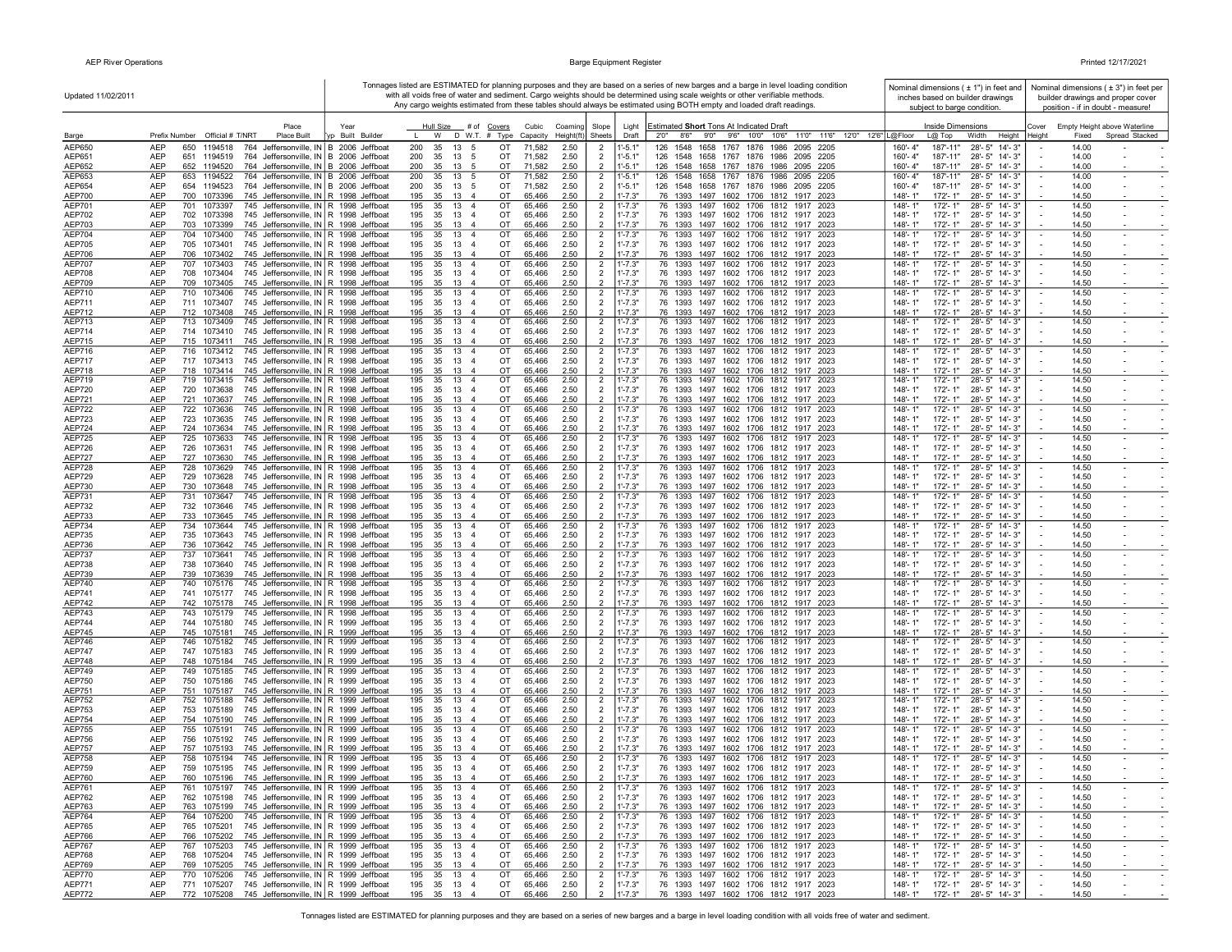$\mathbf{r}$ 

|                                | Updated 11/02/2011                                                                                                                         |                          | Tonnages listed are ESTIMATED for planning purposes and they are based on a series of new barges and a barge in level loading condition<br>with all voids free of water and sediment. Cargo weights should be determined using scale weights or other verifiable methods.<br>Any cargo weights estimated from these tables should always be estimated using BOTH empty and loaded draft readings. |                   | Nominal dimensions ( ± 1") in feet and<br>inches based on builder drawings | Nominal dimensions $(± 3")$ in feet per<br>builder drawings and proper cover<br>position - if in doubt - measure! |                            |                                                                                                                |                                                                                  |                                                                            |
|--------------------------------|--------------------------------------------------------------------------------------------------------------------------------------------|--------------------------|---------------------------------------------------------------------------------------------------------------------------------------------------------------------------------------------------------------------------------------------------------------------------------------------------------------------------------------------------------------------------------------------------|-------------------|----------------------------------------------------------------------------|-------------------------------------------------------------------------------------------------------------------|----------------------------|----------------------------------------------------------------------------------------------------------------|----------------------------------------------------------------------------------|----------------------------------------------------------------------------|
|                                | Place                                                                                                                                      |                          |                                                                                                                                                                                                                                                                                                                                                                                                   |                   |                                                                            |                                                                                                                   |                            |                                                                                                                | subject to barge condition.                                                      |                                                                            |
| Barge                          | Prefix Number Official # T/NRT<br><b>Place Built</b>                                                                                       | Year<br>yp Built Builder | Hull Size # of Covers<br>D W.T. # Type<br>W                                                                                                                                                                                                                                                                                                                                                       | Cubic<br>Capacity | Coaming<br>$Height(ft)$ Sheets                                             | Slope                                                                                                             | Light<br>Draft             | Estimated Short Tons At Indicated Draft<br>2'0''<br>8'6" 9'0" 9'6" 10'0" 10'6" 11'0" 11'6" 12'0" 12'6" L@Floor | Inside Dimensions<br>$L@$ Top<br>Width<br>Height                                 | Empty Height above Waterline<br>Cover<br>Spread Stacked<br>Height<br>Fixed |
| AEP650                         | AEP<br>650<br>1194518<br>764 Jeffersonville, IN B 2006 Jeffboat                                                                            |                          | 200<br>35<br>13<br>5                                                                                                                                                                                                                                                                                                                                                                              | OT                | 71,582<br>2.50                                                             | $\overline{2}$                                                                                                    | $1' - 5.1'$                | 126<br>1548<br>1658<br>1767 1876 1986 2095 2205                                                                | 160'-4"<br>187'-11"<br>$28 - 5"$<br>$14 - 3"$                                    | 14.00                                                                      |
| AEP651<br>AEP652               | <b>AEP</b><br>651 1194519<br>764 Jeffersonville, IN B 2006 Jeffboat<br><b>AEP</b><br>652 1194520<br>764 Jeffersonville, IN B 2006 Jeffboat |                          | 200<br>35<br>13<br>5<br>200<br>35<br>13<br>5                                                                                                                                                                                                                                                                                                                                                      | OT<br>OT          | 71,582<br>2.50<br>71,582<br>2.50                                           | 2<br>$\overline{2}$                                                                                               | $1' - 5.1"$<br>$1' - 5.1"$ | 126 1548 1658 1767 1876 1986 2095 2205<br>126 1548 1658 1767 1876 1986 2095 2205                               | 160'-4"<br>187'-11"<br>28'-5" 14'-3"<br>160'-4"<br>187'-11"<br>28'-5" 14'-3"     | 14.00<br>14.00                                                             |
| AEP653                         | AEP<br>764 Jeffersonville, IN B 2006 Jeffboat<br>653 1194522                                                                               |                          | 13<br>5<br>200<br>35                                                                                                                                                                                                                                                                                                                                                                              | OT                | 2.50<br>71,582                                                             | $\overline{2}$                                                                                                    | $1' - 5.1'$                | 126 1548 1658 1767 1876 1986 2095 2205                                                                         | 160'-4"<br>187'-11"<br>28'-5" 14'-3"                                             | 14.00<br>$\sim$<br>$\overline{\phantom{a}}$                                |
| AEP654                         | AEP<br>654 1194523<br>764 Jeffersonville, IN B 2006 Jeffboat                                                                               |                          | 35 13 5<br>200                                                                                                                                                                                                                                                                                                                                                                                    | OT<br>71,582      | 2.50                                                                       | $\overline{2}$                                                                                                    | $1' - 5.1"$                | 126 1548 1658 1767 1876 1986 2095 2205                                                                         | 160'-4"<br>187'-11"<br>28'-5" 14'-3"                                             | 14.00                                                                      |
| AEP700<br>AEP701               | AEP<br>745 Jeffersonville, IN R 1998 Jeffboat<br>700 1073396<br>AEP<br>701 1073397<br>745 Jeffersonville, IN R 1998 Jeffboat               |                          | 195<br>35 13 4<br>195<br>35 13 4                                                                                                                                                                                                                                                                                                                                                                  | OT<br>OT          | 2.50<br>65,466<br>65,466<br>2.50                                           | $\overline{2}$<br>2                                                                                               | $1' - 7.3"$<br>$1' - 7.3"$ | 76 1393 1497 1602 1706 1812 1917 2023<br>76 1393 1497 1602 1706 1812 1917 2023                                 | 148'-1"<br>172'-1"<br>28'-5" 14'-3"<br>148'-1"<br>172'-1"<br>28'-5" 14'-3"       | 14.50<br>14.50<br>$\overline{\phantom{a}}$                                 |
| AEP702                         | AEP<br>745 Jeffersonville, IN R 1998 Jeffboat<br>702 1073398                                                                               |                          | 195<br>35 13<br>$\overline{4}$                                                                                                                                                                                                                                                                                                                                                                    | OT                | 65,466<br>2.50                                                             | $\overline{2}$                                                                                                    | $1' - 7.3"$                | 76 1393 1497 1602 1706 1812 1917 2023                                                                          | 148'-1"<br>28'-5" 14'-3"<br>172'-1"                                              | 14.50                                                                      |
| <b>AEP703</b>                  | AEP<br>703 1073399<br>745 Jeffersonville, IN R 1998 Jeffboat                                                                               |                          | 195<br>35 13 4                                                                                                                                                                                                                                                                                                                                                                                    | OT                | 65,466<br>2.50                                                             | $\overline{2}$                                                                                                    | $1' - 7.3"$                | 76 1393 1497 1602 1706 1812 1917 2023                                                                          | $148 - 1"$<br>172'-1"<br>28'-5" 14'-3"                                           | 14.50                                                                      |
| AEP704<br>AEP705               | AEP<br>704 1073400<br>745 Jeffersonville, IN R 1998 Jeffboat<br>AEP<br>745 Jeffersonville, IN R 1998 Jeffboat<br>705 1073401               |                          | 13<br>195<br>35<br>$\overline{4}$<br>195<br>13<br>35<br>$\overline{4}$                                                                                                                                                                                                                                                                                                                            | OT<br>OT          | 2.50<br>65,466<br>2.50<br>65,466                                           | $\overline{2}$<br>$\overline{2}$                                                                                  | $1' - 7.3"$<br>$1' - 7.3"$ | 76 1393 1497 1602 1706 1812 1917 2023<br>76 1393 1497 1602 1706 1812 1917 2023                                 | $772 - 1"$<br>28'-5" 14'-3"<br>148'-1"<br>148'-1"<br>28'-5" 14'-3"<br>172'-1"    | 14.50<br>$\blacksquare$<br>14.50<br>$\sim$                                 |
| AEP706                         | AEP<br>745 Jeffersonville, IN R 1998 Jeffboat<br>706 1073402                                                                               |                          | 13<br>195<br>35<br>$\overline{4}$                                                                                                                                                                                                                                                                                                                                                                 | OT                | 2.50<br>65,466                                                             | $\overline{2}$                                                                                                    | $1' - 7.3"$                | 76 1393 1497 1602 1706 1812 1917 2023                                                                          | 148'-1"<br>172'-1"<br>28'-5" 14'-3"                                              | 14.50                                                                      |
| <b>AEP707</b>                  | AEP<br>707<br>1073403<br>745 Jeffersonville, IN R 1998 Jeffboat                                                                            |                          | 195<br>35<br>13<br>$\overline{4}$                                                                                                                                                                                                                                                                                                                                                                 | OT                | 65,466<br>2.50                                                             | $\overline{2}$                                                                                                    | $1' - 7.3"$                | 76 1393 1497 1602 1706 1812 1917 2023                                                                          | 148'-1"<br>172'-1"<br>28'-5" 14'-3"                                              | 14.50                                                                      |
| <b>AEP708</b><br>AEP709        | AEP<br>745 Jeffersonville, IN R 1998 Jeffboat<br>708 1073404<br><b>AEP</b><br>709 1073405<br>745 Jeffersonville, IN R 1998 Jeffboat        |                          | 195<br>35<br>13<br>$\overline{4}$<br>195<br>35 13<br>$\overline{4}$                                                                                                                                                                                                                                                                                                                               | OT<br>OT          | 65,466<br>2.50<br>65.466<br>2.50                                           | $\overline{2}$<br>$\overline{2}$                                                                                  | $1' - 7.3"$<br>$1' - 7.3"$ | 76 1393 1497 1602 1706 1812 1917 2023<br>76 1393 1497 1602 1706 1812 1917 2023                                 | 148'-1"<br>172'-1"<br>28'-5" 14'-3"<br>148'-1"<br>$172 - 1"$<br>28'-5" 14'-3"    | 14.50<br>14.50                                                             |
| AEP710                         | 745 Jeffersonville, IN R 1998 Jeffboat<br>AEP<br>710 1073406                                                                               |                          | 13<br>195<br>35<br>$\overline{4}$                                                                                                                                                                                                                                                                                                                                                                 | OT                | 2.50<br>65,466                                                             | $\overline{2}$                                                                                                    | $1' - 7.3"$                | 76 1393 1497 1602 1706 1812 1917 2023                                                                          | 148'-1"<br>172'-1"<br>28'-5" 14'-3"                                              | 14.50<br>$\sim$<br>$\overline{\phantom{a}}$                                |
| AEP711                         | AEP<br>711 1073407<br>745 Jeffersonville, IN R 1998 Jeffboat                                                                               |                          | 195<br>35 13<br>$\overline{4}$                                                                                                                                                                                                                                                                                                                                                                    | OT                | 2.50<br>65,466                                                             | $\overline{2}$<br>$\overline{2}$                                                                                  | $1' - 7.3"$<br>$1' - 7.3"$ | 76 1393 1497 1602 1706 1812 1917 2023                                                                          | $148 - 1"$<br>172'-1"<br>28'-5" 14'-3"                                           | 14.50<br>$\sim$                                                            |
| AEP712<br><b>AEP713</b>        | 745 Jeffersonville, IN R 1998 Jeffboat<br>AEP<br>712 1073408<br>AEP<br>713 1073409<br>745 Jeffersonville, IN R 1998 Jeffboat               |                          | 195<br>35 13 4<br>195<br>35<br>13 4                                                                                                                                                                                                                                                                                                                                                               | OT<br>OT          | 2.50<br>65,466<br>65,466<br>2.50                                           | $\overline{2}$                                                                                                    | $1' - 7.3"$                | 76 1393 1497 1602 1706 1812 1917 2023<br>76 1393 1497 1602 1706 1812 1917 2023                                 | 28'-5" 14'-3"<br>148'-1"<br>172'-1"<br>148'-1'<br>172'-1"<br>28'-5" 14'-3"       | 14.50<br>14.50<br>$\sim$<br>$\sim$                                         |
| AEP714                         | AEP<br>714 1073410<br>745 Jeffersonville, IN R 1998 Jeffboat                                                                               |                          | 195<br>35 13<br>$\overline{4}$                                                                                                                                                                                                                                                                                                                                                                    | OT                | 65,466<br>2.50                                                             | $\overline{2}$                                                                                                    | $1' - 7.3"$                | 76 1393 1497 1602 1706 1812 1917 2023                                                                          | 148'-1"<br>28'-5" 14'-3"<br>172'-1"                                              | 14.50                                                                      |
| <b>AEP715</b><br>AEP716        | <b>AEP</b><br>715 1073411<br>745 Jeffersonville, IN R 1998 Jeffboat<br>AEP<br>745 Jeffersonville, IN R 1998 Jeffboat<br>716 1073412        |                          | 195<br>35 13<br>$\overline{4}$<br>35<br>13<br>$\overline{4}$<br>195                                                                                                                                                                                                                                                                                                                               | OT<br>OT          | 65,466<br>2.50<br>65,466<br>2.50                                           | $\overline{2}$                                                                                                    | $1' - 7.3"$<br>$1' - 7.3"$ | 76 1393 1497 1602 1706 1812 1917 2023<br>76 1393 1497 1602 1706 1812 1917 2023                                 | 148'-1"<br>$172 - 1"$<br>28'-5" 14'-3"<br>148'-1"<br>$172 - 1'$<br>28'-5" 14'-3" | 14.50<br>14.50<br>$\sim$                                                   |
| AEP717                         | AEP<br>717 1073413<br>745 Jeffersonville, IN R 1998 Jeffboat                                                                               |                          | 13<br>195<br>35<br>$\overline{4}$                                                                                                                                                                                                                                                                                                                                                                 | OT                | 65,466<br>2.50                                                             | $\overline{2}$<br>$\overline{2}$                                                                                  | $1' - 7.3"$                | 76 1393 1497 1602 1706 1812 1917 2023                                                                          | 148'-1"<br>172'-1"<br>28'-5" 14'-3"                                              | 14.50                                                                      |
| AEP718                         | <b>AEP</b><br>718 1073414<br>745 Jeffersonville, IN R 1998 Jeffboat                                                                        |                          | 35<br>13<br>195<br>$\overline{4}$                                                                                                                                                                                                                                                                                                                                                                 | OT                | 65,466<br>2.50                                                             | $\mathcal{D}$                                                                                                     | $1' - 7.3"$                | 76 1393 1497 1602 1706 1812 1917 2023                                                                          | 148'-1"<br>172'-1"<br>28'-5" 14'-3"                                              | 14.50                                                                      |
| <b>AEP719</b><br><b>AEP720</b> | AEP<br>719 1073415<br>745 Jeffersonville, IN R 1998 Jeffboat<br>AEP<br>745 Jeffersonville, IN R 1998 Jeffboat<br>720<br>1073638            |                          | 195<br>35<br>13<br>$\overline{4}$<br>35<br>13<br>195<br>$\overline{4}$                                                                                                                                                                                                                                                                                                                            | OT<br>OT          | 2.50<br>65,466<br>65,466<br>2.50                                           | $\overline{2}$<br>$\overline{2}$                                                                                  | $1' - 7.3"$<br>$1' - 7.3"$ | 76 1393 1497 1602 1706 1812 1917 2023<br>76 1393 1497 1602 1706 1812 1917 2023                                 | 148'-1"<br>172'-1'<br>28'-5" 14'-3"<br>148'-1"<br>172'-1"<br>28'-5" 14'-3"       | 14.50<br>$\sim$<br>14.50<br>$\sim$                                         |
| AEP721                         | <b>AEP</b><br>721 1073637<br>745 Jeffersonville, IN R 1998 Jeffboat                                                                        |                          | 195<br>35<br>13<br>$\overline{a}$                                                                                                                                                                                                                                                                                                                                                                 | OT                | 65.466<br>2.50                                                             | $\mathcal{P}$                                                                                                     | $1' - 7.3"$                | 76 1393 1497 1602 1706 1812 1917 2023                                                                          | $148 - 1"$<br>172'-1"<br>28'-5" 14'-3"                                           | 14.50                                                                      |
| <b>AEP722</b>                  | <b>AEP</b><br>722 1073636<br>745 Jeffersonville, IN R 1998 Jeffboat                                                                        |                          | 195<br>35<br>13<br>$\overline{4}$                                                                                                                                                                                                                                                                                                                                                                 | OT                | 65,466<br>2.50                                                             | $\overline{2}$                                                                                                    | $1' - 7.3"$                | 76 1393 1497 1602 1706 1812 1917 2023                                                                          | 148'-1"<br>172'-1"<br>28'-5" 14'-3"                                              | 14.50<br>$\sim$<br>$\overline{\phantom{a}}$                                |
| AEP723<br><b>AEP724</b>        | AEP<br>723 1073635<br>745 Jeffersonville, IN R 1998 Jeffboat<br>AEP<br>745 Jeffersonville, IN R 1998 Jeffboat<br>724 1073634               |                          | 195<br>35<br>13<br>$\overline{4}$<br>195<br>35 13<br>$\overline{4}$                                                                                                                                                                                                                                                                                                                               | OT<br>OT          | 65,466<br>2.50<br>65,466<br>2.50                                           | $\overline{2}$<br>$\overline{2}$                                                                                  | $1' - 7.3"$<br>$1' - 7.3"$ | 76 1393 1497 1602 1706 1812 1917 2023<br>76 1393 1497 1602 1706 1812 1917 2023                                 | $148 - 1"$<br>172'-1"<br>28'-5" 14'-3"<br>148'-1"<br>172'-1"<br>28'-5" 14'-3"    | 14.50<br>14.50                                                             |
| <b>AEP725</b>                  | AEP<br>725 1073633<br>745 Jeffersonville, IN R 1998 Jeffboat                                                                               |                          | 195<br>35 13 4                                                                                                                                                                                                                                                                                                                                                                                    | OT                | 2.50<br>65,466                                                             | $\overline{2}$                                                                                                    | $1' - 7.3"$                | 76 1393 1497 1602 1706 1812 1917 2023                                                                          | 172'-1"<br>148'-1"<br>28'-5" 14'-3"                                              | 14.50<br>$\sim$<br>$\sim$                                                  |
| <b>AEP726</b>                  | AEP<br>1073631<br>745 Jeffersonville, IN R 1998 Jeffboat<br>726                                                                            |                          | 195 35 13<br>$\overline{4}$                                                                                                                                                                                                                                                                                                                                                                       | OT                | 65,466<br>2.50                                                             | $\overline{2}$                                                                                                    | $1' - 7.3"$                | 76 1393 1497 1602 1706 1812 1917 2023                                                                          | 148'-1"<br>172'-1"<br>28'-5" 14'-3"                                              | 14.50                                                                      |
| <b>AEP727</b><br><b>AEP728</b> | AEP<br>727 1073630<br>745 Jeffersonville, IN R 1998 Jeffboat<br>AEP<br>728 1073629<br>745 Jeffersonville, IN R 1998 Jeffboat               |                          | 195<br>35<br>13<br>$\overline{4}$<br>195<br>35<br>13<br>$\overline{4}$                                                                                                                                                                                                                                                                                                                            | OT<br>OT          | 65,466<br>2.50<br>65,466<br>2.50                                           | $\overline{2}$<br>$\overline{2}$                                                                                  | $1' - 7.3"$<br>$1' - 7.3"$ | 76 1393 1497 1602 1706 1812 1917 2023<br>76 1393 1497 1602 1706 1812 1917 2023                                 | 172'-1"<br>28'-5" 14'-3"<br>148'-1"<br>148'-1"<br>172'-1"<br>28'-5" 14'-3"       | 14.50<br>14.50                                                             |
| AEP729                         | AEP<br>729 1073628<br>745 Jeffersonville, IN R 1998 Jeffboat                                                                               |                          | 195<br>13<br>35<br>$\overline{4}$                                                                                                                                                                                                                                                                                                                                                                 | OT                | 65,466<br>2.50                                                             | $\overline{2}$                                                                                                    | $1' - 7.3"$                | 76 1393 1497 1602 1706 1812 1917 2023                                                                          | 148'-1"<br>172'-1"<br>28'-5" 14'-3"                                              | 14.50                                                                      |
| AEP730                         | AEP<br>730 1073648<br>745 Jeffersonville, IN R 1998 Jeffboat                                                                               |                          | 195<br>13<br>35<br>$\overline{4}$                                                                                                                                                                                                                                                                                                                                                                 | OT                | 65,466<br>2.50                                                             | $\overline{2}$                                                                                                    | $1' - 7.3"$                | 76 1393 1497 1602 1706 1812 1917 2023                                                                          | 28'-5" 14'-3"<br>148'-1"<br>172'-1"                                              | 14.50                                                                      |
| AEP731<br><b>AEP732</b>        | AEP<br>731 1073647<br>745 Jeffersonville, IN R 1998 Jeffboat<br>AEP<br>732 1073646<br>745 Jeffersonville, IN R 1998 Jeffboat               |                          | 13<br>195<br>35<br>$\overline{4}$<br>195<br>35<br>13<br>$\overline{4}$                                                                                                                                                                                                                                                                                                                            | OT<br>OT          | 2.50<br>65,466<br>65,466<br>2.50                                           | $\overline{2}$<br>$\overline{2}$                                                                                  | $1' - 7.3"$<br>$1' - 7.3"$ | 76 1393 1497 1602 1706 1812 1917 2023<br>76 1393 1497 1602 1706 1812 1917 2023                                 | 148'-1"<br>28'-5" 14'-3"<br>172'-1"<br>148'-1"<br>172'-1"<br>28'-5" 14'-3"       | 14.50<br>14.50<br>$\sim$                                                   |
| AEP733                         | AEP<br>733 1073645<br>745 Jeffersonville, IN R 1998 Jeffboat                                                                               |                          | 195<br>35<br>13<br>$\overline{4}$                                                                                                                                                                                                                                                                                                                                                                 | OT                | 65,466<br>2.50                                                             | $\overline{2}$                                                                                                    | $1' - 7.3"$                | 76 1393 1497 1602 1706 1812 1917 2023                                                                          | 148'-1"<br>172'-1"<br>28'-5" 14'-3"                                              | 14.50                                                                      |
| AEP734                         | <b>AEP</b><br>734 1073644<br>745 Jeffersonville, IN R 1998 Jeffboat                                                                        |                          | 195<br>35<br>13<br>$\overline{4}$<br>195<br>$\overline{4}$                                                                                                                                                                                                                                                                                                                                        | OT<br>OT          | 65,466<br>2.50<br>2.50                                                     | $\overline{2}$                                                                                                    | $1' - 7.3"$<br>$1' - 7.3"$ | 76 1393 1497 1602 1706 1812 1917 2023                                                                          | 148'-1"<br>172'-1"<br>28'-5" 14'-3"<br>148'-1"                                   | 14.50                                                                      |
| AEP735<br>AEP736               | AEP<br>735 1073643<br>745 Jeffersonville, IN R 1998 Jeffboat<br>AEP<br>745 Jeffersonville, IN R 1998 Jeffboat<br>736 1073642               |                          | 35<br>13<br>195<br>35<br>13<br>$\overline{4}$                                                                                                                                                                                                                                                                                                                                                     | OT                | 65,466<br>2.50<br>65,466                                                   | $\overline{2}$<br>$\overline{2}$                                                                                  | $1' - 7.3"$                | 76 1393 1497 1602 1706 1812 1917 2023<br>76 1393 1497 1602 1706 1812 1917 2023                                 | 172'-1"<br>28'-5" 14'-3"<br>148'-1"<br>28'-5" 14'-3"<br>172'-1"                  | 14.50<br>14.50                                                             |
| <b>AEP737</b>                  | AEP<br>745 Jeffersonville, IN R 1998 Jeffboat<br>737 1073641                                                                               |                          | 195<br>13<br>$\overline{4}$<br>35                                                                                                                                                                                                                                                                                                                                                                 | OT                | 65,466<br>2.50                                                             | $\overline{2}$                                                                                                    | $1' - 7.3"$                | 76 1393 1497 1602 1706 1812 1917 2023                                                                          | 148'-1"<br>28'-5" 14'-3"<br>172'-1"                                              | 14.50                                                                      |
| AEP738<br>AEP739               | AEP<br>738 1073640<br>745 Jeffersonville, IN R 1998 Jeffboat<br>AEP<br>739 1073639<br>745 Jeffersonville, IN R 1998 Jeffboat               |                          | 195<br>35<br>13<br>$\overline{4}$<br>195<br>35 13 4                                                                                                                                                                                                                                                                                                                                               | OT<br>OT          | 65,466<br>2.50<br>65,466<br>2.50                                           | $\overline{2}$<br>$\overline{2}$                                                                                  | $1' - 7.3"$<br>$1' - 7.3"$ | 76 1393 1497 1602 1706 1812 1917 2023<br>76 1393 1497 1602 1706 1812 1917 2023                                 | 148'-1"<br>172'-1"<br>28'-5" 14'-3"<br>148'-1"<br>172'-1"<br>28'-5" 14'-3"       | 14.50<br>14.50                                                             |
| AEP740                         | <b>AEP</b><br>740<br>1075176<br>745 Jeffersonville, IN R 1998 Jeffboat                                                                     |                          | 195<br>35<br>13<br>$\overline{4}$                                                                                                                                                                                                                                                                                                                                                                 | OT                | 65,466<br>2.50                                                             | $\overline{2}$                                                                                                    | $1' - 7.3"$                | 76 1393 1497 1602 1706 1812 1917 2023                                                                          | 148'-1"<br>172'-1"<br>28'-5" 14'-3"                                              | 14.50                                                                      |
| AEP741                         | <b>AEP</b><br>741 1075177<br>745 Jeffersonville, IN R 1998 Jeffboat                                                                        |                          | 13<br>195<br>35<br>$\overline{4}$                                                                                                                                                                                                                                                                                                                                                                 | OT                | 65,466<br>2.50                                                             | $\overline{2}$                                                                                                    | $1' - 7.3"$                | 76 1393 1497 1602 1706 1812 1917 2023                                                                          | 148'-1"<br>28'-5" 14'-3"<br>172'-1"                                              | 14.50                                                                      |
| <b>AEP742</b><br><b>AEP743</b> | 742 1075178<br>AEP<br>745 Jeffersonville, IN R 1998 Jeffboat<br>AEP<br>745 Jeffersonville, IN R 1998 Jeffboat<br>743<br>1075179            |                          | 195<br>13<br>35<br>$\overline{4}$<br>13<br>$\overline{4}$<br>195<br>35                                                                                                                                                                                                                                                                                                                            | OT<br>OT          | 65,466<br>2.50<br>2.50<br>65,466                                           | $\overline{2}$<br>$\overline{2}$                                                                                  | $1' - 7.3"$<br>$1' - 7.3"$ | 76 1393 1497 1602 1706 1812 1917 2023<br>76 1393 1497 1602 1706 1812 1917<br>2023                              | 148'-1"<br>$172 - 1"$<br>28'-5" 14'-3"<br>172'-1'<br>28'-5" 14'-3"<br>148'-1"    | 14.50<br>14.50<br>$\overline{\phantom{a}}$<br>$\sim$                       |
| <b>AEP744</b>                  | AEP<br>744 1075180<br>745 Jeffersonville, IN R 1999 Jeffboat                                                                               |                          | 195<br>35<br>13<br>$\overline{4}$                                                                                                                                                                                                                                                                                                                                                                 | OT                | 65,466<br>2.50                                                             | $\overline{2}$                                                                                                    | $1' - 7.3"$                | 76 1393 1497 1602 1706 1812 1917 2023                                                                          | 148'-1"<br>172'-1"<br>28'-5" 14'-3"                                              | 14.50                                                                      |
| <b>AEP745</b>                  | AEP<br>745 1075181<br>745 Jeffersonville, IN R 1999 Jeffboat<br><b>AEP</b><br>746<br>1075182                                               |                          | 195<br>35<br>13<br>$\overline{4}$<br>195<br>35<br>13<br>$\overline{4}$                                                                                                                                                                                                                                                                                                                            | OT<br>OT          | 65,466<br>2.50                                                             | $\overline{2}$                                                                                                    | $1' - 7.3"$                | 76 1393 1497 1602 1706 1812 1917 2023<br>76 1393 1497 1602 1706 1812 1917 2023                                 | $148 - 1"$<br>172'-1"<br>28'-5" 14'-3"<br>148'-1"<br>$172 - 1'$<br>28'-5" 14'-3" | 14.50<br>14.50                                                             |
| <b>AEP746</b><br><b>AEP747</b> | 745 Jeffersonville, IN R 1999 Jeffboat<br>AEP<br>747 1075183<br>745 Jeffersonville, IN R 1999 Jeffboat                                     |                          | 195<br>35<br>13<br>$\overline{4}$                                                                                                                                                                                                                                                                                                                                                                 | OT                | 65,466<br>2.50<br>65,466<br>2.50                                           | $\overline{2}$<br>$\overline{2}$                                                                                  | $1' - 7.3"$<br>$1' - 7.3"$ | 76 1393 1497 1602 1706 1812 1917 2023                                                                          | $148 - 1"$<br>$172 - 1"$<br>28'-5" 14'-3"                                        | $\sim$<br>14.50<br>$\sim$                                                  |
| <b>AEP748</b>                  | AEP<br>748 1075184<br>745 Jeffersonville, IN R 1999 Jeffboat                                                                               |                          | 195<br>35<br>13<br>$\overline{4}$                                                                                                                                                                                                                                                                                                                                                                 | OT                | 2.50<br>65,466                                                             | $\overline{2}$                                                                                                    | $1' - 7.3"$                | 76 1393 1497 1602 1706 1812 1917 2023                                                                          | 148'-1"<br>172'-1"<br>28'-5" 14'-3"                                              | 14.50                                                                      |
| <b>AEP749</b><br>AEP750        | AEP<br>745 Jeffersonville, IN R 1999 Jeffboat<br>749 1075185<br>AEP<br>750 1075186<br>745 Jeffersonville, IN R 1999 Jeffboat               |                          | 13<br>$\overline{4}$<br>195<br>35<br>195 35 13 4                                                                                                                                                                                                                                                                                                                                                  | OT<br>OT          | 2.50<br>65,466<br>2.50<br>65,466                                           | $\overline{2}$<br>$\overline{2}$                                                                                  | $1' - 7.3"$<br>$1' - 7.3"$ | 76 1393 1497 1602 1706 1812 1917 2023<br>76 1393 1497 1602 1706 1812 1917 2023                                 | 172'-1"<br>148'-1"<br>28'-5" 14'-3"<br>148'-1"<br>172'- 1"<br>28'-5" 14'-3"      | 14.50<br>$\overline{\phantom{a}}$<br>$\sim$<br>14.50                       |
| AEP751                         | AEP<br>751 1075187<br>745 Jeffersonville, IN R 1999 Jeffboat                                                                               |                          | 195<br>35 13 4                                                                                                                                                                                                                                                                                                                                                                                    | OT                | 65,466<br>2.50                                                             | $\overline{2}$                                                                                                    | $1' - 7.3"$                | 76 1393 1497 1602 1706 1812 1917 2023                                                                          | $148 - 1"$<br>172'-1"<br>28'-5" 14'-3"                                           | 14.50                                                                      |
| <b>AEP752</b>                  | AEP<br>745 Jeffersonville, IN R 1999 Jeffboat<br>752 1075188                                                                               |                          | 35 13 4<br>195                                                                                                                                                                                                                                                                                                                                                                                    | OT                | 2.50<br>65,466                                                             | 2                                                                                                                 | $1' - 7.3"$                | 76 1393 1497 1602 1706 1812 1917 2023                                                                          | 28'-5" 14'-3"<br>148'-1"<br>172'-1"                                              | 14.50<br>$\sim$                                                            |
| AEP753<br>AEP754               | AEP<br>753 1075189<br>745 Jeffersonville, IN R 1999 Jeffboat<br>745 Jeffersonville, IN R 1999 Jeffboat<br>AEP<br>754 1075190               |                          | 195 35 13 4<br>195<br>35<br>13<br>$\overline{4}$                                                                                                                                                                                                                                                                                                                                                  | OT<br>OT          | 65,466<br>2.50<br>2.50<br>65,466                                           | $\overline{2}$<br>$\overline{2}$                                                                                  | $1' - 7.3"$<br>$1' - 7.3"$ | 76 1393 1497 1602 1706 1812 1917 2023<br>76 1393 1497 1602 1706 1812 1917 2023                                 | $148 - 1"$<br>172'-1"<br>28'-5" 14'-3"<br>172'-1"<br>28'-5" 14'-3"<br>148'-1"    | 14.50<br>14.50                                                             |
| AEP755                         | AEP<br>755 1075191<br>745 Jeffersonville, IN R 1999 Jeffboat                                                                               |                          | 195<br>13<br>35<br>$\overline{4}$                                                                                                                                                                                                                                                                                                                                                                 | OT                | 2.50<br>65,466                                                             | $\overline{2}$                                                                                                    | $1' - 7.3"$                | 76 1393 1497 1602 1706 1812 1917 2023                                                                          | 172'-1"<br>28'-5" 14'-3"<br>148'-1"                                              | 14.50                                                                      |
| <b>AEP756</b>                  | AEP<br>756 1075192<br>745 Jeffersonville, IN R 1999 Jeffboat                                                                               |                          | 195<br>35<br>13<br>$\overline{4}$                                                                                                                                                                                                                                                                                                                                                                 | OT                | 65,466<br>2.50                                                             | $\overline{2}$                                                                                                    | $1' - 7.3"$                | 76 1393 1497 1602 1706 1812 1917 2023                                                                          | 148'-1"<br>172'-1"<br>28'-5" 14'-3"                                              | 14.50                                                                      |
| <b>AEP757</b><br><b>AEP758</b> | AEP<br>757 1075193<br>745 Jeffersonville, IN R 1999 Jeffboat<br>AEP<br>745 Jeffersonville, IN R 1999 Jeffboat<br>758<br>1075194            |                          | 195<br>35<br>13<br>$\overline{4}$<br>195<br>35<br>13<br>$\overline{4}$                                                                                                                                                                                                                                                                                                                            | OT<br>OT          | 65,466<br>2.50<br>65,466<br>2.50                                           | $\overline{2}$<br>2                                                                                               | $1' - 7.3"$<br>$1' - 7.3'$ | 76 1393 1497 1602 1706 1812 1917 2023<br>76 1393 1497 1602 1706 1812 1917 2023                                 | $148 - 1"$<br>172'-1"<br>28'-5" 14'-3"<br>148'-1"<br>172'-1"<br>28'-5" 14'-3"    | 14.50<br>14.50<br>$\sim$                                                   |
| <b>AEP759</b>                  | <b>AEP</b><br>759 1075195<br>745 Jeffersonville, IN R 1999 Jeffboat                                                                        |                          | 195 35 13 4                                                                                                                                                                                                                                                                                                                                                                                       | OT                | 65,466<br>2.50                                                             | $\overline{2}$                                                                                                    | $1' - 7.3"$                | 76 1393 1497 1602 1706 1812 1917 2023                                                                          | 148'-1"<br>172'-1"<br>28'-5" 14'-3"                                              | 14.50                                                                      |
| AEP760                         | AEP<br>745 Jeffersonville, IN R 1999 Jeffboat<br>760 1075196                                                                               |                          | 195 35 13 4                                                                                                                                                                                                                                                                                                                                                                                       | OT                | 2.50<br>65,466                                                             | $\overline{2}$                                                                                                    | $1' - 7.3"$                | 76 1393 1497 1602 1706 1812 1917 2023                                                                          | 148'-1"<br>172'-1" 28'-5" 14'-3"                                                 | 14.50                                                                      |
| AEP761<br><b>AEP762</b>        | 745 Jeffersonville, IN R 1999 Jeffboat<br>AEP<br>761 1075197<br>745 Jeffersonville, IN R 1999 Jeffboat<br>AEP<br>762 1075198               |                          | 195<br>13<br>35<br>$\overline{4}$<br>195<br>35 13<br>$\overline{4}$                                                                                                                                                                                                                                                                                                                               | ОT<br>OT          | 65,466<br>2.50<br>65,466<br>2.50                                           | $\overline{2}$<br>$\overline{2}$                                                                                  | $1' - 7.3"$<br>$1' - 7.3"$ | 76 1393 1497 1602 1706 1812 1917 2023<br>76 1393 1497 1602 1706 1812 1917 2023                                 | 148'- 1"<br>172'- 1"<br>28'-5" 14'-3"<br>28'-5" 14'-3"<br>148'-1"<br>172'- 1"    | 14.50<br>14.50                                                             |
| AEP763                         | 763 1075199<br>745 Jeffersonville, IN R 1999 Jeffboat<br>AEP                                                                               |                          | 195 35 13 4                                                                                                                                                                                                                                                                                                                                                                                       | OT                | 2.50<br>65,466                                                             | $\overline{2}$                                                                                                    | $1' - 7.3"$                | 76 1393 1497 1602 1706 1812 1917 2023                                                                          | 148'-1"<br>172'-1"<br>28'-5" 14'-3"                                              | 14.50                                                                      |
| AEP764                         | AEP<br>764 1075200<br>745 Jeffersonville, IN R 1999 Jeffboat                                                                               |                          | 195<br>35 13 4                                                                                                                                                                                                                                                                                                                                                                                    | OT                | 65,466<br>2.50                                                             | $\overline{2}$                                                                                                    | $1' - 7.3"$                | 76 1393 1497 1602 1706 1812 1917 2023                                                                          | 148'-1"<br>172'-1"<br>28'-5" 14'-3"                                              | 14.50<br>$\sim$                                                            |
| AEP765<br><b>AEP766</b>        | 745 Jeffersonville, IN R 1999 Jeffboat<br>AEP<br>765 1075201<br>AEP<br>766 1075202<br>745 Jeffersonville, IN R 1999 Jeffboat               |                          | 195<br>35 13 4<br>195<br>35 13 4                                                                                                                                                                                                                                                                                                                                                                  | OT<br>OT          | 65,466<br>2.50<br>2.50<br>65,466                                           | $\overline{2}$<br>$\overline{2}$                                                                                  | $1' - 7.3"$<br>$1' - 7.3"$ | 76 1393 1497 1602 1706 1812 1917 2023<br>76 1393 1497 1602 1706 1812 1917 2023                                 | 148'-1"<br>172'-1"<br>28'-5" 14'-3"<br>28'-5" 14'-3"<br>148'-1"<br>172'-1"       | 14.50<br>$\sim$<br>14.50                                                   |
| <b>AEP767</b>                  | 745 Jeffersonville, IN R 1999 Jeffboat<br>AEP<br>767 1075203                                                                               |                          | 35 13 4<br>195                                                                                                                                                                                                                                                                                                                                                                                    | OT                | 2.50<br>65,466                                                             | $\overline{2}$                                                                                                    | $1' - 7.3"$                | 76 1393 1497 1602 1706 1812 1917 2023                                                                          | 148'-1"<br>172'-1"<br>28'-5" 14'-3"                                              | 14.50<br>$\overline{\phantom{a}}$                                          |
| <b>AEP768</b>                  | 745 Jeffersonville, IN R 1999 Jeffboat<br>768 1075204<br>AEP<br>745 Jeffersonville, IN R 1999 Jeffboat                                     |                          | 195<br>35 13<br>$\overline{4}$<br>195                                                                                                                                                                                                                                                                                                                                                             | OT                | 65,466<br>2.50                                                             | $\overline{2}$<br>$\overline{2}$                                                                                  | $1' - 7.3"$<br>$1' - 7.3"$ | 76 1393 1497 1602 1706 1812 1917 2023                                                                          | 172'-1"<br>148'- 1"<br>28'-5" 14'-3"<br>148'-1"<br>172'-1"<br>28'-5" 14'-3"      | 14.50                                                                      |
| AEP769<br>AEP770               | 769 1075205<br>AEP<br>AEP<br>770 1075206<br>745 Jeffersonville, IN R 1999 Jeffboat                                                         |                          | 35 13<br>$\overline{4}$<br>195<br>35 13 4                                                                                                                                                                                                                                                                                                                                                         | OT<br>OT          | 65,466<br>2.50<br>65,466<br>2.50                                           | $\overline{2}$                                                                                                    | $1' - 7.3"$                | 76 1393 1497 1602 1706 1812 1917 2023<br>76 1393 1497 1602 1706 1812 1917 2023                                 | 148'-1"<br>172'-1"<br>28'-5" 14'-3"                                              | 14.50<br>14.50<br>$\blacksquare$<br>$\sim$                                 |
| AEP771                         | 771 1075207 745 Jeffersonville, IN R 1999 Jeffboat<br><b>AEP</b>                                                                           |                          | 195 35 13 4                                                                                                                                                                                                                                                                                                                                                                                       | OT                | 65,466<br>2.50                                                             | $\overline{2}$                                                                                                    | $1' - 7.3"$                | 76 1393 1497 1602 1706 1812 1917 2023                                                                          | 148'-1" 172'-1" 28'-5" 14'-3"                                                    | 14.50<br>$\sim$<br>$\sim$                                                  |
| <b>AEP772</b>                  | 772 1075208 745 Jeffersonville, IN R 1999 Jeffboat<br>AEP                                                                                  |                          | 195 35 13 4                                                                                                                                                                                                                                                                                                                                                                                       | OT 65,466         | 2.50                                                                       | $2$ 1'-7.3"                                                                                                       |                            | 76 1393 1497 1602 1706 1812 1917 2023                                                                          | 148'-1" 172'-1" 28'-5" 14'-3"                                                    | 14.50                                                                      |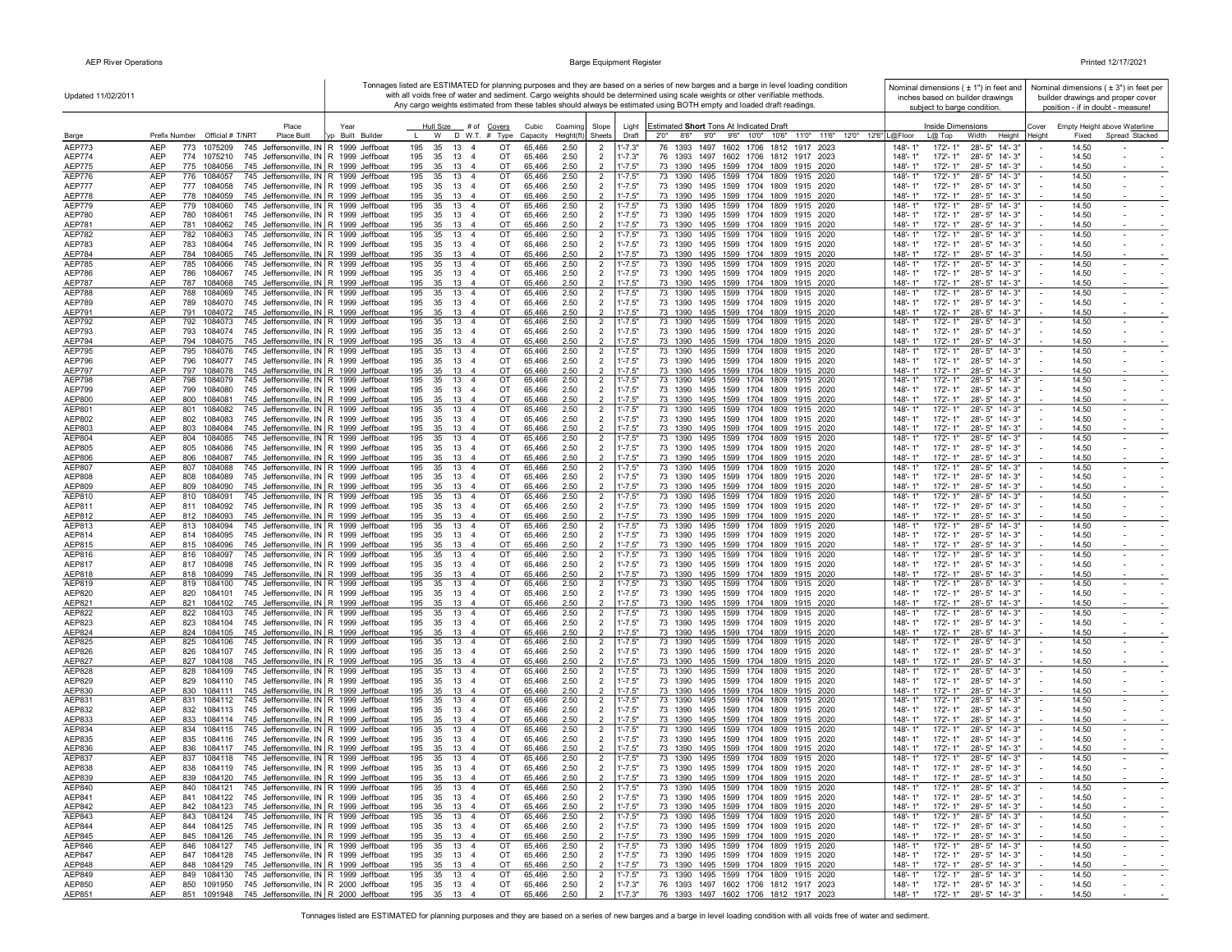$\mathbf{r}$ 

|                                | Updated 11/02/2011                                                                                                                               |                          |                                                                                    |                                  |                                                                | Tonnages listed are ESTIMATED for planning purposes and they are based on a series of new barges and a barge in level loading condition<br>with all voids free of water and sediment. Cargo weights should be determined using scale weights or other verifiable methods.<br>Any cargo weights estimated from these tables should always be estimated using BOTH empty and loaded draft readings. | Nominal dimensions $(± 1")$ in feet and<br>inches based on builder drawings<br>subject to barge condition. | Nominal dimensions $(±3")$ in feet per<br>builder drawings and proper cover<br>position - if in doubt - measure! |
|--------------------------------|--------------------------------------------------------------------------------------------------------------------------------------------------|--------------------------|------------------------------------------------------------------------------------|----------------------------------|----------------------------------------------------------------|---------------------------------------------------------------------------------------------------------------------------------------------------------------------------------------------------------------------------------------------------------------------------------------------------------------------------------------------------------------------------------------------------|------------------------------------------------------------------------------------------------------------|------------------------------------------------------------------------------------------------------------------|
| Barge                          | Place<br>Prefix Number Official # T/NRT<br><b>Place Built</b>                                                                                    | Year<br>/p Built Builder | Hull Size # of Covers<br>D W.T. # Type<br>W                                        | Cubic<br>Coaming<br>Capacity     | Slope<br>Light<br>$Height(ft)$ Sheets<br>Draft                 | <b>Estimated Short Tons At Indicated Draft</b><br>2'0" 8'6" 9'0" 9'6" 10'0" 10'6" 11'0" 11'6" 12'0" 12'6" L@Floor                                                                                                                                                                                                                                                                                 | Inside Dimensions<br>Width<br>L@ Top<br>Height                                                             | Empty Height above Waterline<br>Cover<br>Spread Stacked<br>Height<br>Fixed                                       |
| AEP773                         | <b>AEP</b><br>773<br>1075209<br>745 Jeffersonville, IN R 1999 Jeffboat                                                                           |                          | 195<br>35<br>13<br>$\overline{4}$<br>OT                                            | 65,466<br>2.50                   | $1' - 7.3"$<br>$\overline{2}$                                  | 76 1393 1497 1602 1706 1812 1917 2023                                                                                                                                                                                                                                                                                                                                                             | 148'-1'<br>172'-1"<br>$28 - 5"$<br>$14 - 3"$                                                               | 14.50                                                                                                            |
| AEP774                         | <b>AEP</b><br>774<br>745 Jeffersonville, IN R 1999 Jeffboat<br>1075210                                                                           |                          | 195<br>35<br>13<br>$\overline{4}$<br>OT                                            | 65,466<br>2.50                   | $\overline{2}$<br>$1' - 7.3"$                                  | 76 1393 1497 1602 1706 1812 1917 2023                                                                                                                                                                                                                                                                                                                                                             | 148'-1"<br>172'-1"<br>28'-5" 14'-3"                                                                        | 14.50                                                                                                            |
| <b>AEP775</b>                  | <b>AEP</b><br>775<br>1084056<br>745 Jeffersonville, IN R 1999 Jeffboat                                                                           |                          | 195<br>35<br>13<br>OT<br>$\overline{4}$                                            | 65,466<br>2.50                   | $\overline{2}$<br>$1' - 7.5"$                                  | 73 1390 1495 1599 1704 1809 1915 2020                                                                                                                                                                                                                                                                                                                                                             | 148'-1"<br>172'-1"<br>28'-5" 14'-3"                                                                        | 14.50                                                                                                            |
| <b>AEP776</b><br><b>AEP777</b> | 745 Jeffersonville, IN R 1999 Jeffboat<br><b>AEP</b><br>776<br>1084057<br><b>AEP</b><br>777 1084058<br>745 Jeffersonville, IN R 1999 Jeffboat    |                          | 13<br>OT<br>195<br>35<br>$\overline{4}$<br>OT<br>195<br>35 13<br>$\overline{4}$    | 65,466<br>2.50<br>2.50<br>65,466 | $1' - 7.5"$<br>$\overline{2}$<br>$1' - 7.5"$<br>$\overline{2}$ | 73 1390 1495 1599 1704 1809 1915 2020<br>73 1390 1495 1599 1704 1809 1915 2020                                                                                                                                                                                                                                                                                                                    | $172 - 1"$<br>148'-1"<br>28'-5" 14'-3"<br>148'-1"<br>172'-1"<br>28'-5" 14'-3"                              | 14.50<br>$\sim$<br>$\overline{\phantom{a}}$<br>14.50                                                             |
| AEP778                         | <b>AEP</b><br>745 Jeffersonville, IN R 1999 Jeffboat<br>778 1084059                                                                              |                          | 195<br>35 13 4<br>OT                                                               | 2.50<br>65,466                   | $1' - 7.5"$<br>$\overline{2}$                                  | 73 1390 1495 1599 1704 1809 1915 2020                                                                                                                                                                                                                                                                                                                                                             | 148'-1"<br>172'-1"<br>28'-5" 14'-3"                                                                        | 14.50                                                                                                            |
| <b>AEP779</b>                  | <b>AEP</b><br>779 1084060<br>745 Jeffersonville, IN R 1999 Jeffboat                                                                              |                          | 195<br>35 13 4<br>OT                                                               | 65,466<br>2.50                   | $\overline{2}$<br>$1' - 7.5"$                                  | 73 1390 1495 1599 1704 1809 1915 2020                                                                                                                                                                                                                                                                                                                                                             | 148'-1"<br>172'-1"<br>28'-5" 14'-3"                                                                        | 14.50<br>$\sim$<br>$\sim$                                                                                        |
| AEP780                         | <b>AEP</b><br>745 Jeffersonville, IN R 1999 Jeffboat<br>780<br>1084061<br><b>AEP</b><br>781<br>1084062                                           |                          | 35 13<br>195<br>$\overline{4}$<br>OT<br>195<br>35 13 4<br>OT                       | 65,466<br>2.50<br>65,466<br>2.50 | $\overline{2}$<br>$1' - 7.5"$<br>$1' - 7.5"$<br>$\overline{2}$ | 73 1390 1495 1599 1704 1809 1915 2020<br>73 1390 1495 1599 1704 1809 1915 2020                                                                                                                                                                                                                                                                                                                    | 28'-5" 14'-3"<br>148'-1"<br>172'-1"<br>148'-1"<br>172'-1"                                                  | 14.50<br>14.50                                                                                                   |
| AEP781<br>AEP782               | 745 Jeffersonville, IN R 1999 Jeffboat<br>782<br>745 Jeffersonville, IN R 1999 Jeffboat<br><b>AEP</b><br>1084063                                 |                          | 13<br>OT<br>195<br>35<br>$\overline{4}$                                            | 2.50<br>65,466                   | $1' - 7.5"$<br>$\overline{2}$                                  | 73 1390 1495 1599 1704 1809 1915 2020                                                                                                                                                                                                                                                                                                                                                             | 28'-5" 14'-3"<br>172'-1"<br>28'-5" 14'-3"<br>148'-1"                                                       | 14.50<br>$\sim$                                                                                                  |
| AEP783                         | <b>AEP</b><br>745 Jeffersonville, IN R 1999 Jeffboat<br>783<br>1084064                                                                           |                          | 13<br>OT<br>195<br>35<br>$\overline{4}$                                            | 65,466<br>2.50                   | $1' - 7.5"$<br>$\overline{2}$                                  | 73 1390 1495 1599 1704 1809 1915 2020                                                                                                                                                                                                                                                                                                                                                             | 148'-1"<br>28'-5" 14'-3"<br>172'-1"                                                                        | 14.50<br>$\sim$                                                                                                  |
| AEP784                         | 745 Jeffersonville, IN R 1999 Jeffboat<br><b>AEP</b><br>784<br>1084065                                                                           |                          | 13<br>195<br>35<br>$\overline{4}$<br>OT                                            | 2.50<br>65,466                   | $1' - 7.5"$<br>$\overline{2}$                                  | 73 1390 1495 1599 1704 1809 1915 2020                                                                                                                                                                                                                                                                                                                                                             | 148'-1"<br>172'-1"<br>28'-5" 14'-3"                                                                        | 14.50                                                                                                            |
| <b>AEP785</b><br><b>AEP786</b> | AEP<br>785 1084066<br>745 Jeffersonville, IN R 1999 Jeffboat<br><b>AEP</b><br>745 Jeffersonville, IN R 1999 Jeffboat<br>786 1084067              |                          | 195<br>35<br>13<br>OT<br>$\overline{4}$<br>195<br>35<br>13<br>OT<br>$\overline{4}$ | 65,466<br>2.50<br>65,466<br>2.50 | $\overline{2}$<br>$1' - 7.5"$<br>$\overline{2}$<br>$1' - 7.5"$ | 73 1390 1495 1599 1704 1809 1915 2020<br>73 1390 1495 1599 1704 1809 1915 2020                                                                                                                                                                                                                                                                                                                    | 148'-1"<br>172'-1"<br>28'-5" 14'-3"<br>148'-1"<br>172'-1"<br>28'-5" 14'-3"                                 | 14.50<br>14.50                                                                                                   |
| <b>AEP787</b>                  | <b>AEP</b><br>787 1084068<br>745 Jeffersonville, IN R 1999 Jeffboat                                                                              |                          | 195<br>35 13<br>$\overline{4}$<br>OT                                               | 65,466<br>2.50                   | $\overline{2}$<br>$1' - 7.5"$                                  | 73 1390 1495 1599 1704 1809 1915 2020                                                                                                                                                                                                                                                                                                                                                             | 148'-1"<br>172'-1"<br>28'-5" 14'-3"                                                                        | 14.50                                                                                                            |
| <b>AEP788</b>                  | 788<br>745 Jeffersonville, IN R 1999 Jeffboat<br><b>AEP</b><br>1084069                                                                           |                          | 13<br>OT<br>195<br>35<br>$\overline{4}$                                            | 65,466<br>2.50                   | $1' - 7.5"$<br>$\overline{2}$                                  | 73 1390 1495 1599 1704 1809 1915 2020                                                                                                                                                                                                                                                                                                                                                             | 148'-1"<br>172'-1"<br>28'-5" 14'-3"                                                                        | 14.50<br>$\sim$<br>$\overline{\phantom{a}}$                                                                      |
| AEP789<br>AEP791               | <b>AEP</b><br>789<br>1084070<br>745 Jeffersonville, IN   R 1999 Jeffboat<br><b>AEP</b><br>745 Jeffersonville, IN R 1999 Jeffboat<br>791 1084072  |                          | 195<br>35<br>13<br>$\overline{4}$<br>OT<br>195<br>35 13 4<br>OT                    | 65,466<br>2.50<br>65,466<br>2.50 | $1' - 7.5"$<br>$\overline{2}$<br>$1' - 7.5"$<br>2              | 73 1390 1495 1599 1704 1809 1915 2020<br>73 1390 1495 1599 1704 1809 1915 2020                                                                                                                                                                                                                                                                                                                    | 148'-1"<br>172'-1"<br>28'-5" 14'-3"<br>28'-5" 14'-3"<br>148'-1"<br>172'-1"                                 | 14.50<br>$\sim$<br>14.50                                                                                         |
| AEP792                         | <b>AEP</b><br>792 1084073<br>745 Jeffersonville, IN R 1999 Jeffboat                                                                              |                          | 195<br>35 13 4<br>OT                                                               | 65,466<br>2.50                   | $\overline{2}$<br>$1' - 7.5"$                                  | 73 1390 1495 1599 1704 1809 1915 2020                                                                                                                                                                                                                                                                                                                                                             | 148'-1'<br>172'-1"<br>28'-5" 14'-3"                                                                        | 14.50                                                                                                            |
| AEP793                         | <b>AEP</b><br>1084074<br>745 Jeffersonville, IN R 1999 Jeffboat<br>793                                                                           |                          | 195<br>35 13<br>$\overline{4}$<br>OT                                               | 65,466<br>2.50                   | $\overline{2}$<br>$1' - 7.5"$                                  | 73 1390 1495 1599 1704 1809 1915 2020                                                                                                                                                                                                                                                                                                                                                             | 28'-5" 14'-3"<br>148'-1"<br>172'-1"                                                                        | 14.50                                                                                                            |
| AEP794                         | <b>AEP</b><br>794<br>1084075<br>745 Jeffersonville, IN R 1999 Jeffboat<br><b>AEP</b><br>795                                                      |                          | 195<br>35 13<br>$\overline{4}$<br>OT<br>35<br>13<br>$\overline{4}$<br>OT           | 65,466<br>2.50                   | $1' - 7.5"$<br>$\overline{2}$                                  | 73 1390 1495 1599 1704 1809 1915 2020<br>73 1390 1495 1599 1704 1809 1915 2020                                                                                                                                                                                                                                                                                                                    | 148'-1"<br>$172 - 1"$<br>28'-5" 14'-3"<br>148'-1"<br>$172 - 1'$                                            | 14.50<br>14.50<br>$\sim$                                                                                         |
| <b>AEP795</b><br>AEP796        | 745 Jeffersonville, IN R 1999 Jeffboat<br>1084076<br><b>AEP</b><br>796<br>1084077<br>745 Jeffersonville, IN R 1999 Jeffboat                      |                          | 195<br>OT<br>195<br>35<br>13<br>-4                                                 | 65,466<br>2.50<br>65,466<br>2.50 | $1' - 7.5"$<br>$\overline{2}$<br>$1' - 7.5"$<br>$\overline{2}$ | 73 1390 1495 1599 1704 1809 1915 2020                                                                                                                                                                                                                                                                                                                                                             | 28'-5" 14'-3"<br>148'-1"<br>172'-1"<br>28'-5" 14'-3"                                                       | 14.50<br>$\sim$                                                                                                  |
| <b>AEP797</b>                  | <b>AEP</b><br>797<br>745 Jeffersonville, IN R 1999 Jeffboat<br>1084078                                                                           |                          | 195<br>35<br>13<br>OT<br>$\overline{4}$                                            | 65,466<br>2.50                   | $1' - 7.5"$<br>$\mathcal{P}$                                   | 73 1390 1495 1599 1704 1809 1915 2020                                                                                                                                                                                                                                                                                                                                                             | 172'-1"<br>28'-5" 14'-3"<br>148'-1"                                                                        | 14.50                                                                                                            |
| <b>AEP798</b>                  | 745 Jeffersonville, IN R 1999 Jeffboat<br><b>AEP</b><br>798<br>1084079                                                                           |                          | 195<br>35<br>13<br>$\overline{4}$<br>OT                                            | 2.50<br>65,466                   | $\overline{2}$<br>$1' - 7.5"$                                  | 73 1390 1495 1599 1704 1809 1915 2020                                                                                                                                                                                                                                                                                                                                                             | 148'-1"<br>172'-1'<br>28'-5" 14'-3"                                                                        | 14.50                                                                                                            |
| AEP799<br><b>AEP800</b>        | <b>AEP</b><br>745 Jeffersonville, IN R 1999 Jeffboat<br>799<br>1084080<br><b>AEP</b><br>800<br>1084081<br>745 Jeffersonville, IN R 1999 Jeffboat |                          | 35<br>13<br>OT<br>195<br>$\overline{4}$<br>195<br>35<br>13<br>OT<br>$\overline{a}$ | 65,466<br>2.50<br>65,466<br>2.50 | $\overline{2}$<br>$1' - 7.5"$<br>$1' - 7.5"$                   | 73 1390 1495 1599 1704 1809 1915 2020<br>73 1390 1495 1599 1704 1809 1915 2020                                                                                                                                                                                                                                                                                                                    | 172'-1"<br>28'-5" 14'-3"<br>148'-1"<br>148'-1"<br>$172 - 1"$<br>28'-5" 14'-3"                              | 14.50<br>$\sim$<br>14.50                                                                                         |
| AEP801                         | <b>AEP</b><br>801<br>1084082<br>745 Jeffersonville, IN R 1999 Jeffboat                                                                           |                          | 195<br>35<br>13<br>$\overline{4}$<br>OT                                            | 65,466<br>2.50                   | $1' - 7.5"$<br>$\overline{2}$                                  | 73 1390 1495 1599 1704 1809 1915 2020                                                                                                                                                                                                                                                                                                                                                             | 148'-1"<br>172'-1"<br>28'-5" 14'-3"                                                                        | 14.50<br>$\sim$                                                                                                  |
| AEP802                         | <b>AEP</b><br>802<br>1084083<br>745 Jeffersonville, IN R 1999 Jeffboat                                                                           |                          | 35<br>13<br>OT<br>195<br>$\overline{4}$                                            | 65,466<br>2.50                   | $1' - 7.5"$<br>$\overline{2}$                                  | 73 1390 1495 1599 1704 1809 1915 2020                                                                                                                                                                                                                                                                                                                                                             | 148'-1"<br>172'-1"<br>28'-5" 14'-3"                                                                        | 14.50                                                                                                            |
| AEP803<br>AEP804               | <b>AEP</b><br>803 1084084<br>745 Jeffersonville, IN R 1999 Jeffboat<br><b>AEP</b><br>804 1084085<br>745 Jeffersonville, IN R 1999 Jeffboat       |                          | 195<br>35<br>13<br>OT<br>-4<br>195<br>35<br>13 4<br>OT                             | 65,466<br>2.50<br>2.50<br>65,466 | $1' - 7.5"$<br>2<br>$\overline{2}$<br>$1' - 7.5"$              | 73 1390 1495 1599 1704 1809 1915 2020<br>73 1390 1495 1599 1704 1809 1915 2020                                                                                                                                                                                                                                                                                                                    | 148'-1"<br>172'-1"<br>28'-5" 14'-3"<br>172'-1"<br>28'-5" 14'-3"<br>148'-1"                                 | 14.50<br>14.50<br>$\overline{\phantom{a}}$                                                                       |
| AEP805                         | <b>AEP</b><br>805<br>1084086<br>745 Jeffersonville, IN R 1999 Jeffboat                                                                           |                          | 195<br>35 13<br>OT<br>$\overline{4}$                                               | 65,466<br>2.50                   | $\overline{2}$<br>$1' - 7.5"$                                  | 73 1390 1495 1599 1704 1809 1915 2020                                                                                                                                                                                                                                                                                                                                                             | 148'-1"<br>172'-1"<br>28'-5" 14'-3"                                                                        | 14.50                                                                                                            |
| AEP806                         | AEP<br>1084087<br>745 Jeffersonville, IN R 1999 Jeffboat<br>806                                                                                  |                          | 35 13<br>195<br>$\overline{4}$<br>ОT                                               | 65,466<br>2.50                   | $\overline{2}$<br>$1' - 7.5"$                                  | 73 1390 1495 1599 1704 1809 1915 2020                                                                                                                                                                                                                                                                                                                                                             | 172'-1"<br>28'-5" 14'-3"<br>148'-1"                                                                        | 14.50                                                                                                            |
| AEP807<br>AEP808               | <b>AEP</b><br>807<br>1084088<br>745 Jeffersonville, IN R 1999 Jeffboat<br>745 Jeffersonville, IN R 1999 Jeffboat<br>AEP<br>1084089<br>808        |                          | 195<br>35<br>13<br>$\overline{4}$<br>OT<br>195<br>35<br>13<br>OT<br>$\overline{4}$ | 65,466<br>2.50<br>65,466<br>2.50 | $\overline{2}$<br>$1' - 7.5"$<br>$1' - 7.5"$<br>$\overline{2}$ | 73 1390 1495 1599 1704 1809 1915 2020<br>73 1390 1495 1599 1704 1809 1915 2020                                                                                                                                                                                                                                                                                                                    | 148'-1"<br>172'-1"<br>28'-5" 14'-3"<br>148'-1"<br>172'-1"<br>28'-5" 14'-3"                                 | 14.50<br>$\sim$<br>$\sim$<br>14.50<br>$\sim$                                                                     |
| AEP809                         | <b>AEP</b><br>745 Jeffersonville, IN R 1999 Jeffboat<br>1084090<br>809                                                                           |                          | 195<br>35<br>13<br>OT<br>$\overline{4}$                                            | 65,466<br>2.50                   | $\overline{2}$<br>$1' - 7.5"$                                  | 73 1390 1495 1599 1704 1809 1915 2020                                                                                                                                                                                                                                                                                                                                                             | 28'-5" 14'-3"<br>148'-1"<br>172'-1"                                                                        | 14.50                                                                                                            |
| AEP810                         | <b>AEP</b><br>745 Jeffersonville, IN R 1999 Jeffboat<br>810 1084091                                                                              |                          | 13<br>195<br>35<br>$\overline{4}$<br>OT                                            | 2.50<br>65,466                   | $\overline{2}$<br>$1' - 7.5"$                                  | 73 1390 1495 1599 1704 1809 1915 2020                                                                                                                                                                                                                                                                                                                                                             | 148'-1"<br>28'-5" 14'-3"<br>172'-1"                                                                        | 14.50<br>$\sim$                                                                                                  |
| AEP811<br>AEP812               | <b>AEP</b><br>745 Jeffersonville, IN R 1999 Jeffboat<br>811 1084092<br><b>AEP</b><br>745 Jeffersonville, IN R 1999 Jeffboat<br>812 1084093       |                          | 195<br>35<br>13<br>$\overline{4}$<br>OT<br>195<br>35<br>13<br>$\overline{4}$<br>OT | 65,466<br>2.50<br>65,466<br>2.50 | $\overline{2}$<br>$1' - 7.5"$<br>2<br>$1' - 7.5"$              | 73 1390 1495 1599 1704 1809 1915 2020<br>73 1390 1495 1599 1704 1809 1915 2020                                                                                                                                                                                                                                                                                                                    | 148'-1"<br>172'-1"<br>28'-5" 14'-3"<br>148'-1"<br>172'-1"<br>28'-5" 14'-3"                                 | 14.50<br>$\sim$<br>14.50                                                                                         |
| AEP813                         | <b>AEP</b><br>813 1084094<br>745 Jeffersonville, IN R 1999 Jeffboat                                                                              |                          | 195<br>35<br>13<br>$\overline{4}$<br>OT                                            | 65,466<br>2.50                   | $\overline{2}$<br>$1' - 7.5"$                                  | 73 1390 1495 1599 1704 1809 1915 2020                                                                                                                                                                                                                                                                                                                                                             | $148 - 1'$<br>172'-1"<br>28'-5" 14'-3"                                                                     | 14.50                                                                                                            |
| AEP814                         | <b>AEP</b><br>814 1084095<br>745 Jeffersonville, IN R 1999 Jeffboat                                                                              |                          | 195<br>35<br>13<br>$\overline{4}$<br>OT                                            | 65,466<br>2.50                   | $\overline{2}$<br>$1' - 7.5"$                                  | 73 1390 1495 1599 1704 1809 1915 2020                                                                                                                                                                                                                                                                                                                                                             | 148'-1"<br>172'-1"<br>28'-5" 14'-3"                                                                        | 14.50<br>$\sim$                                                                                                  |
| AEP815<br>AEP816               | <b>AEP</b><br>745 Jeffersonville, IN R 1999 Jeffboat<br>815 1084096<br><b>AEP</b><br>816 1084097<br>745 Jeffersonville, IN R 1999 Jeffboat       |                          | OT<br>195<br>35<br>13 4<br>195<br>35<br>13<br>$\overline{4}$<br>OT                 | 65,466<br>2.50<br>65,466<br>2.50 | $\overline{2}$<br>$1' - 7.5"$<br>$\overline{2}$<br>$1' - 7.5"$ | 73 1390 1495 1599 1704 1809 1915 2020<br>73 1390 1495 1599 1704 1809 1915 2020                                                                                                                                                                                                                                                                                                                    | 148'-1"<br>28'-5" 14'-3"<br>172'-1"<br>148'-1'<br>28'-5" 14'-3"<br>172'-1"                                 | 14.50<br>14.50<br>$\sim$<br>$\sim$                                                                               |
| AEP817                         | AEP<br>817 1084098<br>745 Jeffersonville, IN   R 1999 Jeffboat                                                                                   |                          | 195<br>35 13<br>$\overline{4}$<br>OT                                               | 65,466<br>2.50                   | $\overline{2}$<br>$1' - 7.5"$                                  | 73 1390 1495 1599 1704 1809 1915 2020                                                                                                                                                                                                                                                                                                                                                             | 148'-1"<br>172'-1"<br>28'-5" 14'-3"                                                                        | 14.50                                                                                                            |
| AEP818                         | <b>AEP</b><br>818 1084099<br>745 Jeffersonville, IN R 1999 Jeffboat                                                                              |                          | 195<br>35 13 4<br>OT                                                               | 65,466<br>2.50                   | 2<br>$1' - 7.5"$                                               | 73 1390 1495 1599 1704 1809 1915 2020                                                                                                                                                                                                                                                                                                                                                             | 148'-1"<br>172'-1"<br>28'-5" 14'-3"                                                                        | 14.50                                                                                                            |
| AEP819                         | <b>AEP</b><br>819<br>1084100<br>745 Jeffersonville, IN R 1999 Jeffboat<br><b>AEP</b><br>1084101                                                  |                          | 195<br>35<br>13<br>$\overline{4}$<br>OT<br>13<br>OT<br>$\overline{4}$              | 65,466<br>2.50<br>65,466         | $\overline{2}$<br>$1' - 7.5"$                                  | 73 1390 1495 1599 1704 1809 1915 2020<br>73 1390 1495 1599 1704 1809 1915 2020                                                                                                                                                                                                                                                                                                                    | $148 - 1'$<br>$172 - 1'$<br>28'-5" 14'-3"<br>148'-1"<br>28'-5" 14'-3"                                      | 14.50<br>14.50                                                                                                   |
| AEP820<br>AEP821               | 745 Jeffersonville, IN R 1999 Jeffboat<br>820<br>1084102<br>AEP<br>745 Jeffersonville, IN R 1999 Jeffboat<br>821                                 |                          | 195<br>35<br>13<br>OT<br>195<br>35<br>$\overline{4}$                               | 2.50<br>65,466<br>2.50           | $\overline{2}$<br>$1' - 7.5"$<br>$1' - 7.5"$<br>$\overline{2}$ | 73 1390 1495 1599 1704 1809 1915 2020                                                                                                                                                                                                                                                                                                                                                             | 172'-1"<br>$172 - 1"$<br>28'-5" 14'-3"<br>148'-1"                                                          | 14.50                                                                                                            |
| AEP822                         | <b>AEP</b><br>745 Jeffersonville, IN R 1999 Jeffboat<br>822<br>1084103                                                                           |                          | 13<br>195<br>35<br>$\overline{4}$<br>OT                                            | 65,466<br>2.50                   | $1' - 7.5"$<br>$\overline{2}$                                  | 73 1390 1495 1599 1704 1809<br>1915 2020                                                                                                                                                                                                                                                                                                                                                          | 28'-5" 14'-3"<br>148'-1"<br>172'-1                                                                         | 14.50<br>$\sim$                                                                                                  |
| AEP823                         | <b>AEP</b><br>823<br>1084104<br>745 Jeffersonville, IN R 1999 Jeffboat                                                                           |                          | 195<br>35<br>13<br>$\overline{4}$<br>OT                                            | 65,466<br>2.50                   | $\overline{2}$<br>$1' - 7.5"$                                  | 73 1390 1495 1599 1704 1809 1915 2020                                                                                                                                                                                                                                                                                                                                                             | 148'-1"<br>172'-1"<br>28'-5" 14'-3"                                                                        | 14.50                                                                                                            |
| AEP824<br>AEP825               | <b>AEP</b><br>824 1084105<br>745 Jeffersonville, IN R 1999 Jeffboat<br><b>AEP</b><br>825<br>1084106<br>745 Jeffersonville, IN R 1999 Jeffboat    |                          | 195<br>35<br>13<br>OT<br>$\overline{4}$<br>195<br>35<br>13<br>$\overline{4}$<br>OT | 65,466<br>2.50<br>65,466<br>2.50 | $\overline{2}$<br>$1' - 7.5"$<br>$\overline{2}$<br>$1' - 7.5"$ | 73 1390 1495 1599 1704 1809 1915 2020<br>73 1390 1495 1599 1704<br>1809<br>1915 2020                                                                                                                                                                                                                                                                                                              | $148 - 1"$<br>172'-1"<br>28'-5" 14'-3"<br>148'-1"<br>$172 - 1'$<br>28'-5" 14'-3"                           | 14.50<br>14.50<br>$\sim$                                                                                         |
| AEP826                         | <b>AEP</b><br>826<br>1084107<br>745 Jeffersonville, IN R 1999 Jeffboat                                                                           |                          | 195<br>35<br>13<br>$\overline{4}$<br>OT                                            | 65,466<br>2.50                   | $\overline{2}$<br>$1' - 7.5"$                                  | 73 1390 1495 1599 1704 1809 1915 2020                                                                                                                                                                                                                                                                                                                                                             | $148 - 1"$<br>172'-1"<br>28'-5" 14'-3"                                                                     | 14.50<br>$\sim$                                                                                                  |
| AEP827                         | <b>AEP</b><br>827 1084108<br>745 Jeffersonville, IN R 1999 Jeffboat                                                                              |                          | 195<br>35<br>13<br>OT<br>$\overline{4}$                                            | 65,466<br>2.50                   | $1' - 7.5"$<br>$\overline{2}$                                  | 73 1390 1495 1599 1704 1809 1915 2020                                                                                                                                                                                                                                                                                                                                                             | 148'-1"<br>172'-1"<br>28'-5" 14'-3"                                                                        | 14.50                                                                                                            |
| AEP828<br>AEP829               | <b>AEP</b><br>828<br>1084109<br>745 Jeffersonville, IN R 1999 Jeffboat<br><b>AEP</b><br>829 1084110<br>745 Jeffersonville, IN R 1999 Jeffboat    |                          | 13<br>$\overline{4}$<br>OT<br>195<br>35<br>OT<br>195<br>35 13 4                    | 2.50<br>65,466<br>2.50<br>65,466 | $1' - 7.5"$<br>$\overline{2}$<br>$\overline{2}$<br>$1' - 7.5"$ | 73 1390 1495 1599 1704 1809 1915 2020<br>73 1390 1495 1599 1704 1809 1915 2020                                                                                                                                                                                                                                                                                                                    | 172'-1"<br>148'-1"<br>28'-5" 14'-3"<br>148'-1"<br>172'- 1"<br>28'-5" 14'-3"                                | 14.50<br>$\overline{\phantom{a}}$<br>$\sim$<br>14.50                                                             |
| AEP830                         | AEP<br>830<br>1084111<br>745 Jeffersonville, IN R 1999 Jeffboat                                                                                  |                          | 195<br>35 13 4<br>OT                                                               | 65,466<br>2.50                   | 2<br>$1' - 7.5"$                                               | 73 1390 1495 1599 1704 1809 1915 2020                                                                                                                                                                                                                                                                                                                                                             | 148'-1"<br>172'-1"<br>28'-5" 14'-3"                                                                        | 14.50                                                                                                            |
| AEP831                         | AEP<br>831<br>1084112<br>745 Jeffersonville, IN R 1999 Jeffboat                                                                                  |                          | 35 13<br>OT<br>195<br>$\overline{4}$                                               | 65,466<br>2.50                   | $\overline{2}$<br>$1' - 7.5"$                                  | 73 1390 1495 1599 1704 1809 1915 2020                                                                                                                                                                                                                                                                                                                                                             | 28'-5" 14'-3"<br>148'-1"<br>172'-1"                                                                        | 14.50<br>$\sim$                                                                                                  |
| AEP832<br>AEP833               | <b>AEP</b><br>832 1084113<br>745 Jeffersonville, IN R 1999 Jeffboat<br>745 Jeffersonville, IN R 1999 Jeffboat<br>AEP<br>833 1084114              |                          | 195<br>35 13 4<br>OT<br>OT<br>195<br>35<br>13<br>$\overline{4}$                    | 65,466<br>2.50<br>2.50<br>65,466 | $\overline{2}$<br>$1' - 7.5"$<br>$\overline{2}$<br>$1' - 7.5"$ | 73 1390 1495 1599 1704 1809 1915 2020<br>73 1390 1495 1599 1704 1809 1915 2020                                                                                                                                                                                                                                                                                                                    | $148 - 1"$<br>172'-1"<br>28'-5" 14'-3"<br>172'-1"<br>28'-5" 14'-3"<br>148'-1"                              | 14.50<br>14.50                                                                                                   |
| AEP834                         | <b>AEP</b><br>745 Jeffersonville, IN R 1999 Jeffboat<br>834<br>1084115                                                                           |                          | 13<br>OT<br>195<br>35<br>$\overline{4}$                                            | 2.50<br>65,466                   | $1' - 7.5"$<br>$\overline{2}$                                  | 73 1390 1495 1599 1704 1809 1915 2020                                                                                                                                                                                                                                                                                                                                                             | 172'-1'<br>28'-5" 14'-3"<br>148'-1"                                                                        | 14.50                                                                                                            |
| AEP835                         | 745 Jeffersonville, IN R 1999 Jeffboat<br><b>AEP</b><br>835<br>1084116                                                                           |                          | 195<br>35<br>13<br>$\overline{4}$<br>OT                                            | 65,466<br>2.50                   | $\overline{2}$<br>$1' - 7.5"$                                  | 73 1390 1495 1599 1704 1809 1915 2020                                                                                                                                                                                                                                                                                                                                                             | 148'-1"<br>172'-1"<br>28'-5" 14'-3"                                                                        | 14.50                                                                                                            |
| AEP836<br>AEP837               | <b>AEP</b><br>745 Jeffersonville, IN R 1999 Jeffboat<br>836<br>1084117<br>745 Jeffersonville, IN R 1999 Jeffboat<br><b>AFP</b><br>837<br>1084118 |                          | 195<br>35<br>13<br>OT<br>$\overline{4}$<br>35<br>13<br>OT<br>195<br>$\overline{4}$ | 65,466<br>2.50<br>65,466<br>2.50 | $\overline{2}$<br>$1' - 7.5"$<br>$\overline{2}$<br>$1' - 7.5"$ | 73 1390 1495 1599 1704 1809 1915 2020<br>73 1390 1495 1599 1704 1809 1915 2020                                                                                                                                                                                                                                                                                                                    | 148'-1"<br>172'-1"<br>28'-5" 14'-3"<br>172'-1"<br>28'-5" 14'-3"<br>$148 - 1$                               | 14.50<br>14.50                                                                                                   |
| AEP838                         | <b>AEP</b><br>838 1084119 745 Jeffersonville, IN R 1999 Jeffboat                                                                                 |                          | 195<br>35 13<br>$\overline{4}$<br>OT                                               | 65,466<br>2.50                   | $\overline{2}$<br>$1' - 7.5"$                                  | 73 1390 1495 1599 1704 1809 1915 2020                                                                                                                                                                                                                                                                                                                                                             | 148'-1"<br>172'-1"<br>28'-5" 14'-3"                                                                        | 14.50                                                                                                            |
| AEP839                         | AEP<br>839 1084120 745 Jeffersonville, IN R 1999 Jeffboat                                                                                        |                          | OT<br>195<br>35 13 4                                                               | 65,466<br>2.50                   | $\overline{2}$<br>$1' - 7.5"$                                  | 73 1390 1495 1599 1704 1809 1915 2020                                                                                                                                                                                                                                                                                                                                                             | 148'-1"<br>172'-1" 28'-5" 14'-3"                                                                           | 14.50                                                                                                            |
| AEP840                         | 840 1084121 745 Jeffersonville, IN R 1999 Jeffboat<br>AEP                                                                                        |                          | 13<br>195<br>35<br>$\overline{4}$<br>ОT                                            | 65,466<br>2.50                   | $\overline{2}$<br>$1' - 7.5"$                                  | 73 1390 1495 1599 1704 1809 1915 2020                                                                                                                                                                                                                                                                                                                                                             | 148'-1"<br>172'- 1"<br>28'-5" 14'-3"                                                                       | 14.50                                                                                                            |
| AEP841<br>AEP842               | AEP<br>745 Jeffersonville, IN R 1999 Jeffboat<br>841 1084122<br>AEP<br>745 Jeffersonville, IN R 1999 Jeffboat<br>842 1084123                     |                          | 195<br>35 13<br>$\overline{4}$<br>OT<br>195<br>35 13 4<br>OT                       | 65,466<br>2.50<br>2.50<br>65,466 | $1' - 7.5"$<br>$\overline{2}$<br>$\overline{2}$<br>$1' - 7.5"$ | 73 1390 1495 1599 1704 1809 1915 2020<br>73 1390 1495 1599 1704 1809 1915 2020                                                                                                                                                                                                                                                                                                                    | 148'-1"<br>172'- 1"<br>28'-5" 14'-3"<br>148'-1"<br>172'-1"<br>28'-5" 14'-3"                                | 14.50<br>14.50                                                                                                   |
| AEP843                         | AEP<br>843 1084124<br>745 Jeffersonville, IN R 1999 Jeffboat                                                                                     |                          | 195<br>35 13 4<br>OT                                                               | 65,466<br>2.50                   | $\overline{2}$<br>$1' - 7.5"$                                  | 73 1390 1495 1599 1704 1809 1915 2020                                                                                                                                                                                                                                                                                                                                                             | 148'-1"<br>172'-1"<br>28'-5" 14'-3"                                                                        | 14.50<br>$\sim$                                                                                                  |
| AEP844                         | <b>AEP</b><br>844 1084125<br>745 Jeffersonville, IN R 1999 Jeffboat                                                                              |                          | 195<br>35 13<br>$\overline{4}$<br>OT                                               | 65,466<br>2.50                   | $\overline{2}$<br>$1' - 7.5"$                                  | 73 1390 1495 1599 1704 1809 1915 2020                                                                                                                                                                                                                                                                                                                                                             | 148'-1"<br>172'-1"<br>28'-5" 14'-3"                                                                        | 14.50                                                                                                            |
| AEP845<br>AEP846               | <b>AEP</b><br>845 1084126<br>745 Jeffersonville, IN R 1999 Jeffboat<br>745 Jeffersonville, IN R 1999 Jeffboat<br>AEP<br>846 1084127              |                          | 195<br>35 13<br>$\overline{4}$<br>OT<br>195<br>35 13<br>$\overline{4}$<br>OT       | 65,466<br>2.50<br>2.50<br>65,466 | 2<br>$1' - 7.5"$<br>$1' - 7.5"$<br>$\overline{2}$              | 73 1390 1495 1599 1704 1809 1915 2020<br>73 1390 1495 1599 1704 1809 1915 2020                                                                                                                                                                                                                                                                                                                    | 148'-1"<br>172'-1"<br>28'-5" 14'-3"<br>148'-1"<br>172'-1"<br>28'-5" 14'-3"                                 | 14.50<br>14.50<br>$\overline{\phantom{a}}$                                                                       |
| AEP847                         | 745 Jeffersonville, IN R 1999 Jeffboat<br>AEP<br>847 1084128                                                                                     |                          | 35 13<br>195<br>$\overline{4}$<br>OT                                               | 65,466<br>2.50                   | $1' - 7.5"$<br>$\overline{2}$                                  | 73 1390 1495 1599 1704 1809 1915 2020                                                                                                                                                                                                                                                                                                                                                             | 148'- 1"<br>172'-1"<br>28'-5" 14'-3"                                                                       | 14.50                                                                                                            |
| AEP848                         | 745 Jeffersonville, IN R 1999 Jeffboat<br>AEP<br>848 1084129                                                                                     |                          | 195<br>35 13<br>$\overline{4}$<br>OT                                               | 65,466<br>2.50                   | $1' - 7.5"$<br>$\overline{2}$                                  | 73 1390 1495 1599 1704 1809 1915 2020                                                                                                                                                                                                                                                                                                                                                             | 172'-1"<br>148'-1"<br>28'-5" 14'-3"                                                                        | 14.50                                                                                                            |
| AEP849<br>AEP850               | <b>AEP</b><br>849 1084130<br>745 Jeffersonville, IN R 1999 Jeffboat<br>850 1091950 745 Jeffersonville, IN   R 2000 Jeffboat<br><b>AEP</b>        |                          | 195<br>35 13 4<br>OT<br>195 35 13 4<br>OT                                          | 65,466<br>2.50<br>65,466<br>2.50 | $\overline{2}$<br>$1' - 7.5"$<br>$1' - 7.3"$<br>$\overline{2}$ | 73 1390 1495 1599 1704 1809 1915 2020<br>76 1393 1497 1602 1706 1812 1917 2023                                                                                                                                                                                                                                                                                                                    | 148'-1"<br>172'-1"<br>28'-5" 14'-3"<br>148'-1" 172'-1" 28'-5" 14'-3"                                       | 14.50<br>$\overline{\phantom{a}}$<br>$\sim$<br>14.50                                                             |
| AEP851                         | AEP<br>851 1091948 745 Jeffersonville, IN R 2000 Jeffboat                                                                                        |                          | 195 35 13 4                                                                        | OT 65,466<br>2.50                | $\overline{2}$<br>$1' - 7.3"$                                  | 76 1393 1497 1602 1706 1812 1917 2023                                                                                                                                                                                                                                                                                                                                                             | 148'-1" 172'-1" 28'-5" 14'-3"                                                                              | 14.50                                                                                                            |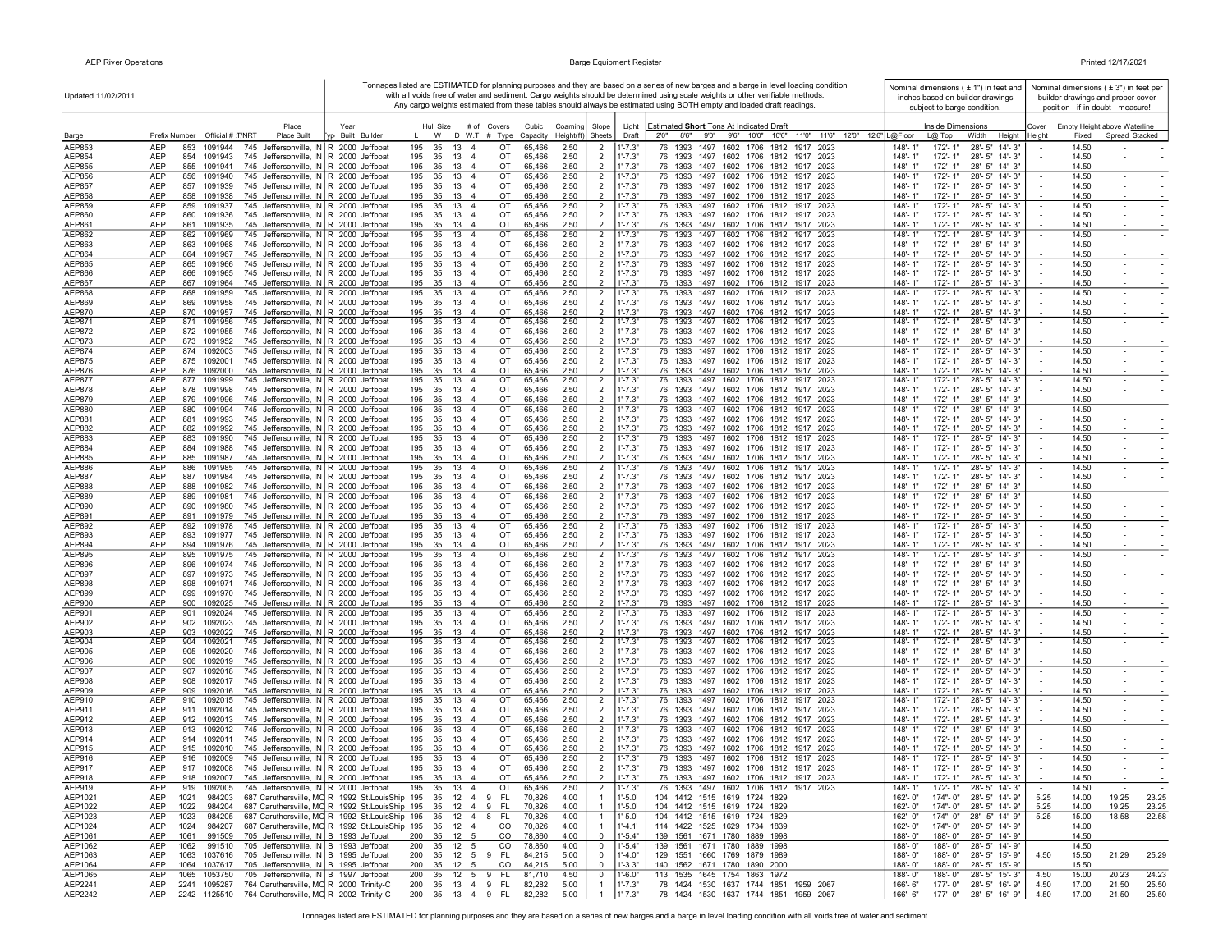$\mathbf{I}$ 

|                                | Updated 11/02/2011                                                                                                                                 |                                                                                                                       | Tonnages listed are ESTIMATED for planning purposes and they are based on a series of new barges and a barge in level loading condition<br>with all voids free of water and sediment. Cargo weights should be determined using scale weights or other verifiable methods. |               |                                          | Nominal dimensions ( ± 1") in feet and<br>inches based on builder drawings | Nominal dimensions $(± 3")$ in feet per<br>builder drawings and proper cover |                                                                                                                      |                                                                               |                                                                    |
|--------------------------------|----------------------------------------------------------------------------------------------------------------------------------------------------|-----------------------------------------------------------------------------------------------------------------------|---------------------------------------------------------------------------------------------------------------------------------------------------------------------------------------------------------------------------------------------------------------------------|---------------|------------------------------------------|----------------------------------------------------------------------------|------------------------------------------------------------------------------|----------------------------------------------------------------------------------------------------------------------|-------------------------------------------------------------------------------|--------------------------------------------------------------------|
|                                |                                                                                                                                                    |                                                                                                                       |                                                                                                                                                                                                                                                                           |               |                                          |                                                                            |                                                                              | Any cargo weights estimated from these tables should always be estimated using BOTH empty and loaded draft readings. | subject to barge condition.                                                   | position - if in doubt - measure!                                  |
|                                | Place                                                                                                                                              | Year                                                                                                                  | Hull Size # of Covers                                                                                                                                                                                                                                                     |               | Cubic<br>Coaming                         | Slope                                                                      | Light                                                                        | Estimated Short Tons At Indicated Draft                                                                              | <b>Inside Dimensions</b>                                                      | Empty Height above Waterline<br>Cover                              |
| Barge<br>AEP853                | Prefix Number Official # T/NRT<br>Place Built<br><b>AEP</b><br>853<br>1091944<br>745 Jeffersonville, IN R 2000 Jeffboat                            | Built Builder                                                                                                         | W D W.T. # Type<br>195<br>35<br>13<br>$\overline{4}$                                                                                                                                                                                                                      | OT            | Height(ft)<br>Capacity<br>65,466<br>2.50 | Sheets<br>-2                                                               | Draft<br>$1' - 7.3"$                                                         | 2'0" 8'6" 9'0" 9'6" 10'0" 10'6" 11'0" 11'6" 12'0" 12'6" L@Floor<br>76 1393<br>1497 1602 1706 1812 1917 2023          | L@ Top<br>Width<br>Height<br>148'-1"<br>172'-1"<br>28'-5" 14'-3"              | Spread Stacked<br>Heiaht<br>Fixed<br>14.50                         |
| AEP854                         | <b>AEP</b><br>854<br>1091943<br>745 Jeffersonville, IN R 2000 Jeffboat                                                                             |                                                                                                                       | 195<br>35<br>13<br>$\overline{a}$                                                                                                                                                                                                                                         | OT            | 65,466<br>2.50                           | $\overline{2}$                                                             | $1' - 7.3"$                                                                  | 76 1393 1497 1602 1706 1812 1917 2023                                                                                | 148'-1"<br>172'-1"<br>28'-5" 14'-3"                                           | 14.50                                                              |
| AEP855                         | <b>AEP</b><br>855 1091941<br>745 Jeffersonville, IN R 2000 Jeffboat                                                                                |                                                                                                                       | 195<br>35<br>13 4                                                                                                                                                                                                                                                         | OT            | 65,466<br>2.50                           | $\overline{2}$                                                             | $1' - 7.3"$                                                                  | 76 1393 1497 1602 1706 1812 1917 2023                                                                                | 148'-1"<br>172'-1"<br>28'-5" 14'-3"                                           | 14.50                                                              |
| AEP856<br>AEP857               | <b>AEP</b><br>856<br>1091940<br>745 Jeffersonville, IN R 2000 Jeffboat<br><b>AEP</b><br>857<br>1091939<br>745 Jeffersonville, IN R 2000 Jeffboat   |                                                                                                                       | 195<br>35 13 4<br>35 13 4<br>195                                                                                                                                                                                                                                          | OT<br>OT      | 65,466<br>2.50<br>65,466<br>2.50         | $\overline{2}$<br>$\overline{2}$                                           | $1' - 7.3"$<br>$1' - 7.3"$                                                   | 76 1393 1497 1602 1706 1812 1917 2023<br>76 1393 1497 1602 1706 1812 1917 2023                                       | 148'-1"<br>172'-1"<br>28'-5" 14'-3"<br>148'-1"<br>172'- 1"<br>28'-5" 14'-3"   | 14.50<br>$\sim$<br>$\sim$<br>14.50<br>$\sim$                       |
| AEP858                         | <b>AEP</b><br>858 1091938<br>745 Jeffersonville, IN R 2000 Jeffboat                                                                                |                                                                                                                       | 195 35 13 4                                                                                                                                                                                                                                                               | OT            | 2.50<br>65,466                           | $\overline{2}$                                                             | $1' - 7.3"$                                                                  | 76 1393 1497 1602 1706 1812 1917 2023                                                                                | 148'-1"<br>172'- 1"<br>28'-5" 14'-3"                                          | 14.50                                                              |
| <b>AEP859</b>                  | AEP<br>859 1091937<br>745 Jeffersonville, IN R 2000 Jeffboat                                                                                       |                                                                                                                       | 195<br>35 13 4                                                                                                                                                                                                                                                            | OT            | 65,466<br>2.50                           | $\overline{2}$                                                             | $1' - 7.3"$                                                                  | 76 1393 1497 1602 1706 1812 1917 2023                                                                                | 148'-1"<br>172'-1"<br>28'-5" 14'-3"                                           | 14.50<br>$\bar{\phantom{a}}$                                       |
| AEP860<br>AEP861               | <b>AEP</b><br>745 Jeffersonville, IN R 2000 Jeffboat<br>860<br>1091936<br><b>AEP</b><br>861<br>1091935<br>745 Jeffersonville, IN R 2000 Jeffboat   |                                                                                                                       | 35<br>13 4<br>195<br>195<br>35 13 4                                                                                                                                                                                                                                       | OT<br>OT      | 65,466<br>2.50<br>65,466<br>2.50         | $\overline{2}$<br>$\overline{2}$                                           | $1' - 7.3"$<br>$1' - 7.3"$                                                   | 76 1393 1497 1602 1706 1812 1917 2023<br>76 1393 1497 1602 1706 1812 1917 2023                                       | 172'-1"<br>28'-5" 14'-3"<br>148'-1"<br>148'-1"<br>172'-1"<br>28'-5" 14'-3"    | 14.50<br>14.50                                                     |
| AEP862                         | 745 Jeffersonville, IN R 2000 Jeffboat<br>AEP<br>862<br>1091969                                                                                    |                                                                                                                       | 13 4<br>195<br>35                                                                                                                                                                                                                                                         | OT            | 65,466<br>2.50                           | $\overline{2}$                                                             | $1' - 7.3"$                                                                  | 76 1393 1497 1602 1706 1812 1917 2023                                                                                | $28 - 5" 14 - 3"$<br>148'-1"<br>172'-1"                                       | 14.50<br>$\blacksquare$                                            |
| AEP863                         | AEP<br>745 Jeffersonville, IN R 2000 Jeffboat<br>863<br>1091968                                                                                    |                                                                                                                       | 195<br>35<br>13 4                                                                                                                                                                                                                                                         | OT            | 65,466<br>2.50                           | $\overline{2}$                                                             | $1' - 7.3"$                                                                  | 76 1393 1497 1602 1706 1812 1917 2023                                                                                | 148'-1"<br>172'-1"<br>28'-5" 14'-3"                                           | 14.50                                                              |
| AEP864<br><b>AEP865</b>        | <b>AEP</b><br>745 Jeffersonville, IN R 2000 Jeffboat<br>864 1091967<br>AEP<br>865 1091966<br>745 Jeffersonville, IN R 2000 Jeffboat                |                                                                                                                       | 35<br>13 4<br>195<br>195<br>35 13 4                                                                                                                                                                                                                                       | OT<br>OT      | 65,466<br>2.50<br>65,466<br>2.50         | $\overline{2}$<br>$\overline{2}$                                           | $1' - 7.3"$<br>$1' - 7.3"$                                                   | 76 1393 1497 1602 1706 1812 1917 2023<br>1497 1602 1706 1812 1917 2023<br>76 1393                                    | 172'-1"<br>28'-5" 14'-3"<br>148'-1"<br>148'-1'<br>172'-1"<br>28'-5" 14'-3"    | 14.50<br>14.50                                                     |
| AEP866                         | <b>AEP</b><br>745 Jeffersonville, IN R 2000 Jeffboat<br>866<br>1091965                                                                             |                                                                                                                       | 195<br>35<br>13 4                                                                                                                                                                                                                                                         | OT            | 65,466<br>2.50                           | $\overline{2}$                                                             | $1' - 7.3"$                                                                  | 76 1393 1497 1602 1706 1812 1917 2023                                                                                | 148'-1"<br>172'-1"<br>28'-5" 14'-3"                                           | 14.50                                                              |
| <b>AEP867</b>                  | <b>AEP</b><br>867 1091964<br>745 Jeffersonville, IN R 2000 Jeffboat                                                                                |                                                                                                                       | 195<br>35 13 4                                                                                                                                                                                                                                                            | OT            | 65,466<br>2.50                           | $\overline{2}$                                                             | $1' - 7.3"$                                                                  | 76 1393 1497 1602 1706 1812 1917 2023                                                                                | 148'-1"<br>172'-1"<br>28'-5" 14'-3"                                           | 14.50                                                              |
| AEP868<br>AEP869               | 868<br>745 Jeffersonville, IN   R 2000 Jeffboat<br><b>AEP</b><br>1091959<br><b>AEP</b><br>869 1091958<br>745 Jeffersonville, IN   R 2000 Jeffboat  |                                                                                                                       | 13 4<br>195<br>35<br>195<br>35 13 4                                                                                                                                                                                                                                       | OT<br>OT      | 65,466<br>2.50<br>65,466<br>2.50         | $\overline{2}$<br>$\overline{2}$                                           | $1' - 7.3"$<br>$1' - 7.3"$                                                   | 76 1393 1497 1602 1706 1812 1917 2023<br>76 1393 1497 1602 1706 1812 1917 2023                                       | 148'-1"<br>172'-1"<br>28'-5" 14'-3"<br>148'-1"<br>172'- 1"<br>28'-5" 14'-3"   | 14.50<br>$\overline{\phantom{a}}$<br>14.50                         |
| AEP870                         | <b>AEP</b><br>870 1091957<br>745 Jeffersonville, IN   R 2000 Jeffboat                                                                              |                                                                                                                       | 195<br>35 13 4                                                                                                                                                                                                                                                            | OT            | 65,466<br>2.50                           | $\overline{2}$                                                             | $1' - 7.3"$                                                                  | 76 1393 1497 1602 1706 1812 1917 2023                                                                                | 28'-5" 14'-3"<br>148'-1"<br>172'- 1"                                          | 14.50                                                              |
| AEP871                         | <b>AEP</b><br>871 1091956<br>745 Jeffersonville, IN   R 2000 Jeffboat                                                                              |                                                                                                                       | 195<br>35 13 4                                                                                                                                                                                                                                                            | OT            | 65,466<br>2.50                           | $\overline{2}$                                                             | $1' - 7.3"$                                                                  | 76 1393 1497 1602 1706 1812 1917 2023                                                                                | 148'-1'<br>172'-1"<br>28'-5" 14'-3"                                           | 14.50<br>$\overline{\phantom{a}}$                                  |
| AEP872<br>AEP873               | <b>AEP</b><br>872 1091955<br>745 Jeffersonville, IN R 2000 Jeffboat<br><b>AEP</b><br>873 1091952<br>745 Jeffersonville, IN R 2000 Jeffboat         |                                                                                                                       | 35 13 4<br>195<br>195<br>35 13 4                                                                                                                                                                                                                                          | OT<br>OT      | 65,466<br>2.50<br>65,466<br>2.50         | $\overline{2}$<br>$\overline{2}$                                           | $1' - 7.3"$<br>$1' - 7.3"$                                                   | 76 1393 1497 1602 1706 1812 1917 2023<br>76 1393 1497 1602 1706 1812 1917 2023                                       | 172'-1"<br>28'-5" 14'-3"<br>148'-1"<br>148'-1"<br>172'-1"<br>28'-5" 14'-3"    | 14.50<br>14.50                                                     |
| AEP874                         | <b>AEP</b><br>874 1092003<br>745 Jeffersonville, IN R 2000 Jeffboat                                                                                |                                                                                                                       | 13 4<br>195<br>35                                                                                                                                                                                                                                                         | OT            | 65,466<br>2.50                           | $\overline{2}$                                                             | $1' - 7.3"$                                                                  | 76 1393 1497 1602 1706 1812 1917 2023                                                                                | $148 - 1'$<br>28'-5" 14'-3"<br>172'-1"                                        | 14.50<br>$\sim$                                                    |
| AEP875                         | AEP<br>875 1092001<br>745 Jeffersonville, IN R 2000 Jeffboat                                                                                       |                                                                                                                       | 195<br>35<br>13<br>-4                                                                                                                                                                                                                                                     | OT            | 65,466<br>2.50                           | $\overline{2}$<br>$\mathcal{P}$                                            | $1' - 7.3"$<br>$1' - 7.3"$                                                   | 76 1393 1497 1602 1706 1812 1917 2023                                                                                | 172'-1"<br>28'-5" 14'-3"<br>148'-1"<br>$148 - 1'$                             | 14.50                                                              |
| AEP876<br><b>AEP877</b>        | <b>AEP</b><br>1092000<br>745 Jeffersonville, IN R 2000 Jeffboat<br>876<br><b>AEP</b><br>877<br>1091999<br>745 Jeffersonville, IN R 2000 Jeffboat   |                                                                                                                       | 35<br>13<br>195<br>-4<br>35 13 4<br>195                                                                                                                                                                                                                                   | OT<br>OT      | 65,466<br>2.50<br>65,466<br>2.50         | $\overline{2}$                                                             | 1'-7.3"                                                                      | 76 1393 1497 1602 1706 1812 1917 2023<br>76 1393 1497 1602 1706 1812 1917 2023                                       | 172'-1"<br>28'-5" 14'-3"<br>148'-1"<br>172'-1"<br>28'-5" 14'-3"               | 14.50<br>14.50<br>$\blacksquare$                                   |
| <b>AEP878</b>                  | <b>AEP</b><br>745 Jeffersonville, IN R 2000 Jeffboat<br>878<br>1091998                                                                             |                                                                                                                       | 35<br>13 4<br>195                                                                                                                                                                                                                                                         | OT            | 65,466<br>2.50                           | $\overline{2}$                                                             | $1' - 7.3"$                                                                  | 76 1393 1497 1602 1706 1812 1917 2023                                                                                | 172'-1"<br>28'-5" 14'-3"<br>148'-1"                                           | 14.50<br>$\blacksquare$                                            |
| <b>AEP879</b><br><b>AEP880</b> | <b>AEP</b><br>879<br>1091996<br>745 Jeffersonville, IN R 2000 Jeffboat<br><b>AEP</b><br>880<br>1091994<br>745 Jeffersonville, IN R 2000 Jeffboat   |                                                                                                                       | 195<br>35<br>$13 \quad 4$<br>195<br>35<br>13 4                                                                                                                                                                                                                            | OT<br>OT      | 65,466<br>2.50<br>2.50<br>65,466         | $\overline{2}$                                                             | $1' - 7.3"$<br>$1' - 7.3"$                                                   | 76 1393 1497 1602 1706 1812 1917 2023<br>76 1393<br>1497 1602 1706 1812 1917 2023                                    | 148'-1"<br>172'-1"<br>28'-5" 14'-3"<br>148'-1'<br>172'-1"<br>28'-5" 14'-3"    | 14.50<br>14.50<br>$\sim$                                           |
| AEP881                         | <b>AEP</b><br>881<br>1091993<br>745 Jeffersonville, IN R 2000 Jeffboat                                                                             |                                                                                                                       | 195<br>35<br>13 4                                                                                                                                                                                                                                                         | OT            | 65,466<br>2.50                           | $\overline{2}$                                                             | $1' - 7.3"$                                                                  | 76 1393 1497 1602 1706 1812 1917 2023                                                                                | 148'-1"<br>172'-1"<br>28'-5" 14'-3"                                           | 14.50<br>$\sim$                                                    |
| AEP882                         | AEP<br>745 Jeffersonville, IN R 2000 Jeffboat<br>882 1091992                                                                                       |                                                                                                                       | 195<br>35 13 4                                                                                                                                                                                                                                                            | OT            | 2.50<br>65,466                           | $\overline{2}$                                                             | $1' - 7.3"$                                                                  | 76 1393 1497 1602 1706 1812 1917 2023                                                                                | 172'-1"<br>$148 - 1'$<br>28'-5" 14'-3"                                        | 14.50                                                              |
| AEP883<br>AEP884               | <b>AEP</b><br>883 1091990<br>745 Jeffersonville, IN   R 2000 Jeffboat<br>AEP<br>884 1091988<br>745 Jeffersonville, IN R 2000 Jeffboat              |                                                                                                                       | 195<br>35 13 4<br>195 35 13 4                                                                                                                                                                                                                                             | OT<br>OT      | 2.50<br>65,466<br>65,466<br>2.50         | $\overline{2}$<br>$\overline{2}$                                           | $1' - 7.3"$<br>$1' - 7.3"$                                                   | 76 1393 1497 1602 1706 1812 1917 2023<br>76 1393 1497 1602 1706 1812 1917 2023                                       | 172'-1"<br>28'-5" 14'-3"<br>148'-1"<br>148'-1"<br>172'-1" 28'-5" 14'-3"       | 14.50<br>$\blacksquare$<br>14.50                                   |
| AEP885                         | AEP<br>885 1091987<br>745 Jeffersonville, IN R 2000 Jeffboat                                                                                       |                                                                                                                       | 35 13 4<br>195                                                                                                                                                                                                                                                            | OT            | 65,466<br>2.50                           | $\overline{2}$                                                             | $1' - 7.3"$                                                                  | 76 1393 1497 1602 1706 1812 1917 2023                                                                                | 172'-1"<br>28'-5" 14'-3"<br>$148 - 1'$                                        | 14.50                                                              |
| <b>AEP886</b>                  | <b>AEP</b><br>886 1091985<br>745 Jeffersonville, IN R 2000 Jeffboat                                                                                |                                                                                                                       | 195<br>35<br>13 4                                                                                                                                                                                                                                                         | OT            | 65,466<br>2.50                           | $\overline{2}$                                                             | $1' - 7.3"$                                                                  | 76 1393 1497 1602 1706 1812 1917 2023                                                                                | $148 - 1'$<br>172'-1"<br>28'-5" 14'-3"                                        | 14.50<br>$\sim$                                                    |
| AEP887<br>AEP888               | 745 Jeffersonville, IN R 2000 Jeffboat<br>AEP<br>887<br>1091984<br>AEP<br>745 Jeffersonville, IN R 2000 Jeffboat<br>888<br>1091982                 |                                                                                                                       | 195<br>35<br>13 4<br>35<br>13 4<br>195                                                                                                                                                                                                                                    | OT<br>OT      | 65,466<br>2.50<br>65,466<br>2.50         | $\overline{2}$<br>$\overline{2}$                                           | $1' - 7.3"$<br>$1' - 7.3"$                                                   | 76 1393 1497 1602 1706 1812 1917 2023<br>76 1393 1497 1602 1706 1812 1917 2023                                       | 148'-1"<br>172'-1"<br>28'-5" 14'-3"<br>148'-1"<br>172'-1"<br>28'-5" 14'-3"    | 14.50<br>14.50                                                     |
| <b>AEP889</b>                  | AEP<br>889<br>1091981<br>745 Jeffersonville, IN R 2000 Jeffboat                                                                                    |                                                                                                                       | 195<br>35<br>13 4                                                                                                                                                                                                                                                         | OT            | 2.50<br>65,466                           | $\overline{2}$                                                             | $1' - 7.3"$                                                                  | 76 1393 1497 1602 1706 1812 1917 2023                                                                                | 28'-5" 14'-3"<br>148'-1"<br>172'-1"                                           | 14.50<br>$\blacksquare$                                            |
| AEP890                         | AEP<br>745 Jeffersonville, IN R 2000 Jeffboat<br>890<br>1091980                                                                                    |                                                                                                                       | 195<br>35<br>13 4                                                                                                                                                                                                                                                         | OT            | 65,466<br>2.50                           | $\overline{2}$                                                             | $1' - 7.3"$                                                                  | 76 1393 1497 1602 1706 1812 1917 2023                                                                                | 148'-1"<br>172'-1"<br>28'-5" 14'-3"                                           | 14.50                                                              |
| AEP891<br>AEP892               | <b>AEP</b><br>745 Jeffersonville, IN R 2000 Jeffboat<br>891<br>1091979<br><b>AEP</b><br>892<br>1091978<br>745 Jeffersonville, IN R 2000 Jeffboat   |                                                                                                                       | 195<br>35<br>13 4<br>195<br>35<br>13<br>$\overline{a}$                                                                                                                                                                                                                    | OT<br>OT      | 65,466<br>2.50<br>65,466<br>2.50         | $\overline{2}$<br>$\overline{2}$                                           | $1' - 7.3"$<br>$1' - 7.3"$                                                   | 76 1393 1497 1602 1706 1812 1917 2023<br>76 1393<br>1497 1602 1706 1812 1917 2023                                    | 148'-1"<br>172'-1"<br>28'-5" 14'-3"<br>148'-1'<br>172'-1"<br>28'-5" 14'-3"    | 14.50<br>14.50<br>$\overline{\phantom{a}}$                         |
| AEP893                         | <b>AEP</b><br>893 1091977<br>745 Jeffersonville, IN R 2000 Jeffboat                                                                                |                                                                                                                       | 195<br>35<br>13 4                                                                                                                                                                                                                                                         | OT            | 2.50<br>65,466                           | $\overline{2}$                                                             | $1' - 7.3"$                                                                  | 76 1393 1497 1602 1706 1812 1917 2023                                                                                | 148'-1"<br>172'-1"<br>28'-5" 14'-3"                                           | 14.50                                                              |
| AEP894<br>AEP895               | <b>AEP</b><br>894 1091976<br>745 Jeffersonville, IN   R 2000 Jeffboat<br><b>AEP</b><br>895                                                         |                                                                                                                       | 35 13 4<br>195<br>195<br>13 4                                                                                                                                                                                                                                             | OT<br>OT      | 2.50<br>65,466                           | $\overline{2}$                                                             | $1' - 7.3"$                                                                  | 76 1393 1497 1602 1706 1812 1917 2023<br>76 1393 1497 1602 1706 1812 1917 2023                                       | 148'-1"<br>28'-5" 14'-3"<br>172'-1"<br>172'-1"<br>28'-5" 14'-3"               | 14.50<br>$\sim$<br>14.50                                           |
| AEP896                         | 1091975<br>745 Jeffersonville, IN   R 2000 Jeffboat<br><b>AEP</b><br>896<br>1091974<br>745 Jeffersonville, IN   R 2000 Jeffboat                    |                                                                                                                       | 35<br>195<br>35<br>13 4                                                                                                                                                                                                                                                   | OT            | 2.50<br>65,466<br>65,466<br>2.50         | $\overline{2}$<br>$\overline{2}$                                           | $1' - 7.3"$<br>$1' - 7.3"$                                                   | 76 1393 1497 1602 1706 1812 1917 2023                                                                                | 148'-1'<br>148'-1"<br>172'- 1"<br>28'-5" 14'-3"                               | $\overline{\phantom{a}}$<br>14.50<br>$\sim$                        |
| AEP897                         | <b>AEP</b><br>897 1091973<br>745 Jeffersonville, IN R 2000 Jeffboat                                                                                |                                                                                                                       | 35 13 4<br>195                                                                                                                                                                                                                                                            | OT            | 65,466<br>2.50                           | $\overline{2}$                                                             | $1' - 7.3"$                                                                  | 76 1393 1497 1602 1706 1812 1917 2023                                                                                | 172'-1"<br>28'-5" 14'-3"<br>$148 - 1'$                                        | 14.50                                                              |
| AEP898<br>AEP899               | <b>AEP</b><br>898<br>1091971<br>745 Jeffersonville, IN R 2000 Jeffboat<br><b>AEP</b><br>1091970<br>745 Jeffersonville, IN R 2000 Jeffboat<br>899   |                                                                                                                       | 195<br>35<br>$13 \quad 4$<br>35<br>13 4<br>195                                                                                                                                                                                                                            | OT<br>OT      | 65,466<br>2.50<br>65,466<br>2.50         | $\overline{2}$<br>$\overline{2}$                                           | $1' - 7.3"$<br>$1' - 7.3"$                                                   | 76 1393 1497<br>1602 1706 1812 1917 2023<br>76 1393 1497 1602 1706 1812 1917 2023                                    | $148 - 1'$<br>172'-1"<br>28'-5" 14'-3"<br>148'-1"<br>172'-1"<br>28'-5" 14'-3" | 14.50<br>$\blacksquare$<br>14.50                                   |
| AEP900                         | AEP<br>900<br>1092025<br>745 Jeffersonville, IN R 2000 Jeffboat                                                                                    |                                                                                                                       | 35<br>13 4<br>195                                                                                                                                                                                                                                                         | OT            | 65,466<br>2.50                           | $\overline{2}$                                                             | $1' - 7.3"$                                                                  | 76 1393 1497 1602 1706 1812 1917 2023                                                                                | 172'-1"<br>28'-5" 14'-3"<br>148'-1"                                           | 14.50                                                              |
| AEP901                         | 901<br>745 Jeffersonville, IN R 2000 Jeffboat<br><b>AEP</b><br>1092024                                                                             |                                                                                                                       | 35<br>13 4<br>195                                                                                                                                                                                                                                                         | OT            | 2.50<br>65,466                           | $\overline{2}$                                                             | 1'-7.3"                                                                      | 76 1393 1497<br>1602 1706 1812 1917<br>2023                                                                          | 28'-5" 14'-3"<br>148'-1'<br>172'-1'                                           | 14.50<br>$\overline{\phantom{a}}$                                  |
| AEP902<br>AEP903               | <b>AEP</b><br>902<br>1092023<br>745 Jeffersonville, IN   R 2000 Jeffboat<br><b>AEP</b><br>903<br>1092022<br>745 Jeffersonville, IN R 2000 Jeffboat |                                                                                                                       | 195<br>35<br>13<br>-4<br>195<br>35<br>13 4                                                                                                                                                                                                                                | OT<br>OT      | 65,466<br>2.50<br>65,466<br>2.50         | $\overline{2}$<br>$\overline{2}$                                           | 1'-7.3"<br>$1' - 7.3"$                                                       | 76 1393 1497 1602 1706 1812 1917 2023<br>76 1393 1497 1602 1706 1812 1917 2023                                       | 148'-1"<br>172'-1"<br>28'-5" 14'-3"<br>148'-1"<br>172'-1"<br>28'-5" 14'-3"    | 14.50<br>14.50                                                     |
| AEP904                         | <b>AEP</b><br>904<br>1092021<br>745 Jeffersonville, IN R 2000 Jeffboat                                                                             |                                                                                                                       | 195<br>35<br>$13 \quad 4$                                                                                                                                                                                                                                                 | OT            | 65,466<br>2.50                           | $\overline{2}$                                                             | $1' - 7.3"$                                                                  | 76 1393 1497 1602 1706 1812 1917 2023                                                                                | 148'-1'<br>$172 - 1"$<br>28'-5" 14'-3"                                        | 14.50<br>٠                                                         |
| AEP905                         | <b>AEP</b><br>905<br>1092020<br>745 Jeffersonville, IN R 2000 Jeffboat                                                                             |                                                                                                                       | 195<br>35<br>13 4                                                                                                                                                                                                                                                         | OT            | 65,466<br>2.50                           | $\overline{2}$<br>$\overline{2}$                                           | $1' - 7.3"$                                                                  | 76 1393 1497 1602 1706 1812 1917 2023                                                                                | $148 - 1"$<br>172'-1"<br>28'-5" 14'-3"                                        | 14.50<br>$\sim$                                                    |
| AEP906<br>AEP907               | <b>AEP</b><br>906<br>1092019<br>745 Jeffersonville, IN R 2000 Jeffboat<br><b>AEP</b><br>907<br>1092018<br>745 Jeffersonville, IN   R 2000 Jeffboat |                                                                                                                       | 195<br>35 13 4<br>195<br>35 13 4                                                                                                                                                                                                                                          | OT<br>OT      | 2.50<br>65,466<br>65,466<br>2.50         | $\overline{2}$                                                             | $1' - 7.3"$<br>$1' - 7.3"$                                                   | 76 1393 1497 1602 1706 1812 1917 2023<br>76 1393 1497 1602 1706 1812 1917 2023                                       | 148'-1"<br>172'-1"<br>28'-5" 14'-3"<br>148'-1"<br>172'-1"<br>28'-5" 14'-3"    | 14.50<br>14.50<br>$\overline{\phantom{a}}$                         |
| AEP908                         | <b>AEP</b><br>908<br>1092017<br>745 Jeffersonville, IN R 2000 Jeffboat                                                                             |                                                                                                                       | 195<br>35 13 4                                                                                                                                                                                                                                                            | OT            | 2.50<br>65,466                           | $\overline{2}$                                                             | $1' - 7.3"$                                                                  | 76 1393 1497 1602 1706 1812 1917 2023                                                                                | 148'-1"<br>172'-1" 28'-5" 14'-3"                                              | 14.50                                                              |
| <b>AEP909</b><br>AEP910        | AEP<br>1092016<br>745 Jeffersonville, IN R 2000 Jeffboat<br>909<br>AEP<br>745 Jeffersonville, IN R 2000 Jeffboat<br>910 1092015                    |                                                                                                                       | 195<br>35 13 4<br>35 13 4<br>195                                                                                                                                                                                                                                          | OT<br>OT      | 65,466<br>2.50<br>65,466<br>2.50         | $\overline{2}$<br>$\overline{2}$                                           | $1' - 7.3"$<br>$1' - 7.3"$                                                   | 76 1393 1497 1602 1706 1812 1917 2023<br>76 1393 1497 1602 1706 1812 1917 2023                                       | 172'-1"<br>28'-5" 14'-3"<br>$148 - 1'$<br>28'-5" 14'-3"<br>148'-1"<br>172'-1" | 14.50<br>14.50<br>$\blacksquare$                                   |
| AEP911                         | <b>AEP</b><br>911 1092014<br>745 Jeffersonville, IN R 2000 Jeffboat                                                                                |                                                                                                                       | 195<br>35 13 4                                                                                                                                                                                                                                                            | OT            | 65,466<br>2.50                           | $\overline{2}$                                                             | $1' - 7.3"$                                                                  | 76 1393 1497 1602 1706 1812 1917 2023                                                                                | 148'-1"<br>172'-1"<br>28'-5" 14'-3"                                           | 14.50                                                              |
| AEP912                         | AEP<br>745 Jeffersonville, IN R 2000 Jeffboat<br>912 1092013                                                                                       |                                                                                                                       | 195<br>35<br>13 4                                                                                                                                                                                                                                                         | OT            | 2.50<br>65,466                           | $\overline{2}$                                                             | $1' - 7.3"$                                                                  | 76 1393 1497 1602 1706 1812 1917 2023                                                                                | 172'-1"<br>28'-5" 14'-3"<br>148'-1"                                           | 14.50                                                              |
| AEP913<br>AEP914               | <b>AEP</b><br>745 Jeffersonville, IN R 2000 Jeffboat<br>913 1092012<br>745 Jeffersonville, IN R 2000 Jeffboat<br><b>AEP</b><br>914 1092011         |                                                                                                                       | 195<br>35 13 4<br>195<br>35<br>13 4                                                                                                                                                                                                                                       | OT<br>OT      | 2.50<br>65,466<br>65,466<br>2.50         | $\overline{2}$<br>$\overline{2}$                                           | $1' - 7.3"$<br>$1' - 7.3"$                                                   | 76 1393 1497 1602 1706 1812 1917 2023<br>76 1393 1497 1602 1706 1812 1917 2023                                       | 28'-5" 14'-3"<br>148'-1"<br>172'-1"<br>148'-1"<br>172'-1"<br>28'-5" 14'-3"    | 14.50<br>$\blacksquare$<br>14.50                                   |
| AEP915                         | <b>AEP</b><br>915 1092010<br>745 Jeffersonville, IN R 2000 Jeffboat                                                                                |                                                                                                                       | 195<br>35<br>13<br>$\overline{4}$                                                                                                                                                                                                                                         | OT            | 65,466<br>2.50                           | $\overline{2}$                                                             | $1' - 7.3"$                                                                  | 76 1393 1497 1602 1706 1812 1917 2023                                                                                | 148'-1"<br>172'-1"<br>28'-5" 14'-3"                                           | 14.50                                                              |
| AEP916                         | 745 Jeffersonville, IN R 2000 Jeffboat<br>AEP<br>916<br>1092009                                                                                    |                                                                                                                       | 195<br>13 4<br>35                                                                                                                                                                                                                                                         | OT            | 65,466<br>2.50                           | $\overline{2}$                                                             | 1'-7.3"                                                                      | 76 1393 1497 1602 1706 1812 1917 2023                                                                                | $28 - 5"$ 14'- 3"<br>148'-1'<br>172'-1"                                       | 14.50                                                              |
| AEP917<br>AEP918               | <b>AEP</b><br>917 1092008<br>745 Jeffersonville, IN R 2000 Jeffboat<br>AEP<br>918 1092007<br>745 Jeffersonville, IN R 2000 Jeffboat                |                                                                                                                       | 195<br>35 13 4<br>195<br>35 13 4                                                                                                                                                                                                                                          | OT<br>OT      | 65,466<br>2.50<br>2.50<br>65,466         | $\overline{2}$<br>$\mathcal{P}$                                            | $1' - 7.3"$<br>$-7.3"$                                                       | 76 1393 1497 1602 1706 1812 1917 2023<br>76 1393 1497 1602 1706 1812 1917 2023                                       | $148 - 1"$<br>172'-1" 28'-5" 14'-3"<br>148'-1"<br>172'-1" 28'-5" 14'-3"       | 14.50<br>14.50                                                     |
| AEP919                         | 745 Jeffersonville, IN R 2000 Jeffboat<br>AEP<br>919 1092005                                                                                       |                                                                                                                       | 195<br>35<br>13                                                                                                                                                                                                                                                           | от            | 65,466<br>2.50                           | $\overline{2}$                                                             | 1'-7.3"                                                                      | 76 1393 1497 1602 1706 1812 1917 2023                                                                                | 148'- 1"<br>172'- 1"<br>28'-5" 14'-3"                                         | 14.50                                                              |
| AEP1021                        | AEP<br>1021<br>984203                                                                                                                              | 687 Caruthersville, MC R 1992 St.LouisShip 195                                                                        | 35<br>12 4 9                                                                                                                                                                                                                                                              | FL.           | 70,826<br>4.00                           | $\overline{1}$                                                             | $1' - 5.0'$                                                                  | 104 1412 1515 1619 1724 1829                                                                                         | 162'-0"<br>174"-0" 28'-5" 14'-9"                                              | 23.25<br>5.25<br>14.00<br>19.25                                    |
| AEP1022<br>AEP1023             | AEP<br>1022<br>984204<br>AEP<br>1023<br>984205                                                                                                     | 687 Caruthersville, MC R 1992 St.LouisShip 195 35 12 4 9<br>687 Caruthersville, MO R 1992 St. LouisShip 195 35 12 4 8 |                                                                                                                                                                                                                                                                           | -FL<br>- FL   | 4.00<br>70,826<br>70,826<br>4.00         | $\overline{1}$<br>$\overline{1}$                                           | $1' - 5.0'$<br>$1' - 5.0'$                                                   | 104 1412 1515 1619 1724 1829<br>104 1412 1515 1619 1724 1829                                                         | 174"- 0"<br>28'-5" 14'-9"<br>162'-0"<br>174"-0" 28"-5" 14'-9"<br>162'-0"      | 5.25<br>23.25<br>14.00<br>19.25<br>15.00<br>18.58<br>22.58<br>5.25 |
| AEP1024                        | AEP<br>1024<br>984207                                                                                                                              | 687 Caruthersville, MC R 1992 St.LouisShip 195                                                                        | 35 12 4                                                                                                                                                                                                                                                                   | <sub>co</sub> | 70,826<br>4.00                           | -1                                                                         | $1' - 4.1'$                                                                  | 114 1422 1525 1629 1734 1839                                                                                         | 162'-0"<br>174"-0" 28'-5" 14'-9"                                              | 14.00                                                              |
| AEP1061                        | 705 Jeffersonville, IN B 1993 Jeffboat<br>AEP<br>1061<br>991509                                                                                    |                                                                                                                       | 200<br>35<br>12 5                                                                                                                                                                                                                                                         | CO            | 78,860<br>4.00                           | $\mathbf 0$                                                                | $1' - 5.4"$                                                                  | 139 1561 1671 1780 1889 1998                                                                                         | 188'-0"<br>188'-0" 28'-5" 14'-9"                                              | 14.50                                                              |
| AEP1062<br>AEP1063             | 705 Jeffersonville, IN B 1993 Jeffboat<br>AEP<br>1062<br>991510<br>1037616<br>705 Jeffersonville, IN B 1995 Jeffboat<br>AEP<br>1063                |                                                                                                                       | 200<br>35 12 5<br>200<br>35 12 5 9 FL                                                                                                                                                                                                                                     | CO            | 78,860<br>4.00<br>84,215<br>5.00         | 0<br>0                                                                     | $1'-5.4"$<br>$1' - 4.0"$                                                     | 139 1561 1671 1780 1889 1998<br>129 1551 1660 1769 1879 1989                                                         | 188'-0"<br>188'-0"<br>28'-5" 14'-9"<br>188'-0"<br>188'-0"<br>28'-5" 15'-9"    | 14.50<br>15.50<br>25.29<br>4.50<br>21.29                           |
| AEP1064                        | 705 Jeffersonville, IN B 1995 Jeffboat<br>1064 1037617<br>AEP                                                                                      |                                                                                                                       | 200<br>35 12<br>5                                                                                                                                                                                                                                                         | CO            | 5.00<br>84,215                           | 0                                                                          | $1' - 3.3"$                                                                  | 140 1562 1671 1780 1890 2000                                                                                         | 188'-0"<br>28'-5" 15'-9"<br>188'-0"                                           | 15.50                                                              |
| AEP1065                        | 1065 1053750<br>705 Jeffersonville, IN B 1997 Jeffboat<br>AEP<br>2241 1095287 764 Caruthersville, MO R 2000 Trinity-C<br>AEP                       |                                                                                                                       | 200<br>35 12 5 9 FL<br>200 35 13 4 9 FL                                                                                                                                                                                                                                   |               | 81,710<br>4.50                           | $\mathbf 0$                                                                | 1'-6.0"<br>$1' - 7.3"$                                                       | 113 1535 1645 1754 1863 1972<br>78 1424 1530 1637 1744 1851 1959 2067                                                | 188'-0"<br>188'-0"<br>28'-5" 15'-3"<br>$166 - 6"$                             | 4.50<br>15.00<br>20.23<br>24.23                                    |
| AEP2241<br>AEP2242             | AEP 2242 1125510 764 Caruthersville, MO R 2002 Trinity-C                                                                                           |                                                                                                                       | 200 35 13 4 9 FL 82,282                                                                                                                                                                                                                                                   |               | 82,282<br>5.00<br>5.00                   | $\overline{1}$<br>$\mathbf{1}$                                             | $1' - 7.3"$                                                                  | 78 1424 1530 1637 1744 1851 1959 2067                                                                                | 177'-0" 28'-5" 16'-9"<br>166'-6"<br>177'-0" 28'-5" 16'-9"                     | 4.50<br>17.00<br>21.50<br>25.50<br>4.50<br>17.00<br>21.50<br>25.50 |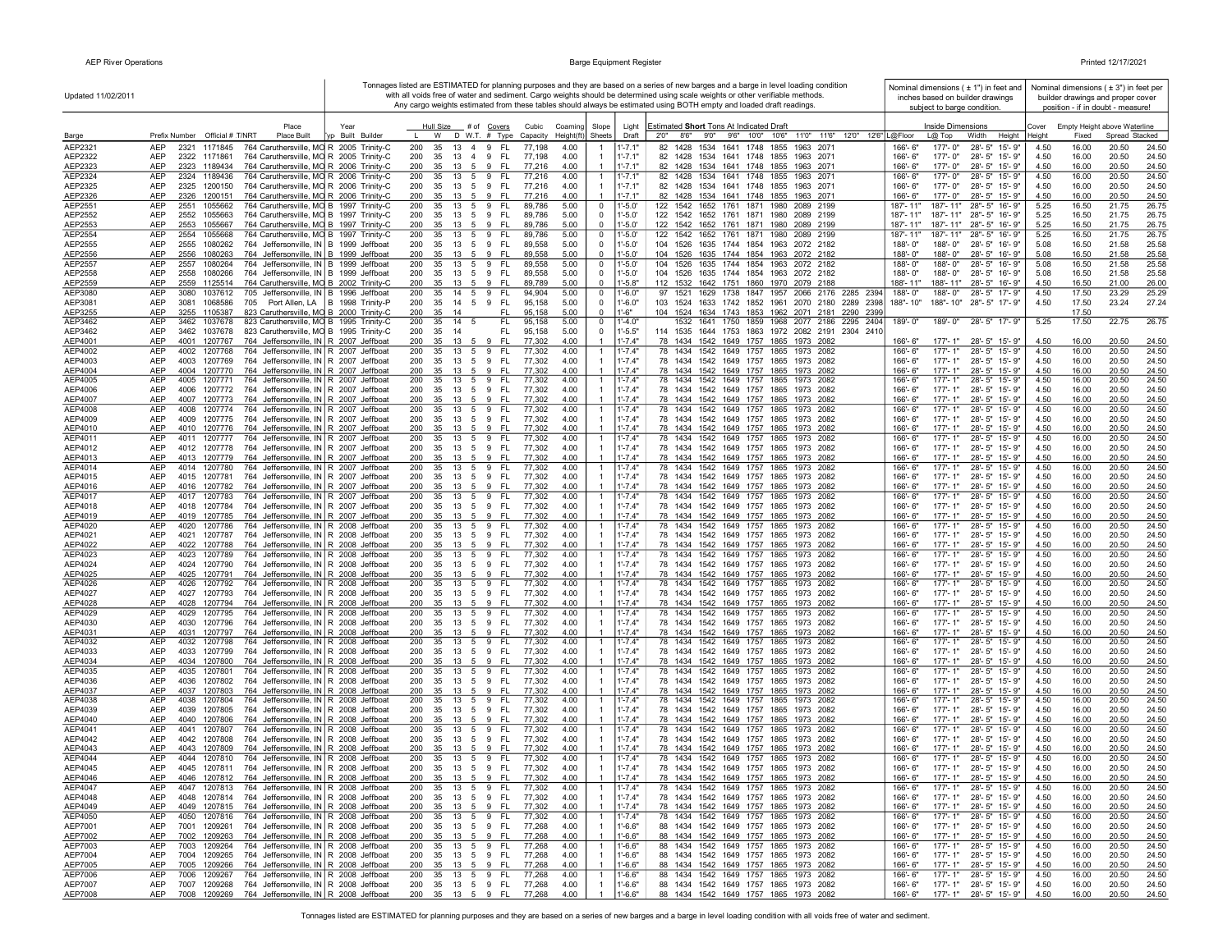| Updated 11/02/2011 |                                                                                                                                        | Tonnages listed are ESTIMATED for planning purposes and they are based on a series of new barges and a barge in level loading condition<br>Nominal dimensions $(± 1")$ in feet and<br>with all voids free of water and sediment. Cargo weights should be determined using scale weights or other verifiable methods.<br>inches based on builder drawings<br>Any cargo weights estimated from these tables should always be estimated using BOTH empty and loaded draft readings.<br>subject to barge condition. |                                            |                               |                    |                                              |                            |                                                 |                     |                                                                                   |                         |                          |                                                |                | Nominal dimensions ( $\pm$ 3") in feet per<br>builder drawings and proper cover<br>position - if in doubt - measure! |                                                |                |
|--------------------|----------------------------------------------------------------------------------------------------------------------------------------|-----------------------------------------------------------------------------------------------------------------------------------------------------------------------------------------------------------------------------------------------------------------------------------------------------------------------------------------------------------------------------------------------------------------------------------------------------------------------------------------------------------------|--------------------------------------------|-------------------------------|--------------------|----------------------------------------------|----------------------------|-------------------------------------------------|---------------------|-----------------------------------------------------------------------------------|-------------------------|--------------------------|------------------------------------------------|----------------|----------------------------------------------------------------------------------------------------------------------|------------------------------------------------|----------------|
|                    | Place<br>Prefix Number Official # T/NRT<br>Place Built                                                                                 | Year<br>Built Builde                                                                                                                                                                                                                                                                                                                                                                                                                                                                                            | Hull Size<br>W                             | # of <u>Covers</u>            | Cubic              | Coaming<br>Slope<br>Sheets                   | Light<br>Draft             | Estimated Short Tons At Indicated Draft<br>2'0" |                     | 8'6" 9'0" 9'6" 10'0" 10'6" 11'0" 11'6" 12'0" 12'6" L@Floor                        |                         | Inside Dimensions        |                                                | Cover          | Fixed                                                                                                                | Empty Height above Waterline<br>Spread Stacked |                |
| Barge<br>AEP2321   | AEP<br>764 Caruthersville, MO R 2005 Trinity-C<br>2321<br>1171845                                                                      |                                                                                                                                                                                                                                                                                                                                                                                                                                                                                                                 | 200<br>35<br>13                            | D W.T. $#$ Type<br>FL.<br>4 9 | Capacity<br>77,198 | Height(ft<br>4.00                            | l'-7.1'                    | 82 1428                                         | 1534 1641 1748 1855 | 1963 2071                                                                         | 166'-6"                 | $L@$ Top<br>177'-0"      | Width<br>Height<br>28'-5" 15'-9"               | Height<br>4.50 | 16.00                                                                                                                | 20.50                                          | 24.50          |
| AEP2322            | AEP<br>764 Caruthersville, MO R 2005 Trinity-C<br>2322 1171861                                                                         |                                                                                                                                                                                                                                                                                                                                                                                                                                                                                                                 | 35<br>200<br>13                            | 4 9<br>- FL                   | 77,198             | 4.00<br>-1                                   | $1' - 7.1"$                | 82 1428 1534 1641 1748 1855                     |                     | 1963 2071                                                                         | 166'-6"                 | 177'-0"                  | 28'-5" 15'-9"                                  | 4.50           | 16.00                                                                                                                | 20.50                                          | 24.50          |
| AEP2323            | AEP<br>2323 1189434<br>764 Caruthersville, MO R 2006 Trinity-C                                                                         |                                                                                                                                                                                                                                                                                                                                                                                                                                                                                                                 | 35<br>200<br>13 5                          | - FL<br>- 9                   | 77,216             | 4.00                                         | $1' - 7.1"$                |                                                 |                     | 82 1428 1534 1641 1748 1855 1963 2071                                             | 166'-6"                 | 177'-0"                  | 28'-5" 15'-9"                                  | 4.50           | 16.00                                                                                                                | 20.50                                          | 24.50          |
| AEP2324            | <b>AEP</b><br>2324 1189436<br>764 Caruthersville, MO R 2006 Trinity-C                                                                  |                                                                                                                                                                                                                                                                                                                                                                                                                                                                                                                 | 200<br>35<br>13 5 9                        | - FL                          | 77,216             | 4.00                                         | $1' - 7.1'$                |                                                 |                     | 82 1428 1534 1641 1748 1855 1963 2071                                             | 166'-6"                 | 177'-0"                  | 28'-5" 15'-9"                                  | 4.50           | 16.00                                                                                                                | 20.50                                          | 24.50          |
| AEP2325            | AEP<br>2325 1200150<br>764 Caruthersville, MO R 2006 Trinity-C                                                                         |                                                                                                                                                                                                                                                                                                                                                                                                                                                                                                                 | 35<br>200                                  | 13 5 9 FL                     | 77,216             | 4.00<br>$\overline{1}$                       | $1' - 7.1"$                |                                                 |                     | 82 1428 1534 1641 1748 1855 1963 2071                                             | $166' - 6''$            | 177'-0"                  | 28'-5" 15'-9"                                  | 4.50           | 16.00                                                                                                                | 20.50                                          | 24.50          |
| AEP2326            | AEP<br>764 Caruthersville, MO R 2006 Trinity-C<br>2326<br>1200151                                                                      |                                                                                                                                                                                                                                                                                                                                                                                                                                                                                                                 | 200<br>35<br>13 5                          | 9<br>- FL                     | 77,216             | 4.00<br>$\overline{1}$                       | $1' - 7.1"$                |                                                 |                     | 82 1428 1534 1641 1748 1855 1963 2071                                             | 166'-6"                 | 177'-0"                  | 28'-5" 15'-9"                                  | 4.50           | 16.00                                                                                                                | 20.50                                          | 24.50          |
| AEP2551            | 2551<br>764 Caruthersville, MO B 1997 Trinity-C<br>AEP<br>1055662                                                                      |                                                                                                                                                                                                                                                                                                                                                                                                                                                                                                                 | 200<br>35<br>13<br>5                       | 9<br>FL.                      | 89,786             | 5.00<br>$\mathbf 0$                          | 1'-5.0'                    | 122 1542 1652 1761 1871 1980                    |                     | 2089 2199                                                                         | 187'-11"                | 187'-11"                 | 28"-5" 16'-9"                                  | 5.25           | 16.50                                                                                                                | 21.75                                          | 26.75          |
| AEP2552<br>AEP2553 | AEP<br>2552<br>1055663<br>764 Caruthersville, MO B 1997 Trinity-C<br>AEP<br>2553<br>1055667<br>764 Caruthersville, MO B 1997 Trinity-C |                                                                                                                                                                                                                                                                                                                                                                                                                                                                                                                 | 200<br>35<br>13 5 9<br>35<br>200           | FL.<br>13 5 9 FL              | 89,786<br>89,786   | 5.00<br>$\mathbf 0$<br>5.00<br>$\Omega$      | 1'-5.0'<br>$1'-5.0'$       |                                                 |                     | 122 1542 1652 1761 1871 1980 2089 2199<br>122 1542 1652 1761 1871 1980 2089 2199  | 187'-11"<br>187'-11"    | 187'-11"<br>187'-11"     | 28"-5" 16'-9"<br>28"-5" 16'-9"                 | 5.25<br>5.25   | 16.50<br>16.50                                                                                                       | 21.75<br>21.75                                 | 26.75<br>26.75 |
| AEP2554            | <b>AEP</b><br>2554<br>1055668<br>764 Caruthersville, MO B 1997 Trinity-C                                                               |                                                                                                                                                                                                                                                                                                                                                                                                                                                                                                                 | 200<br>35<br>13 5                          | 9<br>FL.                      | 89,786             | 5.00<br>$\mathbf 0$                          | $1' - 5.0'$                | 122<br>1542                                     | 1652 1761 1871 1980 | 2089 2199                                                                         | 187'-11"                | 187'-11"                 | 28"-5" 16'-9"                                  | 5.25           | 16.50                                                                                                                | 21.75                                          | 26.75          |
| AEP2555            | <b>AEP</b><br>2555<br>1080262<br>764 Jeffersonville, IN B 1999 Jeffboat                                                                |                                                                                                                                                                                                                                                                                                                                                                                                                                                                                                                 | 200<br>35<br>13 5 9                        | FL.                           | 89,558             | 5.00<br>$\overline{0}$                       | $1' - 5.0'$                |                                                 |                     | 104 1526 1635 1744 1854 1963 2072 2182                                            | $188 - 0$ "             | 188'-0"                  | 28'-5" 16'-9"                                  | 5.08           | 16.50                                                                                                                | 21.58                                          | 25.58          |
| AEP2556            | AEP<br>764 Jeffersonville, IN B 1999 Jeffboat<br>2556<br>1080263                                                                       |                                                                                                                                                                                                                                                                                                                                                                                                                                                                                                                 | 200<br>35 13 5 9 FL                        |                               | 89,558             | 5.00<br>$\mathbf 0$                          | $1' - 5.0'$                |                                                 |                     | 104 1526 1635 1744 1854 1963 2072 2182                                            | 188'-0"                 | 188'-0"                  | 28'-5" 16'-9"                                  | 5.08           | 16.50                                                                                                                | 21.58                                          | 25.58          |
| AEP2557            | 764 Jeffersonville, IN B 1999 Jeffboat<br>AEP<br>2557<br>1080264                                                                       |                                                                                                                                                                                                                                                                                                                                                                                                                                                                                                                 | 200<br>35<br>13 5 9                        | <b>FL</b>                     | 89,558             | 5.00<br>$\mathbf 0$                          | 1'-5.0'                    | 104 1526                                        |                     | 1635 1744 1854 1963 2072 2182                                                     | 188'-0"                 | 188'-0"                  | 28'-5" 16'-9"                                  | 5.08           | 16.50                                                                                                                | 21.58                                          | 25.58          |
| AEP2558            | AEP<br>2558<br>1080266<br>764 Jeffersonville, IN B 1999 Jeffboat<br>2559 1125514                                                       |                                                                                                                                                                                                                                                                                                                                                                                                                                                                                                                 | 200<br>35<br>13 5 9                        | -FL                           | 89,558             | 5.00<br>$\overline{0}$                       | $1'-5.0'$                  | 104 1526                                        |                     | 1635 1744 1854 1963 2072 2182                                                     | 188'-0"                 | 188'-0"                  | 28'-5" 16'-9"                                  | 5.08           | 16.50                                                                                                                | 21.58                                          | 25.58          |
| AEP2559<br>AEP3080 | AEP<br>764 Caruthersville, MO B 2002 Trinity-C<br><b>AEP</b><br>3080<br>1037612<br>705 Jeffersonville, IN B 1996 Jeffboat              |                                                                                                                                                                                                                                                                                                                                                                                                                                                                                                                 | 35 13 5 9 FL<br>200<br>14 5<br>200<br>35   | 9<br><b>FL</b>                | 89,789<br>94,904   | 5.00<br>$^{\circ}$<br>5.00<br>$\overline{0}$ | $1' - 5.8"$<br>$1' - 6.0"$ | 97<br>1521                                      |                     | 112 1532 1642 1751 1860 1970 2079 2188<br>1629 1738 1847 1957 2066 2176 2285 2394 | 188'-11"<br>188'-0"     | 188'-11"<br>188'-0"      | 28'-5" 16'-9"<br>28'-5" 17'-9"                 | 4.50<br>4.50   | 16.50<br>17.50                                                                                                       | 21.00<br>23.29                                 | 26.00<br>25.29 |
| AEP3081            | AEP<br>1068586<br>3081<br>705 Port Allen, LA   B 1998 Trinity-P                                                                        |                                                                                                                                                                                                                                                                                                                                                                                                                                                                                                                 | 200<br>35<br>14 5                          | 9<br>- FL                     | 95,158             | 5.00<br>$\overline{0}$                       | $1' - 6.0"$                | 103 1524                                        |                     | 1633 1742 1852 1961 2070 2180 2289 2398                                           | 188"-10"                | 188"-10"                 | 28"-5" 17'-9"                                  | 4.50           | 17.50                                                                                                                | 23.24                                          | 27.24          |
| AEP3255            | AEP<br>3255<br>1105387<br>823 Caruthersville, MO B 2000 Trinity-C                                                                      |                                                                                                                                                                                                                                                                                                                                                                                                                                                                                                                 | 200<br>35<br>14                            | FL.                           | 95,158             | 5.00<br>$\overline{0}$                       | $1' - 6"$                  |                                                 |                     | 104 1524 1634 1743 1853 1962 2071 2181 2290 2399                                  |                         |                          |                                                |                | 17.50                                                                                                                |                                                |                |
| AEP3462            | 823 Caruthersville, MO B 1995 Trinity-C<br><b>AEP</b><br>3462<br>1037678                                                               |                                                                                                                                                                                                                                                                                                                                                                                                                                                                                                                 | 200<br>35<br>14<br>- 5                     | FL                            | 95,158             | 5.00<br>$\overline{0}$                       | $1' - 4.0"$                | 1532                                            |                     | 1641 1750 1859 1968 2077 2186 2295 2404                                           | 189'-0"                 | 189'-0"                  | 28'-5" 17'-9"                                  | 5.25           | 17.50                                                                                                                | 22.75                                          | 26.75          |
| AEP3462            | AEP<br>3462<br>1037678<br>823 Caruthersville, MO B 1995 Trinity-C                                                                      |                                                                                                                                                                                                                                                                                                                                                                                                                                                                                                                 | 200<br>35<br>-14                           | FL.                           | 95,158             | 5.00<br>$\overline{0}$                       | $1' - 5.5"$                |                                                 |                     | 114 1535 1644 1753 1863 1972 2082 2191 2304 2410                                  |                         |                          |                                                |                |                                                                                                                      |                                                |                |
| AEP4001            | AEP<br>1207767<br>764 Jeffersonville, IN R 2007 Jeffboat<br>4001                                                                       |                                                                                                                                                                                                                                                                                                                                                                                                                                                                                                                 | 35<br>13<br>200<br>5                       | - FL<br>9                     | 77,302             | 4.00<br>$\overline{1}$                       | $1' - 7.4"$                | 78 1434                                         |                     | 1542 1649 1757 1865 1973 2082                                                     | $166 - 6$               | 177'-1"                  | 28'-5" 15'-9"                                  | 4.50           | 16.00                                                                                                                | 20.50                                          | 24.50          |
| AEP4002<br>AEP4003 | 764 Jeffersonville, IN R 2007 Jeffboat<br>AEP<br>4002<br>1207768<br>AEP<br>4003<br>764 Jeffersonville, IN   R 2007 Jeffboat<br>1207769 |                                                                                                                                                                                                                                                                                                                                                                                                                                                                                                                 | 13 5 9<br>200<br>35<br>200<br>35           | FL.<br>13 5 9 FL              | 77,302<br>77,302   | 4.00<br>4.00<br>-1                           | 1'-7.4"<br>$1' - 7.4"$     | 78 1434                                         |                     | 1542 1649 1757 1865 1973 2082<br>78 1434 1542 1649 1757 1865 1973 2082            | 166'-6"<br>166'-6"      | $177 - 1"$<br>$177 - 1"$ | 28'-5" 15'-9"<br>28'-5" 15'-9"                 | 4.50<br>4.50   | 16.00<br>16.00                                                                                                       | 20.50<br>20.50                                 | 24.50<br>24.50 |
| AEP4004            | <b>AEP</b><br>764 Jeffersonville, IN R 2007 Jeffboat<br>4004<br>1207770                                                                |                                                                                                                                                                                                                                                                                                                                                                                                                                                                                                                 | 200<br>35<br>13 5 9                        | - FL                          | 77,302             | 4.00                                         | $1' - 7.4"$                |                                                 |                     | 78 1434 1542 1649 1757 1865 1973 2082                                             | $166 - 6$               | $177 - 1"$               | 28'-5" 15'-9"                                  | 4.50           | 16.00                                                                                                                | 20.50                                          | 24.50          |
| AEP4005            | AEP<br>4005 1207771<br>764 Jeffersonville, IN R 2007 Jeffboat                                                                          |                                                                                                                                                                                                                                                                                                                                                                                                                                                                                                                 | 200<br>35                                  | 13 5 9 FL                     | 77,302             | 4.00<br>$\overline{1}$                       | 1'-7.4"                    |                                                 |                     | 78 1434 1542 1649 1757 1865 1973 2082                                             | $166 - 6$               | 177'-1"                  | 28'-5" 15'-9"                                  | 4.50           | 16.00                                                                                                                | 20.50                                          | 24.50          |
| AEP4006            | AEP<br>4006<br>1207772<br>764 Jeffersonville, IN R 2007 Jeffboat                                                                       |                                                                                                                                                                                                                                                                                                                                                                                                                                                                                                                 | 200<br>35                                  | 13 5 9 FL                     | 77,302             | 4.00<br>-1                                   | $1' - 7.4"$                |                                                 |                     | 78 1434 1542 1649 1757 1865 1973 2082                                             | 166'-6"                 | 177'- 1"                 | 28'-5" 15'-9"                                  | 4.50           | 16.00                                                                                                                | 20.50                                          | 24.50          |
| AEP4007            | AEP<br>764 Jeffersonville, IN R 2007 Jeffboat<br>4007<br>1207773                                                                       |                                                                                                                                                                                                                                                                                                                                                                                                                                                                                                                 | 35<br>200<br>$13 \quad 5$                  | 9<br>- Fl                     | 77,302             | 4.00                                         | $1' - 7.4"$                |                                                 |                     | 78 1434 1542 1649 1757 1865 1973 2082                                             | 166'-6"                 | $177 - 1"$               | 28'-5" 15'-9"                                  | 4.50           | 16.00                                                                                                                | 20.50                                          | 24.50          |
| AEP4008            | AEP<br>4008<br>1207774<br>764 Jeffersonville, IN   R 2007 Jeffboat                                                                     |                                                                                                                                                                                                                                                                                                                                                                                                                                                                                                                 | 200<br>35<br>13 5 9                        | FL.                           | 77,302             | 4.00<br>$\overline{1}$                       | $1' - 7.4"$                |                                                 |                     | 78 1434 1542 1649 1757 1865 1973 2082                                             | 166'-6"                 | $177 - 1"$               | 28'-5" 15'-9"                                  | 4.50           | 16.00                                                                                                                | 20.50                                          | 24.50          |
| AEP4009<br>AEP4010 | <b>AEP</b><br>4009 1207775<br>764 Jeffersonville, IN R 2007 Jeffboat<br>AEP<br>4010 1207776<br>764 Jeffersonville, IN R 2007 Jeffboat  |                                                                                                                                                                                                                                                                                                                                                                                                                                                                                                                 | 200<br>35<br>200<br>35<br>13 5             | 13 5 9 FL<br>9<br>-FL         | 77,302<br>77,302   | 4.00<br>-1<br>4.00<br>$\overline{1}$         | $1' - 7.4"$<br>$1' - 7.4"$ |                                                 |                     | 78 1434 1542 1649 1757 1865 1973 2082<br>78 1434 1542 1649 1757 1865 1973 2082    | $166' - 6''$<br>166'-6" | $177 - 1"$<br>$177 - 1"$ | 28'-5" 15'-9"<br>28'-5" 15'-9"                 | 4.50<br>4.50   | 16.00<br>16.00                                                                                                       | 20.50<br>20.50                                 | 24.50<br>24.50 |
| AEP4011            | AEP<br>4011<br>764 Jeffersonville, IN R 2007 Jeffboat<br>1207777                                                                       |                                                                                                                                                                                                                                                                                                                                                                                                                                                                                                                 | 13 5 9<br>200<br>35                        | FL.                           | 77,302             | 4.00<br>$\mathbf{1}$                         | $1' - 7.4"$                |                                                 |                     | 78 1434 1542 1649 1757 1865 1973 2082                                             | 166'-6"                 | $177 - 1"$               | 28'-5" 15'-9"                                  | 4.50           | 16.00                                                                                                                | 20.50                                          | 24.50          |
| AEP4012            | AEP<br>764 Jeffersonville, IN R 2007 Jeffboat<br>4012 1207778                                                                          |                                                                                                                                                                                                                                                                                                                                                                                                                                                                                                                 | 200<br>35<br>13 5                          | FL.<br>9                      | 77,302             | 4.00                                         | $1' - 7.4"$                |                                                 |                     | 78 1434 1542 1649 1757 1865 1973 2082                                             | 166'-6"                 | 177'-1"                  | 28'-5" 15'-9"                                  | 4.50           | 16.00                                                                                                                | 20.50                                          | 24.50          |
| AEP4013            | AEP<br>764 Jeffersonville, IN R 2007 Jeffboat<br>4013 1207779                                                                          |                                                                                                                                                                                                                                                                                                                                                                                                                                                                                                                 | 200<br>35<br>13<br>5                       | 9<br>-FL                      | 77,302             | 4.00                                         | 1'-7.4"                    |                                                 |                     | 78 1434 1542 1649 1757 1865 1973 2082                                             | 166'-6"                 | 177'-1"                  | 28'-5" 15'-9"                                  | 4.50           | 16.00                                                                                                                | 20.50                                          | 24.50          |
| AEP4014            | AEP<br>764 Jeffersonville, IN R 2007 Jeffboat<br>4014<br>1207780                                                                       |                                                                                                                                                                                                                                                                                                                                                                                                                                                                                                                 | 200<br>35<br>13 5                          | 9<br>FL.                      | 77,302             | 4.00<br>-1                                   | $1' - 7.4"$                | 78 1434                                         | 1542 1649 1757 1865 | 1973 2082                                                                         | 166'-6"                 | 177'-1"                  | 28'-5" 15'-9"                                  | 4.50           | 16.00                                                                                                                | 20.50                                          | 24.50          |
| AEP4015            | <b>AEP</b><br>4015 1207781<br>764 Jeffersonville, IN R 2007 Jeffboat                                                                   |                                                                                                                                                                                                                                                                                                                                                                                                                                                                                                                 | 200<br>35<br>13 5 9                        | FL.                           | 77,302             | 4.00                                         | $1' - 7.4"$                |                                                 |                     | 78 1434 1542 1649 1757 1865 1973 2082                                             | 166'-6"                 | $177 - 1"$               | 28'-5" 15'-9"                                  | 4.50           | 16.00                                                                                                                | 20.50                                          | 24.50          |
| AEP4016<br>AEP4017 | <b>AEP</b><br>4016 1207782<br>764 Jeffersonville, IN R 2007 Jeffboat<br>AEP<br>764 Jeffersonville, IN R 2007 Jeffboat<br>4017 1207783  |                                                                                                                                                                                                                                                                                                                                                                                                                                                                                                                 | 200<br>35<br>200<br>13 5 9<br>35           | 13 5 9 FL<br>FL.              | 77,302<br>77,302   | 4.00<br>4.00<br>-1                           | $1' - 7.4"$<br>$1' - 7.4"$ |                                                 |                     | 78 1434 1542 1649 1757 1865 1973 2082<br>78 1434 1542 1649 1757 1865 1973 2082    | 166'-6"<br>166'-6"      | $177 - 1"$<br>$177 - 1"$ | 28'-5" 15'-9"<br>28'-5" 15'-9"                 | 4.50<br>4.50   | 16.00<br>16.00                                                                                                       | 20.50<br>20.50                                 | 24.50<br>24.50 |
| AEP4018            | AEP<br>4018 1207784<br>764 Jeffersonville, IN R 2007 Jeffboat                                                                          |                                                                                                                                                                                                                                                                                                                                                                                                                                                                                                                 | 200<br>35<br>13 5                          | 9<br><b>FL</b>                | 77,302             | 4.00<br>-1                                   | 1'-7.4"                    |                                                 |                     | 78 1434 1542 1649 1757 1865 1973 2082                                             | 166'-6"                 | 177'-1"                  | 28'-5" 15'-9"                                  | 4.50           | 16.00                                                                                                                | 20.50                                          | 24.50          |
| AEP4019            | AEP<br>4019 1207785<br>764 Jeffersonville, IN R 2007 Jeffboat                                                                          |                                                                                                                                                                                                                                                                                                                                                                                                                                                                                                                 | 200<br>35                                  | 13 5 9 FL                     | 77,302             | 4.00<br>$\mathbf{1}$                         | 1'-7.4"                    |                                                 |                     | 78 1434 1542 1649 1757 1865 1973 2082                                             | 166'-6"                 | 177'-1"                  | 28'-5" 15'-9"                                  | 4.50           | 16.00                                                                                                                | 20.50                                          | 24.50          |
| AEP4020            | 4020<br>1207786<br>764 Jeffersonville, IN R 2008 Jeffboat<br>AEP                                                                       |                                                                                                                                                                                                                                                                                                                                                                                                                                                                                                                 | $13 \quad 5 \quad 9$<br>200<br>35          | - FL                          | 77,302             | 4.00<br>$\overline{1}$                       | $1' - 7.4"$                |                                                 |                     | 78 1434 1542 1649 1757 1865 1973 2082                                             | 166'-6"                 | $177 - 1"$               | 28'-5" 15'-9"                                  | 4.50           | 16.00                                                                                                                | 20.50                                          | 24.50          |
| AEP4021            | AEP<br>4021<br>1207787<br>764 Jeffersonville, IN R 2008 Jeffboat                                                                       |                                                                                                                                                                                                                                                                                                                                                                                                                                                                                                                 | 200<br>35<br>13 5                          | 9<br>- FL                     | 77.302             | 4.00                                         | $1' - 7.4"$                |                                                 |                     | 78 1434 1542 1649 1757 1865 1973 2082                                             | $166 - 6"$              | $177 - 1"$               | 28'-5" 15'-9"                                  | 4.50           | 16.00                                                                                                                | 20.50                                          | 24.50          |
| AEP4022            | AEP<br>4022<br>1207788<br>764 Jeffersonville, IN R 2008 Jeffboat                                                                       |                                                                                                                                                                                                                                                                                                                                                                                                                                                                                                                 | 13 5 9<br>200<br>35                        | - FL                          | 77,302             | 4.00                                         | $1' - 7.4"$                |                                                 |                     | 78 1434 1542 1649 1757 1865 1973 2082                                             | 166'-6"                 | $177 - 1"$               | 28'-5" 15'-9"                                  | 4.50           | 16.00                                                                                                                | 20.50                                          | 24.50          |
| AEP4023<br>AEP4024 | AEP<br>4023<br>1207789<br>764 Jeffersonville, IN R 2008 Jeffboat<br>AEP<br>1207790<br>764 Jeffersonville, IN R 2008 Jeffboat<br>4024   |                                                                                                                                                                                                                                                                                                                                                                                                                                                                                                                 | 200<br>13<br>35<br>5<br>200                | FL.<br>9<br>-FL               | 77,302<br>77,302   | 4.00<br>4.00<br>-1                           | $1' - 7.4"$<br>$1' - 7.4"$ |                                                 |                     | 78 1434 1542 1649 1757 1865 1973 2082<br>78 1434 1542 1649 1757 1865 1973 2082    | 166'-6"<br>166'-6"      | $177 - 1'$<br>177'-1"    | 28'-5" 15'-9"<br>28'-5" 15'-9"                 | 4.50<br>4.50   | 16.00<br>16.00                                                                                                       | 20.50<br>20.50                                 | 24.50<br>24.50 |
| AEP4025            | AEP<br>4025<br>1207791<br>764 Jeffersonville, IN R 2008 Jeffboat                                                                       |                                                                                                                                                                                                                                                                                                                                                                                                                                                                                                                 | 35<br>13<br>5<br>200<br>35<br>13 5         | - 9<br>9<br>-FL               | 77,302             | 4.00                                         | $1' - 7.4"$                |                                                 |                     | 78 1434 1542 1649 1757 1865 1973 2082                                             | 166'-6"                 | $177 - 1"$               | $28 - 5"$<br>15'-9"                            | 4.50           | 16.00                                                                                                                | 20.50                                          | 24.50          |
| AEP4026            | AEP<br>764 Jeffersonville, IN R 2008 Jeffboat<br>4026<br>1207792                                                                       |                                                                                                                                                                                                                                                                                                                                                                                                                                                                                                                 | 200<br>35<br>13<br>5                       | 9<br>FL.                      | 77,302             | 4.00<br>$\overline{1}$                       | $1' - 7.4"$                | 78 1434 1542 1649 1757 1865                     |                     | 1973 2082                                                                         | $166 - 6"$              | $177 - 1"$               | 28'-5" 15'-9"                                  | 4.50           | 16.00                                                                                                                | 20.50                                          | 24.50          |
| AEP4027            | 764 Jeffersonville, IN R 2008 Jeffboat<br>AEP<br>4027<br>1207793                                                                       |                                                                                                                                                                                                                                                                                                                                                                                                                                                                                                                 | 200<br>35                                  | 13 5 9 FL                     | 77,302             | 4.00<br>$\overline{1}$                       | $1' - 7.4"$                |                                                 |                     | 78 1434 1542 1649 1757 1865 1973 2082                                             | 166'-6"                 | 177'-1"                  | 28'-5" 15'-9"                                  | 4.50           | 16.00                                                                                                                | 20.50                                          | 24.50          |
| AEP4028            | <b>AEP</b><br>4028<br>1207794<br>764 Jeffersonville, IN R 2008 Jeffboat                                                                |                                                                                                                                                                                                                                                                                                                                                                                                                                                                                                                 | 200<br>35                                  | 13 5 9 FL                     | 77,302             | 4.00                                         | $1' - 7.4"$                |                                                 |                     | 78 1434 1542 1649 1757 1865 1973 2082                                             | 166'-6"                 | $177 - 1"$               | 28'-5" 15'-9"                                  | 4.50           | 16.00                                                                                                                | 20.50                                          | 24.50          |
| AEP4029            | <b>AEP</b><br>1207795<br>764 Jeffersonville, IN R 2008 Jeffboat<br>4029                                                                |                                                                                                                                                                                                                                                                                                                                                                                                                                                                                                                 | 200<br>13 5 9<br>35                        | FL.                           | 77,302             | 4.00<br>$\overline{1}$                       | $1' - 7.4"$                |                                                 |                     | 78 1434 1542 1649 1757 1865 1973 2082                                             | 166'-6"                 | $177 - 1"$               | 28'-5" 15'-9"                                  | 4.50           | 16.00                                                                                                                | 20.50                                          | 24.50          |
| AEP4030<br>AEP4031 | AEP<br>4030<br>1207796<br>764 Jeffersonville, IN R 2008 Jeffboat<br>AEP<br>4031 1207797<br>764 Jeffersonville, IN   R 2008 Jeffboat    |                                                                                                                                                                                                                                                                                                                                                                                                                                                                                                                 | 200<br>35<br>13 5 9<br>200<br>35<br>13 5 9 | FL.<br>-FL                    | 77,302<br>77,302   | 4.00<br>-1<br>4.00<br>$\overline{1}$         | $1' - 7.4"$<br>$1' - 7.4"$ |                                                 |                     | 78 1434 1542 1649 1757 1865 1973 2082<br>78 1434 1542 1649 1757 1865 1973 2082    | 166'-6"<br>166'-6"      | 177'-1"<br>177'-1"       | 28'-5" 15'-9"<br>28'-5" 15'-9"                 | 4.50<br>4.50   | 16.00<br>16.00                                                                                                       | 20.50<br>20.50                                 | 24.50<br>24.50 |
| AEP4032            | AEP<br>4032 1207798<br>764 Jeffersonville, IN R 2008 Jeffboat                                                                          |                                                                                                                                                                                                                                                                                                                                                                                                                                                                                                                 | 35 13 5 9 FL<br>200                        |                               | 77,302             | 4.00<br>$\overline{1}$                       | $1' - 7.4"$                |                                                 |                     | 78 1434 1542 1649 1757 1865 1973 2082                                             | 166'-6"                 | $177 - 1"$               | 28'-5" 15'-9"                                  | 4.50           | 16.00                                                                                                                | 20.50                                          | 24.50          |
| AEP4033            | AEP<br>4033 1207799<br>764 Jeffersonville, IN   R 2008 Jeffboat                                                                        |                                                                                                                                                                                                                                                                                                                                                                                                                                                                                                                 | 200<br>35                                  | 13 5 9 FL                     | 77,302             | 4.00<br>$\overline{1}$                       | $1' - 7.4"$                |                                                 |                     | 78 1434 1542 1649 1757 1865 1973 2082                                             | 166'-6"                 | 177'-1"                  | 28'-5" 15'-9"                                  | 4.50           | 16.00                                                                                                                | 20.50                                          | 24.50          |
| AEP4034            | <b>AEP</b><br>4034 1207800<br>764 Jeffersonville, IN R 2008 Jeffboat                                                                   |                                                                                                                                                                                                                                                                                                                                                                                                                                                                                                                 | 200<br>13 5<br>35                          | 9<br>-FL                      | 77.302             | 4.00<br>$\overline{1}$                       | $1' - 7.4"$                |                                                 |                     | 78 1434 1542 1649 1757 1865 1973 2082                                             | 166'-6"                 | $177 - 1"$               | 28'-5" 15'-9"                                  | 4.50           | 16.00                                                                                                                | 20.50                                          | 24.50          |
| AEP4035            | AEP<br>4035<br>1207801<br>764 Jeffersonville, IN R 2008 Jeffboat                                                                       |                                                                                                                                                                                                                                                                                                                                                                                                                                                                                                                 | 200<br>$\overline{13}$ 5<br>35             | 9<br>FL.                      | 77,302             | 4.00<br>-1                                   | $1' - 7.4"$                |                                                 |                     | 78 1434 1542 1649 1757 1865 1973 2082                                             | 166'-6"                 | $177 - 1"$               | 28'-5" 15'-9"                                  | 4.50           | 16.00                                                                                                                | 20.50                                          | 24.50          |
| AEP4036            | AEP<br>764 Jeffersonville, IN R 2008 Jeffboat<br>4036<br>1207802                                                                       |                                                                                                                                                                                                                                                                                                                                                                                                                                                                                                                 | 200<br>35<br>13 5                          | FL.<br>9                      | 77,302             | 4.00<br>-1                                   | $1' - 7.4"$                |                                                 |                     | 78 1434 1542 1649 1757 1865 1973 2082                                             | 166'-6"                 | 177'-1"                  | 28'-5" 15'-9"                                  | 4.50           | 16.00                                                                                                                | 20.50                                          | 24.50          |
| AEP4037<br>AEP4038 | AEP<br>764 Jeffersonville, IN R 2008 Jeffboat<br>4037 1207803<br>AEP<br>4038<br>1207804<br>764 Jeffersonville, IN R 2008 Jeffboat      |                                                                                                                                                                                                                                                                                                                                                                                                                                                                                                                 | 200<br>35<br>13 5<br>200<br>35<br>13 5     | 9<br>FL<br>9<br><b>FL</b>     | 77,302<br>77,302   | 4.00<br>4.00<br>-1                           | $1' - 7.4"$<br>1'-7.4"     |                                                 |                     | 78 1434 1542 1649 1757 1865 1973 2082<br>78 1434 1542 1649 1757 1865 1973 2082    | 166'-6"<br>166'-6"      | 177'-1"<br>177'-1"       | 28'-5" 15'-9"<br>28'-5" 15'-9"                 | 4.50<br>4.50   | 16.00<br>16.00                                                                                                       | 20.50<br>20.50                                 | 24.50<br>24.50 |
| AEP4039            | AEP<br>764 Jeffersonville, IN R 2008 Jeffboat<br>4039<br>1207805                                                                       |                                                                                                                                                                                                                                                                                                                                                                                                                                                                                                                 | 200<br>35<br>13 5 9                        | FL.                           | 77,302             | 4.00                                         | $1' - 7.4"$                |                                                 |                     | 78 1434 1542 1649 1757 1865 1973 2082                                             | 166'-6"                 | 177'-1"                  | 28'-5" 15'-9"                                  | 4.50           | 16.00                                                                                                                | 20.50                                          | 24.50          |
| AEP4040            | <b>AEP</b><br>4040 1207806<br>764 Jeffersonville, IN R 2008 Jeffboat                                                                   |                                                                                                                                                                                                                                                                                                                                                                                                                                                                                                                 | 200<br>35<br>13 5                          | 9<br>- FL                     | 77,302             | 4.00                                         | $1' - 7.4"$                |                                                 |                     | 78 1434 1542 1649 1757 1865 1973 2082                                             | 166'-6"                 | $177 - 1"$               | 28'-5" 15'-9"                                  | 4.50           | 16.00                                                                                                                | 20.50                                          | 24.50          |
| AEP4041            | AEP<br>4041<br>764 Jeffersonville, IN   R 2008 Jeffboat<br>1207807                                                                     |                                                                                                                                                                                                                                                                                                                                                                                                                                                                                                                 | 200<br>13 5 9<br>35                        | -FL                           | 77,302             | 4.00<br>-1                                   | $1' - 7.4"$                |                                                 |                     | 78 1434 1542 1649 1757 1865 1973 2082                                             | $166 - 6$               | $177 - 1"$               | 28'-5" 15'-9"                                  | 4.50           | 16.00                                                                                                                | 20.50                                          | 24.50          |
| AEP4042            | AEP<br>4042 1207808<br>764 Jeffersonville, IN   R 2008 Jeffboat                                                                        |                                                                                                                                                                                                                                                                                                                                                                                                                                                                                                                 | 200<br>35<br>13 5 9                        | FL.                           | 77,302             | 4.00<br>-1                                   | $1' - 7.4"$                |                                                 |                     | 78 1434 1542 1649 1757 1865 1973 2082                                             | 166'-6"                 | $177 - 1"$               | 28'-5" 15'-9"                                  | 4.50           | 16.00                                                                                                                | 20.50                                          | 24.50          |
| AEP4043            | AEP<br>4043 1207809<br>764 Jeffersonville, IN   R 2008 Jeffboat                                                                        |                                                                                                                                                                                                                                                                                                                                                                                                                                                                                                                 | 200<br>35                                  | 13 5 9 FL                     | 77,302             | 4.00                                         | 1'-7.4"                    |                                                 |                     | 78 1434 1542 1649 1757 1865 1973 2082                                             | 166'-6"                 | 177'-1"                  | 28'-5" 15'-9"                                  | 4.50           | 16.00                                                                                                                | 20.50                                          | 24.50          |
| AEP4044            | AEP<br>4044 1207810<br>764 Jeffersonville, IN R 2008 Jeffboat                                                                          |                                                                                                                                                                                                                                                                                                                                                                                                                                                                                                                 | 200<br>35 13 5 9 FL                        |                               | 77,302             | 4.00                                         | 1'-7.4"                    |                                                 |                     | 78 1434 1542 1649 1757 1865 1973 2082                                             | 166'-6"                 | 177'-1"                  | 28'-5" 15'-9"                                  | 4.50           | 16.00                                                                                                                | 20.50                                          | 24.50          |
| AEP4045<br>AFP4046 | AEP<br>4045 1207811 764 Jeffersonville, IN R 2008 Jeffboat<br><b>AFP</b><br>4046 1207812 764 Jeffersonville IN R 2008 Jeffboat         |                                                                                                                                                                                                                                                                                                                                                                                                                                                                                                                 | 200 35 13 5 9 FL<br>200 35 13 5 9 FL       |                               | 77,302<br>77302    | 4.00<br>400                                  | $1' - 7.4"$<br>1'.74"      |                                                 |                     | 78 1434 1542 1649 1757 1865 1973 2082<br>78 1434 1542 1649 1757 1865 1973 2082    | $166 - 6"$<br>166'- 6"  |                          | 177'-1" 28'-5" 15'-9"<br>177'-1" 28'-5" 15'-9" | 4.50<br>4.50   | 16.00<br>16.00                                                                                                       | 20.50<br>20.50                                 | 24.50<br>24.50 |
| AEP4047            | 4047 1207813 764 Jeffersonville, IN R 2008 Jeffboat<br>AEP                                                                             |                                                                                                                                                                                                                                                                                                                                                                                                                                                                                                                 | 200<br>35                                  | 13 5 9 FL                     | 77,302             | 4.00                                         | 1'-7.4"                    |                                                 |                     | 78 1434 1542 1649 1757 1865 1973 2082                                             | 166'-6"                 | 177'-1"                  | 28'-5" 15'-9"                                  | 4.50           | 16.00                                                                                                                | 20.50                                          | 24.50          |
| AEP4048            | 4048 1207814 764 Jeffersonville, IN R 2008 Jeffboat<br>AEP                                                                             |                                                                                                                                                                                                                                                                                                                                                                                                                                                                                                                 | 200<br>35                                  | 13 5 9 FL                     | 77,302             | 4.00<br>-1                                   | $1' - 7.4"$                |                                                 |                     | 78 1434 1542 1649 1757 1865 1973 2082                                             | 166'-6"                 | 177'-1"                  | 28'-5" 15'-9"                                  | 4.50           | 16.00                                                                                                                | 20.50                                          | 24.50          |
| AEP4049            | 4049 1207815 764 Jeffersonville, IN R 2008 Jeffboat<br>AEP                                                                             |                                                                                                                                                                                                                                                                                                                                                                                                                                                                                                                 | 200<br>35                                  | 13 5 9 FL                     | 77,302             | 4.00                                         | $1' - 7.4"$                |                                                 |                     | 78 1434 1542 1649 1757 1865 1973 2082                                             | 166'-6"                 | 177'-1"                  | 28'-5" 15'-9"                                  | 4.50           | 16.00                                                                                                                | 20.50                                          | 24.50          |
| AEP4050            | 4050 1207816 764 Jeffersonville, IN R 2008 Jeffboat<br>AEP                                                                             |                                                                                                                                                                                                                                                                                                                                                                                                                                                                                                                 | 200<br>35                                  | 13 5 9 FL                     | 77,302             | 4.00<br>$\overline{1}$                       | $1' - 7.4"$                |                                                 |                     | 78 1434 1542 1649 1757 1865 1973 2082                                             | 166'-6"                 | 177'-1"                  | 28'-5" 15'-9"                                  | 4.50           | 16.00                                                                                                                | 20.50                                          | 24.50          |
| AEP7001            | AEP<br>7001 1209261<br>764 Jeffersonville, IN R 2008 Jeffboat                                                                          |                                                                                                                                                                                                                                                                                                                                                                                                                                                                                                                 | 200<br>35                                  | 13 5 9 FL                     | 77,268             | 4.00<br>$\overline{1}$                       | $1' - 6.6"$                |                                                 |                     | 88 1434 1542 1649 1757 1865 1973 2082                                             | 166'-6"                 | 177'-1"                  | 28'-5" 15'-9"                                  | 4.50           | 16.00                                                                                                                | 20.50                                          | 24.50          |
| AEP7002            | AEP<br>7002 1209263<br>764 Jeffersonville, IN R 2008 Jeffboat                                                                          |                                                                                                                                                                                                                                                                                                                                                                                                                                                                                                                 | 200<br>35 13 5 9 FL                        |                               | 77,268             | 4.00                                         | $1' - 6.6"$                |                                                 |                     | 88 1434 1542 1649 1757 1865 1973 2082                                             | 166'-6"                 | 177'-1"                  | 28'-5" 15'-9"                                  | 4.50           | 16.00                                                                                                                | 20.50                                          | 24.50          |
| AEP7003<br>AEP7004 | 764 Jeffersonville, IN R 2008 Jeffboat<br><b>AEP</b><br>7003 1209264<br>7004 1209265<br>764 Jeffersonville, IN R 2008 Jeffboat<br>AEP  |                                                                                                                                                                                                                                                                                                                                                                                                                                                                                                                 | 200<br>35 13 5 9 FL<br>35 13 5 9 FL<br>200 |                               | 77,268             | 4.00<br>$\overline{1}$<br>-1                 | $1' - 6.6"$<br>$1'-6.6"$   |                                                 |                     | 88 1434 1542 1649 1757 1865 1973 2082<br>88 1434 1542 1649 1757 1865 1973 2082    | 166'-6"<br>166'-6"      | $177 - 1"$               | 28'-5" 15'-9"<br>177'-1" 28'-5" 15'-9"         | 4.50           | 16.00                                                                                                                | 20.50                                          | 24.50          |
| AEP7005            | 764 Jeffersonville, IN R 2008 Jeffboat<br>AEP<br>7005 1209266                                                                          |                                                                                                                                                                                                                                                                                                                                                                                                                                                                                                                 | 200 35 13 5 9 FL                           |                               | 77,268<br>77,268   | 4.00<br>4.00<br>$\overline{1}$               | $1'-6.6"$                  |                                                 |                     | 88 1434 1542 1649 1757 1865 1973 2082                                             | 166'-6"                 |                          | 177'-1" 28'-5" 15'-9"                          | 4.50<br>4.50   | 16.00<br>16.00                                                                                                       | 20.50<br>20.50                                 | 24.50<br>24.50 |
| AEP7006            | 764 Jeffersonville, IN R 2008 Jeffboat<br>AEP<br>7006 1209267                                                                          |                                                                                                                                                                                                                                                                                                                                                                                                                                                                                                                 | 200<br>35 13 5 9 FL                        |                               | 77,268             | 4.00<br>$\overline{1}$                       | $1' - 6.6"$                |                                                 |                     | 88 1434 1542 1649 1757 1865 1973 2082                                             | 166'-6"                 |                          | 177'-1" 28'-5" 15'-9"                          | 4.50           | 16.00                                                                                                                | 20.50                                          | 24.50          |
| AEP7007            | 764 Jeffersonville, IN R 2008 Jeffboat<br>AEP<br>7007 1209268                                                                          |                                                                                                                                                                                                                                                                                                                                                                                                                                                                                                                 | 200 35 13 5 9 FL 77,268                    |                               |                    | 4.00<br>$\overline{1}$                       | $1' - 6.6"$                |                                                 |                     | 88 1434 1542 1649 1757 1865 1973 2082                                             | 166'-6"                 |                          | 177'-1" 28'-5" 15'-9"                          | 4.50           | 16.00                                                                                                                | 20.50                                          | 24.50          |
| AEP7008            | AEP 7008 1209269 764 Jeffersonville, IN R 2008 Jeffboat                                                                                |                                                                                                                                                                                                                                                                                                                                                                                                                                                                                                                 | 200 35 13 5 9 FL 77,268                    |                               |                    | 4.00                                         | $1' - 6.6"$                |                                                 |                     | 88 1434 1542 1649 1757 1865 1973 2082                                             |                         |                          | 166'-6" 177'-1" 28'-5" 15'-9"                  | 4.50           | 16.00                                                                                                                | 20.50                                          | 24.50          |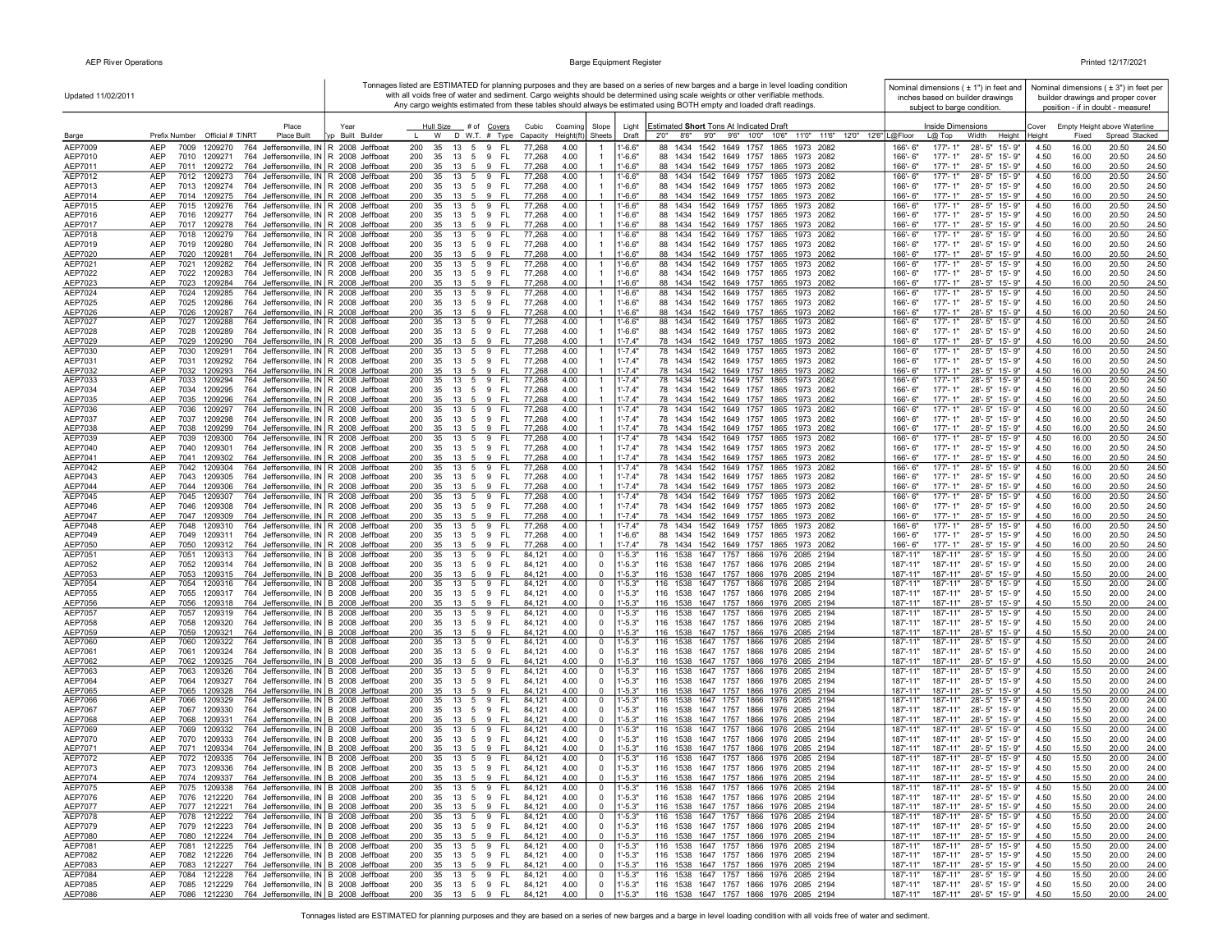| Updated 11/02/2011 |                                                                                                                                             | Tonnages listed are ESTIMATED for planning purposes and they are based on a series of new barges and a barge in level loading condition<br>with all voids free of water and sediment. Cargo weights should be determined using scale weights or other verifiable methods. |                                                                      |                                  |                                                                         |                                                                                                                      | Nominal dimensions $(± 1")$ in feet and<br>inches based on builder drawings             |              | Nominal dimensions $(± 3")$ in feet per<br>builder drawings and proper cover |                                   |  |
|--------------------|---------------------------------------------------------------------------------------------------------------------------------------------|---------------------------------------------------------------------------------------------------------------------------------------------------------------------------------------------------------------------------------------------------------------------------|----------------------------------------------------------------------|----------------------------------|-------------------------------------------------------------------------|----------------------------------------------------------------------------------------------------------------------|-----------------------------------------------------------------------------------------|--------------|------------------------------------------------------------------------------|-----------------------------------|--|
|                    |                                                                                                                                             |                                                                                                                                                                                                                                                                           |                                                                      |                                  |                                                                         | Any cargo weights estimated from these tables should always be estimated using BOTH empty and loaded draft readings. | subject to barge condition.                                                             |              |                                                                              | position - if in doubt - measure! |  |
|                    | Place                                                                                                                                       | Year                                                                                                                                                                                                                                                                      | Hull Size<br># of Covers                                             | Cubic<br>Coaming                 | Slope<br>Light                                                          | Estimated Short Tons At Indicated Draft                                                                              | <b>Inside Dimensions</b>                                                                | Cover        |                                                                              | Empty Height above Waterline      |  |
| Barge              | Prefix Number Official # T/NRT<br>Place Built                                                                                               | yp Built Builder                                                                                                                                                                                                                                                          | D W.T. # Type<br>W                                                   | Height(ft<br>Capacity            | Sheets<br>Draft                                                         | 11'0" 11'6" 12'0" 12'6"   L@Floor<br>8'6''<br>9'0"<br>9'6" 10'0" 10'6"<br>2'0''                                      | Width<br>Height<br>$L@$ Top                                                             | Heiaht       | Fixed                                                                        | Spread Stacked                    |  |
| AEP7009<br>AEP7010 | <b>AEP</b><br>7009<br>1209270<br>764 Jeffersonville, IN R 2008 Jeffboat<br>AEP<br>764 Jeffersonville, IN R 2008 Jeffboat<br>7010<br>1209271 |                                                                                                                                                                                                                                                                           | FL.<br>200<br>35<br>13<br>5 9<br>200<br>35<br>13<br>5 9<br>- FL      | 77,268<br>4.00<br>77,268<br>4.00 | $1' - 6.6"$<br>-1<br>$1' - 6.6"$                                        | 1434 1542 1649 1757 1865 1973 2082<br>88<br>88 1434 1542 1649 1757 1865 1973 2082                                    | $177 - 1"$<br>166'-6"<br>28'-5" 15'-9"<br>177'-1"<br>166'-6"<br>28'-5" 15'-9"           | 4.50<br>4.50 | 16.00<br>16.00                                                               | 20.50<br>24.50<br>20.50<br>24.50  |  |
| AEP7011            | AEP<br>7011<br>1209272<br>764 Jeffersonville, IN R 2008 Jeffboat                                                                            |                                                                                                                                                                                                                                                                           | 200<br>35<br>13<br>5<br>9<br>- FL                                    | 77,268<br>4.00                   | $1' - 6.6"$                                                             | 88 1434 1542 1649 1757 1865 1973 2082                                                                                | 166'-6"<br>$177 - 1"$<br>28'-5" 15'-9"                                                  | 4.50         | 16.00                                                                        | 20.50<br>24.50                    |  |
| AEP7012            | AEP<br>7012 1209273<br>764 Jeffersonville, IN R 2008 Jeffboat                                                                               |                                                                                                                                                                                                                                                                           | 200<br>35<br>13<br>5 9<br>- FL                                       | 77,268<br>4.00                   | $1' - 6.6"$<br>$\mathbf{1}$                                             | 88 1434 1542 1649 1757 1865 1973 2082                                                                                | $177 - 1"$<br>28'-5" 15'-9"<br>166'-6"                                                  | 4.50         | 16.00                                                                        | 20.50<br>24.50                    |  |
| AEP7013            | 764 Jeffersonville, IN R 2008 Jeffboat<br>AEP<br>7013 1209274                                                                               |                                                                                                                                                                                                                                                                           | 35 13 5 9 FL<br>200<br>13 5 9                                        | 4.00<br>77,268                   | $1' - 6.6"$<br>$\overline{1}$                                           | 88 1434 1542 1649 1757 1865 1973 2082                                                                                | 28'-5" 15'-9"<br>166'-6"<br>177'-1"                                                     | 4.50         | 16.00                                                                        | 24.50<br>20.50                    |  |
| AEP7014<br>AEP7015 | 764 Jeffersonville, IN R 2008 Jeffboat<br>AEP<br>7014 1209275<br>764 Jeffersonville, IN R 2008 Jeffboat<br>AEP<br>7015 1209276              |                                                                                                                                                                                                                                                                           | 200<br>35<br>- FL<br>200<br>35<br>13 5 9<br>-FL                      | 77,268<br>4.00<br>77,268<br>4.00 | $1' - 6.6"$<br>$1' - 6.6"$<br>$\mathbf{1}$                              | 88 1434 1542 1649 1757 1865 1973 2082<br>88 1434 1542 1649 1757 1865 1973 2082                                       | 166'-6"<br>$177 - 1"$<br>28'-5" 15'-9"<br>28'-5" 15'-9"<br>177'-1"<br>166'-6"           | 4.50<br>4.50 | 16.00<br>16.00                                                               | 20.50<br>24.50<br>20.50<br>24.50  |  |
| AEP7016            | AEP<br>764 Jeffersonville, IN R 2008 Jeffboat<br>7016 1209277                                                                               |                                                                                                                                                                                                                                                                           | 200<br>5 9<br>- FL<br>35<br>13                                       | 4.00<br>77,268                   | $1' - 6.6"$                                                             | 88 1434 1542 1649 1757 1865 1973 2082                                                                                | 177'-1"<br>28'-5" 15'-9"<br>166'-6"                                                     | 4.50         | 16.00                                                                        | 20.50<br>24.50                    |  |
| AEP7017            | AEP<br>764 Jeffersonville, IN R 2008 Jeffboat<br>7017<br>1209278                                                                            |                                                                                                                                                                                                                                                                           | 9<br>200<br>35<br>13 5<br>FL                                         | 77,268<br>4.00                   | $1' - 6.6"$<br>$\overline{1}$                                           | 88 1434 1542 1649 1757 1865 1973 2082                                                                                | 177'-1"<br>28'-5" 15'-9"<br>166'-6"                                                     | 4.50         | 16.00                                                                        | 20.50<br>24.50                    |  |
| AEP7018<br>AEP7019 | AEP<br>764 Jeffersonville, IN R 2008 Jeffboat<br>7018<br>1209279<br>AEP<br>764 Jeffersonville, IN R 2008 Jeffboat<br>7019<br>1209280        |                                                                                                                                                                                                                                                                           | 200<br>35<br>13<br>5<br>9<br>FL.<br>200<br>35<br>13 5 9<br>FL.       | 77,268<br>4.00<br>4.00<br>77,268 | $1' - 6.6"$<br>$\mathbf{1}$<br>$1' - 6.6"$                              | 88 1434 1542 1649 1757 1865<br>1973<br>2082<br>88 1434 1542 1649 1757 1865 1973 2082                                 | 166'-6"<br>$177 - 1"$<br>28'-5" 15'-9"<br>177'-1"<br>28'-5" 15'-9"<br>166'-6"           | 4.50<br>4.50 | 16.00<br>16.00                                                               | 20.50<br>24.50<br>20.50<br>24.50  |  |
| AEP7020            | <b>AEP</b><br>7020 1209281<br>764 Jeffersonville, IN R 2008 Jeffboat                                                                        |                                                                                                                                                                                                                                                                           | 200<br>35<br>13 5 9<br>- FL                                          | 77,268<br>4.00                   | $1' - 6.6"$                                                             | 88 1434 1542 1649 1757 1865 1973 2082                                                                                | 166'-6"<br>$177 - 1"$<br>28'-5" 15'-9"                                                  | 4.50         | 16.00                                                                        | 20.50<br>24.50                    |  |
| AEP7021            | 764 Jeffersonville, IN R 2008 Jeffboat<br>AEP<br>7021<br>1209282                                                                            |                                                                                                                                                                                                                                                                           | 200<br>13 5 9<br>FL.<br>35                                           | 77,268<br>4.00                   | $1' - 6.6"$<br>$\overline{1}$                                           | 88 1434 1542 1649 1757 1865 1973 2082                                                                                | 166'-6"<br>$177 - 1"$<br>28'-5" 15'-9"                                                  | 4.50         | 16.00                                                                        | 20.50<br>24.50                    |  |
| AEP7022            | 764 Jeffersonville, IN R 2008 Jeffboat<br>AEP<br>7022<br>1209283                                                                            |                                                                                                                                                                                                                                                                           | 200<br>35<br>13 5 9<br>- FL                                          | 4.00<br>77,268                   | $1' - 6.6"$<br>$1' - 6.6"$                                              | 88 1434 1542 1649 1757 1865 1973 2082                                                                                | 166'-6"<br>177'-1"<br>28'-5" 15'-9"                                                     | 4.50         | 16.00                                                                        | 20.50<br>24.50                    |  |
| AEP7023<br>AEP7024 | 764 Jeffersonville, IN R 2008 Jeffboat<br>AEP<br>7023<br>1209284<br>AEP<br>7024<br>764 Jeffersonville, IN R 2008 Jeffboat<br>1209285        |                                                                                                                                                                                                                                                                           | 200<br>35 13 5 9<br>- FL<br>-FL<br>200<br>35<br>13<br>5<br>9         | 4.00<br>77,268<br>77,268<br>4.00 | $1' - 6.6"$<br>$\overline{1}$                                           | 88 1434 1542 1649 1757 1865 1973 2082<br>88 1434 1542 1649 1757 1865<br>1973 2082                                    | 166'-6"<br>177'-1"<br>28'-5" 15'-9"<br>177'-1"<br>28'-5" 15'-9"<br>166'-6"              | 4.50<br>4.50 | 16.00<br>16.00                                                               | 20.50<br>24.50<br>20.50<br>24.50  |  |
| AEP7025            | 764 Jeffersonville, IN R 2008 Jeffboat<br>AEP<br>7025<br>1209286                                                                            |                                                                                                                                                                                                                                                                           | 200<br>35<br>13<br>5 9 FL                                            | 77,268<br>4.00                   | $1' - 6.6"$                                                             | 88 1434 1542 1649 1757 1865 1973 2082                                                                                | 28'-5" 15'-9"<br>166'-6"<br>177'-1"                                                     | 4.50         | 16.00                                                                        | 20.50<br>24.50                    |  |
| AEP7026            | <b>AEP</b><br>7026<br>1209287<br>764 Jeffersonville, IN R 2008 Jeffboat                                                                     |                                                                                                                                                                                                                                                                           | 200<br>35<br>13 5 9<br>- FL                                          | 77,268<br>4.00                   | $1' - 6.6"$                                                             | 88 1434 1542 1649 1757 1865 1973 2082                                                                                | 166'-6"<br>$177 - 1"$<br>28'-5" 15'-9"                                                  | 4.50         | 16.00                                                                        | 20.50<br>24.50                    |  |
| AEP7027<br>AEP7028 | <b>AEP</b><br>764 Jeffersonville, IN R 2008 Jeffboat<br>7027<br>1209288<br>764 Jeffersonville, IN R 2008 Jeffboat<br>AEP<br>7028<br>1209289 |                                                                                                                                                                                                                                                                           | 200<br>- FL<br>35<br>13 5 9<br>200<br>35<br>- FL<br>13<br>59         | 77,268<br>4.00<br>77,268<br>4.00 | $1' - 6.6"$<br>-1<br>$1' - 6.6"$                                        | 88 1434 1542 1649 1757 1865 1973 2082<br>88 1434 1542 1649 1757 1865 1973 2082                                       | 177'-1"<br>28'-5" 15'-9"<br>166'-6"<br>166'-6"<br>177'-1"<br>28'-5" 15'-9"              | 4.50<br>4.50 | 16.00<br>16.00                                                               | 20.50<br>24.50<br>20.50<br>24.50  |  |
| AEP7029            | 764 Jeffersonville, IN R 2008 Jeffboat<br>AEP<br>7029<br>1209290                                                                            |                                                                                                                                                                                                                                                                           | 200<br>35<br>13<br>5<br>9<br>FL                                      | 77,268<br>4.00                   | $1' - 7.4"$                                                             | 78 1434 1542 1649 1757 1865 1973 2082                                                                                | $177 - 1"$<br>166'-6"<br>$28 - 5"$<br>15'-9"                                            | 4.50         | 16.00                                                                        | 20.50<br>24.50                    |  |
| AEP7030            | AEP<br>7030<br>1209291<br>764 Jeffersonville, IN R 2008 Jeffboat                                                                            |                                                                                                                                                                                                                                                                           | 200<br>35<br>13<br>5<br>9<br>FL.                                     | 77,268<br>4.00                   | $\overline{1}$<br>$1' - 7.4"$                                           | 78 1434 1542 1649 1757 1865<br>1973 2082                                                                             | 166'-6"<br>177'-1"<br>$28 - 5"$<br>15'-9"                                               | 4.50         | 16.00                                                                        | 20.50<br>24.50                    |  |
| AEP7031            | AEP<br>764 Jeffersonville, IN R 2008 Jeffboat<br>7031<br>1209292<br><b>AEP</b><br>7032<br>1209293<br>764 Jeffersonville, IN R 2008 Jeffboat |                                                                                                                                                                                                                                                                           | - FL<br>200<br>35<br>13<br>59<br>200<br>35<br>9<br>-FL<br>13<br>- 5  | 4.00<br>77,268<br>77,268<br>4.00 | $1' - 7.4"$<br>$\overline{1}$<br>$1' - 7.4"$                            | 78 1434 1542 1649 1757 1865 1973 2082<br>78 1434 1542 1649 1757 1865 1973 2082                                       | 177'-1"<br>166'-6"<br>28'-5" 15'-9"<br>166'-6"<br>$177 - 1"$<br>28'-5" 15'-9"           | 4.50<br>4.50 | 16.00<br>16.00                                                               | 20.50<br>24.50<br>20.50<br>24.50  |  |
| AEP7032<br>AEP7033 | <b>AEP</b><br>7033<br>764 Jeffersonville, IN R 2008 Jeffboat<br>1209294                                                                     |                                                                                                                                                                                                                                                                           | 200<br>35<br>13<br>5<br>9<br>-FL                                     | 77,268<br>4.00                   | $1' - 7.4"$<br>$\overline{1}$                                           | 78 1434 1542 1649 1757 1865 1973 2082                                                                                | $177 - 1"$<br>28'-5" 15'-9"<br>$166' - 6''$                                             | 4.50         | 16.00                                                                        | 20.50<br>24.50                    |  |
| AEP7034            | AEP<br>7034 1209295<br>764 Jeffersonville, IN R 2008 Jeffboat                                                                               |                                                                                                                                                                                                                                                                           | 200<br>35<br>13 5 9<br>- FL                                          | 77,268<br>4.00                   | $1' - 7.4"$<br>$\overline{1}$                                           | 78 1434 1542 1649 1757 1865 1973 2082                                                                                | $177 - 1"$<br>28'-5" 15'-9"<br>166'-6"                                                  | 4.50         | 16.00                                                                        | 20.50<br>24.50                    |  |
| AEP7035            | 764 Jeffersonville, IN R 2008 Jeffboat<br>AEP<br>7035 1209296                                                                               |                                                                                                                                                                                                                                                                           | 200<br>35<br>13 5 9<br>- FL                                          | 4.00<br>77,268                   | $1' - 7.4"$                                                             | 78 1434 1542 1649 1757 1865 1973 2082                                                                                | 177'-1"<br>166'-6"<br>28'-5" 15'-9"                                                     | 4.50         | 16.00                                                                        | 20.50<br>24.50                    |  |
| AEP7036<br>AEP7037 | AEP<br>7036 1209297<br>764 Jeffersonville, IN R 2008 Jeffboat<br>AEP<br>7037<br>1209298<br>764 Jeffersonville, IN R 2008 Jeffboat           |                                                                                                                                                                                                                                                                           | 200<br>35<br>13 5 9<br>- FL<br>200<br>35<br>5 9<br>- FL<br>13        | 77,268<br>4.00<br>77,268<br>4.00 | $1' - 7.4"$<br>$\overline{1}$<br>$1' - 7.4"$                            | 78 1434 1542 1649 1757 1865 1973 2082<br>78 1434 1542 1649 1757 1865 1973 2082                                       | 166'-6"<br>177'-1"<br>28'-5" 15'-9"<br>$177 - 1"$<br>28'-5" 15'-9"<br>166'-6"           | 4.50<br>4.50 | 16.00<br>16.00                                                               | 20.50<br>24.50<br>20.50<br>24.50  |  |
| AEP7038            | 764 Jeffersonville, IN R 2008 Jeffboat<br>AEP<br>7038<br>1209299                                                                            |                                                                                                                                                                                                                                                                           | 200<br>35<br>9<br>-FL<br>13<br>5                                     | 77,268<br>4.00                   | $1' - 7.4"$                                                             | 78 1434 1542 1649 1757 1865 1973 2082                                                                                | 177'-1"<br>28'-5" 15'-9"<br>166'-6"                                                     | 4.50         | 16.00                                                                        | 20.50<br>24.50                    |  |
| AEP7039            | AEP<br>7039<br>1209300<br>764 Jeffersonville, IN R 2008 Jeffboat                                                                            |                                                                                                                                                                                                                                                                           | 200<br>35<br>13 5<br>9<br><b>FL</b>                                  | 77,268<br>4.00                   | $1' - 7.4"$<br>$\mathbf{1}$                                             | 78 1434 1542 1649 1757 1865 1973 2082                                                                                | $177 - 1"$<br>28'-5" 15'-9"<br>166'-6"                                                  | 4.50         | 16.00                                                                        | 20.50<br>24.50                    |  |
| AEP7040            | 764 Jeffersonville, IN R 2008 Jeffboat<br>AEP<br>7040<br>1209301<br>764 Jeffersonville, IN R 2008 Jeffboat                                  |                                                                                                                                                                                                                                                                           | 200<br>35<br>5 9<br>- FL<br>13<br>35<br>9                            | 77,268<br>4.00                   | $1'-7.4"$<br>$1' - 7.4"$                                                | 78 1434 1542 1649 1757 1865 1973 2082                                                                                | 166'-6"<br>$177 - 1"$<br>28'-5" 15'-9"<br>177'-1"                                       | 4.50         | 16.00                                                                        | 20.50<br>24.50                    |  |
| AEP7041<br>AEP7042 | AEP<br>7041<br>1209302<br>AEP<br>7042<br>764 Jeffersonville, IN R 2008 Jeffboat<br>1209304                                                  |                                                                                                                                                                                                                                                                           | 200<br>FL<br>13<br>5<br>200<br>5<br>9<br><b>FL</b><br>35<br>13       | 77,268<br>4.00<br>77,268<br>4.00 | $1' - 7.4"$<br>$\mathbf{1}$                                             | 78 1434 1542 1649 1757 1865 1973 2082<br>78 1434 1542 1649 1757 1865<br>1973 2082                                    | 28'-5" 15'-9"<br>166'-6"<br>28'-5" 15'-9"<br>166'-6"<br>177'-1"                         | 4.50<br>4.50 | 16.00<br>16.00                                                               | 20.50<br>24.50<br>20.50<br>24.50  |  |
| AEP7043            | AEP<br>7043<br>764 Jeffersonville, IN R 2008 Jeffboat<br>1209305                                                                            |                                                                                                                                                                                                                                                                           | 200<br>35<br>5<br>9<br>-FL<br>13                                     | 77,268<br>4.00                   | $1' - 7.4"$                                                             | 78 1434 1542 1649 1757 1865 1973 2082                                                                                | 166'-6"<br>177'-1"<br>28'-5" 15'-9"                                                     | 4.50         | 16.00                                                                        | 20.50<br>24.50                    |  |
| AEP7044            | AEP<br>764 Jeffersonville, IN R 2008 Jeffboat<br>7044<br>1209306                                                                            |                                                                                                                                                                                                                                                                           | 200<br>35<br>13 5 9<br>- FL                                          | 77,268<br>4.00                   | $1' - 7.4"$                                                             | 78 1434 1542 1649 1757 1865 1973 2082                                                                                | 177'-1"<br>28'-5" 15'-9"<br>166'-6"                                                     | 4.50         | 16.00                                                                        | 20.50<br>24.50                    |  |
| AEP7045<br>AEP7046 | AEP<br>7045<br>1209307<br>764 Jeffersonville, IN R 2008 Jeffboat<br>AEP<br>7046<br>764 Jeffersonville, IN R 2008 Jeffboat<br>1209308        |                                                                                                                                                                                                                                                                           | 200<br>35<br>13<br>5<br>9<br>FL.<br>200<br>35<br>- FL<br>13 5 9      | 77,268<br>4.00<br>77,268<br>4.00 | $1' - 7.4"$<br>$\mathbf{1}$<br>$1' - 7.4"$                              | 78 1434<br>1542 1649 1757 1865<br>1973 2082<br>78 1434 1542 1649 1757 1865 1973 2082                                 | 166'-6"<br>$177 - 1"$<br>28'-5" 15'-9"<br>$177 - 1"$<br>28'-5" 15'-9"<br>166'-6"        | 4.50<br>4.50 | 16.00<br>16.00                                                               | 20.50<br>24.50<br>20.50<br>24.50  |  |
| AEP7047            | AEP<br>764 Jeffersonville, IN R 2008 Jeffboat<br>7047<br>1209309                                                                            |                                                                                                                                                                                                                                                                           | 200<br>35 13 5 9<br>- FL                                             | 4.00<br>77,268                   | $1' - 7.4"$                                                             | 78 1434 1542 1649 1757 1865 1973 2082                                                                                | 166'-6"<br>$177 - 1"$<br>28'-5" 15'-9"                                                  | 4.50         | 16.00                                                                        | 20.50<br>24.50                    |  |
| AEP7048            | AEP<br>7048<br>1209310<br>764 Jeffersonville, IN R 2008 Jeffboat                                                                            |                                                                                                                                                                                                                                                                           | 200<br>13 5 9<br>-FL<br>35                                           | 4.00<br>77,268                   | $1' - 7.4"$<br>-1                                                       | 78 1434 1542 1649 1757 1865 1973 2082                                                                                | 177'-1"<br>28'-5" 15'-9"<br>166'-6"                                                     | 4.50         | 16.00                                                                        | 20.50<br>24.50                    |  |
| AEP7049<br>AEP7050 | AEP<br>7049<br>764 Jeffersonville, IN R 2008 Jeffboat<br>1209311<br>764 Jeffersonville, IN R 2008 Jeffboat<br>AEP<br>7050<br>1209312        |                                                                                                                                                                                                                                                                           | 200<br>- FL<br>35<br>13<br>59<br>35<br>13 5 9 FL<br>200              | 77,268<br>4.00<br>77,268<br>4.00 | $1' - 6.6"$<br>$1' - 7.4"$                                              | 88 1434 1542 1649 1757 1865 1973 2082<br>78 1434 1542 1649 1757 1865 1973 2082                                       | $177 - 1"$<br>28'-5" 15'-9"<br>166'-6"<br>177'-1"<br>28'-5" 15'-9"<br>166'-6"           | 4.50<br>4.50 | 16.00<br>16.00                                                               | 20.50<br>24.50<br>20.50<br>24.50  |  |
| AEP7051            | <b>AEP</b><br>7051<br>1209313<br>764 Jeffersonville, IN B 2008 Jeffboat                                                                     |                                                                                                                                                                                                                                                                           | 200<br>35<br>13<br>-FL<br>5<br>9                                     | 84,121<br>4.00                   | $1' - 5.3"$<br>0                                                        | 116 1538<br>1647 1757<br>1866 1976 2085 2194                                                                         | 187'-11'<br>187'-11"<br>$28 - 5"$<br>15'-9"                                             | 4.50         | 15.50                                                                        | 20.00<br>24.00                    |  |
| AEP7052            | 764 Jeffersonville, IN B 2008 Jeffboat<br>AEP<br>7052<br>1209314                                                                            |                                                                                                                                                                                                                                                                           | 200<br>35<br>13<br>5 9<br>- FL                                       | 4.00<br>84,121                   | $1' - 5.3"$<br>0                                                        | 116 1538 1647 1757 1866 1976 2085 2194                                                                               | 187'-11"<br>187'-11"<br>28'-5" 15'-9"                                                   | 4.50         | 15.50                                                                        | 20.00<br>24.00                    |  |
| AEP7053            | AEP<br>7053<br>1209315<br>764 Jeffersonville, IN B 2008 Jeffboat                                                                            |                                                                                                                                                                                                                                                                           | 200<br>35<br>13 5 9<br>FL                                            | 84,121<br>4.00                   | $1' - 5.3"$<br>$\overline{0}$                                           | 116 1538 1647 1757 1866 1976 2085 2194                                                                               | 187'-11"<br>187'-11"<br>28'-5" 15'-9"                                                   | 4.50         | 15.50                                                                        | 20.00<br>24.00                    |  |
| AEP7054<br>AEP7055 | AEP<br>7054<br>764 Jeffersonville, IN B 2008 Jeffboat<br>1209316<br>AEP<br>7055<br>1209317<br>764 Jeffersonville, IN B 2008 Jeffboat        |                                                                                                                                                                                                                                                                           | 5<br>9<br>200<br>35<br>13<br>FL.<br>200<br>35<br>13<br>5<br>9<br>-FL | 4.00<br>84,121<br>84,121<br>4.00 | 0<br>1'-5.3"<br>$1' - 5.3"$<br>0                                        | 116 1538<br>1647 1757 1866 1976<br>2085 2194<br>116 1538 1647 1757 1866 1976 2085 2194                               | $28 - 5"$<br>187'-11"<br>187'-11"<br>15'-9"<br>187'-11"<br>187'-11"<br>28'-5"<br>15'-9" | 4.50<br>4.50 | 15.50<br>15.50                                                               | 20.00<br>24.00<br>20.00<br>24.00  |  |
| AEP7056            | AEP<br>7056<br>1209318<br>764 Jeffersonville, IN B 2008 Jeffboat                                                                            |                                                                                                                                                                                                                                                                           | 200<br>35<br>9<br>13<br>-5<br>- FL                                   | 4.00<br>84,121                   | $1' - 5.3"$<br>$\Omega$                                                 | 116 1538 1647 1757 1866 1976 2085 2194                                                                               | 187'-11"<br>187'-11"<br>28'-5" 15'-9"                                                   | 4.50         | 15.50                                                                        | 20.00<br>24.00                    |  |
| AEP7057            | <b>AEP</b><br>7057<br>1209319<br>764 Jeffersonville, IN B 2008 Jeffboat                                                                     |                                                                                                                                                                                                                                                                           | 200<br>35<br>13<br>5<br>9<br><b>FL</b>                               | 84.12'<br>4.00                   | $1' - 5.3"$<br>0                                                        | 116 1538<br>1647 1757 1866 1976 2085 2194                                                                            | 187'-11"<br>187'-11"<br>$28 - 5"$<br>$15 - 9"$                                          | 4.50         | 15.50                                                                        | 20.00<br>24.00                    |  |
| AEP7058<br>AEP7059 | AEP<br>7058<br>764 Jeffersonville, IN B 2008 Jeffboat<br>1209320<br>AEP<br>7059<br>764 Jeffersonville, IN B 2008 Jeffboat<br>1209321        |                                                                                                                                                                                                                                                                           | 200<br>35<br>5 9<br>- FL<br>13<br>200<br>35<br>13 5 9 FL             | 4.00<br>84,121<br>4.00<br>84,121 | $^{\circ}$<br>$1' - 5.3"$<br>$-5.3"$<br>$\mathbf 0$                     | 116 1538 1647 1757 1866 1976 2085 2194<br>116 1538 1647 1757 1866 1976 2085 2194                                     | 187'-11"<br>28'-5" 15'-9"<br>187'-11"<br>187'-11"<br>187'-11"<br>28'-5" 15'-9"          | 4.50<br>4.50 | 15.50<br>15.50                                                               | 20.00<br>24.00<br>20.00<br>24.00  |  |
| AEP7060            | AEP<br>7060<br>764 Jeffersonville, IN B 2008 Jeffboat<br>1209322                                                                            |                                                                                                                                                                                                                                                                           | 200<br>35 13 5 9<br>- FL                                             | 84,121<br>4.00                   | $1' - 5.3"$<br>0                                                        | 116 1538 1647 1757 1866 1976 2085 2194                                                                               | 28'-5" 15'-9"<br>187'-11"<br>187'-11"                                                   | 4.50         | 15.50                                                                        | 20.00<br>24.00                    |  |
| AEP7061            | AEP<br>7061<br>1209324<br>764 Jeffersonville, IN B 2008 Jeffboat                                                                            |                                                                                                                                                                                                                                                                           | 200<br>35 13 5 9 FL                                                  | 84,121<br>4.00                   | $1' - 5.3"$<br>0                                                        | 116 1538 1647 1757 1866 1976 2085 2194                                                                               | 187'-11"<br>187'-11"<br>28'-5" 15'-9"                                                   | 4.50         | 15.50                                                                        | 20.00<br>24.00                    |  |
| AEP7062<br>AEP7063 | AEP<br>7062<br>764 Jeffersonville, IN B 2008 Jeffboat<br>1209325<br>764 Jeffersonville, IN B 2008 Jeffboat<br>AEP<br>7063<br>1209326        |                                                                                                                                                                                                                                                                           | 200<br>35 13<br>5 9<br>- FL<br>- FL<br>200<br>35<br>13 5 9           | 84,121<br>4.00<br>84,121<br>4.00 | $1' - 5.3"$<br>$^{\circ}$<br>$1' - 5.3"$<br>0                           | 116 1538 1647 1757 1866 1976 2085 2194<br>116 1538 1647 1757 1866 1976 2085 2194                                     | 187'-11"<br>187'-11"<br>28'-5" 15'-9"<br>28'-5" 15'-9"<br>187'-11"<br>187'-11"          | 4.50<br>4.50 | 15.50<br>15.50                                                               | 20.00<br>24.00<br>20.00<br>24.00  |  |
| AEP7064            | AEP<br>7064 1209327<br>764 Jeffersonville, IN B 2008 Jeffboat                                                                               |                                                                                                                                                                                                                                                                           | 200<br>35<br>13 5 9<br>- FL                                          | 4.00<br>84,121                   | $\overline{0}$<br>$1' - 5.3"$                                           | 116 1538 1647 1757 1866 1976 2085 2194                                                                               | 187'-11"<br>187'-11"<br>28'-5" 15'-9"                                                   | 4.50         | 15.50                                                                        | 20.00<br>24.00                    |  |
| AEP7065            | 764 Jeffersonville, IN B 2008 Jeffboat<br>7065<br>1209328<br>AEP                                                                            |                                                                                                                                                                                                                                                                           | 200<br>35<br>$\mathbf{q}$<br>-FL<br>13<br>- 5                        | 4.00<br>84,121                   | $1 - 5.3$<br>$^{\circ}$                                                 | 116 1538 1647 1757 1866 1976 2085 2194                                                                               | 187'-11"<br>187'-11"<br>28'-5" 15'-9"                                                   | 4.50         | 15.50                                                                        | 20.00<br>24.00                    |  |
| AEP7066            | 764 Jeffersonville, IN B 2008 Jeffboat<br>AEP<br>7066<br>1209329                                                                            |                                                                                                                                                                                                                                                                           | 200<br>35<br>13<br>$5\overline{)}$<br>9<br>-FL                       | 84,121<br>4.00                   | $1' - 5.3"$<br>0                                                        | 116 1538 1647 1757 1866 1976 2085 2194                                                                               | 28'-5" 15'-9"<br>187'-11"<br>187'-11'                                                   | 4.50         | 15.50                                                                        | 20.00<br>24.00                    |  |
| AEP7067<br>AEP7068 | AEP<br>764 Jeffersonville, IN B 2008 Jeffboat<br>7067<br>1209330<br>AEP<br>764 Jeffersonville, IN B 2008 Jeffboat<br>7068<br>1209331        |                                                                                                                                                                                                                                                                           | 200<br>35<br>13<br>5<br>9<br>-FL<br>200<br>35<br>9<br>FL<br>13<br>5  | 84,121<br>4.00<br>4.00<br>84.12  | $1' - 5.3"$<br>0<br>$\Omega$<br>$1' - 5.3"$                             | 116 1538 1647 1757 1866 1976 2085 2194<br>116 1538 1647 1757 1866 1976 2085 2194                                     | 187'-11"<br>187'-11"<br>28'-5" 15'-9"<br>187'-11"<br>187'-11"<br>28'-5" 15'-9"          | 4.50<br>4.50 | 15.50<br>15.50                                                               | 20.00<br>24.00<br>20.00<br>24.00  |  |
| AEP7069            | 764 Jeffersonville, IN B 2008 Jeffboat<br>AEP<br>7069<br>1209332                                                                            |                                                                                                                                                                                                                                                                           | 200<br>35<br>13<br>5<br>9<br>FL.                                     | 84,121<br>4.00                   | 0<br>1'-5.3"                                                            | 116 1538<br>1647 1757 1866 1976 2085 2194                                                                            | 28'-5" 15'-9"<br>187'-11"<br>187'-11"                                                   | 4.50         | 15.50                                                                        | 20.00<br>24.00                    |  |
| AEP7070            | AEP<br>7070 1209333<br>764 Jeffersonville, IN B 2008 Jeffboat                                                                               |                                                                                                                                                                                                                                                                           | 200<br>35<br>- FL<br>13 5 9                                          | 4.00<br>84,121                   | $\mathbf 0$<br>$1' - 5.3"$                                              | 116 1538 1647 1757 1866 1976 2085 2194                                                                               | 187'-11"<br>187'-11"<br>28'-5" 15'-9"                                                   | 4.50         | 15.50                                                                        | 20.00<br>24.00                    |  |
| AEP7071            | 764 Jeffersonville, IN B 2008 Jeffboat<br>AEP<br>7071<br>1209334                                                                            |                                                                                                                                                                                                                                                                           | 200<br>35 13 5 9<br>- FL                                             | 4.00<br>84,121                   | $1 - 5.3"$<br>$\mathbf 0$                                               | 116 1538 1647 1757 1866 1976 2085 2194                                                                               | 187'-11"<br>187'-11"<br>28'-5" 15'-9"                                                   | 4.50         | 15.50                                                                        | 20.00<br>24.00                    |  |
| AEP7072<br>AEP7073 | AEP<br>7072 1209335<br>764 Jeffersonville, IN B 2008 Jeffboat<br>7073 1209336 764 Jeffersonville, IN B 2008 Jeffboat<br>AEP                 |                                                                                                                                                                                                                                                                           | - FL<br>200<br>35 13 5 9<br>200 35 13 5 9 FL                         | 84,121<br>4.00<br>84,121<br>4.00 | l'-5.3"<br>$^{\circ}$<br>$1' - 5.3"$<br>0                               | 116 1538 1647 1757 1866 1976 2085 2194<br>116 1538 1647 1757 1866 1976 2085 2194                                     | 187'-11"<br>187'-11"<br>28'-5" 15'-9"<br>187'-11"<br>187'-11" 28'-5" 15'-9"             | 4.50<br>4.50 | 15.50<br>15.50                                                               | 24.00<br>20.00<br>20.00<br>24.00  |  |
| AEP7074            | <b>AEP</b><br>7074 1209337 764 Jeffersonville, IN B 2008 Jeffboat                                                                           |                                                                                                                                                                                                                                                                           | 200 35 13 5 9 FL                                                     | 84.121<br>4.00                   | "-5.3"                                                                  | 116 1538 1647 1757 1866 1976 2085 2194                                                                               | 187'-11" 187'-11" 28'-5" 15'-9"                                                         | 4.50         | 15.50                                                                        | 20.00<br>24.00                    |  |
| AEP7075            | 7075 1209338 764 Jeffersonville, IN B 2008 Jeffboat<br>AEP                                                                                  |                                                                                                                                                                                                                                                                           | 200<br>35<br>13<br>5 9<br>- FL                                       | 84,121<br>4.00                   | 0<br>$1' - 5.3"$                                                        | 116 1538 1647 1757 1866 1976 2085 2194                                                                               | 187'-11"<br>187'-11" 28'-5" 15'-9"                                                      | 4.50         | 15.50                                                                        | 20.00<br>24.00                    |  |
| AEP7076<br>AEP7077 | 7076 1212220 764 Jeffersonville, IN B 2008 Jeffboat<br>AEP<br>7077 1212221 764 Jeffersonville, IN B 2008 Jeffboat<br>AEP                    |                                                                                                                                                                                                                                                                           | 200<br>35<br>13 5 9 FL<br>200<br>35<br>13<br>5 9 FL                  | 84,121<br>4.00<br>84,121<br>4.00 | $1' - 5.3"$<br>$\mathbf 0$<br>$\mathbf 0$<br>$1' - 5.3"$                | 116 1538 1647 1757 1866 1976 2085 2194<br>116 1538 1647 1757 1866 1976 2085 2194                                     | 187'-11"<br>187'-11" 28'-5" 15'-9"<br>187'-11"<br>187'-11" 28'-5" 15'-9"                | 4.50<br>4.50 | 15.50<br>15.50                                                               | 20.00<br>24.00<br>20.00<br>24.00  |  |
| <b>AEP7078</b>     | 7078 1212222 764 Jeffersonville, IN B 2008 Jeffboat<br>AEP                                                                                  |                                                                                                                                                                                                                                                                           | 200<br>35<br>13 5 9 FL                                               | 84,121<br>4.00                   | $1' - 5.3"$<br>$\overline{0}$                                           | 116 1538 1647 1757 1866 1976 2085 2194                                                                               | 187'-11"<br>28'-5" 15'-9"<br>187'-11"                                                   | 4.50         | 15.50                                                                        | 20.00<br>24.00                    |  |
| AEP7079            | 764 Jeffersonville, IN B 2008 Jeffboat<br>AEP<br>7079 1212223                                                                               |                                                                                                                                                                                                                                                                           | 200<br>35<br>13 5 9 FL                                               | 84,121<br>4.00                   | $1' - 5.3"$<br>0                                                        | 116 1538 1647 1757 1866 1976 2085 2194                                                                               | 187'-11"<br>28'-5" 15'-9"<br>187'-11"                                                   | 4.50         | 15.50                                                                        | 20.00<br>24.00                    |  |
| AEP7080            | 7080 1212224 764 Jeffersonville, IN B 2008 Jeffboat<br>AEP                                                                                  |                                                                                                                                                                                                                                                                           | 200<br>35<br>13 5 9 FL                                               | 4.00<br>84,121                   | $1' - 5.3"$<br>0                                                        | 116 1538 1647 1757 1866 1976 2085 2194                                                                               | 187'-11"<br>28'-5" 15'-9"<br>187'-11"                                                   | 4.50         | 15.50                                                                        | 20.00<br>24.00                    |  |
| AEP7081<br>AEP7082 | AEP<br>7081 1212225 764 Jeffersonville, IN B 2008 Jeffboat<br>7082 1212226 764 Jeffersonville IN B 2008 Jeffboat<br>AEP                     |                                                                                                                                                                                                                                                                           | 200<br>35<br>13 5 9 FL<br>200<br>35<br>13 5 9 FL                     | 84,121<br>4.00<br>84,121<br>4.00 | $1' - 5.3"$<br>$\overline{\mathbf{0}}$<br>$\overline{0}$<br>$1' - 5.3"$ | 116 1538 1647 1757 1866 1976 2085 2194<br>116 1538 1647 1757 1866 1976 2085 2194                                     | 187'-11"<br>187'-11"<br>28'-5" 15'-9"<br>187'-11"<br>187'-11" 28'-5" 15'-9"             | 4.50<br>4.50 | 15.50<br>15.50                                                               | 20.00<br>24.00<br>20.00<br>24.00  |  |
| AEP7083            | 7083 1212227 764 Jeffersonville, IN B 2008 Jeffboat<br>AEP                                                                                  |                                                                                                                                                                                                                                                                           | 200<br>35<br>13 5 9 FL                                               | 84,121<br>4.00                   | $1' - 5.3"$<br>$\mathbf 0$                                              | 116 1538 1647 1757 1866 1976 2085 2194                                                                               | 187'-11"<br>187'-11"<br>28'-5" 15'-9"                                                   | 4.50         | 15.50                                                                        | 20.00<br>24.00                    |  |
| AEP7084            | 7084 1212228 764 Jeffersonville, IN B 2008 Jeffboat<br>AEP                                                                                  |                                                                                                                                                                                                                                                                           | 200<br>35 13 5 9 FL                                                  | 4.00<br>84,121                   | $\mathbf 0$<br>$1' - 5.3"$                                              | 116 1538 1647 1757 1866 1976 2085 2194                                                                               | 187'-11" 28'-5" 15'-9"<br>187'-11"                                                      | 4.50         | 15.50                                                                        | 24.00<br>20.00                    |  |
| AEP7085<br>AEP7086 | 7085 1212229 764 Jeffersonville, IN B 2008 Jeffboat<br>AEP<br>7086 1212230 764 Jeffersonville, IN B 2008 Jeffboat<br>AEP                    |                                                                                                                                                                                                                                                                           | 200<br>35 13 5 9 FL<br>200 35 13 5 9 FL                              | 84,121<br>4.00<br>84,121<br>4.00 | $1' - 5.3"$<br>0<br>$1' - 5.3"$<br>$\overline{0}$                       | 116 1538 1647 1757 1866 1976 2085 2194<br>116 1538 1647 1757 1866 1976 2085 2194                                     | 187'-11" 187'-11" 28'-5" 15'-9"<br>187'-11" 187'-11" 28'-5" 15'-9"                      | 4.50<br>4.50 | 15.50<br>15.50                                                               | 20.00<br>24.00<br>24.00<br>20.00  |  |
|                    |                                                                                                                                             |                                                                                                                                                                                                                                                                           |                                                                      |                                  |                                                                         |                                                                                                                      |                                                                                         |              |                                                                              |                                   |  |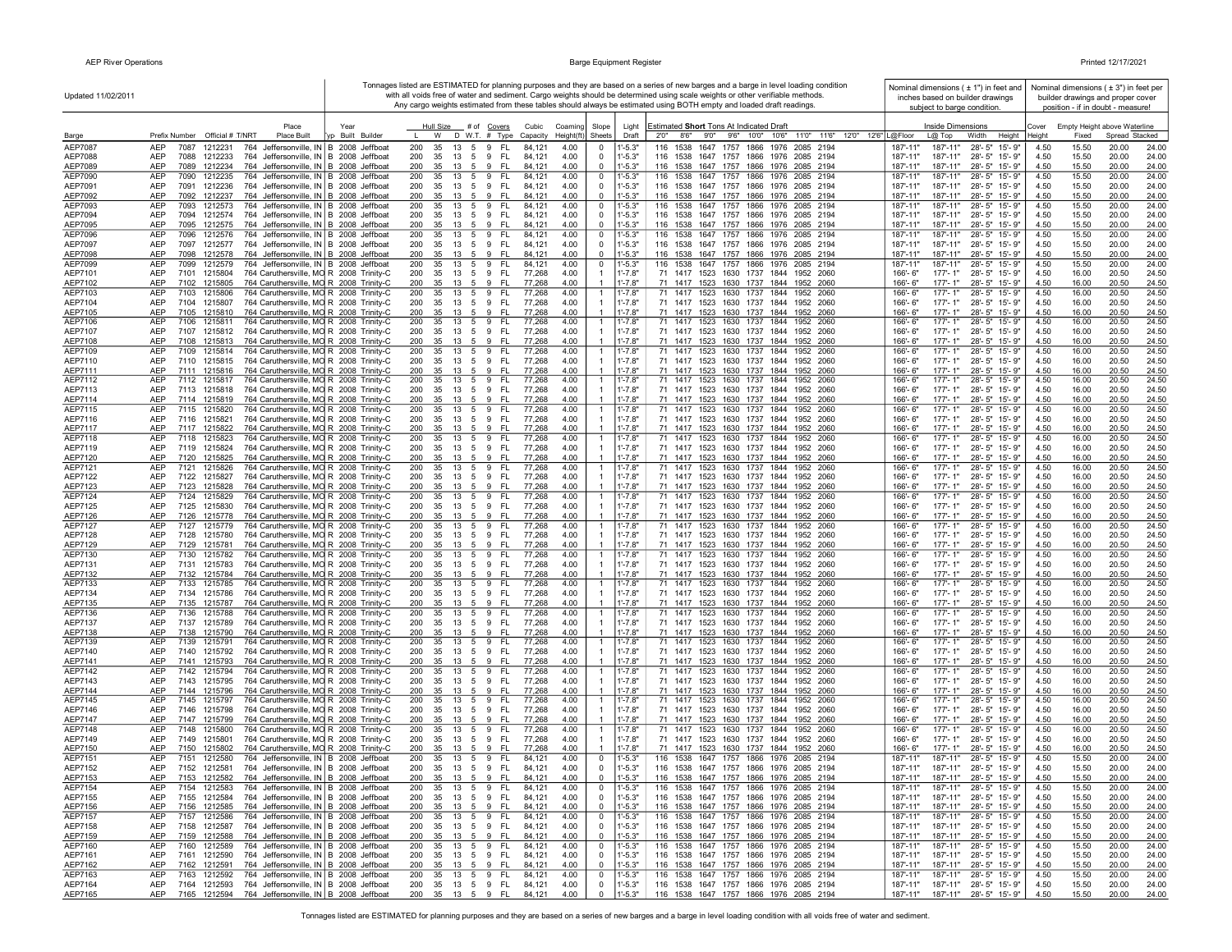| Updated 11/02/2011 |                                                                                                                                               | Tonnages listed are ESTIMATED for planning purposes and they are based on a series of new barges and a barge in level loading condition<br>with all voids free of water and sediment. Cargo weights should be determined using scale weights or other verifiable methods. |                                                     |                                                  |                                  |                            | Nominal dimensions $( 11)$ in feet and<br>inches based on builder drawings                                           | Nominal dimensions $(± 3")$ in feet per<br>builder drawings and proper cover |                                                  |              |                |                                   |                |
|--------------------|-----------------------------------------------------------------------------------------------------------------------------------------------|---------------------------------------------------------------------------------------------------------------------------------------------------------------------------------------------------------------------------------------------------------------------------|-----------------------------------------------------|--------------------------------------------------|----------------------------------|----------------------------|----------------------------------------------------------------------------------------------------------------------|------------------------------------------------------------------------------|--------------------------------------------------|--------------|----------------|-----------------------------------|----------------|
|                    |                                                                                                                                               |                                                                                                                                                                                                                                                                           |                                                     |                                                  |                                  |                            | Any cargo weights estimated from these tables should always be estimated using BOTH empty and loaded draft readings. | subject to barge condition.                                                  |                                                  |              |                | position - if in doubt - measure! |                |
|                    | Place                                                                                                                                         | Year                                                                                                                                                                                                                                                                      | Hull Size<br># of Covers                            | Cubic<br>Coaming                                 | Slope                            | Light                      | Estimated Short Tons At Indicated Draft                                                                              |                                                                              | <b>Inside Dimensions</b>                         | Cover        |                | Empty Height above Waterline      |                |
| Barge              | Prefix Number Official # T/NRT<br>Place Built                                                                                                 | Vp Built Builder                                                                                                                                                                                                                                                          | D W.T. # Type<br>W                                  | Height(ft<br>Capacity                            | Sheets                           | Draft                      | 8'6''<br>9'0"<br>9'6" 10'0" 10'6"<br>11'0" 11'6" 12'0" 12'6" L@Floor<br>2'0''                                        | $L@$ Top                                                                     | Width<br>Height                                  | Heiaht       | Fixed          | Spread Stacked                    |                |
| AEP7087<br>AEP7088 | <b>AEP</b><br>1212231<br>764 Jeffersonville, IN B 2008 Jeffboat<br>7087<br>AEP<br>764 Jeffersonville, IN B 2008 Jeffboat<br>7088<br>1212233   |                                                                                                                                                                                                                                                                           | 200<br>35<br>13<br>5 9<br>200<br>35<br>13<br>5 9    | FL.<br>4.00<br>84,121<br>- FL<br>84,121<br>4.00  | 0<br>$\mathbf 0$                 | $1' - 5.3"$<br>$1' - 5.3"$ | 116 1538<br>1647 1757 1866 1976 2085 2194<br>116 1538 1647 1757 1866 1976 2085 2194                                  | 187'-11"<br>187'-11"<br>187'-11"<br>187'-11"                                 | 28'-5" 15'-9"<br>28'-5" 15'-9"                   | 4.50<br>4.50 | 15.50<br>15.50 | 20.00<br>20.00                    | 24.00<br>24.00 |
| AEP7089            | AEP<br>7089<br>1212234<br>764 Jeffersonville, IN B 2008 Jeffboat                                                                              |                                                                                                                                                                                                                                                                           | 200<br>35<br>13<br>5<br>9                           | - FL<br>84,121<br>4.00                           | 0                                | $1' - 5.3"$                | 116 1538 1647 1757 1866 1976 2085 2194                                                                               | 187'-11"<br>187'-11"                                                         | 28'-5" 15'-9"                                    | 4.50         | 15.50          | 20.00                             | 24.00          |
| AEP7090            | AEP<br>7090<br>764 Jeffersonville, IN B 2008 Jeffboat<br>1212235                                                                              |                                                                                                                                                                                                                                                                           | 200<br>13<br>35<br>59                               | - FL<br>84,121<br>4.00                           | 0                                | $1' - 5.3"$                | 116 1538 1647 1757 1866 1976 2085 2194                                                                               | 187'-11"<br>187'-11'                                                         | 28'-5" 15'-9"                                    | 4.50         | 15.50          | 20.00                             | 24.00          |
| AEP7091<br>AEP7092 | 764 Jeffersonville, IN B 2008 Jeffboat<br>AEP<br>7091 1212236<br>AEP<br>7092 1212237<br>764 Jeffersonville, IN B 2008 Jeffboat                |                                                                                                                                                                                                                                                                           | 35 13 5 9 FL<br>200<br>200<br>35<br>13 5 9 FL       | 84,121<br>4.00<br>84,121<br>4.00                 | $\mathbf 0$<br>$\mathbf 0$       | $1' - 5.3"$<br>$1' - 5.3"$ | 116 1538 1647 1757 1866 1976 2085 2194<br>116 1538 1647 1757 1866 1976 2085 2194                                     | 187'-11"<br>187'-11"<br>187'-11"<br>187'-11"                                 | 28'-5" 15'-9"<br>28'-5" 15'-9"                   | 4.50<br>4.50 | 15.50<br>15.50 | 20.00<br>20.00                    | 24.00<br>24.00 |
| AEP7093            | 764 Jeffersonville, IN B 2008 Jeffboat<br>AEP<br>7093<br>1212573                                                                              |                                                                                                                                                                                                                                                                           | 200<br>35<br>13<br>5 9                              | FL.<br>84,121<br>4.00                            | 0                                | $1' - 5.3"$                | 116 1538 1647 1757 1866 1976 2085 2194                                                                               | 187'-11"<br>187'-11"                                                         | 28'-5" 15'-9"                                    | 4.50         | 15.50          | 20.00                             | 24.00          |
| AEP7094            | 764 Jeffersonville, IN B 2008 Jeffboat<br>AEP<br>7094<br>1212574                                                                              |                                                                                                                                                                                                                                                                           | 200<br>35<br>13<br>$5\overline{)}$<br>9             | - FL<br>84,121<br>4.00                           | $\mathbf 0$                      | $1' - 5.3"$                | 116 1538 1647 1757 1866 1976 2085 2194                                                                               | 187'-11"<br>187'-11"                                                         | 28'-5" 15'-9"                                    | 4.50         | 15.50          | 20.00                             | 24.00          |
| AEP7095<br>AEP7096 | 764 Jeffersonville, IN B 2008 Jeffboat<br>AEP<br>7095 1212575<br>AEP<br>764 Jeffersonville, IN B 2008 Jeffboat<br>7096<br>1212576             |                                                                                                                                                                                                                                                                           | 200<br>35<br>13 5<br>9<br>200<br>13<br>5<br>9<br>35 | 4.00<br>-FL<br>84,121<br>FL.<br>4.00<br>84.12'   | 0<br>0                           | $1' - 5.3"$<br>$1' - 5.3"$ | 116 1538 1647 1757 1866 1976 2085 2194<br>1647 1757 1866 1976<br>116 1538<br>2085 2194                               | 187'-11"<br>187'-11"<br>187'-11"<br>187'-11"                                 | 28'-5" 15'-9"<br>28'-5" 15'-9"                   | 4.50<br>4.50 | 15.50<br>15.50 | 20.00<br>20.00                    | 24.00<br>24.00 |
| AEP7097            | AEP<br>764 Jeffersonville, IN B 2008 Jeffboat<br>7097<br>1212577                                                                              |                                                                                                                                                                                                                                                                           | 200<br>35<br>13 5 9                                 | 4.00<br>- FL<br>84,121                           | $\mathbf 0$                      | $1' - 5.3"$                | 116 1538 1647 1757 1866 1976 2085 2194                                                                               | 187'-11"<br>187'-11"                                                         | 28'-5" 15'-9"                                    | 4.50         | 15.50          | 20.00                             | 24.00          |
| AEP7098            | <b>AEP</b><br>7098<br>1212578<br>764 Jeffersonville, IN B 2008 Jeffboat                                                                       |                                                                                                                                                                                                                                                                           | 200<br>13 5 9 FL<br>35                              | 4.00<br>84.12                                    | $\mathbf 0$                      | $1' - 5.3"$                | 116 1538 1647 1757 1866 1976 2085 2194                                                                               | 187'-11"<br>187'-11"                                                         | 28'-5" 15'-9"                                    | 4.50         | 15.50          | 20.00                             | 24.00          |
| AEP7099<br>AEP7101 | 764 Jeffersonville, IN B 2008 Jeffboat<br>AEP<br>7099<br>1212579<br>AEP<br>7101<br>764 Caruthersville, MO R 2008 Trinity-C<br>1215804         |                                                                                                                                                                                                                                                                           | 200<br>13 5 9<br>35<br>200<br>35 13 5 9             | - FL<br>84,121<br>4.00<br>4.00<br>- FL<br>77,268 | 0<br>-1                          | $1' - 5.3"$<br>$1' - 7.8"$ | 116 1538<br>1647 1757 1866 1976 2085 2194<br>71 1417 1523 1630 1737 1844 1952 2060                                   | 187'-11"<br>187'-11"<br>166'-6"<br>177'-1"                                   | 28'-5" 15'-9"<br>28'-5" 15'-9"                   | 4.50<br>4.50 | 15.50<br>16.00 | 20.00<br>20.50                    | 24.00<br>24.50 |
| AEP7102            | 764 Caruthersville, MO R 2008 Trinity-C<br>AEP<br>7102 1215805                                                                                |                                                                                                                                                                                                                                                                           | 200<br>35 13 5 9                                    | - FL<br>77,268<br>4.00                           |                                  | $1' - 7.8"$                | 71 1417 1523 1630 1737 1844 1952 2060                                                                                | 166'-6"<br>177'-1"                                                           | 28'-5" 15'-9"                                    | 4.50         | 16.00          | 20.50                             | 24.50          |
| AEP7103            | AEP<br>7103<br>764 Caruthersville, MO R 2008 Trinity-C<br>1215806                                                                             |                                                                                                                                                                                                                                                                           | 200<br>35<br>13<br>5<br>9                           | - FL<br>77,268<br>4.00                           | $\overline{1}$                   | $1' - 7.8"$                | 71 1417 1523 1630 1737 1844<br>1952 2060                                                                             | 177'-1"<br>166'-6"                                                           | 28'-5" 15'-9"                                    | 4.50         | 16.00          | 20.50                             | 24.50          |
| AEP7104<br>AEP7105 | 764 Caruthersville, MO R 2008 Trinity-C<br>AEP<br>7104 1215807<br>764 Caruthersville, MO R 2008 Trinity-C<br><b>AEP</b><br>7105<br>1215810    |                                                                                                                                                                                                                                                                           | 200<br>35<br>13<br>5 9 FL<br>200<br>35<br>13 5 9 FL | 77,268<br>4.00<br>77,268<br>4.00                 |                                  | $1' - 7.8"$<br>$1' - 7.8"$ | 71 1417 1523 1630 1737 1844 1952 2060<br>71 1417 1523 1630 1737 1844 1952 2060                                       | 166'-6"<br>177'-1"<br>166'-6"<br>$177 - 1"$                                  | 28'-5" 15'-9"<br>28'-5" 15'-9"                   | 4.50<br>4.50 | 16.00<br>16.00 | 20.50<br>20.50                    | 24.50<br>24.50 |
| AEP7106            | <b>AEP</b><br>764 Caruthersville, MO R 2008 Trinity-C<br>7106<br>1215811                                                                      |                                                                                                                                                                                                                                                                           | 200<br>35<br>13 5 9                                 | 77,268<br>4.00<br>- FL                           | -1                               | $1' - 7.8"$                | 71 1417 1523 1630 1737 1844 1952 2060                                                                                | 177'-1"<br>166'-6"                                                           | 28'-5" 15'-9"                                    | 4.50         | 16.00          | 20.50                             | 24.50          |
| AEP7107            | 764 Caruthersville, MO R 2008 Trinity-C<br>AEP<br>7107<br>1215812                                                                             |                                                                                                                                                                                                                                                                           | 200<br>35<br>- 13<br>59                             | 77,268<br>- FL<br>4.00                           |                                  | $1' - 7.8"$                | 71 1417 1523 1630 1737 1844 1952 2060                                                                                | 166'-6"<br>177'-1"                                                           | 28'-5" 15'-9"                                    | 4.50         | 16.00          | 20.50                             | 24.50          |
| AEP7108<br>AEP7109 | 764 Caruthersville, MO R 2008 Trinity-C<br>AEP<br>7108<br>1215813                                                                             |                                                                                                                                                                                                                                                                           | 200<br>35<br>13<br>5<br>9                           | 77,268<br>4.00<br>-FL                            |                                  | $1' - 7.8"$                | 71 1417 1523 1630 1737 1844<br>1952 2060                                                                             | 177'-1"<br>166'-6"                                                           | $28 - 5"$<br>15'-9"                              | 4.50         | 16.00          | 20.50                             | 24.50          |
| AEP7110            | AEP<br>7109<br>1215814<br>764 Caruthersville, MO R 2008 Trinity-C<br>AEP<br>764 Caruthersville, MO R 2008 Trinity-C<br>7110<br>1215815        |                                                                                                                                                                                                                                                                           | 200<br>35<br>13<br>5<br>9<br>200<br>35<br>13<br>59  | FL.<br>77,268<br>4.00<br>4.00<br>- FL<br>77,268  | $\overline{1}$<br>$\overline{1}$ | 1'-7.8"<br>$1' - 7.8"$     | 71 1417 1523 1630 1737 1844<br>1952 2060<br>71 1417 1523 1630 1737 1844 1952 2060                                    | 166'-6"<br>177'-1"<br>177'-1"<br>166'-6"                                     | 28'-5"<br>15'-9"<br>28'-5" 15'-9"                | 4.50<br>4.50 | 16.00<br>16.00 | 20.50<br>20.50                    | 24.50<br>24.50 |
| AEP7111            | 764 Caruthersville, MO R 2008 Trinity-C<br><b>AEP</b><br>7111<br>1215816                                                                      |                                                                                                                                                                                                                                                                           | 200<br>35<br>9<br>13<br>- 5                         | - FL<br>77,268<br>4.00                           |                                  | $1' - 7.8"$                | 71 1417 1523 1630 1737 1844 1952 2060                                                                                | 166'-6"<br>$177 - 1"$                                                        | 28'-5" 15'-9"                                    | 4.50         | 16.00          | 20.50                             | 24.50          |
| AEP7112            | <b>AEP</b><br>7112 1215817<br>764 Caruthersville, MO R 2008 Trinity-C                                                                         |                                                                                                                                                                                                                                                                           | 200<br>13<br>5 9<br>35                              | - FL<br>77,268<br>4.00                           | $\overline{1}$                   | $1' - 7.8"$                | 71 1417 1523 1630 1737 1844 1952 2060                                                                                | $177 - 1"$<br>$166' - 6''$                                                   | 28'-5" 15'-9"                                    | 4.50         | 16.00          | 20.50                             | 24.50          |
| AEP7113<br>AEP7114 | AEP<br>764 Caruthersville, MO R 2008 Trinity-C<br>7113 1215818<br>764 Caruthersville, MO R 2008 Trinity-C<br>AEP<br>7114 1215819              |                                                                                                                                                                                                                                                                           | 200<br>35<br>13 5 9 FL<br>200<br>35<br>13 5 9       | 4.00<br>77,268<br>4.00<br>- FL<br>77,268         | $\overline{1}$                   | $1' - 7.8"$<br>$1' - 7.8"$ | 71 1417 1523 1630 1737 1844 1952 2060<br>71 1417 1523 1630 1737 1844 1952 2060                                       | $177 - 1"$<br>166'-6"<br>166'-6"<br>$177 - 1"$                               | 28'-5" 15'-9"<br>28'-5" 15'-9"                   | 4.50<br>4.50 | 16.00<br>16.00 | 20.50<br>20.50                    | 24.50<br>24.50 |
| AEP7115            | AEP<br>7115 1215820<br>764 Caruthersville, MO R 2008 Trinity-C                                                                                |                                                                                                                                                                                                                                                                           | 200<br>35<br>13 5 9                                 | - FL<br>77,268<br>4.00                           | $\overline{1}$                   | $1' - 7.8"$                | 71 1417 1523 1630 1737 1844 1952 2060                                                                                | 166'-6"<br>177'-1"                                                           | 28'-5" 15'-9"                                    | 4.50         | 16.00          | 20.50                             | 24.50          |
| AEP7116            | 7116 1215821<br>764 Caruthersville, MO R 2008 Trinity-C<br>AEP                                                                                |                                                                                                                                                                                                                                                                           | 5 9 FL<br>200<br>35<br>13                           | 77,268<br>4.00                                   |                                  | $1' - 7.8"$                | 71 1417 1523 1630 1737 1844 1952 2060                                                                                | $177 - 1"$<br>166'-6"                                                        | 28'-5" 15'-9"                                    | 4.50         | 16.00          | 20.50                             | 24.50          |
| AEP7117<br>AEP7118 | 764 Caruthersville, MO R 2008 Trinity-C<br>AEP<br>7117 1215822<br>AEP<br>7118 1215823<br>764 Caruthersville, MO R 2008 Trinity-C              |                                                                                                                                                                                                                                                                           | 35<br>200<br>13<br>5<br>9<br>200<br>35<br>13 5<br>9 | - FL<br>4.00<br>77,268<br>-FL<br>77,268<br>4.00  | $\mathbf{1}$                     | $1' - 7.8"$<br>$1' - 7.8"$ | 71 1417 1523 1630 1737 1844 1952 2060<br>71 1417 1523 1630 1737 1844<br>1952 2060                                    | 177'-1"<br>166'-6"<br>$177 - 1"$<br>166'-6"                                  | 28'-5" 15'-9"<br>28'-5" 15'-9"                   | 4.50<br>4.50 | 16.00<br>16.00 | 20.50<br>20.50                    | 24.50<br>24.50 |
| AEP7119            | 764 Caruthersville, MO R 2008 Trinity-C<br>7119 1215824<br>AEP                                                                                |                                                                                                                                                                                                                                                                           | 200<br>35<br>5 9<br>13                              | - FL<br>77,268<br>4.00                           |                                  | $1' - 7.8"$                | 71 1417 1523 1630 1737 1844<br>1952 2060                                                                             | $177 - 1"$<br>166'-6"                                                        | 28'-5" 15'-9"                                    | 4.50         | 16.00          | 20.50                             | 24.50          |
| AEP7120            | 764 Caruthersville, MO R 2008 Trinity-C<br>AEP<br>7120<br>1215825                                                                             |                                                                                                                                                                                                                                                                           | 200<br>9<br>35<br>13<br>5                           | 77,268<br>4.00<br>-FL                            |                                  | $1' - 7.8"$                | 71 1417 1523 1630 1737 1844 1952 2060                                                                                | 177'-1"<br>166'-6"                                                           | 28'-5" 15'-9"                                    | 4.50         | 16.00          | 20.50                             | 24.50          |
| AEP7121<br>AEP7122 | 764 Caruthersville, MO R 2008 Trinity-C<br>AEP<br>7121<br>1215826<br>AEP<br>7122 1215827<br>764 Caruthersville, MO R 2008 Trinity-C           |                                                                                                                                                                                                                                                                           | 9<br>200<br>35<br>13<br>5<br>200<br>35<br>13 5 9    | 77,268<br>4.00<br>FL.<br>- FL<br>77,268<br>4.00  | $\mathbf{1}$                     | $1' - 7.8"$<br>$1' - 7.8"$ | 71 1417 1523 1630 1737 1844<br>1952 2060<br>71 1417 1523 1630 1737 1844 1952 2060                                    | 166'-6"<br>177'-1"<br>177'-1"<br>166'-6"                                     | 28'-5" 15'-9"<br>28'-5" 15'-9"                   | 4.50<br>4.50 | 16.00<br>16.00 | 20.50<br>20.50                    | 24.50<br>24.50 |
| AEP7123            | AEP<br>764 Caruthersville, MO R 2008 Trinity-C<br>7123<br>1215828                                                                             |                                                                                                                                                                                                                                                                           | 200<br>35<br>13 5 9                                 | 4.00<br>- FL<br>77,268                           |                                  | $1' - 7.8"$                | 71 1417 1523 1630 1737 1844 1952 2060                                                                                | 177'-1"<br>166'-6"                                                           | 28'-5" 15'-9"                                    | 4.50         | 16.00          | 20.50                             | 24.50          |
| AEP7124            | AEP<br>7124 1215829<br>764 Caruthersville, MO R 2008 Trinity-C                                                                                |                                                                                                                                                                                                                                                                           | 200<br>35<br>13<br>5<br>9                           | FL<br>77,268<br>4.00                             | $\mathbf{1}$                     | $1' - 7.8"$                | 71 1417 1523 1630 1737 1844<br>1952 2060                                                                             | 166'-6"<br>$177 - 1"$                                                        | 28'-5" 15'-9"                                    | 4.50         | 16.00          | 20.50                             | 24.50          |
| AEP7125<br>AEP7126 | AEP<br>764 Caruthersville, MO R 2008 Trinity-C<br>7125<br>1215830<br>AEP<br>764 Caruthersville, MO R 2008 Trinity-C<br>7126<br>1215778        |                                                                                                                                                                                                                                                                           | 200<br>35<br>13 5 9<br>200<br>35 13 5 9 FL          | 77,268<br>4.00<br>- FL<br>4.00<br>77,268         |                                  | $1' - 7.8"$<br>$1' - 7.8"$ | 71 1417 1523 1630 1737 1844<br>1952 2060<br>71 1417 1523 1630 1737 1844 1952 2060                                    | $177 - 1"$<br>166'-6"<br>166'-6"<br>$177 - 1"$                               | 28'-5" 15'-9"<br>28'-5" 15'-9"                   | 4.50<br>4.50 | 16.00<br>16.00 | 20.50<br>20.50                    | 24.50<br>24.50 |
| AEP7127            | AEP<br>7127 1215779<br>764 Caruthersville, MO R 2008 Trinity-C                                                                                |                                                                                                                                                                                                                                                                           | 13 5 9<br>200<br>35                                 | - FL<br>4.00<br>77,268                           | -1                               | $1' - 7.8"$                | 71 1417 1523 1630 1737 1844<br>1952 2060                                                                             | 166'-6"<br>$177 - 1"$                                                        | 28'-5" 15'-9"                                    | 4.50         | 16.00          | 20.50                             | 24.50          |
| AEP7128            | AEP<br>764 Caruthersville, MO R 2008 Trinity-C<br>7128<br>1215780                                                                             |                                                                                                                                                                                                                                                                           | 200<br>35<br>13<br>59                               | 77,268<br>4.00<br>- FL                           |                                  | $1' - 7.8"$                | 71 1417 1523 1630 1737 1844 1952 2060                                                                                | $177 - 1"$<br>166'-6"                                                        | 28'-5" 15'-9"                                    | 4.50         | 16.00          | 20.50                             | 24.50          |
| AEP7129<br>AEP7130 | 764 Caruthersville, MO R 2008 Trinity-C<br>AEP<br>7129<br>1215781<br><b>AEP</b><br>7130<br>1215782<br>764 Caruthersville, MO R 2008 Trinity-C |                                                                                                                                                                                                                                                                           | 35 13 5 9 FL<br>200<br>200<br>35<br>13<br>59        | 77,268<br>4.00<br>- FL<br>77,268<br>4.00         |                                  | $1' - 7.8"$<br>$1' - 7.8"$ | 71 1417 1523 1630 1737 1844 1952 2060<br>71 1417 1523 1630 1737 1844<br>1952 2060                                    | 177'-1"<br>166'-6"<br>$177 - 1"$<br>166'-6"                                  | 28'-5" 15'-9"<br>$28 - 5"$<br>15'-9"             | 4.50<br>4.50 | 16.00<br>16.00 | 20.50<br>20.50                    | 24.50<br>24.50 |
| AEP7131            | 764 Caruthersville, MO R 2008 Trinity-C<br>AEP<br>7131<br>1215783                                                                             |                                                                                                                                                                                                                                                                           | 200<br>35<br>13<br>5 9                              | 77,268<br>4.00<br>- FL                           |                                  | $1' - 7.8"$                | 71 1417 1523 1630 1737 1844 1952 2060                                                                                | $177 - 1"$<br>166'-6"                                                        | 28'-5" 15'-9"                                    | 4.50         | 16.00          | 20.50                             | 24.50          |
| AEP7132            | 764 Caruthersville, MO R 2008 Trinity-C<br>7132<br>1215784<br>AEP                                                                             |                                                                                                                                                                                                                                                                           | 200<br>35<br>13<br>59                               | 77,268<br>4.00<br>- FL                           |                                  | $1' - 7.8"$                | 71 1417 1523 1630 1737 1844<br>1952 2060                                                                             | $177 - 1"$<br>166'-6"                                                        | 28'-5" 15'-9"                                    | 4.50         | 16.00          | 20.50                             | 24.50          |
| AEP7133<br>AEP7134 | 764 Caruthersville, MO R 2008 Trinity-C<br>AEP<br>7133<br>1215785<br>AEP<br>7134<br>1215786<br>764 Caruthersville, MO R 2008 Trinity-C        |                                                                                                                                                                                                                                                                           | 200<br>35<br>13<br>5<br>9<br>200<br>35<br>13<br>5 9 | 4.00<br>FL.<br>77,268<br>- FL<br>77,268<br>4.00  | $\overline{1}$                   | 1'-7.8"<br>$1' - 7.8"$     | 71 1417 1523 1630 1737 1844<br>1952<br>2060<br>71 1417 1523 1630 1737 1844<br>1952 2060                              | 166'-6"<br>177'-1"<br>166'-6"<br>$177 - 1"$                                  | 28'-5" 15'-9"<br>28'-5" 15'-9"                   | 4.50<br>4.50 | 16.00<br>16.00 | 20.50<br>20.50                    | 24.50<br>24.50 |
| AEP7135            | AEP<br>7135 1215787<br>764 Caruthersville, MO R 2008 Trinity-C                                                                                |                                                                                                                                                                                                                                                                           | 200<br>35<br>13<br>5<br>9 FL                        | 77,268<br>4.00                                   |                                  | $1' - 7.8"$                | 71 1417 1523 1630 1737 1844 1952 2060                                                                                | $177 - 1"$<br>166'-6"                                                        | 28'-5" 15'-9"                                    | 4.50         | 16.00          | 20.50                             | 24.50          |
| AEP7136            | <b>AEP</b><br>7136<br>1215788<br>764 Caruthersville, MO R 2008 Trinity-C                                                                      |                                                                                                                                                                                                                                                                           | 200<br>35<br>13<br>5<br>9                           | <b>FL</b><br>77,268<br>4.00                      | $\mathbf{1}$                     | $1' - 7.8"$                | 71 1417 1523 1630 1737<br>1844<br>1952<br>2060                                                                       | 166'-6"<br>$177 - 1"$                                                        | $28 - 5"$<br>$15 - 9"$                           | 4.50         | 16.00          | 20.50                             | 24.50          |
| AEP7137<br>AEP7138 | AEP<br>764 Caruthersville, MO R 2008 Trinity-C<br>7137<br>1215789<br>AEP<br>764 Caruthersville, MO R 2008 Trinity-C<br>7138<br>1215790        |                                                                                                                                                                                                                                                                           | 200<br>35<br>5 9<br>13<br>13 5 9 FL<br>200<br>35    | - FL<br>77,268<br>4.00<br>4.00<br>77,268         | $\overline{1}$<br>$\overline{1}$ | $1' - 7.8"$<br>$1' - 7.8"$ | 71 1417 1523 1630 1737 1844<br>1952 2060<br>71 1417 1523 1630 1737 1844 1952 2060                                    | $177 - 1"$<br>$166 - 6"$<br>$177 - 1"$<br>166'-6"                            | 28'-5" 15'-9"<br>28'-5" 15'-9"                   | 4.50<br>4.50 | 16.00<br>16.00 | 20.50<br>20.50                    | 24.50<br>24.50 |
| AEP7139            | AEP<br>764 Caruthersville, MO R 2008 Trinity-C<br>7139 1215791                                                                                |                                                                                                                                                                                                                                                                           | 13 5 9<br>200<br>35                                 | - FL<br>77,268<br>4.00                           | -1                               | $1' - 7.8"$                | 71 1417 1523 1630 1737 1844 1952 2060                                                                                | 177'-1"<br>166'-6"                                                           | 28'-5" 15'-9"                                    | 4.50         | 16.00          | 20.50                             | 24.50          |
| AEP7140            | AEP<br>7140 1215792<br>764 Caruthersville, MO R 2008 Trinity-C                                                                                |                                                                                                                                                                                                                                                                           | 200<br>35 13 5 9 FL                                 | 77,268<br>4.00                                   |                                  | $1' - 7.8"$                | 71 1417 1523 1630 1737 1844 1952 2060                                                                                | 166'-6"<br>177'-1"                                                           | 28'-5" 15'-9"                                    | 4.50         | 16.00          | 20.50                             | 24.50          |
| AEP7141<br>AEP7142 | <b>AEP</b><br>764 Caruthersville, MO R 2008 Trinity-C<br>7141<br>1215793<br>7142 1215794<br>764 Caruthersville, MO R 2008 Trinity-C<br>AEP    |                                                                                                                                                                                                                                                                           | 200<br>35<br>5 9<br>13<br>200<br>35<br>13<br>59     | - FL<br>77,268<br>4.00<br>- FL<br>77,268<br>4.00 | $\mathbf{1}$                     | $1' - 7.8"$<br>$1' - 7.8'$ | 71 1417 1523 1630 1737 1844 1952 2060<br>71 1417 1523 1630 1737 1844 1952 2060                                       | $177 - 1"$<br>$166' - 6''$<br>177'-1"<br>166'-6"                             | 28'-5" 15'-9"<br>28'-5" 15'-9"                   | 4.50<br>4.50 | 16.00<br>16.00 | 20.50<br>20.50                    | 24.50<br>24.50 |
| AEP7143            | 7143 1215795<br>764 Caruthersville, MO R 2008 Trinity-C<br>AEP                                                                                |                                                                                                                                                                                                                                                                           | 200<br>35 13 5 9                                    | - FL<br>77,268<br>4.00                           |                                  | $1' - 7.8"$                | 71 1417 1523 1630 1737 1844 1952 2060                                                                                | $177 - 1"$<br>166'-6"                                                        | 28'-5" 15'-9"                                    | 4.50         | 16.00          | 20.50                             | 24.50          |
| AEP7144            | 764 Caruthersville, MO R 2008 Trinity-C<br>7144<br>1215796<br>AEP                                                                             |                                                                                                                                                                                                                                                                           | 200<br>9<br>35<br>13<br>5                           | 4.00<br>- FL<br>77,268                           | $\overline{1}$                   | $1' - 7.8"$                | 71 1417 1523 1630 1737 1844 1952 2060                                                                                | $177 - 1"$<br>166'-6"                                                        | 28'-5" 15'-9"                                    | 4.50         | 16.00          | 20.50                             | 24.50          |
| AEP7145            | 764 Caruthersville, MO R 2008 Trinity-C<br>AEP<br>7145 1215797<br>764 Caruthersville, MO R 2008 Trinity-C<br>AEP<br>7146<br>1215798           |                                                                                                                                                                                                                                                                           | 200<br>35<br>13<br>5 9<br>200<br>35<br>9            | 77,268<br>4.00<br>- FL<br>- FL<br>77,268<br>4.00 | $\overline{1}$                   | $1' - 7.8"$<br>$1' - 7.8"$ | 71 1417 1523 1630 1737 1844<br>1952 2060                                                                             | 177'-1"<br>166'- 6"<br>166'-6"<br>177'-1"                                    | 28'-5" 15'-9"<br>28'-5" 15'-9"                   | 4.50<br>4.50 | 16.00<br>16.00 | 20.50<br>20.50                    | 24.50<br>24.50 |
| AEP7146<br>AEP7147 | AEP<br>1215799<br>764 Caruthersville, MO R 2008 Trinity-C<br>7147                                                                             |                                                                                                                                                                                                                                                                           | 13<br>5<br>200<br>35<br>9<br>13<br>5                | FL.<br>4.00<br>77,268                            |                                  | $1' - 7.8"$                | 71 1417 1523 1630 1737 1844 1952 2060<br>71 1417 1523 1630 1737 1844 1952 2060                                       | 166'-6"<br>$177 - 1"$                                                        | 28'-5" 15'-9"                                    | 4.50         | 16.00          | 20.50                             | 24.50          |
| AEP7148            | 764 Caruthersville, MO R 2008 Trinity-C<br>AEP<br>7148<br>1215800                                                                             |                                                                                                                                                                                                                                                                           | 200<br>35<br>13<br>5<br>9                           | 4.00<br>FL.<br>77,268                            | $\mathbf{1}$                     | 1'-7.8"                    | 1523 1630 1737 1844<br>71 1417<br>1952 2060                                                                          | 177'-1"<br>166'-6"                                                           | 28'-5" 15'-9"                                    | 4.50         | 16.00          | 20.50                             | 24.50          |
| AEP7149            | <b>AEP</b><br>764 Caruthersville, MO R 2008 Trinity-C<br>7149 1215801                                                                         |                                                                                                                                                                                                                                                                           | 200<br>35 13 5 9                                    | - FL<br>77,268<br>4.00                           |                                  | $1' - 7.8"$<br>$1' - 7.8"$ | 71 1417 1523 1630 1737 1844 1952 2060                                                                                | $177 - 1"$<br>$166 - 6"$                                                     | 28'-5" 15'-9"                                    | 4.50         | 16.00          | 20.50                             | 24.50          |
| AEP7150<br>AEP7151 | 764 Caruthersville, MO R 2008 Trinity-C<br>AEP<br>7150<br>1215802<br>AEP<br>7151<br>764 Jeffersonville, IN B 2008 Jeffboat<br>1212580         |                                                                                                                                                                                                                                                                           | 200<br>35 13 5 9<br>35 13 5 9<br>200                | - FL<br>4.00<br>77,268<br>- FL<br>84,121<br>4.00 | $^{\circ}$                       | $1' - 5.3"$                | 71 1417 1523 1630 1737 1844 1952 2060<br>116 1538 1647 1757 1866 1976 2085 2194                                      | $177 - 1"$<br>$166' - 6''$<br>187'-11"<br>187'-11"                           | 28'-5" 15'-9"<br>28'-5" 15'-9"                   | 4.50<br>4.50 | 16.00<br>15.50 | 20.50<br>20.00                    | 24.50<br>24.00 |
| AEP7152            | AEP<br>7152 1212581 764 Jeffersonville, IN B 2008 Jeffboat                                                                                    |                                                                                                                                                                                                                                                                           | 200 35 13 5 9 FL                                    | 84,121<br>4.00                                   | 0                                | $1' - 5.3"$                | 116 1538 1647 1757 1866 1976 2085 2194                                                                               | 187'-11"                                                                     | 187'-11" 28'-5" 15'-9"                           | 4.50         | 15.50          | 20.00                             | 24.00          |
| AEP7153            | <b>AEP</b><br>7153 1212582 764 Jeffersonville IN B 2008 Jeffboat                                                                              |                                                                                                                                                                                                                                                                           | 200 35 13 5 9 FL                                    | 84.121<br>4.00                                   |                                  | $1 - 5.3"$                 | 116 1538 1647 1757 1866 1976 2085 2194                                                                               | 187'-11"                                                                     | 187'-11" 28'-5" 15'-9"                           | 4.50         | 15.50          | 20.00                             | 24.00          |
| AEP7154<br>AEP7155 | 7154 1212583 764 Jeffersonville, IN B 2008 Jeffboat<br>AEP<br>7155 1212584 764 Jeffersonville, IN B 2008 Jeffboat<br>AFP                      |                                                                                                                                                                                                                                                                           | 200<br>35<br>13<br>59<br>200<br>35<br>13 5 9 FL     | - FL<br>84,121<br>4.00<br>84,121<br>4.00         | 0<br>$^{\circ}$                  | $1' - 5.3"$<br>$1' - 5.3"$ | 116 1538 1647 1757 1866 1976 2085 2194<br>116 1538 1647 1757 1866 1976 2085 2194                                     | 187'-11"<br>187'-11"                                                         | 187'-11" 28'-5" 15'-9"<br>187'-11" 28'-5" 15'-9" | 4.50<br>4.50 | 15.50<br>15.50 | 20.00<br>20.00                    | 24.00<br>24.00 |
| AEP7156            | AEP<br>7156 1212585 764 Jeffersonville, IN B 2008 Jeffboat                                                                                    |                                                                                                                                                                                                                                                                           | 200<br>35<br>13<br>5 9 FL                           | 84,121<br>4.00                                   | $^{\circ}$                       | $1' - 5.3"$                | 116 1538 1647 1757 1866 1976 2085 2194                                                                               | 187'-11"                                                                     | 187'-11" 28'-5" 15'-9"                           | 4.50         | 15.50          | 20.00                             | 24.00          |
| <b>AEP7157</b>     | 764 Jeffersonville, IN B 2008 Jeffboat<br>AEP<br>7157 1212586                                                                                 |                                                                                                                                                                                                                                                                           | 200<br>35<br>13 5 9 FL                              | 84,121<br>4.00                                   | $\overline{0}$                   | $1' - 5.3"$                | 116 1538 1647 1757 1866 1976 2085 2194                                                                               | 187'-11"<br>187'-11"                                                         | 28'-5" 15'-9"                                    | 4.50         | 15.50          | 20.00                             | 24.00          |
| AEP7158<br>AEP7159 | 7158 1212587 764 Jeffersonville, IN B 2008 Jeffboat<br>AEP<br>7159 1212588<br>764 Jeffersonville, IN B 2008 Jeffboat<br>AEP                   |                                                                                                                                                                                                                                                                           | 200<br>35<br>13 5 9 FL<br>200<br>35<br>13 5 9 FL    | 84,121<br>4.00<br>4.00<br>84,121                 | 0<br>0                           | $1' - 5.3"$<br>$1' - 5.3"$ | 116 1538 1647 1757 1866 1976 2085 2194<br>116 1538 1647 1757 1866 1976 2085 2194                                     | 187'-11"<br>187'-11"<br>187'-11"<br>187'-11"                                 | 28'-5" 15'-9"<br>28'-5" 15'-9"                   | 4.50<br>4.50 | 15.50<br>15.50 | 20.00<br>20.00                    | 24.00<br>24.00 |
| AEP7160            | AEP<br>7160 1212589<br>764 Jeffersonville, IN B 2008 Jeffboat                                                                                 |                                                                                                                                                                                                                                                                           | 200<br>35<br>13 5 9 FL                              | 4.00<br>84,121                                   | $\mathbf 0$                      | $1' - 5.3"$                | 116 1538 1647 1757 1866 1976 2085 2194                                                                               | 187'-11"<br>187'-11"                                                         | 28'-5" 15'-9"                                    | 4.50         | 15.50          | 20.00                             | 24.00          |
| AEP7161            | 7161 1212590 764 Jeffersonville, IN B 2008 Jeffboat<br>AEP                                                                                    |                                                                                                                                                                                                                                                                           | 200<br>35<br>13 5 9 FL                              | 84,121<br>4.00                                   | $\overline{0}$                   | $1' - 5.3"$                | 116 1538 1647 1757 1866 1976 2085 2194                                                                               |                                                                              | 187'-11" 187'-11" 28'-5" 15'-9"                  | 4.50         | 15.50          | 20.00                             | 24.00          |
| AEP7162<br>AEP7163 | 7162 1212591 764 Jeffersonville, IN B 2008 Jeffboat<br>AEP<br>7163 1212592 764 Jeffersonville, IN B 2008 Jeffboat<br>AEP                      |                                                                                                                                                                                                                                                                           | 200<br>35 13 5 9 FL<br>200<br>35 13 5 9 FL          | 84,121<br>4.00<br>4.00<br>84,121                 | $^{\circ}$<br>$\mathbf 0$        | $1' - 5.3"$<br>$1' - 5.3"$ | 116 1538 1647 1757 1866 1976 2085 2194<br>116 1538 1647 1757 1866 1976 2085 2194                                     | 187'-11"<br>187'-11"                                                         | 187'-11" 28'-5" 15'-9"<br>187'-11" 28'-5" 15'-9" | 4.50<br>4.50 | 15.50<br>15.50 | 20.00<br>20.00                    | 24.00<br>24.00 |
| AEP7164            | 7164 1212593 764 Jeffersonville, IN B 2008 Jeffboat<br>AEP                                                                                    |                                                                                                                                                                                                                                                                           | 200<br>35 13 5 9 FL                                 | 4.00<br>84,121                                   | 0                                | $1' - 5.3"$                | 116 1538 1647 1757 1866 1976 2085 2194                                                                               |                                                                              | 187'-11" 187'-11" 28'-5" 15'-9"                  | 4.50         | 15.50          | 20.00                             | 24.00          |
| AEP7165            | AEP 7165 1212594 764 Jeffersonville, IN B 2008 Jeffboat                                                                                       |                                                                                                                                                                                                                                                                           | 200 35 13 5 9 FL                                    | 84,121<br>4.00                                   | $\overline{0}$                   | $1' - 5.3"$                | 116 1538 1647 1757 1866 1976 2085 2194                                                                               |                                                                              | 187'-11" 187'-11" 28'-5" 15'-9"                  | 4.50         | 15.50          | 20.00                             | 24.00          |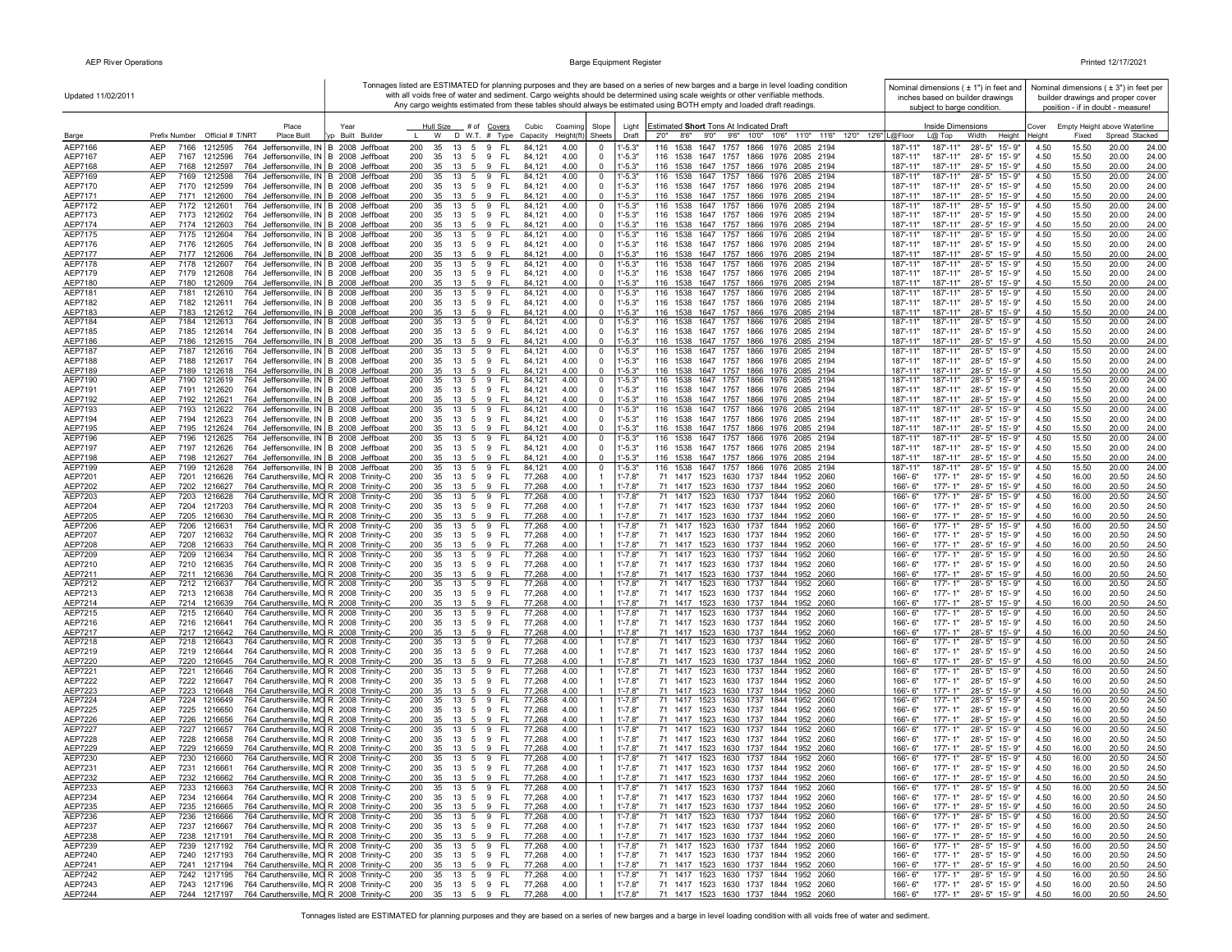| Updated 11/02/2011 |                                                                                                                                             |                  |                                                        |                                          |              |                                  |                            | Tonnages listed are ESTIMATED for planning purposes and they are based on a series of new barges and a barge in level loading condition<br>with all voids free of water and sediment. Cargo weights should be determined using scale weights or other verifiable methods. |                                              | Nominal dimensions $( 11)$ in feet and<br>inches based on builder drawings |              |                | Nominal dimensions $(± 3")$ in feet per<br>builder drawings and proper cover |                |
|--------------------|---------------------------------------------------------------------------------------------------------------------------------------------|------------------|--------------------------------------------------------|------------------------------------------|--------------|----------------------------------|----------------------------|---------------------------------------------------------------------------------------------------------------------------------------------------------------------------------------------------------------------------------------------------------------------------|----------------------------------------------|----------------------------------------------------------------------------|--------------|----------------|------------------------------------------------------------------------------|----------------|
|                    |                                                                                                                                             |                  |                                                        |                                          |              |                                  |                            | Any cargo weights estimated from these tables should always be estimated using BOTH empty and loaded draft readings.                                                                                                                                                      |                                              | subject to barge condition.                                                |              |                | position - if in doubt - measure!                                            |                |
|                    | Place                                                                                                                                       | Year             | Hull Size<br># of Covers                               | Cubic                                    | Coaming      | Slope                            | Light                      | Estimated Short Tons At Indicated Draft                                                                                                                                                                                                                                   |                                              | <b>Inside Dimensions</b>                                                   | Cover        |                | Empty Height above Waterline                                                 |                |
| Barge              | Prefix Number Official # T/NRT<br>Place Built                                                                                               | Vp Built Builder | D W.T. # Type<br>W                                     | Capacity                                 | Height(ft    | Sheets                           | Draft                      | 8'6''<br>9'0"<br>9'6" 10'0" 10'6"<br>11'0" 11'6" 12'0" 12'6" L@Floor<br>2'0''                                                                                                                                                                                             | $L@$ Top                                     | Width<br>Height                                                            | Heiaht       | Fixed          | Spread Stacked                                                               |                |
| AEP7166<br>AEP7167 | <b>AEP</b><br>7166<br>1212595<br>764 Jeffersonville, IN B 2008 Jeffboat<br>AEP<br>764 Jeffersonville, IN B 2008 Jeffboat<br>7167<br>1212596 |                  | 200<br>35<br>13<br>5 9<br>200<br>35<br>13<br>5 9       | FL.<br>84,121<br>- FL<br>84,121          | 4.00<br>4.00 | 0<br>$\mathbf 0$                 | $1' - 5.3"$<br>$1' - 5.3"$ | 116 1538<br>1647 1757 1866 1976 2085 2194<br>116 1538 1647 1757 1866 1976 2085 2194                                                                                                                                                                                       | 187'-11"<br>187'-11"                         | 187'-11"<br>28'-5" 15'-9"<br>187'-11"<br>28'-5" 15'-9"                     | 4.50<br>4.50 | 15.50<br>15.50 | 20.00<br>20.00                                                               | 24.00<br>24.00 |
| AEP7168            | AEP<br>7168<br>1212597<br>764 Jeffersonville, IN B 2008 Jeffboat                                                                            |                  | 200<br>35<br>13<br>5<br>9                              | - FL<br>84,121                           | 4.00         | 0                                | $1' - 5.3"$                | 116 1538 1647 1757 1866 1976 2085 2194                                                                                                                                                                                                                                    | 187'-11"                                     | 187'-11"<br>28'-5" 15'-9"                                                  | 4.50         | 15.50          | 20.00                                                                        | 24.00          |
| AEP7169            | AEP<br>7169 1212598<br>764 Jeffersonville, IN B 2008 Jeffboat                                                                               |                  | 200<br>35<br>13<br>59                                  | - FL<br>84,121                           | 4.00         | 0                                | $1' - 5.3"$                | 116 1538 1647 1757 1866 1976 2085 2194                                                                                                                                                                                                                                    | 187'-11"                                     | 187'-11"<br>28'-5" 15'-9"                                                  | 4.50         | 15.50          | 20.00                                                                        | 24.00          |
| AEP7170<br>AEP7171 | 764 Jeffersonville, IN B 2008 Jeffboat<br>AEP<br>7170 1212599<br><b>AEP</b><br>7171 1212600<br>764 Jeffersonville, IN B 2008 Jeffboat       |                  | 35 13 5 9 FL<br>200<br>200<br>35<br>13 5 9 FL          | 84,121<br>84,121                         | 4.00<br>4.00 | $\mathbf 0$<br>$\mathbf 0$       | $1' - 5.3"$<br>$1' - 5.3"$ | 116 1538 1647 1757 1866 1976 2085 2194<br>116 1538 1647 1757 1866 1976 2085 2194                                                                                                                                                                                          | 187'-11"<br>187'-11"                         | 187'-11"<br>28'-5" 15'-9"<br>187'-11"<br>28'-5" 15'-9"                     | 4.50<br>4.50 | 15.50<br>15.50 | 20.00<br>20.00                                                               | 24.00<br>24.00 |
| AEP7172            | 764 Jeffersonville, IN B 2008 Jeffboat<br>AEP<br>7172 1212601                                                                               |                  | 200<br>35<br>13 5 9                                    | - FL<br>84,121                           | 4.00         | 0                                | $1' - 5.3"$                | 116 1538 1647 1757 1866 1976 2085 2194                                                                                                                                                                                                                                    | 187'-11"                                     | 28'-5" 15'-9"<br>187'-11"                                                  | 4.50         | 15.50          | 20.00                                                                        | 24.00          |
| AEP7173            | 764 Jeffersonville, IN B 2008 Jeffboat<br>AEP<br>7173 1212602                                                                               |                  | 200<br>35<br>13<br>5 9                                 | - FL<br>84,121                           | 4.00         | 0                                | $1' - 5.3"$                | 116 1538 1647 1757 1866 1976 2085 2194                                                                                                                                                                                                                                    | 187'-11"<br>187'-11"                         | 28'-5" 15'-9"                                                              | 4.50         | 15.50          | 20.00                                                                        | 24.00          |
| AEP7174<br>AEP7175 | 764 Jeffersonville, IN B 2008 Jeffboat<br>AEP<br>7174 1212603<br>AEP<br>764 Jeffersonville, IN B 2008 Jeffboat<br>7175 1212604              |                  | 200<br>35<br>13 5<br>200<br>35<br>13<br>5              | 9<br>-FL<br>84,121<br>9<br>FL.<br>84.12' | 4.00<br>4.00 | 0<br>0                           | $1' - 5.3"$<br>$1' - 5.3"$ | 116 1538 1647 1757 1866 1976 2085 2194<br>1647 1757 1866 1976<br>116 1538<br>2085 2194                                                                                                                                                                                    | 187'-11"<br>187'-11"<br>187'-11"<br>187'-11" | 28'-5" 15'-9"<br>28'-5" 15'-9"                                             | 4.50<br>4.50 | 15.50<br>15.50 | 20.00<br>20.00                                                               | 24.00<br>24.00 |
| AEP7176            | AEP<br>764 Jeffersonville, IN B 2008 Jeffboat<br>7176 1212605                                                                               |                  | 200<br>35<br>13 5 9                                    | - FL<br>84,121                           | 4.00         | $\mathbf 0$                      | $1' - 5.3"$                | 116 1538 1647 1757 1866 1976 2085 2194                                                                                                                                                                                                                                    | 187'-11"                                     | 28'-5" 15'-9"<br>187'-11"                                                  | 4.50         | 15.50          | 20.00                                                                        | 24.00          |
| AEP7177            | <b>AEP</b><br>7177 1212606<br>764 Jeffersonville, IN B 2008 Jeffboat                                                                        |                  | 200<br>35 13 5 9 FL                                    | 84.12                                    | 4.00         | $\mathbf 0$                      | $1' - 5.3"$                | 116 1538 1647 1757 1866 1976 2085 2194                                                                                                                                                                                                                                    | 187'-11"                                     | 187'-11"<br>28'-5" 15'-9"                                                  | 4.50         | 15.50          | 20.00                                                                        | 24.00          |
| AEP7178<br>AEP7179 | AEP<br>7178 1212607<br>764 Jeffersonville, IN B 2008 Jeffboat<br>AEP<br>764 Jeffersonville, IN B 2008 Jeffboat<br>7179<br>1212608           |                  | 200<br>13 5 9<br>35<br>200<br>35<br>13 5 9             | - FL<br>84,121<br>- FL<br>84,121         | 4.00<br>4.00 | 0<br>0                           | $1' - 5.3"$<br>$1' - 5.3"$ | 116 1538 1647 1757 1866 1976 2085 2194<br>116 1538 1647 1757 1866 1976 2085 2194                                                                                                                                                                                          | 187'-11"<br>187'-11"                         | 187'-11"<br>28'-5" 15'-9"<br>187'-11"<br>28'-5" 15'-9"                     | 4.50<br>4.50 | 15.50<br>15.50 | 20.00<br>20.00                                                               | 24.00<br>24.00 |
| AEP7180            | AEP<br>7180 1212609<br>764 Jeffersonville, IN B 2008 Jeffboat                                                                               |                  | 200<br>35 13 5 9                                       | - FL<br>84,121                           | 4.00         | $\mathbf 0$                      | $1' - 5.3"$                | 116 1538 1647 1757 1866 1976 2085 2194                                                                                                                                                                                                                                    | 187'-11"                                     | 187'-11"<br>28'-5" 15'-9"                                                  | 4.50         | 15.50          | 20.00                                                                        | 24.00          |
| AEP7181            | AEP<br>764 Jeffersonville, IN B 2008 Jeffboat<br>7181<br>1212610                                                                            |                  | 200<br>35<br>13<br>5<br>9                              | - FL<br>84,121                           | 4.00         | 0                                | $1' - 5.3"$                | 116 1538 1647 1757 1866 1976<br>2085 2194                                                                                                                                                                                                                                 | 187'-11"                                     | 187'-11"<br>28'-5" 15'-9"                                                  | 4.50         | 15.50          | 20.00                                                                        | 24.00          |
| AEP7182<br>AEP7183 | AEP<br>7182<br>1212611<br>764 Jeffersonville, IN B 2008 Jeffboat<br><b>AEP</b><br>7183<br>1212612<br>764 Jeffersonville, IN B 2008 Jeffboat |                  | 200<br>35<br>13    5    9    FL<br>200<br>35<br>13 5 9 | 84,121<br>- FL<br>84,121                 | 4.00<br>4.00 | $\mathbf 0$<br>$\mathbf 0$       | $1' - 5.3"$<br>$1' - 5.3"$ | 116 1538 1647 1757 1866 1976 2085 2194<br>116 1538 1647 1757 1866 1976 2085 2194                                                                                                                                                                                          | 187'-11"<br>187'-11"                         | 187'-11"<br>28'-5" 15'-9"<br>187'-11"<br>28'-5" 15'-9"                     | 4.50<br>4.50 | 15.50<br>15.50 | 20.00<br>20.00                                                               | 24.00<br>24.00 |
| AEP7184            | <b>AEP</b><br>764 Jeffersonville, IN B 2008 Jeffboat<br>7184<br>1212613                                                                     |                  | 200<br>35<br>13 5 9                                    | - FL<br>84,121                           | 4.00         | 0                                | $1' - 5.3"$                | 116 1538 1647 1757 1866 1976 2085 2194                                                                                                                                                                                                                                    | 187'-11'<br>187'-11"                         | $28 - 5"$<br>15'-9"                                                        | 4.50         | 15.50          | 20.00                                                                        | 24.00          |
| AEP7185            | AEP<br>7185<br>1212614<br>764 Jeffersonville, IN B 2008 Jeffboat                                                                            |                  | 200<br>35<br>- 13<br>5<br>9                            | - FL<br>84,121                           | 4.00         | 0                                | $1' - 5.3"$                | 116 1538 1647 1757 1866 1976 2085 2194                                                                                                                                                                                                                                    | 187'-11"<br>187'-11"                         | 28'-5" 15'-9"                                                              | 4.50         | 15.50          | 20.00                                                                        | 24.00          |
| AEP7186<br>AEP7187 | AEP<br>7186<br>1212615<br>764 Jeffersonville, IN B 2008 Jeffboat                                                                            |                  | 200<br>35<br>13<br>5                                   | 9<br>FL<br>84,121                        | 4.00         | 0                                | $1' - 5.3"$                | 116 1538 1647 1757 1866 1976 2085 2194                                                                                                                                                                                                                                    | 187'-11"<br>187'-11"                         | $28 - 5"$<br>15'-9"                                                        | 4.50         | 15.50<br>15.50 | 20.00                                                                        | 24.00          |
| AEP7188            | AEP<br>7187<br>1212616<br>764 Jeffersonville, IN B 2008 Jeffboat<br>AEP<br>7188<br>1212617<br>764 Jeffersonville, IN B 2008 Jeffboat        |                  | 200<br>35<br>13<br>5<br>200<br>35<br>13<br>59          | 9<br>FL.<br>84,121<br>- FL<br>84,121     | 4.00<br>4.00 | 0<br>$\mathbf 0$                 | 1'-5.3"<br>$1' - 5.3"$     | 116 1538 1647 1757 1866 1976<br>2085 2194<br>116 1538 1647 1757 1866 1976 2085 2194                                                                                                                                                                                       | 187'-11"<br>187'-11"<br>187'-11"<br>187'-11" | 28'-5"<br>15'-9"<br>28'-5" 15'-9"                                          | 4.50<br>4.50 | 15.50          | 20.00<br>20.00                                                               | 24.00<br>24.00 |
| AEP7189            | <b>AEP</b><br>7189<br>1212618<br>764 Jeffersonville, IN B 2008 Jeffboat                                                                     |                  | 200<br>35<br>9<br>13<br>- 5                            | - FL<br>84,121                           | 4.00         | $\mathbf 0$                      | $1' - 5.3"$                | 116 1538 1647 1757 1866 1976 2085 2194                                                                                                                                                                                                                                    | 187'-11"<br>187'-11"                         | 28'-5" 15'-9"                                                              | 4.50         | 15.50          | 20.00                                                                        | 24.00          |
| AEP7190            | <b>AEP</b><br>7190<br>764 Jeffersonville, IN B 2008 Jeffboat<br>1212619                                                                     |                  | 200<br>13<br>5<br>9<br>35                              | -FL<br>84,121                            | 4.00         | 0                                | $1' - 5.3"$                | 116 1538 1647 1757 1866 1976 2085 2194                                                                                                                                                                                                                                    | 187'-11"<br>187'-11"                         | 28'-5" 15'-9"                                                              | 4.50         | 15.50          | 20.00                                                                        | 24.00          |
| AEP7191<br>AEP7192 | AEP<br>764 Jeffersonville, IN B 2008 Jeffboat<br>7191<br>1212620<br>764 Jeffersonville, IN B 2008 Jeffboat<br>AEP<br>7192 1212621           |                  | 200<br>35<br>13 5 9 FL<br>200<br>35<br>13 5 9          | 84,121<br>- FL<br>84,121                 | 4.00<br>4.00 | $\mathbf 0$<br>$\Omega$          | $1' - 5.3"$<br>$1' - 5.3"$ | 116 1538 1647 1757 1866 1976 2085 2194<br>116 1538 1647 1757 1866 1976 2085 2194                                                                                                                                                                                          | 187'-11"<br>187'-11"                         | 28'-5" 15'-9"<br>187'-11"<br>187'-11"<br>28'-5" 15'-9"                     | 4.50<br>4.50 | 15.50<br>15.50 | 20.00<br>20.00                                                               | 24.00<br>24.00 |
| AEP7193            | AEP<br>7193 1212622<br>764 Jeffersonville, IN B 2008 Jeffboat                                                                               |                  | 200<br>35<br>13 5 9                                    | - FL<br>84,121                           | 4.00         | 0                                | 1'-5.3"                    | 116 1538 1647 1757 1866 1976 2085 2194                                                                                                                                                                                                                                    | 187'-11"                                     | 187'-11"<br>28'-5" 15'-9"                                                  | 4.50         | 15.50          | 20.00                                                                        | 24.00          |
| AEP7194            | 764 Jeffersonville, IN B 2008 Jeffboat<br>AEP<br>7194 1212623                                                                               |                  | 200<br>5 9 FL<br>35<br>13                              | 84,121                                   | 4.00         | $\mathbf 0$                      | $1' - 5.3"$                | 116 1538 1647 1757 1866 1976 2085 2194                                                                                                                                                                                                                                    | 187'-11"                                     | 187'-11"<br>28'-5" 15'-9"                                                  | 4.50         | 15.50          | 20.00                                                                        | 24.00          |
| AEP7195<br>AEP7196 | 764 Jeffersonville, IN B 2008 Jeffboat<br>AEP<br>7195 1212624<br>AEP<br>7196 1212625<br>764 Jeffersonville, IN B 2008 Jeffboat              |                  | 35<br>200<br>13<br>5<br>9<br>200<br>35<br>13 5<br>9    | - FL<br>84,121<br>-FL<br>84,121          | 4.00<br>4.00 | $\overline{0}$<br>$\mathsf 0$    | $1' - 5.3"$<br>$1' - 5.3"$ | 116 1538 1647 1757 1866 1976 2085 2194<br>116 1538 1647 1757 1866 1976 2085 2194                                                                                                                                                                                          | 187'-11"<br>187'-11"                         | 187'-11"<br>28'-5" 15'-9"<br>187'-11"<br>28'-5" 15'-9"                     | 4.50<br>4.50 | 15.50<br>15.50 | 20.00<br>20.00                                                               | 24.00<br>24.00 |
| AEP7197            | AEP<br>7197<br>1212626<br>764 Jeffersonville, IN B 2008 Jeffboat                                                                            |                  | 200<br>35<br>5 9<br>13                                 | - FL<br>84,121                           | 4.00         | $\mathbf 0$                      | $1' - 5.3"$                | 116 1538 1647 1757 1866 1976 2085 2194                                                                                                                                                                                                                                    | 187'-11"<br>187'-11"                         | 28'-5" 15'-9"                                                              | 4.50         | 15.50          | 20.00                                                                        | 24.00          |
| AEP7198            | AEP<br>764 Jeffersonville, IN B 2008 Jeffboat<br>7198<br>1212627                                                                            |                  | 200<br>35<br>13<br>5                                   | 9<br>-FL<br>84,12'                       | 4.00         | $\overline{0}$                   | $-5.3"$                    | 116 1538 1647 1757 1866 1976 2085 2194                                                                                                                                                                                                                                    | 187'-11"<br>187'-11"                         | 28'-5" 15'-9"                                                              | 4.50         | 15.50          | 20.00                                                                        | 24.00          |
| AEP7199<br>AEP7201 | 764 Jeffersonville, IN B 2008 Jeffboat<br>AEP<br>7199<br>1212628<br>AEP<br>7201<br>764 Caruthersville, MO R 2008 Trinity-C<br>1216626       |                  | 200<br>9<br>35<br>13<br>5<br>200<br>35<br>13 5 9       | FL.<br>84,121<br>- FL<br>77,268          | 4.00<br>4.00 | 0                                | $1' - 5.3"$<br>$1' - 7.8"$ | 116 1538 1647 1757 1866 1976 2085 2194<br>71 1417 1523 1630 1737 1844 1952 2060                                                                                                                                                                                           | 187'-11"<br>187'-11"<br>166'-6"              | 28'-5" 15'-9"<br>177'-1"<br>28'-5" 15'-9"                                  | 4.50<br>4.50 | 15.50<br>16.00 | 20.00<br>20.50                                                               | 24.00<br>24.50 |
| AEP7202            | AEP<br>764 Caruthersville, MO R 2008 Trinity-C<br>7202<br>1216627                                                                           |                  | 200<br>35<br>13 5 9                                    | - FL<br>77,268                           | 4.00         |                                  | $1' - 7.8"$                | 71 1417 1523 1630 1737 1844 1952 2060                                                                                                                                                                                                                                     | 166'-6"                                      | 177'-1"<br>28'-5" 15'-9"                                                   | 4.50         | 16.00          | 20.50                                                                        | 24.50          |
| AEP7203            | AEP<br>7203<br>1216628<br>764 Caruthersville, MO R 2008 Trinity-C                                                                           |                  | 200<br>35<br>13<br>5<br>9                              | FL.<br>77,268                            | 4.00         | $\mathbf{1}$                     | $1' - 7.8"$                | 71 1417 1523 1630 1737 1844<br>1952 2060                                                                                                                                                                                                                                  | 166'-6"                                      | $177 - 1"$<br>28'-5" 15'-9"                                                | 4.50         | 16.00          | 20.50                                                                        | 24.50          |
| AEP7204<br>AEP7205 | AEP<br>764 Caruthersville, MO R 2008 Trinity-C<br>7204<br>1217203<br>AEP<br>764 Caruthersville, MO R 2008 Trinity-C<br>7205<br>1216630      |                  | 200<br>35<br>13 5 9<br>35 13 5 9 FL<br>200             | - FL<br>77,268<br>77,268                 | 4.00<br>4.00 |                                  | $1' - 7.8"$<br>$1' - 7.8"$ | 71 1417 1523 1630 1737 1844<br>1952 2060<br>71 1417 1523 1630 1737 1844 1952 2060                                                                                                                                                                                         | 166'-6"<br>166'-6"                           | $177 - 1"$<br>28'-5" 15'-9"<br>$177 - 1"$<br>28'-5" 15'-9"                 | 4.50<br>4.50 | 16.00<br>16.00 | 20.50<br>20.50                                                               | 24.50<br>24.50 |
| AEP7206            | AEP<br>7206 1216631<br>764 Caruthersville, MO R 2008 Trinity-C                                                                              |                  | 35 13 5 9<br>200                                       | - FL<br>77,268                           | 4.00         | -1                               | $1' - 7.8"$                | 71 1417 1523 1630 1737 1844<br>1952 2060                                                                                                                                                                                                                                  | 166'-6"                                      | 28'-5" 15'-9"<br>$177 - 1"$                                                | 4.50         | 16.00          | 20.50                                                                        | 24.50          |
| AEP7207            | AEP<br>7207<br>764 Caruthersville, MO R 2008 Trinity-C<br>1216632                                                                           |                  | 200<br>35<br>13<br>59                                  | 77,268<br>- FL                           | 4.00         |                                  | $1' - 7.8"$                | 71 1417 1523 1630 1737 1844 1952 2060                                                                                                                                                                                                                                     | 166'-6"                                      | $177 - 1"$<br>28'-5" 15'-9"                                                | 4.50         | 16.00          | 20.50                                                                        | 24.50          |
| AEP7208<br>AEP7209 | 764 Caruthersville, MO R 2008 Trinity-C<br>AEP<br>7208 1216633<br><b>AEP</b><br>7209<br>1216634<br>764 Caruthersville, MO R 2008 Trinity-C  |                  | 35 13 5 9 FL<br>200<br>200<br>35<br>13<br>59           | 77,268<br>- FL<br>77,268                 | 4.00<br>4.00 |                                  | $1' - 7.8"$<br>$1' - 7.8"$ | 71 1417 1523 1630 1737 1844 1952 2060<br>71 1417 1523 1630 1737 1844<br>1952 2060                                                                                                                                                                                         | 166'-6"<br>166'-6"                           | 177'-1"<br>28'-5" 15'-9"<br>$177 - 1"$<br>28'-5" 15'-9"                    | 4.50<br>4.50 | 16.00<br>16.00 | 20.50<br>20.50                                                               | 24.50<br>24.50 |
| AEP7210            | 764 Caruthersville, MO R 2008 Trinity-C<br>AEP<br>7210<br>1216635                                                                           |                  | 200<br>35<br>13<br>5 9                                 | 77,268<br>- FL                           | 4.00         |                                  | $1' - 7.8"$                | 71 1417 1523 1630 1737 1844 1952 2060                                                                                                                                                                                                                                     | 166'-6"                                      | $177 - 1"$<br>28'-5" 15'-9"                                                | 4.50         | 16.00          | 20.50                                                                        | 24.50          |
| AEP7211            | 764 Caruthersville, MO R 2008 Trinity-C<br>7211<br>1216636<br>AEP                                                                           |                  | 200<br>35<br>13<br>59                                  | 77,268<br>- FL                           | 4.00         |                                  | $1' - 7.8"$                | 71 1417 1523 1630 1737 1844<br>1952 2060                                                                                                                                                                                                                                  | 166'-6"                                      | $177 - 1"$<br>28'-5" 15'-9"                                                | 4.50         | 16.00          | 20.50                                                                        | 24.50          |
| AEP7212<br>AEP7213 | AEP<br>7212<br>764 Caruthersville, MO R 2008 Trinity-C<br>1216637<br>AEP<br>7213<br>1216638<br>764 Caruthersville, MO R 2008 Trinity-C      |                  | 5<br>200<br>35<br>13<br>200<br>35<br>13<br>5 9         | 77,268<br>9<br>FL.<br>- FL<br>77,268     | 4.00<br>4.00 | $\overline{1}$                   | 1'-7.8"<br>$1' - 7.8"$     | 71 1417 1523 1630 1737 1844<br>1952<br>2060<br>71 1417 1523 1630 1737 1844<br>1952 2060                                                                                                                                                                                   | 166'-6"<br>177'-1"<br>166'-6"                | 28'-5" 15'-9"<br>$177 - 1"$<br>28'-5" 15'-9"                               | 4.50<br>4.50 | 16.00<br>16.00 | 20.50<br>20.50                                                               | 24.50<br>24.50 |
| AEP7214            | AEP<br>7214 1216639<br>764 Caruthersville, MO R 2008 Trinity-C                                                                              |                  | 200<br>35<br>13<br>5                                   | 9 FL<br>77,268                           | 4.00         |                                  | $1' - 7.8"$                | 71 1417 1523 1630 1737 1844 1952 2060                                                                                                                                                                                                                                     | 166'-6"                                      | $177 - 1"$<br>28'-5" 15'-9"                                                | 4.50         | 16.00          | 20.50                                                                        | 24.50          |
| AEP7215            | <b>AEP</b><br>7215<br>1216640<br>764 Caruthersville, MO R 2008 Trinity-C                                                                    |                  | 200<br>35<br>13<br>5                                   | 9<br><b>FL</b><br>77,268                 | 4.00         | $\mathbf{1}$                     | $1' - 7.8"$                | 71 1417 1523 1630 1737<br>1844<br>1952<br>2060                                                                                                                                                                                                                            | 166'-6"                                      | $177 - 1"$<br>$28 - 5"$<br>$15 - 9"$                                       | 4.50         | 16.00          | 20.50                                                                        | 24.50          |
| AEP7216<br>AEP7217 | AEP<br>764 Caruthersville, MO R 2008 Trinity-C<br>7216 1216641<br>764 Caruthersville, MO R 2008 Trinity-C<br>AEP<br>7217 1216642            |                  | 200<br>35<br>5 9<br>13<br>13 5 9 FL<br>200<br>35       | - FL<br>77,268<br>77,268                 | 4.00<br>4.00 | $\overline{1}$<br>$\overline{1}$ | $1' - 7.8"$<br>$1' - 7.8"$ | 71 1417 1523 1630 1737 1844 1952 2060<br>71 1417 1523 1630 1737 1844 1952 2060                                                                                                                                                                                            | $177 - 1"$<br>$166 - 6"$<br>166'-6"          | 28'-5" 15'-9"<br>$177 - 1"$<br>28'-5" 15'-9"                               | 4.50<br>4.50 | 16.00<br>16.00 | 20.50<br>20.50                                                               | 24.50<br>24.50 |
| AEP7218            | AEP<br>7218 1216643<br>764 Caruthersville, MO R 2008 Trinity-C                                                                              |                  | 35 13 5 9<br>200                                       | - FL<br>77,268                           | 4.00         | -1                               | $1' - 7.8"$                | 71 1417 1523 1630 1737 1844 1952 2060                                                                                                                                                                                                                                     | 166'-6"                                      | 177'-1"<br>28'-5" 15'-9"                                                   | 4.50         | 16.00          | 20.50                                                                        | 24.50          |
| AEP7219            | AEP<br>7219 1216644<br>764 Caruthersville, MO R 2008 Trinity-C                                                                              |                  | 200<br>35 13 5 9 FL                                    | 77,268                                   | 4.00         |                                  | $1' - 7.8"$                | 71 1417 1523 1630 1737 1844 1952 2060                                                                                                                                                                                                                                     | 166'-6"                                      | 177'-1"<br>28'-5" 15'-9"                                                   | 4.50         | 16.00          | 20.50                                                                        | 24.50          |
| AEP7220<br>AEP7221 | AEP<br>764 Caruthersville, MO R 2008 Trinity-C<br>7220 1216645<br>764 Caruthersville, MO R 2008 Trinity-C<br>AEP<br>7221<br>1216646         |                  | 200<br>35<br>13<br>5 9<br>200<br>35<br>13<br>59        | - FL<br>77,268<br>- FL<br>77,268         | 4.00<br>4.00 | $\mathbf{1}$                     | $1' - 7.8"$<br>$1' - 7.8'$ | 71 1417 1523 1630 1737 1844 1952 2060<br>71 1417 1523 1630 1737 1844 1952 2060                                                                                                                                                                                            | $166' - 6''$<br>166'-6"                      | $177 - 1"$<br>28'-5" 15'-9"<br>177'-1"<br>28'-5" 15'-9"                    | 4.50<br>4.50 | 16.00<br>16.00 | 20.50<br>20.50                                                               | 24.50<br>24.50 |
| AEP7222            | AEP<br>7222 1216647<br>764 Caruthersville, MO R 2008 Trinity-C                                                                              |                  | 200<br>35 13 5 9 FL                                    | 77,268                                   | 4.00         |                                  | $1' - 7.8"$                | 71 1417 1523 1630 1737 1844 1952 2060                                                                                                                                                                                                                                     | 166'-6"                                      | $177 - 1"$<br>28'-5" 15'-9"                                                | 4.50         | 16.00          | 20.50                                                                        | 24.50          |
| AEP7223            | 764 Caruthersville, MO R 2008 Trinity-C<br>7223<br>1216648<br>AEP                                                                           |                  | 200<br>9<br>35<br>13<br>5                              | - FL<br>77,268                           | 4.00         | $\overline{1}$                   | $1' - 7.8"$                | 71 1417 1523 1630 1737 1844 1952 2060                                                                                                                                                                                                                                     | 166'-6"                                      | $177 - 1"$<br>28'-5" 15'-9"                                                | 4.50         | 16.00          | 20.50                                                                        | 24.50          |
| AEP7224            | 764 Caruthersville, MO R 2008 Trinity-C<br>AEP<br>7224<br>1216649                                                                           |                  | 200<br>35<br>13<br>5 9                                 | 77,268<br>- FL                           | 4.00         | $\overline{1}$                   | $1' - 7.8"$                | 71 1417 1523 1630 1737 1844<br>1952 2060                                                                                                                                                                                                                                  | 177'-1"<br>166'-6"                           | 28'-5" 15'-9"                                                              | 4.50         | 16.00          | 20.50                                                                        | 24.50          |
| AEP7225<br>AEP7226 | 764 Caruthersville, MO R 2008 Trinity-C<br>AEP<br>7225<br>1216650<br>AEP<br>764 Caruthersville, MO R 2008 Trinity-C<br>7226<br>1216656      |                  | 200<br>35<br>13<br>5<br>9<br>200<br>35<br>13<br>5      | - FL<br>77,268<br>9<br>FL.<br>77,268     | 4.00<br>4.00 |                                  | $1' - 7.8"$<br>$1' - 7.8"$ | 71 1417 1523 1630 1737 1844 1952 2060<br>71 1417 1523 1630 1737 1844 1952 2060                                                                                                                                                                                            | 166'-6"<br>166'-6"                           | 177'-1"<br>28'-5" 15'-9"<br>$177 - 1"$<br>28'-5" 15'-9"                    | 4.50<br>4.50 | 16.00<br>16.00 | 20.50<br>20.50                                                               | 24.50<br>24.50 |
| <b>AEP7227</b>     | 764 Caruthersville, MO R 2008 Trinity-C<br>AEP<br>7227<br>1216657                                                                           |                  | 200<br>35<br>13<br>5<br>9                              | FL.<br>77,268                            | 4.00         | $\mathbf{1}$                     | 1'-7.8"                    | 71 1417 1523 1630 1737 1844<br>1952 2060                                                                                                                                                                                                                                  | 166'-6"                                      | 177'-1"<br>28'-5" 15'-9"                                                   | 4.50         | 16.00          | 20.50                                                                        | 24.50          |
| AEP7228            | AEP<br>7228 1216658<br>764 Caruthersville, MO R 2008 Trinity-C                                                                              |                  | 200<br>35 13 5 9                                       | - FL<br>77,268                           | 4.00         |                                  | $1' - 7.8"$                | 71 1417 1523 1630 1737 1844 1952 2060                                                                                                                                                                                                                                     | $166 - 6"$                                   | $177 - 1"$<br>28'-5" 15'-9"                                                | 4.50         | 16.00          | 20.50                                                                        | 24.50          |
| AEP7229<br>AEP7230 | 764 Caruthersville, MO R 2008 Trinity-C<br>AEP<br>7229<br>1216659<br>AEP<br>7230<br>1216660<br>764 Caruthersville, MO R 2008 Trinity-C      |                  | 35 13 5 9<br>200<br>35 13 5 9<br>200                   | - FL<br>77,268<br>- FL<br>77,268         | 4.00<br>4.00 | -1                               | $1' - 7.8"$<br>$1' - 7.8"$ | 71 1417 1523 1630 1737 1844 1952 2060<br>71 1417 1523 1630 1737 1844 1952 2060                                                                                                                                                                                            | 166'-6"<br>166'-6'                           | $177 - 1"$<br>28'-5" 15'-9"<br>177'-1"<br>28'-5" 15'-9"                    | 4.50<br>4.50 | 16.00<br>16.00 | 20.50<br>20.50                                                               | 24.50<br>24.50 |
| AEP7231            | 1216661 764 Caruthersville, MO R 2008 Trinity-C<br>AEP<br>7231                                                                              |                  | 200 35 13 5 9 FL                                       | 77,268                                   | 4.00         |                                  | $1' - 7.8"$                | 71 1417 1523 1630 1737 1844 1952 2060                                                                                                                                                                                                                                     | 166'-6"                                      | 177'-1" 28'-5" 15'-9"                                                      | 4.50         | 16.00          | 20.50                                                                        | 24.50          |
| AEP7232            | <b>AEP</b><br>7232 1216662 764 Caruthersville, MO R 2008 Trinity-C                                                                          |                  | 200 35 13 5 9 FL                                       | 77.268                                   | 4.00         |                                  | $1' - 7.8"$                | 71 1417 1523 1630 1737 1844 1952 2060                                                                                                                                                                                                                                     | 166'-6"                                      | 177'-1" 28'-5" 15'-9"                                                      | 4.50         | 16.00          | 20.50                                                                        | 24.50          |
| AEP7233<br>AEP7234 | 7233 1216663 764 Caruthersville, MO R 2008 Trinity-C<br>AEP<br>7234 1216664 764 Caruthersville, MO R 2008 Trinity-C<br>AEP                  |                  | 200<br>35<br>13<br>5 9 FL<br>200<br>35<br>13 5 9 FL    | 77,268<br>77,268                         | 4.00<br>4.00 |                                  | 1'-7.8"<br>$1' - 7.8"$     | 71 1417 1523 1630 1737 1844 1952 2060<br>71 1417 1523 1630 1737 1844 1952 2060                                                                                                                                                                                            | 166'-6"<br>166'-6"                           | 177'-1" 28'-5" 15'-9"<br>177'-1" 28'-5" 15'-9"                             | 4.50<br>4.50 | 16.00<br>16.00 | 20.50<br>20.50                                                               | 24.50<br>24.50 |
| AEP7235            | 764 Caruthersville, MO R 2008 Trinity-C<br>AEP<br>7235 1216665                                                                              |                  | 200<br>35<br>13 5 9 FL                                 | 77,268                                   | 4.00         | $\overline{1}$                   | $1' - 7.8"$                | 71 1417 1523 1630 1737 1844 1952 2060                                                                                                                                                                                                                                     | 166'-6"                                      | 177'-1"<br>28'-5" 15'-9"                                                   | 4.50         | 16.00          | 20.50                                                                        | 24.50          |
| AEP7236            | 764 Caruthersville, MO R 2008 Trinity-C<br>AEP<br>7236 1216666                                                                              |                  | 200<br>35<br>13 5 9 FL                                 | 77,268                                   | 4.00         | $\mathbf{1}$                     | $1' - 7.8"$                | 71 1417 1523 1630 1737 1844 1952 2060                                                                                                                                                                                                                                     | 166'-6"                                      | 177'-1"<br>28'-5" 15'-9"                                                   | 4.50         | 16.00          | 20.50                                                                        | 24.50          |
| AEP7237            | 764 Caruthersville, MO R 2008 Trinity-C<br>7237 1216667<br>AEP<br>7238 1217191<br>764 Caruthersville, MO R 2008 Trinity-C                   |                  | 200<br>35<br>13 5 9 FL<br>13 5 9 FL                    | 77,268                                   | 4.00         |                                  | $1' - 7.8"$<br>$1' - 7.8"$ | 71 1417 1523 1630 1737 1844 1952 2060                                                                                                                                                                                                                                     | 166'-6"                                      | 177'-1"<br>28'-5" 15'-9"<br>177'-1"                                        | 4.50         | 16.00          | 20.50                                                                        | 24.50          |
| AEP7238<br>AEP7239 | AEP<br>AEP<br>7239 1217192<br>764 Caruthersville, MO R 2008 Trinity-C                                                                       |                  | 200<br>35<br>200<br>35<br>13 5 9 FL                    | 77,268<br>77,268                         | 4.00<br>4.00 | $\overline{1}$                   | $1' - 7.8"$                | 71 1417 1523 1630 1737 1844 1952 2060<br>71 1417 1523 1630 1737 1844 1952 2060                                                                                                                                                                                            | 166'-6"<br>166'-6"                           | 28'-5" 15'-9"<br>177'-1"<br>28'-5" 15'-9"                                  | 4.50<br>4.50 | 16.00<br>16.00 | 20.50<br>20.50                                                               | 24.50<br>24.50 |
| AEP7240            | 764 Caruthersville, MO R 2008 Trinity-C<br>AEP<br>7240 1217193                                                                              |                  | 200<br>35<br>13 5 9 FL                                 | 77,268                                   | 4.00         | $\overline{1}$                   | $1' - 7.8"$                | 71 1417 1523 1630 1737 1844 1952 2060                                                                                                                                                                                                                                     | 166'-6"                                      | 177'-1"<br>28'-5" 15'-9"                                                   | 4.50         | 16.00          | 20.50                                                                        | 24.50          |
| AEP7241            | 7241 1217194 764 Caruthersville, MO R 2008 Trinity-C<br>AEP                                                                                 |                  | 200<br>35 13 5 9 FL                                    | 77,268                                   | 4.00         | $\overline{1}$                   | $1' - 7.8"$                | 71 1417 1523 1630 1737 1844 1952 2060                                                                                                                                                                                                                                     | 166'-6"                                      | $177 - 1"$<br>28'-5" 15'-9"                                                | 4.50         | 16.00          | 20.50                                                                        | 24.50          |
| AEP7242<br>AEP7243 | 7242 1217195 764 Caruthersville, MO R 2008 Trinity-C<br>AEP<br>7243 1217196 764 Caruthersville, MO R 2008 Trinity-C<br>AEP                  |                  | 200<br>35 13 5 9 FL<br>200<br>35 13 5 9 FL             | 77,268<br>77,268                         | 4.00<br>4.00 | $\mathbf{1}$                     | $1' - 7.8"$<br>$1' - 7.8"$ | 71 1417 1523 1630 1737 1844 1952 2060<br>71 1417 1523 1630 1737 1844 1952 2060                                                                                                                                                                                            | 166'-6"<br>166'-6"                           | 177'-1" 28'-5" 15'-9"<br>177'-1" 28'-5" 15'-9"                             | 4.50<br>4.50 | 16.00<br>16.00 | 20.50<br>20.50                                                               | 24.50<br>24.50 |
| AEP7244            | 7244 1217197 764 Caruthersville, MO R 2008 Trinity-C<br>AEP                                                                                 |                  | 200 35 13 5 9 FL                                       | 77,268                                   | 4.00         | $\mathbf{1}$                     | $1' - 7.8"$                | 71 1417 1523 1630 1737 1844 1952 2060                                                                                                                                                                                                                                     | 166'- 6"                                     | 177'-1" 28'-5" 15'-9"                                                      | 4.50         | 16.00          | 20.50                                                                        | 24.50          |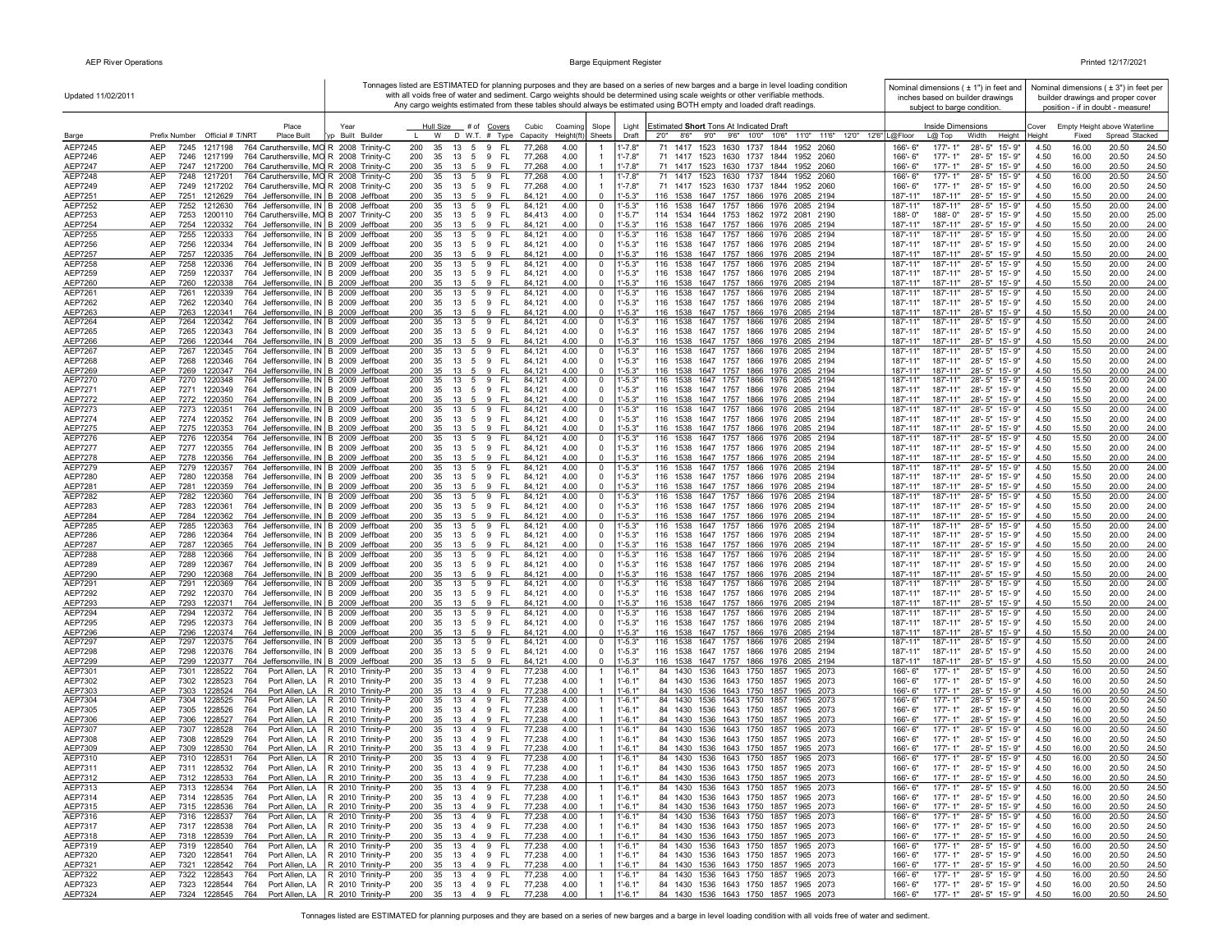| Updated 11/02/2011        |                                                                                                                                      |                                                                                |                                      |                                                |                                            |                            |                            | Tonnages listed are ESTIMATED for planning purposes and they are based on a series of new barges and a barge in level loading condition<br>with all voids free of water and sediment. Cargo weights should be determined using scale weights or other verifiable methods.<br>Any cargo weights estimated from these tables should always be estimated using BOTH empty and loaded draft readings. | Nominal dimensions $(± 1")$ in feet and<br>inches based on builder drawings<br>subject to barge condition. |                                                |                 |                | Nominal dimensions $(±3")$ in feet per<br>builder drawings and proper cover<br>position - if in doubt - measure! |  |
|---------------------------|--------------------------------------------------------------------------------------------------------------------------------------|--------------------------------------------------------------------------------|--------------------------------------|------------------------------------------------|--------------------------------------------|----------------------------|----------------------------|---------------------------------------------------------------------------------------------------------------------------------------------------------------------------------------------------------------------------------------------------------------------------------------------------------------------------------------------------------------------------------------------------|------------------------------------------------------------------------------------------------------------|------------------------------------------------|-----------------|----------------|------------------------------------------------------------------------------------------------------------------|--|
| Barge                     | Place<br>Prefix Number Official # T/NRT<br>Place Built                                                                               | Year<br>vn Built Builder                                                       | Hull Size<br>W                       | # of Covers<br>$D$ W.T. $#$ Type               | Cubic<br>Coaming<br>Capacity<br>Height(ft) | Slope<br>Sheets            | Light<br>Draft             | Estimated Short Tons At Indicated Draft<br>8'6" 9'0" 9'6" 10'0" 10'6" 11'0" 11'6" 12'0" 12'6" L@Floor<br>2'0"                                                                                                                                                                                                                                                                                     | Inside Dimensions<br>$L@$ Top                                                                              | Width<br>Height                                | Cover<br>Height | Fixed          | Empty Height above Waterline<br>Spread Stacked                                                                   |  |
| AEP7245                   | AEP<br>1217198<br>764 Caruthersville, MO R 2008 Trinity-C<br>7245                                                                    |                                                                                | 200<br>35<br>13                      | $5\overline{5}$<br>-FL<br>9                    | 77,268<br>4.00                             |                            | $1' - 7.8"$                | 71 1417 1523 1630 1737 1844<br>1952 2060                                                                                                                                                                                                                                                                                                                                                          | $177 - 1"$<br>166'-6"                                                                                      | 28'-5" 15'-9"                                  | 4.50            | 16.00          | 20.50<br>24.50                                                                                                   |  |
| AEP7246                   | AEP<br>1217199<br>764 Caruthersville, MO R 2008 Trinity-C<br>7246                                                                    |                                                                                | 200<br>35<br>13                      | 5 9 FL                                         | 4.00<br>77,268                             |                            | $1' - 7.8"$                | 71 1417 1523 1630 1737 1844 1952 2060                                                                                                                                                                                                                                                                                                                                                             | $177 - 1"$<br>166'-6"                                                                                      | 28'-5" 15'-9"                                  | 4.50            | 16.00          | 20.50<br>24.50                                                                                                   |  |
| <b>AEP7247</b>            | AEP<br>764 Caruthersville, MO R 2008 Trinity-C<br>7247 1217200                                                                       |                                                                                | 35<br>200<br>13                      | - FL<br>5<br>9                                 | 4.00<br>77,268                             |                            | $1' - 7.8"$                | 71 1417 1523 1630 1737 1844 1952 2060                                                                                                                                                                                                                                                                                                                                                             | 177'-1"<br>166'-6"                                                                                         | 28'-5" 15'-9"                                  | 4.50            | 16.00          | 20.50<br>24.50                                                                                                   |  |
| AEP7248                   | AEP<br>7248 1217201<br>764 Caruthersville, MO R 2008 Trinity-C                                                                       |                                                                                | 200<br>35                            | 13 5 9<br>- FL                                 | 77,268<br>4.00                             | $\mathbf{1}$               | $1' - 7.8"$                | 71 1417 1523 1630 1737 1844 1952 2060                                                                                                                                                                                                                                                                                                                                                             | 166'-6"<br>$177 - 1"$                                                                                      | 28'-5" 15'-9"                                  | 4.50            | 16.00          | 20.50<br>24.50                                                                                                   |  |
| AEP7249                   | AEP<br>7249 1217202<br>764 Caruthersville, MO R 2008 Trinity-C                                                                       |                                                                                | 200<br>35                            | 13 5 9 FL                                      | 77,268<br>4.00                             |                            | $1' - 7.8"$                | 71 1417 1523 1630 1737 1844 1952 2060                                                                                                                                                                                                                                                                                                                                                             | $177 - 1"$<br>$166 - 6"$                                                                                   | 28'-5" 15'-9"                                  | 4.50            | 16.00          | 20.50<br>24.50                                                                                                   |  |
| AEP7251<br>AEP7252        | 764 Jeffersonville, IN B 2008 Jeffboat<br>AEP<br>7251<br>1212629<br>7252<br>764 Jeffersonville, IN B 2008 Jeffboat<br>AEP<br>1212630 |                                                                                | 200<br>35<br>13<br>200<br>35<br>13   | 5 9<br>- FL<br>5<br>9<br>FL                    | 84,121<br>4.00<br>84,12'<br>4.00           | $\mathbf 0$<br>0           | $1 - 5.3$<br>$1' - 5.3"$   | 116 1538 1647 1757 1866 1976 2085 2194<br>1647 1757 1866 1976<br>116 1538<br>2085 2194                                                                                                                                                                                                                                                                                                            | 187'-11"<br>187'-11"<br>187'-11"<br>187'-11"                                                               | 28'-5" 15'-9"<br>28'-5" 15'-9"                 | 4.50<br>4.50    | 15.50<br>15.50 | 20.00<br>24.00<br>20.00<br>24.00                                                                                 |  |
| AEP7253                   | AEP<br>7253<br>1200110<br>764 Caruthersville, MO B 2007 Trinity-C                                                                    |                                                                                | 200<br>35                            | 13 5 9<br>- FL                                 | 84,413<br>4.00                             | 0                          | $1' - 5.7"$                | 114 1534 1644 1753 1862 1972 2081 2190                                                                                                                                                                                                                                                                                                                                                            | 188'-0"<br>188'-0"                                                                                         | 28'-5" 15'-9"                                  | 4.50            | 15.50          | 20.00<br>25.00                                                                                                   |  |
| AEP7254                   | AEP<br>7254 1220332<br>764 Jeffersonville, IN B 2009 Jeffboat                                                                        |                                                                                | 200<br>35                            | 13 5 9 FL                                      | 4.00<br>84,121                             | $\mathbf 0$                | $1' - 5.3"$                | 116 1538 1647 1757 1866 1976 2085 2194                                                                                                                                                                                                                                                                                                                                                            | 187'-11"<br>187'-11"                                                                                       | 28'-5" 15'-9"                                  | 4.50            | 15.50          | 20.00<br>24.00                                                                                                   |  |
| AEP7255                   | <b>AEP</b><br>7255<br>1220333<br>764 Jeffersonville, IN B 2009 Jeffboat                                                              |                                                                                | 200<br>35<br>13                      | 5<br>9<br>FL.                                  | 84.121<br>4.00                             | $\mathbf 0$                | $1' - 5.3"$                | 116 1538<br>1647 1757<br>1866 1976 2085 2194                                                                                                                                                                                                                                                                                                                                                      | 187'-11"<br>187'-11"                                                                                       | 28'-5" 15'-9"                                  | 4.50            | 15.50          | 20.00<br>24.00                                                                                                   |  |
| AEP7256                   | <b>AEP</b><br>7256<br>764 Jeffersonville, IN B 2009 Jeffboat<br>1220334                                                              |                                                                                | 200<br>35                            | 13 5 9<br>- FL                                 | 84,121<br>4.00                             | $\mathbf 0$                | $1' - 5.3"$                | 116 1538 1647 1757 1866 1976 2085 2194                                                                                                                                                                                                                                                                                                                                                            | 187'-11"<br>187'-11"                                                                                       | 28'-5" 15'-9"                                  | 4.50            | 15.50          | 20.00<br>24.00                                                                                                   |  |
| <b>AEP7257</b><br>AEP7258 | AEP<br>7257<br>764 Jeffersonville, IN B 2009 Jeffboat<br>1220335<br>764 Jeffersonville, IN B 2009 Jeffboat<br>AEP<br>7258<br>1220336 |                                                                                | 200<br>200<br>35                     | 35 13 5 9 FL<br>13 5 9<br>-FL                  | 4.00<br>84,121<br>4.00<br>84,121           | $\mathbf 0$<br>0           | $1 - 5.3$<br>1'-5.3"       | 116 1538 1647 1757 1866 1976 2085 2194<br>116 1538 1647 1757 1866 1976 2085 2194                                                                                                                                                                                                                                                                                                                  | 187'-11"<br>187'-11"<br>187'-11"<br>187'-11"                                                               | 28'-5" 15'-9"<br>28'-5" 15'-9"                 | 4.50<br>4.50    | 15.50<br>15.50 | 20.00<br>24.00<br>20.00<br>24.00                                                                                 |  |
| AEP7259                   | AEP<br>7259<br>1220337<br>764 Jeffersonville, IN B 2009 Jeffboat                                                                     |                                                                                | 200<br>35                            | 13 5 9<br>- FL                                 | 84,121<br>4.00                             | 0                          | $1' - 5.3"$                | 116 1538 1647 1757 1866 1976 2085 2194                                                                                                                                                                                                                                                                                                                                                            | 187'-11"<br>187'-11"                                                                                       | 28'-5" 15'-9"                                  | 4.50            | 15.50          | 20.00<br>24.00                                                                                                   |  |
| AEP7260                   | AEP<br>7260<br>1220338<br>764 Jeffersonville, IN B 2009 Jeffboat                                                                     |                                                                                | 200                                  | 35 13 5 9 FL                                   | 84,121<br>4.00                             | $\mathbf 0$                | $1' - 5.3"$                | 116 1538 1647 1757 1866 1976 2085 2194                                                                                                                                                                                                                                                                                                                                                            | 187'-11"<br>187'-11"                                                                                       | 28'-5" 15'-9"                                  | 4.50            | 15.50          | 20.00<br>24.00                                                                                                   |  |
| AEP7261                   | <b>AEP</b><br>7261<br>1220339<br>764 Jeffersonville, IN B 2009 Jeffboat                                                              |                                                                                | 200<br>35<br>13                      | 5 9<br>- FL                                    | 84,121<br>4.00                             | 0                          | $1' - 5.3"$                | 116 1538<br>1647 1757<br>1866 1976 2085 2194                                                                                                                                                                                                                                                                                                                                                      | 187'-11"<br>187'-11"                                                                                       | $28 - 5"$<br>15'-9"                            | 4.50            | 15.50          | 20.00<br>24.00                                                                                                   |  |
| AEP7262                   | 764 Jeffersonville, IN B 2009 Jeffboat<br>AEP<br>7262<br>1220340                                                                     |                                                                                | 200<br>35                            | 13 5 9 FL                                      | 84,121<br>4.00                             | 0                          | $1' - 5.3"$                | 116 1538 1647 1757 1866 1976 2085 2194                                                                                                                                                                                                                                                                                                                                                            | 187'-11"<br>187'-11"                                                                                       | 28'-5" 15'-9"                                  | 4.50            | 15.50          | 20.00<br>24.00                                                                                                   |  |
| AEP7263<br>AEP7264        | AEP<br>7263<br>1220341<br>764 Jeffersonville, IN B 2009 Jeffboat<br>764 Jeffersonville, IN B 2009 Jeffboat<br>AEP<br>7264<br>1220342 |                                                                                | 200<br>35<br>13<br>200<br>35<br>13   | 9<br>5<br>- FL<br>- FL<br>5 9                  | 4.00<br>84,121<br>4.00<br>84,121           | $\mathbf 0$<br>0           | $1 - 5.3$<br>l'-5.3"       | 116 1538 1647 1757 1866 1976 2085 2194<br>116 1538 1647 1757 1866 1976 2085 2194                                                                                                                                                                                                                                                                                                                  | 187'-11"<br>187'-11"<br>187'-11"<br>187'-11'                                                               | 28'-5" 15'-9"<br>$28 - 5"$<br>15'-9"           | 4.50<br>4.50    | 15.50<br>15.50 | 20.00<br>24.00<br>20.00<br>24.00                                                                                 |  |
| AEP7265                   | AEP<br>7265<br>1220343<br>764 Jeffersonville, IN B 2009 Jeffboat                                                                     |                                                                                | 200<br>35<br>13                      | 5<br>9<br>- FL                                 | 84,121<br>4.00                             | 0                          | $1' - 5.3"$                | 116 1538 1647 1757 1866 1976 2085 2194                                                                                                                                                                                                                                                                                                                                                            | 187'-11"<br>187'-11"                                                                                       | 28'-5"<br>15'-9"                               | 4.50            | 15.50          | 20.00<br>24.00                                                                                                   |  |
| AEP7266                   | <b>AEP</b><br>7266<br>1220344<br>764 Jeffersonville, IN B 2009 Jeffboat                                                              |                                                                                | 200<br>35<br>13                      | - FL<br>-5<br>-9                               | 4.00<br>84.12                              | $\Omega$                   | $1' - 5.3"$                | 116 1538 1647 1757 1866 1976 2085 2194                                                                                                                                                                                                                                                                                                                                                            | 187'-11"<br>187'-11"                                                                                       | 28'-5" 15'-9"                                  | 4.50            | 15.50          | 20.00<br>24.00                                                                                                   |  |
| <b>AEP7267</b>            | AEP<br>7267<br>1220345<br>764 Jeffersonville, IN B 2009 Jeffboat                                                                     |                                                                                | 200<br>35<br>13                      | 5<br>9<br>-FL                                  | 84,121<br>4.00                             | 0                          | 1'-5.3"                    | 116 1538<br>1647 1757 1866 1976 2085 2194                                                                                                                                                                                                                                                                                                                                                         | 187'-11"<br>187'-11"                                                                                       | $28 - 5"$<br>15'-9"                            | 4.50            | 15.50          | 20.00<br>24.00                                                                                                   |  |
| AEP7268                   | AEP<br>1220346<br>764 Jeffersonville, IN B 2009 Jeffboat<br>7268                                                                     |                                                                                | 200<br>35                            | 13 5 9 FL                                      | 4.00<br>84,121                             | $\mathbf 0$                | $1' - 5.3"$                | 116 1538 1647 1757 1866 1976 2085 2194                                                                                                                                                                                                                                                                                                                                                            | 187'-11"<br>187'-11"                                                                                       | 28'-5" 15'-9"                                  | 4.50            | 15.50          | 20.00<br>24.00                                                                                                   |  |
| AEP7269<br>AEP7270        | AEP<br>7269<br>764 Jeffersonville, IN B 2009 Jeffboat<br>1220347<br>AEP<br>7270 1220348<br>764 Jeffersonville, IN B 2009 Jeffboat    |                                                                                | 200<br>35<br>13<br>200<br>35         | - FL<br>59<br>13 5 9 FL                        | 4.00<br>84,121<br>84,121<br>4.00           | $\mathbf 0$<br>0           | $-5.3"$<br>l'-5.3"         | 116 1538 1647 1757 1866 1976 2085 2194<br>116 1538 1647 1757 1866 1976 2085 2194                                                                                                                                                                                                                                                                                                                  | 187'-11"<br>187'-11"<br>187'-11"<br>187'-11"                                                               | 28'-5" 15'-9"<br>28'-5" 15'-9"                 | 4.50<br>4.50    | 15.50<br>15.50 | 20.00<br>24.00<br>24.00<br>20.00                                                                                 |  |
| AEP7271                   | AEP<br>7271 1220349<br>764 Jeffersonville, IN B 2009 Jeffboat                                                                        |                                                                                | 200                                  | 35 13 5 9 FL                                   | 84,121<br>4.00                             | 0                          | $1' - 5.3"$                | 116 1538 1647 1757 1866 1976 2085 2194                                                                                                                                                                                                                                                                                                                                                            | 187'-11"<br>187'-11"                                                                                       | 28'-5" 15'-9"                                  | 4.50            | 15.50          | 20.00<br>24.00                                                                                                   |  |
| AEP7272                   | AEP<br>764 Jeffersonville, IN B 2009 Jeffboat<br>7272 1220350                                                                        |                                                                                | 200<br>35 13 5 9                     | - FL                                           | 84,121<br>4.00                             | $\mathbf 0$                | $1' - 5.3"$                | 116 1538 1647 1757 1866 1976 2085 2194                                                                                                                                                                                                                                                                                                                                                            | 187'-11"<br>187'-11"                                                                                       | 28'-5" 15'-9"                                  | 4.50            | 15.50          | 20.00<br>24.00                                                                                                   |  |
| AEP7273                   | 764 Jeffersonville, IN B 2009 Jeffboat<br>AEP<br>7273 1220351                                                                        |                                                                                | 200<br>35                            | - FL<br>13 5 9                                 | 84,121<br>4.00                             | 0                          | $1' - 5.3"$                | 116 1538 1647 1757 1866 1976 2085 2194                                                                                                                                                                                                                                                                                                                                                            | 187'-11"<br>187'-11"                                                                                       | 28'-5" 15'-9"                                  | 4.50            | 15.50          | 24.00<br>20.00                                                                                                   |  |
| AEP7274                   | AEP<br>7274 1220352<br>764 Jeffersonville, IN B 2009 Jeffboat                                                                        |                                                                                | 200<br>35                            | 13 5 9 FL                                      | 84.121<br>4.00                             | $\Omega$                   | $1' - 5.3"$                | 116 1538 1647 1757 1866 1976 2085 2194                                                                                                                                                                                                                                                                                                                                                            | 187'-11"<br>187'-11"                                                                                       | 28'-5" 15'-9"                                  | 4.50            | 15.50          | 20.00<br>24.00                                                                                                   |  |
| AEP7275<br>AEP7276        | AEP<br>7275 1220353<br>764 Jeffersonville, IN B 2009 Jeffboat<br>AEP<br>7276<br>764 Jeffersonville, IN B 2009 Jeffboat<br>1220354    |                                                                                | 200<br>35<br>13<br>200<br>35         | 9<br>- FL<br>- 5<br>- FL<br>9                  | 84,121<br>4.00<br>84,12'<br>4.00           | $\mathbf 0$                | $1' - 5.3"$<br>$1' - 5.3"$ | 116 1538 1647 1757 1866 1976 2085 2194<br>116 1538 1647 1757 1866 1976 2085 2194                                                                                                                                                                                                                                                                                                                  | 187'-11"<br>187'-11"<br>187'-11"<br>187'-11"                                                               | 28'-5" 15'-9"<br>28'-5" 15'-9"                 | 4.50<br>4.50    | 15.50<br>15.50 | 20.00<br>24.00<br>20.00<br>24.00                                                                                 |  |
| AEP7277                   | AEP<br>7277<br>1220355<br>764 Jeffersonville, IN B 2009 Jeffboat                                                                     |                                                                                | 13<br>200<br>35<br>13 5              | 5<br>- FL<br>9                                 | 84,121<br>4.00                             | 0<br>0                     | $1' - 5.3"$                | 116 1538 1647 1757 1866 1976 2085 2194                                                                                                                                                                                                                                                                                                                                                            | 187'-11"<br>187'-11"                                                                                       | 28'-5" 15'-9"                                  | 4.50            | 15.50          | 20.00<br>24.00                                                                                                   |  |
| AEP7278                   | AEP<br>7278<br>1220356<br>764 Jeffersonville, IN B 2009 Jeffboat                                                                     |                                                                                | 200<br>35<br>13                      | 5<br>9<br>FL.                                  | 84,12'<br>4.00                             | 0                          | $1' - 5.3"$                | 116 1538 1647 1757 1866 1976 2085 2194                                                                                                                                                                                                                                                                                                                                                            | 187'-11"<br>187'-11"                                                                                       | 28'-5" 15'-9"                                  | 4.50            | 15.50          | 20.00<br>24.00                                                                                                   |  |
| AEP7279                   | AEP<br>764 Jeffersonville, IN B 2009 Jeffboat<br>7279<br>1220357                                                                     |                                                                                | 200<br>13<br>35                      | FL.<br>5<br>9                                  | 4.00<br>84,121                             | 0                          | $1' - 5.3"$                | 1647 1757 1866 1976 2085 2194<br>116 1538                                                                                                                                                                                                                                                                                                                                                         | 187'-11"<br>187'-11"                                                                                       | 28'-5" 15'-9"                                  | 4.50            | 15.50          | 20.00<br>24.00                                                                                                   |  |
| AEP7280                   | <b>AEP</b><br>7280<br>1220358<br>764 Jeffersonville, IN B 2009 Jeffboat                                                              |                                                                                | 200<br>35<br>13 5                    | 9<br>-FL                                       | 84.121<br>4.00                             | $\mathbf 0$                | $1' - 5.3"$                | 116 1538 1647 1757 1866 1976 2085 2194<br>116 1538 1647 1757 1866 1976 2085 2194                                                                                                                                                                                                                                                                                                                  | 187'-11"<br>187'-11"                                                                                       | 28'-5" 15'-9"                                  | 4.50            | 15.50          | 20.00<br>24.00                                                                                                   |  |
| AEP7281<br>AEP7282        | AEP<br>7281<br>764 Jeffersonville, IN B 2009 Jeffboat<br>1220359<br>AEP<br>7282<br>764 Jeffersonville, IN B 2009 Jeffboat<br>1220360 |                                                                                | 200<br>35<br>200<br>35               | 13 5 9<br>- FL<br>$13 \quad 5 \quad 9$<br>- FL | 4.00<br>84,121<br>84,121<br>4.00           | $\mathbf 0$<br>0           | $1' - 5.3"$<br>$1' - 5.3"$ | 116 1538<br>1647 1757 1866 1976 2085 2194                                                                                                                                                                                                                                                                                                                                                         | 187'-11"<br>187'-11"<br>187'-11"<br>187'-11"                                                               | 28'-5" 15'-9"<br>28'-5" 15'-9"                 | 4.50<br>4.50    | 15.50<br>15.50 | 20.00<br>24.00<br>24.00<br>20.00                                                                                 |  |
| AEP7283                   | AEP<br>7283<br>1220361<br>764 Jeffersonville, IN B 2009 Jeffboat                                                                     |                                                                                | 200<br>35                            | 13 5 9<br>- FL                                 | 84,121<br>4.00                             | 0                          | $1' - 5.3"$                | 116 1538 1647 1757 1866 1976 2085 2194                                                                                                                                                                                                                                                                                                                                                            | 187'-11"<br>187'-11"                                                                                       | 28'-5" 15'-9"                                  | 4.50            | 15.50          | 20.00<br>24.00                                                                                                   |  |
| AEP7284                   | AEP<br>7284<br>1220362<br>764 Jeffersonville, IN B 2009 Jeffboat                                                                     |                                                                                | 200<br>35 13 5 9                     | - FL                                           | 84,121<br>4.00                             | 0                          | $1' - 5.3"$                | 116 1538 1647 1757 1866 1976 2085 2194                                                                                                                                                                                                                                                                                                                                                            | 187'-11"<br>187'-11"                                                                                       | 28'-5" 15'-9"                                  | 4.50            | 15.50          | 20.00<br>24.00                                                                                                   |  |
| AEP7285                   | AEP<br>7285<br>764 Jeffersonville, IN B 2009 Jeffboat<br>1220363                                                                     |                                                                                | 200<br>35                            | - FL<br>13 5 9                                 | 4.00<br>84,121                             | 0                          | $1' - 5.3"$                | 116 1538 1647 1757 1866 1976 2085 2194                                                                                                                                                                                                                                                                                                                                                            | 187'-11"<br>187'-11"                                                                                       | 28'-5" 15'-9"                                  | 4.50            | 15.50          | 20.00<br>24.00                                                                                                   |  |
| AEP7286                   | AEP<br>7286<br>1220364<br>764 Jeffersonville, IN B 2009 Jeffboat                                                                     |                                                                                | 200<br>35<br>13                      | 5<br>9<br>- FL                                 | 84.121<br>4.00                             | 0                          | $1' - 5.3"$                | 116 1538 1647 1757<br>1866 1976 2085 2194                                                                                                                                                                                                                                                                                                                                                         | 187'-11"<br>187'-11"                                                                                       | 28'-5" 15'-9"                                  | 4.50            | 15.50          | 20.00<br>24.00                                                                                                   |  |
| <b>AEP7287</b><br>AEP7288 | AEP<br>7287<br>1220365<br>764 Jeffersonville, IN B 2009 Jeffboat<br>AEP<br>7288<br>1220366<br>764 Jeffersonville, IN B 2009 Jeffboat |                                                                                | 200<br>35<br>13<br>200<br>35<br>13   | 5 9<br>- FL<br>9<br>-FL<br>$5\overline{)}$     | 84,121<br>4.00<br>84,121<br>4.00           | $\mathbf 0$<br>0           | $1' - 5.3"$<br>$1' - 5.3"$ | 116 1538 1647 1757 1866 1976 2085 2194<br>116 1538<br>1647 1757<br>1866 1976 2085 2194                                                                                                                                                                                                                                                                                                            | 187'-11"<br>187'-11"<br>187'-11"<br>187'-11"                                                               | 28'-5" 15'-9"<br>$28 - 5"$<br>15'-9"           | 4.50<br>4.50    | 15.50<br>15.50 | 20.00<br>24.00<br>20.00<br>24.00                                                                                 |  |
| AEP7289                   | AEP<br>7289<br>1220367<br>764 Jeffersonville, IN B 2009 Jeffboat                                                                     |                                                                                | 200<br>35<br>13                      | 5 9<br>- FL                                    | 84,121<br>4.00                             | 0                          | $1' - 5.3"$                | 116 1538 1647 1757 1866 1976 2085 2194                                                                                                                                                                                                                                                                                                                                                            | 187'-11"<br>187'-11"                                                                                       | 28'-5"<br>15'-9"                               | 4.50            | 15.50          | 20.00<br>24.00                                                                                                   |  |
| AEP7290                   | AEP<br>7290<br>1220368<br>764 Jeffersonville, IN B 2009 Jeffboat                                                                     |                                                                                | 200<br>35<br>13                      | 5<br>9<br>- FL                                 | 4.00<br>84,121                             | 0                          | $1' - 5.3"$                | 116 1538 1647 1757 1866 1976 2085 2194                                                                                                                                                                                                                                                                                                                                                            | 187'-11"<br>187'-11"                                                                                       | 28'-5"<br>15'-9"                               | 4.50            | 15.50          | 20.00<br>24.00                                                                                                   |  |
| AEP7291                   | AEP<br>764 Jeffersonville, IN B 2009 Jeffboat<br>7291<br>1220369                                                                     |                                                                                | 200<br>35<br>13                      | -FL<br>5<br>9                                  | 4.00<br>84,121                             | 0                          | $1' - 5.3"$                | 116 1538 1647 1757 1866 1976<br>2085 2194                                                                                                                                                                                                                                                                                                                                                         | 187'-11"<br>187'-11"                                                                                       | $28 - 5"$<br>15'-9"                            | 4.50            | 15.50          | 20.00<br>24.00                                                                                                   |  |
| AEP7292                   | AEP<br>7292<br>1220370<br>764 Jeffersonville, IN B 2009 Jeffboat<br>AEP<br>7293<br>764 Jeffersonville, IN B 2009 Jeffboat            |                                                                                | 200<br>35<br>13<br>200<br>35         | 59<br>- FL<br>$13 \quad 5 \quad 9$<br>- FL     | 84,121<br>4.00<br>4.00                     | 0<br>$\mathbf 0$           | $1' - 5.3"$<br>$1 - 5.3"$  | 116 1538 1647 1757 1866 1976 2085 2194<br>116 1538 1647 1757 1866 1976 2085 2194                                                                                                                                                                                                                                                                                                                  | 187'-11"<br>187'-11"<br>187'-11"<br>187'-11"                                                               | 28'-5" 15'-9"<br>28'-5" 15'-9"                 | 4.50<br>4.50    | 15.50<br>15.50 | 20.00<br>24.00<br>20.00<br>24.00                                                                                 |  |
| AEP7293<br>AEP7294        | 1220371<br>764 Jeffersonville, IN B 2009 Jeffboat<br>AEP<br>7294<br>1220372                                                          |                                                                                | 200<br>35<br>13                      | 5 9<br>- FL                                    | 84,121<br>84,121<br>4.00                   | $\mathbf 0$                | $1' - 5.3"$                | 1647 1757 1866 1976 2085 2194<br>116 1538                                                                                                                                                                                                                                                                                                                                                         | 187'-11"<br>187'-11"                                                                                       | $28 - 5"$<br>15'-9"                            | 4.50            | 15.50          | 20.00<br>24.00                                                                                                   |  |
| AEP7295                   | 764 Jeffersonville, IN B 2009 Jeffboat<br>AEP<br>7295<br>1220373                                                                     |                                                                                | 200<br>35                            | 13 5 9 FL                                      | 4.00<br>84,121                             | 0                          | $1' - 5.3"$                | 116 1538 1647 1757 1866 1976 2085 2194                                                                                                                                                                                                                                                                                                                                                            | 187'-11"<br>187'-11"                                                                                       | 28'-5" 15'-9"                                  | 4.50            | 15.50          | 20.00<br>24.00                                                                                                   |  |
| AEP7296                   | AEP<br>7296<br>1220374<br>764 Jeffersonville, IN B 2009 Jeffboat                                                                     |                                                                                | 200<br>35                            | 13    5    9    FL                             | 84,121<br>4.00                             | $\mathbf 0$                | $1' - 5.3"$                | 116 1538 1647 1757 1866 1976 2085 2194                                                                                                                                                                                                                                                                                                                                                            | 187'-11"<br>187'-11"                                                                                       | 28'-5" 15'-9"                                  | 4.50            | 15.50          | 20.00<br>24.00                                                                                                   |  |
| <b>AEP7297</b>            | AEP<br>7297<br>764 Jeffersonville, IN B 2009 Jeffboat<br>1220375                                                                     |                                                                                | 200                                  | 35 13 5 9 FL                                   | 84,121<br>4.00                             | 0                          | $1' - 5.3"$                | 116 1538 1647 1757 1866 1976 2085 2194                                                                                                                                                                                                                                                                                                                                                            | 187'-11"<br>187'-11"                                                                                       | 28'-5" 15'-9"                                  | 4.50            | 15.50          | 20.00<br>24.00                                                                                                   |  |
| <b>AEP7298</b><br>AEP7299 | AEP<br>7298<br>1220376<br>764 Jeffersonville, IN B 2009 Jeffboat<br>AEP<br>7299 1220377<br>764 Jeffersonville, IN B 2009 Jeffboat    |                                                                                | 35<br>200<br>200<br>35               | 13 5 9 FL<br>13 5 9<br>- FL                    | 84,121<br>4.00<br>84,121<br>4.00           | $\mathbf 0$<br>$\mathbf 0$ | $1' - 5.3"$<br>$1' - 5.3"$ | 116 1538 1647 1757 1866 1976 2085 2194<br>116 1538 1647 1757 1866 1976 2085 2194                                                                                                                                                                                                                                                                                                                  | 187'-11"<br>187'-11"<br>187'-11"<br>187'-11"                                                               | 28'-5" 15'-9"<br>28'-5" 15'-9"                 | 4.50<br>4.50    | 15.50<br>15.50 | 20.00<br>24.00<br>20.00<br>24.00                                                                                 |  |
| AEP7301                   | AEP<br>7301<br>1228522<br>764                                                                                                        | Port Allen, LA   R 2010 Trinity-P                                              | 200<br>35                            | 13 4 9<br>- FL                                 | 77,238<br>4.00                             | -1                         | $1' - 6.1'$                | 84 1430 1536 1643 1750 1857 1965 2073                                                                                                                                                                                                                                                                                                                                                             | $177 - 1"$<br>166'-6"                                                                                      | 28'-5" 15'-9"                                  | 4.50            | 16.00          | 20.50<br>24.50                                                                                                   |  |
| AEP7302                   | 7302<br>764<br>AEP<br>1228523<br>Port Allen, LA                                                                                      | R 2010 Trinity-P                                                               | 200<br>35<br>13                      | 4 9<br>- FL                                    | 77,238<br>4.00                             |                            | $1'-6.1"$                  | 84 1430 1536 1643 1750 1857 1965 2073                                                                                                                                                                                                                                                                                                                                                             | 177'-1"<br>166'-6"                                                                                         | 28'-5" 15'-9"                                  | 4.50            | 16.00          | 20.50<br>24.50                                                                                                   |  |
| AEP7303                   | AEP<br>1228524<br>7303<br>764                                                                                                        | Port Allen, LA   R 2010 Trinity-P                                              | 200<br>35<br>13 4                    | 9<br>FL                                        | 77,238<br>4.00                             |                            | $1' - 6.1"$                | 84 1430 1536 1643 1750 1857 1965 2073                                                                                                                                                                                                                                                                                                                                                             | 177'-1"<br>166'-6"                                                                                         | 28'-5" 15'-9"                                  | 4.50            | 16.00          | 20.50<br>24.50                                                                                                   |  |
| AEP7304                   | AEP<br>7304<br>1228525<br>764<br>Port Allen, LA                                                                                      | R 2010 Trinity-P                                                               | 200<br>35                            | 13 4 9<br>FL.                                  | 77,238<br>4.00                             | -1                         | $1' - 6.1'$                | 84 1430 1536 1643 1750 1857<br>1965 2073                                                                                                                                                                                                                                                                                                                                                          | 166'-6"<br>177'-1"                                                                                         | 28'-5" 15'-9"                                  | 4.50            | 16.00          | 20.50<br>24.50                                                                                                   |  |
| AEP7305<br>AEP7306        | AEP<br>7305 1228526<br>764<br>Port Allen, LA<br><b>AEP</b><br>7306<br>1228527<br>764<br>Port Allen, LA                               | R 2010 Trinity-P<br>R 2010 Trinity-P                                           | 200<br>35<br>200<br>35               | 13 4 9<br>FL.<br>13 4 9<br>-FL                 | 4.00<br>77,238<br>77.238<br>4.00           |                            | $1' - 6.1"$<br>$1' - 6.1"$ | 84 1430 1536 1643 1750 1857 1965 2073<br>84 1430 1536 1643 1750 1857 1965 2073                                                                                                                                                                                                                                                                                                                    | 177'-1"<br>166'-6"<br>166'-6"<br>$177 - 1"$                                                                | 28'-5" 15'-9"<br>28'-5" 15'-9"                 | 4.50<br>4.50    | 16.00<br>16.00 | 20.50<br>24.50<br>20.50<br>24.50                                                                                 |  |
| AEP7307                   | <b>AEP</b><br>7307<br>764<br>Port Allen, LA<br>1228528                                                                               | R 2010 Trinity-P                                                               | 200<br>35                            | 13 4 9<br>FL                                   | 77,238<br>4.00                             | -1                         | $1' - 6.1'$                | 84 1430<br>1536 1643 1750 1857<br>1965 2073                                                                                                                                                                                                                                                                                                                                                       | $177 - 1"$<br>$166' - 6''$                                                                                 | 28'-5" 15'-9"                                  | 4.50            | 16.00          | 20.50<br>24.50                                                                                                   |  |
| AEP7308                   | AEP<br>7308<br>1228529<br>764<br>Port Allen, LA                                                                                      | R 2010 Trinity-P                                                               | 200<br>35 13 4 9                     | - FL                                           | 4.00<br>77,238                             |                            | $1' - 6.1"$                | 84 1430 1536 1643 1750 1857 1965 2073                                                                                                                                                                                                                                                                                                                                                             | 166'-6"<br>177'-1"                                                                                         | 28'-5" 15'-9"                                  | 4.50            | 16.00          | 20.50<br>24.50                                                                                                   |  |
| AEP7309                   | AEP<br>7309<br>1228530<br>764<br>Port Allen, LA                                                                                      | R 2010 Trinity-P                                                               | 200<br>35 13 4 9                     | -FL                                            | 4.00<br>77,238                             |                            | $1' - 6.1"$                | 84 1430 1536 1643 1750 1857 1965 2073                                                                                                                                                                                                                                                                                                                                                             | 166'-6"<br>177'-1"                                                                                         | 28'-5" 15'-9"                                  | 4.50            | 16.00          | 20.50<br>24.50                                                                                                   |  |
| AEP7310                   | AEP<br>7310 1228531<br>764                                                                                                           | Port Allen, LA   R 2010 Trinity-P                                              | 200<br>35 13 4 9                     | - FL                                           | 77,238<br>4.00                             |                            | $1' - 6.1"$                | 84 1430 1536 1643 1750 1857 1965 2073                                                                                                                                                                                                                                                                                                                                                             | 166'-6"<br>177'-1"                                                                                         | 28'-5" 15'-9"                                  | 4.50            | 16.00          | 24.50<br>20.50                                                                                                   |  |
| AEP7311<br>AFP7312        | AEP<br>7311 1228532 764<br>AFP<br>7312 1228533 764                                                                                   | Port Allen, LA   R 2010 Trinity-P<br>Port Allen $A \parallel R$ 2010 Trinity-P | 200 35 13 4 9 FL<br>200 35 13 4 9 FL |                                                | 77,238<br>4.00<br>77 238<br>400            |                            | $1' - 6.1"$<br>1'.61"      | 84 1430 1536 1643 1750 1857 1965 2073<br>84 1430 1536 1643 1750 1857 1965 2073                                                                                                                                                                                                                                                                                                                    | 166'-6"<br>166'- 6"                                                                                        | 177'-1" 28'-5" 15'-9"<br>177'-1" 28'-5" 15'-9" | 4.50<br>4.50    | 16.00<br>16.00 | 20.50<br>24.50<br>20.50<br>24.50                                                                                 |  |
| AEP7313                   | 7313 1228534 764<br>AEP                                                                                                              | Port Allen, LA   R 2010 Trinity-P                                              | 200<br>35<br>13                      | - FL<br>49                                     | 77,238<br>4.00                             |                            | 1'-6.1                     | 84 1430 1536 1643 1750 1857 1965 2073                                                                                                                                                                                                                                                                                                                                                             | 177'-1"<br>166'-6"                                                                                         | 28'-5" 15'-9"                                  | 4.50            | 16.00          | 20.50<br>24.50                                                                                                   |  |
| AEP7314                   | AEP<br>7314 1228535 764                                                                                                              | Port Allen, LA   R 2010 Trinity-P                                              | 200<br>35                            | 13 4 9<br>- FL                                 | 77,238<br>4.00                             |                            | $1' - 6.1"$                | 84 1430 1536 1643 1750 1857 1965 2073                                                                                                                                                                                                                                                                                                                                                             | 166'-6"                                                                                                    | 177'-1" 28'-5" 15'-9"                          | 4.50            | 16.00          | 20.50<br>24.50                                                                                                   |  |
| AEP7315                   | AEP<br>7315 1228536<br>764                                                                                                           | Port Allen, LA   R 2010 Trinity-P                                              | 200<br>35                            | 13 4 9<br>- FL                                 | 77,238<br>4.00                             |                            | $1' - 6.1"$                | 84 1430 1536 1643 1750 1857 1965 2073                                                                                                                                                                                                                                                                                                                                                             | 177'-1"<br>166'-6"                                                                                         | 28'-5" 15'-9"                                  | 4.50            | 16.00          | 20.50<br>24.50                                                                                                   |  |
| AEP7316                   | AEP<br>7316 1228537<br>764                                                                                                           | Port Allen, LA   R 2010 Trinity-P                                              | 200<br>35                            | 13   4   9   FL                                | 77,238<br>4.00                             | $\overline{1}$             | $1' - 6.1"$                | 84 1430 1536 1643 1750 1857 1965 2073                                                                                                                                                                                                                                                                                                                                                             | 166'-6"<br>177'-1"                                                                                         | 28'-5" 15'-9"                                  | 4.50            | 16.00          | 20.50<br>24.50                                                                                                   |  |
| AEP7317<br>AEP7318        | AEP<br>7317 1228538 764<br>AEP<br>7318 1228539 764                                                                                   | Port Allen, LA   R 2010 Trinity-P<br>Port Allen, LA   R 2010 Trinity-P         | 200<br>35<br>200<br>35               | 13   4   9   FL<br>13  4  9  FL                | 77,238<br>4.00<br>77,238<br>4.00           |                            | $1' - 6.1"$<br>$1' - 6.1"$ | 84 1430 1536 1643 1750 1857 1965 2073<br>84 1430 1536 1643 1750 1857 1965 2073                                                                                                                                                                                                                                                                                                                    | 166'-6"<br>177'-1"<br>177'-1"<br>166'-6"                                                                   | 28'-5" 15'-9"<br>28'-5" 15'-9"                 | 4.50<br>4.50    | 16.00<br>16.00 | 20.50<br>24.50<br>20.50<br>24.50                                                                                 |  |
| AEP7319                   | AEP<br>7319 1228540 764                                                                                                              | Port Allen, LA   R 2010 Trinity-P                                              | 200<br>35                            | 13  4  9  FL                                   | 77,238<br>4.00                             | $\overline{1}$             | $1' - 6.1"$                | 84 1430 1536 1643 1750 1857 1965 2073                                                                                                                                                                                                                                                                                                                                                             | 166'-6"<br>$177 - 1"$                                                                                      | 28'-5" 15'-9"                                  | 4.50            | 16.00          | 20.50<br>24.50                                                                                                   |  |
| AEP7320                   | 7320 1228541 764<br>AEP                                                                                                              | Port Allen, LA   R 2010 Trinity-P                                              | 200                                  | 35 13 4 9 FL                                   | 77,238<br>4.00                             | $\overline{1}$             | $1' - 6.1"$                | 84 1430 1536 1643 1750 1857 1965 2073                                                                                                                                                                                                                                                                                                                                                             | 166'-6"                                                                                                    | 177'-1" 28'-5" 15'-9"                          | 4.50            | 16.00          | 20.50<br>24.50                                                                                                   |  |
| AEP7321                   | 7321 1228542 764<br>AEP                                                                                                              | Port Allen, LA   R 2010 Trinity-P                                              | 200                                  | 35 13 4 9 FL                                   | 4.00<br>77,238                             | $\overline{1}$             | $1'-6.1"$                  | 84 1430 1536 1643 1750 1857 1965 2073                                                                                                                                                                                                                                                                                                                                                             | 177'-1"<br>166'-6"                                                                                         | 28'-5" 15'-9"                                  | 4.50            | 16.00          | 20.50<br>24.50                                                                                                   |  |
| AEP7322                   | 7322 1228543 764 Port Allen, LA R 2010 Trinity-P<br>AEP                                                                              |                                                                                | 200                                  | 35 13 4 9 FL                                   | 77,238<br>4.00                             | $\overline{1}$             | $1' - 6.1"$                | 84 1430 1536 1643 1750 1857 1965 2073                                                                                                                                                                                                                                                                                                                                                             | 166'-6"                                                                                                    | 177'-1" 28'-5" 15'-9"                          | 4.50            | 16.00          | 20.50<br>24.50                                                                                                   |  |
| AEP7323<br>AEP7324        | 7323 1228544 764 Port Allen, LA R 2010 Trinity-P<br>AEP<br>AEP 7324 1228545 764 Port Allen, LA R 2010 Trinity-P                      |                                                                                | 200 35 13 4 9 FL<br>200 35 13 4 9 FL |                                                | 77,238<br>4.00<br>77,238<br>4.00           |                            | $1' - 6.1"$<br>$1' - 6.1"$ | 84 1430 1536 1643 1750 1857 1965 2073<br>84 1430 1536 1643 1750 1857 1965 2073                                                                                                                                                                                                                                                                                                                    | 166'- 6"<br>166'-6" 177'-1" 28'-5" 15'-9"                                                                  | 177'-1" 28'-5" 15'-9"                          | 4.50<br>4.50    | 16.00<br>16.00 | 20.50<br>24.50<br>20.50<br>24.50                                                                                 |  |
|                           |                                                                                                                                      |                                                                                |                                      |                                                |                                            |                            |                            |                                                                                                                                                                                                                                                                                                                                                                                                   |                                                                                                            |                                                |                 |                |                                                                                                                  |  |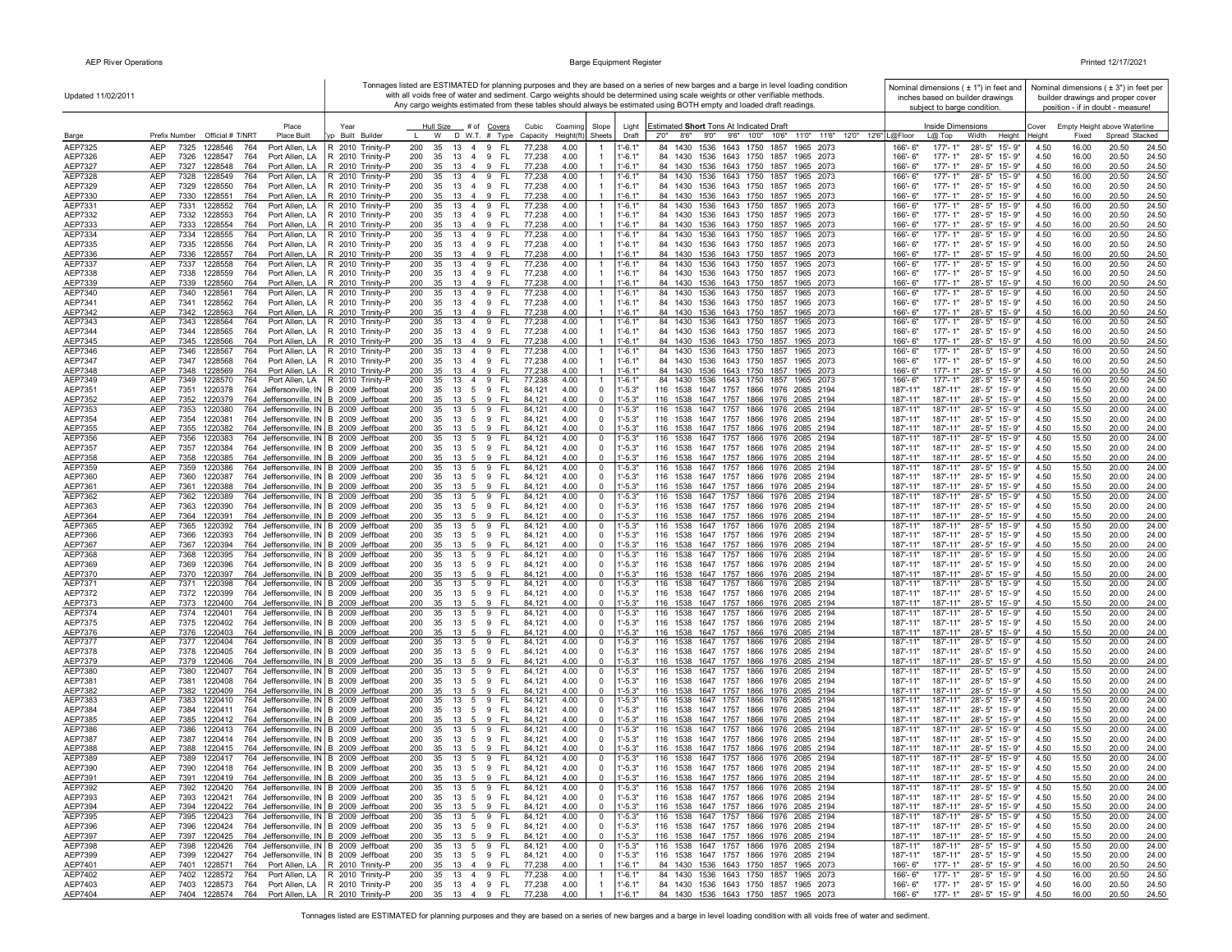| Updated 11/02/2011 |                                                                                                                                             |                                                       |                                                                                                   |                                                  |                            | Tonnages listed are ESTIMATED for planning purposes and they are based on a series of new barges and a barge in level loading condition<br>with all voids free of water and sediment. Cargo weights should be determined using scale weights or other verifiable methods. | Nominal dimensions $(± 1")$ in feet and<br>inches based on builder drawings |                                                  |              |                | Nominal dimensions ( $\pm$ 3") in feet per<br>builder drawings and proper cover |
|--------------------|---------------------------------------------------------------------------------------------------------------------------------------------|-------------------------------------------------------|---------------------------------------------------------------------------------------------------|--------------------------------------------------|----------------------------|---------------------------------------------------------------------------------------------------------------------------------------------------------------------------------------------------------------------------------------------------------------------------|-----------------------------------------------------------------------------|--------------------------------------------------|--------------|----------------|---------------------------------------------------------------------------------|
|                    |                                                                                                                                             |                                                       |                                                                                                   |                                                  |                            | Any cargo weights estimated from these tables should always be estimated using BOTH empty and loaded draft readings.                                                                                                                                                      | subject to barge condition.                                                 |                                                  |              |                | position - if in doubt - measure!                                               |
|                    | Place                                                                                                                                       | Year                                                  | Hull Size<br># of Covers<br>Cubic                                                                 | Coaming<br>Slope                                 | Light                      | Estimated Short Tons At Indicated Draft                                                                                                                                                                                                                                   | <b>Inside Dimensions</b>                                                    |                                                  | Cover        |                | Empty Height above Waterline                                                    |
| Barge              | Prefix Number Official # T/NRT<br><b>Place Built</b>                                                                                        | yp Built Builder                                      | D W.T. # Type<br>W<br>Capacity                                                                    | Height(ft<br>Sheets                              | Draft                      | 11'0" 11'6" 12'0" 12'6" L@Floor<br>8'6''<br>9'0"<br>9'6" 10'0" 10'6"<br>2'0''                                                                                                                                                                                             | $L@$ Top                                                                    | Width<br>Height                                  | Heiaht       | Fixed          | Spread Stacked                                                                  |
| AEP7325<br>AEP7326 | <b>AEP</b><br>7325<br>1228546<br>764<br>Port Allen, LA<br>AEP<br>7326<br>1228547<br>764<br>Port Allen, LA                                   | R 2010 Trinity-P<br>R 2010 Trinity-P                  | 200<br>35<br>13<br>4 9<br>- FL<br>77,238<br>200<br>35<br>13<br>4 9<br>- FL<br>77,238              | 4.00<br>4.00                                     | $1 - 6.1"$<br>$1' - 6.1"$  | 84 1430 1536 1643 1750 1857<br>1965 2073<br>84 1430 1536 1643 1750 1857<br>1965 2073                                                                                                                                                                                      | $177 - 1"$<br>166'-6"<br>166'-6"<br>177'-1"                                 | 28'-5" 15'-9"<br>28'-5" 15'-9"                   | 4.50<br>4.50 | 16.00<br>16.00 | 20.50<br>24.50<br>20.50<br>24.50                                                |
| AEP7327            | AEP<br>7327<br>1228548<br>764<br>Port Allen, LA                                                                                             | R 2010 Trinity-P                                      | 200<br>35<br>13<br>49<br>-FL<br>77,238                                                            | 4.00                                             | $1' - 6.1"$                | 84 1430 1536 1643 1750 1857 1965 2073                                                                                                                                                                                                                                     | 166'-6"<br>$177 - 1"$                                                       | 28'-5" 15'-9"                                    | 4.50         | 16.00          | 20.50<br>24.50                                                                  |
| AEP7328            | AEP<br>7328<br>1228549<br>764<br>Port Allen, LA                                                                                             | R 2010 Trinity-P                                      | 13 4 9<br>- FL<br>77,238<br>200<br>35                                                             | 4.00<br>$\mathbf{1}$                             | $1' - 6.1"$                | 84 1430 1536 1643 1750 1857<br>1965 2073                                                                                                                                                                                                                                  | $177 - 1"$<br>166'-6"                                                       | 28'-5" 15'-9"                                    | 4.50         | 16.00          | 20.50<br>24.50                                                                  |
| AEP7329            | AEP<br>7329<br>1228550<br>764                                                                                                               | Port Allen, LA   R 2010 Trinity-P                     | 35 13 4 9 FL<br>200<br>77,238                                                                     | 4.00<br>$\overline{1}$                           | $1' - 6.1"$                | 84 1430 1536 1643 1750 1857 1965 2073                                                                                                                                                                                                                                     | 166'-6"<br>177'-1"                                                          | 28'-5" 15'-9"                                    | 4.50         | 16.00          | 20.50<br>24.50                                                                  |
| AEP7330<br>AEP7331 | AEP<br>7330 1228551<br>764<br>7331<br>AEP<br>1228552<br>764<br>Port Allen, LA                                                               | Port Allen, LA   R 2010 Trinity-P<br>R 2010 Trinity-P | 200<br>35<br>13 4 9<br>- FL<br>77,238<br>77,238<br>200<br>35<br>13 4 9<br>- FL                    | 4.00<br>4.00<br>-1                               | $1' - 6.1"$<br>$1' - 6.1'$ | 84 1430 1536 1643 1750 1857 1965 2073<br>84 1430 1536 1643 1750 1857<br>1965 2073                                                                                                                                                                                         | 166'-6"<br>$177 - 1"$<br>177'-1"<br>166'-6"                                 | 28'-5" 15'-9"<br>28'-5" 15'-9"                   | 4.50<br>4.50 | 16.00<br>16.00 | 20.50<br>24.50<br>20.50<br>24.50                                                |
| AEP7332            | AEP<br>7332<br>1228553<br>764<br>Port Allen, LA                                                                                             | R 2010 Trinity-P                                      | 77,238<br>200<br>35<br>13<br>4 9<br>- FL                                                          | 4.00                                             | $1' - 6.1"$                | 84 1430 1536 1643 1750 1857 1965 2073                                                                                                                                                                                                                                     | 166'-6"<br>177'-1"                                                          | 28'-5" 15'-9"                                    | 4.50         | 16.00          | 20.50<br>24.50                                                                  |
| AEP7333            | AEP<br>7333<br>1228554<br>764<br>Port Allen, LA                                                                                             | R 2010 Trinity-P                                      | 9<br>77,238<br>200<br>35<br>13 4<br>FL                                                            | 4.00<br>$\overline{1}$                           | $1' - 6.1"$                | 84 1430 1536 1643 1750 1857 1965 2073                                                                                                                                                                                                                                     | 177'-1"<br>166'-6"                                                          | 28'-5" 15'-9"                                    | 4.50         | 16.00          | 20.50<br>24.50                                                                  |
| AEP7334<br>AEP7335 | AEP<br>7334<br>1228555<br>764<br>Port Allen, LA<br>AEP<br>7335<br>1228556<br>764<br>Port Allen, LA                                          | R 2010 Trinity-P<br>R 2010 Trinity-P                  | 200<br>13<br>$\overline{4}$<br>9<br>FL<br>77,238<br>35<br>35<br>FL.<br>200<br>13 4 9<br>77,238    | 4.00<br>$\mathbf{1}$<br>4.00                     | $1' - 6.1'$<br>$1' - 6.1"$ | 1536 1643 1750 1857<br>84 1430<br>1965 2073<br>84 1430 1536 1643 1750 1857 1965 2073                                                                                                                                                                                      | 177'-1"<br>166'-6"<br>177'-1"<br>166'-6"                                    | 28'-5" 15'-9"<br>28'-5" 15'-9"                   | 4.50<br>4.50 | 16.00<br>16.00 | 20.50<br>24.50<br>20.50<br>24.50                                                |
| AEP7336            | <b>AEP</b><br>7336 1228557<br>764<br>Port Allen, LA                                                                                         | R 2010 Trinity-P                                      | 200<br>35<br>13 4 9<br>- FL<br>77,238                                                             | 4.00<br>$\overline{1}$                           | $1' - 6.1"$                | 84 1430 1536 1643 1750 1857 1965 2073                                                                                                                                                                                                                                     | 166'-6"<br>$177 - 1"$                                                       | 28'-5" 15'-9"                                    | 4.50         | 16.00          | 20.50<br>24.50                                                                  |
| AEP7337            | AEP<br>7337<br>764<br>Port Allen, LA<br>1228558                                                                                             | R 2010 Trinity-P                                      | 200<br>13 4 9<br>FL.<br>77,238<br>35                                                              | 4.00<br>-1                                       | $1 - 6.1"$                 | 84 1430<br>1536 1643 1750 1857<br>1965 2073                                                                                                                                                                                                                               | $177 - 1"$<br>166'-6"                                                       | 28'-5" 15'-9"                                    | 4.50         | 16.00          | 20.50<br>24.50                                                                  |
| AEP7338            | AEP<br>7338<br>1228559<br>764<br>Port Allen, LA                                                                                             | R 2010 Trinity-P<br>R 2010 Trinity-P                  | 200<br>35 13 4 9<br>- FL<br>77,238                                                                | 4.00<br>4.00                                     | $1' - 6.1"$<br>$1' - 6.1"$ | 84 1430 1536 1643 1750 1857 1965 2073<br>84 1430 1536 1643 1750 1857 1965 2073                                                                                                                                                                                            | 166'-6"<br>177'-1"                                                          | 28'-5" 15'-9"                                    | 4.50         | 16.00          | 20.50<br>24.50<br>20.50                                                         |
| AEP7339<br>AEP7340 | AEP<br>7339<br>1228560<br>764<br>Port Allen, LA<br>7340<br>764<br>Port Allen, LA<br>AEP<br>1228561                                          | R 2010 Trinity-P                                      | 200<br>35 13 4 9<br>- FL<br>77,238<br>13 4 9<br>- FL<br>77,238<br>200<br>35                       | 4.00<br>$\overline{1}$                           | $1' - 6.1"$                | 84 1430 1536 1643 1750 1857<br>1965 2073                                                                                                                                                                                                                                  | 166'-6"<br>177'-1"<br>177'-1"<br>166'-6"                                    | 28'-5" 15'-9"<br>28'-5" 15'-9"                   | 4.50<br>4.50 | 16.00<br>16.00 | 24.50<br>20.50<br>24.50                                                         |
| AEP7341            | AEP<br>7341<br>1228562<br>764<br>Port Allen, LA                                                                                             | R 2010 Trinity-P                                      | 200<br>35<br>13 4 9<br>- FL<br>77,238                                                             | 4.00                                             | $1' - 6.1"$                | 84 1430 1536 1643 1750 1857 1965 2073                                                                                                                                                                                                                                     | 166'-6"<br>177'-1"                                                          | 28'-5" 15'-9"                                    | 4.50         | 16.00          | 20.50<br>24.50                                                                  |
| AEP7342            | <b>AEP</b><br>7342<br>1228563<br>764                                                                                                        | Port Allen, LA   R 2010 Trinity-P                     | 200<br>35<br>13 4 9<br>- FL<br>77,238                                                             | 4.00                                             | $1' - 6.1"$                | 84 1430 1536 1643 1750 1857 1965 2073                                                                                                                                                                                                                                     | 166'-6"<br>$177 - 1"$                                                       | 28'-5" 15'-9"                                    | 4.50         | 16.00          | 20.50<br>24.50                                                                  |
| AEP7343<br>AEP7344 | <b>AEP</b><br>7343<br>1228564<br>764<br>AEP<br>7344<br>1228565<br>764<br>Port Allen, LA                                                     | Port Allen, LA   R 2010 Trinity-P<br>R 2010 Trinity-P | - FL<br>77,238<br>200<br>35<br>13 4 9<br>77,238<br>200<br>35<br>- FL<br>13<br>49                  | 4.00<br>-1<br>4.00                               | $1' - 6.1'$<br>$1 - 6.1"$  | 84 1430 1536 1643 1750 1857<br>1965 2073<br>84 1430 1536 1643 1750 1857<br>1965 2073                                                                                                                                                                                      | 177'-1"<br>166'-6"<br>166'-6"<br>177'-1"                                    | 28'-5" 15'-9"<br>28'-5" 15'-9"                   | 4.50<br>4.50 | 16.00<br>16.00 | 20.50<br>24.50<br>20.50<br>24.50                                                |
| AEP7345            | AEP<br>7345<br>1228566<br>764<br>Port Allen, LA                                                                                             | R 2010 Trinity-P                                      | 77,238<br>200<br>35<br>13<br>$\overline{4}$<br>-9<br>FL                                           | 4.00                                             | $1' - 6.1"$                | 84 1430 1536 1643 1750 1857<br>1965 2073                                                                                                                                                                                                                                  | $177 - 1"$<br>166'-6"                                                       | $28 - 5"$<br>15'-9"                              | 4.50         | 16.00          | 20.50<br>24.50                                                                  |
| AEP7346            | AEP<br>7346<br>1228567<br>764<br>Port Allen, LA                                                                                             | R 2010 Trinity-P                                      | 200<br>35<br>13 4 9<br>FL.<br>77,238                                                              | 4.00<br>$\overline{1}$                           | 1'-6.1'                    | 84 1430<br>1536 1643 1750 1857<br>1965 2073                                                                                                                                                                                                                               | 166'-6"<br>177'-1"                                                          | $28 - 5"$<br>15'-9"                              | 4.50         | 16.00          | 20.50<br>24.50                                                                  |
| AEP7347<br>AEP7348 | AEP<br>7347<br>1228568<br>764<br>Port Allen, LA<br><b>AEP</b><br>7348<br>1228569<br>764<br>Port Allen, LA                                   | R 2010 Trinity-P<br>R 2010 Trinity-P                  | 200<br>35<br>13 4 9<br>- FL<br>77,238<br>200<br>35<br><b>FL</b><br>77,238<br>13<br>4 9            | 4.00<br>$\overline{1}$<br>4.00                   | $1' - 6.1"$<br>$1' - 6.1"$ | 84 1430 1536 1643 1750 1857 1965 2073<br>84 1430 1536 1643 1750 1857 1965 2073                                                                                                                                                                                            | 177'-1"<br>166'-6"<br>166'-6"<br>$177 - 1"$                                 | 28'-5" 15'-9"<br>28'-5" 15'-9"                   | 4.50<br>4.50 | 16.00<br>16.00 | 20.50<br>24.50<br>20.50<br>24.50                                                |
| AEP7349            | <b>AEP</b><br>7349<br>764<br>1228570                                                                                                        | Port Allen, LA   R 2010 Trinity-P                     | 200<br>13<br>4 9<br>FL.<br>77,238<br>35                                                           | 4.00<br>$\overline{1}$                           | $1' - 6.1'$                | 84 1430 1536 1643 1750 1857<br>1965 2073                                                                                                                                                                                                                                  | $177 - 1"$<br>$166' - 6''$                                                  | 28'-5" 15'-9"                                    | 4.50         | 16.00          | 20.50<br>24.50                                                                  |
| AEP7351            | AEP<br>7351<br>1220378<br>764 Jeffersonville, IN   B 2009 Jeffboat                                                                          |                                                       | 200<br>13 5 9 FL<br>35<br>84,121                                                                  | 4.00<br>$\mathbf 0$                              | $1' - 5.3"$                | 116 1538 1647 1757 1866 1976 2085 2194                                                                                                                                                                                                                                    | 187'-11"<br>187'-11"                                                        | 28'-5" 15'-9"                                    | 4.50         | 15.50          | 20.00<br>24.00                                                                  |
| AEP7352            | 764 Jeffersonville, IN B 2009 Jeffboat<br>AEP<br>7352<br>1220379                                                                            |                                                       | 200<br>35<br>13 5 9<br>- FL<br>84,121                                                             | 4.00<br>$\Omega$                                 | $1' - 5.3"$                | 116 1538 1647 1757 1866 1976 2085 2194                                                                                                                                                                                                                                    | 187'-11"<br>187'-11"                                                        | 28'-5" 15'-9"                                    | 4.50         | 15.50          | 20.00<br>24.00                                                                  |
| AEP7353<br>AEP7354 | AEP<br>7353 1220380<br>764 Jeffersonville, IN B 2009 Jeffboat<br>7354<br>764 Jeffersonville, IN B 2009 Jeffboat<br>AEP<br>1220381           |                                                       | 200<br>35 13 5 9<br>- FL<br>84,121<br>200<br>5 9 FL<br>35 13<br>84,121                            | 4.00<br>0<br>4.00<br>$\mathbf 0$                 | 1'-5.3"<br>$1' - 5.3"$     | 116 1538 1647 1757 1866 1976 2085 2194<br>116 1538 1647 1757 1866 1976 2085 2194                                                                                                                                                                                          | 187'-11"<br>187'-11"<br>187'-11"<br>187'-11"                                | 28'-5" 15'-9"<br>28'-5" 15'-9"                   | 4.50<br>4.50 | 15.50<br>15.50 | 20.00<br>24.00<br>20.00<br>24.00                                                |
| AEP7355            | 764 Jeffersonville, IN B 2009 Jeffboat<br>AEP<br>7355 1220382                                                                               |                                                       | 35<br>- FL<br>200<br>13<br>5<br>9<br>84,121                                                       | 4.00<br>$\overline{0}$                           | $1' - 5.3"$                | 116 1538 1647 1757 1866 1976 2085 2194                                                                                                                                                                                                                                    | 187'-11"<br>187'-11"                                                        | 28'-5" 15'-9"                                    | 4.50         | 15.50          | 20.00<br>24.00                                                                  |
| AEP7356            | AEP<br>7356 1220383<br>764 Jeffersonville, IN B 2009 Jeffboat                                                                               |                                                       | 200<br>35<br>13 5<br>9<br>-FL<br>84,121                                                           | 4.00<br>$\mathsf 0$                              | $1' - 5.3"$                | 116 1538 1647 1757 1866 1976 2085 2194                                                                                                                                                                                                                                    | 187'-11"<br>187'-11"                                                        | 28'-5" 15'-9"                                    | 4.50         | 15.50          | 20.00<br>24.00                                                                  |
| AEP7357<br>AEP7358 | AEP<br>7357<br>1220384<br>764 Jeffersonville, IN B 2009 Jeffboat<br>AEP<br>764 Jeffersonville, IN B 2009 Jeffboat<br>7358<br>1220385        |                                                       | 200<br>35<br>5 9<br>- FL<br>13<br>84,121<br>200<br>35<br>9<br>13<br>5<br>-FL<br>84,12'            | 4.00<br>$\mathbf 0$<br>4.00<br>$\overline{0}$    | $1' - 5.3"$<br>$-5.3"$     | 116 1538 1647 1757 1866 1976 2085 2194<br>116 1538 1647 1757 1866 1976 2085 2194                                                                                                                                                                                          | 187'-11"<br>187'-11"<br>187'-11"<br>187'-11"                                | 28'-5" 15'-9"<br>28'-5" 15'-9"                   | 4.50<br>4.50 | 15.50<br>15.50 | 20.00<br>24.00<br>20.00<br>24.00                                                |
| AEP7359            | 7359<br>764 Jeffersonville, IN B 2009 Jeffboat<br>AEP<br>1220386                                                                            |                                                       | 200<br>5<br>9<br>35<br>13<br>FL.<br>84,12'                                                        | 4.00<br>0                                        | $1' - 5.3"$                | 116 1538<br>1647 1757 1866 1976 2085 2194                                                                                                                                                                                                                                 | 187'-11"<br>187'-11"                                                        | 28'-5" 15'-9"                                    | 4.50         | 15.50          | 20.00<br>24.00                                                                  |
| AEP7360            | AEP<br>7360<br>764 Jeffersonville, IN B 2009 Jeffboat<br>1220387                                                                            |                                                       | 200<br>35<br>13 5<br>9<br>- FL<br>84,121                                                          | 4.00<br>$\mathbf 0$                              | $1' - 5.3"$                | 116 1538 1647 1757 1866 1976 2085 2194                                                                                                                                                                                                                                    | 187'-11"<br>187'-11"                                                        | 28'-5" 15'-9"                                    | 4.50         | 15.50          | 20.00<br>24.00                                                                  |
| AEP7361<br>AEP7362 | AEP<br>764 Jeffersonville, IN B 2009 Jeffboat<br>7361<br>1220388<br>AEP<br>7362<br>764 Jeffersonville, IN B 2009 Jeffboat<br>1220389        |                                                       | 200<br>35<br>13 5 9<br>- FL<br>84,121<br>200<br>35<br>13<br>5<br>9<br>FL.<br>84,121               | 4.00<br>$\mathbf 0$<br>4.00<br>$\mathbf 0$       | $1' - 5.3"$<br>$1' - 5.3"$ | 116 1538 1647 1757 1866 1976 2085 2194<br>116 1538<br>1647 1757<br>1866 1976 2085 2194                                                                                                                                                                                    | 187'-11"<br>187'-11"<br>187'-11"<br>187'-11                                 | 28'-5" 15'-9"<br>28'-5" 15'-9"                   | 4.50<br>4.50 | 15.50<br>15.50 | 20.00<br>24.00<br>20.00<br>24.00                                                |
| AEP7363            | AEP<br>7363<br>764 Jeffersonville, IN B 2009 Jeffboat<br>1220390                                                                            |                                                       | 200<br>35<br>13 5 9<br>- FL<br>84,121                                                             | 4.00<br>$\mathbf 0$                              | $1' - 5.3"$                | 116 1538 1647 1757 1866 1976 2085 2194                                                                                                                                                                                                                                    | 187'-11'<br>187'-11"                                                        | 28'-5" 15'-9"                                    | 4.50         | 15.50          | 20.00<br>24.00                                                                  |
| AEP7364            | AEP<br>7364<br>1220391<br>764 Jeffersonville, IN B 2009 Jeffboat                                                                            |                                                       | 200<br>35 13 5 9 FL<br>84,121                                                                     | 4.00<br>$\mathbf 0$                              | $1 - 5.3"$                 | 116 1538 1647 1757 1866 1976 2085 2194                                                                                                                                                                                                                                    | 187'-11"<br>187'-11"                                                        | 28'-5" 15'-9"                                    | 4.50         | 15.50          | 20.00<br>24.00                                                                  |
| AEP7365<br>AEP7366 | AEP<br>7365<br>1220392<br>764 Jeffersonville, IN B 2009 Jeffboat<br>AEP<br>764 Jeffersonville, IN B 2009 Jeffboat<br>7366<br>1220393        |                                                       | 13 5 9<br>- FL<br>200<br>35<br>84,121<br>200<br>35<br>13<br>59<br>- FL<br>84,121                  | 4.00<br>0<br>4.00<br>$\mathbf 0$                 | 1'-5.3"<br>$1' - 5.3"$     | 116 1538 1647 1757 1866 1976 2085 2194<br>116 1538 1647 1757<br>1866 1976 2085 2194                                                                                                                                                                                       | 187'-11"<br>187'-11"<br>187'-11"<br>187'-11'                                | 28'-5" 15'-9"<br>28'-5" 15'-9"                   | 4.50<br>4.50 | 15.50<br>15.50 | 20.00<br>24.00<br>20.00<br>24.00                                                |
| AEP7367            | 764 Jeffersonville, IN B 2009 Jeffboat<br>AEP<br>7367<br>1220394                                                                            |                                                       | 35 13 5 9 FL<br>200<br>84,121                                                                     | 4.00<br>$\mathbf 0$                              | $1' - 5.3"$                | 116 1538 1647 1757 1866 1976 2085 2194                                                                                                                                                                                                                                    | 187'-11"<br>187'-11"                                                        | 28'-5" 15'-9"                                    | 4.50         | 15.50          | 20.00<br>24.00                                                                  |
| AEP7368            | <b>AEP</b><br>7368<br>1220395<br>764 Jeffersonville, IN B 2009 Jeffboat                                                                     |                                                       | 200<br>35<br>13<br>- FL<br>84,121<br>59                                                           | 4.00<br>0                                        | $1' - 5.3"$                | 116 1538 1647 1757<br>1866 1976 2085 2194                                                                                                                                                                                                                                 | 187'-11"<br>187'-11"                                                        | $28 - 5"$<br>15'-9"                              | 4.50         | 15.50          | 20.00<br>24.00                                                                  |
| AEP7369<br>AEP7370 | 764 Jeffersonville, IN B 2009 Jeffboat<br>AEP<br>7369<br>1220396<br>1220397<br>764 Jeffersonville, IN B 2009 Jeffboat<br>AEP<br>7370        |                                                       | 200<br>35<br>13<br>5 9<br>- FL<br>84,121<br>200<br>35<br>84,121<br>13 5 9<br>- FL                 | 4.00<br>0<br>4.00<br>$\mathbf 0$                 | $1' - 5.3"$<br>$1 - 5.3$   | 116 1538 1647 1757<br>1866 1976 2085 2194<br>116 1538 1647 1757 1866 1976 2085 2194                                                                                                                                                                                       | 187'-11"<br>187'-11"<br>187'-11"<br>187'-11"                                | 28'-5" 15'-9"<br>28'-5" 15'-9"                   | 4.50<br>4.50 | 15.50<br>15.50 | 20.00<br>24.00<br>20.00<br>24.00                                                |
| AEP7371            | 764 Jeffersonville, IN B 2009 Jeffboat<br>AEP<br>7371<br>1220398                                                                            |                                                       | 200<br>35<br>13<br>5<br>9<br>FL.<br>84,121                                                        | 4.00<br>0                                        | 1'-5.3"                    | 116 1538<br>1647 1757<br>1866 1976<br>2085 2194                                                                                                                                                                                                                           | 187'-11"<br>187'-11"                                                        | $28 - 5"$<br>15'-9"                              | 4.50         | 15.50          | 20.00<br>24.00                                                                  |
| AEP7372            | AEP<br>7372<br>1220399<br>764 Jeffersonville, IN B 2009 Jeffboat                                                                            |                                                       | 200<br>35<br>13<br>5<br>9<br>-FL<br>84,121                                                        | 4.00<br>0                                        | $1' - 5.3"$                | 116 1538 1647 1757 1866 1976 2085 2194                                                                                                                                                                                                                                    | 187'-11"<br>187'-11"                                                        | 28'-5"<br>15'-9"                                 | 4.50         | 15.50          | 20.00<br>24.00                                                                  |
| AEP7373<br>AEP7374 | AEP<br>1220400<br>764 Jeffersonville, IN B 2009 Jeffboat<br>7373<br><b>AEP</b><br>7374<br>1220401<br>764 Jeffersonville, IN B 2009 Jeffboat |                                                       | 200<br>35<br>13<br>- 5<br>9<br>- FL<br>84,121<br>200<br>35<br>13<br>5<br>9<br><b>FL</b><br>84.12' | 4.00<br>$\Omega$<br>4.00<br>0                    | $1' - 5.3"$<br>$1' - 5.3"$ | 116 1538 1647 1757 1866 1976 2085 2194<br>116 1538<br>1647 1757 1866 1976 2085 2194                                                                                                                                                                                       | 187'-11"<br>187'-11"<br>187'-11"<br>187'-11"                                | 28'-5" 15'-9"<br>$28 - 5"$<br>$15 - 9"$          | 4.50<br>4.50 | 15.50<br>15.50 | 20.00<br>24.00<br>20.00<br>24.00                                                |
| AEP7375            | AEP<br>764 Jeffersonville, IN B 2009 Jeffboat<br>7375<br>1220402                                                                            |                                                       | 200<br>35<br>5 9<br>- FL<br>13<br>84,121                                                          | 4.00<br>$\mathbf 0$                              | $1' - 5.3"$                | 116 1538 1647 1757 1866 1976 2085 2194                                                                                                                                                                                                                                    | 187'-11"<br>187'-11"                                                        | 28'-5" 15'-9"                                    | 4.50         | 15.50          | 20.00<br>24.00                                                                  |
| AEP7376            | AEP<br>764 Jeffersonville, IN B 2009 Jeffboat<br>7376<br>1220403                                                                            |                                                       | 200<br>35 13 5 9 FL<br>84,121                                                                     | 4.00<br>$\mathbf 0$                              | $-5.3"$                    | 116 1538 1647 1757 1866 1976 2085 2194                                                                                                                                                                                                                                    | 187'-11"<br>187'-11"                                                        | 28'-5" 15'-9"                                    | 4.50         | 15.50          | 20.00<br>24.00                                                                  |
| AEP7377            | AEP<br>7377<br>1220404<br>764 Jeffersonville, IN B 2009 Jeffboat                                                                            |                                                       | 200<br>35 13 5 9<br>- FL<br>84,121                                                                | 4.00<br>0                                        | 1'-5.3"                    | 116 1538 1647 1757 1866 1976 2085 2194                                                                                                                                                                                                                                    | 187'-11"<br>187'-11"                                                        | 28'-5" 15'-9"                                    | 4.50         | 15.50<br>15.50 | 20.00<br>24.00                                                                  |
| AEP7378<br>AEP7379 | AEP<br>7378 1220405<br>764 Jeffersonville, IN B 2009 Jeffboat<br>AEP<br>1220406<br>764 Jeffersonville, IN B 2009 Jeffboat<br>7379           |                                                       | 200<br>35 13 5 9 FL<br>84,121<br>200<br>35 13 5 9<br>- FL<br>84,121                               | 4.00<br>0<br>4.00<br>$\mathbf 0$                 | $1' - 5.3"$<br>$1' - 5.3"$ | 116 1538 1647 1757 1866 1976 2085 2194<br>116 1538 1647 1757 1866 1976 2085 2194                                                                                                                                                                                          | 187'-11"<br>187'-11"<br>187'-11"<br>187'-11"                                | 28'-5" 15'-9"<br>28'-5" 15'-9"                   | 4.50<br>4.50 | 15.50          | 20.00<br>24.00<br>20.00<br>24.00                                                |
| AEP7380            | 764 Jeffersonville, IN B 2009 Jeffboat<br>AEP<br>7380<br>1220407                                                                            |                                                       | 200<br>35<br>13 5 9<br>- FL<br>84,121                                                             | 4.00<br>0                                        | $1' - 5.3"$                | 116 1538 1647 1757 1866 1976 2085 2194                                                                                                                                                                                                                                    | 187'-11"<br>187'-11"                                                        | 28'-5" 15'-9"                                    | 4.50         | 15.50          | 20.00<br>24.00                                                                  |
| AEP7381            | AEP<br>7381<br>1220408<br>764 Jeffersonville, IN B 2009 Jeffboat                                                                            |                                                       | 200<br>35 13 5 9 FL<br>84,121<br>$\mathbf{q}$                                                     | 4.00<br>$\mathbf 0$                              | $1' - 5.3"$                | 116 1538 1647 1757 1866 1976 2085 2194                                                                                                                                                                                                                                    | 187'-11"<br>187'-11"                                                        | 28'-5" 15'-9"                                    | 4.50         | 15.50          | 20.00<br>24.00                                                                  |
| AEP7382<br>AEP7383 | 764 Jeffersonville, IN B 2009 Jeffboat<br>7382<br>1220409<br>AEP<br>764 Jeffersonville, IN B 2009 Jeffboat<br>AEP<br>7383<br>1220410        |                                                       | 200<br>35<br>-FL<br>84,121<br>13<br>- 5<br>200<br>35<br>13<br>5 9<br>- FL<br>84,121               | 4.00<br>$\mathbf 0$<br>4.00<br>0                 | $1 - 5.3$<br>$1' - 5.3"$   | 116 1538 1647 1757 1866 1976 2085 2194<br>116 1538 1647 1757 1866 1976 2085 2194                                                                                                                                                                                          | 187'-11"<br>187'-11"<br>187'-11"<br>187'-11'                                | 28'-5" 15'-9"<br>28'-5" 15'-9"                   | 4.50<br>4.50 | 15.50<br>15.50 | 20.00<br>24.00<br>20.00<br>24.00                                                |
| AEP7384            | AEP<br>7384<br>1220411<br>764 Jeffersonville, IN B 2009 Jeffboat                                                                            |                                                       | 200<br>35<br>13<br>5<br>9<br>-FL<br>84,121                                                        | 4.00<br>0                                        | $1' - 5.3"$                | 116 1538 1647 1757 1866 1976 2085 2194                                                                                                                                                                                                                                    | 187'-11"<br>187'-11"                                                        | 28'-5" 15'-9"                                    | 4.50         | 15.50          | 20.00<br>24.00                                                                  |
| AEP7385            | AEP<br>1220412<br>764 Jeffersonville, IN B 2009 Jeffboat<br>7385                                                                            |                                                       | 200<br>35<br>9<br>FL<br>13<br>5<br>84.12                                                          | 4.00<br>$\Omega$                                 | $1' - 5.3"$                | 116 1538 1647 1757 1866 1976 2085 2194                                                                                                                                                                                                                                    | 187'-11"<br>187'-11"                                                        | 28'-5" 15'-9"                                    | 4.50         | 15.50          | 20.00<br>24.00                                                                  |
| AEP7386<br>AEP7387 | 764 Jeffersonville, IN B 2009 Jeffboat<br>AEP<br>7386<br>1220413<br><b>AEP</b><br>7387<br>764 Jeffersonville, IN B 2009 Jeffboat<br>1220414 |                                                       | 200<br>35<br>13<br>5<br>9<br>FL.<br>84,121<br>200<br>35<br>- FL<br>13 5 9<br>84,121               | 4.00<br>0<br>4.00<br>$\mathbf 0$                 | 1'-5.3"<br>$1' - 5.3"$     | 116 1538<br>1647 1757 1866 1976 2085 2194<br>116 1538 1647 1757 1866 1976 2085 2194                                                                                                                                                                                       | 187'-11"<br>187'-11"<br>187'-11"<br>187'-11"                                | 28'-5" 15'-9"<br>28'-5" 15'-9"                   | 4.50<br>4.50 | 15.50<br>15.50 | 20.00<br>24.00<br>20.00<br>24.00                                                |
| AEP7388            | 764 Jeffersonville, IN B 2009 Jeffboat<br>AEP<br>7388<br>1220415                                                                            |                                                       | 200<br>- FL<br>35 13 5 9<br>84,121                                                                | 4.00<br>$\mathbf 0$                              | $1 - 5.3$                  | 116 1538 1647 1757 1866 1976 2085 2194                                                                                                                                                                                                                                    | 187'-11"<br>187'-11"                                                        | 28'-5" 15'-9"                                    | 4.50         | 15.50          | 20.00<br>24.00                                                                  |
| AEP7389            | AEP<br>7389<br>1220417 764 Jeffersonville, IN B 2009 Jeffboat                                                                               |                                                       | 200<br>35 13 5 9<br>- FL<br>84,121                                                                | 4.00<br>$^{\circ}$                               | l'-5.3"                    | 116 1538 1647 1757 1866 1976 2085 2194                                                                                                                                                                                                                                    | 187'-11"<br>187'-11"                                                        | 28'-5" 15'-9"                                    | 4.50         | 15.50          | 24.00<br>20.00                                                                  |
| AEP7390<br>AEP7391 | 7390 1220418 764 Jeffersonville, IN B 2009 Jeffboat<br>AEP<br><b>AEP</b><br>7391 1220419 764 Jeffersonville, IN B 2009 Jeffboat             |                                                       | 200 35 13 5 9 FL<br>84,121<br>200 35 13 5 9 FL<br>84.121                                          | 4.00<br>0<br>4.00                                | $1' - 5.3"$<br>"-5.3"      | 116 1538 1647 1757 1866 1976 2085 2194<br>116 1538 1647 1757 1866 1976 2085 2194                                                                                                                                                                                          | 187'-11"<br>187'-11"                                                        | 187'-11" 28'-5" 15'-9"<br>187'-11" 28'-5" 15'-9" | 4.50<br>4.50 | 15.50<br>15.50 | 20.00<br>24.00<br>20.00<br>24.00                                                |
| AEP7392            | 7392 1220420 764 Jeffersonville, IN B 2009 Jeffboat<br>AEP                                                                                  |                                                       | 200<br>35<br>13<br>- FL<br>84,121<br>59                                                           | 4.00<br>0                                        | $1' - 5.3"$                | 116 1538 1647 1757 1866 1976 2085 2194                                                                                                                                                                                                                                    | 187'-11"                                                                    | 187'-11" 28'-5" 15'-9"                           | 4.50         | 15.50          | 20.00<br>24.00                                                                  |
| AEP7393            | 7393 1220421 764 Jeffersonville. IN B 2009 Jeffboat<br><b>AFP</b>                                                                           |                                                       | 200<br>35<br>13 5 9 FL<br>84,121                                                                  | 4.00<br>$^{\circ}$                               | $1' - 5.3"$                | 116 1538 1647 1757 1866 1976 2085 2194                                                                                                                                                                                                                                    | 187'-11"                                                                    | 187'-11" 28'-5" 15'-9"                           | 4.50         | 15.50          | 20.00<br>24.00                                                                  |
| AEP7394            | AEP<br>7394 1220422 764 Jeffersonville, IN B 2009 Jeffboat                                                                                  |                                                       | 200<br>35<br>13 5 9 FL<br>84,121                                                                  | 4.00<br>$\mathbf 0$                              | $1' - 5.3"$                | 116 1538 1647 1757 1866 1976 2085 2194                                                                                                                                                                                                                                    | 187'-11"                                                                    | 187'-11" 28'-5" 15'-9"                           | 4.50         | 15.50          | 20.00<br>24.00                                                                  |
| AEP7395<br>AEP7396 | 7395 1220423 764 Jeffersonville, IN B 2009 Jeffboat<br>AEP<br>7396 1220424 764 Jeffersonville, IN B 2009 Jeffboat<br>AEP                    |                                                       | 200<br>35<br>13 5 9 FL<br>84,121<br>200<br>35<br>13 5 9 FL<br>84,121                              | 4.00<br>$\overline{0}$<br>4.00<br>0              | $1' - 5.3"$<br>$1' - 5.3"$ | 116 1538 1647 1757 1866 1976 2085 2194<br>116 1538 1647 1757 1866 1976 2085 2194                                                                                                                                                                                          | 187'-11"<br>187'-11"<br>187'-11"<br>187'-11"                                | 28'-5" 15'-9"<br>28'-5" 15'-9"                   | 4.50<br>4.50 | 15.50<br>15.50 | 20.00<br>24.00<br>20.00<br>24.00                                                |
| AEP7397            | 7397 1220425 764 Jeffersonville, IN B 2009 Jeffboat<br>AEP                                                                                  |                                                       | 200<br>35<br>13 5 9 FL<br>84,121                                                                  | 4.00<br>0                                        | $1' - 5.3"$                | 116 1538 1647 1757 1866 1976 2085 2194                                                                                                                                                                                                                                    | 187'-11"<br>187'-11"                                                        | 28'-5" 15'-9"                                    | 4.50         | 15.50          | 20.00<br>24.00                                                                  |
| AEP7398            | 7398 1220426 764 Jeffersonville, IN B 2009 Jeffboat<br>AEP                                                                                  |                                                       | 200<br>35<br>13 5 9 FL<br>84,121                                                                  | 4.00<br>$\mathbf 0$                              | $1' - 5.3"$                | 116 1538 1647 1757 1866 1976 2085 2194                                                                                                                                                                                                                                    | 187'-11"<br>187'-11"                                                        | 28'-5" 15'-9"                                    | 4.50         | 15.50          | 20.00<br>24.00                                                                  |
| AEP7399<br>AEP7401 | 7399 1220427 764 Jeffersonville, IN B 2009 Jeffboat<br>AEP<br>7401 1228571 764 Port Allen, LA R 2010 Trinity-P<br>AEP                       |                                                       | 200<br>35 13 5 9 FL<br>84,121<br>200<br>35 13 4 9 FL<br>77,238                                    | 4.00<br>$\overline{0}$<br>4.00<br>$\overline{1}$ | $1' - 5.3"$<br>$1' - 6.1"$ | 116 1538 1647 1757 1866 1976 2085 2194<br>84 1430 1536 1643 1750 1857 1965 2073                                                                                                                                                                                           | 187'-11"<br>166'-6"<br>$177 - 1"$                                           | 187'-11" 28'-5" 15'-9"<br>28'-5" 15'-9"          | 4.50<br>4.50 | 15.50<br>16.00 | 20.00<br>24.00<br>20.50<br>24.50                                                |
| AEP7402            | 7402 1228572 764 Port Allen, LA R 2010 Trinity-P<br>AEP                                                                                     |                                                       | 200<br>35 13 4 9 FL<br>77,238                                                                     | 4.00<br>$\mathbf{1}$                             | $1' - 6.1'$                | 84 1430 1536 1643 1750 1857 1965 2073                                                                                                                                                                                                                                     | 166'-6"                                                                     | 177'-1" 28'-5" 15'-9"                            | 4.50         | 16.00          | 24.50<br>20.50                                                                  |
| AEP7403            | 7403 1228573 764 Port Allen, LA R 2010 Trinity-P<br>AEP                                                                                     |                                                       | 200<br>35 13 4 9 FL<br>77,238                                                                     | 4.00<br>$\overline{1}$                           | $1'-6.1"$                  | 84 1430 1536 1643 1750 1857 1965 2073                                                                                                                                                                                                                                     | 166'- 6"                                                                    | 177'-1" 28'-5" 15'-9"                            | 4.50         | 16.00          | 24.50<br>20.50                                                                  |
| AEP7404            | 7404 1228574 764 Port Allen, LA R 2010 Trinity-P<br>AEP                                                                                     |                                                       | 200 35 13 4 9 FL<br>77,238                                                                        | 4.00<br>$\overline{1}$                           | $1' - 6.1"$                | 84 1430 1536 1643 1750 1857 1965 2073                                                                                                                                                                                                                                     | 166'- 6"                                                                    | 177'-1" 28'-5" 15'-9"                            | 4.50         | 16.00          | 20.50<br>24.50                                                                  |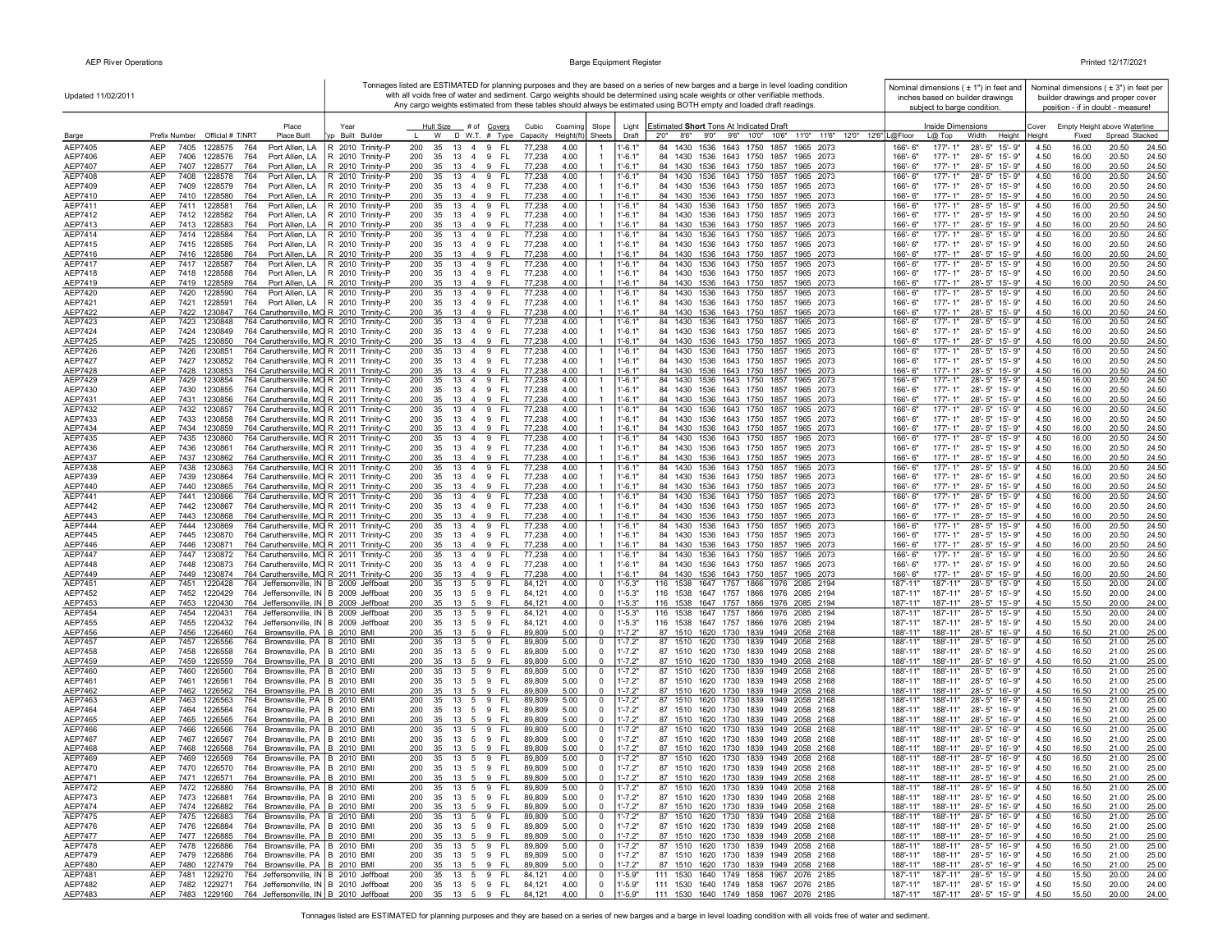| Updated 11/02/2011        |                                                                                                                                               |                                                                      |                                                                              |                                  |                                                                | Tonnages listed are ESTIMATED for planning purposes and they are based on a series of new barges and a barge in level loading condition<br>with all voids free of water and sediment. Cargo weights should be determined using scale weights or other verifiable methods. | Nominal dimensions $(± 1")$ in feet and<br>inches based on builder drawings               |              |                | Nominal dimensions $(± 3")$ in feet per<br>builder drawings and proper cover |
|---------------------------|-----------------------------------------------------------------------------------------------------------------------------------------------|----------------------------------------------------------------------|------------------------------------------------------------------------------|----------------------------------|----------------------------------------------------------------|---------------------------------------------------------------------------------------------------------------------------------------------------------------------------------------------------------------------------------------------------------------------------|-------------------------------------------------------------------------------------------|--------------|----------------|------------------------------------------------------------------------------|
|                           |                                                                                                                                               |                                                                      |                                                                              |                                  |                                                                | Any cargo weights estimated from these tables should always be estimated using BOTH empty and loaded draft readings.                                                                                                                                                      | subject to barge condition.                                                               |              |                | position - if in doubt - measure!                                            |
|                           | Place                                                                                                                                         | Year                                                                 | Hull Size<br>_# of <u>Covers</u>                                             | Cubic<br>Coaming                 | Slope<br>Light                                                 | Estimated Short Tons At Indicated Draft                                                                                                                                                                                                                                   | <b>Inside Dimensions</b>                                                                  | Cover        |                | Empty Height above Waterline                                                 |
| Barge                     | Prefix Number Official # T/NRT<br><b>Place Built</b>                                                                                          | yp Built Builder                                                     | D W.T. # Type<br>W                                                           | Height(ft<br>Capacity            | Sheets<br>Draft                                                | 8'6''<br>9'0"<br>9'6" 10'0" 10'6"<br>11'0" 11'6" 12'0" 12'6" L@Floor<br>2'0''                                                                                                                                                                                             | Width<br>Height<br>$L@$ Top                                                               | Heiaht       | Fixed          | Spread Stacked                                                               |
| AEP7405<br>AEP7406        | <b>AEP</b><br>7405<br>1228575<br>764<br>Port Allen, LA<br>AEP<br>7406<br>1228576<br>764<br>Port Allen, LA                                     | R 2010 Trinity-P<br>R 2010 Trinity-P                                 | 200<br>35<br>13<br>4 9<br>- FL<br>200<br>35<br>13<br>4 9<br>- FL             | 4.00<br>77,238<br>77,238<br>4.00 | $1 - 6.1"$<br>$1' - 6.1"$                                      | 84 1430 1536 1643 1750 1857<br>1965 2073<br>84 1430 1536 1643 1750 1857<br>1965 2073                                                                                                                                                                                      | $177 - 1"$<br>166'-6"<br>28'-5" 15'-9"<br>166'-6"<br>177'-1"<br>28'-5" 15'-9"             | 4.50<br>4.50 | 16.00<br>16.00 | 20.50<br>24.50<br>20.50<br>24.50                                             |
| AEP7407                   | AEP<br>7407<br>1228577<br>764<br>Port Allen, LA                                                                                               | R 2010 Trinity-P                                                     | 200<br>35<br>13<br>4 9<br>-FL                                                | 77,238<br>4.00                   | $1' - 6.1"$                                                    | 84 1430 1536 1643 1750 1857<br>1965 2073                                                                                                                                                                                                                                  | 166'-6"<br>$177 - 1"$<br>28'-5" 15'-9"                                                    | 4.50         | 16.00          | 20.50<br>24.50                                                               |
| AEP7408                   | AEP<br>7408<br>764<br>Port Allen, LA<br>1228578                                                                                               | R 2010 Trinity-P                                                     | 13 4 9<br>- FL<br>200<br>35                                                  | 77,238<br>4.00                   | $1' - 6.1"$<br>$\mathbf{1}$                                    | 84 1430 1536 1643 1750 1857<br>1965 2073                                                                                                                                                                                                                                  | $177 - 1"$<br>28'-5" 15'-9"<br>166'-6"                                                    | 4.50         | 16.00          | 20.50<br>24.50                                                               |
| AEP7409<br>AEP7410        | AEP<br>7409<br>1228579<br>764<br>AEP<br>7410 1228580<br>764                                                                                   | Port Allen, LA   R 2010 Trinity-P<br>Port Allen, LA R 2010 Trinity-P | 35 13 4 9 FL<br>200<br>200<br>35<br>13 4 9<br>- FL                           | 77,238<br>4.00<br>77,238<br>4.00 | $1' - 6.1"$<br>$1' - 6.1"$<br>$\overline{1}$                   | 84 1430 1536 1643 1750 1857 1965 2073<br>84 1430 1536 1643 1750 1857 1965 2073                                                                                                                                                                                            | 28'-5" 15'-9"<br>166'-6"<br>177'-1"<br>166'-6"<br>$177 - 1"$<br>28'-5" 15'-9"             | 4.50<br>4.50 | 16.00<br>16.00 | 20.50<br>24.50<br>20.50<br>24.50                                             |
| AEP7411                   | 7411<br>AEP<br>1228581<br>764<br>Port Allen, LA                                                                                               | R 2010 Trinity-P                                                     | 200<br>35<br>13 4 9<br>FL.                                                   | 77,238<br>4.00                   | $1' - 6.1'$<br>$\mathbf{1}$                                    | 84 1430 1536 1643 1750 1857<br>1965 2073                                                                                                                                                                                                                                  | 28'-5" 15'-9"<br>177'-1"<br>166'-6"                                                       | 4.50         | 16.00          | 20.50<br>24.50                                                               |
| AEP7412                   | AEP<br>7412 1228582<br>764<br>Port Allen, LA                                                                                                  | R 2010 Trinity-P                                                     | 200<br>35<br>13<br>4 9<br>- FL                                               | 77,238<br>4.00                   | $1' - 6.1"$                                                    | 84 1430 1536 1643 1750 1857 1965 2073                                                                                                                                                                                                                                     | 28'-5" 15'-9"<br>166'-6"<br>177'-1"                                                       | 4.50         | 16.00          | 20.50<br>24.50                                                               |
| AEP7413<br>AEP7414        | AEP<br>7413 1228583<br>764<br>Port Allen, LA<br>AEP<br>7414<br>764<br>Port Allen, LA<br>1228584                                               | R 2010 Trinity-P<br>R 2010 Trinity-P                                 | 9<br>200<br>35<br>13 4<br>FL<br>200<br>13<br>9<br>FL<br>35<br>$\overline{4}$ | 77,238<br>4.00<br>77,238<br>4.00 | $1' - 6.1"$<br>$\overline{1}$<br>$1' - 6.1'$<br>$\mathbf{1}$   | 84 1430 1536 1643 1750 1857 1965 2073<br>1536 1643 1750 1857<br>84 1430<br>1965 2073                                                                                                                                                                                      | 177'-1"<br>166'-6"<br>28'-5" 15'-9"<br>177'-1"<br>28'-5" 15'-9"<br>166'-6"                | 4.50<br>4.50 | 16.00<br>16.00 | 20.50<br>24.50<br>20.50<br>24.50                                             |
| AEP7415                   | AEP<br>7415 1228585<br>764<br>Port Allen, LA                                                                                                  | R 2010 Trinity-P                                                     | 35<br>FL.<br>200<br>13 4 9                                                   | 4.00<br>77,238                   | $1' - 6.1"$                                                    | 84 1430 1536 1643 1750 1857 1965 2073                                                                                                                                                                                                                                     | 177'-1"<br>28'-5" 15'-9"<br>166'-6"                                                       | 4.50         | 16.00          | 20.50<br>24.50                                                               |
| AEP7416                   | <b>AEP</b><br>7416 1228586<br>764<br>Port Allen, LA                                                                                           | R 2010 Trinity-P                                                     | 200<br>35<br>13 4 9<br>- FL                                                  | 77,238<br>4.00                   | $\overline{1}$<br>$1' - 6.1"$                                  | 84 1430 1536 1643 1750 1857 1965 2073                                                                                                                                                                                                                                     | 166'-6"<br>$177 - 1"$<br>28'-5" 15'-9"                                                    | 4.50         | 16.00          | 20.50<br>24.50                                                               |
| AEP7417<br>AEP7418        | AEP<br>7417 1228587<br>764<br>Port Allen, LA<br>AEP<br>7418 1228588<br>764<br>Port Allen, LA                                                  | R 2010 Trinity-P<br>R 2010 Trinity-P                                 | 200<br>13 4 9<br>FL.<br>35<br>200<br>35<br>13 4 9<br>- FL                    | 77,238<br>4.00<br>4.00<br>77,238 | $1 - 6.1"$<br>-1<br>$1' - 6.1"$                                | 84 1430<br>1536 1643 1750 1857<br>1965 2073<br>84 1430 1536 1643 1750 1857 1965 2073                                                                                                                                                                                      | $177 - 1"$<br>28'-5" 15'-9"<br>166'-6"<br>166'-6"<br>177'-1"<br>28'-5" 15'-9"             | 4.50<br>4.50 | 16.00<br>16.00 | 20.50<br>24.50<br>20.50<br>24.50                                             |
| AEP7419                   | AEP<br>7419 1228589<br>764<br>Port Allen, LA                                                                                                  | R 2010 Trinity-P                                                     | 200<br>35 13 4 9<br>- FL                                                     | 77,238<br>4.00                   | $1'-6.1"$                                                      | 84 1430 1536 1643 1750 1857<br>1965 2073                                                                                                                                                                                                                                  | 166'-6"<br>177'-1"<br>28'-5" 15'-9"                                                       | 4.50         | 16.00          | 20.50<br>24.50                                                               |
| AEP7420                   | AEP<br>7420<br>Port Allen, LA<br>1228590<br>764                                                                                               | R 2010 Trinity-P                                                     | 13 4 9<br>FL.<br>200<br>35                                                   | 77,238<br>4.00                   | $1' - 6.1"$<br>$\overline{1}$                                  | 1536 1643 1750 1857<br>84 1430<br>1965 2073                                                                                                                                                                                                                               | 177'-1"<br>28'-5" 15'-9"<br>166'-6"                                                       | 4.50         | 16.00          | 20.50<br>24.50                                                               |
| AEP7421<br>AEP7422        | AEP<br>7421<br>1228591<br>764<br><b>AEP</b><br>7422<br>1230847<br>764 Caruthersville, MO R 2010 Trinity-C                                     | Port Allen, LA R 2010 Trinity-P                                      | 200<br>35<br>13 4 9<br>- FL<br>200<br>35<br>13 4 9<br>- FL                   | 77,238<br>4.00<br>77.238<br>4.00 | $1' - 6.1"$<br>$1' - 6.1"$                                     | 84 1430 1536 1643 1750 1857 1965 2073<br>84 1430 1536 1643 1750 1857 1965 2073                                                                                                                                                                                            | 166'-6"<br>177'-1"<br>28'-5" 15'-9"<br>166'-6"<br>$177 - 1"$<br>28'-5" 15'-9"             | 4.50<br>4.50 | 16.00<br>16.00 | 20.50<br>24.50<br>20.50<br>24.50                                             |
| AEP7423                   | <b>AEP</b><br>7423<br>764 Caruthersville, MO R 2010 Trinity-C<br>1230848                                                                      |                                                                      | 200<br>35<br>13 4 9<br>- FL                                                  | 77,238<br>4.00                   | $1' - 6.1'$<br>-1                                              | 84 1430 1536 1643 1750 1857<br>1965 2073                                                                                                                                                                                                                                  | $177 - 1"$<br>28'-5" 15'-9"<br>166'-6"                                                    | 4.50         | 16.00          | 20.50<br>24.50                                                               |
| AEP7424                   | 764 Caruthersville, MO R 2010 Trinity-C<br>AEP<br>7424<br>1230849                                                                             |                                                                      | 200<br>35<br>- FL<br>13<br>49                                                | 77,238<br>4.00                   | $1 - 6.1"$                                                     | 84 1430 1536 1643 1750 1857<br>1965 2073                                                                                                                                                                                                                                  | 166'-6"<br>177'-1"<br>28'-5" 15'-9"                                                       | 4.50         | 16.00          | 20.50<br>24.50                                                               |
| AEP7425<br>AEP7426        | 764 Caruthersville, MO R 2010 Trinity-C<br>AEP<br>7425<br>1230850<br>AEP<br>7426<br>1230851<br>764 Caruthersville, MO R 2011 Trinity-C        |                                                                      | 200<br>35<br>13<br>$\overline{4}$<br>9<br>-FL<br>200<br>35<br>13 4 9<br>FL.  | 77,238<br>4.00<br>77,238<br>4.00 | $1' - 6.1"$<br>1'-6.1'<br>$\overline{1}$                       | 84 1430 1536 1643 1750 1857<br>1965 2073<br>84 1430<br>1536 1643 1750 1857<br>1965 2073                                                                                                                                                                                   | $177 - 1"$<br>166'-6"<br>$28 - 5"$<br>15'-9"<br>166'-6"<br>177'-1"<br>$28 - 5"$<br>15'-9" | 4.50<br>4.50 | 16.00<br>16.00 | 20.50<br>24.50<br>20.50<br>24.50                                             |
| <b>AEP7427</b>            | AEP<br>764 Caruthersville, MO R 2011 Trinity-C<br>7427<br>1230852                                                                             |                                                                      | 200<br>35<br>13 4 9<br>- FL                                                  | 4.00<br>77,238                   | $1' - 6.1"$<br>$\overline{1}$                                  | 84 1430 1536 1643 1750 1857<br>1965 2073                                                                                                                                                                                                                                  | 177'-1"<br>166'-6"<br>28'-5" 15'-9"                                                       | 4.50         | 16.00          | 20.50<br>24.50                                                               |
| <b>AEP7428</b>            | 764 Caruthersville, MO R 2011 Trinity-C<br><b>AEP</b><br>7428<br>1230853                                                                      |                                                                      | 200<br>35<br>- FL<br>13<br>4 9                                               | 77,238<br>4.00                   | $1' - 6.1"$                                                    | 84 1430 1536 1643 1750 1857 1965 2073                                                                                                                                                                                                                                     | 166'-6"<br>$177 - 1"$<br>28'-5" 15'-9"                                                    | 4.50         | 16.00          | 20.50<br>24.50                                                               |
| AEP7429                   | <b>AEP</b><br>7429<br>1230854<br>764 Caruthersville, MO R 2011 Trinity-C<br>AEP<br>7430 1230855                                               |                                                                      | 200<br>13 4 9<br>- FL<br>35<br>200<br>35<br>13 4 9<br>- FL                   | 77,238<br>4.00                   | $1' - 6.1'$<br>$\overline{1}$<br>$1' - 6.1"$<br>$\overline{1}$ | 84 1430 1536 1643 1750 1857<br>1965 2073                                                                                                                                                                                                                                  | $177 - 1"$<br>28'-5" 15'-9"<br>$166' - 6''$<br>$177 - 1"$<br>28'-5" 15'-9"                | 4.50         | 16.00          | 20.50<br>24.50                                                               |
| AEP7430<br>AEP7431        | 764 Caruthersville, MO R 2011 Trinity-C<br>764 Caruthersville, MO R 2011 Trinity-C<br>AEP<br>7431<br>1230856                                  |                                                                      | 200<br>35<br>13 4 9<br>- FL                                                  | 4.00<br>77,238<br>4.00<br>77,238 | $1' - 6.1"$                                                    | 84 1430 1536 1643 1750 1857<br>1965 2073<br>84 1430 1536 1643 1750 1857 1965 2073                                                                                                                                                                                         | 166'-6"<br>166'-6"<br>$177 - 1"$<br>28'-5" 15'-9"                                         | 4.50<br>4.50 | 16.00<br>16.00 | 20.50<br>24.50<br>20.50<br>24.50                                             |
| AEP7432                   | AEP<br>7432 1230857<br>764 Caruthersville, MO R 2011 Trinity-C                                                                                |                                                                      | 200<br>35 13 4 9 FL                                                          | 77,238<br>4.00                   | 1'-6.1"<br>-1                                                  | 84 1430 1536 1643 1750 1857<br>1965 2073                                                                                                                                                                                                                                  | 166'-6"<br>177'-1"<br>28'-5" 15'-9"                                                       | 4.50         | 16.00          | 20.50<br>24.50                                                               |
| AEP7433<br>AEP7434        | AEP<br>7433 1230858<br>764 Caruthersville, MO R 2011 Trinity-C<br>7434<br>764 Caruthersville, MO R 2011 Trinity-C                             |                                                                      | 200<br>35<br>13   4   9   FL<br>35<br>- FL                                   | 77,238<br>4.00<br>4.00           | $1' - 6.1"$<br>$1' - 6.1"$                                     | 84 1430 1536 1643 1750 1857 1965 2073<br>84 1430 1536 1643 1750 1857 1965 2073                                                                                                                                                                                            | $177 - 1"$<br>28'-5" 15'-9"<br>166'-6"<br>177'-1"<br>28'-5" 15'-9"                        | 4.50<br>4.50 | 16.00<br>16.00 | 20.50<br>24.50                                                               |
| AEP7435                   | AEP<br>1230859<br>AEP<br>7435 1230860<br>764 Caruthersville, MO R 2011 Trinity-C                                                              |                                                                      | 200<br>13<br>49<br>200<br>35<br>13 4 9<br>FL.                                | 77,238<br>77,238<br>4.00         | $1' - 6.1'$<br>$\mathbf{1}$                                    | 84 1430 1536 1643 1750 1857<br>1965 2073                                                                                                                                                                                                                                  | 166'-6"<br>$177 - 1"$<br>28'-5" 15'-9"<br>166'-6"                                         | 4.50         | 16.00          | 20.50<br>24.50<br>20.50<br>24.50                                             |
| AEP7436                   | 764 Caruthersville, MO R 2011 Trinity-C<br>AEP<br>7436<br>1230861                                                                             |                                                                      | 200<br>35<br>4 9<br>- FL<br>13                                               | 77,238<br>4.00                   | $1'-6.1"$                                                      | 84 1430 1536 1643 1750 1857<br>1965 2073                                                                                                                                                                                                                                  | 166'-6"<br>$177 - 1"$<br>28'-5" 15'-9"                                                    | 4.50         | 16.00          | 20.50<br>24.50                                                               |
| AEP7437                   | 764 Caruthersville, MO R 2011 Trinity-C<br>AEP<br>7437<br>1230862                                                                             |                                                                      | 200<br>9<br>35<br>13<br>$\overline{4}$<br>-FL                                | 77,238<br>4.00                   | $1' - 6.1"$                                                    | 84 1430 1536 1643 1750 1857 1965 2073                                                                                                                                                                                                                                     | 177'-1"<br>28'-5" 15'-9"<br>166'-6"                                                       | 4.50         | 16.00          | 20.50<br>24.50                                                               |
| AEP7438<br>AEP7439        | 7438<br>764 Caruthersville, MO R 2011 Trinity-C<br>AEP<br>1230863<br>AEP<br>7439<br>764 Caruthersville, MO R 2011 Trinity-C<br>1230864        |                                                                      | 9<br>200<br>35<br>13<br>$\overline{4}$<br>FL.<br>200<br>35<br>13 4 9<br>- FL | 77,238<br>4.00<br>77,238<br>4.00 | $\mathbf{1}$<br>$1' - 6.1'$<br>$1' - 6.1"$                     | 84 1430<br>1536 1643 1750 1857<br>1965 2073<br>84 1430 1536 1643 1750 1857<br>1965 2073                                                                                                                                                                                   | 28'-5" 15'-9"<br>166'-6"<br>177'-1"<br>177'-1"<br>28'-5" 15'-9"<br>166'-6"                | 4.50<br>4.50 | 16.00<br>16.00 | 20.50<br>24.50<br>20.50<br>24.50                                             |
| AEP7440                   | AEP<br>7440<br>764 Caruthersville, MO R 2011 Trinity-C<br>1230865                                                                             |                                                                      | 200<br>35<br>13 4 9<br>- FL                                                  | 4.00<br>77,238                   | $1' - 6.1"$                                                    | 84 1430 1536 1643 1750 1857 1965 2073                                                                                                                                                                                                                                     | 177'-1"<br>28'-5" 15'-9"<br>166'-6"                                                       | 4.50         | 16.00          | 20.50<br>24.50                                                               |
| AEP7441                   | AEP<br>7441<br>1230866<br>764 Caruthersville, MO R 2011 Trinity-C                                                                             |                                                                      | 200<br>35<br>13<br>4 9<br>FL.                                                | 77,238<br>4.00                   | $1' - 6.1'$<br>$\mathbf{1}$                                    | 84 1430<br>1536 1643 1750 1857<br>1965 2073                                                                                                                                                                                                                               | 166'-6"<br>$177 - 1"$<br>28'-5" 15'-9"                                                    | 4.50         | 16.00          | 20.50<br>24.50                                                               |
| AEP7442<br>AEP7443        | AEP<br>7442<br>764 Caruthersville, MO R 2011 Trinity-C<br>1230867<br>AEP<br>764 Caruthersville, MO R 2011 Trinity-C<br>7443<br>1230868        |                                                                      | 200<br>35<br>- FL<br>13<br>49<br>35 13 4 9<br>200<br>- FL                    | 77,238<br>4.00<br>4.00<br>77,238 | $1'-6.1"$<br>$1' - 6.1"$                                       | 84 1430 1536 1643 1750 1857<br>1965 2073<br>84 1430 1536 1643 1750 1857 1965 2073                                                                                                                                                                                         | $177 - 1"$<br>166'-6"<br>28'-5" 15'-9"<br>166'-6"<br>$177 - 1"$<br>28'-5" 15'-9"          | 4.50<br>4.50 | 16.00<br>16.00 | 20.50<br>24.50<br>20.50<br>24.50                                             |
| AEP7444                   | AEP<br>7444 1230869<br>764 Caruthersville, MO R 2011 Trinity-C                                                                                |                                                                      | 35 13 4 9<br>- FL<br>200                                                     | 4.00<br>77,238                   | $1' - 6.1"$<br>-1                                              | 84 1430 1536 1643 1750 1857<br>1965 2073                                                                                                                                                                                                                                  | 177'-1"<br>28'-5" 15'-9"<br>166'-6"                                                       | 4.50         | 16.00          | 20.50<br>24.50                                                               |
| AEP7445                   | AEP<br>7445 1230870<br>764 Caruthersville, MO R 2011 Trinity-C                                                                                |                                                                      | 200<br>35<br>13 4 9<br>- FL                                                  | 77,238<br>4.00                   | $1' - 6.1"$                                                    | 84 1430 1536 1643 1750 1857<br>1965 2073                                                                                                                                                                                                                                  | $177 - 1"$<br>28'-5" 15'-9"<br>166'-6"                                                    | 4.50         | 16.00          | 20.50<br>24.50                                                               |
| AEP7446<br><b>AEP7447</b> | 764 Caruthersville, MO R 2011 Trinity-C<br>AEP<br>7446<br>1230871<br><b>AEP</b><br>7447<br>1230872<br>764 Caruthersville, MO R 2011 Trinity-C |                                                                      | 35 13 4 9 FL<br>200<br>200<br>35<br>13 4 9<br>- FL                           | 77,238<br>4.00<br>77,238<br>4.00 | $1' - 6.1"$<br>$1' - 6.1'$                                     | 84 1430 1536 1643 1750 1857 1965 2073<br>84 1430<br>1536 1643 1750 1857<br>1965 2073                                                                                                                                                                                      | 177'-1"<br>28'-5" 15'-9"<br>166'-6"<br>$177 - 1"$<br>$28 - 5"$<br>15'-9"<br>166'-6"       | 4.50<br>4.50 | 16.00<br>16.00 | 20.50<br>24.50<br>20.50<br>24.50                                             |
| AEP7448                   | 7448<br>764 Caruthersville, MO R 2011 Trinity-C<br>AEP<br>1230873                                                                             |                                                                      | 200<br>35<br>13<br>4 9<br>- FL                                               | 77,238<br>4.00                   | $1' - 6.1"$                                                    | 84 1430 1536 1643 1750 1857<br>1965 2073                                                                                                                                                                                                                                  | $177 - 1"$<br>28'-5" 15'-9"<br>166'-6"                                                    | 4.50         | 16.00          | 20.50<br>24.50                                                               |
| AEP7449                   | 764 Caruthersville, MO R 2011 Trinity-C<br>7449<br>1230874<br>AEP                                                                             |                                                                      | 200<br>35<br>13 4 9<br>- FL                                                  | 77,238<br>4.00                   | $1' - 6.1"$                                                    | 84 1430 1536 1643 1750 1857 1965 2073                                                                                                                                                                                                                                     | $177 - 1"$<br>166'-6"<br>28'-5" 15'-9"                                                    | 4.50         | 16.00          | 20.50<br>24.50                                                               |
| AEP7451<br>AEP7452        | 7451<br>764 Jeffersonville, IN B 2009 Jeffboat<br>AEP<br>1220428<br>AEP<br>7452<br>1220429<br>764 Jeffersonville, IN B 2009 Jeffboat          |                                                                      | 200<br>35<br>13<br>5<br>9<br>FL.<br>200<br>35<br>13<br>5<br>9<br>-FL         | 4.00<br>84,121<br>84,12'<br>4.00 | 0<br>1'-5.3"<br>$1' - 5.3"$<br>0                               | 116 1538<br>1647 1757 1866 1976<br>2085<br>2194<br>116 1538 1647 1757 1866 1976 2085 2194                                                                                                                                                                                 | $28 - 5"$<br>187'-11"<br>187'-11"<br>15'-9"<br>187'-11"<br>187'-11"<br>28'-5"<br>15'-9"   | 4.50<br>4.50 | 15.50<br>15.50 | 20.00<br>24.00<br>20.00<br>24.00                                             |
| AEP7453                   | AEP<br>7453<br>1220430<br>764 Jeffersonville, IN B 2009 Jeffboat                                                                              |                                                                      | 200<br>35<br>13<br>-5<br>9<br>- FL                                           | 4.00<br>84,121                   | $\Omega$<br>$1' - 5.3"$                                        | 116 1538 1647 1757 1866 1976 2085 2194                                                                                                                                                                                                                                    | 187'-11"<br>187'-11"<br>28'-5" 15'-9"                                                     | 4.50         | 15.50          | 20.00<br>24.00                                                               |
| AEP7454                   | <b>AEP</b><br>7454<br>1220431<br>764 Jeffersonville, IN B 2009 Jeffboat                                                                       |                                                                      | 200<br>35<br>13<br>5<br>9<br>FL                                              | 84,12'<br>4.00                   | $1' - 5.3"$<br>0                                               | 116 1538<br>1647 1757 1866 1976 2085 2194                                                                                                                                                                                                                                 | 187'-11"<br>187'-11"<br>$28 - 5"$<br>$15 - 9"$                                            | 4.50         | 15.50          | 20.00<br>24.00                                                               |
| AEP7455<br>AEP7456        | AEP<br>7455<br>764 Jeffersonville, IN B 2009 Jeffboat<br>1220432<br>AEP<br>7456<br>764 Brownsville, PA   B 2010 BMI<br>1226460                |                                                                      | 200<br>35<br>5 9<br>- FL<br>13<br>200<br>35<br>13 5 9 FL                     | 4.00<br>84,121<br>5.00<br>89,809 | $\mathbf 0$<br>$1' - 5.3"$<br>$1' - 7.2"$<br>$\mathbf 0$       | 116 1538 1647 1757 1866 1976 2085 2194<br>87 1510 1620 1730 1839 1949 2058 2168                                                                                                                                                                                           | 28'-5" 15'-9"<br>187'-11"<br>187'-11"<br>188'-11"<br>188'-11"<br>28'-5" 16'-9"            | 4.50<br>4.50 | 15.50<br>16.50 | 20.00<br>24.00<br>21.00<br>25.00                                             |
| AEP7457                   | 7457<br>764 Brownsville, PA B 2010 BMI<br>AEP<br>1226556                                                                                      |                                                                      | 13 5 9<br>- FL<br>200<br>35                                                  | 89,809<br>5.00                   | $1' - 7.2"$<br>0                                               | 87 1510 1620 1730 1839 1949 2058 2168                                                                                                                                                                                                                                     | 28'-5" 16'-9"<br>188'-11"<br>188'-11"                                                     | 4.50         | 16.50          | 21.00<br>25.00                                                               |
| AEP7458                   | AEP<br>7458<br>1226558<br>764 Brownsville, PA   B 2010 BMI                                                                                    |                                                                      | 200<br>35 13 5 9 FL                                                          | 89,809<br>5.00                   | $1' - 7.2"$<br>0                                               | 87 1510 1620 1730 1839 1949 2058 2168                                                                                                                                                                                                                                     | 188'-11"<br>188'-11"<br>28'-5" 16'-9"                                                     | 4.50         | 16.50          | 21.00<br>25.00                                                               |
| AEP7459<br>AEP7460        | AEP<br>1226559<br>764 Brownsville, PA B 2010 BMI<br>7459<br>764 Brownsville, PA B 2010 BMI<br>AEP<br>7460<br>1226560                          |                                                                      | 35<br>- FL<br>200<br>13<br>59<br>- FL<br>200<br>35<br>13<br>59               | 89,809<br>5.00<br>89,809<br>5.00 | $1' - 7.2"$<br>$\mathbf 0$<br>$1' - 7.2"$<br>0                 | 87 1510 1620 1730 1839 1949 2058 2168<br>87 1510 1620 1730 1839 1949 2058 2168                                                                                                                                                                                            | 188'-11"<br>28'-5" 16'-9"<br>188'-11"<br>28'-5" 16'-9"<br>188'-11"<br>188'-11"            | 4.50<br>4.50 | 16.50<br>16.50 | 21.00<br>25.00<br>21.00<br>25.00                                             |
| AEP7461                   | AEP<br>7461<br>1226561<br>764 Brownsville, PA B 2010 BMI                                                                                      |                                                                      | 35 13 5 9<br>- FL<br>200                                                     | 89,809<br>5.00                   | $\mathbf 0$<br>$1' - 7.2"$                                     | 87 1510 1620 1730 1839 1949 2058 2168                                                                                                                                                                                                                                     | 188'-11"<br>188'-11"<br>28'-5" 16'-9"                                                     | 4.50         | 16.50          | 21.00<br>25.00                                                               |
| AEP7462                   | AEP<br>7462<br>1226562<br>764 Brownsville, PA B 2010 BMI                                                                                      |                                                                      | 9<br>- FL<br>200<br>35<br>13<br>5                                            | 89,809<br>5.00                   | $1' - 7.2"$<br>$\mathbf 0$                                     | 87 1510 1620 1730 1839 1949 2058 2168                                                                                                                                                                                                                                     | 188'-11"<br>188'-11"<br>28'-5" 16'-9"                                                     | 4.50         | 16.50          | 21.00<br>25.00                                                               |
| AEP7463<br>AEP7464        | 7463<br>AEP<br>764<br>Brownsville, PA   B 2010 BMI<br>1226563<br>AEP<br>7464<br>1226564<br>764<br>Brownsville, PA                             | <b>B</b> 2010 BMI                                                    | 200<br>35<br>13<br>5 9<br>- FL<br>200<br>35<br>13<br>5<br>9<br>- FL          | 89,809<br>5.00<br>89,809<br>5.00 | $1' - 7.2"$<br>0<br>$1' - 7.2"$<br>0                           | 87 1510 1620 1730 1839 1949 2058 2168<br>87 1510 1620 1730 1839 1949 2058 2168                                                                                                                                                                                            | 188'-11"<br>28'-5"<br>16'-9"<br>188'-11'<br>188'-11"<br>188'-11"<br>28'-5" 16'-9"         | 4.50<br>4.50 | 16.50<br>16.50 | 21.00<br>25.00<br>21.00<br>25.00                                             |
| AEP7465                   | AEP<br>7465<br>764 Brownsville, PA<br>1226565                                                                                                 | B 2010 BMI                                                           | 200<br>35<br>9<br>-FL<br>13<br>5                                             | 5.00<br>89,809                   | $\Omega$<br>$1' - 7.2"$                                        | 87 1510 1620 1730 1839 1949 2058 2168                                                                                                                                                                                                                                     | 188'-11"<br>188'-11"<br>28'-5" 16'-9"                                                     | 4.50         | 16.50          | 21.00<br>25.00                                                               |
| AEP7466                   | AEP<br>7466<br>1226566<br>764 Brownsville, PA   B 2010 BMI                                                                                    |                                                                      | 200<br>35<br>13<br>5<br>9<br>FL.                                             | 5.00<br>89,809                   | 0<br>$1'$ -7.2"                                                | 1620 1730 1839 1949 2058 2168<br>87 1510                                                                                                                                                                                                                                  | 188'-11"<br>188'-11"<br>28'-5" 16'-9"                                                     | 4.50         | 16.50          | 25.00<br>21.00                                                               |
| AEP7467<br>AEP7468        | <b>AEP</b><br>7467<br>764 Brownsville, PA B 2010 BMI<br>1226567<br>764 Brownsville, PA<br>AEP<br>7468<br>1226568                              | B 2010 BMI                                                           | - FL<br>200<br>-35<br>13 5 9<br>200<br>35 13 5 9<br>- FL                     | 5.00<br>89,809<br>5.00<br>89,809 | $\mathbf 0$<br>$1' - 7.2"$<br>$1' - 7.2"$<br>$\mathbf 0$       | 87 1510 1620 1730 1839 1949 2058 2168<br>87 1510 1620 1730 1839 1949 2058 2168                                                                                                                                                                                            | 188'-11"<br>28'-5" 16'-9"<br>188'-11"<br>188'-11'<br>188'-11"<br>28'-5" 16'-9"            | 4.50<br>4.50 | 16.50<br>16.50 | 21.00<br>25.00<br>25.00<br>21.00                                             |
| AEP7469                   | AEP<br>7469<br>764 Brownsville, PA   B 2010 BMI<br>1226569                                                                                    |                                                                      | 35 13 5 9<br>- FL<br>200                                                     | 89,809<br>5.00                   | $1'$ -7.2"<br>$^{\circ}$                                       | 87 1510 1620 1730 1839 1949 2058 2168                                                                                                                                                                                                                                     | 28'-5" 16'-9"<br>188'-11'<br>188'-11"                                                     | 4.50         | 16.50          | 21.00<br>25.00                                                               |
| AEP7470                   | AEP<br>7470 1226570 764 Brownsville, PA   B 2010 BMI                                                                                          |                                                                      | 200 35 13 5 9 FL                                                             | 89,809<br>5.00                   | $1' - 7.2"$<br>0                                               | 87 1510 1620 1730 1839 1949 2058 2168                                                                                                                                                                                                                                     | 188'-11"<br>188'-11" 28'-5" 16'-9"                                                        | 4.50         | 16.50          | 21.00<br>25.00                                                               |
| AEP7471<br>AEP7472        | <b>AEP</b><br>7471 1226571 764 Brownsville, PA B 2010 BMI<br>7472 1226880 764 Brownsville, PA B 2010 BMI<br>AEP                               |                                                                      | 200 35 13 5 9 FL<br>200                                                      | 5.00<br>89.809<br>89,809<br>5.00 | $1' - 7.2"$<br>0<br>$1' - 7.2"$                                | 87 1510 1620 1730 1839 1949 2058 2168                                                                                                                                                                                                                                     | 188'-11"<br>188'-11" 28'-5" 16'-9"<br>188'-11"                                            | 4.50<br>4.50 | 16.50          | 21.00<br>25.00<br>21.00<br>25.00                                             |
| AEP7473                   | 7473 1226881 764 Brownsville, PA B 2010 BMI<br><b>AFP</b>                                                                                     |                                                                      | 35<br>13 5 9 FL<br>35<br>200<br>13 5 9 FL                                    | 89,809<br>5.00                   | $1' - 7.2"$<br>$^{\circ}$                                      | 87 1510 1620 1730 1839 1949 2058 2168<br>87 1510 1620 1730 1839 1949 2058 2168                                                                                                                                                                                            | 188'-11"<br>28'-5" 16'-9"<br>188'-11" 28'-5" 16'-9"<br>188'-11"                           | 4.50         | 16.50<br>16.50 | 21.00<br>25.00                                                               |
| AEP7474                   | AEP<br>7474 1226882 764 Brownsville, PA B 2010 BMI                                                                                            |                                                                      | 200<br>35<br>13 5 9 FL                                                       | 89,809<br>5.00                   | $\mathbf 0$<br>$1' - 7.2"$                                     | 87 1510 1620 1730 1839 1949 2058 2168                                                                                                                                                                                                                                     | 188'-11"<br>188'-11" 28'-5" 16'-9"                                                        | 4.50         | 16.50          | 21.00<br>25.00                                                               |
| AEP7475                   | 7475 1226883 764 Brownsville, PA B 2010 BMI<br>AEP                                                                                            |                                                                      | 13 5 9 FL<br>200<br>35                                                       | 89,809<br>5.00                   | $1' - 7.2"$<br>$\overline{0}$                                  | 87 1510 1620 1730 1839 1949 2058 2168                                                                                                                                                                                                                                     | 188'-11"<br>28'-5" 16'-9"<br>188'-11"                                                     | 4.50         | 16.50          | 21.00<br>25.00                                                               |
| AEP7476<br>AEP7477        | 7476 1226884 764 Brownsville, PA B 2010 BMI<br>AEP<br>7477 1226885 764 Brownsville, PA B 2010 BMI<br>AEP                                      |                                                                      | 200<br>35 13 5 9 FL<br>200<br>35<br>13 5 9 FL                                | 89,809<br>5.00<br>5.00<br>89,809 | $1' - 7.2"$<br>0<br>$1' - 7.2"$<br>$\overline{\mathbf{0}}$     | 87 1510 1620 1730 1839 1949 2058 2168<br>87 1510 1620 1730 1839 1949 2058 2168                                                                                                                                                                                            | 28'-5" 16'-9"<br>188'-11"<br>188'-11"<br>188'-11"<br>28'-5" 16'-9"<br>188'-11"            | 4.50<br>4.50 | 16.50<br>16.50 | 21.00<br>25.00<br>21.00<br>25.00                                             |
| AEP7478                   | AEP<br>7478 1226886<br>764 Brownsville, PA B 2010 BMI                                                                                         |                                                                      | 35<br>13 5 9 FL<br>200                                                       | 5.00<br>89,809                   | $\overline{0}$<br>$1' - 7.2"$                                  | 87 1510 1620 1730 1839 1949 2058 2168                                                                                                                                                                                                                                     | 188'-11"<br>28'-5" 16'-9"<br>188'-11"                                                     | 4.50         | 16.50          | 21.00<br>25.00                                                               |
| AEP7479                   | 7479 1226886 764 Brownsville, PA B 2010 BMI<br>AEP                                                                                            |                                                                      | 200<br>35 13 5 9 FL                                                          | 89,809<br>5.00                   | $\overline{0}$<br>$1' - 7.2"$                                  | 87 1510 1620 1730 1839 1949 2058 2168                                                                                                                                                                                                                                     | 188'-11"<br>188'-11" 28'-5" 16'-9"                                                        | 4.50         | 16.50          | 21.00<br>25.00                                                               |
| AEP7480<br>AEP7481        | 7480 1227479 764 Brownsville, PA B 2010 BMI<br>AEP<br>7481 1229270 764 Jeffersonville, IN B 2010 Jeffboat<br>AEP                              |                                                                      | 200<br>35 13 5 9 FL<br>35 13 5 9 FL<br>200                                   | 89,809<br>5.00<br>84,121<br>4.00 | $1' - 7.2"$<br>$\overline{0}$<br>$1' - 5.9"$<br>$\mathbf 0$    | 87 1510 1620 1730 1839 1949 2058 2168<br>111 1530 1640 1749 1858 1967 2076 2185                                                                                                                                                                                           | 188'-11"<br>188'-11" 28'-5" 16'-9"<br>187'-11" 28'-5" 15'-9"<br>187'-11"                  | 4.50<br>4.50 | 16.50<br>15.50 | 21.00<br>25.00<br>20.00<br>24.00                                             |
| AEP7482                   | 7482 1229271 764 Jeffersonville, IN B 2010 Jeffboat<br>AEP                                                                                    |                                                                      | 200<br>35 13 5 9 FL                                                          | 4.00<br>84,121                   | $1'-5.9"$<br>0                                                 | 111 1530 1640 1749 1858 1967 2076 2185                                                                                                                                                                                                                                    | 187'-11" 187'-11" 28'-5" 15'-9"                                                           | 4.50         | 15.50          | 24.00<br>20.00                                                               |
| AEP7483                   | AEP 7483 1229160 764 Jeffersonville, IN B 2010 Jeffboat                                                                                       |                                                                      | 200 35 13 5 9 FL                                                             | 84,121<br>4.00                   | $1' - 5.9"$<br>$\overline{0}$                                  | 111 1530 1640 1749 1858 1967 2076 2185                                                                                                                                                                                                                                    | 187'-11" 187'-11" 28'-5" 15'-9"                                                           | 4.50         | 15.50          | 20.00<br>24.00                                                               |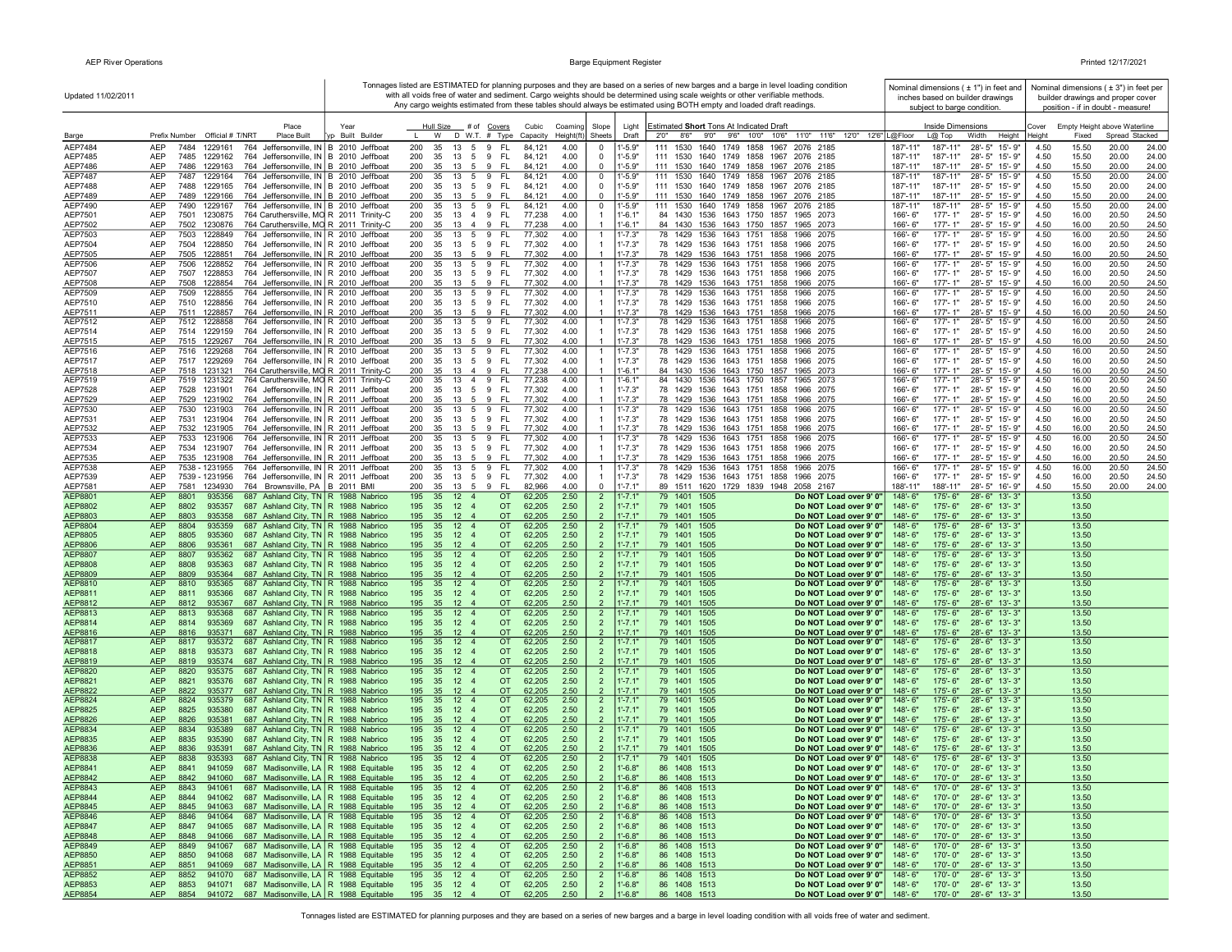| Updated 11/02/2011        |                                                                                                                                              |                  |                                                                  |                                                            |                                  |                            | Tonnages listed are ESTIMATED for planning purposes and they are based on a series of new barges and a barge in level loading condition<br>with all voids free of water and sediment. Cargo weights should be determined using scale weights or other verifiable methods.<br>Any cargo weights estimated from these tables should always be estimated using BOTH empty and loaded draft readings. | Nominal dimensions $(± 1")$ in feet and<br>inches based on builder drawings        | Nominal dimensions $(±3")$ in feet per<br>builder drawings and proper cover |
|---------------------------|----------------------------------------------------------------------------------------------------------------------------------------------|------------------|------------------------------------------------------------------|------------------------------------------------------------|----------------------------------|----------------------------|---------------------------------------------------------------------------------------------------------------------------------------------------------------------------------------------------------------------------------------------------------------------------------------------------------------------------------------------------------------------------------------------------|------------------------------------------------------------------------------------|-----------------------------------------------------------------------------|
|                           | Place                                                                                                                                        | Year             | Hull Size<br># of Covers                                         | Cubic<br>Coaming                                           | Slope                            | Light                      | Estimated Short Tons At Indicated Draft                                                                                                                                                                                                                                                                                                                                                           | subject to barge condition.<br>Inside Dimensions                                   | position - if in doubt - measure!<br>Cover<br>Empty Height above Waterline  |
| Barge                     | Prefix Number Official # T/NRT<br>Place Built                                                                                                | yp Built Builder | W<br>$D$ W.T. $#$ Type                                           | Capacity<br>Height(ft)                                     | Sheets                           | Draft                      | 11'0" 11'6" 12'0" 12'6" L@Floor<br>2'0''<br>8'6" 9'0" 9'6" 10'0" 10'6"                                                                                                                                                                                                                                                                                                                            | $L@$ Top<br>Width<br>Height                                                        | Spread Stacked<br>Height<br>Fixed                                           |
| AEP7484                   | AEP<br>764 Jeffersonville, IN B 2010 Jeffboat<br>7484<br>1229161                                                                             |                  | 200<br>35<br>13<br>$5\overline{5}$<br>9<br>FL                    | 4.00<br>84,121                                             | 0                                | "-5.9"                     | 111 1530<br>1640 1749 1858 1967<br>2076 2185                                                                                                                                                                                                                                                                                                                                                      | 187'-11"<br>187'-11"<br>28'-5" 15'-9"                                              | 4.50<br>20.00<br>15.50<br>24.00                                             |
| AEP7485                   | AEP<br>7485<br>764 Jeffersonville, IN B 2010 Jeffboat<br>1229162                                                                             |                  | 200<br>35<br>5 9<br>- FL<br>13                                   | 4.00<br>84,121                                             | $\mathbf 0$<br>$\Omega$          | $1' - 5.9"$                | 111 1530 1640 1749 1858 1967 2076 2185                                                                                                                                                                                                                                                                                                                                                            | 187'-11"<br>187'-11"<br>28'-5" 15'-9"<br>187'-11'                                  | 4.50<br>15.50<br>20.00<br>24.00                                             |
| AEP7486<br><b>AEP7487</b> | AEP<br>764 Jeffersonville, IN B 2010 Jeffboat<br>7486<br>1229163<br>AEP<br>7487<br>1229164<br>764 Jeffersonville, IN B 2010 Jeffboat         |                  | 35<br>- FL<br>200<br>13<br>5<br>9<br>200<br>35<br>13 5 9<br>- FL | 4.00<br>84,121<br>84,121<br>4.00                           | 0                                | $1' - 5.9"$<br>$1' - 5.9"$ | 111 1530 1640 1749 1858 1967 2076 2185<br>111 1530 1640 1749 1858 1967 2076 2185                                                                                                                                                                                                                                                                                                                  | 187'-11"<br>28'-5" 15'-9"<br>187'-11"<br>187'-11"<br>28'-5" 15'-9"                 | 4.50<br>15.50<br>20.00<br>24.00<br>4.50<br>15.50<br>20.00<br>24.00          |
| AEP7488                   | AEP<br>7488<br>1229165<br>764 Jeffersonville, IN B 2010 Jeffboat                                                                             |                  | 200<br>35<br>13 5 9 FL                                           | 4.00<br>84,121                                             | $\Omega$                         | $1' - 5.9"$                | 111 1530 1640 1749 1858 1967 2076 2185                                                                                                                                                                                                                                                                                                                                                            | 187'-11"<br>187'-11"<br>28'-5" 15'-9"                                              | 4.50<br>15.50<br>20.00<br>24.00                                             |
| AEP7489                   | 764 Jeffersonville, IN B 2010 Jeffboat<br>AEP<br>7489<br>1229166                                                                             |                  | 200<br>35<br>13 5 9<br>- FL                                      | 84,121<br>4.00                                             | $\overline{0}$                   | $1 - 5.9"$                 | 111 1530 1640 1749 1858 1967 2076 2185                                                                                                                                                                                                                                                                                                                                                            | 187'-11"<br>187'-11"<br>28'-5" 15'-9"                                              | 4.50<br>15.50<br>20.00<br>24.00                                             |
| AEP7490                   | 7490<br>764 Jeffersonville, IN B 2010 Jeffboat<br>AEP<br>1229167<br>AEP<br>764 Caruthersville, MO R 2011 Trinity-C<br>1230875                |                  | 200<br>5<br>9<br><b>FL</b><br>35<br>13<br>200<br>35<br>- FL      | 84,121<br>4.00                                             | 0                                | 1'-5.9"<br>$1' - 6.1"$     | 111 1530<br>1640 1749 1858 1967<br>2076 2185                                                                                                                                                                                                                                                                                                                                                      | 28'-5" 15'-9"<br>187'-11'<br>187'-11"<br>166'-6"<br>177'-1"                        | 4.50<br>15.50<br>24.00<br>20.00<br>16.00                                    |
| AEP7501<br>AEP7502        | 7501<br>AEP<br>7502<br>1230876<br>764 Caruthersville, MO R 2011 Trinity-C                                                                    |                  | 13 4 9<br>200<br>35<br>13   4   9   FL                           | 77,238<br>4.00<br>77,238<br>4.00                           |                                  | $1' - 6.1"$                | 84 1430 1536 1643 1750 1857 1965 2073<br>84 1430 1536 1643 1750 1857 1965 2073                                                                                                                                                                                                                                                                                                                    | 28'-5" 15'-9"<br>166'-6"<br>177'-1"<br>28'-5" 15'-9"                               | 4.50<br>20.50<br>24.50<br>4.50<br>16.00<br>20.50<br>24.50                   |
| AEP7503                   | <b>AEP</b><br>7503<br>1228849<br>764 Jeffersonville, IN R 2010 Jeffboat                                                                      |                  | 200<br>35<br>13<br>5<br>9<br>FL.                                 | 77,302<br>4.00                                             | -1                               | $1' - 7.3"$                | 78 1429<br>1536 1643 1751 1858<br>1966 2075                                                                                                                                                                                                                                                                                                                                                       | 166'-6"<br>$177 - 1"$<br>28'-5" 15'-9"                                             | 4.50<br>16.00<br>20.50<br>24.50                                             |
| AEP7504                   | AEP<br>7504<br>764 Jeffersonville, IN R 2010 Jeffboat<br>1228850                                                                             |                  | 200<br>35<br>13 5 9<br>FL.                                       | 77,302<br>4.00                                             |                                  | $1' - 7.3"$                | 78 1429 1536 1643 1751 1858 1966 2075                                                                                                                                                                                                                                                                                                                                                             | $177 - 1"$<br>28'-5" 15'-9"<br>$166 - 6"$                                          | 4.50<br>16.00<br>20.50<br>24.50                                             |
| AEP7505<br>AEP7506        | AEP<br>7505 1228851<br>764 Jeffersonville, IN R 2010 Jeffboat<br>7506<br>764 Jeffersonville, IN R 2010 Jeffboat<br>AEP<br>1228852            |                  | 200<br>35 13 5 9 FL<br>13 5 9<br>-FL<br>200<br>35                | 4.00<br>77,302<br>4.00<br>77,302                           | -1                               | $1' - 7.3"$<br>$1' - 7.3"$ | 78 1429 1536 1643 1751 1858 1966 2075<br>78 1429 1536 1643 1751 1858<br>1966 2075                                                                                                                                                                                                                                                                                                                 | 166'-6"<br>177'-1"<br>28'-5" 15'-9"<br>177'-1"<br>28'-5" 15'-9"<br>166'-6"         | 4.50<br>16.00<br>20.50<br>24.50<br>16.00<br>20.50<br>24.50<br>4.50          |
| AEP7507                   | AEP<br>7507<br>1228853<br>764 Jeffersonville, IN R 2010 Jeffboat                                                                             |                  | 200<br>35<br>13 5 9<br>- FL                                      | 77,302<br>4.00                                             |                                  | $1' - 7.3"$                | 78 1429 1536 1643 1751 1858 1966 2075                                                                                                                                                                                                                                                                                                                                                             | 166'-6"<br>177'-1"<br>28'-5" 15'-9"                                                | 4.50<br>16.00<br>20.50<br>24.50                                             |
| AEP7508                   | AEP<br>7508 1228854<br>764 Jeffersonville, IN R 2010 Jeffboat                                                                                |                  | 200<br>35 13 5 9 FL                                              | 77,302<br>4.00                                             |                                  | $1' - 7.3"$                | 78 1429 1536 1643 1751 1858 1966 2075                                                                                                                                                                                                                                                                                                                                                             | 166'-6"<br>177'-1"<br>28'-5" 15'-9"                                                | 4.50<br>16.00<br>20.50<br>24.50                                             |
| AEP7509                   | <b>AEP</b><br>7509<br>1228855<br>764 Jeffersonville, IN R 2010 Jeffboat                                                                      |                  | 200<br>35<br>13<br>5 9<br>- FL                                   | 77,302<br>4.00                                             |                                  | $1' - 7.3"$                | 78 1429 1536 1643 1751 1858<br>1966 2075                                                                                                                                                                                                                                                                                                                                                          | $177 - 1"$<br>$28 - 5"$<br>15'-9"<br>166'-6"                                       | 4.50<br>16.00<br>20.50<br>24.50                                             |
| AEP7510<br>AEP7511        | 764 Jeffersonville, IN R 2010 Jeffboat<br>AEP<br>7510 1228856<br>1228857<br>764 Jeffersonville, IN R 2010 Jeffboat<br>AEP<br>7511            |                  | 200<br>35<br>13 5 9<br>- FL<br>200<br>35<br>13 5 9<br>- FL       | 77,302<br>4.00<br>77,302<br>4.00                           |                                  | $1' - 7.3"$<br>$1' - 7.3"$ | 78 1429 1536 1643 1751 1858 1966 2075<br>78 1429 1536 1643 1751 1858 1966 2075                                                                                                                                                                                                                                                                                                                    | $177 - 1"$<br>28'-5" 15'-9"<br>166'-6"<br>$177 - 1"$<br>166'-6"<br>28'-5" 15'-9"   | 16.00<br>20.50<br>4.50<br>24.50<br>4.50<br>16.00<br>20.50<br>24.50          |
| AEP7512                   | 764 Jeffersonville, IN R 2010 Jeffboat<br>AEP<br>7512<br>1228858                                                                             |                  | - FL<br>200<br>35<br>13 5 9                                      | 77,302<br>4.00                                             | $\overline{1}$                   | $1' - 7.3"$                | 78 1429 1536 1643 1751 1858 1966 2075                                                                                                                                                                                                                                                                                                                                                             | 28'-5" 15'-9"<br>177'-1"<br>166'-6"                                                | 16.00<br>20.50<br>4.50<br>24.50                                             |
| AEP7514                   | AEP<br>7514<br>1229159<br>764 Jeffersonville, IN R 2010 Jeffboat                                                                             |                  | 200<br>35<br>13<br>5 9<br>- FL                                   | 77,302<br>4.00                                             |                                  | $1' - 7.3"$                | 78 1429 1536 1643 1751 1858<br>1966 2075                                                                                                                                                                                                                                                                                                                                                          | 166'-6"<br>$177 - 1"$<br>28'-5" 15'-9"                                             | 4.50<br>16.00<br>20.50<br>24.50                                             |
| AEP7515                   | AEP<br>7515 1229267<br>764 Jeffersonville, IN R 2010 Jeffboat                                                                                |                  | 200<br>35<br>9<br>- FL<br>13<br>5                                | 77,302<br>4.00                                             |                                  | $1' - 7.3"$                | 78 1429 1536 1643 1751 1858 1966 2075                                                                                                                                                                                                                                                                                                                                                             | $177 - 1"$<br>28'-5" 15'-9"<br>166'-6"                                             | 4.50<br>16.00<br>20.50<br>24.50                                             |
| AEP7516<br>AEP7517        | 764 Jeffersonville, IN R 2010 Jeffboat<br>AEP<br>7516<br>1229268<br>AEP<br>7517 1229269<br>764 Jeffersonville, IN R 2010 Jeffboat            |                  | 200<br>35<br>13<br>5<br>9<br>-FL<br>200<br>35<br>13 5 9<br>- FL  | 77,302<br>4.00<br>77,302<br>4.00                           | $\overline{1}$<br>$\overline{1}$ | 1'-7.3"<br>$1' - 7.3"$     | 78 1429 1536 1643 1751 1858<br>1966 2075<br>78 1429 1536 1643 1751 1858 1966 2075                                                                                                                                                                                                                                                                                                                 | 166'-6"<br>$177 - 1"$<br>28'-5" 15'-9"<br>166'-6"<br>$177 - 1"$<br>28'-5" 15'-9"   | 16.00<br>4.50<br>20.50<br>24.50<br>4.50<br>16.00<br>20.50<br>24.50          |
| AEP7518                   | 764 Caruthersville, MO R 2011 Trinity-C<br>AEP<br>7518<br>1231321                                                                            |                  | 200<br>35<br>13 4 9<br>- FL                                      | 4.00<br>77,238                                             |                                  | $1' - 6.1"$                | 84 1430 1536 1643 1750 1857 1965 2073                                                                                                                                                                                                                                                                                                                                                             | $177 - 1"$<br>166'-6"<br>28'-5" 15'-9"                                             | 4.50<br>16.00<br>20.50<br>24.50                                             |
| AEP7519                   | 764 Caruthersville, MO R 2011 Trinity-C<br>AEP<br>7519 1231322                                                                               |                  | 35 13 4 9 FL<br>200                                              | 77,238<br>4.00                                             | $\overline{1}$                   | $1 - 6.1"$                 | 84 1430 1536 1643 1750 1857<br>1965 2073                                                                                                                                                                                                                                                                                                                                                          | 177'-1"<br>166'-6"<br>28'-5" 15'-9"                                                | 16.00<br>24.50<br>4.50<br>20.50                                             |
| AEP7528                   | AEP<br>7528 1231901<br>764 Jeffersonville, IN R 2011 Jeffboat                                                                                |                  | 200<br>35 13 5 9 FL                                              | 77,302<br>4.00                                             | $\overline{1}$                   | $1' - 7.3"$                | 78 1429 1536 1643 1751 1858 1966 2075                                                                                                                                                                                                                                                                                                                                                             | 166'-6"<br>177'-1"<br>28'-5" 15'-9"                                                | 20.50<br>4.50<br>16.00<br>24.50                                             |
| AEP7529<br>AEP7530        | AEP<br>7529<br>1231902<br>764 Jeffersonville, IN R 2011 Jeffboat<br>764 Jeffersonville, IN R 2011 Jeffboat<br>AEP<br>7530 1231903            |                  | 200<br>35 13 5 9<br>- FL<br>- FL<br>200<br>35<br>13 5 9          | 77,302<br>4.00<br>77,302<br>4.00                           | $\mathbf{1}$                     | $1' - 7.3"$<br>$1' - 7.3"$ | 78 1429 1536 1643 1751 1858 1966 2075<br>78 1429 1536 1643 1751 1858 1966 2075                                                                                                                                                                                                                                                                                                                    | $177 - 1"$<br>28'-5" 15'-9"<br>$166' - 6''$<br>177'-1"<br>28'-5" 15'-9"<br>166'-6" | 4.50<br>16.00<br>20.50<br>24.50<br>16.00<br>24.50<br>4.50<br>20.50          |
| AEP7531                   | AEP<br>7531<br>1231904<br>764 Jeffersonville, IN R 2011 Jeffboat                                                                             |                  | 200<br>35 13 5 9 FL                                              | 77,302<br>4.00                                             |                                  | $1' - 7.3"$                | 78 1429 1536 1643 1751 1858 1966 2075                                                                                                                                                                                                                                                                                                                                                             | $177 - 1"$<br>28'-5" 15'-9"<br>166'-6"                                             | 4.50<br>16.00<br>20.50<br>24.50                                             |
| AEP7532                   | AEP<br>7532<br>1231905<br>764 Jeffersonville, IN R 2011 Jeffboat                                                                             |                  | 200<br>35<br>13 5 9<br>- FL                                      | 77,302<br>4.00                                             | $\overline{1}$                   | $1' - 7.3"$                | 78 1429 1536 1643 1751 1858 1966 2075                                                                                                                                                                                                                                                                                                                                                             | $177 - 1"$<br>28'-5" 15'-9"<br>166'-6"                                             | 4.50<br>16.00<br>20.50<br>24.50                                             |
| AEP7533                   | AEP<br>7533<br>764 Jeffersonville, IN R 2011 Jeffboat<br>1231906                                                                             |                  | 200<br>13 5 9<br>- FL<br>35                                      | 77,302<br>4.00                                             | $\overline{1}$                   | $1' - 7.3''$               | 78 1429 1536 1643 1751 1858 1966 2075                                                                                                                                                                                                                                                                                                                                                             | 177'-1"<br>28'-5" 15'-9"<br>166'-6"                                                | 4.50<br>16.00<br>20.50<br>24.50                                             |
| AEP7534<br>AEP7535        | 764 Jeffersonville, IN R 2011 Jeffboat<br>AEP<br>7534<br>1231907<br>764 Jeffersonville, IN R 2011 Jeffboat<br>AEP<br>7535 1231908            |                  | 200<br>13 5 9<br>- FL<br>35<br>200<br>35<br>13<br>5<br>9<br>FL.  | 4.00<br>77,302<br>4.00<br>77,302                           | $\overline{1}$                   | $1' - 7.3"$<br>$1' - 7.3"$ | 78 1429 1536 1643 1751 1858<br>1966 2075<br>78 1429 1536 1643 1751 1858 1966 2075                                                                                                                                                                                                                                                                                                                 | 177'-1"<br>166'-6"<br>28'-5" 15'-9"<br>166'-6"<br>$177 - 1"$<br>28'-5" 15'-9"      | 4.50<br>16.00<br>20.50<br>24.50<br>4.50<br>16.00<br>20.50<br>24.50          |
| AEP7538                   | AEP<br>764 Jeffersonville, IN R 2011 Jeffboat<br>7538 - 1231955                                                                              |                  | 200<br>35<br>13<br>5<br>9<br>FL.                                 | 77,302<br>4.00                                             | $\overline{1}$                   | $1' - 7.3"$                | 78 1429 1536 1643 1751 1858<br>1966 2075                                                                                                                                                                                                                                                                                                                                                          | 166'-6"<br>177'-1"<br>28'-5" 15'-9"                                                | 16.00<br>20.50<br>24.50<br>4.50                                             |
| AEP7539                   | <b>AEP</b><br>7539 - 1231956<br>764 Jeffersonville, IN R 2011 Jeffboat                                                                       |                  | 200<br>35<br>13 5<br>9<br>- FL                                   | 77,302<br>4.00                                             |                                  | $1' - 7.3"$                | 78 1429 1536 1643 1751 1858<br>1966 2075                                                                                                                                                                                                                                                                                                                                                          | 166'-6"<br>$177 - 1"$<br>28'-5" 15'-9"                                             | 4.50<br>16.00<br>20.50<br>24.50                                             |
| AEP7581<br>AEP8801        | <b>AEP</b><br>7581<br>1234930<br>764 Brownsville, PA B 2011 BMI<br><b>AEP</b><br>8801<br>935356<br>687 Ashland City, TN R 1988 Nabrico       |                  | 200<br>35 13 5 9<br>- FL<br>195<br>35 12 4                       | 82,966<br>4.00<br><b>OT</b><br>2.50<br>62,205              | $\mathbf 0$<br>$\overline{2}$    | $1' - 7.1"$<br>$1' - 7.1'$ | 89 1511 1620 1729 1839 1948 2058 2167<br>79 1401 1505<br>Do NOT Load over 9' 0"                                                                                                                                                                                                                                                                                                                   | 188'-11"<br>188'-11"<br>28'-5" 16'-9"<br>148'-6"<br>175'-6"<br>28'-6" 13'-3"       | 4.50<br>15.50<br>20.00<br>24.00<br>13.50                                    |
| AEP8802                   | 687 Ashland City, TN R 1988 Nabrico<br><b>AEP</b><br>8802<br>935357                                                                          |                  | 195<br>35<br>$12 \quad 4$                                        | <b>OT</b><br>62,205<br>2.50                                | $\overline{2}$                   | $1' - 7.1"$                | 79 1401 1505<br>Do NOT Load over 9' 0"                                                                                                                                                                                                                                                                                                                                                            | 148'-6"<br>$175 - 6"$<br>28'-6" 13'-3"                                             | 13.50                                                                       |
| AEP8803                   | 687 Ashland City, TN R 1988 Nabrico<br><b>AEP</b><br>8803<br>935358                                                                          |                  | 195<br>35 12 4                                                   | <b>OT</b><br>62,205<br>2.50                                | $\overline{2}$                   | $1' - 7.1"$                | 79 1401 1505<br>Do NOT Load over 9' 0"                                                                                                                                                                                                                                                                                                                                                            | 148'-6"<br>$175 - 6"$<br>28'-6" 13'-3"                                             | 13.50                                                                       |
| AEP8804                   | <b>AEP</b><br>8804<br>935359<br>687 Ashland City, TN R 1988 Nabrico                                                                          |                  | 195<br>35 12 4                                                   | <b>OT</b><br>62,205<br>2.50                                | $\overline{2}$                   | $1' - 7.1"$                | 79 1401 1505<br>Do NOT Load over 9' 0"                                                                                                                                                                                                                                                                                                                                                            | 148'-6"<br>175'-6"<br>28'-6" 13'-3"                                                | 13.50                                                                       |
| AEP8805<br>AEP8806        | <b>AEP</b><br>8805<br>935360<br>687 Ashland City, TN R 1988 Nabrico<br>687 Ashland City, TN R 1988 Nabrico<br><b>AEP</b><br>8806<br>935361   |                  | 195<br>35<br>$12 \quad 4$<br>195<br>35<br>$12 \quad 4$<br>OT     | <b>OT</b><br>62,205<br>2.50<br>62,205<br>2.50              | $\overline{2}$<br>$\overline{2}$ | $1' - 7.1"$<br>$1' - 7.1"$ | 79 1401 1505<br>Do NOT Load over 9' 0"<br>79 1401 1505<br>Do NOT Load over 9' 0"                                                                                                                                                                                                                                                                                                                  | 148'-6"<br>$175 - 6"$<br>28'-6" 13'-3"<br>148'-6"<br>$175 - 6"$<br>28'-6" 13'-3"   | 13.50<br>13.50                                                              |
| AEP8807                   | AEP<br>8807<br>935362<br>687 Ashland City, TN R 1988 Nabrico                                                                                 |                  | 195<br>35<br>$12 \quad 4$                                        | OT<br>62,205<br>2.50                                       | $\overline{2}$                   | $1' - 7.1$                 | 79 1401 1505<br>Do NOT Load over 9' 0"                                                                                                                                                                                                                                                                                                                                                            | 148'-6"<br>175'-6"<br>$28 - 6"$<br>$13 - 3"$                                       | 13.50                                                                       |
| <b>AEP8808</b>            | 687 Ashland City, TN R 1988 Nabrico<br><b>AEP</b><br>8808<br>935363                                                                          |                  | 195<br>35<br>$12 \quad 4$                                        | 62,205<br>OT<br>2.50                                       | $\overline{2}$                   | $1' - 7.1"$                | 79 1401 1505<br>Do NOT Load over 9' 0"                                                                                                                                                                                                                                                                                                                                                            | 148'-6"<br>175'-6"<br>$28 - 6"$<br>$13 - 3"$                                       | 13.50                                                                       |
| AEP8809                   | <b>AEP</b><br>935364<br>687 Ashland City, TN R 1988 Nabrico<br>8809                                                                          |                  | 195<br>35<br>$12 \quad 4$                                        | 62,205<br>2.50<br><b>OT</b>                                | $\overline{2}$                   | $1' - 7.1"$                | 79 1401 1505<br>Do NOT Load over 9' 0"                                                                                                                                                                                                                                                                                                                                                            | 175'-6"<br>148'-6"<br>$28 - 6"$<br>$13 - 3"$                                       | 13.50                                                                       |
| AEP8810<br>AEP8811        | <b>AEP</b><br>8810<br>935365<br>687 Ashland City, TN R 1988 Nabrico<br><b>AEP</b><br>687 Ashland City, TN   R 1988 Nabrico<br>8811<br>935366 |                  | 195<br>35 12 4<br>OT<br>35<br>195<br>$12 \quad 4$                | 62,205<br>2.50<br>62,205<br><b>OT</b><br>2.50              | $\overline{2}$<br>$\overline{2}$ | $1' - 7.1"$<br>$1' - 7.1"$ | 79 1401<br>1505<br>Do NOT Load over 9' 0"<br>79 1401 1505<br>Do NOT Load over 9' 0"                                                                                                                                                                                                                                                                                                               | 175'-6"<br>28'-6" 13'-3'<br>148'-6"<br>175'-6"<br>148'-6"<br>28'-6" 13'-3"         | 13.50<br>13.50                                                              |
| AEP8812                   | <b>AEP</b><br>8812<br>935367<br>687 Ashland City, TN R 1988 Nabrico                                                                          |                  | 195<br>35<br>12 <sub>4</sub>                                     | <b>OT</b><br>62,205<br>2.50                                | $\overline{2}$                   | $1' - 7.1"$                | 79 1401 1505<br>Do NOT Load over 9' 0"                                                                                                                                                                                                                                                                                                                                                            | 148'-6"<br>$175 - 6"$<br>28'-6" 13'-3"                                             | 13.50                                                                       |
| AEP8813                   | <b>AEP</b><br>687 Ashland City, TN R 1988 Nabrico<br>8813<br>935368                                                                          |                  | 195<br>35<br>$12 \quad 4$                                        | OT<br>62,205<br>2.50                                       | $\overline{2}$                   | $1' - 7.1"$                | 79 1401 1505<br>Do NOT Load over 9' 0"                                                                                                                                                                                                                                                                                                                                                            | 175'-6"<br>148'-6"<br>$28 - 6"$<br>$13' - 3'$                                      | 13.50                                                                       |
| AEP8814                   | 687 Ashland City, TN   R 1988 Nabrico<br><b>AEP</b><br>8814<br>935369                                                                        |                  | 195<br>35 12 4                                                   | 2.50<br><b>OT</b><br>62,205<br>2.50                        | $\overline{2}$<br>$\overline{2}$ | $1' - 7.1"$<br>$1' - 7.1"$ | 79 1401 1505<br>Do NOT Load over 9' 0"                                                                                                                                                                                                                                                                                                                                                            | $175 - 6"$<br>148'-6"<br>28'-6" 13'-3"<br>$175 - 6"$                               | 13.50                                                                       |
| AEP8816<br><b>AEP8817</b> | 935371 687 Ashland City, TN   R 1988 Nabrico<br><b>AEP</b><br>8816<br><b>AEP</b><br>8817<br>935372<br>687 Ashland City, TN R 1988 Nabrico    |                  | 195 35 12 4<br>195<br>35 12 4                                    | OT.<br>62,205<br><b>OT</b><br>62,205<br>2.50               | $\overline{2}$                   | $1' - 7.1"$                | 79 1401 1505<br>Do NOT Load over 9' 0"<br>79 1401 1505<br>Do NOT Load over 9' 0"                                                                                                                                                                                                                                                                                                                  | 148'-6"<br>28'-6" 13'-3"<br>148'-6"<br>$175 - 6"$<br>28'-6" 13'-3"                 | 13.50<br>13.50                                                              |
| AEP8818                   | <b>AEP</b><br>687 Ashland City, TN R 1988 Nabrico<br>8818<br>935373                                                                          |                  | 195 35<br>$12 \quad 4$                                           | <b>OT</b><br>62,205<br>2.50                                | $\overline{2}$                   | $1' - 7.1"$                | 79 1401 1505<br>Do NOT Load over 9' 0"                                                                                                                                                                                                                                                                                                                                                            | 148'-6"<br>175'-6" 28'-6" 13'-3"                                                   | 13.50                                                                       |
| AEP8819                   | 687 Ashland City, TN R 1988 Nabrico<br><b>AEP</b><br>8819<br>935374                                                                          |                  | 195 35 12 4                                                      | <b>OT</b><br>62,205<br>2.50                                |                                  | $1' - 7.1"$                | 79 1401 1505<br>Do NOT Load over 9' 0"                                                                                                                                                                                                                                                                                                                                                            | 148'-6"<br>$175 - 6"$<br>28'-6" 13'-3"                                             | 13.50                                                                       |
| AEP8820<br>AEP8821        | <b>AEP</b><br>8820<br>935375<br>687 Ashland City, TN R 1988 Nabrico<br>687 Ashland City, TN R 1988 Nabrico                                   |                  | 195<br>35<br>$12 \quad 4$<br>195<br>35<br>$12 \quad 4$           | OT<br>62,205<br>2.50<br>OT<br>62,205<br>2.50               | $\overline{2}$<br>$\overline{2}$ | $1' - 7.1'$<br>$1' - 7.1"$ | 79 1401 1505<br>Do NOT Load over 9' 0"<br>79 1401 1505                                                                                                                                                                                                                                                                                                                                            | 148'-6"<br>175'-6"<br>28'-6" 13'-3"<br>175'-6"<br>148'-6"                          | 13.50<br>13.50                                                              |
| <b>AEP8822</b>            | <b>AEP</b><br>8821<br>935376<br><b>AEP</b><br>935377<br>687 Ashland City, TN   R 1988 Nabrico<br>8822                                        |                  | 195<br>35<br>$12 \quad 4$                                        | 2.50<br><b>OT</b><br>62,205                                | $\mathcal{P}$                    | $1' - 7.1"$                | Do NOT Load over 9' 0"<br>79 1401 1505<br>Do NOT Load over 9' 0"                                                                                                                                                                                                                                                                                                                                  | 28'-6" 13'-3"<br>175'-6"<br>148'-6"<br>28'-6" 13'-3"                               | 13.50                                                                       |
| AEP8824                   | <b>AEP</b><br>8824<br>935379<br>687 Ashland City, TN R 1988 Nabrico                                                                          |                  | $12 \quad 4$<br>195<br>35<br>OT                                  | 2.50<br>62,205                                             | $\overline{2}$                   | $1'$ -7.1'                 | 1505<br>79 1401<br>Do NOT Load over 9' 0"                                                                                                                                                                                                                                                                                                                                                         | 28'-6" 13'-3"<br>148'-6"<br>$175 - 6"$                                             | 13.50                                                                       |
| AEP8825                   | <b>AEP</b><br>687 Ashland City, TN   R 1988 Nabrico<br>8825<br>935380                                                                        |                  | 195<br>35<br>$12 \quad 4$                                        | <b>OT</b><br>62,205<br>2.50                                | $\overline{2}$                   | $1' - 7.1"$                | 79 1401 1505<br>Do NOT Load over 9' 0"                                                                                                                                                                                                                                                                                                                                                            | $175 - 6"$<br>148'-6"<br>28'-6" 13'-3"                                             | 13.50                                                                       |
| AEP8826<br>AEP8834        | <b>AEP</b><br>8826<br>935381<br>687 Ashland City, TN R 1988 Nabrico<br><b>AEP</b><br>687 Ashland City, TN R 1988 Nabrico<br>8834<br>935389   |                  | 195<br>35 12 4<br>195<br>35<br>$12 \quad 4$                      | <b>OT</b><br>62,205<br>2.50<br><b>OT</b><br>62,205<br>2.50 | $\overline{2}$                   | $1' - 7.1"$<br>$1' - 7.1"$ | 79 1401 1505<br>Do NOT Load over 9' 0"<br>79 1401 1505<br>Do NOT Load over 9' 0"                                                                                                                                                                                                                                                                                                                  | 148'-6"<br>175'-6"<br>28'-6" 13'-3"<br>148'-6"<br>175'-6"<br>28'-6" 13'-3"         | 13.50<br>13.50                                                              |
| AEP8835                   | <b>AEP</b><br>8835<br>935390<br>687 Ashland City, TN   R 1988 Nabrico                                                                        |                  | 195 35 12 4                                                      | 62,205<br>2.50<br>OT.                                      | $\overline{2}$                   | $1' - 7.1"$                | 79 1401 1505<br>Do NOT Load over 9' 0"                                                                                                                                                                                                                                                                                                                                                            | 148'-6"<br>175'-6"<br>28'-6" 13'-3"                                                | 13.50                                                                       |
| AEP8836                   | 687 Ashland City, TN R 1988 Nabrico<br><b>AEP</b><br>8836<br>935391                                                                          |                  | 195<br>35 12 4                                                   | 62,205<br>2.50<br>OT.                                      |                                  | $1' - 7.1"$                | 79 1401 1505<br>Do NOT Load over 9' 0"                                                                                                                                                                                                                                                                                                                                                            | 175'-6"<br>148'-6"<br>28'-6" 13'-3"                                                | 13.50                                                                       |
| AEP8838                   | <b>AEP</b><br>8838<br>935393<br>687 Ashland City, TN R 1988 Nabrico                                                                          |                  | 195<br>35 12 4                                                   | OT.<br>62,205<br>2.50                                      | -2                               | $1' - 7.1'$                | 79 1401 1505<br>Do NOT Load over 9' 0"                                                                                                                                                                                                                                                                                                                                                            | 148'-6"<br>$175 - 6"$<br>28'-6" 13'-3"                                             | 13.50                                                                       |
| AEP8841<br>AFP8842        | 941059 687 Madisonville, LA R 1988 Equitable<br><b>AEP</b><br>8841<br><b>AFP</b><br>8842 941060 687 Madisonville LA R 1988 Equitable         |                  | 195 35 12 4<br>$105$ $35$ $12$ $4$                               | <b>OT</b><br>62,205<br>2.50<br>$\Omega$<br>62.205<br>2.50  | $\overline{2}$<br>$\mathcal{P}$  | $1' - 6.8"$<br>1'.6.8"     | 86 1408 1513<br>Do NOT Load over 9' 0"<br>86 1408 1513<br>Do NOT Load over 9' 0"                                                                                                                                                                                                                                                                                                                  | $148 - 6"$<br>170'-0" 28'-6" 13'-3"<br>148'-6" 170'-0" 28'-6" 13'-3"               | 13.50<br>13.50                                                              |
| AEP8843                   | 687 Madisonville, LA   R 1988 Equitable<br><b>AEP</b><br>8843<br>941061                                                                      |                  | 195<br>35<br>12                                                  | OT<br>62,205<br>2.50                                       | $\overline{2}$                   | l'-6.8"                    | 86 1408 1513<br>Do NOT Load over 9' 0"                                                                                                                                                                                                                                                                                                                                                            | 148'-6"<br>170'-0"<br>28'-6" 13'-3"                                                | 13.50                                                                       |
| AEP8844                   | 687 Madisonville, LA R 1988 Equitable<br>941062<br><b>AEP</b><br>8844                                                                        |                  | 195<br>35<br>$12 \quad 4$                                        | 62,205<br>2.50<br>OT                                       | $\overline{2}$                   | $1'-6.8"$                  | 86 1408 1513<br>Do NOT Load over 9' 0"                                                                                                                                                                                                                                                                                                                                                            | 170'-0"<br>28'-6" 13'-3"<br>148'-6"                                                | 13.50                                                                       |
| AEP8845                   | 687 Madisonville, LA R 1988 Equitable<br><b>AEP</b><br>941063<br>8845                                                                        |                  | 195<br>35<br>$12 \quad 4$                                        | 62,205<br>2.50<br>OT                                       | $\overline{2}$                   | $1' - 6.8"$                | 86 1408 1513<br>Do NOT Load over 9' 0"                                                                                                                                                                                                                                                                                                                                                            | 148'-6"<br>170'-0"<br>28'-6" 13'-3"                                                | 13.50                                                                       |
| AEP8846<br>AEP8847        | 941064 687 Madisonville, LA R 1988 Equitable<br><b>AEP</b><br>8846<br><b>AEP</b><br>8847<br>941065 687 Madisonville, LA R 1988 Equitable     |                  | 195<br>35 12 4<br>195<br>35<br>$12 \quad 4$                      | 2.50<br>OT<br>62,205<br><b>OT</b><br>62,205<br>2.50        | $\overline{2}$<br>$\overline{2}$ | $1'-6.8"$<br>$1'-6.8"$     | 86 1408 1513<br>Do NOT Load over 9' 0"<br>86 1408 1513<br>Do NOT Load over 9' 0"                                                                                                                                                                                                                                                                                                                  | 170'-0"<br>28'-6" 13'-3"<br>148'-6"<br>148'-6"<br>170'-0"<br>28'-6" 13'-3"         | 13.50<br>13.50                                                              |
| AEP8848                   | <b>AEP</b><br>941066 687 Madisonville, LA R 1988 Equitable<br>8848                                                                           |                  | 195<br>35<br>$12 \quad 4$                                        | <b>OT</b><br>62,205<br>2.50                                | $\overline{2}$                   | $1'-6.8"$                  | 86 1408 1513<br>Do NOT Load over 9' 0"                                                                                                                                                                                                                                                                                                                                                            | 148'-6"<br>170'-0"<br>28'-6" 13'-3"                                                | 13.50                                                                       |
| AEP8849                   | 687 Madisonville, LA R 1988 Equitable<br><b>AEP</b><br>8849<br>941067                                                                        |                  | 195<br>35<br>$12 \quad 4$                                        | 62,205<br>2.50<br><b>OT</b>                                | $\overline{2}$                   | $1'-6.8"$                  | 86 1408 1513<br>Do NOT Load over 9' 0"                                                                                                                                                                                                                                                                                                                                                            | 170'-0"<br>148'-6"<br>28'-6" 13'-3"                                                | 13.50                                                                       |
| AEP8850                   | 941068 687 Madisonville, LA R 1988 Equitable<br><b>AEP</b><br>8850                                                                           |                  | 195 35 12 4                                                      | 62,205<br>2.50<br><b>OT</b>                                | $\overline{2}$                   | $1'-6.8"$                  | 86 1408 1513<br>Do NOT Load over 9' 0"                                                                                                                                                                                                                                                                                                                                                            | 170'-0" 28'-6" 13'-3"<br>$148 - 6"$                                                | 13.50                                                                       |
| AEP8851<br>AEP8852        | 941069 687 Madisonville, LA R 1988 Equitable<br><b>AEP</b><br>8851<br>8852 941070 687 Madisonville, LA R 1988 Equitable<br><b>AEP</b>        |                  | 195 35 12 4<br>195 35 12 4                                       | 2.50<br>OT<br>62,205<br>2.50<br><b>OT</b><br>62,205        | $\overline{2}$<br>$\overline{2}$ | $1' - 6.8"$<br>$1' - 6.8"$ | 86 1408 1513<br>Do NOT Load over 9' 0"<br>86 1408 1513<br>Do NOT Load over 9' 0"                                                                                                                                                                                                                                                                                                                  | 170'-0" 28'-6" 13'-3"<br>148'-6"<br>170'-0" 28'-6" 13'-3"<br>$148 - 6"$            | 13.50<br>13.50                                                              |
| AEP8853                   | 8853 941071 687 Madisonville, LA R 1988 Equitable<br><b>AEP</b>                                                                              |                  | 195 35 12 4                                                      | <b>OT</b><br>62,205<br>2.50                                | $\overline{2}$                   | $1'-6.8"$                  | 86 1408 1513<br>Do NOT Load over 9' 0"                                                                                                                                                                                                                                                                                                                                                            | 148'-6"<br>170'-0" 28'-6" 13'-3"                                                   | 13.50                                                                       |
| AEP8854                   | AEP 8854 941072 687 Madisonville, LA R 1988 Equitable                                                                                        |                  | 195 35 12 4                                                      | OT 62,205<br>2.50                                          |                                  | $1'-6.8"$                  | 86 1408 1513                                                                                                                                                                                                                                                                                                                                                                                      | Do NOT Load over 9' 0"   148'- 6" 170'- 0" 28'- 6" 13'- 3"                         | 13.50                                                                       |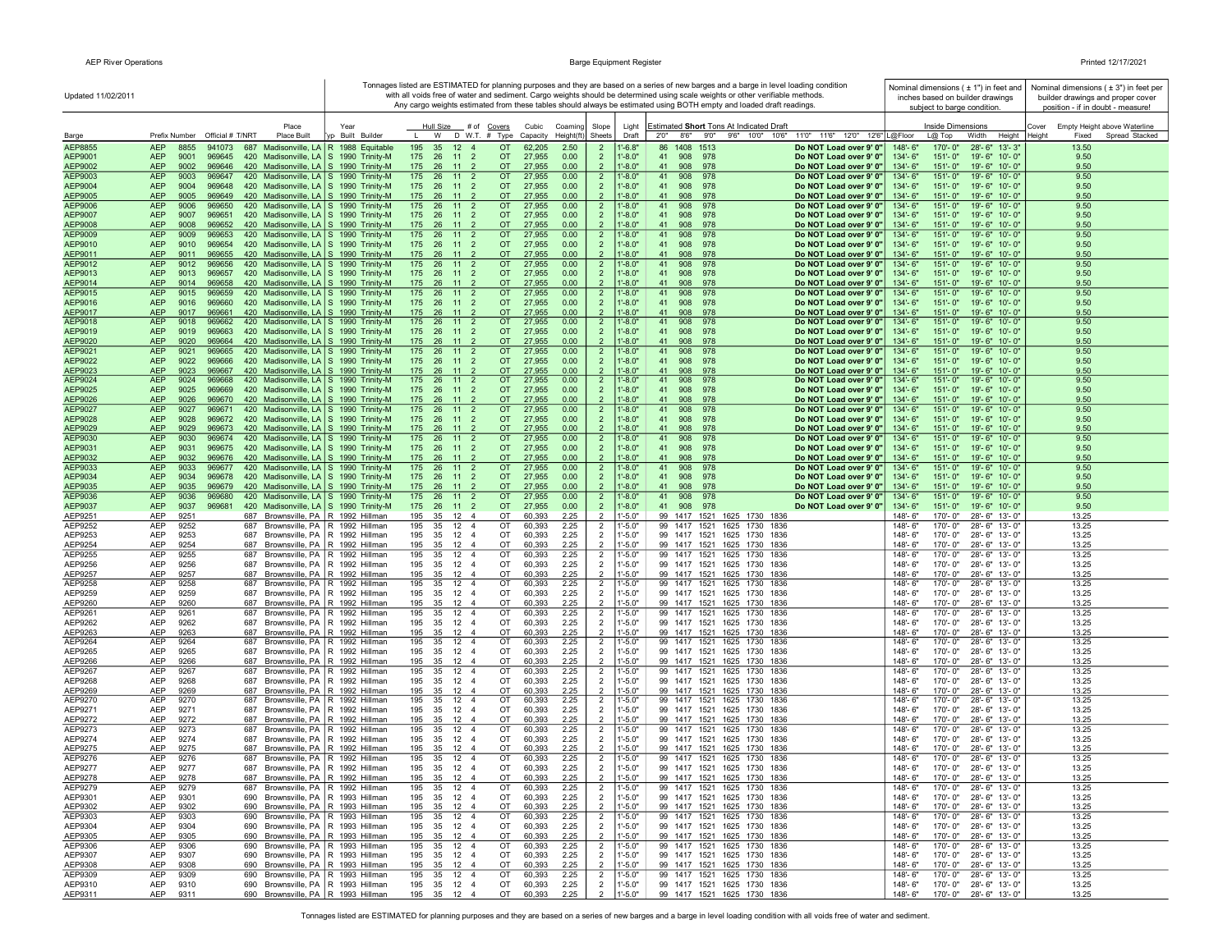| Updated 11/02/2011 |                                                                                                                                                    |                                                                      |                                                                                                  |                                  |                                  | Tonnages listed are ESTIMATED for planning purposes and they are based on a series of new barges and a barge in level loading condition<br>with all voids free of water and sediment. Cargo weights should be determined using scale weights or other verifiable methods. | Nominal dimensions (±1") in feet and<br>inches based on builder drawings              | Nominal dimensions $(±3")$ in feet per<br>builder drawings and proper cover |
|--------------------|----------------------------------------------------------------------------------------------------------------------------------------------------|----------------------------------------------------------------------|--------------------------------------------------------------------------------------------------|----------------------------------|----------------------------------|---------------------------------------------------------------------------------------------------------------------------------------------------------------------------------------------------------------------------------------------------------------------------|---------------------------------------------------------------------------------------|-----------------------------------------------------------------------------|
|                    |                                                                                                                                                    |                                                                      |                                                                                                  |                                  |                                  | Any cargo weights estimated from these tables should always be estimated using BOTH empty and loaded draft readings.                                                                                                                                                      | subject to barge condition.                                                           | position - if in doubt - measure!                                           |
|                    | Place                                                                                                                                              | Year                                                                 | Hull Size<br># of Covers                                                                         | Cubic<br>Coaming                 | Slope                            | Light<br>Estimated Short Tons At Indicated Draft                                                                                                                                                                                                                          | Inside Dimensions                                                                     | Cover<br>Empty Height above Waterline                                       |
| Barge              | Prefix Number Official # T/NRT<br><b>Place Built</b>                                                                                               | yp Built Builder                                                     | W D W.T. # Type                                                                                  | Height(ft)<br>Capacity           | Sheets                           | 9'6" 10'0" 10'6" 11'0" 11'6" 12'0" 12'6" L@Floor<br>2'0''<br>8'6"<br>9'0''<br>Draft                                                                                                                                                                                       | Height<br>$L@$ Top<br>Width                                                           | Heiaht<br>Fixed<br>Spread Stacked                                           |
| AEP8855<br>AEP9001 | <b>AEP</b><br>8855<br>941073<br>687<br><b>AEP</b><br>420 Madisonville, LA S 1990 Trinity-M<br>9001<br>969645                                       | Madisonville, LA   R 1988 Equitable                                  | 195<br>35<br>12<br>$\overline{4}$<br><b>OT</b><br>175 26<br>11<br>$\overline{2}$<br><b>OT</b>    | 2.50<br>62,205<br>27,955<br>0.00 | $\overline{2}$<br>$\overline{2}$ | 86<br>1408 1513<br>$1' - 6.8"$<br>Do NOT Load over 9' 0"<br>$1' - 8.0"$<br>41<br>908<br>978<br>Do NOT Load over 9' 0"                                                                                                                                                     | 170'-0"<br>148'-6"<br>28'-6" 13'-3'<br>$151 - 0$ "<br>134'-6"<br>19'-6" 10'-0"        | 13.50<br>9.50                                                               |
| AEP9002            | <b>AEP</b><br>9002<br>969646<br>420 Madisonville, LA   S 1990 Trinity-M                                                                            |                                                                      | 175  26  11  2<br><b>OT</b>                                                                      | 27,955<br>0.00                   | $\overline{2}$                   | $1' - 8.0"$<br>41<br>908<br>978<br>Do NOT Load over 9' 0"                                                                                                                                                                                                                 | 134'-6"<br>$151 - 0$ "<br>19'-6" 10'-0"                                               | 9.50                                                                        |
| AEP9003<br>AEP9004 | <b>AEP</b><br>9003<br>969647<br>420 Madisonville, LA S 1990 Trinity-M<br><b>AEP</b><br>969648<br>420 Madisonville, LA S 1990 Trinity-M<br>9004     |                                                                      | 175 26 11 2<br><b>OT</b><br>175 26 11 2<br>OT                                                    | 27,955<br>0.00<br>27,955<br>0.00 | $\overline{2}$<br>$\overline{2}$ | $1' - 8.0"$<br>41<br>908<br>978<br>Do NOT Load over 9' 0"<br>$1'-8.0"$<br>978<br>41<br>908<br>Do NOT Load over 9' 0"                                                                                                                                                      | 134'-6"<br>$151 - 0$ "<br>19'-6" 10'-0"<br>134'-6"<br>$151 - 0$ "<br>19'-6" 10'-0"    | 9.50<br>9.50                                                                |
| AEP9005            | <b>AEP</b><br>9005<br>969649<br>420 Madisonville, LA S 1990 Trinity-M                                                                              |                                                                      | 175  26  11  2<br><b>OT</b>                                                                      | 27,955<br>0.00                   | $\overline{2}$                   | $1'-8.0"$<br>41<br>908<br>978<br>Do NOT Load over 9' 0"                                                                                                                                                                                                                   | 134'-6"<br>$151 - 0$ "<br>19'-6" 10'-0"                                               | 9.50                                                                        |
| AEP9006            | <b>AEP</b><br>420 Madisonville, LA S 1990 Trinity-M<br>9006<br>969650                                                                              |                                                                      | 11<br>OT<br>175<br>26<br>$\overline{2}$                                                          | 27,955<br>0.00                   | $\overline{2}$                   | $1' - 8.0"$<br>41<br>978<br>908<br>Do NOT Load over 9' 0"                                                                                                                                                                                                                 | 19'-6" 10'-0"<br>134'-6"<br>$151 - 0$ "                                               | 9.50                                                                        |
| AEP9007<br>AEP9008 | <b>AEP</b><br>9007<br>969651<br>420 Madisonville, LA S 1990 Trinity-M<br><b>AEP</b><br>420 Madisonville, LA S 1990 Trinity-M<br>9008<br>969652     |                                                                      | 11<br>$\overline{2}$<br><b>OT</b><br>175<br>26<br>$\overline{2}$<br><b>OT</b><br>175<br>26 11    | 27,955<br>0.00<br>27,955<br>0.00 | $\overline{2}$<br>$\overline{2}$ | $1'-8.0"$<br>908<br>978<br>41<br>Do NOT Load over 9' 0"<br>$1' - 8.0"$<br>41<br>978<br>908<br>Do NOT Load over 9' 0"                                                                                                                                                      | 134'-6"<br>$151 - 0$ "<br>19'-6" 10'-0"<br>134'-6"<br>151'-0"<br>19'-6" 10'-0"        | 9.50<br>9.50                                                                |
| AEP9009            | <b>AEP</b><br>9009<br>969653<br>420 Madisonville, LA S 1990 Trinity-M                                                                              |                                                                      | 175<br>26<br>11<br>$\overline{2}$<br><b>OT</b>                                                   | 27,955<br>0.00                   | $\overline{2}$                   | $1' - 8.0"$<br>41<br>908<br>978<br>Do NOT Load over 9' 0"                                                                                                                                                                                                                 | 134'-6"<br>$151 - 0$ "<br>19'-6" 10'-0"                                               | 9.50                                                                        |
| AEP9010<br>AEP9011 | <b>AEP</b><br>969654<br>420 Madisonville, LA S 1990 Trinity-M<br>9010<br><b>AEP</b><br>9011<br>969655<br>420 Madisonville, LA S 1990 Trinity-M     |                                                                      | 175 26 11 2<br><b>OT</b><br>175  26  11  2<br>OT.                                                | 27,955<br>0.00<br>27,955<br>0.00 | $\overline{2}$<br>$\overline{2}$ | $1' - 8.0"$<br>978<br>41<br>908<br>Do NOT Load over 9' 0"<br>$1' - 8.0"$<br>41<br>908<br>978<br>Do NOT Load over 9' 0"                                                                                                                                                    | 134'-6"<br>$151 - 0$ "<br>19'-6" 10'-0"<br>134'-6"<br>$151 - 0$ "<br>19'-6" 10'-0"    | 9.50<br>9.50                                                                |
| AEP9012            | 420 Madisonville, LA S 1990 Trinity-M<br><b>AEP</b><br>9012<br>969656                                                                              |                                                                      | $11 2$<br><b>OT</b><br>175<br>26                                                                 | 27,955<br>0.00                   | $\overline{2}$                   | 978<br>$1' - 8.0"$<br>41<br>Do NOT Load over 9' 0"<br>908                                                                                                                                                                                                                 | 134'-6"<br>$151 - 0$ "<br>19'-6" 10'-0"                                               | 9.50                                                                        |
| AEP9013            | <b>AEP</b><br>9013<br>969657<br>420 Madisonville, LA   S 1990 Trinity-M                                                                            |                                                                      | OT.<br>175 26 11 2                                                                               | 27,955<br>0.00                   | $\overline{2}$                   | $1' - 8.0"$<br>41<br>908<br>978<br>Do NOT Load over 9' 0"                                                                                                                                                                                                                 | 134'-6"<br>$151 - 0$ "<br>$19' - 6''$ 10'-0"                                          | 9.50                                                                        |
| AEP9014<br>AEP9015 | 420 Madisonville, LA S 1990 Trinity-M<br><b>AEP</b><br>9014<br>969658<br><b>AEP</b><br>9015<br>969659<br>420 Madisonville, LA S 1990 Trinity-M     |                                                                      | 175 26 11 2<br>OT.<br>26 11 2<br><b>OT</b><br>175                                                | 27,955<br>0.00<br>27,955<br>0.00 | $\overline{2}$<br>$\overline{2}$ | $1' - 8.0"$<br>978<br>41 908<br>Do NOT Load over 9' 0"<br>$1' - 8.0"$<br>41<br>978<br>Do NOT Load over 9' 0"<br>908                                                                                                                                                       | 134'-6"<br>$151 - 0$ "<br>19'-6" 10'-0"<br>134'-6"<br>$151 - 0$ "<br>19'-6" 10'-0"    | 9.50<br>9.50                                                                |
| AEP9016            | <b>AEP</b><br>9016<br>969660<br>420 Madisonville, LA   S 1990 Trinity-M                                                                            |                                                                      | 175 26 11 2<br>OT.                                                                               | 27,955<br>0.00                   | $\overline{2}$                   | $1' - 8.0"$<br>41<br>908<br>978<br>Do NOT Load over 9' 0"                                                                                                                                                                                                                 | 134'-6"<br>$151 - 0$ "<br>19'-6" 10'-0"                                               | 9.50                                                                        |
| AEP9017<br>AEP9018 | <b>AEP</b><br>9017<br>969661<br>420 Madisonville, LA S 1990 Trinity-M<br><b>AEP</b><br>9018<br>969662<br>420 Madisonville, LA S 1990 Trinity-M     |                                                                      | 175 26 11 2<br><b>OT</b><br>$26 \quad 11 \quad 2$<br><b>OT</b><br>175                            | 27,955<br>0.00<br>27,955<br>0.00 | $\overline{2}$<br>$\overline{2}$ | $1' - 8.0"$<br>41<br>908<br>978<br>Do NOT Load over 9' 0"<br>$1' - 8.0"$<br>41<br>978<br>Do NOT Load over 9' 0"<br>908                                                                                                                                                    | 134'-6"<br>$151 - 0$ "<br>19'-6" 10'-0"<br>$151 - 0$ "<br>19'-6" 10'-0"<br>134'-6"    | 9.50<br>9.50                                                                |
| AEP9019            | <b>AEP</b><br>9019<br>969663<br>420 Madisonville, LA   S 1990 Trinity-M                                                                            |                                                                      | <b>OT</b><br>175<br>26 11<br>$\mathbf{2}$                                                        | 27,955<br>0.00                   | $\overline{2}$                   | $1' - 8.0"$<br>908<br>41<br>978<br>Do NOT Load over 9' 0"                                                                                                                                                                                                                 | 134'-6"<br>$151 - 0$ "<br>19'-6" 10'-0"                                               | 9.50                                                                        |
| AEP9020            | <b>AEP</b><br>9020<br>969664<br>420 Madisonville, LA   S 1990 Trinity-M                                                                            |                                                                      | 175<br>26<br>11<br><b>OT</b>                                                                     | 27,955<br>0.00                   |                                  | $1'-8.0"$<br>978<br>41<br>908<br>Do NOT Load over 9' 0"                                                                                                                                                                                                                   | 134'-6"<br>151'-0"<br>19'-6" 10'-0"                                                   | 9.50                                                                        |
| AEP9021<br>AEP9022 | <b>AEP</b><br>9021<br>969665<br>420 Madisonville, LA   S 1990 Trinity-M<br><b>AEP</b><br>9022<br>969666<br>420 Madisonville, LA   S 1990 Trinity-M |                                                                      | 175<br>26<br>11<br>$\overline{2}$<br><b>OT</b><br>175 26 11<br>$\overline{2}$<br><b>OT</b>       | 27,955<br>0.00<br>27,955<br>0.00 | $\overline{2}$<br>$\overline{2}$ | 978<br>$1' - 8.0"$<br>41<br>908<br>Do NOT Load over 9' 0"<br>$1' - 8.0"$<br>908<br>978<br>41<br>Do NOT Load over 9' 0"                                                                                                                                                    | 134'-6"<br>151'-0"<br>19'-6" 10'-0"<br>$151 - 0$ "<br>134'-6"<br>19'-6" 10'-0"        | 9.50<br>9.50                                                                |
| AEP9023            | <b>AEP</b><br>9023<br>969667<br>420 Madisonville, LA S 1990 Trinity-M                                                                              |                                                                      | 175<br>26<br>$-11$<br>$\overline{2}$<br><b>OT</b>                                                | 27,955<br>0.00                   |                                  | $1' - 8.0"$<br>41<br>908<br>978<br>Do NOT Load over 9' 0"                                                                                                                                                                                                                 | 134'-6"<br>$151 - 0$ "<br>19'-6" 10'-0"                                               | 9.50                                                                        |
| AEP9024<br>AEP9025 | <b>AEP</b><br>9024<br>969668<br>420 Madisonville, LA S 1990 Trinity-M<br><b>AEP</b><br>9025<br>969669<br>420 Madisonville, LA S 1990 Trinity-M     |                                                                      | 175<br>26<br>11 <sub>2</sub><br><b>OT</b><br>175  26  11  2<br>OT                                | 27,955<br>0.00<br>27,955<br>0.00 | $\overline{2}$<br>$\overline{2}$ | $1' - 8.0"$<br>41<br>908<br>978<br>Do NOT Load over 9' 0"<br>$1' - 8.0"$<br>908<br>978<br>41<br>Do NOT Load over 9' 0"                                                                                                                                                    | $134 - 6"$<br>$151 - 0$ "<br>19'-6" 10'-0"<br>$151 - 0$ "<br>134'-6"<br>19'-6" 10'-0" | 9.50<br>9.50                                                                |
| AEP9026            | <b>AEP</b><br>420 Madisonville, LA S 1990 Trinity-M<br>9026<br>969670                                                                              |                                                                      | <b>OT</b><br>175  26  11  2                                                                      | 27,955<br>0.00                   | $\mathcal{P}$                    | $1'-8.0"$<br>978<br>41<br>908<br>Do NOT Load over 9' 0"                                                                                                                                                                                                                   | 134'-6"<br>$151 - 0$ "<br>19'-6" 10'-0"                                               | 9.50                                                                        |
| AEP9027            | <b>AEP</b><br>9027<br>969671<br>420 Madisonville, LA S 1990 Trinity-M                                                                              |                                                                      | 175  26  11  2<br>OT.                                                                            | 27,955<br>0.00                   | $\overline{2}$                   | $1' - 8.0"$<br>41<br>908<br>978<br>Do NOT Load over 9' 0"                                                                                                                                                                                                                 | 134'-6"<br>$151 - 0$ "<br>19'-6" 10'-0"                                               | 9.50                                                                        |
| AEP9028<br>AEP9029 | <b>AEP</b><br>9028<br>420 Madisonville, LA S 1990 Trinity-M<br>969672<br><b>AEP</b><br>420 Madisonville, LA S 1990 Trinity-M<br>9029<br>969673     |                                                                      | 175 26 11<br>$\overline{2}$<br><b>OT</b><br>175 26 11<br>$\overline{2}$<br><b>OT</b>             | 27,955<br>0.00<br>27,955<br>0.00 | $\overline{2}$<br>$\overline{2}$ | $1' - 8.0"$<br>908<br>978<br>41<br>Do NOT Load over 9' 0"<br>$1'-8.0"$<br>41<br>908<br>978<br>Do NOT Load over 9' 0"                                                                                                                                                      | $151 - 0$ "<br>134'-6"<br>19'-6" 10'-0"<br>134'-6"<br>$151 - 0$ "<br>19'-6" 10'-0"    | 9.50<br>9.50                                                                |
| AEP9030            | <b>AEP</b><br>9030<br>969674<br>420 Madisonville, LA S 1990 Trinity-M                                                                              |                                                                      | 175<br>26 11<br>$\overline{2}$<br><b>OT</b>                                                      | 27,955<br>0.00                   | $\overline{2}$                   | $1' - 8.0"$<br>41<br>908<br>978<br>Do NOT Load over 9' 0"                                                                                                                                                                                                                 | 134'-6"<br>$151 - 0$ "<br>19'-6" 10'-0"                                               | 9.50                                                                        |
| AEP9031<br>AEP9032 | <b>AEP</b><br>9031<br>969675<br>420 Madisonville, LA S 1990 Trinity-M<br><b>AEP</b><br>420 Madisonville, LA S 1990 Trinity-M<br>9032<br>969676     |                                                                      | 175<br>26<br>11<br>$\overline{2}$<br><b>OT</b><br>$\overline{2}$<br><b>OT</b><br>175<br>26<br>11 | 27,955<br>0.00<br>27,955<br>0.00 | $\overline{2}$<br>$\overline{2}$ | $1' - 8.0"$<br>41<br>908<br>978<br>Do NOT Load over 9' 0"<br>$1' - 8.0"$<br>41<br>908<br>978<br>Do NOT Load over 9' 0"                                                                                                                                                    | 134'-6"<br>$151 - 0$ "<br>19'-6" 10'-0"<br>134'-6"<br>$151 - 0$ "<br>19'-6" 10'-0"    | 9.50<br>9.50                                                                |
| AEP9033            | <b>AEP</b><br>9033<br>969677<br>420 Madisonville, LA   S 1990 Trinity-M                                                                            |                                                                      | 11<br>$\overline{2}$<br>175<br>26<br><b>OT</b>                                                   | 27,955<br>0.00                   | $\overline{2}$                   | 41<br>978<br>$1' - 8.0"$<br>908<br>Do NOT Load over 9' 0"                                                                                                                                                                                                                 | 134'-6"<br>$151 - 0$ "<br>19'-6" 10'-0"                                               | 9.50                                                                        |
| AEP9034<br>AEP9035 | <b>AEP</b><br>9034<br>969678<br>420 Madisonville, LA S 1990 Trinity-M<br><b>AEP</b><br>420 Madisonville, LA S 1990 Trinity-M<br>9035<br>969679     |                                                                      | 175<br>26<br>11<br>$\overline{2}$<br><b>OT</b><br>11 <sub>2</sub><br>175<br>26<br><b>OT</b>      | 27,955<br>0.00<br>27,955<br>0.00 | $\overline{2}$<br>$\overline{2}$ | $1'-8.0"$<br>908<br>978<br>Do NOT Load over 9' 0"<br>41<br>$1' - 8.0"$<br>41<br>908<br>978<br>Do NOT Load over 9' 0"                                                                                                                                                      | $151 - 0$ "<br>134'-6"<br>19'-6" 10'-0"<br>134'-6"<br>$151 - 0$ "<br>19'-6" 10'-0"    | 9.50<br>9.50                                                                |
| AEP9036            | <b>AEP</b><br>9036<br>969680<br>420 Madisonville, LA S 1990 Trinity-M                                                                              |                                                                      | 175<br>26<br>11 <sub>2</sub><br><b>OT</b>                                                        | 27,955<br>0.00                   | $\overline{2}$                   | $1' - 8.0"$<br>41<br>908<br>978<br>Do NOT Load over 9' 0"                                                                                                                                                                                                                 | 134'-6"<br>$151 - 0$ "<br>19'-6" 10'-0"                                               | 9.50                                                                        |
| AEP9037            | <b>AEP</b><br>969681<br>420 Madisonville, LA S 1990 Trinity-M<br>9037<br>AEP<br>9251<br>687 Brownsville, PA   R 1992 Hillman                       |                                                                      | 175  26  11  2<br>OT.<br>OT<br>195                                                               | 27,955<br>0.00<br>2.25           | $\overline{2}$<br>$\overline{2}$ | $1' - 8.0"$<br>978<br>41 908<br>Do NOT Load over 9' 0"<br>$1'-5.0"$<br>99 1417 1521 1625 1730 1836                                                                                                                                                                        | 134'-6"<br>$151 - 0$ "<br>19'-6" 10'-0"<br>148'-6"                                    | 9.50<br>13.25                                                               |
| AEP9251<br>AEP9252 | 9252<br>AEP<br>687                                                                                                                                 | Brownsville, PA R 1992 Hillman                                       | 35<br>12 4<br>$12 \quad 4$<br>195<br>35<br>OT                                                    | 60,393<br>2.25<br>60,393         | $\overline{2}$                   | $1' - 5.0"$<br>99 1417 1521 1625 1730 1836                                                                                                                                                                                                                                | 170'-0"<br>28'-6" 13'-0"<br>148'-6"<br>170'-0"<br>28'-6" 13'-0"                       | 13.25                                                                       |
| AEP9253            | AEP<br>Brownsville, PA<br>9253<br>687                                                                                                              | R 1992 Hillman                                                       | 195<br>12<br>35<br>$\overline{4}$<br>OT                                                          | 60,393<br>2.25                   | $\overline{2}$                   | $1' - 5.0"$<br>99 1417 1521 1625 1730 1836                                                                                                                                                                                                                                | $148 - 6$<br>170'-0"<br>28'-6" 13'-0"                                                 | 13.25                                                                       |
| AEP9254<br>AEP9255 | AEP<br>9254<br>687<br>AEP<br>9255<br>687                                                                                                           | Brownsville, PA R 1992 Hillman<br>Brownsville, PA   R 1992 Hillman   | 35 12 4<br>195<br>OT<br>195<br>35<br>12<br>$\overline{4}$<br>OT                                  | 60,393<br>2.25<br>60,393<br>2.25 | $\overline{2}$<br>$\overline{2}$ | $1' - 5.0"$<br>99 1417 1521 1625 1730 1836<br>$1' - 5.0"$<br>99 1417 1521 1625 1730<br>1836                                                                                                                                                                               | 148'-6"<br>28'-6" 13'-0"<br>170'-0"<br>148'-6"<br>170'-0"<br>28'-6" 13'-0"            | 13.25<br>13.25                                                              |
| AEP9256            | AEP<br>9256<br>Brownsville, PA<br>687                                                                                                              | R 1992 Hillman                                                       | 12<br>195<br>35<br>$\overline{4}$<br>OT                                                          | 60,393<br>2.25                   | $\overline{2}$                   | $1'-5.0"$<br>99 1417 1521 1625 1730<br>1836                                                                                                                                                                                                                               | 148'-6"<br>170'-0"<br>28'-6" 13'-0"                                                   | 13.25                                                                       |
| AEP9257<br>AEP9258 | AEP<br>9257<br>687<br>Brownsville, PA<br>AEP<br>9258<br>687                                                                                        | R 1992 Hillman<br>Brownsville, PA   R 1992 Hillman                   | 12<br>OT<br>195<br>35<br>$\overline{4}$<br>12<br>195<br>35<br>$\overline{4}$<br>OT               | 60,393<br>2.25<br>2.25<br>60,393 | $\overline{2}$<br>$\overline{2}$ | $1' - 5.0"$<br>99 1417 1521 1625 1730 1836<br>$1' - 5.0"$<br>99 1417 1521 1625 1730<br>1836                                                                                                                                                                               | 148'-6"<br>170'-0"<br>28'-6" 13'-0"<br>148'-6"<br>170'-0"<br>28'-6" 13'-0"            | 13.25<br>13.25                                                              |
| AEP9259            | AEP<br>9259<br>687<br>Brownsville, PA                                                                                                              | R 1992 Hillman                                                       | 195<br>35<br>12<br>$\overline{4}$<br>OT                                                          | 60,393<br>2.25                   | $\overline{2}$                   | $1'-5.0"$<br>99 1417 1521 1625 1730<br>1836                                                                                                                                                                                                                               | 148'-6"<br>170'-0"<br>28'-6" 13'-0"                                                   | 13.25                                                                       |
| AEP9260<br>AEP9261 | AEP<br>9260<br>Brownsville, PA<br>687<br><b>AEP</b><br>9261<br>687                                                                                 | R 1992 Hillman<br>Brownsville, PA   R 1992 Hillman                   | 195<br>35<br>12<br>OT<br>$\overline{4}$<br>195<br>35<br>12<br>$\overline{4}$<br>OT               | 60,393<br>2.25<br>60,393<br>2.25 | $\overline{2}$                   | $1' - 5.0"$<br>99 1417 1521 1625 1730 1836<br>$1' - 5.0"$<br>99 1417 1521 1625 1730<br>1836                                                                                                                                                                               | 148'-6"<br>170'-0"<br>28'-6" 13'-0"<br>148'-6"<br>170'-0"<br>28'-6" 13'-0"            | 13.25<br>13.25                                                              |
| AEP9262            | AEP<br>9262<br>687                                                                                                                                 | Brownsville, PA   R 1992 Hillman                                     | 195<br>35<br>12<br>$\overline{4}$<br>OT                                                          | 60,393<br>2.25                   | $\overline{2}$<br>$\overline{2}$ | $1' - 5.0"$<br>99 1417 1521 1625 1730<br>1836                                                                                                                                                                                                                             | 148'-6"<br>170'-0"<br>28'-6" 13'-0"                                                   | 13.25                                                                       |
| AEP9263            | AEP<br>9263<br>687 Brownsville, PA   R 1992 Hillman                                                                                                |                                                                      | 195<br>35 12<br>OT<br>$\overline{4}$                                                             | 60,393<br>2.25                   | $\overline{2}$                   | $1'-5.0"$<br>99 1417 1521 1625 1730 1836                                                                                                                                                                                                                                  | 148'-6"<br>170'-0"<br>28'-6" 13'-0"                                                   | 13.25                                                                       |
| AEP9264<br>AEP9265 | AEP<br>9264<br>687<br>AEP<br>9265<br>687                                                                                                           | Brownsville, PA   R 1992 Hillman<br>Brownsville, PA   R 1992 Hillman | $12 \quad 4$<br>OT<br>195<br>35<br>195<br>35 12<br>$\overline{4}$<br>OT                          | 2.25<br>60,393<br>2.25<br>60,393 | $\overline{2}$<br>$\overline{2}$ | 99 1417 1521 1625 1730 1836<br>$1' - 5.0"$<br>$1' - 5.0"$<br>99 1417 1521 1625 1730 1836                                                                                                                                                                                  | 170'-0"<br>148'-6"<br>28'-6" 13'-0"<br>148'-6"<br>170'-0"<br>28'-6" 13'-0"            | 13.25<br>13.25                                                              |
| AEP9266            | AEP<br>9266<br>687                                                                                                                                 | Brownsville, PA R 1992 Hillman                                       | 35 12<br>OT<br>195<br>$\overline{4}$                                                             | 60,393<br>2.25                   | 2                                | $1' - 5.0"$<br>99 1417 1521 1625 1730 1836                                                                                                                                                                                                                                | 148'-6"<br>170'-0"<br>28'-6" 13'-0"                                                   | 13.25                                                                       |
| AEP9267<br>AEP9268 | AEP<br>9267<br>687<br>AEP<br>9268<br>687                                                                                                           | Brownsville, PA R 1992 Hillman<br>Brownsville, PA R 1992 Hillman     | 12<br>OT<br>195<br>35<br>$\overline{4}$<br>195<br>35 12<br>$\overline{4}$<br>OT                  | 2.25<br>60,393<br>60,393<br>2.25 | $\overline{2}$<br>$\overline{2}$ | 99 1417 1521 1625 1730 1836<br>$1' - 5.0"$<br>$1' - 5.0"$<br>99 1417 1521 1625 1730 1836                                                                                                                                                                                  | 148'-6"<br>170'-0"<br>28'-6" 13'-0"<br>148'-6"<br>170'-0"<br>28'-6" 13'-0"            | 13.25<br>13.25                                                              |
| AEP9269            | AEP<br>9269<br>687                                                                                                                                 | Brownsville, PA R 1992 Hillman                                       | 195<br>35<br>12<br>OT<br>$\overline{4}$                                                          | 2.25<br>60,393                   | $\overline{2}$                   | $1'-5.0"$<br>99 1417 1521 1625 1730 1836                                                                                                                                                                                                                                  | 148'-6"<br>170'-0"<br>28'-6" 13'-0"                                                   | 13.25                                                                       |
| AEP9270            | AEP<br>9270<br>687<br>AEP<br>9271<br>687<br>Brownsville, PA                                                                                        | Brownsville, PA   R 1992 Hillman<br>R 1992 Hillman                   | 12<br>195<br>35<br>$\overline{4}$<br>OT<br>195<br>35<br>12<br>$\overline{4}$<br>OT               | 2.25<br>60,393                   | $\overline{2}$<br>$\overline{2}$ | $1' - 5.0"$<br>99 1417 1521 1625 1730 1836<br>$1'-5.0"$                                                                                                                                                                                                                   | 148'-6"<br>170'-0"<br>28'-6" 13'-0"<br>148'-6"<br>170'-0"<br>28'-6" 13'-0"            | 13.25<br>13.25                                                              |
| AEP9271<br>AEP9272 | AEP<br>9272<br>687                                                                                                                                 | Brownsville, PA   R 1992 Hillman                                     | 195<br>35<br>12<br>OT<br>$\overline{4}$                                                          | 60,393<br>2.25<br>60,393<br>2.25 | $\overline{2}$                   | 99 1417 1521 1625 1730 1836<br>$1' - 5.0"$<br>99 1417 1521 1625 1730 1836                                                                                                                                                                                                 | 148'-6"<br>170'-0"<br>28'-6" 13'-0"                                                   | 13.25                                                                       |
| AEP9273            | AEP<br>9273<br>687                                                                                                                                 | Brownsville, PA R 1992 Hillman                                       | 195<br>35<br>12<br>$\overline{4}$<br>OT                                                          | 2.25<br>60,393                   | $\overline{2}$                   | $1' - 5.0"$<br>99 1417 1521 1625 1730 1836                                                                                                                                                                                                                                | 148'-6"<br>170'-0"<br>28'-6" 13'-0"                                                   | 13.25                                                                       |
| AEP9274<br>AEP9275 | AEP<br>9274<br>687 Brownsville, PA   R 1992 Hillman<br><b>AEP</b><br>9275<br>687 Brownsville, PA   R 1992 Hillman                                  |                                                                      | 195<br>35<br>12<br>$\overline{4}$<br>OT<br>OT<br>195<br>35<br>12<br>$\overline{4}$               | 60,393<br>2.25<br>60,393<br>2.25 | $\overline{2}$<br>$\overline{2}$ | $1' - 5.0"$<br>99 1417 1521 1625 1730 1836<br>$1' - 5.0"$<br>99 1417 1521 1625 1730 1836                                                                                                                                                                                  | 170'-0"<br>$148 - 6"$<br>28'-6" 13'-0"<br>148'-6"<br>170'-0"<br>28'-6" 13'-0"         | 13.25<br>13.25                                                              |
| AEP9276            | <b>AEP</b><br>9276<br>687 Brownsville, PA   R 1992 Hillman                                                                                         |                                                                      | 195<br>35<br>12<br>$\overline{4}$<br>OT                                                          | 60,393<br>2.25                   | $\overline{2}$                   | $1' - 5.0"$<br>99 1417 1521 1625 1730 1836                                                                                                                                                                                                                                | 148'-6"<br>170'-0"<br>28'-6" 13'-0"                                                   | 13.25                                                                       |
| AEP9277<br>AEP9278 | AEP<br>9277<br>687 Brownsville, PA   R 1992 Hillman<br><b>AEP</b><br>687 Brownsville, PA R 1992 Hillman<br>9278                                    |                                                                      | 195 35 12 4<br>OT<br>195 35 12 4<br>OT                                                           | 2.25<br>60,393<br>2.25<br>60.393 | $\overline{2}$<br>2              | $1' - 5.0"$<br>99 1417 1521 1625 1730 1836<br>$1' - 5.0"$<br>99 1417 1521 1625 1730 1836                                                                                                                                                                                  | 148'-6"<br>170'-0" 28'-6" 13'-0"<br>148'-6"<br>170'-0" 28'-6" 13'-0"                  | 13.25<br>13.25                                                              |
| AEP9279            | 687 Brownsville, PA   R 1992 Hillman<br>AEP<br>9279                                                                                                |                                                                      | 195<br>35<br>12<br>OT<br>-4                                                                      | 60,393<br>2.25                   | $\overline{2}$                   | 99 1417 1521 1625 1730 1836<br>$1' - 5.0'$                                                                                                                                                                                                                                | 148'-6"<br>170'-0" 28'-6" 13'-0"                                                      | 13.25                                                                       |
| AEP9301<br>AEP9302 | AEP<br>9301<br>690 Brownsville, PA   R 1993 Hillman<br>AEP<br>9302<br>690 Brownsville, PA   R 1993 Hillman                                         |                                                                      | 195<br>35<br>12<br>OT<br>$\overline{4}$<br>195<br>35<br>12<br>$\overline{4}$<br>OT               | 60,393<br>2.25<br>60,393<br>2.25 | $\overline{2}$<br>$\overline{2}$ | $1' - 5.0"$<br>99 1417 1521 1625 1730 1836<br>99 1417 1521 1625 1730 1836<br>$1' - 5.0"$                                                                                                                                                                                  | 148'-6"<br>170'-0" 28'-6" 13'-0"<br>148'-6"<br>170'-0"<br>28'-6" 13'-0"               | 13.25<br>13.25                                                              |
| AEP9303            | 690 Brownsville, PA R 1993 Hillman<br>AEP<br>9303                                                                                                  |                                                                      | 195<br>35 12 4<br>OT                                                                             | 2.25<br>60,393                   | $\overline{2}$                   | 99 1417 1521 1625 1730 1836<br>$1'-5.0"$                                                                                                                                                                                                                                  | 148'-6"<br>170'-0"<br>28'-6" 13'-0"                                                   | 13.25                                                                       |
| AEP9304            | 690 Brownsville, PA   R 1993 Hillman<br>AEP<br>9304<br>690 Brownsville, PA R 1993 Hillman                                                          |                                                                      | 35 12<br>OT<br>195<br>$\overline{4}$                                                             | 60,393<br>2.25                   | $\overline{2}$                   | $1' - 5.0"$<br>99 1417 1521 1625 1730 1836                                                                                                                                                                                                                                | 170'-0"<br>148'- 6"<br>28'-6" 13'-0"                                                  | 13.25                                                                       |
| AEP9305<br>AEP9306 | AEP<br>9305<br>AEP<br>9306<br>690 Brownsville, PA R 1993 Hillman                                                                                   |                                                                      | 35 12<br>195<br>$\overline{4}$<br>OT<br>195<br>35<br>$12 \quad 4$<br>OT                          | 60,393<br>2.25<br>60,393<br>2.25 | $\overline{2}$<br>$\overline{2}$ | $1'-5.0"$<br>99 1417 1521 1625 1730 1836<br>$1' - 5.0"$<br>99 1417 1521 1625 1730 1836                                                                                                                                                                                    | 170'-0"<br>148'- 6"<br>28'-6" 13'-0"<br>148'-6"<br>170'-0"<br>28'-6" 13'-0"           | 13.25<br>13.25                                                              |
| AEP9307            | AEP<br>9307<br>690 Brownsville, PA   R 1993 Hillman                                                                                                |                                                                      | 195<br>35 12 4<br>OT                                                                             | 60,393<br>2.25                   | $\overline{2}$                   | $1' - 5.0"$<br>99 1417 1521 1625 1730 1836                                                                                                                                                                                                                                | 148'-6"<br>170'-0"<br>28'-6" 13'-0"                                                   | 13.25                                                                       |
| AEP9308<br>AEP9309 | AEP<br>9308<br>690 Brownsville, PA   R 1993 Hillman<br>AEP<br>690 Brownsville, PA R 1993 Hillman<br>9309                                           |                                                                      | 195<br>35 12 4<br>OT<br>195<br>35 12 4<br>OT                                                     | 60,393<br>2.25<br>2.25<br>60,393 | $\overline{2}$<br>$\overline{2}$ | $1' - 5.0"$<br>99 1417 1521 1625 1730 1836<br>$1'-5.0"$<br>99 1417 1521 1625 1730 1836                                                                                                                                                                                    | 148'-6"<br>170'-0"<br>28'-6" 13'-0"<br>170'-0"<br>148'-6"<br>28'-6" 13'-0"            | 13.25<br>13.25                                                              |
| AEP9310            | 690 Brownsville, PA R 1993 Hillman<br>AEP<br>9310                                                                                                  |                                                                      | 195 35 12 4<br>OT                                                                                | 2.25<br>60,393                   | $\overline{2}$                   | $1' - 5.0"$<br>99 1417 1521 1625 1730 1836                                                                                                                                                                                                                                | 170'-0" 28'-6" 13'-0"<br>148'- 6"                                                     | 13.25                                                                       |
| AEP9311            | AEP<br>9311<br>690 Brownsville, PA   R 1993 Hillman                                                                                                |                                                                      | 195 35 12 4<br>OT                                                                                | 2.25<br>60,393                   | $\overline{2}$                   | $1' - 5.0"$<br>99 1417 1521 1625 1730 1836                                                                                                                                                                                                                                | 148'-6" 170'-0" 28'-6" 13'-0"                                                         | 13.25                                                                       |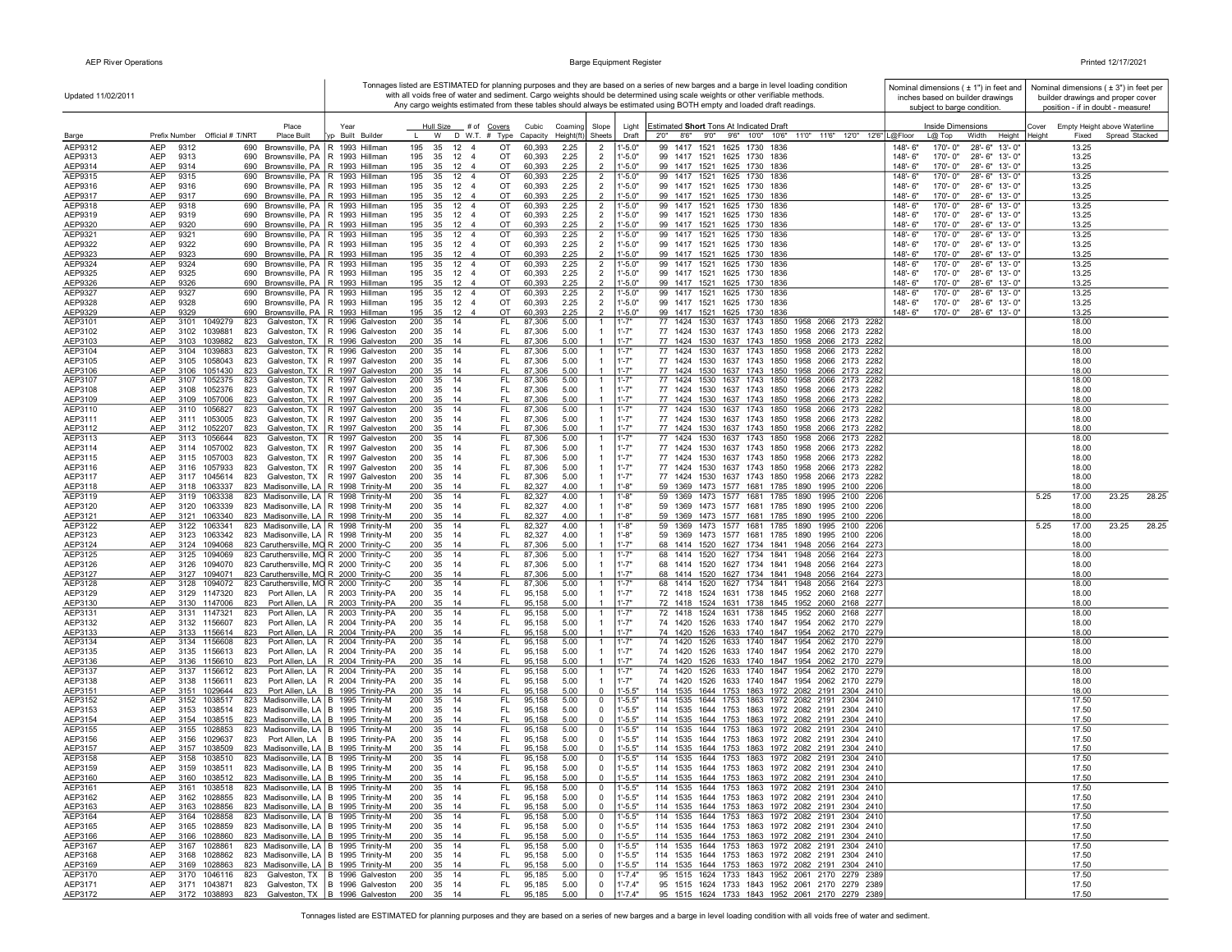| Updated 11/02/2011 |                                   |                                            |                                                                                             |                          |              |                        |                              |                                          |                   |                       |                                  |                                 | Tonnages listed are ESTIMATED for planning purposes and they are based on a series of new barges and a barge in level loading condition<br>with all voids free of water and sediment. Cargo weights should be determined using scale weights or other verifiable methods.<br>Any cargo weights estimated from these tables should always be estimated using BOTH empty and loaded draft readings. |                       | Nominal dimensions ( $\pm$ 1") in feet and<br>inches based on builder drawings<br>subject to barge condition. |                                              |                | Nominal dimensions $(± 3")$ in feet per<br>builder drawings and proper cover<br>position - if in doubt - measure! |
|--------------------|-----------------------------------|--------------------------------------------|---------------------------------------------------------------------------------------------|--------------------------|--------------|------------------------|------------------------------|------------------------------------------|-------------------|-----------------------|----------------------------------|---------------------------------|---------------------------------------------------------------------------------------------------------------------------------------------------------------------------------------------------------------------------------------------------------------------------------------------------------------------------------------------------------------------------------------------------|-----------------------|---------------------------------------------------------------------------------------------------------------|----------------------------------------------|----------------|-------------------------------------------------------------------------------------------------------------------|
| Barge              |                                   | Prefix Number Official # T/NRT             | Place<br>Place Built                                                                        | Year<br>yp Built Builder | $\mathbf{L}$ |                        |                              | Hull Size # of Covers<br>W D W.T. # Type | Cubic<br>Capacity | Coaming<br>Height(ft) | Slope<br>Sheets                  | Light<br>Draft                  | Estimated Short Tons At Indicated Draft<br>2'0''<br>8'6" 9'0" 9'6" 10'0" 10'6"<br>11'0" 11'6" 12'0" 12'6" L@Floor                                                                                                                                                                                                                                                                                 |                       | Inside Dimensions<br>$L@$ Top<br>Width<br>Height                                                              | Cover Empty Height above Waterline<br>Height | Fixed          | Spread Stacked                                                                                                    |
| AEP9312            | <b>AEP</b><br>9312                | 690                                        | Brownsville, PA   R 1993 Hillman                                                            |                          | 195          | 35                     | $12 \quad 4$                 | OT                                       | 60,393            | 2.25                  | $\overline{2}$                   | $1 - 5.0"$                      | 99 1417 1521 1625 1730 1836                                                                                                                                                                                                                                                                                                                                                                       | 148'-6"               | 28'-6" 13'-0"<br>170'-0"                                                                                      |                                              | 13.25          |                                                                                                                   |
| AEP9313<br>AEP9314 | AEP<br>9313<br>AEP<br>9314        | 690                                        | Brownsville, PA   R 1993 Hillman                                                            |                          | 195<br>195   | 35<br>35 12            | $12 \quad 4$<br>-4           | OT<br>OT                                 | 60,393            | 2.25<br>2.25          | $\overline{2}$<br>$\overline{2}$ | $1 - 5.0"$<br>$1 - 5.0"$        | 99 1417 1521 1625 1730 1836<br>99 1417 1521 1625 1730 1836                                                                                                                                                                                                                                                                                                                                        | 148'-6"<br>$148 - 6'$ | 170'-0"<br>28'-6" 13'-0"<br>170'-0" 28'-6" 13'-0"                                                             | 13.25<br>13.25                               |                |                                                                                                                   |
| AEP9315            | AEP<br>9315                       | 690                                        | 690 Brownsville, PA   R 1993 Hillman<br>Brownsville, PA   R 1993 Hillman                    |                          | 195          |                        | 35 12 4                      | OT                                       | 60,393<br>60,393  | 2.25                  | $\overline{2}$                   | 1'-5.0"                         | 99 1417 1521 1625 1730 1836                                                                                                                                                                                                                                                                                                                                                                       | 148'-6"               | 170'-0"<br>28'-6" 13'-0"                                                                                      |                                              | 13.25          |                                                                                                                   |
| AEP9316            | AEP<br>9316                       |                                            | 690 Brownsville, PA   R 1993 Hillman                                                        |                          | 195          |                        | 35 12 4                      | OT                                       | 60,393            | 2.25                  | $\overline{2}$                   | $1 - 5.0"$                      | 99 1417 1521 1625 1730 1836                                                                                                                                                                                                                                                                                                                                                                       | 148'-6"               | 170'-0" 28'-6" 13'-0"                                                                                         |                                              | 13.25          |                                                                                                                   |
| AEP9317            | AEP<br>9317                       | 690                                        | 690 Brownsville, PA   R 1993 Hillman<br>Brownsville, PA R 1993 Hillman                      |                          |              |                        | 195 35 12 4                  | OT                                       | 60,393            | 2.25                  | 2                                | $1' - 5.0"$                     | 99 1417 1521 1625 1730 1836                                                                                                                                                                                                                                                                                                                                                                       | 148'-6"<br>148'-6"    | 170'-0" 28'-6" 13'-0"                                                                                         |                                              | 13.25          |                                                                                                                   |
| AEP9318<br>AEP9319 | AEP<br>9318<br>AEP<br>9319        |                                            | 690 Brownsville, PA   R 1993 Hillman                                                        |                          | 195<br>195   | 35<br>35               | $12 \quad 4$<br>$12 \quad 4$ | OT<br>OT                                 | 60,393<br>60,393  | 2.25<br>2.25          | $\overline{2}$<br>$\overline{2}$ | $1 - 5.0"$<br>$1 - 5.0"$        | 99 1417 1521 1625 1730 1836<br>99 1417 1521 1625 1730 1836                                                                                                                                                                                                                                                                                                                                        | 148'-6"               | 170'-0"<br>28'-6" 13'-0"<br>170'-0" 28'-6" 13'-0"                                                             |                                              | 13.25<br>13.25 |                                                                                                                   |
| AEP9320            | AEP<br>9320                       |                                            | 690 Brownsville, PA R 1993 Hillman                                                          |                          | 195          | 35                     | $12 \quad 4$                 | OT                                       | 60,393            | 2.25                  | $\overline{2}$                   | $1 - 5.0"$                      | 99 1417 1521 1625 1730 1836                                                                                                                                                                                                                                                                                                                                                                       | 148'-6"               | 170'-0"<br>28'-6" 13'-0"                                                                                      |                                              | 13.25          |                                                                                                                   |
| AEP9321<br>AEP9322 | AEP<br>9321<br>AEP<br>9322        | 690<br>690                                 | Brownsville, PA   R 1993 Hillman<br>Brownsville, PA   R 1993 Hillman                        |                          | 195<br>195   | 35                     | 35 12 4<br>$12 \quad 4$      | ОT<br>ОT                                 | 60,393<br>60,393  | 2.25<br>2.25          | $\overline{2}$<br>$\overline{2}$ | $1^{\circ}$ -5.0"<br>$1 - 5.0"$ | 99 1417 1521 1625 1730 1836<br>99 1417 1521 1625 1730 1836                                                                                                                                                                                                                                                                                                                                        | 148'-6"<br>148'-6"    | 28'-6" 13'-0"<br>170'-0"<br>170'-0"<br>28'-6" 13'-0"                                                          |                                              | 13.25<br>13.25 |                                                                                                                   |
| AEP9323            | AEP<br>9323                       |                                            | 690 Brownsville, PA   R 1993 Hillman                                                        |                          | 195          | 35                     | 12 4                         | OT                                       | 60,393            | 2.25                  | $\overline{2}$                   | $1 - 5.0"$                      | 99 1417 1521 1625 1730 1836                                                                                                                                                                                                                                                                                                                                                                       | 148'-6"               | 170'-0"<br>28'-6" 13'-0"                                                                                      |                                              | 13.25          |                                                                                                                   |
| AEP9324            | <b>AEP</b><br>9324                | 690                                        | Brownsville, PA   R 1993 Hillman                                                            |                          | 195          | 35                     | $12 \quad 4$                 | OT                                       | 60,393            | 2.25                  | $\overline{2}$                   | $1 - 5.0"$                      | 99 1417 1521 1625 1730 1836                                                                                                                                                                                                                                                                                                                                                                       | 148'-6"               | 170'-0"<br>28'-6" 13'-0"                                                                                      |                                              | 13.25          |                                                                                                                   |
| AEP9325<br>AEP9326 | AEP<br>9325<br>AEP<br>9326        |                                            | 690 Brownsville, PA   R 1993 Hillman<br>690 Brownsville, PA   R 1993 Hillman                |                          | 195<br>195   |                        | 35 12 4<br>35 12 4           | OT<br>OT                                 | 60,393<br>60,393  | 2.25<br>2.25          | $\overline{2}$<br>$\overline{2}$ | $1' - 5.0"$<br>$1 - 5.0"$       | 99 1417 1521 1625 1730 1836<br>99 1417 1521 1625 1730 1836                                                                                                                                                                                                                                                                                                                                        | 148'-6"<br>148'-6"    | 170'-0" 28'-6" 13'-0"<br>170'-0" 28'-6" 13'-0"                                                                | 13.25                                        | 13.25          |                                                                                                                   |
| AEP9327            | AEP<br>9327                       | 690                                        | Brownsville, PA   R 1993 Hillman                                                            |                          | 195          | 35                     | $12 \quad 4$                 | OT                                       | 60,393            | 2.25                  | $\overline{2}$                   | 1'-5.0"                         | 99 1417 1521 1625 1730 1836                                                                                                                                                                                                                                                                                                                                                                       | 148'-6"               | 170'-0" 28'-6" 13'-0"                                                                                         |                                              | 13.25          |                                                                                                                   |
| AEP9328            | AEP<br>9328                       | 690                                        | Brownsville, PA R 1993 Hillman                                                              |                          | 195          |                        | 35 12 4                      | OT                                       | 60,393            | 2.25                  | $\overline{2}$                   | $1' - 5.0"$                     | 99 1417 1521 1625 1730 1836                                                                                                                                                                                                                                                                                                                                                                       | 148'-6"               | 170'-0" 28'-6" 13'-0"                                                                                         | 13.25                                        |                |                                                                                                                   |
| AEP9329<br>AEP3101 | AEP<br>9329<br>AEP<br>3101        | 690<br>1049279<br>823                      | Brownsville, PA   R 1993 Hillman<br>Galveston, TX   R 1996 Galveston                        |                          | 195<br>200   | 35 14                  | 35 12 4                      | OT<br>FL.                                | 60,393<br>87,306  | 2.25<br>5.00          | 2<br>$\mathbf{1}$                | $1' - 5.0"$<br>1'-7"            | 99 1417 1521 1625 1730 1836<br>77 1424 1530 1637 1743 1850 1958 2066 2173 2282                                                                                                                                                                                                                                                                                                                    | 148'-6"               | 170'-0" 28'-6" 13'-0"                                                                                         |                                              | 13.25<br>18.00 |                                                                                                                   |
| AEP3102            | AEP<br>3102                       | 1039881<br>823                             | Galveston, TX   R 1996 Galveston                                                            |                          | 200          | 35 14                  |                              | FL.                                      | 87,306            | 5.00                  |                                  | $1' - 7"$                       | 77 1424 1530 1637 1743 1850 1958 2066 2173 2282                                                                                                                                                                                                                                                                                                                                                   |                       |                                                                                                               | 18.00                                        |                |                                                                                                                   |
| AEP3103            | AEP<br>3103                       | 1039882<br>823                             | Galveston, TX   R 1996 Galveston                                                            |                          | 200          | 35                     | 14                           | FL                                       | 87,306            | 5.00                  | $\mathbf{1}$                     | $1' - 7"$                       | 77 1424 1530 1637 1743 1850 1958 2066 2173 2282                                                                                                                                                                                                                                                                                                                                                   |                       |                                                                                                               |                                              | 18.00          |                                                                                                                   |
| AEP3104<br>AEP3105 | AEP<br>3104<br>AEP<br>3105        | 1039883<br>823<br>1058043<br>823           | Galveston, TX   R 1996 Galveston<br>Galveston, TX   R 1997 Galveston                        |                          | 200<br>200   | 35<br>35 14            | 14                           | FL<br>FL.                                | 87,306<br>87,306  | 5.00<br>5.00          | $\overline{1}$<br>$\mathbf{1}$   | 1'.7''<br>$1' - 7"$             | 77 1424 1530 1637 1743 1850 1958 2066 2173 2282<br>77 1424 1530 1637 1743 1850 1958 2066 2173 2282                                                                                                                                                                                                                                                                                                |                       |                                                                                                               | 18.00                                        | 18.00          |                                                                                                                   |
| AEP3106            | AEP<br>3106                       | 1051430<br>823                             | Galveston, TX   R 1997 Galveston                                                            |                          | 200          | 35                     | -14                          | FL                                       | 87,306            | 5.00                  |                                  | $1' - 7"$                       | 77 1424 1530 1637 1743 1850 1958 2066 2173 2282                                                                                                                                                                                                                                                                                                                                                   |                       |                                                                                                               | 18.00                                        |                |                                                                                                                   |
| AEP3107            | AEP<br>3107                       | 1052375<br>823                             | Galveston, TX   R 1997 Galveston<br>Galveston, TX R 1997 Galveston                          |                          | 200<br>200   | 35<br>35 14            | 14                           | FL.<br>FL.                               | 87,306            | 5.00                  | $\mathbf{1}$<br>$\mathbf{1}$     | 1'.7''<br>$1' - 7"$             | 77 1424 1530 1637 1743 1850 1958 2066 2173 2282<br>77 1424 1530 1637 1743 1850 1958 2066 2173 2282                                                                                                                                                                                                                                                                                                |                       |                                                                                                               | 18.00                                        |                |                                                                                                                   |
| AEP3108<br>AEP3109 | AEP<br>3108<br>AEP<br>3109        | 1052376<br>823<br>1057006<br>823           | Galveston, TX   R 1997 Galveston                                                            |                          | 200          | 35 14                  |                              | FL                                       | 87,306<br>87,306  | 5.00<br>5.00          |                                  | 1'.7"                           | 77 1424 1530 1637 1743 1850 1958 2066 2173 2282                                                                                                                                                                                                                                                                                                                                                   |                       |                                                                                                               | 18.00<br>18.00                               |                |                                                                                                                   |
| AEP3110            | AEP                               | 3110 1056827<br>823                        | Galveston, TX   R 1997 Galveston                                                            |                          | 200          | 35 14                  |                              | FL.                                      | 87,306            | 5.00                  | $\overline{1}$                   | 1'.7''                          | 77 1424 1530 1637 1743 1850 1958 2066 2173 2282                                                                                                                                                                                                                                                                                                                                                   |                       |                                                                                                               | 18.00                                        |                |                                                                                                                   |
| AEP3111<br>AEP3112 | AEP<br>AEP                        | 3111 1053005<br>823<br>3112 1052207<br>823 | Galveston, TX   R 1997 Galveston<br>Galveston, TX   R 1997 Galveston                        |                          | 200<br>200   | 35 14<br>35 14         |                              | FL.<br>FL.                               | 87,306<br>87,306  | 5.00<br>5.00          | $\mathbf{1}$                     | 1'.7''<br>1'.7''                | 77 1424 1530 1637 1743 1850 1958 2066 2173 2282<br>77 1424 1530 1637 1743 1850 1958 2066 2173 2282                                                                                                                                                                                                                                                                                                |                       |                                                                                                               | 18.00<br>18.00                               |                |                                                                                                                   |
| AEP3113            | AEP                               | 3113 1056644<br>823                        | Galveston, TX   R 1997 Galveston                                                            |                          | 200          | $35 \quad 14$          |                              | FL.                                      | 87,306            | 5.00                  | $\mathbf{1}$                     | 1'.7''                          | 77 1424 1530 1637 1743 1850 1958 2066 2173 2282                                                                                                                                                                                                                                                                                                                                                   |                       |                                                                                                               | 18.00                                        |                |                                                                                                                   |
| AEP3114            | AEP                               | 3114 1057002<br>823                        | Galveston, TX   R 1997 Galveston                                                            |                          | 200          | 35                     | 14                           | FL.                                      | 87,306            | 5.00                  |                                  | $1' - 7"$                       | 77 1424 1530 1637 1743 1850 1958 2066 2173 2282                                                                                                                                                                                                                                                                                                                                                   |                       |                                                                                                               |                                              | 18.00          |                                                                                                                   |
| AEP3115<br>AEP3116 | AEP<br>AEP                        | 3115 1057003<br>823<br>3116 1057933<br>823 | Galveston, TX   R 1997 Galveston<br>Galveston, TX   R 1997 Galveston                        |                          | 200<br>200   | 35<br>35               | - 14<br>14                   | FL.<br>FL                                | 87,306<br>87,306  | 5.00<br>5.00          | $\mathbf{1}$                     | $1' - 7"$<br>$1' - 7"$          | 77 1424 1530 1637 1743 1850 1958 2066 2173 2282<br>77 1424 1530 1637 1743 1850 1958 2066 2173 2282                                                                                                                                                                                                                                                                                                |                       |                                                                                                               | 18.00<br>18.00                               |                |                                                                                                                   |
| AEP3117            | AEP                               | 3117 1045614<br>823                        | Galveston, TX   R 1997 Galveston                                                            |                          | 200          | 35 14                  |                              | FL.                                      | 87,306            | 5.00                  | $\overline{1}$                   | $1' - 7"$                       | 77 1424 1530 1637 1743 1850 1958 2066 2173 2282                                                                                                                                                                                                                                                                                                                                                   |                       |                                                                                                               | 18.00                                        |                |                                                                                                                   |
| AEP3118            | AEP                               | 3118 1063337                               | 823 Madisonville, LA   R 1998 Trinity-M                                                     |                          | 200          | 35                     | 14                           | FL                                       | 82,327            | 4.00                  | $\overline{1}$                   | $1 - 8"$                        | 59 1369 1473 1577 1681 1785 1890 1995 2100 2206                                                                                                                                                                                                                                                                                                                                                   |                       |                                                                                                               | 18.00                                        |                |                                                                                                                   |
| AEP3119<br>AEP3120 | AEP<br>3119<br><b>AEP</b><br>3120 | 1063338<br>1063339                         | 823 Madisonville, LA R 1998 Trinity-M<br>823 Madisonville, LA   R 1998 Trinity-M            |                          | 200<br>200   | 35<br>35 14            | 14                           | FL.<br>FL.                               | 82,327<br>82,327  | 4.00<br>4.00          | $\mathbf{1}$                     | $1 - 8"$<br>$1' - 8"$           | 59 1369 1473 1577 1681 1785 1890 1995 2100 2206<br>59 1369 1473 1577 1681 1785 1890 1995 2100 2206                                                                                                                                                                                                                                                                                                |                       |                                                                                                               | 5.25<br>18.00                                | 17.00          | 28.25<br>23.25                                                                                                    |
| AEP3121            | AEP                               | 3121 1063340                               | 823 Madisonville, LA   R 1998 Trinity-M                                                     |                          | 200          | 35                     | 14                           | FL                                       | 82,327            | 4.00                  |                                  | $1' - 8"$                       | 59 1369 1473 1577 1681 1785 1890 1995 2100 2206                                                                                                                                                                                                                                                                                                                                                   |                       |                                                                                                               | 18.00                                        |                |                                                                                                                   |
| AEP3122            | AEP                               | 3122 1063341                               | 823 Madisonville, LA   R 1998 Trinity-M                                                     |                          | 200          | 35 14                  |                              | FL.                                      | 82,327            | 4.00                  | -1                               | $1 - 8"$                        | 59 1369 1473 1577 1681 1785 1890 1995 2100 2206                                                                                                                                                                                                                                                                                                                                                   |                       |                                                                                                               | 5.25                                         | 17.00          | 28.25<br>23.25                                                                                                    |
| AEP3123<br>AEP3124 | AEP<br>AEP                        | 3123 1063342<br>3124 1094068               | 823 Madisonville, LA   R 1998 Trinity-M<br>823 Caruthersville, MO R 2000 Trinity-C          |                          | 200<br>200   | 35 14<br>35 14         |                              | FL.<br>FL.                               | 82,327<br>87,306  | 4.00<br>5.00          |                                  | $1 - 8"$<br>1'.7''              | 59 1369 1473 1577 1681 1785 1890 1995 2100 2206<br>68 1414 1520 1627 1734 1841 1948 2056 2164 2273                                                                                                                                                                                                                                                                                                |                       |                                                                                                               | 18.00<br>18.00                               |                |                                                                                                                   |
| AEP3125            | AEP<br>3125                       | 1094069                                    | 823 Caruthersville, MO R 2000 Trinity-C                                                     |                          | 200          | 35 14                  |                              | FL.                                      | 87,306            | 5.00                  | $\mathbf{1}$                     | 1'.7''                          | 68 1414 1520 1627 1734 1841 1948 2056 2164 2273                                                                                                                                                                                                                                                                                                                                                   |                       |                                                                                                               |                                              | 18.00          |                                                                                                                   |
| AEP3126<br>AEP3127 | AEP<br>3126<br><b>AEP</b>         | 1094070<br>3127 1094071                    | 823 Caruthersville, MO R 2000 Trinity-C<br>823 Caruthersville, MO R 2000 Trinity-C          |                          | 200<br>200   | 35 14<br>35 14         |                              | FL.<br>FL                                | 87,306<br>87,306  | 5.00<br>5.00          | $\mathbf{1}$                     | $1' - 7"$<br>$1' - 7"$          | 68 1414 1520 1627 1734 1841 1948 2056 2164 2273<br>68 1414 1520 1627 1734 1841 1948 2056 2164 2273                                                                                                                                                                                                                                                                                                |                       |                                                                                                               | 18.00                                        | 18.00          |                                                                                                                   |
| AEP3128            | AEP<br>3128                       | 1094072                                    | 823 Caruthersville, MO R 2000 Trinity-C                                                     |                          | 200          | 35                     | 14                           | FL                                       | 87,306            | 5.00                  | $\mathbf{1}$                     | 1'.7''                          | 68 1414 1520 1627 1734 1841 1948 2056 2164 2273                                                                                                                                                                                                                                                                                                                                                   |                       |                                                                                                               |                                              | 18.00          |                                                                                                                   |
| AEP3129            | AEP<br>3129                       | 1147320<br>823                             | Port Allen, LA   R 2003 Trinity-PA                                                          |                          | 200          | 35                     | - 14                         | FL                                       | 95,158            | 5.00                  |                                  | $1' - 7"$                       | 72 1418 1524 1631 1738 1845 1952 2060 2168 2277                                                                                                                                                                                                                                                                                                                                                   |                       |                                                                                                               |                                              | 18.00          |                                                                                                                   |
| AEP3130<br>AEP3131 | AEP<br>AEP<br>3131                | 3130 1147006<br>823<br>1147321<br>823      | Port Allen, LA   R 2003 Trinity-PA<br>Port Allen, LA   R 2003 Trinity-PA                    |                          | 200<br>200   | 35<br>35               | 14<br>14                     | FL<br>FL.                                | 95,158<br>95,158  | 5.00<br>5.00          | $\overline{1}$                   | $1' - 7"$<br>$1' - 7"$          | 72 1418 1524 1631 1738 1845 1952 2060 2168 2277<br>72 1418 1524 1631 1738 1845 1952 2060 2168 2277                                                                                                                                                                                                                                                                                                |                       |                                                                                                               |                                              | 18.00<br>18.00 |                                                                                                                   |
| AEP3132            | AEP                               | 3132 1156607<br>823                        | Port Allen, LA   R 2004 Trinity-PA                                                          |                          | 200          | 35 14                  |                              | FL.                                      | 95,158            | 5.00                  |                                  | 1'.7''                          | 74 1420 1526 1633 1740 1847 1954 2062 2170 2279                                                                                                                                                                                                                                                                                                                                                   |                       |                                                                                                               |                                              | 18.00          |                                                                                                                   |
| AEP3133            | <b>AEP</b>                        | 3133 1156614<br>823                        | Port Allen, LA   R 2004 Trinity-PA                                                          |                          | 200          | 35 14                  |                              | FL                                       | 95,158            | 5.00                  |                                  | $1 - 7"$<br>1'.7''              | 74 1420 1526 1633 1740 1847 1954 2062 2170 2279<br>74 1420 1526 1633 1740 1847 1954 2062 2170 2279                                                                                                                                                                                                                                                                                                |                       |                                                                                                               | 18.00                                        |                |                                                                                                                   |
| AEP3134<br>AEP3135 | AEP<br>AEP                        | 3134 1156608<br>823<br>3135 1156613<br>823 | Port Allen, LA   R 2004 Trinity-PA<br>Port Allen, LA   R 2004 Trinity-PA                    |                          | 200<br>200   | 35 14<br>35 14         |                              | FL.<br>FL.                               | 95,158<br>95,158  | 5.00<br>5.00          | -1<br>$\mathbf{1}$               | 1'.7''                          | 74 1420 1526 1633 1740 1847 1954 2062 2170 2279                                                                                                                                                                                                                                                                                                                                                   |                       |                                                                                                               | 18.00<br>18.00                               |                |                                                                                                                   |
| AEP3136            | AEP                               | 3136 1156610<br>823                        | Port Allen, LA   R 2004 Trinity-PA                                                          |                          | 200          | 35 14                  |                              | FL.                                      | 95,158            | 5.00                  |                                  | $1 - 7"$                        | 74 1420 1526 1633 1740 1847 1954 2062 2170 2279                                                                                                                                                                                                                                                                                                                                                   |                       |                                                                                                               | 18.00                                        |                |                                                                                                                   |
| AEP3137<br>AEP3138 | AEP<br>AEP                        | 3137 1156612<br>823<br>3138 1156611<br>823 | Port Allen, LA   R 2004 Trinity-PA<br>Port Allen, LA   R 2004 Trinity-PA                    |                          | 200<br>200   | 35 14<br>35 14         |                              | FL.<br>FL.                               | 95,158<br>95,158  | 5.00<br>5.00          | -1                               | 1'-7"<br>$1' - 7"$              | 74 1420 1526 1633 1740 1847 1954 2062 2170 2279<br>74 1420 1526 1633 1740 1847 1954 2062 2170 2279                                                                                                                                                                                                                                                                                                |                       |                                                                                                               | 18.00                                        | 18.00          |                                                                                                                   |
| AEP3151            | <b>AEP</b>                        | 3151 1029644<br>823                        | Port Allen, LA B 1995 Trinity-PA                                                            |                          | 200          | 35 14                  |                              | FL.                                      | 95,158            | 5.00                  | $\mathbf{0}$                     | $1' - 5.5"$                     | 114 1535 1644 1753 1863 1972 2082 2191 2304 2410                                                                                                                                                                                                                                                                                                                                                  |                       |                                                                                                               | 18.00                                        |                |                                                                                                                   |
| AEP3152            | AEP                               | 3152 1038517                               | 823 Madisonville, LA   B 1995 Trinity-M                                                     |                          | 200          | $35 \frac{1}{4}$       |                              | FL.                                      | 95,158            | 5.00                  | $\mathbf 0$                      | $1' - 5.5'$                     | 114 1535 1644 1753 1863 1972 2082 2191 2304 2410                                                                                                                                                                                                                                                                                                                                                  |                       |                                                                                                               |                                              | 17.50          |                                                                                                                   |
| AEP3153<br>AEP3154 | AEP<br>AEP                        | 3153 1038514<br>3154 1038515               | 823 Madisonville, LA   B 1995 Trinity-M<br>823 Madisonville, LA   B 1995 Trinity-M          |                          | 200<br>200   | 35 14<br>35 14         |                              | FL<br>FL                                 | 95,158<br>95,158  | 5.00<br>5.00          | $^{\circ}$<br>$^{\circ}$         | $1' - 5.5"$<br>$1' - 5.5"$      | 114 1535 1644 1753 1863 1972 2082 2191 2304 2410<br>114 1535 1644 1753 1863 1972 2082 2191 2304 2410                                                                                                                                                                                                                                                                                              |                       |                                                                                                               | 17.50                                        | 17.50          |                                                                                                                   |
| AEP3155            | AEP                               | 3155 1028853                               | 823 Madisonville, LA B 1995 Trinity-M                                                       |                          | 200          | 35 14                  |                              | FL.                                      | 95,158            | 5.00                  | $\mathbf 0$                      | $1' - 5.5"$                     | 114 1535 1644 1753 1863 1972 2082 2191 2304 2410                                                                                                                                                                                                                                                                                                                                                  |                       |                                                                                                               |                                              | 17.50          |                                                                                                                   |
| AEP3156            | AEP                               | 3156 1029637<br>823                        | Port Allen, LA B 1995 Trinity-PA                                                            |                          | 200          | 35 14                  |                              | FL.                                      | 95,158            | 5.00                  | $^{\circ}$                       | $1' - 5.5"$                     | 114 1535 1644 1753 1863 1972 2082 2191 2304 2410                                                                                                                                                                                                                                                                                                                                                  |                       |                                                                                                               |                                              | 17.50          |                                                                                                                   |
| AEP3157<br>AEP3158 | <b>AEP</b><br><b>AEP</b><br>3158  | 3157 1038509<br>1038510                    | 823 Madisonville, LA B 1995 Trinity-M<br>823 Madisonville, LA   B 1995 Trinity-M            |                          | 200<br>200   | 35 14<br>$35 \quad 14$ |                              | FL<br>FL.                                | 95,158<br>95,158  | 5.00<br>5.00          | $\Omega$<br>$\mathbf 0$          | $1 - 5.5"$<br>$1' - 5.5"$       | 114 1535 1644 1753 1863 1972 2082 2191 2304 2410<br>114 1535 1644 1753 1863 1972 2082 2191 2304 2410                                                                                                                                                                                                                                                                                              |                       |                                                                                                               | 17.50                                        | 17.50          |                                                                                                                   |
| AEP3159            | AEP                               |                                            | 3159 1038511 823 Madisonville, LA B 1995 Trinity-M                                          |                          | 200          | 35 14                  |                              | FL.                                      | 95,158            | 5.00                  | $\Omega$                         | $1' - 5.5"$                     | 114 1535 1644 1753 1863 1972 2082 2191 2304 2410                                                                                                                                                                                                                                                                                                                                                  |                       |                                                                                                               | 17.50                                        |                |                                                                                                                   |
| AEP3160<br>AEP3161 | AEP<br>AEP                        |                                            | 3160 1038512 823 Madisonville, LA B 1995 Trinity-M                                          |                          | 200<br>200   | 35 14                  |                              | FL.<br>FL.                               | 95,158            | 5.00                  | $^{\circ}$<br>$\mathbf 0$        | $1 - 5.5"$<br>1'-5.5"           | 114 1535 1644 1753 1863 1972 2082 2191 2304 2410<br>114 1535 1644 1753 1863 1972 2082 2191 2304 2410                                                                                                                                                                                                                                                                                              |                       |                                                                                                               |                                              | 17.50<br>17.50 |                                                                                                                   |
| AEP3162            | <b>AEP</b>                        | 3162 1028855                               | 3161 1038518 823 Madisonville, LA B 1995 Trinity-M<br>823 Madisonville, LA B 1995 Trinity-M |                          | 200          | 35 14<br>35 14         |                              | FL.                                      | 95,158<br>95,158  | 5.00<br>5.00          | $\mathbf 0$                      | $1' - 5.5"$                     | 114 1535 1644 1753 1863 1972 2082 2191 2304 2410                                                                                                                                                                                                                                                                                                                                                  |                       |                                                                                                               |                                              | 17.50          |                                                                                                                   |
| AEP3163            | <b>AEP</b>                        | 3163 1028856                               | 823 Madisonville, LA B 1995 Trinity-M                                                       |                          | 200 35 14    |                        |                              | FL.                                      | 95,158            | 5.00                  | $\overline{0}$                   | $1' - 5.5"$                     | 114 1535 1644 1753 1863 1972 2082 2191 2304 2410                                                                                                                                                                                                                                                                                                                                                  |                       |                                                                                                               |                                              | 17.50          |                                                                                                                   |
| AEP3164<br>AEP3165 | <b>AEP</b><br>AEP                 | 3164 1028858<br>3165 1028859               | 823 Madisonville, LA B 1995 Trinity-M<br>823 Madisonville, LA B 1995 Trinity-M              |                          | 200<br>200   | 35 14<br>35 14         |                              | FL<br>FL.                                | 95,158<br>95,158  | 5.00<br>5.00          | $\mathbf 0$<br>$\mathbf 0$       | $1' - 5.5"$<br>$1' - 5.5"$      | 114 1535 1644 1753 1863 1972 2082 2191 2304 2410<br>114 1535 1644 1753 1863 1972 2082 2191 2304 2410                                                                                                                                                                                                                                                                                              |                       |                                                                                                               |                                              | 17.50<br>17.50 |                                                                                                                   |
| AEP3166            | AEP                               | 3166 1028860                               | 823 Madisonville, LA B 1995 Trinity-M                                                       |                          | 200          | 35 14                  |                              | FL                                       | 95,158            | 5.00                  | $\mathbf 0$                      | $1' - 5.5"$                     | 114 1535 1644 1753 1863 1972 2082 2191 2304 2410                                                                                                                                                                                                                                                                                                                                                  |                       |                                                                                                               |                                              | 17.50          |                                                                                                                   |
| AEP3167            | AEP                               | 3167 1028861                               | 823 Madisonville, LA   B 1995 Trinity-M                                                     |                          | 200          | 35 14                  |                              | FL                                       | 95,158            | 5.00                  | $\mathbf 0$                      | $1' - 5.5"$                     | 114 1535 1644 1753 1863 1972 2082 2191 2304 2410                                                                                                                                                                                                                                                                                                                                                  |                       |                                                                                                               |                                              | 17.50          |                                                                                                                   |
| AEP3168<br>AEP3169 | AEP<br>AEP                        | 3168 1028862<br>3169 1028863               | 823 Madisonville, LA B 1995 Trinity-M<br>823 Madisonville, LA B 1995 Trinity-M              |                          | 200<br>200   | 35 14<br>35 14         |                              | FL.<br>FL.                               | 95,158<br>95,158  | 5.00<br>5.00          | $\mathbf 0$<br>$\mathbf{0}$      | $1' - 5.5"$<br>$1' - 5.5"$      | 114 1535 1644 1753 1863 1972 2082 2191 2304 2410<br>114 1535 1644 1753 1863 1972 2082 2191 2304 2410                                                                                                                                                                                                                                                                                              |                       |                                                                                                               |                                              | 17.50<br>17.50 |                                                                                                                   |
| AEP3170            | <b>AEP</b>                        |                                            | 3170 1046116 823 Galveston, TX B 1996 Galveston                                             |                          | 200          | 35 14                  |                              | FL.                                      | 95,185            | 5.00                  | $\mathbf 0$                      | $1' - 7.4"$                     | 95 1515 1624 1733 1843 1952 2061 2170 2279 2389                                                                                                                                                                                                                                                                                                                                                   |                       |                                                                                                               |                                              | 17.50          |                                                                                                                   |
| AEP3171            | AEP                               |                                            | 3171 1043871 823 Galveston, TX B 1996 Galveston                                             |                          | 200 35 14    |                        |                              | FL.                                      | 95,185            | 5.00                  | $\mathbf 0$                      | $1' - 7.4"$                     | 95 1515 1624 1733 1843 1952 2061 2170 2279 2389                                                                                                                                                                                                                                                                                                                                                   |                       |                                                                                                               |                                              | 17.50          |                                                                                                                   |
| AEP3172            |                                   |                                            | AEP 3172 1038893 823 Galveston, TX B 1996 Galveston                                         |                          | 200 35 14    |                        |                              | FL.                                      | 95,185            | 5.00                  | $\mathbf 0$                      | $1' - 7.4"$                     | 95 1515 1624 1733 1843 1952 2061 2170 2279 2389                                                                                                                                                                                                                                                                                                                                                   |                       |                                                                                                               |                                              | 17.50          |                                                                                                                   |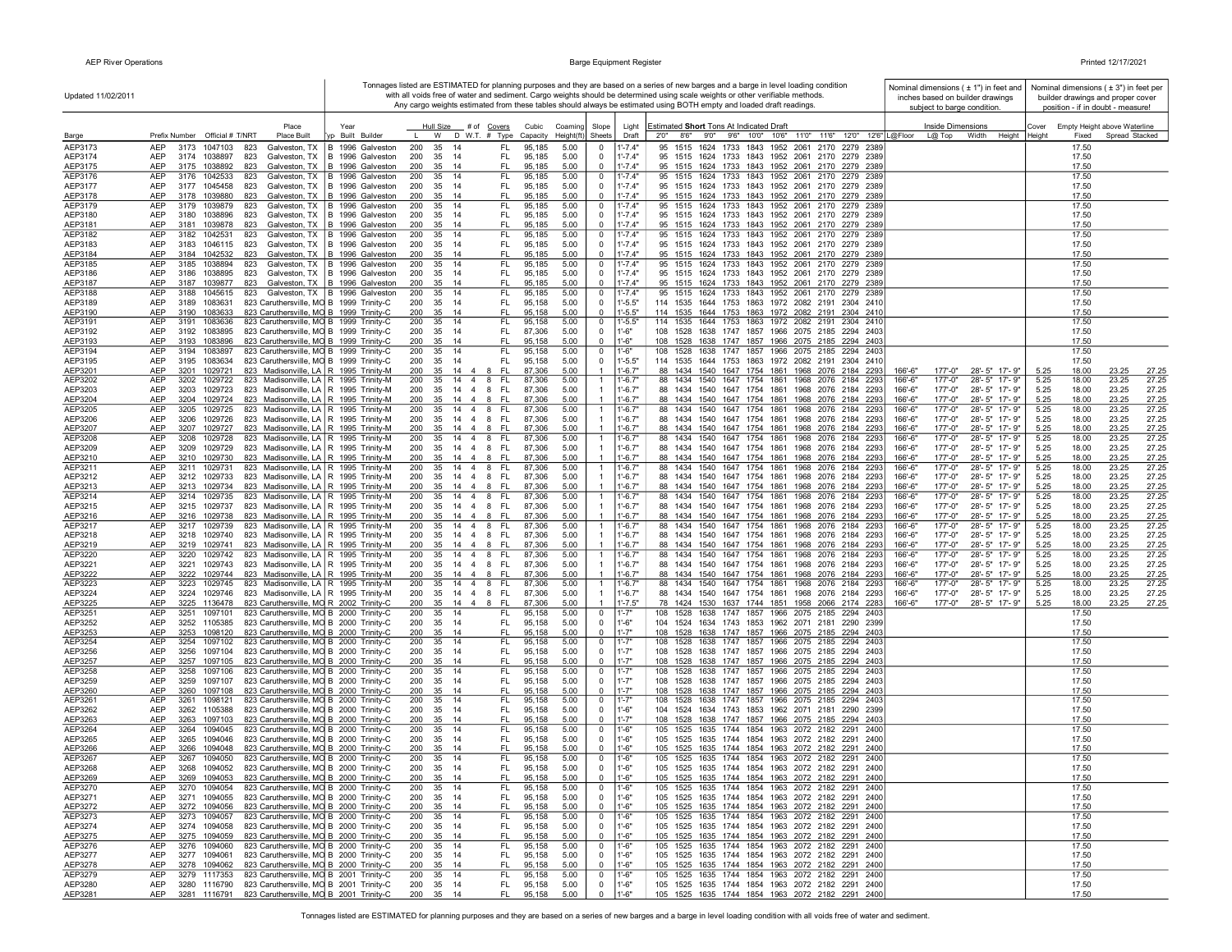| Updated 11/02/2011 |                                                                                                                                                      |                                                                      |                        |                                               |                    |                    |                                  |                            | Tonnages listed are ESTIMATED for planning purposes and they are based on a series of new barges and a barge in level loading condition<br>with all voids free of water and sediment. Cargo weights should be determined using scale weights or other verifiable methods. |                    | Nominal dimensions $(± 1")$ in feet and<br>inches based on builder drawings |                                |              |                | Nominal dimensions (±3") in feet per<br>builder drawings and proper cover |
|--------------------|------------------------------------------------------------------------------------------------------------------------------------------------------|----------------------------------------------------------------------|------------------------|-----------------------------------------------|--------------------|--------------------|----------------------------------|----------------------------|---------------------------------------------------------------------------------------------------------------------------------------------------------------------------------------------------------------------------------------------------------------------------|--------------------|-----------------------------------------------------------------------------|--------------------------------|--------------|----------------|---------------------------------------------------------------------------|
|                    |                                                                                                                                                      |                                                                      |                        |                                               |                    |                    |                                  |                            | Any cargo weights estimated from these tables should always be estimated using BOTH empty and loaded draft readings.                                                                                                                                                      |                    | subject to barge condition.                                                 |                                |              |                | position - if in doubt - measure!                                         |
|                    | Place                                                                                                                                                | Year                                                                 |                        | Hull Size # of Covers                         | Cubic              | Coaming            | Slope                            | Light                      | Estimated Short Tons At Indicated Draft                                                                                                                                                                                                                                   |                    | Inside Dimensions                                                           |                                |              |                | Cover Empty Height above Waterline                                        |
| Barge<br>AEP3173   | Prefix Number Official # T/NRT<br>Place Built<br>AEP<br>3173<br>1047103<br>823<br>Galveston, TX                                                      | Built Builder<br>B 1996 Galveston                                    | W<br>200<br>35         | D W.T. # Type<br>FL.<br>14                    | Capacity<br>95,185 | Height(ft)<br>5.00 | Sheets<br>$^{\circ}$             | Draft<br>$1' - 7.4"$       | 8'6" 9'0" 9'6" 10'0" 10'6" 11'0" 11'6" 12'0" 12'6" L@Floor<br>2'0''<br>95 1515 1624 1733 1843 1952 2061 2170 2279 2389                                                                                                                                                    |                    | L@ Top<br>Width                                                             | Height                         | Height       | Fixed<br>17.50 | Spread Stacked                                                            |
| AEP3174            | <b>AEP</b><br>3174 1038897<br>823<br>Galveston, TX                                                                                                   | B 1996 Galveston                                                     | 200<br>35              | FL.<br>-14                                    | 95,185             | 5.00               | $\Omega$                         | $1' - 7.4"$                | 95 1515 1624 1733 1843 1952 2061 2170 2279 2389                                                                                                                                                                                                                           |                    |                                                                             |                                |              | 17.50          |                                                                           |
| AEP3175<br>AEP3176 | AEP<br>3175<br>1038892<br>823<br>AEP<br>3176<br>1042533<br>823                                                                                       | Galveston, TX   B 1996 Galveston<br>Galveston, TX   B 1996 Galveston | 200<br>35<br>200<br>35 | FL.<br>14<br>14<br>FL                         | 95,185<br>95,185   | 5.00<br>5.00       | $\mathbf 0$<br>0                 | $1' - 7.4"$<br>$1' - 7.4"$ | 95 1515 1624 1733 1843 1952 2061 2170 2279 2389<br>95 1515 1624 1733 1843 1952 2061 2170 2279 2389                                                                                                                                                                        |                    |                                                                             |                                |              | 17.50<br>17.50 |                                                                           |
| AEP3177            | AEP<br>3177 1045458<br>823                                                                                                                           | Galveston, TX   B 1996 Galveston                                     | 200<br>35              | FL<br>- 14                                    | 95,185             | 5.00               | $^{\circ}$                       | $1' - 7.4"$                | 95 1515 1624 1733 1843 1952 2061 2170 2279 2389                                                                                                                                                                                                                           |                    |                                                                             |                                |              | 17.50          |                                                                           |
| AEP3178            | <b>AEP</b><br>3178<br>1039880<br>823                                                                                                                 | Galveston, TX B 1996 Galveston                                       | 200<br>35              | FL.<br>14                                     | 95,185             | 5.00               | $^{\circ}$                       | $1' - 7.4"$                | 95 1515 1624 1733 1843 1952 2061 2170 2279 2389                                                                                                                                                                                                                           |                    |                                                                             |                                |              | 17.50          |                                                                           |
| AEP3179<br>AEP3180 | <b>AEP</b><br>3179<br>1039879<br>823<br>AEP<br>3180<br>1038896<br>823<br>Galveston, TX                                                               | Galveston, TX B 1996 Galveston<br>B 1996 Galveston                   | 35<br>200<br>200       | FL<br>14<br>35 14<br>FL.                      | 95,185<br>95,185   | 5.00<br>5.00       | $^{\circ}$<br>0                  | $1' - 7.4"$<br>$1' - 7.4"$ | 95 1515 1624 1733 1843 1952 2061 2170 2279 2389<br>95 1515 1624 1733 1843 1952 2061 2170 2279 2389                                                                                                                                                                        |                    |                                                                             |                                |              | 17.50<br>17.50 |                                                                           |
| AEP3181            | <b>AEP</b><br>3181 1039878<br>823                                                                                                                    | Galveston, TX B 1996 Galveston                                       | 200                    | 35 14<br>FL                                   | 95,185             | 5.00               | $\mathbf{0}$                     | $1' - 7.4"$                | 95 1515 1624 1733 1843 1952 2061 2170 2279 2389                                                                                                                                                                                                                           |                    |                                                                             |                                |              | 17.50          |                                                                           |
| AEP3182<br>AEP3183 | <b>AEP</b><br>3182 1042531<br>823<br><b>AEP</b><br>3183<br>1046115<br>823                                                                            | Galveston, TX   B 1996 Galveston<br>Galveston, TX B 1996 Galveston   | 200<br>200             | FL.<br>35 14<br>35 14<br>FL.                  | 95,185<br>95,185   | 5.00<br>5.00       | $\mathbf 0$<br>0                 | $1' - 7.4"$<br>$1' - 7.4"$ | 95 1515 1624 1733 1843 1952 2061 2170 2279 2389<br>95 1515 1624 1733 1843 1952 2061 2170 2279 2389                                                                                                                                                                        |                    |                                                                             |                                |              | 17.50<br>17.50 |                                                                           |
| AEP3184            | AEP<br>3184 1042532<br>823                                                                                                                           | Galveston, TX B 1996 Galveston                                       | 200                    | 35 14<br>FL                                   | 95,185             | 5.00               | $\mathbf 0$                      | $1' - 7.4"$                | 95 1515 1624 1733 1843 1952 2061 2170 2279 2389                                                                                                                                                                                                                           |                    |                                                                             |                                |              | 17.50          |                                                                           |
| AEP3185            | AEP<br>3185<br>1038894<br>823                                                                                                                        | Galveston, TX B 1996 Galveston                                       | 200                    | FL.<br>35 14                                  | 95,185             | 5.00               | 0<br>$^{\circ}$                  | $1' - 7.4"$<br>$1' - 7.4"$ | 95 1515 1624 1733 1843 1952 2061 2170 2279 2389<br>95 1515 1624 1733 1843 1952 2061 2170 2279 2389                                                                                                                                                                        |                    |                                                                             |                                |              | 17.50          |                                                                           |
| AEP3186<br>AEP3187 | AEP<br>3186<br>1038895<br>823<br><b>AEP</b><br>3187<br>1039877<br>823                                                                                | Galveston, TX B 1996 Galveston<br>Galveston, TX   B 1996 Galveston   | 200<br>200<br>35       | 35 14<br>FL.<br>FL.<br>14                     | 95,185<br>95,185   | 5.00<br>5.00       | $\mathbf{0}$                     | $1' - 7.4"$                | 95 1515 1624 1733 1843 1952 2061 2170 2279 2389                                                                                                                                                                                                                           |                    |                                                                             |                                |              | 17.50<br>17.50 |                                                                           |
| AEP3188            | <b>AEP</b><br>3188<br>1045615<br>823                                                                                                                 | Galveston, TX   B 1996 Galveston                                     | 200<br>35              | 14<br>FL                                      | 95,185             | 5.00               | 0                                | $1' - 7.4"$                | 95 1515 1624 1733 1843 1952 2061 2170 2279 2389                                                                                                                                                                                                                           |                    |                                                                             |                                |              | 17.50          |                                                                           |
| AEP3189<br>AEP3190 | AEP<br>1083631<br>823 Caruthersville, MO B 1999 Trinity-C<br>3189<br><b>AEP</b><br>3190<br>1083633<br>823 Caruthersville, MO B 1999 Trinity-C        |                                                                      | 200<br>35<br>200<br>35 | FL<br>- 14<br>14<br>FL.                       | 95,158<br>95,158   | 5.00<br>5.00       | - 0<br>$^{\circ}$                | $1' - 5.5"$<br>$1' - 5.5"$ | 114 1535 1644 1753 1863 1972 2082 2191 2304 2410<br>114 1535 1644 1753 1863 1972 2082 2191 2304 2410                                                                                                                                                                      |                    |                                                                             |                                |              | 17.50<br>17.50 |                                                                           |
| AEP3191            | <b>AEP</b><br>3191<br>1083636<br>823 Caruthersville, MO B 1999 Trinity-C                                                                             |                                                                      | 200<br>35              | 14<br>FL.                                     | 95,158             | 5.00               | $^{\circ}$                       | 1'-5.5"                    | 114 1535 1644 1753 1863 1972 2082 2191 2304 2410                                                                                                                                                                                                                          |                    |                                                                             |                                |              | 17.50          |                                                                           |
| AEP3192<br>AEP3193 | 1083895<br>823 Caruthersville, MO B 1999 Trinity-C<br>AEP<br>3192<br><b>AEP</b><br>3193 1083896<br>823 Caruthersville, MO B 1999 Trinity-C           |                                                                      | 35<br>200<br>200<br>35 | FL.<br>14<br>14<br>FL                         | 87,306<br>95,158   | 5.00<br>5.00       | $\mathbf 0$<br>$\mathbf{0}$      | $1 - 6"$<br>1'.6"          | 108 1528 1638 1747 1857 1966 2075 2185 2294 2403<br>108 1528 1638 1747 1857 1966 2075 2185 2294 2403                                                                                                                                                                      |                    |                                                                             |                                |              | 17.50<br>17.50 |                                                                           |
| AEP3194            | <b>AEP</b><br>3194 1083897<br>823 Caruthersville, MO B 1999 Trinity-C                                                                                |                                                                      | 200                    | 35 14<br>FL.                                  | 95,158             | 5.00               | $\mathbf 0$                      | $1' - 6''$                 | 108 1528 1638 1747 1857 1966 2075 2185 2294 2403                                                                                                                                                                                                                          |                    |                                                                             |                                |              | 17.50          |                                                                           |
| AEP3195            | AEP<br>3195 1083634<br>823 Caruthersville, MO B 1999 Trinity-C                                                                                       |                                                                      | 200                    | FL.<br>35 14                                  | 95,158             | 5.00               | $\mathbf 0$                      | $1' - 5.5"$                | 114 1535 1644 1753 1863 1972 2082 2191 2304 2410                                                                                                                                                                                                                          |                    |                                                                             |                                |              | 17.50          |                                                                           |
| AEP3201<br>AEP3202 | AEP<br>823 Madisonville, LA R 1995 Trinity-M<br>3201 1029721<br>AEP<br>3202 1029722<br>823 Madisonville, LA   R 1995 Trinity-M                       |                                                                      | 200<br>200             | FL.<br>35 14 4<br>- 8<br>35 14 4 8 FL         | 87,306<br>87,306   | 5.00<br>5.00       |                                  | $1' - 6.7"$<br>1'-6.7"     | 88 1434 1540 1647 1754 1861 1968 2076 2184 2293<br>88 1434 1540 1647 1754 1861 1968 2076 2184 2293                                                                                                                                                                        | 166'-6"<br>166'-6" | 177'-0"<br>177'-0"                                                          | 28'-5" 17'-9"<br>28'-5" 17'-9" | 5.25<br>5.25 | 18.00<br>18.00 | 23.25<br>27.25<br>27.25<br>23.25                                          |
| AEP3203            | AEP<br>3203 1029723<br>823 Madisonville, LA R 1995 Trinity-M                                                                                         |                                                                      |                        | 200 35 14 4 8 FL                              | 87,306             | 5.00               |                                  | $1' - 6.7"$                | 88 1434 1540 1647 1754 1861 1968 2076 2184 2293                                                                                                                                                                                                                           | $166' - 6'$        | 177'-0"                                                                     | 28'-5" 17'-9"                  | 5.25         | 18.00          | 23.25<br>27.25                                                            |
| AEP3204<br>AEP3205 | AEP<br>3204<br>1029724<br>823 Madisonville, LA   R 1995 Trinity-M<br>AEP<br>3205<br>823 Madisonville, LA   R 1995 Trinity-M<br>1029725               |                                                                      | 200<br>35<br>200<br>35 | FL<br>$14 \quad 4$<br>- 8<br>14 4 8<br>- FL   | 87,306<br>87,306   | 5.00<br>5.00       |                                  | $1' - 6.7"$<br>$1' - 6.7"$ | 88 1434 1540 1647 1754 1861 1968 2076 2184 2293<br>88 1434 1540 1647 1754 1861 1968 2076 2184 2293                                                                                                                                                                        | 166'-6"<br>166'-6" | 177'-0"<br>177'-0"                                                          | 28'-5" 17'-9"<br>28'-5" 17'-9" | 5.25<br>5.25 | 18.00<br>18.00 | 23.25<br>27.25<br>23.25<br>27.25                                          |
| AEP3206            | AEP<br>1029726<br>823 Madisonville, LA   R 1995 Trinity-M<br>3206                                                                                    |                                                                      | 200<br>35              | 14 4 8<br>- FL                                | 87,306             | 5.00               |                                  | $1' - 6.7"$                | 88 1434 1540 1647 1754 1861 1968 2076 2184 2293                                                                                                                                                                                                                           | 166'-6"            | 177'-0"                                                                     | 28'-5" 17'-9"                  | 5.25         | 18.00          | 27.25<br>23.25                                                            |
| AEP3207            | AEP<br>1029727<br>823 Madisonville, LA   R 1995 Trinity-M<br>3207                                                                                    |                                                                      | 200<br>35              | $\overline{4}$<br>8<br>-FL<br>14              | 87,306             | 5.00               |                                  | $1'-6.7"$                  | 88 1434 1540 1647 1754 1861 1968 2076 2184 2293                                                                                                                                                                                                                           | 166'-6"            | 177'-0"                                                                     | 28'-5" 17'-9"                  | 5.25         | 18.00          | 27.25<br>23.25                                                            |
| AEP3208<br>AEP3209 | 823 Madisonville, LA   R 1995 Trinity-M<br>AEP<br>3208<br>1029728<br>AEP<br>3209<br>1029729<br>823 Madisonville, LA R 1995 Trinity-M                 |                                                                      | 200<br>35<br>200<br>35 | 14 4 8<br>FL.<br>$14 \quad 4 \quad 8$<br>FL.  | 87,306<br>87,306   | 5.00<br>5.00       |                                  | $1' - 6.7'$<br>$1' - 6.7"$ | 88 1434 1540 1647 1754 1861 1968 2076 2184 2293<br>88 1434 1540 1647 1754 1861 1968 2076 2184 2293                                                                                                                                                                        | 166'-6"<br>166'-6" | 177'-0"<br>177'-0"                                                          | 28'-5" 17'-9"<br>28'-5" 17'-9" | 5.25<br>5.25 | 18.00<br>18.00 | 27.25<br>23.25<br>23.25<br>27.25                                          |
| AEP3210            | <b>AEP</b><br>823 Madisonville, LA R 1995 Trinity-M<br>3210 1029730                                                                                  |                                                                      | 200<br>35              | 14 4 8<br>- FL                                | 87,306             | 5.00               |                                  | $1' - 6.7"$                | 88 1434 1540 1647 1754 1861 1968 2076 2184 2293                                                                                                                                                                                                                           | $166' - 6'$        | 177'-0"                                                                     | 28'-5" 17'-9"                  | 5.25         | 18.00          | 23.25<br>27.25                                                            |
| AEP3211<br>AEP3212 | <b>AEP</b><br>3211 1029731<br>823 Madisonville, LA   R 1995 Trinity-M<br><b>AEP</b><br>823 Madisonville, LA   R 1995 Trinity-M<br>3212 1029733       |                                                                      | 200<br>35<br>200<br>35 | $14 \quad 4 \quad 8$<br>FL.<br>- FL<br>14 4 8 | 87,306<br>87,306   | 5.00<br>5.00       |                                  | $1' - 6.7"$<br>$1'-6.7"$   | 88 1434 1540 1647 1754 1861 1968 2076 2184 2293<br>88 1434 1540 1647 1754 1861 1968 2076 2184 2293                                                                                                                                                                        | 166'-6'<br>166'-6" | 177'-0"<br>177'-0"                                                          | 28'-5" 17'-9"<br>28'-5" 17'-9" | 5.25<br>5.25 | 18.00<br>18.00 | 27.25<br>23.25<br>23.25<br>27.25                                          |
| AEP3213            | AEP<br>3213 1029734<br>823 Madisonville, LA   R 1995 Trinity-M                                                                                       |                                                                      | 200                    | 35 14 4 8<br>- FL                             | 87,306             | 5.00               |                                  | $1'-6.7"$                  | 88 1434 1540 1647 1754 1861 1968 2076 2184 2293                                                                                                                                                                                                                           | 166'-6"            | 177'-0"                                                                     | 28'-5" 17'-9"                  | 5.25         | 18.00          | 27.25<br>23.25                                                            |
| AEP3214<br>AEP3215 | AEP<br>3214 1029735<br>823 Madisonville, LA   R 1995 Trinity-M<br><b>AEP</b><br>3215 1029737<br>823 Madisonville, LA R 1995 Trinity-M                |                                                                      | 200<br>200<br>35       | 35 14 4 8<br>- FL<br>14 4 8<br>- FL           | 87,306<br>87,306   | 5.00<br>5.00       |                                  | 1'-6.7"<br>$1' - 6.7"$     | 88 1434 1540 1647 1754 1861 1968 2076 2184 2293<br>88 1434 1540 1647 1754 1861 1968 2076 2184 2293                                                                                                                                                                        | 166'-6"<br>166'-6" | 177'-0"<br>177'-0"                                                          | 28'-5" 17'-9"<br>28'-5" 17'-9" | 5.25<br>5.25 | 18.00<br>18.00 | 27.25<br>23.25<br>23.25<br>27.25                                          |
| AEP3216            | <b>AEP</b><br>3216 1029738<br>823 Madisonville, LA R 1995 Trinity-M                                                                                  |                                                                      | 35<br>200              | FL.<br>14 4 8                                 | 87,306             | 5.00               |                                  | $1' - 6.7"$                | 88 1434 1540 1647 1754 1861 1968 2076 2184 2293                                                                                                                                                                                                                           | 166'-6"            | 177'-0"                                                                     | 28'-5" 17'-9"                  | 5.25         | 18.00          | 23.25<br>27.25                                                            |
| AEP3217            | <b>AEP</b><br>3217<br>1029739<br>823 Madisonville, LA R 1995 Trinity-M                                                                               |                                                                      | 35<br>200              | $14 \quad 4 \quad 8$<br>- FL                  | 87,306             | 5.00               |                                  | $1' - 6.7'$                | 88 1434 1540 1647 1754 1861<br>1968 2076 2184 2293                                                                                                                                                                                                                        | 166'-6"            | 177'-0"                                                                     | 28'-5" 17'-9"                  | 5.25         | 18.00          | 23.25<br>27.25                                                            |
| AEP3218<br>AEP3219 | <b>AEP</b><br>3218 1029740<br>823 Madisonville, LA   R 1995 Trinity-M<br><b>AEP</b><br>1029741<br>3219<br>823 Madisonville, LA   R 1995 Trinity-M    |                                                                      | 200<br>35<br>200<br>35 | 14 4 8<br>- FL<br>$14 \quad 4$<br>8<br>- FL   | 87,306<br>87,306   | 5.00<br>5.00       |                                  | $1' - 6.7"$<br>$1'-6.7"$   | 88 1434 1540 1647 1754 1861 1968 2076 2184 2293<br>88 1434 1540 1647 1754 1861 1968 2076 2184 2293                                                                                                                                                                        | 166'-6"<br>166'-6" | 177'-0"<br>177'-0"                                                          | 28'-5" 17'-9"<br>28'-5" 17'-9" | 5.25<br>5.25 | 18.00<br>18.00 | 23.25<br>27.25<br>23.25<br>27.25                                          |
| AEP3220            | 3220<br><b>AEP</b><br>1029742<br>823 Madisonville, LA   R 1995 Trinity-M                                                                             |                                                                      | 200<br>35              | 14 4 8<br>FL.                                 | 87,306             | 5.00               |                                  | 1'-6.7'                    | 88 1434 1540 1647 1754 1861 1968 2076 2184 2293                                                                                                                                                                                                                           | 166'-6"            | 177'-0"                                                                     | 28'-5" 17'-9"                  | 5.25         | 18.00          | 27.25<br>23.25                                                            |
| AEP3221<br>AEP3222 | <b>AEP</b><br>3221<br>1029743<br>823 Madisonville, LA   R 1995 Trinity-M<br><b>AEP</b><br>3222 1029744<br>823 Madisonville, LA R 1995 Trinity-M      |                                                                      | 200<br>35<br>35<br>200 | 14 4 8<br>- FL<br>- FL<br>14 4 8              | 87,306<br>87,306   | 5.00<br>5.00       |                                  | $1' - 6.7"$<br>$1' - 6.7"$ | 88 1434 1540 1647 1754 1861 1968 2076 2184 2293<br>88 1434 1540 1647 1754 1861 1968 2076 2184 2293                                                                                                                                                                        | 166'-6"<br>166'-6" | 177'-0"<br>177'-0"                                                          | 28'-5" 17'-9"<br>28'-5" 17'-9" | 5.25<br>5.25 | 18.00<br>18.00 | 27.25<br>23.25<br>23.25<br>27.25                                          |
| AEP3223            | <b>AEP</b><br>3223<br>1029745<br>823 Madisonville, LA   R 1995 Trinity-M                                                                             |                                                                      | 200<br>35              | 14 4 8<br>FL                                  | 87,306             | 5.00               |                                  | $1' - 6.7"$                | 88 1434<br>1540 1647 1754 1861 1968 2076 2184 2293                                                                                                                                                                                                                        | 166'-6"            | 177'-0"                                                                     | 28'-5" 17'-9"                  | 5.25         | 18.00          | 23.25<br>27.25                                                            |
| AEP3224<br>AEP3225 | <b>AEP</b><br>3224<br>1029746<br>823 Madisonville, LA   R 1995 Trinity-M<br>AEP<br>3225 1136478<br>823 Caruthersville, MO R 2002 Trinity-C           |                                                                      | 200<br>200             | 35 14 4 8 FL<br>35 14 4 8 FL                  | 87,306<br>87,306   | 5.00<br>5.00       |                                  | $1' - 6.7"$<br>$1' - 7.5"$ | 88 1434 1540 1647 1754 1861 1968 2076 2184 2293<br>78 1424 1530 1637 1744 1851 1958 2066 2174 2283                                                                                                                                                                        | 166'-6"            | 177'-0"<br>177'-0" 28'-5" 17'-9"                                            | 28'-5" 17'-9"                  | 5.25<br>5.25 | 18.00<br>18.00 | 23.25<br>27.25<br>23.25<br>27.25                                          |
| AEP3251            | 823 Caruthersville, MO B 2000 Trinity-C<br>AEP<br>3251<br>1097101                                                                                    |                                                                      | 200                    | FL.<br>35 14                                  | 95,158             | 5.00               | 0                                | 1'-7"                      | 108 1528 1638 1747 1857 1966 2075 2185 2294 2403                                                                                                                                                                                                                          | 166'-6"            |                                                                             |                                |              | 17.50          |                                                                           |
| AEP3252            | <b>AEP</b><br>3252 1105385<br>823 Caruthersville, MO B 2000 Trinity-C                                                                                |                                                                      | 200                    | 35 14<br>FL.                                  | 95,158             | 5.00               | $^{\circ}$                       | $1 - 6"$                   | 104 1524 1634 1743 1853 1962 2071 2181 2290 2399                                                                                                                                                                                                                          |                    |                                                                             |                                |              | 17.50          |                                                                           |
| AEP3253<br>AEP3254 | AEP<br>3253 1098120<br>823 Caruthersville, MO B 2000 Trinity-C<br><b>AEP</b><br>3254 1097102<br>823 Caruthersville, MO B 2000 Trinity-C              |                                                                      | 200<br>200             | 35 14<br>FL.<br>35 14<br>FL.                  | 95,158<br>95,158   | 5.00<br>5.00       | $\Omega$<br>$\mathbf 0$          | $1' - 7"$<br>$1' - 7"$     | 108 1528 1638 1747 1857 1966 2075 2185 2294 2403<br>108 1528 1638 1747 1857 1966 2075 2185 2294 2403                                                                                                                                                                      |                    |                                                                             |                                |              | 17.50<br>17.50 |                                                                           |
| AEP3256            | <b>AEP</b><br>3256<br>1097104<br>823 Caruthersville, MO B 2000 Trinity-C                                                                             |                                                                      | 200                    | 35 14<br>FL.                                  | 95,158             | 5.00               | $^{\circ}$                       | $1' - 7"$                  | 108 1528 1638 1747 1857 1966 2075 2185 2294 2403                                                                                                                                                                                                                          |                    |                                                                             |                                |              | 17.50          |                                                                           |
| AEP3257<br>AEP3258 | 823 Caruthersville, MO B 2000 Trinity-C<br>AEP<br>3257<br>1097105<br>AEP<br>823 Caruthersville, MO B 2000 Trinity-C<br>3258<br>1097106               |                                                                      | 200<br>200             | 35 14<br>FL.<br>FL<br>35 14                   | 95,158<br>95,158   | 5.00<br>5.00       | $\Omega$<br>0                    | $1' - 7"$<br>$1' - 7'$     | 108 1528 1638 1747 1857 1966 2075 2185 2294 2403<br>108 1528 1638 1747 1857 1966 2075 2185 2294 2403                                                                                                                                                                      |                    |                                                                             |                                |              | 17.50<br>17.50 |                                                                           |
| AEP3259            | AEP<br>3259<br>1097107<br>823 Caruthersville, MO B 2000 Trinity-C                                                                                    |                                                                      | 200                    | 35 14<br>FL                                   | 95,158             | 5.00               | 0                                | $1' - 7"$                  | 108 1528 1638 1747 1857 1966 2075 2185 2294 2403                                                                                                                                                                                                                          |                    |                                                                             |                                |              | 17.50          |                                                                           |
| AEP3260<br>AEP3261 | <b>AEP</b><br>3260 1097108<br>823 Caruthersville, MO B 2000 Trinity-C<br>823 Caruthersville, MO B 2000 Trinity-C<br><b>AEP</b><br>3261<br>1098121    |                                                                      | 200<br>35<br>200       | FL.<br>14<br>35 14<br>FL.                     | 95,158<br>95,158   | 5.00<br>5.00       | $^{\circ}$<br>0                  | $1' - 7"$<br>$1' - 7'$     | 108 1528 1638 1747 1857 1966 2075 2185 2294 2403<br>108 1528 1638 1747 1857 1966 2075 2185 2294 2403                                                                                                                                                                      |                    |                                                                             |                                |              | 17.50<br>17.50 |                                                                           |
| AEP3262            | AEP<br>3262 1105388<br>823 Caruthersville, MO B 2000 Trinity-C                                                                                       |                                                                      | 200                    | 35 14<br>FL.                                  | 95,158             | 5.00               | $^{\circ}$                       | $1' - 6"$                  | 104 1524 1634 1743 1853 1962 2071 2181 2290 2399                                                                                                                                                                                                                          |                    |                                                                             |                                |              | 17.50          |                                                                           |
| AEP3263            | AEP<br>823 Caruthersville, MO B 2000 Trinity-C<br>3263 1097103                                                                                       |                                                                      | 200                    | FL<br>35 14                                   | 95,158             | 5.00               | $^{\circ}$                       | $1' - 7"$                  | 108 1528 1638 1747 1857 1966 2075 2185 2294 2403                                                                                                                                                                                                                          |                    |                                                                             |                                |              | 17.50          |                                                                           |
| AEP3264<br>AEP3265 | <b>AEP</b><br>1094045<br>823 Caruthersville, MO B 2000 Trinity-C<br>3264<br><b>AEP</b><br>3265<br>1094046<br>823 Caruthersville, MO B 2000 Trinity-C |                                                                      | 200<br>200             | 35 14<br>FL.<br>35 14<br>FL.                  | 95,158<br>95,158   | 5.00<br>5.00       | 0<br>0                           | $1 - 6"$<br>$1 - 6"$       | 105 1525 1635 1744 1854 1963 2072 2182 2291 2400<br>105 1525 1635 1744 1854 1963 2072 2182 2291 2400                                                                                                                                                                      |                    |                                                                             |                                |              | 17.50<br>17.50 |                                                                           |
| AEP3266            | 3266<br>1094048<br>823 Caruthersville, MO B 2000 Trinity-C<br><b>AEP</b>                                                                             |                                                                      | 200                    | 35 14<br>FL                                   | 95,158             | 5.00               | $\Omega$                         | $1 - 6"$                   | 105 1525 1635 1744 1854 1963 2072 2182 2291 2400                                                                                                                                                                                                                          |                    |                                                                             |                                |              | 17.50          |                                                                           |
| AEP3267            | AEP<br>3267<br>1094050<br>823 Caruthersville, MO B 2000 Trinity-C<br><b>AEP</b>                                                                      |                                                                      | 200                    | 35 14<br>FL.                                  | 95,158             | 5.00               | 0                                | $1 - 6"$                   | 105 1525 1635 1744 1854 1963 2072 2182 2291 2400<br>105 1525 1635 1744 1854 1963 2072 2182 2291 2400                                                                                                                                                                      |                    |                                                                             |                                |              | 17.50          |                                                                           |
| AEP3268<br>AEP3269 | 3268<br>1094052<br>823 Caruthersville, MO B 2000 Trinity-C<br>823 Caruthersville, MO B 2000 Trinity-C<br>AEP<br>3269<br>1094053                      |                                                                      | 200 35 14<br>200 35 14 | FL.<br>FL.                                    | 95,158<br>Q5 158   | 5.00<br>5.00       | 0                                | $1 - 6"$<br>1'.6"          | 105 1525 1635 1744 1854 1963 2072 2182 2291 2400                                                                                                                                                                                                                          |                    |                                                                             |                                |              | 17.50<br>17.50 |                                                                           |
| AEP3270            | 3270 1094054<br>823 Caruthersville, MO B 2000 Trinity-C<br>AEP                                                                                       |                                                                      | 200                    | 35 14<br>FL.                                  | 95,158             | 5.00               | $\mathbf 0$                      | $1' - 6"$                  | 105 1525 1635 1744 1854 1963 2072 2182 2291 2400                                                                                                                                                                                                                          |                    |                                                                             |                                |              | 17.50          |                                                                           |
| AEP3271<br>AEP3272 | AEP<br>823 Caruthersville, MO B 2000 Trinity-C<br>3271 1094055<br>AEP<br>3272 1094056<br>823 Caruthersville, MO B 2000 Trinity-C                     |                                                                      | 200 35 14<br>200       | FL.<br>35 14<br>FL.                           | 95,158<br>95,158   | 5.00<br>5.00       | $\mathbf 0$<br>$\mathbf 0$       | $1'-6''$<br>$1'-6''$       | 105 1525 1635 1744 1854 1963 2072 2182 2291 2400<br>105 1525 1635 1744 1854 1963 2072 2182 2291 2400                                                                                                                                                                      |                    |                                                                             |                                |              | 17.50<br>17.50 |                                                                           |
| AEP3273            | AEP<br>3273 1094057<br>823 Caruthersville, MO B 2000 Trinity-C                                                                                       |                                                                      | 200                    | 35 14<br>FL.                                  | 95,158             | 5.00               | $\mathbf 0$                      | $1'-6''$                   | 105 1525 1635 1744 1854 1963 2072 2182 2291 2400                                                                                                                                                                                                                          |                    |                                                                             |                                |              | 17.50          |                                                                           |
| AEP3274            | 3274 1094058<br>823 Caruthersville, MO B 2000 Trinity-C<br>AEP<br>3275 1094059<br>AEP                                                                |                                                                      | 200 35 14              | FL.<br>FL.                                    | 95,158             | 5.00<br>5.00       | $\mathbf{0}$<br>$^{\circ}$       | $1'-6"$<br>$1'-6"$         | 105 1525 1635 1744 1854 1963 2072 2182 2291 2400                                                                                                                                                                                                                          |                    |                                                                             |                                |              | 17.50          |                                                                           |
| AEP3275<br>AEP3276 | 823 Caruthersville, MO B 2000 Trinity-C<br>AEP<br>3276 1094060<br>823 Caruthersville, MO B 2000 Trinity-C                                            |                                                                      | 200 35 14<br>200       | 35 14<br>FL.                                  | 95,158<br>95,158   | 5.00               | $\mathbf 0$                      | $1' - 6''$                 | 105 1525 1635 1744 1854 1963 2072 2182 2291 2400<br>105 1525 1635 1744 1854 1963 2072 2182 2291 2400                                                                                                                                                                      |                    |                                                                             |                                |              | 17.50<br>17.50 |                                                                           |
| AEP3277            | 823 Caruthersville, MO B 2000 Trinity-C<br>AEP<br>3277 1094061                                                                                       |                                                                      | 200 35 14              | FL.                                           | 95,158             | 5.00               | $\mathbf 0$                      | $1'-6''$                   | 105 1525 1635 1744 1854 1963 2072 2182 2291 2400                                                                                                                                                                                                                          |                    |                                                                             |                                |              | 17.50          |                                                                           |
| AEP3278<br>AEP3279 | AEP<br>3278 1094062<br>823 Caruthersville, MO B 2000 Trinity-C<br>823 Caruthersville, MO B 2001 Trinity-C<br>AEP<br>3279 1117353                     |                                                                      | 200 35 14<br>200 35 14 | FL.<br>FL.                                    | 95,158<br>95,158   | 5.00<br>5.00       | $\overline{0}$<br>$\overline{0}$ | $1'-6''$<br>$1'-6''$       | 105 1525 1635 1744 1854 1963 2072 2182 2291 2400<br>105 1525 1635 1744 1854 1963 2072 2182 2291 2400                                                                                                                                                                      |                    |                                                                             |                                |              | 17.50<br>17.50 |                                                                           |
| AEP3280            | 3280 1116790<br>823 Caruthersville, MO B 2001 Trinity-C<br>AEP                                                                                       |                                                                      | 200 35 14              | FL.                                           | 95,158             | 5.00               | $\mathbf 0$                      | $1'-6''$                   | 105 1525 1635 1744 1854 1963 2072 2182 2291 2400                                                                                                                                                                                                                          |                    |                                                                             |                                |              | 17.50          |                                                                           |
| AEP3281            | AEP 3281 1116791 823 Caruthersville, MO B 2001 Trinity-C                                                                                             |                                                                      | 200 35 14              | FL.                                           | 95,158             | 5.00               | $\mathbf 0$                      | $1'-6''$                   | 105 1525 1635 1744 1854 1963 2072 2182 2291 2400                                                                                                                                                                                                                          |                    |                                                                             |                                |              | 17.50          |                                                                           |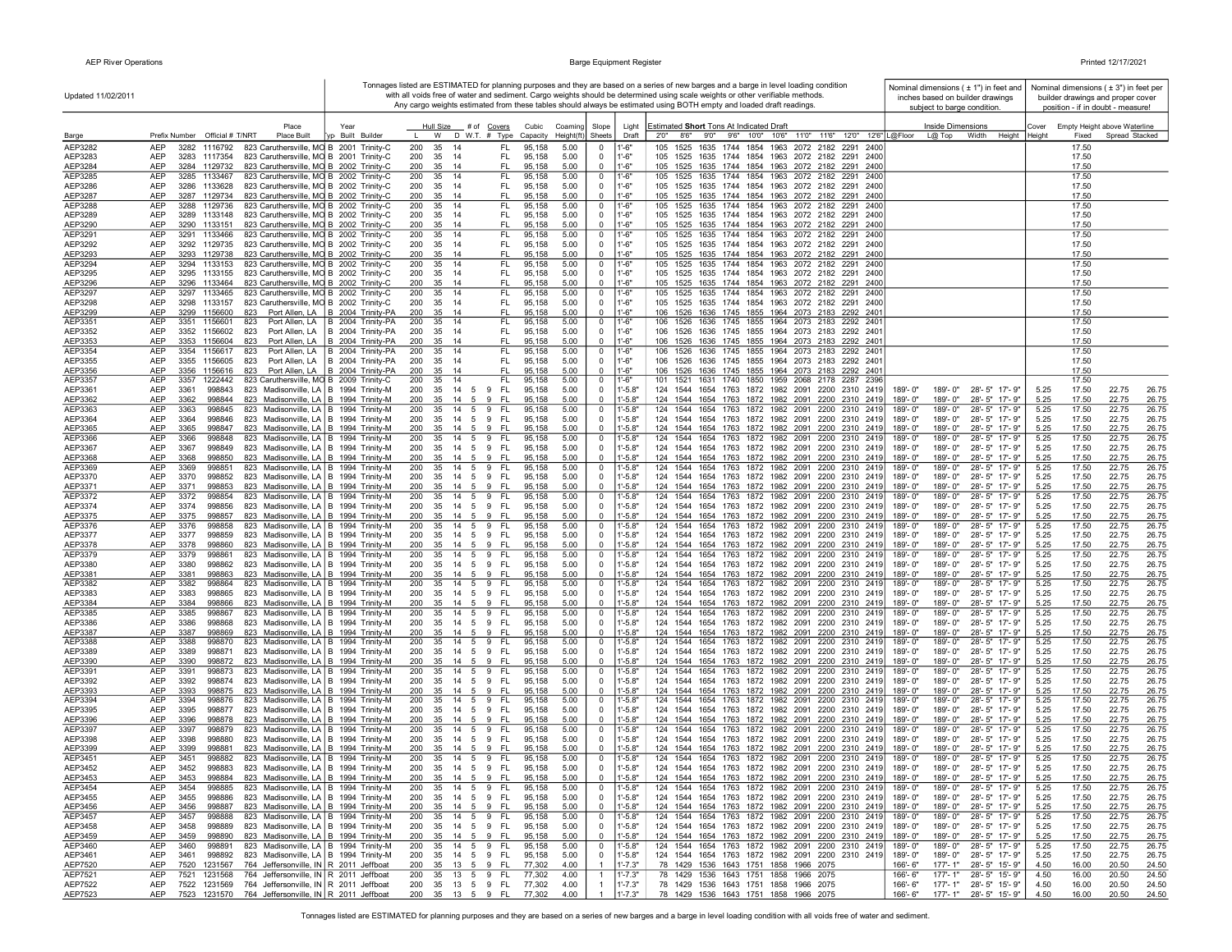| Updated 11/02/2011 |                                                                                                                                                    |                                                                                                                 |                                                |                                                                | Tonnages listed are ESTIMATED for planning purposes and they are based on a series of new barges and a barge in level loading condition<br>with all voids free of water and sediment. Cargo weights should be determined using scale weights or other verifiable methods.<br>Any cargo weights estimated from these tables should always be estimated using BOTH empty and loaded draft readings. | Nominal dimensions $( \pm 1" )$ in feet and<br>inches based on builder drawings<br>subject to barge condition. | Nominal dimensions ( $\pm$ 3") in feet per<br>builder drawings and proper cover<br>position - if in doubt - measure! |
|--------------------|----------------------------------------------------------------------------------------------------------------------------------------------------|-----------------------------------------------------------------------------------------------------------------|------------------------------------------------|----------------------------------------------------------------|---------------------------------------------------------------------------------------------------------------------------------------------------------------------------------------------------------------------------------------------------------------------------------------------------------------------------------------------------------------------------------------------------|----------------------------------------------------------------------------------------------------------------|----------------------------------------------------------------------------------------------------------------------|
| Barge              | Place<br>Prefix Number Official # T/NRT<br>Place Built                                                                                             | Year<br>Hull Size # of Covers<br>yp Built Builder<br>W<br>D W.T. # Type                                         | Cubic<br>Coaming<br>Capacity<br>Height(ft)     | Slope<br>Light<br>Sheets<br>Draft                              | Estimated Short Tons At Indicated Draft<br>2'0"<br>8'6" 9'0" 9'6" 10'0" 10'6" 11'0" 11'6" 12'0" 12'6" L@Floor                                                                                                                                                                                                                                                                                     | Inside Dimensions<br>L@ Top<br>Width                                                                           | Empty Height above Waterline<br>Cover<br>Height Height<br>Fixed<br>Spread Stacked                                    |
| AEP3282            | <b>AEP</b><br>823 Caruthersville, MO B 2001 Trinity-C<br>3282<br>1116792                                                                           | 200<br>35<br>-14                                                                                                | FL.<br>95,158<br>5.00                          | '-6"<br>$^{\circ}$                                             | 1525<br>1635 1744 1854<br>1963 2072 2182<br>2291<br>2400                                                                                                                                                                                                                                                                                                                                          |                                                                                                                | 17.50                                                                                                                |
| AEP3283            | AEP<br>3283<br>823 Caruthersville, MO B 2001 Trinity-C<br>1117354                                                                                  | 200<br>35<br>- 14                                                                                               | FL.<br>95,158<br>5.00                          | $1 - 6"$<br>0                                                  | 1525 1635 1744 1854 1963 2072 2182 2291<br>105<br>2400                                                                                                                                                                                                                                                                                                                                            |                                                                                                                | 17.50                                                                                                                |
| AEP3284<br>AEP3285 | AEP<br>823 Caruthersville, MO B 2002 Trinity-C<br>3284<br>1129732<br><b>AEP</b><br>3285<br>1133467<br>823 Caruthersville, MO B 2002 Trinity-C      | 200<br>35<br>- 14<br>200<br>35<br>14                                                                            | FL.<br>95,158<br>5.00<br>FL.<br>95,158<br>5.00 | $-6"$<br>$\Omega$<br>l'-6"<br>0                                | 1525 1635 1744 1854 1963 2072 2182 2291<br>105<br>2400<br>105<br>1525<br>1635 1744 1854 1963 2072 2182 2291<br>2400                                                                                                                                                                                                                                                                               |                                                                                                                | 17.50<br>17.50                                                                                                       |
| AEP3286            | AEP<br>3286<br>823 Caruthersville, MO B 2002 Trinity-C<br>1133628                                                                                  | 200<br>35<br>- 14                                                                                               | FL.<br>95,158<br>5.00                          | $1'-6''$<br>$\Omega$                                           | 105 1525 1635 1744 1854 1963 2072 2182 2291 2400                                                                                                                                                                                                                                                                                                                                                  |                                                                                                                | 17.50                                                                                                                |
| AEP3287            | AEP<br>3287 1129734<br>823 Caruthersville, MO B 2002 Trinity-C                                                                                     | 200<br>35<br>- 14                                                                                               | FL<br>95,158<br>5.00                           | $-6"$<br>$\mathbf 0$                                           | 105 1525 1635 1744 1854 1963 2072 2182 2291 2400                                                                                                                                                                                                                                                                                                                                                  |                                                                                                                | 17.50                                                                                                                |
| AEP3288<br>AEP3289 | 823 Caruthersville, MO B 2002 Trinity-C<br>AEP<br>3288<br>1129736<br>AEP<br>3289 1133148<br>823 Caruthersville, MO B 2002 Trinity-C                | 200<br>35<br>-14<br>200<br>35<br>-14                                                                            | FL<br>95,158<br>5.00<br>FL.<br>95,158<br>5.00  | $1 - 6"$<br>0<br>1'-6"<br>0                                    | 105 1525 1635 1744 1854 1963 2072 2182 2291 2400<br>105 1525 1635 1744 1854 1963 2072 2182 2291 2400                                                                                                                                                                                                                                                                                              |                                                                                                                | 17.50<br>17.50                                                                                                       |
| AEP3290            | AEP<br>3290 1133151<br>823 Caruthersville, MO B 2002 Trinity-C                                                                                     | 200<br>35 14                                                                                                    | FL<br>95,158<br>5.00                           | $\Omega$<br>$1' - 6"$                                          | 105 1525 1635 1744 1854 1963 2072 2182 2291 2400                                                                                                                                                                                                                                                                                                                                                  |                                                                                                                | 17.50                                                                                                                |
| AEP3291<br>AEP3292 | 823 Caruthersville, MO B 2002 Trinity-C<br><b>AEP</b><br>3291 1133466<br>AEP<br>3292 1129735<br>823 Caruthersville, MO B 2002 Trinity-C            | 200<br>35<br>14<br>200<br>35<br>- 14                                                                            | FL.<br>95,158<br>5.00<br>FL.<br>95,158<br>5.00 | $1' - 6'$<br>0<br>$\mathbf 0$<br>1'-6"                         | 1525 1635 1744 1854 1963 2072 2182 2291 2400<br>105<br>105 1525 1635 1744 1854 1963 2072 2182 2291 2400                                                                                                                                                                                                                                                                                           |                                                                                                                | 17.50<br>17.50                                                                                                       |
| AEP3293            | 823 Caruthersville, MO B 2002 Trinity-C<br>AEP<br>3293<br>1129738                                                                                  | 200<br>35<br>- 14                                                                                               | FL<br>95,158<br>5.00                           | $1' - 6''$<br>$\mathbf 0$                                      | 105 1525 1635 1744 1854 1963 2072 2182 2291 2400                                                                                                                                                                                                                                                                                                                                                  |                                                                                                                | 17.50                                                                                                                |
| AEP3294            | 823 Caruthersville, MO B 2002 Trinity-C<br>AEP<br>3294 1133153                                                                                     | 200<br>35<br>14                                                                                                 | FL.<br>95,158<br>5.00                          | 0<br>1'-6"                                                     | 1525 1635 1744 1854 1963 2072 2182 2291<br>105<br>2400                                                                                                                                                                                                                                                                                                                                            |                                                                                                                | 17.50                                                                                                                |
| AEP3295<br>AEP3296 | AEP<br>3295 1133155<br>823 Caruthersville, MO B 2002 Trinity-C<br>AEP<br>3296 1133464<br>823 Caruthersville, MO B 2002 Trinity-C                   | 200<br>35<br>-14<br>200<br>35<br>- 14                                                                           | FL.<br>95,158<br>5.00<br>FL<br>95,158<br>5.00  | 1'-6"<br>0<br>$1'-6"$<br>$\Omega$                              | 105 1525 1635 1744 1854 1963 2072 2182 2291 2400<br>105 1525 1635 1744 1854 1963 2072 2182 2291 2400                                                                                                                                                                                                                                                                                              |                                                                                                                | 17.50<br>17.50                                                                                                       |
| AEP3297            | <b>AEP</b><br>3297<br>1133465<br>823 Caruthersville, MO B 2002 Trinity-C                                                                           | 200<br>35<br>14                                                                                                 | FL.<br>95,158<br>5.00                          | $1' - 6'$<br>0                                                 | 1635 1744 1854 1963 2072 2182 2291 2400<br>105<br>1525                                                                                                                                                                                                                                                                                                                                            |                                                                                                                | 17.50                                                                                                                |
| AEP3298            | <b>AEP</b><br>3298<br>823 Caruthersville, MO B 2002 Trinity-C<br>1133157<br><b>AEP</b>                                                             | 200<br>35<br>- 14<br>14                                                                                         | FL.<br>95,158<br>5.00<br>FL                    | $\mathbf 0$<br>$1'-6''$<br>$1' - 6"$<br>$^{\circ}$             | 105 1525 1635 1744 1854 1963 2072 2182 2291 2400                                                                                                                                                                                                                                                                                                                                                  |                                                                                                                | 17.50                                                                                                                |
| AEP3299<br>AEP3351 | 3299 1156600<br>823<br>AEP<br>3351 1156601<br>823                                                                                                  | Port Allen, LA   B 2004 Trinity-PA<br>200<br>35<br>Port Allen, LA   B 2004 Trinity-PA<br>200<br>- 14<br>35      | 95,158<br>5.00<br>FL.<br>95,158<br>5.00        | $1 - 6"$<br>$\mathbf 0$                                        | 106 1526 1636 1745 1855 1964 2073 2183 2292 2401<br>1526 1636 1745 1855 1964 2073 2183 2292 2401<br>106                                                                                                                                                                                                                                                                                           |                                                                                                                | 17.50<br>17.50                                                                                                       |
| AEP3352            | AEP<br>3352<br>1156602<br>823                                                                                                                      | Port Allen, LA   B 2004 Trinity-PA<br>200<br>35<br>- 14                                                         | FL.<br>95,158<br>5.00                          | $1'-6''$<br>0                                                  | 106 1526<br>1636 1745 1855 1964 2073 2183 2292 2401                                                                                                                                                                                                                                                                                                                                               |                                                                                                                | 17.50                                                                                                                |
| AEP3353<br>AEP3354 | <b>AEP</b><br>3353 1156604<br>823<br>AEP<br>3354 1156617<br>823                                                                                    | Port Allen, LA B 2004 Trinity-PA<br>35<br>200<br>- 14<br>Port Allen, LA   B 2004 Trinity-PA<br>200<br>35<br>-14 | 95,158<br>5.00<br>FL.<br>FL.<br>95,158<br>5.00 | $1' - 6"$<br>$\Omega$<br>0<br>1'-6"                            | 1526 1636 1745 1855 1964 2073 2183 2292 2401<br>106<br>1526 1636 1745 1855 1964 2073 2183 2292 2401                                                                                                                                                                                                                                                                                               |                                                                                                                | 17.50<br>17.50                                                                                                       |
| AEP3355            | AEP<br>3355<br>1156605<br>823                                                                                                                      | Port Allen, LA   B 2004 Trinity-PA<br>200<br>35<br>- 14                                                         | 95,158<br>FL.<br>5.00                          | 1'-6"<br>$\mathbf 0$                                           | 106<br>1526 1636 1745 1855 1964 2073 2183 2292 2401                                                                                                                                                                                                                                                                                                                                               |                                                                                                                | 17.50                                                                                                                |
| AEP3356            | AEP<br>1156616<br>3356<br>823                                                                                                                      | Port Allen, LA   B 2004 Trinity-PA<br>200<br>35<br>-14                                                          | FL<br>95,158<br>5.00                           | $1' - 6"$<br>$\Omega$                                          | 1526 1636 1745 1855 1964 2073 2183 2292 2401<br>106                                                                                                                                                                                                                                                                                                                                               |                                                                                                                | 17.50                                                                                                                |
| AEP3357<br>AEP3361 | AEP<br>3357<br>1222442<br>823 Caruthersville, MO B 2009 Trinity-C<br>AEP<br>3361<br>998843<br>823 Madisonville, LA   B 1994 Trinity-M              | 35<br>200<br>-14<br>200<br>35<br>14<br>5<br>9                                                                   | FL<br>95,158<br>5.00<br>FL.<br>95,158<br>5.00  | 1'-6"<br>$\mathbf 0$<br>0<br>$1' - 5.8"$                       | 1521 1631 1740 1850 1959 2068 2178 2287<br>101<br>- 2396<br>124<br>1544<br>1654 1763 1872 1982 2091 2200 2310 2419                                                                                                                                                                                                                                                                                | 28'-5" 17'-9"<br>189'-0"<br>189'-0"                                                                            | 17.50<br>17.50<br>5.25<br>22.75<br>26.75                                                                             |
| AEP3362            | AEP<br>3362<br>998844<br>823 Madisonville, LA B 1994 Trinity-M                                                                                     | 35<br>9<br>200<br>-14<br>- 5                                                                                    | FL<br>95.158<br>5.00                           | $-5.8"$<br>$\Omega$                                            | 1544 1654 1763 1872 1982 2091 2200 2310 2419<br>124                                                                                                                                                                                                                                                                                                                                               | 189'-0"<br>189'-0"<br>28'-5" 17'-9"                                                                            | 5.25<br>17.50<br>22.75<br>26.75                                                                                      |
| AEP3363<br>AEP3364 | AEP<br>3363<br>998845<br>823 Madisonville, LA   B 1994 Trinity-M<br><b>AEP</b><br>3364<br>998846<br>823 Madisonville, LA B 1994 Trinity-M          | 200<br>35<br>14<br>5<br>9<br>200<br>14<br>9<br>35<br>- 5                                                        | EL.<br>95,158<br>5.00<br>FL.<br>95,158<br>5.00 | 0<br>l'-5.8"<br>$-5.8"$<br>$\Omega$                            | 124<br>1544<br>1654 1763 1872 1982 2091 2200 2310 2419<br>1544 1654 1763 1872 1982 2091 2200 2310 2419<br>124                                                                                                                                                                                                                                                                                     | 189'-0"<br>189'-0"<br>28'-5" 17'-9"<br>189'-0"<br>189'-0"<br>28'-5" 17'-9"                                     | 22.75<br>26.75<br>5.25<br>17.50<br>5.25<br>17.50<br>22.75<br>26.75                                                   |
| AEP3365            | <b>AEP</b><br>3365<br>998847<br>823 Madisonville, LA   B 1994 Trinity-M                                                                            | 200<br>35<br>$14 \quad 5$<br>9                                                                                  | 95,158<br>5.00<br>- Fl                         | $\mathbf 0$<br>$-5.8"$                                         | 124 1544 1654 1763 1872 1982 2091 2200 2310 2419                                                                                                                                                                                                                                                                                                                                                  | 189'-0"<br>189'-0"<br>28'-5" 17'-9"                                                                            | 5.25<br>17.50<br>22.75<br>26.75                                                                                      |
| AEP3366            | AEP<br>3366<br>998848<br>823 Madisonville, LA   B 1994 Trinity-M                                                                                   | 200<br>35<br>14<br>5<br>9                                                                                       | - FL<br>95,158<br>5.00                         | $-5.8"$<br>0                                                   | 124 1544 1654 1763 1872 1982 2091 2200 2310 2419                                                                                                                                                                                                                                                                                                                                                  | 189'-0"<br>189'-0"<br>28'-5" 17'-9"                                                                            | 5.25<br>17.50<br>22.75<br>26.75                                                                                      |
| AEP3367<br>AEP3368 | AEP<br>3367<br>998849<br>823 Madisonville, LA   B 1994 Trinity-M<br>AEP<br>3368<br>998850<br>823 Madisonville, LA   B 1994 Trinity-M               | 200<br>35<br>14<br>5<br>9<br>200<br>35<br>14<br>5<br>9                                                          | FL.<br>95,158<br>5.00<br>-FL<br>95,158<br>5.00 | $1' - 5.8"$<br>0<br>$1' - 5.8"$<br>$\mathbf 0$                 | 124 1544 1654 1763 1872 1982 2091 2200 2310 2419<br>124 1544 1654 1763 1872 1982 2091 2200 2310 2419                                                                                                                                                                                                                                                                                              | 189'-0"<br>189'-0"<br>28'-5" 17'-9"<br>189'-0"<br>189'-0"<br>28'-5" 17'-9"                                     | 5.25<br>26.75<br>17.50<br>22.75<br>5.25<br>17.50<br>22.75<br>26.75                                                   |
| AEP3369            | AEP<br>3369<br>823 Madisonville, LA   B 1994 Trinity-M<br>998851                                                                                   | 200<br>35<br>14 5<br>9                                                                                          | FL.<br>95,158<br>5.00                          | $1' - 5.8"$<br>0                                               | 124 1544 1654 1763 1872 1982 2091 2200 2310 2419                                                                                                                                                                                                                                                                                                                                                  | 189'-0"<br>28'-5" 17'-9"<br>189'-0"                                                                            | 17.50<br>22.75<br>26.75<br>5.25                                                                                      |
| AEP3370            | AEP<br>3370<br>998852<br>823 Madisonville, LA   B 1994 Trinity-M<br>AEP<br>3371<br>998853                                                          | 200<br>14   5   9   FL<br>35<br>200<br>9<br>$14 \quad 5$                                                        | 95,158<br>5.00<br><b>FL</b><br>95,158<br>5.00  | $1' - 5.8"$<br>$\Omega$<br>$^{\circ}$<br>$-5.8"$               | 124 1544 1654 1763 1872 1982 2091 2200 2310 2419<br>124                                                                                                                                                                                                                                                                                                                                           | 189'-0"<br>189'-0"<br>28'-5" 17'-9"<br>189'-0"<br>189'-0"                                                      | 5.25<br>17.50<br>22.75<br>26.75<br>5.25<br>17.50<br>22.75                                                            |
| AEP3371<br>AEP3372 | 823 Madisonville, LA   B 1994 Trinity-M<br>AEP<br>3372<br>998854<br>823 Madisonville, LA B 1994 Trinity-M                                          | 35<br>200<br>35<br>14<br>5<br>9                                                                                 | <b>FL</b><br>95,158<br>5.00                    | $1' - 5.8"$<br>$\mathbf 0$                                     | 1544 1654 1763 1872 1982 2091 2200 2310 2419<br>1654 1763 1872 1982 2091 2200 2310 2419<br>124<br>1544                                                                                                                                                                                                                                                                                            | 28'-5" 17'-9"<br>189'-0"<br>28'-5" 17'-9"<br>189'-0"                                                           | 26.75<br>5.25<br>17.50<br>22.75<br>26.75                                                                             |
| AEP3374            | AEP<br>3374<br>998856<br>823 Madisonville, LA   B 1994 Trinity-M                                                                                   | 200<br>35<br>14<br>5<br>9                                                                                       | FL.<br>95,158<br>5.00                          | $1' - 5.8"$<br>0                                               | 124<br>1544<br>1654 1763 1872 1982 2091 2200 2310 2419                                                                                                                                                                                                                                                                                                                                            | 28'-5" 17'-9"<br>189'-0"<br>189'-0"                                                                            | 5.25<br>17.50<br>22.75<br>26.75                                                                                      |
| AEP3375<br>AEP3376 | AEP<br>3375<br>998857<br>823 Madisonville, LA   B 1994 Trinity-M<br>AEP<br>3376<br>998858<br>823 Madisonville, LA B 1994 Trinity-M                 | 200<br>35<br>14<br>5<br>9<br>200<br>35<br>14 5<br>9                                                             | -FL<br>95,158<br>5.00<br>FL.<br>95,158<br>5.00 | $1' - 5.8"$<br>0<br>$1' - 5.8"$<br>0                           | 124<br>1544 1654 1763 1872 1982 2091 2200 2310 2419<br>1544 1654 1763 1872 1982 2091 2200 2310 2419<br>124                                                                                                                                                                                                                                                                                        | 189'-0"<br>28'-5" 17'-9"<br>189'-0"<br>189'-0"<br>28'-5" 17'-9"<br>189'-0"                                     | 5.25<br>17.50<br>22.75<br>26.75<br>5.25<br>17.50<br>22.75<br>26.75                                                   |
| AEP3377            | <b>AEP</b><br>3377<br>998859<br>823 Madisonville, LA   B 1994 Trinity-M                                                                            | 200<br>35<br>14 5<br>9                                                                                          | FL.<br>95,158<br>5.00                          | $\mathbf 0$<br>$1' - 5.8"$                                     | 124<br>1544 1654 1763 1872 1982 2091 2200 2310 2419                                                                                                                                                                                                                                                                                                                                               | 189'-0"<br>189'-0"<br>28'-5" 17'-9"                                                                            | 5.25<br>17.50<br>22.75<br>26.75                                                                                      |
| AEP3378            | <b>AEP</b><br>3378<br>998860<br>823 Madisonville, LA   B 1994 Trinity-M                                                                            | 200<br>35<br>14 5 9 FL                                                                                          | 95.158<br>5.00                                 | $\mathbf 0$<br>$-5.8"$                                         | 1544 1654 1763 1872 1982 2091 2200 2310 2419<br>124                                                                                                                                                                                                                                                                                                                                               | 189'-0"<br>189'-0"<br>28'-5" 17'-9"<br>28'-5" 17'-9"<br>189'-0"                                                | 5.25<br>17.50<br>22.75<br>26.75                                                                                      |
| AEP3379<br>AEP3380 | <b>AEP</b><br>3379<br>998861<br>823 Madisonville, LA   B 1994 Trinity-M<br><b>AEP</b><br>998862<br>3380<br>823 Madisonville, LA   B 1994 Trinity-M | 200<br>14<br>35<br>5<br>9<br>200<br>35<br>- 14<br>- 5<br>- 9                                                    | FL.<br>5.00<br>95,158<br>FL.<br>95,158<br>5.00 | $-5.8"$<br>$^{\circ}$<br>$1' - 5.8"$<br>$\Omega$               | 124 1544 1654 1763 1872 1982 2091 2200 2310 2419<br>124<br>1544<br>1654<br>1763 1872 1982 2091 2200 2310 2419                                                                                                                                                                                                                                                                                     | 189'-0"<br>189'-0"<br>189'-0"<br>28'-5" 17'-9"                                                                 | 26.75<br>5.25<br>17.50<br>22.75<br>5.25<br>26.75<br>17.50<br>22.75                                                   |
| AEP3381            | AEP<br>3381<br>998863<br>823 Madisonville, LA   B 1994 Trinity-M                                                                                   | 200<br>35<br>14 5 9                                                                                             | - FL<br>95,158<br>5.00                         | $1' - 5.8"$<br>0                                               | 124 1544 1654 1763 1872 1982 2091 2200 2310 2419                                                                                                                                                                                                                                                                                                                                                  | 189'-0"<br>189'-0"<br>28'-5" 17'-9"                                                                            | 5.25<br>26.75<br>17.50<br>22.75                                                                                      |
| AEP3382<br>AEP3383 | 3382<br>998864<br>823 Madisonville, LA B 1994 Trinity-M<br>AEP<br>AEP<br>3383<br>998865<br>823 Madisonville, LA   B 1994 Trinity-M                 | 200<br>35<br>14 5<br>9<br>200<br>35<br>14   5   9   FL                                                          | FL.<br>95,158<br>5.00<br>95,158<br>5.00        | $1' - 5.8"$<br>0<br>$1' - 5.8"$<br>0                           | 1763 1872 1982 2091 2200 2310 2419<br>124 1544 1654<br>1544 1654 1763 1872 1982 2091 2200 2310 2419                                                                                                                                                                                                                                                                                               | 189'-0"<br>28'-5" 17'-9"<br>$189 - 0$ "<br>28'-5" 17'-9"<br>189'-0"<br>189'-0"                                 | 17.50<br>22.75<br>26.75<br>5.25<br>5.25<br>17.50<br>22.75<br>26.75                                                   |
| AEP3384            | <b>AEP</b><br>3384<br>998866<br>823 Madisonville, LA   B 1994 Trinity-M                                                                            | 200<br>35<br>$14 \quad 5$                                                                                       | 95,158<br>5.00<br>9 FL                         | $-5.8"$<br>$\Omega$                                            | 124 1544 1654 1763 1872 1982 2091 2200 2310 2419                                                                                                                                                                                                                                                                                                                                                  | 189'-0"<br>189'-0"<br>28'-5" 17'-9"                                                                            | 5.25<br>17.50<br>22.75<br>26.75                                                                                      |
| AEP3385            | AEP<br>3385<br>998867<br>823 Madisonville, LA   B 1994 Trinity-M                                                                                   | 200<br>35<br>14<br>5<br>9                                                                                       | FL.<br>95,158<br>5.00                          | $-5.8"$<br>0                                                   | 1654 1763 1872 1982 2091 2200 2310 2419<br>124<br>1544                                                                                                                                                                                                                                                                                                                                            | 189'-0"<br>189'-0"<br>28'-5" 17'-9"                                                                            | 17.50<br>5.25<br>22.75<br>26.75                                                                                      |
| AEP3386<br>AEP3387 | AEP<br>3386<br>998868<br>823 Madisonville, LA   B 1994 Trinity-M<br>AEP<br>3387<br>998869<br>823 Madisonville, LA   B 1994 Trinity-M               | 200<br>35<br>14<br>- 5<br>9<br>200<br>35<br>14<br>5<br>9                                                        | 95,158<br>FL.<br>5.00<br>-FL<br>95,158<br>5.00 | $-5.8"$<br>$^{\circ}$<br>$-5.8"$<br>0                          | 1544 1654 1763 1872 1982 2091 2200 2310 2419<br>124<br>124<br>1544 1654 1763 1872 1982 2091 2200 2310 2419                                                                                                                                                                                                                                                                                        | 189'-0"<br>189'-0"<br>28'-5" 17'-9"<br>28'-5" 17'-9"<br>189'-0"<br>189'-0"                                     | 5.25<br>17.50<br>22.75<br>26.75<br>5.25<br>17.50<br>22.75<br>26.75                                                   |
| AEP3388            | <b>AEP</b><br>3388<br>998870<br>823 Madisonville, LA   B 1994 Trinity-M                                                                            | 200<br>35<br>14<br>-5<br>9                                                                                      | FL.<br>95,158<br>5.00                          | $1' - 5.8"$<br>0                                               | 1654 1763 1872 1982 2091 2200 2310 2419<br>124<br>1544                                                                                                                                                                                                                                                                                                                                            | 189'-0"<br>28'-5" 17'-9"<br>$189 - 0$ "                                                                        | 5.25<br>17.50<br>22.75<br>26.75                                                                                      |
| AEP3389<br>AEP3390 | AEP<br>3389<br>998871<br>823 Madisonville, LA   B 1994 Trinity-M<br><b>AEP</b><br>3390<br>998872<br>823 Madisonville, LA   B 1994 Trinity-M        | 200<br>35<br>14<br>5<br>9<br>200<br>35<br>-14<br>- 5<br>-9                                                      | FL.<br>95,158<br>5.00<br>95,158<br>5.00<br>-FL | $1' - 5.8"$<br>0<br>$\mathbf 0$<br>$-5.8"$                     | 124<br>1544<br>1654 1763 1872 1982 2091 2200 2310 2419<br>124<br>1544 1654 1763 1872 1982 2091 2200 2310 2419                                                                                                                                                                                                                                                                                     | 28'-5" 17'-9"<br>189'-0"<br>189'-0"<br>189'-0"<br>189'-0"<br>28'-5" 17'-9"                                     | 5.25<br>17.50<br>22.75<br>26.75<br>5.25<br>17.50<br>22.75<br>26.75                                                   |
| AEP3391            | <b>AEP</b><br>998873<br>823 Madisonville, LA   B 1994 Trinity-M<br>3391                                                                            | 200<br>$\overline{14}$ 5<br>9<br>35                                                                             | FL.<br>95,158<br>5.00                          | $1' - 5.8'$<br>$\mathbf 0$                                     | 124 1544 1654 1763 1872 1982 2091 2200 2310 2419                                                                                                                                                                                                                                                                                                                                                  | 189'-0"<br>189'-0"<br>28'-5" 17'-9"                                                                            | 5.25<br>17.50<br>22.75<br>26.75                                                                                      |
| AEP3392            | AEP<br>3392<br>998874<br>823 Madisonville, LA   B 1994 Trinity-M                                                                                   | 200<br>14 5 9 FL<br>35                                                                                          | 95,158<br>5.00                                 | $1' - 5.8"$<br>$\Omega$                                        | 124 1544 1654 1763 1872 1982 2091 2200 2310 2419                                                                                                                                                                                                                                                                                                                                                  | 189'-0"<br>189'-0"<br>28'-5" 17'-9"                                                                            | 5.25<br>17.50<br>22.75<br>26.75                                                                                      |
| AEP3393<br>AEP3394 | AEP<br>3393<br>998875<br>823 Madisonville, LA   B 1994 Trinity-M<br>AEP<br>3394<br>998876<br>823 Madisonville, LA   B 1994 Trinity-M               | 200<br>35<br>14 5<br>9<br>200<br>35<br>14 5<br>9                                                                | -FL<br>95,158<br>5.00<br>-FL<br>95,158<br>5.00 | $-5.8"$<br>$\Omega$<br>$1' - 5.8"$<br>$^{\circ}$               | 124 1544 1654 1763 1872 1982 2091 2200 2310 2419<br>124 1544 1654 1763 1872 1982 2091 2200 2310 2419                                                                                                                                                                                                                                                                                              | 189'-0"<br>189'-0"<br>28'-5" 17'-9"<br>189'-0"<br>189'-0"<br>28'-5" 17'-9"                                     | 5.25<br>26.75<br>17.50<br>22.75<br>5.25<br>17.50<br>22.75<br>26.75                                                   |
| AEP3395            | AEP<br>3395<br>998877<br>823 Madisonville, LA   B 1994 Trinity-M                                                                                   | 35 14 5 9 FL<br>200                                                                                             | 5.00<br>95,158                                 | $1' - 5.8"$<br>$\mathbf 0$                                     | 124 1544 1654 1763 1872 1982 2091 2200 2310 2419                                                                                                                                                                                                                                                                                                                                                  | 189'-0" 28'-5" 17'-9"<br>189'-0"                                                                               | 5.25<br>17.50<br>22.75<br>26.75                                                                                      |
| AEP3396<br>AEP3397 | AEP<br>3396<br>998878<br>823 Madisonville, LA B 1994 Trinity-M<br>AEP<br>3397<br>823 Madisonville, LA B 1994 Trinity-M<br>998879                   | 200<br>9<br>35<br>14 5<br>200<br>35<br>14 5<br>9                                                                | -FL<br>95,158<br>5.00<br>FL.<br>95,158<br>5.00 | $\Omega$<br>$-5.8"$<br>$1' - 5.8"$<br>$\mathbf 0$              | 124 1544 1654 1763 1872 1982 2091 2200 2310 2419<br>124 1544 1654 1763 1872 1982 2091 2200 2310 2419                                                                                                                                                                                                                                                                                              | 189'-0"<br>189'-0"<br>28'-5" 17'-9"<br>189'-0"<br>28'-5" 17'-9"<br>189'-0"                                     | 5.25<br>17.50<br>22.75<br>26.75<br>17.50<br>22.75<br>26.75<br>5.25                                                   |
| AEP3398            | AEP<br>3398<br>998880<br>823 Madisonville, LA B 1994 Trinity-M                                                                                     | 200<br>35<br>14<br>5<br>9                                                                                       | FL<br>95,158<br>5.00                           | 0<br>$1' - 5.8"$                                               | 124 1544 1654 1763 1872 1982 2091 2200 2310 2419                                                                                                                                                                                                                                                                                                                                                  | 28'-5" 17'-9"<br>189'-0"<br>189'-0"                                                                            | 22.75<br>5.25<br>17.50<br>26.75                                                                                      |
| AEP3399            | AEP<br>3399<br>998881<br>823 Madisonville, LA   B 1994 Trinity-M                                                                                   | 200<br>35<br>14<br>- 5<br>9                                                                                     | -FL<br>95,158<br>5.00                          | $-5.8"$<br>$\Omega$                                            | 124<br>1544 1654 1763 1872 1982 2091 2200 2310 2419                                                                                                                                                                                                                                                                                                                                               | 189'-0"<br>28'-5" 17'-9"<br>189'-0"                                                                            | 5.25<br>17.50<br>22.75<br>26.75                                                                                      |
| AEP3451<br>AEP3452 | AEP<br>3451<br>998882<br>823 Madisonville, LA   B 1994 Trinity-M<br><b>AEP</b><br>3452<br>998883<br>823 Madisonville, LA   B 1994 Trinity-M        | 200<br>35<br>14   5   9   FL<br>200<br>14   5   9   FL<br>35                                                    | 95,158<br>5.00<br>95,158<br>5.00               | $\mathbf 0$<br>$1' - 5.8"$<br>$1' - 5.8"$<br>$\Omega$          | 124 1544 1654 1763 1872 1982 2091 2200 2310 2419<br>124 1544 1654 1763 1872 1982 2091 2200 2310 2419                                                                                                                                                                                                                                                                                              | 189'-0"<br>189'-0"<br>28'-5" 17'-9"<br>189'-0"<br>28'-5" 17'-9"<br>189'-0"                                     | 5.25<br>17.50<br>22.75<br>26.75<br>5.25<br>17.50<br>22.75<br>26.75                                                   |
| AEP3453            | AEP<br>3453<br>823 Madisonville, LA   B 1994 Trinity-M<br>998884                                                                                   | 35 14 5 9 FL<br>200                                                                                             | 95,158<br>5.00                                 | $^{\circ}$<br>$1' - 5.8"$                                      | 124 1544 1654 1763 1872 1982 2091 2200 2310 2419                                                                                                                                                                                                                                                                                                                                                  | 189'-0"<br>28'-5" 17'-9"<br>189'-0"                                                                            | 5.25<br>17.50<br>22.75<br>26.75                                                                                      |
| AEP3454<br>AEP3455 | <b>AEP</b><br>3454<br>823 Madisonville, LA   B 1994 Trinity-M<br>998885<br><b>AEP</b><br>998886                                                    | 200<br>35<br>$\overline{14}$ 5 9<br>200<br>35 14 5 9 FL                                                         | FL.<br>95,158<br>5.00<br>95,158<br>5.00        | $1' - 5.8"$<br>$\mathbf 0$<br>1'-5.8"<br>$\overline{0}$        | 124 1544 1654 1763 1872 1982 2091 2200 2310 2419<br>124 1544 1654 1763 1872 1982 2091 2200 2310 2419                                                                                                                                                                                                                                                                                              | $189 - 0$ "<br>28'-5" 17'-9"<br>189'-0"<br>189'-0"<br>189'-0" 28'-5" 17'-9"                                    | 17.50<br>26.75<br>5.25<br>22.75<br>5.25                                                                              |
| AEP3456            | 3455<br>823 Madisonville, LA   B 1994 Trinity-M<br>AEP<br>3456<br>998887<br>823 Madisonville, LA B 1994 Trinity-M                                  | 200<br>35 14 5 9 FL                                                                                             | 5.00<br>95,158                                 | $\mathbf 0$<br>$1' - 5.8"$                                     | 124 1544 1654 1763 1872 1982 2091 2200 2310 2419                                                                                                                                                                                                                                                                                                                                                  | 189'-0"<br>28'-5" 17'-9"<br>189'-0"                                                                            | 17.50<br>22.75<br>26.75<br>5.25<br>17.50<br>22.75<br>26.75                                                           |
| AEP3457            | AEP<br>998888<br>823 Madisonville, LA   B 1994 Trinity-M<br>3457                                                                                   | 200<br>35 14 5 9 FL                                                                                             | 95,158<br>5.00                                 | $\mathbf 0$<br>$1' - 5.8"$                                     | 124 1544 1654 1763 1872 1982 2091 2200 2310 2419                                                                                                                                                                                                                                                                                                                                                  | 189'-0"<br>28'-5" 17'-9"<br>189'-0"                                                                            | 22.75<br>26.75<br>5.25<br>17.50                                                                                      |
| AEP3458<br>AEP3459 | AEP<br>998889<br>823 Madisonville, LA B 1994 Trinity-M<br>3458<br>AEP<br>998890<br>823 Madisonville, LA B 1994 Trinity-M<br>3459                   | 200<br>35 14 5 9 FL<br>200<br>35 14 5 9 FL                                                                      | 95,158<br>5.00<br>95,158<br>5.00               | $1' - 5.8"$<br>$\mathbf 0$<br>$1' - 5.8"$<br>$\Omega$          | 124 1544 1654 1763 1872 1982 2091 2200 2310 2419<br>124 1544 1654 1763 1872 1982 2091 2200 2310 2419                                                                                                                                                                                                                                                                                              | 189'-0"<br>189'-0"<br>28'-5" 17'-9"<br>189'-0" 28'-5" 17'-9"<br>189'-0"                                        | 5.25<br>17.50<br>22.75<br>26.75<br>5.25<br>17.50<br>26.75<br>22.75                                                   |
| AEP3460            | AEP<br>3460<br>998891<br>823 Madisonville, LA   B 1994 Trinity-M                                                                                   | 200<br>35<br>14 5 9 FL                                                                                          | 95,158<br>5.00                                 | $1' - 5.8"$<br>$\mathbf 0$                                     | 124 1544 1654 1763 1872 1982 2091 2200 2310 2419                                                                                                                                                                                                                                                                                                                                                  | 189'-0"<br>189'-0"<br>28'-5" 17'-9"                                                                            | 5.25<br>17.50<br>22.75<br>26.75                                                                                      |
| AEP3461            | AEP<br>998892<br>823 Madisonville, LA   B 1994 Trinity-M<br>3461                                                                                   | 200<br>35 14 5 9 FL                                                                                             | 95,158<br>5.00                                 | $1' - 5.8"$<br>$\mathbf 0$                                     | 124 1544 1654 1763 1872 1982 2091 2200 2310 2419                                                                                                                                                                                                                                                                                                                                                  | 189'-0"<br>189'-0"<br>28'-5" 17'-9"                                                                            | 26.75<br>5.25<br>17.50<br>22.75                                                                                      |
| AEP7520<br>AEP7521 | AEP<br>7520 1231567<br>764 Jeffersonville, IN R 2011 Jeffboat<br>764 Jeffersonville, IN R 2011 Jeffboat<br>AEP<br>7521 1231568                     | 200<br>35<br>13 5 9 FL<br>200<br>35 13 5 9 FL                                                                   | 77,302<br>4.00<br>77,302<br>4.00               | $1' - 7.3"$<br>$\overline{1}$<br>$1' - 7.3"$<br>$\overline{1}$ | 78 1429 1536 1643 1751 1858 1966 2075<br>78 1429 1536 1643 1751 1858 1966 2075                                                                                                                                                                                                                                                                                                                    | 28'-5" 15'-9"<br>166'-6"<br>177'-1"<br>28'-5" 15'-9"<br>166'-6"<br>177'-1"                                     | 4.50<br>16.00<br>20.50<br>24.50<br>20.50<br>24.50<br>4.50<br>16.00                                                   |
| AEP7522            | AEP<br>7522 1231569<br>764 Jeffersonville, IN R 2011 Jeffboat                                                                                      | 200<br>35 13 5 9 FL                                                                                             | 77,302<br>4.00                                 | $1' - 7.3"$<br>$\overline{1}$                                  | 78 1429 1536 1643 1751 1858 1966 2075                                                                                                                                                                                                                                                                                                                                                             | 166'-6"<br>177'-1" 28'-5" 15'-9"                                                                               | 4.50<br>16.00<br>20.50<br>24.50                                                                                      |
| AEP7523            | AEP<br>7523 1231570<br>764 Jeffersonville, IN R 2011 Jeffboat                                                                                      | 200<br>35 13 5 9 FL                                                                                             | 77,302<br>4.00                                 | $1' - 7.3"$                                                    | 78 1429 1536 1643 1751 1858 1966 2075                                                                                                                                                                                                                                                                                                                                                             | 166'-6"<br>177'-1" 28'-5" 15'-9"                                                                               | 4.50<br>16.00<br>20.50<br>24.50                                                                                      |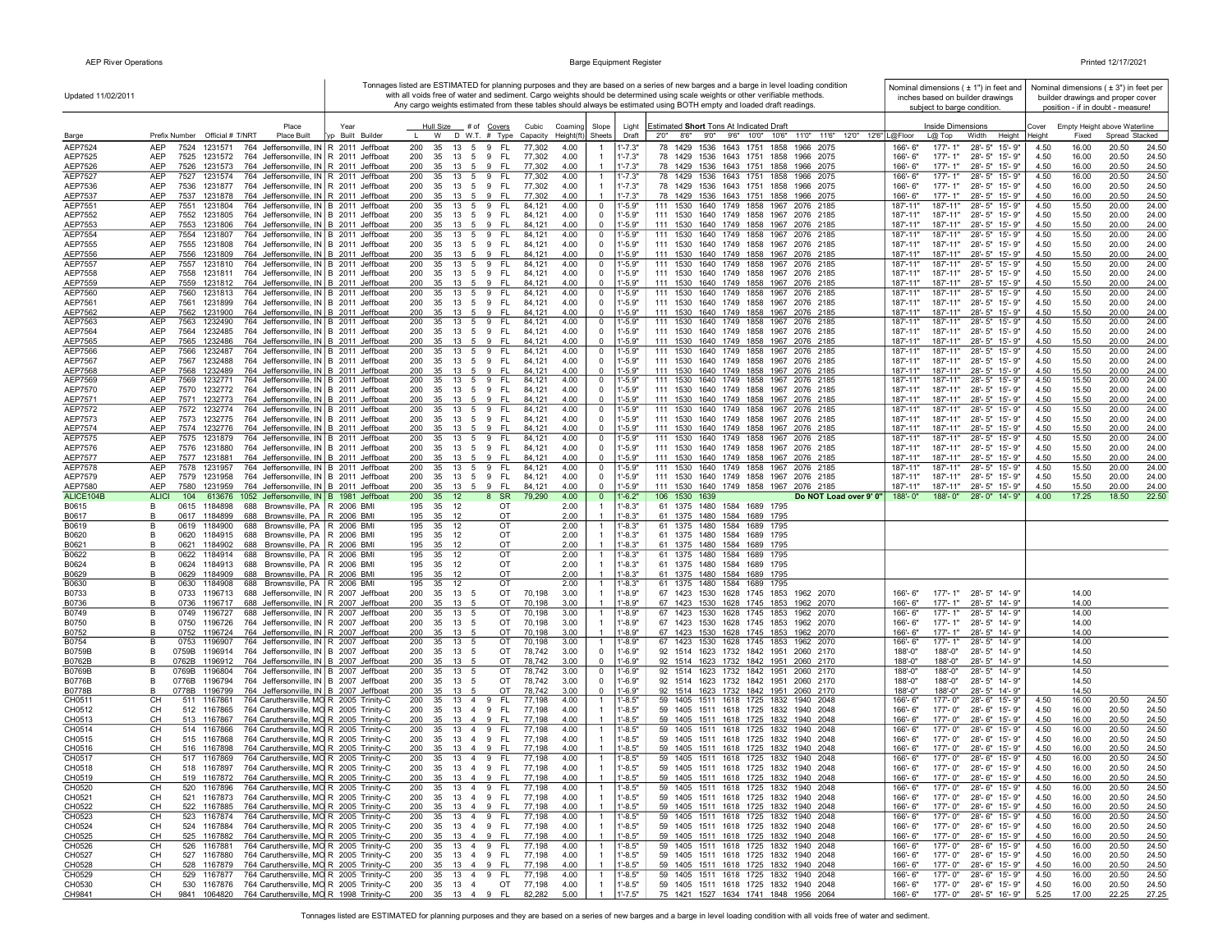| Updated 11/02/2011        |                                                                                                                                               |                          |                                                                          |                                  |                                  |                            | Tonnages listed are ESTIMATED for planning purposes and they are based on a series of new barges and a barge in level loading condition<br>with all voids free of water and sediment. Cargo weights should be determined using scale weights or other verifiable methods. |                         |                             | Nominal dimensions $( \pm 1" )$ in feet and<br>inches based on builder drawings |                |                | Nominal dimensions $(±3")$ in feet per<br>builder drawings and proper cover |  |
|---------------------------|-----------------------------------------------------------------------------------------------------------------------------------------------|--------------------------|--------------------------------------------------------------------------|----------------------------------|----------------------------------|----------------------------|---------------------------------------------------------------------------------------------------------------------------------------------------------------------------------------------------------------------------------------------------------------------------|-------------------------|-----------------------------|---------------------------------------------------------------------------------|----------------|----------------|-----------------------------------------------------------------------------|--|
|                           |                                                                                                                                               |                          |                                                                          |                                  |                                  |                            | Any cargo weights estimated from these tables should always be estimated using BOTH empty and loaded draft readings.                                                                                                                                                      |                         | subject to barge condition. |                                                                                 |                |                | position - if in doubt - measure!                                           |  |
|                           | Place<br>Prefix Number Official # T/NRT<br>Place Built                                                                                        | Year<br>/p Built Builder | Hull Size<br># of Covers<br>D W.T. # Type Capacity<br>W                  | Cubic<br>Coaming<br>Height(ft    | Slope<br>Sheets                  | Light<br>Draft             | Estimated Short Tons At Indicated Draft<br>8'6" 9'0" 9'6" 10'0" 10'6"<br>11'0" 11'6" 12'0" 12'6" L@Floor<br>2'0"                                                                                                                                                          |                         | Inside Dimensions           |                                                                                 | Cover          | Fixed          | Empty Height above Waterline<br>Spread Stacked                              |  |
| Barge<br>AEP7524          | <b>AEP</b><br>7524<br>1231571<br>764 Jeffersonville, IN R 2011 Jeffboat                                                                       |                          | 200<br>35<br>13<br>5 9<br>- FL                                           | 4.00<br>77,302                   | -1                               | $1' - 7.3"$                | 78 1429 1536 1643 1751 1858<br>1966 2075                                                                                                                                                                                                                                  | 166'-6"                 | $L@$ Top<br>177'-1"         | Width<br>Height<br>28'-5" 15'-9"                                                | Height<br>4.50 | 16.00          | 20.50<br>24.50                                                              |  |
| AEP7525                   | <b>AEP</b><br>7525<br>1231572<br>764 Jeffersonville, IN R 2011 Jeffboat                                                                       |                          | 200<br>35<br>13<br>5 9 FL                                                | 77,302<br>4.00                   |                                  | $1' - 7.3"$                | 78 1429 1536 1643 1751 1858 1966 2075                                                                                                                                                                                                                                     | 166'-6"                 | $177 - 1"$                  | 28'-5" 15'-9"                                                                   | 4.50           | 16.00          | 20.50<br>24.50                                                              |  |
| AEP7526<br>AEP7527        | AEP<br>1231573<br>764 Jeffersonville, IN R 2011 Jeffboat<br>7526<br>AEP<br>7527 1231574<br>764 Jeffersonville, IN R 2011 Jeffboat             |                          | 200<br>35<br>13<br>5 9<br>- FL<br>200<br>35<br>13 5 9<br>- FL            | 77,302<br>4.00<br>77,302<br>4.00 | $\overline{1}$<br>-1             | $1' - 7.3"$<br>$1' - 7.3"$ | 78 1429 1536 1643 1751 1858 1966 2075<br>78 1429 1536 1643 1751 1858 1966 2075                                                                                                                                                                                            | 166'-6"<br>166'-6"      | $177 - 1"$<br>177'-1"       | 28'-5" 15'-9"<br>28'-5" 15'-9"                                                  | 4.50<br>4.50   | 16.00<br>16.00 | 20.50<br>24.50<br>20.50<br>24.50                                            |  |
| AEP7536                   | AEP<br>764 Jeffersonville, IN R 2011 Jeffboat<br>7536<br>1231877                                                                              |                          | 200<br>35<br>13 5 9<br>- FL                                              | 4.00<br>77,302                   |                                  | $1' - 7.3"$                | 78 1429 1536 1643 1751 1858 1966 2075                                                                                                                                                                                                                                     | 166'-6"                 | 177'-1"                     | 28'-5" 15'-9"                                                                   | 4.50           | 16.00          | 20.50<br>24.50                                                              |  |
| AEP7537<br>AEP7551        | 764 Jeffersonville, IN R 2011 Jeffboat<br>AEP<br>7537<br>1231878<br>AEP<br>7551<br>764 Jeffersonville, IN B 2011 Jeffboat<br>1231804          |                          | - FL<br>200<br>35<br>13 5<br>9<br>200<br>35<br>13<br>5<br>9<br>FL.       | 4.00<br>77,302<br>84.121<br>4.00 | $\mathbf{1}$<br>0                | $1' - 7.3"$<br>$1' - 5.9"$ | 78 1429 1536 1643 1751 1858 1966 2075<br>111 1530 1640 1749 1858 1967<br>2076 2185                                                                                                                                                                                        | 166'-6"<br>187'-11"     | 177'-1"<br>187'-11"         | 28'-5" 15'-9"<br>28'-5" 15'-9"                                                  | 4.50<br>4.50   | 16.00<br>15.50 | 20.50<br>24.50<br>20.00<br>24.00                                            |  |
| AEP7552                   | AEP<br>764 Jeffersonville, IN B 2011 Jeffboat<br>7552<br>1231805<br><b>AEP</b>                                                                |                          | 35<br>- FL<br>200<br>13 5 9<br>200<br>- FL                               | 4.00<br>84,121<br>4.00           | $\mathbf 0$<br>$\mathbf 0$       | $1' - 5.9"$<br>$1' - 5.9"$ | 111 1530 1640 1749 1858 1967 2076 2185                                                                                                                                                                                                                                    | 187'-11"<br>187'-11"    | 187'-11"                    | 28'-5" 15'-9"                                                                   | 4.50<br>4.50   | 15.50          | 20.00<br>24.00                                                              |  |
| AEP7553<br>AEP7554        | 7553<br>1231806<br>764 Jeffersonville, IN B 2011 Jeffboat<br>AEP<br>7554<br>1231807<br>764 Jeffersonville, IN B 2011 Jeffboat                 |                          | 35 13 5 9<br>200<br>13<br>5 9<br>FL.<br>35                               | 84,121<br>84,121<br>4.00         | 0                                | "-5.9"                     | 111 1530 1640 1749 1858 1967 2076 2185<br>1640 1749 1858 1967 2076 2185<br>111 1530                                                                                                                                                                                       | 187'-11"                | 187'-11"<br>187'-11"        | 28'-5" 15'-9"<br>28'-5" 15'-9"                                                  | 4.50           | 15.50<br>15.50 | 20.00<br>24.00<br>20.00<br>24.00                                            |  |
| AEP7555                   | AEP<br>7555<br>1231808<br>764 Jeffersonville, IN B 2011 Jeffboat                                                                              |                          | 200<br>35<br>13 5 9<br>- FL                                              | 4.00<br>84,121                   | 0<br>$\mathbf 0$                 | $1' - 5.9"$<br>$1' - 5.9"$ | 111 1530 1640 1749 1858 1967 2076 2185                                                                                                                                                                                                                                    | 187'-11"                | 187'-11"                    | 28'-5" 15'-9"                                                                   | 4.50           | 15.50          | 20.00<br>24.00                                                              |  |
| AEP7556<br>AEP7557        | AEP<br>7556<br>1231809<br>764 Jeffersonville, IN B 2011 Jeffboat<br>AEP<br>7557<br>764 Jeffersonville, IN B 2011 Jeffboat<br>1231810          |                          | 200<br>35 13 5 9 FL<br>35<br>13 5 9<br>- FL<br>200                       | 84,121<br>4.00<br>84,121<br>4.00 | 0                                | 1'-5.9"                    | 111 1530 1640 1749 1858 1967 2076 2185<br>111 1530 1640 1749 1858 1967 2076 2185                                                                                                                                                                                          | 187'-11"<br>187'-11"    | 187'-11"<br>187'-11"        | 28'-5" 15'-9"<br>28'-5" 15'-9"                                                  | 4.50<br>4.50   | 15.50<br>15.50 | 20.00<br>24.00<br>20.00<br>24.00                                            |  |
| AEP7558<br>AEP7559        | AEP<br>7558<br>1231811<br>764 Jeffersonville, IN B 2011 Jeffboat<br>AEP<br>7559<br>1231812<br>764 Jeffersonville, IN B 2011 Jeffboat          |                          | 200<br>35 13 5 9 FL<br>200<br>35<br>13 5 9<br>- FL                       | 84,121<br>4.00<br>84,121<br>4.00 | 0<br>$\mathbf 0$                 | 1'-5.9"<br>$1' - 5.9"$     | 111 1530 1640 1749 1858 1967 2076 2185<br>111 1530 1640 1749 1858 1967 2076 2185                                                                                                                                                                                          | 187'-11"<br>187'-11"    | 187'-11"<br>187'-11"        | 28'-5" 15'-9"<br>28'-5" 15'-9"                                                  | 4.50<br>4.50   | 15.50<br>15.50 | 20.00<br>24.00<br>20.00<br>24.00                                            |  |
| AEP7560                   | AEP<br>7560<br>1231813<br>764 Jeffersonville, IN B 2011 Jeffboat                                                                              |                          | 200<br>35<br>-FL<br>13<br>5<br>9                                         | 84,121<br>4.00                   | 0                                | l'-5.9"                    | 111 1530<br>1640 1749 1858 1967 2076 2185                                                                                                                                                                                                                                 | 187'-11"                | 187'-11"                    | $28 - 5"$<br>15'-9"                                                             | 4.50           | 15.50          | 20.00<br>24.00                                                              |  |
| AEP7561<br>AEP7562        | AEP<br>7561<br>1231899<br>764 Jeffersonville, IN B 2011 Jeffboat<br>AEP<br>7562<br>1231900<br>764 Jeffersonville, IN B 2011 Jeffboat          |                          | 200<br>35<br>13<br>5<br>9<br>- FL<br>200<br>35<br>13<br>5<br>9<br>-FL    | 84,121<br>4.00<br>4.00<br>84,121 | 0<br>0                           | 1'.5.9"<br>$1' - 5.9"$     | 111 1530 1640 1749 1858 1967 2076 2185<br>111 1530 1640 1749 1858 1967 2076 2185                                                                                                                                                                                          | 187'-11"<br>187'-11"    | 187'-11"<br>187'-11"        | $28 - 5"$<br>15'-9"<br>$28 - 5"$<br>15'-9"                                      | 4.50<br>4.50   | 15.50<br>15.50 | 20.00<br>24.00<br>20.00<br>24.00                                            |  |
| AEP7563                   | AEP<br>7563<br>1232490<br>764 Jeffersonville, IN B 2011 Jeffboat                                                                              |                          | 200<br>35<br>13 5<br>9<br>- FL                                           | 84,121<br>4.00                   | $\overline{0}$                   | 1'-5.9"                    | 111 1530 1640 1749 1858 1967 2076 2185                                                                                                                                                                                                                                    | 187'-11"                | 187'-11"                    | 28'-5" 15'-9"                                                                   | 4.50           | 15.50          | 20.00<br>24.00                                                              |  |
| AEP7564<br>AEP7565        | AEP<br>7564<br>1232485<br>764 Jeffersonville, IN B 2011 Jeffboat<br><b>AEP</b><br>7565<br>1232486<br>764 Jeffersonville, IN B 2011 Jeffboat   |                          | 13 5 9 FL<br>200<br>35<br>200<br>35<br>13<br>9<br>- FL<br>- 5            | 84,121<br>4.00<br>84,121<br>4.00 | 0<br>$^{\circ}$                  | $1' - 5.9"$<br>$1' - 5.9"$ | 111 1530 1640 1749 1858 1967 2076 2185<br>111 1530 1640 1749 1858 1967 2076 2185                                                                                                                                                                                          | 187'-11"<br>187'-11"    | 187'-11"<br>187'-11"        | 28'-5" 15'-9"<br>28'-5" 15'-9"                                                  | 4.50<br>4.50   | 15.50<br>15.50 | 20.00<br>24.00<br>20.00<br>24.00                                            |  |
| AEP7566                   | <b>AEP</b><br>7566<br>764 Jeffersonville, IN B 2011 Jeffboat<br>1232487                                                                       |                          | 200<br>13<br>5<br>9<br>FL.<br>35                                         | 84,121<br>4.00                   | 0                                | $1' - 5.9"$                | 111 1530 1640 1749 1858 1967 2076 2185                                                                                                                                                                                                                                    | 187'-11"                | 187'-11"                    | 28'-5" 15'-9"                                                                   | 4.50           | 15.50          | 20.00<br>24.00                                                              |  |
| AEP7567<br>AEP7568        | AEP<br>7567<br>1232488<br>764 Jeffersonville, IN B 2011 Jeffboat<br>1232489<br>764 Jeffersonville, IN B 2011 Jeffboat<br>AEP<br>7568          |                          | 200<br>35 13 5 9 FL<br>- FL<br>200<br>35<br>13 5 9                       | 4.00<br>84,121<br>4.00<br>84,121 | $\mathbf 0$<br>$\mathbf 0$       | $1' - 5.9"$<br>$1' - 5.9"$ | 111 1530 1640 1749 1858 1967 2076 2185<br>111 1530 1640 1749 1858 1967 2076 2185                                                                                                                                                                                          | 187'-11"<br>187'-11"    | 187'-11"<br>187'-11"        | 28'-5" 15'-9"<br>28'-5" 15'-9"                                                  | 4.50<br>4.50   | 15.50<br>15.50 | 20.00<br>24.00<br>20.00<br>24.00                                            |  |
| AEP7569                   | AEP<br>7569 1232771<br>764 Jeffersonville, IN B 2011 Jeffboat                                                                                 |                          | 35 13 5 9 FL<br>200                                                      | 84,121<br>4.00                   | 0                                | 1'-5.9"                    | 111 1530 1640 1749 1858 1967 2076 2185                                                                                                                                                                                                                                    | 187'-11"                | 187'-11"                    | 28'-5" 15'-9"                                                                   | 4.50           | 15.50          | 20.00<br>24.00                                                              |  |
| AEP7570<br>AEP7571        | AEP<br>7570 1232772 764 Jeffersonville, IN B 2011 Jeffboat<br>AEP<br>7571<br>1232773<br>764 Jeffersonville, IN B 2011 Jeffboat                |                          | 200<br>35 13 5 9 FL<br>200<br>35<br>13<br>9<br><b>FL</b><br>- 5          | 84,121<br>4.00<br>84,121<br>4.00 | $\mathbf 0$<br>$\overline{0}$    | $1' - 5.9"$<br>$1' - 5.9"$ | 111 1530 1640 1749 1858 1967 2076 2185<br>111 1530 1640 1749 1858 1967 2076 2185                                                                                                                                                                                          | 187'-11"<br>187'-11"    | 187'-11"                    | 187'-11" 28'-5" 15'-9"<br>28'-5" 15'-9"                                         | 4.50<br>4.50   | 15.50<br>15.50 | 20.00<br>24.00<br>20.00<br>24.00                                            |  |
| AEP7572                   | AEP<br>7572 1232774<br>764 Jeffersonville, IN B 2011 Jeffboat                                                                                 |                          | 200<br>35<br>13<br>-FL<br>5<br>9                                         | 84,121<br>4.00                   | 0                                | $1' - 5.9"$                | 111 1530 1640 1749 1858 1967 2076 2185                                                                                                                                                                                                                                    | 187'-11"                | 187'-11"                    | 28'-5" 15'-9"                                                                   | 4.50           | 15.50          | 20.00<br>24.00                                                              |  |
| AEP7573<br>AEP7574        | 7573 1232775<br>764 Jeffersonville, IN B 2011 Jeffboat<br>AEP<br>AEP<br>764 Jeffersonville, IN B 2011 Jeffboat<br>7574<br>1232776             |                          | 200<br>5 9<br>- FL<br>35<br>13<br>200<br>9<br>35<br>13<br>5<br>-FL       | 84,121<br>4.00<br>4.00<br>84,121 | 0<br>$\overline{0}$              | $1' - 5.9"$<br>l'-5.9"     | 111 1530 1640 1749 1858 1967 2076 2185<br>111 1530 1640 1749 1858 1967 2076 2185                                                                                                                                                                                          | 187'-11"<br>187'-11"    | 187'-11"<br>187'-11"        | 28'-5" 15'-9"<br>28'-5" 15'-9"                                                  | 4.50<br>4.50   | 15.50<br>15.50 | 20.00<br>24.00<br>20.00<br>24.00                                            |  |
| AEP7575                   | 764 Jeffersonville, IN B 2011 Jeffboat<br>AEP<br>7575 1231879                                                                                 |                          | 200<br>5<br>9<br>FL.<br>35<br>13                                         | 84,121<br>4.00                   | 0                                | 1'-5.9"                    | 111 1530 1640 1749 1858 1967 2076 2185                                                                                                                                                                                                                                    | 187'-11"                | 187'-11"                    | 28'-5" 15'-9"                                                                   | 4.50           | 15.50          | 20.00<br>24.00                                                              |  |
| AEP7576<br><b>AEP7577</b> | AEP<br>764 Jeffersonville, IN B 2011 Jeffboat<br>7576<br>1231880<br>AEP<br>764 Jeffersonville, IN B 2011 Jeffboat<br>7577 1231881             |                          | 200<br>35<br>13 5<br>9<br>FL.<br>200<br>35<br>13 5 9<br>- FL             | 4.00<br>84,121<br>4.00<br>84,121 | $\mathbf 0$<br>$^{\circ}$        | $1' - 5.9"$<br>$1' - 5.9"$ | 111 1530 1640 1749 1858 1967 2076 2185<br>111 1530 1640 1749 1858 1967 2076 2185                                                                                                                                                                                          | 187'-11"<br>187'-11"    | 187'-11"<br>187'-11"        | 28'-5" 15'-9"<br>28'-5" 15'-9"                                                  | 4.50<br>4.50   | 15.50<br>15.50 | 20.00<br>24.00<br>20.00<br>24.00                                            |  |
| AEP7578                   | <b>AEP</b><br>7578<br>1231957<br>764 Jeffersonville, IN B 2011 Jeffboat                                                                       |                          | 200<br>35<br>13 5<br>9<br>FL.                                            | 84,121<br>4.00                   | 0                                | $1' - 5.9"$                | 111 1530 1640 1749 1858 1967<br>2076 2185                                                                                                                                                                                                                                 | 187'-11'                | 187'-11"                    | 28'-5" 15'-9"                                                                   | 4.50           | 15.50          | 20.00<br>24.00                                                              |  |
| AEP7579<br>AEP7580        | AEP<br>7579<br>764 Jeffersonville, IN B 2011 Jeffboat<br>1231958<br>AEP<br>7580<br>1231959<br>764 Jeffersonville, IN B 2011 Jeffboat          |                          | 200<br>35<br>- FL<br>13 5 9<br>35 13 5 9 FL<br>200                       | 84,121<br>4.00<br>4.00<br>84,121 | $\mathbf 0$<br>$^{\circ}$        | $1' - 5.9"$<br>$1' - 5.9"$ | 111 1530 1640 1749 1858 1967 2076 2185<br>111 1530 1640 1749 1858 1967 2076 2185                                                                                                                                                                                          | 187'-11"<br>187'-11"    | 187'-11"<br>187'-11"        | 28'-5" 15'-9"<br>28'-5" 15'-9"                                                  | 4.50<br>4.50   | 15.50<br>15.50 | 20.00<br>24.00<br>20.00<br>24.00                                            |  |
| ALICE104B                 | <b>ALICI</b><br>104<br>613676 1052 Jeffersonville, IN B 1981 Jeffboat                                                                         |                          | 200<br>8 SR<br>35 12                                                     | 79,290<br>4.00                   | $\mathbf{0}$                     | $1'$ -6.2"                 | 106 1530 1639<br>Do NOT Load over 9' 0"                                                                                                                                                                                                                                   | 188'-0"                 |                             | 188'-0" 28'-0" 14'-9"                                                           | 4.00           | 17.25          | 22.50<br>18.50                                                              |  |
| B0615<br>B0617            | Brownsville, PA R 2006 BMI<br>B<br>0615<br>1184898<br>688<br>Brownsville, PA   R 2006 BMI<br>B<br>0617 1184899<br>688                         |                          | 195<br>35 12<br>OT<br>35 12<br>OT<br>195                                 | 2.00<br>2.00                     |                                  | $1' - 8.3"$<br>$1' - 8.3"$ | 61 1375 1480 1584 1689 1795<br>61 1375 1480 1584 1689 1795                                                                                                                                                                                                                |                         |                             |                                                                                 |                |                |                                                                             |  |
| B0619                     | B<br>0619<br>1184900<br>Brownsville, PA   R 2006 BMI<br>688                                                                                   |                          | 195<br>35<br>12<br>OT                                                    | 2.00                             |                                  | $1' - 8.3"$                | 61 1375 1480 1584<br>1689<br>1795                                                                                                                                                                                                                                         |                         |                             |                                                                                 |                |                |                                                                             |  |
| B0620<br>B0621            | 1184915<br>Brownsville, PA   R 2006 BMI<br>0620<br>688<br>в<br>Brownsville, PA   R 2006 BMI<br>0621<br>1184902<br>688<br>в                    |                          | 35<br>OT<br>195<br>12<br>12<br>OT<br>195<br>35                           | 2.00<br>2.00                     |                                  | $1' - 8.3"$<br>$1' - 8.3"$ | 61 1375 1480 1584<br>1689<br>1795<br>61 1375 1480 1584<br>1689<br>1795                                                                                                                                                                                                    |                         |                             |                                                                                 |                |                |                                                                             |  |
| B0622<br>B0624            | в<br>0622<br>1184914<br>688<br>Brownsville, PA   R 2006 BMI<br>в<br>0624<br>1184913<br>688                                                    | R 2006 BMI               | 35<br>OT<br>195<br>-12<br>195<br>35<br>- 12<br>OT                        | 2.00<br>2.00                     | -1                               | $1' - 8.3"$<br>$1' - 8.3"$ | 61 1375 1480 1584<br>1689<br>1795<br>1689<br>1795                                                                                                                                                                                                                         |                         |                             |                                                                                 |                |                |                                                                             |  |
| B0629                     | Brownsville, PA<br>0629<br>1184909<br>688 Brownsville, PA R 2006 BMI<br>B                                                                     |                          | 195<br>35<br>12<br>OT                                                    | 2.00                             |                                  | $1' - 8.3"$                | 61 1375 1480 1584<br>61 1375 1480 1584 1689 1795                                                                                                                                                                                                                          |                         |                             |                                                                                 |                |                |                                                                             |  |
| B0630<br>B0733            | B<br>0630<br>1184908<br>688<br>Brownsville, PA   R 2006 BMI<br>B<br>1196713<br>688 Jeffersonville, IN R 2007 Jeffboat<br>0733                 |                          | 195<br>35<br>12<br>OT<br>200<br>35<br>13 5<br>OT                         | 2.00<br>70,198<br>3.00           | -1                               | $1' - 8.3"$<br>$1' - 8.9"$ | 61 1375 1480 1584<br>1689<br>1795<br>67 1423 1530 1628 1745 1853 1962 2070                                                                                                                                                                                                | 166'-6"                 | $177 - 1"$                  | 28'-5" 14'-9"                                                                   |                | 14.00          |                                                                             |  |
| B0736                     | B<br>688 Jeffersonville, IN R 2007 Jeffboat<br>0736<br>1196717                                                                                |                          | OT<br>200<br>35<br>13 5                                                  | 3.00<br>70,198                   |                                  | $1' - 8.9"$                | 67 1423 1530 1628 1745 1853 1962 2070                                                                                                                                                                                                                                     | $166' - 6''$            | $177 - 1"$                  | 28'-5" 14'-9"                                                                   |                | 14.00          |                                                                             |  |
| B0749<br>B0750            | 688 Jeffersonville, IN R 2007 Jeffboat<br>B<br>0749 1196727<br>B<br>0750<br>1196726<br>764 Jeffersonville, IN R 2007 Jeffboat                 |                          | 200<br>35 13 5<br>OT<br>200<br>35 13 5<br>OT                             | 70,198<br>3.00<br>70,198<br>3.00 | -1<br>$\overline{1}$             | 1'-8.9"<br>1'-8.9"         | 67 1423 1530 1628 1745 1853 1962 2070<br>67 1423 1530 1628 1745 1853 1962 2070                                                                                                                                                                                            | 166'-6"<br>166'-6"      | 177'-1"<br>177'-1"          | 28'-5" 14'-9"<br>28'-5" 14'-9"                                                  |                | 14.00<br>14.00 |                                                                             |  |
| B0752                     | 764 Jeffersonville, IN R 2007 Jeffboat<br>B<br>0752 1196724                                                                                   |                          | 200<br>35 13<br>OT<br>- 5                                                | 70,198<br>3.00                   |                                  | $1' - 8.9"$                | 67 1423 1530 1628 1745 1853 1962 2070                                                                                                                                                                                                                                     | 166'-6"                 | $177 - 1"$                  | 28'-5" 14'-9"                                                                   |                | 14.00          |                                                                             |  |
| B0754<br>B0759B           | B<br>0753<br>1196907<br>764 Jeffersonville, IN R 2007 Jeffboat<br>1196914<br>764 Jeffersonville, IN B 2007 Jeffboat<br>в<br>0759B             |                          | 200<br>35<br>13<br>5<br>OT<br>200<br>35<br>13<br>OT<br>5                 | 70,198<br>3.00<br>78,742<br>3.00 | $\mathbf{1}$<br>$\mathbf 0$      | $1' - 8.9"$<br>$1' - 6.9"$ | 67 1423 1530 1628 1745 1853 1962 2070<br>92 1514 1623 1732 1842 1951 2060 2170                                                                                                                                                                                            | 166'-6"<br>188'-0"      | $177 - 1"$<br>188'-0"       | 28'-5" 14'-9"<br>28'-5" 14'-9"                                                  |                | 14.00<br>14.50 |                                                                             |  |
| B0762B                    | 764 Jeffersonville, IN B 2007 Jeffboat<br>1196912<br>B<br>0762B                                                                               |                          | OT<br>200<br>35<br>13<br>- 5                                             | 78,742<br>3.00                   | $^{\circ}$                       | $1' - 6.9"$                | 92 1514 1623 1732 1842 1951 2060 2170                                                                                                                                                                                                                                     | 188'-0"                 | 188'-0"                     | 28'-5" 14'-9"                                                                   |                | 14.50          |                                                                             |  |
| B0769B<br>B0776B          | 764 Jeffersonville, IN B 2007 Jeffboat<br>в<br>0769B<br>1196804<br>764 Jeffersonville, IN B 2007 Jeffboat<br>В<br>0776B<br>1196794            |                          | OT<br>200<br>35<br>13<br>5<br>OT<br>200<br>35<br>13<br>5                 | 78,742<br>3.00<br>78,742<br>3.00 | 0<br>0                           | 1'-6.9"<br>$1' - 6.9"$     | 92 1514 1623 1732 1842 1951 2060 2170<br>92 1514 1623 1732 1842 1951 2060 2170                                                                                                                                                                                            | 188'-0"<br>188'-0"      | 188'-0"<br>188'-0"          | 28'-5" 14'-9"<br>28'-5" 14'-9"                                                  |                | 14.50<br>14.50 |                                                                             |  |
| <b>B0778B</b>             | 764 Jeffersonville, IN B 2007 Jeffboat<br>B<br>0778B<br>1196799                                                                               |                          | 200<br>35<br>13<br>OT<br>5                                               | 78,742<br>3.00                   | $\Omega$                         | 1'-6.9"                    | 92 1514 1623 1732 1842 1951 2060 2170                                                                                                                                                                                                                                     | 188'-0"                 | 188'-0"                     | 28'-5" 14'-9"                                                                   |                | 14.50          |                                                                             |  |
| CH0511<br>CH0512          | <b>CH</b><br>764 Caruthersville, MO R 2005 Trinity-C<br>511<br>1167861<br><b>CH</b><br>764 Caruthersville, MO R 2005 Trinity-C<br>512 1167865 |                          | FL.<br>200<br>35<br>13 4 9<br>200<br>35 13 4 9<br>- FL                   | 4.00<br>77,198<br>77,198<br>4.00 | $\mathbf{1}$                     | $1' - 8.5"$<br>$1' - 8.5"$ | 59 1405 1511 1618 1725 1832<br>1940 2048<br>59 1405 1511 1618 1725 1832 1940 2048                                                                                                                                                                                         | 166'-6"<br>$166' - 6''$ | 177'-0"<br>177'-0"          | 28'-6" 15'-9"<br>28'-6" 15'-9"                                                  | 4.50<br>4.50   | 16.00<br>16.00 | 24.50<br>20.50<br>20.50<br>24.50                                            |  |
| CH0513                    | 764 Caruthersville, MO R 2005 Trinity-C<br>CH<br>513 1167867                                                                                  |                          | 200<br>35 13 4 9<br>- FL                                                 | 77,198<br>4.00                   |                                  | $1' - 8.5"$                | 59 1405 1511 1618 1725 1832 1940 2048                                                                                                                                                                                                                                     | 166'-6"                 | 177'-0"                     | 28'-6" 15'-9"                                                                   | 4.50           | 16.00          | 24.50<br>20.50                                                              |  |
| CH0514<br>CH0515          | 764 Caruthersville, MO R 2005 Trinity-C<br>CН<br>514 1167866<br>CН<br>515 1167868<br>764 Caruthersville, MO R 2005 Trinity-C                  |                          | $35 \quad 13 \quad 4 \quad 9$<br>- FL<br>200<br>200<br>35 13 4 9<br>- FL | 77,198<br>4.00<br>77,198<br>4.00 | -1                               | 1'-8.5"<br>$1' - 8.5"$     | 59 1405 1511 1618 1725 1832<br>1940 2048<br>59 1405 1511 1618 1725 1832<br>1940 2048                                                                                                                                                                                      | 166'-6'<br>166'-6"      | 177'-0"<br>177'-0"          | 28'-6" 15'-9"<br>28'-6" 15'-9"                                                  | 4.50<br>4.50   | 16.00<br>16.00 | 24.50<br>20.50<br>20.50<br>24.50                                            |  |
| CH0516                    | 764 Caruthersville, MO R 2005 Trinity-C<br>CН<br>516 1167898                                                                                  |                          | 35 13 4 9<br>- FL<br>200                                                 | 77,198<br>4.00                   |                                  | $1' - 8.5"$                | 59 1405 1511 1618 1725 1832<br>1940 2048                                                                                                                                                                                                                                  | 166'-6"                 | $177 - 0"$                  | 28'-6" 15'-9"                                                                   | 4.50           | 16.00          | 20.50<br>24.50                                                              |  |
| CH0517<br>CH0518          | 764 Caruthersville, MO R 2005 Trinity-C<br>CН<br>517 1167869<br>764 Caruthersville, MO R 2005 Trinity-C<br>CH<br>518 1167897                  |                          | 200<br>35 13 4 9 FL<br>200 35 13 4 9 FL                                  | 77,198<br>4.00<br>77,198<br>4.00 | -1                               | $1'-8.5"$<br>$1' - 8.5"$   | 59 1405 1511 1618 1725 1832 1940 2048<br>59 1405 1511 1618 1725 1832 1940 2048                                                                                                                                                                                            | 166'-6"<br>166'-6"      | 177'-0"                     | 28'-6" 15'-9"<br>177'-0" 28'-6" 15'-9"                                          | 4.50<br>4.50   | 16.00<br>16.00 | 20.50<br>24.50<br>20.50<br>24.50                                            |  |
| CH0519                    | 519 1167872 764 Caruthersville, MQ R 2005 Trinity-C<br>CH.                                                                                    |                          | 200 35 13 4 9 FL                                                         | 77 198<br>$A \cap \Omega$        |                                  | $-85"$                     | 59 1405 1511 1618 1725 1832 1940 2048                                                                                                                                                                                                                                     | $166 - 6"$              |                             | 177'-0" 28'-6" 15'-9"                                                           | 450            | 16.00          | 20.50<br>24.50                                                              |  |
| CH0520<br>CH0521          | 520 1167896 764 Caruthersville, MO R 2005 Trinity-C<br>CН<br>521 1167873 764 Caruthersville, MO R 2005 Trinity-C<br>CH                        |                          | 200<br>13  4  9  FL<br>35<br>200<br>35<br>13    4    9    FL             | 77,198<br>4.00<br>77,198<br>4.00 | -1                               | 1'-8.5"<br>$1'-8.5"$       | 59 1405 1511 1618 1725 1832 1940 2048<br>59 1405 1511 1618 1725 1832 1940 2048                                                                                                                                                                                            | 166'- 6"<br>166'- 6"    | 177'-0"                     | 177'-0" 28'-6" 15'-9"<br>28'-6" 15'-9"                                          | 4.50<br>4.50   | 16.00<br>16.00 | 24.50<br>20.50<br>20.50<br>24.50                                            |  |
| CH0522                    | 764 Caruthersville, MO R 2005 Trinity-C<br>CH<br>522 1167885                                                                                  |                          | 200<br>35<br>13    4    9    FL                                          | 4.00<br>77,198                   | $\overline{1}$                   | $1' - 8.5"$                | 59 1405 1511 1618 1725 1832 1940 2048                                                                                                                                                                                                                                     | 166'-6"                 | 177'-0"                     | 28'-6" 15'-9"                                                                   | 4.50           | 16.00          | 20.50<br>24.50                                                              |  |
| CH0523<br>CH0524          | CH<br>523 1167874 764 Caruthersville, MO R 2005 Trinity-C<br>524 1167884 764 Caruthersville, MO R 2005 Trinity-C<br>CH.                       |                          | 200<br>35<br>13  4  9  FL<br>200<br>35<br>13   4   9   FL                | 77,198<br>4.00<br>77,198<br>4.00 | $\overline{1}$<br>$\overline{1}$ | $1' - 8.5"$<br>$1' - 8.5"$ | 59 1405 1511 1618 1725 1832 1940 2048<br>59 1405 1511 1618 1725 1832 1940 2048                                                                                                                                                                                            | 166'-6"<br>166'-6"      | 177'-0"                     | 28'-6" 15'-9"<br>177'-0" 28'-6" 15'-9"                                          | 4.50<br>4.50   | 16.00<br>16.00 | 20.50<br>24.50<br>20.50<br>24.50                                            |  |
| CH0525                    | 764 Caruthersville, MO R 2005 Trinity-C<br>CH<br>525 1167882                                                                                  |                          | 200<br>35 13 4 9 FL                                                      | 77,198<br>4.00                   | $\overline{1}$                   | $1' - 8.5"$                | 59 1405 1511 1618 1725 1832 1940 2048                                                                                                                                                                                                                                     | 166'-6"                 | 177'-0"                     | 28'-6" 15'-9"                                                                   | 4.50           | 16.00          | 20.50<br>24.50                                                              |  |
| CH0526<br>CH0527          | 764 Caruthersville, MO R 2005 Trinity-C<br>CH<br>526 1167881<br>527 1167880 764 Caruthersville, MO R 2005 Trinity-C<br><b>CH</b>              |                          | 200<br>35 13 4 9 FL<br>200<br>35 13 4 9 FL                               | 4.00<br>77,198<br>4.00<br>77,198 | $\overline{1}$                   | $1'-8.5"$<br>$1' - 8.5"$   | 59 1405 1511 1618 1725 1832 1940 2048<br>59 1405 1511 1618 1725 1832 1940 2048                                                                                                                                                                                            | 166'-6"<br>166'- 6"     | $177 - 0"$                  | 28'-6" 15'-9"<br>177'-0" 28'-6" 15'-9"                                          | 4.50<br>4.50   | 16.00<br>16.00 | 24.50<br>20.50<br>20.50<br>24.50                                            |  |
| CH0528                    | <b>CH</b><br>528 1167879 764 Caruthersville, MO R 2005 Trinity-C                                                                              |                          | 200<br>35 13 4 9 FL                                                      | 4.00<br>77,198                   | $\mathbf{1}$                     | $1'-8.5"$                  | 59 1405 1511 1618 1725 1832 1940 2048                                                                                                                                                                                                                                     | 166'-6"                 |                             | 177'-0" 28'-6" 15'-9"                                                           | 4.50           | 16.00          | 20.50<br>24.50                                                              |  |
| CH0529<br>CH0530          | <b>CH</b><br>529 1167877 764 Caruthersville, MO R 2005 Trinity-C<br>530 1167876 764 Caruthersville, MO R 2005 Trinity-C<br>CH                 |                          | 35 13 4 9 FL<br>200<br>200 35 13 4 OT 77,198                             | 77,198<br>4.00<br>4.00           | $\overline{1}$<br>$\overline{1}$ | $1' - 8.5"$<br>$1' - 8.5"$ | 59 1405 1511 1618 1725 1832 1940 2048<br>59 1405 1511 1618 1725 1832 1940 2048                                                                                                                                                                                            | 166'-6"<br>166'-6"      |                             | 177'-0" 28'-6" 15'-9"<br>177'-0" 28'-6" 15'-9"                                  | 4.50<br>4.50   | 16.00<br>16.00 | 20.50<br>24.50<br>20.50<br>24.50                                            |  |
| CH9841                    | 9841 1064820 764 Caruthersville, MO R 1998 Trinity-C<br>CH                                                                                    |                          | 200 35 13 4 9 FL                                                         | 82,282<br>5.00                   | $\overline{1}$                   | $1' - 7.5"$                | 75 1421 1527 1634 1741 1848 1956 2064                                                                                                                                                                                                                                     |                         |                             | 166'-6" 177'-0" 28'-5" 16'-9"                                                   | 5.25           | 17.00          | 22.25<br>27.25                                                              |  |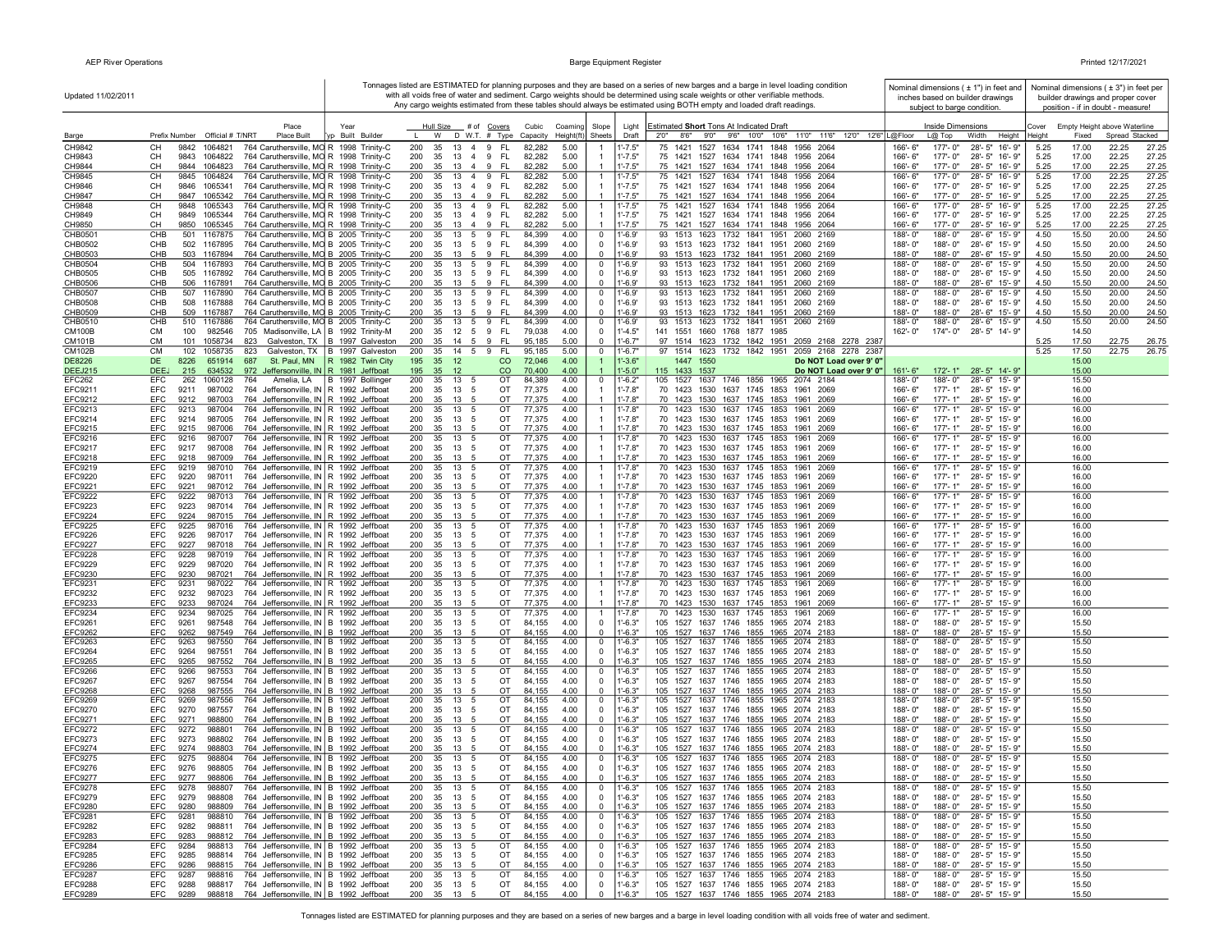| Updated 11/02/2011               |                                                                                                                                             |                                  |            |                                       |                              |                        |                      |                                |                            | Tonnages listed are ESTIMATED for planning purposes and they are based on a series of new barges and a barge in level loading condition<br>with all voids free of water and sediment. Cargo weights should be determined using scale weights or other verifiable methods. |                                                  |                        |                               | Nominal dimensions $(± 1")$ in feet and<br>inches based on builder drawings |                 |                | Nominal dimensions ( $\pm$ 3") in feet per<br>builder drawings and proper cover |                |
|----------------------------------|---------------------------------------------------------------------------------------------------------------------------------------------|----------------------------------|------------|---------------------------------------|------------------------------|------------------------|----------------------|--------------------------------|----------------------------|---------------------------------------------------------------------------------------------------------------------------------------------------------------------------------------------------------------------------------------------------------------------------|--------------------------------------------------|------------------------|-------------------------------|-----------------------------------------------------------------------------|-----------------|----------------|---------------------------------------------------------------------------------|----------------|
|                                  |                                                                                                                                             |                                  |            |                                       |                              |                        |                      |                                |                            | Any cargo weights estimated from these tables should always be estimated using BOTH empty and loaded draft readings.                                                                                                                                                      |                                                  |                        | subject to barge condition.   |                                                                             |                 |                | position - if in doubt - measure!                                               |                |
| Barge                            | Place<br>Prefix Number<br>Official # T/NRT<br>Place Built                                                                                   | Year<br>vp Built Builder         |            | Hull Size<br>W                        | # of Covers<br>D W.T. # Type | Cubic<br>Capacity      | Coaming<br>Height(ft | Slope<br>Sheets                | Light<br>Draft             | Estimated Short Tons At Indicated Draft<br>8'6" 9'0" 9'6" 10'0" 10'6"<br>2'0''                                                                                                                                                                                            | 11'0" 11'6" 12'0" 12'6" L@Floor                  |                        | Inside Dimensions<br>$L@$ Top | Width<br>Height                                                             | Cover<br>leight | Fixed          | Empty Height above Waterline<br>Spread Stacked                                  |                |
| CH9842                           | CН<br>9842<br>1064821<br>764 Caruthersville, MO R 1998 Trinity-C                                                                            |                                  | 200        | 35<br>13                              | 4 9<br>FL.                   | 82,282                 | 5.00                 |                                | $1' - 7.5"$                | 75 1421 1527 1634 1741 1848                                                                                                                                                                                                                                               | 1956 2064                                        | 166'-6"                | 177'-0"                       | 28'-5" 16'-9"                                                               | 5.25            | 17.00          | 22.25                                                                           | 27.25          |
| CH9843<br>CH9844                 | CH<br>9843 1064822<br>764 Caruthersville, MO R 1998 Trinity-C<br>764 Caruthersville, MO R 1998 Trinity-C<br>CН<br>9844 1064823              |                                  | 200<br>200 | 35<br>13 4 9<br>35<br>13 4 9          | - FL<br>- FL                 | 82,282<br>82,282       | 5.00<br>5.00         |                                | $1' - 7.5"$<br>$1' - 7.5"$ | 75 1421 1527 1634 1741 1848 1956 2064<br>75 1421 1527 1634 1741 1848 1956 2064                                                                                                                                                                                            |                                                  | 166'-6"<br>166'-6"     | 177'-0"<br>177'-0"            | 28'-5" 16'-9"<br>28'-5" 16'-9"                                              | 5.25<br>5.25    | 17.00<br>17.00 | 22.25<br>22.25                                                                  | 27.25<br>27.25 |
| CH9845                           | СH<br>9845 1064824<br>764 Caruthersville, MO R 1998 Trinity-C                                                                               |                                  | 200        | 13 4 9<br>35                          | - FL                         | 82,282                 | 5.00                 |                                | $1' - 7.5"$                | 75 1421 1527 1634 1741 1848 1956 2064                                                                                                                                                                                                                                     |                                                  | 166'-6"                | 177'-0"                       | 28'-5" 16'-9"                                                               | 5.25            | 17.00          | 22.25                                                                           | 27.25          |
| CH9846<br>CH9847                 | 764 Caruthersville, MO R 1998 Trinity-C<br>CН<br>9846 1065341<br>764 Caruthersville, MO R 1998 Trinity-C<br>CН<br>9847<br>1065342           |                                  | 200<br>200 | 35<br>13 4 9<br>13 4 9<br>35          | - FL<br>- FL                 | 82,282<br>82,282       | 5.00<br>5.00         |                                | $1' - 7.5"$<br>$1' - 7.5"$ | 75 1421 1527 1634 1741 1848 1956 2064<br>75 1421 1527 1634 1741 1848 1956 2064                                                                                                                                                                                            |                                                  | 166'-6"<br>166'-6"     | 177'-0"<br>177'-0"            | 28'-5" 16'-9"<br>28'-5" 16'-9"                                              | 5.25<br>5.25    | 17.00<br>17.00 | 22.25<br>22.25                                                                  | 27.25<br>27.25 |
| CH9848                           | CН<br>9848<br>1065343<br>764 Caruthersville, MO R 1998 Trinity-C                                                                            |                                  | 200        | 35<br>13 4 9                          | FL.                          | 82,282                 | 5.00                 | $\overline{1}$                 | $1' - 7.5"$                | 75 1421 1527 1634 1741 1848                                                                                                                                                                                                                                               | 1956 2064                                        | 166'-6"                | 177'-0"                       | 28'-5" 16'-9"                                                               | 5.25            | 17.00          | 22.25                                                                           | 27.25          |
| CH9849<br>CH9850                 | CH<br>764 Caruthersville, MO R 1998 Trinity-C<br>9849 1065344<br>764 Caruthersville, MO R 1998 Trinity-C<br>CН<br>9850 1065345              |                                  | 200<br>200 | 35 13 4 9<br>35 13 4 9 FL             | FL.                          | 82,282<br>82,282       | 5.00<br>5.00         | $\mathbf{1}$                   | $1' - 7.5"$<br>$1' - 7.5"$ | 75 1421 1527 1634 1741 1848 1956 2064<br>75 1421 1527 1634 1741 1848 1956 2064                                                                                                                                                                                            |                                                  | 166'-6"<br>166'-6"     | 177'-0"<br>177'-0"            | 28'-5" 16'-9"<br>28'-5" 16'-9"                                              | 5.25<br>5.25    | 17.00<br>17.00 | 22.25<br>22.25                                                                  | 27.25<br>27.25 |
| CHB0501                          | CHB<br>501 1167875<br>764 Caruthersville, MO B 2005 Trinity-C                                                                               |                                  | 200        | 13 5 9<br>35                          | FL.                          | 84,399                 | 4.00                 | $\mathbf 0$                    | $1' - 6.9'$                | 93 1513 1623 1732 1841 1951 2060 2169                                                                                                                                                                                                                                     |                                                  | 188'-0"                | 188'-0"                       | 28'-6" 15'-9"                                                               | 4.50            | 15.50          | 20.00                                                                           | 24.50          |
| CHB0502<br>CHB0503               | CHB<br>502 1167895<br>764 Caruthersville, MO B 2005 Trinity-C<br>CHB<br>503 1167894<br>764 Caruthersville, MO B 2005 Trinity-C              |                                  | 200<br>200 | 35 13 5 9<br>35 13 5 9 FL             | - FL                         | 84,399<br>84,399       | 4.00<br>4.00         | $\mathbf 0$<br>$\overline{0}$  | $1' - 6.9'$<br>$1' - 6.9'$ | 93 1513 1623 1732 1841 1951 2060 2169<br>93 1513 1623 1732 1841 1951 2060 2169                                                                                                                                                                                            |                                                  | 188'-0"<br>188'-0"     | 188'-0"<br>188'-0"            | 28'-6" 15'-9"<br>28'-6" 15'-9"                                              | 4.50<br>4.50    | 15.50<br>15.50 | 20.00<br>20.00                                                                  | 24.50<br>24.50 |
| CHB0504                          | CHB<br>504 1167893<br>764 Caruthersville, MO B 2005 Trinity-C                                                                               |                                  | 200        | 35 13 5 9                             | - FL                         | 84,399                 | 4.00                 | $\mathbf 0$                    | $1' - 6.9'$                | 93 1513 1623 1732 1841 1951 2060 2169                                                                                                                                                                                                                                     |                                                  | 188'-0"                | 188'-0"                       | 28'-6" 15'-9"                                                               | 4.50            | 15.50          | 20.00                                                                           | 24.50          |
| CHB0505<br>CHB0506               | 764 Caruthersville, MO B 2005 Trinity-C<br>CHB<br>505 1167892<br>CHB<br>506 1167891<br>764 Caruthersville, MO B 2005 Trinity-C              |                                  | 200<br>200 | 35 13 5 9 FL<br>35<br>13 5 9          | - FL                         | 84,399<br>84,399       | 4.00<br>4.00         | $\mathbf 0$<br>$\mathbf 0$     | $1' - 6.9'$<br>$1' - 6.9'$ | 93 1513 1623 1732 1841 1951 2060 2169<br>93 1513 1623 1732 1841 1951 2060 2169                                                                                                                                                                                            |                                                  | 188'-0"<br>188'-0"     | 188'-0"<br>188'-0"            | 28'-6" 15'-9"<br>28'-6" 15'-9"                                              | 4.50<br>4.50    | 15.50<br>15.50 | 20.00<br>20.00                                                                  | 24.50<br>24.50 |
| CHB0507                          | CHB<br>507 1167890<br>764 Caruthersville, MO B 2005 Trinity-C                                                                               |                                  | 200        | 13<br>35                              | - FL<br>5 9                  | 84,399                 | 4.00                 | $\mathbf 0$                    | $1' - 6.9'$                | 93 1513 1623 1732 1841 1951                                                                                                                                                                                                                                               | 2060 2169                                        | 188'-0"                | 188'-0"                       | 28'-6" 15'-9"                                                               | 4.50            | 15.50          | 20.00                                                                           | 24.50          |
| CHB0508<br>CHB0509               | CHB<br>508 1167888<br>764 Caruthersville, MO B 2005 Trinity-C<br>764 Caruthersville, MO B 2005 Trinity-C<br>CHB<br>509 1167887              |                                  | 200<br>200 | 35<br>13<br>35<br>13<br>5             | 59<br>- FL<br>9<br>FL.       | 84,399<br>84,399       | 4.00<br>4.00         | $\mathbf 0$<br>$\mathbf 0$     | $1' - 6.9'$<br>$1' - 6.9'$ | 93 1513 1623 1732 1841 1951 2060 2169<br>93 1513 1623 1732 1841 1951 2060 2169                                                                                                                                                                                            |                                                  | 188'-0"<br>188'-0"     | 188'-0"<br>188'-0"            | 28'-6" 15'-9"<br>28'-6" 15'-9"                                              | 4.50<br>4.50    | 15.50<br>15.50 | 20.00<br>20.00                                                                  | 24.50<br>24.50 |
| CHB0510                          | CHB<br>510 1167886<br>764 Caruthersville, MO B 2005 Trinity-C                                                                               |                                  | 200        | 35 13 5 9                             | - FL                         | 84,399                 | 4.00                 | $\mathbf 0$                    | $1' - 6.9'$                | 93 1513 1623 1732 1841 1951                                                                                                                                                                                                                                               | 2060 2169                                        | 188'-0"                | 188'-0"                       | 28'-6" 15'-9"                                                               | 4.50            | 15.50          | 20.00                                                                           | 24.50          |
| CM100B<br><b>CM101B</b>          | СM<br>982546<br>705 Madisonville, LA B 1992 Trinity-M<br>100<br><b>CM</b><br>101 1058734<br>823                                             | Galveston, TX   B 1997 Galveston | 200<br>200 | 35 12 5 9 FL<br>35<br>14 5            | - FL<br>9                    | 79,038<br>95,185       | 4.00<br>5.00         | $\mathbf 0$<br>$\Omega$        | $1' - 4.5"$<br>$1' - 6.7"$ | 141 1551 1660 1768 1877 1985<br>97 1514 1623 1732 1842 1951 2059 2168 2278 2387                                                                                                                                                                                           |                                                  | 162'-0"                |                               | 174"-0" 28'-5" 14'-9"                                                       | 5.25            | 14.50<br>17.50 | 22.75                                                                           | 26.75          |
| <b>CM102B</b>                    | <b>CM</b><br>102 1058735<br>823                                                                                                             | Galveston, TX   B 1997 Galveston | 200        | 35<br>14 5 9                          | - FL                         | 95,185                 | 5.00                 | $\overline{0}$                 | $1' - 6.7"$                | 97 1514 1623 1732 1842 1951 2059 2168 2278 2387                                                                                                                                                                                                                           |                                                  |                        |                               |                                                                             | 5.25            | 17.50          | 22.75                                                                           | 26.75          |
| DE8226<br><b>DEEJ215</b>         | 651914<br>687<br>St. Paul, MN<br>DE<br>8226<br>DEE.<br>634532<br>972 Jeffersonville, IN R 1981 Jeffboat<br>215                              | R 1982 Twin City                 | 195<br>195 | 35 12<br>35 12                        | $\rm CO$<br>$\rm CO$         | 72,046<br>70,400       | 4.00<br>4.00         | $\overline{1}$                 | $1' - 3.6"$<br>$1' - 5.0"$ | 1447 1550<br>115 1433 1537                                                                                                                                                                                                                                                | Do NOT Load over 9' 0"<br>Do NOT Load over 9' 0" | $161 - 6"$             |                               | 172'-1" 28'-5" 14'-9"                                                       |                 | 15.00<br>15.00 |                                                                                 |                |
| EFC262                           | EFC<br>262 1060128<br>764                                                                                                                   | Amelia, LA   B 1997 Bollinger    | 200        | 35 13 5                               | OT                           | 84,389                 | 4.00                 | $^{\circ}$                     | $1' - 6.2"$                | 105 1527 1637 1746 1856 1965 2074 2184                                                                                                                                                                                                                                    |                                                  | 188'-0"                | 188'-0"                       | 28'-6" 15'-9"                                                               |                 | 15.50          |                                                                                 |                |
| EFC9211<br>EFC9212               | EFC<br>987002<br>764 Jeffersonville, IN R 1992 Jeffboat<br>9211<br>EFC<br>9212<br>987003<br>764 Jeffersonville, IN R 1992 Jeffboat          |                                  | 200<br>200 | 35 13 5<br>35<br>13<br>$\overline{5}$ | OT<br>OT                     | 77,375<br>77,375       | 4.00<br>4.00         |                                | $1' - 7.8"$<br>$1' - 7.8"$ | 70 1423 1530 1637 1745 1853 1961 2069<br>70 1423 1530 1637 1745 1853 1961 2069                                                                                                                                                                                            |                                                  | 166'-6"<br>166'-6"     | $177 - 1"$                    | 177'-1" 28'-5" 15'-9"<br>28'-5" 15'-9"                                      |                 | 16.00<br>16.00 |                                                                                 |                |
| EFC9213                          | EFC<br>9213<br>987004<br>764 Jeffersonville, IN R 1992 Jeffboat                                                                             |                                  | 200        | 35<br>13 5                            | OT                           | 77,375                 | 4.00                 |                                | $1' - 7.8"$                | 70 1423 1530 1637 1745 1853 1961 2069                                                                                                                                                                                                                                     |                                                  | 166'-6"                | 177'-1"                       | 28'-5" 15'-9"                                                               |                 | 16.00          |                                                                                 |                |
| EFC9214<br>EFC9215               | 987005<br>764 Jeffersonville, IN R 1992 Jeffboat<br>EFC<br>9214<br>9215<br>764 Jeffersonville, IN R 1992 Jeffboat<br>EFC<br>987006          |                                  | 200<br>200 | 13<br>35<br>5<br>13<br>35<br>5        | OT<br>OT                     | 77,375<br>77,375       | 4.00<br>4.00         |                                | $1' - 7.8"$<br>$1' - 7.8"$ | 70 1423 1530 1637 1745 1853 1961 2069<br>70 1423 1530 1637 1745 1853 1961 2069                                                                                                                                                                                            |                                                  | 166'-6"<br>166'-6"     | 177'-1"<br>177'-1"            | 28'-5" 15'-9"<br>28'-5" 15'-9"                                              |                 | 16.00<br>16.00 |                                                                                 |                |
| EFC9216                          | 9216<br>EFC<br>987007<br>764 Jeffersonville, IN R 1992 Jeffboat                                                                             |                                  | 200        | 13<br>35<br>5                         | OT                           | 77,375                 | 4.00                 | $\overline{1}$                 | $1' - 7.8"$                | 70 1423 1530 1637 1745 1853                                                                                                                                                                                                                                               | 1961 2069                                        | 166'-6"                | $177 - 1"$                    | 28'-5" 15'-9"                                                               |                 | 16.00          |                                                                                 |                |
| <b>EFC9217</b><br><b>EFC9218</b> | EFC<br>9217<br>764 Jeffersonville, IN R 1992 Jeffboat<br>987008<br>EFC<br>764 Jeffersonville, IN R 1992 Jeffboat<br>9218<br>987009          |                                  | 200<br>200 | 35<br>13 5<br>35<br>13 5              | OT<br>OT                     | 77,375<br>77,375       | 4.00<br>4.00         |                                | $1' - 7.8"$<br>$1' - 7.8"$ | 70 1423 1530 1637 1745 1853 1961 2069<br>70 1423 1530 1637 1745 1853 1961 2069                                                                                                                                                                                            |                                                  | 166'-6"<br>166'-6"     | 177'-1"<br>177'-1"            | 28'-5" 15'-9"<br>28'-5" 15'-9"                                              |                 | 16.00<br>16.00 |                                                                                 |                |
| EFC9219                          | <b>EFC</b><br>9219<br>987010<br>764 Jeffersonville, IN R 1992 Jeffboat                                                                      |                                  | 200        | 35<br>13<br>-5                        | OT                           | 77,375                 | 4.00                 |                                | $1' - 7.8"$                | 70 1423 1530 1637 1745 1853                                                                                                                                                                                                                                               | 1961<br>2069                                     | 166'-6"                | $177 - 1"$                    | 28'-5" 15'-9"                                                               |                 | 16.00          |                                                                                 |                |
| EFC9220<br>EFC9221               | <b>EFC</b><br>9220<br>987011<br>764 Jeffersonville, IN R 1992 Jeffboat<br>EFC<br>9221<br>987012<br>764 Jeffersonville, IN R 1992 Jeffboat   |                                  | 200<br>200 | 35<br>13<br>- 5<br>35 13 5            | OT<br>OT                     | 77,375<br>77,375       | 4.00<br>4.00         | $\mathbf{1}$                   | $1' - 7.8"$<br>$1' - 7.8"$ | 70 1423 1530 1637 1745 1853<br>70 1423 1530 1637 1745 1853 1961 2069                                                                                                                                                                                                      | 1961 2069                                        | 166'-6"<br>166'-6"     | $177 - 1"$<br>177'-1"         | 28'-5" 15'-9"<br>28'-5" 15'-9"                                              |                 | 16.00<br>16.00 |                                                                                 |                |
| <b>EFC9222</b>                   | 9222<br>EFC<br>987013<br>764 Jeffersonville, IN R 1992 Jeffboat                                                                             |                                  | 200        | 35 13 5                               | OT                           | 77,375                 | 4.00                 | $\mathbf{1}$                   | $1' - 7.8"$                | 70 1423 1530 1637 1745 1853                                                                                                                                                                                                                                               | 1961<br>2069                                     | 166'-6"                | $177 - 1"$                    | 28'-5" 15'-9"                                                               |                 | 16.00          |                                                                                 |                |
| EFC9223<br><b>EFC9224</b>        | 9223<br>764 Jeffersonville, IN R 1992 Jeffboat<br>EFC<br>987014<br>9224<br>764 Jeffersonville, IN R 1992 Jeffboat<br>EFC<br>987015          |                                  | 200<br>200 | 35<br>13 5<br>35 13<br>- 5            | OT<br>OT                     | 77,375<br>77,375       | 4.00<br>4.00         |                                | $1' - 7.8"$<br>$1' - 7.8"$ | 70 1423 1530 1637 1745 1853 1961 2069<br>70 1423 1530 1637 1745 1853 1961 2069                                                                                                                                                                                            |                                                  | 166'-6"<br>166'-6"     | $177 - 1"$<br>177'-1"         | 28'-5" 15'-9"<br>28'-5" 15'-9"                                              |                 | 16.00<br>16.00 |                                                                                 |                |
| <b>EFC9225</b>                   | EFC<br>9225<br>987016<br>764 Jeffersonville, IN R 1992 Jeffboat                                                                             |                                  | 200        | 35<br>13<br>5                         | OT                           | 77,375                 | 4.00                 |                                | $1' - 7.8"$                | 70 1423 1530 1637 1745 1853                                                                                                                                                                                                                                               | 1961<br>2069                                     | 166'-6"                | $177 - 1"$                    | 28'-5" 15'-9"                                                               |                 | 16.00          |                                                                                 |                |
| EFC9226<br><b>EFC9227</b>        | 987017<br>764 Jeffersonville, IN R 1992 Jeffboat<br>EFC<br>9226<br>9227<br>987018<br>764 Jeffersonville, IN R 1992 Jeffboat<br>EFC          |                                  | 200<br>200 | 13<br>35<br>5<br>13<br>35<br>5        | OT<br>OT                     | 77,375<br>77,375       | 4.00<br>4.00         |                                | $1' - 7.8"$<br>$1' - 7.8"$ | 70 1423 1530 1637 1745 1853<br>70 1423 1530 1637 1745 1853 1961                                                                                                                                                                                                           | 2069<br>1961<br>2069                             | 166'-6"<br>166'-6"     | 177'-1"<br>177'-1"            | 28'-5" 15'-9"<br>28'-5" 15'-9"                                              |                 | 16.00<br>16.00 |                                                                                 |                |
| <b>EFC9228</b>                   | 9228<br>987019<br>EFC<br>764 Jeffersonville, IN R 1992 Jeffboat                                                                             |                                  | 200        | 13<br>35<br>5                         | OT                           | 77,375                 | 4.00                 | $\overline{1}$                 | $1' - 7.8'$                | 70 1423 1530 1637 1745 1853                                                                                                                                                                                                                                               | 1961<br>2069                                     | 166'-6"                | 177'-1"                       | 28'-5" 15'-9"                                                               |                 | 16.00          |                                                                                 |                |
| EFC9229<br>EFC9230               | EFC<br>9229<br>987020<br>764 Jeffersonville, IN R 1992 Jeffboat<br>EFC<br>9230<br>987021<br>764 Jeffersonville, IN R 1992 Jeffboat          |                                  | 200<br>200 | 35<br>13<br>5<br>35<br>13<br>-5       | ОT<br>OT                     | 77,375<br>77,375       | 4.00<br>4.00         |                                | $1' - 7.8"$<br>$1' - 7.8"$ | 70 1423 1530 1637 1745 1853<br>70 1423 1530 1637 1745 1853 1961 2069                                                                                                                                                                                                      | 1961<br>2069                                     | 166'-6"<br>166'-6"     | $177 - 1"$<br>$177 - 1"$      | 28'-5" 15'-9"<br>28'-5" 15'-9"                                              |                 | 16.00<br>16.00 |                                                                                 |                |
| EFC9231                          | <b>EFC</b><br>9231<br>987022<br>764 Jeffersonville, IN R 1992 Jeffboat                                                                      |                                  | 200        | 35<br>13<br>-5                        | OT                           | 77,375                 | 4.00                 |                                | $1' - 7.8"$                | 70 1423 1530 1637 1745 1853                                                                                                                                                                                                                                               | 1961<br>2069                                     | 166'-6"                | $177 - 1"$                    | 28'-5" 15'-9"                                                               |                 | 16.00          |                                                                                 |                |
| EFC9232<br>EFC9233               | EFC<br>9232<br>987023<br>764 Jeffersonville, IN R 1992 Jeffboat<br>EFC<br>9233<br>987024<br>764 Jeffersonville, IN R 1992 Jeffboat          |                                  | 200<br>200 | 35<br>13<br>5<br>35 13 5              | OT<br>OT                     | 77,375<br>77,375       | 4.00<br>4.00         | $\mathbf{1}$<br>$\overline{1}$ | $1' - 7.8"$<br>$1' - 7.8"$ | 70 1423 1530 1637 1745 1853 1961 2069<br>70 1423 1530 1637 1745 1853 1961 2069                                                                                                                                                                                            |                                                  | 166'-6"<br>166'-6"     | $177 - 1"$<br>177'-1"         | 28'-5" 15'-9"<br>28'-5" 15'-9"                                              |                 | 16.00<br>16.00 |                                                                                 |                |
| EFC9234                          | 9234<br>764 Jeffersonville, IN R 1992 Jeffboat<br>EFC<br>987025                                                                             |                                  | 200        | 35 13 5                               | OT                           | 77,375                 | 4.00                 | $\overline{1}$                 | $1' - 7.8"$                | 70 1423 1530 1637 1745 1853 1961 2069                                                                                                                                                                                                                                     |                                                  | 166'-6"                | 177'-1"                       | 28'-5" 15'-9"                                                               |                 | 16.00          |                                                                                 |                |
| EFC9261<br><b>EFC9262</b>        | EFC<br>9261<br>987548<br>764 Jeffersonville, IN   B 1992 Jeffboat<br>EFC<br>9262<br>987549<br>764 Jeffersonville, IN B 1992 Jeffboat        |                                  | 200<br>200 | 35 13 5<br>35 13<br>-5                | OT<br>OT                     | 84,155<br>84,155       | 4.00<br>4.00         | $\mathbf 0$<br>$\overline{0}$  | $1' - 6.3"$<br>$1'-6.3"$   | 105 1527 1637 1746 1855 1965 2074 2183<br>105 1527 1637 1746 1855 1965 2074 2183                                                                                                                                                                                          |                                                  | 188'-0"<br>188'-0"     | 188'-0"<br>188'-0"            | 28'-5" 15'-9"<br>28'-5" 15'-9"                                              |                 | 15.50<br>15.50 |                                                                                 |                |
| EFC9263                          | EFC<br>9263<br>987550<br>764 Jeffersonville, IN B 1992 Jeffboat                                                                             |                                  | 200        | 35 13<br>5                            | OT                           | 84,155                 | 4.00                 | $\mathbf 0$                    | $1' - 6.3"$                | 105 1527 1637 1746 1855 1965 2074 2183                                                                                                                                                                                                                                    |                                                  | 188'-0"                | 188'-0"                       | 28'-5" 15'-9"                                                               |                 | 15.50          |                                                                                 |                |
| <b>EFC9264</b><br><b>EFC9265</b> | EFC<br>9264<br>987551<br>764 Jeffersonville, IN B 1992 Jeffboat<br>764 Jeffersonville, IN B 1992 Jeffboat<br>EFC<br>9265<br>987552          |                                  | 200<br>200 | 35<br>13<br>5<br>13<br>35<br>-5       | OT<br>OT                     | 84,155<br>84,155       | 4.00<br>4.00         | $\mathbf 0$<br>$\mathbf 0$     | $1' - 6.3"$<br>$1' - 6.3"$ | 105 1527 1637 1746 1855 1965 2074 2183<br>105 1527 1637 1746 1855 1965 2074 2183                                                                                                                                                                                          |                                                  | 188'-0"<br>188'-0"     | 188'-0"<br>188'-0"            | 28'-5" 15'-9"<br>28'-5" 15'-9"                                              |                 | 15.50<br>15.50 |                                                                                 |                |
| <b>EFC9266</b>                   | 764 Jeffersonville, IN B 1992 Jeffboat<br>EFC<br>9266<br>987553                                                                             |                                  | 200        | 13<br>35<br>-5                        | ОT                           | 84,155                 | 4.00                 | $\mathbf 0$                    | $1' - 6.3"$                | 105 1527 1637 1746 1855 1965 2074 2183                                                                                                                                                                                                                                    |                                                  | 188'-0"                | 188'-0"                       | 28'-5" 15'-9"                                                               |                 | 15.50          |                                                                                 |                |
| <b>EFC9267</b><br>EFC9268        | EFC<br>9267<br>987554<br>764 Jeffersonville, IN   B 1992 Jeffboat<br>EFC<br>9268<br>987555<br>764 Jeffersonville, IN B 1992 Jeffboat        |                                  | 200<br>200 | 35<br>13<br>5<br>35<br>13<br>5        | OT<br>OT                     | 84,155<br>84,155       | 4.00<br>4.00         | $\mathbf 0$<br>$\overline{0}$  | $1' - 6.3"$<br>$1' - 6.3"$ | 105 1527 1637 1746 1855 1965 2074 2183<br>105 1527 1637 1746 1855 1965 2074 2183                                                                                                                                                                                          |                                                  | 188'-0"<br>188'-0"     | 188'-0"<br>188'-0"            | 28'-5" 15'-9"<br>28'-5" 15'-9"                                              |                 | 15.50<br>15.50 |                                                                                 |                |
| <b>EFC9269</b>                   | 764 Jeffersonville, IN B 1992 Jeffboat<br>EFC<br>9269<br>987556                                                                             |                                  | 200        | 35<br>13<br>5                         | ОT                           | 84,155                 | 4.00                 | $\mathbf 0$                    | $1' - 6.3"$                | 105 1527 1637 1746 1855 1965 2074 2183                                                                                                                                                                                                                                    |                                                  | 188'-0"                | 188'-0"                       | 28'-5" 15'-9"                                                               |                 | 15.50          |                                                                                 |                |
| EFC9270<br>EFC9271               | EFC<br>9270<br>987557<br>764 Jeffersonville, IN B 1992 Jeffboat<br>764 Jeffersonville, IN B 1992 Jeffboat<br><b>EFC</b><br>9271<br>988800   |                                  | 200<br>200 | 35 13 5<br>35 13 5                    | OT<br>OT                     | 84,155<br>84,155       | 4.00<br>4.00         | $\mathbf 0$<br>$\mathbf 0$     | $1' - 6.3"$<br>$1' - 6.3"$ | 105 1527 1637 1746 1855 1965 2074 2183<br>105 1527 1637 1746 1855 1965 2074 2183                                                                                                                                                                                          |                                                  | $188 - 0$ "<br>188'-0" | 188'-0"<br>188'-0"            | 28'-5" 15'-9"<br>28'-5" 15'-9"                                              |                 | 15.50<br>15.50 |                                                                                 |                |
| EFC9272                          | EFC<br>9272<br>988801<br>764 Jeffersonville, IN B 1992 Jeffboat                                                                             |                                  | 200        | 35 13 5                               | OT                           | 84,155                 | 4.00                 | $\mathbf 0$                    | $1' - 6.3"$                | 105 1527 1637 1746 1855 1965 2074 2183                                                                                                                                                                                                                                    |                                                  | 188'-0'                | 188'-0"                       | 28'-5" 15'-9"                                                               |                 | 15.50          |                                                                                 |                |
| EFC9273<br><b>EFC9274</b>        | EFC<br>9273<br>988802<br>764 Jeffersonville, IN   B 1992 Jeffboat<br>9274<br>764 Jeffersonville, IN B 1992 Jeffboat<br><b>FFC</b><br>988803 |                                  | 200<br>200 | 35 13 5<br>35<br>13<br>$\overline{5}$ | OT<br>OT                     | 84,155<br>84,155       | 4.00<br>4.00         | $\mathbf 0$<br>$\Omega$        | $1' - 6.3"$<br>$1' - 6.3"$ | 105 1527 1637 1746 1855 1965 2074 2183<br>105 1527 1637 1746 1855 1965 2074 2183                                                                                                                                                                                          |                                                  | 188'-0"<br>188'-0"     | 188'-0"<br>188'-0"            | 28'-5" 15'-9"<br>28'-5" 15'-9"                                              |                 | 15.50<br>15.50 |                                                                                 |                |
| EFC9275                          | <b>FFC</b><br>9275<br>988804<br>764 Jeffersonville, IN B 1992 Jeffboat                                                                      |                                  | 200        | 35 13 5                               | OT                           | 84,155                 | 4.00                 | $^{\circ}$                     | $1' - 6.3"$                | 105 1527 1637 1746 1855 1965 2074 2183                                                                                                                                                                                                                                    |                                                  | 188'-0"                | 188'-0"                       | 28'-5" 15'-9"                                                               |                 | 15.50          |                                                                                 |                |
| <b>EFC9276</b><br><b>EFC9277</b> | EFC<br>9276<br>988805<br>764 Jeffersonville, IN B 1992 Jeffboat<br>764 Jeffersonville, IN B 1992 Jeffboat<br>EEC.<br>Q277<br>988806         |                                  |            | 200 35 13 5<br>200 35 13 5            | OT<br><b>OT</b>              | 84,155<br>84.155       | 4.00<br>4.00         | $^{\circ}$                     | $1' - 6.3"$<br>$-6.3"$     | 105 1527 1637 1746 1855 1965 2074 2183<br>105 1527 1637 1746 1855 1965 2074 2183                                                                                                                                                                                          |                                                  | 188'-0"<br>188'-0"     |                               | 188'-0" 28'-5" 15'-9"<br>188'-0" 28'-5" 15'-9"                              |                 | 15.50<br>15.50 |                                                                                 |                |
| EFC9278                          | EFC<br>764 Jeffersonville, IN B 1992 Jeffboat<br>9278<br>988807                                                                             |                                  | 200        | 13<br>35<br>5                         | OT                           | 84,155                 | 4.00                 | $\overline{0}$                 | $1' - 6.3"$                | 105 1527 1637 1746 1855 1965 2074 2183                                                                                                                                                                                                                                    |                                                  | 188'-0"                |                               | 188'-0" 28'-5" 15'-9"                                                       |                 | 15.50          |                                                                                 |                |
| EFC9279<br>EFC9280               | 764 Jeffersonville, IN B 1992 Jeffboat<br>EFC<br>9279<br>988808<br>988809<br>764 Jeffersonville, IN B 1992 Jeffboat<br>EFC<br>9280          |                                  | 200<br>200 | 35 13<br>5<br>35<br>13<br>5           | OT<br>OT                     | 84,155<br>84,155       | 4.00<br>4.00         | $\mathbf 0$<br>$\mathbf 0$     | $1'-6.3"$<br>$1' - 6.3"$   | 105 1527 1637 1746 1855 1965 2074 2183<br>105 1527 1637 1746 1855 1965 2074 2183                                                                                                                                                                                          |                                                  | 188'-0"<br>188'-0"     |                               | 188'-0" 28'-5" 15'-9"<br>188'-0" 28'-5" 15'-9"                              |                 | 15.50<br>15.50 |                                                                                 |                |
| EFC9281                          | 988810<br>764 Jeffersonville, IN B 1992 Jeffboat<br>EFC<br>9281                                                                             |                                  | 200        | $35 \t13 \t5$                         | OT                           | 84,155                 | 4.00                 | $\overline{0}$                 | $1'-6.3"$                  | 105 1527 1637 1746 1855 1965 2074 2183                                                                                                                                                                                                                                    |                                                  | 188'-0"                | 188'-0"                       | 28'-5" 15'-9"                                                               |                 | 15.50          |                                                                                 |                |
| EFC9282<br>EFC9283               | 988811 764 Jeffersonville, IN B 1992 Jeffboat<br>EFC<br>9282<br>988812 764 Jeffersonville, IN B 1992 Jeffboat<br>EFC<br>9283                |                                  |            | 200 35 13 5<br>200 35 13 5            | OT<br>OT                     | 84,155<br>84,155       | 4.00<br>4.00         | $\overline{0}$<br>$\mathbf{0}$ | $1'-6.3"$<br>$1' - 6.3"$   | 105 1527 1637 1746 1855 1965 2074 2183<br>105 1527 1637 1746 1855 1965 2074 2183                                                                                                                                                                                          |                                                  | 188'-0"<br>188'-0"     |                               | 188'-0" 28'-5" 15'-9"<br>188'-0" 28'-5" 15'-9"                              |                 | 15.50<br>15.50 |                                                                                 |                |
| EFC9284                          | 988813 764 Jeffersonville, IN B 1992 Jeffboat<br>EFC<br>9284                                                                                |                                  |            | 200 35 13 5                           | OT                           | 84,155                 | 4.00                 | $\overline{0}$                 | $1' - 6.3"$                | 105 1527 1637 1746 1855 1965 2074 2183                                                                                                                                                                                                                                    |                                                  | $188 - 0$ "            |                               | 188'-0" 28'-5" 15'-9"                                                       |                 | 15.50          |                                                                                 |                |
| EFC9285<br><b>EFC9286</b>        | 988814 764 Jeffersonville, IN B 1992 Jeffboat<br>EFC<br>9285<br>988815 764 Jeffersonville, IN B 1992 Jeffboat<br><b>EFC</b><br>9286         |                                  |            | 200 35 13 5<br>200 35 13 5            | OT<br>OT                     | 84,155<br>84,155       | 4.00<br>4.00         | $\mathbf 0$<br>$\mathbf 0$     | $1' - 6.3"$<br>$1'-6.3"$   | 105 1527 1637 1746 1855 1965 2074 2183<br>105 1527 1637 1746 1855 1965 2074 2183                                                                                                                                                                                          |                                                  | 188'-0"<br>188'-0"     |                               | 188'-0" 28'-5" 15'-9"<br>188'-0" 28'-5" 15'-9"                              |                 | 15.50<br>15.50 |                                                                                 |                |
| <b>EFC9287</b>                   | 988816 764 Jeffersonville. IN B 1992 Jeffboat<br>EFC<br>9287                                                                                |                                  |            | 200 35 13 5                           | OT                           | 84,155                 | 4.00                 | $\overline{0}$                 | $1' - 6.3"$                | 105 1527 1637 1746 1855 1965 2074 2183                                                                                                                                                                                                                                    |                                                  | 188'-0"                |                               | 188'-0" 28'-5" 15'-9"                                                       |                 | 15.50          |                                                                                 |                |
| <b>EFC9288</b><br>EFC9289        | EFC 9288 988817 764 Jeffersonville, IN B 1992 Jeffboat<br>EFC 9289 988818 764 Jeffersonville. IN B 1992 Jeffboat                            |                                  |            | 200 35 13 5<br>200 35 13 5            |                              | OT 84,155<br>OT 84,155 | 4.00<br>4.00         | $\overline{0}$<br>$^{\circ}$   | $1' - 6.3"$<br>$1'-6.3"$   | 105 1527 1637 1746 1855 1965 2074 2183<br>105 1527 1637 1746 1855 1965 2074 2183                                                                                                                                                                                          |                                                  | 188'-0"                |                               | 188'-0" 28'-5" 15'-9"<br>188'-0" 188'-0" 28'-5" 15'-9"                      |                 | 15.50<br>15.50 |                                                                                 |                |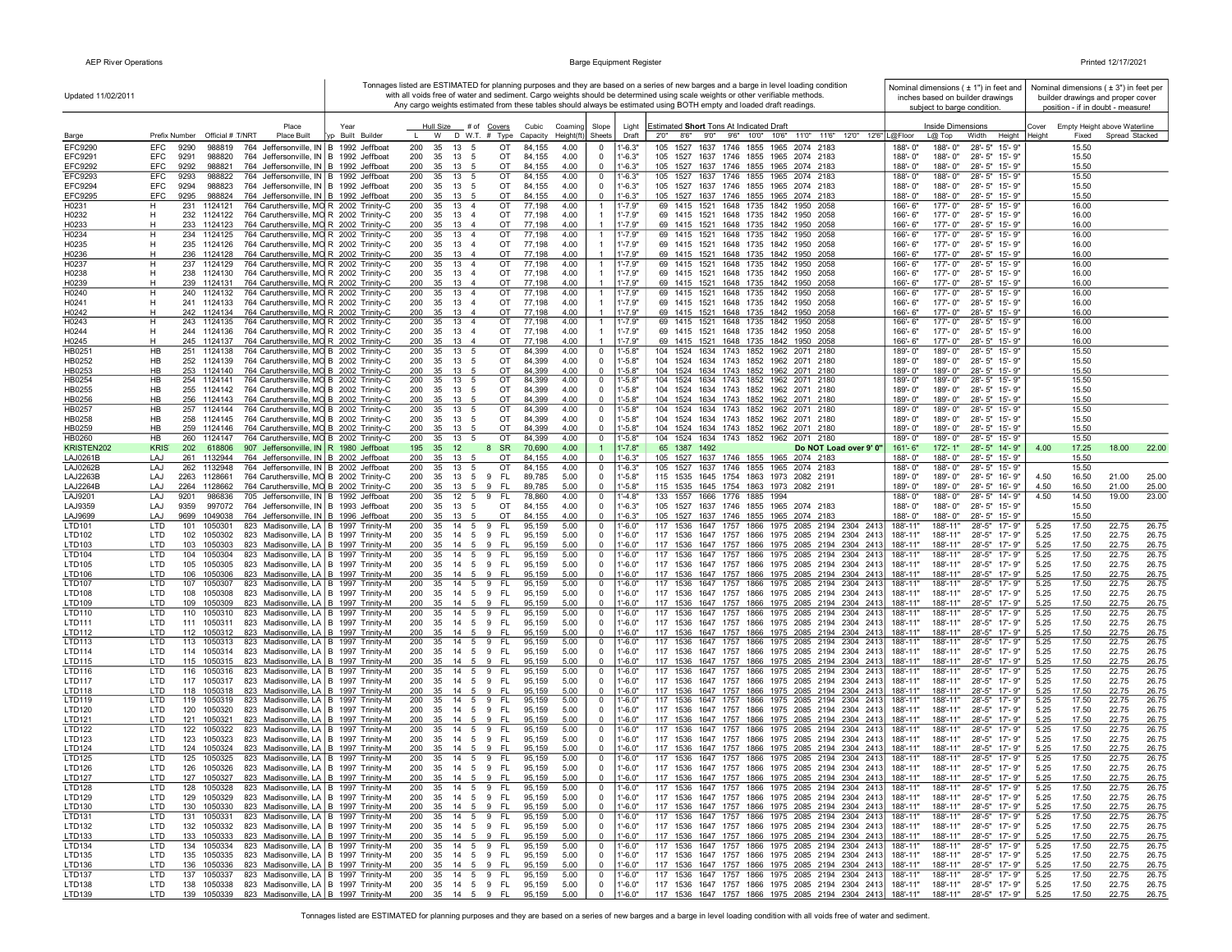| Updated 11/02/2011          |                                                                                                                                           |                         |                                                                         |                                            |                                                                | Tonnages listed are ESTIMATED for planning purposes and they are based on a series of new barges and a barge in level loading condition<br>with all voids free of water and sediment. Cargo weights should be determined using scale weights or other verifiable methods<br>Any cargo weights estimated from these tables should always be estimated using BOTH empty and loaded draft readings. | Nominal dimensions $( \pm 1" )$ in feet and<br>inches based on builder drawings<br>subject to barge condition. | Nominal dimensions ( $\pm$ 3") in feet per<br>builder drawings and proper cover<br>position - if in doubt - measure! |
|-----------------------------|-------------------------------------------------------------------------------------------------------------------------------------------|-------------------------|-------------------------------------------------------------------------|--------------------------------------------|----------------------------------------------------------------|--------------------------------------------------------------------------------------------------------------------------------------------------------------------------------------------------------------------------------------------------------------------------------------------------------------------------------------------------------------------------------------------------|----------------------------------------------------------------------------------------------------------------|----------------------------------------------------------------------------------------------------------------------|
| Barge                       | Place<br>Prefix Number Official # T/NRT<br><b>Place Built</b>                                                                             | Year<br>p Built Builder | Hull Size # of<br>Covers<br>W<br>D W.T. # Type                          | Cubic<br>Coaming<br>Capacity<br>Height(ft) | Slope<br>Light<br>Sheets<br>Draft                              | <b>Estimated Short Tons At Indicated Draft</b><br>2'0" 8'6" 9'0" 9'6" 10'0" 10'6" 11'0" 11'6" 12'0" 12'6" L@Floor                                                                                                                                                                                                                                                                                | Inside Dimensions<br>$L@$ Top<br>Width                                                                         | Cover<br>Empty Height above Waterline<br>Spread Stacked<br>Height Height<br>Fixed                                    |
| EFC9290                     | EFC<br>9290<br>988819<br>764<br>Jeffersonville, IN B                                                                                      | 1992 Jeffboat           | 200<br>35<br>13<br>ОT                                                   | 84,155<br>4.00                             | $-6.3"$<br>$^{\circ}$                                          | 105<br>1527<br>1637 1746<br>1855<br>1965<br>2074 2183                                                                                                                                                                                                                                                                                                                                            | 28'-5" 15'-9"<br>188'- 0"<br>188'-0"                                                                           | 15.50                                                                                                                |
| EFC9291                     | EFC<br>9291<br>764 Jeffersonville, IN B 1992 Jeffboat<br>988820                                                                           |                         | 200<br>35<br>13<br>OT<br>-5                                             | 84,155<br>4.00                             | $1' - 6.3"$<br>$\mathbf 0$                                     | 1527 1637 1746 1855 1965 2074 2183<br>105                                                                                                                                                                                                                                                                                                                                                        | 188'-0"<br>28'-5" 15'-9"<br>188'-0"                                                                            | 15.50                                                                                                                |
| <b>EFC9292</b><br>EFC9293   | EFC<br>9292<br>764 Jeffersonville, IN B 1992 Jeffboat<br>988821<br><b>EFC</b><br>9293<br>988822<br>764 Jeffersonville, IN B 1992 Jeffboat |                         | 35<br>OT<br>200<br>13<br>200<br>35<br>13<br>OT<br>-5                    | 84,155<br>4.00<br>84,155<br>4.00           | $-6.3"$<br>$\Omega$<br>$1 - 6.3"$<br>$\mathbf 0$               | 105 1527 1637 1746 1855 1965 2074 2183<br>105<br>1527<br>1637 1746 1855 1965 2074 2183                                                                                                                                                                                                                                                                                                           | 188'-0"<br>188'-0"<br>28'-5" 15'-9"<br>188'-0"<br>188'-0"<br>28'-5" 15'-9"                                     | 15.50<br>15.50                                                                                                       |
| EFC9294                     | EFC<br>9294<br>988823<br>764 Jeffersonville, IN B 1992 Jeffboat                                                                           |                         | 200<br>13 5<br>35<br>OT                                                 | 84,155<br>4.00                             | $1'-6.3"$<br>$\Omega$                                          | 105 1527 1637 1746 1855 1965 2074 2183                                                                                                                                                                                                                                                                                                                                                           | 188'-0"<br>188'-0"<br>28'-5" 15'-9"                                                                            | 15.50                                                                                                                |
| EFC9295                     | EFC<br>9295<br>988824<br>764 Jeffersonville, IN B 1992 Jeffboat                                                                           |                         | 200<br>35<br>OT<br>13 5                                                 | 84,155<br>4.00                             | $1 - 6.3"$<br>$\mathbf 0$                                      | 105 1527 1637 1746 1855 1965 2074 2183                                                                                                                                                                                                                                                                                                                                                           | 188'-0"<br>188'-0"<br>28'-5" 15'-9'                                                                            | 15.50                                                                                                                |
| H0231<br>H0232              | 764 Caruthersville, MO R 2002 Trinity-C<br>231 1124121<br>H.<br>н<br>232 1124122<br>764 Caruthersville, MO R 2002 Trinity-C               |                         | 200<br>35<br>13 4<br>OT<br>200<br>35 13 4<br>OT                         | 77,198<br>4.00<br>77,198<br>4.00           | $1' - 7.9"$<br>-1<br>$1' - 7.9"$<br>$\overline{1}$             | 69 1415 1521 1648 1735 1842 1950 2058<br>69 1415 1521 1648 1735 1842 1950 2058                                                                                                                                                                                                                                                                                                                   | 177'-0"<br>28'-5" 15'-9"<br>166'-6"<br>166'-6"<br>177'-0"<br>28'-5" 15'-9"                                     | 16.00<br>16.00                                                                                                       |
| H0233                       | 233 1124123<br>764 Caruthersville, MO R 2002 Trinity-C<br>н                                                                               |                         | 200<br>35<br>13 4<br>OT                                                 | 77,198<br>4.00                             | $\overline{1}$<br>$1' - 7.9"$                                  | 69 1415 1521 1648 1735 1842 1950 2058                                                                                                                                                                                                                                                                                                                                                            | 177'-0"<br>28'-5" 15'-9"<br>166'-6"                                                                            | 16.00                                                                                                                |
| H0234                       | н<br>234 1124125<br>764 Caruthersville, MO R 2002 Trinity-C                                                                               |                         | 200<br>35<br>13 4<br>OT                                                 | 77,198<br>4.00                             | $1' - 7.9"$<br>$\overline{1}$                                  | 69 1415 1521 1648 1735 1842 1950 2058                                                                                                                                                                                                                                                                                                                                                            | 177'-0"<br>28'-5" 15'-9"<br>$166' - 6''$                                                                       | 16.00                                                                                                                |
| H0235<br>H0236              | н<br>235 1124126<br>764 Caruthersville, MO R 2002 Trinity-C<br>764 Caruthersville, MO R 2002 Trinity-C<br>н<br>236 1124128                |                         | 200<br>35<br>13 4<br>OT<br>200<br>35<br>OT<br>13 4                      | 77,198<br>4.00<br>77,198<br>4.00           | $1' - 7.9"$<br>$\overline{1}$<br>$1' - 7.9"$<br>$\overline{1}$ | 69 1415 1521 1648 1735 1842 1950 2058<br>69 1415 1521 1648 1735 1842 1950 2058                                                                                                                                                                                                                                                                                                                   | 177'-0"<br>28'-5" 15'-9"<br>166'-6"<br>166'-6"<br>177'-0"<br>28'-5" 15'-9'                                     | 16.00<br>16.00                                                                                                       |
| H0237                       | 764 Caruthersville, MO R 2002 Trinity-C<br>н<br>237 1124129                                                                               |                         | 200<br>35<br>13 4<br>OT                                                 | 77,198<br>4.00                             | $\mathbf{1}$<br>$1' - 7.9"$                                    | 69 1415 1521 1648 1735 1842<br>1950 2058                                                                                                                                                                                                                                                                                                                                                         | 28'-5" 15'-9"<br>166'-6"<br>177'-0"                                                                            | 16.00                                                                                                                |
| H0238                       | 764 Caruthersville, MO R 2002 Trinity-C<br>н<br>238 1124130                                                                               |                         | 200<br>35<br>13 4<br>OT                                                 | 77,198<br>4.00                             | $1' - 7.9"$<br>$\overline{1}$                                  | 69 1415 1521 1648 1735 1842 1950 2058                                                                                                                                                                                                                                                                                                                                                            | 177'-0"<br>28'-5" 15'-9"<br>166'-6"                                                                            | 16.00                                                                                                                |
| H0239<br>H0240              | 764 Caruthersville, MO R 2002 Trinity-C<br>н<br>239 1124131<br>н<br>240<br>1124132                                                        |                         | 200<br>35<br>13 4<br>OT<br>200<br>35<br>13<br>OT                        | 77,198<br>4.00<br>77,198<br>4.00           | "-7.9"<br>$\mathbf{1}$<br>"-7.9"<br>$\overline{1}$             | 69 1415 1521 1648 1735 1842 1950 2058<br>69<br>1415 1521 1648 1735 1842<br>1950 2058                                                                                                                                                                                                                                                                                                             | 166'-6"<br>177'-0"<br>28'-5" 15'-9'<br>166'-6"<br>177'-0"<br>28'-5" 15'-9"                                     | 16.00<br>16.00                                                                                                       |
| H0241                       | 764 Caruthersville, MO R 2002 Trinity-C<br>764 Caruthersville, MO R 2002 Trinity-C<br>н<br>241 1124133                                    |                         | 200<br>35 13 4<br>OT                                                    | 77,198<br>4.00                             | $1' - 7.9"$<br>$\overline{1}$                                  | 69 1415 1521 1648 1735 1842 1950 2058                                                                                                                                                                                                                                                                                                                                                            | 28'-5" 15'-9"<br>$166 - 6"$<br>177'- 0"                                                                        | 16.00                                                                                                                |
| H0242                       | н<br>764 Caruthersville, MO R 2002 Trinity-C<br>242 1124134                                                                               |                         | 200<br>35 13 4<br>OT                                                    | 4.00<br>77,198                             | $1' - 7.9"$<br>$\overline{1}$                                  | 69 1415 1521 1648 1735 1842 1950 2058                                                                                                                                                                                                                                                                                                                                                            | 166'-6"<br>177'-0"<br>28'-5" 15'-9'                                                                            | 16.00                                                                                                                |
| H0243<br>H0244              | н<br>243 1124135<br>764 Caruthersville, MO R 2002 Trinity-C<br>н<br>244 1124136<br>764 Caruthersville, MO R 2002 Trinity-C                |                         | 13 4<br>200<br>35<br>от<br>200<br>35<br>13 4<br>OT                      | 77,198<br>4.00<br>77,198<br>4.00           | "-7.9"<br>$\mathbf{1}$<br>$1' - 7.9"$<br>$\mathbf{1}$          | 69 1415 1521 1648 1735 1842 1950 2058<br>69 1415 1521 1648 1735 1842 1950 2058                                                                                                                                                                                                                                                                                                                   | 177'-0"<br>28'-5" 15'-9"<br>166'-6"<br>166'-6"<br>177'-0"<br>28'-5" 15'-9"                                     | 16.00<br>16.00                                                                                                       |
| H0245                       | 245 1124137<br>764 Caruthersville, MO R 2002 Trinity-C<br>н                                                                               |                         | 200<br>35<br>13 4<br>OT                                                 | 77,198<br>4.00                             | $1' - 7.9"$<br>$\mathbf{1}$                                    | 69 1415 1521 1648 1735 1842 1950 2058                                                                                                                                                                                                                                                                                                                                                            | 166'-6"<br>177'-0"<br>28'-5" 15'-9"                                                                            | 16.00                                                                                                                |
| HB0251                      | HB<br>251 1124138<br>764 Caruthersville, MO B 2002 Trinity-C                                                                              |                         | 200<br>35<br>13 5<br>ОT                                                 | 84,399<br>4.00                             | $\mathbf 0$<br>1'-5.8"                                         | 104 1524 1634 1743 1852 1962 2071 2180                                                                                                                                                                                                                                                                                                                                                           | 28'-5" 15'-9"<br>189'-0"<br>189'-0"                                                                            | 15.50                                                                                                                |
| HB0252                      | 252 1124139<br>764 Caruthersville, MO B 2002 Trinity-C<br>HB<br>764 Caruthersville, MO B 2002 Trinity-C<br>HB<br>253<br>1124140           |                         | 200<br>35<br>13 5<br>OT<br>200<br>35<br>OT                              | 84,399<br>4.00<br>4.00<br>84,399           | $1' - 5.8"$<br>$\Omega$<br>$-5.8"$<br>$\mathbf 0$              | 104 1524 1634 1743 1852 1962 2071 2180<br>104 1524 1634 1743 1852 1962 2071 2180                                                                                                                                                                                                                                                                                                                 | 28'-5" 15'-9"<br>189'-0"<br>189'-0"<br>189'-0"<br>28'-5" 15'-9"<br>189'-0"                                     | 15.50<br>15.50                                                                                                       |
| HB0253<br>HB0254            | 764 Caruthersville, MO B 2002 Trinity-C<br>HB<br>254<br>1124141                                                                           |                         | 13<br>OT<br>200<br>35<br>13<br>- 5                                      | 84,399<br>4.00                             | $-5.8"$<br>$\mathbf{0}$                                        | 1524 1634 1743 1852 1962 2071<br>104<br>2180                                                                                                                                                                                                                                                                                                                                                     | 189'-0"<br>189'-0"<br>28'-5" 15'-9"                                                                            | 15.50                                                                                                                |
| HB0255                      | HB<br>255<br>1124142<br>764 Caruthersville, MO B 2002 Trinity-C                                                                           |                         | 200<br>35<br>13<br>OT<br>- 5                                            | 84,399<br>4.00                             | $1' - 5.8"$<br>$\mathbf 0$                                     | 104<br>1524 1634 1743 1852 1962 2071 2180                                                                                                                                                                                                                                                                                                                                                        | 189'-0"<br>189'-0"<br>28'-5" 15'-9"                                                                            | 15.50                                                                                                                |
| HB0256<br>HB0257            | HB<br>1124143<br>764 Caruthersville, MO B 2002 Trinity-C<br>256<br>HB<br>257<br>1124144<br>764 Caruthersville, MO B 2002 Trinity-C        |                         | 200<br>35<br>13<br>OT<br>OT<br>200<br>35<br>13 5                        | 84,399<br>4.00<br>84,399<br>4.00           | $-5.8"$<br>$\Omega$<br>$\mathbf 0$<br>l'-5.8"                  | 1524 1634 1743 1852 1962 2071 2180<br>104<br>1524 1634 1743 1852 1962 2071<br>104<br>2180                                                                                                                                                                                                                                                                                                        | 189'-0"<br>28'-5" 15'-9"<br>$189 - 0$ "<br>189'-0"<br>28'-5" 15'-9"<br>189'-0"                                 | 15.50<br>15.50                                                                                                       |
| HB0258                      | <b>HB</b><br>1124145<br>764 Caruthersville, MO B 2002 Trinity-C<br>258                                                                    |                         | 200<br>35<br>$13 \quad 5$<br>OT                                         | 84,399<br>4.00                             | $1' - 5.8"$<br>$\Omega$                                        | 104 1524 1634 1743 1852 1962 2071 2180                                                                                                                                                                                                                                                                                                                                                           | 189'-0"<br>189'-0"<br>28'-5" 15'-9'                                                                            | 15.50                                                                                                                |
| HB0259                      | <b>HB</b><br>259<br>1124146<br>764 Caruthersville, MO B 2002 Trinity-C                                                                    |                         | 200<br>35<br>OT<br>13 5                                                 | 84,399<br>4.00                             | $\mathbf{0}$<br>$1' - 5.8"$                                    | 104 1524 1634 1743 1852 1962 2071 2180                                                                                                                                                                                                                                                                                                                                                           | 189'-0"<br>189'-0"<br>28'-5" 15'-9"                                                                            | 15.50                                                                                                                |
| HB0260                      | HB<br>260 1124147<br>764 Caruthersville, MO B 2002 Trinity-C<br><b>KRIS</b><br>202 618806                                                 |                         | 200<br>35<br>13 5<br>OT<br>195<br>35<br>12<br>- SR<br>8                 | 84,399<br>4.00<br>70,690<br>4.00           | $1' - 5.8"$<br>$\mathbf{0}$<br>$1' - 7.8"$<br>$\overline{1}$   | 104 1524 1634 1743 1852 1962 2071 2180<br>65 1387 1492<br>Do NOT Load over 9' 0"                                                                                                                                                                                                                                                                                                                 | 189'-0"<br>189'-0"<br>28'-5" 15'-9"<br>$161 - 6"$<br>172'-1"<br>28'-5" 14'-9"                                  | 15.50<br>22.00<br>4.00                                                                                               |
| KRISTEN202<br>LAJ0261B      | 907 Jeffersonville, IN   R 1980 Jeffboat<br>261 1132944<br>764 Jeffersonville, IN B 2002 Jeffboat<br>LAJ                                  |                         | 200<br>35<br>13 5<br>ОT                                                 | 84,155<br>4.00                             | $1' - 6.3"$<br>$\mathbf 0$                                     | 105 1527 1637 1746 1855 1965 2074 2183                                                                                                                                                                                                                                                                                                                                                           | 188'-0"<br>188'-0"<br>28'-5" 15'-9"                                                                            | 17.25<br>18.00<br>15.50                                                                                              |
| <b>LAJ0262B</b>             | 262 1132948<br>764 Jeffersonville, IN B 2002 Jeffboat<br>LAJ                                                                              |                         | 200<br>35<br>13 5<br>OT                                                 | 84,155<br>4.00                             | $1' - 6.3"$<br>$\mathbf 0$                                     | 105 1527 1637 1746 1855 1965 2074 2183                                                                                                                                                                                                                                                                                                                                                           | 188'-0"<br>28'-5" 15'-9"<br>188'-0"                                                                            | 15.50                                                                                                                |
| LAJ2263B<br><b>LAJ2264E</b> | 2263 1128661<br>764 Caruthersville, MO B 2002 Trinity-C<br>LAJ<br>LAJ<br>2264<br>1128662<br>764 Caruthersville, MO B 2002 Trinity-C       |                         | 200<br>35<br>13 5 9<br>- FL<br>200<br>35<br>13 5<br>9<br>- FL           | 89,785<br>5.00<br>89,785<br>5.00           | $1'-5.8"$<br>$\Omega$<br>$\mathbf 0$<br>$1' - 5.8"$            | 115 1535 1645 1754 1863 1973 2082 2191<br>115 1535 1645 1754 1863 1973 2082 2191                                                                                                                                                                                                                                                                                                                 | 189'-0"<br>189'-0"<br>28'-5" 16'-9"<br>189'-0"<br>189'-0"<br>28'-5" 16'-9"                                     | 4.50<br>16.50<br>21.00<br>25.00<br>4.50<br>16.50<br>21.00<br>25.00                                                   |
| LAJ9201                     | LAJ<br>9201<br>986836<br>705 Jeffersonville, IN B 1992 Jeffboat                                                                           |                         | 200<br>35<br>12<br>5<br>9<br>FL.                                        | 78,860<br>4.00                             | $1' - 4.8"$<br>$\mathbf 0$                                     | 133 1557 1666 1776 1885 1994                                                                                                                                                                                                                                                                                                                                                                     | 188'-0"<br>28'-5" 14'-9"<br>188'-0"                                                                            | 19.00<br>4.50<br>14.50<br>23.00                                                                                      |
| LAJ9359                     | LAJ<br>9359<br>997072<br>764 Jeffersonville, IN B 1993 Jeffboat                                                                           |                         | OT<br>200<br>35<br>13<br>5                                              | 84,155<br>4.00                             | $1' - 6.3"$<br>$\mathbf 0$                                     | 105 1527 1637 1746 1855 1965 2074 2183                                                                                                                                                                                                                                                                                                                                                           | 28'-5" 15'-9"<br>188'-0"<br>188'-0"                                                                            | 15.50                                                                                                                |
| LAJ9699<br>LTD101           | LAJ<br>9699<br>1049038<br>764 Jeffersonville, IN B 1996 Jeffboat<br>LTD<br>823 Madisonville, LA B 1997 Trinity-M<br>101<br>1050301        |                         | 200<br>35<br>13<br>OT<br>200<br>$5\overline{5}$<br>FL.<br>35<br>14<br>9 | 84,155<br>4.00<br>95,159<br>5.00           | $1' - 6.3"$<br>$\mathbf 0$<br>$1' - 6.0"$<br>$\mathbf 0$       | 105 1527 1637 1746 1855 1965 2074 2183<br>1536 1647 1757 1866 1975 2085 2194 2304 2413<br>117                                                                                                                                                                                                                                                                                                    | 188'-0"<br>28'-5" 15'-9"<br>188'-0"<br>188'-11"<br>188'-11"<br>28'-5" 17'-9"                                   | 15.50<br>22.75<br>26.75<br>17.50<br>5.25                                                                             |
| LTD102                      | LTD<br>102 1050302<br>823 Madisonville, LA   B 1997 Trinity-M                                                                             |                         | 200<br>35<br>14 5<br>9<br>FL.                                           | 95,159<br>5.00                             | $1' - 6.0"$<br>$\Omega$                                        | 117 1536 1647 1757 1866 1975 2085 2194 2304<br>2413                                                                                                                                                                                                                                                                                                                                              | 188'-11"<br>188'-11"<br>28'-5" 17'-9"                                                                          | 5.25<br>17.50<br>22.75<br>26.75                                                                                      |
| LTD103                      | LTD<br>103 1050303<br>823 Madisonville, LA   B 1997 Trinity-M                                                                             |                         | 200<br>9 FL<br>35<br>$14 \quad 5$                                       | 5.00<br>95,159                             | $\mathbf{0}$<br>$1' - 6.0"$                                    | 117 1536 1647 1757 1866 1975 2085 2194 2304<br>2413                                                                                                                                                                                                                                                                                                                                              | 188'-11"<br>188'-11"<br>28'-5" 17'-9"                                                                          | 5.25<br>17.50<br>22.75<br>26.75                                                                                      |
| LTD104<br>LTD105            | LTD<br>104 1050304<br>823 Madisonville, LA   B 1997 Trinity-M<br>105 1050305<br>823 Madisonville, LA   B 1997 Trinity-M<br>LTD            |                         | 200<br>14<br>FL.<br>35<br>5<br>9<br>200<br>35<br>9 FL<br>14 5           | 95,159<br>5.00<br>5.00<br>95,159           | $1' - 6.0"$<br>$\mathbf{0}$<br>$1' - 6.0"$<br>$^{\circ}$       | 117 1536 1647 1757 1866 1975 2085 2194 2304 2413<br>117 1536 1647 1757 1866 1975 2085 2194 2304 2413                                                                                                                                                                                                                                                                                             | 188'-11"<br>188'-11"<br>28'-5" 17'-9"<br>188'-11"<br>188'-11"<br>28'-5" 17'-9"                                 | 26.75<br>5.25<br>17.50<br>22.75<br>5.25<br>26.75<br>17.50<br>22.75                                                   |
| LTD106                      | LTD<br>106 1050306<br>823 Madisonville, LA   B 1997 Trinity-M                                                                             |                         | 200<br>35<br>14 5<br>9 FL                                               | 95,159<br>5.00                             | $1' - 6.0"$<br>$\mathbf 0$                                     | 117 1536 1647 1757 1866 1975 2085 2194 2304 2413                                                                                                                                                                                                                                                                                                                                                 | 28'-5" 17'-9"<br>188'-11"<br>188'-11"                                                                          | 5.25<br>17.50<br>22.75<br>26.75                                                                                      |
| LTD107                      | 107 1050307<br>823 Madisonville, LA B 1997 Trinity-M<br>LTD                                                                               |                         | FL.<br>200<br>35<br>14 5<br>9                                           | 95,159<br>5.00                             | $1' - 6.0"$<br>$\mathbf 0$                                     | 117 1536 1647 1757 1866 1975 2085 2194 2304 2413                                                                                                                                                                                                                                                                                                                                                 | 188'-11"<br>28'-5" 17'-9"<br>188'-11"                                                                          | 17.50<br>22.75<br>26.75<br>5.25                                                                                      |
| LTD108<br>LTD109            | LTD<br>108 1050308<br>823 Madisonville, LA   B 1997 Trinity-M<br>LTD<br>109 1050309<br>823 Madisonville, LA   B 1997 Trinity-M            |                         | 200<br>35<br>14   5   9   FL<br>200<br>35<br>$14 \quad 5$<br>9 FL       | 95,159<br>5.00<br>95,159<br>5.00           | $1' - 6.0"$<br>$\mathbf 0$<br>$1' - 6.0"$<br>$\Omega$          | 117 1536 1647 1757 1866 1975 2085 2194 2304 2413<br>117 1536 1647 1757 1866 1975 2085 2194 2304 2413                                                                                                                                                                                                                                                                                             | 188'-11"<br>28'-5" 17'-9"<br>188'-11"<br>188'-11"<br>188'-11"<br>28'-5" 17'-9"                                 | 17.50<br>22.75<br>26.75<br>5.25<br>5.25<br>17.50<br>22.75<br>26.75                                                   |
| LTD110                      | LTD<br>110<br>1050310<br>823 Madisonville, LA   B 1997 Trinity-M                                                                          |                         | 200<br>35<br>FL.<br>14 5<br>9                                           | 95,159<br>5.00                             | "6.0"<br>$\mathbf{0}$                                          | 117<br>1536 1647 1757 1866 1975 2085 2194 2304 2413                                                                                                                                                                                                                                                                                                                                              | 188'-11"<br>188'-11"<br>28'-5" 17'-9"                                                                          | 17.50<br>22.75<br>5.25<br>26.75                                                                                      |
| LTD111                      | LTD<br>111 1050311<br>823 Madisonville, LA   B 1997 Trinity-M                                                                             |                         | 200<br>35<br>9 FL<br>14<br>5                                            | 95,159<br>5.00                             | $1 - 6.0"$<br>$^{\circ}$                                       | 117 1536 1647 1757 1866 1975 2085 2194 2304<br>241                                                                                                                                                                                                                                                                                                                                               | 28'-5" 17'-9"<br>188'-11"<br>188'-11"                                                                          | 17.50<br>22.75<br>26.75<br>5.25                                                                                      |
| LTD112<br>LTD113            | LTD<br>112 1050312<br>823 Madisonville, LA   B 1997 Trinity-M<br>823 Madisonville, LA   B 1997 Trinity-M<br>LTD<br>113<br>1050313         |                         | 200<br>35<br>14 5<br>9<br>-FL<br>200<br>FL.<br>35<br>14<br>5<br>9       | 95,159<br>5.00<br>95,159<br>5.00           | $1' - 6.0"$<br>$\mathbf 0$<br>$1' - 6.0"$<br>$\mathbf 0$       | 117 1536 1647 1757 1866 1975 2085 2194 2304 241<br>1536 1647 1757 1866 1975 2085 2194 2304 241:<br>117                                                                                                                                                                                                                                                                                           | 28'-5" 17'-9"<br>188'-11"<br>188'-11"<br>188'-11"<br>188'-11"<br>$28 - 5"$<br>17'-9"                           | 5.25<br>17.50<br>22.75<br>26.75<br>5.25<br>17.50<br>22.75<br>26.75                                                   |
| LTD114                      | LTD<br>114 1050314<br>823 Madisonville, LA   B 1997 Trinity-M                                                                             |                         | 200<br>35<br>14 5<br>9 FL                                               | 95,159<br>5.00                             | $1' - 6.0"$<br>$\mathbf 0$                                     | 117 1536 1647 1757 1866 1975 2085 2194 2304 2413                                                                                                                                                                                                                                                                                                                                                 | 28'-5" 17'-9"<br>188'-11"<br>188'-11"                                                                          | 5.25<br>17.50<br>22.75<br>26.75                                                                                      |
| LTD115<br>LTD116            | LTD<br>115 1050315<br>823 Madisonville, LA   B 1997 Trinity-M<br>LTD<br>116 1050316<br>823 Madisonville, LA   B 1997 Trinity-M            |                         | 200<br>35<br>14<br>9 FL<br>- 5<br>200<br>14   5   9   FL<br>35          | 95,159<br>5.00                             | $^{\circ}$<br>$-6.0"$<br>$1' - 6.0"$                           | 117 1536 1647 1757 1866 1975 2085 2194 2304 2413<br>117 1536 1647 1757 1866 1975 2085 2194 2304 2413                                                                                                                                                                                                                                                                                             | 188'-11"<br>188'-11"<br>28'-5" 17'-9"<br>188'-11"<br>188'-11"<br>28'-5" 17'-9"                                 | 5.25<br>17.50<br>22.75<br>26.75<br>5.25<br>17.50<br>22.75<br>26.75                                                   |
| LTD117                      | LTD<br>117 1050317<br>823 Madisonville, LA   B 1997 Trinity-M                                                                             |                         | 200<br>14   5   9   FL<br>35                                            | 95,159<br>5.00<br>5.00<br>95,159           | $\mathbf{0}$<br>$1'-6.0"$<br>$\mathbf 0$                       | 117 1536 1647 1757 1866 1975 2085 2194 2304 2413                                                                                                                                                                                                                                                                                                                                                 | 188'-11"<br>28'-5" 17'-9"<br>188'-11"                                                                          | 26.75<br>5.25<br>17.50<br>22.75                                                                                      |
| LTD118                      | LTD<br>118 1050318<br>823 Madisonville, LA   B 1997 Trinity-M                                                                             |                         | 200<br>35<br>14 5<br>9<br>- FL                                          | 95,159<br>5.00                             | $1' - 6.0"$<br>$\mathbf 0$                                     | 117 1536 1647 1757 1866 1975 2085 2194 2304 2413                                                                                                                                                                                                                                                                                                                                                 | 188'-11"<br>188'-11"<br>28'-5" 17'-9"                                                                          | 5.25<br>17.50<br>22.75<br>26.75                                                                                      |
| LTD119<br>LTD120            | LTD<br>119 1050319<br>823 Madisonville, LA   B 1997 Trinity-M                                                                             |                         | 200<br>35<br>14   5   9   FL<br>14   5   9   FL                         | 95,159<br>5.00<br>5.00                     | $\mathbf{0}$<br>$1' - 6.0"$<br>$1' - 6.0"$                     | 117 1536 1647 1757 1866 1975 2085 2194 2304 241:                                                                                                                                                                                                                                                                                                                                                 | 188'-11"<br>188'-11"<br>28'-5" 17'-9"<br>188'-11"<br>28'-5" 17'-9"                                             | 5.25<br>17.50<br>22.75<br>26.75<br>5.25<br>17.50<br>22.75<br>26.75                                                   |
| LTD121                      | LTD<br>120 1050320<br>823 Madisonville, LA   B 1997 Trinity-M<br>LTD<br>121 1050321<br>823 Madisonville, LA   B 1997 Trinity-M            |                         | 200<br>35<br>200<br>-FL<br>35<br>$14 \quad 5$<br>-9                     | 95,159<br>95,159<br>5.00                   | $\mathbf 0$<br>$^{\circ}$<br>$1' - 6.0"$                       | 117 1536 1647 1757 1866 1975 2085 2194 2304 2413<br>117 1536 1647 1757 1866 1975 2085 2194 2304 241                                                                                                                                                                                                                                                                                              | 188'-11"<br>188'-11"<br>188'-11"<br>28'-5" 17'-9"                                                              | 5.25<br>17.50<br>22.75<br>26.75                                                                                      |
| <b>LTD122</b>               | LTD<br>122 1050322<br>823 Madisonville, LA   B 1997 Trinity-M                                                                             |                         | 200<br>35<br>FL.<br>14 5<br>9                                           | 95,159<br>5.00                             | $1' - 6.0"$<br>$\mathbf 0$                                     | 117 1536 1647 1757 1866 1975 2085 2194 2304 2413                                                                                                                                                                                                                                                                                                                                                 | 188'-11"<br>28'-5" 17'-9"<br>188'-11"                                                                          | 5.25<br>17.50<br>22.75<br>26.75                                                                                      |
| LTD123                      | LTD<br>123 1050323<br>823 Madisonville, LA   B 1997 Trinity-M                                                                             |                         | 200<br>35<br>14   5   9   FL                                            | 95,159<br>5.00                             | $1' - 6.0"$<br>$\Omega$                                        | 117 1536 1647 1757 1866 1975 2085 2194 2304 2413                                                                                                                                                                                                                                                                                                                                                 | 28'-5" 17'-9"<br>188'-11"<br>188'-11"                                                                          | 5.25<br>17.50<br>22.75<br>26.75                                                                                      |
| LTD124<br><b>LTD125</b>     | LTD<br>124 1050324<br>823 Madisonville, LA   B 1997 Trinity-M<br>LTD<br>125 1050325<br>823 Madisonville, LA   B 1997 Trinity-M            |                         | <b>FL</b><br>200<br>35<br>14 5<br>9<br>200<br>35<br>14   5   9   FL     | 95,159<br>5.00<br>95,159<br>5.00           | $1' - 6.0"$<br>$\Omega$<br>$\mathbf 0$<br>$1' - 6.0"$          | 117 1536 1647 1757 1866 1975 2085 2194 2304<br>-241<br>117 1536 1647 1757 1866 1975 2085 2194 2304 2413                                                                                                                                                                                                                                                                                          | 28'-5" 17'-9"<br>188'-11"<br>188'-11"<br>188'-11"<br>188'-11"<br>28'-5" 17'-9"                                 | 5.25<br>17.50<br>22.75<br>26.75<br>5.25<br>17.50<br>22.75<br>26.75                                                   |
| LTD126                      | LTD<br>823 Madisonville, LA B 1997 Trinity-M<br>126 1050326                                                                               |                         | 200<br>35 14 5 9 FL                                                     | 5.00<br>95,159                             | $1' - 6.0"$<br>$\Omega$                                        | 117 1536 1647 1757 1866 1975 2085 2194 2304 2413                                                                                                                                                                                                                                                                                                                                                 | 188'-11"<br>188'-11"<br>28'-5" 17'-9"                                                                          | 5.25<br>17.50<br>22.75<br>26.75                                                                                      |
| <b>LTD127</b>               | 127 1050327<br>823 Madisonville, LA   B 1997 Trinity-M<br>LTD<br>823 Madisonville, LA B 1997 Trinity-M                                    |                         | 35 14 5 9 FL<br>200                                                     | 95,159<br>5.00                             | $\Omega$<br>$1' - 6.0"$                                        | 117 1536 1647 1757 1866 1975 2085 2194 2304 2413                                                                                                                                                                                                                                                                                                                                                 | 188'-11"<br>188'-11"<br>28'-5" 17'-9"<br>28'-5" 17'-9"                                                         | 5.25<br>17.50<br>22.75<br>26.75                                                                                      |
| LTD128<br>LTD129            | 1050328<br>LTD<br>128<br>823 Madisonville, LA B 1997 Trinity-M<br>LTD<br>129 1050329                                                      |                         | 200<br>35<br>14 5 9 FL<br>200<br>35 14 5 9 FL                           | 5.00<br>95,159<br>5.00<br>95,159           | $\mathbf 0$<br>$1' - 6.0"$<br>$\mathbf{0}$<br>$1'-6.0"$        | 117 1536 1647 1757 1866 1975 2085 2194 2304 2413<br>117 1536 1647 1757 1866 1975 2085 2194 2304 2413                                                                                                                                                                                                                                                                                             | 188'-11"<br>188'-11"<br>188'-11"<br>188'-11" 28'-5" 17'-9"                                                     | 17.50<br>26.75<br>5.25<br>22.75<br>5.25<br>17.50<br>22.75<br>26.75                                                   |
| LTD130                      | LTD<br>130 1050330<br>823 Madisonville, LA B 1997 Trinity-M                                                                               |                         | 200<br>35 14 5 9 FL                                                     | 5.00<br>95,159                             | 1'-6.0"<br>$\mathbf 0$                                         | 117 1536 1647 1757 1866 1975 2085 2194 2304 2413                                                                                                                                                                                                                                                                                                                                                 | 188'-11"<br>28'-5" 17'-9"<br>188'-11"                                                                          | 5.25<br>17.50<br>22.75<br>26.75                                                                                      |
| LTD131                      | LTD<br>131 1050331<br>823 Madisonville, LA   B 1997 Trinity-M                                                                             |                         | 200<br>35 14 5 9 FL<br>35 14 5 9 FL                                     | 5.00<br>95,159                             | $1' - 6.0"$<br>$\overline{0}$                                  | 117 1536 1647 1757 1866 1975 2085 2194 2304 2413<br>117 1536 1647 1757 1866 1975 2085 2194 2304 2413                                                                                                                                                                                                                                                                                             | 188'-11"<br>28'-5" 17'-9"<br>188'-11"                                                                          | 5.25<br>17.50<br>22.75<br>26.75                                                                                      |
| LTD132<br>LTD133            | 132 1050332<br>823 Madisonville, LA   B 1997 Trinity-M<br>LTD<br>133 1050333<br>823 Madisonville, LA   B 1997 Trinity-M<br>LTD            |                         | 200<br>200<br>35 14 5 9 FL                                              | 5.00<br>95,159<br>95,159<br>5.00           | $1'-6.0"$<br>$\mathbf 0$<br>$1' - 6.0"$<br>$\Omega$            | 117 1536 1647 1757 1866 1975 2085 2194 2304 2413                                                                                                                                                                                                                                                                                                                                                 | 188'-11"<br>188'-11"<br>28'-5" 17'-9"<br>188'-11"<br>188'-11"<br>28'-5" 17'-9"                                 | 5.25<br>17.50<br>22.75<br>26.75<br>5.25<br>17.50<br>22.75<br>26.75                                                   |
| LTD134                      | LTD<br>134 1050334<br>823 Madisonville, LA   B 1997 Trinity-M                                                                             |                         | 200<br>35 14 5 9 FL                                                     | 95,159<br>5.00                             | $\mathbf 0$<br>$1'-6.0"$                                       | 117 1536 1647 1757 1866 1975 2085 2194 2304 2413                                                                                                                                                                                                                                                                                                                                                 | 188'-11"<br>188'-11"<br>28'-5" 17'-9"                                                                          | 5.25<br>17.50<br>22.75<br>26.75                                                                                      |
| LTD135                      | 135 1050335<br>823 Madisonville, LA   B 1997 Trinity-M<br>LTD                                                                             |                         | 200<br>35<br>14   5   9   FL<br>14 5 9 FL                               | 95,159<br>5.00                             | 1'-6.0"<br>$\mathbf 0$                                         | 117 1536 1647 1757 1866 1975 2085 2194 2304 2413                                                                                                                                                                                                                                                                                                                                                 | 28'-5" 17'-9"<br>188'-11"<br>188'-11"                                                                          | 5.25<br>17.50<br>22.75<br>26.75                                                                                      |
| LTD136<br><b>LTD137</b>     | LTD<br>136 1050336<br>823 Madisonville, LA   B 1997 Trinity-M<br>823 Madisonville, LA B 1997 Trinity-M<br>LTD<br>137 1050337              |                         | 200<br>35<br>200<br>35 14 5 9 FL                                        | 95,159<br>5.00<br>95,159<br>5.00           | $1 - 6.0"$<br>$\mathbf 0$<br>$\overline{0}$<br>$1' - 6.0"$     | 117 1536 1647 1757 1866 1975 2085 2194 2304 2413<br>117 1536 1647 1757 1866 1975 2085 2194 2304 2413                                                                                                                                                                                                                                                                                             | 188'-11"<br>28'-5" 17'-9"<br>188'-11"<br>28'-5" 17'-9"<br>188'-11"<br>188'-11"                                 | 5.25<br>17.50<br>22.75<br>26.75<br>17.50<br>22.75<br>26.75<br>5.25                                                   |
| <b>LTD138</b>               | LTD<br>138 1050338 823 Madisonville, LA B 1997 Trinity-M                                                                                  |                         | 200<br>35 14 5 9 FL                                                     | 95,159<br>5.00                             | $1' - 6.0"$<br>$\mathbf 0$                                     | 117 1536 1647 1757 1866 1975 2085 2194 2304 2413                                                                                                                                                                                                                                                                                                                                                 | 188'-11"<br>188'-11" 28'-5" 17'-9"                                                                             | 5.25<br>17.50<br>22.75<br>26.75                                                                                      |
| LTD139                      | LTD<br>139 1050339 823 Madisonville, LA B 1997 Trinity-M                                                                                  |                         | 200 35 14 5 9 FL                                                        | 95,159<br>5.00                             | $1' - 6.0"$<br>$\Omega$                                        | 117 1536 1647 1757 1866 1975 2085 2194 2304 2413                                                                                                                                                                                                                                                                                                                                                 | 188'-11" 188'-11" 28'-5" 17'-9"                                                                                | 5.25<br>17.50<br>22.75<br>26.75                                                                                      |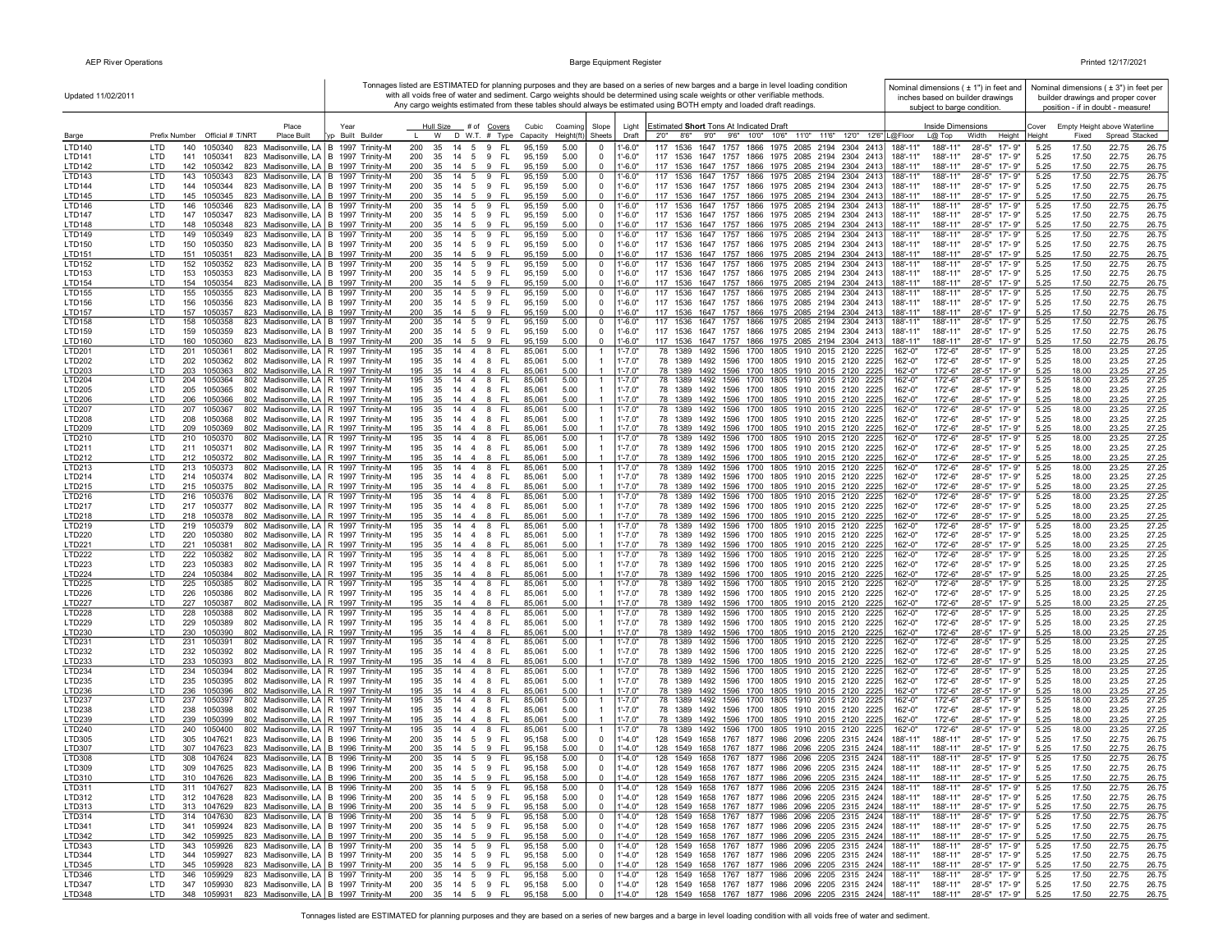| Updated 11/02/2011             |                                                                                                                                      |                          |                                                              |             |                                           |                                  |                            | Tonnages listed are ESTIMATED for planning purposes and they are based on a series of new barges and a barge in level loading condition<br>with all voids free of water and sediment. Cargo weights should be determined using scale weights or other verifiable methods.<br>Any cargo weights estimated from these tables should always be estimated using BOTH empty and loaded draft readings. | Nominal dimensions $(± 1")$ in feet and<br>inches based on builder drawings<br>subject to barge condition. |                                                  |                 |                | Nominal dimensions ( $\pm$ 3") in feet per<br>builder drawings and proper cover<br>position - if in doubt - measure! |                |
|--------------------------------|--------------------------------------------------------------------------------------------------------------------------------------|--------------------------|--------------------------------------------------------------|-------------|-------------------------------------------|----------------------------------|----------------------------|---------------------------------------------------------------------------------------------------------------------------------------------------------------------------------------------------------------------------------------------------------------------------------------------------------------------------------------------------------------------------------------------------|------------------------------------------------------------------------------------------------------------|--------------------------------------------------|-----------------|----------------|----------------------------------------------------------------------------------------------------------------------|----------------|
| Barge                          | Place<br>Prefix Number Official # T/NRT<br>Place Built                                                                               | Year<br>yp Built Builder | Hull Size # of Covers<br>W D W.T. # Type                     |             | Cubic<br>Coaming<br>Capacity<br>Height(ft | Slope<br>Sheets                  | Light<br>Draft             | Estimated Short Tons At Indicated Draft<br>8'6" 9'0" 9'6" 10'0" 10'6" 11'0" 11'6" 12'0" 12'6" L@Floor<br>2'0''                                                                                                                                                                                                                                                                                    | Inside Dimensions<br>$L(\overline{\omega})$ Top                                                            | Width<br>Height                                  | Cover<br>Height | Fixed          | Empty Height above Waterline<br>Spread Stacked                                                                       |                |
| <b>LTD140</b>                  | LTD<br>823 Madisonville, LA   B 1997 Trinity-M<br>140<br>1050340                                                                     |                          | 200<br>35<br>14   5   9   FL                                 |             | 95,159<br>5.00                            | - 0                              | $1' - 6.0"$                | 117 1536<br>1647 1757 1866 1975 2085 2194 2304 2413                                                                                                                                                                                                                                                                                                                                               | 188'-11"<br>188'-11'                                                                                       | $28 - 5"$<br>$17 - 9"$                           | 5.25            | 17.50          | 22.75<br>26.75                                                                                                       |                |
| LTD141                         | 823 Madisonville, LA   B 1997 Trinity-M<br>LTD<br>141<br>1050341                                                                     |                          | 200<br>35<br>14 5 9 FL                                       |             | 95,159<br>5.00                            | $\overline{0}$                   | 1'-6.0"                    | 1647 1757 1866 1975 2085 2194 2304 2413<br>117 1536                                                                                                                                                                                                                                                                                                                                               | 188'-11"<br>188'-11'                                                                                       | 28'-5"<br>$17 - 9'$                              | 5.25            | 17.50          | 22.75<br>26.75                                                                                                       |                |
| LTD142                         | LTD<br>823 Madisonville, LA   B 1997 Trinity-M<br>142 1050342                                                                        |                          | 200<br>35<br>14 5 9 FL<br>35 14 5 9 FL                       |             | 5.00<br>95.159                            | $\mathbf 0$                      | 1'-6.0"                    | 117 1536 1647 1757 1866 1975 2085 2194 2304 2413                                                                                                                                                                                                                                                                                                                                                  | 188'-11"<br>188'-11"                                                                                       | 28'-5"<br>17'-9"                                 | 5.25            | 17.50          | 22.75                                                                                                                | 26.75          |
| LTD143<br><b>LTD144</b>        | 823 Madisonville, LA   B 1997 Trinity-M<br>LTD<br>143 1050343<br>LTD<br>144 1050344<br>823 Madisonville, LA   B 1997 Trinity-M       |                          | 200<br>200<br>35 14 5 9 FL                                   |             | 95,159<br>5.00<br>95,159<br>5.00          | $\overline{0}$<br>$\overline{0}$ | 1'-6.0"<br>1'-6.0"         | 117 1536 1647 1757 1866 1975 2085 2194 2304 2413<br>117 1536 1647 1757 1866 1975 2085 2194 2304 2413                                                                                                                                                                                                                                                                                              | 188'-11"<br>188'-11"<br>188'-11"<br>188'-11"                                                               | 28'-5"<br>17'-9"<br>28'-5" 17'-9"                | 5.25<br>5.25    | 17.50<br>17.50 | 22.75<br>22.75                                                                                                       | 26.75<br>26.75 |
| LTD145                         | 145 1050345<br>823 Madisonville, LA   B 1997 Trinity-M<br>LTD                                                                        |                          | 35 14 5 9 FL<br>200                                          |             | 95,159<br>5.00                            | $\Omega$                         | $1' - 6.0"$                | 117 1536 1647 1757 1866 1975 2085 2194 2304 2413                                                                                                                                                                                                                                                                                                                                                  | 188'-11"<br>188'-11"                                                                                       | 28'-5" 17'-9"                                    | 5.25            | 17.50          | 22.75<br>26.75                                                                                                       |                |
| <b>LTD146</b>                  | LTD<br>146<br>1050346<br>823 Madisonville, LA   B 1997 Trinity-M                                                                     |                          | 200<br>35<br>14 5 9 FL                                       |             | 95,159<br>5.00                            | $^{\circ}$                       | $1' - 6.0"$                | 117 1536 1647 1757 1866 1975 2085 2194 2304 2413                                                                                                                                                                                                                                                                                                                                                  | 188'-11"<br>188'-11"                                                                                       | $28 - 5"$<br>$17 - 9"$                           | 5.25            | 17.50          | 22.75<br>26.75                                                                                                       |                |
| <b>LTD147</b>                  | 147 1050347<br>823 Madisonville, LA   B 1997 Trinity-M<br>LTD<br>LTD                                                                 |                          | 14 5 9 FL<br>200<br>35                                       |             | 95,159<br>5.00<br>5.00                    | $\overline{0}$<br>$\mathbf 0$    | $1' - 6.0"$<br>$1' - 6.0"$ | 117 1536 1647 1757 1866 1975 2085 2194 2304 2413                                                                                                                                                                                                                                                                                                                                                  | 188'-11"<br>188'-11"<br>188'-11"                                                                           | $28 - 5"$<br>17'-9"                              | 5.25<br>5.25    | 17.50          | 22.75<br>26.75                                                                                                       |                |
| <b>LTD148</b><br>LTD149        | 148 1050348<br>823 Madisonville, LA   B 1997 Trinity-M<br>823 Madisonville, LA   B 1997 Trinity-M<br>LTD<br>149<br>1050349           |                          | 200<br>35<br>14   5   9   FL<br>14 5 9<br>200<br>35          | FL.         | 95,159<br>95,159<br>5.00                  | $\overline{0}$                   | 1'-6.0"                    | 117 1536 1647 1757 1866 1975 2085 2194 2304 2413<br>117 1536 1647 1757 1866 1975 2085 2194 2304 2413                                                                                                                                                                                                                                                                                              | 188'-11"<br>188'-11"<br>188'-11"                                                                           | 28'-5" 17'-9"<br>$28 - 5"$<br>17'-9"             | 5.25            | 17.50<br>17.50 | 22.75<br>26.75<br>22.75<br>26.75                                                                                     |                |
| LTD150                         | LTD<br>150 1050350<br>823 Madisonville, LA   B 1997 Trinity-M                                                                        |                          | 200<br>35<br>14   5   9   FL                                 |             | 95,159<br>5.00                            | $\overline{0}$                   | 1'-6.0"                    | 117 1536 1647 1757 1866 1975 2085 2194 2304 2413                                                                                                                                                                                                                                                                                                                                                  | 188'-11"<br>188'-11"                                                                                       | $28 - 5"$<br>17'-9"                              | 5.25            | 17.50          | 22.75<br>26.75                                                                                                       |                |
| LTD151                         | LTD<br>151 1050351<br>823 Madisonville, LA B 1997 Trinity-M                                                                          |                          | 14   5   9   FL<br>200<br>35                                 |             | 5.00<br>95,159                            | $\Omega$                         | $1' - 6.0"$                | 117 1536 1647 1757 1866 1975 2085 2194 2304 2413                                                                                                                                                                                                                                                                                                                                                  | 188'-11"<br>188'-11'                                                                                       | 28'-5" 17'-9"                                    | 5.25            | 17.50          | 22.75<br>26.75                                                                                                       |                |
| LTD152<br>LTD153               | LTD<br>152<br>1050352<br>823 Madisonville, LA   B 1997 Trinity-M<br>823 Madisonville, LA   B 1997 Trinity-M<br>LTD<br>153 1050353    |                          | 200<br>35<br>$14 \quad 5 \quad 9$<br>200<br>35 14 5 9 FL     | FL.         | 5.00<br>95,159<br>95,159<br>5.00          | $\overline{0}$<br>$\mathbf{0}$   | $1' - 6.0"$<br>$1' - 6.0"$ | 117<br>1536<br>1647 1757 1866 1975 2085 2194 2304 2413<br>117 1536 1647 1757 1866 1975 2085 2194 2304 2413                                                                                                                                                                                                                                                                                        | 188'-11'<br>188'-11"<br>188'-11"<br>188'-11'                                                               | $28 - 5"$<br>$17 - 9"$<br>28'-5" 17'-9"          | 5.25<br>5.25    | 17.50<br>17.50 | 22.75<br>26.75<br>22.75<br>26.75                                                                                     |                |
| LTD154                         | 823 Madisonville, LA B 1997 Trinity-M<br>LTD<br>154 1050354                                                                          |                          | 200<br>35 14 5 9 FL                                          |             | 5.00<br>95.159                            | $\mathbf 0$                      | $1' - 6.0"$                | 117 1536 1647 1757 1866 1975 2085 2194 2304 2413                                                                                                                                                                                                                                                                                                                                                  | 188'-11"<br>188'-11"                                                                                       | 28'-5" 17'-9"                                    | 5.25            | 17.50          | 22.75<br>26.75                                                                                                       |                |
| LTD155                         | 155<br>823 Madisonville, LA   B 1997 Trinity-M<br>LTD<br>1050355                                                                     |                          | 14 5 9 FL<br>200<br>35                                       |             | 95,159<br>5.00                            | $^{\circ}$                       | 1'-6.0"                    | 117 1536<br>1647 1757 1866 1975 2085 2194 2304 2413                                                                                                                                                                                                                                                                                                                                               | 188'-11'<br>188'-11"                                                                                       | $28 - 5"$<br>17'-9"                              | 5.25            | 17.50          | 22.75                                                                                                                | 26.75          |
| LTD156                         | LTD<br>156<br>1050356<br>823 Madisonville, LA   B 1997 Trinity-M<br>157 1050357<br>823 Madisonville, LA   B 1997 Trinity-M           |                          | 200<br>35<br>14 5 9 FL<br>35 14 5 9 FL<br>200                |             | 95,159<br>5.00<br>5.00                    | $\overline{0}$<br>$^{\circ}$     | 1'-6.0"<br>$1' - 6.0"$     | 117 1536 1647 1757 1866 1975 2085 2194 2304 2413<br>117 1536 1647 1757 1866 1975 2085 2194 2304 2413                                                                                                                                                                                                                                                                                              | 188'-11"<br>188'-11"<br>188'-11"<br>188'-11"                                                               | 28'-5" 17'-9"<br>28'-5" 17'-9"                   | 5.25<br>5.25    | 17.50<br>17.50 | 22.75<br>26.75<br>22.75<br>26.75                                                                                     |                |
| <b>LTD157</b><br>LTD158        | LTD<br>LTD<br>158 1050358<br>823 Madisonville, LA   B 1997 Trinity-M                                                                 |                          | 200<br>35<br>14   5   9   FL                                 |             | 95,159<br>95,159<br>5.00                  | $\overline{0}$                   | 1'-6.0'                    | 117 1536 1647 1757 1866 1975 2085 2194 2304 2413                                                                                                                                                                                                                                                                                                                                                  | 188'-11'<br>188'-11"                                                                                       | 28'-5"<br>17'-9"                                 | 5.25            | 17.50          | 22.75<br>26.75                                                                                                       |                |
| LTD159                         | 159 1050359<br>LTD<br>823 Madisonville, LA   B 1997 Trinity-M                                                                        |                          | 200<br>35<br>14   5   9   FL                                 |             | 95,159<br>5.00                            | 0                                | $1' - 6.0"$                | 117 1536 1647 1757 1866 1975 2085 2194 2304 2413                                                                                                                                                                                                                                                                                                                                                  | 188'-11"<br>188'-11"                                                                                       | $28 - 5"$<br>17'-9"                              | 5.25            | 17.50          | 22.75<br>26.75                                                                                                       |                |
| LTD160                         | LTD<br>160<br>1050360<br>823 Madisonville, LA   B 1997 Trinity-M                                                                     |                          | 200<br>35<br>14   5   9   FL                                 |             | 95,159<br>5.00                            | $^{\circ}$                       | $1' - 6.0"$                | 117 1536 1647 1757 1866 1975 2085 2194 2304 2413                                                                                                                                                                                                                                                                                                                                                  | 188'-11"<br>188'-11"                                                                                       | $28 - 5"$<br>17'-9"                              | 5.25            | 17.50          | 22.75<br>26.75                                                                                                       |                |
| LTD201<br>LTD202               | LTD<br>201<br>802 Madisonville, LA   R 1997 Trinity-M<br>1050361<br>LTD<br>202<br>1050362<br>802 Madisonville, LA   R 1997 Trinity-M |                          | 14  4  8  FL<br>195<br>35<br>195<br>35<br>14   4   8   FL    |             | 5.00<br>85,061<br>85,061<br>5.00          | $\overline{1}$                   | 1'-7.0"<br>$1' - 7.0"$     | 78 1389 1492 1596 1700 1805 1910 2015 2120 2225<br>78 1389 1492 1596 1700 1805 1910 2015 2120 2225                                                                                                                                                                                                                                                                                                | 172'-6"<br>162'-0"<br>162'-0"<br>172'-6"                                                                   | 28'-5"<br>17'-9"<br>$28 - 5"$<br>17'-9"          | 5.25<br>5.25    | 18.00<br>18.00 | 23.25<br>27.25<br>23.25<br>27.25                                                                                     |                |
| LTD203                         | LTD<br>802 Madisonville, LA R 1997 Trinity-M<br>203<br>1050363                                                                       |                          | 195<br>35<br>14   4   8   FL                                 |             | 5.00<br>85,061                            |                                  | $1' - 7.0"$                | 78 1389 1492 1596 1700 1805 1910 2015 2120 2225                                                                                                                                                                                                                                                                                                                                                   | 162'-0"<br>172'-6"                                                                                         | $28 - 5"$<br>$17 - 9"$                           | 5.25            | 18.00          | 23.25<br>27.25                                                                                                       |                |
| LTD204                         | LTD<br>204<br>1050364<br>802 Madisonville, LA   R 1997 Trinity-M                                                                     |                          | 195<br>35<br>14   4   8   FL                                 |             | 85,061<br>5.00                            | $\overline{1}$                   | 1'-7.0"                    | 78 1389 1492 1596 1700 1805 1910 2015 2120 2225                                                                                                                                                                                                                                                                                                                                                   | 162'-0"<br>172'-6"                                                                                         | $28 - 5"$<br>17'-9"                              | 5.25            | 18.00          | 23.25<br>27.25                                                                                                       |                |
| LTD205                         | 205 1050365<br>802 Madisonville, LA   R 1997 Trinity-M<br>LTD                                                                        |                          | 35 14 4 8 FL<br>195<br>195                                   |             | 5.00<br>85,061<br>5.00                    | -1                               | $1' - 7.0"$<br>$1' - 7.0"$ | 78 1389 1492 1596 1700 1805 1910 2015 2120 2225                                                                                                                                                                                                                                                                                                                                                   | 162'-0"<br>172'-6"<br>162'-0"<br>172'-6"                                                                   | $28 - 5"$<br>$17 - 9"$<br>$28 - 5"$<br>$17 - 9"$ | 5.25            | 18.00<br>18.00 | 23.25<br>27.25<br>27.25                                                                                              |                |
| LTD206<br><b>LTD207</b>        | 802 Madisonville, LA   R 1997 Trinity-M<br>LTD<br>206 1050366<br>LTD<br>802 Madisonville, LA   R 1997 Trinity-M<br>207 1050367       |                          | 35<br>14   4   8   FL<br>14  4  8  FL<br>195<br>35           |             | 85,061<br>5.00<br>85,061                  | $\overline{1}$                   | $1' - 7.0"$                | 78 1389 1492 1596 1700 1805 1910 2015 2120 2225<br>78 1389 1492 1596 1700 1805 1910 2015 2120 2225                                                                                                                                                                                                                                                                                                | 172'-6"<br>162'-0"                                                                                         | 28'-5"<br>17'-9"                                 | 5.25<br>5.25    | 18.00          | 23.25<br>27.25<br>23.25                                                                                              |                |
| <b>LTD208</b>                  | LTD<br>208 1050368<br>802 Madisonville, LA R 1997 Trinity-M                                                                          |                          | 195<br>35<br>14   4   8   FL                                 |             | 85,061<br>5.00                            | $\overline{1}$                   | $1' - 7.0"$                | 78 1389 1492 1596 1700 1805 1910 2015 2120 2225                                                                                                                                                                                                                                                                                                                                                   | 162'-0"<br>172'-6"                                                                                         | 28'-5" 17'-9"                                    | 5.25            | 18.00          | 23.25<br>27.25                                                                                                       |                |
| LTD209                         | LTD<br>209 1050369<br>802 Madisonville, LA   R 1997 Trinity-M                                                                        |                          | 195<br>35 14 4 8 FL                                          |             | 85,061<br>5.00                            | $\overline{1}$                   | $1' - 7.0"$                | 78 1389 1492 1596 1700 1805 1910 2015 2120 2225                                                                                                                                                                                                                                                                                                                                                   | 162'-0"<br>172'-6"                                                                                         | 28'-5" 17'-9"                                    | 5.25            | 18.00          | 23.25<br>27.25                                                                                                       |                |
| LTD210<br>LTD211               | LTD<br>802 Madisonville, LA   R 1997 Trinity-M<br>210 1050370<br>211 1050371<br>802 Madisonville, LA   R 1997 Trinity-M<br>LTD       |                          | 35 14 4 8 FL<br>195<br>195<br>35 14 4 8 FL                   |             | 5.00<br>85,061<br>85,061<br>5.00          | $\overline{1}$<br>$\mathbf{1}$   | $1' - 7.0"$<br>$1' - 7.0"$ | 78 1389 1492 1596 1700 1805 1910 2015 2120 2225<br>78 1389 1492 1596 1700 1805 1910 2015 2120 2225                                                                                                                                                                                                                                                                                                | 172'-6"<br>162'-0"<br>162'-0"<br>172'-6"                                                                   | 28'-5" 17'-9"<br>28'-5" 17'-9"                   | 5.25<br>5.25    | 18.00<br>18.00 | 23.25<br>27.25<br>23.25<br>27.25                                                                                     |                |
| LTD212                         | LTD<br>212 1050372<br>802 Madisonville, LA   R 1997 Trinity-M                                                                        |                          | 35<br>195<br>$14 \quad 4 \quad 8$                            | - FL        | 85,061<br>5.00                            | $\overline{1}$                   | $1' - 7.0"$                | 78 1389 1492 1596 1700 1805 1910 2015 2120 2225                                                                                                                                                                                                                                                                                                                                                   | 162'-0"<br>172'-6"                                                                                         | 28'-5" 17'-9"                                    | 5.25            | 18.00          | 23.25<br>27.25                                                                                                       |                |
| LTD213                         | LTD<br>802 Madisonville, LA   R 1997 Trinity-M<br>213 1050373                                                                        |                          | 14 4 8<br>195<br>35                                          | FL.         | 85,061<br>5.00                            | $\overline{1}$                   | $1' - 7.0"$                | 1492 1596 1700 1805 1910 2015 2120 2225<br>78 1389                                                                                                                                                                                                                                                                                                                                                | 172'-6"<br>162'-0"                                                                                         | 28'-5"<br>17'-9"                                 | 5.25            | 18.00          | 23.25<br>27.25                                                                                                       |                |
| LTD214<br>LTD215               | 802 Madisonville, LA   R 1997 Trinity-M<br>LTD<br>214 1050374<br>802 Madisonville, LA   R 1997 Trinity-M<br>LTD<br>215 1050375       |                          | 195<br>35<br>14 4 8<br>195<br>35<br>14 4 8                   | FL.<br>- FL | 85,061<br>5.00<br>85,061<br>5.00          |                                  | $1' - 7.0"$<br>$1' - 7.0"$ | 78 1389 1492 1596 1700 1805 1910 2015 2120 2225                                                                                                                                                                                                                                                                                                                                                   | 172'-6"<br>162'-0"<br>162'-0"                                                                              | 28'-5" 17'-9"                                    | 5.25<br>5.25    | 18.00<br>18.00 | 23.25<br>27.25                                                                                                       |                |
| LTD216                         | LTD<br>802 Madisonville, LA   R 1997 Trinity-M<br>216 1050376                                                                        |                          | 14 4 8<br>195<br>35                                          | - FL        | 5.00<br>85,061                            | $\overline{1}$                   | $1' - 7.0"$                | 78 1389 1492 1596 1700 1805 1910 2015 2120 2225<br>1492 1596 1700 1805 1910 2015 2120 2225<br>78 1389                                                                                                                                                                                                                                                                                             | 172'-6"<br>172'-6"<br>162'-0"                                                                              | 28'-5" 17'-9"<br>$28 - 5"$<br>17'-9"             | 5.25            | 18.00          | 23.25<br>27.25<br>23.25<br>27.25                                                                                     |                |
| LTD217                         | <b>LTD</b><br>217 1050377<br>802 Madisonville, LA   R 1997 Trinity-M                                                                 |                          | 195<br>14 4 8<br>-35                                         | - FL        | 85,061<br>5.00                            | 1                                | $1' - 7.0"$                | 78 1389 1492 1596 1700 1805 1910 2015 2120 2225                                                                                                                                                                                                                                                                                                                                                   | 162'-0"<br>172'-6"                                                                                         | 28'-5" 17'-9"                                    | 5.25            | 18.00          | 23.25<br>27.25                                                                                                       |                |
| LTD218                         | LTD<br>802 Madisonville, LA   R 1997 Trinity-M<br>218 1050378                                                                        |                          | 195<br>35<br>14   4   8   FL                                 |             | 5.00<br>85,061                            | $\overline{1}$                   | $1' - 7.0"$                | 78 1389 1492 1596 1700 1805 1910 2015 2120 2225                                                                                                                                                                                                                                                                                                                                                   | 162'-0"<br>172'-6"                                                                                         | $28 - 5"$<br>$17 - 9"$                           | 5.25            | 18.00          | 23.25<br>27.25                                                                                                       |                |
| LTD219<br>LTD220               | LTD<br>219 1050379<br>802 Madisonville, LA R 1997 Trinity-M<br>LTD<br>220 1050380<br>802 Madisonville, LA   R 1997 Trinity-M         |                          | 14  4  8  FL<br>195<br>35<br>195<br>35<br>14 4 8             | - FL        | 5.00<br>85,061<br>85,061<br>5.00          | $\overline{1}$<br>-1             | $1' - 7.0"$<br>$1' - 7.0"$ | 78 1389<br>1492 1596 1700 1805 1910 2015 2120 2225<br>78 1389 1492 1596 1700 1805 1910 2015 2120 2225                                                                                                                                                                                                                                                                                             | 162'-0"<br>172'-6"<br>162'-0"<br>172'-6"                                                                   | $28 - 5"$<br>17'-9"<br>28'-5" 17'-9"             | 5.25<br>5.25    | 18.00<br>18.00 | 23.25<br>27.25<br>23.25<br>27.25                                                                                     |                |
| LTD221                         | LTD<br>221 1050381<br>802 Madisonville, LA   R 1997 Trinity-M                                                                        |                          | 35 14 4 8 FL<br>195                                          |             | 85,061<br>5.00                            | -1                               | $1' - 7.0"$                | 78 1389 1492 1596 1700 1805 1910 2015 2120 2225                                                                                                                                                                                                                                                                                                                                                   | 162'-0"<br>172'-6"                                                                                         | 28'-5" 17'-9"                                    | 5.25            | 18.00          | 23.25<br>27.25                                                                                                       |                |
| <b>LTD222</b>                  | LTD<br>802 Madisonville, LA R 1997 Trinity-M<br>222<br>1050382                                                                       |                          | 14  4  8  FL<br>195<br>35                                    |             | 5.00<br>85,061                            | $\overline{1}$                   | $1' - 7.0"$                | 78 1389 1492 1596 1700 1805 1910 2015 2120 2225                                                                                                                                                                                                                                                                                                                                                   | 162'-0"<br>172'-6"                                                                                         | $28 - 5"$<br>17'-9"                              | 5.25            | 18.00          | 27.25<br>23.25                                                                                                       |                |
| LTD223<br>LTD224               | LTD<br>223<br>1050383<br>802 Madisonville, LA   R 1997 Trinity-M<br>LTD<br>224 1050384<br>802 Madisonville, LA   R 1997 Trinity-M    |                          | 195<br>35<br>14   4   8   FL<br>14   4   8   FL<br>195<br>35 |             | 85,061<br>5.00<br>85,061<br>5.00          | -1                               | $1' - 7.0"$<br>$1' - 7.0"$ | 78 1389 1492 1596 1700 1805 1910 2015 2120 2225<br>78 1389 1492 1596 1700 1805 1910 2015 2120 2225                                                                                                                                                                                                                                                                                                | 162'-0"<br>172'-6"<br>162'-0"<br>172'-6"                                                                   | 28'-5" 17'-9"<br>28'-5"<br>17'-9"                | 5.25<br>5.25    | 18.00<br>18.00 | 23.25<br>27.25<br>23.25<br>27.25                                                                                     |                |
| <b>LTD225</b>                  | LTD<br>225<br>1050385<br>802 Madisonville, LA   R 1997 Trinity-M                                                                     |                          | 14  4  8  FL<br>195<br>35                                    |             | 85,061<br>5.00                            | -1                               | $1' - 7.0"$                | 78 1389 1492 1596 1700 1805 1910 2015 2120 2225                                                                                                                                                                                                                                                                                                                                                   | 162'-0"<br>172'-6"                                                                                         | $28 - 5"$<br>17'-9"                              | 5.25            | 18.00          | 23.25<br>27.25                                                                                                       |                |
| <b>LTD226</b>                  | LTD<br>226<br>1050386<br>802 Madisonville, LA   R 1997 Trinity-M                                                                     |                          | 14   4   8   FL<br>195<br>35                                 |             | 85,061<br>5.00                            |                                  | $1' - 7.0"$                | 78 1389 1492 1596 1700 1805 1910 2015 2120 2225                                                                                                                                                                                                                                                                                                                                                   | 162'-0"<br>172'-6"                                                                                         | 28'-5"<br>17'-9"                                 | 5.25            | 18.00          | 23.25<br>27.25                                                                                                       |                |
| <b>LTD227</b><br><b>LTD228</b> | LTD<br>227<br>1050387<br>802 Madisonville, LA   R 1997 Trinity-M<br>802 Madisonville, LA R 1997 Trinity-M                            |                          | 195<br>35<br>14   4   8   FL<br>14 4 8                       | - FL        | 5.00<br>85,061<br>5.00                    | $\overline{1}$                   | $1' - 7.0"$<br>$1' - 7.0'$ | 78 1389 1492 1596 1700 1805 1910 2015 2120 2225<br>1492 1596 1700 1805 1910 2015 2120 2225<br>78 1389                                                                                                                                                                                                                                                                                             | 172'-6"<br>162'-0"<br>172'-6"                                                                              | $28 - 5"$<br>17'-9"<br>$28 - 5"$<br>17'-9"       | 5.25<br>5.25    | 18.00<br>18.00 | 23.25<br>27.25<br>23.25<br>27.25                                                                                     |                |
| LTD229                         | LTD<br>228<br>1050388<br>LTD<br>229 1050389<br>802 Madisonville, LA   R 1997 Trinity-M                                               |                          | 195<br>35<br>195<br>35<br>14   4   8   FL                    |             | 85,061<br>85,061<br>5.00                  | -1                               | 1'-7.0'                    | 78 1389 1492 1596 1700 1805 1910 2015 2120 2225                                                                                                                                                                                                                                                                                                                                                   | 162'-0"<br>162'-0"<br>172'-6"                                                                              | $28 - 5"$<br>17'-9"                              | 5.25            | 18.00          | 23.25<br>27.25                                                                                                       |                |
| LTD230                         | <b>LTD</b><br>230 1050390<br>802 Madisonville, LA R 1997 Trinity-M                                                                   |                          | 195<br>35<br>14   4   8   FL                                 |             | 85,061<br>5.00                            |                                  | $1' - 7.0"$                | 78 1389 1492 1596 1700 1805 1910 2015 2120 2225                                                                                                                                                                                                                                                                                                                                                   | 162'-0"<br>172'-6"                                                                                         | $28 - 5"$<br>$17 - 9"$                           | 5.25            | 18.00          | 23.25<br>27.25                                                                                                       |                |
| LTD231                         | 802 Madisonville, LA   R 1997 Trinity-M<br>LTD<br>231 1050391                                                                        |                          | 35 14 4 8 FL<br>195                                          |             | 5.00<br>85,061                            | $\mathbf{1}$                     | $1' - 7.0"$                | 78 1389 1492 1596 1700 1805 1910 2015 2120 2225                                                                                                                                                                                                                                                                                                                                                   | 162'-0"<br>172'-6"                                                                                         | $28 - 5"$<br>$17 - 9"$                           | 5.25            | 18.00          | 23.25<br>27.25                                                                                                       |                |
| LTD232<br>LTD233               | LTD<br>232 1050392<br>802 Madisonville, LA   R 1997 Trinity-M<br>LTD<br>233 1050393<br>802 Madisonville, LA   R 1997 Trinity-M       |                          | 195<br>35 14 4 8 FL<br>195<br>35 14 4 8 FL                   |             | 85,061<br>5.00<br>85,061<br>5.00          | -1                               | $1' - 7.0"$<br>$1' - 7.0"$ | 78 1389 1492 1596 1700 1805 1910 2015 2120 2225<br>78 1389 1492 1596 1700 1805 1910 2015 2120 2225                                                                                                                                                                                                                                                                                                | 162'-0"<br>172'-6"<br>172'-6"<br>162'-0"                                                                   | 28'-5"<br>17'-9"<br>28'-5"<br>17'-9"             | 5.25<br>5.25    | 18.00<br>18.00 | 23.25<br>27.25<br>23.25<br>27.25                                                                                     |                |
| LTD234                         | LTD<br>234 1050394<br>802 Madisonville, LA   R 1997 Trinity-M                                                                        |                          | 195<br>35    14    4    8    FL                              |             | 85,061<br>5.00                            | $\overline{1}$                   | $1' - 7.0"$                | 78 1389 1492 1596 1700 1805 1910 2015 2120 2225                                                                                                                                                                                                                                                                                                                                                   | 162'-0"<br>172'-6"                                                                                         | 28'-5" 17'-9"                                    | 5.25            | 18.00          | 23.25<br>27.25                                                                                                       |                |
| LTD235                         | 802 Madisonville, LA R 1997 Trinity-M<br>LTD<br>235 1050395                                                                          |                          | 35 14 4 8 FL<br>195                                          |             | 85,061<br>5.00                            | $\overline{1}$                   | $1' - 7.0"$                | 78 1389 1492 1596 1700 1805 1910 2015 2120 2225                                                                                                                                                                                                                                                                                                                                                   | 162'-0"<br>172'-6"                                                                                         | 28'-5" 17'-9"                                    | 5.25            | 18.00          | 23.25<br>27.25                                                                                                       |                |
| LTD236<br><b>LTD237</b>        | LTD<br>236 1050396<br>802 Madisonville, LA R 1997 Trinity-M<br>LTD<br>802 Madisonville, LA   R 1997 Trinity-M<br>237 1050397         |                          | 14   4   8   FL<br>195<br>-35<br>14  4  8  FL<br>195<br>35   |             | 85,061<br>5.00<br>85,061<br>5.00          | $\mathbf{1}$                     | $1' - 7.0"$<br>$1' - 7.0"$ | 78 1389 1492 1596 1700 1805 1910 2015 2120 2225<br>78 1389 1492 1596 1700 1805 1910 2015 2120 2225                                                                                                                                                                                                                                                                                                | 162'-0"<br>172'-6"<br>172'-6"<br>162'-0"                                                                   | 28'-5" 17'-9"<br>$28 - 5"$<br>17'-9"             | 5.25<br>5.25    | 18.00<br>18.00 | 23.25<br>27.25<br>27.25<br>23.25                                                                                     |                |
| LTD238                         | LTD<br>238<br>1050398<br>802 Madisonville, LA R 1997 Trinity-M                                                                       |                          | 195<br>14 4 8<br>- 35                                        | FL.         | 85,061<br>5.00                            |                                  | $1' - 7.0"$                | 78 1389 1492 1596 1700 1805 1910 2015 2120 2225                                                                                                                                                                                                                                                                                                                                                   | 172'-6"<br>162'-0"                                                                                         | 28'-5" 17'-9"                                    | 5.25            | 18.00          | 23.25<br>27.25                                                                                                       |                |
| LTD239                         | LTD<br>802 Madisonville, LA R 1997 Trinity-M<br>239 1050399                                                                          |                          | 195<br>35<br>14<br>$\overline{4}$<br>8                       | -FL         | 85,061<br>5.00                            |                                  | $1' - 7.0"$                | 78 1389 1492 1596 1700 1805 1910 2015 2120 2225                                                                                                                                                                                                                                                                                                                                                   | 172'-6"<br>162'-0"                                                                                         | $28 - 5"$<br>17'-9"                              | 5.25            | 18.00          | 23.25<br>27.25                                                                                                       |                |
| LTD240<br>LTD305               | 802 Madisonville, LA   R 1997 Trinity-M<br>LTD<br>240<br>1050400<br>LTD<br>823 Madisonville, LA   B 1996 Trinity-M<br>305 1047621    |                          | 195<br>35<br>14   4   8   FL<br>200<br>35<br>14 5 9 FL       |             | 85,061<br>5.00<br>95,158<br>5.00          | $\overline{1}$<br>$^{\circ}$     | $1' - 7.0"$<br>$1' - 4.0"$ | 78 1389 1492 1596 1700 1805 1910 2015 2120 2225<br>128 1549 1658 1767 1877 1986 2096 2205 2315 2424                                                                                                                                                                                                                                                                                               | 162'-0"<br>172'-6"<br>188'-11"<br>188'-11"                                                                 | 28'-5" 17'-9"<br>28'-5" 17'-9"                   | 5.25<br>5.25    | 18.00<br>17.50 | 23.25<br>27.25<br>22.75<br>26.75                                                                                     |                |
| LTD307                         | LTD<br>823 Madisonville, LA B 1996 Trinity-M<br>307 1047623                                                                          |                          | 14 5 9 FL<br>200<br>35                                       |             | 5.00<br>95,158                            | $\Omega$                         | $1' - 4.0"$                | 128 1549 1658 1767 1877 1986 2096 2205 2315 2424                                                                                                                                                                                                                                                                                                                                                  | 188'-11"<br>188'-11"                                                                                       | $28 - 5"$<br>$17 - 9"$                           | 5.25            | 17.50          | 22.75<br>26.75                                                                                                       |                |
| LTD308                         | LTD<br>823 Madisonville, LA   B 1996 Trinity-M<br>308<br>1047624                                                                     |                          | 35 14 5 9 FL<br>200                                          |             | 95,158<br>5.00                            | $\Omega$                         | $1' - 4.0"$                | 128 1549 1658 1767 1877 1986 2096 2205 2315 2424                                                                                                                                                                                                                                                                                                                                                  | 188'-11'<br>188'-11"                                                                                       | $28 - 5"$<br>$17 - 9"$                           | 5.25            | 17.50          | 22.75                                                                                                                | 26.75          |
| LTD309                         | 309 1047625 823 Madisonville, LA   B 1996 Trinity-M<br>LTD                                                                           |                          | 200 35 14 5 9 FL                                             |             | 5.00<br>95.158                            | $\Omega$                         | $1' - 4.0"$                | 128 1549 1658 1767 1877 1986 2096 2205 2315 2424                                                                                                                                                                                                                                                                                                                                                  | 188'-11"                                                                                                   | 188'-11" 28'-5" 17'-9"                           | 5.25            | 17.50          | 22.75<br>26.75                                                                                                       |                |
| LTD310<br>LTD311               | LTD<br>310 1047626 823 Madisonville, LA B 1996 Trinity-M<br>311 1047627 823 Madisonville, LA B 1996 Trinity-M<br>LTD                 |                          | 200 35 14 5 9 FL<br>200<br>35<br>14   5   9   FL             |             | 5.00<br>95.158<br>95,158<br>5.00          | $^{\circ}$<br>$^{\circ}$         | 1'-4.0"<br>1'-4.0"         | 128 1549 1658 1767 1877 1986 2096 2205 2315 2424<br>128 1549 1658 1767 1877 1986 2096 2205 2315 2424                                                                                                                                                                                                                                                                                              | 188'-11"<br>188'-11"<br>188'-11"                                                                           | 188'-11" 28'-5" 17'-9"<br>$28 - 5"$              | 5.25<br>5.25    | 17.50<br>17.50 | 22.75<br>26.75<br>22.75                                                                                              | 26.75          |
| LTD312                         | 312 1047628 823 Madisonville, LA B 1996 Trinity-M<br>LTD                                                                             |                          | 200<br>35<br>14   5   9   FL                                 |             | 5.00<br>95,158                            | 0                                | $1' - 4.0"$                | 128 1549 1658 1767 1877 1986 2096 2205 2315 2424                                                                                                                                                                                                                                                                                                                                                  | 188'-11"<br>188'-11"                                                                                       | 28'-5" 17'-9"                                    | 5.25            | 17.50          | 22.75<br>26.75                                                                                                       |                |
| LTD313                         | 313 1047629 823 Madisonville, LA B 1996 Trinity-M<br>LTD                                                                             |                          | 35 14 5 9 FL<br>200                                          |             | 95,158<br>5.00                            | $\overline{0}$                   | 1'-4.0"                    | 128 1549 1658 1767 1877 1986 2096 2205 2315 2424                                                                                                                                                                                                                                                                                                                                                  | 188'-11"<br>188'-11"                                                                                       | 28'-5" 17'-9"                                    | 5.25            | 17.50          | 22.75<br>26.75                                                                                                       |                |
| LTD314                         | 823 Madisonville, LA B 1996 Trinity-M<br>LTD<br>314 1047630                                                                          |                          | 200<br>35 14 5 9 FL                                          |             | 95,158<br>5.00                            | $\overline{0}$                   | $1 - 4.0"$                 | 128 1549 1658 1767 1877 1986 2096 2205 2315 2424                                                                                                                                                                                                                                                                                                                                                  | 188'-11"<br>188'-11"                                                                                       | $28 - 5"$<br>17'-9"                              | 5.25            | 17.50          | 22.75<br>26.75                                                                                                       |                |
| LTD341<br>LTD342               | 823 Madisonville, LA B 1997 Trinity-M<br>341 1059924<br>LTD<br>823 Madisonville, LA B 1997 Trinity-M<br>LTD<br>342 1059925           |                          | 200<br>35 14 5 9 FL<br>200<br>14   5   9   FL<br>35          |             | 95,158<br>5.00<br>95,158<br>5.00          | $\mathbf 0$<br>0                 | $1' - 4.0"$<br>$1' - 4.0"$ | 128 1549 1658 1767 1877 1986 2096 2205 2315 2424<br>128 1549 1658 1767 1877 1986 2096 2205 2315 2424                                                                                                                                                                                                                                                                                              | 188'-11"<br>188'-11"<br>188'-11"<br>188'-11"                                                               | $28 - 5"$<br>17'-9"<br>$28 - 5"$<br>17'-9"       | 5.25<br>5.25    | 17.50<br>17.50 | 22.75<br>26.75<br>22.75<br>26.75                                                                                     |                |
| LTD343                         | 343 1059926<br>823 Madisonville, LA   B 1997 Trinity-M<br>LTD                                                                        |                          | 200<br>35 14 5 9 FL                                          |             | 5.00<br>95,158                            | $\overline{0}$                   | $1' - 4.0"$                | 128 1549 1658 1767 1877 1986 2096 2205 2315 2424                                                                                                                                                                                                                                                                                                                                                  | 188'-11"<br>188'-11"                                                                                       | $28 - 5"$<br>17'-9"                              | 5.25            | 17.50          | 22.75<br>26.75                                                                                                       |                |
| <b>LTD344</b>                  | LTD<br>344 1059927<br>823 Madisonville, LA B 1997 Trinity-M                                                                          |                          | 200<br>35<br>14   5   9   FL                                 |             | 95,158<br>5.00                            | $\mathbf 0$                      | $1 - 4.0"$                 | 128 1549 1658 1767 1877 1986 2096 2205 2315 2424                                                                                                                                                                                                                                                                                                                                                  | 188'-11"<br>188'-11"                                                                                       | 28'-5" 17'-9"                                    | 5.25            | 17.50          | 22.75<br>26.75                                                                                                       |                |
| LTD345<br>LTD346               | LTD<br>345 1059928<br>823 Madisonville, LA B 1997 Trinity-M<br>823 Madisonville, LA B 1997 Trinity-M<br>LTD<br>346 1059929           |                          | 200<br>35 14 5 9 FL<br>200<br>35 14 5 9 FL                   |             | 95,158<br>5.00<br>95,158<br>5.00          | $\mathbf{0}$<br>$\overline{0}$   | $1 - 4.0"$<br>$1 - 4.0"$   | 128 1549 1658 1767 1877 1986 2096 2205 2315 2424<br>128 1549 1658 1767 1877 1986 2096 2205 2315 2424                                                                                                                                                                                                                                                                                              | 188'-11"<br>188'-11"<br>188'-11"<br>188'-11"                                                               | 28'-5" 17'-9"<br>$28 - 5"$<br>17'-9"             | 5.25<br>5.25    | 17.50<br>17.50 | 22.75<br>26.75<br>22.75<br>26.75                                                                                     |                |
| <b>LTD347</b>                  | 347 1059930 823 Madisonville, LA B 1997 Trinity-M<br>LTD                                                                             |                          | 200 35 14 5 9 FL 95,158                                      |             | 5.00                                      | $\mathbf 0$                      | $1' - 4.0"$                | 128 1549 1658 1767 1877 1986 2096 2205 2315 2424                                                                                                                                                                                                                                                                                                                                                  | 188'-11"                                                                                                   | 188'-11" 28'-5" 17'-9"                           | 5.25            | 17.50          | 22.75<br>26.75                                                                                                       |                |
| LTD348                         | 348 1059931 823 Madisonville, LA B 1997 Trinity-M<br>LTD                                                                             |                          | 200 35 14 5 9 FL 95,158                                      |             | 5.00                                      | $\overline{0}$                   | $1' - 4.0"$                | 128 1549 1658 1767 1877 1986 2096 2205 2315 2424 188'-11" 188'-11" 28'-5" 17'-9"                                                                                                                                                                                                                                                                                                                  |                                                                                                            |                                                  | 5.25            | 17.50          | 22.75<br>26.75                                                                                                       |                |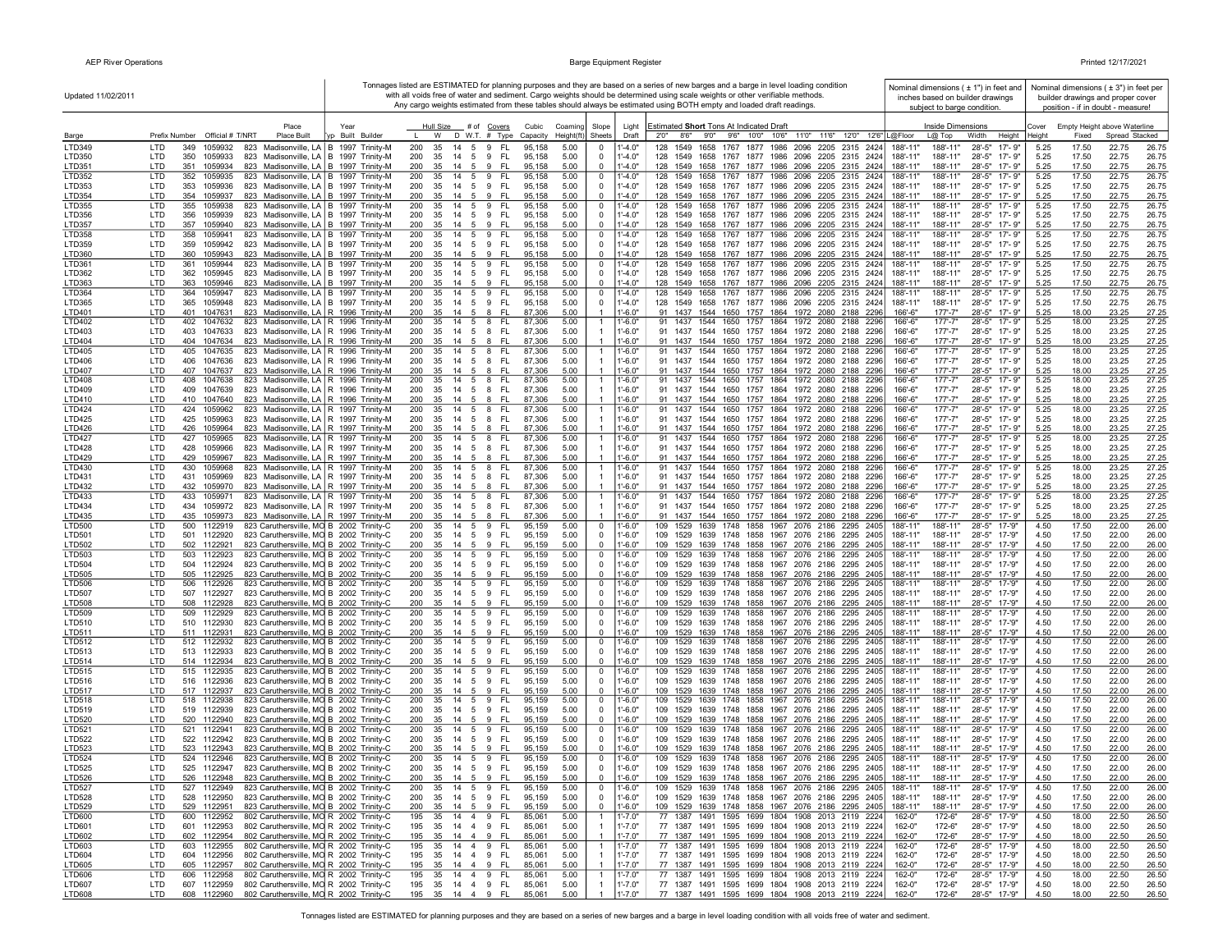| Updated 11/02/2011             |                                |                    |                            |                                                                                                            |                                     |            |          |                       |                                      |                                   |                      |                                  |                            | Tonnages listed are ESTIMATED for planning purposes and they are based on a series of new barges and a barge in level loading condition<br>with all voids free of water and sediment. Cargo weights should be determined using scale weights or other verifiable methods.<br>Any cargo weights estimated from these tables should always be estimated using BOTH empty and loaded draft readings. |                      | subject to barge condition.   | Nominal dimensions ( ± 1") in feet and<br>inches based on builder drawings |                 |                | Nominal dimensions $(±3")$ in feet per<br>builder drawings and proper cover<br>position - if in doubt - measure! |                |
|--------------------------------|--------------------------------|--------------------|----------------------------|------------------------------------------------------------------------------------------------------------|-------------------------------------|------------|----------|-----------------------|--------------------------------------|-----------------------------------|----------------------|----------------------------------|----------------------------|---------------------------------------------------------------------------------------------------------------------------------------------------------------------------------------------------------------------------------------------------------------------------------------------------------------------------------------------------------------------------------------------------|----------------------|-------------------------------|----------------------------------------------------------------------------|-----------------|----------------|------------------------------------------------------------------------------------------------------------------|----------------|
|                                | Prefix Number Official # T/NRT |                    |                            | Place<br>Place Built                                                                                       | Year<br>yp Built Builder            |            |          |                       | Hull Size # of Covers                | Cubic<br>W D W.T. # Type Capacity | Coamino<br>Height(ft | Slope<br>Sheets                  | Light<br>Draft             | Estimated Short Tons At Indicated Draft<br>2'0''<br>8'6"<br>9'0" 9'6" 10'0" 10'6" 11'0" 11'6" 12'0" 12'6" L@Floor                                                                                                                                                                                                                                                                                 |                      | Inside Dimensions<br>$L@$ Top | Width<br>Height                                                            | Cover<br>Heiaht | Fixed          | Empty Height above Waterline<br>Spread Stacked                                                                   |                |
| Barge<br>LTD349                | <b>LTD</b>                     | 349                | 1059932                    | 823                                                                                                        | Madisonville, LA   B 1997 Trinity-M | 200        | 35       | 14<br>5               | FL<br>-9                             | 95,158                            | 5.00                 | 0                                | $-4.0"$                    | 1549<br>1658 1767 1877 1986 2096 2205 2315<br>128<br>2424                                                                                                                                                                                                                                                                                                                                         | 188'-11              | 188'-11"                      | $28 - 5"$<br>$17 - 9"$                                                     | 5.25            | 17.50          | 22.75                                                                                                            | 26.75          |
| LTD350                         | LTD                            | 350                | 1059933                    | 823                                                                                                        | Madisonville, LA   B 1997 Trinity-M | 200        | 35       | 14<br>$5\overline{)}$ | FL.<br>9                             | 95,158                            | 5.00                 | 0                                | $1 - 4.0"$                 | 128 1549 1658 1767 1877 1986 2096 2205 2315 2424                                                                                                                                                                                                                                                                                                                                                  | 188'-11"             | 188'-11"                      | $28 - 5"$<br>17'-9"                                                        | 5.25            | 17.50          | 22.75                                                                                                            | 26.75          |
| LTD351                         | LTD                            | 351                | 1059934                    | 823 Madisonville, LA   B 1997 Trinity-M                                                                    |                                     | 200        | 35       | 5<br>14               | 9<br>-FL                             | 95,158                            | 5.00                 | $\overline{0}$                   | $-4.0"$                    | 128 1549 1658 1767 1877 1986 2096 2205 2315 2424                                                                                                                                                                                                                                                                                                                                                  | 188'-11"             | 188'-11"                      | $28 - 5"$<br>17'-9"                                                        | 5.25            | 17.50          | 22.75                                                                                                            | 26.75          |
| LTD352                         | LTD                            |                    | 352 1059935                | 823 Madisonville, LA B 1997 Trinity-M                                                                      |                                     | 200        | 35       | 14<br>5               | 9<br>FL.                             | 95,158                            | 5.00                 | 0                                | $1' - 4.0"$                | 128 1549<br>1658 1767 1877 1986 2096 2205 2315 2424                                                                                                                                                                                                                                                                                                                                               | 188'-11"             | 188'-11"                      | $28 - 5"$<br>17'-9"                                                        | 5.25            | 17.50          | 22.75                                                                                                            | 26.75          |
| LTD353<br>LTD354               | LTD<br>LTD                     | 353<br>354 1059937 | 1059936                    | 823 Madisonville, LA   B 1997 Trinity-M<br>823 Madisonville, LA   B 1997 Trinity-M                         |                                     | 200<br>200 | 35<br>35 | 14<br>5<br>14 5 9     | 9<br>-FL<br>- FL                     | 95,158<br>95.158                  | 5.00<br>5.00         | 0<br>$\mathbf 0$                 | $1' - 4.0"$<br>$1' - 4.0"$ | 128 1549 1658 1767 1877 1986 2096 2205 2315 2424<br>128 1549 1658 1767 1877 1986 2096 2205 2315 2424                                                                                                                                                                                                                                                                                              | 188'-11"<br>188'-11' | 188'-11"<br>188'-11"          | 28'-5"<br>17'-9"<br>$28 - 5"$<br>17'- 9"                                   | 5.25<br>5.25    | 17.50<br>17.50 | 22.75<br>22.75                                                                                                   | 26.75<br>26.75 |
| LTD355                         | LTD                            | 355                | 1059938                    | 823 Madisonville, LA   B 1997 Trinity-M                                                                    |                                     | 200        | 35       | 14<br>5               | 9<br>FL                              | 95.158                            | 5.00                 | 0                                | $1' - 4.0"$                | 128<br>1549<br>1658 1767 1877 1986 2096 2205 2315 2424                                                                                                                                                                                                                                                                                                                                            | 188'-11              | 188'-11"                      | $28 - 5"$<br>$17 - 9"$                                                     | 5.25            | 17.50          | 22.75                                                                                                            | 26.75          |
| LTD356                         | LTD                            |                    | 356 1059939                | 823 Madisonville, LA   B 1997 Trinity-M                                                                    |                                     | 200        | 35       | 14 5 9                | - FL                                 | 95,158                            | 5.00                 | $\mathbf 0$                      | $1' - 4.0"$                | 128 1549 1658 1767 1877 1986 2096 2205 2315 2424                                                                                                                                                                                                                                                                                                                                                  | 188'-11"             | 188'-11"                      | 28'-5" 17'-9"                                                              | 5.25            | 17.50          | 22.75                                                                                                            | 26.75          |
| <b>LTD357</b>                  | LTD                            |                    | 357 1059940                | 823 Madisonville, LA   B 1997 Trinity-M                                                                    |                                     | 200        |          |                       | 35 14 5 9 FL                         | 95,158                            | 5.00                 | $\mathbf 0$                      | $1' - 4.0"$                | 128 1549 1658 1767 1877 1986 2096 2205 2315 2424                                                                                                                                                                                                                                                                                                                                                  | 188'-11"             | 188'-11"                      | $28 - 5"$<br>$17 - 9"$                                                     | 5.25            | 17.50          | 22.75                                                                                                            | 26.75          |
| LTD358<br>LTD359               | LTD<br>LTD                     | 358<br>359         | 1059941<br>1059942         | 823 Madisonville, LA   B 1997 Trinity-M<br>823 Madisonville, LA   B 1997 Trinity-M                         |                                     | 200<br>200 | 35<br>35 | 14 5 9<br>14 5 9      | FL<br>- FL                           | 95,158<br>95,158                  | 5.00<br>5.00         | 0<br>0                           | 1'-4.0"<br>$1' - 4.0"$     | 128 1549 1658 1767 1877 1986 2096 2205 2315 2424<br>128 1549 1658 1767 1877 1986 2096 2205 2315 2424                                                                                                                                                                                                                                                                                              | 188'-11<br>188'-11"  | 188'-11"<br>188'-11"          | $28 - 5"$<br>17'-9"<br>28'-5"<br>17'-9"                                    | 5.25<br>5.25    | 17.50<br>17.50 | 22.75<br>22.75                                                                                                   | 26.75<br>26.75 |
| LTD360                         | LTD.                           |                    | 360 1059943                | 823 Madisonville, LA B 1997 Trinity-M                                                                      |                                     | 200        |          |                       | 35 14 5 9 FL                         | 95,158                            | 5.00                 | $\mathbf 0$                      | $1' - 4.0"$                | 128 1549 1658 1767 1877 1986 2096 2205 2315 2424                                                                                                                                                                                                                                                                                                                                                  | 188'-11'             | 188'-11"                      | $28 - 5"$<br>17'-9"                                                        | 5.25            | 17.50          | 22.75                                                                                                            | 26.75          |
| LTD361                         | LTD                            | 361                | 1059944                    | 823 Madisonville, LA   B 1997 Trinity-M                                                                    |                                     | 200        | 35       | 14 5 9                | FL.                                  | 95,158                            | 5.00                 | 0                                | $1' - 4.0"$                | 1549 1658 1767 1877 1986 2096 2205 2315 2424<br>128                                                                                                                                                                                                                                                                                                                                               | 188'-11'             | 188'-11"                      | $28 - 5"$<br>$17 - 9"$                                                     | 5.25            | 17.50          | 22.75                                                                                                            | 26.75          |
| LTD362                         | LTD                            |                    | 362 1059945                | 823 Madisonville, LA   B 1997 Trinity-M                                                                    |                                     | 200        | 35       |                       | 14   5   9   FL                      | 95,158                            | 5.00                 | 0                                | $1' - 4.0"$                | 128 1549 1658 1767 1877 1986 2096 2205 2315 2424                                                                                                                                                                                                                                                                                                                                                  | 188'-11"             | 188'-11"                      | $28 - 5"$<br>17'-9"                                                        | 5.25            | 17.50          | 22.75                                                                                                            | 26.75          |
| LTD363<br>LTD364               | LTD<br>LTD                     | 363<br>364         | 1059946<br>1059947         | 823 Madisonville, LA   B 1997 Trinity-M<br>823 Madisonville, LA   B 1997 Trinity-M                         |                                     | 200<br>200 | 35<br>35 | 14 5 9<br>14<br>5     | - FL<br>9<br>FL.                     | 95,158<br>95,158                  | 5.00<br>5.00         | 0<br>0                           | $1' - 4.0"$<br>$1' - 4.0"$ | 128 1549 1658 1767 1877 1986 2096 2205 2315 2424<br>128 1549 1658 1767 1877 1986 2096 2205 2315 2424                                                                                                                                                                                                                                                                                              | 188'-11"<br>188'-11" | 188'-11"<br>188'-11"          | $28 - 5"$<br>17'-9"<br>$28 - 5"$<br>$17 - 9"$                              | 5.25<br>5.25    | 17.50<br>17.50 | 22.75<br>22.75                                                                                                   | 26.75<br>26.75 |
| LTD365                         | LTD                            | 365                | 1059948                    | 823 Madisonville, LA   B 1997 Trinity-M                                                                    |                                     | 200        | 35       | 14                    | 5 9<br>- FL                          | 95,158                            | 5.00                 | 0                                | 1'-4.0"                    | 128 1549 1658 1767 1877 1986 2096 2205 2315 2424                                                                                                                                                                                                                                                                                                                                                  | 188'-11"             | 188'-11"                      | $28 - 5"$<br>17'-9"                                                        | 5.25            | 17.50          | 22.75                                                                                                            | 26.75          |
| LTD401                         | <b>LTD</b>                     | 401                | 1047631                    | 823 Madisonville, LA R 1996 Trinity-M                                                                      |                                     | 200        | 35       | 14 5                  | 8<br>- FL                            | 87,306                            | 5.00                 |                                  | $1' - 6.0"$                | 91 1437 1544 1650 1757 1864 1972 2080 2188 2296                                                                                                                                                                                                                                                                                                                                                   | $166' - 6'$          | $177 - 7"$                    | $28 - 5"$<br>17'-9"                                                        | 5.25            | 18.00          | 23.25                                                                                                            | 27.25          |
| <b>LTD402</b>                  | LTD                            | 402                | 1047632                    | 823 Madisonville, LA   R 1996 Trinity-M                                                                    |                                     | 200<br>200 | 35       | 14                    | 5 8<br>- FL                          | 87,306                            | 5.00                 | $\overline{1}$                   | 1'-6.0"                    | 91 1437 1544 1650 1757 1864 1972 2080 2188 2296                                                                                                                                                                                                                                                                                                                                                   | 166'-6"<br>166'-6"   | $177 - 7"$<br>$177 - 7"$      | $28 - 5"$<br>17'-9"<br>$17 - 9"$                                           | 5.25            | 18.00          | 23.25                                                                                                            | 27.25          |
| LTD403<br>LTD404               | LTD<br><b>LTD</b>              |                    | 403 1047633<br>404 1047634 | 823 Madisonville, LA   R 1996 Trinity-M<br>823 Madisonville, LA   R 1996 Trinity-M                         |                                     | 200        | 35<br>35 | 14 5 8                | 14   5   8   FL<br>- FL              | 87,306<br>87,306                  | 5.00<br>5.00         | $\mathbf{1}$<br>$\overline{1}$   | $1' - 6.0"$<br>$1' - 6.0"$ | 91 1437 1544 1650 1757 1864 1972 2080 2188 2296<br>91 1437 1544 1650 1757 1864 1972 2080 2188 2296                                                                                                                                                                                                                                                                                                | 166'-6"              | $177' - 7"$                   | $28 - 5"$<br>$28 - 5"$<br>$17 - 9"$                                        | 5.25<br>5.25    | 18.00<br>18.00 | 23.25<br>23.25                                                                                                   | 27.25<br>27.25 |
| LTD405                         | LTD                            |                    | 405 1047635                | 823 Madisonville, LA   R 1996 Trinity-M                                                                    |                                     | 200        | 35       |                       | 14   5   8   FL                      | 87,306                            | 5.00                 | $\overline{1}$                   | 1'-6.0"                    | 91 1437 1544 1650 1757 1864 1972 2080 2188 2296                                                                                                                                                                                                                                                                                                                                                   | 166'-6"              | $177 - 7"$                    | 28'-5"<br>17'-9"                                                           | 5.25            | 18.00          | 23.25                                                                                                            | 27.25          |
| LTD406                         | LTD                            |                    | 406 1047636                | 823 Madisonville, LA   R 1996 Trinity-M                                                                    |                                     | 200        | 35       |                       | 14   5   8   FL                      | 87,306                            | 5.00                 | $\overline{1}$                   | $1' - 6.0"$                | 91 1437 1544 1650 1757 1864 1972 2080 2188 2296                                                                                                                                                                                                                                                                                                                                                   | 166'-6"              | $177 - 7"$                    | 28'-5"<br>17'-9"                                                           | 5.25            | 18.00          | 23.25                                                                                                            | 27.25          |
| LTD407<br><b>LTD408</b>        | LTD.<br>LTD                    |                    | 407 1047637<br>408 1047638 | 823 Madisonville, LA R 1996 Trinity-M                                                                      |                                     | 200<br>200 | 35<br>35 | 14<br>- 5             | -FL<br>- 8<br>14   5   8   FL        | 87,306<br>87,306                  | 5.00<br>5.00         | $\mathbf{1}$                     | $1' - 6.0"$<br>$1' - 6.0"$ | 91 1437 1544 1650 1757 1864 1972 2080 2188 2296<br>91 1437 1544 1650 1757 1864 1972 2080 2188 2296                                                                                                                                                                                                                                                                                                | 166'-6"<br>166'-6"   | $177 - 7"$<br>$177 - 7"$      | $28 - 5"$<br>17'-9'<br>28'-5" 17'-9"                                       | 5.25<br>5.25    | 18.00<br>18.00 | 23.25<br>23.25                                                                                                   | 27.25<br>27.25 |
| LTD409                         | LTD                            |                    | 409 1047639                | 823 Madisonville, LA   R 1996 Trinity-M<br>823 Madisonville, LA   R 1996 Trinity-M                         |                                     | 200        |          |                       | 35 14 5 8 FL                         | 87,306                            | 5.00                 |                                  | $1' - 6.0"$                | 91 1437 1544 1650 1757 1864 1972 2080 2188 2296                                                                                                                                                                                                                                                                                                                                                   | 166'-6"              | $177 - 7"$                    | 28'-5" 17'-9"                                                              | 5.25            | 18.00          | 23.25                                                                                                            | 27.25          |
| LTD410                         | <b>LTD</b>                     |                    | 410 1047640                | 823 Madisonville, LA   R 1996 Trinity-M                                                                    |                                     | 200        | 35       | 14<br>5               | -8<br>-FL                            | 87,306                            | 5.00                 | $\overline{1}$                   | $1' - 6.0"$                | 91 1437 1544 1650 1757 1864 1972 2080 2188 2296                                                                                                                                                                                                                                                                                                                                                   | 166'-6"              | $177 - 7"$                    | $28 - 5"$<br>17'-9"                                                        | 5.25            | 18.00          | 23.25                                                                                                            | 27.25          |
| <b>LTD424</b>                  | LTD                            | 424 1059962        |                            | 823 Madisonville, LA   R 1997 Trinity-M                                                                    |                                     | 200        | 35       | 14<br>5               | - FL<br>-8                           | 87,306                            | 5.00                 | $\overline{1}$                   | $1'-6.0"$                  | 91 1437 1544 1650 1757 1864 1972 2080 2188 2296                                                                                                                                                                                                                                                                                                                                                   | 166'-6'              | $177 - 7"$                    | 17'-9"<br>28'-5"                                                           | 5.25            | 18.00          | 23.25                                                                                                            | 27.25          |
| LTD425<br>LTD426               | LTD<br>LTD                     | 426                | 425 1059963<br>1059964     | 823 Madisonville, LA R 1997 Trinity-M<br>823 Madisonville, LA   R 1997 Trinity-M                           |                                     | 200<br>200 | 35<br>35 | 14<br>5<br>14<br>5    | 8<br>-FL<br>8<br>FL.                 | 87,306<br>87,306                  | 5.00<br>5.00         | $\overline{1}$                   | $1'-6.0"$<br>$1' - 6.0"$   | 91 1437 1544 1650 1757 1864 1972 2080 2188 2296<br>91 1437 1544 1650 1757 1864 1972 2080 2188 2296                                                                                                                                                                                                                                                                                                | 166'-6"<br>166'-6"   | $177 - 7"$<br>$177 - 7"$      | $28 - 5"$<br>17'-9"<br>28'-5"<br>17'-9"                                    | 5.25<br>5.25    | 18.00<br>18.00 | 23.25<br>23.25                                                                                                   | 27.25<br>27.25 |
| <b>LTD427</b>                  | LTD                            | 427                | 1059965                    | 823 Madisonville, LA R 1997 Trinity-M                                                                      |                                     | 200        | 35       | 14<br>5               | 8<br>FL.                             | 87,306                            | 5.00                 | $\mathbf{1}$                     | $1' - 6.0"$                | 1544 1650 1757 1864 1972 2080 2188 2296<br>91 1437                                                                                                                                                                                                                                                                                                                                                | 166'-6"              | $177 - 7"$                    | $28 - 5"$<br>17'-9"                                                        | 5.25            | 18.00          | 23.25                                                                                                            | 27.25          |
| <b>LTD428</b>                  | LTD                            | 428                | 1059966                    | 823 Madisonville, LA   R 1997 Trinity-M                                                                    |                                     | 200        | 35       | 14 5 8                | - FL                                 | 87,306                            | 5.00                 |                                  | $1' - 6.0"$                | 91 1437 1544 1650 1757 1864 1972 2080 2188 2296                                                                                                                                                                                                                                                                                                                                                   | 166'-6"              | $177' - 7"$                   | 28'-5" 17'-9"                                                              | 5.25            | 18.00          | 23.25                                                                                                            | 27.25          |
| LTD429                         | <b>LTD</b>                     | 429                | 1059967                    | 823 Madisonville, LA   R 1997 Trinity-M                                                                    |                                     | 200        | 35       | 14 5 8                | - FL                                 | 87,306                            | 5.00                 | $\overline{1}$                   | $1' - 6.0"$                | 91 1437 1544 1650 1757 1864 1972 2080 2188 2296                                                                                                                                                                                                                                                                                                                                                   | 166'-6"              | $177 - 7"$                    | $28 - 5"$<br>$17 - 9"$                                                     | 5.25            | 18.00          | 23.25                                                                                                            | 27.25          |
| LTD430<br>LTD431               | LTD<br>LTD                     | 431                | 430 1059968<br>1059969     | 823 Madisonville, LA   R 1997 Trinity-M<br>823 Madisonville, LA   R 1997 Trinity-M                         |                                     | 200<br>200 | 35<br>35 | 14 5 8<br>14<br>5     | - FL<br>8<br>-FL                     | 87,306<br>87,306                  | 5.00<br>5.00         | -1                               | $1' - 6.0"$<br>$1' - 6.0"$ | 91 1437 1544 1650 1757 1864 1972 2080 2188 2296<br>91 1437 1544 1650 1757 1864 1972 2080 2188 2296                                                                                                                                                                                                                                                                                                | 166'-6'<br>166'-6"   | $177 - 7"$<br>$177 - 7"$      | $28 - 5"$<br>17'-9"<br>28'-5" 17'-9"                                       | 5.25<br>5.25    | 18.00<br>18.00 | 23.25<br>23.25                                                                                                   | 27.25<br>27.25 |
| LTD432                         | LTD                            |                    | 432 1059970                | 823 Madisonville, LA   R 1997 Trinity-M                                                                    |                                     | 200        | 35       | 14 5 8                | - FL                                 | 87,306                            | 5.00                 |                                  | $1' - 6.0"$                | 91 1437 1544 1650 1757 1864 1972 2080 2188 2296                                                                                                                                                                                                                                                                                                                                                   | 166'-6"              | $177' - 7"$                   | 28'-5"<br>17'-9"                                                           | 5.25            | 18.00          | 23.25                                                                                                            | 27.25          |
| LTD433                         | LTD                            | 433 1059971        |                            | 823 Madisonville, LA   R 1997 Trinity-M                                                                    |                                     | 200        | 35       | 14 5 8                | - FL                                 | 87,306                            | 5.00                 | $\overline{1}$                   | $1' - 6.0"$                | 91 1437 1544 1650 1757 1864 1972 2080 2188 2296                                                                                                                                                                                                                                                                                                                                                   | 166'-6"              | $177 - 7"$                    | $28 - 5"$<br>17'-9"                                                        | 5.25            | 18.00          | 23.25                                                                                                            | 27.25          |
| <b>LTD434</b>                  | LTD<br>LTD                     |                    | 434 1059972<br>435 1059973 | 823 Madisonville, LA   R 1997 Trinity-M<br>823 Madisonville, LA R 1997 Trinity-M                           |                                     | 200        | 35       | 14<br>- 5             | - FL<br>- 8                          | 87,306<br>87,306                  | 5.00<br>5.00         | $\overline{1}$                   | $1' - 6.0"$<br>$1' - 6.0"$ | 91 1437 1544 1650 1757 1864 1972 2080 2188 2296                                                                                                                                                                                                                                                                                                                                                   | 166'-6"<br>166'-6"   | $177' - 7"$<br>$177 - 7"$     | $28 - 5"$<br>$17 - 9"$<br>17'-9"                                           | 5.25            | 18.00          | 23.25<br>23.25                                                                                                   | 27.25          |
| LTD435<br>LTD500               | LTD                            |                    | 500 1122919                | 823 Caruthersville, MO B 2002 Trinity-C                                                                    |                                     | 200<br>200 | 35<br>35 | 14<br>5<br>14 5 9     | 8<br>-FL<br>- FL                     | 95,159                            | 5.00                 | 0                                | $1' - 6.0"$                | 91 1437 1544 1650 1757 1864 1972 2080 2188 2296<br>109 1529 1639 1748 1858 1967 2076 2186 2295 2405                                                                                                                                                                                                                                                                                               | 188'-11'             | 188'-11"                      | $28 - 5"$<br>$28 - 5"$<br>17-'9"                                           | 5.25<br>4.50    | 18.00<br>17.50 | 22.00                                                                                                            | 27.25<br>26.00 |
| LTD501                         | LTD                            | 501                | 1122920                    | 823 Caruthersville, MO B 2002 Trinity-C                                                                    |                                     | 200        | 35       | 14<br>5               | 9<br>- FL                            | 95,159                            | 5.00                 | 0                                | $1' - 6.0"$                | 109 1529 1639 1748 1858 1967 2076 2186 2295 2405                                                                                                                                                                                                                                                                                                                                                  | 188'-11"             | 188'-11"                      | $28 - 5"$<br>17-'9"                                                        | 4.50            | 17.50          | 22.00                                                                                                            | 26.00          |
| LTD502                         | LTD                            | 502 1122921        |                            | 823 Caruthersville, MO B 2002 Trinity-C                                                                    |                                     | 200        | 35       | 14<br>5               | 9<br>- FL                            | 95,159                            | 5.00                 | 0                                | $1' - 6.0"$                | 109 1529 1639 1748 1858 1967 2076 2186 2295 2405                                                                                                                                                                                                                                                                                                                                                  | 188'-11"             | 188'-11"                      | $28 - 5"$<br>17-'9"                                                        | 4.50            | 17.50          | 22.00                                                                                                            | 26.00          |
| <b>LTD503</b><br><b>LTD504</b> | LTD<br>LTD                     | 503<br>504 1122924 | 1122923                    | 823 Caruthersville, MO B 2002 Trinity-C<br>823 Caruthersville, MO B 2002 Trinity-C                         |                                     | 200<br>200 | 35<br>35 | 14<br>5               | 9<br>- FL<br>14   5   9   FL         | 95,159<br>95,159                  | 5.00<br>5.00         | 0<br>0                           | $1' - 6.0"$<br>$1' - 6.0"$ | 1639 1748 1858 1967 2076 2186 2295 2405<br>109 1529<br>109 1529 1639 1748 1858 1967 2076 2186 2295 2405                                                                                                                                                                                                                                                                                           | 188'-11"<br>188'-11" | 188'-11"<br>188'-11"          | $28 - 5"$<br>17-'9"<br>$28 - 5"$<br>17-'9"                                 | 4.50<br>4.50    | 17.50<br>17.50 | 22.00<br>22.00                                                                                                   | 26.00<br>26.00 |
| LTD505                         | <b>LTD</b>                     | 505 1122925        |                            | 823 Caruthersville, MO B 2002 Trinity-C                                                                    |                                     | 200        | 35       |                       | 14   5   9   FL                      | 95,159                            | 5.00                 | $\mathbf 0$                      | $1' - 6.0"$                | 109 1529 1639 1748 1858 1967 2076 2186 2295 2405                                                                                                                                                                                                                                                                                                                                                  | 188'-11"             | 188'-11"                      | $28 - 5"$<br>17-'9"                                                        | 4.50            | 17.50          | 22.00                                                                                                            | 26.00          |
| LTD506                         | LTD                            |                    | 506 1122926                | 823 Caruthersville, MO B 2002 Trinity-C                                                                    |                                     | 200        | 35       | 14 5 9                | - FL                                 | 95,159                            | 5.00                 | 0                                | $1' - 6.0"$                | 109 1529 1639 1748 1858 1967 2076 2186 2295 2405                                                                                                                                                                                                                                                                                                                                                  | 188'-11'             | 188'-11"                      | $28 - 5"$<br>$17 - 9"$                                                     | 4.50            | 17.50          | 22.00                                                                                                            | 26.00          |
| <b>LTD507</b>                  | LTD                            |                    | 507 1122927                | 823 Caruthersville, MO B 2002 Trinity-C                                                                    |                                     | 200        |          |                       | 35 14 5 9 FL                         | 95,159                            | 5.00                 | $\Omega$                         | $1' - 6.0"$                | 109 1529 1639 1748 1858 1967 2076 2186 2295 2405                                                                                                                                                                                                                                                                                                                                                  | 188'-11"             | 188'-11"                      | 28'-5"<br>17-'9"                                                           | 4.50            | 17.50          | 22.00                                                                                                            | 26.00          |
| <b>LTD508</b><br><b>LTD509</b> | LTD<br>LTD                     | 509 1122929        | 508 1122928                | 823 Caruthersville, MO B 2002 Trinity-C<br>823 Caruthersville, MO B 2002 Trinity-C                         |                                     | 200<br>200 | 35<br>35 | 14 5 9                | 14 5 9 FL<br>- FL                    | 95,159<br>95,159                  | 5.00<br>5.00         | 0<br>0                           | $1' - 6.0"$<br>$1' - 6.0"$ | 109 1529 1639 1748 1858 1967 2076 2186 2295 2405<br>109 1529 1639 1748 1858 1967 2076 2186 2295 2405                                                                                                                                                                                                                                                                                              | 188'-11"<br>188'-11' | 188'-11"<br>188'-11"          | $28 - 5"$<br>17-'9"<br>$28 - 5"$<br>$17 - 9"$                              | 4.50<br>4.50    | 17.50<br>17.50 | 22.00<br>22.00                                                                                                   | 26.00<br>26.00 |
| LTD510                         | LTD                            |                    | 510 1122930                | 823 Caruthersville, MO B 2002 Trinity-C                                                                    |                                     | 200        |          |                       | 35 14 5 9 FL                         | 95,159                            | 5.00                 | $\mathbf 0$                      | $1' - 6.0"$                | 109 1529 1639 1748 1858 1967 2076 2186 2295 2405                                                                                                                                                                                                                                                                                                                                                  | 188'-11"             | 188'-11"                      | $28 - 5"$<br>17-'9"                                                        | 4.50            | 17.50          | 22.00                                                                                                            | 26.00          |
| LTD511                         | <b>LTD</b>                     | 511 1122931        |                            | 823 Caruthersville, MO B 2002 Trinity-C                                                                    |                                     | 200        |          |                       | 35 14 5 9 FL                         | 95,159                            | 5.00                 | $\mathbf 0$                      | $1' - 6.0"$                | 109 1529 1639 1748 1858 1967 2076 2186 2295 2405                                                                                                                                                                                                                                                                                                                                                  | 188'-11"             | 188'-11"                      | $28 - 5"$<br>17-'9"                                                        | 4.50            | 17.50          | 22.00                                                                                                            | 26.00          |
| LTD512                         | LTD                            |                    | 512 1122932                | 823 Caruthersville, MO B 2002 Trinity-C                                                                    |                                     | 200        | 35       | 14 5 9                | - FL                                 | 95,159                            | 5.00                 | 0                                | $1' - 6.0"$                | 109 1529 1639 1748 1858 1967 2076 2186 2295 2405                                                                                                                                                                                                                                                                                                                                                  | 188'-11"             | 188'-11"                      | $28 - 5"$<br>17-'9"                                                        | 4.50            | 17.50          | 22.00                                                                                                            | 26.00          |
| LTD513<br>LTD514               | LTD<br>LTD                     | 514 1122934        | 513 1122933                | 823 Caruthersville, MO B 2002 Trinity-C<br>823 Caruthersville, MO B 2002 Trinity-C                         |                                     | 200<br>200 | 35<br>35 | 14 5 9<br>14<br>5     | - FL<br>9<br>-FL                     | 95.159<br>95,159                  | 5.00<br>5.00         | 0<br>$\mathbf 0$                 | $1'-6.0"$<br>$1' - 6.0"$   | 109 1529 1639 1748 1858 1967 2076 2186 2295 2405<br>109 1529 1639 1748 1858 1967 2076 2186 2295 2405                                                                                                                                                                                                                                                                                              | 188'-11"<br>188'-11" | 188'-11"<br>188'-11"          | 28'-5"<br>17-'9"<br>28'-5"<br>17-'9"                                       | 4.50<br>4.50    | 17.50<br>17.50 | 22.00<br>22.00                                                                                                   | 26.00<br>26.00 |
| LTD515                         | LTD                            |                    | 515 1122935                | 823 Caruthersville, MO B 2002 Trinity-C                                                                    |                                     | 200        | 35       | 14 5                  | 9<br>FL.                             | 95,159                            | 5.00                 | 0                                | $1' - 6.0"$                | 109 1529<br>1639 1748 1858 1967 2076 2186 2295 2405                                                                                                                                                                                                                                                                                                                                               | 188'-11              | 188'-11"                      | $28 - 5"$<br>17-'9'                                                        | 4.50            | 17.50          | 22.00                                                                                                            | 26.00          |
| LTD516                         | LTD                            |                    | 516 1122936                | 823 Caruthersville, MO B 2002 Trinity-C                                                                    |                                     | 200        | 35       | 14 5 9                | - FL                                 | 95,159                            | 5.00                 | $\mathbf 0$                      | $1' - 6.0"$                | 109 1529 1639 1748 1858 1967 2076 2186 2295 2405                                                                                                                                                                                                                                                                                                                                                  | 188'-11"             | 188'-11"                      | 28'-5" 17-'9"                                                              | 4.50            | 17.50          | 22.00                                                                                                            | 26.00          |
| LTD517<br>LTD518               | <b>LTD</b><br>LTD              | 517 1122937        | 518 1122938                | 823 Caruthersville, MO B 2002 Trinity-C<br>823 Caruthersville, MO B 2002 Trinity-C                         |                                     | 200<br>200 | 35<br>35 | 14 5 9                | 14 5 9 FL<br>- FL                    | 95.159<br>95,159                  | 5.00<br>5.00         | $\mathbf 0$<br>0                 | $1' - 6.0"$<br>$1' - 6.0"$ | 109 1529 1639 1748 1858 1967 2076 2186 2295 2405<br>109 1529 1639 1748 1858 1967 2076 2186 2295 2405                                                                                                                                                                                                                                                                                              | 188'-11"<br>188'-11  | 188'-11"<br>188'-11"          | $28 - 5"$<br>17-'9"<br>$28 - 5"$<br>17-'9"                                 | 4.50<br>4.50    | 17.50<br>17.50 | 22.00<br>22.00                                                                                                   | 26.00<br>26.00 |
| LTD519                         | LTD                            |                    | 519 1122939                | 823 Caruthersville, MO B 2002 Trinity-C                                                                    |                                     | 200        | 35       | 14 5 9                | - FL                                 | 95.159                            | 5.00                 | $\Omega$                         | $1' - 6.0"$                | 109 1529 1639 1748 1858 1967 2076 2186 2295 2405                                                                                                                                                                                                                                                                                                                                                  | 188'-11'             | 188'-11"                      | 28'-5"<br>17-'9"                                                           | 4.50            | 17.50          | 22.00                                                                                                            | 26.00          |
| LTD520                         | LTD                            |                    | 520 1122940                | 823 Caruthersville, MO B 2002 Trinity-C                                                                    |                                     | 200        | 35       | 14 5 9                | - FL                                 | 95,159                            | 5.00                 | 0                                | $1' - 6.0"$                | 109 1529 1639 1748 1858 1967 2076 2186 2295 2405                                                                                                                                                                                                                                                                                                                                                  | 188'-11"             | 188'-11"                      | 28'-5"<br>17-'9"                                                           | 4.50            | 17.50          | 22.00                                                                                                            | 26.00          |
| LTD521                         | LTD                            |                    | 521 1122941                | 823 Caruthersville, MO B 2002 Trinity-C                                                                    |                                     | 200        |          | 35 14 5 9             | - FL                                 | 95.159                            | 5.00                 | 0                                | 1'-6.0"                    | 109 1529 1639 1748 1858 1967 2076 2186 2295 2405                                                                                                                                                                                                                                                                                                                                                  | 188'-11'             | 188'-11"                      | 28'-5"<br>17-'9"                                                           | 4.50            | 17.50          | 22.00                                                                                                            | 26.00          |
| <b>LTD522</b><br>LTD523        | LTD<br><b>LTD</b>              |                    | 522 1122942<br>523 1122943 | 823 Caruthersville, MO B 2002 Trinity-C<br>823 Caruthersville, MO B 2002 Trinity-C                         |                                     | 200<br>200 | 35       | 14 5 9                | 35 14 5 9 FL<br>- FL                 | 95,159<br>95,159                  | 5.00<br>5.00         | 0<br>$\Omega$                    | $1' - 6.0"$<br>$1' - 6.0"$ | 109 1529 1639 1748 1858 1967 2076 2186 2295 2405<br>109 1529 1639 1748 1858 1967 2076 2186 2295 2405                                                                                                                                                                                                                                                                                              | 188'-11'<br>188'-11" | 188'-11"<br>188'-11"          | 28'-5"<br>17-'9"<br>$28 - 5"$<br>17-'9"                                    | 4.50<br>4.50    | 17.50<br>17.50 | 22.00<br>22.00                                                                                                   | 26.00<br>26.00 |
| LTD524                         | <b>LTD</b>                     |                    | 524 1122946                | 823 Caruthersville, MO B 2002 Trinity-C                                                                    |                                     | 200        |          |                       | 35 14 5 9 FL                         | 95,159                            | 5.00                 | $^{\circ}$                       | 1'-6.0"                    | 109 1529 1639 1748 1858 1967 2076 2186 2295 2405                                                                                                                                                                                                                                                                                                                                                  | 188'-11'             | 188'-11"                      | $28 - 5"$<br>17-'9'                                                        | 4.50            | 17.50          | 22.00                                                                                                            | 26.00          |
| LTD525                         | LTD                            |                    | 525 1122947                | 823 Caruthersville, MO B 2002 Trinity-C                                                                    |                                     | 200        |          |                       | 35 14 5 9 FL                         | 95,159                            | 5.00                 | $^{\circ}$                       | $1' - 6.0"$                | 109 1529 1639 1748 1858 1967 2076 2186 2295 2405                                                                                                                                                                                                                                                                                                                                                  | 188'-11"             | 188'-11"                      | 28'-5"<br>17-'9"                                                           | 4.50            | 17.50          | 22.00                                                                                                            | 26.00          |
| <b>LTD526</b>                  | LTD.                           |                    | 526 1122948                | 823 Caruthersville, MO B 2002 Trinity-C                                                                    |                                     | 200        |          |                       | 35 14 5 9 FL                         | 95,159                            | 5.00                 |                                  | $-6.0"$                    | 109 1529 1639 1748 1858 1967 2076 2186 2295 2405                                                                                                                                                                                                                                                                                                                                                  | 188'-11"             | 188'-11"                      | $28 - 5"$<br>$17 - 9"$                                                     | 4.50            | 17.50          | 22.00                                                                                                            | 26.00          |
| <b>LTD527</b><br><b>LTD528</b> | LTD.<br>LTD                    |                    |                            | 527 1122949 823 Caruthersville, MO B 2002 Trinity-C<br>528 1122950 823 Caruthersville, MO B 2002 Trinity-C |                                     | 200<br>200 |          |                       | 35 14 5 9 FL<br>35 14 5 9 FL         | 95.159<br>95,159                  | 5.00<br>5.00         | $\overline{0}$<br>$\mathbf{0}$   | 1'-6.0"<br>$1'-6.0"$       | 109 1529 1639 1748 1858 1967 2076 2186 2295 2405<br>109 1529 1639 1748 1858 1967 2076 2186 2295 2405                                                                                                                                                                                                                                                                                              | 188'-11"<br>188'-11" | 188'-11"<br>188'-11"          | 28'-5" 17-'9"<br>28'-5" 17-'9"                                             | 4.50<br>4.50    | 17.50<br>17.50 | 22.00<br>22.00                                                                                                   | 26.00<br>26.00 |
| LTD529                         | LTD                            |                    | 529 1122951                | 823 Caruthersville, MO B 2002 Trinity-C                                                                    |                                     | 200        |          |                       | 35 14 5 9 FL                         | 95,159                            | 5.00                 | $\mathbf 0$                      | $1' - 6.0"$                | 109 1529 1639 1748 1858 1967 2076 2186 2295 2405                                                                                                                                                                                                                                                                                                                                                  | 188'-11"             | 188'-11"                      | 28'-5" 17-'9"                                                              | 4.50            | 17.50          | 22.00                                                                                                            | 26.00          |
| LTD600                         | <b>LTD</b>                     |                    | 600 1122952                | 802 Caruthersville, MO R 2002 Trinity-C                                                                    |                                     | 195        |          |                       | 35 14 4 9 FL                         | 85,061                            | 5.00                 | $\overline{1}$                   | $1' - 7.0"$                | 77 1387 1491 1595 1699 1804 1908 2013 2119 2224                                                                                                                                                                                                                                                                                                                                                   | 162-0"               | 172-6"                        | $28 - 5"$<br>17-'9"                                                        | 4.50            | 18.00          | 22.50                                                                                                            | 26.50          |
| LTD601                         | LTD                            |                    | 601 1122953                | 802 Caruthersville, MO R 2002 Trinity-C                                                                    |                                     | 195        |          |                       | 35 14 4 9 FL                         | 85,061                            | 5.00                 | $\overline{1}$                   | $1' - 7.0"$                | 77 1387 1491 1595 1699 1804 1908 2013 2119 2224                                                                                                                                                                                                                                                                                                                                                   | 162-0"               | 172-6"                        | 28'-5" 17-'9"                                                              | 4.50            | 18.00          | 22.50                                                                                                            | 26.50          |
| LTD602<br>LTD603               | LTD<br>LTD                     |                    | 602 1122954<br>603 1122955 | 802 Caruthersville, MO R 2002 Trinity-C<br>802 Caruthersville, MO R 2002 Trinity-C                         |                                     | 195        |          |                       | 195 35 14 4 9 FL<br>35 14 4 9 FL     | 85,061<br>85,061                  | 5.00<br>5.00         | $\overline{1}$<br>$\overline{1}$ | $1' - 7.0"$<br>$1' - 7.0"$ | 77 1387 1491 1595 1699 1804 1908 2013 2119 2224<br>77 1387 1491 1595 1699 1804 1908 2013 2119 2224                                                                                                                                                                                                                                                                                                | 162-0"<br>162-0"     | 172-6"<br>172-6"              | 28'-5" 17-'9"<br>28'-5" 17-'9"                                             | 4.50<br>4.50    | 18.00<br>18.00 | 22.50<br>22.50                                                                                                   | 26.50<br>26.50 |
| <b>LTD604</b>                  | LTD                            |                    | 604 1122956                | 802 Caruthersville, MO R 2002 Trinity-C                                                                    |                                     |            |          |                       | 195 35 14 4 9 FL                     | 85,061                            | 5.00                 | $\overline{1}$                   | $1' - 7.0"$                | 77 1387 1491 1595 1699 1804 1908 2013 2119 2224                                                                                                                                                                                                                                                                                                                                                   | 162-0"               | 172-6"                        | 28'-5" 17-'9"                                                              | 4.50            | 18.00          | 22.50                                                                                                            | 26.50          |
| <b>LTD605</b>                  | LTD                            |                    | 605 1122957                | 802 Caruthersville, MO R 2002 Trinity-C                                                                    |                                     |            |          |                       | 195 35 14 4 9 FL                     | 85,061                            | 5.00                 |                                  | $1' - 7.0"$                | 77 1387 1491 1595 1699 1804 1908 2013 2119 2224                                                                                                                                                                                                                                                                                                                                                   | 162-0"               | 172-6"                        | 28'-5" 17-'9"                                                              | 4.50            | 18.00          | 22.50                                                                                                            | 26.50          |
| <b>LTD606</b>                  | LTD                            |                    | 606 1122958                | 802 Caruthersville, MO R 2002 Trinity-C                                                                    |                                     | 195        |          |                       | 35 14 4 9 FL                         | 85,061                            | 5.00                 | $\mathbf{1}$                     | $1' - 7.0"$                | 77 1387 1491 1595 1699 1804 1908 2013 2119 2224                                                                                                                                                                                                                                                                                                                                                   | 162-0"               | 172-6"                        | 28'-5" 17-'9"                                                              | 4.50            | 18.00          | 22.50                                                                                                            | 26.50          |
| <b>LTD607</b><br><b>LTD608</b> | LTD<br>LTD                     |                    | 607 1122959                | 802 Caruthersville, MO R 2002 Trinity-C<br>608 1122960 802 Caruthersville, MO R 2002 Trinity-C             |                                     |            |          |                       | 195 35 14 4 9 FL<br>195 35 14 4 9 FL | 85,061<br>85,061                  | 5.00<br>5.00         | $\overline{1}$                   | 1'-7.0"<br>$1' - 7.0"$     | 77 1387 1491 1595 1699 1804 1908 2013 2119 2224<br>77 1387 1491 1595 1699 1804 1908 2013 2119 2224                                                                                                                                                                                                                                                                                                | 162-0"<br>162-0"     | 172-6"<br>172-6"              | 28'-5" 17-'9"<br>28'-5" 17-'9"                                             | 4.50<br>4.50    | 18.00<br>18.00 | 22.50<br>22.50                                                                                                   | 26.50<br>26.50 |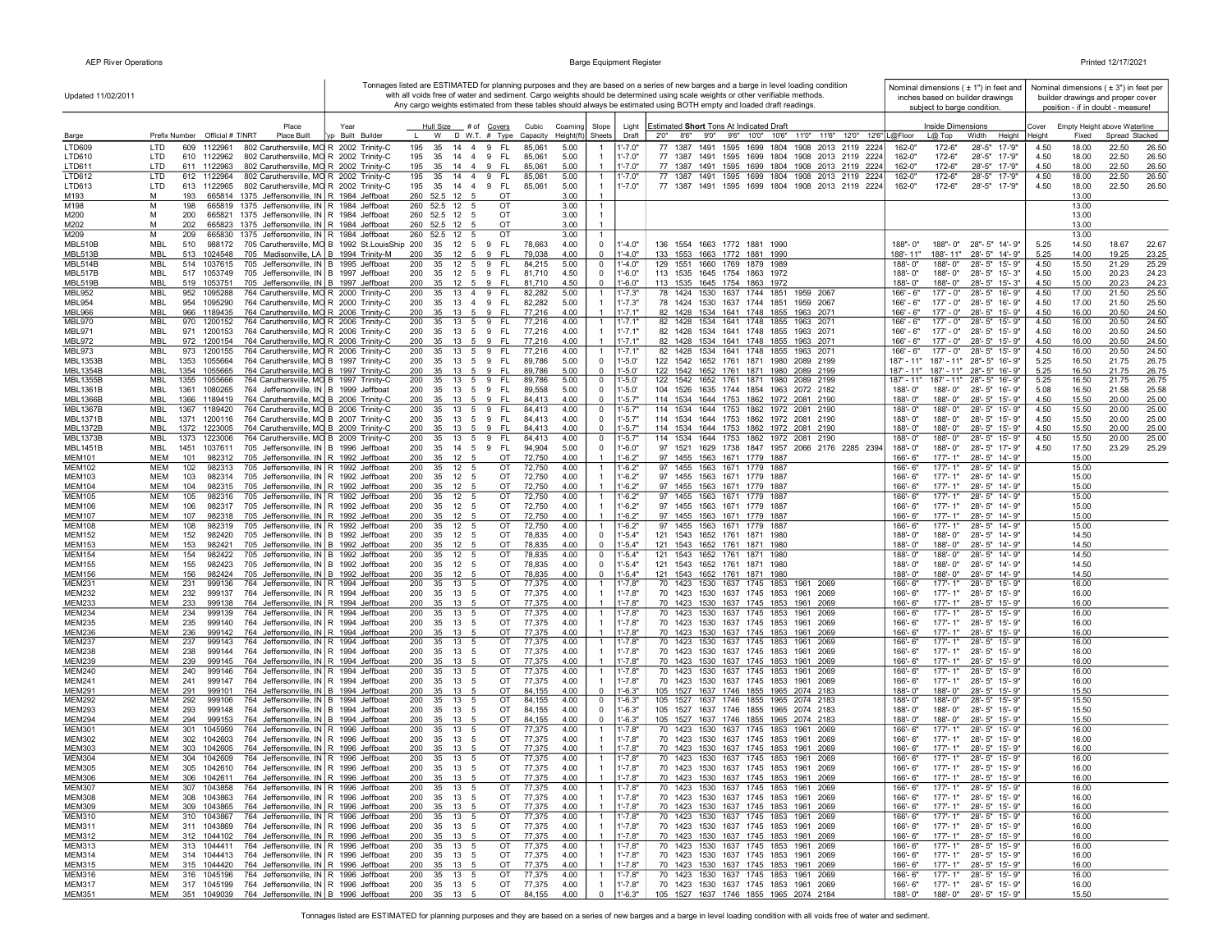| Updated 11/02/2011                 |                                                                                                                                                  |                 | Tonnages listed are ESTIMATED for planning purposes and they are based on a series of new barges and a barge in level loading condition<br>with all voids free of water and sediment. Cargo weights should be determined using scale weights or other verifiable methods.<br>Any cargo weights estimated from these tables should always be estimated using BOTH empty and loaded draft readings. |                           |                                  |                           |                            |                                                                                  |                                                                                |       |                                                                                                    |                            | subject to barge condition. | Nominal dimensions ( $\pm$ 1") in feet and<br>inches based on builder drawings |              |                | Nominal dimensions (±3") in feet per<br>builder drawings and proper cover<br>position - if in doubt - measure! |                |
|------------------------------------|--------------------------------------------------------------------------------------------------------------------------------------------------|-----------------|---------------------------------------------------------------------------------------------------------------------------------------------------------------------------------------------------------------------------------------------------------------------------------------------------------------------------------------------------------------------------------------------------|---------------------------|----------------------------------|---------------------------|----------------------------|----------------------------------------------------------------------------------|--------------------------------------------------------------------------------|-------|----------------------------------------------------------------------------------------------------|----------------------------|-----------------------------|--------------------------------------------------------------------------------|--------------|----------------|----------------------------------------------------------------------------------------------------------------|----------------|
|                                    | Place                                                                                                                                            | Year            | Hull Size                                                                                                                                                                                                                                                                                                                                                                                         | # of <u>Covers</u>        | Cubic<br>Coaming                 | Slope                     | Light                      | Estimated Short Tons At Indicated Draft                                          |                                                                                |       |                                                                                                    |                            | Inside Dimensions           |                                                                                | Cover        |                | Empty Height above Waterline                                                                                   |                |
| Barge                              | Prefix Number Official # T/NRT<br>Place Built                                                                                                    | p Built Builder | W                                                                                                                                                                                                                                                                                                                                                                                                 | D W.T. # Type<br>Capacity | Height(ft)                       | Sheets                    | Draft                      | 8'6''<br>2'0''                                                                   | 9'0"<br>9'6" 10'0"                                                             | 10'6" | 11'0" 11'6" 12'0" 12'6" L@Floor                                                                    |                            | L@ Top                      | Width<br>Height                                                                | Heiaht       | Fixed          | Spread Stacked                                                                                                 |                |
| LTD609                             | LTD<br>609<br>1122961<br>802 Caruthersville, MO R 2002 Trinity-C                                                                                 |                 | 195<br>35<br>14 4 9                                                                                                                                                                                                                                                                                                                                                                               | FL                        | 5.00<br>85,061                   |                           | $1' - 7.0"$                | 77 1387<br>1491                                                                  | 1595<br>1699                                                                   |       | 1804 1908 2013 2119 2224                                                                           | 162-0"                     | 172-6"                      | 28'-5" 17-'9"                                                                  | 4.50         | 18.00          | 22.50                                                                                                          | 26.50          |
| LTD610                             | LTD<br>610 1122962<br>802 Caruthersville, MO R 2002 Trinity-C                                                                                    |                 | 195<br>35<br>14 4 9                                                                                                                                                                                                                                                                                                                                                                               | - FL                      | 5.00<br>85,061                   |                           | $1' - 7.0"$                | 77 1387 1491                                                                     | 1595 1699                                                                      |       | 1804 1908 2013 2119 2224                                                                           | 162-0"                     | 172-6"                      | 28'-5" 17-'9"                                                                  | 4.50         | 18.00          | 22.50                                                                                                          | 26.50          |
| LTD611<br>LTD612                   | LTD<br>611 1122963<br>802 Caruthersville, MO R 2002 Trinity-C<br>LTD<br>612 1122964<br>802 Caruthersville, MO R 2002 Trinity-C                   |                 | 195<br>35<br>14 4 9<br>35 14 4 9 FL<br>195                                                                                                                                                                                                                                                                                                                                                        | - FL                      | 5.00<br>85,061<br>85,061<br>5.00 | $\overline{1}$            | $1' - 7.0"$<br>$1' - 7.0"$ |                                                                                  |                                                                                |       | 77 1387 1491 1595 1699 1804 1908 2013 2119 2224<br>77 1387 1491 1595 1699 1804 1908 2013 2119 2224 | 162-0"<br>162-0"           | 172-6"<br>172-6"            | 28'-5" 17-'9"<br>28'-5" 17-'9"                                                 | 4.50<br>4.50 | 18.00<br>18.00 | 22.50<br>22.50                                                                                                 | 26.50<br>26.50 |
| LTD613                             | LTD<br>802 Caruthersville, MO R 2002 Trinity-C<br>613 1122965                                                                                    |                 | 195 35 14 4 9 FL                                                                                                                                                                                                                                                                                                                                                                                  |                           | 5.00<br>85,061                   |                           | $1' - 7.0"$                |                                                                                  |                                                                                |       | 77 1387 1491 1595 1699 1804 1908 2013 2119 2224                                                    | 162-0"                     | 172-6"                      | 28'-5" 17-'9"                                                                  | 4.50         | 18.00          | 22.50                                                                                                          | 26.50          |
| M193                               | M<br>193<br>665814<br>1375 Jeffersonville, IN R 1984 Jeffboat                                                                                    |                 | 260 52.5 12 5                                                                                                                                                                                                                                                                                                                                                                                     | OT                        | 3.00                             |                           |                            |                                                                                  |                                                                                |       |                                                                                                    |                            |                             |                                                                                |              | 13.00          |                                                                                                                |                |
| M198                               | M<br>1375 Jeffersonville, IN R 1984 Jeffboat<br>198<br>665819                                                                                    |                 | 260 52.5 12<br>5                                                                                                                                                                                                                                                                                                                                                                                  | OT                        | 3.00                             |                           |                            |                                                                                  |                                                                                |       |                                                                                                    |                            |                             |                                                                                |              | 13.00          |                                                                                                                |                |
| M200<br>M202                       | М<br>1375 Jeffersonville, IN R 1984 Jeffboat<br>200<br>665821<br>M<br>1375 Jeffersonville, IN R 1984 Jeffboat<br>202<br>665823                   |                 | 260 52.5 12<br>5<br>260 52.5 12<br>5                                                                                                                                                                                                                                                                                                                                                              | OT<br>OT                  | 3.00<br>3.00                     |                           |                            |                                                                                  |                                                                                |       |                                                                                                    |                            |                             |                                                                                |              | 13.00<br>13.00 |                                                                                                                |                |
| M209                               | М<br>209<br>665830<br>1375 Jeffersonville, IN R 1984 Jeffboat                                                                                    |                 | 260<br>52.5 12<br>5                                                                                                                                                                                                                                                                                                                                                                               | OT                        | 3.00                             |                           |                            |                                                                                  |                                                                                |       |                                                                                                    |                            |                             |                                                                                |              | 13.00          |                                                                                                                |                |
| MBL510B                            | MBL<br>705 Caruthersville, MO B 1992 St.LouisShip 200<br>510<br>988172                                                                           |                 | 35 12 5 9                                                                                                                                                                                                                                                                                                                                                                                         | FL.                       | 4.00<br>78,663                   | 0                         | $1' - 4.0"$                | 136 1554 1663 1772 1881 1990                                                     |                                                                                |       |                                                                                                    | $188" - 0"$                |                             | 188"-0" 28"-5" 14'-9"                                                          | 5.25         | 14.50          | 18.67                                                                                                          | 22.67          |
| MBL513B                            | MBL<br>513 1024548<br>705 Madisonville, LA B 1994 Trinity-M                                                                                      |                 | 200<br>35 12 5 9                                                                                                                                                                                                                                                                                                                                                                                  | - FL                      | 79.038<br>4.00                   | $^{\circ}$                | $1' - 4.0"$                | 133 1553 1663 1772 1881 1990                                                     |                                                                                |       |                                                                                                    | 188'-11"                   |                             | 188'-11" 28'-5" 14'-9"                                                         | 5.25         | 14.00          | 19.25                                                                                                          | 23.25          |
| MBL514B<br>MBL517B                 | MBL<br>514 1037615<br>705 Jeffersonville, IN B 1995 Jeffboat<br>MBL<br>517 1053749<br>705 Jeffersonville, IN   B 1997 Jeffboat                   |                 | 200<br>12 5 9<br>35<br>200<br>35<br>12 5 9                                                                                                                                                                                                                                                                                                                                                        | FL.<br>- FL               | 84,215<br>5.00<br>4.50<br>81,710 | 0<br>$^{\circ}$           | $1' - 4.0"$<br>$1' - 6.0"$ | 129 1551 1660 1769 1879 1989<br>113 1535 1645 1754 1863 1972                     |                                                                                |       |                                                                                                    | $188 - 0$ "<br>$188 - 0$ " | 188'-0"                     | 28'-5" 15'-9"<br>188'-0" 28'-5" 15'-3"                                         | 4.50<br>4.50 | 15.50<br>15.00 | 21.29<br>20.23                                                                                                 | 25.29<br>24.23 |
| MBL519B                            | MBL<br>519 1053751<br>705 Jeffersonville, IN B 1997 Jeffboat                                                                                     |                 | 200<br>35 12 5 9 FL                                                                                                                                                                                                                                                                                                                                                                               |                           | 4.50<br>81,710                   | $\Omega$                  | $1'-6.0"$                  | 113 1535 1645 1754 1863 1972                                                     |                                                                                |       |                                                                                                    | 188'-0"                    | 188'-0"                     | 28'-5" 15'-3"                                                                  | 4.50         | 15.00          | 20.23                                                                                                          | 24.23          |
| <b>MBL952</b>                      | MBL<br>952 1095288<br>764 Caruthersville, MO R 2000 Trinity-C                                                                                    |                 | 35<br>13 4 9<br>200                                                                                                                                                                                                                                                                                                                                                                               | - FL                      | 82,282<br>5.00                   |                           | $1' - 7.3"$                |                                                                                  | 78 1424 1530 1637 1744 1851                                                    |       | 1959 2067                                                                                          | $166' - 6"$                | $177 - 0"$                  | 28'-5" 16'-9"                                                                  | 4.50         | 17.00          | 21.50                                                                                                          | 25.50          |
| <b>MBL954</b>                      | 764 Caruthersville, MO R 2000 Trinity-C<br>MBL<br>954<br>1095290                                                                                 |                 | 200<br>35<br>13 4 9 FL                                                                                                                                                                                                                                                                                                                                                                            |                           | 82,282<br>5.00                   |                           | $1' - 7.3"$                |                                                                                  | 78 1424 1530 1637 1744 1851 1959 2067                                          |       |                                                                                                    | $166' - 6"$                |                             | 177'-0" 28'-5" 16'-9"                                                          | 4.50         | 17.00          | 21.50                                                                                                          | 25.50          |
| <b>MBL966</b><br><b>MBL970</b>     | MBL<br>966 1189435<br>764 Caruthersville, MO R 2006 Trinity-C<br>MBL<br>970<br>1200152<br>764 Caruthersville, MO R 2006 Trinity-C                |                 | 200<br>35<br>13 5 9<br>13 5 9<br>200<br>35                                                                                                                                                                                                                                                                                                                                                        | - FL<br>- FL              | 77,216<br>4.00<br>77,216<br>4.00 |                           | $1' - 7.1"$<br>$1'$ -7.1"  |                                                                                  | 82 1428 1534 1641 1748 1855 1963 2071<br>82 1428 1534 1641 1748 1855 1963 2071 |       |                                                                                                    | $166' - 6"$<br>$166' - 6"$ | $177 - 0"$                  | 177' - 0" 28' - 5" 15' - 9"<br>28'-5" 15'-9"                                   | 4.50<br>4.50 | 16.00<br>16.00 | 20.50<br>20.50                                                                                                 | 24.50<br>24.50 |
| MBL971                             | 971 1200153<br>MBL<br>764 Caruthersville, MO R 2006 Trinity-C                                                                                    |                 | 200<br>35<br>- 13<br>59                                                                                                                                                                                                                                                                                                                                                                           | - FL                      | 77,216<br>4.00                   |                           | $1' - 7.1"$                |                                                                                  | 82 1428 1534 1641 1748 1855 1963 2071                                          |       |                                                                                                    | $166' - 6"$                | 177' - 0"                   | 28'-5" 15'-9"                                                                  | 4.50         | 16.00          | 20.50                                                                                                          | 24.50          |
| MBL972                             | 972<br>1200154<br>MBL<br>764 Caruthersville, MO R 2006 Trinity-C                                                                                 |                 | 200<br>35<br>13<br>5                                                                                                                                                                                                                                                                                                                                                                              | 9<br>-FL                  | 4.00<br>77,216                   |                           | $1' - 7.1"$                |                                                                                  | 82 1428 1534 1641 1748 1855 1963 2071                                          |       |                                                                                                    | $166' - 6"$                | 177' - 0"                   | 28'-5" 15'-9"                                                                  | 4.50         | 16.00          | 20.50                                                                                                          | 24.50          |
| <b>MBL973</b>                      | MBL<br>973<br>1200155<br>764 Caruthersville, MO R 2006 Trinity-C                                                                                 |                 | 200<br>35<br>13 5                                                                                                                                                                                                                                                                                                                                                                                 | 9<br>FL.                  | 77,216<br>4.00                   |                           | 1'-7.1'                    |                                                                                  | 82 1428 1534 1641 1748 1855 1963 2071                                          |       |                                                                                                    | $166' - 6"$                | 177' - 0"                   | 28'-5" 15'-9"                                                                  | 4.50         | 16.00          | 20.50                                                                                                          | 24.50          |
| <b>MBL1353B</b><br><b>MBL1354B</b> | MBL<br>1353<br>1055664<br>764 Caruthersville, MO B 1997 Trinity-C<br><b>MBL</b><br>1354 1055665<br>764 Caruthersville, MO B 1997 Trinity-C       |                 | 35<br>200<br>13 5 9<br>200<br>35<br>13 5 9                                                                                                                                                                                                                                                                                                                                                        | - FL<br>- FL              | 5.00<br>89,786<br>89,786<br>5.00 | $\mathbf 0$<br>$\Omega$   | $1' - 5.0'$<br>$1' - 5.0'$ | 122 1542 1652 1761 1871 1980 2089 2199<br>122 1542 1652 1761 1871 1980 2089 2199 |                                                                                |       |                                                                                                    | $187' - 11''$              |                             | 187' - 11" 28" - 5" 16' - 9"<br>187' - 11" 187' - 11" 28" - 5" 16' - 9"        | 5.25<br>5.25 | 16.50<br>16.50 | 21.75<br>21.75                                                                                                 | 26.75<br>26.75 |
| MBL1355B                           | <b>MBL</b><br>1355<br>1055666<br>764 Caruthersville, MO B 1997 Trinity-C                                                                         |                 | 200<br>13 5 9<br>35                                                                                                                                                                                                                                                                                                                                                                               | - FL                      | 89,786<br>5.00                   | $\mathbf 0$               | $1' - 5.0'$                | 122 1542 1652 1761 1871 1980 2089 2199                                           |                                                                                |       |                                                                                                    | 187' - 11"                 |                             | 187' - 11" 28" - 5" 16' - 9"                                                   | 5.25         | 16.50          | 21.75                                                                                                          | 26.75          |
| <b>MBL1361B</b>                    | MBL<br>1361<br>1080265<br>764 Jeffersonville, IN B 1999 Jeffboat                                                                                 |                 | 35 13 5 9 FL<br>200                                                                                                                                                                                                                                                                                                                                                                               |                           | 5.00<br>89,558                   | $\mathbf 0$               | $1'-5.0'$                  | 104 1526 1635 1744 1854 1963 2072 2182                                           |                                                                                |       |                                                                                                    | $188 - 0$ "                |                             | 188'-0" 28'-5" 16'-9"                                                          | 5.08         | 16.50          | 21.58                                                                                                          | 25.58          |
| <b>MBL1366B</b>                    | MBL<br>1366 1189419<br>764 Caruthersville, MO B 2006 Trinity-C                                                                                   |                 | 200<br>35<br>13 5                                                                                                                                                                                                                                                                                                                                                                                 | 9<br>- FL                 | 4.00<br>84,413                   | $\Omega$                  | $1' - 5.7"$                | 114 1534 1644 1753 1862 1972 2081 2190                                           |                                                                                |       |                                                                                                    | 188'-0"                    | 188'-0"                     | 28'-5" 15'-9"                                                                  | 4.50         | 15.50          | 20.00                                                                                                          | 25.00          |
| <b>MBL1367B</b><br><b>MBL1371B</b> | MBL<br>1367 1189420<br>764 Caruthersville, MO B 2006 Trinity-C<br>1371 1200116<br>764 Caruthersville, MO B 2007 Trinity-C                        |                 | 200<br>35 13 5 9<br>35 13 5 9 FL                                                                                                                                                                                                                                                                                                                                                                  | - FL                      | 84,413<br>4.00<br>4.00           | 0<br>$^{\circ}$           | 1'-5.7'<br>$1' - 5.7"$     | 114 1534 1644 1753 1862 1972 2081 2190<br>114 1534 1644 1753 1862 1972 2081 2190 |                                                                                |       |                                                                                                    | 188'-0"                    | 188'-0"<br>188'-0"          | 28'-5" 15'-9"<br>28'-5" 15'-9"                                                 | 4.50<br>4.50 | 15.50<br>15.50 | 20.00<br>20.00                                                                                                 | 25.00<br>25.00 |
| <b>MBL1372B</b>                    | MBL<br>764 Caruthersville, MO B 2009 Trinity-C<br>MBL<br>1372 1223005                                                                            |                 | 200<br>35<br>13<br>200<br>5                                                                                                                                                                                                                                                                                                                                                                       | 9<br>- FL                 | 84,413<br>4.00<br>84,413         | $\Omega$                  | $1' - 5.7"$                | 114 1534 1644 1753 1862 1972 2081 2190                                           |                                                                                |       |                                                                                                    | 188'-0"<br>188'-0"         | 188'-0"                     | 28'-5" 15'-9"                                                                  | 4.50         | 15.50          | 20.00                                                                                                          | 25.00          |
| <b>MBL1373B</b>                    | MBL<br>1373 1223006<br>764 Caruthersville, MO B 2009 Trinity-C                                                                                   |                 | 200<br>35<br>$13 \quad 5 \quad 9$                                                                                                                                                                                                                                                                                                                                                                 | - FL                      | 84,413<br>4.00                   | $\mathbf 0$               | $1' - 5.7'$                | 114 1534 1644 1753 1862 1972 2081 2190                                           |                                                                                |       |                                                                                                    | 188'-0"                    | 188'-0"                     | 28'-5" 15'-9"                                                                  | 4.50         | 15.50          | 20.00                                                                                                          | 25.00          |
| <b>MBL1451B</b>                    | 1451<br>705 Jeffersonville, IN B 1996 Jeffboat<br>MBL<br>1037611                                                                                 |                 | 200<br>35<br>14 5                                                                                                                                                                                                                                                                                                                                                                                 | 9<br>- FL                 | 94,904<br>5.00                   | $^{\circ}$                | $1'-6.0"$                  |                                                                                  |                                                                                |       | 97 1521 1629 1738 1847 1957 2066 2176 2285 2394                                                    | 188'-0"                    | 188'-0"                     | 28'-5" 17'-9"                                                                  | 4.50         | 17.50          | 23.29                                                                                                          | 25.29          |
| <b>MEM101</b>                      | 705 Jeffersonville, IN R 1992 Jeffboat<br><b>MEM</b><br>982312<br>101<br>MEM<br>102                                                              |                 | 200<br>35<br>12<br>5<br>200<br>12                                                                                                                                                                                                                                                                                                                                                                 | OT<br>OT                  | 72,750<br>4.00<br>4.00           |                           | $1'-6.2"$                  |                                                                                  | 97 1455 1563 1671 1779 1887                                                    |       |                                                                                                    | 166'-6"                    | 177'-1"                     | 28'-5" 14'-9"<br>28'-5" 14'-9"                                                 |              | 15.00<br>15.00 |                                                                                                                |                |
| <b>MEM102</b><br><b>MEM103</b>     | 705 Jeffersonville, IN R 1992 Jeffboat<br>982313<br><b>MEM</b><br>103<br>982314<br>705 Jeffersonville, IN R 1992 Jeffboat                        |                 | 35<br>5<br>200<br>35<br>12<br>5                                                                                                                                                                                                                                                                                                                                                                   | OT                        | 72,750<br>72,750<br>4.00         |                           | 1'-6.2"<br>$1' - 6.2"$     |                                                                                  | 97 1455 1563 1671 1779 1887<br>97 1455 1563 1671 1779 1887                     |       |                                                                                                    | 166'-6"<br>166'-6"         | 177'-1"<br>177'-1"          | 28'-5" 14'-9"                                                                  |              | 15.00          |                                                                                                                |                |
| <b>MEM104</b>                      | <b>MEM</b><br>104<br>705 Jeffersonville, IN R 1992 Jeffboat<br>982315                                                                            |                 | 200<br>35<br>12<br>5                                                                                                                                                                                                                                                                                                                                                                              | OT                        | 72,750<br>4.00                   |                           | $1' - 6.2"$                |                                                                                  | 97 1455 1563 1671 1779 1887                                                    |       |                                                                                                    | 166'-6"                    | 177'-1"                     | 28'-5" 14'-9"                                                                  |              | 15.00          |                                                                                                                |                |
| <b>MEM105</b>                      | <b>MEM</b><br>105<br>982316<br>705 Jeffersonville, IN R 1992 Jeffboat                                                                            |                 | 200<br>35<br>12 5                                                                                                                                                                                                                                                                                                                                                                                 | OT                        | 72,750<br>4.00                   |                           | $1' - 6.2"$                |                                                                                  | 97 1455 1563 1671 1779 1887                                                    |       |                                                                                                    | 166'-6"                    | $177 - 1"$                  | 28'-5" 14'-9"                                                                  |              | 15.00          |                                                                                                                |                |
| <b>MEM106</b><br><b>MEM107</b>     | <b>MEM</b><br>106<br>982317<br>705 Jeffersonville, IN   R 1992 Jeffboat<br><b>MEM</b><br>107<br>982318<br>705 Jeffersonville, IN R 1992 Jeffboat |                 | 200<br>35<br>12 5<br>200<br>35 12 5                                                                                                                                                                                                                                                                                                                                                               | OT<br>OT                  | 72,750<br>4.00<br>4.00<br>72,750 |                           | $1'-6.2"$<br>$1' - 6.2"$   |                                                                                  | 97 1455 1563 1671 1779 1887<br>97 1455 1563 1671 1779 1887                     |       |                                                                                                    | $166 - 6$<br>166'-6"       | 177'-1"                     | 177'-1" 28'-5" 14'-9"<br>28'-5" 14'-9"                                         |              | 15.00<br>15.00 |                                                                                                                |                |
| <b>MEM108</b>                      | 108<br>MEM<br>982319<br>705 Jeffersonville, IN R 1992 Jeffboat                                                                                   |                 | 200<br>35<br>12 5                                                                                                                                                                                                                                                                                                                                                                                 | OT                        | 4.00<br>72,750                   |                           | 1'-6.2"                    |                                                                                  | 97 1455 1563 1671 1779 1887                                                    |       |                                                                                                    | 166'-6"                    | 177'-1"                     | 28'-5" 14'-9"                                                                  |              | 15.00          |                                                                                                                |                |
| <b>MEM152</b>                      | 152<br>982420<br>MEM<br>705 Jeffersonville, IN B 1992 Jeffboat                                                                                   |                 | 200<br>35<br>12<br>5                                                                                                                                                                                                                                                                                                                                                                              | OT                        | 78,835<br>4.00                   | $\Omega$                  | $1'-5.4"$                  | 121 1543 1652 1761 1871 1980                                                     |                                                                                |       |                                                                                                    | $188 - 0'$                 | 188'-0"                     | 28'-5" 14'-9"                                                                  |              | 14.50          |                                                                                                                |                |
| <b>MEM153</b>                      | <b>MEM</b><br>153<br>982421<br>705 Jeffersonville, IN B 1992 Jeffboat                                                                            |                 | 200<br>35<br>12<br>-5                                                                                                                                                                                                                                                                                                                                                                             | OT                        | 78,835<br>4.00                   | $\Omega$                  | $1'-5.4"$                  | 121 1543 1652 1761 1871 1980                                                     |                                                                                |       |                                                                                                    | $188 - 0'$                 | 188'-0"                     | 28'-5" 14'-9"                                                                  |              | 14.50          |                                                                                                                |                |
| <b>MEM154</b><br><b>MEM155</b>     | <b>MEM</b><br>154<br>982422<br>705 Jeffersonville, IN B 1992 Jeffboat<br><b>MEM</b><br>155<br>982423<br>705 Jeffersonville, IN B 1992 Jeffboat   |                 | 200<br>35<br>12<br>5<br>35<br>12<br>200<br>5                                                                                                                                                                                                                                                                                                                                                      | OT<br>OT                  | 78,835<br>4.00<br>78,835<br>4.00 | $\mathbf 0$<br>$\Omega$   | $1 - 5.4"$<br>$1' - 5.4"$  | 121 1543 1652 1761 1871<br>121 1543 1652 1761 1871 1980                          |                                                                                | 1980  |                                                                                                    | 188'-0"<br>$188 - 0$ "     | 188'-0"<br>188'-0"          | 28'-5" 14'-9"<br>28'-5" 14'-9"                                                 |              | 14.50<br>14.50 |                                                                                                                |                |
| <b>MEM156</b>                      | <b>MEM</b><br>156<br>982424<br>705 Jeffersonville, IN B 1992 Jeffboat                                                                            |                 | 200<br>35<br>12<br>-5                                                                                                                                                                                                                                                                                                                                                                             | OT                        | 78,835<br>4.00                   | $\mathbf 0$               | $1'-5.4"$                  | 121 1543 1652 1761 1871 1980                                                     |                                                                                |       |                                                                                                    | 188'-0"                    | 188'-0"                     | 28'-5" 14'-9"                                                                  |              | 14.50          |                                                                                                                |                |
| <b>MEM231</b>                      | 231<br>999136<br>764 Jeffersonville, IN R 1994 Jeffboat<br>MEM                                                                                   |                 | 13<br>200<br>35<br>5                                                                                                                                                                                                                                                                                                                                                                              | OT                        | 77,375<br>4.00                   |                           | 1'-7.8"                    |                                                                                  | 70 1423 1530 1637 1745 1853                                                    |       | 1961 2069                                                                                          | 166'-6"                    | 177'-1"                     | 28'-5" 15'-9"                                                                  |              | 16.00          |                                                                                                                |                |
| <b>MEM232</b>                      | MEM<br>232<br>999137<br>764 Jeffersonville, IN R 1994 Jeffboat                                                                                   |                 | 200<br>35<br>13<br>5                                                                                                                                                                                                                                                                                                                                                                              | OT                        | 77,375<br>4.00                   |                           | $1' - 7.8"$                |                                                                                  | 70 1423 1530 1637 1745 1853                                                    |       | 1961<br>2069                                                                                       | 166'-6"                    | 177'-1"                     | 28'-5" 15'-9"                                                                  |              | 16.00          |                                                                                                                |                |
| <b>MEM233</b><br><b>MEM234</b>     | <b>MEM</b><br>233<br>999138<br>764 Jeffersonville, IN R 1994 Jeffboat<br><b>MEM</b><br>234<br>999139<br>764 Jeffersonville, IN R 1994 Jeffboat   |                 | 200<br>35<br>13<br>-5<br>200<br>35<br>13<br>-5                                                                                                                                                                                                                                                                                                                                                    | OT<br>OT                  | 77,375<br>4.00<br>77,375<br>4.00 |                           | $1' - 7.8"$<br>$1' - 7.8"$ |                                                                                  | 70 1423 1530 1637 1745 1853 1961 2069<br>70 1423 1530 1637 1745 1853           |       | 1961<br>2069                                                                                       | 166'-6"<br>166'-6"         | 177'-1"<br>$177 - 1"$       | 28'-5" 15'-9"<br>28'-5" 15'-9"                                                 |              | 16.00<br>16.00 |                                                                                                                |                |
| <b>MEM235</b>                      | <b>MEM</b><br>235<br>999140<br>764 Jeffersonville, IN R 1994 Jeffboat                                                                            |                 | 200<br>35<br>13<br>5                                                                                                                                                                                                                                                                                                                                                                              | OT                        | 77,375<br>4.00                   |                           | $1' - 7.8"$                |                                                                                  | 70 1423 1530 1637 1745 1853 1961 2069                                          |       |                                                                                                    | $166 - 6"$                 | 177'-1"                     | 28'-5" 15'-9"                                                                  |              | 16.00          |                                                                                                                |                |
| <b>MEM236</b>                      | <b>MEM</b><br>236<br>999142<br>764 Jeffersonville, IN R 1994 Jeffboat                                                                            |                 | 35 13 5<br>200                                                                                                                                                                                                                                                                                                                                                                                    | OT                        | 4.00<br>77,375                   |                           | $1' - 7.8"$                |                                                                                  | 70 1423 1530 1637 1745 1853 1961 2069                                          |       |                                                                                                    | 166'-6"                    | 177'-1"                     | 28'-5" 15'-9'                                                                  |              | 16.00          |                                                                                                                |                |
| <b>MEM237</b>                      | MEM<br>237<br>999143<br>764 Jeffersonville, IN R 1994 Jeffboat                                                                                   |                 | 200<br>35 13 5                                                                                                                                                                                                                                                                                                                                                                                    | OT                        | 77,375<br>4.00                   |                           | $1' - 7.8"$                |                                                                                  | 70 1423 1530 1637 1745 1853 1961 2069                                          |       |                                                                                                    | 166'-6"                    | 177'-1"                     | 28'-5" 15'-9"                                                                  |              | 16.00          |                                                                                                                |                |
| <b>MEM238</b><br><b>MEM239</b>     | MEM<br>238<br>999144<br>764 Jeffersonville, IN R 1994 Jeffboat<br>MEM<br>239<br>999145<br>764 Jeffersonville, IN R 1994 Jeffboat                 |                 | 200<br>35 13 5<br>200<br>35 13<br>-5                                                                                                                                                                                                                                                                                                                                                              | OT<br>OT                  | 77,375<br>4.00<br>77,375<br>4.00 |                           | $1' - 7.8"$<br>$1' - 7.8"$ |                                                                                  | 70 1423 1530 1637 1745 1853 1961 2069<br>70 1423 1530 1637 1745 1853 1961 2069 |       |                                                                                                    | 166'-6"<br>166'-6"         |                             | 177'-1" 28'-5" 15'-9"<br>177'-1" 28'-5" 15'-9"                                 |              | 16.00<br>16.00 |                                                                                                                |                |
| <b>MEM240</b>                      | MEM<br>240<br>764 Jeffersonville, IN R 1994 Jeffboat<br>999146                                                                                   |                 | $35 \quad 13$<br>200<br>5                                                                                                                                                                                                                                                                                                                                                                         | OT                        | 77,375<br>4.00                   |                           | $1' - 7.8"$                |                                                                                  | 70 1423 1530 1637 1745 1853 1961 2069                                          |       |                                                                                                    | 166'-6"                    | 177'-1"                     | 28'-5" 15'-9"                                                                  |              | 16.00          |                                                                                                                |                |
| <b>MEM241</b>                      | MEM<br>241<br>999147<br>764 Jeffersonville, IN R 1994 Jeffboat                                                                                   |                 | 200<br>35 13 5                                                                                                                                                                                                                                                                                                                                                                                    | OT                        | 77,375<br>4.00                   |                           | $1' - 7.8"$                |                                                                                  | 70 1423 1530 1637 1745 1853 1961 2069                                          |       |                                                                                                    | $166 - 6"$                 |                             | 177'-1" 28'-5" 15'-9"                                                          |              | 16.00          |                                                                                                                |                |
| <b>MEM291</b>                      | 764 Jeffersonville, IN B 1994 Jeffboat<br>MEM<br>291<br>999101                                                                                   |                 | 200<br>35<br>13<br>5                                                                                                                                                                                                                                                                                                                                                                              | OT                        | 84,155<br>4.00                   | $\Omega$                  | $1'-6.3"$                  | 105 1527 1637 1746 1855 1965 2074 2183                                           |                                                                                |       |                                                                                                    | 188'-0"                    | 188'-0"                     | 28'-5" 15'-9"                                                                  |              | 15.50          |                                                                                                                |                |
| <b>MEM292</b><br><b>MEM293</b>     | MEM<br>292<br>764 Jeffersonville, IN B 1994 Jeffboat<br>999106<br>MEM<br>293<br>999148<br>764 Jeffersonville, IN B 1994 Jeffboat                 |                 | 200<br>13<br>35<br>5<br>200<br>35<br>13<br>5                                                                                                                                                                                                                                                                                                                                                      | OT<br>OT                  | 84,155<br>4.00<br>84,155<br>4.00 | $\mathbf 0$<br>$^{\circ}$ | $1' - 6.3"$<br>$1' - 6.3"$ | 105 1527 1637 1746 1855 1965 2074 2183<br>105 1527 1637 1746 1855 1965 2074 2183 |                                                                                |       |                                                                                                    | 188'-0"<br>188'-0"         | 188'-0"<br>188'-0"          | 28'-5" 15'-9"<br>28'-5" 15'-9"                                                 |              | 15.50<br>15.50 |                                                                                                                |                |
| <b>MEM294</b>                      | <b>MEM</b><br>294<br>999153<br>764 Jeffersonville, IN B 1994 Jeffboat                                                                            |                 | 200<br>35<br>13<br>- 5                                                                                                                                                                                                                                                                                                                                                                            | OT                        | 84,155<br>4.00                   | $\Omega$                  | $1' - 6.3"$                | 105 1527 1637 1746 1855 1965 2074 2183                                           |                                                                                |       |                                                                                                    | 188'-0"                    | 188'-0"                     | 28'-5" 15'-9"                                                                  |              | 15.50          |                                                                                                                |                |
| <b>MEM301</b>                      | <b>MEM</b><br>764 Jeffersonville, IN R 1996 Jeffboat<br>301<br>1045959                                                                           |                 | 200<br>35<br>13<br>5                                                                                                                                                                                                                                                                                                                                                                              | OT                        | 77,375<br>4.00                   |                           | $1' - 7.8"$                |                                                                                  | 70 1423 1530 1637 1745 1853 1961 2069                                          |       |                                                                                                    | 166'-6"                    | 177'-1"                     | 28'-5" 15'-9"                                                                  |              | 16.00          |                                                                                                                |                |
| <b>MEM302</b>                      | <b>MEM</b><br>302 1042603<br>764 Jeffersonville, IN R 1996 Jeffboat                                                                              |                 | 200<br>35 13 5                                                                                                                                                                                                                                                                                                                                                                                    | OT                        | 77,375<br>4.00                   |                           | $1' - 7.8"$                |                                                                                  | 70 1423 1530 1637 1745 1853 1961 2069                                          |       |                                                                                                    | $166 - 6"$                 |                             | 177'-1" 28'-5" 15'-9"                                                          |              | 16.00          |                                                                                                                |                |
| <b>MEM303</b><br><b>MEM304</b>     | <b>MEM</b><br>764 Jeffersonville, IN R 1996 Jeffboat<br>303 1042605<br>MEM<br>304<br>1042609<br>764 Jeffersonville, IN R 1996 Jeffboat           |                 | 200<br>35 13 5<br>200<br>35 13 5                                                                                                                                                                                                                                                                                                                                                                  | OT<br>OT                  | 4.00<br>77,375<br>77,375<br>4.00 |                           | $1' - 7.8"$<br>$1' - 7.8"$ |                                                                                  | 70 1423 1530 1637 1745 1853 1961 2069<br>70 1423 1530 1637 1745 1853 1961 2069 |       |                                                                                                    | 166'-6"<br>166'-6'         |                             | 177'-1" 28'-5" 15'-9"<br>177'-1" 28'-5" 15'-9"                                 |              | 16.00<br>16.00 |                                                                                                                |                |
| <b>MEM305</b>                      | MEM<br>305 1042610 764 Jeffersonville, IN   R 1996 Jeffboat                                                                                      |                 | 200 35 13 5                                                                                                                                                                                                                                                                                                                                                                                       | OT                        | 77,375<br>4.00                   |                           | $1' - 7.8"$                |                                                                                  | 70 1423 1530 1637 1745 1853 1961 2069                                          |       |                                                                                                    | 166'-6"                    |                             | 177'-1" 28'-5" 15'-9"                                                          |              | 16.00          |                                                                                                                |                |
| <b>MEM306</b>                      | <b>MEM</b><br>1042611 764 Jeffersonville, IN R 1996 Jeffboat<br>306                                                                              |                 | 200 35 13 5                                                                                                                                                                                                                                                                                                                                                                                       | OT                        | 77.375<br>4.00                   |                           | $1' - 7.8"$                |                                                                                  | 70 1423 1530 1637 1745 1853 1961 2069                                          |       |                                                                                                    | $166 - 6"$                 |                             | 177'-1" 28'-5" 15'-9"                                                          |              | 16.00          |                                                                                                                |                |
| <b>MEM307</b>                      | MEM<br>307 1043858<br>764 Jeffersonville, IN R 1996 Jeffboat                                                                                     |                 | 200<br>35<br>13<br>- 5                                                                                                                                                                                                                                                                                                                                                                            | OT                        | 77,375<br>4.00                   |                           | 1'-7.8"                    |                                                                                  | 70 1423 1530 1637 1745 1853 1961 2069                                          |       |                                                                                                    | 166'-6"                    |                             | 177'-1" 28'-5" 15'-9"                                                          |              | 16.00          |                                                                                                                |                |
| <b>MEM308</b><br><b>MEM309</b>     | <b>MEM</b><br>308 1043863<br>764 Jeffersonville, IN R 1996 Jeffboat                                                                              |                 | 200<br>35<br>13<br>- 5                                                                                                                                                                                                                                                                                                                                                                            | OT                        | 77,375<br>4.00                   |                           | $1' - 7.8"$                |                                                                                  | 70 1423 1530 1637 1745 1853 1961 2069                                          |       |                                                                                                    | 166'-6"                    |                             | 177'-1" 28'-5" 15'-9"                                                          |              | 16.00          |                                                                                                                |                |
| <b>MEM310</b>                      | MEM<br>309 1043865<br>764 Jeffersonville, IN R 1996 Jeffboat<br>764 Jeffersonville, IN R 1996 Jeffboat<br>MEM<br>310 1043867                     |                 | 200<br>35<br>13<br>5<br>200<br>35 13 5                                                                                                                                                                                                                                                                                                                                                            | OT<br>OT                  | 77,375<br>4.00<br>77,375<br>4.00 |                           | $1' - 7.8"$<br>$1' - 7.8"$ |                                                                                  | 70 1423 1530 1637 1745 1853 1961 2069<br>70 1423 1530 1637 1745 1853 1961 2069 |       |                                                                                                    | 166'-6"<br>166'-6"         |                             | 177'-1" 28'-5" 15'-9"<br>177'-1" 28'-5" 15'-9"                                 |              | 16.00<br>16.00 |                                                                                                                |                |
| <b>MEM311</b>                      | MEM<br>311 1043869<br>764 Jeffersonville, IN R 1996 Jeffboat                                                                                     |                 | 200<br>35<br>13<br>5                                                                                                                                                                                                                                                                                                                                                                              | OT                        | 77,375<br>4.00                   |                           | $1' - 7.8"$                |                                                                                  | 70 1423 1530 1637 1745 1853 1961 2069                                          |       |                                                                                                    | 166'-6"                    |                             | 177'-1" 28'-5" 15'-9"                                                          |              | 16.00          |                                                                                                                |                |
| <b>MEM312</b>                      | <b>MEM</b><br>764 Jeffersonville, IN R 1996 Jeffboat<br>312 1044102                                                                              |                 | 35<br>200<br>13<br>5                                                                                                                                                                                                                                                                                                                                                                              | OT                        | 77,375<br>4.00                   |                           | $1' - 7.8"$                |                                                                                  | 70 1423 1530 1637 1745 1853 1961 2069                                          |       |                                                                                                    | 166'-6"                    | 177'-1"                     | 28'-5" 15'-9"                                                                  |              | 16.00          |                                                                                                                |                |
| <b>MEM313</b>                      | <b>MEM</b><br>313 1044411<br>764 Jeffersonville, IN R 1996 Jeffboat                                                                              |                 | 200<br>35<br>13 5                                                                                                                                                                                                                                                                                                                                                                                 | OT                        | 77,375<br>4.00                   |                           | $1' - 7.8"$                |                                                                                  | 70 1423 1530 1637 1745 1853 1961 2069                                          |       |                                                                                                    | 166'-6"                    | 177'-1"                     | 28'-5" 15'-9"                                                                  |              | 16.00          |                                                                                                                |                |
| <b>MEM314</b><br><b>MEM315</b>     | 764 Jeffersonville, IN R 1996 Jeffboat<br><b>MEM</b><br>314 1044413<br>764 Jeffersonville, IN R 1996 Jeffboat<br><b>MEM</b><br>315 1044420       |                 | 200<br>35 13 5<br>200 35 13 5                                                                                                                                                                                                                                                                                                                                                                     | OT<br>OT                  | 77,375<br>4.00<br>77,375<br>4.00 | $\overline{1}$            | $1' - 7.8"$<br>$1' - 7.8"$ |                                                                                  | 70 1423 1530 1637 1745 1853 1961 2069<br>70 1423 1530 1637 1745 1853 1961 2069 |       |                                                                                                    | 166'-6"<br>166'-6"         |                             | 177'-1" 28'-5" 15'-9"<br>177'-1" 28'-5" 15'-9"                                 |              | 16.00<br>16.00 |                                                                                                                |                |
| <b>MEM316</b>                      | 316 1045196<br>764 Jeffersonville, IN R 1996 Jeffboat<br>MEM                                                                                     |                 | 200<br>35 13 5                                                                                                                                                                                                                                                                                                                                                                                    | OT                        | 4.00<br>77,375                   | -1                        | $1' - 7.8"$                |                                                                                  | 70 1423 1530 1637 1745 1853 1961 2069                                          |       |                                                                                                    | 166'-6"                    |                             | 177'-1" 28'-5" 15'-9"                                                          |              | 16.00          |                                                                                                                |                |
| <b>MEM317</b>                      | 317 1045199 764 Jeffersonville, IN R 1996 Jeffboat<br>MEM                                                                                        |                 | 200 35 13 5                                                                                                                                                                                                                                                                                                                                                                                       | OT                        | 77,375<br>4.00                   |                           | $1' - 7.8"$                |                                                                                  | 70 1423 1530 1637 1745 1853 1961 2069                                          |       |                                                                                                    | 166'-6"                    |                             | 177'-1" 28'-5" 15'-9"                                                          |              | 16.00          |                                                                                                                |                |
| <b>MEM351</b>                      | 351 1049039 764 Jeffersonville, IN B 1996 Jeffboat<br>MEM                                                                                        |                 | 200 35 13 5                                                                                                                                                                                                                                                                                                                                                                                       | OT                        | 84,155<br>4.00                   | $\mathbf 0$               | $1' - 6.3"$                | 105 1527 1637 1746 1855 1965 2074 2184                                           |                                                                                |       |                                                                                                    | 188'-0"                    |                             | 188'-0" 28'-5" 15'-9"                                                          |              | 15.50          |                                                                                                                |                |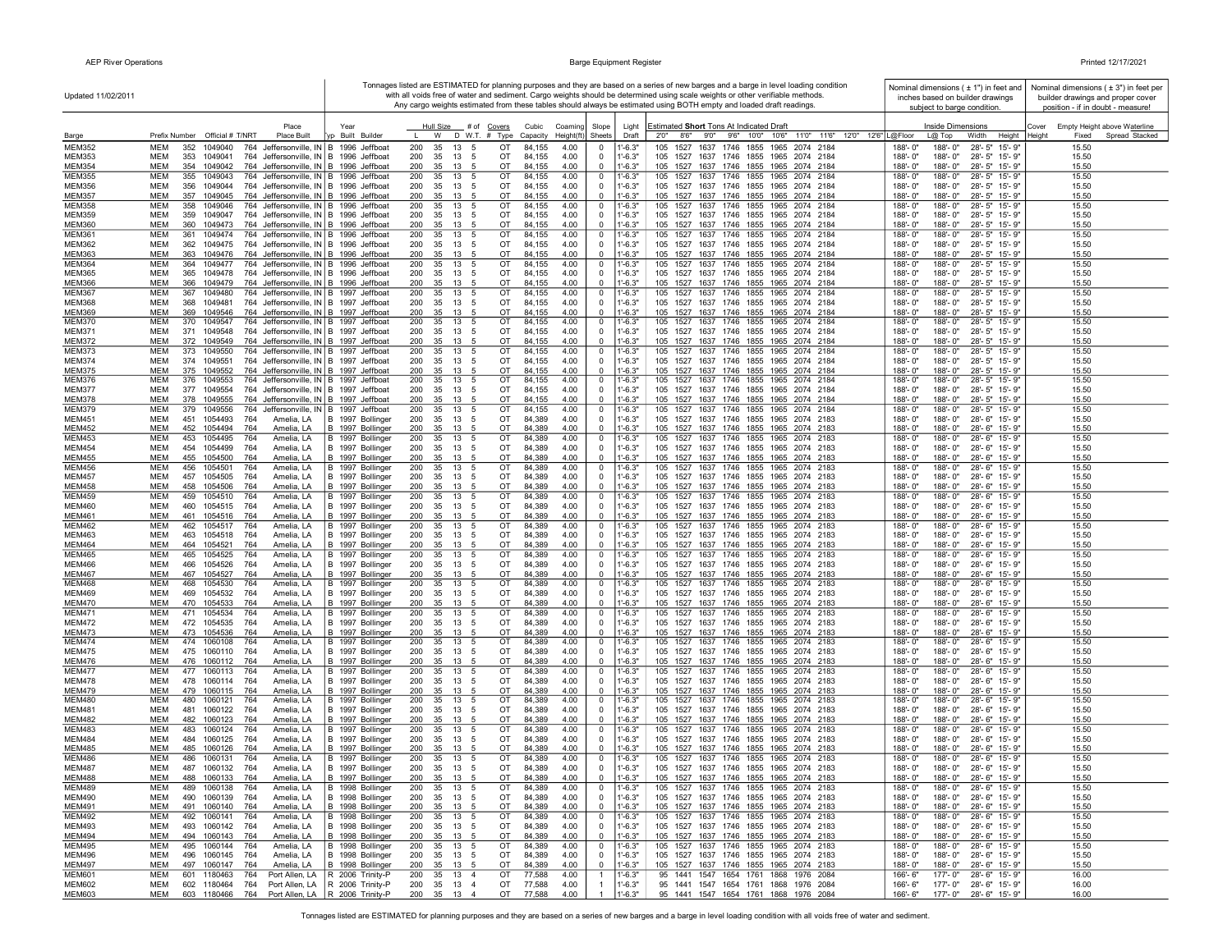| Updated 11/02/2011             |                                                                                                                                                  |                                      |                                                  |                                              |                                                             | Tonnages listed are ESTIMATED for planning purposes and they are based on a series of new barges and a barge in level loading condition<br>with all voids free of water and sediment. Cargo weights should be determined using scale weights or other verifiable methods<br>Any cargo weights estimated from these tables should always be estimated using BOTH empty and loaded draft readings. | Nominal dimensions ( ± 1") in feet and<br>inches based on builder drawings<br>subject to barge condition. | Nominal dimensions ( $\pm$ 3") in feet per<br>builder drawings and proper cover<br>position - if in doubt - measure! |
|--------------------------------|--------------------------------------------------------------------------------------------------------------------------------------------------|--------------------------------------|--------------------------------------------------|----------------------------------------------|-------------------------------------------------------------|--------------------------------------------------------------------------------------------------------------------------------------------------------------------------------------------------------------------------------------------------------------------------------------------------------------------------------------------------------------------------------------------------|-----------------------------------------------------------------------------------------------------------|----------------------------------------------------------------------------------------------------------------------|
| Barge                          | Place<br>Prefix Number Official # T/NRT<br><b>Place Built</b>                                                                                    | Year<br>p Built Builder              | Hull Size # of<br>Covers<br>W<br>D W.T. # Type   | Cubic<br>Coaming<br>Capacity<br>Height(ft)   | Slope<br>Light<br>Sheets<br>Draft                           | <b>Estimated Short Tons At Indicated Draft</b><br>2'0" 8'6" 9'0" 9'6" 10'0" 10'6" 11'0" 11'6" 12'0" 12'6" L@Floor                                                                                                                                                                                                                                                                                | Inside Dimensions<br>$L@$ Top<br>Width<br>Height Height                                                   | Cover<br>Empty Height above Waterline<br>Spread Stacked<br>Fixed                                                     |
| <b>MEM352</b>                  | MEM<br>352<br>1049040<br>764 Jeffersonville, IN B                                                                                                | 1996<br>Jeffboa                      | 200<br>35<br>13                                  | ОT<br>84,155<br>4.00                         | $-6.3"$<br>$^{\circ}$                                       | 105<br>1527<br>1637 1746<br>1855<br>1965<br>2074 2184                                                                                                                                                                                                                                                                                                                                            | $28 - 5"$<br>188'-0"<br>188'-0"<br>15'-9"                                                                 | 15.50                                                                                                                |
| <b>MEM353</b><br><b>MEM354</b> | <b>MEM</b><br>353<br>764 Jeffersonville, IN<br>1049041<br><b>MEM</b>                                                                             | B 1996 Jeffboat                      | 200<br>35<br>13<br>-5<br>35<br>13                | OT<br>84,155<br>4.00<br>OT<br>84,155<br>4.00 | $1' - 6.3"$<br>$\mathbf 0$<br>$-6.3"$<br>$\Omega$           | 1527 1637 1746 1855 1965 2074 2184<br>105<br>105 1527 1637 1746 1855 1965 2074 2184                                                                                                                                                                                                                                                                                                              | 188'-0"<br>28'-5" 15'-9"<br>188'-0"<br>188'-0"<br>188'-0"<br>28'-5" 15'-9"                                | 15.50<br>15.50                                                                                                       |
| <b>MEM355</b>                  | 354 1049042<br>764 Jeffersonville, IN   B<br><b>MEM</b><br>355<br>1049043<br>764 Jeffersonville, IN B 1996 Jeffboat                              | 1996 Jeffboat                        | 200<br>200<br>35<br>13<br>-5                     | OT<br>84,155<br>4.00                         | $1 - 6.3"$<br>$\mathbf 0$                                   | 105<br>1527<br>1637 1746 1855 1965 2074 2184                                                                                                                                                                                                                                                                                                                                                     | 188'-0"<br>188'-0"<br>$28 - 5"$<br>$15 - 9$                                                               | 15.50                                                                                                                |
| <b>MEM356</b>                  | <b>MEM</b><br>1049044<br>764 Jeffersonville, IN B 1996 Jeffboat<br>356                                                                           |                                      | 200<br>35<br>13<br>- 5                           | 84,155<br>4.00<br>OT                         | $1'-6.3"$<br>$\Omega$                                       | 105 1527 1637 1746 1855 1965 2074 2184                                                                                                                                                                                                                                                                                                                                                           | 188'-0"<br>188'-0"<br>28'-5" 15'-9"                                                                       | 15.50                                                                                                                |
| <b>MEM357</b>                  | <b>MEM</b><br>357 1049045<br>764 Jeffersonville, IN   B 1996 Jeffboat                                                                            |                                      | 200<br>35<br>13 5                                | OT<br>84,155<br>4.00                         | $1 - 6.3"$<br>$\mathbf{0}$                                  | 105 1527 1637 1746 1855 1965 2074 2184                                                                                                                                                                                                                                                                                                                                                           | 188'-0"<br>188'-0"<br>28'-5" 15'-9"                                                                       | 15.50                                                                                                                |
| <b>MEM358</b><br><b>MEM359</b> | MEM<br>358<br>1049046<br>764 Jeffersonville, IN B 1996 Jeffboat<br>MEM<br>359<br>1049047<br>764 Jeffersonville, IN B 1996 Jeffboat               |                                      | 200<br>35<br>13 5<br>200<br>35<br>13 5           | OT<br>84,155<br>4.00<br>ОT<br>84,155<br>4.00 | $1' - 6.3"$<br>$\mathbf 0$<br>$1' - 6.3"$<br>$\mathbf 0$    | 105 1527 1637 1746 1855 1965 2074 2184<br>105 1527 1637 1746 1855 1965 2074 2184                                                                                                                                                                                                                                                                                                                 | 28'-5" 15'-9"<br>188'-0"<br>188'-0"<br>188'-0"<br>188'-0"<br>28'-5" 15'-9"                                | 15.50<br>15.50                                                                                                       |
| <b>MEM360</b>                  | <b>MEM</b><br>360 1049473<br>764 Jeffersonville, IN B 1996 Jeffboat                                                                              |                                      | 200<br>35<br>13 5                                | OT<br>84,155<br>4.00                         | $\mathbf{0}$<br>$1' - 6.3"$                                 | 105 1527 1637 1746 1855 1965 2074 2184                                                                                                                                                                                                                                                                                                                                                           | 188'-0"<br>28'-5" 15'-9"<br>$188 - 0$ "                                                                   | 15.50                                                                                                                |
| <b>MEM361</b>                  | <b>MEM</b><br>361<br>1049474<br>764 Jeffersonville, IN B 1996 Jeffboat                                                                           |                                      | 200<br>35<br>13<br>-5                            | OT<br>84,155<br>4.00                         | $\mathbf 0$<br>$1'-6.3"$                                    | 105<br>1527 1637 1746 1855 1965 2074 2184                                                                                                                                                                                                                                                                                                                                                        | 188'-0"<br>188'-0"<br>28'-5" 15'-9"                                                                       | 15.50                                                                                                                |
| <b>MEM362</b>                  | MEM<br>1049475<br>764 Jeffersonville, IN B 1996 Jeffboat<br>362<br>MEM<br>1049476                                                                |                                      | 200<br>35<br>13 5<br>200<br>35                   | OT<br>84,155<br>4.00<br>OT<br>4.00           | $1' - 6.3"$<br>$\Omega$<br>$1' - 6.3"$                      | 105 1527 1637 1746 1855 1965 2074 2184                                                                                                                                                                                                                                                                                                                                                           | 188'-0"<br>28'-5" 15'-9"<br>$188 - 0$ "<br>188'-0"<br>188'-0"                                             | 15.50                                                                                                                |
| <b>MEM363</b><br><b>MEM364</b> | 363<br>764 Jeffersonville, IN B 1996 Jeffboat<br>MEM<br>364<br>1049477<br>764 Jeffersonville, IN B 1996 Jeffboat                                 |                                      | 13 5<br>200<br>35<br>13<br>5                     | 84,155<br>OT<br>84,155<br>4.00               | $\mathbf 0$<br>$\mathbf 0$<br>1'-6.3"                       | 105 1527 1637 1746 1855 1965 2074 2184<br>105<br>1527<br>1637 1746 1855 1965 2074 2184                                                                                                                                                                                                                                                                                                           | 28'-5" 15'-9"<br>28'-5" 15'-9"<br>188'-0"<br>188'-0"                                                      | 15.50<br>15.50                                                                                                       |
| <b>MEM365</b>                  | MEM<br>365<br>1049478<br>764 Jeffersonville, IN B 1996 Jeffboat                                                                                  |                                      | 200<br>35<br>13<br>- 5                           | OT<br>84,155<br>4.00                         | $1' - 6.3"$<br>$\mathbf 0$                                  | 105 1527 1637 1746 1855 1965 2074 2184                                                                                                                                                                                                                                                                                                                                                           | 28'-5" 15'-9"<br>188'-0"<br>188'-0"                                                                       | 15.50                                                                                                                |
| <b>MEM366</b>                  | <b>MEM</b><br>366 1049479<br>764 Jeffersonville, IN B 1996 Jeffboat                                                                              |                                      | 200<br>35<br>13                                  | OT<br>4.00<br>84,155                         | $1' - 6.3"$<br>$\Omega$                                     | 105 1527 1637 1746 1855 1965 2074 2184                                                                                                                                                                                                                                                                                                                                                           | 188'-0"<br>28'-5" 15'-9'<br>188'-0"                                                                       | 15.50                                                                                                                |
| <b>MEM367</b><br><b>MEM368</b> | <b>MEM</b><br>367<br>1049480<br>764 Jeffersonville, IN B 1997 Jeffboat<br><b>MEM</b><br>1049481<br>368<br>764 Jeffersonville, IN B 1997 Jeffboat |                                      | 200<br>35<br>13<br>-5<br>200<br>35<br>13<br>-5   | OT<br>84,155<br>4.00<br>84,155<br>4.00<br>OT | $1' - 6.3"$<br>$\mathbf 0$<br>$1' - 6.3"$<br>$\Omega$       | 105<br>1527<br>1637 1746<br>1855<br>1965 2074 2184<br>105 1527 1637 1746 1855 1965 2074 2184                                                                                                                                                                                                                                                                                                     | 188'-0"<br>188'-0"<br>28'-5" 15'-9"<br>188'-0"<br>28'-5" 15'-9"<br>$188 - 0$ "                            | 15.50<br>15.50                                                                                                       |
| <b>MEM369</b>                  | <b>MEM</b><br>369 1049546<br>764 Jeffersonville, IN B 1997 Jeffboat                                                                              |                                      | 200<br>35<br>13                                  | 84,155<br>4.00<br>OT                         | $1' - 6.3"$<br>$\mathbf 0$                                  | 105 1527 1637 1746 1855 1965 2074 2184                                                                                                                                                                                                                                                                                                                                                           | 188'-0"<br>188'-0"<br>28'-5" 15'-9"                                                                       | 15.50                                                                                                                |
| <b>MEM370</b>                  | MEM<br>370 1049547<br>764 Jeffersonville, IN   B 1997 Jeffboat                                                                                   |                                      | 200<br>35<br>13                                  | 84,155<br>4.00<br>от                         | 1'-6.3"<br>$\mathbf{0}$                                     | 105 1527 1637 1746 1855 1965 2074 2184                                                                                                                                                                                                                                                                                                                                                           | 188'-0"<br>28'-5" 15'-9"<br>188'-0'                                                                       | 15.50                                                                                                                |
| <b>MEM371</b><br><b>MEM372</b> | MEM<br>371 1049548<br>764 Jeffersonville, IN B 1997 Jeffboat<br><b>MEM</b><br>372 1049549<br>764 Jeffersonville, IN B 1997 Jeffboat              |                                      | 200<br>35<br>13 5<br>200<br>35<br>13             | OT<br>84,155<br>4.00<br>OT<br>84,155<br>4.00 | $1' - 6.3"$<br>$\mathbf 0$<br>$1' - 6.3"$<br>$\Omega$       | 105 1527 1637 1746 1855 1965 2074 2184<br>105 1527 1637 1746 1855 1965 2074 2184                                                                                                                                                                                                                                                                                                                 | 188'-0"<br>188'-0"<br>28'-5" 15'-9"<br>188'-0"<br>28'-5" 15'-9"<br>$188 - 0$                              | 15.50<br>15.50                                                                                                       |
| <b>MEM373</b>                  | MEM<br>373<br>1049550<br>764 Jeffersonville, IN B 1997 Jeffboat                                                                                  |                                      | 200<br>35<br>13<br>- 5                           | OT<br>84,155<br>4.00                         | $\mathbf 0$<br>1'-6.3"                                      | 105 1527 1637 1746 1855 1965 2074 2184                                                                                                                                                                                                                                                                                                                                                           | 28'-5" 15'-9"<br>188'-0"<br>188'-0"                                                                       | 15.50                                                                                                                |
| <b>MEM374</b>                  | 374 1049551<br><b>MEM</b><br>764 Jeffersonville, IN B 1997 Jeffboat                                                                              |                                      | 200<br>35<br>13 5                                | 84,155<br>OT<br>4.00                         | $1' - 6.3"$<br>$\Omega$                                     | 105 1527 1637 1746 1855 1965 2074 2184                                                                                                                                                                                                                                                                                                                                                           | $188 - 0$ "<br>188'-0"<br>28'-5" 15'-9"                                                                   | 15.50                                                                                                                |
| <b>MEM375</b><br><b>MEM376</b> | <b>MEM</b><br>375 1049552<br>764 Jeffersonville, IN B 1997 Jeffboat<br>MEM<br>376<br>1049553<br>764 Jeffersonville, IN B 1997 Jeffboat           |                                      | 200<br>35<br>13<br>200<br>35<br>13<br>-5         | 4.00<br>OT<br>84,155<br>84,155<br>OT<br>4.00 | $1 - 6.3"$<br>$\mathbf 0$<br>$1 - 6.3"$<br>$\mathbf{0}$     | 105 1527 1637 1746 1855 1965 2074 2184<br>1637 1746 1855 1965 2074 2184<br>105<br>1527                                                                                                                                                                                                                                                                                                           | 188'-0"<br>188'-0"<br>28'-5" 15'-9"<br>188'-0"<br>28'-5" 15'-9"<br>188'-0"                                | 15.50<br>15.50                                                                                                       |
| <b>MEM377</b>                  | MEM<br>377<br>1049554<br>764 Jeffersonville, IN B 1997 Jeffboat                                                                                  |                                      | 200<br>35<br>13<br>- 5                           | OT<br>84,155<br>4.00                         | $1'-6.3"$<br>$\mathbf 0$                                    | 105<br>1527 1637 1746 1855 1965 2074 2184                                                                                                                                                                                                                                                                                                                                                        | 188'-0"<br>188'-0"<br>28'-5" 15'-9"                                                                       | 15.50                                                                                                                |
| <b>MEM378</b>                  | <b>MEM</b><br>378 1049555<br>764 Jeffersonville, IN B                                                                                            | 1997 Jeffboat                        | 200<br>35<br>13                                  | OT<br>84,155<br>4.00                         | $-6.3"$<br>$\Omega$                                         | 1527 1637 1746 1855 1965 2074 2184<br>105                                                                                                                                                                                                                                                                                                                                                        | 188'-0"<br>28'-5" 15'-9"<br>$188 - 0$                                                                     | 15.50                                                                                                                |
| <b>MEM379</b><br><b>MEM451</b> | MEM<br>379<br>1049556<br>764 Jeffersonville, IN B 1997 Jeffboat<br><b>MEM</b><br>451<br>764                                                      |                                      | 200<br>35<br>13<br>-5<br>35<br>13                | OT<br>84,155<br>4.00<br>OT<br>84.389         | $\mathbf 0$<br>1'-6.3"<br>$\Omega$                          | 105 1527 1637 1746 1855 1965 2074 2184                                                                                                                                                                                                                                                                                                                                                           | 188'-0"<br>28'-5" 15'-9"<br>188'-0"<br>188'-0"<br>188'-0"                                                 | 15.50                                                                                                                |
| <b>MEM452</b>                  | 1054493<br>Amelia, LA<br><b>MEM</b><br>452 1054494<br>764<br>Amelia, LA                                                                          | B 1997 Bollinger<br>B 1997 Bollinger | 200<br>-5<br>200<br>35<br>13<br>-5               | 4.00<br>OT<br>84,389<br>4.00                 | $1'-6.3"$<br>$\mathbf{0}$<br>$1 - 6.3"$                     | 105 1527 1637 1746 1855 1965 2074 2183<br>105 1527 1637 1746 1855 1965 2074 2183                                                                                                                                                                                                                                                                                                                 | 28'-6" 15'-9"<br>188'-0"<br>188'-0"<br>28'-6" 15'-9"                                                      | 15.50<br>15.50                                                                                                       |
| <b>MEM453</b>                  | 453<br>1054495<br>764<br>MEM<br>Amelia, LA                                                                                                       | B 1997 Bollinger                     | 200<br>35<br>13<br>- 5                           | OT<br>84,389<br>4.00                         | $1'-6.3"$<br>$\overline{0}$                                 | 105 1527 1637 1746 1855 1965 2074 2183                                                                                                                                                                                                                                                                                                                                                           | $188 - 0$ "<br>188'-0"<br>28'-6" 15'-9"                                                                   | 15.50                                                                                                                |
| <b>MEM454</b>                  | MEM<br>454 1054499<br>764<br>Amelia, LA                                                                                                          | B 1997 Bollinger                     | 200<br>35<br>13 5                                | 84,389<br>OT<br>4.00                         | $1' - 6.3"$<br>$\mathbf 0$                                  | 105 1527 1637 1746 1855 1965 2074 2183                                                                                                                                                                                                                                                                                                                                                           | 188'-0"<br>188'-0"<br>28'-6" 15'-9"                                                                       | 15.50                                                                                                                |
| <b>MEM455</b><br><b>MEM456</b> | MEM<br>455 1054500<br>764<br>Amelia, LA<br>MEM<br>1054501<br>764<br>456<br>Amelia, LA                                                            | B 1997 Bollinger<br>B 1997 Bollinger | 35<br>200<br>13<br>200<br>35<br>13 5             | OT<br>84,389<br>4.00<br>OT<br>84,389<br>4.00 | $1' - 6.3"$<br>$\mathbf 0$<br>$1'-6.3"$<br>$\mathbf 0$      | 105 1527 1637 1746 1855 1965 2074 2183<br>105 1527 1637 1746 1855 1965 2074 2183                                                                                                                                                                                                                                                                                                                 | 188'-0"<br>188'-0"<br>28'-6" 15'-9"<br>188'-0"<br>28'-6" 15'-9"<br>188'-0"                                | 15.50<br>15.50                                                                                                       |
| <b>MEM457</b>                  | <b>MEM</b><br>457 1054505<br>764<br>Amelia, LA                                                                                                   | B 1997 Bollinger                     | 200<br>35<br>13 5                                | OT<br>84,389<br>4.00                         | $1'-6.3"$<br>$\Omega$                                       | 105 1527 1637 1746 1855 1965 2074 2183                                                                                                                                                                                                                                                                                                                                                           | 188'-0"<br>188'-0"<br>28'-6" 15'-9"                                                                       | 15.50                                                                                                                |
| <b>MEM458</b>                  | <b>MEM</b><br>458<br>1054506<br>764<br>Amelia, LA                                                                                                | B 1997 Bollinger                     | 200<br>35<br>13<br>- 5                           | OT<br>84,389<br>4.00                         | $\mathbf 0$<br>$1'-6.3"$                                    | 105 1527 1637 1746 1855 1965 2074 2183                                                                                                                                                                                                                                                                                                                                                           | 188'-0"<br>188'-0"<br>28'-6" 15'-9"                                                                       | 15.50                                                                                                                |
| <b>MEM459</b><br><b>MEM460</b> | MEM<br>459<br>1054510<br>764<br>Amelia, LA<br>MEM<br>460<br>1054515<br>764<br>Amelia, LA                                                         | B 1997 Bollinger<br>B 1997 Bollinger | 200<br>35<br>13<br>- 5<br>13<br>200<br>35<br>- 5 | OT<br>84,389<br>4.00<br>OT<br>84,389<br>4.00 | $1'-6.3"$<br>$\mathbf 0$<br>$1' - 6.3"$<br>$\mathbf 0$      | 105 1527 1637 1746 1855 1965 2074 2183<br>105 1527 1637 1746 1855 1965 2074 2183                                                                                                                                                                                                                                                                                                                 | 188'-0"<br>28'-6" 15'-9"<br>188'-0"<br>188'-0"<br>188'-0"<br>28'-6" 15'-9"                                | 15.50<br>15.50                                                                                                       |
| <b>MEM461</b>                  | MEM<br>461<br>1054516<br>764<br>Amelia, LA                                                                                                       | B 1997 Bollinger                     | 200<br>35<br>13                                  | OT<br>84,389<br>4.00                         | $1' - 6.3"$<br>$^{\circ}$                                   | 105 1527 1637 1746 1855 1965 2074 2183                                                                                                                                                                                                                                                                                                                                                           | 188'-0"<br>188'-0"<br>28'-6" 15'-9"                                                                       | 15.50                                                                                                                |
| <b>MEM462</b>                  | MEM<br>1054517<br>462<br>764<br>Amelia, LA                                                                                                       | B 1997 Bollinger                     | 200<br>35<br>13<br>$\sqrt{5}$                    | OT<br>84,389<br>4.00                         | $1' - 6.3"$<br>$\mathbf 0$                                  | 105 1527 1637 1746 1855<br>1965 2074 2183                                                                                                                                                                                                                                                                                                                                                        | 188'-0"<br>28'-6" 15'-9"<br>188'-0"                                                                       | 15.50                                                                                                                |
| <b>MEM463</b><br><b>MEM464</b> | <b>MEM</b><br>463<br>1054518<br>764<br>Amelia, LA<br><b>MEM</b><br>464 1054521<br>Amelia, LA<br>764                                              | B 1997 Bollinger<br>B 1997 Bollinger | 200<br>35<br>13<br>-5<br>200<br>35<br>13<br>-5   | OT<br>84.389<br>4.00<br>OT<br>84,389<br>4.00 | $1' - 6.3"$<br>$\Omega$<br>$\mathbf{0}$<br>$1' - 6.3"$      | 105 1527 1637 1746 1855 1965 2074 2183<br>105 1527 1637 1746 1855 1965 2074 2183                                                                                                                                                                                                                                                                                                                 | 188'-0"<br>188'-0"<br>28'-6" 15'-9"<br>188'-0"<br>188'-0"<br>28'-6" 15'-9"                                | 15.50<br>15.50                                                                                                       |
| <b>MEM465</b>                  | MEM<br>465<br>1054525<br>764<br>Amelia, LA                                                                                                       | B 1997 Bollinger                     | 200<br>35<br>13                                  | OT<br>84,389<br>4.00                         | $1' - 6.3"$<br>$\mathbf{0}$                                 | 105 1527 1637 1746 1855 1965 2074 2183                                                                                                                                                                                                                                                                                                                                                           | 188'-0"<br>28'-6" 15'-9"<br>188'-0"                                                                       | 15.50                                                                                                                |
| <b>MEM466</b>                  | MEM<br>466<br>1054526<br>764<br>Amelia, LA                                                                                                       | B 1997 Bollinger                     | 200<br>35<br>13<br>-5                            | 4.00<br>84,389<br>от                         | $1' - 6.3"$<br>$^{\circ}$                                   | 105 1527 1637 1746 1855 1965 2074 2183                                                                                                                                                                                                                                                                                                                                                           | 188'-0"<br>188'-0"<br>28'-6" 15'-9"                                                                       | 15.50                                                                                                                |
| <b>MEM467</b>                  | MEM<br>467 1054527<br>764<br>Amelia, LA                                                                                                          | B 1997 Bollinger                     | 200<br>35<br>13 5                                | OT<br>84,389<br>4.00                         | $1' - 6.3"$<br>$\mathbf 0$                                  | 105 1527 1637 1746 1855 1965 2074 2183                                                                                                                                                                                                                                                                                                                                                           | 188'-0"<br>188'-0"<br>28'-6" 15'-9"                                                                       | 15.50                                                                                                                |
| <b>MEM468</b><br><b>MEM469</b> | 1054530<br>MEM<br>468<br>764<br>Amelia, LA<br>MEM<br>469<br>1054532<br>764<br>Amelia, LA                                                         | B 1997 Bollinger<br>B 1997 Bollinger | 200<br>35<br>13<br>35<br>200<br>13 5             | 84,389<br>4.00<br>OT<br>OT<br>84,389<br>4.00 | $1' - 6.3"$<br>$\mathbf 0$<br>$1' - 6.3"$<br>$\mathbf 0$    | 105 1527 1637 1746 1855 1965 2074 2183<br>105 1527 1637 1746 1855 1965 2074 2183                                                                                                                                                                                                                                                                                                                 | 188'-0"<br>28'-6" 15'-9"<br>188'-0"<br>28'-6" 15'-9"<br>188'-0"<br>188'-0"                                | 15.50<br>15.50                                                                                                       |
| <b>MEM470</b>                  | <b>MEM</b><br>470 1054533<br>Amelia, LA<br>764                                                                                                   | B 1997 Bollinger                     | 200<br>35<br>13 5                                | OT<br>84,389<br>4.00                         | $1' - 6.3"$<br>$\Omega$                                     | 105 1527 1637 1746 1855 1965 2074 2183                                                                                                                                                                                                                                                                                                                                                           | 188'-0"<br>188'-0"<br>28'-6" 15'-9"                                                                       | 15.50                                                                                                                |
| <b>MEM471</b>                  | 471<br>1054534<br>MEM<br>764<br>Amelia, LA                                                                                                       | B 1997 Bollinger                     | 200<br>35<br>13<br>-5                            | OT<br>84,389<br>4.00                         | $1 - 6.3"$<br>$\mathbf{0}$                                  | 1637 1746 1855 1965 2074 2183<br>105 1527                                                                                                                                                                                                                                                                                                                                                        | 188'-0"<br>28'-6" 15'-9"<br>188'-0"                                                                       | 15.50                                                                                                                |
| <b>MEM472</b><br><b>MEM473</b> | MEM<br>472<br>1054535<br>764<br>Amelia, LA<br>MEM<br>473 1054536<br>764<br>Amelia, LA                                                            | B 1997 Bollinger<br>B 1997 Bollinger | 200<br>35<br>13<br>- 5<br>200<br>35<br>13<br>- 5 | OT<br>84,389<br>4.00<br>OT<br>84,389<br>4.00 | $1'-6.3"$<br>$^{\circ}$<br>$1' - 6.3"$<br>$\mathbf 0$       | 105 1527 1637 1746 1855 1965 2074 2183<br>105 1527 1637 1746 1855 1965 2074 2183                                                                                                                                                                                                                                                                                                                 | 188'-0"<br>188'-0"<br>28'-6" 15'-9"<br>188'-0"<br>188'-0"<br>28'-6" 15'-9"                                | 15.50<br>15.50                                                                                                       |
| <b>MEM474</b>                  | MEM<br>474<br>1060108<br>764<br>Amelia, LA                                                                                                       | B 1997 Bollinger                     | 200<br>35<br>13<br>-5                            | OT<br>84,389<br>4.00                         | $1' - 6.3"$<br>$\mathbf 0$                                  | 1637 1746 1855 1965 2074 2183<br>105 1527                                                                                                                                                                                                                                                                                                                                                        | 188'-0"<br>28'-6" 15'-9"<br>$188 - 0$ "                                                                   | 15.50                                                                                                                |
| <b>MEM475</b><br><b>MEM476</b> | MEM<br>475<br>1060110<br>764<br>Amelia, LA<br><b>MEM</b><br>764                                                                                  | B 1997 Bollinger                     | 200<br>35<br>13<br>-5<br>200<br>35<br>13         | 4.00<br>OT<br>84,389<br>OT<br>84.389<br>4.00 | $1' - 6.3"$<br>$\mathbf 0$<br>$\mathbf{0}$<br>$-6.3"$       | 105 1527 1637 1746 1855 1965 2074 2183                                                                                                                                                                                                                                                                                                                                                           | 28'-6" 15'-9"<br>188'-0"<br>188'-0"<br>188'-0"<br>188'-0"<br>28'-6" 15'-9"                                | 15.50<br>15.50                                                                                                       |
| <b>MEM477</b>                  | 476 1060112<br>Amelia, LA<br><b>MEM</b><br>477 1060113<br>764<br>Amelia, LA                                                                      | B 1997 Bollinger<br>B 1997 Bollinger | 200<br>35<br>13 5                                | OT<br>84,389<br>4.00                         | $1'-6.3"$<br>$\overline{0}$                                 | 105 1527 1637 1746 1855 1965 2074 2183<br>105 1527 1637 1746 1855 1965 2074 2183                                                                                                                                                                                                                                                                                                                 | 188'-0"<br>28'-6" 15'-9"<br>$188 - 0$ "                                                                   | 15.50                                                                                                                |
| <b>MEM478</b>                  | MEM<br>478 1060114<br>764<br>Amelia, LA                                                                                                          | B 1997 Bollinger                     | 200<br>35<br>13<br>- 5                           | 84,389<br>4.00<br>OT                         | $1' - 6.3"$<br>$\mathbf 0$                                  | 105 1527 1637 1746 1855 1965 2074 2183                                                                                                                                                                                                                                                                                                                                                           | 188'-0"<br>188'-0"<br>28'-6" 15'-9"                                                                       | 15.50                                                                                                                |
| <b>MEM479</b>                  | MEM<br>479 1060115<br>764<br>Amelia, LA                                                                                                          | B 1997 Bollinger                     | 200<br>35<br>13                                  | 4.00<br>OT<br>84,389                         | $1' - 6.3"$<br>$\mathbf 0$                                  | 105 1527 1637 1746 1855 1965 2074 2183                                                                                                                                                                                                                                                                                                                                                           | 188'-0"<br>188'-0"<br>28'-6" 15'-9"<br>28'-6" 15'-9"                                                      | 15.50                                                                                                                |
| <b>MEM480</b><br><b>MEM481</b> | MEM<br>480 1060121<br>764<br>Amelia, LA<br>MEM<br>481 1060122<br>764<br>Amelia, LA                                                               | B 1997 Bollinger<br>B 1997 Bollinger | 200<br>35<br>13 5<br>200<br>35<br>13 5           | OT<br>84,389<br>4.00<br>OT<br>84,389<br>4.00 | $\overline{0}$<br>$1' - 6.3"$<br>$1' - 6.3"$<br>$\mathbf 0$ | 105 1527 1637 1746 1855 1965 2074 2183<br>105 1527 1637 1746 1855 1965 2074 2183                                                                                                                                                                                                                                                                                                                 | 188'-0"<br>188'-0"<br>188'-0"<br>188'-0" 28'-6" 15'-9"                                                    | 15.50<br>15.50                                                                                                       |
| <b>MEM482</b>                  | <b>MEM</b><br>482 1060123<br>764<br>Amelia, LA                                                                                                   | B 1997 Bollinger                     | 200<br>35<br>13                                  | OT<br>84,389<br>4.00                         | $\mathbf{0}$<br>$1' - 6.3"$                                 | 105 1527 1637 1746 1855 1965 2074 2183                                                                                                                                                                                                                                                                                                                                                           | 188'-0"<br>188'-0"<br>28'-6" 15'-9"                                                                       | 15.50                                                                                                                |
| <b>MEM483</b>                  | MEM<br>483 1060124<br>764<br>Amelia, LA                                                                                                          | B 1997 Bollinger                     | 200<br>35<br>13<br>- 5                           | OT<br>84,389<br>4.00                         | $\mathbf 0$<br>$1'-6.3"$                                    | 105 1527 1637 1746 1855 1965 2074 2183                                                                                                                                                                                                                                                                                                                                                           | 188'-0"<br>28'-6" 15'-9"<br>188'-0"                                                                       | 15.50                                                                                                                |
| <b>MEM484</b><br><b>MEM485</b> | MEM<br>484 1060125<br>764<br>Amelia, LA<br>MEM<br>485<br>1060126<br>764<br>Amelia, LA                                                            | B 1997 Bollinger<br>B 1997 Bollinger | 200<br>35<br>13<br>- 5<br>200<br>35<br>13        | 4.00<br>ОT<br>84,389<br>OT<br>84,389<br>4.00 | $1' - 6.3"$<br>$\Omega$<br>$1' - 6.3"$<br>$\Omega$          | 105 1527 1637 1746 1855 1965 2074 2183<br>105 1527 1637 1746 1855 1965 2074 2183                                                                                                                                                                                                                                                                                                                 | 188'-0"<br>188'-0"<br>28'-6" 15'-9"<br>188'-0"<br>188'-0"<br>28'-6" 15'-9"                                | 15.50<br>15.50                                                                                                       |
| <b>MEM486</b>                  | MEM<br>486<br>1060131<br>764<br>Amelia, LA                                                                                                       | B 1997 Bollinger                     | 200<br>35<br>13 5                                | OT<br>84,389<br>4.00                         | $\mathbf 0$<br>$1' - 6.3"$                                  | 105 1527 1637 1746 1855 1965 2074 2183                                                                                                                                                                                                                                                                                                                                                           | 188'-0"<br>188'-0"<br>28'-6" 15'-9"                                                                       | 15.50                                                                                                                |
| <b>MEM487</b>                  | <b>MEM</b><br>487 1060132<br>764<br>Amelia, LA                                                                                                   | B 1997 Bollinger                     | 200<br>13<br>35<br>-5                            | OT<br>84.389<br>4.00                         | $1' - 6.3"$<br>$\Omega$                                     | 105 1527 1637 1746 1855 1965 2074 2183                                                                                                                                                                                                                                                                                                                                                           | 188'-0"<br>188'-0"<br>28'-6" 15'-9"                                                                       | 15.50                                                                                                                |
| <b>MEM488</b><br><b>MEM489</b> | MEM<br>488 1060133<br>764<br>Amelia, LA<br><b>MEM</b><br>764<br>489<br>1060138<br>Amelia, LA                                                     | B 1997 Bollinger<br>B 1998 Bollinger | 200<br>13<br>35<br>- 5<br>200<br>35<br>13<br>-5  | OT<br>84,389<br>4.00<br>OT<br>84,389<br>4.00 | $\Omega$<br>$1'-6.3"$<br>$\mathbf 0$<br>$1' - 6.3"$         | 105 1527 1637 1746 1855 1965 2074 2183<br>105 1527 1637 1746 1855 1965 2074 2183                                                                                                                                                                                                                                                                                                                 | 188'-0"<br>188'-0"<br>28'-6" 15'-9"<br>28'-6" 15'-9"<br>188'-0"<br>188'-0"                                | 15.50<br>15.50                                                                                                       |
| <b>MEM490</b>                  | MEM<br>490 1060139<br>764<br>Amelia, LA                                                                                                          | B 1998 Bollinger                     | 200<br>35<br>13 5                                | OT<br>84,389<br>4.00                         | $1'-6.3"$<br>$\mathbf 0$                                    | 105 1527 1637 1746 1855 1965 2074 2183                                                                                                                                                                                                                                                                                                                                                           | 188'-0"<br>188'-0" 28'-6" 15'-9"                                                                          | 15.50                                                                                                                |
| <b>MEM491</b>                  | MEM<br>Amelia, LA<br>491 1060140<br>764                                                                                                          | B 1998 Bollinger                     | 200<br>35 13 5                                   | 84,389<br>4.00<br>OT                         | $1' - 6.3"$<br>$\mathbf 0$                                  | 105 1527 1637 1746 1855 1965 2074 2183                                                                                                                                                                                                                                                                                                                                                           | 188'-0"<br>28'-6" 15'-9"<br>188'-0"                                                                       | 15.50                                                                                                                |
| <b>MEM492</b>                  | 492 1060141<br>MEM<br>764<br>Amelia, LA                                                                                                          | B 1998 Bollinger                     | 200<br>35<br>13 5                                | 4.00<br>OT<br>84,389                         | $\overline{0}$<br>$1' - 6.3"$                               | 105 1527 1637 1746 1855 1965 2074 2183                                                                                                                                                                                                                                                                                                                                                           | 28'-6" 15'-9"<br>188'-0"<br>188'-0"                                                                       | 15.50                                                                                                                |
| <b>MEM493</b><br><b>MEM494</b> | 493 1060142<br>Amelia, LA<br>MEM<br>764<br>494 1060143<br>Amelia, LA<br>MEM<br>764                                                               | B 1998 Bollinger<br>B 1998 Bollinger | 200<br>35<br>13 5<br>200<br>35<br>13 5           | 4.00<br>ОT<br>84,389<br>OT<br>84,389<br>4.00 | $1' - 6.3"$<br>$\mathbf 0$<br>$1' - 6.3"$<br>$\Omega$       | 105 1527 1637 1746 1855 1965 2074 2183<br>105 1527 1637 1746 1855 1965 2074 2183                                                                                                                                                                                                                                                                                                                 | 188'-0"<br>28'-6" 15'-9"<br>188'-0"<br>188'-0"<br>28'-6" 15'-9"<br>188'-0"                                | 15.50<br>15.50                                                                                                       |
| <b>MEM495</b>                  | MEM<br>495 1060144<br>764<br>Amelia, LA                                                                                                          | B 1998 Bollinger                     | 200<br>35<br>13 5                                | OT<br>84,389<br>4.00                         | $\mathbf 0$<br>$1'-6.3"$                                    | 105 1527 1637 1746 1855 1965 2074 2183                                                                                                                                                                                                                                                                                                                                                           | 188'-0"<br>188'-0"<br>28'-6" 15'-9"                                                                       | 15.50                                                                                                                |
| <b>MEM496</b>                  | Amelia, LA<br>MEM<br>496 1060145<br>764                                                                                                          | B 1998 Bollinger                     | 200<br>35<br>13 5                                | 84,389<br>OT<br>4.00                         | $1' - 6.3"$<br>$^{\circ}$                                   | 105 1527 1637 1746 1855 1965 2074 2183                                                                                                                                                                                                                                                                                                                                                           | 188'-0"<br>28'-6" 15'-9"<br>188'-0"                                                                       | 15.50                                                                                                                |
| <b>MEM497</b><br><b>MEM601</b> | Amelia, LA<br>MEM<br>497 1060147<br>764<br>MEM<br>601 1180463<br>764<br>Port Allen, LA                                                           | B 1998 Bollinger<br>R 2006 Trinity-P | 200<br>35<br>13 5<br>200<br>35<br>13 4           | OT<br>84,389<br>4.00<br>OT<br>77,588<br>4.00 | $1'-6.3"$<br>$\mathbf 0$<br>$\mathbf{1}$<br>1'-6.3"         | 105 1527 1637 1746 1855 1965 2074 2183<br>95 1441 1547 1654 1761 1868 1976 2084                                                                                                                                                                                                                                                                                                                  | 188'-0"<br>28'-6" 15'-9"<br>188'-0"<br>166'-6"<br>177'-0"<br>28'-6" 15'-9"                                | 15.50<br>16.00                                                                                                       |
| <b>MEM602</b>                  | MEM<br>602 1180464<br>764<br>Port Allen, LA                                                                                                      | R 2006 Trinity-P                     | 200<br>35 13 4                                   | OT<br>77,588<br>4.00                         | $1' - 6.3"$<br>$\overline{1}$                               | 95 1441 1547 1654 1761 1868 1976 2084                                                                                                                                                                                                                                                                                                                                                            | 166'-6"<br>177'-0" 28'-6" 15'-9"                                                                          | 16.00                                                                                                                |
| <b>MEM603</b>                  | MEM<br>603 1180466 764                                                                                                                           | Port Allen, LA   R 2006 Trinity-P    | 200 35 13 4                                      | OT<br>77,588<br>4.00                         | $1' - 6.3"$<br>$\mathbf{1}$                                 | 95 1441 1547 1654 1761 1868 1976 2084                                                                                                                                                                                                                                                                                                                                                            | 166'-6"<br>177'-0" 28'-6" 15'-9"                                                                          | 16.00                                                                                                                |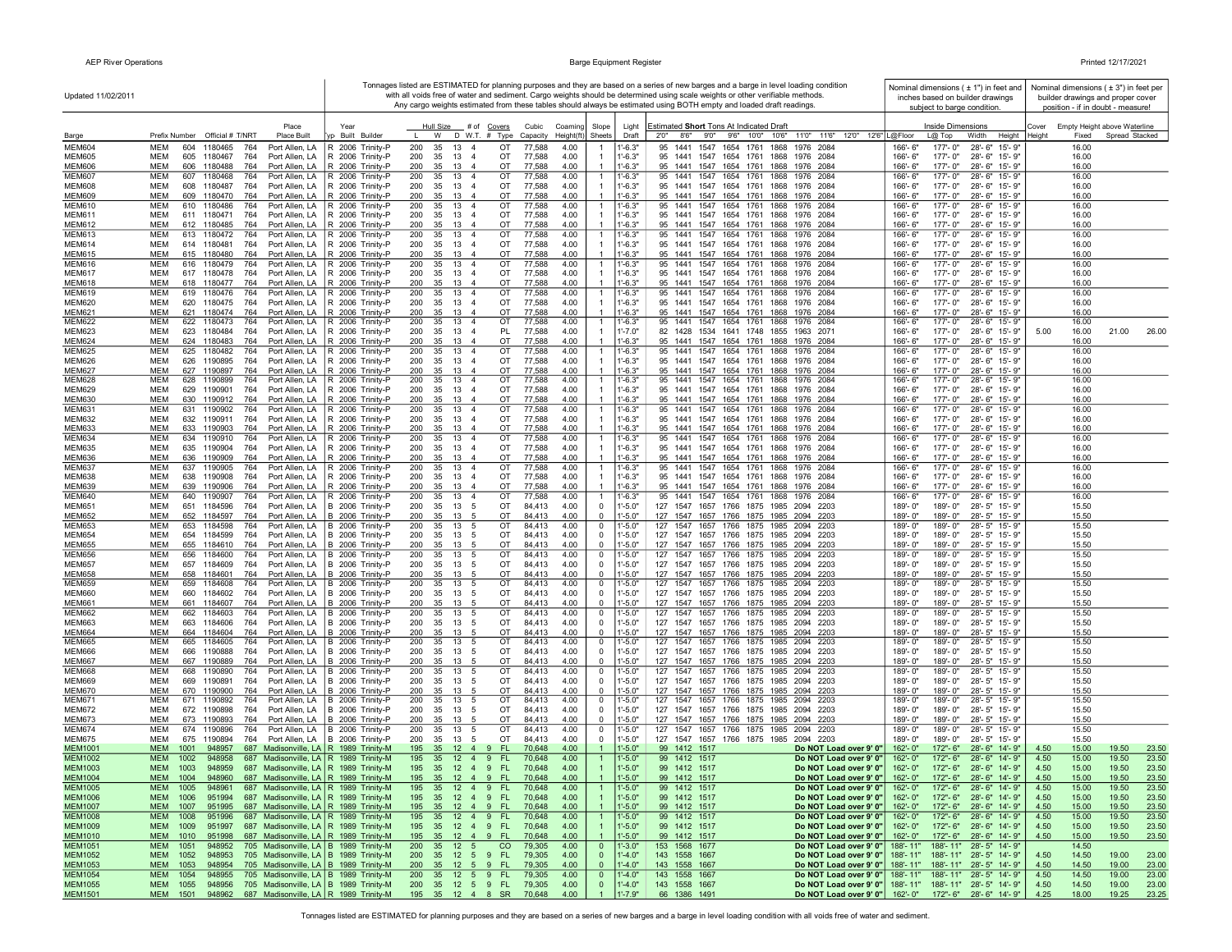| Updated 11/02/2011               |                                                                                                                                                  |                                                                        |                                                                                         |                                            |                                                                | Tonnages listed are ESTIMATED for planning purposes and they are based on a series of new barges and a barge in level loading condition<br>with all voids free of water and sediment. Cargo weights should be determined using scale weights or other verifiable methods. | Nominal dimensions $(± 1")$ in feet and<br>inches based on builder drawings                                        | Nominal dimensions $(±3")$ in feet per<br>builder drawings and proper cover |
|----------------------------------|--------------------------------------------------------------------------------------------------------------------------------------------------|------------------------------------------------------------------------|-----------------------------------------------------------------------------------------|--------------------------------------------|----------------------------------------------------------------|---------------------------------------------------------------------------------------------------------------------------------------------------------------------------------------------------------------------------------------------------------------------------|--------------------------------------------------------------------------------------------------------------------|-----------------------------------------------------------------------------|
|                                  |                                                                                                                                                  |                                                                        |                                                                                         |                                            |                                                                | Any cargo weights estimated from these tables should always be estimated using BOTH empty and loaded draft readings.                                                                                                                                                      | subject to barge condition.                                                                                        | position - if in doubt - measure!                                           |
| Barge                            | Place<br>Prefix Number Official # T/NRT<br><b>Place Built</b>                                                                                    | Year<br>Built Builder                                                  | Hull Size # of Covers<br>D W.T. # Type<br>W                                             | Cubic<br>Coaming<br>Height(ft)<br>Capacity | Slope<br>Light<br>Sheets<br>Draft                              | Estimated Short Tons At Indicated Draft<br>2'0" 8'6" 9'0" 9'6" 10'0" 10'6"<br>11'0" 11'6" 12'0" 12'6" L@Floor                                                                                                                                                             | Inside Dimensions<br>$L(0)$ Top<br>Width<br>Height                                                                 | Cover<br>Empty Height above Waterline<br>Spread Stacked<br>Heiaht<br>Fixed  |
| <b>MEM604</b>                    | <b>MEM</b><br>604<br>1180465<br>764<br>Port Allen, LA                                                                                            | R 2006 Trinity-P                                                       | 200<br>35<br>13<br>OT<br>$\overline{4}$                                                 | 77,588<br>4.00                             | $1' - 6.3"$                                                    | 1547<br>1761<br>1868<br>1976 2084<br>95 1441<br>1654                                                                                                                                                                                                                      | 177'-0"<br>28'-6" 15'-9"<br>166'-6"                                                                                | 16.00                                                                       |
| <b>MEM605</b>                    | <b>MEM</b><br>605<br>764<br>Port Allen, LA<br>1180467                                                                                            | R 2006 Trinity-P                                                       | 200<br>35<br>13<br>$\overline{4}$<br>OT                                                 | 77,588<br>4.00                             | $1' - 6.3"$                                                    | 95 1441 1547 1654 1761<br>1868<br>1976 2084                                                                                                                                                                                                                               | 166'-6"<br>177'-0"<br>28'-6" 15'-9"                                                                                | 16.00                                                                       |
| <b>MEM606</b><br><b>MEM607</b>   | <b>MEM</b><br>606 1180488<br>764<br>Port Allen, LA<br><b>MEM</b><br>607<br>1180468<br>764<br>Port Allen, LA                                      | R 2006 Trinity-P<br>R 2006 Trinity-P                                   | 200<br>35<br>13 4<br>OT<br>OT<br>200<br>35<br>13<br>$\overline{4}$                      | 77,588<br>4.00<br>77,588<br>4.00           | $1' - 6.3"$<br>$1' - 6.3"$                                     | 95 1441 1547 1654 1761 1868<br>1976 2084<br>95 1441 1547 1654 1761 1868 1976 2084                                                                                                                                                                                         | 166'-6"<br>177'-0"<br>28'-6" 15'-9"<br>177'-0"<br>28'-6" 15'-9"<br>166'-6"                                         | 16.00<br>16.00                                                              |
| <b>MEM608</b>                    | 1180487<br>MEM<br>608<br>764<br>Port Allen, LA                                                                                                   | R 2006 Trinity-P                                                       | 200<br>35<br>13<br>OT<br>$\overline{4}$                                                 | 77,588<br>4.00                             | $1' - 6.3"$                                                    | 95 1441 1547 1654 1761 1868 1976 2084                                                                                                                                                                                                                                     | 166'-6"<br>177'-0"<br>28'-6" 15'-9"                                                                                | 16.00                                                                       |
| <b>MEM609</b>                    | MEM<br>609 1180470<br>764<br>Port Allen, LA                                                                                                      | R 2006 Trinity-P                                                       | 35 13 4<br>OT<br>200                                                                    | 77,588<br>4.00                             | $1' - 6.3"$                                                    | 95 1441 1547 1654 1761 1868 1976 2084                                                                                                                                                                                                                                     | 166'-6"<br>177'-0"<br>28'-6" 15'-9"                                                                                | 16.00                                                                       |
| <b>MEM610</b><br><b>MEM611</b>   | MEM<br>610 1180486<br>764<br>Port Allen, LA<br>MEM<br>611 1180471<br>764<br>Port Allen, LA                                                       | R 2006 Trinity-P<br>R 2006 Trinity-P                                   | 200<br>35 13 4<br>OT<br>35<br>13<br>OT<br>200<br>$\overline{4}$                         | 77,588<br>4.00<br>77,588<br>4.00           | $1' - 6.3"$<br>$1' - 6.3"$                                     | 95 1441 1547 1654 1761 1868 1976 2084<br>95 1441 1547 1654 1761 1868 1976 2084                                                                                                                                                                                            | 177'-0"<br>28'-6" 15'-9"<br>166'-6"<br>177'-0"<br>166'-6"<br>28'-6" 15'-9"                                         | 16.00<br>16.00                                                              |
| <b>MEM612</b>                    | <b>MEM</b><br>612 1180485<br>764                                                                                                                 | Port Allen, LA   R 2006 Trinity-P                                      | 200<br>35<br>13 4<br>OT                                                                 | 77,588<br>4.00                             | $1' - 6.3"$                                                    | 95 1441 1547 1654 1761 1868 1976 2084                                                                                                                                                                                                                                     | 166'-6"<br>177'-0" 28'-6" 15'-9"                                                                                   | 16.00                                                                       |
| <b>MEM613</b><br><b>MEM614</b>   | MEM<br>613 1180472<br>764<br>Port Allen, LA<br>MEM<br>614 1180481<br>764<br>Port Allen, LA                                                       | R 2006 Trinity-P<br>R 2006 Trinity-P                                   | 13<br>OT<br>200<br>35<br>$\overline{4}$<br>13<br>OT<br>200<br>35<br>$\overline{4}$      | 77,588<br>4.00<br>77,588<br>4.00           | $1' - 6.3"$<br>$1' - 6.3"$                                     | 95 1441 1547 1654 1761 1868 1976 2084<br>95 1441 1547 1654 1761 1868 1976 2084                                                                                                                                                                                            | 28'-6" 15'-9"<br>177'-0"<br>166'-6"<br>177'-0"<br>28'-6" 15'-9"<br>166'-6"                                         | 16.00<br>16.00                                                              |
| <b>MEM615</b>                    | <b>MEM</b><br>615 1180480<br>764<br>Port Allen, LA                                                                                               | R 2006 Trinity-P                                                       | OT<br>200<br>35<br>13 4                                                                 | 77,588<br>4.00                             | $1' - 6.3"$                                                    | 95 1441 1547 1654 1761 1868 1976 2084                                                                                                                                                                                                                                     | 177'-0"<br>28'-6" 15'-9"<br>166'-6"                                                                                | 16.00                                                                       |
| <b>MEM616</b>                    | <b>MEM</b><br>616 1180479<br>764<br>Port Allen, LA                                                                                               | R 2006 Trinity-P                                                       | 200<br>35<br>13 4<br>OT                                                                 | 77,588<br>4.00                             | $1' - 6.3"$                                                    | 1547 1654 1761 1868 1976 2084<br>95 1441                                                                                                                                                                                                                                  | 177'-0"<br>28'-6" 15'-9"<br>166'-6"                                                                                | 16.00                                                                       |
| <b>MEM617</b><br><b>MEM618</b>   | <b>MEM</b><br>617 1180478<br>764<br>Port Allen, LA<br><b>MEM</b><br>618 1180477<br>764<br>Port Allen, LA                                         | R 2006 Trinity-P<br>R 2006 Trinity-P                                   | 200<br>35<br>13 4<br>OT<br>200<br>35 13 4<br>OT                                         | 77,588<br>4.00<br>77,588<br>4.00           | $1' - 6.3"$<br>$1'-6.3"$                                       | 95 1441 1547 1654 1761 1868 1976 2084<br>95 1441 1547 1654 1761 1868 1976 2084                                                                                                                                                                                            | 28'-6" 15'-9"<br>166'-6"<br>177'-0"<br>166'-6"<br>177'-0" 28'-6" 15'-9"                                            | 16.00<br>16.00                                                              |
| <b>MEM619</b>                    | <b>MEM</b><br>619 1180476<br>764<br>Port Allen, LA                                                                                               | R 2006 Trinity-P                                                       | 35 13<br>200<br>OT<br>$\overline{4}$                                                    | 4.00<br>77,588                             | $1'-6.3"$                                                      | 95 1441 1547 1654 1761 1868 1976 2084                                                                                                                                                                                                                                     | 177'-0"<br>28'-6" 15'-9"<br>166'-6"                                                                                | 16.00                                                                       |
| <b>MEM620</b><br><b>MEM621</b>   | MEM<br>620 1180475<br>764<br>Port Allen, LA<br>MEM<br>621 1180474<br>764                                                                         | R 2006 Trinity-P<br>Port Allen, LA   R 2006 Trinity-P                  | 200<br>35<br>13<br>OT<br>$\overline{4}$<br>200<br>OT                                    | 77,588<br>4.00<br>77,588<br>4.00           | $1'-6.3"$<br>$1' - 6.3"$                                       | 95 1441 1547 1654 1761 1868 1976 2084<br>95 1441 1547 1654 1761 1868 1976 2084                                                                                                                                                                                            | $166' - 6'$<br>177'-0" 28'-6" 15'-9"<br>166'-6"<br>177'-0"                                                         | 16.00<br>16.00                                                              |
| <b>MEM622</b>                    | MEM<br>622 1180473<br>764                                                                                                                        | Port Allen, LA   R 2006 Trinity-P                                      | 35 13 4<br>200<br>35 13 4<br>OT                                                         | 77,588<br>4.00                             | 1'-6.3"                                                        | 95 1441 1547 1654 1761 1868<br>1976 2084                                                                                                                                                                                                                                  | 28'-6" 15'-9"<br>166'-6"<br>177'-0"<br>28'-6" 15'-9"                                                               | 16.00                                                                       |
| <b>MEM623</b>                    | MEM<br>623 1180484<br>764<br>Port Allen, LA                                                                                                      | R 2006 Trinity-P                                                       | 35 13 4<br>PL<br>200                                                                    | 77,588<br>4.00                             | $1' - 7.0"$                                                    | 82 1428 1534 1641 1748 1855<br>1963 2071                                                                                                                                                                                                                                  | 177'-0" 28'-6" 15'-9"<br>166'-6"                                                                                   | 21.00<br>26.00<br>5.00<br>16.00                                             |
| <b>MEM624</b><br><b>MEM625</b>   | <b>MEM</b><br>624 1180483<br>764<br>Port Allen, LA<br><b>MEM</b><br>625 1180482<br>764                                                           | R 2006 Trinity-P<br>Port Allen, LA   R 2006 Trinity-P                  | 200<br>35<br>13<br>OT<br>$\overline{4}$<br>200<br>35<br>13 4<br>OT                      | 77,588<br>4.00<br>77,588<br>4.00           | $1' - 6.3"$<br>$1'-6.3"$                                       | 95 1441 1547 1654 1761 1868<br>1976 2084<br>95 1441 1547 1654 1761<br>1868<br>1976 2084                                                                                                                                                                                   | 166'-6"<br>177'-0"<br>28'-6" 15'-9"<br>177'-0"<br>28'-6" 15'-9"<br>166'-6"                                         | 16.00<br>16.00                                                              |
| <b>MEM626</b>                    | <b>MEM</b><br>626 1190895<br>764<br>Port Allen, LA                                                                                               | R 2006 Trinity-P                                                       | 200<br>35<br>13<br>OT<br>-4                                                             | 77,588<br>4.00                             | $1'-6.3"$                                                      | 95 1441 1547 1654 1761<br>1976 2084<br>1868                                                                                                                                                                                                                               | 177'-0"<br>166'-6"<br>28'-6" 15'-9"                                                                                | 16.00                                                                       |
| <b>MEM627</b>                    | <b>MEM</b><br>764<br>627 1190897<br>Port Allen, LA                                                                                               | R 2006 Trinity-P                                                       | 35<br>OT<br>200<br>13<br>-4                                                             | 77,588<br>4.00                             | $1' - 6.3"$                                                    | 95 1441 1547 1654 1761 1868<br>1976 2084                                                                                                                                                                                                                                  | 177'-0"<br>28'-6" 15'-9"<br>166'-6"                                                                                | 16.00                                                                       |
| <b>MEM628</b><br><b>MEM629</b>   | MEM<br>628<br>1190899<br>764<br>Port Allen, LA<br><b>MEM</b><br>764<br>629 1190901<br>Port Allen, LA                                             | R 2006 Trinity-P<br>R 2006 Trinity-P                                   | OT<br>200<br>35<br>13 4<br>200<br>35<br>13 4<br>OT                                      | 77,588<br>4.00<br>77,588<br>4.00           | 1'-6.3"<br>$1' - 6.3"$                                         | 95 1441 1547 1654 1761 1868 1976 2084<br>95 1441 1547 1654 1761 1868 1976 2084                                                                                                                                                                                            | 28'-6" 15'-9"<br>166'-6"<br>177'-0"<br>177'-0"<br>28'-6" 15'-9"<br>166'-6"                                         | 16.00<br>16.00                                                              |
| <b>MEM630</b>                    | <b>MEM</b><br>630 1190912<br>764<br>Port Allen, LA                                                                                               | R 2006 Trinity-P                                                       | 200<br>35<br>$13 \quad 4$<br>OT                                                         | 77,588<br>4.00                             | $1' - 6.3"$                                                    | 95 1441 1547 1654 1761 1868<br>1976 2084                                                                                                                                                                                                                                  | 166'-6"<br>177'-0"<br>28'-6" 15'-9"                                                                                | 16.00                                                                       |
| <b>MEM631</b><br><b>MEM632</b>   | <b>MEM</b><br>631 1190902<br>764<br>Port Allen, LA<br><b>MEM</b><br>764<br>Port Allen, LA<br>632 1190911                                         | R 2006 Trinity-P<br>R 2006 Trinity-P                                   | 200<br>35<br>13 4<br>OT<br>200<br>35<br>13<br>OT<br>$\overline{4}$                      | 77,588<br>4.00<br>77,588<br>4.00           | $1' - 6.3"$<br>$1'-6.3"$                                       | 95 1441 1547 1654 1761 1868 1976 2084<br>95 1441 1547 1654 1761 1868 1976 2084                                                                                                                                                                                            | 177'-0"<br>28'-6" 15'-9"<br>$166' - 6'$<br>177'-0"<br>28'-6" 15'-9"<br>$166' - 6"$                                 | 16.00<br>16.00                                                              |
| <b>MEM633</b>                    | <b>MEM</b><br>764<br>633 1190903<br>Port Allen, LA                                                                                               | R 2006 Trinity-P                                                       | 200<br>35 13 4<br>OT                                                                    | 77,588<br>4.00                             | $1'-6.3"$                                                      | 95 1441 1547 1654 1761 1868 1976 2084                                                                                                                                                                                                                                     | 177'-0"<br>28'-6" 15'-9'<br>166'-6"                                                                                | 16.00                                                                       |
| <b>MEM634</b>                    | 764<br>MEM<br>634 1190910                                                                                                                        | Port Allen, LA   R 2006 Trinity-P                                      | 200<br>35 13 4<br>OT                                                                    | 77,588<br>4.00                             | 1'-6.3"                                                        | 95 1441 1547 1654 1761 1868 1976 2084                                                                                                                                                                                                                                     | 177'-0"<br>28'-6" 15'-9"<br>166'-6"                                                                                | 16.00                                                                       |
| <b>MEM635</b><br><b>MEM636</b>   | 635 1190904<br>764<br>MEM<br>Port Allen, LA<br><b>MEM</b><br>636 1190909<br>764<br>Port Allen, LA                                                | R 2006 Trinity-P<br>R 2006 Trinity-P                                   | 200<br>35<br>13 4<br>OT<br>35<br>13<br>OT<br>200<br>$\overline{4}$                      | 77,588<br>4.00<br>77,588<br>4.00           | $1' - 6.3"$<br>$1' - 6.3"$                                     | 95 1441 1547 1654 1761 1868 1976 2084<br>95 1441 1547 1654 1761 1868 1976 2084                                                                                                                                                                                            | 177'-0"<br>28'-6" 15'-9"<br>166'-6"<br>177'-0"<br>28'-6" 15'-9"<br>166'-6"                                         | 16.00<br>16.00                                                              |
| <b>MEM637</b>                    | MEM<br>637 1190905<br>764                                                                                                                        | Port Allen, LA   R 2006 Trinity-P                                      | 200<br>35<br>13 4<br>OT                                                                 | 77,588<br>4.00                             | $1' - 6.3"$                                                    | 95 1441 1547 1654 1761 1868 1976 2084                                                                                                                                                                                                                                     | 166'-6"<br>177'-0"<br>28'-6" 15'-9"                                                                                | 16.00                                                                       |
| <b>MEM638</b><br><b>MEM639</b>   | <b>MEM</b><br>638 1190908<br>764<br>Port Allen, LA<br><b>MEM</b><br>639 1190906<br>764<br>Port Allen, LA                                         | R 2006 Trinity-P<br>R 2006 Trinity-P                                   | 200<br>35<br>13<br>OT<br>$\overline{4}$<br>35<br>13<br>OT<br>200<br>$\overline{4}$      | 77,588<br>4.00<br>77,588<br>4.00           | $1'-6.3"$<br>$1'-6.3"$                                         | 95 1441 1547 1654 1761 1868 1976 2084<br>95 1441 1547 1654 1761 1868 1976 2084                                                                                                                                                                                            | 166'-6"<br>177'-0"<br>28'-6" 15'-9"<br>166'-6"<br>177'-0"<br>28'-6" 15'-9"                                         | 16.00<br>16.00                                                              |
| <b>MEM640</b>                    | MEM<br>640 1190907<br>764                                                                                                                        | Port Allen, LA   R 2006 Trinity-P                                      | 200<br>13<br>OT<br>35<br>$\overline{4}$                                                 | 77,588<br>4.00                             | 1'-6.3"                                                        | 95 1441 1547 1654 1761 1868<br>1976 2084                                                                                                                                                                                                                                  | 28'-6" 15'-9"<br>166'-6"<br>177'-0"                                                                                | 16.00                                                                       |
| <b>MEM651</b><br><b>MEM652</b>   | <b>MEM</b><br>651 1184596<br>764<br>Port Allen, LA<br><b>MEM</b>                                                                                 | B 2006 Trinity-P<br>Port Allen, LA   B 2006 Trinity-P                  | 200<br>35<br>13<br>5<br>OT<br>35<br>13<br>OT<br>- 5                                     | 84,413<br>4.00<br>4.00                     | $1' - 5.0"$<br>$^{\circ}$<br>$1' - 5.0"$<br>$\Omega$           | 127 1547 1657 1766 1875 1985 2094 2203<br>127 1547 1657 1766 1875 1985 2094 2203                                                                                                                                                                                          | 189'-0"<br>189'-0"<br>28'-5" 15'-9"<br>189'-0"<br>189'-0"<br>28'-5" 15'-9"                                         | 15.50<br>15.50                                                              |
| <b>MEM653</b>                    | 652 1184597<br>764<br><b>MEM</b><br>653 1184598<br>764                                                                                           | Port Allen, LA   B 2006 Trinity-P                                      | 200<br>200<br>35<br>13<br>OT<br>-5                                                      | 84,413<br>84,413<br>4.00                   | $1' - 5.0"$<br>$\Omega$                                        | 127 1547<br>1657 1766 1875 1985 2094 2203                                                                                                                                                                                                                                 | 189'-0"<br>189'-0"<br>28'-5" 15'-9"                                                                                | 15.50                                                                       |
| <b>MEM654</b>                    | <b>MEM</b><br>654 1184599<br>764                                                                                                                 | Port Allen, LA   B 2006 Trinity-P                                      | 200<br>35<br>13<br>OT<br>5                                                              | 4.00<br>84,413                             | $1' - 5.0"$<br>$\Omega$                                        | 127 1547 1657 1766 1875 1985 2094 2203                                                                                                                                                                                                                                    | 189'-0"<br>28'-5" 15'-9"<br>$189 - 0$ "                                                                            | 15.50                                                                       |
| <b>MEM655</b><br><b>MEM656</b>   | <b>MEM</b><br>655 1184610<br>764<br>MEM<br>656 1184600<br>764                                                                                    | Port Allen, LA   B 2006 Trinity-P<br>Port Allen, LA   B 2006 Trinity-P | 35 13 5<br>OT<br>200<br>200<br>35<br>13<br>5<br>ОT                                      | 4.00<br>84,413<br>84,413<br>4.00           | $1' - 5.0"$<br>$\mathbf{0}$<br>$^{\circ}$<br>1'-5.0"           | 127 1547 1657 1766 1875 1985 2094 2203<br>127 1547<br>1657 1766 1875 1985 2094 2203                                                                                                                                                                                       | 189'-0"<br>189'-0"<br>28'-5" 15'-9"<br>189'-0"<br>189'-0"<br>28'-5" 15'-9"                                         | 15.50<br>15.50                                                              |
| <b>MEM657</b>                    | MEM<br>657 1184609<br>764                                                                                                                        | Port Allen, LA   B 2006 Trinity-P                                      | 200<br>35<br>13 5<br>OT                                                                 | 84,413<br>4.00                             | $1' - 5.0"$<br>$^{\circ}$                                      | 127 1547 1657 1766 1875 1985 2094 2203                                                                                                                                                                                                                                    | 189'-0"<br>189'-0"<br>28'-5" 15'-9"                                                                                | 15.50                                                                       |
| <b>MEM658</b><br><b>MEM659</b>   | <b>MEM</b><br>658 1184601<br>764<br><b>MEM</b><br>659<br>1184608<br>764                                                                          | Port Allen, LA   B 2006 Trinity-P                                      | 35 13 5<br>OT<br>200<br>200<br>35<br>13<br>5<br>OT                                      | 84,413<br>4.00<br>84,413<br>4.00           | $\Omega$<br>$1' - 5.0"$<br>$1 - 5.0"$<br>$\Omega$              | 127 1547 1657 1766 1875 1985 2094 2203<br>127<br>1547<br>1657 1766 1875 1985 2094 2203                                                                                                                                                                                    | 189'-0" 28'-5" 15'-9"<br>189'-0"<br>189'-0"<br>189'-0"<br>28'-5" 15'-9"                                            | 15.50<br>15.50                                                              |
| <b>MEM660</b>                    | <b>MEM</b><br>660 1184602<br>764                                                                                                                 | Port Allen, LA   B 2006 Trinity-P<br>Port Allen, LA   B 2006 Trinity-P | 35<br>13<br>200<br>5<br>OT                                                              | 84,413<br>4.00                             | $1' - 5.0"$<br>$\Omega$                                        | 127 1547 1657 1766 1875 1985 2094 2203                                                                                                                                                                                                                                    | 189'-0"<br>28'-5" 15'-9"<br>$189 - 0$ "                                                                            | 15.50                                                                       |
| <b>MEM661</b>                    | <b>MEM</b><br>661 1184607<br>764                                                                                                                 | Port Allen, LA   B 2006 Trinity-P                                      | 200<br>35<br>13<br>OT<br>5                                                              | 84,413<br>4.00                             | $1'-5.0"$<br>$\Omega$                                          | 127 1547 1657 1766 1875 1985 2094 2203                                                                                                                                                                                                                                    | 28'-5" 15'-9"<br>189'-0"<br>189'-0"                                                                                | 15.50                                                                       |
| <b>MEM662</b><br><b>MEM663</b>   | 764<br>MEM<br>662<br>1184603<br>MEM<br>663<br>1184606<br>764<br>Port Allen, LA                                                                   | Port Allen, LA B 2006 Trinity-P<br>B 2006 Trinity-P                    | 35<br>13<br>OT<br>200<br>5<br>200<br>35<br>13<br>5<br>ОT                                | 4.00<br>84,413<br>84,413<br>4.00           | $^{\circ}$<br>1'-5.0"<br>$1' - 5.0"$<br>$^{\circ}$             | 127<br>1547<br>1657 1766 1875 1985 2094<br>2203<br>127<br>1547 1657 1766 1875 1985 2094 2203                                                                                                                                                                              | 28'-5" 15'-9"<br>189'-0"<br>189'-0"<br>189'-0"<br>189'-0"<br>28'-5" 15'-9"                                         | 15.50<br>15.50                                                              |
| <b>MEM664</b>                    | <b>MEM</b><br>664 1184604<br>764<br>Port Allen, LA                                                                                               | B 2006 Trinity-P                                                       | 200<br>35<br>13<br>OT<br>-5                                                             | 4.00<br>84,413                             | $1' - 5.0"$<br>$\Omega$                                        | 127 1547 1657 1766 1875 1985 2094 2203                                                                                                                                                                                                                                    | 189'-0"<br>189'-0"<br>28'-5" 15'-9"                                                                                | 15.50                                                                       |
| <b>MEM665</b><br><b>MEM666</b>   | <b>MEM</b><br>665<br>1184605<br>764<br><b>MEM</b><br>666<br>1190888<br>764<br>Port Allen, LA                                                     | Port Allen, LA B 2006 Trinity-P                                        | 200<br>35<br>13<br>OT<br>-5<br>200<br>35<br>13<br>OT                                    | 84.413<br>4.00<br>84,413<br>4.00           | $1 - 5.0"$<br>$\Omega$<br>$\mathbf{0}$                         | 127<br>1547<br>1657<br>1766 1875 1985 2094<br>2203<br>127 1547 1657 1766 1875 1985 2094 2203                                                                                                                                                                              | 189'-0"<br>189'-0"<br>28'-5" 15'-9'<br>189'-0"<br>189'-0"<br>28'-5" 15'-9"                                         | 15.50<br>15.50                                                              |
| <b>MEM667</b>                    | <b>MEM</b><br>667 1190889<br>764                                                                                                                 | B 2006 Trinity-P<br>Port Allen, LA   B 2006 Trinity-P                  | 5<br>200<br>35<br>OT<br>13<br>-5                                                        | 4.00<br>84,413                             | $1' - 5.0"$<br>$1' - 5.0"$<br>$\Omega$                         | 127 1547 1657 1766 1875 1985 2094 2203                                                                                                                                                                                                                                    | 189'-0"<br>189'-0"<br>28'-5" 15'-9'                                                                                | 15.50                                                                       |
| <b>MEM668</b>                    | MEM<br>668<br>1190890<br>764                                                                                                                     | Port Allen, LA   B 2006 Trinity-P                                      | 35 13 5<br>OT<br>200                                                                    | 84,413<br>4.00                             | $\mathbf 0$<br>1'-5.0"                                         | 127 1547 1657 1766 1875 1985 2094 2203                                                                                                                                                                                                                                    | 189'-0"<br>28'-5" 15'-9"<br>189'-0'                                                                                | 15.50                                                                       |
| <b>MEM669</b><br><b>MEM670</b>   | MEM<br>669<br>1190891<br>764<br><b>MEM</b><br>670 1190900<br>764                                                                                 | Port Allen, LA   B 2006 Trinity-P<br>Port Allen, LA B 2006 Trinity-P   | OT<br>200<br>35 13 5<br>35<br>13<br>OT<br>200<br>$\sqrt{5}$                             | 84,413<br>4.00<br>4.00<br>84,413           | $1' - 5.0"$<br>$\mathbf 0$<br>$1' - 5.0"$<br>$\Omega$          | 127 1547 1657 1766 1875 1985 2094 2203<br>127 1547 1657 1766 1875 1985 2094 2203                                                                                                                                                                                          | 189'-0"<br>189'-0" 28'-5" 15'-9"<br>189'-0"<br>28'-5" 15'-9"<br>$189 - 0'$                                         | 15.50<br>15.50                                                              |
| <b>MEM671</b>                    | MEM<br>671 1190892<br>764                                                                                                                        | Port Allen, LA   B 2006 Trinity-P                                      | 35 13<br>OT<br>200<br>5                                                                 | 84,413<br>4.00                             | $1' - 5.0"$<br>$^{\circ}$                                      | 127 1547 1657 1766 1875 1985 2094 2203                                                                                                                                                                                                                                    | 189'-0"<br>28'-5" 15'-9"<br>189'-0"                                                                                | 15.50                                                                       |
| <b>MEM672</b>                    | MEM<br>672 1190898<br>764<br><b>MEM</b>                                                                                                          | Port Allen, LA   B 2006 Trinity-P<br>Port Allen, LA B 2006 Trinity-P   | 200<br>35 13 5<br>OT<br>OT<br>35                                                        | 84,413<br>4.00<br>84,413                   | $1' - 5.0"$<br>$\Omega$<br>$1' - 5.0"$<br>$\Omega$             | 127 1547 1657 1766 1875 1985 2094 2203<br>127 1547 1657 1766 1875 1985 2094 2203                                                                                                                                                                                          | 189'-0"<br>189'-0" 28'-5" 15'-9"<br>189'-0"<br>28'-5" 15'-9"<br>189'-0"                                            | 15.50                                                                       |
| <b>MEM673</b><br><b>MEM674</b>   | 673 1190893<br>764<br>MEM<br>674<br>1190896<br>764                                                                                               | Port Allen, LA   B 2006 Trinity-P                                      | 200<br>13<br>5<br>200<br>13<br>OT<br>35<br>5                                            | 4.00<br>84,413<br>4.00                     | $1' - 5.0"$<br>0                                               | 127 1547 1657 1766 1875 1985 2094 2203                                                                                                                                                                                                                                    | 28'-5" 15'-9"<br>189'-0"<br>189'-0"                                                                                | 15.50<br>15.50                                                              |
| <b>MEM675</b>                    | MEM<br>675<br>1190894<br>764<br>Port Allen, LA                                                                                                   | B 2006 Trinity-P                                                       | OT<br>200<br>35<br>13<br>5                                                              | 84,413<br>4.00                             | $1' - 5.0"$<br>$^{\circ}$                                      | 127 1547 1657 1766 1875 1985 2094 2203                                                                                                                                                                                                                                    | 189'-0"<br>189'-0"<br>28'-5" 15'-9"                                                                                | 15.50                                                                       |
| <b>MEM1001</b><br>MEM1002        | <b>MEM</b><br>687 Madisonville, LA R 1989 Trinity-M<br>1001<br>948957<br><b>MEM</b><br>687 Madisonville, LA R 1989 Trinity-M<br>1002<br>948958   |                                                                        | 195<br>35<br>$12 \quad 4$<br><b>FL</b><br>-9<br>195<br>35<br>$12 \quad 4$<br>FL.<br>- 9 | 70,648<br>4.00<br>70,648<br>4.00           | $1' - 5.0"$<br>$1' - 5.0"$                                     | 99 1412 1517<br>Do NOT Load over 9' 0"<br>99 1412 1517<br>Do NOT Load over 9' 0"                                                                                                                                                                                          | 162'-0"<br>172"-6"<br>28'-6" 14'-9"<br>28'-6" 14'-9"<br>162'-0"<br>172"- 6"                                        | 4.50<br>15.00<br>19.50<br>23.50<br>23.50<br>4.50<br>15.00<br>19.50          |
| <b>MEM1003</b>                   | <b>MEM</b><br>1003<br>948959<br>687 Madisonville, LA   R 1989 Trinity-M                                                                          |                                                                        | 195 35 12 4 9 FL                                                                        | 70,648<br>4.00                             | $1' - 5.0"$                                                    | 99 1412 1517<br>Do NOT Load over 9' 0"                                                                                                                                                                                                                                    | 162'-0"<br>172"-6" 28'-6" 14'-9"                                                                                   | 4.50<br>15.00<br>19.50<br>23.50                                             |
| MEM1004                          | <b>MEM</b><br>948960<br>687 Madisonville, LA R 1989 Trinity-M<br>1004                                                                            |                                                                        | 195 35 12 4 9 FL                                                                        | 4.00<br>70,648                             | $1' - 5.0"$                                                    | 99 1412 1517<br>Do NOT Load over 9' 0"<br>Do NOT Load over 9' 0"                                                                                                                                                                                                          | 162'-0"<br>172"-6" 28'-6" 14'-9"                                                                                   | 4.50<br>23.50<br>15.00<br>19.50                                             |
| <b>MEM1005</b><br><b>MEM1006</b> | 687 Madisonville, LA   R 1989 Trinity-M<br>MEM<br>1005<br>948961<br>687 Madisonville, LA R 1989 Trinity-M<br><b>MEM</b><br>1006<br>951994        |                                                                        | 195<br>35<br>12   4   9   FL<br><b>FL</b><br>195<br>35<br>$12 \quad 4 \quad 9$          | 4.00<br>70,648<br>70,648<br>4.00           | 1'-5.0"<br>$1' - 5.0"$                                         | 99 1412 1517<br>99 1412 1517<br>Do NOT Load over 9' 0"                                                                                                                                                                                                                    | 162'-0"<br>172"- 6"<br>28'-6" 14'-9"<br>162'-0"<br>172"-6" 28'-6" 14'-9"                                           | 15.00<br>19.50<br>23.50<br>4.50<br>19.50<br>23.50<br>4.50<br>15.00          |
| <b>MEM1007</b>                   | 687 Madisonville, LA R 1989 Trinity-M<br><b>MEM</b><br>1007<br>951995                                                                            |                                                                        | 195 35 12 4 9 FL                                                                        | 4.00<br>70,648                             | $1' - 5.0"$                                                    | 99 1412 1517<br>Do NOT Load over 9' 0"                                                                                                                                                                                                                                    | $162 - 0$ "<br>172"-6" 28'-6" 14'-9"                                                                               | 19.50<br>23.50<br>4.50<br>15.00                                             |
| <b>MEM1008</b><br><b>MEM1009</b> | <b>MEM</b><br>1008<br>951996<br>687 Madisonville, LA R 1989 Trinity-M<br><b>MEM</b><br>1009<br>951997<br>687 Madisonville, LA   R 1989 Trinity-M |                                                                        | 195<br>35 12 4 9 FL<br>195<br>35<br>12  4  9  FL                                        | 70,648<br>4.00<br>70,648<br>4.00           | $1' - 5.0"$<br>$1' - 5.0"$                                     | 99 1412 1517<br>Do NOT Load over 9' 0"<br>99 1412 1517<br>Do NOT Load over 9' 0"                                                                                                                                                                                          | 172"-6" 28'-6" 14'-9"<br>$162 - 0$ "<br>$162 - 0$ "<br>172"-6" 28'-6" 14'-9"                                       | 4.50<br>15.00<br>19.50<br>23.50<br>4.50<br>15.00<br>19.50<br>23.50          |
| <b>MEM1010</b>                   | 687 Madisonville, LA R 1989 Trinity-M<br><b>MEM</b><br>1010<br>951998                                                                            |                                                                        | 195<br>35<br>12  4  9  FL                                                               | 70,648<br>4.00                             | $1' - 5.0"$                                                    | 99 1412 1517<br>Do NOT Load over 9' 0"                                                                                                                                                                                                                                    | $162 - 0$ "<br>172"-6" 28'-6" 14'-9"                                                                               | 4.50<br>15.00<br>19.50<br>23.50                                             |
| <b>MEM1051</b>                   | 705 Madisonville, LA B 1989 Trinity-M<br><b>MEM</b><br>1051<br>948952                                                                            |                                                                        | 200<br>35 12 5<br>CO                                                                    | 4.00<br>79,305                             | $1' - 3.0"$<br>$\overline{0}$                                  | 153 1568 1677<br>Do NOT Load over 9' 0" 188'-11"                                                                                                                                                                                                                          | 188'-11" 28'-5" 14'-9"                                                                                             | 14.50                                                                       |
| <b>MEM1052</b><br><b>MEM1053</b> | <b>MEM</b><br>948953<br>705 Madisonville, LA B 1989 Trinity-M<br>1052<br><b>MEM</b><br>948954<br>705 Madisonville, LA   B 1989 Trinity-M<br>1053 |                                                                        | 200<br>35<br>12 5 9 FL<br>35 12 5 9 FL<br>200                                           | 79,305<br>4.00<br>79,305<br>4.00           | $1' - 4.0"$<br>$\mathbf{0}$<br>$1' - 4.0"$<br>$\mathbf{0}$     | 143 1558 1667<br>Do NOT Load over 9' 0"<br>143 1558 1667<br>Do NOT Load over 9' 0"   188'-11"                                                                                                                                                                             | 188'-11"<br>188'-11" 28'-5" 14'-9"<br>188'-11" 28'-5" 14'-9"                                                       | 4.50<br>14.50<br>23.00<br>19.00<br>4.50<br>14.50<br>19.00<br>23.00          |
| <b>MEM1054</b>                   | <b>MEM</b><br>1054<br>948955<br>705 Madisonville, LA B 1989 Trinity-M                                                                            |                                                                        | 200<br>35 12 5 9 FL                                                                     | 79,305<br>4.00                             | $1' - 4.0"$<br>$\mathbf{0}$                                    | 143 1558 1667<br>Do NOT Load over 9' 0"   188'-11"                                                                                                                                                                                                                        | 188'-11" 28'-5" 14'-9"                                                                                             | 4.50<br>14.50<br>19.00<br>23.00                                             |
| <b>MEM1055</b><br><b>MEM1501</b> | 705 Madisonville, LA B 1989 Trinity-M<br>MEM 1055<br>948956<br>MEM 1501 948962 687 Madisonville, LA R 1989 Trinity-M                             |                                                                        | 200 35 12 5 9 FL<br>195 35 12 4 8 SR 70,648                                             | 79,305<br>4.00<br>4.00                     | $1' - 4.0"$<br>$\overline{0}$<br>$1' - 7.9"$<br>$\overline{1}$ | 143 1558 1667<br>66 1386 1491                                                                                                                                                                                                                                             | Do NOT Load over 9' 0"   188'-11" 188'-11" 28'-5" 14'-9"<br>Do NOT Load over 9' 0"   162'-0" 172"-6" 28'-6" 14'-9" | 4.50<br>14.50<br>19.00<br>23.00<br>4.25<br>18.00<br>19.25<br>23.25          |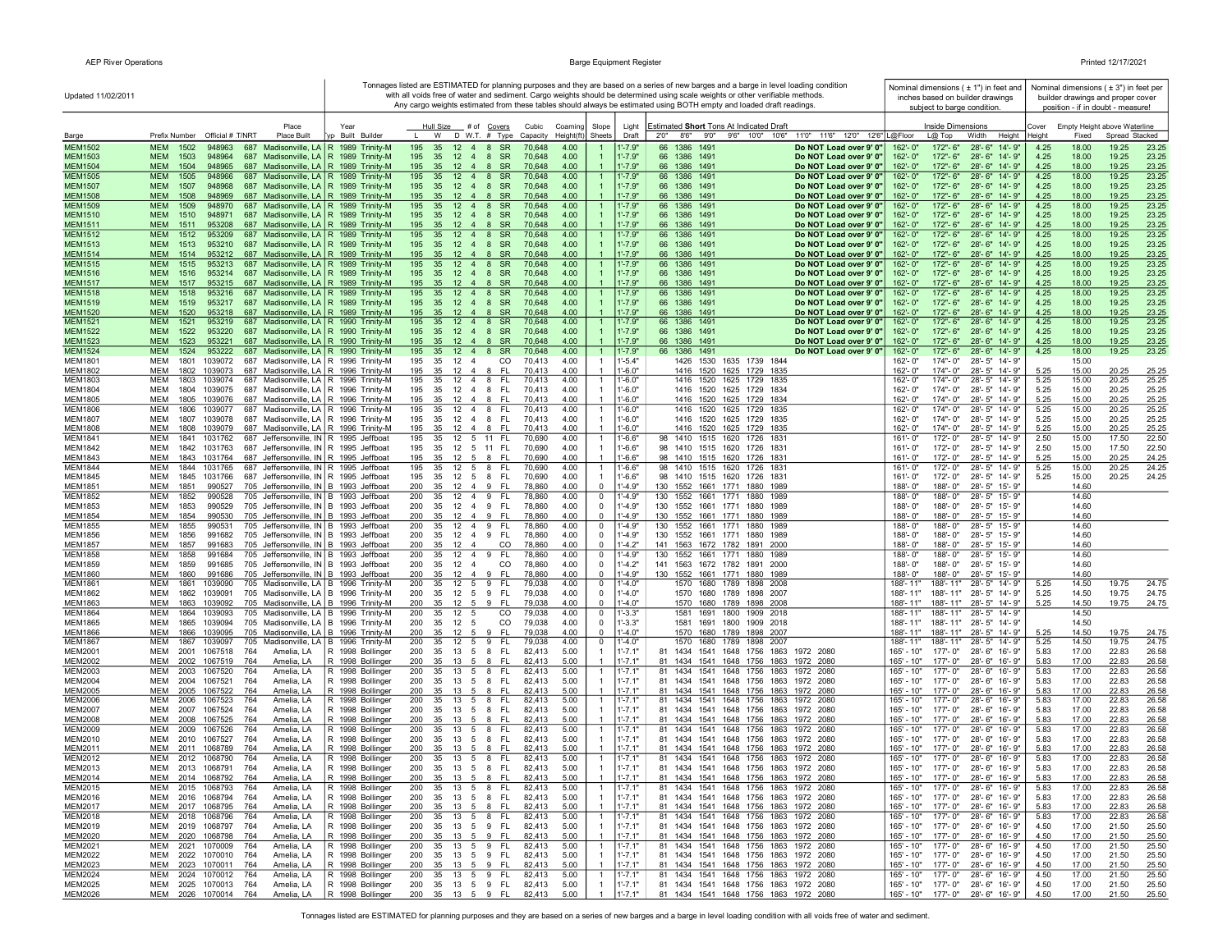| Printed 12/17/2021 |  |
|--------------------|--|
|--------------------|--|

| Updated 11/02/2011               |                                                                                                        |                                                                                    |                                                                                                 |                                            |                                                                | Tonnages listed are ESTIMATED for planning purposes and they are based on a series of new barges and a barge in level loading condition<br>with all voids free of water and sediment. Cargo weights should be determined using scale weights or other verifiable methods.<br>Any cargo weights estimated from these tables should always be estimated using BOTH empty and loaded draft readings. |                          | subject to barge condition.                  | Nominal dimensions ( ± 1") in feet and<br>inches based on builder drawings |                 |                | Nominal dimensions ( $\pm$ 3") in feet per<br>builder drawings and proper cover<br>position - if in doubt - measure! |
|----------------------------------|--------------------------------------------------------------------------------------------------------|------------------------------------------------------------------------------------|-------------------------------------------------------------------------------------------------|--------------------------------------------|----------------------------------------------------------------|---------------------------------------------------------------------------------------------------------------------------------------------------------------------------------------------------------------------------------------------------------------------------------------------------------------------------------------------------------------------------------------------------|--------------------------|----------------------------------------------|----------------------------------------------------------------------------|-----------------|----------------|----------------------------------------------------------------------------------------------------------------------|
| Barge                            | Place<br>Prefix Number Official # T/NRT<br>Place Built                                                 | Year<br>yp Built Builder                                                           | Hull Size # of Covers<br>W<br>D W.T. # Type                                                     | Cubic<br>Coamino<br>Height(ft)<br>Capacity | Slope<br>Light<br>Sheets<br>Draft                              | Estimated Short Tons At Indicated Draft<br>2'0''<br>8'6" 9'0" 9'6" 10'0" 10'6"<br>11'0" 11'6" 12'0" 12'6" L@Floor                                                                                                                                                                                                                                                                                 |                          | Inside Dimensions<br>$L@$ Top                | Width<br>Height                                                            | Cover<br>Height | Fixed          | Empty Height above Waterline<br>Spread Stacked                                                                       |
| <b>MEM1502</b>                   | <b>MEM</b><br>1502<br>948963                                                                           | 687 Madisonville, LA R 1989 Trinity-M                                              | 195<br>35<br>12<br>$4 \quad 8$<br><b>SR</b>                                                     | 70,648<br>4.00                             | $1' - 7.9"$                                                    | 66<br>1386<br>1491<br>Do NOT Load over 9' 0"                                                                                                                                                                                                                                                                                                                                                      | 162'-0"                  | 172"-6"                                      | $28 - 6"$<br>$14 - 9"$                                                     | 4.25            | 18.00          | 19.25<br>23.25                                                                                                       |
| MEM1503                          | <b>MEM</b><br>1503<br>948964                                                                           | 687 Madisonville, LA   R 1989 Trinity-M                                            | 195<br>35<br>$4\quad 8$<br><b>SR</b><br>12                                                      | 4.00<br>70,648                             | $1' - 7.9"$                                                    | 1386 1491<br>66<br>Do NOT Load over 9' 0"                                                                                                                                                                                                                                                                                                                                                         | 162'-0"                  | 172"-6"                                      | $28 - 6"$<br>$14' - 9'$                                                    | 4.25            | 18.00          | 19.25<br>23.25                                                                                                       |
| MEM1504                          | <b>MEM</b><br>1504<br>948965                                                                           | 687 Madisonville, LA   R 1989 Trinity-M                                            | 195<br>35<br>$12 \t 4 \t 8$<br><b>SR</b>                                                        | 4.00<br>70,648                             | $1' - 7.9"$<br>$\overline{\mathbf{1}}$                         | 66 1386 1491<br>Do NOT Load over 9' 0"                                                                                                                                                                                                                                                                                                                                                            | 162'-0"                  | 172"-6"                                      | 28'-6" 14'-9"                                                              | 4.25            | 18.00          | 19.25<br>23.25                                                                                                       |
| <b>MEM1505</b>                   | <b>MEM</b><br>1505<br>948966                                                                           | 687 Madisonville, LA   R 1989 Trinity-M                                            | 195<br>12 4 8 SR<br>35                                                                          | 70,648<br>4.00                             | 1'-7.9"                                                        | 66 1386 1491<br>Do NOT Load over 9' 0"                                                                                                                                                                                                                                                                                                                                                            | 162'-0"                  | 172"-6"                                      | 28'-6" 14'-9"                                                              | 4.25            | 18.00          | 23.25<br>19.25                                                                                                       |
| MEM1507                          | <b>MEM</b><br>1507<br>948968                                                                           | 687 Madisonville, LA   R 1989 Trinity-M                                            | 195<br>35<br>$12 \quad 4 \quad 8$<br>- SR                                                       | 70,648<br>4.00                             | 1'-7.9"                                                        | 66 1386 1491<br>Do NOT Load over 9' 0"                                                                                                                                                                                                                                                                                                                                                            | 162'-0"                  | 172"- 6"                                     | 28'-6" 14'-9"                                                              | 4.25            | 18.00          | 19.25<br>23.25                                                                                                       |
| MEM1508                          | <b>MEM</b><br>1508<br>948969<br><b>MEM</b>                                                             | 687 Madisonville, LA   R 1989 Trinity-M                                            | $12 \quad 4 \quad 8$<br>SR<br>195<br>35<br>195                                                  | 70,648<br>4.00                             | $1' - 7.9"$<br>$1' - 7.9"$                                     | 66 1386 1491<br>Do NOT Load over 9' 0"                                                                                                                                                                                                                                                                                                                                                            | 162'-0"                  | 172"-6"                                      | 28'-6" 14'-9"                                                              | 4.25            | 18.00          | 19.25<br>23.25                                                                                                       |
| <b>MEM1509</b><br><b>MEM1510</b> | 1509<br>948970<br><b>MEM</b><br>1510<br>948971                                                         | 687 Madisonville, LA   R 1989 Trinity-M<br>687 Madisonville, LA   R 1989 Trinity-M | 35<br>$12 \quad 4$<br>8<br><b>SR</b><br>195<br>35<br>12<br>4<br>8<br><b>SR</b>                  | 70,648<br>4.00<br>70,648<br>4.00           | $1' - 7.9"$                                                    | 66 1386 1491<br>Do NOT Load over 9' 0"<br>66 1386 1491<br>Do NOT Load over 9' 0"                                                                                                                                                                                                                                                                                                                  | 162'-0"<br>162'-0"       | 172"-6"<br>172"-6"                           | 28'-6" 14'-9"<br>28'-6" 14'-9"                                             | 4.25<br>4.25    | 18.00<br>18.00 | 19.25<br>23.25<br>19.25<br>23.25                                                                                     |
| MEM1511                          | <b>MEM</b><br>1511<br>953208                                                                           | 687 Madisonville, LA   R 1989 Trinity-M                                            | 12<br>8<br><b>SR</b><br>195<br>35<br>$\overline{4}$                                             | 70,648<br>4.00                             | $1' - 7.9"$                                                    | 66 1386 1491<br>Do NOT Load over 9' 0"                                                                                                                                                                                                                                                                                                                                                            | 162'-0"                  | 172"-6"                                      | 28'-6" 14'-9"                                                              | 4.25            | 18.00          | 19.25<br>23.25                                                                                                       |
| MEM1512                          | <b>MEM</b><br>1512<br>953209                                                                           | 687 Madisonville, LA   R 1989 Trinity-M                                            | 195<br>12 <sup>2</sup><br>35<br>$\overline{4}$<br>8<br><b>SR</b>                                | 70,648<br>4.00                             | $1' - 7.9"$                                                    | 1491<br>66<br>1386<br>Do NOT Load over 9' 0"                                                                                                                                                                                                                                                                                                                                                      | 162'-0"                  | 172"-6"                                      | 28'-6" 14'-9"                                                              | 4.25            | 18.00          | 19.25<br>23.25                                                                                                       |
| MEM1513                          | <b>MEM</b><br>1513<br>953210                                                                           | 687 Madisonville, LA   R 1989 Trinity-M                                            | 195<br>35<br>12<br>$\overline{4}$<br>8<br><b>SR</b>                                             | 70,648<br>4.00                             | $1'$ -7.9"                                                     | 66<br>1386 1491<br>Do NOT Load over 9' 0"                                                                                                                                                                                                                                                                                                                                                         | 162'-0"                  | 172"-6"                                      | 28'-6" 14'-9"                                                              | 4.25            | 18.00          | 19.25<br>23.25                                                                                                       |
| MEM1514                          | <b>MEM</b><br>1514<br>953212<br><b>MEM</b><br>953213                                                   | 687 Madisonville, LA R 1989 Trinity-M                                              | $12 \quad 4 \quad 8$<br><b>SR</b><br>195<br>35<br>195<br>35<br>$\overline{4}$<br>8<br><b>SR</b> | 70,648<br>4.00<br>70.648                   | $1' - 7.9"$<br>$1' - 7.9"$                                     | 66 1386 1491<br>Do NOT Load over 9' 0"<br>1386<br>1491                                                                                                                                                                                                                                                                                                                                            | 162'-0"<br>162'-0"       | 172"-6"<br>172"-6"                           | 28'-6" 14'-9"<br>$28 - 6"$<br>$14 - 9"$                                    | 4.25            | 18.00          | 19.25<br>23.25<br>23.25                                                                                              |
| <b>MEM1515</b><br><b>MEM1516</b> | 1515<br><b>MEM</b><br>1516<br>953214                                                                   | 687 Madisonville, LA   R 1989 Trinity-M<br>687 Madisonville, LA   R 1989 Trinity-M | 12 <sup>2</sup><br>195<br>35<br>8<br>$12 \quad 4$<br>SR                                         | 4.00<br>70,648<br>4.00                     | $1' - 7.9"$                                                    | 66<br>Do NOT Load over 9' 0"<br>66 1386 1491<br>Do NOT Load over 9' 0"                                                                                                                                                                                                                                                                                                                            | 162'-0"                  | 172"- 6"                                     | 28'-6" 14'-9"                                                              | 4.25<br>4.25    | 18.00<br>18.00 | 19.25<br>19.25<br>23.25                                                                                              |
| MEM1517                          | <b>MEM</b><br>1517<br>953215                                                                           | 687 Madisonville, LA   R 1989 Trinity-M                                            | 35 12 4 8<br>SR<br>195                                                                          | 4.00<br>70,648                             | $1' - 7.9"$                                                    | 66 1386 1491<br>Do NOT Load over 9' 0"                                                                                                                                                                                                                                                                                                                                                            | 162'-0"                  | 172"-6"                                      | 28'-6" 14'-9"                                                              | 4.25            | 18.00          | 19.25<br>23.25                                                                                                       |
| <b>MEM1518</b>                   | <b>MEM</b><br>1518<br>953216                                                                           | 687 Madisonville, LA   R 1989 Trinity-M                                            | 195<br>35<br>$12 \quad 4$<br>8<br><b>SR</b>                                                     | 70,648<br>4.00                             | 1'-7.9"                                                        | 1491<br>66 1386<br>Do NOT Load over 9' 0"                                                                                                                                                                                                                                                                                                                                                         | 162'-0'                  | 172"- 6"                                     | 28'-6" 14'-9"                                                              | 4.25            | 18.00          | 19.25<br>23.25                                                                                                       |
| MEM1519                          | <b>MEM</b><br>1519<br>953217<br>687                                                                    | Madisonville, LA   R 1989 Trinity-M                                                | 195<br>35<br>12<br>$\overline{4}$<br>8<br><b>SR</b>                                             | 70,648<br>4.00                             | 1'-7.9"                                                        | 66 1386 1491<br>Do NOT Load over 9' 0"                                                                                                                                                                                                                                                                                                                                                            | 162'-0"                  | 172"- 6"                                     | 28'-6" 14'-9"                                                              | 4.25            | 18.00          | 19.25<br>23.25                                                                                                       |
| <b>MEM1520</b><br><b>MEM1521</b> | <b>MEM</b><br>1520<br>953218<br><b>MEM</b><br>1521<br>953219                                           | 687 Madisonville, LA   R 1989 Trinity-M<br>687 Madisonville, LA   R 1990 Trinity-M | 35 12 4 8 SR<br>195<br>195<br>35<br>$12 \quad 4 \quad 8$<br><b>SR</b>                           | 70,648<br>4.00<br>70,648<br>4.00           | $1' - 7.9"$<br>1'-7.9'                                         | 66 1386 1491<br>Do NOT Load over 9' 0"<br>66 1386 1491<br>Do NOT Load over 9' 0"                                                                                                                                                                                                                                                                                                                  | 162'-0"<br>162'-0'       | 172"-6"<br>172"- 6"                          | 28'-6" 14'-9"<br>$28 - 6"$<br>14'-9"                                       | 4.25<br>4.25    | 18.00<br>18.00 | 19.25<br>23.25<br>19.25<br>23.25                                                                                     |
| <b>MEM1522</b>                   | <b>MEM</b><br>1522<br>953220                                                                           | 687 Madisonville, LA   R 1990 Trinity-M                                            | 195<br>35<br>12 4 8 SR                                                                          | 70,648<br>4.00                             | $1' - 7.9"$                                                    | 66 1386 1491<br>Do NOT Load over 9' 0"                                                                                                                                                                                                                                                                                                                                                            | 162'-0"                  | 172"-6"                                      | 28'-6" 14'-9"                                                              | 4.25            | 18.00          | 19.25<br>23.25                                                                                                       |
| MEM1523                          | <b>MEM</b><br>1523<br>953221                                                                           | 687 Madisonville, LA   R 1990 Trinity-M                                            | 195<br>12<br>48<br><b>SR</b><br>35                                                              | 70,648<br>4.00                             | $1' - 7.9"$                                                    | 66 1386 1491<br>Do NOT Load over 9' 0"                                                                                                                                                                                                                                                                                                                                                            | 162'-0"                  | 172"-6"                                      | 28'-6" 14'-9"                                                              | 4.25            | 18.00          | 19.25<br>23.25                                                                                                       |
| <b>MEM1524</b>                   | <b>MEM</b><br>1524<br>953222                                                                           | 687 Madisonville, LA   R 1990 Trinity-M                                            | 195<br>35<br>12<br>$4 \quad 8$<br><b>SR</b>                                                     | 70,648<br>4.00                             | 1'-7.9"<br>$\mathbf{1}$                                        | 1491<br>Do NOT Load over 9' 0"<br>66<br>1386                                                                                                                                                                                                                                                                                                                                                      | $162 - 0"$               | 172"-6"                                      | $28 - 6"$<br>14'-9"                                                        | 4.25            | 18.00          | 19.25<br>23.25                                                                                                       |
| <b>MEM1801</b>                   | MEM<br>1801<br>1039072                                                                                 | 687 Madisonville, LA   R 1996 Trinity-M                                            | 195<br>35<br>12<br>$\overline{4}$<br>CO                                                         | 70,413<br>4.00                             | 1'-5.4"                                                        | 1426<br>1530<br>1635 1739 1844                                                                                                                                                                                                                                                                                                                                                                    | 162'-0"                  | 174"-0"                                      | $28 - 5"$<br>14'-9"                                                        |                 | 15.00          |                                                                                                                      |
| <b>MEM1802</b><br><b>MEM1803</b> | <b>MEM</b><br>1802<br>1039073<br><b>MEM</b><br>1803<br>1039074                                         | 687 Madisonville, LA   R 1996 Trinity-M<br>687 Madisonville, LA   R 1996 Trinity-M | 35<br>-FL<br>195<br>12<br>$\overline{4}$<br>-8<br>195<br>35<br>$12 \t 4 \t 8$<br><b>FL</b>      | 70.413<br>4.00<br>70,413<br>4.00           | $1' - 6.0"$<br>$\overline{1}$<br>l'-6.0"                       | 1416 1520 1625 1729 1835<br>1416 1520 1625 1729 1835                                                                                                                                                                                                                                                                                                                                              | $162 - 0'$<br>162'-0"    | 174"-0"<br>$174 - 0$                         | $28 - 5"$<br>14'-9"<br>$28 - 5"$<br>14'-9"                                 | 5.25<br>5.25    | 15.00<br>15.00 | 20.25<br>25.25<br>20.25<br>25.25                                                                                     |
| <b>MEM1804</b>                   | <b>MEM</b><br>1804<br>1039075                                                                          | 687 Madisonville, LA   R 1996 Trinity-M                                            | 195<br>35<br>12  4  8  FL                                                                       | 70,413<br>4.00                             | $1' - 6.0"$                                                    | 1416 1520 1625 1729<br>1834                                                                                                                                                                                                                                                                                                                                                                       | 162'-0"                  | 174"-0"                                      | 28'-5" 14'-9"                                                              | 5.25            | 15.00          | 20.25<br>25.25                                                                                                       |
| <b>MEM1805</b>                   | <b>MEM</b><br>1805<br>1039076                                                                          | 687 Madisonville, LA   R 1996 Trinity-M                                            | 195<br>35<br>12<br>- 8<br>-FI<br>$\overline{a}$                                                 | 4.00<br>70,413                             | $-6.0"$                                                        | 1416 1520 1625 1729 1834                                                                                                                                                                                                                                                                                                                                                                          | 162'-0"                  | $174" - 0"$                                  | 28'-5" 14'-9"                                                              | 5.25            | 15.00          | 20.25<br>25.25                                                                                                       |
| <b>MEM1806</b>                   | MEM<br>687<br>1806<br>1039077                                                                          | Madisonville, LA   R 1996 Trinity-M                                                | 195<br>12  4  8  FL<br>35                                                                       | 70,413<br>4.00                             | l'-6.0"<br>-1                                                  | 1416 1520 1625 1729 1835                                                                                                                                                                                                                                                                                                                                                                          | 162'-0"                  | 174"-0"                                      | 28'-5" 14'-9"                                                              | 5.25            | 15.00          | 20.25<br>25.25                                                                                                       |
| <b>MEM1807</b>                   | MEM<br>1807<br>1039078                                                                                 | 687 Madisonville, LA   R 1996 Trinity-M                                            | <b>FL</b><br>195<br>35<br>$12 \t 4 \t 8$                                                        | 70,413<br>4.00                             | 1'-6.0"<br>-1                                                  | 1416 1520 1625 1729 1835                                                                                                                                                                                                                                                                                                                                                                          | 162'-0"                  | 174"-0"                                      | 28'-5" 14'-9"                                                              | 5.25            | 15.00          | 20.25<br>25.25                                                                                                       |
| MEM1808<br><b>MEM1841</b>        | MEM<br>1808<br>1039079<br>MEM<br>1841<br>1031762                                                       | 687 Madisonville, LA   R 1996 Trinity-M<br>687 Jeffersonville, IN R 1995 Jeffboat  | 195<br>35<br>$12 \t 4 \t 8$<br>-FL<br>12 5 11 FL<br>195<br>35                                   | 70,413<br>4.00<br>4.00<br>70,690           | $\overline{1}$<br>1'-6.0"<br>$1' - 6.6"$<br>$\mathbf{1}$       | 1416 1520 1625 1729 1835<br>98 1410 1515 1620 1726 1831                                                                                                                                                                                                                                                                                                                                           | 162'-0"<br>161'-0"       | 174"-0"<br>172'-0"                           | 28'-5" 14'-9"<br>28'-5" 14'-9"                                             | 5.25<br>2.50    | 15.00<br>15.00 | 20.25<br>25.25<br>17.50<br>22.50                                                                                     |
| <b>MEM1842</b>                   | <b>MEM</b><br>1842<br>1031763                                                                          | 687 Jeffersonville, IN R 1995 Jeffboat                                             | 195<br>35<br>12 5 11 FL                                                                         | 70,690<br>4.00                             | $1' - 6.6"$                                                    | 98 1410 1515 1620 1726 1831                                                                                                                                                                                                                                                                                                                                                                       | 161'-0"                  | 172'-0"                                      | 28'-5" 14'-9"                                                              | 2.50            | 15.00          | 17.50<br>22.50                                                                                                       |
| <b>MEM1843</b>                   | <b>MEM</b><br>1843<br>1031764                                                                          | 687 Jeffersonville, IN R 1995 Jeffboat                                             | 195<br>35<br>12<br>5<br>8<br><b>FL</b>                                                          | 70,690<br>4.00                             | $1' - 6.6"$<br>$\overline{1}$                                  | 98 1410 1515 1620 1726 1831                                                                                                                                                                                                                                                                                                                                                                       | 161'-0"                  | 172'-0"                                      | 28'-5" 14'-9"                                                              | 5.25            | 15.00          | 20.25<br>24.25                                                                                                       |
| <b>MEM1844</b>                   | MEM<br>1844<br>1031765<br>687                                                                          | Jeffersonville, IN R 1995 Jeffboat                                                 | 195<br>12<br>8<br>FL.<br>35<br>5                                                                | 70,690<br>4.00                             | $1' - 6.6"$<br>$\mathbf{1}$                                    | 98 1410 1515 1620 1726 1831                                                                                                                                                                                                                                                                                                                                                                       | 161'-0"                  | 172'-0"                                      | 28'-5" 14'-9"                                                              | 5.25            | 15.00          | 20.25<br>24.25                                                                                                       |
| <b>MEM1845</b>                   | MEM<br>1845<br>1031766                                                                                 | 687 Jeffersonville, IN R 1995 Jeffboat                                             | 195<br>FL.<br>35<br>12<br>5<br>8                                                                | 70,690<br>4.00                             | $1' - 6.6"$                                                    | 98 1410 1515 1620 1726 1831                                                                                                                                                                                                                                                                                                                                                                       | 161'-0"                  | 172'-0"                                      | 28'-5" 14'-9"                                                              | 5.25            | 15.00          | 20.25<br>24.25                                                                                                       |
| <b>MEM1851</b><br><b>MEM1852</b> | <b>MEM</b><br>1851<br>990527<br>705 Jeffersonville, IN B 1993 Jeffboat<br><b>MEM</b><br>1852<br>990528 | 705 Jeffersonville, IN B 1993 Jeffboat                                             | 200<br>35<br>12<br>$\overline{4}$<br>9<br>FL.<br>200<br>12 4<br>9<br>FL.<br>35                  | 78,860<br>4.00<br>4.00<br>78,860           | $\overline{0}$<br>$1'-4.9"$<br>$1 - 4.9"$<br>$\mathbf 0$       | 130 1552 1661 1771 1880 1989<br>130<br>1552<br>1661 1771 1880<br>1989                                                                                                                                                                                                                                                                                                                             | 188'-0"<br>188'-0"       | 188'-0"<br>188'-0"                           | 28'-5" 15'-9"<br>28'-5" 15'-9"                                             |                 | 14.60<br>14.60 |                                                                                                                      |
| <b>MEM1853</b>                   | <b>MEM</b><br>1853<br>990529<br>705 Jeffersonville, IN B 1993 Jeffboat                                 |                                                                                    | 200<br>35<br>$12 \quad 4$<br>9<br>FL.                                                           | 78,860<br>4.00                             | $\Omega$<br>$1' - 4.9"$                                        | 130<br>1552 1661 1771 1880 1989                                                                                                                                                                                                                                                                                                                                                                   | 188'-0"                  | 188'-0"                                      | 28'-5" 15'-9"                                                              |                 | 14.60          |                                                                                                                      |
| <b>MEM1854</b>                   | <b>MEM</b><br>1854<br>990530<br>705 Jeffersonville, IN B 1993 Jeffboat                                 |                                                                                    | 200<br>35<br>9<br>-FL<br>$12 \quad 4$                                                           | 78,860<br>4.00                             | $\Omega$<br>$1' - 4.9"$                                        | 130 1552 1661 1771 1880 1989                                                                                                                                                                                                                                                                                                                                                                      | 188'-0"                  | 188'-0"                                      | 28'-5" 15'-9"                                                              |                 | 14.60          |                                                                                                                      |
| <b>MEM1855</b>                   | <b>MEM</b><br>1855<br>990531                                                                           | 705 Jeffersonville, IN B 1993 Jeffboat                                             | 200<br>$12 \t4 \t9$<br>FL.<br>35                                                                | 78,860<br>4.00                             | $\mathbf 0$<br>$-4.9"$                                         | 130 1552 1661 1771 1880 1989                                                                                                                                                                                                                                                                                                                                                                      | 188'-0"                  | 188'-0"                                      | 28'-5" 15'-9"                                                              |                 | 14.60          |                                                                                                                      |
| <b>MEM1856</b><br><b>MEM1857</b> | MEM<br>1856<br>991682<br>705 Jeffersonville, IN B 1993 Jeffboat<br>MEM<br>1857<br>991683               | 705 Jeffersonville, IN B 1993 Jeffboat                                             | 200<br>35<br>12<br>$\overline{4}$<br>9<br>FL.<br>200<br>35<br>12 4<br>CO                        | 78,860<br>4.00<br>78,860<br>4.00           | $\mathbf 0$<br>1'-4.9"<br>$1'-4.2"$<br>0                       | 130 1552 1661 1771 1880 1989<br>141 1563 1672 1782 1891 2000                                                                                                                                                                                                                                                                                                                                      | 188'-0"<br>188'-0"       | 188'-0"<br>188'-0"                           | 28'-5" 15'-9"<br>28'-5" 15'-9"                                             |                 | 14.60<br>14.60 |                                                                                                                      |
| MEM1858                          | <b>MEM</b><br>1858<br>991684                                                                           | 705 Jeffersonville, IN B 1993 Jeffboat                                             | $12 \quad 4$<br>200<br>35<br>9<br>- FL                                                          | 4.00<br>78,860                             | $1' - 4.9"$<br>$\mathbf 0$                                     | 1552 1661 1771 1880 1989<br>130                                                                                                                                                                                                                                                                                                                                                                   | 188'-0"                  | 188'-0"                                      | 28'-5" 15'-9"                                                              |                 | 14.60          |                                                                                                                      |
| <b>MEM1859</b>                   | MEM<br>1859<br>991685                                                                                  | 705 Jeffersonville, IN B 1993 Jeffboat                                             | 200<br>35<br>12 4<br>CO                                                                         | 78,860<br>4.00                             | $\mathbf 0$<br>l'-4.2"                                         | 141 1563 1672 1782 1891 2000                                                                                                                                                                                                                                                                                                                                                                      | 188'-0"                  | 188'-0"                                      | 28'-5" 15'-9"                                                              |                 | 14.60          |                                                                                                                      |
| <b>MEM1860</b>                   | <b>MEM</b><br>1860<br>991686                                                                           | 705 Jeffersonville, IN B 1993 Jeffboat                                             | 200<br>35<br>12   4   9   FL                                                                    | 78,860<br>4.00                             | $\mathbf 0$<br>$1' - 4.9"$                                     | 130 1552 1661 1771 1880 1989                                                                                                                                                                                                                                                                                                                                                                      | 188'-0"                  | 188'-0"                                      | 28'-5" 15'-9"                                                              |                 | 14.60          |                                                                                                                      |
| <b>MEM1861</b>                   | <b>MEM</b><br>1861<br>1039090                                                                          | 705 Madisonville, LA   B 1996 Trinity-M                                            | 200<br>12<br>5<br><b>FL</b><br>35<br>9                                                          | 79,038<br>4.00                             | $1 - 4.0"$<br>$\overline{0}$                                   | 1570 1680 1789 1898 2008                                                                                                                                                                                                                                                                                                                                                                          | 188'-11'                 | 188'-11"                                     | $28 - 5"$<br>14'-9"                                                        | 5.25            | 14.50          | 24.75<br>19.75                                                                                                       |
| <b>MEM1862</b><br>MEM1863        | MEM<br>1039091<br>1862<br>MEM<br>1863<br>1039092                                                       | 705 Madisonville, LA   B 1996 Trinity-M<br>705 Madisonville, LA   B 1996 Trinity-M | <b>FL</b><br>200<br>9<br>35<br>12<br>5<br>9<br>-FL<br>200<br>35<br>12<br>5                      | 79,038<br>4.00<br>4.00<br>79,038           | $1 - 4.0"$<br>$\overline{0}$<br>$1 - 4.0"$<br>$\mathbf 0$      | 1570 1680 1789 1898 2007<br>1570 1680 1789 1898 2008                                                                                                                                                                                                                                                                                                                                              | 188'-11"<br>188'-11"     | 188'-11"<br>188'-11"                         | $28 - 5"$<br>14'- 9"<br>$28 - 5"$<br>14'- 9"                               | 5.25<br>5.25    | 14.50<br>14.50 | 19.75<br>24.75<br>24.75<br>19.75                                                                                     |
| <b>MEM1864</b>                   | <b>MEM</b><br>1864<br>1039093                                                                          | 705 Madisonville, LA B 1996 Trinity-M                                              | 35<br>CO<br>200<br>12<br>5                                                                      | 79,038<br>4.00                             | $1' - 3.3"$<br>$\overline{\mathbf{0}}$                         | 1581<br>1691<br>1800<br>1909 2018                                                                                                                                                                                                                                                                                                                                                                 | 188'-11"                 | 188'-11"                                     | 28'-5" 14'-9"                                                              |                 | 14.50          |                                                                                                                      |
| <b>MEM1865</b>                   | <b>MEM</b><br>1865<br>1039094                                                                          | 705 Madisonville, LA B 1996 Trinity-M                                              | 35<br>CO<br>200<br>12<br>5                                                                      | 79,038<br>4.00                             | $1' - 3.3"$<br>$\mathbf 0$                                     | 1581 1691 1800 1909 2018                                                                                                                                                                                                                                                                                                                                                                          | 188'-11"                 | 188'-11"                                     | 28'-5" 14'-9"                                                              |                 | 14.50          |                                                                                                                      |
| <b>MEM1866</b>                   | <b>MEM</b><br>1866<br>1039095                                                                          | 705 Madisonville, LA B 1996 Trinity-M                                              | 200<br>35<br>9 FL<br>$12 \quad 5$                                                               | 79,038<br>4.00                             | $\Omega$<br>$-4.0"$                                            | 1570 1680 1789 1898 2007                                                                                                                                                                                                                                                                                                                                                                          | 188'-11"                 | 188'-11"                                     | 28'-5" 14'-9"                                                              | 5.25            | 14.50          | 19.75<br>24.75                                                                                                       |
| <b>MEM1867</b><br><b>MEM2001</b> | 1867<br>1039097<br>MEM<br>MEM<br>2001<br>1067518<br>764<br>Amelia, LA                                  | 705 Madisonville, LA   B 1996 Trinity-M<br>R 1998 Bollinger                        | <b>FL</b><br>200<br>35<br>12 5 9<br>FL.<br>200<br>35<br>13 5 8                                  | 79,038<br>4.00<br>82,413<br>5.00           | $\overline{0}$<br>$-4.0"$<br>$1' - 7.1"$<br>-1                 | 1570 1680 1789 1898 2007<br>81 1434 1541 1648 1756 1863 1972 2080                                                                                                                                                                                                                                                                                                                                 | 188'-11"<br>165' - 10"   | 188'-11"<br>177'-0"                          | 28'-5" 14'-9"<br>28'-6" 16'-9"                                             | 5.25<br>5.83    | 14.50<br>17.00 | 19.75<br>24.75<br>22.83<br>26.58                                                                                     |
| MEM2002                          | MEM<br>2002<br>1067519<br>764<br>Amelia, LA                                                            | R 1998 Bollinger                                                                   | 200<br>35<br>13 5<br>- 8<br>-FL                                                                 | 82,413<br>5.00                             | $1' - 7.1"$                                                    | 81 1434 1541 1648 1756 1863 1972 2080                                                                                                                                                                                                                                                                                                                                                             | $165' - 10"$             | 177'-0"                                      | 28'-6" 16'-9"                                                              | 5.83            | 17.00          | 22.83<br>26.58                                                                                                       |
| MEM2003                          | MEM<br>2003<br>1067520<br>764<br>Amelia, LA                                                            | R 1998 Bollinger                                                                   | 200<br>35<br>13 5 8 FL                                                                          | 82,413<br>5.00                             | 1'-7.1'<br>-1                                                  | 81 1434 1541 1648 1756 1863 1972 2080                                                                                                                                                                                                                                                                                                                                                             | 165' - 10"               | 177'-0"                                      | 28'-6" 16'-9"                                                              | 5.83            | 17.00          | 22.83<br>26.58                                                                                                       |
| <b>MEM2004</b>                   | 764<br>MEM<br>2004 1067521<br>Amelia, LA                                                               | R 1998 Bollinger                                                                   | 13 5 8 FL<br>200<br>35                                                                          | 5.00<br>82,413                             | $1' - 7.1"$<br>$\overline{1}$                                  | 81 1434 1541 1648 1756 1863 1972 2080                                                                                                                                                                                                                                                                                                                                                             | 165' - 10"               | 177'-0"                                      | 28'-6" 16'-9"                                                              | 5.83            | 17.00          | 22.83<br>26.58                                                                                                       |
| <b>MEM2005</b>                   | MEM<br>2005<br>1067522<br>764<br>Amelia, LA                                                            | R 1998 Bollinger                                                                   | 200<br>35<br>13 5<br>-FL<br>-8                                                                  | 82.413<br>5.00                             | $1' - 7.1"$                                                    | 81 1434 1541 1648 1756 1863 1972 2080                                                                                                                                                                                                                                                                                                                                                             | $165' - 10"$             | 177'-0"                                      | 28'-6" 16'-9"                                                              | 5.83            | 17.00          | 22.83<br>26.58                                                                                                       |
| <b>MEM2006</b><br><b>MEM2007</b> | MEM<br>2006<br>1067523<br>764<br>Amelia, LA<br>MEM<br>2007<br>1067524<br>764<br>Amelia, LA             | R 1998 Bollinger<br>R 1998 Bollinger                                               | 13 5<br>FL.<br>200<br>35<br>8<br>FL.<br>200<br>35<br>13<br>5<br>8                               | 5.00<br>82,413<br>82,413<br>5.00           | $1' - 7.1'$<br>-1<br>$1' - 7.1"$                               | 81 1434 1541 1648 1756 1863 1972 2080<br>81 1434 1541 1648 1756 1863 1972 2080                                                                                                                                                                                                                                                                                                                    | 165' - 10"<br>165' - 10" | 177'-0"<br>177'-0"                           | 28'-6" 16'-9"<br>28'-6" 16'-9"                                             | 5.83<br>5.83    | 17.00<br>17.00 | 22.83<br>26.58<br>22.83<br>26.58                                                                                     |
| MEM2008                          | 764<br>MEM<br>2008<br>1067525<br>Amelia, LA                                                            | R 1998 Bollinger                                                                   | <b>FL</b><br>200<br>35<br>13<br>5<br>8                                                          | 82,413<br>5.00                             | $1' - 7.1"$                                                    | 1541 1648 1756 1863 1972 2080<br>81 1434                                                                                                                                                                                                                                                                                                                                                          | 165' - 10"               | 177'-0"                                      | 28'-6" 16'-9"                                                              | 5.83            | 17.00          | 22.83<br>26.58                                                                                                       |
| MEM2009                          | MEM<br>2009<br>1067526<br>764<br>Amelia, LA                                                            | R 1998 Bollinger                                                                   | 200<br>35<br>13 5<br>8<br><b>FL</b>                                                             | 82,413<br>5.00                             | 1'-7.1'<br>-1                                                  | 81 1434 1541 1648 1756 1863<br>1972 2080                                                                                                                                                                                                                                                                                                                                                          | 165' - 10"               | 177'-0"                                      | 28'-6" 16'-9"                                                              | 5.83            | 17.00          | 22.83<br>26.58                                                                                                       |
| <b>MEM2010</b>                   | <b>MEM</b><br>2010 1067527<br>764<br>Amelia, LA                                                        | R 1998 Bollinger                                                                   | 35<br>FL.<br>200<br>13 5 8                                                                      | 82,413<br>5.00                             | $1' - 7.1"$                                                    | 81 1434 1541 1648 1756 1863 1972 2080                                                                                                                                                                                                                                                                                                                                                             | 165' - 10"               | 177'-0"                                      | 28'-6" 16'-9"                                                              | 5.83            | 17.00          | 22.83<br>26.58                                                                                                       |
| MEM2011                          | <b>MEM</b><br>764<br>Amelia, LA<br>2011 1068789                                                        | R 1998 Bollinger                                                                   | 35<br>8<br>-FL<br>200<br>13 5                                                                   | 82,413<br>5.00                             | $1' - 7.1'$                                                    | 81 1434 1541 1648 1756 1863 1972 2080                                                                                                                                                                                                                                                                                                                                                             |                          | 165' - 10"<br>177'-0"                        | 28'-6" 16'-9"                                                              | 5.83            | 17.00          | 22.83<br>26.58                                                                                                       |
| <b>MEM2012</b><br>MEM2013        | 764<br><b>MEM</b><br>2012<br>1068790<br>Amelia, LA<br><b>MEM</b><br>2013 1068791<br>764<br>Amelia, LA  | R 1998 Bollinger<br>R 1998 Bollinger                                               | 13 5 8<br>FL.<br>200<br>35<br>200<br>35 13 5 8 FL                                               | 82.413<br>5.00<br>82,413<br>5.00           | $1' - 7.1'$<br>$1' - 7.1"$                                     | 81 1434 1541 1648 1756 1863 1972 2080<br>81 1434 1541 1648 1756 1863 1972 2080                                                                                                                                                                                                                                                                                                                    | $165' - 10"$             | 177'-0"                                      | 28'-6" 16'-9"<br>165'-10" 177'-0" 28'-6" 16'-9"                            | 5.83<br>5.83    | 17.00<br>17.00 | 22.83<br>26.58<br>22.83<br>26.58                                                                                     |
| <b>MEM2014</b>                   | MEM<br>2014 1068792<br>764<br>Amelia, LA                                                               | R 1998 Bollinger                                                                   | 200<br>35 13 5 8 FL                                                                             | 82,413<br>5.00                             | 1'-7.1"                                                        | 81 1434 1541 1648 1756 1863 1972 2080                                                                                                                                                                                                                                                                                                                                                             |                          |                                              | 165'-10" 177'-0" 28'-6" 16'-9"                                             | 5.83            | 17.00          | 22.83<br>26.58                                                                                                       |
| MEM2015                          | MEM 2015 1068793<br>764<br>Amelia, LA                                                                  | R 1998 Bollinger                                                                   | 200<br>35<br>13 5 8 FL                                                                          | 82,413<br>5.00                             | 1'-7.1                                                         | 81 1434 1541 1648 1756 1863 1972 2080                                                                                                                                                                                                                                                                                                                                                             |                          | 165' - 10" 177'- 0"                          | 28'-6" 16'-9"                                                              | 5.83            | 17.00          | 22.83<br>26.58                                                                                                       |
| <b>MEM2016</b>                   | MEM 2016 1068794 764<br>Amelia, LA                                                                     | R 1998 Bollinger                                                                   | 35<br>13 5 8 FL<br>200                                                                          | 82,413<br>5.00                             | 1'-7.1"<br>$\overline{1}$                                      | 81 1434 1541 1648 1756 1863 1972 2080                                                                                                                                                                                                                                                                                                                                                             |                          |                                              | 165'-10" 177'-0" 28'-6" 16'-9"                                             | 5.83            | 17.00          | 22.83<br>26.58                                                                                                       |
| <b>MEM2017</b>                   | MEM 2017 1068795<br>Amelia, LA<br>764                                                                  | R 1998 Bollinger                                                                   | 200<br>35 13 5 8 FL                                                                             | 82,413<br>5.00                             | $1' - 7.1"$<br>$\overline{1}$                                  | 81 1434 1541 1648 1756 1863 1972 2080                                                                                                                                                                                                                                                                                                                                                             |                          |                                              | 165'-10" 177'-0" 28'-6" 16'-9"                                             | 5.83            | 17.00          | 22.83<br>26.58                                                                                                       |
| <b>MEM2018</b><br>MEM2019        | MEM 2018 1068796<br>764<br>Amelia, LA<br>Amelia, LA<br>MEM<br>2019 1068797<br>764                      | R 1998 Bollinger<br>R 1998 Bollinger                                               | 200<br>35 13 5 8 FL<br>200<br>35 13 5 9 FL                                                      | 82,413<br>5.00<br>82,413<br>5.00           | $1' - 7.1"$<br>-1<br>$1' - 7.1"$<br>-1                         | 81 1434 1541 1648 1756 1863 1972 2080<br>81 1434 1541 1648 1756 1863 1972 2080                                                                                                                                                                                                                                                                                                                    |                          | 165' - 10" 177' - 0"<br>165' - 10" 177' - 0" | 28'-6" 16'-9"<br>28'-6" 16'-9"                                             | 5.83<br>4.50    | 17.00<br>17.00 | 22.83<br>26.58<br>21.50<br>25.50                                                                                     |
| <b>MEM2020</b>                   | 2020 1068798<br>764<br>Amelia, LA<br>MEM                                                               | R 1998 Bollinger                                                                   | 200<br>13 5 9 FL<br>35                                                                          | 82,413<br>5.00                             | $1' - 7.1"$                                                    | 81 1434 1541 1648 1756 1863 1972 2080                                                                                                                                                                                                                                                                                                                                                             |                          | 165' - 10" 177' - 0"                         | 28'-6" 16'-9"                                                              | 4.50            | 17.00          | 21.50<br>25.50                                                                                                       |
| <b>MEM2021</b>                   | 764<br>MEM<br>2021 1070009<br>Amelia, LA                                                               | R 1998 Bollinger                                                                   | 200<br>35 13 5 9 FL                                                                             | 5.00<br>82,413                             | $1' - 7.1'$<br>$\overline{1}$                                  | 81 1434 1541 1648 1756 1863 1972 2080                                                                                                                                                                                                                                                                                                                                                             |                          | 165' - 10" 177' - 0"                         | 28'-6" 16'-9"                                                              | 4.50            | 17.00          | 25.50<br>21.50                                                                                                       |
| <b>MEM2022</b>                   | 2022 1070010 764<br>Amelia, LA<br>MEM                                                                  | R 1998 Bollinger                                                                   | 200<br>35 13 5 9 FL                                                                             | 82,413<br>5.00                             | $1' - 7.1"$<br>$\overline{1}$                                  | 81 1434 1541 1648 1756 1863 1972 2080                                                                                                                                                                                                                                                                                                                                                             |                          | 165' - 10" 177' - 0"                         | 28'-6" 16'-9"                                                              | 4.50            | 17.00          | 25.50<br>21.50                                                                                                       |
| <b>MEM2023</b>                   | MEM 2023 1070011 764<br>Amelia, LA                                                                     | R 1998 Bollinger                                                                   | 35 13 5 9 FL<br>200                                                                             | 5.00<br>82,413                             | $1' - 7.1"$                                                    | 81 1434 1541 1648 1756 1863 1972 2080                                                                                                                                                                                                                                                                                                                                                             |                          | 165' - 10" 177' - 0"                         | 28'-6" 16'-9"                                                              | 4.50            | 17.00          | 21.50<br>25.50                                                                                                       |
| <b>MEM2024</b><br><b>MEM2025</b> | MEM<br>2024 1070012 764<br>Amelia, LA<br>MEM 2025 1070013 764<br>Amelia, LA                            | R 1998 Bollinger<br>R 1998 Bollinger                                               | 200<br>35 13 5 9 FL<br>200 35 13 5 9 FL 82,413                                                  | 82,413<br>5.00<br>5.00                     | $1' - 7.1"$<br>$\overline{1}$<br>$1' - 7.1"$<br>$\overline{1}$ | 81 1434 1541 1648 1756 1863 1972 2080<br>81 1434 1541 1648 1756 1863 1972 2080                                                                                                                                                                                                                                                                                                                    |                          | 165' - 10" 177' - 0"                         | 28'-6" 16'-9"<br>165' - 10" 177' - 0" 28' - 6" 16' - 9"                    | 4.50<br>4.50    | 17.00<br>17.00 | 21.50<br>25.50<br>25.50<br>21.50                                                                                     |
| <b>MEM2026</b>                   | MEM 2026 1070014 764                                                                                   | Amelia, LA   R 1998 Bollinger                                                      | 200 35 13 5 9 FL 82,413                                                                         | 5.00                                       | $1' - 7.1"$<br>$\overline{1}$                                  | 81 1434 1541 1648 1756 1863 1972 2080                                                                                                                                                                                                                                                                                                                                                             |                          |                                              | 165'-10" 177'-0" 28'-6" 16'-9"                                             | 4.50            | 17.00          | 25.50<br>21.50                                                                                                       |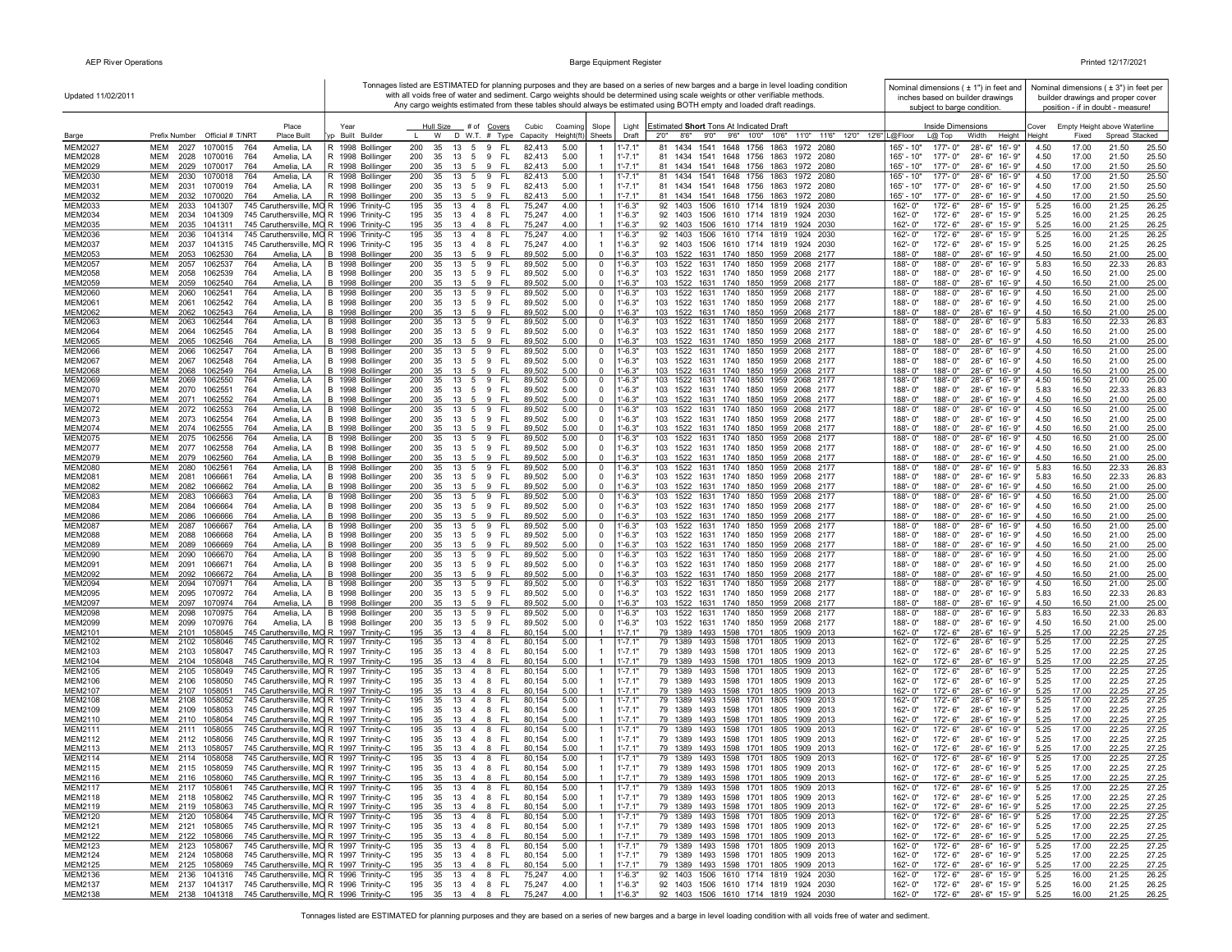| Updated 11/02/2011               |                                                                                                                                            |                                      |                                                                              |                                          |                                  | Tonnages listed are ESTIMATED for planning purposes and they are based on a series of new barges and a barge in level loading condition<br>with all voids free of water and sediment. Cargo weights should be determined using scale weights or other verifiable methods. | Nominal dimensions ( $\pm$ 1") in feet and<br>inches based on builder drawings      |                | Nominal dimensions ( $\pm$ 3") in feet per<br>builder drawings and proper cover |                                  |
|----------------------------------|--------------------------------------------------------------------------------------------------------------------------------------------|--------------------------------------|------------------------------------------------------------------------------|------------------------------------------|----------------------------------|---------------------------------------------------------------------------------------------------------------------------------------------------------------------------------------------------------------------------------------------------------------------------|-------------------------------------------------------------------------------------|----------------|---------------------------------------------------------------------------------|----------------------------------|
|                                  |                                                                                                                                            |                                      |                                                                              |                                          |                                  | Any cargo weights estimated from these tables should always be estimated using BOTH empty and loaded draft readings.                                                                                                                                                      | subject to barge condition.                                                         |                | position - if in doubt - measure!                                               |                                  |
|                                  | Place                                                                                                                                      | Year                                 | Hull Size<br># of <u>Covers</u>                                              | Cubic<br>Coamino                         | Slope                            | Estimated Short Tons At Indicated Draft<br>Light                                                                                                                                                                                                                          | Inside Dimensions                                                                   | Cover          | Empty Height above Waterline                                                    |                                  |
| Barge<br><b>MEM2027</b>          | Prefix Number Official # T/NRT<br><b>Place Built</b><br><b>MEM</b><br>764<br>Amelia, LA<br>2027<br>1070015                                 | yp Built Builder<br>R 1998 Bollinger | D W.T. # Type<br>W<br>200<br>35<br>13<br>5 9<br>FL.                          | Height(ft)<br>Capacity<br>5.00<br>82,413 | Sheets                           | 11'0" 11'6" 12'0" 12'6" L@Floor<br>9'0"<br>9'6" 10'0" 10'6"<br>Draft<br>2'0''<br>8'6"<br>$1' - 7.1"$<br>81 1434<br>1541 1648 1756 1863 1972 2080                                                                                                                          | Height<br>$L@$ Top<br>Width<br>165' - 10"<br>177'-0"<br>28'-6"<br>16'-9"            | Heiaht<br>4.50 | Fixed<br>17.00                                                                  | Spread Stacked<br>21.50<br>25.50 |
| <b>MEM2028</b>                   | мем<br>2028<br>1070016<br>764<br>Amelia, LA                                                                                                | R 1998 Bollinger                     | 200<br>35<br>13<br>5<br>9<br>-FL                                             | 82,413<br>5.00                           |                                  | $1' - 7.1"$<br>81 1434 1541 1648 1756 1863 1972 2080                                                                                                                                                                                                                      | 165' - 10"<br>177'-0"<br>28'-6" 16'-9"                                              | 4.50           | 17.00                                                                           | 21.50<br>25.50                   |
| MEM2029                          | MEM<br>2029<br>1070017<br>764<br>Amelia, LA                                                                                                | R 1998 Bollinger                     | 200<br>35<br>13<br>5<br>9<br><b>FL</b>                                       | 82,413<br>5.00                           |                                  | $1' - 7.1"$<br>81 1434 1541 1648 1756 1863 1972 2080                                                                                                                                                                                                                      | 165' - 10"<br>177'-0"<br>28'-6" 16'-9"                                              | 4.50           | 17.00                                                                           | 21.50<br>25.50                   |
| <b>MEM2030</b><br>MEM2031        | 2030 1070018<br>MEM<br>764<br>Amelia, LA<br>мем<br>2031 1070019<br>764<br>Amelia, LA                                                       | R 1998 Bollinger<br>R 1998 Bollinger | 200<br>13 5 9<br>- FL<br>35<br>13 5 9 FL<br>200<br>35                        | 82,413<br>5.00<br>82,413<br>5.00         |                                  | $1' - 7.1'$<br>81 1434 1541 1648 1756 1863 1972 2080<br>$1' - 7.1'$<br>81 1434 1541 1648 1756 1863 1972 2080                                                                                                                                                              | $165' - 10''$<br>177'-0"<br>28'-6" 16'-9"<br>165' - 10"<br>177'-0"<br>28'-6" 16'-9" | 4.50<br>4.50   | 17.00<br>17.00                                                                  | 21.50<br>25.50<br>21.50<br>25.50 |
| <b>MEM2032</b>                   | MEM<br>2032 1070020<br>764<br>Amelia, LA                                                                                                   | R 1998 Bollinger                     | 200<br>35<br>13 5 9<br>- FL                                                  | 82,413<br>5.00                           |                                  | $1' - 7.1"$<br>81 1434 1541 1648 1756 1863 1972 2080                                                                                                                                                                                                                      | $165' - 10''$<br>177'-0"<br>28'-6" 16'-9"                                           | 4.50           | 17.00                                                                           | 21.50<br>25.50                   |
| MEM2033                          | MEM<br>2033 1041307<br>745 Caruthersville, MO R 1996 Trinity-C                                                                             |                                      | 195<br>35<br>13<br>FL.<br>4 8                                                | 75,247<br>4.00<br>4.00                   |                                  | $1' - 6.3"$<br>92 1403 1506 1610 1714 1819 1924 2030                                                                                                                                                                                                                      | 162'-0"<br>172'-6"<br>28'-6" 15'-9"                                                 | 5.25           | 16.00                                                                           | 21.25<br>26.25                   |
| MEM2034<br>MEM2035               | 745 Caruthersville, MO R 1996 Trinity-C<br>мем<br>2034 1041309<br>745 Caruthersville, MO R 1996 Trinity-C<br>MEM<br>2035 1041311           |                                      | 195<br>35<br>13<br>4 8<br>FL<br>195<br>35<br>13 4<br>8<br>FL.                | 75,247<br>4.00<br>75,247                 |                                  | $1'-6.3"$<br>92 1403 1506 1610 1714 1819 1924 2030<br>$1' - 6.3"$<br>92 1403 1506 1610 1714 1819 1924 2030                                                                                                                                                                | 162'-0"<br>172'-6"<br>28'-6" 15'-9"<br>162'-0"<br>172'-6"<br>28'-6" 15'-9"          | 5.25<br>5.25   | 16.00<br>16.00                                                                  | 21.25<br>26.25<br>21.25<br>26.25 |
| <b>MEM2036</b>                   | <b>MEM</b><br>745 Caruthersville, MO R 1996 Trinity-C<br>2036<br>1041314                                                                   |                                      | 195<br>13 4<br>35<br>8<br>FL.                                                | 75,247<br>4.00                           |                                  | $1' - 6.3"$<br>1506 1610 1714 1819<br>92 1403<br>1924 2030                                                                                                                                                                                                                | 172'-6"<br>28'-6" 15'-9"<br>162'-0"                                                 | 5.25           | 16.00                                                                           | 21.25<br>26.25                   |
| <b>MEM2037</b><br><b>MEM2053</b> | 745 Caruthersville, MO R 1996 Trinity-C<br>MEM<br>2037<br>1041315<br><b>MEM</b><br>2053 1062530<br>764<br>Amelia, LA                       | B 1998 Bollinger                     | 35<br>195<br>13 4 8<br>-FL<br>200<br>35<br>13 5 9 FL                         | 4.00<br>75,247<br>89,502<br>5.00         | $\overline{0}$                   | $1' - 6.3"$<br>92 1403 1506 1610 1714 1819 1924 2030<br>$1' - 6.3"$<br>103 1522 1631 1740 1850 1959 2068 2177                                                                                                                                                             | 162'-0"<br>172'-6"<br>28'-6" 15'-9"<br>188'-0"<br>188'-0"<br>28'-6" 16'-9"          | 5.25<br>4.50   | 16.00<br>16.50                                                                  | 21.25<br>26.25<br>21.00<br>25.00 |
| <b>MEM2057</b>                   | MEM<br>2057<br>1062537<br>764<br>Amelia, LA                                                                                                | B 1998 Bollinger                     | 200<br>$13 \quad 5 \quad 9$<br>FL.<br>35                                     | 89,502<br>5.00                           | $\mathbf 0$                      | $1' - 6.3"$<br>103 1522 1631 1740 1850 1959 2068 2177                                                                                                                                                                                                                     | 188'-0"<br>28'-6" 16'-9"<br>188'-0"                                                 | 5.83           | 16.50                                                                           | 22.33<br>26.83                   |
| <b>MEM2058</b>                   | 764<br>Amelia, LA<br>мем<br>2058<br>1062539                                                                                                | B 1998 Bollinger                     | 200<br>35<br>- FL<br>13 5 9                                                  | 5.00<br>89,502                           | $\mathbf 0$                      | $1'-6.3"$<br>103 1522 1631 1740 1850 1959 2068 2177                                                                                                                                                                                                                       | 188'-0"<br>188'-0"<br>28'-6" 16'-9"                                                 | 4.50           | 16.50                                                                           | 21.00<br>25.00                   |
| MEM2059<br><b>MEM2060</b>        | MEM<br>2059<br>1062540<br>764<br>Amelia, LA<br>MEM<br>2060<br>1062541<br>764<br>Amelia, LA                                                 | B 1998 Bollinger<br>B 1998 Bollinger | 200<br>35 13 5 9<br>- FL<br>13<br>- FL<br>200<br>35<br>5<br>9                | 89,502<br>5.00<br>89,502<br>5.00         | $\mathbf 0$<br>$^{\circ}$        | $1' - 6.3"$<br>103 1522 1631 1740 1850 1959 2068 2177<br>$1' - 6.3"$<br>103 1522 1631 1740 1850 1959<br>2068 2177                                                                                                                                                         | 188'-0"<br>188'-0"<br>28'-6" 16'-9"<br>188'-0"<br>28'-6" 16'-9"<br>188'-0"          | 4.50<br>4.50   | 16.50<br>16.50                                                                  | 21.00<br>25.00<br>21.00<br>25.00 |
| <b>MEM2061</b>                   | MEM<br>2061<br>1062542<br>764<br>Amelia, LA                                                                                                | B 1998 Bollinger                     | 200<br>35<br>13   5   9   FL                                                 | 89,502<br>5.00                           | $^{\circ}$                       | $1' - 6.3"$<br>103 1522 1631 1740 1850 1959 2068 2177                                                                                                                                                                                                                     | 188'-0"<br>188'-0"<br>28'-6" 16'-9"                                                 | 4.50           | 16.50                                                                           | 21.00<br>25.00                   |
| <b>MEM2062</b><br><b>MEM2063</b> | <b>MEM</b><br>2062 1062543<br>764<br>Amelia, LA<br>MEM<br>764<br>Amelia, LA                                                                | B 1998 Bollinger                     | 200<br>35<br>13 5 9<br>- FL<br>200<br>35<br>- FL                             | 89,502<br>5.00<br>5.00                   | $\Omega$                         | $1' - 6.3"$<br>103 1522 1631 1740 1850 1959 2068 2177<br>$1' - 6.3"$<br>103 1522 1631 1740 1850 1959 2068 2177                                                                                                                                                            | 188'-0"<br>188'-0"<br>28'-6" 16'-9"<br>28'-6"<br>188'-0"<br>188'-0"<br>16'-9"       | 4.50           | 16.50<br>16.50                                                                  | 21.00<br>25.00<br>22.33<br>26.83 |
| <b>MEM2064</b>                   | 2063<br>1062544<br>1062545<br>Amelia, LA<br>мем<br>2064<br>764                                                                             | B 1998 Bollinger<br>B 1998 Bollinger | 13 5 9<br>200<br>35<br>13<br>5<br>9<br>- FL                                  | 89,502<br>89,502<br>5.00                 | $\mathbf 0$<br>$\mathbf 0$       | $1'-6.3"$<br>103 1522 1631 1740 1850 1959 2068 2177                                                                                                                                                                                                                       | 188'-0"<br>188'-0"<br>28'-6" 16'-9"                                                 | 5.83<br>4.50   | 16.50                                                                           | 21.00<br>25.00                   |
| <b>MEM2065</b>                   | MEM<br>2065<br>1062546<br>764<br>Amelia, LA                                                                                                | B 1998 Bollinger                     | 200<br>35<br>13<br>5<br>9<br>FL                                              | 89,502<br>5.00                           | $\overline{\mathbf{0}}$          | $1' - 6.3"$<br>103 1522 1631 1740<br>1850 1959 2068 2177                                                                                                                                                                                                                  | 188'-0"<br>188'-0"<br>28'-6"<br>16'-9"                                              | 4.50           | 16.50                                                                           | 21.00<br>25.00                   |
| <b>MEM2066</b><br><b>MEM2067</b> | MEM<br>2066<br>1062547<br>764<br>Amelia, LA<br>MEM<br>2067<br>1062548<br>764<br>Amelia, LA                                                 | B 1998 Bollinger<br>B 1998 Bollinger | 200<br>35<br>13<br>5<br>9<br><b>FL</b><br>200<br>35<br>13<br>5 9<br>- FL     | 89,502<br>5.00<br>89,502<br>5.00         | $\mathbf 0$<br>$\mathbf 0$       | $1' - 6.3"$<br>103 1522 1631 1740 1850 1959<br>2068 2177<br>$1' - 6.3"$<br>103 1522 1631 1740 1850 1959 2068 2177                                                                                                                                                         | 188'-0"<br>188'-0"<br>28'-6"<br>16'-9"<br>188'-0"<br>188'-0"<br>28'-6" 16'-9"       | 4.50<br>4.50   | 16.50<br>16.50                                                                  | 21.00<br>25.00<br>21.00<br>25.00 |
| <b>MEM2068</b>                   | <b>MEM</b><br>2068<br>1062549<br>764<br>Amelia, LA                                                                                         | B 1998 Bollinger                     | 200<br>35<br>13<br>- 5<br>-9<br>-FL                                          | 89,502<br>5.00                           | $\overline{0}$                   | $1' - 6.3"$<br>103 1522 1631 1740 1850 1959 2068 2177                                                                                                                                                                                                                     | 188'-0"<br>188'-0"<br>28'-6" 16'-9"                                                 | 4.50           | 16.50                                                                           | 21.00<br>25.00                   |
| <b>MEM2069</b>                   | MEM<br>2069<br>1062550<br>764<br>Amelia, LA                                                                                                | B 1998 Bollinger                     | 200<br>13 5 9<br>- FL<br>35                                                  | 89,502<br>5.00                           | $\mathbf 0$                      | $1' - 6.3"$<br>103 1522 1631 1740 1850 1959 2068 2177                                                                                                                                                                                                                     | 188'-0"<br>28'-6" 16'-9"<br>$188 - 0$                                               | 4.50           | 16.50                                                                           | 21.00<br>25.00                   |
| <b>MEM2070</b><br>MEM2071        | MEM<br>2070 1062551<br>764<br>Amelia, LA<br>MEM<br>2071 1062552<br>764<br>Amelia, LA                                                       | B 1998 Bollinger<br>B 1998 Bollinger | 200<br>35<br>13 5 9 FL<br>200<br>35<br>13 5<br>-9<br>-FL                     | 5.00<br>89,502<br>89,502<br>5.00         | $\mathbf 0$<br>$\Omega$          | $1'-6.3"$<br>103 1522 1631 1740 1850 1959 2068 2177<br>$1' - 6.3"$<br>103 1522 1631 1740 1850 1959 2068 2177                                                                                                                                                              | 188'-0"<br>188'-0"<br>28'-6" 16'-9"<br>188'-0"<br>188'-0"<br>28'-6" 16'-9"          | 5.83<br>4.50   | 16.50<br>16.50                                                                  | 22.33<br>26.83<br>21.00<br>25.00 |
| <b>MEM2072</b>                   | мем<br>2072 1062553<br>764<br>Amelia, LA                                                                                                   | B 1998 Bollinger                     | 200<br>35<br>13 5 9<br>- FL                                                  | 89,502<br>5.00                           | $\mathbf 0$                      | $1' - 6.3"$<br>103 1522 1631 1740 1850 1959 2068 2177                                                                                                                                                                                                                     | 188'-0"<br>188'-0"<br>28'-6" 16'-9"                                                 | 4.50           | 16.50                                                                           | 21.00<br>25.00                   |
| MEM2073<br><b>MEM2074</b>        | MEM<br>2073 1062554<br>764<br>Amelia, LA<br>Amelia, LA<br>мем<br>2074 1062555<br>764                                                       | B 1998 Bollinger<br>B 1998 Bollinger | - FL<br>200<br>35<br>13<br>59<br>35<br><b>FL</b><br>200<br>13<br>5<br>-9     | 89,502<br>5.00<br>89,502<br>5.00         | $\mathbf 0$<br>$\mathbf 0$       | $1' - 6.3"$<br>103 1522 1631 1740 1850 1959 2068 2177<br>$1' - 6.3"$<br>103 1522 1631 1740 1850 1959 2068 2177                                                                                                                                                            | 188'-0"<br>28'-6" 16'-9"<br>188'-0"<br>188'-0"<br>188'-0"<br>28'-6" 16'-9"          | 4.50<br>4.50   | 16.50<br>16.50                                                                  | 21.00<br>25.00<br>21.00<br>25.00 |
| <b>MEM2075</b>                   | MEM<br>2075<br>1062556<br>764<br>Amelia, LA                                                                                                | B 1998 Bollinger                     | 200<br>35<br>13<br><b>FL</b><br>5<br>9                                       | 89,502<br>5.00                           | $\mathbf 0$                      | $1' - 6.3"$<br>103 1522 1631 1740 1850 1959 2068 2177                                                                                                                                                                                                                     | 188'-0"<br>188'-0"<br>28'-6"<br>16'-9"                                              | 4.50           | 16.50                                                                           | 21.00<br>25.00                   |
| <b>MEM2077</b>                   | 764<br>Amelia, LA<br>MEM<br>2077<br>1062558                                                                                                | B 1998 Bollinger                     | 200<br><b>FL</b><br>35<br>13<br>5<br>9                                       | 89,502<br>5.00                           | $\mathbf 0$                      | $1'-6.3"$<br>103 1522 1631 1740 1850 1959 2068 2177                                                                                                                                                                                                                       | 188'-0"<br>188'-0"<br>28'-6" 16'-9"                                                 | 4.50           | 16.50                                                                           | 21.00<br>25.00                   |
| <b>MEM2079</b><br><b>MEM2080</b> | 764<br>MEM<br>2079<br>1062560<br>Amelia, LA<br>MEM<br>2080<br>1062561<br>764<br>Amelia, LA                                                 | B 1998 Bollinger<br>B 1998 Bollinger | 200<br>35<br>13<br>9<br><b>FL</b><br>5<br>200<br>35<br>13<br>5<br>9<br>FL.   | 5.00<br>89,502<br>89,502<br>5.00         | $\mathbf 0$<br>$\mathbf 0$       | $1'-6.3"$<br>103 1522 1631 1740 1850 1959 2068 2177<br>$1' - 6.3"$<br>103 1522 1631 1740 1850 1959 2068 2177                                                                                                                                                              | 188'-0"<br>28'-6" 16'-9"<br>188'-0"<br>28'-6" 16'-9"<br>188'-0"<br>188'-0"          | 4.50<br>5.83   | 16.50<br>16.50                                                                  | 21.00<br>25.00<br>22.33<br>26.83 |
| <b>MEM2081</b>                   | 764<br>Amelia, LA<br>мем<br>2081<br>1066661                                                                                                | B 1998 Bollinger                     | 200<br>35<br><b>FL</b><br>13 5<br>9                                          | 89,502<br>5.00                           | $\mathbf 0$                      | $1' - 6.3"$<br>103 1522 1631 1740 1850 1959 2068 2177                                                                                                                                                                                                                     | 188'-0"<br>188'-0"<br>28'-6" 16'-9"                                                 | 5.83           | 16.50                                                                           | 22.33<br>26.83                   |
| <b>MEM2082</b><br><b>MEM2083</b> | MEM<br>2082<br>1066662<br>764<br>Amelia, LA<br><b>MEM</b><br>2083<br>764<br>Amelia, LA<br>1066663                                          | B 1998 Bollinger<br>B 1998 Bollinger | 200<br>35<br>13 5 9<br>- FL<br>200<br>35<br>13<br>5<br>9<br>FL.              | 5.00<br>89,502<br>5.00<br>89,502         | $\mathbf 0$<br>$\mathbf 0$       | $1' - 6.3"$<br>103 1522 1631 1740 1850 1959 2068 2177<br>$1' - 6.3"$<br>103 1522 1631 1740 1850 1959<br>2068 2177                                                                                                                                                         | 188'-0"<br>188'-0"<br>28'-6" 16'-9"<br>188'-0"<br>188'-0"<br>28'-6" 16'-9"          | 4.50<br>4.50   | 16.50<br>16.50                                                                  | 21.00<br>25.00<br>21.00<br>25.00 |
| <b>MEM2084</b>                   | Amelia, LA<br>MEM<br>2084<br>1066664<br>764                                                                                                | B 1998 Bollinger                     | 200<br>-35<br>13<br>9<br>-FL<br>- 5                                          | 5.00<br>89,502                           | $\mathbf 0$                      | $1' - 6.3"$<br>103 1522 1631 1740 1850 1959 2068 2177                                                                                                                                                                                                                     | 188'-0"<br>188'-0"<br>28'-6" 16'-9"                                                 | 4.50           | 16.50                                                                           | 21.00<br>25.00                   |
| <b>MEM2086</b>                   | MEM<br>2086<br>764<br>Amelia, LA<br>1066666                                                                                                | B 1998 Bollinger                     | 200<br>35<br>13 5 9<br>- FL                                                  | 5.00<br>89,502                           | $\mathbf 0$                      | $1' - 6.3"$<br>103 1522 1631 1740 1850 1959 2068 2177                                                                                                                                                                                                                     | 188'-0"<br>188'-0"<br>28'-6" 16'-9"                                                 | 4.50           | 16.50                                                                           | 25.00<br>21.00                   |
| <b>MEM2087</b><br><b>MEM2088</b> | MEM<br>2087<br>1066667<br>764<br>Amelia, LA<br>Amelia, LA<br>MEM<br>2088<br>1066668<br>764                                                 | B 1998 Bollinger<br>B 1998 Bollinger | 200<br>35<br>13 5 9<br><b>FL</b><br>200<br>35<br>13<br>5 9<br>- FL           | 5.00<br>89,502<br>89,502<br>5.00         | $\mathbf 0$<br>$^{\circ}$        | 1'-6.3"<br>103 1522 1631 1740 1850 1959 2068 2177<br>$1' - 6.3"$<br>103 1522 1631 1740<br>1850 1959 2068 2177                                                                                                                                                             | 28'-6" 16'-9"<br>188'-0"<br>188'-0"<br>188'-0"<br>188'-0"<br>28'-6" 16'-9"          | 4.50<br>4.50   | 16.50<br>16.50                                                                  | 21.00<br>25.00<br>21.00<br>25.00 |
| <b>MEM2089</b>                   | MEM<br>2089 1066669<br>764<br>Amelia, LA                                                                                                   | B 1998 Bollinger                     | 35<br>200<br>13    5    9    FL                                              | 89,502<br>5.00                           | $\Omega$                         | $1' - 6.3"$<br>103 1522 1631 1740 1850 1959 2068 2177                                                                                                                                                                                                                     | 188'-0"<br>188'-0"<br>28'-6" 16'-9"                                                 | 4.50           | 16.50                                                                           | 21.00<br>25.00                   |
| <b>MEM2090</b><br><b>MEM2091</b> | <b>MEM</b><br>2090<br>1066670<br>764<br>Amelia, LA<br>MEM<br>2091<br>1066671<br>764<br>Amelia, LA                                          | B 1998 Bollinger<br>B 1998 Bollinger | 200<br>35<br>13<br>- FL<br>5 9<br>200<br>35<br>13<br>5 9<br>-FL              | 89,502<br>5.00<br>89,502<br>5.00         | 0<br>$\mathbf 0$                 | $1' - 6.3"$<br>103 1522 1631 1740<br>1850 1959 2068 2177<br>$1' - 6.3"$<br>103 1522 1631 1740 1850 1959 2068 2177                                                                                                                                                         | 188'-0"<br>188'-0"<br>28'-6"<br>16'-9"<br>28'-6" 16'-9"<br>188'-0"<br>188'-0"       | 4.50<br>4.50   | 16.50<br>16.50                                                                  | 21.00<br>25.00<br>21.00<br>25.00 |
| <b>MEM2092</b>                   | Amelia, LA<br>MEM<br>2092<br>1066672<br>764                                                                                                | B 1998 Bollinger                     | 200<br>35<br>13<br>5<br>9<br>FL.                                             | 89,502<br>5.00                           | $\mathbf 0$                      | $1'-6.3"$<br>103 1522 1631 1740 1850 1959 2068 2177                                                                                                                                                                                                                       | 188'-0"<br>188'-0"<br>28'-6" 16'-9"                                                 | 4.50           | 16.50                                                                           | 21.00<br>25.00                   |
| <b>MEM2094</b>                   | MEM<br>2094<br>1070971<br>764<br>Amelia, LA                                                                                                | B 1998 Bollinger                     | 200<br>35<br>13<br>5<br>9<br>FL                                              | 89,502<br>5.00                           | $\mathbf 0$                      | $1' - 6.3"$<br>103<br>1522 1631 1740 1850 1959<br>2068 2177                                                                                                                                                                                                               | 188'-0"<br>188'-0"<br>28'-6"<br>16'-9"                                              | 4.50           | 16.50                                                                           | 21.00<br>25.00                   |
| <b>MEM2095</b><br><b>MEM2097</b> | MEM<br>2095<br>1070972<br>764<br>Amelia, LA<br>MEM<br>764<br>2097<br>1070974<br>Amelia, LA                                                 | B 1998 Bollinger<br>B 1998 Bollinger | 200<br>35<br>13<br>5<br>9<br><b>FL</b><br>200<br>35<br>13<br>5<br>-9<br>- FL | 89,502<br>5.00<br>89,502<br>5.00         | $\mathbf 0$<br>$\mathbf{0}$      | $1'-6.3"$<br>103 1522 1631 1740 1850 1959<br>2068 2177<br>$1' - 6.3"$<br>103 1522 1631 1740 1850 1959 2068 2177                                                                                                                                                           | 188'-0"<br>188'-0"<br>28'-6" 16'-9"<br>188'-0"<br>28'-6" 16'-9"<br>$188 - 0$ "      | 5.83<br>4.50   | 16.50<br>16.50                                                                  | 22.33<br>26.83<br>21.00<br>25.00 |
| <b>MEM2098</b>                   | MEM<br>2098<br>1070975<br>764<br>Amelia, LA                                                                                                | B 1998 Bollinger                     | 200<br>35<br>13<br>9<br>FL.<br>-5                                            | 89,502<br>5.00                           | $\mathbf 0$                      | $1' - 6.3"$<br>103 1522 1631 1740 1850 1959<br>2068 2177                                                                                                                                                                                                                  | 188'-0"<br>188'-0"<br>$28 - 6"$<br>$16 - 9"$                                        | 5.83           | 16.50                                                                           | 22.33<br>26.83                   |
| <b>MEM2099</b><br>MEM2101        | MEM<br>2099<br>1070976<br>764<br>Amelia, LA<br>MEM<br>2101 1058045<br>745 Caruthersville, MO R 1997 Trinity-C                              | B 1998 Bollinger                     | 35<br>200<br>13 5 9<br>- FL<br>195<br>35<br>13 4 8<br>- FL                   | 5.00<br>89,502<br>5.00<br>80,154         | $\mathbf 0$<br>$\mathbf{1}$      | $1'-6.3"$<br>103 1522 1631 1740 1850 1959 2068 2177<br>$1' - 7.1'$<br>79 1389 1493 1598 1701 1805 1909 2013                                                                                                                                                               | 188'-0"<br>$188 - 0$ "<br>28'-6" 16'-9"<br>172'-6"<br>162'-0"<br>28'-6" 16'-9"      | 4.50<br>5.25   | 16.50<br>17.00                                                                  | 21.00<br>25.00<br>22.25<br>27.25 |
| MEM2102                          | MEM<br>2102 1058046<br>745 Caruthersville, MO R 1997 Trinity-C                                                                             |                                      | - FL<br>195<br>35 13 4 8                                                     | 80,154<br>5.00                           | $\mathbf{1}$                     | $1' - 7.1'$<br>79 1389 1493 1598 1701 1805<br>1909 2013                                                                                                                                                                                                                   | 162'-0"<br>172'-6"<br>28'-6" 16'-9"                                                 | 5.25           | 17.00                                                                           | 22.25<br>27.25                   |
| MEM2103                          | MEM<br>2103 1058047<br>745 Caruthersville, MO R 1997 Trinity-C                                                                             |                                      | 195<br>35 13 4 8<br>- FL                                                     | 80,154<br>5.00                           |                                  | $1' - 7.1'$<br>79 1389 1493 1598 1701 1805 1909 2013                                                                                                                                                                                                                      | 162'-0"<br>172'- 6"<br>28'-6" 16'-9"                                                | 5.25           | 17.00                                                                           | 22.25<br>27.25                   |
| MEM2104<br>MEM2105               | 745 Caruthersville, MO R 1997 Trinity-C<br>MEM<br>2104 1058048<br>745 Caruthersville, MO R 1997 Trinity-C<br>мем<br>2105 1058049           |                                      | 35 13 4 8<br>195<br>-FL<br>195<br>35<br>13 4 8<br>- FL                       | 5.00<br>80,154<br>80,154<br>5.00         |                                  | $1' - 7.1'$<br>79 1389 1493 1598 1701 1805 1909 2013<br>$1' - 7.1'$<br>79 1389 1493 1598 1701 1805 1909 2013                                                                                                                                                              | 162'-0"<br>172'-6"<br>28'-6" 16'-9"<br>162'-0"<br>172'-6"<br>28'-6" 16'-9"          | 5.25<br>5.25   | 17.00<br>17.00                                                                  | 22.25<br>27.25<br>22.25<br>27.25 |
| MEM2106                          | 745 Caruthersville, MO R 1997 Trinity-C<br>мем<br>2106 1058050                                                                             |                                      | 195<br>- FL<br>35<br>13 4 8                                                  | 5.00<br>80,154                           |                                  | $1' - 7.1'$<br>79 1389 1493 1598 1701 1805 1909 2013                                                                                                                                                                                                                      | 172'-6"<br>28'-6" 16'-9"<br>162'-0"                                                 | 5.25           | 17.00                                                                           | 22.25<br>27.25                   |
| MEM2107<br>MEM2108               | 745 Caruthersville, MO R 1997 Trinity-C<br>MEM<br>2107 1058051<br>745 Caruthersville, MO R 1997 Trinity-C<br>мем                           |                                      | 195<br>35<br>13<br>$\overline{4}$<br>8<br>FL.<br>195<br>13 4 8<br>- FL<br>35 | 5.00<br>80,154<br>5.00                   | $\mathbf{1}$                     | $1' - 7.1'$<br>79 1389 1493 1598 1701 1805 1909 2013<br>$1' - 7.1'$<br>79 1389                                                                                                                                                                                            | 162'-0"<br>172'-6"<br>28'-6" 16'-9"<br>162'-0"<br>172'-6"<br>28'-6" 16'-9"          | 5.25<br>5.25   | 17.00<br>17.00                                                                  | 22.25<br>27.25<br>22.25<br>27.25 |
| MEM2109                          | 2108<br>1058052<br>MEM<br>2109 1058053<br>745 Caruthersville, MO R 1997 Trinity-C                                                          |                                      | 195<br>35<br>13 4 8<br>FL.                                                   | 80,154<br>80,154<br>5.00                 |                                  | 1493 1598 1701 1805 1909 2013<br>$1' - 7.1''$<br>79 1389 1493 1598 1701 1805 1909 2013                                                                                                                                                                                    | 162'-0"<br>172'- 6"<br>28'-6" 16'-9"                                                | 5.25           | 17.00                                                                           | 22.25<br>27.25                   |
| MEM2110                          | <b>MEM</b><br>745 Caruthersville, MO R 1997 Trinity-C<br>2110 1058054                                                                      |                                      | 195<br>FL<br>35<br>13<br>$\overline{4}$<br>-8                                | 5.00<br>80,154                           |                                  | $1' - 7.1'$<br>79 1389 1493 1598 1701 1805 1909 2013                                                                                                                                                                                                                      | 162'-0"<br>172'-6"<br>28'-6" 16'-9"                                                 | 5.25           | 17.00                                                                           | 22.25<br>27.25                   |
| MEM2111<br>MEM2112               | 745 Caruthersville, MO R 1997 Trinity-C<br>MEM<br>2111<br>1058055<br><b>MEM</b><br>745 Caruthersville, MO R 1997 Trinity-C<br>2112 1058056 |                                      | 195<br>35<br>13 4 8<br>FL.<br>195<br>- 35<br>13 4 8<br>-FL                   | 80,154<br>5.00<br>5.00<br>80,154         |                                  | $1' - 7.1'$<br>79 1389<br>1493 1598 1701 1805<br>1909 2013<br>$1' - 7.1''$<br>79 1389 1493 1598 1701 1805 1909 2013                                                                                                                                                       | 162'-0"<br>172'-6"<br>28'-6" 16'-9"<br>172'-6"<br>162'-0"<br>28'-6" 16'-9"          | 5.25<br>5.25   | 17.00<br>17.00                                                                  | 22.25<br>27.25<br>22.25<br>27.25 |
| MEM2113                          | 745 Caruthersville, MO R 1997 Trinity-C<br>MEM<br>2113 1058057                                                                             |                                      | 195<br>35 13 4 8<br>- FL                                                     | 5.00<br>80,154                           |                                  | $1' - 7.1'$<br>79 1389 1493 1598 1701 1805 1909 2013                                                                                                                                                                                                                      | 172'-6"<br>162'-0"<br>28'-6" 16'-9"                                                 | 5.25           | 17.00                                                                           | 22.25<br>27.25                   |
| MEM2114                          | 745 Caruthersville, MO R 1997 Trinity-C<br>мем<br>2114 1058058                                                                             |                                      | 35 13 4 8<br>- FL<br>195<br>195 35 13 4 8 FL                                 | 80.154<br>5.00                           |                                  | $1' - 7.1'$<br>79 1389 1493 1598 1701 1805 1909 2013                                                                                                                                                                                                                      | 172'-6"<br>28'-6"<br>16'-9"<br>162'-0'                                              | 5.25           | 17.00                                                                           | 27.25<br>22.25                   |
| MEM2115<br>MFM2116               | MEM 2115 1058059<br>745 Caruthersville, MO R 1997 Trinity-C<br>745 Caruthersville, MO R 1997 Trinity-C<br>MEM 2116 1058060                 |                                      | 195 35 13 4 8 FL                                                             | 80,154<br>5.00<br>80.154<br>5.00         |                                  | $1' - 7.1''$<br>79 1389 1493 1598 1701 1805 1909 2013<br>$1' - 7.1"$<br>79 1389 1493 1598 1701 1805 1909 2013                                                                                                                                                             | 162'-0"<br>172'- 6"<br>28'-6" 16'-9"<br>162'-0"<br>172'-6" 28'-6" 16'-9"            | 5.25<br>5.25   | 17.00<br>17.00                                                                  | 22.25<br>27.25<br>22.25<br>27.25 |
| MEM2117                          | 745 Caruthersville, MO R 1997 Trinity-C<br>MEM 2117 1058061                                                                                |                                      | 195<br>35<br>13<br>- FL<br>4 8                                               | 80,154<br>5.00                           |                                  | $1' - 7.1'$<br>79 1389 1493 1598 1701 1805 1909 2013                                                                                                                                                                                                                      | 162'-0"<br>172'- 6"<br>28'-6" 16'-9"                                                | 5.25           | 17.00                                                                           | 22.25<br>27.25                   |
| MEM2118<br>MEM2119               | 745 Caruthersville, MO R 1997 Trinity-C<br>MEM 2118 1058062<br>745 Caruthersville, MO R 1997 Trinity-C<br>MEM<br>2119 1058063              |                                      | 35<br>13  4  8  FL<br>195<br>195<br>35<br>13 4 8<br>- FL                     | 5.00<br>80,154<br>80,154<br>5.00         |                                  | $1' - 7.1''$<br>79 1389 1493 1598 1701 1805 1909 2013<br>$1' - 7.1"$<br>79 1389 1493 1598 1701 1805 1909 2013                                                                                                                                                             | 172'-6" 28'-6" 16'-9"<br>162'-0"<br>162'-0"<br>172'- 6"<br>28'-6" 16'-9"            | 5.25<br>5.25   | 17.00<br>17.00                                                                  | 22.25<br>27.25<br>22.25<br>27.25 |
| <b>MEM2120</b>                   | 745 Caruthersville, MO R 1997 Trinity-C<br>MEM<br>2120 1058064                                                                             |                                      | 195<br>35<br>13 4 8 FL                                                       | 80,154<br>5.00                           | $\overline{1}$                   | $1' - 7.1'$<br>79 1389 1493 1598 1701 1805 1909 2013                                                                                                                                                                                                                      | 172'-6"<br>28'-6" 16'-9"<br>162'-0"                                                 | 5.25           | 17.00                                                                           | 22.25<br>27.25                   |
| <b>MEM2121</b>                   | 745 Caruthersville, MO R 1997 Trinity-C<br>2121 1058065<br>MEM                                                                             |                                      | 195<br>35<br>13   4   8   FL                                                 | 80,154<br>5.00                           |                                  | $1' - 7.1''$<br>79 1389 1493 1598 1701 1805 1909 2013                                                                                                                                                                                                                     | 28'-6" 16'-9"<br>162'-0"<br>172'- 6"                                                | 5.25           | 17.00                                                                           | 22.25<br>27.25                   |
| <b>MEM2122</b><br>MEM2123        | 745 Caruthersville, MO R 1997 Trinity-C<br>2122 1058066<br>MEM<br>2123 1058067<br>745 Caruthersville, MO R 1997 Trinity-C<br>MEM           |                                      | 195<br>35<br>13  4  8  FL<br>195<br>35<br>13  4  8  FL                       | 5.00<br>80,154<br>5.00<br>80,154         | $\overline{1}$                   | $1' - 7.1''$<br>79 1389 1493 1598 1701 1805 1909 2013<br>$1' - 7.1'$<br>79 1389 1493 1598 1701 1805 1909 2013                                                                                                                                                             | 162'-0"<br>172'- 6"<br>28'-6" 16'-9"<br>162'-0"<br>172'- 6"<br>28'-6" 16'-9"        | 5.25<br>5.25   | 17.00<br>17.00                                                                  | 22.25<br>27.25<br>22.25<br>27.25 |
| <b>MEM2124</b>                   | 745 Caruthersville, MO R 1997 Trinity-C<br>MEM<br>2124 1058068                                                                             |                                      | 195<br>35 13 4 8 FL                                                          | 80,154<br>5.00                           |                                  | $1' - 7.1''$<br>79 1389 1493 1598 1701 1805 1909 2013                                                                                                                                                                                                                     | 162'-0"<br>172'- 6"<br>28'-6" 16'-9"                                                | 5.25           | 17.00                                                                           | 22.25<br>27.25                   |
| MEM2125                          | 745 Caruthersville, MO R 1997 Trinity-C<br>MEM<br>2125 1058069                                                                             |                                      | 195<br>35 13 4 8 FL                                                          | 80,154<br>5.00                           |                                  | $1' - 7.1''$<br>79 1389 1493 1598 1701 1805 1909 2013                                                                                                                                                                                                                     | 162'-0"<br>172'- 6"<br>28'-6" 16'-9"                                                | 5.25           | 17.00                                                                           | 22.25<br>27.25                   |
| MEM2136<br>MEM2137               | 745 Caruthersville, MO R 1996 Trinity-C<br>MEM 2136 1041316<br>MEM 2137 1041317 745 Caruthersville, MO R 1996 Trinity-C                    |                                      | 195<br>35 13 4 8 FL<br>195 35 13 4 8 FL                                      | 4.00<br>75,247<br>75,247<br>4.00         | $\overline{1}$<br>$\overline{1}$ | $1' - 6.3"$<br>92 1403 1506 1610 1714 1819 1924 2030<br>$1' - 6.3"$<br>92 1403 1506 1610 1714 1819 1924 2030                                                                                                                                                              | 28'-6" 15'-9"<br>162'-0"<br>172'- 6"<br>172'-6" 28'-6" 15'-9"<br>162'-0"            | 5.25<br>5.25   | 16.00<br>16.00                                                                  | 26.25<br>21.25<br>26.25<br>21.25 |
| MEM2138                          | MEM 2138 1041318 745 Caruthersville, MO R 1996 Trinity-C                                                                                   |                                      | 195 35 13 4 8 FL                                                             | 75,247<br>4.00                           | $\overline{1}$                   | $1' - 6.3"$<br>92 1403 1506 1610 1714 1819 1924 2030                                                                                                                                                                                                                      | 172'-6" 28'-6" 15'-9"<br>162'-0"                                                    | 5.25           | 16.00                                                                           | 21.25<br>26.25                   |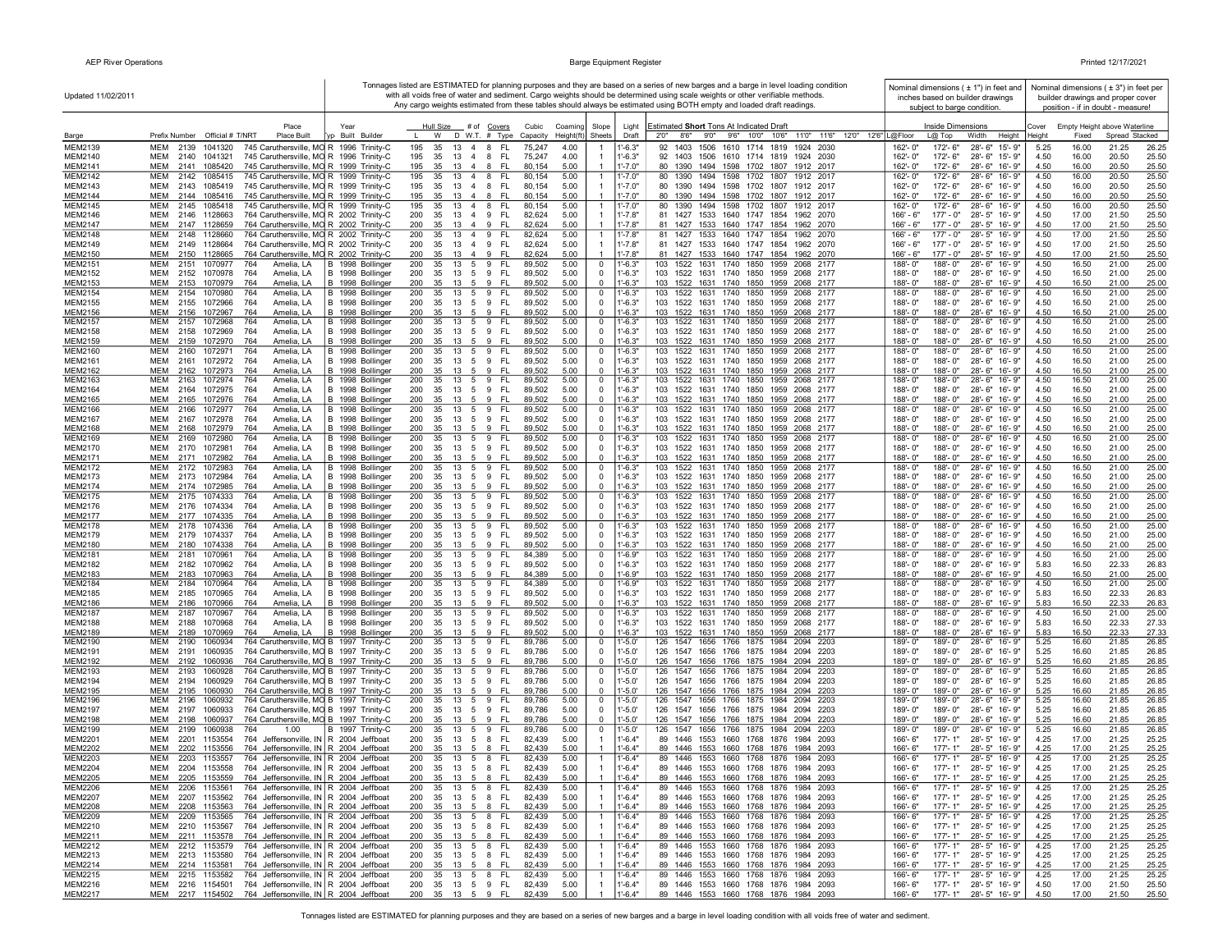| Updated 11/02/2011               |                                                                                                                                                   |                                      |                                                                            |                                  |                                                                     | Tonnages listed are ESTIMATED for planning purposes and they are based on a series of new barges and a barge in level loading condition<br>with all voids free of water and sediment. Cargo weights should be determined using scale weights or other verifiable methods. |                        |                             | Nominal dimensions ( ± 1") in feet and<br>inches based on builder drawings |              |                | Nominal dimensions $(± 3")$ in feet per<br>builder drawings and proper cover |                |
|----------------------------------|---------------------------------------------------------------------------------------------------------------------------------------------------|--------------------------------------|----------------------------------------------------------------------------|----------------------------------|---------------------------------------------------------------------|---------------------------------------------------------------------------------------------------------------------------------------------------------------------------------------------------------------------------------------------------------------------------|------------------------|-----------------------------|----------------------------------------------------------------------------|--------------|----------------|------------------------------------------------------------------------------|----------------|
|                                  |                                                                                                                                                   |                                      |                                                                            |                                  |                                                                     | Any cargo weights estimated from these tables should always be estimated using BOTH empty and loaded draft readings.                                                                                                                                                      |                        | subject to barge condition. |                                                                            |              |                | position - if in doubt - measure!                                            |                |
|                                  | Place                                                                                                                                             | Year                                 | # of Covers<br>Hull Size                                                   | Cubic<br>Coamino                 | Slope                                                               | Estimated Short Tons At Indicated Draft<br>Light                                                                                                                                                                                                                          |                        | Inside Dimensions           |                                                                            | Cover        |                | Empty Height above Waterline                                                 |                |
| Barge                            | Prefix Number Official # T/NRT<br><b>Place Built</b>                                                                                              | Built Builder                        | D W.T. # Type<br>w                                                         | Height(ft<br>Capacity            | Sheets                                                              | 11'0" 11'6" 12'0" 12'6"   L@Floor<br>9'0"<br>9'6" 10'0" 10'6"<br>Draft<br>2'0''<br>8'6"                                                                                                                                                                                   |                        | L@ Top                      | Height<br>Width                                                            | Heiaht       | Fixed          | Spread Stacked                                                               |                |
| MEM2139<br>MEM2140               | <b>MEM</b><br>2139<br>1041320<br>745 Caruthersville, MO R 1996 Trinity-C<br>745 Caruthersville, MO R 1996 Trinity-C<br>MEM<br>2140<br>1041321     |                                      | FL.<br>195<br>35<br>13<br>4 8<br>195<br>35<br>13<br>4 8<br>FL.             | 4.00<br>75,247<br>75,247<br>4.00 | $-6.3"$<br>-1<br>$1' - 6.3"$<br>-1                                  | 92 1403 1506 1610 1714 1819 1924 2030<br>92 1403 1506 1610 1714 1819 1924 2030                                                                                                                                                                                            | 162'-0"<br>162'-0"     | 172'-6"<br>172'- 6"         | 28'-6" 15'-9"<br>28'-6" 15'-9"                                             | 5.25<br>4.50 | 16.00<br>16.00 | 21.25<br>20.50                                                               | 26.25<br>25.50 |
| MEM2141                          | MEM<br>2141<br>1085420<br>745 Caruthersville, MO R 1999 Trinity-C                                                                                 |                                      | 195<br>35<br>13 4 8<br>-FL                                                 | 80,154<br>5.00                   | 1'-7.0"<br>-1                                                       | 80 1390 1494 1598 1702 1807 1912 2017                                                                                                                                                                                                                                     | 162'-0"                | 172'- 6"                    | 28'-6" 16'-9"                                                              | 4.50         | 16.00          | 20.50                                                                        | 25.50          |
| MEM2142                          | 2142<br>1085415<br>745 Caruthersville, MO R 1999 Trinity-C<br><b>MEM</b>                                                                          |                                      | 13  4  8  FL<br>195<br>35                                                  | 5.00<br>80,154                   | $1' - 7.0'$<br>$\overline{1}$                                       | 80 1390 1494 1598 1702 1807 1912 2017                                                                                                                                                                                                                                     | 162'-0"                | 172'-6"                     | 28'-6" 16'-9"                                                              | 4.50         | 16.00          | 20.50                                                                        | 25.50          |
| MEM2143<br>MEM2144               | 745 Caruthersville, MO R 1999 Trinity-C<br>MEM<br>2143 1085419<br>MEM 2144 1085416<br>745 Caruthersville, MO R 1999 Trinity-C                     |                                      | 13 4 8 FL<br>195<br>35<br>35<br>13  4  8  FL                               | 80,154<br>5.00<br>80,154<br>5.00 | $1' - 7.0"$<br>$\overline{1}$<br>$1' - 7.0"$<br>$\overline{1}$      | 80 1390 1494 1598 1702 1807 1912 2017<br>80 1390 1494 1598 1702 1807 1912 2017                                                                                                                                                                                            | 162'-0"<br>162'-0"     | 172'- 6"<br>172'-6"         | 28'-6" 16'-9"<br>28'-6" 16'-9"                                             | 4.50<br>4.50 | 16.00<br>16.00 | 20.50<br>20.50                                                               | 25.50<br>25.50 |
| MEM2145                          | 745 Caruthersville, MO R 1999 Trinity-C<br>MEM<br>2145 1085418                                                                                    |                                      | 195<br>195<br>13 4 8<br>FL.<br>35                                          | 80,154<br>5.00                   | $1' - 7.0'$                                                         | 80 1390 1494 1598 1702 1807 1912 2017                                                                                                                                                                                                                                     | 162'-0"                | 172'-6"                     | 28'-6" 16'-9"                                                              | 4.50         | 16.00          | 20.50                                                                        | 25.50          |
| MEM2146                          | 764 Caruthersville, MO R 2002 Trinity-C<br>MEM<br>2146 1128663                                                                                    |                                      | FL.<br>200<br>35<br>13 4 9                                                 | 82,624<br>5.00                   | $1' - 7.8"$<br>-1                                                   | 81 1427 1533 1640 1747 1854 1962 2070                                                                                                                                                                                                                                     | 166' - 6"              | $177 - 0"$                  | 28'-5" 16'-9"                                                              | 4.50         | 17.00          | 21.50                                                                        | 25.50          |
| MEM2147                          | 764 Caruthersville, MO R 2002 Trinity-C<br>MEM<br>2147 1128659                                                                                    |                                      | 200<br>35<br>13 4 9<br>- FL                                                | 82,624<br>5.00                   | $1' - 7.8"$<br>-1                                                   | 81 1427 1533 1640 1747 1854 1962 2070                                                                                                                                                                                                                                     | 166' - 6"              | $177 - 0"$                  | 28'-5" 16'-9"                                                              | 4.50         | 17.00          | 21.50                                                                        | 25.50          |
| MEM2148<br>MEM2149               | <b>MEM</b><br>2148<br>764 Caruthersville, MO R 2002 Trinity-C<br>1128660<br><b>MEM</b><br>764 Caruthersville, MO R 2002 Trinity-C<br>2149 1128664 |                                      | 200<br>13 4<br>9<br>FL.<br>35<br>200<br>35<br>13 4 9<br>FL.                | 5.00<br>82.624<br>82,624<br>5.00 | $1' - 7.8"$<br>$\overline{1}$<br>$1' - 7.8"$                        | 81 1427<br>1533 1640 1747 1854<br>1962 2070<br>81 1427 1533 1640 1747 1854 1962 2070                                                                                                                                                                                      | 166' - 6"<br>166' - 6" | $177 - 0"$<br>177' - 0"     | 28'-5" 16'-9"<br>28'-5" 16'-9"                                             | 4.50<br>4.50 | 17.00<br>17.00 | 21.50<br>21.50                                                               | 25.50<br>25.50 |
| MEM2150                          | <b>MEM</b><br>2150 1128665<br>764 Caruthersville, MO R 2002 Trinity-C                                                                             |                                      | 200<br>35<br>13 4 9<br>- FL                                                | 82,624<br>5.00                   | $1' - 7.8"$                                                         | 81 1427 1533 1640 1747 1854 1962 2070                                                                                                                                                                                                                                     | 166' - 6"              | $177' - 0"$                 | 28'-5" 16'-9"                                                              | 4.50         | 17.00          | 21.50                                                                        | 25.50          |
| <b>MEM2151</b>                   | 764<br><b>MEM</b><br>2151<br>1070977<br>Amelia, LA                                                                                                | B 1998 Bollinger                     | 200<br>13 5<br>9<br><b>FL</b><br>35                                        | 89,502<br>5.00                   | $\overline{0}$<br>$1' - 6.3"$                                       | 103 1522<br>1631 1740 1850 1959<br>2068 2177                                                                                                                                                                                                                              | 188'-0"                | 188'-0"                     | 28'-6" 16'-9"                                                              | 4.50         | 16.50          | 21.00                                                                        | 25.00          |
| MEM2152<br>MEM2153               | <b>MEM</b><br>Amelia, LA<br>2152<br>1070978<br>764<br>MEM<br>2153 1070979<br>764<br>Amelia, LA                                                    | B 1998 Bollinger<br>B 1998 Bollinger | 200<br>35<br>13 5 9<br>-FL<br>200<br>35<br>13    5    9    FL              | 89,502<br>5.00<br>89,502<br>5.00 | $\mathbf 0$<br>$1' - 6.3"$<br>$1' - 6.3"$<br>$\mathbf 0$            | 103 1522 1631 1740 1850 1959 2068 2177<br>103 1522 1631 1740 1850 1959 2068 2177                                                                                                                                                                                          | $188 - 0$ "<br>188'-0" | 188'-0"<br>188'-0"          | 28'-6" 16'-9"<br>28'-6" 16'-9"                                             | 4.50<br>4.50 | 16.50<br>16.50 | 21.00<br>21.00                                                               | 25.00<br>25.00 |
| MEM2154                          | <b>MEM</b><br>2154<br>1070980<br>764<br>Amelia, LA                                                                                                | B 1998 Bollinger                     | 13 5<br>- FL<br>200<br>35<br>9                                             | 5.00<br>89,502                   | $1' - 6.3"$<br>$\mathbf 0$                                          | 103 1522 1631 1740 1850 1959<br>2068 2177                                                                                                                                                                                                                                 | 188'-0"                | 188'-0"                     | 28'-6" 16'-9"                                                              | 4.50         | 16.50          | 21.00                                                                        | 25.00          |
| MEM2155                          | MEM<br>2155<br>1072966<br>764<br>Amelia, LA                                                                                                       | B 1998 Bollinger                     | 200<br>35<br>13    5    9    FL                                            | 89,502<br>5.00                   | $\mathbf 0$<br>1'-6.3"                                              | 103 1522 1631 1740 1850 1959 2068 2177                                                                                                                                                                                                                                    | 188'-0"                | 188'-0"                     | 28'-6" 16'-9"                                                              | 4.50         | 16.50          | 21.00                                                                        | 25.00          |
| MEM2156<br>MEM2157               | <b>MEM</b><br>2156<br>1072967<br>764<br>Amelia, LA<br><b>MEM</b><br>2157<br>1072968<br>764<br>Amelia, LA                                          | B 1998 Bollinger<br>B 1998 Bollinger | 200<br>9<br>- FL<br>35<br>13 5<br>$\overline{13}$ 5<br>9 FL<br>200<br>35   | 89,502<br>5.00<br>5.00<br>89,502 | $\overline{0}$<br>$1' - 6.3"$<br>$1' - 6.3"$<br>0                   | 103 1522 1631 1740 1850 1959 2068 2177<br>1522 1631 1740 1850 1959 2068 2177<br>103                                                                                                                                                                                       | 188'-0"<br>188'-0"     | 188'-0"<br>188'-0"          | 28'-6" 16'-9"<br>28'-6"<br>16'-9"                                          | 4.50<br>4.50 | 16.50<br>16.50 | 21.00<br>21.00                                                               | 25.00<br>25.00 |
| MEM2158                          | 764<br>Amelia, LA<br>MEM<br>2158<br>1072969                                                                                                       | B 1998 Bollinger                     | 200<br>-FL<br>35<br>13<br>5<br>9                                           | 89,502<br>5.00                   | $1' - 6.3"$<br>$\overline{0}$                                       | 103 1522 1631 1740 1850 1959 2068 2177                                                                                                                                                                                                                                    | 188'-0"                | 188'-0"                     | 28'-6" 16'-9"                                                              | 4.50         | 16.50          | 21.00                                                                        | 25.00          |
| MEM2159                          | MEM<br>2159<br>1072970<br>764<br>Amelia, LA                                                                                                       | B 1998 Bollinger                     | 200<br>35<br>13<br>5<br>9<br>-FL                                           | 89,502<br>5.00                   | $1' - 6.3"$<br>$\mathbf 0$                                          | 103 1522 1631 1740 1850 1959 2068 2177                                                                                                                                                                                                                                    | 188'-0"                | 188'-0"                     | 28'-6" 16'-9"                                                              | 4.50         | 16.50          | 21.00                                                                        | 25.00          |
| MEM2160<br>MEM2161               | MEM<br>2160<br>764<br>1072971<br>Amelia. LA<br><b>MEM</b>                                                                                         | B 1998 Bollinger                     | 200<br>35<br>13 5<br>9<br><b>FL</b><br>13 5 9<br>- FL                      | 89,502<br>5.00<br>89,502         | $\overline{0}$<br>1'-6.3"<br>$\overline{\mathbf{0}}$<br>$1' - 6.3"$ | 103<br>1522 1631 1740 1850 1959<br>2068 2177                                                                                                                                                                                                                              | 188'-0"                | 188'-0"<br>188'-0"          | 28'-6"<br>16'-9"                                                           | 4.50<br>4.50 | 16.50<br>16.50 | 21.00                                                                        | 25.00          |
| MEM2162                          | 2161<br>1072972<br>764<br>Amelia, LA<br><b>MEM</b><br>2162<br>1072973<br>764<br>Amelia, LA                                                        | B 1998 Bollinger<br>B 1998 Bollinger | 200<br>35<br>200<br>35<br>9<br>-FL<br>$13 \quad 5$                         | 5.00<br>89,502<br>5.00           | $\Omega$<br>$1' - 6.3"$                                             | 103 1522 1631 1740 1850 1959<br>2068 2177<br>103 1522 1631 1740 1850 1959 2068 2177                                                                                                                                                                                       | 188'-0"<br>188'-0"     | 188'-0"                     | 28'-6" 16'-9"<br>28'-6" 16'-9"                                             | 4.50         | 16.50          | 21.00<br>21.00                                                               | 25.00<br>25.00 |
| MEM2163                          | 2163<br>764<br><b>MEM</b><br>1072974<br>Amelia, LA                                                                                                | B 1998 Bollinger                     | 13 5 9<br>-FL<br>200<br>35                                                 | 89,502<br>5.00                   | $\mathbf 0$<br>$1' - 6.3"$                                          | 103 1522 1631 1740 1850 1959<br>2068 2177                                                                                                                                                                                                                                 | $188 - 0'$             | 188'-0"                     | 28'-6" 16'-9"                                                              | 4.50         | 16.50          | 21.00                                                                        | 25.00          |
| MEM2164                          | MEM<br>2164 1072975<br>764<br>Amelia, LA                                                                                                          | B 1998 Bollinger<br>B 1998 Bollinger | 13 5 9 FL<br>200<br>35<br>-FL                                              | 89,502<br>5.00                   | $\overline{0}$<br>$1'-6.3"$<br>$\Omega$                             | 103 1522 1631 1740 1850 1959 2068 2177                                                                                                                                                                                                                                    | 188'-0"                | 188'-0"                     | 28'-6" 16'-9"                                                              | 4.50         | 16.50          | 21.00                                                                        | 25.00          |
| MEM2165<br>MEM2166               | MEM<br>2165<br>1072976<br>764<br>Amelia, LA<br>MEM<br>2166 1072977<br>764<br>Amelia, LA                                                           | B 1998 Bollinger                     | 200<br>35<br>13 5<br>9<br>200<br>35<br>13 5 9 FL                           | 89,502<br>5.00<br>89,502<br>5.00 | $1' - 6.3"$<br>$\mathbf 0$<br>1'-6.3"                               | 103 1522 1631 1740 1850 1959 2068 2177<br>103 1522 1631 1740 1850 1959 2068 2177                                                                                                                                                                                          | 188'-0"<br>188'-0"     | 188'-0"<br>188'-0"          | 28'-6" 16'-9"<br>28'-6" 16'-9"                                             | 4.50<br>4.50 | 16.50<br>16.50 | 21.00<br>21.00                                                               | 25.00<br>25.00 |
| MEM2167                          | 764<br>MEM<br>2167 1072978<br>Amelia, LA                                                                                                          | B 1998 Bollinger                     | 35<br>13 5 9<br>- FL<br>200                                                | 89,502<br>5.00                   | $\overline{0}$<br>$1' - 6.3"$                                       | 103 1522 1631 1740 1850 1959 2068 2177                                                                                                                                                                                                                                    | 188'-0"                | 188'-0"                     | 28'-6" 16'-9"                                                              | 4.50         | 16.50          | 21.00                                                                        | 25.00          |
| MEM2168                          | MEM<br>2168<br>1072979<br>764<br>Amelia, LA                                                                                                       | B 1998 Bollinger                     | 35<br>-FL<br>200<br>13 5<br>- 9                                            | 89,502<br>5.00                   | $\overline{0}$<br>$1' - 6.3"$<br>$\overline{0}$                     | 103 1522 1631 1740 1850 1959 2068 2177                                                                                                                                                                                                                                    | 188'-0"                | 188'-0"                     | 28'-6" 16'-9"                                                              | 4.50         | 16.50          | 21.00                                                                        | 25.00          |
| MEM2169<br>MEM2170               | MEM<br>2169 1072980<br>764<br>Amelia, LA<br>764<br>MEM<br>2170<br>1072981<br>Amelia, LA                                                           | B 1998 Bollinger<br>B 1998 Bollinger | 200<br>13 5 9 FL<br>35<br>FL.<br>200<br>35<br>13 5<br>9                    | 89,502<br>5.00<br>89,502<br>5.00 | $1' - 6.3"$<br>$\overline{0}$<br>$1' - 6.3"$                        | 103 1522 1631 1740 1850 1959 2068 2177<br>103 1522 1631 1740 1850 1959 2068 2177                                                                                                                                                                                          | 188'-0"<br>188'-0"     | 188'-0"<br>188'-0"          | 28'-6" 16'-9"<br>28'-6" 16'-9"                                             | 4.50<br>4.50 | 16.50<br>16.50 | 21.00<br>21.00                                                               | 25.00<br>25.00 |
| MEM2171                          | 764<br>MEM<br>2171 1072982<br>Amelia, LA                                                                                                          | B 1998 Bollinger                     | 200<br>35<br>13<br>5<br>9<br>-FL                                           | 89,502<br>5.00                   | $\overline{0}$<br>$1' - 6.3"$                                       | 103 1522 1631 1740 1850 1959 2068 2177                                                                                                                                                                                                                                    | 188'-0"                | 188'-0"                     | 28'-6" 16'-9"                                                              | 4.50         | 16.50          | 21.00                                                                        | 25.00          |
| MEM2172                          | MEM<br>2172<br>1072983<br>764<br>Amelia, LA                                                                                                       | B 1998 Bollinger                     | 200<br>35<br>13<br>5<br>9<br><b>FL</b>                                     | 89,502<br>5.00                   | $\mathbf 0$<br>1'-6.3"                                              | 103 1522<br>1631 1740 1850 1959<br>2068 2177                                                                                                                                                                                                                              | 188'-0"                | 188'-0"                     | 28'-6" 16'-9"                                                              | 4.50         | 16.50          | 21.00                                                                        | 25.00          |
| MEM2173<br>MEM2174               | <b>MEM</b><br>764<br>2173<br>1072984<br>Amelia, LA<br><b>MEM</b><br>2174 1072985<br>764<br>Amelia, LA                                             | B 1998 Bollinger<br>B 1998 Bollinger | 200<br>35<br>13 5 9<br>FL.<br>9<br>200<br>35<br>13 5<br>- FL               | 89,502<br>5.00<br>5.00<br>89,502 | $\overline{0}$<br>$1' - 6.3"$<br>$\Omega$<br>$1' - 6.3"$            | 103 1522 1631 1740 1850 1959 2068 2177<br>103 1522 1631 1740 1850 1959 2068 2177                                                                                                                                                                                          | 188'-0"<br>188'-0"     | 188'-0"<br>188'-0"          | 28'-6" 16'-9"<br>28'-6" 16'-9"                                             | 4.50<br>4.50 | 16.50<br>16.50 | 21.00<br>21.00                                                               | 25.00<br>25.00 |
| MEM2175                          | <b>MEM</b><br>2175 1074333<br>764<br>Amelia, LA                                                                                                   | B 1998 Bollinger                     | 200<br>35<br>13 5<br>9<br><b>FL</b>                                        | 89,502<br>5.00                   | $\mathbf 0$<br>$1' - 6.3"$                                          | 103<br>1522 1631 1740 1850 1959<br>2068 2177                                                                                                                                                                                                                              | 188'-0"                | 188'-0"                     | 28'-6" 16'-9"                                                              | 4.50         | 16.50          | 21.00                                                                        | 25.00          |
| MEM2176                          | <b>MEM</b><br>2176<br>1074334<br>764<br>Amelia, LA<br><b>MEM</b>                                                                                  | B 1998 Bollinger                     | 200<br><b>FL</b><br>-35<br>13 5<br>9<br>200<br>13 5 9 FL                   | 5.00<br>89,502<br>5.00           | $\mathbf 0$<br>$1' - 6.3"$<br>$^{\circ}$<br>$1' - 6.3"$             | 103 1522 1631 1740 1850 1959 2068 2177                                                                                                                                                                                                                                    | $188 - 0$ "            | 188'-0"                     | 28'-6" 16'-9"                                                              | 4.50         | 16.50<br>16.50 | 21.00                                                                        | 25.00          |
| MEM2177<br>MEM2178               | 2177 1074335<br>764<br>Amelia, LA<br>MEM<br>2178<br>1074336<br>764<br>Amelia, LA                                                                  | B 1998 Bollinger<br>B 1998 Bollinger | 35<br>200<br>35<br>13 5 9 FL                                               | 89,502<br>5.00<br>89,502         | $\mathbf 0$<br>1'-6.3"                                              | 103 1522 1631 1740 1850 1959 2068 2177<br>103 1522 1631 1740 1850 1959 2068 2177                                                                                                                                                                                          | 188'-0"<br>188'-0"     | 188'-0"<br>188'-0"          | 28'-6" 16'-9"<br>28'-6" 16'-9"                                             | 4.50<br>4.50 | 16.50          | 21.00<br>21.00                                                               | 25.00<br>25.00 |
| MEM2179                          | <b>MEM</b><br>2179<br>1074337<br>764<br>Amelia, LA                                                                                                | B 1998 Bollinger                     | 200<br>35<br>13 5 9<br>- FL                                                | 89,502<br>5.00                   | $1' - 6.3"$<br>$\mathbf 0$                                          | 103 1522 1631 1740 1850 1959<br>2068 2177                                                                                                                                                                                                                                 | 188'-0"                | 188'-0"                     | 28'-6" 16'-9"                                                              | 4.50         | 16.50          | 21.00                                                                        | 25.00          |
| <b>MEM2180</b>                   | <b>MEM</b><br>2180<br>1074338<br>764<br>Amelia, LA<br><b>MEM</b><br>764                                                                           | B 1998 Bollinger                     | 9<br>- FL<br>200<br>35<br>13 5<br><b>FL</b>                                | 89,502<br>5.00                   | $\overline{0}$<br>$1' - 6.3"$<br>$\overline{0}$                     | 103 1522 1631 1740 1850 1959 2068 2177<br>103<br>1522                                                                                                                                                                                                                     | 188'-0"<br>188'-0"     | 188'-0"                     | 28'-6" 16'-9"                                                              | 4.50         | 16.50          | 21.00                                                                        | 25.00          |
| <b>MEM2181</b><br>MEM2182        | 2181<br>1070961<br>Amelia, LA<br>2182<br><b>MEM</b><br>1070962<br>764<br>Amelia, LA                                                               | B 1998 Bollinger<br>B 1998 Bollinger | 200<br>13 5<br>9<br>35<br>200<br>35<br>13 5 9 FL                           | 84,389<br>5.00<br>89,502<br>5.00 | "-6.9"<br>$1' - 6.3"$<br>$\overline{0}$                             | 1631 1740 1850 1959<br>2068 2177<br>103 1522 1631 1740 1850 1959 2068 2177                                                                                                                                                                                                | $188 - 0$ "            | 188'-0"<br>188'-0"          | $28 - 6"$<br>16'-9"<br>28'-6" 16'-9"                                       | 4.50<br>5.83 | 16.50<br>16.50 | 21.00<br>22.33                                                               | 25.00<br>26.83 |
| MEM2183                          | MEM<br>2183<br>1070963<br>764<br>Amelia, LA                                                                                                       | B 1998 Bollinger                     | - FL<br>200<br>35<br>13 5<br>9                                             | 84,389<br>5.00                   | $1' - 6.9"$<br>$\mathbf 0$                                          | 103 1522 1631 1740 1850 1959 2068 2177                                                                                                                                                                                                                                    | 188'-0"                | 188'-0"                     | 28'-6" 16'-9"                                                              | 4.50         | 16.50          | 21.00                                                                        | 25.00          |
| MEM2184<br>MEM2185               | 764<br>MEM<br>2184<br>1070964<br>Amelia, LA<br>MEM<br>2185<br>1070965<br>764<br>Amelia, LA                                                        | B 1998 Bollinger<br>B 1998 Bollinger | 200<br>35<br>13<br>5<br>9<br><b>FL</b><br>200<br>35<br>13 5 9<br><b>FL</b> | 5.00<br>84,389<br>89,502<br>5.00 | 0<br>1'-6.9"<br>$1' - 6.3"$<br>$\mathbf 0$                          | 103<br>1522<br>1631<br>1740 1850 1959<br>2068 2177<br>103<br>1522 1631 1740 1850 1959<br>2068 2177                                                                                                                                                                        | 188'-0"<br>188'-0"     | 188'-0"<br>188'-0"          | 28'-6" 16'-9"<br>28'-6" 16'-9"                                             | 4.50<br>5.83 | 16.50<br>16.50 | 21.00<br>22.33                                                               | 25.00<br>26.83 |
| MEM2186                          | <b>MEM</b><br>764<br>2186<br>1070966<br>Amelia, LA                                                                                                | B 1998 Bollinger                     | 35<br>9<br>- FL<br>200<br>13 5                                             | 89,502<br>5.00                   | $\Omega$<br>$1' - 6.3"$                                             | 103 1522 1631 1740 1850 1959<br>2068 2177                                                                                                                                                                                                                                 | $188 - 0$ "            | 188'-0"                     | 28'-6" 16'-9"                                                              | 5.83         | 16.50          | 22.33                                                                        | 26.83          |
| MEM2187                          | <b>MEM</b><br>2187<br>1070967<br>764<br>Amelia, LA                                                                                                | B 1998 Bollinger                     | 200<br>35<br>13<br>5<br>9<br><b>FL</b>                                     | 89,502<br>5.00                   | $\overline{0}$<br>$1' - 6.3"$                                       | 103<br>1522 1631<br>1740 1850 1959<br>2068 2177                                                                                                                                                                                                                           | 188'-0"                | 188'-0"                     | $28 - 6"$<br>$16 - 9"$                                                     | 4.50         | 16.50          | 21.00                                                                        | 25.00          |
| <b>MEM2188</b>                   | <b>MEM</b><br>2188<br>1070968<br>764<br>Amelia, LA                                                                                                | B 1998 Bollinger                     | 35<br>13 5 9 FL<br>200                                                     | 89,502<br>5.00                   | $\overline{0}$<br>$1' - 6.3"$<br>$1' - 6.3"$                        | 103 1522 1631 1740 1850 1959<br>2068 2177<br>103 1522 1631 1740 1850 1959 2068 2177                                                                                                                                                                                       | 188'-0"                | 188'-0"                     | 28'-6" 16'-9"                                                              | 5.83         | 16.50          | 22.33                                                                        | 27.33          |
| MEM2189<br>MEM2190               | MEM<br>764<br>Amelia, LA<br>2189 1070969<br>764 Caruthersville, MO B 1997 Trinity-C<br>MEM<br>2190<br>1060934                                     | B 1998 Bollinger                     | 200<br>35<br>13 5 9 FL<br>13 5 9 FL<br>200<br>35                           | 5.00<br>89,502<br>89,786<br>5.00 | $\mathbf 0$<br>$\overline{0}$<br>1'-5.0'                            | 126 1547 1656 1766 1875 1984<br>2094 2203                                                                                                                                                                                                                                 | 188'-0"<br>189'-0"     | 188'-0"<br>189'-0"          | 28'-6" 16'-9"<br>28'-6" 16'-9"                                             | 5.83<br>5.25 | 16.50<br>16.60 | 22.33<br>21.85                                                               | 27.33<br>26.85 |
| MEM2191                          | MEM<br>2191<br>1060935<br>764 Caruthersville, MO B 1997 Trinity-C                                                                                 |                                      | 200<br>35 13 5 9 FL                                                        | 89,786<br>5.00                   | $\overline{\mathbf{0}}$<br>1'-5.0'                                  | 126 1547 1656 1766 1875 1984 2094 2203                                                                                                                                                                                                                                    | 189'-0"                | 189'-0"                     | 28'-6" 16'-9"                                                              | 5.25         | 16.60          | 21.85                                                                        | 26.85          |
| MEM2192                          | MEM<br>764 Caruthersville, MO B 1997 Trinity-C<br>2192 1060936                                                                                    |                                      | 35<br>- FL<br>200<br>13 5 9                                                | 89,786<br>5.00                   | $\Omega$<br>$1' - 5.0'$                                             | 126 1547 1656 1766 1875 1984 2094 2203                                                                                                                                                                                                                                    | 189'-0"                | $189 - 0$ "                 | 28'-6" 16'-9"                                                              | 5.25         | 16.60          | 21.85                                                                        | 26.85          |
| MEM2193<br>MEM2194               | 764 Caruthersville, MO B 1997 Trinity-C<br>MEM<br>2193<br>1060928<br>MEM 2194 1060929<br>764 Caruthersville, MO B 1997 Trinity-C                  |                                      | 13 5 9 FL<br>200<br>35<br>13 5 9 FL<br>200<br>35                           | 89,786<br>5.00<br>89,786<br>5.00 | $\mathbf 0$<br>1'-5.0'<br>$\overline{0}$<br>$1' - 5.0'$             | 126 1547 1656 1766 1875 1984 2094 2203<br>126 1547 1656 1766 1875 1984 2094 2203                                                                                                                                                                                          | 189'-0"<br>$189 - 0$ " | 189'-0"<br>189'-0"          | 28'-6" 16'-9"<br>28'-6" 16'-9"                                             | 5.25<br>5.25 | 16.60<br>16.60 | 21.85<br>21.85                                                               | 26.85<br>26.85 |
| MEM2195                          | 764 Caruthersville, MO B 1997 Trinity-C<br>MEM<br>2195<br>1060930                                                                                 |                                      | -FL<br>200<br>35<br>13 5<br>-9                                             | 89,786<br>5.00                   | $1' - 5.0'$<br>$\overline{0}$                                       | 126 1547 1656 1766 1875 1984 2094 2203                                                                                                                                                                                                                                    | 189'-0"                | 189'-0"                     | 28'-6" 16'-9"                                                              | 5.25         | 16.60          | 21.85                                                                        | 26.85          |
| MEM2196                          | 764 Caruthersville, MO B 1997 Trinity-C<br>MEM<br>2196<br>1060932                                                                                 |                                      | FL<br>200<br>13 5<br>9<br>35                                               | 5.00<br>89,786                   | $1'-5.0'$<br>$\overline{\mathbf{0}}$                                | 126 1547<br>1656 1766 1875 1984<br>2094 2203                                                                                                                                                                                                                              | 189'-0"                | 189'-0"                     | 28'-6" 16'-9"                                                              | 5.25         | 16.60          | 21.85                                                                        | 26.85          |
| MEM2197<br>MEM2198               | 764 Caruthersville, MO B 1997 Trinity-C<br>MEM<br>2197<br>1060933<br><b>MEM</b><br>764 Caruthersville, MO B 1997 Trinity-C<br>2198<br>1060937     |                                      | FL.<br>200<br>35<br>13 5 9<br>200<br>35<br>9<br>-FL<br>13 5                | 89,786<br>5.00<br>5.00<br>89,786 | $1' - 5.0'$<br>$\mathbf 0$<br>$\Omega$<br>$1' - 5.0'$               | 126 1547 1656 1766 1875 1984 2094 2203<br>126 1547 1656 1766 1875 1984 2094 2203                                                                                                                                                                                          | 189'-0"<br>$189 - 0'$  | 189'-0"<br>189'-0"          | 28'-6" 16'-9"<br>28'-6" 16'-9"                                             | 5.25<br>5.25 | 16.60<br>16.60 | 21.85<br>21.85                                                               | 26.85<br>26.85 |
| MEM2199                          | <b>MEM</b><br>2199<br>1060938<br>764<br>1.00                                                                                                      | B 1997 Trinity-C                     | 200<br>35<br>13 5<br>9<br>FL.                                              | 89,786<br>5.00                   | $\mathbf 0$<br>1'-5.0'                                              | 126 1547<br>1656 1766 1875 1984<br>2094 2203                                                                                                                                                                                                                              | 189'-0"                | 189'-0"                     | 28'-6" 16'-9"                                                              | 5.25         | 16.60          | 21.85                                                                        | 26.85          |
| <b>MEM2201</b>                   | <b>MEM</b><br>764 Jeffersonville, IN R 2004 Jeffboat<br>2201 1153554                                                                              |                                      | 200<br>35<br>13 5 8 FL                                                     | 82,439<br>5.00                   | $1' - 6.4"$<br>$\overline{1}$                                       | 89 1446 1553 1660 1768 1876 1984 2093                                                                                                                                                                                                                                     | $166 - 6"$             | $177 - 1"$                  | 28'-5" 16'-9"                                                              | 4.25         | 17.00          | 21.25                                                                        | 25.25          |
| <b>MEM2202</b><br>MEM2203        | <b>MEM</b><br>2202 1153556<br>764 Jeffersonville, IN R 2004 Jeffboat<br>MEM<br>2203<br>1153557<br>764 Jeffersonville, IN   R 2004 Jeffboat        |                                      | 200<br>- FL<br>35 13 5 8<br>13 5 8 FL<br>200<br>35                         | 5.00<br>82,439<br>82,439<br>5.00 | $1' - 6.4"$<br>1'-6.4"<br>-1                                        | 89 1446 1553 1660 1768 1876 1984 2093<br>89 1446 1553 1660 1768 1876 1984 2093                                                                                                                                                                                            | $166 - 6$<br>$166 - 6$ | $177 - 1"$<br>177'-1"       | 28'-5" 16'-9"<br>28'-5" 16'-9"                                             | 4.25<br>4.25 | 17.00<br>17.00 | 21.25<br>21.25                                                               | 25.25<br>25.25 |
| <b>MEM2204</b>                   | MEM<br>2204 1153558<br>764 Jeffersonville, IN R 2004 Jeffboat                                                                                     |                                      | 200 35 13 5 8 FL                                                           | 82,439<br>5.00                   | 1'-6.4"                                                             | 89 1446 1553 1660 1768 1876 1984 2093                                                                                                                                                                                                                                     | 166'-6"                |                             | 177'-1" 28'-5" 16'-9"                                                      | 4.25         | 17.00          | 21.25                                                                        | 25.25          |
| <b>MEM2205</b>                   | 2205 1153559<br>764 Jeffersonville, IN R 2004 Jeffboat<br>MEM                                                                                     |                                      | 200 35 13 5 8 FL                                                           | 82.439<br>5.00                   | $1'-6.4"$                                                           | 89 1446 1553 1660 1768 1876 1984 2093                                                                                                                                                                                                                                     | 166'-6"                |                             | 177'-1" 28'-5" 16'-9"                                                      | 4.25         | 17.00          | 21.25                                                                        | 25.25          |
| <b>MEM2206</b><br><b>MEM2207</b> | 764 Jeffersonville, IN R 2004 Jeffboat<br>MEM<br>2206 1153561<br>764 Jeffersonville, IN R 2004 Jeffboat<br>MEM 2207 1153562                       |                                      | 200<br>35<br>13 5 8 FL<br>200<br>35<br>13 5 8 FL                           | 82,439<br>5.00<br>82,439<br>5.00 | l'-6.4'<br>$1'-6.4"$<br>$\overline{1}$                              | 89 1446 1553 1660 1768 1876 1984 2093<br>89 1446 1553 1660 1768 1876 1984 2093                                                                                                                                                                                            | 166'-6"<br>166'-6"     | 177'-1"<br>177'-1"          | 28'-5" 16'-9"<br>28'-5" 16'-9"                                             | 4.25<br>4.25 | 17.00<br>17.00 | 21.25<br>21.25                                                               | 25.25<br>25.25 |
| <b>MEM2208</b>                   | 764 Jeffersonville, IN R 2004 Jeffboat<br><b>MEM</b><br>2208 1153563                                                                              |                                      | 200<br>35<br>13 5 8 FL                                                     | 82,439<br>5.00                   | $1 - 6.4"$<br>$\overline{1}$                                        | 89 1446 1553 1660 1768 1876 1984 2093                                                                                                                                                                                                                                     | 166'-6"                | 177'-1"                     | 28'-5" 16'-9"                                                              | 4.25         | 17.00          | 21.25                                                                        | 25.25          |
| <b>MEM2209</b>                   | 764 Jeffersonville, IN R 2004 Jeffboat<br>MEM<br>2209 1153565                                                                                     |                                      | 200<br>13 5 8 FL<br>35                                                     | 82,439<br>5.00                   | $1 - 6.4"$<br>$\overline{1}$                                        | 89 1446 1553 1660 1768 1876 1984 2093                                                                                                                                                                                                                                     | 166'-6"                | 177'-1"                     | 28'-5" 16'-9"                                                              | 4.25         | 17.00          | 21.25                                                                        | 25.25          |
| <b>MEM2210</b><br><b>MEM2211</b> | 764 Jeffersonville, IN R 2004 Jeffboat<br>2210 1153567<br>MEM<br>2211 1153578<br>764 Jeffersonville, IN R 2004 Jeffboat<br>MEM                    |                                      | 13 5 8 FL<br>200<br>35<br>13 5 8 FL<br>200<br>35                           | 82,439<br>5.00<br>82,439<br>5.00 | $1'-6.4"$<br>$1'-6.4"$                                              | 89 1446 1553 1660 1768 1876 1984 2093<br>89 1446 1553 1660 1768 1876 1984 2093                                                                                                                                                                                            | 166'-6"<br>166'-6"     | 177'-1"<br>177'-1"          | 28'-5" 16'-9"<br>28'-5" 16'-9"                                             | 4.25<br>4.25 | 17.00<br>17.00 | 21.25<br>21.25                                                               | 25.25<br>25.25 |
| <b>MEM2212</b>                   | 2212 1153579<br>764 Jeffersonville, IN R 2004 Jeffboat<br>MEM                                                                                     |                                      | 200<br>35<br>13 5 8 FL                                                     | 82,439<br>5.00                   | $1' - 6.4"$<br>$\overline{1}$                                       | 89 1446 1553 1660 1768 1876 1984 2093                                                                                                                                                                                                                                     | 166'-6"                | 177'-1"                     | 28'-5" 16'-9"                                                              | 4.25         | 17.00          | 21.25                                                                        | 25.25          |
| MEM2213                          | 764 Jeffersonville, IN R 2004 Jeffboat<br>MEM<br>2213 1153580                                                                                     |                                      | 200<br>35 13 5 8 FL                                                        | 82,439<br>5.00                   | $1'-6.4"$<br>-1                                                     | 89 1446 1553 1660 1768 1876 1984 2093                                                                                                                                                                                                                                     | 166'-6"                |                             | 177'-1" 28'-5" 16'-9"                                                      | 4.25         | 17.00          | 21.25                                                                        | 25.25          |
| MEM2214<br>MEM2215               | 764 Jeffersonville, IN R 2004 Jeffboat<br><b>MEM</b><br>2214 1153581<br>2215 1153582<br>764 Jeffersonville, IN R 2004 Jeffboat<br>MEM             |                                      | 200<br>35 13 5 8 FL<br>200<br>35 13 5 8 FL                                 | 82,439<br>5.00<br>82,439<br>5.00 | $1'-6.4"$<br>$\overline{1}$<br>$1'-6.4"$                            | 89 1446 1553 1660 1768 1876 1984 2093<br>89 1446 1553 1660 1768 1876 1984 2093                                                                                                                                                                                            | 166'-6"<br>166'-6"     | $177 - 1"$                  | 28'-5" 16'-9"<br>177'-1" 28'-5" 16'-9"                                     | 4.25<br>4.25 | 17.00<br>17.00 | 21.25<br>21.25                                                               | 25.25<br>25.25 |
| MEM2216                          | MEM 2216 1154501 764 Jeffersonville, IN R 2004 Jeffboat                                                                                           |                                      | 200<br>35 13 5 9 FL                                                        | 82,439<br>5.00                   | $\overline{1}$<br>$1 - 6.4"$<br>$\overline{1}$                      | 89 1446 1553 1660 1768 1876 1984 2093                                                                                                                                                                                                                                     | 166'-6"                |                             | 177'-1" 28'-5" 16'-9"                                                      | 4.50         | 17.00          | 21.50                                                                        | 25.50          |
| <b>MEM2217</b>                   | MEM 2217 1154502 764 Jeffersonville, IN R 2004 Jeffboat                                                                                           |                                      | 200 35 13 5 9 FL                                                           | 82,439<br>5.00                   | $1'-6.4"$<br>$\mathbf{1}$                                           | 89 1446 1553 1660 1768 1876 1984 2093                                                                                                                                                                                                                                     | 166'-6"                |                             | 177'-1" 28'-5" 16'-9"                                                      | 4.50         | 17.00          | 21.50                                                                        | 25.50          |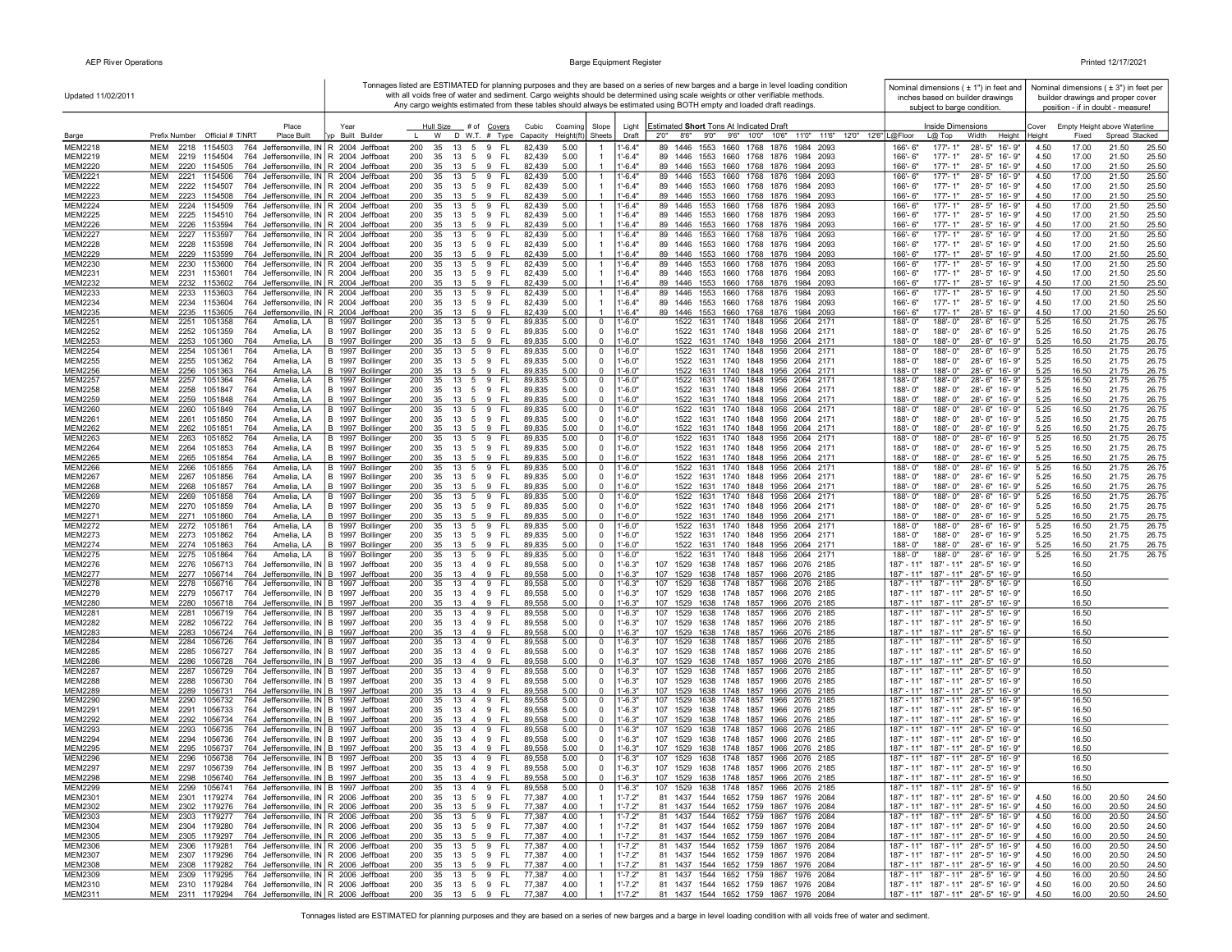| Updated 11/02/2011               |                                                                                                                                          |                                      |                                                                                               |                                          |                                                                | Tonnages listed are ESTIMATED for planning purposes and they are based on a series of new barges and a barge in level loading condition<br>with all voids free of water and sediment. Cargo weights should be determined using scale weights or other verifiable methods. | Nominal dimensions $( 1 )$ in feet and<br>inches based on builder drawings           |                | Nominal dimensions ( $\pm$ 3") in feet per<br>builder drawings and proper cover |
|----------------------------------|------------------------------------------------------------------------------------------------------------------------------------------|--------------------------------------|-----------------------------------------------------------------------------------------------|------------------------------------------|----------------------------------------------------------------|---------------------------------------------------------------------------------------------------------------------------------------------------------------------------------------------------------------------------------------------------------------------------|--------------------------------------------------------------------------------------|----------------|---------------------------------------------------------------------------------|
|                                  |                                                                                                                                          |                                      |                                                                                               |                                          |                                                                | Any cargo weights estimated from these tables should always be estimated using BOTH empty and loaded draft readings.                                                                                                                                                      | subject to barge condition.                                                          |                | position - if in doubt - measure!                                               |
|                                  | Place                                                                                                                                    | Year                                 | Hull Size<br># of <u>Covers</u>                                                               | Cubic<br>Coaming                         | Slope<br>Light                                                 | Estimated Short Tons At Indicated Draft                                                                                                                                                                                                                                   | Inside Dimensions                                                                    | Cover          | Empty Height above Waterline                                                    |
| Barge<br><b>MEM2218</b>          | Prefix Number Official # T/NRT<br>Place Built<br>MEM<br>2218 1154503<br>764 Jeffersonville, IN R 2004 Jeffboat                           | yp Built Builder                     | D W.T. # Type<br>W<br>200<br>35<br>13<br>5 9<br>- FL                                          | Height(ft)<br>Capacity<br>5.00<br>82,439 | Sheets<br>Draft<br>$1'-6.4"$                                   | 9'0"<br>9'6" 10'0" 10'6"<br>11'0" 11'6" 12'0" 12'6" L@Floor<br>2'0''<br>8'6"<br>89 1446<br>1553 1660 1768 1876<br>1984 2093                                                                                                                                               | Width<br>Height<br>$L@$ Top<br>$177 - 1"$<br>28'-5" 16'-9"<br>166'-6"                | Heiaht<br>4.50 | Spread Stacked<br>Fixed<br>17.00<br>21.50<br>25.50                              |
| MEM2219                          | MEM<br>2219 1154504<br>764 Jeffersonville, IN R 2004 Jeffboat                                                                            |                                      | - FL<br>200<br>35<br>13<br>5 9                                                                | 82,439<br>5.00                           | $1'-6.4"$                                                      | 89 1446 1553 1660 1768 1876 1984 2093                                                                                                                                                                                                                                     | 166'-6"<br>177'-1"<br>28'-5" 16'-9"                                                  | 4.50           | 17.00<br>21.50<br>25.50                                                         |
| <b>MEM2220</b>                   | MEM<br>2220 1154505<br>764 Jeffersonville, IN R 2004 Jeffboat                                                                            |                                      | FL.<br>200<br>35<br>13<br>5<br>9                                                              | 82,439<br>5.00                           | $1'-6.4"$                                                      | 89 1446 1553 1660 1768 1876 1984 2093                                                                                                                                                                                                                                     | 166'-6"<br>$177 - 1"$<br>28'-5" 16'-9"                                               | 4.50           | 17.00<br>21.50<br>25.50                                                         |
| <b>MEM2221</b>                   | 2221 1154506<br>764 Jeffersonville, IN R 2004 Jeffboat<br>MEM                                                                            |                                      | 200<br>13 5 9<br>- FL<br>35                                                                   | 82,439<br>5.00                           | $1'-6.4"$                                                      | 89 1446 1553 1660 1768 1876 1984 2093                                                                                                                                                                                                                                     | $177 - 1"$<br>28'-5" 16'-9"<br>166'-6"                                               | 4.50           | 17.00<br>21.50<br>25.50                                                         |
| <b>MEM2222</b><br><b>MEM2223</b> | 764 Jeffersonville, IN R 2004 Jeffboat<br>MEM<br>2222 1154507<br><b>MEM</b><br>2223 1154508<br>764 Jeffersonville, IN R 2004 Jeffboat    |                                      | 35 13 5 9 FL<br>200<br>200<br>35<br>13 5 9<br>- FL                                            | 82,439<br>5.00<br>82,439<br>5.00         | $1'-6.4"$<br>$1'-6.4"$                                         | 89 1446 1553 1660 1768 1876 1984 2093<br>89 1446 1553 1660 1768 1876 1984 2093                                                                                                                                                                                            | 28'-5" 16'-9"<br>166'-6"<br>177'-1"<br>166'-6"<br>$177 - 1"$<br>28'-5" 16'-9"        | 4.50<br>4.50   | 17.00<br>21.50<br>25.50<br>17.00<br>21.50<br>25.50                              |
| <b>MEM2224</b>                   | MEM<br>2224 1154509<br>764 Jeffersonville, IN R 2004 Jeffboat                                                                            |                                      | 200<br>13 5 9<br>FL.<br>35                                                                    | 82,439<br>5.00                           | $1'-6.4"$                                                      | 89 1446 1553 1660 1768 1876 1984 2093                                                                                                                                                                                                                                     | $177 - 1"$<br>28'-5" 16'-9"<br>166'-6"                                               | 4.50           | 17.00<br>21.50<br>25.50                                                         |
| <b>MEM2225</b>                   | 2225 1154510<br>764 Jeffersonville, IN R 2004 Jeffboat<br>мем                                                                            |                                      | FL<br>200<br>35<br>13<br>5<br>9                                                               | 82,439<br>5.00                           | $1'-6.4"$                                                      | 89 1446 1553 1660 1768 1876 1984 2093                                                                                                                                                                                                                                     | 177'-1"<br>28'-5" 16'-9"<br>166'-6"                                                  | 4.50           | 17.00<br>21.50<br>25.50                                                         |
| <b>MEM2226</b>                   | 764 Jeffersonville, IN R 2004 Jeffboat<br>MEM<br>2226 1153594<br><b>MEM</b>                                                              |                                      | FL<br>200<br>35<br>13 5<br>9                                                                  | 82,439<br>5.00                           | $1'-6.4"$<br>$\mathbf{1}$                                      | 89 1446 1553 1660 1768 1876 1984 2093<br>89 1446<br>1984<br>2093                                                                                                                                                                                                          | 177'-1"<br>166'-6"<br>28'-5" 16'-9"<br>$177 - 1"$                                    | 4.50           | 17.00<br>21.50<br>25.50                                                         |
| <b>MEM2227</b><br><b>MEM2228</b> | 764 Jeffersonville, IN R 2004 Jeffboat<br>2227<br>1153597<br>764 Jeffersonville, IN R 2004 Jeffboat<br>MEM<br>2228 1153598               |                                      | 200<br>13<br>9<br>FL.<br>35<br>5<br>200<br>35<br>- FL<br>13 5 9                               | 5.00<br>82,439<br>5.00<br>82,439         | $1'-6.4"$<br>$1'-6.4"$                                         | 1553 1660 1768 1876<br>89 1446 1553 1660 1768 1876 1984 2093                                                                                                                                                                                                              | 28'-5" 16'-9"<br>166'-6"<br>177'-1"<br>28'-5" 16'-9"<br>166'-6"                      | 4.50<br>4.50   | 17.00<br>21.50<br>25.50<br>17.00<br>21.50<br>25.50                              |
| <b>MEM2229</b>                   | <b>MEM</b><br>2229 1153599<br>764 Jeffersonville, IN R 2004 Jeffboat                                                                     |                                      | 200<br>35 13 5 9 FL                                                                           | 82,439<br>5.00                           | $1' - 6.4"$                                                    | 89 1446 1553 1660 1768 1876 1984 2093                                                                                                                                                                                                                                     | 166'-6"<br>$177 - 1"$<br>28'-5" 16'-9"                                               | 4.50           | 17.00<br>21.50<br>25.50                                                         |
| <b>MEM2230</b>                   | 764 Jeffersonville, IN R 2004 Jeffboat<br>MEM<br>2230 1153600                                                                            |                                      | 200<br>13 5 9<br>FL.<br>35                                                                    | 82,439<br>5.00                           | $1'-6.4"$<br>-1                                                | 89 1446<br>1553 1660 1768 1876 1984 2093                                                                                                                                                                                                                                  | $177 - 1"$<br>28'-5" 16'-9"<br>166'-6"                                               | 4.50           | 17.00<br>21.50<br>25.50                                                         |
| <b>MEM2231</b><br><b>MEM2232</b> | 2231<br>764 Jeffersonville, IN R 2004 Jeffboat<br>мем<br>1153601<br>MEM<br>2232 1153602<br>764 Jeffersonville, IN R 2004 Jeffboat        |                                      | 200<br>35 13 5 9<br>- FL<br>200<br>35 13 5 9 FL                                               | 82,439<br>5.00<br>82,439<br>5.00         | $1'-6.4"$<br>$1'-6.4"$                                         | 89 1446 1553 1660 1768 1876 1984 2093<br>89 1446 1553 1660 1768 1876 1984 2093                                                                                                                                                                                            | 166'-6"<br>177'-1"<br>28'-5" 16'-9"<br>166'-6"<br>177'-1"<br>28'-5" 16'-9"           | 4.50<br>4.50   | 17.00<br>21.50<br>25.50<br>17.00<br>21.50<br>25.50                              |
| <b>MEM2233</b>                   | <b>MEM</b><br>764 Jeffersonville, IN R 2004 Jeffboat<br>2233<br>1153603                                                                  |                                      | - FL<br>200<br>35<br>13<br>5<br>9                                                             | 82,439<br>5.00                           | $1'-6.4"$                                                      | 1553 1660 1768 1876<br>89 1446<br>1984 2093                                                                                                                                                                                                                               | 177'-1"<br>28'-5" 16'-9"<br>166'-6"                                                  | 4.50           | 17.00<br>21.50<br>25.50                                                         |
| <b>MEM2234</b>                   | MEM<br>2234 1153604<br>764 Jeffersonville, IN R 2004 Jeffboat                                                                            |                                      | 200<br>35<br>13 5 9 FL                                                                        | 82,439<br>5.00                           | $1' - 6.4"$                                                    | 89 1446 1553 1660 1768 1876 1984 2093                                                                                                                                                                                                                                     | 28'-5" 16'-9"<br>166'-6"<br>177'-1"                                                  | 4.50           | 17.00<br>21.50<br>25.50                                                         |
| <b>MEM2235</b><br><b>MEM2251</b> | <b>MEM</b><br>2235 1153605<br>764 Jeffersonville, IN R 2004 Jeffboat<br>2251<br>1051358<br>MEM<br>764                                    |                                      | 200<br>35<br>13 5 9<br>- FL<br>200<br>35<br>13 5 9<br>- FL                                    | 82.439<br>5.00<br>89,835<br>5.00         | $1' - 6.4"$<br>$1' - 6.0"$                                     | 89 1446 1553 1660 1768 1876 1984 2093<br>1522 1631 1740 1848 1956 2064 2171                                                                                                                                                                                               | 166'-6"<br>$177 - 1"$<br>28'-5" 16'-9"<br>188'-0"<br>28'-6"<br>188'-0"<br>16'-9"     | 4.50           | 17.00<br>21.50<br>25.50<br>16.50<br>21.75<br>26.75                              |
| <b>MEM2252</b>                   | Amelia, LA<br>2252 1051359<br>Amelia, LA<br>мем<br>764                                                                                   | B 1997 Bollinger<br>B 1997 Bollinger | 200<br>- FL<br>35<br>13<br>5<br>9                                                             | 89,835<br>5.00                           | $\mathbf 0$<br>$1'-6.0"$<br>$\mathbf 0$                        | 1522 1631 1740 1848 1956 2064 2171                                                                                                                                                                                                                                        | 188'-0"<br>188'-0"<br>28'-6" 16'-9"                                                  | 5.25<br>5.25   | 16.50<br>21.75<br>26.75                                                         |
| <b>MEM2253</b>                   | MEM<br>2253<br>1051360<br>764<br>Amelia, LA                                                                                              | B 1997 Bollinger                     | 200<br>35<br>13<br>5<br>9<br>FL                                                               | 89,835<br>5.00                           | $1' - 6.0"$<br>$^{\circ}$                                      | 1522 1631 1740 1848 1956 2064 2171                                                                                                                                                                                                                                        | 188'-0"<br>188'-0"<br>28'-6"<br>16'-9"                                               | 5.25           | 16.50<br>21.75<br>26.75                                                         |
| <b>MEM2254</b>                   | MEM<br>2254 1051361<br>764<br>Amelia. LA                                                                                                 | B 1997 Bollinger                     | 200<br>35<br>13<br>5<br>9<br><b>FL</b>                                                        | 89,835<br>5.00                           | $\mathbf 0$<br>1'-6.0"                                         | 1522 1631 1740 1848 1956<br>2064 2171                                                                                                                                                                                                                                     | 188'-0"<br>188'-0"<br>28'-6"<br>16'-9"                                               | 5.25           | 16.50<br>21.75<br>26.75                                                         |
| <b>MEM2255</b><br><b>MEM2256</b> | MEM<br>2255 1051362<br>764<br>Amelia, LA<br><b>MEM</b><br>2256 1051363<br>764<br>Amelia, LA                                              | B 1997 Bollinger<br>B 1997 Bollinger | 200<br>35<br>13   5   9   FL<br>200<br>35<br>13 5<br>-FL<br>-9                                | 89,835<br>5.00<br>89,835<br>5.00         | $\mathbf 0$<br>$1' - 6.0"$<br>$\mathbf{0}$<br>$-6.0"$          | 1522 1631 1740 1848 1956 2064 2171<br>1522 1631 1740 1848 1956 2064 2171                                                                                                                                                                                                  | 188'-0"<br>188'-0"<br>28'-6" 16'-9"<br>188'-0"<br>188'-0"<br>28'-6" 16'-9"           | 5.25<br>5.25   | 16.50<br>21.75<br>26.75<br>16.50<br>21.75<br>26.75                              |
| <b>MEM2257</b>                   | 1051364<br>MEM<br>2257<br>764<br>Amelia, LA                                                                                              | B 1997 Bollinger                     | 200<br>13 5 9<br>- FL<br>35                                                                   | 89,835<br>5.00                           | $\mathbf 0$<br>$1' - 6.0"$                                     | 1522 1631 1740 1848 1956 2064 2171                                                                                                                                                                                                                                        | 188'-0"<br>28'-6" 16'-9"<br>$188 - 0$                                                | 5.25           | 16.50<br>21.75<br>26.75                                                         |
| <b>MEM2258</b>                   | MEM<br>2258 1051847<br>764<br>Amelia, LA                                                                                                 | B 1997 Bollinger                     | 200<br>35 13 5 9 FL                                                                           | 89,835<br>5.00                           | $\mathbf{0}$<br>$1 - 6.0"$                                     | 1522 1631 1740 1848 1956 2064 2171                                                                                                                                                                                                                                        | 188'-0"<br>188'-0"<br>28'-6" 16'-9"                                                  | 5.25           | 16.50<br>21.75<br>26.75                                                         |
| MEM2259<br><b>MEM2260</b>        | MEM<br>2259 1051848<br>764<br>Amelia, LA<br>мем<br>764<br>Amelia, LA                                                                     | B 1997 Bollinger                     | 200<br>35<br>13 5<br>-9<br>FL.<br>200<br>35                                                   | 89,835<br>5.00                           | $1' - 6.0"$<br>$\Omega$                                        | 1522 1631 1740 1848 1956 2064 2171<br>1522 1631 1740 1848 1956 2064 2171                                                                                                                                                                                                  | 188'-0"<br>188'-0"<br>28'-6" 16'-9"<br>188'-0"<br>188'-0"<br>28'-6" 16'-9"           | 5.25           | 16.50<br>21.75<br>26.75<br>21.75<br>26.75                                       |
| <b>MEM2261</b>                   | 2260 1051849<br>MEM<br>2261 1051850<br>764<br>Amelia, LA                                                                                 | B 1997 Bollinger<br>B 1997 Bollinger | 13 5 9 FL<br>200<br>35<br>- FL<br>13<br>5 9                                                   | 89,835<br>5.00<br>89,835<br>5.00         | $\mathbf 0$<br>1'-6.0"<br>$\mathbf 0$<br>$1' - 6.0"$           | 1522 1631 1740 1848 1956 2064 2171                                                                                                                                                                                                                                        | 188'-0"<br>28'-6" 16'-9"<br>188'-0"                                                  | 5.25<br>5.25   | 16.50<br>16.50<br>21.75<br>26.75                                                |
| <b>MEM2262</b>                   | Amelia, LA<br>MEM<br>2262 1051851<br>764                                                                                                 | B 1997 Bollinger                     | 35<br><b>FL</b><br>200<br>13<br>5<br>9                                                        | 89,835<br>5.00                           | $\mathbf 0$<br>$1' - 6.0"$                                     | 1522 1631 1740 1848 1956 2064 2171                                                                                                                                                                                                                                        | 188'-0"<br>188'-0"<br>28'-6" 16'-9"                                                  | 5.25           | 16.50<br>21.75<br>26.75                                                         |
| <b>MEM2263</b>                   | MEM<br>2263 1051852<br>764<br>Amelia, LA                                                                                                 | B 1997 Bollinger                     | 200<br>35<br>13 5<br>FL.<br>9                                                                 | 89,835<br>5.00                           | $\mathbf 0$<br>$1' - 6.0"$                                     | 1522 1631 1740 1848 1956 2064 2171                                                                                                                                                                                                                                        | 188'-0"<br>188'-0"<br>28'-6" 16'-9"                                                  | 5.25           | 16.50<br>21.75<br>26.75                                                         |
| <b>MEM2264</b><br><b>MEM2265</b> | Amelia, LA<br>MEM<br>2264 1051853<br>764<br>764<br>MEM<br>2265 1051854<br>Amelia, LA                                                     | B 1997 Bollinger<br>B 1997 Bollinger | 200<br><b>FL</b><br>35<br>13<br>5<br>9<br>200<br>35<br>13<br>5<br>9<br><b>FL</b>              | 89,835<br>5.00<br>89,835<br>5.00         | $1'-6.0"$<br>$\mathbf 0$<br>$\overline{0}$<br>$1 - 6.0"$       | 1522 1631 1740 1848 1956 2064 2171<br>1522 1631 1740 1848 1956 2064 2171                                                                                                                                                                                                  | 188'-0"<br>188'-0"<br>28'-6" 16'-9"<br>188'-0"<br>28'-6" 16'-9"<br>188'-0"           | 5.25<br>5.25   | 16.50<br>21.75<br>26.75<br>16.50<br>21.75<br>26.75                              |
| <b>MEM2266</b>                   | MEM<br>2266<br>1051855<br>764<br>Amelia, LA                                                                                              | B 1997 Bollinger                     | 200<br>35<br>13<br>5<br>9<br>FL.                                                              | 89,835<br>5.00                           | $\mathbf 0$<br>$1' - 6.0"$                                     | 1522 1631 1740 1848 1956 2064 2171                                                                                                                                                                                                                                        | 28'-6" 16'-9"<br>188'-0"<br>188'-0"                                                  | 5.25           | 16.50<br>26.75<br>21.75                                                         |
| <b>MEM2267</b>                   | MEM<br>764<br>Amelia, LA<br>2267 1051856                                                                                                 | B 1997 Bollinger                     | 200<br>35<br>13 5<br>9<br>- FL                                                                | 89,835<br>5.00                           | $\mathbf 0$<br>$1' - 6.0"$                                     | 1522 1631 1740 1848 1956 2064 2171                                                                                                                                                                                                                                        | 188'-0"<br>28'-6" 16'-9"<br>188'-0"                                                  | 5.25           | 16.50<br>21.75<br>26.75                                                         |
| <b>MEM2268</b><br><b>MEM2269</b> | MEM<br>2268 1051857<br>764<br>Amelia, LA<br><b>MEM</b><br>2269<br>1051858<br>764<br>Amelia, LA                                           | B 1997 Bollinger<br>B 1997 Bollinger | 200<br>35<br>13 5 9<br>- FL<br>200<br>35<br>13<br>5<br>9<br>FL.                               | 89,835<br>5.00<br>89,835<br>5.00         | $\mathbf 0$<br>$1' - 6.0"$<br>$\mathbf 0$<br>$1' - 6.0"$       | 1522 1631 1740 1848 1956 2064 2171<br>1522 1631 1740 1848 1956 2064 2171                                                                                                                                                                                                  | 188'-0"<br>188'-0"<br>28'-6" 16'-9"<br>188'-0"<br>188'-0"<br>28'-6" 16'-9"           | 5.25<br>5.25   | 16.50<br>21.75<br>26.75<br>16.50<br>21.75<br>26.75                              |
| <b>MEM2270</b>                   | MEM<br>2270<br>1051859<br>764<br>Amelia, LA                                                                                              | B 1997 Bollinger                     | 200<br>35<br>- FL<br>13 5<br>9                                                                | 89,835<br>5.00                           | $\mathbf 0$<br>$1' - 6.0"$                                     | 1522 1631 1740 1848 1956 2064 2171                                                                                                                                                                                                                                        | 188'-0"<br>188'-0"<br>28'-6" 16'-9"                                                  | 5.25           | 16.50<br>21.75<br>26.75                                                         |
| <b>MEM2271</b>                   | MEM<br>2271 1051860<br>764<br>Amelia, LA                                                                                                 | B 1997 Bollinger                     | 200<br>35<br>13 5 9 FL                                                                        | 5.00<br>89,835                           | $\mathbf 0$<br>$1' - 6.0"$                                     | 1522 1631 1740 1848 1956 2064 2171                                                                                                                                                                                                                                        | 188'-0"<br>188'-0"<br>28'-6" 16'-9"                                                  | 5.25           | 16.50<br>21.75<br>26.75                                                         |
| <b>MEM2272</b>                   | MEM<br>2272 1051861<br>764<br>Amelia, LA                                                                                                 | B 1997 Bollinger                     | 200<br>35<br>13 5 9<br>-FL                                                                    | 5.00<br>89,835                           | $\mathbf 0$<br>1'-6.0"                                         | 1522 1631 1740 1848 1956 2064 2171                                                                                                                                                                                                                                        | 188'-0"<br>188'-0"<br>28'-6" 16'-9"                                                  | 5.25           | 21.75<br>26.75<br>16.50                                                         |
| MEM2273<br><b>MEM2274</b>        | MEM<br>2273<br>1051862<br>764<br>Amelia, LA<br>MEM<br>2274 1051863<br>764<br>Amelia, LA                                                  | B 1997 Bollinger<br>B 1997 Bollinger | 200<br>35<br>13 5 9<br>- FL<br>35<br>200<br>13    5    9    FL                                | 89,835<br>5.00<br>89,835<br>5.00         | $1' - 6.0"$<br>$\mathbf 0$<br>$1' - 6.0"$<br>$\Omega$          | 1522 1631 1740 1848 1956 2064 2171<br>1522 1631 1740 1848 1956 2064 2171                                                                                                                                                                                                  | 188'-0"<br>188'-0"<br>28'-6" 16'-9"<br>188'-0"<br>$188 - 0$ "<br>28'-6" 16'-9"       | 5.25<br>5.25   | 16.50<br>21.75<br>26.75<br>16.50<br>21.75<br>26.75                              |
| <b>MEM2275</b>                   | <b>MEM</b><br>2275<br>1051864<br>764<br>Amelia, LA                                                                                       | B 1997 Bollinger                     | 200<br>35<br>13 5 9<br>- FL                                                                   | 89,835<br>5.00                           | $1' - 6.0"$<br>$\mathbf 0$                                     | 1522 1631 1740<br>1848 1956 2064 2171                                                                                                                                                                                                                                     | 188'-0"<br>188'-0"<br>28'-6"<br>16'-9"                                               | 5.25           | 16.50<br>26.75<br>21.75                                                         |
| <b>MEM2276</b>                   | MEM<br>2276<br>1056713<br>764                                                                                                            | Jeffersonville, IN   B 1997 Jeffboat | 200<br>35<br>13<br>4 9<br>-FL                                                                 | 89,558<br>5.00                           | $1'-6.3"$<br>$\mathbf 0$                                       | 107 1529 1638 1748 1857 1966 2076 2185                                                                                                                                                                                                                                    | $187' - 11''$<br>187' - 11" 28" - 5" 16' - 9"                                        |                | 16.50                                                                           |
| <b>MEM2277</b><br><b>MEM2278</b> | 1056714<br>MEM<br>2277<br>764 Jeffersonville, IN B 1997 Jeffboat<br>MEM<br>2278<br>1056716<br>764 Jeffersonville, IN B 1997 Jeffboat     |                                      | 200<br>35<br>13<br>$\overline{4}$<br>9<br>FL<br>FL.<br>200<br>35<br>13<br>$\overline{4}$<br>9 | 89,558<br>5.00<br>89,558<br>5.00         | $1'-6.3"$<br>$\mathbf 0$<br>$\mathbf 0$<br>$1' - 6.3"$         | 107 1529 1638 1748 1857 1966 2076 2185<br>107<br>1529<br>1638 1748 1857 1966<br>2076 2185                                                                                                                                                                                 | 187' - 11" 187' - 11" 28" - 5" 16' - 9"<br>187' - 11"<br>187' - 11"<br>28"-5" 16'-9" |                | 16.50<br>16.50                                                                  |
| <b>MEM2279</b>                   | MEM<br>2279<br>1056717<br>764 Jeffersonville, IN B 1997 Jeffboat                                                                         |                                      | 200<br>35<br>13<br>4 9<br>FL.                                                                 | 89,558<br>5.00                           | $1'-6.3"$<br>$\mathbf 0$                                       | 107 1529 1638 1748 1857 1966 2076 2185                                                                                                                                                                                                                                    | 187' - 11" 187' - 11" 28" - 5" 16' - 9"                                              |                | 16.50                                                                           |
| <b>MEM2280</b>                   | MEM<br>2280 1056718<br>764 Jeffersonville, IN B 1997 Jeffboat                                                                            |                                      | 200<br>35<br>FL.<br>13<br>$\overline{4}$<br>- 9                                               | 89,558<br>5.00                           | $\overline{0}$<br>$1' - 6.3"$                                  | 107 1529 1638 1748 1857 1966 2076 2185                                                                                                                                                                                                                                    | 187' - 11" 187' - 11" 28" - 5" 16' - 9"                                              |                | 16.50                                                                           |
| <b>MEM2281</b><br><b>MEM2282</b> | MEM<br>1056719<br>764 Jeffersonville, IN B 1997 Jeffboat<br>2281<br>764 Jeffersonville, IN B 1997 Jeffboat<br><b>MFM</b><br>2282 1056722 |                                      | 200<br>35<br>13<br>4 9<br>FL.<br>200<br>35<br>13 4 9<br>- FL                                  | 89,558<br>5.00<br>89,558<br>5.00         | $1' - 6.3"$<br>$\mathbf 0$<br>$\overline{0}$<br>$1' - 6.3"$    | 1529<br>1638 1748 1857 1966<br>107<br>2076 2185<br>107 1529 1638 1748 1857 1966 2076 2185                                                                                                                                                                                 | 187' - 11"<br>187' - 11"<br>28"-5" 16'-9"<br>187' - 11" 187' - 11" 28" - 5" 16' - 9" |                | 16.50<br>16.50                                                                  |
| <b>MEM2283</b>                   | 764 Jeffersonville, IN B 1997 Jeffboat<br>MEM<br>2283<br>1056724                                                                         |                                      | - FL<br>200<br>35 13 4 9                                                                      | 5.00<br>89,558                           | $1' - 6.3"$<br>$\mathbf 0$                                     | 107 1529 1638 1748 1857 1966 2076 2185                                                                                                                                                                                                                                    | 187' - 11" 187' - 11" 28" - 5" 16' - 9"                                              |                | 16.50                                                                           |
| <b>MEM2284</b>                   | 764 Jeffersonville, IN B 1997 Jeffboat<br>MEM<br>2284 1056726                                                                            |                                      | 200<br>35 13 4 9<br>- FL                                                                      | 89,558<br>5.00                           | $\mathbf 0$<br>1'-6.3"                                         | 107 1529 1638 1748 1857 1966 2076 2185                                                                                                                                                                                                                                    | 187' - 11" 187' - 11" 28" - 5" 16' - 9"                                              |                | 16.50                                                                           |
| <b>MEM2285</b><br><b>MEM2286</b> | MEM<br>2285 1056727<br>764 Jeffersonville, IN   B 1997 Jeffboat<br>764 Jeffersonville, IN B 1997 Jeffboat<br>MEM<br>2286 1056728         |                                      | - FL<br>200<br>35 13 4 9<br>200<br>35 13 4 9<br>FL.                                           | 89,558<br>5.00<br>89,558<br>5.00         | $1' - 6.3"$<br>$\mathbf 0$<br>$\overline{0}$<br>$1' - 6.3"$    | 107 1529 1638 1748 1857 1966 2076 2185<br>107 1529 1638 1748 1857 1966 2076 2185                                                                                                                                                                                          | 187' - 11" 187' - 11" 28" - 5" 16' - 9"<br>187' - 11" 187' - 11" 28" - 5" 16' - 9"   |                | 16.50<br>16.50                                                                  |
| <b>MEM2287</b>                   | MEM<br>2287 1056729<br>764 Jeffersonville, IN B 1997 Jeffboat                                                                            |                                      | - FL<br>200<br>35<br>13 4 9                                                                   | 89,558<br>5.00                           | $1' - 6.3"$<br>$\mathbf 0$                                     | 107 1529 1638 1748 1857 1966 2076 2185                                                                                                                                                                                                                                    | 187' - 11" 187' - 11" 28" - 5" 16' - 9"                                              |                | 16.50                                                                           |
| <b>MEM2288</b>                   | 2288 1056730<br>764 Jeffersonville, IN B 1997 Jeffboat<br>MEM                                                                            |                                      | 200<br>35 13 4 9<br>- FL                                                                      | 89,558<br>5.00                           | $\mathbf 0$<br>$1'-6.3"$                                       | 107 1529 1638 1748 1857 1966 2076 2185                                                                                                                                                                                                                                    | 187' - 11" 187' - 11" 28" - 5" 16' - 9"                                              |                | 16.50                                                                           |
| <b>MEM2289</b>                   | 2289 1056731<br>764 Jeffersonville, IN B 1997 Jeffboat<br>MEM                                                                            |                                      | 200<br>$\mathbf{q}$<br>FL.<br>35<br>13<br>$\overline{4}$                                      | 89,558<br>5.00                           | $1' - 6.3"$<br>$\mathbf 0$                                     | 107 1529 1638 1748 1857 1966 2076 2185                                                                                                                                                                                                                                    | 187' - 11" 187' - 11" 28" - 5" 16' - 9"                                              |                | 16.50                                                                           |
| <b>MEM2290</b><br><b>MEM2291</b> | 764 Jeffersonville, IN B 1997 Jeffboat<br>мем<br>2290<br>1056732<br>MEM<br>2291<br>1056733<br>764 Jeffersonville, IN B 1997 Jeffboat     |                                      | 200<br>13 4 9<br>FL<br>35<br>FL.<br>200<br>35<br>13 4<br>9                                    | 89,558<br>5.00<br>89,558<br>5.00         | $1' - 6.3"$<br>$\mathbf{0}$<br>$1' - 6.3"$<br>$\mathbf 0$      | 107 1529 1638 1748 1857 1966 2076 2185<br>107 1529 1638 1748 1857 1966 2076 2185                                                                                                                                                                                          | 187' - 11" 187' - 11" 28" - 5" 16' - 9"<br>187' - 11" 187' - 11" 28" - 5" 16' - 9"   |                | 16.50<br>16.50                                                                  |
| <b>MEM2292</b>                   | <b>MEM</b><br>764 Jeffersonville, IN B 1997 Jeffboat<br>2292<br>1056734                                                                  |                                      | 200<br>9<br>FL<br>35<br>13 4                                                                  | 89,558<br>5.00                           | $\overline{0}$<br>$1' - 6.3"$                                  | 107 1529 1638 1748 1857 1966 2076 2185                                                                                                                                                                                                                                    | 187' - 11" 187' - 11" 28" - 5" 16' - 9"                                              |                | 16.50                                                                           |
| <b>MEM2293</b>                   | MEM<br>2293<br>1056735<br>764 Jeffersonville, IN B 1997 Jeffboat                                                                         |                                      | 200<br>35<br>13 4 9<br>FL.                                                                    | 89,558<br>5.00                           | $\mathbf 0$<br>$1' - 6.3"$                                     | 1638 1748 1857 1966 2076 2185<br>107<br>1529                                                                                                                                                                                                                              | 187' - 11"<br>$187' - 11''$<br>28"-5" 16'-9"                                         |                | 16.50                                                                           |
| <b>MEM2294</b><br><b>MEM2295</b> | <b>MEM</b><br>764 Jeffersonville, IN B 1997 Jeffboat<br>2294<br>1056736<br>764 Jeffersonville, IN B 1997 Jeffboat<br>MEM<br>2295 1056737 |                                      | 200<br>35 13 4 9<br>- FL<br>200<br>- FL<br>35 13 4 9                                          | 89,558<br>5.00<br>5.00<br>89,558         | $\mathbf{0}$<br>$1' - 6.3"$<br>$\mathbf{0}$<br>$1' - 6.3"$     | 107 1529 1638 1748 1857 1966 2076 2185<br>107 1529 1638 1748 1857 1966 2076 2185                                                                                                                                                                                          | 187' - 11" 187' - 11" 28" - 5" 16' - 9"<br>187' - 11" 187' - 11" 28" - 5" 16' - 9"   |                | 16.50<br>16.50                                                                  |
| <b>MEM2296</b>                   | 764 Jeffersonville, IN B 1997 Jeffboat<br>мем<br>2296<br>1056738                                                                         |                                      | 200<br>35 13 4 9<br>- FL                                                                      | 89,558<br>5.00                           | 1'-6.3"<br>- 0                                                 | 107 1529 1638 1748 1857 1966 2076 2185                                                                                                                                                                                                                                    | 187' - 11" 187' - 11" 28" - 5" 16' - 9"                                              |                | 16.50                                                                           |
| <b>MEM2297</b>                   | MEM<br>2297 1056739<br>764 Jeffersonville, IN B 1997 Jeffboat                                                                            |                                      | 200 35 13 4 9 FL                                                                              | 89,558<br>5.00                           | $1' - 6.3"$<br>$\mathbf 0$                                     | 107 1529 1638 1748 1857 1966 2076 2185                                                                                                                                                                                                                                    | 187' - 11" 187' - 11" 28" - 5" 16' - 9"                                              |                | 16.50                                                                           |
| <b>MEM2298</b><br><b>MEM2299</b> | 1056740 764 Jeffersonville, IN B 1997 Jeffboat<br>MEM<br>2298<br>MEM 2299 1056741 764 Jeffersonville, IN B 1997 Jeffboat                 |                                      | 200 35 13 4 9 FL                                                                              | 89.558<br>5.00                           | $1' - 6.3"$                                                    | 107 1529 1638 1748 1857 1966 2076 2185<br>107 1529 1638 1748 1857 1966 2076 2185                                                                                                                                                                                          | 187' - 11" 187' - 11" 28" - 5" 16' - 9"<br>187' - 11" 187' - 11" 28" - 5" 16' - 9"   |                | 16.50                                                                           |
| <b>MEM2301</b>                   | 2301 1179274 764 Jeffersonville, IN R 2006 Jeffboat<br>MEM                                                                               |                                      | 200<br>35<br>13 4 9<br>FL.<br>200<br>35<br>13 5 9 FL                                          | 89,558<br>5.00<br>77,387<br>4.00         | $\mathbf 0$<br>$1' - 6.3"$<br>$1' - 7.2"$                      | 81 1437 1544 1652 1759 1867 1976 2084                                                                                                                                                                                                                                     | 187' - 11" 187' - 11" 28" - 5" 16' - 9"                                              | 4.50           | 16.50<br>16.00<br>24.50<br>20.50                                                |
| MEM2302                          | <b>MEM</b><br>2302 1179276 764 Jeffersonville, IN R 2006 Jeffboat                                                                        |                                      | 200<br>35<br>13 5 9 FL                                                                        | 77,387<br>4.00                           | $1' - 7.2"$<br>$\overline{1}$                                  | 81 1437 1544 1652 1759 1867 1976 2084                                                                                                                                                                                                                                     | 187' - 11" 187' - 11" 28" - 5" 16' - 9"                                              | 4.50           | 16.00<br>20.50<br>24.50                                                         |
| <b>MEM2303</b>                   | 2303 1179277 764 Jeffersonville, IN R 2006 Jeffboat<br>MEM                                                                               |                                      | 200<br>13 5 9 FL<br>35                                                                        | 77,387<br>4.00                           | $1' - 7.2"$<br>$\overline{1}$                                  | 81 1437 1544 1652 1759 1867 1976 2084                                                                                                                                                                                                                                     | 187' - 11" 187' - 11" 28" - 5" 16' - 9"                                              | 4.50           | 16.00<br>20.50<br>24.50                                                         |
| <b>MEM2304</b><br><b>MEM2305</b> | 764 Jeffersonville, IN R 2006 Jeffboat<br>2304 1179280<br>MEM<br>2305 1179297 764 Jeffersonville, IN R 2006 Jeffboat<br>MEM              |                                      | 200<br>35 13 5 9 FL<br>200<br>35<br>13 5 9 FL                                                 | 77,387<br>4.00<br>4.00<br>77,387         | $1' - 7.2"$<br>$1' - 7.2"$                                     | 81 1437 1544 1652 1759 1867 1976 2084<br>81 1437 1544 1652 1759 1867 1976 2084                                                                                                                                                                                            | 187' - 11" 187' - 11" 28" - 5" 16' - 9"<br>187' - 11" 187' - 11" 28" - 5" 16' - 9"   | 4.50<br>4.50   | 16.00<br>20.50<br>24.50<br>16.00<br>20.50<br>24.50                              |
| <b>MEM2306</b>                   | 2306 1179281<br>764 Jeffersonville, IN R 2006 Jeffboat<br>MEM                                                                            |                                      | 200<br>35 13 5 9 FL                                                                           | 77,387<br>4.00                           | $1' - 7.2"$<br>$\overline{1}$                                  | 81 1437 1544 1652 1759 1867 1976 2084                                                                                                                                                                                                                                     | 187' - 11" 187' - 11" 28" - 5" 16' - 9"                                              | 4.50           | 16.00<br>20.50<br>24.50                                                         |
| <b>MEM2307</b>                   | 764 Jeffersonville, IN R 2006 Jeffboat<br><b>MEM</b><br>2307 1179296                                                                     |                                      | 200<br>35 13 5 9 FL                                                                           | 77,387<br>4.00                           | $1' - 7.2"$                                                    | 81 1437 1544 1652 1759 1867 1976 2084                                                                                                                                                                                                                                     | 187' - 11" 187' - 11" 28" - 5" 16' - 9"                                              | 4.50           | 16.00<br>20.50<br>24.50                                                         |
| <b>MEM2308</b>                   | <b>MEM</b><br>2308 1179282 764 Jeffersonville, IN R 2006 Jeffboat                                                                        |                                      | 200<br>35 13 5 9 FL<br>200                                                                    | 77,387<br>4.00                           | $1' - 7.2"$                                                    | 81 1437 1544 1652 1759 1867 1976 2084                                                                                                                                                                                                                                     | 187' - 11" 187' - 11" 28" - 5" 16' - 9"<br>187' - 11" 187' - 11" 28" - 5" 16' - 9"   | 4.50           | 16.00<br>20.50<br>24.50                                                         |
| <b>MEM2309</b><br>MEM2310        | MEM 2309 1179295 764 Jeffersonville, IN R 2006 Jeffboat<br>MEM 2310 1179284 764 Jeffersonville, IN R 2006 Jeffboat                       |                                      | 35 13 5 9 FL<br>200 35 13 5 9 FL 77,387                                                       | 4.00<br>77,387<br>4.00                   | $1' - 7.2"$<br>$\overline{1}$<br>$1' - 7.2"$<br>$\overline{1}$ | 81 1437 1544 1652 1759 1867 1976 2084<br>81 1437 1544 1652 1759 1867 1976 2084                                                                                                                                                                                            | 187' - 11" 187' - 11" 28" - 5" 16' - 9"                                              | 4.50<br>4.50   | 24.50<br>16.00<br>20.50<br>24.50<br>16.00<br>20.50                              |
| MEM2311                          | MEM 2311 1179294 764 Jeffersonville, IN R 2006 Jeffboat                                                                                  |                                      | 200 35 13 5 9 FL 77,387                                                                       | 4.00                                     | $1' - 7.2"$<br>$\overline{1}$                                  | 81 1437 1544 1652 1759 1867 1976 2084                                                                                                                                                                                                                                     | 187' - 11" 187' - 11" 28" - 5" 16' - 9"                                              | 4.50           | 24.50<br>16.00<br>20.50                                                         |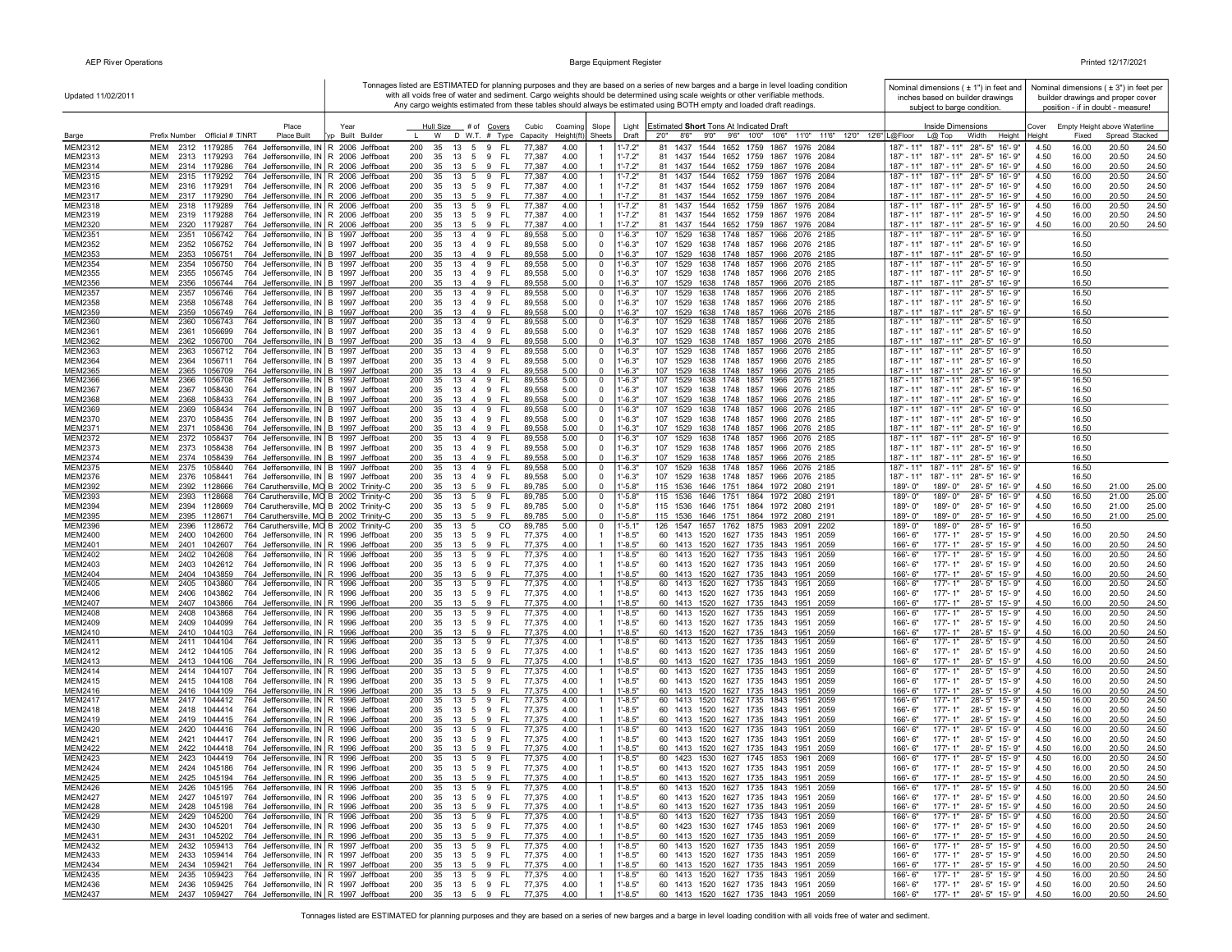| Updated 11/02/2011               |                                                                                                                                                 |                                    | Any cargo weights estimated from these tables should always be estimated using BOTH empty and loaded draft readings.                 |                                |                            | Tonnages listed are ESTIMATED for planning purposes and they are based on a series of new barges and a barge in level loading condition<br>with all voids free of water and sediment. Cargo weights should be determined using scale weights or other verifiable methods. | Nominal dimensions ( ± 1") in feet and<br>inches based on builder drawings<br>subject to barge condition. |                 | position - if in doubt - measure! | Nominal dimensions (±3") in feet per<br>builder drawings and proper cover |
|----------------------------------|-------------------------------------------------------------------------------------------------------------------------------------------------|------------------------------------|--------------------------------------------------------------------------------------------------------------------------------------|--------------------------------|----------------------------|---------------------------------------------------------------------------------------------------------------------------------------------------------------------------------------------------------------------------------------------------------------------------|-----------------------------------------------------------------------------------------------------------|-----------------|-----------------------------------|---------------------------------------------------------------------------|
|                                  | Place<br>Prefix Number Official # T/NRT<br><b>Place Built</b>                                                                                   | Year<br>p Built Builder            | Hull Size # of Covers<br>Cubic<br>Coaming<br>W<br>D W.T. # Type Capacity<br>Height(ft)                                               | Slope<br>Sheets                | Light<br>Draft             | Estimated Short Tons At Indicated Draft<br>2'0''<br>8'6"<br>9'0"<br>9'6" 10'0" 10'6"<br>11'0" 11'6" 12'0" 12'6" L@Floor                                                                                                                                                   | Inside Dimensions<br>$L@$ Top<br>Width<br>Height                                                          | Cover<br>Heiah! | Fixed                             | Empty Height above Waterline<br>Spread Stacked                            |
| Barge<br>MEM2312                 | <b>MEM</b><br>1179285<br>764 Jeffersonville, IN R 2006 Jeffboat<br>2312                                                                         |                                    | 200<br>35<br>13<br>FL.<br>4.00<br>5<br>9<br>77,387                                                                                   |                                | $1' - 7.2"$                | 1437<br>1544 1652<br>1759<br>1867<br>1976 2084<br>81                                                                                                                                                                                                                      | $187' - 11"$<br>187' - 11" 28" - 5" 16' - 9"                                                              | 4.50            | 16.00                             | 20.50<br>24.50                                                            |
| MEM2313                          | MEM<br>2313<br>1179293<br>764                                                                                                                   | Jeffersonville, IN R 2006 Jeffboat | 200<br>35<br>13<br>5<br>9<br>- FL<br>77,387<br>4.00                                                                                  |                                | $1' - 7.2"$                | 1437<br>81<br>1544 1652 1759<br>1867<br>1976 2084                                                                                                                                                                                                                         | 187' - 11" 28" - 5" 16' - 9"<br>$187' - 11''$                                                             | 4.50            | 16.00                             | 20.50<br>24.50                                                            |
| MEM2314                          | MEM<br>2314 1179286<br>764 Jeffersonville, IN R 2006 Jeffboat                                                                                   |                                    | 9<br>200<br>35<br>13<br>5<br>- FL<br>77,387<br>4.00                                                                                  |                                | $1' - 7.2"$                | 1437 1544 1652 1759 1867<br>1976 2084<br>-81                                                                                                                                                                                                                              | 187' - 11" 187' - 11" 28" - 5" 16' - 9"                                                                   | 4.50            | 16.00                             | 20.50<br>24.50<br>20.50<br>24.50                                          |
| MEM2315<br>MEM2316               | MEM<br>2315 1179292<br>764 Jeffersonville, IN R 2006 Jeffboat<br>MEM<br>2316 1179291<br>764 Jeffersonville, IN R 2006 Jeffboat                  |                                    | 200<br>35<br>13<br>5<br>9<br>-FL<br>77,387<br>4.00<br>200<br>35<br>13<br>5<br>9<br>-FL<br>77,387<br>4.00                             |                                | $1' - 7.2"$<br>$1' - 7.2"$ | 81<br>1437<br>1544 1652 1759<br>1867<br>1976 2084<br>1437<br>1544 1652 1759<br>1867<br>1976 2084<br>-81                                                                                                                                                                   | 187' - 11"<br>187' - 11" 28" - 5" 16' - 9"<br>187' - 11" 187' - 11" 28" - 5" 16' - 9"                     | 4.50<br>4.50    | 16.00<br>16.00                    | 20.50<br>24.50                                                            |
| <b>MEM2317</b>                   | <b>MEM</b><br>2317 1179290<br>764 Jeffersonville, IN R 2006 Jeffboat                                                                            |                                    | 35<br>77,387<br>4.00<br>200<br>13<br>5<br>9<br>- FL                                                                                  | $\overline{1}$                 | $1' - 7.2"$                | 1437<br>1544 1652 1759 1867 1976 2084<br>81                                                                                                                                                                                                                               | 187' - 11" 187' - 11" 28" - 5" 16' - 9"                                                                   | 4.50            | 16.00                             | 20.50<br>24.50                                                            |
| <b>MEM2318</b><br>MEM2319        | <b>MEM</b><br>2318<br>1179289<br>764 Jeffersonville, IN R 2006 Jeffboat<br><b>MEM</b><br>764 Jeffersonville, IN R 2006 Jeffboat<br>2319 1179288 |                                    | 200<br>35<br>13<br>5<br>9<br><b>FL</b><br>77,387<br>4.00<br>200<br>35<br>13 5 9<br>- FL<br>77,387<br>4.00                            | $\overline{1}$                 | $1' - 7.2"$<br>$1' - 7.2"$ | 81<br>1437<br>1544<br>1652 1759<br>1867<br>1976<br>2084<br>81 1437 1544 1652 1759 1867 1976 2084                                                                                                                                                                          | $187' - 11"$<br>187' - 11" 28" - 5" 16' - 9"<br>187' - 11" 187' - 11" 28" - 5" 16' - 9"                   | 4.50<br>4.50    | 16.00<br>16.00                    | 20.50<br>24.50<br>20.50<br>24.50                                          |
| MEM2320                          | MEM<br>2320 1179287<br>764 Jeffersonville, IN R 2006 Jeffboat                                                                                   |                                    | 200<br>35<br>13 5 9 FL<br>4.00<br>77,387                                                                                             | $\overline{1}$                 | $1' - 7.2"$                | 81 1437 1544 1652 1759 1867 1976 2084                                                                                                                                                                                                                                     | 187' - 11" 187' - 11" 28" - 5" 16' - 9"                                                                   | 4.50            | 16.00                             | 20.50<br>24.50                                                            |
| MEM2351                          | MEM<br>2351<br>1056742<br>764 Jeffersonville, IN B 1997 Jeffboat                                                                                |                                    | - FL<br>200<br>35<br>13 4 9<br>89,558<br>5.00                                                                                        | $^{\circ}$                     | 1'-6.3"                    | 107 1529 1638 1748 1857 1966 2076 2185                                                                                                                                                                                                                                    | 187' - 11" 187' - 11" 28" - 5" 16' - 9"                                                                   |                 | 16.50                             |                                                                           |
| MEM2352<br>MEM2353               | MEM<br>2352<br>1056752<br>764 Jeffersonville, IN B 1997 Jeffboat<br>764 Jeffersonville, IN B 1997 Jeffboat<br>MEM<br>2353 1056751               |                                    | 200<br>35<br>13<br>49<br>- FL<br>89,558<br>5.00<br>13 4 9<br>- FL<br>5.00<br>200<br>35<br>89,558                                     | $^{\circ}$<br>$\Omega$         | $1' - 6.3"$<br>$1' - 6.3"$ | 107 1529 1638 1748 1857 1966 2076 2185<br>107 1529 1638 1748 1857 1966 2076 2185                                                                                                                                                                                          | 187' - 11" 187' - 11" 28" - 5" 16' - 9"<br>187' - 11" 187' - 11" 28" - 5" 16' - 9"                        |                 | 16.50<br>16.50                    |                                                                           |
| <b>MEM2354</b>                   | MEM<br>2354<br>1056750<br>764 Jeffersonville, IN B 1997 Jeffboat                                                                                |                                    | 200<br>35<br>13 4 9<br>- FL<br>89,558<br>5.00                                                                                        | $^{\circ}$                     | $1' - 6.3"$                | 107 1529<br>1638 1748 1857 1966 2076 2185                                                                                                                                                                                                                                 | 187' - 11" 187' - 11" 28" - 5" 16' - 9'                                                                   |                 | 16.50                             |                                                                           |
| <b>MEM2355</b>                   | 2355<br>1056745<br>764 Jeffersonville, IN B 1997 Jeffboat<br>MEM                                                                                |                                    | 200<br>13 4 9<br>- FL<br>35<br>89,558<br>5.00                                                                                        | $\Omega$                       | $1' - 6.3"$                | 107 1529 1638 1748 1857 1966 2076 2185                                                                                                                                                                                                                                    | 187' - 11" 187' - 11" 28" - 5" 16' - 9"                                                                   |                 | 16.50                             |                                                                           |
| MEM2356<br><b>MEM2357</b>        | MEM<br>1056744<br>764 Jeffersonville, IN B 1997 Jeffboat<br>2356<br>MEM<br>2357<br>1056746<br>764 Jeffersonville, IN B 1997 Jeffboat            |                                    | 200<br>9<br>- FL<br>89,558<br>5.00<br>35<br>13<br>$\overline{4}$<br>FL<br>200<br>35<br>13<br>$\overline{4}$<br>9<br>89,558<br>5.00   | $\Omega$<br>$^{\circ}$         | $1'-6.3"$<br>1'-6.3"       | 107 1529 1638 1748 1857 1966 2076 2185<br>107<br>1529<br>1638 1748 1857 1966 2076 2185                                                                                                                                                                                    | 187' - 11" 187' - 11" 28" - 5" 16' - 9"<br>187' - 11" 28" - 5" 16' - 9"<br>187' - 11"                     |                 | 16.50<br>16.50                    |                                                                           |
| MEM2358                          | MEM<br>2358<br>1056748<br>764 Jeffersonville, IN B 1997 Jeffboat                                                                                |                                    | 200<br>35<br>13<br>$\overline{4}$<br>9<br>-FL<br>89,558<br>5.00                                                                      | $^{\circ}$                     | 1'-6.3"                    | 107<br>1529 1638 1748 1857 1966 2076 2185                                                                                                                                                                                                                                 | 187' - 11" 187' - 11" 28" - 5" 16' - 9"                                                                   |                 | 16.50                             |                                                                           |
| MEM2359                          | <b>MEM</b><br>764 Jeffersonville, IN B 1997 Jeffboat<br>2359<br>1056749                                                                         |                                    | 200<br>9<br>FL.<br>5.00<br>35<br>13<br>$\overline{4}$<br>89,558                                                                      | $\Omega$                       | $1 - 6.3"$                 | 107 1529 1638 1748 1857 1966 2076 2185                                                                                                                                                                                                                                    | 187' - 11" 187' - 11" 28" - 5" 16' - 9"                                                                   |                 | 16.50                             |                                                                           |
| MEM2360<br><b>MEM2361</b>        | MEM<br>2360<br>1056743<br>764 Jeffersonville, IN B 1997 Jeffboat<br><b>MEM</b><br>764 Jeffersonville, IN B 1997 Jeffboat<br>2361<br>1056699     |                                    | 200<br>35<br>13<br>$\overline{4}$<br>9<br>FL.<br>89,558<br>5.00<br>200<br>- FL<br>5.00<br>35<br>13 4 9<br>89,558                     | $^{\circ}$<br>$\Omega$         | 1'-6.3"<br>$1' - 6.3"$     | 107<br>1529<br>1638 1748 1857 1966 2076 2185<br>107 1529 1638 1748 1857 1966 2076 2185                                                                                                                                                                                    | 187' - 11" 28" - 5" 16' - 9"<br>187' - 11"<br>187' - 11" 187' - 11" 28" - 5" 16' - 9"                     |                 | 16.50<br>16.50                    |                                                                           |
| <b>MEM2362</b>                   | <b>MEM</b><br>1056700<br>764 Jeffersonville, IN B 1997 Jeffboat<br>2362                                                                         |                                    | 200<br>9<br>5.00<br>35<br>13 4<br>- FL<br>89,558                                                                                     | $\Omega$                       | $1' - 6.3"$                | 107 1529 1638 1748 1857 1966 2076 2185                                                                                                                                                                                                                                    | 187' - 11" 187' - 11" 28" - 5" 16' - 9"                                                                   |                 | 16.50                             |                                                                           |
| MEM2363                          | 764 Jeffersonville, IN B 1997 Jeffboat<br>мем<br>2363<br>1056712                                                                                |                                    | - FL<br>200<br>49<br>89,558<br>5.00<br>35<br>13                                                                                      | $^{\circ}$                     | 1'-6.3'                    | 1638<br>1748 1857 1966 2076 2185<br>107 1529                                                                                                                                                                                                                              | 187' - 11" 187' - 11" 28" - 5" 16' - 9"                                                                   |                 | 16.50                             |                                                                           |
| <b>MEM2364</b><br><b>MEM2365</b> | MEM<br>2364<br>1056711<br>764 Jeffersonville, IN B 1997 Jeffboat<br>764 Jeffersonville, IN B 1997 Jeffboat<br><b>MFM</b><br>2365<br>1056709     |                                    | 200<br>35<br>13<br>9<br>- FL<br>89,558<br>5.00<br>$\overline{4}$<br>200<br>9<br>5.00<br>35<br>13<br>$\overline{4}$<br>- Fl<br>89,558 | $^{\circ}$<br>$\Omega$         | $1' - 6.3"$<br>$1' - 6.3"$ | 107 1529 1638 1748 1857 1966 2076 2185<br>107 1529 1638 1748 1857 1966 2076 2185                                                                                                                                                                                          | 187' - 11" 187' - 11" 28" - 5" 16' - 9"<br>187' - 11" 187' - 11" 28" - 5" 16' - 9"                        |                 | 16.50<br>16.50                    |                                                                           |
| <b>MEM2366</b>                   | MEM<br>2366<br>1056708<br>764 Jeffersonville, IN B 1997 Jeffboat                                                                                |                                    | 200<br>35<br>13<br>4 9<br>- FL<br>89,558<br>5.00                                                                                     | $^{\circ}$                     | 1'-6.3'                    | 107 1529<br>1638 1748 1857 1966 2076 2185                                                                                                                                                                                                                                 | 187' - 11" 187' - 11" 28" - 5" 16' - 9"                                                                   |                 | 16.50                             |                                                                           |
| <b>MEM2367</b>                   | 1058430<br>764 Jeffersonville, IN B 1997 Jeffboat<br><b>MEM</b><br>2367<br>764 Jeffersonville, IN B 1997 Jeffboat                               |                                    | 200<br>35<br>4 9 FL<br>89,558<br>5.00<br>- 13<br>9<br>$\overline{4}$                                                                 | $\Omega$<br>$\Omega$           | $1' - 6.3"$                | 107<br>1529 1638 1748 1857 1966 2076 2185                                                                                                                                                                                                                                 | 187' - 11" 187' - 11" 28" - 5" 16' - 9"                                                                   |                 | 16.50                             |                                                                           |
| <b>MEM2368</b><br><b>MEM2369</b> | 1058433<br>MEM<br>2368<br>MEM<br>2369<br>1058434<br>764 Jeffersonville, IN B 1997 Jeffboat                                                      |                                    | 200<br>35<br>- FL<br>89,558<br>5.00<br>13<br>200<br>4 9<br>- FL<br>89,558<br>5.00<br>35<br>13                                        | 0                              | $1' - 6.3"$<br>l'-6.3"     | 107<br>1529 1638 1748 1857 1966 2076 2185<br>107<br>1529 1638 1748 1857 1966 2076 2185                                                                                                                                                                                    | 187' - 11" 187' - 11" 28" - 5" 16' - 9"<br>187' - 11" 28" - 5" 16' - 9"<br>187' - 11"                     |                 | 16.50<br>16.50                    |                                                                           |
| <b>MEM2370</b>                   | MEM<br>2370<br>1058435<br>764 Jeffersonville, IN B 1997 Jeffboat                                                                                |                                    | 200<br>35<br>13<br>$\overline{4}$<br>9<br>-FL<br>89,558<br>5.00                                                                      | $^{\circ}$                     | $1' - 6.3"$                | 107<br>1529 1638 1748 1857 1966 2076 2185                                                                                                                                                                                                                                 | 187' - 11" 187' - 11" 28" - 5" 16' - 9"                                                                   |                 | 16.50                             |                                                                           |
| MEM2371<br><b>MEM2372</b>        | MEM<br>2371<br>1058436<br>764 Jeffersonville, IN B 1997 Jeffboat<br>MEM<br>2372<br>1058437<br>764 Jeffersonville, IN B 1997 Jeffboat            |                                    | 200<br>35<br>13<br>$\overline{4}$<br>9<br>FL.<br>89,558<br>5.00<br>200<br>35<br>13<br>$\overline{4}$<br>9<br>FL.<br>89,558<br>5.00   | $^{\circ}$<br>$^{\circ}$       | $1' - 6.3"$<br>1'-6.3"     | 107<br>1529 1638 1748 1857 1966 2076 2185<br>107<br>1529<br>1638 1748 1857 1966 2076 2185                                                                                                                                                                                 | 187' - 11" 187' - 11" 28" - 5" 16' - 9"<br>187' - 11" 28" - 5" 16' - 9"<br>$187' - 11''$                  |                 | 16.50<br>16.50                    |                                                                           |
| MEM2373                          | <b>MEM</b><br>1058438<br>764 Jeffersonville, IN B 1997 Jeffboat<br>2373                                                                         |                                    | 200<br>35<br>9<br>- FL<br>89,558<br>5.00<br>13<br>$\overline{4}$                                                                     | $\Omega$                       | $1' - 6.3"$                | 107<br>1529 1638 1748 1857 1966 2076 2185                                                                                                                                                                                                                                 | 187' - 11" 187' - 11" 28" - 5" 16' - 9'                                                                   |                 | 16.50                             |                                                                           |
| MEM2374                          | <b>MEM</b><br>2374 1058439<br>764 Jeffersonville, IN B 1997 Jeffboat                                                                            |                                    | 200<br>35<br>13 4 9<br>- FL<br>89,558<br>5.00                                                                                        | $^{\circ}$                     | $1' - 6.3"$                | 107 1529 1638 1748 1857 1966 2076 2185                                                                                                                                                                                                                                    | 187' - 11" 187' - 11" 28" - 5" 16' - 9"                                                                   |                 | 16.50                             |                                                                           |
| <b>MEM2375</b><br>MEM2376        | 2375<br>1058440<br>MEM<br>764 Jeffersonville, IN B 1997 Jeffboat<br>MEM<br>2376<br>1058441<br>764 Jeffersonville, IN B 1997 Jeffboat            |                                    | 200<br>13 4 9<br>- FL<br>89,558<br>35<br>5.00<br>- FL<br>200<br>35<br>13<br>49<br>89,558<br>5.00                                     | $^{\circ}$<br>$^{\circ}$       | $1' - 6.3"$<br>$1' - 6.3"$ | 107 1529 1638 1748 1857 1966 2076 2185<br>107 1529 1638 1748 1857 1966 2076 2185                                                                                                                                                                                          | 187' - 11" 187' - 11" 28" - 5" 16' - 9"<br>187' - 11"<br>187' - 11" 28" - 5" 16' - 9"                     |                 | 16.50<br>16.50                    |                                                                           |
| MEM2392                          | MEM<br>2392<br>1128666<br>764 Caruthersville, MO B 2002 Trinity-C                                                                               |                                    | 200<br>35<br>13<br>59<br>- FL<br>89,785<br>5.00                                                                                      | $^{\circ}$                     | $1' - 5.8"$                | 115 1536 1646 1751 1864 1972 2080 2191                                                                                                                                                                                                                                    | 189'-0"<br>189'-0"<br>28'-5" 16'-9"                                                                       | 4.50            | 16.50                             | 21.00<br>25.00                                                            |
| <b>MEM2393</b>                   | 2393 1128668<br>764 Caruthersville, MO B 2002 Trinity-C<br>MEM                                                                                  |                                    | 13<br>-FL<br>200<br>35<br>59<br>89,785<br>5.00                                                                                       | $^{\circ}$                     | $1' - 5.8"$                | 115 1536 1646 1751 1864 1972 2080 2191                                                                                                                                                                                                                                    | 28'-5" 16'-9"<br>189'-0"<br>189'-0"                                                                       | 4.50            | 16.50                             | 21.00<br>25.00                                                            |
| <b>MEM2394</b><br>MEM2395        | MEM<br>2394 1128669<br>764 Caruthersville, MO B 2002 Trinity-C<br>764 Caruthersville, MO B 2002 Trinity-C<br>MEM<br>2395<br>1128671             |                                    | 200<br>35<br>13<br>9<br>- FL<br>89,785<br>5.00<br>5<br>200<br>35<br>13<br>9<br>- FL<br>89,785<br>5.00<br>-5                          | $\Omega$<br>$\Omega$           | $1' - 5.8"$<br>$1' - 5.8"$ | 115 1536 1646 1751 1864 1972 2080 2191<br>115 1536 1646 1751 1864 1972 2080 2191                                                                                                                                                                                          | 189'-0"<br>189'-0"<br>28'-5" 16'-9"<br>189'-0"<br>189'-0"<br>28'-5" 16'-9"                                | 4.50<br>4.50    | 16.50<br>16.50                    | 21.00<br>25.00<br>21.00<br>25.00                                          |
| MEM2396                          | 764 Caruthersville, MO B 2002 Trinity-C<br>MEM<br>2396<br>1128672                                                                               |                                    | 200<br>13<br>CO<br>35<br>5<br>89,785<br>5.00                                                                                         | 0                              | 1'-5.1                     | 126 1547 1657 1762 1875 1983 2091 2202                                                                                                                                                                                                                                    | 28'-5" 16'-9"<br>189'-0"<br>189'-0"                                                                       |                 | 16.50                             |                                                                           |
| MEM2400                          | MEM<br>2400<br>1042600<br>764 Jeffersonville, IN R 1996 Jeffboat                                                                                |                                    | - FL<br>200<br>35<br>13<br>5<br>9<br>77,375<br>4.00                                                                                  |                                | $1' - 8.5"$                | 60 1413 1520 1627 1735 1843 1951 2059                                                                                                                                                                                                                                     | 166'-6"<br>177'-1"<br>28'-5" 15'-9"                                                                       | 4.50            | 16.00                             | 24.50<br>20.50                                                            |
| MEM2401<br><b>MEM2402</b>        | MEM<br>2401<br>1042607<br>764 Jeffersonville, IN R 1996 Jeffboat<br><b>MEM</b><br>764 Jeffersonville, IN R 1996 Jeffboat<br>2402<br>1042608     |                                    | 200<br>35<br>13<br>5<br>9<br>FL<br>77,375<br>4.00<br>200<br>FL<br>4.00<br>35<br>13<br>5<br>9<br>77,375                               | $\mathbf{1}$                   | 1'-8.5"<br>$1' - 8.5"$     | 60 1413 1520 1627 1735 1843 1951 2059<br>60 1413 1520 1627 1735 1843<br>1951<br>2059                                                                                                                                                                                      | 166'-6"<br>177'-1"<br>28'-5" 15'-9"<br>$177 - 1"$<br>28'-5" 15'-9"<br>166'-6"                             | 4.50<br>4.50    | 16.00<br>16.00                    | 24.50<br>20.50<br>24.50<br>20.50                                          |
| MEM2403                          | MEM<br>2403<br>1042612<br>764 Jeffersonville, IN R 1996 Jeffboat                                                                                |                                    | 200<br>35<br>13<br>5<br>9<br>FL.<br>77,375<br>4.00                                                                                   |                                | $1' - 8.5"$                | 60 1413 1520 1627 1735 1843 1951 2059                                                                                                                                                                                                                                     | 166'-6"<br>177'-1"<br>28'-5" 15'-9"                                                                       | 4.50            | 16.00                             | 24.50<br>20.50                                                            |
| MEM2404                          | <b>MEM</b><br>2404 1043859<br>764 Jeffersonville, IN R 1996 Jeffboat                                                                            |                                    | 200<br>35<br>13 5 9 FL<br>4.00<br>77,375                                                                                             | $\overline{1}$                 | $1' - 8.5"$                | 60 1413 1520 1627 1735 1843 1951 2059                                                                                                                                                                                                                                     | 166'-6"<br>$177 - 1"$<br>28'-5" 15'-9"                                                                    | 4.50            | 16.00                             | 20.50<br>24.50                                                            |
| <b>MEM2405</b><br>MEM2406        | MEM<br>2405<br>1043860<br>764 Jeffersonville, IN R 1996 Jeffboat<br>MEM<br>1043862<br>764 Jeffersonville, IN R 1996 Jeffboat<br>2406            |                                    | 200<br>13<br>5<br>9<br>- FL<br>77,375<br>4.00<br>35<br>200<br>59<br>- FL<br>4.00<br>-35<br>- 13<br>77,375                            | -1                             | $1' - 8.5"$<br>$1' - 8.5"$ | 60 1413 1520 1627 1735 1843 1951 2059<br>60 1413 1520 1627 1735 1843 1951 2059                                                                                                                                                                                            | $177 - 1"$<br>28'-5" 15'-9"<br>166'-6"<br>28'-5" 15'-9"<br>166'- 6'<br>177'- 1"                           | 4.50<br>4.50    | 16.00<br>16.00                    | 24.50<br>20.50<br>24.50<br>20.50                                          |
| MEM2407                          | MEM<br>2407<br>1043866<br>764 Jeffersonville, IN R 1996 Jeffboat                                                                                |                                    | 200<br>35<br>13 5 9<br>- FL<br>77,375<br>4.00                                                                                        | $\mathbf{1}$                   | $1' - 8.5"$                | 60 1413 1520 1627 1735 1843 1951 2059                                                                                                                                                                                                                                     | 166'-6"<br>177'-1"<br>28'-5" 15'-9"                                                                       | 4.50            | 16.00                             | 24.50<br>20.50                                                            |
| <b>MEM2408</b><br>MEM2409        | 764 Jeffersonville, IN R 1996 Jeffboat<br>MEM<br>2408<br>1043868<br>MEM<br>2409<br>1044099<br>764 Jeffersonville, IN R 1996 Jeffboat            |                                    | - FL<br>200<br>35<br>13<br>5<br>9<br>77,375<br>4.00<br>200<br>35<br>13<br>5 9 FL<br>77,375<br>4.00                                   |                                | $1' - 8.5"$<br>$1' - 8.5"$ | 60 1413 1520 1627 1735 1843<br>1951<br>2059<br>60 1413 1520 1627 1735 1843 1951 2059                                                                                                                                                                                      | 28'-5" 15'-9"<br>166'-6"<br>177'-1"<br>166'-6"<br>177'-1"<br>28'-5" 15'-9"                                | 4.50<br>4.50    | 16.00<br>16.00                    | 20.50<br>24.50<br>20.50<br>24.50                                          |
| MEM2410                          | <b>MEM</b><br>2410<br>1044103<br>764 Jeffersonville, IN R 1996 Jeffboat                                                                         |                                    | 200<br>13 5 9<br>77,375<br>4.00<br>35<br>- FL                                                                                        |                                | $1' - 8.5"$                | 60 1413 1520 1627 1735 1843 1951 2059                                                                                                                                                                                                                                     | 166'-6"<br>$177 - 1"$<br>28'-5" 15'-9"                                                                    | 4.50            | 16.00                             | 20.50<br>24.50                                                            |
| MEM2411                          | 2411<br>MEM<br>1044104<br>764 Jeffersonville, IN R 1996 Jeffboat                                                                                |                                    | 200<br>- FL<br>77,375<br>4.00<br>35<br>13<br>5<br>9                                                                                  |                                | $1' - 8.5"$                | 60 1413 1520 1627 1735 1843 1951 2059                                                                                                                                                                                                                                     | 28'-5" 15'-9"<br>166'-6"<br>177'-1"                                                                       | 4.50            | 16.00                             | 20.50<br>24.50                                                            |
| MEM2412<br>MEM2413               | 1044105<br>764 Jeffersonville, IN R 1996 Jeffboat<br>MEM<br>2412<br>MEM<br>2413<br>1044106<br>764 Jeffersonville, IN R 1996 Jeffboat            |                                    | 200<br>35<br>- FL<br>77,375<br>4.00<br>13<br>5<br>9<br>200<br>35<br>13<br>5<br>9<br>-FL<br>77,375<br>4.00                            | -1                             | $1'-8.5"$<br>$1' - 8.5"$   | 60 1413 1520 1627 1735 1843 1951<br>- 2059<br>60 1413 1520 1627 1735 1843<br>1951<br>2059                                                                                                                                                                                 | 166'-6"<br>177'-1"<br>28'-5" 15'-9"<br>$177 - 1"$<br>28'-5" 15'-9"<br>166'-6"                             | 4.50<br>4.50    | 16.00<br>16.00                    | 20.50<br>24.50<br>24.50<br>20.50                                          |
| MEM2414                          | MEM<br>2414<br>1044107<br>764 Jeffersonville, IN R 1996 Jeffboat                                                                                |                                    | 200<br>35<br>13<br>5<br>9<br>FL.<br>77,375<br>4.00                                                                                   |                                | 1'-8.5"                    | 60 1413 1520 1627 1735 1843 1951<br>2059                                                                                                                                                                                                                                  | 166'-6"<br>177'-1"<br>28'-5"<br>15'-9"                                                                    | 4.50            | 16.00                             | 24.50<br>20.50                                                            |
| MEM2415                          | <b>MFM</b><br>2415<br>1044108<br>764 Jeffersonville, IN R 1996 Jeffboat                                                                         |                                    | - FL<br>200<br>35<br>13<br>5<br>9<br>77,375<br>4.00                                                                                  | $\mathbf{1}$                   | $1' - 8.5"$                | 60 1413 1520 1627 1735 1843 1951 2059                                                                                                                                                                                                                                     | 166'-6"<br>177'-1"<br>28'-5" 15'-9"                                                                       | 4.50            | 16.00                             | 20.50<br>24.50                                                            |
| MEM2416<br><b>MEM2417</b>        | <b>MEM</b><br>2416<br>1044109<br>764 Jeffersonville, IN R 1996 Jeffboat<br>1044412<br>764 Jeffersonville, IN R 1996 Jeffboat<br>MEM<br>2417     |                                    | 200<br>35<br>9<br>- FL<br>77,375<br>4.00<br>13<br>-5<br>200<br>9<br>FL.<br>77,375<br>4.00<br>35<br>13<br>5                           | $\overline{1}$                 | $1' - 8.5"$<br>$1' - 8.5"$ | 60 1413 1520 1627 1735 1843<br>1951 2059<br>60 1413 1520 1627 1735 1843 1951<br>2059                                                                                                                                                                                      | 166'-6"<br>$177 - 1"$<br>28'-5" 15'-9"<br>$177 - 1"$<br>28'-5" 15'-9"<br>$166 - 6$                        | 4.50<br>4.50    | 16.00<br>16.00                    | 20.50<br>24.50<br>20.50<br>24.50                                          |
| MEM2418                          | MEM<br>2418 1044414<br>764 Jeffersonville, IN R 1996 Jeffboat                                                                                   |                                    | 200<br>5 9<br>- FL<br>4.00<br>35<br>13<br>77,375                                                                                     | $\mathbf{1}$                   | $1' - 8.5"$                | 60 1413 1520 1627 1735 1843 1951 2059                                                                                                                                                                                                                                     | 28'-5" 15'-9"<br>$166 - 6$<br>177'-1"                                                                     | 4.50            | 16.00                             | 20.50<br>24.50                                                            |
| MEM2419                          | MEM<br>2419 1044415<br>764 Jeffersonville, IN R 1996 Jeffboat                                                                                   |                                    | 200<br>35<br>13<br>5<br>9<br>- FL<br>77,375<br>4.00                                                                                  |                                | $1' - 8.5"$                | 60 1413 1520 1627 1735 1843 1951 2059                                                                                                                                                                                                                                     | 166'-6"<br>177'-1"<br>28'-5" 15'-9"                                                                       | 4.50            | 16.00                             | 24.50<br>20.50                                                            |
| <b>MEM2420</b><br>MEM2421        | MEM<br>2420<br>1044416<br>764 Jeffersonville, IN R 1996 Jeffboat<br>MEM 2421 1044417<br>764 Jeffersonville, IN R 1996 Jeffboat                  |                                    | 200<br>35 13 5 9<br>- FL<br>77,375<br>4.00<br>35 13 5 9 FL<br>200<br>77,375<br>4.00                                                  |                                | $1' - 8.5"$<br>$1' - 8.5"$ | 60 1413 1520 1627 1735 1843 1951 2059<br>60 1413 1520 1627 1735 1843 1951 2059                                                                                                                                                                                            | 177'-1"<br>28'-5" 15'-9"<br>$166 - 6$<br>177'-1" 28'-5" 15'-9"<br>166'-6"                                 | 4.50<br>4.50    | 16.00<br>16.00                    | 20.50<br>24.50<br>20.50<br>24.50                                          |
| <b>MEM2422</b>                   | MEM<br>2422<br>1044418<br>764 Jeffersonville, IN R 1996 Jeffboat                                                                                |                                    | 200<br>35<br>13 5<br>9<br>- FL<br>77.375<br>4.00                                                                                     |                                | $1' - 8.5"$                | 60 1413 1520 1627 1735 1843 1951 2059                                                                                                                                                                                                                                     | 166'-6"<br>$177 - 1"$<br>28'-5" 15'-9"                                                                    | 4.50            | 16.00                             | 20.50<br>24.50                                                            |
| <b>MEM2423</b>                   | MEM 2423 1044419 764 Jeffersonville, IN R 1996 Jeffboat                                                                                         |                                    | 200<br>35 13 5 9 FL<br>77,375<br>4.00                                                                                                |                                | $1' - 8.5"$                | 60 1423 1530 1627 1745 1853 1961 2069                                                                                                                                                                                                                                     | $177 - 1"$<br>28'-5" 15'-9"<br>$166 - 6"$                                                                 | 4.50            | 16.00                             | 20.50<br>24.50                                                            |
| <b>MEM2424</b><br>MEM2425        | MEM 2424 1045186 764 Jeffersonville, IN R 1996 Jeffboat<br>2425 1045194 764 Jeffersonville, IN R 1996 Jeffboat<br>мем                           |                                    | 200<br>35 13 5 9 FL<br>77,375<br>4.00<br>13<br>4.00<br>200<br>35<br>- FL<br>77,375                                                   | $\mathbf{1}$                   | $1' - 8.5"$<br>$1' - 8.5'$ | 60 1413 1520 1627 1735 1843 1951 2059<br>60 1413 1520 1627 1735 1843 1951 2059                                                                                                                                                                                            | 177'-1" 28'-5" 15'-9"<br>166'-6"<br>166'-6"<br>177'-1"<br>28'-5"<br>15'- 9"                               | 4.50<br>4.50    | 16.00<br>16.00                    | 24.50<br>20.50<br>24.50<br>20.50                                          |
| <b>MEM2426</b>                   | мем<br>2426 1045195 764 Jeffersonville, IN R 1996 Jeffboat                                                                                      |                                    | 200<br>35 13 5 9<br>FL.<br>77,375<br>4.00                                                                                            | $\mathbf{1}$                   | $1' - 8.5"$                | 60 1413 1520 1627 1735 1843 1951 2059                                                                                                                                                                                                                                     | 166'-6"<br>177'-1"<br>28'-5" 15'-9"                                                                       | 4.50            | 16.00                             | 20.50<br>24.50                                                            |
| <b>MEM2427</b><br><b>MEM2428</b> | MEM 2427 1045197 764 Jeffersonville, IN R 1996 Jeffboat<br><b>MEM</b><br>2428 1045198 764 Jeffersonville, IN R 1996 Jeffboat                    |                                    | 200<br>35 13 5 9 FL<br>77,375<br>4.00<br>200<br>35 13 5 9 FL<br>4.00                                                                 | $\mathbf{1}$<br>$\overline{1}$ | $1' - 8.5"$<br>$1' - 8.5"$ | 60 1413 1520 1627 1735 1843 1951 2059<br>60 1413 1520 1627 1735 1843 1951 2059                                                                                                                                                                                            | 166'-6"<br>177'-1" 28'-5" 15'-9"<br>166'-6"<br>177'-1" 28'-5" 15'-9"                                      | 4.50<br>4.50    | 16.00<br>16.00                    | 20.50<br>24.50<br>20.50<br>24.50                                          |
| <b>MEM2429</b>                   | 764 Jeffersonville, IN R 1996 Jeffboat<br><b>MEM</b><br>2429 1045200                                                                            |                                    | 77,375<br>200<br>35 13 5 9 FL<br>77,375<br>4.00                                                                                      | -1                             | $1' - 8.5"$                | 60 1413 1520 1627 1735 1843 1951 2059                                                                                                                                                                                                                                     | 28'-5" 15'-9"<br>166'-6"<br>177'-1"                                                                       | 4.50            | 16.00                             | 24.50<br>20.50                                                            |
| MEM2430                          | 2430 1045201 764 Jeffersonville, IN R 1996 Jeffboat<br>MEM                                                                                      |                                    | 200<br>35 13 5 9 FL<br>77,375<br>4.00                                                                                                | $\mathbf{1}$                   | $1' - 8.5"$                | 60 1423 1530 1627 1745 1853 1961 2069                                                                                                                                                                                                                                     | 177'-1" 28'-5" 15'-9"<br>166'-6"                                                                          | 4.50            | 16.00                             | 24.50<br>20.50                                                            |
| <b>MEM2431</b><br><b>MEM2432</b> | MEM 2431 1045202 764 Jeffersonville, IN R 1996 Jeffboat<br>MEM 2432 1059413 764 Jeffersonville, IN R 1997 Jeffboat                              |                                    | 200 35 13 5 9 FL<br>4.00<br>77,375<br>200<br>35 13 5 9 FL<br>77,375<br>4.00                                                          | $\mathbf{1}$<br>$\mathbf{1}$   | $1' - 8.5"$<br>$1' - 8.5"$ | 60 1413 1520 1627 1735 1843 1951 2059<br>60 1413 1520 1627 1735 1843 1951 2059                                                                                                                                                                                            | 166'-6"<br>177'-1" 28'-5" 15'-9"<br>177'-1" 28'-5" 15'-9"<br>166'-6"                                      | 4.50<br>4.50    | 16.00<br>16.00                    | 24.50<br>20.50<br>24.50<br>20.50                                          |
| <b>MEM2433</b>                   | MEM 2433 1059414<br>764 Jeffersonville, IN R 1997 Jeffboat                                                                                      |                                    | 200 35 13 5 9 FL<br>77,375<br>4.00                                                                                                   | $\overline{1}$                 | $1' - 8.5"$                | 60 1413 1520 1627 1735 1843 1951 2059                                                                                                                                                                                                                                     | 177'-1" 28'-5" 15'-9"<br>166'-6"                                                                          | 4.50            | 16.00                             | 20.50<br>24.50                                                            |
| <b>MEM2434</b>                   | MEM 2434 1059421<br>764 Jeffersonville, IN R 1997 Jeffboat                                                                                      |                                    | 200 35 13 5 9 FL<br>77,375<br>4.00                                                                                                   |                                | $1' - 8.5"$                | 60 1413 1520 1627 1735 1843 1951 2059                                                                                                                                                                                                                                     | 177'-1" 28'-5" 15'-9"<br>166'-6"                                                                          | 4.50            | 16.00                             | 20.50<br>24.50                                                            |
| MEM2435<br>MEM2436               | MEM<br>2435 1059423<br>764 Jeffersonville, IN R 1997 Jeffboat<br>MEM<br>2436 1059425<br>764 Jeffersonville, IN R 1997 Jeffboat                  |                                    | 200<br>35 13 5 9 FL<br>77,375<br>4.00<br>200<br>35 13 5 9 FL<br>77,375<br>4.00                                                       | -1<br>$\mathbf{1}$             | $1' - 8.5"$<br>$1' - 8.5"$ | 60 1413 1520 1627 1735 1843 1951 2059<br>60 1413 1520 1627 1735 1843 1951 2059                                                                                                                                                                                            | 166'-6"<br>177'-1"<br>28'-5" 15'-9"<br>177'-1"<br>166'-6"<br>28'-5" 15'-9"                                | 4.50<br>4.50    | 16.00<br>16.00                    | 20.50<br>24.50<br>24.50<br>20.50                                          |
| <b>MEM2437</b>                   | MEM 2437 1059427<br>764 Jeffersonville, IN R 1997 Jeffboat                                                                                      |                                    | 200 35 13 5 9 FL<br>77,375<br>4.00                                                                                                   | $\mathbf{1}$                   | $1'-8.5"$                  | 60 1413 1520 1627 1735 1843 1951 2059                                                                                                                                                                                                                                     | 166'-6"<br>177'-1"<br>28'-5" 15'-9"                                                                       | 4.50            | 16.00                             | 24.50<br>20.50                                                            |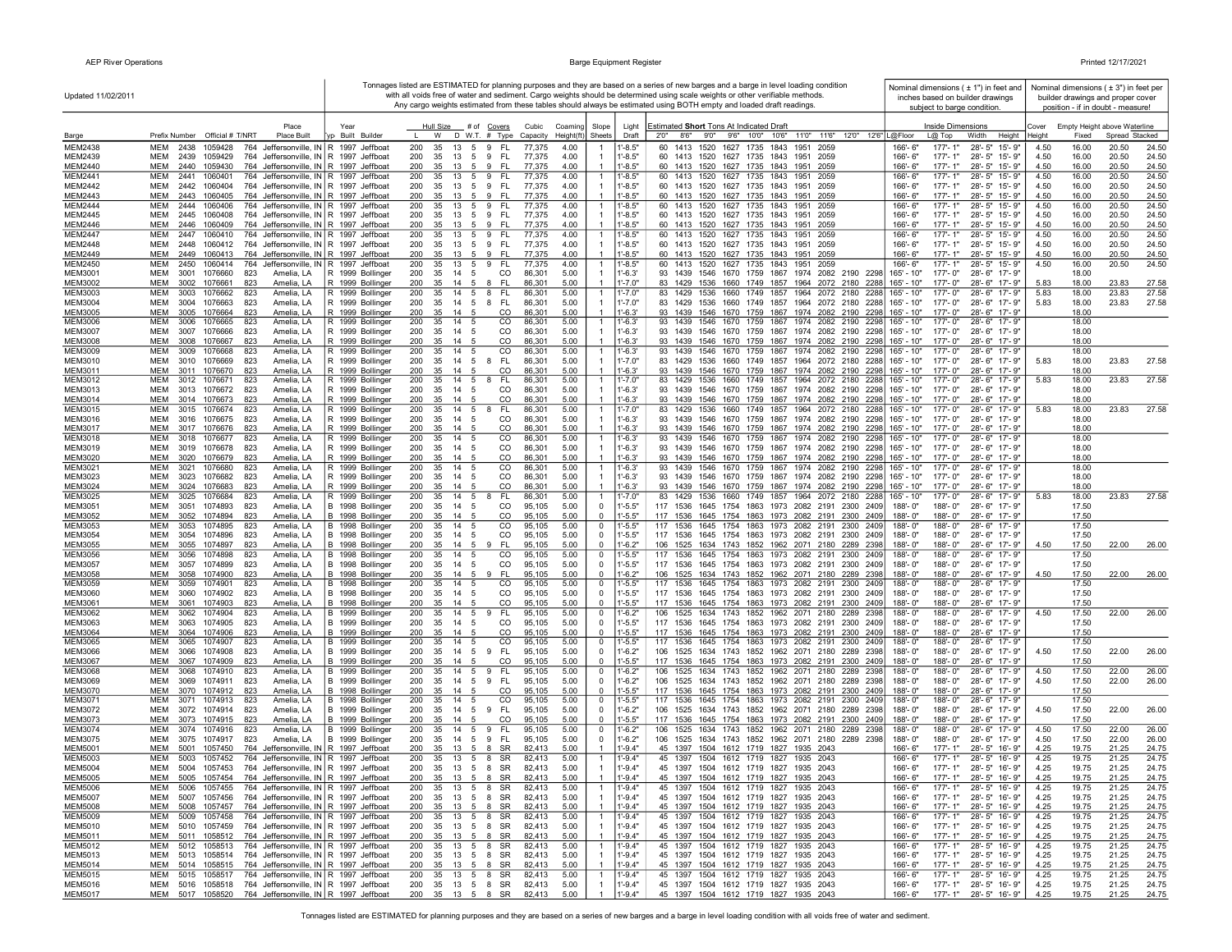| Updated 11/02/2011               |                                                                                                                                                    |                                                          | Any cargo weights estimated from these tables should always be estimated using BOTH empty and loaded draft readings. |                                                  |                            | Tonnages listed are ESTIMATED for planning purposes and they are based on a series of new barges and a barge in level loading condition<br>with all voids free of water and sediment. Cargo weights should be determined using scale weights or other verifiable methods |                            | Nominal dimensions ( $\pm$ 1") in feet and<br>inches based on builder drawings<br>subject to barge condition. |                 | Nominal dimensions ( $\pm$ 3") in feet per<br>builder drawings and proper cover<br>position - if in doubt - measure! |                |                |
|----------------------------------|----------------------------------------------------------------------------------------------------------------------------------------------------|----------------------------------------------------------|----------------------------------------------------------------------------------------------------------------------|--------------------------------------------------|----------------------------|--------------------------------------------------------------------------------------------------------------------------------------------------------------------------------------------------------------------------------------------------------------------------|----------------------------|---------------------------------------------------------------------------------------------------------------|-----------------|----------------------------------------------------------------------------------------------------------------------|----------------|----------------|
| Barge                            | Place<br>Prefix Number Official # T/NRT<br><b>Place Built</b>                                                                                      | Year<br>Built Builder                                    | Hull Size<br># of Covers<br>Cubic<br>W<br>$D$ W.T. $#$ Type<br>Capacity<br>Height(ft)                                | Coaming<br>Slope<br>Sheets                       | Light<br>Draft             | Estimated Short Tons At Indicated Draft<br>2'0"<br>8'6"<br>9'0" 9'6" 10'0" 10'6"<br>11'0" 11'6"<br>12'0" 12'6"   L@Floor                                                                                                                                                 |                            | Inside Dimensions<br>$L@$ Top<br>Width<br>Height                                                              | Cover<br>Height | Empty Height above Waterline<br>Fixed                                                                                | Spread Stacked |                |
| MEM2438                          | MEM<br>2438<br>1059428<br>764<br>Jeffersonville, IN R 1997                                                                                         | Jeffboat                                                 | 200<br>35<br>13<br>5<br>9<br>FL.<br>77,375                                                                           | 4.00                                             | $-8.5"$                    | 1413<br>1520 1627<br>1735<br>1843<br>1951<br>2059                                                                                                                                                                                                                        | 166'- 6"                   | $28 - 5"$<br>177'-1"<br>15'-9"                                                                                | 4.50            | 16.00                                                                                                                | 20.50          | 24.50          |
| <b>MEM2439</b>                   | <b>MEM</b><br>764 Jeffersonville, IN R 1997 Jeffboat<br>2439<br>1059429                                                                            |                                                          | 200<br>35<br>9<br>FL.<br>77,375<br>13<br>5                                                                           | 4.00<br>$\overline{1}$                           | $-8.5"$                    | 1413 1520 1627 1735<br>60<br>1843<br>1951<br>2059                                                                                                                                                                                                                        | 166'-6"                    | $177 - 1"$<br>28'-5" 15'-9"                                                                                   | 4.50            | 16.00                                                                                                                | 20.50          | 24.50          |
| <b>MEM2440</b><br><b>MEM2441</b> | <b>MEM</b><br>2440<br>1059430<br>764 Jeffersonville, IN R 1997 Jeffboat<br><b>MEM</b><br>2441<br>1060401<br>764 Jeffersonville, IN R 1997 Jeffboat |                                                          | 77,375<br>200<br>35<br>-13<br>-5<br>-9<br>- FL<br>200<br>35<br>13<br>5<br>9<br>FL.<br>77,375                         | 4.00<br>$\overline{1}$<br>4.00<br>-1             | $-8.5"$<br>$-8.5"$         | 1413 1520 1627 1735 1843 1951<br>60<br>2059<br>1413<br>1520 1627 1735<br>1843<br>60<br>1951<br>2059                                                                                                                                                                      | 166'-6"<br>166'-6"         | $177 - 1"$<br>28'-5" 15'-9"<br>$177 - 1"$<br>$28 - 5"$<br>$15 - 9$                                            | 4.50<br>4.50    | 16.00<br>16.00                                                                                                       | 20.50<br>20.50 | 24.50<br>24.50 |
| <b>MEM2442</b>                   | <b>MEM</b><br>764 Jeffersonville, IN R 1997 Jeffboat<br>2442<br>1060404                                                                            |                                                          | 200<br>FL.<br>77,375<br>35<br>- 13<br>9<br>- 5                                                                       | 4.00<br>$\overline{1}$                           | $1' - 8.5"$                | 60 1413 1520 1627 1735 1843 1951<br>2059                                                                                                                                                                                                                                 | 166'-6"                    | 28'-5" 15'-9"<br>$177 - 1"$                                                                                   | 4.50            | 16.00                                                                                                                | 20.50          | 24.50          |
| MEM2443                          | <b>MEM</b><br>764 Jeffersonville, IN R 1997 Jeffboat<br>2443<br>1060405                                                                            |                                                          | 200<br>- FL<br>77,375<br>35<br>13<br>9<br>- 5                                                                        | 4.00<br>$\overline{1}$                           | $-8.5"$                    | 60 1413 1520 1627 1735 1843 1951<br>2059                                                                                                                                                                                                                                 | 166'-6"                    | $177 - 1"$<br>28'-5" 15'-9"                                                                                   | 4.50            | 16.00                                                                                                                | 20.50          | 24.50          |
| <b>MEM2444</b>                   | MEM<br>2444<br>1060406<br>764 Jeffersonville, IN   R 1997 Jeffboat                                                                                 |                                                          | 200<br>FL.<br>77,375<br>35<br>13<br>5<br>9                                                                           | 4.00<br>$\overline{1}$                           | 1'-8.5"                    | 60 1413 1520 1627 1735 1843 1951<br>2059                                                                                                                                                                                                                                 | 166'-6"                    | $177 - 1"$<br>28'-5" 15'-9"                                                                                   | 4.50            | 16.00                                                                                                                | 20.50          | 24.50          |
| MEM2445<br>MEM2446               | MEM<br>2445<br>1060408<br>764 Jeffersonville, IN R 1997 Jeffboat<br><b>MEM</b><br>764 Jeffersonville, IN R 1997 Jeffboat<br>2446<br>1060409        |                                                          | 200<br>35<br>13<br>5 9<br>-FL<br>77,375<br>200<br>35<br>9<br>FL.<br>77,375<br>- 13<br>- 5                            | 4.00<br>$\overline{1}$<br>4.00<br>$\overline{1}$ | $1' - 8.5"$<br>$1' - 8.5"$ | 60 1413 1520 1627 1735 1843 1951 2059<br>60 1413 1520 1627 1735 1843 1951 2059                                                                                                                                                                                           | 166'-6"<br>$166 - 6"$      | 177'-1"<br>28'-5" 15'-9"<br>$177 - 1"$<br>28'-5" 15'-9"                                                       | 4.50<br>4.50    | 16.00<br>16.00                                                                                                       | 20.50<br>20.50 | 24.50<br>24.50 |
| <b>MEM2447</b>                   | <b>MEM</b><br>2447<br>1060410<br>764 Jeffersonville, IN R 1997 Jeffboat                                                                            |                                                          | 200<br>35<br>13<br>9<br>FL.<br>77,375<br>- 5                                                                         | 4.00                                             | $1'-8.5"$                  | 1413<br>1520 1627 1735 1843<br>60<br>1951<br>2059                                                                                                                                                                                                                        | 166'-6"                    | $177 - 1"$<br>28'-5" 15'-9"                                                                                   | 4.50            | 16.00                                                                                                                | 20.50          | 24.50          |
| <b>MEM2448</b>                   | MEM<br>2448<br>764 Jeffersonville, IN R 1997 Jeffboat<br>1060412                                                                                   |                                                          | 200<br>35<br>9<br>FL.<br>77,375<br>13<br>5                                                                           | 4.00<br>$\overline{1}$                           | $1' - 8.5"$                | 60 1413 1520 1627 1735 1843 1951 2059                                                                                                                                                                                                                                    | $166 - 6"$                 | $177 - 1"$<br>28'-5" 15'-9"                                                                                   | 4.50            | 16.00                                                                                                                | 20.50          | 24.50          |
| MEM2449                          | 764 Jeffersonville, IN R 1997 Jeffboat<br>MEM<br>2449<br>1060413                                                                                   |                                                          | 200<br>FL.<br>77,375<br>35<br>13<br>- 5<br>9<br>200<br>FL.<br>77,375                                                 | 4.00<br>$\overline{1}$                           | $-8.5"$                    | 60<br>1413 1520 1627 1735 1843<br>1951<br>2059<br>1413 1520 1627 1735                                                                                                                                                                                                    | 166'-6"                    | $177 - 1"$<br>28'-5" 15'-9"<br>28'-5" 15'-9"                                                                  | 4.50            | 16.00                                                                                                                | 20.50          | 24.50          |
| <b>MEM2450</b><br>MEM3001        | MEM<br>2450<br>1060414<br>764<br>MEM<br>3001<br>1076660<br>823<br>Amelia, LA                                                                       | Jeffersonville, IN   R 1997 Jeffboat<br>R 1999 Bollinger | 35<br>13<br>5<br>9<br>200<br>35<br>14<br>5<br>CO<br>86,301                                                           | 4.00<br>$\overline{1}$<br>5.00<br>$\overline{1}$ | $1 - 8.5"$<br>$1' - 6.3'$  | 60<br>1843<br>1951<br>2059<br>93<br>1439 1546 1670 1759 1867<br>1974 2082 2190 2298                                                                                                                                                                                      | 166'-6"<br>165' - 10"      | 177'-1"<br>177'-0"<br>28'-6" 17'-9"                                                                           | 4.50            | 16.00<br>18.00                                                                                                       | 20.50          | 24.50          |
| <b>MEM3002</b>                   | <b>MEM</b><br>3002<br>1076661<br>823<br>Amelia, LA                                                                                                 | R 1999 Bollinger                                         | 200<br>35<br><b>FL</b><br>86,301<br>14<br>- 5<br>-8                                                                  | 5.00<br>$\overline{1}$                           | "-7.0"                     | 83<br>1429 1536 1660 1749 1857 1964 2072 2180 2288                                                                                                                                                                                                                       | 165' - 10"                 | 28'-6" 17'-9"<br>$177 - 0$ "                                                                                  | 5.83            | 18.00                                                                                                                | 23.83          | 27.58          |
| MEM3003                          | <b>MEM</b><br>3003<br>1076662<br>823<br>Amelia, LA                                                                                                 | R 1999 Bollinger                                         | 200<br>35<br>14<br>FL.<br>86,301<br>- 5<br>8                                                                         | 5.00                                             | "-7.0"                     | 83<br>1536<br>1660<br>1749<br>1857<br>1964<br>2072<br>1429<br>2180<br>2288                                                                                                                                                                                               | 165' - 10"                 | 177'-0"<br>28'-6"<br>$17 - 9"$                                                                                | 5.83            | 18.00                                                                                                                | 23.83          | 27.58          |
| <b>MEM3004</b><br>MEM3005        | <b>MEM</b><br>Amelia, LA<br>3004<br>1076663<br>823<br><b>MEM</b><br>3005<br>1076664<br>823<br>Amelia, LA                                           | R 1999 Bollinger<br>R 1999 Bollinger                     | 200<br>FL.<br>86,301<br>35<br>14<br>- 5<br>8<br>200<br>86,301<br>35<br>-14<br>CO<br>- 5                              | 5.00<br>$\mathbf{1}$<br>5.00<br>$\overline{1}$   | $1' - 7.0"$<br>$1 - 6.3'$  | 83<br>1536 1660 1749 1857<br>1964 2072 2180 2288<br>1429<br>93<br>1439 1546 1670 1759 1867 1974 2082 2190 2298                                                                                                                                                           | 165' - 10"<br>$165' - 10"$ | 28'-6" 17'-9"<br>$177 - 0$ "<br>177'-0"<br>28'-6" 17'-9"                                                      | 5.83            | 18.00<br>18.00                                                                                                       | 23.83          | 27.58          |
| <b>MEM3006</b>                   | MEM<br>823<br>3006<br>1076665<br>Amelia, LA                                                                                                        | R 1999 Bollinger                                         | 200<br>14<br>CO<br>86,301<br>35<br>- 5                                                                               | 5.00<br>$\overline{1}$                           | l'-6.3'                    | 93<br>1439<br>1546<br>1670 1759 1867<br>1974 2082 2190 2298                                                                                                                                                                                                              | 165' - 10"                 | 177'-0"<br>28'-6" 17'-9"                                                                                      |                 | 18.00                                                                                                                |                |                |
| MEM3007                          | MEM<br>3007<br>1076666<br>823<br>Amelia, LA                                                                                                        | R 1999 Bollinger                                         | 200<br>35<br>14<br>CO<br>86,301<br>- 5                                                                               | 5.00<br>$\overline{1}$                           | $1' - 6.3'$                | 93<br>1439<br>1546<br>1670 1759 1867<br>1974 2082 2190 2298                                                                                                                                                                                                              | 165' - 10"                 | 177'-0"<br>28'-6" 17'-9"                                                                                      |                 | 18.00                                                                                                                |                |                |
| <b>MEM3008</b>                   | <b>MEM</b><br>3008<br>1076667<br>823<br>Amelia, LA                                                                                                 | R 1999 Bollinger                                         | 200<br>35<br>CO<br>86,301<br>14<br>-5                                                                                | 5.00<br>$\overline{1}$                           | $1' - 6.3'$                | 1546 1670 1759 1867<br>1974 2082 2190 2298<br>93 1439<br>93<br>1439                                                                                                                                                                                                      | 165' - 10"                 | $177 - 0"$<br>28'-6" 17'-9"                                                                                   |                 | 18.00                                                                                                                |                |                |
| <b>MEM3009</b><br>MEM3010        | MEM<br>3009<br>1076668<br>823<br>Amelia, LA<br>Amelia, LA<br>MEM<br>3010<br>1076669<br>823                                                         | R 1999 Bollinger<br>R 1999 Bollinger                     | 200<br>35<br>14<br>CO<br>86,301<br>200<br>35<br>14<br><b>FL</b><br>86,301<br>- 5<br>- 8                              | 5.00<br>$\overline{1}$<br>5.00<br>-1             | 1'-6.3'<br>$1' - 7.0"$     | 1546<br>1670 1759 1867<br>1974 2082 2190 2298<br>83 1429<br>1536<br>1660 1749 1857 1964 2072 2180 2288                                                                                                                                                                   | 165' - 10"<br>165' - 10"   | 177'-0"<br>28'-6" 17'-9"<br>177'-0"<br>28'-6" 17'-9"                                                          | 5.83            | 18.00<br>18.00                                                                                                       | 23.83          | 27.58          |
| MEM3011                          | 1076670<br>Amelia, LA<br>MEM<br>3011<br>823                                                                                                        | R 1999 Bollinger                                         | 200<br>CO<br>86,301<br>35<br>-14                                                                                     | 5.00<br>$\overline{1}$                           | $-6.3'$                    | 1439 1546 1670 1759 1867 1974 2082 2190 2298<br>93                                                                                                                                                                                                                       | 165' - 10"                 | 177'-0"<br>28'-6" 17'-9"                                                                                      |                 | 18.00                                                                                                                |                |                |
| <b>MEM3012</b>                   | 823<br>MEM<br>3012<br>1076671<br>Amelia, LA                                                                                                        | R 1999 Bollinger                                         | 200<br>35<br>14<br>5<br><b>FL</b><br>86,301<br>-8                                                                    | 5.00<br>$\overline{1}$                           | 1'-7.0"                    | 1964 2072 2180 2288<br>83<br>1429 1536<br>1660 1749 1857                                                                                                                                                                                                                 | 165' - 10"                 | 177'-0"<br>28'-6" 17'-9"                                                                                      | 5.83            | 18.00                                                                                                                | 23.83          | 27.58          |
| MEM3013<br>MEM3014               | MEM<br>3013<br>1076672<br>823<br>Amelia, LA<br><b>MEM</b><br>823<br>3014<br>1076673<br>Amelia, LA                                                  | R 1999 Bollinger<br>R 1999 Bollinger                     | 200<br>35<br>14<br>-5<br>CO<br>86,301<br>200<br>35<br>CO<br>86,301<br>14                                             | 5.00<br>$\overline{1}$<br>5.00                   | 1'-6.3'<br>$-6.3'$         | 1439<br>1546 1670 1759<br>1867<br>1974 2082 2190 2298<br>93<br>1546 1670 1759 1867<br>1974 2082 2190<br>93<br>1439<br>2298                                                                                                                                               | 165' - 10"<br>165' - 10"   | 177'-0"<br>28'-6" 17'-9"<br>177'-0"<br>28'-6" 17'-9"                                                          |                 | 18.00<br>18.00                                                                                                       |                |                |
| MEM3015                          | MEM<br>3015<br>1076674<br>823<br>Amelia, LA                                                                                                        | R 1999 Bollinger                                         | 200<br>35<br>14<br>5<br>8<br><b>FL</b><br>86,301                                                                     | 5.00<br>$\overline{1}$                           | 1'-7.0"                    | 83<br>1429<br>1536 1660<br>1749 1857<br>1964 2072 2180 2288                                                                                                                                                                                                              | 165' - 10"                 | 177'-0"<br>28'-6"<br>17'-9"                                                                                   | 5.83            | 18.00                                                                                                                | 23.83          | 27.58          |
| MEM3016                          | <b>MEM</b><br>1076675<br>823<br>Amelia, LA<br>3016                                                                                                 | R 1999 Bollinger                                         | 200<br>35<br>14<br><sub>CO</sub><br>86,301<br>- 5                                                                    | 5.00<br>$\overline{1}$                           | $1 - 6.3'$                 | 1546 1670 1759 1867<br>1974 2082 2190 2298<br>93<br>1439                                                                                                                                                                                                                 | $165' - 10"$               | 177'-0"<br>28'-6" 17'-9"                                                                                      |                 | 18.00                                                                                                                |                |                |
| MEM3017                          | <b>MEM</b><br>3017 1076676<br>823<br>Amelia, LA                                                                                                    | R 1999 Bollinger                                         | 200<br>35<br>CO<br>86,301<br>14                                                                                      | 5.00<br>$\overline{1}$                           | $1'-6.3'$                  | 93<br>1546 1670 1759 1867 1974 2082 2190 2298<br>1439<br>1546 1670 1759 1867                                                                                                                                                                                             | $165' - 10"$               | 177'-0"<br>28'-6" 17'-9"<br>28'-6" 17'-9"                                                                     |                 | 18.00                                                                                                                |                |                |
| <b>MEM3018</b><br>MEM3019        | 823<br>MEM<br>3018<br>1076677<br>Amelia, LA<br>MEM<br>3019<br>1076678<br>823<br>Amelia, LA                                                         | R 1999 Bollinger<br>R 1999 Bollinger                     | 200<br>14<br>CO<br>86,301<br>35<br>- 5<br>200<br>35<br>14<br>CO<br>86,301                                            | 5.00<br>$\overline{1}$<br>5.00<br>$\overline{1}$ | $1'-6.3'$<br>$1' - 6.3'$   | 1974 2082 2190 2298<br>93 1439<br>93 1439<br>1546 1670 1759 1867 1974 2082 2190 2298                                                                                                                                                                                     | 165' - 10"<br>165' - 10"   | 177'-0"<br>177'-0"<br>28'-6" 17'-9"                                                                           |                 | 18.00<br>18.00                                                                                                       |                |                |
| <b>MEM3020</b>                   | MEM<br>3020<br>1076679<br>823<br>Amelia, LA                                                                                                        | R 1999 Bollinger                                         | 200<br>35<br>14<br>CO<br>86,301                                                                                      | 5.00<br>$\overline{1}$                           | $1' - 6.3'$                | 93 1439<br>1546 1670 1759 1867 1974 2082 2190 2298                                                                                                                                                                                                                       | 165' - 10"                 | 177'-0"<br>28'-6" 17'-9"                                                                                      |                 | 18.00                                                                                                                |                |                |
| MEM3021                          | MEM<br>3021<br>1076680<br>823<br>Amelia, LA                                                                                                        | R 1999 Bollinger                                         | 200<br>CO<br>35<br>14 5<br>86,301                                                                                    | 5.00<br>$\overline{1}$                           | $1' - 6.3'$                | 93 1439 1546 1670 1759 1867 1974 2082 2190 2298                                                                                                                                                                                                                          | 165' - 10"                 | 177'-0"<br>28'-6" 17'-9"                                                                                      |                 | 18.00                                                                                                                |                |                |
| <b>MEM3023</b><br><b>MEM3024</b> | MEM<br>3023<br>1076682<br>Amelia, LA<br>823<br><b>MEM</b><br>3024<br>1076683<br>Amelia, LA<br>823                                                  | R 1999 Bollinger<br>R 1999 Bollinger                     | 200<br>35<br>14<br>CO<br>86,301<br>- 5<br>200<br>35<br>CO<br>86,301<br>14<br>- 5                                     | 5.00<br>$\overline{1}$<br>5.00<br>$\overline{1}$ | $1'-6.3'$<br>$1' - 6.3'$   | 1546 1670 1759 1867 1974 2082 2190 2298<br>93 1439<br>93<br>1546 1670 1759 1867 1974 2082 2190 2298<br>1439                                                                                                                                                              | $165' - 10"$<br>165' - 10" | 177'-0"<br>28'-6" 17'-9"<br>177'-0"<br>28'-6" 17'-9'                                                          |                 | 18.00<br>18.00                                                                                                       |                |                |
| MEM3025                          | MEM<br>823<br>3025<br>1076684<br>Amelia, LA                                                                                                        | R 1999 Bollinger                                         | 200<br>35<br>14<br>FL.<br>86,301<br>5<br>-8                                                                          | 5.00<br>$\overline{1}$                           | $1' - 7.0"$                | 1660 1749 1857 1964 2072 2180 2288<br>83<br>1429<br>1536                                                                                                                                                                                                                 | 165' - 10"                 | 28'-6" 17'-9"<br>177'-0"                                                                                      | 5.83            | 18.00                                                                                                                | 23.83          | 27.58          |
| MEM3051                          | MEM<br>3051<br>1074893<br>823<br>Amelia, LA                                                                                                        | B 1998 Bollinger                                         | 200<br>35<br>14<br>-5<br>CO<br>95,105                                                                                | 5.00<br>0                                        | $1' - 5.5"$                | 117<br>1536<br>1645 1754 1863 1973 2082 2191<br>2300 2409                                                                                                                                                                                                                | 188'-0"                    | 188'-0"<br>28'-6" 17'-9"                                                                                      |                 | 17.50                                                                                                                |                |                |
| MEM3052                          | MEM<br>3052<br>1074894<br>823<br>Amelia, LA                                                                                                        | B 1998 Bollinger                                         | 200<br>35<br>14<br>CO<br>95,105<br>-5                                                                                | 5.00<br>0                                        | $1' - 5.5"$                | 117<br>1536<br>1645 1754 1863 1973 2082 2191 2300 2409                                                                                                                                                                                                                   | 188'-0"                    | 188'-0"<br>28'-6" 17'-9"                                                                                      |                 | 17.50                                                                                                                |                |                |
| MEM3053<br><b>MEM3054</b>        | MEM<br>3053<br>1074895<br>823<br>Amelia, LA<br><b>MEM</b><br>1074896<br>823<br>Amelia, LA<br>3054                                                  | B 1998 Bollinger<br>B 1998 Bollinger                     | 200<br>CO<br>35<br>14<br>-5<br>95,105<br>200<br>35<br>14<br>CO<br>95,105<br>- 5                                      | 5.00<br>0<br>5.00<br>$\mathbf 0$                 | $1' - 5.5"$<br>$1' - 5.5"$ | 117<br>1536<br>1645 1754 1863<br>1973 2082 2191<br>2300 2409<br>117 1536<br>1645 1754 1863 1973 2082 2191 2300 2409                                                                                                                                                      | 188'-0"<br>188'-0"         | 188'-0"<br>28'-6" 17'-9'<br>188'-0"<br>28'-6" 17'-9"                                                          |                 | 17.50<br>17.50                                                                                                       |                |                |
| <b>MEM3055</b>                   | <b>MEM</b><br>3055<br>1074897<br>823<br>Amelia, LA                                                                                                 | B 1998 Bollinger                                         | 200<br>35<br>- FL<br>95.105<br>14 5<br>-9                                                                            | 5.00<br>$\mathbf 0$                              | $1 - 6.2"$                 | 106 1525 1634 1743 1852 1962 2071 2180 2289 2398                                                                                                                                                                                                                         | 188'-0"                    | 188'-0"<br>28'-6" 17'-9"                                                                                      | 4.50            | 17.50                                                                                                                | 22.00          | 26.00          |
| <b>MEM3056</b>                   | 1074898<br>823<br>MEM<br>3056<br>Amelia, LA                                                                                                        | B 1998 Bollinger                                         | 200<br>35<br>14<br>CO<br>95,105<br>-5                                                                                | 5.00<br>$^{\circ}$                               | $-5.5"$                    | 117 1536<br>1645 1754 1863 1973 2082 2191 2300 2409                                                                                                                                                                                                                      | 188'-0"                    | 188'-0"<br>28'-6" 17'-9"                                                                                      |                 | 17.50                                                                                                                |                |                |
| MEM3057<br><b>MEM3058</b>        | MEM<br>3057<br>1074899<br>823<br>Amelia, LA<br>MEM<br>3058<br>1074900<br>823<br>Amelia, LA                                                         | B<br>1998 Bollinger<br>B 1998 Bollinger                  | 200<br>CO<br>35<br>95,105<br>-14<br>-5<br>200<br>35<br>14 5<br>9<br>-FL<br>95,105                                    | 5.00<br>$\Omega$<br>5.00<br>0                    | $1' - 5.5"$<br>$1' - 6.2"$ | 117 1536<br>1645 1754 1863 1973 2082 2191 2300 2409<br>106 1525 1634 1743 1852 1962 2071 2180 2289 2398                                                                                                                                                                  | 188'-0"<br>188'-0"         | 188'-0"<br>28'-6" 17'-9"<br>188'-0"<br>28'-6" 17'-9"                                                          | 4.50            | 17.50<br>17.50                                                                                                       | 22.00          | 26.00          |
| <b>MEM3059</b>                   | 1074901<br>MEM<br>3059<br>823<br>Amelia, LA                                                                                                        | B 1998 Bollinger                                         | CO<br>200<br>35<br>14<br>95,105                                                                                      | 5.00<br>0                                        | $1' - 5.5"$                | 1536 1645 1754 1863 1973 2082 2191<br>117<br>2300 2409                                                                                                                                                                                                                   | 188'-0"                    | 188'-0"<br>28'-6" 17'-9"                                                                                      |                 | 17.50                                                                                                                |                |                |
| MEM3060                          | MEM<br>3060<br>1074902<br>823<br>Amelia, LA                                                                                                        | B 1998 Bollinger                                         | 95,105<br>200<br>35<br>14<br>CO<br>- 5                                                                               | 5.00<br>0                                        | $1' - 5.5"$                | 117 1536<br>1645 1754 1863 1973 2082 2191 2300 2409                                                                                                                                                                                                                      | 188'-0"                    | 188'-0"<br>28'-6" 17'-9"                                                                                      |                 | 17.50                                                                                                                |                |                |
| MEM3061                          | <b>MEM</b><br>3061<br>1074903<br>Amelia, LA<br>823<br>MEM                                                                                          | B 1998 Bollinger                                         | 200<br>35<br>CO<br>95,105<br>$14 \quad 5$<br>5<br>FL.                                                                | 5.00<br>$\Omega$                                 | $-5.5"$                    | 117 1536 1645 1754 1863 1973 2082 2191 2300 2409<br>1634 1743 1852 1962 2071 2180                                                                                                                                                                                        | 188'-0"                    | 188'-0"<br>28'-6" 17'-9"<br>188'-0"                                                                           |                 | 17.50                                                                                                                |                | 26.00          |
| <b>MEM3062</b><br>MEM3063        | 3062<br>1074904<br>823<br>Amelia, LA<br>MEM<br>Amelia, LA<br>3063<br>1074905<br>823                                                                | B 1999 Bollinger<br>B 1999 Bollinger                     | 200<br>35<br>95,105<br>14<br>9<br>200<br>35<br>CO<br>95,105<br>-14<br>-5                                             | 5.00<br>0<br>5.00<br>$^{\circ}$                  | $-6.2"$<br>$-5.5"$         | 106<br>1525<br>2289 2398<br>1645 1754 1863 1973 2082 2191<br>117<br>1536<br>2300<br>2409                                                                                                                                                                                 | 188'-0"<br>188'-0"         | 28'-6" 17'-9"<br>188'-0"<br>28'-6" 17'-9"                                                                     | 4.50            | 17.50<br>17.50                                                                                                       | 22.00          |                |
| MEM3064                          | MEM<br>3064<br>1074906<br>823<br>Amelia, LA                                                                                                        | B 1999 Bollinger                                         | 200<br>35<br>14<br>CO<br>95,105<br>-5                                                                                | 5.00<br>0                                        | $-5.5"$                    | 117<br>1536<br>1645 1754 1863 1973 2082 2191 2300<br>2409                                                                                                                                                                                                                | 188'-0"                    | 188'-0"<br>28'-6" 17'-9"                                                                                      |                 | 17.50                                                                                                                |                |                |
| <b>MEM3065</b>                   | <b>MEM</b><br>3065<br>1074907<br>823<br>Amelia, LA                                                                                                 | B 1999 Bollinger                                         | 200<br>CO<br>95,105<br>35<br>14<br>-5                                                                                | 5.00<br>0                                        | $1' - 5.5"$                | 1645 1754 1863 1973<br>117<br>1536<br>2082 2191<br>2300 2409                                                                                                                                                                                                             | 188'-0"                    | 188'-0"<br>28'-6" 17'-9'                                                                                      |                 | 17.50                                                                                                                |                |                |
| <b>MEM3066</b><br><b>MEM3067</b> | MEM<br>3066<br>1074908<br>823<br>Amelia, LA<br><b>MEM</b><br>3067<br>1074909<br>823<br>Amelia, LA                                                  | B 1999 Bollinger<br>B 1999 Bollinger                     | 95,105<br>200<br>35<br>14<br>5<br>9<br>FL.<br>200<br>35<br>CO<br>95,105<br>-14<br>- 5                                | 5.00<br>0<br>5.00<br>$\mathbf 0$                 | $1 - 6.2"$<br>$-5.5"$      | 106<br>1525<br>1634 1743 1852 1962 2071 2180 2289<br>2398<br>117 1536<br>1645 1754 1863 1973 2082 2191 2300 2409                                                                                                                                                         | 188'-0"<br>188'-0"         | 188'-0"<br>28'-6" 17'-9'<br>188'-0"<br>28'-6" 17'-9"                                                          | 4.50            | 17.50<br>17.50                                                                                                       | 22.00          | 26.00          |
| <b>MEM3068</b>                   | 1074910<br>823<br><b>MEM</b><br>3068<br>Amelia, LA                                                                                                 | B 1999 Bollinger                                         | 200<br>35<br>14<br><b>FL</b><br>95,105<br>5<br>9                                                                     | 5.00<br>$\mathbf 0$                              | $1 - 6.2"$                 | 1525 1634 1743 1852 1962 2071 2180 2289<br>106<br>2398                                                                                                                                                                                                                   | 188'-0"                    | 188'-0"<br>28'-6" 17'-9'                                                                                      | 4.50            | 17.50                                                                                                                | 22.00          | 26.00          |
| MEM3069                          | MEM<br>3069<br>1074911<br>823<br>Amelia, LA                                                                                                        | B 1999 Bollinger                                         | 200<br>FL.<br>35<br>14<br>5<br>9<br>95,105                                                                           | 5.00<br>0                                        | $1 - 6.2"$                 | 106 1525 1634 1743 1852 1962 2071 2180 2289<br>2398                                                                                                                                                                                                                      | 188'-0"                    | 188'-0"<br>28'-6" 17'-9"                                                                                      | 4.50            | 17.50                                                                                                                | 22.00          | 26.00          |
| <b>MEM3070</b><br>MEM3071        | MEM<br>3070<br>1074912<br>823<br>Amelia, LA<br>MEM<br>3071<br>1074913<br>823<br>Amelia, LA                                                         | B 1998 Bollinger<br>B 1998 Bollinger                     | 200<br>35<br>14<br>CO<br>95,105<br>200<br>35<br>14<br>CO<br>95,105<br>- 5                                            | 5.00<br>$\Omega$<br>5.00<br>$\mathbf 0$          | $-5.5"$<br>1'-5.5"         | 117 1536 1645 1754 1863 1973 2082 2191<br>2300 2409<br>117 1536 1645 1754 1863 1973 2082 2191 2300 2409                                                                                                                                                                  | 188'-0"<br>188'-0"         | 188'-0"<br>28'-6" 17'-9"<br>188'-0"<br>28'-6" 17'-9"                                                          |                 | 17.50<br>17.50                                                                                                       |                |                |
| MEM3072                          | MEM<br>3072 1074914<br>823<br>Amelia, LA                                                                                                           | B 1999 Bollinger                                         | 200<br>14 5 9<br>FL.<br>95,105<br>35                                                                                 | 5.00<br>$\mathbf 0$                              | $1' - 6.2"$                | 106 1525 1634 1743 1852 1962 2071 2180 2289 2398                                                                                                                                                                                                                         | 188'-0"                    | 188'-0"<br>28'-6" 17'-9"                                                                                      | 4.50            | 17.50                                                                                                                | 22.00          | 26.00          |
| <b>MEM3073</b>                   | <b>MEM</b><br>3073<br>1074915<br>823<br>Amelia, LA                                                                                                 | B 1999 Bollinger                                         | 200<br>CO<br>95,105<br>35<br>14                                                                                      | 5.00<br>$\Omega$                                 | $-5.5"$                    | 117 1536 1645 1754 1863 1973 2082 2191 2300 2409                                                                                                                                                                                                                         | 188'-0"                    | 188'-0"<br>28'-6" 17'-9'                                                                                      |                 | 17.50                                                                                                                |                |                |
| <b>MEM3074</b>                   | MEM<br>3074<br>1074916<br>823<br>Amelia, LA                                                                                                        | B 1999 Bollinger                                         | 200<br>35<br>14<br>FL<br>95,105<br>5<br>9                                                                            | 5.00<br>$\mathbf 0$                              | $1' - 6.2"$                | 106 1525 1634 1743 1852 1962 2071 2180 2289 2398                                                                                                                                                                                                                         | 188'-0"                    | 188'-0"<br>28'-6" 17'-9"                                                                                      | 4.50            | 17.50                                                                                                                | 22.00          | 26.00          |
| MEM3075<br>MEM500                | MEM<br>1074917<br>823<br>Amelia, LA<br>3075<br>MEM<br>5001<br>1057450<br>764                                                                       | B 1999 Bollinger<br>Jeffersonville, IN   R 1997 Jeffboat | 200<br>35<br>14<br>5<br>9<br>FL.<br>95,105<br>200<br>35<br>13<br>- 5<br>8<br>SR<br>82,413                            | 5.00<br>0<br>5.00                                | $1' - 6.2"$<br>$1' - 9.4"$ | 106 1525 1634 1743 1852 1962 2071 2180<br>2289 2398<br>45 1397 1504 1612 1719 1827 1935 2043                                                                                                                                                                             | 188'-0"<br>166'- 6"        | 188'-0"<br>28'-6" 17'-9"<br>28'-5" 16'-9"<br>$177 - 1"$                                                       | 4.50<br>4.25    | 17.50<br>19.75                                                                                                       | 22.00<br>21.25 | 26.00<br>24.75 |
| MEM5003                          | MEM<br>5003<br>1057452<br>764 Jeffersonville, IN R 1997 Jeffboat                                                                                   |                                                          | 200<br>35<br>13 5 8 SR<br>82,413                                                                                     | 5.00<br>$\mathbf{1}$                             | $1' - 9.4"$                | 45 1397 1504 1612 1719 1827 1935 2043                                                                                                                                                                                                                                    | 166'-6"                    | 177'-1"<br>28'-5" 16'-9"                                                                                      | 4.25            | 19.75                                                                                                                | 21.25          | 24.75          |
| <b>MEM5004</b>                   | MEM<br>5004 1057453<br>764 Jeffersonville, IN R 1997 Jeffboat                                                                                      |                                                          | 200<br>35<br>13<br>5<br>8 SR<br>82,413                                                                               | 5.00                                             | $1' - 9.4"$                | 45 1397 1504 1612 1719 1827 1935 2043                                                                                                                                                                                                                                    | 166'-6"                    | 177'-1"<br>28'-5" 16'-9"                                                                                      | 4.25            | 19.75                                                                                                                | 21.25          | 24.75          |
| <b>MEM5005</b><br><b>MEM5006</b> | MEM 5005 1057454 764 Jeffersonville, IN R 1997 Jeffboat<br>MEM<br>5006 1057455<br>764 Jeffersonville, IN R 1997 Jeffboat                           |                                                          | 200 35 13 5 8 SR<br>82,413<br>200<br>13 5 8 SR<br>35<br>82,413                                                       | 5.00<br>$\overline{1}$<br>5.00<br>$\overline{1}$ | $1' - 9.4"$<br>$1' - 9.4"$ | 45 1397 1504 1612 1719 1827 1935 2043<br>45 1397 1504 1612 1719 1827 1935 2043                                                                                                                                                                                           | 166'-6"<br>$166 - 6"$      | 177'-1"<br>28'-5" 16'-9"<br>$177 - 1"$<br>28'-5" 16'-9"                                                       | 4.25<br>4.25    | 19.75<br>19.75                                                                                                       | 21.25<br>21.25 | 24.75<br>24.75 |
| <b>MEM5007</b>                   | 5007 1057456 764 Jeffersonville, IN R 1997 Jeffboat<br><b>MEM</b>                                                                                  |                                                          | 200<br>35 13 5 8 SR<br>82,413                                                                                        | 5.00<br>$\overline{1}$                           | $1' - 9.4"$                | 45 1397 1504 1612 1719 1827 1935 2043                                                                                                                                                                                                                                    | 166'-6"                    | 177'-1" 28'-5" 16'-9"                                                                                         | 4.25            | 19.75                                                                                                                | 21.25          | 24.75          |
| <b>MEM5008</b>                   | 5008 1057457 764 Jeffersonville, IN R 1997 Jeffboat<br>MEM                                                                                         |                                                          | 200<br>35 13 5 8 SR<br>82,413                                                                                        | 5.00<br>$\overline{1}$                           | $1' - 9.4"$                | 45 1397 1504 1612 1719 1827 1935 2043                                                                                                                                                                                                                                    | 166'-6"                    | 177'-1" 28'-5" 16'-9"                                                                                         | 4.25            | 19.75                                                                                                                | 21.25          | 24.75          |
| <b>MEM5009</b>                   | MEM<br>5009 1057458<br>764 Jeffersonville, IN R 1997 Jeffboat                                                                                      |                                                          | 200<br>35 13 5 8 SR<br>82,413                                                                                        | 5.00<br>$\overline{1}$                           | $1' - 9.4"$                | 45 1397 1504 1612 1719 1827 1935 2043                                                                                                                                                                                                                                    | 166'-6"                    | 177'-1"<br>28'-5" 16'-9"                                                                                      | 4.25            | 19.75                                                                                                                | 21.25          | 24.75          |
| <b>MEM5010</b><br><b>MEM5011</b> | 5010 1057459<br>764 Jeffersonville, IN R 1997 Jeffboat<br><b>MEM</b><br>MEM<br>5011 1058512<br>764 Jeffersonville, IN R 1997 Jeffboat              |                                                          | 200 35 13 5 8 SR<br>82,413<br>200<br>35 13 5 8 SR<br>82,413                                                          | 5.00<br>$\overline{1}$<br>5.00<br>$\overline{1}$ | $1' - 9.4"$<br>$1' - 9.4"$ | 45 1397 1504 1612 1719 1827 1935 2043<br>45 1397 1504 1612 1719 1827 1935 2043                                                                                                                                                                                           | 166'-6"<br>166'-6"         | 177'-1" 28'-5" 16'-9"<br>177'-1" 28'-5" 16'-9"                                                                | 4.25<br>4.25    | 19.75<br>19.75                                                                                                       | 21.25<br>21.25 | 24.75<br>24.75 |
| <b>MEM5012</b>                   | 764 Jeffersonville, IN R 1997 Jeffboat<br>MEM<br>5012 1058513                                                                                      |                                                          | 200<br>35 13 5 8 SR<br>82,413                                                                                        | 5.00<br>$\overline{1}$                           | $1' - 9.4"$                | 45 1397 1504 1612 1719 1827 1935 2043                                                                                                                                                                                                                                    | 166'-6"                    | 177'-1"<br>28'-5" 16'-9"                                                                                      | 4.25            | 19.75                                                                                                                | 21.25          | 24.75          |
| <b>MEM5013</b>                   | 764 Jeffersonville, IN R 1997 Jeffboat<br>MEM<br>5013 1058514                                                                                      |                                                          | 200<br>35 13 5 8 SR<br>82,413                                                                                        | 5.00<br>$\overline{1}$                           | $1' - 9.4"$                | 45 1397 1504 1612 1719 1827 1935 2043                                                                                                                                                                                                                                    | 166'-6"                    | 177'-1" 28'-5" 16'-9"                                                                                         | 4.25            | 19.75                                                                                                                | 21.25          | 24.75          |
| <b>MEM5014</b><br><b>MEM5015</b> | 764 Jeffersonville, IN R 1997 Jeffboat<br>5014 1058515<br>MEM<br>764 Jeffersonville, IN R 1997 Jeffboat<br>MEM<br>5015 1058517                     |                                                          | 200<br>35 13 5 8 SR<br>82,413<br>200<br>35 13 5 8 SR<br>82,413                                                       | 5.00<br>$\overline{1}$<br>5.00<br>$\overline{1}$ | $1' - 9.4"$<br>$1' - 9.4"$ | 45 1397 1504 1612 1719 1827 1935 2043<br>45 1397 1504 1612 1719 1827 1935 2043                                                                                                                                                                                           | 166'-6"<br>166'-6"         | 177'-1"<br>28'-5" 16'-9"<br>28'-5" 16'-9"<br>177'- 1"                                                         | 4.25<br>4.25    | 19.75<br>19.75                                                                                                       | 21.25<br>21.25 | 24.75<br>24.75 |
| <b>MEM5016</b>                   | <b>MEM</b><br>5016 1058518<br>764 Jeffersonville, IN R 1997 Jeffboat                                                                               |                                                          | 200 35 13 5 8 SR<br>82,413                                                                                           | 5.00<br>$\overline{1}$                           | $1' - 9.4"$                | 45 1397 1504 1612 1719 1827 1935 2043                                                                                                                                                                                                                                    | 166'-6"                    | 177'-1" 28'-5" 16'-9"                                                                                         | 4.25            | 19.75                                                                                                                | 21.25          | 24.75          |
| <b>MEM5017</b>                   | MEM 5017 1058520<br>764 Jeffersonville, IN R 1997 Jeffboat                                                                                         |                                                          | 200 35 13 5 8 SR<br>82,413                                                                                           | 5.00                                             | $1' - 9.4"$                | 45 1397 1504 1612 1719 1827 1935 2043                                                                                                                                                                                                                                    | 166'-6"                    | 177'-1" 28'-5" 16'-9"                                                                                         | 4.25            | 19.75                                                                                                                | 21.25          | 24.75          |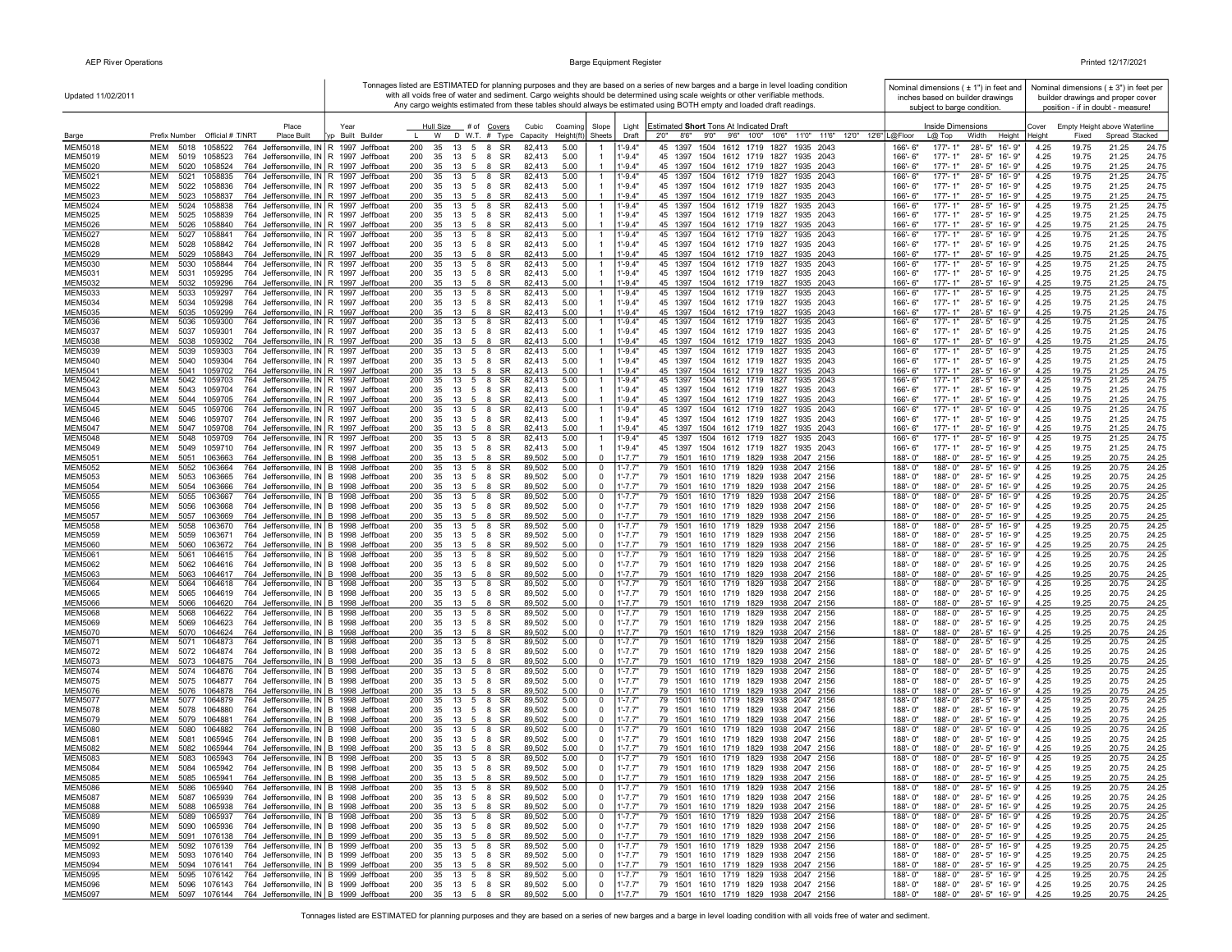| Updated 11/02/2011               |                                                                                                                                                    |                          |                                                                        |                              |                                            |                                  |                            | Tonnages listed are ESTIMATED for planning purposes and they are based on a series of new barges and a barge in level loading condition<br>with all voids free of water and sediment. Cargo weights should be determined using scale weights or other verifiable methods.<br>Any cargo weights estimated from these tables should always be estimated using BOTH empty and loaded draft readings. |                           | subject to barge condition.     | Nominal dimensions $(± 1")$ in feet and<br>inches based on builder drawings |                 |                | Nominal dimensions $(±3")$ in feet per<br>builder drawings and proper cover<br>position - if in doubt - measure! |                |
|----------------------------------|----------------------------------------------------------------------------------------------------------------------------------------------------|--------------------------|------------------------------------------------------------------------|------------------------------|--------------------------------------------|----------------------------------|----------------------------|---------------------------------------------------------------------------------------------------------------------------------------------------------------------------------------------------------------------------------------------------------------------------------------------------------------------------------------------------------------------------------------------------|---------------------------|---------------------------------|-----------------------------------------------------------------------------|-----------------|----------------|------------------------------------------------------------------------------------------------------------------|----------------|
| Barge                            | Place<br>Prefix Number Official # T/NRT<br>Place Built                                                                                             | Year<br>yp Built Builder | Hull Size<br>$\mathbf{L}$<br>W                                         | # of Covers<br>D W.T. # Type | Cubic<br>Coaming<br>Height(ft)<br>Capacity | Slope<br>Sheets                  | Light<br>Draft             | Estimated Short Tons At Indicated Draft<br>2'0''<br>8'6" 9'0" 9'6" 10'0" 10'6"<br>11'0" 11'6" 12'0" 12'6" L@Floor                                                                                                                                                                                                                                                                                 |                           | Inside Dimensions<br>$L(2)$ Top | Width<br>Height                                                             | Cover<br>Height | Fixed          | Empty Height above Waterline<br>Spread Stacked                                                                   |                |
| <b>MEM5018</b>                   | MEM<br>5018<br>1058522<br>764 Jeffersonville, IN R 1997 Jeffboat                                                                                   |                          | 200<br>35<br>13<br>5                                                   | SR<br>-8                     | 82,413<br>5.00                             | -1                               | $1' - 9.4"$                | 45 1397 1504 1612 1719 1827<br>1935 2043                                                                                                                                                                                                                                                                                                                                                          | 166'-6"                   | $177 - 1"$                      | 28'-5" 16'-9"                                                               | 4.25            | 19.75          | 21.25                                                                                                            | 24.75          |
| MEM5019                          | MEM<br>764 Jeffersonville, IN R 1997 Jeffboat<br>5019<br>1058523                                                                                   |                          | 200<br>35<br>13<br>5                                                   | SR<br>8                      | 5.00<br>82,413                             |                                  | $1 - 9.4"$                 | 45 1397 1504 1612 1719 1827<br>1935 2043                                                                                                                                                                                                                                                                                                                                                          | $166' - 6''$              | $177 - 1"$                      | 28'-5" 16'-9"                                                               | 4.25            | 19.75          | 21.25                                                                                                            | 24.75          |
| MEM5020<br><b>MEM5021</b>        | 764 Jeffersonville, IN R 1997 Jeffboat<br>MEM<br>5020<br>1058524<br>MEM<br>5021<br>1058835<br>764 Jeffersonville, IN R 1997 Jeffboat               |                          | 200<br>35<br>13<br>5 8<br>200<br>35<br>$13 \quad 5 \quad 8$            | SR<br>SR                     | 5.00<br>82,413<br>82,413<br>5.00           | $\overline{1}$<br>-1             | $1 - 9.4"$<br>1'-9.4"      | 45 1397 1504 1612 1719 1827 1935 2043<br>45 1397 1504 1612 1719 1827<br>1935 2043                                                                                                                                                                                                                                                                                                                 | 166'- 6"<br>166'-6"       | $177 - 1"$<br>$177 - 1"$        | 28'-5" 16'-9"<br>28'-5" 16'-9"                                              | 4.25<br>4.25    | 19.75<br>19.75 | 21.25<br>21.25                                                                                                   | 24.75<br>24.75 |
| MEM5022                          | MEM<br>5022<br>1058836<br>764 Jeffersonville, IN R 1997 Jeffboat                                                                                   |                          | 200<br>35 13 5 8 SR                                                    |                              | 82,413<br>5.00                             |                                  | 1'-9.4"                    | 45 1397 1504 1612 1719 1827 1935 2043                                                                                                                                                                                                                                                                                                                                                             | 166'-6"                   | 177'-1"                         | 28'-5" 16'-9"                                                               | 4.25            | 19.75          | 21.25                                                                                                            | 24.75          |
| <b>MEM5023</b>                   | <b>MEM</b><br>764 Jeffersonville, IN R 1997 Jeffboat<br>5023 1058837                                                                               |                          | 200<br>35<br>13 5 8                                                    | SR                           | 5.00<br>82,413                             |                                  | $1' - 9.4"$                | 45 1397 1504 1612 1719 1827 1935 2043                                                                                                                                                                                                                                                                                                                                                             | $166' - 6''$              | $177 - 1"$                      | 28'-5" 16'-9"                                                               | 4.25            | 19.75          | 21.25                                                                                                            | 24.75          |
| <b>MEM5024</b><br><b>MEM5025</b> | MEM<br>5024<br>1058838<br>764 Jeffersonville, IN R 1997 Jeffboat<br>1058839<br>764 Jeffersonville, IN R 1997 Jeffboat<br>MEM<br>5025               |                          | 200<br>35<br>13<br>5<br>200<br>35<br>13<br>5                           | SR<br>-8<br>SR<br>- 8        | 82,413<br>5.00<br>82,413<br>5.00           |                                  | $1' - 9.4"$<br>$1' - 9.4"$ | 45 1397 1504 1612 1719 1827<br>1935 2043<br>45 1397 1504 1612 1719 1827 1935 2043                                                                                                                                                                                                                                                                                                                 | $166 - 6$<br>$166' - 6''$ | $177 - 1"$<br>$177 - 1"$        | 28'-5" 16'-9"<br>28'-5" 16'-9"                                              | 4.25<br>4.25    | 19.75<br>19.75 | 21.25<br>21.25                                                                                                   | 24.75<br>24.75 |
| <b>MEM5026</b>                   | MEM<br>764 Jeffersonville, IN R 1997 Jeffboat<br>5026<br>1058840                                                                                   |                          | 200<br>35<br>13<br>5                                                   | SR<br>-8                     | 82,413<br>5.00                             |                                  | $1' - 9.4"$                | 45 1397 1504 1612 1719 1827 1935 2043                                                                                                                                                                                                                                                                                                                                                             | 166'-6"                   | $177 - 1"$                      | 28'-5" 16'-9"                                                               | 4.25            | 19.75          | 21.25                                                                                                            | 24.75          |
| <b>MEM5027</b>                   | 764 Jeffersonville, IN R 1997 Jeffboat<br>MEM<br>5027<br>1058841                                                                                   |                          | 200<br>35<br>13<br>5                                                   | SR<br>8                      | 82,413<br>5.00                             | $\mathbf{1}$                     | $1' - 9.4"$                | 45 1397 1504 1612 1719 1827<br>1935 2043                                                                                                                                                                                                                                                                                                                                                          | 166'-6"                   | 177'-1"                         | 28'-5" 16'-9"                                                               | 4.25            | 19.75          | 21.25                                                                                                            | 24.75          |
| <b>MEM5028</b>                   | MEM<br>5028<br>1058842<br>764 Jeffersonville, IN R 1997 Jeffboat                                                                                   |                          | 200<br>35<br>13<br>5                                                   | 8<br>SR                      | 82,413<br>5.00                             |                                  | $1' - 9.4"$                | 45 1397 1504 1612 1719 1827 1935 2043<br>45 1397 1504 1612 1719 1827 1935 2043                                                                                                                                                                                                                                                                                                                    | 166'-6"                   | $177 - 1"$                      | 28'-5" 16'-9"<br>28'-5" 16'-9"                                              | 4.25            | 19.75          | 21.25                                                                                                            | 24.75          |
| MEM5029<br><b>MEM5030</b>        | <b>MEM</b><br>764 Jeffersonville, IN R 1997 Jeffboat<br>5029<br>1058843<br><b>MEM</b><br>5030<br>1058844<br>764 Jeffersonville, IN R 1997 Jeffboat |                          | 200<br>35<br>13<br>5<br>200<br>35<br>13<br>5                           | SR<br>8<br>8<br><b>SR</b>    | 5.00<br>82,413<br>82.413<br>5.00           | $\mathbf{1}$                     | $1' - 9.4"$<br>$1' - 9.4"$ | 45 1397<br>1504 1612 1719 1827<br>1935 2043                                                                                                                                                                                                                                                                                                                                                       | 166'-6"<br>166'-6"        | $177 - 1"$<br>$177 - 1"$        | 28'-5" 16'-9"                                                               | 4.25<br>4.25    | 19.75<br>19.75 | 21.25<br>21.25                                                                                                   | 24.75<br>24.75 |
| <b>MEM5031</b>                   | MEM<br>764 Jeffersonville, IN R 1997 Jeffboat<br>5031<br>1059295                                                                                   |                          | 200<br>-35<br>13 5 8                                                   | SR                           | 5.00<br>82.413                             |                                  | $1' - 9.4"$                | 45 1397 1504 1612 1719 1827 1935 2043                                                                                                                                                                                                                                                                                                                                                             | $166' - 6''$              | $177 - 1"$                      | 28'-5" 16'-9"                                                               | 4.25            | 19.75          | 21.25                                                                                                            | 24.75          |
| <b>MEM5032</b>                   | 764 Jeffersonville, IN R 1997 Jeffboat<br>MEM<br>5032<br>1059296                                                                                   |                          | 200<br>35 13 5 8 SR                                                    |                              | 5.00<br>82,413                             |                                  | $1' - 9.4"$                | 45 1397 1504 1612 1719 1827 1935 2043                                                                                                                                                                                                                                                                                                                                                             | 166'-6"                   | $177 - 1"$                      | 28'-5" 16'-9"                                                               | 4.25            | 19.75          | 21.25                                                                                                            | 24.75          |
| MEM5033<br><b>MEM5034</b>        | MEM<br>5033<br>1059297<br>764 Jeffersonville, IN R 1997 Jeffboat<br>MEM<br>5034<br>1059298<br>764 Jeffersonville, IN R 1997 Jeffboat               |                          | 200<br>35<br>$13 \quad 5 \quad 8$<br>200<br>35<br>$13 \quad 5 \quad 8$ | SR<br>SR                     | 82,413<br>5.00<br>82,413<br>5.00           |                                  | $1' - 9.4"$<br>$1' - 9.4"$ | 45 1397 1504 1612 1719 1827<br>1935 2043<br>45 1397 1504 1612 1719 1827<br>1935 2043                                                                                                                                                                                                                                                                                                              | 166'-6"<br>166'-6"        | 177'-1"<br>177'-1"              | 28'-5" 16'-9"<br>28'-5" 16'-9"                                              | 4.25<br>4.25    | 19.75<br>19.75 | 21.25<br>21.25                                                                                                   | 24.75<br>24.75 |
| <b>MEM5035</b>                   | 764 Jeffersonville, IN R 1997 Jeffboat<br><b>MEM</b><br>5035<br>1059299                                                                            |                          | 200<br>35 13 5 8                                                       | <b>SR</b>                    | 82,413<br>5.00                             |                                  | $1' - 9.4"$                | 45 1397 1504 1612 1719 1827 1935 2043                                                                                                                                                                                                                                                                                                                                                             | 166'-6"                   | $177 - 1"$                      | 28'-5" 16'-9"                                                               | 4.25            | 19.75          | 21.25                                                                                                            | 24.75          |
| <b>MEM5036</b>                   | MEM<br>5036<br>1059300<br>764 Jeffersonville, IN R 1997 Jeffboat                                                                                   |                          | 200<br>35<br>13<br>5 8                                                 | SR                           | 82,413<br>5.00                             |                                  | 1'-9.4"                    | 45 1397 1504 1612 1719 1827<br>1935 2043                                                                                                                                                                                                                                                                                                                                                          | 166'-6'                   | $177 - 1"$                      | 28'-5" 16'-9"                                                               | 4.25            | 19.75          | 21.25                                                                                                            | 24.75          |
| <b>MEM5037</b><br><b>MEM5038</b> | 764 Jeffersonville, IN R 1997 Jeffboat<br>MEM<br>5037<br>1059301<br><b>MEM</b><br>1059302                                                          |                          | 200<br>35<br>13 5 8 SR<br>35                                           | SR<br>-8                     | 82,413<br>5.00<br>82,413                   |                                  | $1' - 9.4"$<br>$1' - 9.4"$ | 45 1397 1504 1612 1719 1827<br>1935 2043                                                                                                                                                                                                                                                                                                                                                          | 166'-6"<br>166'-6"        | $177 - 1"$<br>$177 - 1"$        | 28'-5" 16'-9"<br>28'-5" 16'-9"                                              | 4.25            | 19.75          | 21.25                                                                                                            | 24.75          |
| <b>MEM5039</b>                   | 764 Jeffersonville, IN R 1997 Jeffboat<br>5038<br>MEM<br>764 Jeffersonville, IN R 1997 Jeffboat<br>5039<br>1059303                                 |                          | 200<br>13<br>5<br>200<br>5<br>35<br>13                                 | SR<br>-8                     | 5.00<br>82,413<br>5.00                     | $\overline{1}$                   | $1' - 9.4"$                | 45 1397 1504 1612 1719 1827<br>1935 2043<br>45 1397 1504 1612 1719 1827<br>1935 2043                                                                                                                                                                                                                                                                                                              | 166'-6"                   | 177'-1"                         | 28'-5"<br>16'-9"                                                            | 4.25<br>4.25    | 19.75<br>19.75 | 21.25<br>21.25                                                                                                   | 24.75<br>24.75 |
| <b>MEM5040</b>                   | MEM<br>5040<br>1059304<br>764 Jeffersonville, IN R 1997 Jeffboat                                                                                   |                          | 200<br>35<br>13<br>5                                                   | 8<br>SR                      | 82,413<br>5.00                             |                                  | $1' - 9.4"$                | 45 1397 1504 1612 1719 1827<br>1935 2043                                                                                                                                                                                                                                                                                                                                                          | 166'-6"                   | $177 - 1"$                      | $28 - 5"$<br>16'-9"                                                         | 4.25            | 19.75          | 21.25                                                                                                            | 24.75          |
| <b>MEM5041</b>                   | <b>MEM</b><br>764 Jeffersonville, IN R 1997 Jeffboat<br>5041<br>1059702                                                                            |                          | 35<br>200<br>13<br>-5                                                  | <b>SR</b><br>8               | 5.00<br>82.413                             |                                  | $1' - 9.4"$                | 45 1397 1504 1612 1719 1827<br>1935 2043                                                                                                                                                                                                                                                                                                                                                          | $166' - 6''$              | $177 - 1"$                      | 28'-5" 16'-9"                                                               | 4.25            | 19.75          | 21.25                                                                                                            | 24.75          |
| <b>MEM5042</b><br><b>MEM5043</b> | MEM<br>5042<br>1059703<br>764 Jeffersonville, IN R 1997 Jeffboat<br>MEM<br>764 Jeffersonville, IN R 1997 Jeffboat<br>5043<br>1059704               |                          | 200<br>35<br>13<br>5<br>200<br>35<br>13 5 8 SR                         | SR<br>8                      | 82,413<br>5.00<br>5.00<br>82,413           | $\overline{1}$<br>$\overline{1}$ | $1' - 9.4"$<br>$1' - 9.4"$ | 1504 1612 1719 1827<br>45 1397<br>1935 2043<br>45 1397 1504 1612 1719 1827 1935 2043                                                                                                                                                                                                                                                                                                              | 166'-6"<br>$166 - 6"$     | $177 - 1"$<br>$177 - 1"$        | $28 - 5"$<br>16'-9"<br>28'-5" 16'-9"                                        | 4.25<br>4.25    | 19.75<br>19.75 | 21.25<br>21.25                                                                                                   | 24.75<br>24.75 |
| <b>MEM5044</b>                   | 764 Jeffersonville, IN R 1997 Jeffboat<br>MEM<br>5044<br>1059705                                                                                   |                          | 200<br>35<br>13<br>5                                                   | SR<br>8                      | 82,413<br>5.00                             |                                  | $1 - 9.4"$                 | 45 1397 1504 1612 1719 1827 1935 2043                                                                                                                                                                                                                                                                                                                                                             | 166'-6"                   | $177' - 1''$                    | 28'-5" 16'-9"                                                               | 4.25            | 19.75          | 21.25                                                                                                            | 24.75          |
| <b>MEM5045</b>                   | MEM<br>5045 1059706<br>764 Jeffersonville, IN R 1997 Jeffboat                                                                                      |                          | 200<br>13<br>5 8<br>35                                                 | SR                           | 82,413<br>5.00                             | $\overline{1}$                   | $1' - 9.4"$                | 45 1397 1504 1612 1719 1827 1935 2043                                                                                                                                                                                                                                                                                                                                                             | 166'-6"                   | 177'-1"                         | 28'-5" 16'-9"                                                               | 4.25            | 19.75          | 21.25                                                                                                            | 24.75          |
| <b>MEM5046</b><br>MEM5047        | MEM<br>5046<br>1059707<br>764 Jeffersonville, IN R 1997 Jeffboat<br>MEM<br>5047<br>1059708<br>764 Jeffersonville, IN R 1997 Jeffboat               |                          | 200<br>35<br>13<br>5 8<br>200<br>35<br>13<br>5 8                       | SR<br>SR                     | 82,413<br>5.00<br>82,413<br>5.00           | $\mathbf{1}$                     | $1' - 9.4"$<br>$1' - 9.4"$ | 45 1397 1504 1612 1719 1827 1935 2043<br>45 1397 1504 1612 1719 1827 1935 2043                                                                                                                                                                                                                                                                                                                    | 166'-6"<br>166'-6"        | 177'-1"<br>$177 - 1"$           | 28'-5" 16'-9"<br>28'-5" 16'-9"                                              | 4.25<br>4.25    | 19.75<br>19.75 | 21.25<br>21.25                                                                                                   | 24.75<br>24.75 |
| <b>MEM5048</b>                   | 764 Jeffersonville, IN R 1997 Jeffboat<br>MEM<br>5048<br>1059709                                                                                   |                          | 200<br>35<br>$13 \quad 5 \quad 8$                                      | SR                           | 82,413<br>5.00                             | $\mathbf{1}$                     | $1' - 9.4"$                | 45 1397 1504 1612 1719 1827 1935 2043                                                                                                                                                                                                                                                                                                                                                             | 166'-6"                   | 177'-1"                         | 28'-5" 16'-9"                                                               | 4.25            | 19.75          | 21.25                                                                                                            | 24.75          |
| <b>MEM5049</b>                   | 5049<br>1059710<br>764 Jeffersonville, IN R 1997 Jeffboat<br>MEM                                                                                   |                          | 200<br>35<br>13 5                                                      | SR<br>- 8                    | 82.413<br>5.00                             |                                  | $1' - 9.4"$                | 45 1397 1504 1612 1719 1827 1935 2043                                                                                                                                                                                                                                                                                                                                                             | $166' - 6''$              | $177 - 1"$                      | 28'-5" 16'-9"                                                               | 4.25            | 19.75          | 21.25                                                                                                            | 24.75          |
| <b>MEM5051</b>                   | MEM<br>764 Jeffersonville, IN B 1998 Jeffboat<br>5051<br>1063663<br>MEM<br>764 Jeffersonville, IN B 1998 Jeffboat                                  |                          | 200<br>35<br>13<br>5<br>200                                            | SR<br>-8                     | 89,502<br>5.00                             | $\mathbf 0$                      | $1' - 7.7"$<br>$1' - 7.7"$ | 79 1501 1610 1719 1829 1938 2047 2156                                                                                                                                                                                                                                                                                                                                                             | 188'-0"                   | 188'-0"<br>188'-0"              | 28'-5" 16'-9"                                                               | 4.25            | 19.25          | 20.75                                                                                                            | 24.25          |
| <b>MEM5052</b><br>MEM5053        | 5052<br>1063664<br>MEM<br>5053<br>1063665<br>764 Jeffersonville, IN B 1998 Jeffboat                                                                |                          | 35<br>13<br>5<br>200<br>35<br>13<br>5                                  | SR<br>8<br>8<br>SR           | 89,502<br>5.00<br>89,502<br>5.00           | 0<br>0                           | $1' - 7.7"$                | 79 1501 1610 1719 1829 1938 2047 2156<br>79 1501 1610 1719 1829 1938 2047 2156                                                                                                                                                                                                                                                                                                                    | 188'-0"<br>188'-0"        | 188'-0"                         | 28'-5" 16'-9"<br>28'-5" 16'-9"                                              | 4.25<br>4.25    | 19.25<br>19.25 | 20.75<br>20.75                                                                                                   | 24.25<br>24.25 |
| <b>MEM5054</b>                   | MEM<br>5054<br>1063666<br>764 Jeffersonville, IN B 1998 Jeffboat                                                                                   |                          | 200<br>35<br>13<br>5                                                   | 8<br>SR                      | 89,502<br>5.00                             | 0                                | $1' - 7.7"$                | 79 1501 1610 1719 1829 1938 2047 2156                                                                                                                                                                                                                                                                                                                                                             | 188'-0"                   | 188'-0"                         | 28'-5" 16'-9"                                                               | 4.25            | 19.25          | 20.75                                                                                                            | 24.25          |
| <b>MEM5055</b>                   | MEM<br>764 Jeffersonville, IN B 1998 Jeffboat<br>5055<br>1063667                                                                                   |                          | 200<br>35<br>13<br>5                                                   | SR<br>8                      | 5.00<br>89,502                             | 0                                | 1'-7.7"                    | 1610 1719 1829 1938<br>79 1501<br>2047 2156                                                                                                                                                                                                                                                                                                                                                       | 188'-0"                   | 188'-0"                         | 28'-5" 16'-9"                                                               | 4.25            | 19.25          | 20.75                                                                                                            | 24.25          |
| <b>MEM5056</b><br><b>MEM5057</b> | MEM<br>764 Jeffersonville, IN B 1998 Jeffboat<br>5056<br>1063668<br>MEM<br>764 Jeffersonville, IN B 1998 Jeffboat<br>5057<br>1063669               |                          | 200<br>35<br>13 5<br>200<br>35<br>13 5 8                               | SR<br>-8<br>SR               | 89,502<br>5.00<br>89,502<br>5.00           | $\mathbf 0$<br>$\mathbf 0$       | $1' - 7.7"$<br>$1' - 7.7"$ | 79 1501 1610 1719 1829 1938 2047 2156<br>79 1501 1610 1719 1829 1938 2047 2156                                                                                                                                                                                                                                                                                                                    | 188'-0"<br>188'-0"        | 188'-0"<br>188'-0"              | 28'-5" 16'-9"<br>28'-5" 16'-9"                                              | 4.25<br>4.25    | 19.25<br>19.25 | 20.75<br>20.75                                                                                                   | 24.25<br>24.25 |
| <b>MEM5058</b>                   | 764 Jeffersonville, IN B 1998 Jeffboat<br>MEM<br>5058<br>1063670                                                                                   |                          | 200<br>35<br>$13 \quad 5 \quad 8$                                      | SR                           | 5.00<br>89,502                             | 0                                | $1'$ -7.7"                 | 79 1501 1610 1719 1829 1938 2047 2156                                                                                                                                                                                                                                                                                                                                                             | 188'-0"                   | 188'-0"                         | 28'-5" 16'-9"                                                               | 4.25            | 19.25          | 20.75                                                                                                            | 24.25          |
| <b>MEM5059</b>                   | MEM<br>5059<br>1063671<br>764 Jeffersonville, IN B 1998 Jeffboat                                                                                   |                          | 200<br>35<br>13<br>5                                                   | 8<br>SR                      | 89,502<br>5.00                             | 0                                | $1' - 7.7"$                | 79 1501 1610 1719 1829 1938 2047 2156                                                                                                                                                                                                                                                                                                                                                             | 188'-0"                   | 188'-0"                         | 28'-5" 16'-9"                                                               | 4.25            | 19.25          | 20.75                                                                                                            | 24.25          |
| <b>MEM5060</b><br><b>MEM5061</b> | MEM<br>5060<br>1063672<br>764 Jeffersonville, IN B 1998 Jeffboat<br><b>MEM</b><br>764 Jeffersonville, IN B 1998 Jeffboat<br>5061<br>1064615        |                          | 200<br>35<br>13 5 8<br>200<br>35<br>13<br>5                            | SR<br>SR<br>8                | 89,502<br>5.00<br>5.00<br>89,502           | 0<br>$\mathbf 0$                 | $1' - 7.7"$<br>$1' - 7.7"$ | 79 1501 1610 1719 1829 1938 2047 2156<br>79 1501 1610 1719 1829 1938 2047 2156                                                                                                                                                                                                                                                                                                                    | 188'-0"<br>188'-0"        | 188'-0"<br>188'-0"              | 28'-5" 16'-9"<br>28'-5" 16'-9"                                              | 4.25<br>4.25    | 19.25<br>19.25 | 20.75<br>20.75                                                                                                   | 24.25<br>24.25 |
| <b>MEM5062</b>                   | MEM<br>5062<br>1064616<br>764 Jeffersonville, IN B 1998 Jeffboat                                                                                   |                          | 200<br>35<br>13<br>5 8                                                 | SR                           | 89,502<br>5.00                             | $\mathbf 0$                      | $1' - 7.7"$                | 79 1501 1610 1719 1829 1938 2047 2156                                                                                                                                                                                                                                                                                                                                                             | 188'-0"                   | 188'-0"                         | 28'-5" 16'-9"                                                               | 4.25            | 19.25          | 20.75                                                                                                            | 24.25          |
| <b>MEM5063</b>                   | <b>MEM</b><br>5063<br>1064617<br>764 Jeffersonville, IN B 1998 Jeffboat                                                                            |                          | 200<br>35<br>13 5 8 SR                                                 |                              | 89,502<br>5.00                             | $\mathbf 0$                      | $1' - 7.7"$                | 79 1501 1610 1719 1829 1938 2047 2156                                                                                                                                                                                                                                                                                                                                                             | 188'-0"                   | 188'-0"                         | 28'-5" 16'-9"                                                               | 4.25            | 19.25          | 20.75                                                                                                            | 24.25          |
| <b>MEM5064</b><br><b>MEM5065</b> | MEM<br>1064618<br>764 Jeffersonville, IN B 1998 Jeffboat<br>5064<br>1064619<br>764 Jeffersonville, IN B 1998 Jeffboat<br>MEM<br>5065               |                          | 200<br>5<br>35<br>13<br>200<br>35<br>13<br>5                           | SR<br>8<br>SR<br>- 8         | 89,502<br>5.00<br>89,502<br>5.00           | 0<br>0                           | $1' - 7.7"$<br>$1' - 7.7"$ | 79 1501 1610 1719 1829 1938 2047 2156<br>79 1501 1610 1719 1829 1938 2047 2156                                                                                                                                                                                                                                                                                                                    | 188'-0"<br>188'-0"        | 188'-0"<br>188'-0"              | 28'-5" 16'-9"<br>28'-5" 16'-9"                                              | 4.25<br>4.25    | 19.25<br>19.25 | 20.75<br>20.75                                                                                                   | 24.25<br>24.25 |
| <b>MEM5066</b>                   | MEM<br>5066<br>1064620<br>764 Jeffersonville, IN B 1998 Jeffboat                                                                                   |                          | 200<br>35<br>13<br>5                                                   | 8<br>SR                      | 89,502<br>5.00                             | 0                                | $1' - 7.7"$                | 79 1501 1610 1719 1829 1938 2047 2156                                                                                                                                                                                                                                                                                                                                                             | 188'-0"                   | 188'-0"                         | $28 - 5"$<br>16'-9"                                                         | 4.25            | 19.25          | 20.75                                                                                                            | 24.25          |
| <b>MEM5068</b>                   | <b>MEM</b><br>764 Jeffersonville, IN B 1998 Jeffboat<br>5068<br>1064622                                                                            |                          | 200<br>35<br>13<br>5                                                   | SR<br>8                      | 5.00<br>89.502                             | 0                                | $1' - 7.7"$                | 1610 1719 1829 1938<br>79 1501<br>2047 2156                                                                                                                                                                                                                                                                                                                                                       | 188'-0"                   | 188'-0"                         | 28'-5" 16'-9"                                                               | 4.25            | 19.25          | 20.75                                                                                                            | 24.25          |
| <b>MEM5069</b>                   | <b>MEM</b><br>5069<br>1064623<br>764 Jeffersonville, IN B 1998 Jeffboat<br>MEM                                                                     |                          | 200<br>35<br>13<br>5 8<br>200<br>35                                    | SR                           | 89,502<br>5.00<br>5.00                     | 0<br>$\mathbf 0$                 | $1' - 7.7"$<br>$1' - 7.7"$ | 79 1501 1610 1719 1829 1938 2047 2156                                                                                                                                                                                                                                                                                                                                                             | 188'-0"<br>188'-0"        | 188'-0"<br>188'-0"              | 28'-5" 16'-9"                                                               | 4.25            | 19.25          | 20.75                                                                                                            | 24.25          |
| <b>MEM5070</b><br><b>MEM5071</b> | 1064624<br>764 Jeffersonville, IN B 1998 Jeffboat<br>5070<br>1064873<br>764 Jeffersonville, IN B 1998 Jeffboat<br>MEM<br>5071                      |                          | 13 5 8<br>200<br>13<br>5 8<br>35                                       | SR<br><b>SR</b>              | 89,502<br>5.00<br>89,502                   | 0                                | $1' - 7.7"$                | 79 1501 1610 1719 1829 1938 2047 2156<br>79 1501 1610 1719 1829 1938 2047 2156                                                                                                                                                                                                                                                                                                                    | 188'-0"                   | 188'-0"                         | 28'-5" 16'-9"<br>28'-5" 16'-9"                                              | 4.25<br>4.25    | 19.25<br>19.25 | 20.75<br>20.75                                                                                                   | 24.25<br>24.25 |
| <b>MEM5072</b>                   | MEM<br>1064874<br>764 Jeffersonville, IN B 1998 Jeffboat<br>5072                                                                                   |                          | 200<br>35<br>13 5 8                                                    | SR                           | 5.00<br>89,502                             | $\Omega$                         | $1' - 7.7"$                | 79 1501 1610 1719 1829 1938 2047 2156                                                                                                                                                                                                                                                                                                                                                             | 188'-0"                   | 188'-0"                         | 28'-5" 16'-9"                                                               | 4.25            | 19.25          | 20.75                                                                                                            | 24.25          |
| MEM5073                          | 764 Jeffersonville, IN B 1998 Jeffboat<br>MEM<br>5073 1064875                                                                                      |                          | 200<br>35<br>13 5 8                                                    | SR                           | 89,502<br>5.00                             | $\Omega$                         | $1' - 7.7"$                | 79 1501 1610 1719 1829 1938 2047 2156                                                                                                                                                                                                                                                                                                                                                             | 188'-0"                   | 188'-0"                         | 28'-5" 16'-9"                                                               | 4.25            | 19.25          | 20.75                                                                                                            | 24.25          |
| <b>MEM5074</b><br><b>MEM5075</b> | MEM<br>5074 1064876<br>764 Jeffersonville, IN B 1998 Jeffboat<br>764 Jeffersonville, IN B 1998 Jeffboat<br>MEM<br>5075 1064877                     |                          | 200<br>35 13 5 8<br>200<br>35 13 5 8                                   | SR<br>SR                     | 89,502<br>5.00<br>89,502<br>5.00           | 0<br>$\mathbf 0$                 | 1'-7.7"<br>$1' - 7.7"$     | 79 1501 1610 1719 1829 1938 2047 2156<br>79 1501 1610 1719 1829 1938 2047 2156                                                                                                                                                                                                                                                                                                                    | 188'-0"<br>188'-0"        | 188'-0"<br>188'-0"              | 28'-5" 16'-9"<br>28'-5" 16'-9"                                              | 4.25<br>4.25    | 19.25<br>19.25 | 20.75<br>20.75                                                                                                   | 24.25<br>24.25 |
| <b>MEM5076</b>                   | <b>MEM</b><br>1064878<br>764 Jeffersonville, IN B 1998 Jeffboat<br>5076                                                                            |                          | 200<br>35<br>13 5                                                      | SR<br>-8                     | 89,502<br>5.00                             | $\mathbf 0$                      | $1' - 7.7"$                | 79 1501 1610 1719 1829 1938 2047 2156                                                                                                                                                                                                                                                                                                                                                             | 188'-0"                   | 188'-0"                         | 28'-5" 16'-9"                                                               | 4.25            | 19.25          | 20.75                                                                                                            | 24.25          |
| <b>MEM5077</b>                   | <b>MEM</b><br>764 Jeffersonville, IN B 1998 Jeffboat<br>5077 1064879                                                                               |                          | 200<br>35<br>13<br>5                                                   | SR<br>8                      | 89,502<br>5.00                             | 0                                | $1' - 7.7'$                | 79 1501 1610 1719 1829 1938 2047 2156                                                                                                                                                                                                                                                                                                                                                             | 188'-0"                   | 188'-0"                         | 28'-5" 16'-9"                                                               | 4.25            | 19.25          | 20.75                                                                                                            | 24.25          |
| <b>MEM5078</b><br><b>MEM5079</b> | 764 Jeffersonville, IN B 1998 Jeffboat<br>MEM<br>1064880<br>5078<br>764 Jeffersonville, IN B 1998 Jeffboat<br>MEM<br>5079<br>1064881               |                          | 200<br>35<br>13<br>5<br>200<br>35<br>13<br>5                           | 8<br>SR<br>SR<br>8           | 89,502<br>5.00<br>89,502<br>5.00           | $\mathbf 0$<br>0                 | $1' - 7.7"$<br>$1' - 7.7"$ | 79 1501 1610 1719 1829 1938 2047 2156<br>79 1501 1610 1719 1829 1938 2047 2156                                                                                                                                                                                                                                                                                                                    | 188'-0"<br>188'-0"        | 188'-0"<br>188'-0"              | 28'-5" 16'-9"<br>28'-5" 16'-9"                                              | 4.25<br>4.25    | 19.25<br>19.25 | 20.75<br>20.75                                                                                                   | 24.25<br>24.25 |
| <b>MEM5080</b>                   | MEM<br>5080<br>1064882<br>764 Jeffersonville, IN B 1998 Jeffboat                                                                                   |                          | 200<br>35<br>13<br>5                                                   | 8<br>SR                      | 89,502<br>5.00                             | 0                                | $1' - 7.7'$                | 79 1501 1610 1719 1829 1938 2047 2156                                                                                                                                                                                                                                                                                                                                                             | 188'-0"                   | 188'-0"                         | 28'-5" 16'-9"                                                               | 4.25            | 19.25          | 20.75                                                                                                            | 24.25          |
| <b>MEM5081</b>                   | 764 Jeffersonville, IN B 1998 Jeffboat<br>MEM<br>5081<br>1065945                                                                                   |                          | 200<br>35<br>13 5                                                      | SR<br>8                      | 5.00<br>89,502                             | $\mathbf 0$                      | $1' - 7.7"$                | 79 1501 1610 1719 1829 1938 2047 2156                                                                                                                                                                                                                                                                                                                                                             | 188'-0"                   | 188'-0"                         | 28'-5" 16'-9"                                                               | 4.25            | 19.25          | 20.75                                                                                                            | 24.25          |
| <b>MEM5082</b>                   | MEM<br>764 Jeffersonville, IN B 1998 Jeffboat<br>5082<br>1065944<br>MEM<br>1065943                                                                 |                          | 200<br>35<br>13 5<br>200                                               | SR<br>8                      | 89,502<br>5.00                             | $\mathbf 0$                      | $1' - 7.7"$                | 79 1501 1610 1719 1829 1938 2047 2156                                                                                                                                                                                                                                                                                                                                                             | 188'-0"<br>188'-0'        | 188'-0"<br>188'-0"              | 28'-5" 16'-9"<br>28'-5" 16'-9'                                              | 4.25            | 19.25          | 20.75                                                                                                            | 24.25          |
| <b>MEM5083</b><br><b>MEM5084</b> | 764 Jeffersonville, IN B 1998 Jeffboat<br>5083<br>5084 1065942 764 Jeffersonville, IN B 1998 Jeffboat<br>MEM                                       |                          | 35<br>13<br>5 8<br>200<br>35 13 5 8 SR                                 | SR                           | 89,502<br>5.00<br>5.00<br>89,502           | 0<br>$\Omega$                    | $1' - 7.7"$<br>$1' - 7.7"$ | 79 1501 1610 1719 1829 1938 2047 2156<br>79 1501 1610 1719 1829 1938 2047 2156                                                                                                                                                                                                                                                                                                                    | 188'-0"                   |                                 | 188'-0" 28'-5" 16'-9"                                                       | 4.25<br>4.25    | 19.25<br>19.25 | 20.75<br>20.75                                                                                                   | 24.25<br>24.25 |
| <b>MEM5085</b>                   | MEM<br>5085<br>1065941 764 Jeffersonville, IN B 1998 Jeffboat                                                                                      |                          | 200<br>35 13 5 8 SR                                                    |                              | 89,502<br>5.00                             | $^{\circ}$                       | l'-7.7"                    | 79 1501 1610 1719 1829 1938 2047 2156                                                                                                                                                                                                                                                                                                                                                             | 188'-0"                   |                                 | 188'-0" 28'-5" 16'-9"                                                       | 4.25            | 19.25          | 20.75                                                                                                            | 24.25          |
| <b>MEM5086</b>                   | MEM 5086 1065940 764 Jeffersonville, IN B 1998 Jeffboat                                                                                            |                          | 200<br>35<br>13<br>5 8                                                 | SR                           | 89,502<br>5.00                             | 0                                | 1'-7.7"                    | 79 1501 1610 1719 1829 1938 2047 2156                                                                                                                                                                                                                                                                                                                                                             | 188'-0"                   | 188'-0"                         | 28'-5" 16'-9"                                                               | 4.25            | 19.25          | 20.75                                                                                                            | 24.25          |
| <b>MEM5087</b><br><b>MEM5088</b> | 5087 1065939 764 Jeffersonville, IN B 1998 Jeffboat<br>MEM<br>5088 1065938 764 Jeffersonville, IN B 1998 Jeffboat<br>MEM                           |                          | 200<br>35 13 5 8 SR<br>200<br>35 13 5 8 SR                             |                              | 89,502<br>5.00<br>89,502<br>5.00           | 0<br>$\mathbf 0$                 | $1' - 7.7"$<br>$1' - 7.7"$ | 79 1501 1610 1719 1829 1938 2047 2156<br>79 1501 1610 1719 1829 1938 2047 2156                                                                                                                                                                                                                                                                                                                    | 188'-0"<br>188'-0"        | 188'-0"                         | 188'-0" 28'-5" 16'-9"<br>28'-5" 16'-9"                                      | 4.25<br>4.25    | 19.25<br>19.25 | 20.75<br>20.75                                                                                                   | 24.25<br>24.25 |
| <b>MEM5089</b>                   | MEM 5089 1065937 764 Jeffersonville, IN B 1998 Jeffboat                                                                                            |                          | 200<br>35 13 5 8 SR                                                    |                              | 89,502<br>5.00                             | $\mathbf 0$                      | $1' - 7.7"$                | 79 1501 1610 1719 1829 1938 2047 2156                                                                                                                                                                                                                                                                                                                                                             | 188'-0"                   | 188'-0"                         | 28'-5" 16'-9"                                                               | 4.25            | 19.25          | 20.75                                                                                                            | 24.25          |
| <b>MEM5090</b>                   | 5090 1065936 764 Jeffersonville, IN B 1998 Jeffboat<br>MEM                                                                                         |                          | 200<br>35 13 5 8 SR                                                    |                              | 89,502<br>5.00                             | 0                                | $1' - 7.7"$                | 79 1501 1610 1719 1829 1938 2047 2156                                                                                                                                                                                                                                                                                                                                                             | 188'-0"                   | 188'-0"                         | 28'-5" 16'-9"                                                               | 4.25            | 19.25          | 20.75                                                                                                            | 24.25          |
| <b>MEM5091</b><br><b>MEM5092</b> | 5091 1076138 764 Jeffersonville, IN B 1999 Jeffboat<br>MEM<br>5092 1076139 764 Jeffersonville, IN B 1999 Jeffboat<br>MEM                           |                          | 35 13 5 8 SR<br>200<br>200<br>35 13 5 8 SR                             |                              | 89,502<br>5.00<br>5.00<br>89,502           | 0<br>$\overline{0}$              | $1' - 7.7"$<br>$1' - 7.7"$ | 79 1501 1610 1719 1829 1938 2047 2156<br>79 1501 1610 1719 1829 1938 2047 2156                                                                                                                                                                                                                                                                                                                    | 188'-0"<br>188'-0"        | 188'-0"<br>188'-0"              | 28'-5" 16'-9"<br>28'-5" 16'-9"                                              | 4.25<br>4.25    | 19.25<br>19.25 | 20.75<br>20.75                                                                                                   | 24.25<br>24.25 |
| <b>MEM5093</b>                   | MEM<br>5093 1076140 764 Jeffersonville. IN B 1999 Jeffboat                                                                                         |                          | 200<br>35 13 5 8 SR                                                    |                              | 89,502<br>5.00                             | $\overline{0}$                   | $1' - 7.7"$                | 79 1501 1610 1719 1829 1938 2047 2156                                                                                                                                                                                                                                                                                                                                                             | 188'-0"                   | 188'-0"                         | 28'-5" 16'-9"                                                               | 4.25            | 19.25          | 20.75                                                                                                            | 24.25          |
| <b>MEM5094</b>                   | MEM<br>5094 1076141 764 Jeffersonville. IN B 1999 Jeffboat                                                                                         |                          | 35 13 5 8 SR<br>200                                                    |                              | 89,502<br>5.00                             | $\mathbf 0$                      | $1' - 7.7"$                | 79 1501 1610 1719 1829 1938 2047 2156                                                                                                                                                                                                                                                                                                                                                             | 188'-0"                   | 188'-0"                         | 28'-5" 16'-9"                                                               | 4.25            | 19.25          | 20.75                                                                                                            | 24.25          |
| <b>MEM5095</b><br><b>MEM5096</b> | 5095 1076142 764 Jeffersonville, IN B 1999 Jeffboat<br>MEM<br>MEM 5096 1076143 764 Jeffersonville, IN B 1999 Jeffboat                              |                          | 200<br>35 13 5 8 SR<br>35 13 5 8 SR<br>200                             |                              | 89,502<br>5.00<br>89,502<br>5.00           | $\mathbf 0$<br>$\overline{0}$    | $1' - 7.7"$<br>$1' - 7.7"$ | 79 1501 1610 1719 1829 1938 2047 2156<br>79 1501 1610 1719 1829 1938 2047 2156                                                                                                                                                                                                                                                                                                                    | 188'-0"<br>188'-0"        | 188'-0"                         | 28'-5" 16'-9"<br>188'-0" 28'-5" 16'-9"                                      | 4.25<br>4.25    | 19.25<br>19.25 | 20.75<br>20.75                                                                                                   | 24.25<br>24.25 |
| <b>MEM5097</b>                   | MEM 5097 1076144 764 Jeffersonville, IN B 1999 Jeffboat                                                                                            |                          | 200 35 13 5 8 SR                                                       |                              | 89,502<br>5.00                             | $\overline{0}$                   | $1' - 7.7"$                | 79 1501 1610 1719 1829 1938 2047 2156                                                                                                                                                                                                                                                                                                                                                             | 188'-0"                   |                                 | 188'-0" 28'-5" 16'-9"                                                       | 4.25            | 19.25          | 20.75                                                                                                            | 24.25          |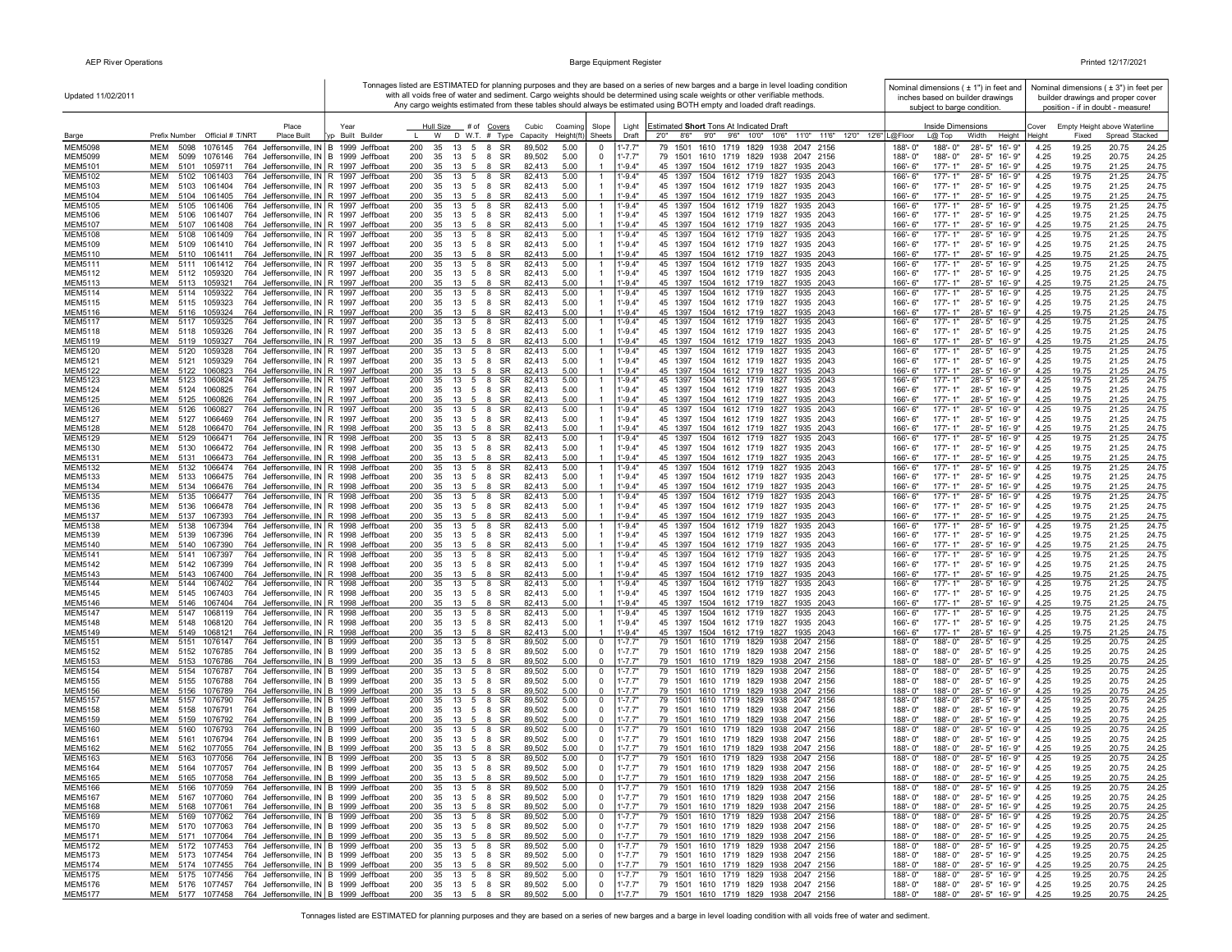| Updated 11/02/2011               |                                                                                                                                                    |                  |                                                            |                      |                                  |                              |                            | Tonnages listed are ESTIMATED for planning purposes and they are based on a series of new barges and a barge in level loading condition<br>with all voids free of water and sediment. Cargo weights should be determined using scale weights or other verifiable methods. |                         |                             | Nominal dimensions $( 1 )$ in feet and<br>inches based on builder drawings |              |                | Nominal dimensions ( $\pm$ 3") in feet per<br>builder drawings and proper cover |                |
|----------------------------------|----------------------------------------------------------------------------------------------------------------------------------------------------|------------------|------------------------------------------------------------|----------------------|----------------------------------|------------------------------|----------------------------|---------------------------------------------------------------------------------------------------------------------------------------------------------------------------------------------------------------------------------------------------------------------------|-------------------------|-----------------------------|----------------------------------------------------------------------------|--------------|----------------|---------------------------------------------------------------------------------|----------------|
|                                  |                                                                                                                                                    |                  |                                                            |                      |                                  |                              |                            | Any cargo weights estimated from these tables should always be estimated using BOTH empty and loaded draft readings.                                                                                                                                                      |                         | subject to barge condition. |                                                                            |              |                | position - if in doubt - measure!                                               |                |
|                                  | Place                                                                                                                                              | Year             | Hull Size                                                  | # of Covers          | Cubic<br>Coaming                 | Slope                        | Light                      | Estimated Short Tons At Indicated Draft                                                                                                                                                                                                                                   |                         | <b>Inside Dimensions</b>    |                                                                            | Cover        |                | Empty Height above Waterline                                                    |                |
| Barge                            | Prefix Number Official # T/NRT<br>Place Built                                                                                                      | vp Built Builder | W                                                          | D W.T. # Type        | Height(ft<br>Capacity            | Sheets                       | Draft                      | 8'6"<br>9'0" 9'6" 10'0" 10'6"<br>11'0" 11'6" 12'0" 12'6" L@Floor<br>2'0''                                                                                                                                                                                                 |                         | $L@$ Top                    | Width<br>Height                                                            | Heiaht       | Fixed          | Spread Stacked                                                                  |                |
| <b>MEM5098</b><br><b>MEM5099</b> | MEM<br>1076145<br>764 Jeffersonville, IN B 1999 Jeffboat<br>5098<br>764 Jeffersonville, IN B 1999 Jeffboat<br>MEM<br>5099<br>1076146               |                  | 200<br>35<br>13<br>5 8<br>200<br>35<br>13<br>5 8           | SR<br>SR             | 5.00<br>89,502<br>89,502<br>5.00 | 0<br>$\mathbf 0$             | $1' - 7.7"$<br>$1' - 7.7"$ | 79 1501 1610 1719 1829 1938 2047 2156<br>79 1501 1610 1719 1829 1938 2047 2156                                                                                                                                                                                            | 188'-0"<br>188'-0"      | 188'-0"<br>188'-0"          | 28'-5" 16'-9"<br>28'-5" 16'-9"                                             | 4.25<br>4.25 | 19.25<br>19.25 | 20.75<br>20.75                                                                  | 24.25<br>24.25 |
| MEM5101                          | MEM<br>5101<br>1059711<br>764 Jeffersonville, IN R 1997 Jeffboat                                                                                   |                  | 200<br>35<br>13<br>5 8                                     | SR                   | 82,413<br>5.00                   |                              | $1' - 9.4"$                | 45 1397 1504 1612 1719 1827 1935 2043                                                                                                                                                                                                                                     | 166'-6"                 | 177'-1"                     | 28'-5" 16'-9"                                                              | 4.25         | 19.75          | 21.25                                                                           | 24.75          |
| <b>MEM5102</b>                   | 764 Jeffersonville, IN R 1997 Jeffboat<br>MEM<br>5102 1061403                                                                                      |                  | 13 5 8<br>200<br>35                                        | SR                   | 82,413<br>5.00                   | $\mathbf{1}$                 | $1' - 9.4"$                | 45 1397 1504 1612 1719 1827 1935 2043                                                                                                                                                                                                                                     | 166'-6"                 | $177 - 1"$                  | 28'-5" 16'-9"                                                              | 4.25         | 19.75          | 21.25                                                                           | 24.75          |
| MEM5103<br><b>MEM5104</b>        | 764 Jeffersonville, IN R 1997 Jeffboat<br>MEM<br>5103 1061404<br>MEM<br>5104 1061405<br>764 Jeffersonville, IN R 1997 Jeffboat                     |                  | 35 13 5 8 SR<br>200<br>200<br>35<br>13 5 8 SR              |                      | 82,413<br>5.00<br>82,413<br>5.00 | $\overline{1}$               | $1' - 9.4"$<br>$1' - 9.4"$ | 45 1397 1504 1612 1719 1827 1935 2043<br>45 1397 1504 1612 1719 1827 1935 2043                                                                                                                                                                                            | 166'-6"<br>166'-6"      | 177'-1"<br>$177 - 1"$       | 28'-5" 16'-9"<br>28'-5" 16'-9"                                             | 4.25<br>4.25 | 19.75<br>19.75 | 21.25<br>21.25                                                                  | 24.75<br>24.75 |
| <b>MEM5105</b>                   | 764 Jeffersonville, IN R 1997 Jeffboat<br>MEM<br>5105 1061406                                                                                      |                  | 200<br>35<br>13<br>5                                       | <b>SR</b><br>8       | 82,413<br>5.00                   | $\mathbf{1}$                 | $1' - 9.4"$                | 45 1397 1504 1612 1719 1827 1935 2043                                                                                                                                                                                                                                     | 166'-6"                 | 177'-1"                     | 28'-5" 16'-9"                                                              | 4.25         | 19.75          | 21.25                                                                           | 24.75          |
| <b>MEM5106</b>                   | 764 Jeffersonville, IN R 1997 Jeffboat<br>MEM<br>5106 1061407                                                                                      |                  | 200<br>35<br>13<br>5                                       | SR<br>8              | 82,413<br>5.00                   |                              | $1' - 9.4"$                | 45 1397 1504 1612 1719 1827 1935 2043                                                                                                                                                                                                                                     | 166'-6"                 | 177'-1"                     | 28'-5" 16'-9"                                                              | 4.25         | 19.75          | 21.25                                                                           | 24.75          |
| MEM5107<br><b>MEM5108</b>        | 764 Jeffersonville, IN R 1997 Jeffboat<br>MEM<br>5107<br>1061408<br>MEM<br>764 Jeffersonville, IN R 1997 Jeffboat<br>5108<br>1061409               |                  | 200<br>35<br>13 5<br>200<br>5<br>35<br>13                  | SR<br>8<br>SR<br>8   | 82,413<br>5.00<br>5.00<br>82.413 | $\mathbf{1}$                 | $1' - 9.4"$<br>$1' - 9.4"$ | 45 1397 1504 1612 1719 1827 1935 2043<br>1504 1612 1719 1827<br>45 1397<br>1935 2043                                                                                                                                                                                      | 166'-6"<br>166'-6"      | 177'-1"<br>$177 - 1"$       | 28'-5" 16'-9"<br>28'-5" 16'-9"                                             | 4.25<br>4.25 | 19.75<br>19.75 | 21.25<br>21.25                                                                  | 24.75<br>24.75 |
| <b>MEM5109</b>                   | MEM<br>764 Jeffersonville, IN R 1997 Jeffboat<br>5109 1061410                                                                                      |                  | 200<br>35<br>13 5 8                                        | SR                   | 5.00<br>82,413                   |                              | $1' - 9.4"$                | 45 1397 1504 1612 1719 1827 1935 2043                                                                                                                                                                                                                                     | 166'-6"                 | 177'-1"                     | 28'-5" 16'-9"                                                              | 4.25         | 19.75          | 21.25                                                                           | 24.75          |
| MEM5110                          | MEM<br>5110 1061411<br>764 Jeffersonville, IN R 1997 Jeffboat                                                                                      |                  | 200<br>35 13 5 8 SR                                        |                      | 82.413<br>5.00                   |                              | $1' - 9.4"$                | 45 1397 1504 1612 1719 1827 1935 2043                                                                                                                                                                                                                                     | 166'-6"                 | $177 - 1"$                  | 28'-5" 16'-9"                                                              | 4.25         | 19.75          | 21.25                                                                           | 24.75          |
| <b>MEM5111</b><br>MEM5112        | MEM<br>5111 1061412<br>764 Jeffersonville, IN R 1997 Jeffboat<br>MEM<br>5112 1059320<br>764 Jeffersonville, IN R 1997 Jeffboat                     |                  | 200<br>13 5 8<br>35<br>200<br>35 13 5 8 SR                 | SR                   | 82,413<br>5.00<br>5.00<br>82.413 | -1                           | $1' - 9.4"$<br>$1' - 9.4"$ | 45 1397 1504 1612 1719 1827 1935 2043<br>45 1397 1504 1612 1719 1827 1935 2043                                                                                                                                                                                            | 166'-6"<br>166'-6"      | $177 - 1"$<br>177'-1"       | 28'-5" 16'-9"<br>28'-5" 16'-9"                                             | 4.25<br>4.25 | 19.75<br>19.75 | 21.25<br>21.25                                                                  | 24.75<br>24.75 |
| MEM5113                          | 764 Jeffersonville, IN R 1997 Jeffboat<br>MEM<br>5113 1059321                                                                                      |                  | 200<br>35 13 5 8 SR                                        |                      | 82,413<br>5.00                   |                              | $1' - 9.4"$                | 45 1397 1504 1612 1719 1827<br>1935 2043                                                                                                                                                                                                                                  | 166'-6"                 | 177'-1"                     | 28'-5" 16'-9"                                                              | 4.25         | 19.75          | 21.25                                                                           | 24.75          |
| <b>MEM5114</b>                   | MEM<br>5114 1059322<br>764 Jeffersonville, IN R 1997 Jeffboat                                                                                      |                  | 200<br>35<br>13<br>5                                       | SR<br>8              | 82,413<br>5.00                   | $\overline{1}$               | $1' - 9.4"$                | 45 1397 1504 1612 1719 1827<br>1935 2043                                                                                                                                                                                                                                  | 166'-6"                 | $177 - 1"$                  | 28'-5" 16'-9"                                                              | 4.25         | 19.75          | 21.25                                                                           | 24.75          |
| <b>MEM5115</b><br><b>MEM5116</b> | 764 Jeffersonville, IN R 1997 Jeffboat<br><b>MEM</b><br>5115 1059323<br>MEM<br>5116 1059324<br>764 Jeffersonville, IN R 1997 Jeffboat              |                  | 200<br>35<br>13 5 8 SR<br>200<br>35<br>13 5 8 SR           |                      | 82,413<br>5.00<br>82,413<br>5.00 |                              | $1' - 9.4"$<br>$1' - 9.4"$ | 45 1397 1504 1612 1719 1827 1935 2043<br>45 1397 1504 1612 1719 1827 1935 2043                                                                                                                                                                                            | 166'-6"<br>166'-6"      | 177'-1"<br>$177 - 1"$       | 28'-5" 16'-9"<br>28'-5" 16'-9"                                             | 4.25<br>4.25 | 19.75<br>19.75 | 21.25<br>21.25                                                                  | 24.75<br>24.75 |
| <b>MEM5117</b>                   | 764 Jeffersonville, IN R 1997 Jeffboat<br>MEM<br>5117 1059325                                                                                      |                  | 200<br>35<br>13 5 8                                        | SR                   | 82,413<br>5.00                   | -1                           | $1' - 9.4"$                | 45 1397 1504 1612 1719 1827<br>1935 2043                                                                                                                                                                                                                                  | 166'-6"                 | 177'-1"                     | 28'-5" 16'-9"                                                              | 4.25         | 19.75          | 21.25                                                                           | 24.75          |
| <b>MEM5118</b>                   | MEM<br>5118 1059326<br>764 Jeffersonville, IN R 1997 Jeffboat                                                                                      |                  | 200<br>35<br>- 13<br>5                                     | SR<br>8              | 82,413<br>5.00                   |                              | $1' - 9.4"$                | 45 1397 1504 1612 1719 1827<br>1935 2043                                                                                                                                                                                                                                  | 166'-6"                 | 177'-1"                     | 28'-5" 16'-9"                                                              | 4.25         | 19.75          | 21.25                                                                           | 24.75          |
| MEM5119<br><b>MEM5120</b>        | 764 Jeffersonville, IN R 1997 Jeffboat<br>MEM<br>5119<br>1059327<br>MEM<br>5120<br>1059328<br>764 Jeffersonville, IN R 1997 Jeffboat               |                  | 200<br>35<br>13<br>5<br>200<br>35<br>13<br>5               | 8<br>SR<br>8<br>SR   | 82,413<br>5.00<br>82,413<br>5.00 | $\overline{1}$               | $1' - 9.4"$<br>1'-9.4"     | 45 1397 1504 1612 1719 1827<br>1935 2043<br>45 1397<br>1504 1612 1719 1827<br>1935 2043                                                                                                                                                                                   | 166'-6"<br>166'-6"      | $177 - 1"$<br>177'-1"       | $28 - 5"$<br>16'-9"<br>$28 - 5"$<br>16'-9"                                 | 4.25<br>4.25 | 19.75<br>19.75 | 21.25<br>21.25                                                                  | 24.75<br>24.75 |
| <b>MEM5121</b>                   | <b>MEM</b><br>5121<br>1059329<br>764 Jeffersonville, IN R 1997 Jeffboat                                                                            |                  | 200<br>35<br>13<br>5 8                                     | SR                   | 82,413<br>5.00                   | $\overline{1}$               | $1' - 9.4"$                | 45 1397 1504 1612 1719 1827<br>1935 2043                                                                                                                                                                                                                                  | 166'-6"                 | 177'-1"                     | 28'-5" 16'-9"                                                              | 4.25         | 19.75          | 21.25                                                                           | 24.75          |
| <b>MEM5122</b>                   | MEM<br>5122<br>1060823<br>764 Jeffersonville, IN R 1997 Jeffboat                                                                                   |                  | 200<br>35<br>13<br>- 5                                     | SR<br>- 8            | 82,413<br>5.00                   |                              | $1' - 9.4"$                | 45 1397 1504 1612 1719 1827 1935 2043                                                                                                                                                                                                                                     | 166'-6"                 | $177 - 1"$                  | 28'-5" 16'-9"                                                              | 4.25         | 19.75          | 21.25                                                                           | 24.75          |
| <b>MEM5123</b><br><b>MEM5124</b> | 764 Jeffersonville, IN R 1997 Jeffboat<br>MEM<br>5123<br>1060824<br>764 Jeffersonville, IN R 1997 Jeffboat<br>MEM<br>5124 1060825                  |                  | 200<br>13<br>5 8<br>35<br>200<br>35 13 5 8 SR              | SR                   | 82,413<br>5.00<br>5.00<br>82,413 | $\overline{1}$               | $1' - 9.4"$<br>$1' - 9.4"$ | 45 1397 1504 1612 1719 1827<br>1935 2043<br>45 1397 1504 1612 1719 1827 1935 2043                                                                                                                                                                                         | $166' - 6''$<br>166'-6" | $177 - 1"$<br>$177 - 1"$    | 28'-5" 16'-9"<br>28'-5" 16'-9"                                             | 4.25<br>4.25 | 19.75<br>19.75 | 21.25<br>21.25                                                                  | 24.75<br>24.75 |
| MEM5125                          | 764 Jeffersonville, IN R 1997 Jeffboat<br>MEM<br>5125 1060826                                                                                      |                  | 200<br>35<br>13 5 8                                        | SR                   | 82,413<br>5.00                   |                              | $1' - 9.4"$                | 45 1397 1504 1612 1719 1827 1935 2043                                                                                                                                                                                                                                     | 166'-6"                 | $177 - 1"$                  | 28'-5" 16'-9"                                                              | 4.25         | 19.75          | 21.25                                                                           | 24.75          |
| <b>MEM5126</b>                   | MEM<br>5126 1060827<br>764 Jeffersonville, IN R 1997 Jeffboat                                                                                      |                  | 200<br>35 13 5 8                                           | SR                   | 82,413<br>5.00                   | -1                           | 1'-9.4"                    | 45 1397 1504 1612 1719 1827 1935 2043                                                                                                                                                                                                                                     | 166'-6"                 | 177'-1"                     | 28'-5" 16'-9"                                                              | 4.25         | 19.75          | 21.25                                                                           | 24.75          |
| <b>MEM5127</b><br><b>MEM5128</b> | 764 Jeffersonville, IN R 1997 Jeffboat<br>MEM<br>5127<br>1066469<br>764 Jeffersonville, IN R 1998 Jeffboat<br>MEM<br>5128<br>1066470               |                  | 200<br>35 13<br>5 8<br>35<br>200<br>13<br>5                | SR<br>SR<br>8        | 82,413<br>5.00<br>82,413<br>5.00 |                              | $1' - 9.4"$<br>$1' - 9.4"$ | 45 1397 1504 1612 1719 1827 1935 2043<br>45 1397 1504 1612 1719 1827 1935 2043                                                                                                                                                                                            | 166'-6"<br>166'-6"      | $177 - 1"$<br>177'-1"       | 28'-5" 16'-9"<br>28'-5" 16'-9"                                             | 4.25<br>4.25 | 19.75<br>19.75 | 21.25<br>21.25                                                                  | 24.75<br>24.75 |
| <b>MEM5129</b>                   | MEM<br>5129 1066471<br>764 Jeffersonville, IN R 1998 Jeffboat                                                                                      |                  | 200<br>35<br>13 5                                          | SR<br>8              | 82,413<br>5.00                   | $\mathbf{1}$                 | $1' - 9.4"$                | 45 1397 1504 1612 1719 1827<br>1935 2043                                                                                                                                                                                                                                  | 166'-6"                 | $177 - 1"$                  | 28'-5" 16'-9"                                                              | 4.25         | 19.75          | 21.25                                                                           | 24.75          |
| MEM5130                          | 764 Jeffersonville, IN R 1998 Jeffboat<br>MEM<br>5130<br>1066472                                                                                   |                  | 200<br>35<br>13<br>5                                       | SR<br>8              | 82,413<br>5.00                   |                              | $1' - 9.4"$                | 45 1397 1504 1612 1719 1827 1935 2043                                                                                                                                                                                                                                     | 166'-6"                 | $177 - 1"$                  | 28'-5" 16'-9"                                                              | 4.25         | 19.75          | 21.25                                                                           | 24.75          |
| <b>MEM5131</b><br><b>MEM5132</b> | MEM<br>764 Jeffersonville, IN R 1998 Jeffboat<br>1066473<br>5131<br>MEM<br>5132<br>1066474                                                         |                  | 200<br>35<br>13<br>5<br>200<br>5<br>35<br>13               | SR<br>8<br>SR<br>8   | 5.00<br>82,413<br>82,413<br>5.00 | -1                           | $1' - 9.4"$<br>$1' - 9.4"$ | 45 1397 1504 1612 1719 1827 1935 2043<br>45 1397 1504 1612 1719 1827<br>1935 2043                                                                                                                                                                                         | 166'-6"<br>166'-6"      | 177'-1"<br>177'-1"          | 28'-5" 16'-9"<br>28'-5" 16'-9"                                             | 4.25<br>4.25 | 19.75<br>19.75 | 21.25<br>21.25                                                                  | 24.75<br>24.75 |
| <b>MEM5133</b>                   | 764 Jeffersonville, IN R 1998 Jeffboat<br>MEM<br>764 Jeffersonville, IN R 1998 Jeffboat<br>5133<br>1066475                                         |                  | 200<br>35<br>13 5                                          | SR<br>8              | 5.00<br>82,413                   |                              | $1' - 9.4"$                | 45 1397 1504 1612 1719 1827 1935 2043                                                                                                                                                                                                                                     | 166'-6"                 | 177'-1"                     | 28'-5" 16'-9"                                                              | 4.25         | 19.75          | 21.25                                                                           | 24.75          |
| MEM5134                          | <b>MEM</b><br>764 Jeffersonville, IN R 1998 Jeffboat<br>5134<br>1066476                                                                            |                  | 200<br>35<br>$13 \quad 5 \quad 8$                          | SR                   | 5.00<br>82,413                   |                              | $1' - 9.4"$                | 45 1397 1504 1612 1719 1827 1935 2043                                                                                                                                                                                                                                     | 166'-6"                 | 177'-1"                     | 28'-5" 16'-9"                                                              | 4.25         | 19.75          | 21.25                                                                           | 24.75          |
| <b>MEM5135</b>                   | MEM<br>764 Jeffersonville, IN R 1998 Jeffboat<br>5135<br>1066477<br>764 Jeffersonville, IN R 1998 Jeffboat<br>MEM<br>5136<br>1066478               |                  | 200<br>35<br>13<br>5<br>200<br>35<br>$13 \quad 5 \quad 8$  | 8<br>SR<br>SR        | 82,413<br>5.00<br>5.00<br>82,413 | -1                           | $1' - 9.4"$<br>$1' - 9.4"$ | 45 1397<br>1504 1612 1719 1827<br>1935 2043<br>45 1397 1504 1612 1719 1827<br>1935 2043                                                                                                                                                                                   | 166'-6"<br>166'-6"      | $177 - 1"$<br>$177 - 1"$    | 28'-5" 16'-9"<br>28'-5" 16'-9"                                             | 4.25<br>4.25 | 19.75<br>19.75 | 21.25<br>21.25                                                                  | 24.75<br>24.75 |
| <b>MEM5136</b><br><b>MEM5137</b> | 764 Jeffersonville, IN R 1998 Jeffboat<br>MEM<br>1067393<br>5137                                                                                   |                  | 200<br>35 13 5 8 SR                                        |                      | 5.00<br>82,413                   |                              | $1' - 9.4"$                | 45 1397 1504 1612 1719 1827 1935 2043                                                                                                                                                                                                                                     | 166'-6"                 | $177 - 1"$                  | 28'-5" 16'-9"                                                              | 4.25         | 19.75          | 21.25                                                                           | 24.75          |
| <b>MEM5138</b>                   | MEM<br>5138<br>1067394<br>764 Jeffersonville, IN R 1998 Jeffboat                                                                                   |                  | 200<br>35<br>13 5 8                                        | SR                   | 82,413<br>5.00                   | -1                           | $1' - 9.4'$                | 45 1397 1504 1612 1719 1827<br>1935 2043                                                                                                                                                                                                                                  | 166'-6"                 | 177'-1"                     | 28'-5" 16'-9"                                                              | 4.25         | 19.75          | 21.25                                                                           | 24.75          |
| MEM5139<br>MEM5140               | 764 Jeffersonville, IN R 1998 Jeffboat<br><b>MEM</b><br>5139<br>1067396<br>764 Jeffersonville, IN R 1998 Jeffboat<br><b>MEM</b><br>5140<br>1067390 |                  | 200<br>35<br>13<br>5 8<br>200<br>35 13 5 8 SR              | SR                   | 82,413<br>5.00<br>82,413<br>5.00 |                              | $1' - 9.4'$<br>$1' - 9.4"$ | 45 1397 1504 1612 1719 1827<br>1935 2043<br>45 1397 1504 1612 1719 1827 1935 2043                                                                                                                                                                                         | 166'-6"<br>166'-6"      | $177 - 1"$<br>$177 - 1"$    | 28'-5" 16'-9"<br>28'-5" 16'-9"                                             | 4.25<br>4.25 | 19.75<br>19.75 | 21.25<br>21.25                                                                  | 24.75<br>24.75 |
| <b>MEM5141</b>                   | <b>MEM</b><br>5141<br>1067397<br>764 Jeffersonville, IN R 1998 Jeffboat                                                                            |                  | 200<br>35<br>13<br>5 8                                     | SR                   | 82,413<br>5.00                   |                              | $1' - 9.4"$                | 45 1397 1504 1612 1719 1827<br>1935 2043                                                                                                                                                                                                                                  | 166'-6"                 | $177 - 1"$                  | $28 - 5"$<br>16'-9"                                                        | 4.25         | 19.75          | 21.25                                                                           | 24.75          |
| <b>MEM5142</b>                   | 764 Jeffersonville, IN R 1998 Jeffboat<br><b>MEM</b><br>5142 1067399                                                                               |                  | 200<br>35<br>13<br>5 8                                     | SR                   | 82,413<br>5.00                   |                              | $1' - 9.4'$                | 45 1397 1504 1612 1719 1827<br>1935 2043                                                                                                                                                                                                                                  | 166'-6"                 | $177 - 1"$                  | 28'-5" 16'-9"                                                              | 4.25         | 19.75          | 21.25                                                                           | 24.75          |
| <b>MEM5143</b><br><b>MEM5144</b> | MEM<br>1067400<br>764 Jeffersonville, IN R 1998 Jeffboat<br>5143<br>MEM<br>5144<br>1067402<br>764 Jeffersonville, IN R 1998 Jeffboat               |                  | 200<br>35<br>13 5 8<br>5<br>200<br>35<br>13                | SR<br>SR<br>8        | 82,413<br>5.00<br>82,413<br>5.00 | $\overline{1}$               | $1' - 9.4"$<br>$1' - 9.4"$ | 45 1397 1504 1612 1719 1827 1935 2043<br>45 1397 1504 1612 1719 1827<br>1935<br>2043                                                                                                                                                                                      | 166'-6"<br>166'-6"      | $177 - 1"$<br>177'-1"       | 28'-5" 16'-9"<br>28'-5" 16'-9"                                             | 4.25<br>4.25 | 19.75<br>19.75 | 21.25<br>21.25                                                                  | 24.75<br>24.75 |
| <b>MEM5145</b>                   | MEM<br>5145<br>1067403<br>764 Jeffersonville, IN R 1998 Jeffboat                                                                                   |                  | 200<br>35<br>13<br>5                                       | 8<br>SR              | 82,413<br>5.00                   |                              | $1' - 9.4'$                | 45 1397 1504 1612 1719 1827<br>1935 2043                                                                                                                                                                                                                                  | 166'-6"                 | 177'-1"                     | 28'-5" 16'-9"                                                              | 4.25         | 19.75          | 21.25                                                                           | 24.75          |
| <b>MEM5146</b>                   | <b>MEM</b><br>5146 1067404<br>764 Jeffersonville, IN R 1998 Jeffboat                                                                               |                  | 200<br>35<br>13<br>- 5                                     | SR<br>8              | 5.00<br>82,413                   |                              | $1' - 9.4"$                | 45 1397 1504 1612 1719 1827 1935 2043                                                                                                                                                                                                                                     | 166'-6"                 | $177 - 1"$                  | 28'-5" 16'-9"                                                              | 4.25         | 19.75          | 21.25                                                                           | 24.75          |
| <b>MEM5147</b><br><b>MEM5148</b> | <b>MEM</b><br>1068119<br>764 Jeffersonville, IN R 1998 Jeffboat<br>5147<br>764 Jeffersonville, IN R 1998 Jeffboat<br>MEM<br>5148<br>1068120        |                  | 200<br>35<br>13<br>5<br>200<br>35<br>13<br>5 8             | <b>SR</b><br>8<br>SR | 82,413<br>5.00<br>5.00<br>82,413 | -1                           | $1' - 9.4"$<br>$1' - 9.4"$ | 45 1397<br>1504 1612 1719 1827<br>1935<br>2043<br>45 1397 1504 1612 1719 1827 1935 2043                                                                                                                                                                                   | 166'-6"<br>$166 - 6"$   | $177 - 1"$<br>$177 - 1"$    | $28 - 5"$<br>$16 - 9"$<br>28'-5" 16'-9"                                    | 4.25<br>4.25 | 19.75<br>19.75 | 21.25<br>21.25                                                                  | 24.75<br>24.75 |
| MEM5149                          | 764 Jeffersonville, IN R 1998 Jeffboat<br>MEM<br>5149 1068121                                                                                      |                  | 200<br>35 13 5 8 SR                                        |                      | 5.00<br>82,413                   |                              | $1 - 9.4"$                 | 45 1397 1504 1612 1719 1827 1935 2043                                                                                                                                                                                                                                     | 166'-6"                 | $177 - 1"$                  | 28'-5" 16'-9"                                                              | 4.25         | 19.75          | 21.25                                                                           | 24.75          |
| <b>MEM5151</b>                   | MEM<br>5151<br>1076147<br>764 Jeffersonville, IN B 1999 Jeffboat                                                                                   |                  | 35 13 5 8 SR<br>200                                        |                      | 89,502<br>5.00                   | 0                            | $1' - 7.7"$                | 79 1501 1610 1719 1829 1938 2047 2156                                                                                                                                                                                                                                     | 188'-0"                 | 188'-0"                     | 28'-5" 16'-9"                                                              | 4.25         | 19.25          | 20.75                                                                           | 24.25          |
| <b>MEM5152</b><br><b>MEM5153</b> | MEM<br>5152 1076785<br>764 Jeffersonville, IN   B 1999 Jeffboat<br>764 Jeffersonville, IN B 1999 Jeffboat<br>MEM<br>5153 1076786                   |                  | 200<br>35 13 5 8 SR<br>200<br>35 13 5 8                    | SR                   | 89,502<br>5.00<br>89,502<br>5.00 | 0<br>$\mathbf 0$             | $1' - 7.7"$<br>$1' - 7.7"$ | 79 1501 1610 1719 1829 1938 2047 2156<br>79 1501 1610 1719 1829 1938 2047 2156                                                                                                                                                                                            | 188'-0"<br>188'-0"      | 188'-0"<br>188'-0"          | 28'-5" 16'-9"<br>28'-5" 16'-9"                                             | 4.25<br>4.25 | 19.25<br>19.25 | 20.75<br>20.75                                                                  | 24.25<br>24.25 |
| <b>MEM5154</b>                   | 764 Jeffersonville, IN B 1999 Jeffboat<br>MEM<br>5154 1076787                                                                                      |                  | 200<br>35<br>13 5 8                                        | SR                   | 89,502<br>5.00                   | 0                            | $1' - 7.7'$                | 79 1501 1610 1719 1829 1938 2047 2156                                                                                                                                                                                                                                     | 188'-0"                 | 188'-0"                     | 28'-5" 16'-9"                                                              | 4.25         | 19.25          | 20.75                                                                           | 24.25          |
| <b>MEM5155</b>                   | 764 Jeffersonville, IN B 1999 Jeffboat<br>MEM<br>5155 1076788                                                                                      |                  | 200<br>35 13 5 8                                           | SR                   | 89,502<br>5.00                   | $\mathbf 0$                  | $1' - 7.7"$                | 79 1501 1610 1719 1829 1938 2047 2156                                                                                                                                                                                                                                     | 188'-0"                 | 188'-0"                     | 28'-5" 16'-9"                                                              | 4.25         | 19.25          | 20.75                                                                           | 24.25          |
| MEM5156<br><b>MEM5157</b>        | MEM<br>764 Jeffersonville, IN B 1999 Jeffboat<br>5156<br>1076789<br>MEM<br>764 Jeffersonville, IN B 1999 Jeffboat                                  |                  | 200<br>35<br>13<br>5<br>200<br>35<br>13<br>$5\overline{)}$ | SR<br>-8<br>SR<br>8  | 89,502<br>5.00<br>89,502<br>5.00 | $\mathbf 0$                  | $1' - 7.7"$<br>$1' - 7.7'$ | 79 1501 1610 1719 1829 1938 2047 2156<br>79 1501 1610 1719 1829 1938 2047 2156                                                                                                                                                                                            | 188'-0"<br>188'-0"      | 188'-0"<br>188'-0"          | 28'-5" 16'-9"<br>28'-5" 16'-9"                                             | 4.25<br>4.25 | 19.25<br>19.25 | 20.75<br>20.75                                                                  | 24.25<br>24.25 |
| <b>MEM5158</b>                   | 5157<br>1076790<br>MEM<br>5158<br>1076791<br>764 Jeffersonville, IN B 1999 Jeffboat                                                                |                  | 200<br>35<br>13<br>5                                       | 8<br>SR              | 89,502<br>5.00                   | 0<br>0                       | $1' - 7.7"$                | 79 1501 1610 1719 1829 1938 2047 2156                                                                                                                                                                                                                                     | 188'-0"                 | 188'-0"                     | 28'-5" 16'-9"                                                              | 4.25         | 19.25          | 20.75                                                                           | 24.25          |
| MEM5159                          | <b>MEM</b><br>764 Jeffersonville, IN B 1999 Jeffboat<br>5159<br>1076792                                                                            |                  | 200<br>35<br>13<br>5                                       | <b>SR</b><br>8       | 89,502<br>5.00                   | $\Omega$                     | $1' - 7.7"$                | 79 1501 1610 1719 1829 1938 2047 2156                                                                                                                                                                                                                                     | 188'-0"                 | 188'-0"                     | 28'-5" 16'-9"                                                              | 4.25         | 19.25          | 20.75                                                                           | 24.25          |
| <b>MEM5160</b><br><b>MEM5161</b> | 764 Jeffersonville, IN B 1999 Jeffboat<br><b>MEM</b><br>5160<br>1076793<br>MEM<br>764 Jeffersonville, IN B 1999 Jeffboat<br>5161<br>1076794        |                  | 200<br>35<br>13<br>5<br>200<br>-35<br>13 5 8               | SR<br>8<br>SR        | 5.00<br>89,502<br>89,502<br>5.00 | 0<br>$\mathbf 0$             | 1'-7.7"<br>$1' - 7.7"$     | 1610 1719 1829 1938 2047 2156<br>79 1501<br>79 1501 1610 1719 1829 1938 2047 2156                                                                                                                                                                                         | 188'-0"<br>188'-0"      | 188'-0"<br>188'-0"          | 28'-5" 16'-9"<br>28'-5" 16'-9"                                             | 4.25<br>4.25 | 19.25<br>19.25 | 20.75<br>20.75                                                                  | 24.25<br>24.25 |
| <b>MEM5162</b>                   | 764 Jeffersonville, IN B 1999 Jeffboat<br>MEM<br>1077055<br>5162                                                                                   |                  | 200<br>35 13 5 8                                           | SR                   | 5.00<br>89,502                   | $\mathbf 0$                  | $1' - 7.7"$                | 79 1501 1610 1719 1829 1938 2047 2156                                                                                                                                                                                                                                     | 188'-0"                 | 188'-0"                     | 28'-5" 16'-9"                                                              | 4.25         | 19.25          | 20.75                                                                           | 24.25          |
| MEM5163                          | MEM<br>764 Jeffersonville, IN B 1999 Jeffboat<br>5163 1077056                                                                                      |                  | 35 13 5 8<br>200                                           | SR                   | 89,502<br>5.00                   | $^{\circ}$                   | $1'$ -7.7"                 | 79 1501 1610 1719 1829 1938 2047 2156                                                                                                                                                                                                                                     | 188'-0'                 | 188'-0"                     | 28'-5" 16'-9"                                                              | 4.25         | 19.25          | 20.75                                                                           | 24.25          |
| <b>MEM5164</b>                   | MEM<br>5164 1077057 764 Jeffersonville, IN B 1999 Jeffboat                                                                                         |                  | 200 35 13 5 8 SR<br>200 35 13 5 8 SR                       |                      | 89,502<br>5.00                   | 0                            | $1' - 7.7"$                | 79 1501 1610 1719 1829 1938 2047 2156                                                                                                                                                                                                                                     | 188'-0"                 |                             | 188'-0" 28'-5" 16'-9"                                                      | 4.25         | 19.25          | 20.75                                                                           | 24.25          |
| MFM5165<br><b>MEM5166</b>        | MEM 5165 1077058 764 Jeffersonville, IN B 1999 Jeffboat<br>MEM 5166 1077059 764 Jeffersonville, IN B 1999 Jeffboat                                 |                  | 200<br>35<br>13<br>5 8                                     | SR                   | 89.502<br>5.00<br>89,502<br>5.00 | 0                            | $1' - 7.7"$<br>$1' - 7.7'$ | 79 1501 1610 1719 1829 1938 2047 2156<br>79 1501 1610 1719 1829 1938 2047 2156                                                                                                                                                                                            | 188'-0"<br>188'-0"      | 188'-0"                     | 188'-0" 28'-5" 16'-9"<br>28'-5" 16'-9"                                     | 4.25<br>4.25 | 19.25<br>19.25 | 20.75<br>20.75                                                                  | 24.25<br>24.25 |
| <b>MEM5167</b>                   | MEM 5167 1077060 764 Jeffersonville, IN B 1999 Jeffboat                                                                                            |                  | 200<br>35<br>13 5 8 SR                                     |                      | 89,502<br>5.00                   | $\mathbf 0$                  | $1' - 7.7"$                | 79 1501 1610 1719 1829 1938 2047 2156                                                                                                                                                                                                                                     | 188'-0"                 |                             | 188'-0" 28'-5" 16'-9"                                                      | 4.25         | 19.25          | 20.75                                                                           | 24.25          |
| <b>MEM5168</b>                   | MEM 5168 1077061 764 Jeffersonville, IN B 1999 Jeffboat                                                                                            |                  | 200<br>35<br>13 5 8 SR                                     |                      | 89,502<br>5.00                   | $^{\circ}$                   | $1' - 7.7"$                | 79 1501 1610 1719 1829 1938 2047 2156                                                                                                                                                                                                                                     | 188'-0"                 | 188'-0"                     | 28'-5" 16'-9"                                                              | 4.25         | 19.25          | 20.75                                                                           | 24.25          |
| <b>MEM5169</b><br><b>MEM5170</b> | MEM 5169 1077062 764 Jeffersonville, IN B 1999 Jeffboat<br>MEM 5170 1077063 764 Jeffersonville, IN B 1999 Jeffboat                                 |                  | 200<br>35<br>13 5 8 SR<br>200<br>35 13 5 8 SR              |                      | 5.00<br>89,502<br>89,502<br>5.00 | $\overline{0}$<br>0          | $1' - 7.7'$<br>$1' - 7.7"$ | 79 1501 1610 1719 1829 1938 2047 2156<br>79 1501 1610 1719 1829 1938 2047 2156                                                                                                                                                                                            | 188'-0"<br>188'-0"      | 188'-0"<br>188'-0"          | 28'-5" 16'-9"<br>28'-5" 16'-9"                                             | 4.25<br>4.25 | 19.25<br>19.25 | 20.75<br>20.75                                                                  | 24.25<br>24.25 |
| <b>MEM5171</b>                   | 5171 1077064 764 Jeffersonville, IN B 1999 Jeffboat<br>MEM                                                                                         |                  | 13 5 8 SR<br>200<br>35                                     |                      | 89,502<br>5.00                   | 0                            | $1' - 7.7"$                | 79 1501 1610 1719 1829 1938 2047 2156                                                                                                                                                                                                                                     | 188'-0"                 | 188'-0"                     | 28'-5" 16'-9"                                                              | 4.25         | 19.25          | 20.75                                                                           | 24.25          |
| <b>MEM5172</b>                   | MEM 5172 1077453 764 Jeffersonville, IN B 1999 Jeffboat                                                                                            |                  | 200<br>35<br>13 5 8 SR                                     |                      | 89,502<br>5.00                   | $\mathbf 0$                  | $1' - 7.7"$                | 79 1501 1610 1719 1829 1938 2047 2156                                                                                                                                                                                                                                     | 188'-0"                 | 188'-0"                     | 28'-5" 16'-9"                                                              | 4.25         | 19.25          | 20.75                                                                           | 24.25          |
| <b>MEM5173</b><br><b>MEM5174</b> | MEM 5173 1077454 764 Jeffersonville, IN B 1999 Jeffboat<br>MEM 5174 1077455 764 Jeffersonville, IN B 1999 Jeffboat                                 |                  | 200<br>35 13 5 8 SR<br>200<br>35 13 5 8 SR                 |                      | 89,502<br>5.00<br>89,502<br>5.00 | $\overline{0}$<br>$^{\circ}$ | $1' - 7.7"$<br>$1' - 7.7"$ | 79 1501 1610 1719 1829 1938 2047 2156<br>79 1501 1610 1719 1829 1938 2047 2156                                                                                                                                                                                            | 188'-0"<br>188'-0"      | 188'-0"<br>188'-0"          | 28'-5" 16'-9"<br>28'-5" 16'-9"                                             | 4.25<br>4.25 | 19.25<br>19.25 | 20.75<br>20.75                                                                  | 24.25<br>24.25 |
| <b>MEM5175</b>                   | MEM 5175 1077456 764 Jeffersonville, IN B 1999 Jeffboat                                                                                            |                  | 200<br>35 13 5 8 SR                                        |                      | 89,502<br>5.00                   | $\mathbf 0$                  | $1' - 7.7"$                | 79 1501 1610 1719 1829 1938 2047 2156                                                                                                                                                                                                                                     | 188'-0"                 | 188'-0"                     | 28'-5" 16'-9"                                                              | 4.25         | 19.25          | 20.75                                                                           | 24.25          |
| <b>MEM5176</b>                   | MEM 5176 1077457 764 Jeffersonville, IN B 1999 Jeffboat                                                                                            |                  | 200<br>35 13 5 8 SR                                        |                      | 89,502<br>5.00                   | 0                            | $1' - 7.7"$                | 79 1501 1610 1719 1829 1938 2047 2156                                                                                                                                                                                                                                     | 188'-0"                 |                             | 188'-0" 28'-5" 16'-9"                                                      | 4.25         | 19.25          | 20.75                                                                           | 24.25          |
| <b>MEM5177</b>                   | MEM 5177 1077458 764 Jeffersonville, IN B 1999 Jeffboat                                                                                            |                  | 200 35 13 5 8 SR                                           |                      | 89,502<br>5.00                   | $\overline{0}$               | $1' - 7.7"$                | 79 1501 1610 1719 1829 1938 2047 2156                                                                                                                                                                                                                                     | 188'- 0"                |                             | 188'-0" 28'-5" 16'-9"                                                      | 4.25         | 19.25          | 20.75                                                                           | 24.25          |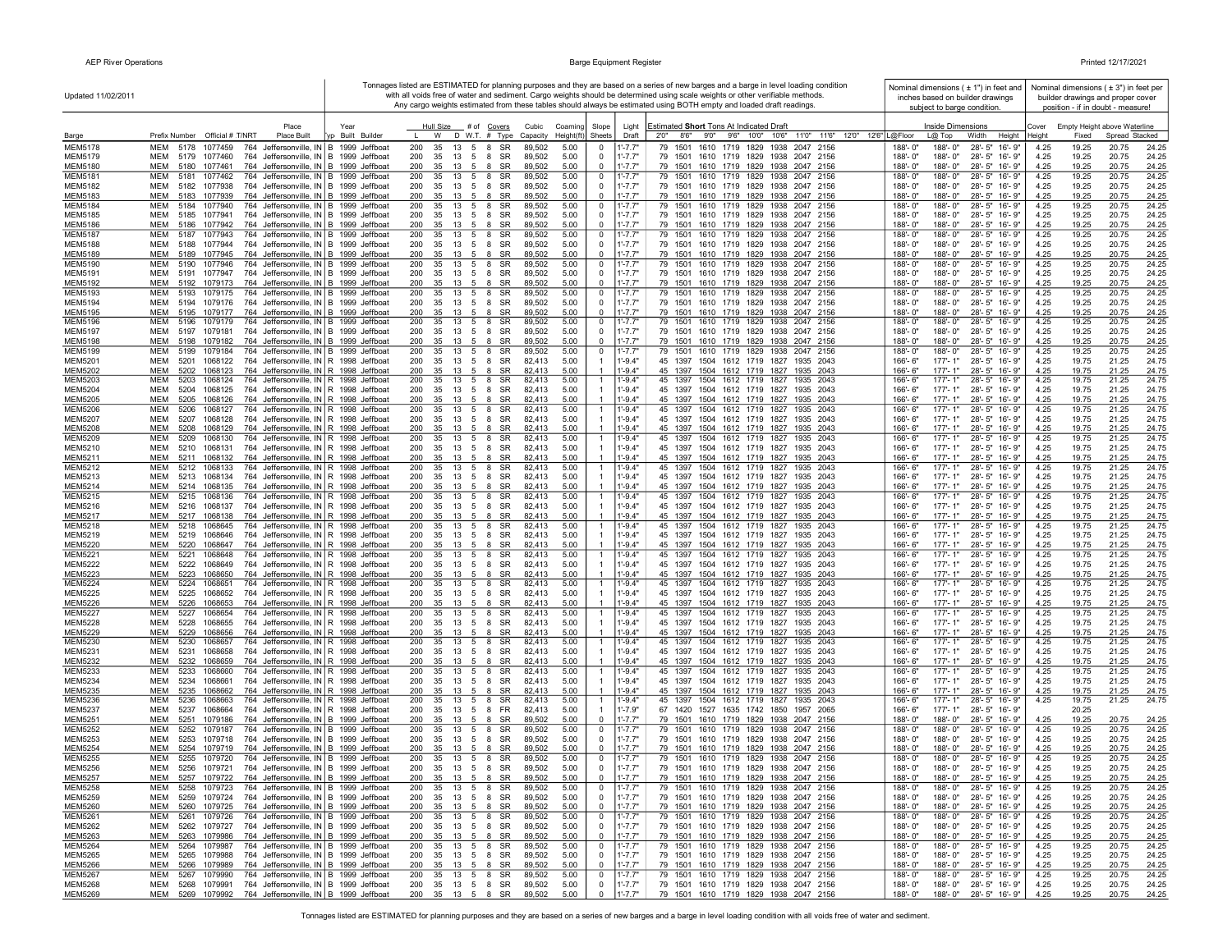| Updated 11/02/2011               |                                                                                                                                                    |                                    |                                                                      |                  |                                                  |                            | Tonnages listed are ESTIMATED for planning purposes and they are based on a series of new barges and a barge in level loading condition<br>with all voids free of water and sediment. Cargo weights should be determined using scale weights or other verifiable methods. |                       |                             | Nominal dimensions ( ± 1") in feet and<br>inches based on builder drawings |              |                | Nominal dimensions ( $\pm$ 3") in feet per<br>builder drawings and proper cover |                |
|----------------------------------|----------------------------------------------------------------------------------------------------------------------------------------------------|------------------------------------|----------------------------------------------------------------------|------------------|--------------------------------------------------|----------------------------|---------------------------------------------------------------------------------------------------------------------------------------------------------------------------------------------------------------------------------------------------------------------------|-----------------------|-----------------------------|----------------------------------------------------------------------------|--------------|----------------|---------------------------------------------------------------------------------|----------------|
|                                  |                                                                                                                                                    |                                    |                                                                      |                  |                                                  |                            | Any cargo weights estimated from these tables should always be estimated using BOTH empty and loaded draft readings.                                                                                                                                                      |                       | subject to barge condition. |                                                                            |              |                | position - if in doubt - measure!                                               |                |
|                                  | Place                                                                                                                                              | Year                               | Hull Size<br># of Covers                                             | Cubic            | Coamino<br>Slope                                 | Light                      | Estimated Short Tons At Indicated Draft                                                                                                                                                                                                                                   |                       | Inside Dimensions           |                                                                            | Cover        |                | Empty Height above Waterline                                                    |                |
| Barge                            | Prefix Number Official # T/NRT<br>Place Built                                                                                                      | Built Builde                       | D W.T. # Type<br>W                                                   | Capacity         | Height(ft<br>Sheets                              | Draft                      | 11'0" 11'6" 12'0" 12'6"   L@Floor<br>8'6''<br>9'0''<br>9'6" 10'0" 10'6"<br>2'0''                                                                                                                                                                                          |                       | L@ Top                      | Height<br>Width                                                            | Heiaht       | Fixed          | Spread Stacked                                                                  |                |
| <b>MEM5178</b><br>MEM5179        | <b>MEM</b><br>5178<br>1077459<br>764 Jeffersonville, IN B 1999 Jeffboat<br>MEM<br>5179<br>1077460<br>764                                           | Jeffersonville, IN B 1999 Jeffboat | 200<br>35<br>13<br>5 8<br>SR<br>200<br>35<br>13<br>5<br>- 8<br>SR    | 89,502<br>89,502 | 5.00<br>0<br>5.00<br>$\overline{\mathbf{0}}$     | $1'$ -7.7"<br>$1' - 7.7"$  | 79 1501<br>1610 1719 1829 1938<br>2047 2156<br>79 1501<br>1610 1719 1829 1938 2047 2156                                                                                                                                                                                   | 188'-0"<br>188'-0"    | 188'-0"<br>188'-0"          | 28'-5" 16'-9"<br>28'-5" 16'-9"                                             | 4.25<br>4.25 | 19.25<br>19.25 | 20.75<br>20.75                                                                  | 24.25<br>24.25 |
| <b>MEM5180</b>                   | MEM<br>5180<br>1077461<br>764 Jeffersonville, IN B 1999 Jeffboat                                                                                   |                                    | 200<br>35<br>13<br>5<br>8<br>SR                                      | 89,502           | 5.00<br>$\mathbf 0$                              | 1'-7.7"                    | 79 1501 1610 1719 1829 1938 2047 2156                                                                                                                                                                                                                                     | 188'-0"               | 188'-0"                     | 28'-5" 16'-9"                                                              | 4.25         | 19.25          | 20.75                                                                           | 24.25          |
| <b>MEM5181</b>                   | MEM<br>5181<br>1077462<br>764 Jeffersonville, IN B 1999 Jeffboat                                                                                   |                                    | 13 5 8<br>SR<br>200<br>35                                            | 89,502           | 5.00<br>$\mathbf 0$                              | $1' - 7.7"$                | 1610 1719 1829 1938 2047 2156<br>79 1501                                                                                                                                                                                                                                  | 188'-0"               | 188'-0"                     | 28'-5" 16'-9"                                                              | 4.25         | 19.25          | 20.75                                                                           | 24.25          |
| <b>MEM5182</b><br><b>MEM5183</b> | MEM<br>5182<br>1077938<br>764 Jeffersonville, IN B 1999 Jeffboat<br>MEM<br>5183<br>1077939<br>764 Jeffersonville, IN B 1999 Jeffboat               |                                    | 13 5 8 SR<br>200<br>35<br>13 5 8 SR<br>200<br>35                     | 89,502<br>89,502 | 5.00<br>$\mathbf 0$<br>5.00<br>$\Omega$          | $1' - 7.7"$<br>$1' - 7.7"$ | 79 1501 1610 1719 1829 1938 2047 2156<br>79 1501 1610 1719 1829 1938 2047 2156                                                                                                                                                                                            | 188'-0"<br>188'-0"    | 188'-0"<br>188'-0"          | 28'-5" 16'-9"<br>28'-5" 16'-9"                                             | 4.25<br>4.25 | 19.25<br>19.25 | 20.75<br>20.75                                                                  | 24.25<br>24.25 |
| <b>MEM5184</b>                   | 764 Jeffersonville, IN B 1999 Jeffboat<br>MEM<br>5184<br>1077940                                                                                   |                                    | 200<br>13 5<br>8<br>SR<br>35                                         | 89,502           | 5.00<br>0                                        | $1' - 7.7'$                | 1610 1719 1829 1938 2047 2156<br>79 1501                                                                                                                                                                                                                                  | 188'-0"               | 188'-0"                     | 28'-5" 16'-9"                                                              | 4.25         | 19.25          | 20.75                                                                           | 24.25          |
| <b>MEM5185</b>                   | 764 Jeffersonville, IN B 1999 Jeffboat<br>MEM<br>5185<br>1077941                                                                                   |                                    | 200<br>35<br>13<br>5<br>8<br>SR                                      | 89,502           | $\overline{0}$<br>5.00                           | $1' - 7.7"$                | 79 1501<br>1610 1719 1829 1938 2047 2156                                                                                                                                                                                                                                  | 188'-0"               | 188'-0"                     | 28'-5" 16'-9"                                                              | 4.25         | 19.25          | 20.75                                                                           | 24.25          |
| <b>MEM5186</b>                   | 764 Jeffersonville, IN B 1999 Jeffboat<br>MEM<br>5186<br>1077942                                                                                   |                                    | 200<br>35<br>13 5<br>8<br>SR                                         | 89,502           | 5.00<br>$\mathbf 0$                              | $1' - 7.7"$                | 79 1501<br>1610 1719 1829 1938 2047 2156                                                                                                                                                                                                                                  | 188'-0"               | 188'-0"                     | 28'-5" 16'-9"                                                              | 4.25         | 19.25          | 20.75                                                                           | 24.25          |
| <b>MEM5187</b><br><b>MEM5188</b> | <b>MEM</b><br>764 Jeffersonville, IN B 1999 Jeffboat<br>5187<br>1077943<br><b>MEM</b><br>764 Jeffersonville, IN B 1999 Jeffboat<br>5188<br>1077944 |                                    | 200<br>13<br>5<br>8<br>SR<br>35<br>200<br>35<br>13 5 8 SR            | 89,502<br>89,502 | 5.00<br>$\mathbf 0$<br>$\overline{0}$<br>5.00    | 1'-7.7"<br>$1' - 7.7"$     | 79 1501<br>1610 1719 1829 1938<br>2047 2156<br>79 1501 1610 1719 1829 1938 2047 2156                                                                                                                                                                                      | 188'-0"<br>188'-0"    | 188'-0"<br>188'-0"          | 28'-5" 16'-9"<br>28'-5" 16'-9"                                             | 4.25<br>4.25 | 19.25<br>19.25 | 20.75<br>20.75                                                                  | 24.25<br>24.25 |
| <b>MEM5189</b>                   | <b>MEM</b><br>5189 1077945<br>764 Jeffersonville, IN B 1999 Jeffboat                                                                               |                                    | 200<br>35<br>13 5 8 SR                                               | 89,502           | 5.00<br>$\Omega$                                 | $1' - 7.7"$                | 79 1501 1610 1719 1829 1938 2047 2156                                                                                                                                                                                                                                     | 188'-0"               | 188'-0"                     | 28'-5" 16'-9"                                                              | 4.25         | 19.25          | 20.75                                                                           | 24.25          |
| <b>MEM5190</b>                   | 764 Jeffersonville, IN B 1999 Jeffboat<br><b>MEM</b><br>1077946<br>5190                                                                            |                                    | 200<br>13<br>5<br>8<br>SR<br>35                                      | 89,502           | 5.00<br>$\overline{0}$                           | $1' - 7.7"$                | 79 1501<br>1610 1719 1829 1938<br>2047 2156                                                                                                                                                                                                                               | 188'-0"               | 188'-0"                     | 28'-5" 16'-9"                                                              | 4.25         | 19.25          | 20.75                                                                           | 24.25          |
| <b>MEM5191</b><br>MEM5192        | <b>MEM</b><br>1077947<br>764 Jeffersonville, IN B 1999 Jeffboat<br>5191<br><b>MEM</b><br>5192<br>1079173<br>764 Jeffersonville, IN B 1999 Jeffboat |                                    | 200<br>35<br>13 5 8 SR<br>200<br>35<br>13 5 8 SR                     | 89,502<br>89,502 | $\mathbf 0$<br>5.00<br>$\mathbf 0$<br>5.00       | $1' - 7.7"$<br>$1' - 7.7"$ | 79 1501 1610 1719 1829 1938 2047 2156<br>79 1501 1610 1719 1829 1938 2047 2156                                                                                                                                                                                            | 188'-0"<br>188'-0"    | 188'-0"<br>188'-0"          | 28'-5" 16'-9"<br>28'-5" 16'-9"                                             | 4.25<br>4.25 | 19.25<br>19.25 | 20.75<br>20.75                                                                  | 24.25<br>24.25 |
| <b>MEM5193</b>                   | <b>MEM</b><br>764 Jeffersonville, IN B 1999 Jeffboat<br>5193<br>1079175                                                                            |                                    | SR<br>200<br>35<br>13 5 8                                            | 89,502           | 5.00<br>$\mathbf 0$                              | $1' - 7.7"$                | 1610 1719 1829 1938 2047 2156<br>79 1501                                                                                                                                                                                                                                  | 188'-0"               | 188'-0"                     | 28'-5" 16'-9"                                                              | 4.25         | 19.25          | 20.75                                                                           | 24.25          |
| MEM5194                          | <b>MEM</b><br>5194<br>1079176<br>764 Jeffersonville, IN B 1999 Jeffboat                                                                            |                                    | 200<br>35<br>13 5 8 SR                                               | 89,502           | 5.00<br>$\mathbf 0$                              | 1'-7.7"                    | 79 1501 1610 1719 1829 1938 2047 2156                                                                                                                                                                                                                                     | 188'-0"               | 188'-0"                     | 28'-5" 16'-9"                                                              | 4.25         | 19.25          | 20.75                                                                           | 24.25          |
| MEM5195<br><b>MEM5196</b>        | <b>MEM</b><br>5195<br>1079177<br>764 Jeffersonville, IN B 1999 Jeffboat<br><b>MEM</b><br>764 Jeffersonville, IN B 1999 Jeffboat<br>5196<br>1079179 |                                    | 200<br>35<br>13 5<br>8 SR<br>$13 \quad 5 \quad 8$<br>SR<br>200<br>35 | 89,502<br>89,502 | 5.00<br>$\overline{0}$<br>5.00<br>0              | $1' - 7.7"$<br>$1' - 7.7'$ | 79 1501 1610 1719 1829 1938 2047 2156<br>1610 1719 1829 1938 2047 2156<br>79 1501                                                                                                                                                                                         | 188'-0"<br>188'-0"    | 188'-0"<br>188'-0"          | 28'-5" 16'-9"<br>$28 - 5"$<br>16'-9"                                       | 4.25<br>4.25 | 19.25<br>19.25 | 20.75<br>20.75                                                                  | 24.25<br>24.25 |
| MEM5197                          | MEM<br>5197<br>1079181<br>764 Jeffersonville, IN B 1999 Jeffboat                                                                                   |                                    | 200<br>SR<br>35<br>13<br>5<br>8                                      | 89,502           | $\overline{\mathbf{0}}$<br>5.00                  | $1' - 7.7"$                | 79 1501<br>1610 1719 1829 1938 2047 2156                                                                                                                                                                                                                                  | 188'-0"               | 188'-0"                     | 28'-5" 16'-9"                                                              | 4.25         | 19.25          | 20.75                                                                           | 24.25          |
| <b>MEM5198</b>                   | 764 Jeffersonville, IN B 1999 Jeffboat<br>MEM<br>5198<br>1079182                                                                                   |                                    | 200<br>35<br>13<br>5<br>8<br>SR                                      | 89,502           | 5.00<br>$\mathbf 0$                              | $1' - 7.7"$                | 79 1501<br>1610 1719 1829 1938 2047 2156                                                                                                                                                                                                                                  | 188'-0"               | 188'-0"                     | $28 - 5"$<br>16'-9"                                                        | 4.25         | 19.25          | 20.75                                                                           | 24.25          |
| <b>MEM5199</b><br><b>MEM5201</b> | MEM<br>5199<br>1079184<br>764 Jeffersonville, IN B 1999 Jeffboat<br><b>MEM</b><br>764 Jeffersonville, IN R 1998 Jeffboat                           |                                    | 200<br>35<br>13<br>5<br>8<br>SR<br>35<br>13 5 8 SR                   | 89,502<br>82,413 | 5.00<br>$\overline{0}$<br>$\mathbf{1}$           | 1'-7.7'<br>$1' - 9.4'$     | 79 1501<br>1610 1719 1829 1938<br>2047 2156<br>45 1397 1504 1612 1719 1827 1935 2043                                                                                                                                                                                      | 188'-0"               | 188'-0"<br>$177 - 1"$       | 28'-5"<br>16'-9"<br>28'-5" 16'-9"                                          | 4.25<br>4.25 | 19.25<br>19.75 | 20.75<br>21.25                                                                  | 24.25          |
| <b>MEM5202</b>                   | 5201<br>1068122<br><b>MEM</b><br>5202<br>1068123<br>764 Jeffersonville, IN R 1998 Jeffboat                                                         |                                    | 200<br>200<br>35<br><b>SR</b><br>- 13<br>- 5<br>-8                   | 82,413           | 5.00<br>5.00                                     | $1' - 9.4"$                | 45 1397 1504 1612 1719 1827 1935 2043                                                                                                                                                                                                                                     | 166'-6"<br>166'-6"    | $177 - 1"$                  | 28'-5" 16'-9"                                                              | 4.25         | 19.75          | 21.25                                                                           | 24.75<br>24.75 |
| MEM5203                          | <b>MEM</b><br>1068124<br>764 Jeffersonville, IN   R 1998 Jeffboat<br>5203                                                                          |                                    | 200<br>13 5 8 SR<br>35                                               | 82,413           | 5.00<br>-1                                       | $1' - 9.4"$                | 45 1397 1504 1612 1719 1827<br>1935 2043                                                                                                                                                                                                                                  | $166 - 6$             | $177 - 1"$                  | 28'-5" 16'-9"                                                              | 4.25         | 19.75          | 21.25                                                                           | 24.75          |
| <b>MEM5204</b>                   | 764 Jeffersonville, IN R 1998 Jeffboat<br>MEM<br>5204<br>1068125                                                                                   |                                    | 35<br>13 5 8 SR<br>200                                               | 82,413           | 5.00<br>-1                                       | $1' - 9.4"$                | 45 1397 1504 1612 1719 1827 1935 2043                                                                                                                                                                                                                                     | 166'-6"               | 177'-1"                     | 28'-5" 16'-9"                                                              | 4.25         | 19.75          | 21.25                                                                           | 24.75          |
| <b>MEM5205</b><br><b>MEM5206</b> | 764 Jeffersonville, IN R 1998 Jeffboat<br>MEM<br>5205<br>1068126<br>MEM<br>5206<br>1068127<br>764 Jeffersonville, IN R 1998 Jeffboat               |                                    | 200<br>35<br>13 5<br>- 8<br>SR<br>200<br>35<br>13 5 8 SR             | 82,413<br>82,413 | 5.00<br>5.00<br>-1                               | $1' - 9.4'$<br>1'-9.4"     | 45 1397 1504 1612 1719 1827 1935 2043<br>45 1397 1504 1612 1719 1827 1935 2043                                                                                                                                                                                            | 166'-6"<br>166'-6"    | 177'-1"<br>177'-1"          | 28'-5" 16'-9"<br>28'-5" 16'-9"                                             | 4.25<br>4.25 | 19.75<br>19.75 | 21.25<br>21.25                                                                  | 24.75<br>24.75 |
| <b>MEM5207</b>                   | 764 Jeffersonville, IN R 1998 Jeffboat<br>MEM<br>5207<br>1068128                                                                                   |                                    | 35<br>SR<br>200<br>$13 \quad 5 \quad 8$                              | 82,413           | 5.00<br>$\overline{1}$                           | $1' - 9.4"$                | 45 1397 1504 1612 1719 1827 1935 2043                                                                                                                                                                                                                                     | 166'-6"               | $177 - 1"$                  | 28'-5" 16'-9"                                                              | 4.25         | 19.75          | 21.25                                                                           | 24.75          |
| MEM5208                          | <b>MEM</b><br>764 Jeffersonville, IN R 1998 Jeffboat<br>5208<br>1068129                                                                            |                                    | 35<br>SR<br>200<br>13 5<br>-8                                        | 82,413           | 5.00                                             | $1' - 9.4'$                | 45 1397 1504 1612 1719 1827 1935 2043                                                                                                                                                                                                                                     | 166'-6"               | 177'-1"                     | 28'-5" 16'-9"                                                              | 4.25         | 19.75          | 21.25                                                                           | 24.75          |
| <b>MEM5209</b><br><b>MEM5210</b> | MEM<br>5209<br>1068130<br>764 Jeffersonville, IN R 1998 Jeffboat<br>MEM<br>764 Jeffersonville, IN R 1998 Jeffboat<br>5210<br>1068131               |                                    | 200<br>13 5 8 SR<br>35<br>8 SR<br>200<br>35<br>13 5                  | 82,413<br>82,413 | 5.00<br>-1<br>5.00<br>-1                         | $1' - 9.4"$<br>$1' - 9.4"$ | 45 1397 1504 1612 1719 1827 1935 2043<br>45 1397 1504 1612 1719 1827 1935 2043                                                                                                                                                                                            | 166'-6"<br>166'-6"    | $177 - 1"$<br>$177 - 1"$    | 28'-5" 16'-9"<br>28'-5" 16'-9"                                             | 4.25<br>4.25 | 19.75<br>19.75 | 21.25<br>21.25                                                                  | 24.75<br>24.75 |
| <b>MEM5211</b>                   | MEM<br>764 Jeffersonville, IN R 1998 Jeffboat<br>5211 1068132                                                                                      |                                    | 200<br>35<br>13<br>5<br>8<br>SR                                      | 82,413           | 5.00                                             | $1' - 9.4"$                | 45 1397 1504 1612 1719 1827 1935 2043                                                                                                                                                                                                                                     | 166'-6"               | $177 - 1"$                  | 28'-5" 16'-9"                                                              | 4.25         | 19.75          | 21.25                                                                           | 24.75          |
| <b>MEM5212</b>                   | 764 Jeffersonville, IN R 1998 Jeffboat<br>MEM<br>5212<br>1068133                                                                                   |                                    | 200<br>35<br>13<br>5<br>8<br>SR                                      | 82,413           | 5.00<br>-1                                       | 1'-9.4"                    | 45 1397<br>1504 1612 1719 1827<br>1935 2043                                                                                                                                                                                                                               | 166'-6"               | $177 - 1"$                  | 28'-5" 16'-9"                                                              | 4.25         | 19.75          | 21.25                                                                           | 24.75          |
| MEM5213<br>MEM5214               | <b>MEM</b><br>5213<br>764 Jeffersonville, IN R 1998 Jeffboat<br>1068134<br><b>MEM</b><br>5214 1068135<br>764 Jeffersonville, IN R 1998 Jeffboat    |                                    | 200<br>35<br>8<br>SR<br>13 5<br>SR<br>200<br>35<br>13 5<br>8         | 82,413<br>82,413 | 5.00<br>5.00                                     | $1' - 9.4"$<br>$1' - 9.4"$ | 45 1397 1504 1612 1719 1827 1935 2043<br>45 1397 1504 1612 1719 1827 1935 2043                                                                                                                                                                                            | 166'-6"<br>166'-6"    | $177 - 1"$<br>177'-1"       | 28'-5" 16'-9"<br>28'-5" 16'-9"                                             | 4.25<br>4.25 | 19.75<br>19.75 | 21.25<br>21.25                                                                  | 24.75<br>24.75 |
| <b>MEM5215</b>                   | <b>MEM</b><br>5215<br>1068136<br>764 Jeffersonville, IN R 1998 Jeffboat                                                                            |                                    | 200<br>35<br>13 5<br>8<br>SR                                         | 82.413           | 5.00<br>-1                                       | $1 - 9.4"$                 | 45 1397<br>1504 1612 1719 1827<br>1935 2043                                                                                                                                                                                                                               | $166 - 6$             | $177 - 1"$                  | 28'-5" 16'-9"                                                              | 4.25         | 19.75          | 21.25                                                                           | 24.75          |
| <b>MEM5216</b>                   | <b>MEM</b><br>764 Jeffersonville, IN   R 1998 Jeffboat<br>5216<br>1068137                                                                          |                                    | 200<br>35<br>13 5<br>- 8<br>SR<br>200                                | 82,413           | 5.00<br>-1<br>-1                                 | $1' - 9.4"$                | 45 1397 1504 1612 1719 1827 1935 2043                                                                                                                                                                                                                                     | 166'-6"               | $177 - 1"$                  | 28'-5" 16'-9"                                                              | 4.25         | 19.75          | 21.25                                                                           | 24.75          |
| <b>MEM5217</b><br><b>MEM5218</b> | MEM<br>5217 1068138<br>764 Jeffersonville, IN R 1998 Jeffboat<br>MEM<br>5218<br>1068645<br>764 Jeffersonville, IN R 1998 Jeffboat                  |                                    | 13 5 8 SR<br>35<br>200<br>35<br>13 5 8 SR                            | 82,413<br>82,413 | 5.00<br>5.00<br>-1                               | $1' - 9.4"$<br>1'-9.4"     | 45 1397 1504 1612 1719 1827 1935 2043<br>45 1397 1504 1612 1719 1827 1935 2043                                                                                                                                                                                            | 166'-6'<br>166'-6"    | 177'-1"<br>177'-1"          | 28'-5" 16'-9"<br>28'-5" 16'-9"                                             | 4.25<br>4.25 | 19.75<br>19.75 | 21.25<br>21.25                                                                  | 24.75<br>24.75 |
| MEM5219                          | 764 Jeffersonville, IN R 1998 Jeffboat<br><b>MEM</b><br>5219<br>1068646                                                                            |                                    | 200<br>35<br>13 5 8 SR                                               | 82,413           | 5.00<br>$\overline{1}$                           | $1' - 9.4"$                | 45 1397 1504 1612 1719 1827 1935 2043                                                                                                                                                                                                                                     | 166'-6"               | $177 - 1"$                  | 28'-5" 16'-9"                                                              | 4.25         | 19.75          | 21.25                                                                           | 24.75          |
| <b>MEM5220</b>                   | 764 Jeffersonville, IN R 1998 Jeffboat<br><b>MEM</b><br>5220<br>1068647                                                                            |                                    | SR<br>200<br>35<br>13 5<br>8                                         | 82,413           | 5.00                                             | $1' - 9.4"$                | 45 1397 1504 1612 1719 1827 1935 2043                                                                                                                                                                                                                                     | 166'-6"               | 177'-1"                     | 28'-5" 16'-9"                                                              | 4.25         | 19.75          | 21.25                                                                           | 24.75          |
| <b>MEM5221</b><br><b>MEM5222</b> | <b>MEM</b><br>5221<br>1068648<br>764 Jeffersonville, IN R 1998 Jeffboat<br>764 Jeffersonville, IN R 1998 Jeffboat<br><b>MEM</b><br>5222<br>1068649 |                                    | 200<br>13<br>5<br>8<br>SR<br>35<br>200<br>35<br>13 5 8 SR            | 82,413<br>82,413 | 5.00<br>5.00<br>-1                               | $1' - 9.4"$<br>$1' - 9.4"$ | 45 1397<br>1504 1612 1719 1827<br>1935 2043<br>45 1397 1504 1612 1719 1827 1935 2043                                                                                                                                                                                      | 166'-6'<br>166'-6"    | $177 - 1"$<br>$177 - 1"$    | $28 - 5"$<br>16'-9"<br>28'-5" 16'-9"                                       | 4.25<br>4.25 | 19.75<br>19.75 | 21.25<br>21.25                                                                  | 24.75<br>24.75 |
| <b>MEM5223</b>                   | 764 Jeffersonville, IN R 1998 Jeffboat<br><b>MEM</b><br>5223<br>1068650                                                                            |                                    | 200<br>35<br>13 5<br>8<br>SR                                         | 82,413           | 5.00                                             | $1' - 9.4"$                | 45 1397 1504 1612 1719 1827 1935 2043                                                                                                                                                                                                                                     | 166'-6"               | $177 - 1"$                  | 28'-5" 16'-9"                                                              | 4.25         | 19.75          | 21.25                                                                           | 24.75          |
| <b>MEM5224</b>                   | 5224<br>764 Jeffersonville, IN   R 1998 Jeffboat<br>MEM<br>1068651                                                                                 |                                    | SR<br>200<br>35<br>13<br>5<br>8                                      | 82,413           | 5.00<br>-1                                       | $1' - 9.4"$                | 1504 1612 1719 1827<br>45 1397<br>1935<br>2043                                                                                                                                                                                                                            | 166'-6"               | $177 - 1'$                  | $28 - 5"$<br>16'-9"                                                        | 4.25         | 19.75          | 21.25                                                                           | 24.75          |
| <b>MEM5225</b><br><b>MEM5226</b> | MEM<br>5225<br>1068652<br>764 Jeffersonville, IN R 1998 Jeffboat<br><b>MEM</b><br>5226<br>764 Jeffersonville, IN R 1998 Jeffboat<br>1068653        |                                    | 200<br>35<br>13 5<br>8<br>SR<br>35<br>SR<br>200<br>13 5<br>8         | 82,413<br>82,413 | 5.00<br>-1<br>5.00                               | $1' - 9.4"$<br>$1' - 9.4"$ | 45 1397 1504 1612 1719 1827<br>1935 2043<br>45 1397 1504 1612 1719 1827 1935 2043                                                                                                                                                                                         | 166'-6"<br>$166 - 6$  | 177'-1"<br>$177 - 1"$       | 28'-5" 16'-9"<br>28'-5" 16'-9"                                             | 4.25<br>4.25 | 19.75<br>19.75 | 21.25<br>21.25                                                                  | 24.75<br>24.75 |
| <b>MEM5227</b>                   | <b>MEM</b><br>5227<br>1068654<br>764 Jeffersonville, IN R 1998 Jeffboat                                                                            |                                    | 200<br>35<br>13<br>5<br>8<br><b>SR</b>                               | 82.413           | 5.00                                             | $1 - 9.4"$                 | 45 1397<br>1504 1612 1719 1827<br>1935 2043                                                                                                                                                                                                                               | 166'-6"               | $177 - 1"$                  | $28 - 5"$<br>$16 - 9"$                                                     | 4.25         | 19.75          | 21.25                                                                           | 24.75          |
| <b>MEM5228</b>                   | <b>MEM</b><br>5228<br>1068655<br>764 Jeffersonville, IN   R 1998 Jeffboat                                                                          |                                    | 200<br>35<br>13 5 8 SR                                               | 82,413           | 5.00<br>-1                                       | $1' - 9.4"$                | 45 1397 1504 1612 1719 1827 1935 2043                                                                                                                                                                                                                                     | $166 - 6"$            | $177 - 1"$                  | 28'-5" 16'-9"                                                              | 4.25         | 19.75          | 21.25                                                                           | 24.75          |
| <b>MEM5229</b><br><b>MEM5230</b> | MEM<br>5229<br>764 Jeffersonville, IN   R 1998 Jeffboat<br>1068656<br>764 Jeffersonville, IN R 1998 Jeffboat<br>MEM<br>5230<br>1068657             |                                    | 200<br>35<br>SR<br>13 5 8<br>13 5 8 SR<br>200<br>35                  | 82,413<br>82,413 | 5.00<br>$\overline{1}$<br>5.00<br>$\mathbf{1}$   | $1' - 9.4"$<br>$1' - 9.4"$ | 45 1397 1504 1612 1719 1827 1935 2043<br>45 1397 1504 1612 1719 1827 1935 2043                                                                                                                                                                                            | 166'-6"<br>166'-6"    | $177 - 1"$<br>$177 - 1"$    | 28'-5" 16'-9"<br>28'-5" 16'-9"                                             | 4.25<br>4.25 | 19.75<br>19.75 | 21.25<br>21.25                                                                  | 24.75<br>24.75 |
| <b>MEM5231</b>                   | MEM<br>5231<br>1068658<br>764 Jeffersonville, IN R 1998 Jeffboat                                                                                   |                                    | 200<br>35<br>13 5 8 SR                                               | 82,413           | 5.00<br>-1                                       | 1'-9.4"                    | 45 1397 1504 1612 1719 1827 1935 2043                                                                                                                                                                                                                                     | 166'-6"               | 177'-1"                     | 28'-5" 16'-9"                                                              | 4.25         | 19.75          | 21.25                                                                           | 24.75          |
| <b>MEM5232</b>                   | <b>MEM</b><br>5232<br>764 Jeffersonville, IN R 1998 Jeffboat<br>1068659                                                                            |                                    | 35<br>SR<br>200<br>$13 \quad 5$<br>- 8                               | 82,413           | 5.00                                             | $1' - 9.4"$                | 45 1397 1504 1612 1719 1827 1935 2043                                                                                                                                                                                                                                     | $166 - 6$             | $177 - 1"$                  | 28'-5" 16'-9"                                                              | 4.25         | 19.75          | 21.25                                                                           | 24.75          |
| MEM5233<br><b>MEM5234</b>        | 764 Jeffersonville, IN R 1998 Jeffboat<br>MEM<br>5233<br>1068660<br>MEM<br>5234<br>1068661<br>764 Jeffersonville, IN R 1998 Jeffboat               |                                    | 200<br>35<br>13 5 8<br>SR<br>200<br>13 5 8 SR<br>35                  | 82,413<br>82,413 | 5.00<br>$\overline{1}$<br>5.00<br>-1             | 1'-9.4"<br>$1' - 9.4"$     | 45 1397 1504 1612 1719 1827 1935 2043<br>45 1397 1504 1612 1719 1827 1935 2043                                                                                                                                                                                            | 166'-6'<br>$166 - 6"$ | 177'-1"<br>$177 - 1"$       | 28'-5" 16'-9"<br>28'-5" 16'-9"                                             | 4.25<br>4.25 | 19.75<br>19.75 | 21.25<br>21.25                                                                  | 24.75<br>24.75 |
| <b>MEM5235</b>                   | 764 Jeffersonville, IN R 1998 Jeffboat<br>MEM<br>5235<br>1068662                                                                                   |                                    | 200<br>8<br>SR<br>35<br>13 5                                         | 82,413           | 5.00<br>$\overline{1}$                           | $1' - 9.4"$                | 45 1397 1504 1612 1719 1827 1935 2043                                                                                                                                                                                                                                     | 166'-6"               | $177 - 1"$                  | 28'-5" 16'-9"                                                              | 4.25         | 19.75          | 21.25                                                                           | 24.75          |
| <b>MEM5236</b>                   | 764 Jeffersonville, IN R 1998 Jeffboat<br>MEM<br>5236<br>1068663                                                                                   |                                    | 200<br>13 5<br>8<br>SR<br>35                                         | 82,413           | 5.00<br>-1                                       | $1' - 9.4"$                | 45 1397 1504 1612 1719 1827<br>1935 2043                                                                                                                                                                                                                                  | 166'-6"               | $177 - 1"$                  | 28'-5" 16'-9"                                                              | 4.25         | 19.75          | 21.25                                                                           | 24.75          |
| <b>MEM5237</b><br><b>MEM5251</b> | 764 Jeffersonville, IN R 1998 Jeffboat<br>MEM<br>5237<br>1068664<br><b>MEM</b><br>5251<br>764 Jeffersonville, IN B 1999 Jeffboat                   |                                    | 200<br>35<br>13 5<br>8<br>FR.<br>200<br>35<br>8<br><b>SR</b>         | 82,413           | 5.00<br>-1<br>5.00<br>$\Omega$                   | $1' - 7.9"$<br>$1' - 7.7"$ | 67 1420 1527 1635 1742 1850<br>1957 2065<br>1610 1719 1829 1938 2047 2156                                                                                                                                                                                                 | 166'-6"<br>188'-0"    | 177'-1"<br>188'-0"          | 28'-5" 16'-9"<br>28'-5" 16'-9"                                             | 4.25         | 20.25<br>19.25 | 20.75                                                                           |                |
| <b>MEM5252</b>                   | 1079186<br>764 Jeffersonville, IN B 1999 Jeffboat<br><b>MEM</b><br>5252<br>1079187                                                                 |                                    | 13<br>5<br>200<br>35<br>13 5<br>- 8<br>SR                            | 89,502<br>89,502 | 5.00<br>$\mathbf 0$                              | 1'-7.7"                    | 79 1501<br>79 1501<br>1610 1719 1829 1938<br>2047 2156                                                                                                                                                                                                                    | 188'-0"               | 188'-0"                     | 28'-5" 16'-9"                                                              | 4.25         | 19.25          | 20.75                                                                           | 24.25<br>24.25 |
| <b>MEM5253</b>                   | <b>MEM</b><br>764 Jeffersonville, IN B 1999 Jeffboat<br>5253<br>1079718                                                                            |                                    | 200<br>35<br>13 5 8 SR                                               | 89,502           | 5.00<br>$^{\circ}$                               | $1' - 7.7"$                | 79 1501 1610 1719 1829 1938 2047 2156                                                                                                                                                                                                                                     | $188 - 0$ "           | 188'-0"                     | 28'-5" 16'-9"                                                              | 4.25         | 19.25          | 20.75                                                                           | 24.25          |
| <b>MEM5254</b>                   | <b>MEM</b><br>764 Jeffersonville, IN B 1999 Jeffboat<br>5254<br>1079719                                                                            |                                    | 200<br>13 5 8<br>SR<br>35                                            | 89,502           | 5.00<br>$\Omega$                                 | $1' - 7.7"$                | 79 1501 1610 1719 1829 1938 2047 2156                                                                                                                                                                                                                                     | 188'-0"               | 188'-0"                     | 28'-5" 16'-9"                                                              | 4.25         | 19.25          | 20.75                                                                           | 24.25          |
| <b>MEM5255</b><br><b>MEM5256</b> | MEM<br>764 Jeffersonville, IN B 1999 Jeffboat<br>5255<br>1079720<br>MEM<br>5256 1079721<br>764 Jeffersonville, IN B 1999 Jeffboat                  |                                    | 200<br>13 5 8 SR<br>35<br>200<br>35 13 5 8 SR                        | 89.502<br>89,502 | 5.00<br>$\mathbf 0$<br>5.00<br>$\mathbf 0$       | 1'-7.7'<br>1'-7.7"         | 79 1501 1610 1719 1829 1938 2047 2156<br>79 1501 1610 1719 1829 1938 2047 2156                                                                                                                                                                                            | 188'-0"<br>188'-0"    | 188'-0"                     | 28'-5" 16'-9"<br>188'-0" 28'-5" 16'-9"                                     | 4.25<br>4.25 | 19.25<br>19.25 | 20.75<br>20.75                                                                  | 24.25<br>24.25 |
| <b>MEM5257</b>                   | 5257 1079722 764 Jeffersonville. IN B 1999 Jeffboat<br>MEM                                                                                         |                                    | 200<br>35 13 5 8 SR                                                  | 89.502           | 5.00                                             | $1' - 7.7"$                | 79 1501 1610 1719 1829 1938 2047 2156                                                                                                                                                                                                                                     | 188'-0"               |                             | 188'-0" 28'-5" 16'-9"                                                      | 4.25         | 19.25          | 20.75                                                                           | 24.25          |
| <b>MEM5258</b>                   | 764 Jeffersonville, IN B 1999 Jeffboat<br>MEM<br>5258 1079723                                                                                      |                                    | 200<br>35<br>13 5 8 SR                                               | 89,502           | 5.00<br>$\mathbf 0$                              | 1'-7.7'                    | 79 1501 1610 1719 1829 1938 2047 2156                                                                                                                                                                                                                                     | 188'-0"               | 188'-0"                     | 28'-5" 16'-9"                                                              | 4.25         | 19.25          | 20.75                                                                           | 24.25          |
| <b>MEM5259</b><br><b>MEM5260</b> | 764 Jeffersonville, IN B 1999 Jeffboat<br>MEM 5259 1079724<br><b>MEM</b><br>5260 1079725<br>764 Jeffersonville, IN B 1999 Jeffboat                 |                                    | 200<br>35<br>13 5 8 SR<br>200<br>35<br>13 5 8 SR                     | 89,502<br>89,502 | 5.00<br>$\mathbf 0$<br>5.00<br>$\overline{0}$    | $1' - 7.7"$<br>$1' - 7.7"$ | 79 1501 1610 1719 1829 1938 2047 2156<br>79 1501 1610 1719 1829 1938 2047 2156                                                                                                                                                                                            | 188'-0"<br>188'-0"    | 188'-0"<br>188'-0"          | 28'-5" 16'-9"<br>28'-5" 16'-9"                                             | 4.25<br>4.25 | 19.25<br>19.25 | 20.75<br>20.75                                                                  | 24.25<br>24.25 |
| <b>MEM5261</b>                   | 764 Jeffersonville, IN B 1999 Jeffboat<br>MEM<br>5261 1079726                                                                                      |                                    | 200<br>13 5 8 SR<br>35                                               | 89,502           | 5.00<br>$\overline{0}$                           | $1' - 7.7"$                | 79 1501 1610 1719 1829 1938 2047 2156                                                                                                                                                                                                                                     | 188'-0"               | 188'-0"                     | 28'-5" 16'-9"                                                              | 4.25         | 19.25          | 20.75                                                                           | 24.25          |
| <b>MEM5262</b>                   | 764 Jeffersonville, IN B 1999 Jeffboat<br>5262 1079727<br>MEM                                                                                      |                                    | 200<br>35<br>13 5 8 SR                                               | 89,502           | 5.00<br>$\mathbf 0$                              | $1' - 7.7"$                | 79 1501 1610 1719 1829 1938 2047 2156                                                                                                                                                                                                                                     | 188'-0"               | 188'-0"                     | 28'-5" 16'-9"                                                              | 4.25         | 19.25          | 20.75                                                                           | 24.25          |
| <b>MEM5263</b><br><b>MEM5264</b> | 5263 1079986<br>764 Jeffersonville, IN B 1999 Jeffboat<br>MEM<br>5264 1079987<br>764 Jeffersonville, IN B 1999 Jeffboat<br>MEM                     |                                    | 200<br>35<br>13 5 8 SR<br>200<br>35<br>13 5 8 SR                     | 89,502<br>89,502 | 5.00<br>$\overline{0}$<br>5.00<br>$\overline{0}$ | $1' - 7.7"$<br>1'-7.7"     | 79 1501 1610 1719 1829 1938 2047 2156<br>79 1501 1610 1719 1829 1938 2047 2156                                                                                                                                                                                            | 188'-0"<br>188'-0"    | 188'-0"<br>188'-0"          | 28'-5" 16'-9"<br>28'-5" 16'-9"                                             | 4.25<br>4.25 | 19.25<br>19.25 | 20.75<br>20.75                                                                  | 24.25<br>24.25 |
| <b>MEM5265</b>                   | 764 Jeffersonville, IN B 1999 Jeffboat<br><b>MEM</b><br>5265 1079988                                                                               |                                    | 200<br>35 13 5 8 SR                                                  | 89,502           | 5.00<br>$\overline{0}$                           | $1' - 7.7"$                | 79 1501 1610 1719 1829 1938 2047 2156                                                                                                                                                                                                                                     | 188'-0"               | 188'-0"                     | 28'-5" 16'-9"                                                              | 4.25         | 19.25          | 20.75                                                                           | 24.25          |
| <b>MEM5266</b>                   | 764 Jeffersonville, IN B 1999 Jeffboat<br>MEM 5266 1079989                                                                                         |                                    | 200<br>35 13 5 8 SR                                                  | 89,502           | 5.00<br>$\overline{0}$                           | $1' - 7.7"$                | 79 1501 1610 1719 1829 1938 2047 2156                                                                                                                                                                                                                                     | 188'-0"               | 188'-0"                     | 28'-5" 16'-9"                                                              | 4.25         | 19.25          | 20.75                                                                           | 24.25          |
| <b>MEM5267</b><br><b>MEM5268</b> | MEM 5267 1079990<br>764 Jeffersonville, IN B 1999 Jeffboat<br>764 Jeffersonville, IN B 1999 Jeffboat<br>MEM 5268 1079991                           |                                    | 35 13 5 8 SR<br>200<br>200 35 13 5 8 SR                              | 89,502<br>89,502 | 5.00<br>$\overline{0}$<br>5.00<br>$\overline{0}$ | $1' - 7.7"$<br>$1' - 7.7"$ | 79 1501 1610 1719 1829 1938 2047 2156<br>79 1501 1610 1719 1829 1938 2047 2156                                                                                                                                                                                            | 188'-0"<br>188'-0"    | 188'-0"                     | 28'-5" 16'-9"<br>188'-0" 28'-5" 16'-9"                                     | 4.25<br>4.25 | 19.25<br>19.25 | 20.75<br>20.75                                                                  | 24.25<br>24.25 |
| <b>MEM5269</b>                   | MEM 5269 1079992 764 Jeffersonville, IN B 1999 Jeffboat                                                                                            |                                    | 200 35 13 5 8 SR                                                     | 89,502           | 5.00<br>$\mathbf 0$                              | $1' - 7.7"$                | 79 1501 1610 1719 1829 1938 2047 2156                                                                                                                                                                                                                                     | 188'-0"               |                             | 188'-0" 28'-5" 16'-9"                                                      | 4.25         | 19.25          | 20.75                                                                           | 24.25          |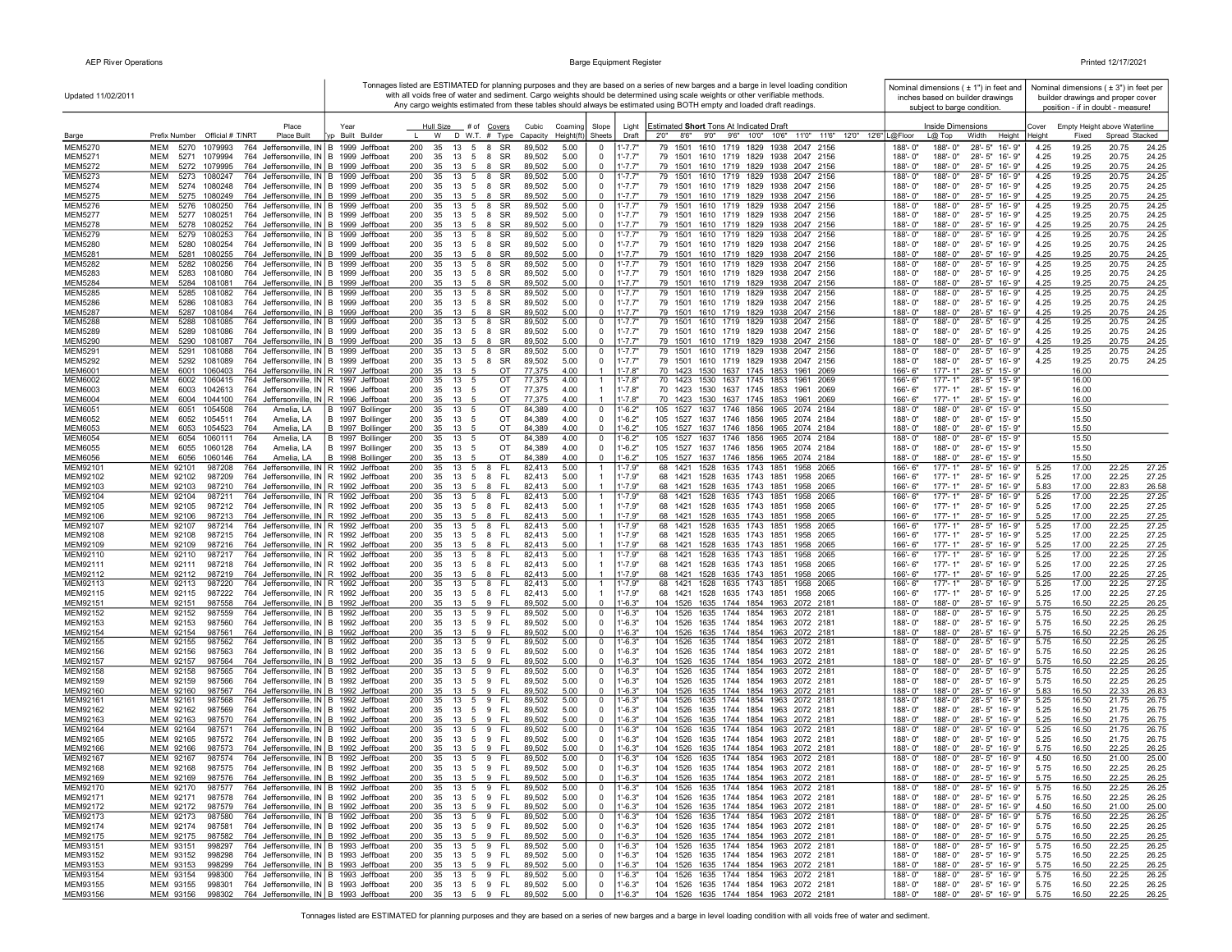| Updated 11/02/2011               |                                                                                                                                             |                                      |                                              |                                  |                                            |                            |                            | Tonnages listed are ESTIMATED for planning purposes and they are based on a series of new barges and a barge in level loading condition<br>with all voids free of water and sediment. Cargo weights should be determined using scale weights or other verifiable methods.<br>Any cargo weights estimated from these tables should always be estimated using BOTH empty and loaded draft readings. |                        | Nominal dimensions ( $\pm$ 1") in feet and<br>inches based on builder drawings<br>subject to barge condition. |                 | Nominal dimensions (±3") in feet per<br>builder drawings and proper cover<br>position - if in doubt - measure! |                |                |
|----------------------------------|---------------------------------------------------------------------------------------------------------------------------------------------|--------------------------------------|----------------------------------------------|----------------------------------|--------------------------------------------|----------------------------|----------------------------|---------------------------------------------------------------------------------------------------------------------------------------------------------------------------------------------------------------------------------------------------------------------------------------------------------------------------------------------------------------------------------------------------|------------------------|---------------------------------------------------------------------------------------------------------------|-----------------|----------------------------------------------------------------------------------------------------------------|----------------|----------------|
| Barge                            | Place<br>Prefix Number Official # T/NRT<br><b>Place Built</b>                                                                               | Year<br>yp Built Builder             | Hull Size<br>W                               | # of Covers<br>$D$ W.T. $#$ Type | Cubic<br>Coaming<br>Capacity<br>Height(ft) | Slope<br>Sheets            | Light<br>Draft             | Estimated Short Tons At Indicated Draft<br>2'0"<br>8'6" 9'0" 9'6" 10'0" 10'6" 11'0" 11'6" 12'0" 12'6" L@Floor                                                                                                                                                                                                                                                                                     |                        | Inside Dimensions<br>L@ Top<br>Width<br>Height                                                                | Cover<br>leight | Empty Height above Waterline<br>Fixed                                                                          | Spread Stacked |                |
| <b>MEM5270</b>                   | 5270<br>764 Jeffersonville, IN B 1999 Jeffboat<br>MEM<br>1079993                                                                            |                                      | 200<br>35<br>5<br>13                         | SR<br>8                          | 5.00<br>89,502                             | $^{\circ}$                 | $1' - 7.7"$                | 79 1501 1610 1719 1829 1938 2047 2156                                                                                                                                                                                                                                                                                                                                                             | 188'-0"                | 188'-0"<br>28'-5" 16'-9"                                                                                      | 4.25            | 19.25                                                                                                          | 20.75          | 24.25          |
| <b>MEM5271</b>                   | 764 Jeffersonville, IN B 1999 Jeffboat<br>MEM<br>5271<br>1079994                                                                            |                                      | 200<br>35<br>13<br>5                         | SR<br>8                          | 89,502<br>5.00                             | 0                          | $1' - 7.7"$                | 79 1501 1610 1719 1829 1938 2047 2156                                                                                                                                                                                                                                                                                                                                                             | 188'-0"                | 188'-0"<br>28'-5" 16'-9"                                                                                      | 4.25            | 19.25                                                                                                          | 20.75          | 24.25          |
| <b>MEM5272</b>                   | 764 Jeffersonville, IN B 1999 Jeffboat<br>MEM<br>5272<br>1079995                                                                            |                                      | 35<br>200<br>13<br>- 5                       | SR<br>8                          | 89,502<br>5.00                             | $\Omega$                   | $1' - 7.7"$                | 79 1501 1610 1719 1829 1938 2047 2156                                                                                                                                                                                                                                                                                                                                                             | 188'-0"                | 28'-5" 16'-9"<br>188'-0"                                                                                      | 4.25            | 19.25                                                                                                          | 20.75          | 24.25          |
| <b>MEM5273</b><br><b>MEM5274</b> | MEM<br>5273<br>1080247<br>764 Jeffersonville, IN B 1999 Jeffboat<br>MEM<br>5274<br>1080248<br>764 Jeffersonville, IN B 1999 Jeffboat        |                                      | 200<br>35<br>13<br>200<br>35<br>13 5 8       | 5 8<br>SR<br>SR                  | 89,502<br>5.00<br>89,502<br>5.00           | $^{\circ}$<br>$\Omega$     | $1' - 7.7'$<br>$1' - 7.7"$ | 79 1501 1610 1719 1829 1938 2047 2156<br>79 1501 1610 1719 1829 1938 2047 2156                                                                                                                                                                                                                                                                                                                    | 188'-0"<br>$188 - 0$ " | 188'-0"<br>28'-5" 16'-9"<br>188'-0"<br>28'-5" 16'-9"                                                          | 4.25<br>4.25    | 19.25<br>19.25                                                                                                 | 20.75<br>20.75 | 24.25<br>24.25 |
| <b>MEM5275</b>                   | MEM<br>5275<br>1080249<br>764 Jeffersonville, IN B 1999 Jeffboat                                                                            |                                      | 200<br>35<br>13 5                            | SR<br>8                          | 89,502<br>5.00                             | $\mathbf 0$                | $1' - 7.7"$                | 79 1501 1610 1719 1829 1938 2047 2156                                                                                                                                                                                                                                                                                                                                                             | 188'-0"                | 188'-0"<br>28'-5" 16'-9"                                                                                      | 4.25            | 19.25                                                                                                          | 20.75          | 24.25          |
| <b>MEM5276</b>                   | MEM<br>5276<br>1080250<br>764 Jeffersonville, IN B 1999 Jeffboat                                                                            |                                      | 200<br>5<br>35<br>13                         | SR<br>8                          | 89,502<br>5.00                             | $^{\circ}$                 | $1' - 7.7$                 | 1610 1719 1829 1938 2047 2156<br>79 1501                                                                                                                                                                                                                                                                                                                                                          | 188'-0"                | $28 - 5"$<br>16'-9"<br>188'-0"                                                                                | 4.25            | 19.25                                                                                                          | 20.75          | 24.25          |
| <b>MEM5277</b>                   | MEM<br>5277<br>1080251<br>764 Jeffersonville, IN B 1999 Jeffboat                                                                            |                                      | 200<br>35<br>13 5                            | 8<br>SR                          | 89,502<br>5.00                             | $^{\circ}$                 | $1' - 7.7"$                | 79 1501 1610 1719 1829 1938 2047 2156                                                                                                                                                                                                                                                                                                                                                             | 188'-0"                | 188'-0"<br>28'-5" 16'-9"                                                                                      | 4.25            | 19.25                                                                                                          | 20.75          | 24.25          |
| <b>MEM5278</b><br><b>MEM5279</b> | MEM<br>5278<br>1080252<br>764 Jeffersonville, IN B 1999 Jeffboat<br><b>MEM</b><br>5279<br>1080253<br>764 Jeffersonville, IN B 1999 Jeffboat |                                      | 200<br>35<br>13 5 8<br>200<br>35<br>13<br>5  | SR<br>8<br>SR                    | 89,502<br>5.00<br>89,502<br>5.00           | $\Omega$<br>$\Omega$       | $1' - 7.7"$<br>$1' - 7.7"$ | 79 1501 1610 1719 1829 1938 2047 2156<br>79 1501<br>1610 1719 1829<br>1938 2047 2156                                                                                                                                                                                                                                                                                                              | 188'-0"<br>188'-0"     | 188'-0"<br>28'-5" 16'-9"<br>188'-0"<br>$28 - 5"$<br>$16 - 9"$                                                 | 4.25<br>4.25    | 19.25<br>19.25                                                                                                 | 20.75<br>20.75 | 24.25<br>24.25 |
| <b>MEM5280</b>                   | <b>MEM</b><br>764 Jeffersonville, IN B 1999 Jeffboat<br>5280<br>1080254                                                                     |                                      | 200<br>35<br>$13 \quad 5 \quad 8$            | SR                               | 89,502<br>5.00                             | $\Omega$                   | $1' - 7.7"$                | 79 1501 1610 1719 1829 1938 2047 2156                                                                                                                                                                                                                                                                                                                                                             | $188 - 0'$             | 28'-5" 16'-9"<br>188'-0"                                                                                      | 4.25            | 19.25                                                                                                          | 20.75          | 24.25          |
| <b>MEM5281</b>                   | MEM<br>764 Jeffersonville, IN B 1999 Jeffboat<br>5281<br>1080255                                                                            |                                      | 200<br>35 13 5 8 SR                          |                                  | 5.00<br>89,502                             | $\mathbf{0}$               | $1' - 7.7"$                | 79 1501 1610 1719 1829 1938 2047 2156                                                                                                                                                                                                                                                                                                                                                             | 188'-0"                | 28'-5" 16'-9"<br>188'-0"                                                                                      | 4.25            | 19.25                                                                                                          | 20.75          | 24.25          |
| <b>MEM5282</b><br>MEM5283        | MEM<br>5282<br>1080256<br>764 Jeffersonville, IN B 1999 Jeffboat<br>MEM<br>5283<br>1081080<br>764 Jeffersonville, IN B 1999 Jeffboat        |                                      | 200<br>35<br>13 5 8<br>200<br>35<br>13 5 8   | SR<br>SR                         | 89,502<br>5.00<br>89,502<br>5.00           | $^{\circ}$<br>$^{\circ}$   | 1'-7.7'<br>$1' - 7.7"$     | 79 1501 1610 1719 1829 1938 2047 2156<br>79 1501 1610 1719 1829 1938 2047 2156                                                                                                                                                                                                                                                                                                                    | 188'-0"<br>188'-0"     | 28'-5" 16'-9"<br>188'-0"<br>188'-0"<br>28'-5" 16'-9"                                                          | 4.25<br>4.25    | 19.25<br>19.25                                                                                                 | 20.75<br>20.75 | 24.25<br>24.25 |
| <b>MEM5284</b>                   | MEM<br>5284 1081081<br>764 Jeffersonville, IN B 1999 Jeffboat                                                                               |                                      | 200<br>35 13 5 8 SR                          |                                  | 89,502<br>5.00                             | $\Omega$                   | $1' - 7.7"$                | 79 1501 1610 1719 1829 1938 2047 2156                                                                                                                                                                                                                                                                                                                                                             | 188'-0"                | 188'-0"<br>28'-5" 16'-9"                                                                                      | 4.25            | 19.25                                                                                                          | 20.75          | 24.25          |
| <b>MEM5285</b>                   | <b>MEM</b><br>5285<br>1081082<br>764 Jeffersonville, IN B 1999 Jeffboat                                                                     |                                      | 200<br>35<br>13<br>5                         | SR<br>8                          | 89,502<br>5.00                             | $^{\circ}$                 | $1' - 7.7'$                | 79 1501<br>1610 1719 1829 1938 2047 2156                                                                                                                                                                                                                                                                                                                                                          | 188'-0"                | 188'-0"<br>$28 - 5"$<br>16'-9"                                                                                | 4.25            | 19.25                                                                                                          | 20.75          | 24.25          |
| <b>MEM5286</b>                   | <b>MEM</b><br>5286<br>1081083<br>764 Jeffersonville, IN B 1999 Jeffboat                                                                     |                                      | 200<br>35<br>13                              | SR<br>5 8                        | 89,502<br>5.00                             | $^{\circ}$                 | $1' - 7.7"$                | 79 1501 1610 1719 1829 1938 2047 2156                                                                                                                                                                                                                                                                                                                                                             | $188 - 0'$             | 28'-5" 16'-9"<br>188'-0"                                                                                      | 4.25            | 19.25                                                                                                          | 20.75          | 24.25          |
| <b>MEM5287</b><br><b>MEM5288</b> | MEM<br>5287<br>1081084<br>764 Jeffersonville, IN B 1999 Jeffboat<br>MEM<br>764 Jeffersonville, IN B 1999 Jeffboat<br>5288<br>1081085        |                                      | 200<br>35<br>5<br>13<br>200<br>35<br>13      | SR<br>8<br>SR<br>5 8             | 89,502<br>5.00<br>5.00<br>89,502           | $\Omega$<br>0              | $1' - 7.7"$<br>1'-7.7'     | 79 1501 1610 1719 1829 1938 2047 2156<br>79 1501 1610 1719 1829 1938 2047 2156                                                                                                                                                                                                                                                                                                                    | 188'-0"<br>188'-0"     | 28'-5" 16'-9"<br>188'-0"<br>188'-0"<br>28'-5"<br>16'-9"                                                       | 4.25<br>4.25    | 19.25<br>19.25                                                                                                 | 20.75<br>20.75 | 24.25<br>24.25 |
| <b>MEM5289</b>                   | MEM<br>5289<br>1081086<br>764 Jeffersonville, IN B 1999 Jeffboat                                                                            |                                      | 200<br>35<br>13<br>5                         | 8<br>SR                          | 89,502<br>5.00                             | $^{\circ}$                 | $1' - 7.7"$                | 79 1501 1610 1719 1829 1938 2047 2156                                                                                                                                                                                                                                                                                                                                                             | 188'-0"                | 188'-0"<br>28'-5" 16'-9"                                                                                      | 4.25            | 19.25                                                                                                          | 20.75          | 24.25          |
| <b>MEM5290</b>                   | <b>MEM</b><br>5290<br>1081087<br>764 Jeffersonville, IN B 1999 Jeffboat                                                                     |                                      | 200<br>35<br>13<br>-5                        | SR<br>8                          | 89,502<br>5.00                             | $\Omega$                   | $1' - 7.7"$                | 79 1501 1610 1719 1829 1938 2047 2156                                                                                                                                                                                                                                                                                                                                                             | 188'-0"                | 188'-0"<br>28'-5" 16'-9"                                                                                      | 4.25            | 19.25                                                                                                          | 20.75          | 24.25          |
| <b>MEM5291</b><br><b>MEM5292</b> | MEM<br>5291<br>1081088<br>764 Jeffersonville, IN B 1999 Jeffboat<br>MEM<br>764 Jeffersonville, IN B 1999 Jeffboat<br>5292<br>1081089        |                                      | 200<br>35<br>13<br>5<br>200<br>35<br>13      | SR<br>8<br>5 8<br>SR             | 89,502<br>5.00<br>89,502<br>5.00           | $^{\circ}$<br>$\mathbf 0$  | 1'-7.7"<br>$1' - 7.7"$     | 79 1501 1610 1719 1829 1938 2047 2156<br>79 1501 1610 1719 1829 1938 2047 2156                                                                                                                                                                                                                                                                                                                    | 188'-0"<br>188'-0"     | 188'-0"<br>$28 - 5"$<br>16'-9"<br>188'-0"<br>28'-5" 16'-9"                                                    | 4.25<br>4.25    | 19.25<br>19.25                                                                                                 | 20.75<br>20.75 | 24.25<br>24.25 |
| <b>MEM6001</b>                   | 6001 1060403<br>764 Jeffersonville, IN R 1997 Jeffboat<br>MEM                                                                               |                                      | 200<br>35<br>13<br>- 5                       | OT                               | 77,375<br>4.00                             | $\overline{1}$             | $1' - 7.8"$                | 70 1423 1530 1637 1745 1853 1961 2069                                                                                                                                                                                                                                                                                                                                                             | $166 - 6$              | $177 - 1"$<br>28'-5" 15'-9'                                                                                   |                 | 16.00                                                                                                          |                |                |
| <b>MEM6002</b>                   | 6002<br>1060415<br>764 Jeffersonville, IN R 1997 Jeffboat<br>MEM                                                                            |                                      | 200<br>35<br>13<br>5                         | OT                               | 77,375<br>4.00                             | $\overline{1}$             | $1' - 7.8"$                | 70 1423 1530 1637 1745 1853 1961 2069                                                                                                                                                                                                                                                                                                                                                             | 166'-6"                | 177'-1"<br>28'-5" 15'-9'                                                                                      |                 | 16.00                                                                                                          |                |                |
| MEM6003                          | MEM<br>6003<br>1042613<br>764 Jeffersonville, IN R 1996 Jeffboat                                                                            |                                      | 200<br>35<br>13<br>5                         | OT                               | 77,375<br>4.00                             | $\mathbf{1}$               | $1' - 7.8"$                | 70 1423 1530 1637 1745 1853 1961 2069                                                                                                                                                                                                                                                                                                                                                             | 166'-6"                | 177'-1"<br>28'-5" 15'-9"                                                                                      |                 | 16.00                                                                                                          |                |                |
| <b>MEM6004</b><br><b>MEM6051</b> | 6004 1044100<br>764 Jeffersonville, IN R 1996 Jeffboat<br>MEM<br>мем<br>6051<br>1054508<br>764<br>Amelia, LA                                | B 1997 Bollinger                     | 200<br>35<br>13<br>200<br>35<br>13<br>5      | OT<br>OT                         | 77,375<br>4.00<br>84,389<br>4.00           | $^{\circ}$                 | $1' - 7.8"$<br>$1' - 6.2"$ | 70 1423 1530 1637 1745 1853 1961 2069<br>105 1527 1637 1746 1856 1965 2074 2184                                                                                                                                                                                                                                                                                                                   | 166'-6"<br>188'-0"     | $177 - 1"$<br>28'-5" 15'-9"<br>28'-6" 15'-9"<br>188'-0"                                                       |                 | 16.00<br>15.50                                                                                                 |                |                |
| <b>MEM6052</b>                   | 6052<br>1054511<br>764<br>Amelia, LA<br>MEM                                                                                                 | B 1997 Bollinger                     | 200<br>35<br>13<br>5                         | OT                               | 84,389<br>4.00                             | $\Omega$                   | $1'-6.2"$                  | 105 1527 1637 1746 1856 1965 2074 2184                                                                                                                                                                                                                                                                                                                                                            | $188 - 0'$             | 188'-0"<br>28'-6" 15'-9"                                                                                      |                 | 15.50                                                                                                          |                |                |
| MEM6053                          | <b>MEM</b><br>6053<br>1054523<br>764<br>Amelia, LA                                                                                          | B 1997 Bollinger                     | 200<br>35<br>13<br>- 5                       | OT                               | 84,389<br>4.00                             | $\mathbf 0$                | $1' - 6.2"$                | 105 1527 1637 1746 1856 1965 2074 2184                                                                                                                                                                                                                                                                                                                                                            | 188'-0"                | 188'-0"<br>28'-6" 15'-9"                                                                                      |                 | 15.50                                                                                                          |                |                |
| <b>MEM6054</b><br><b>MEM6055</b> | MEM<br>6054<br>1060111<br>764<br>Amelia, LA<br>MEM<br>6055<br>1060128<br>764                                                                | B 1997 Bollinger<br>B 1997 Bollinger | 200<br>13<br>35<br>5<br>200<br>35<br>13<br>5 | OT<br>OT                         | 84,389<br>4.00<br>84,389<br>4.00           | 0<br>$^{\circ}$            | $1' - 6.2"$<br>$1' - 6.2"$ | 105 1527 1637 1746 1856 1965 2074 2184<br>105 1527 1637 1746 1856 1965 2074 2184                                                                                                                                                                                                                                                                                                                  | 188'-0"<br>188'-0"     | 188'-0"<br>28'-6" 15'-9"<br>188'-0"<br>28'-6" 15'-9"                                                          |                 | 15.50<br>15.50                                                                                                 |                |                |
| <b>MEM6056</b>                   | Amelia, LA<br>MEM<br>6056<br>1060146<br>764<br>Amelia, LA                                                                                   | B 1998 Bollinger                     | 200<br>35<br>13<br>5                         | OT                               | 84,389<br>4.00                             | $^{\circ}$                 | $1' - 6.2"$                | 105 1527 1637 1746 1856 1965 2074 2184                                                                                                                                                                                                                                                                                                                                                            | 188'-0"                | 188'-0"<br>28'-6" 15'-9"                                                                                      |                 | 15.50                                                                                                          |                |                |
| MEM92101                         | MEM 92101<br>764 Jeffersonville, IN R 1992 Jeffboat<br>987208                                                                               |                                      | 200<br>35<br>13<br>5                         | FL.<br>8                         | 5.00<br>82,413                             |                            | 1'-7.9"                    | 1528 1635 1743 1851<br>68 1421<br>1958 2065                                                                                                                                                                                                                                                                                                                                                       | 166'-6"                | 28'-5" 16'-9"<br>177'-1"                                                                                      | 5.25            | 17.00                                                                                                          | 22.25          | 27.25          |
| MEM92102                         | MEM 92102<br>987209<br>764 Jeffersonville, IN R 1992 Jeffboat                                                                               |                                      | 200<br>35<br>13 5<br>200                     | 8<br>- FL                        | 82.413<br>5.00<br>5.00                     | $\overline{1}$             | $1' - 7.9"$<br>$1' - 7.9"$ | 68 1421 1528 1635 1743 1851 1958 2065<br>68 1421 1528 1635 1743 1851 1958 2065                                                                                                                                                                                                                                                                                                                    | $166 - 6$<br>166'-6"   | $177 - 1"$<br>28'-5" 16'-9"                                                                                   | 5.25            | 17.00                                                                                                          | 22.25          | 27.25          |
| MEM92103<br>MEM92104             | MEM 92103<br>987210<br>764 Jeffersonville, IN R 1992 Jeffboat<br>MEM 92104<br>987211<br>764 Jeffersonville, IN R 1992 Jeffboat              |                                      | 13 5 8<br>35<br>200<br>35<br>13 5 8          | - FL<br>- FL                     | 82,413<br>5.00<br>82,413                   |                            | 1'-7.9"                    | 68 1421 1528 1635 1743 1851 1958 2065                                                                                                                                                                                                                                                                                                                                                             | 166'-6"                | 177'-1"<br>28'-5" 16'-9"<br>28'-5" 16'-9"<br>177'-1"                                                          | 5.83<br>5.25    | 17.00<br>17.00                                                                                                 | 22.83<br>22.25 | 26.58<br>27.25 |
| MEM92105                         | MEM 92105<br>987212<br>764 Jeffersonville, IN R 1992 Jeffboat                                                                               |                                      | 200<br>35<br>13<br>5                         | 8<br>- FL                        | 82,413<br>5.00                             | $\mathbf{1}$               | $1' - 7.9"$                | 68 1421 1528 1635 1743 1851<br>1958 2065                                                                                                                                                                                                                                                                                                                                                          | 166'-6"                | 177'-1"<br>28'-5" 16'-9"                                                                                      | 5.25            | 17.00                                                                                                          | 22.25          | 27.25          |
| MEM92106                         | MEM 92106<br>987213<br>764 Jeffersonville, IN R 1992 Jeffboat                                                                               |                                      | 200<br>35<br>13 5 8                          | - FL                             | 82,413<br>5.00                             | $\mathbf{1}$               | $1' - 7.9"$                | 68 1421 1528 1635 1743 1851 1958 2065                                                                                                                                                                                                                                                                                                                                                             | 166'-6"                | 177'-1"<br>28'-5" 16'-9"                                                                                      | 5.25            | 17.00                                                                                                          | 22.25          | 27.25          |
| MEM92107<br>MEM92108             | MEM 92107<br>764 Jeffersonville, IN R 1992 Jeffboat<br>987214<br>MEM 92108<br>987215<br>764 Jeffersonville, IN R 1992 Jeffboat              |                                      | 200<br>35<br>13<br>200<br>35<br>13<br>5      | - FL<br>5 8<br>8<br>- FL         | 82,413<br>5.00<br>82,413<br>5.00           |                            | $1' - 7.9"$<br>$1' - 7.9"$ | 68 1421 1528 1635 1743 1851<br>1958 2065<br>68 1421 1528 1635 1743 1851<br>1958 2065                                                                                                                                                                                                                                                                                                              | 166'-6"<br>$166 - 6$   | 177'-1"<br>28'-5" 16'-9"<br>$177 - 1"$<br>28'-5" 16'-9"                                                       | 5.25<br>5.25    | 17.00<br>17.00                                                                                                 | 22.25<br>22.25 | 27.25<br>27.25 |
| MEM92109                         | MEM 92109<br>987216<br>764 Jeffersonville, IN R 1992 Jeffboat                                                                               |                                      | 200<br>35<br>13<br>- 5                       | 8<br>- FL                        | 82,413<br>5.00                             | $\mathbf{1}$               | $1' - 7.9"$                | 68 1421 1528 1635 1743 1851<br>1958 2065                                                                                                                                                                                                                                                                                                                                                          | 166'-6"                | $177 - 1"$<br>28'-5" 16'-9"                                                                                   | 5.25            | 17.00                                                                                                          | 22.25          | 27.25          |
| MEM92110                         | MEM 92110<br>764 Jeffersonville, IN R 1992 Jeffboat<br>987217                                                                               |                                      | 200<br>35<br>5<br>13                         | - FL<br>8                        | 82,413<br>5.00                             |                            | $1' - 7.9"$                | 1528 1635 1743 1851<br>68 1421<br>1958 2065                                                                                                                                                                                                                                                                                                                                                       | 166'-6"                | 28'-5"<br>16'-9"<br>177'-1"                                                                                   | 5.25            | 17.00                                                                                                          | 22.25          | 27.25          |
| MEM92111<br>MEM92112             | 764 Jeffersonville, IN R 1992 Jeffboat<br>MEM 92111<br>987218<br>MEM 92112<br>987219<br>764 Jeffersonville, IN R 1992 Jeffboat              |                                      | 200<br>35<br>13<br>5<br>200<br>35<br>13 5    | - FL<br>8<br>8<br>- FL           | 82,413<br>5.00<br>5.00<br>82,413           | -1                         | $1' - 7.9"$<br>$1' - 7.9"$ | 68 1421 1528 1635 1743 1851<br>1958 2065<br>68 1421 1528 1635 1743 1851 1958 2065                                                                                                                                                                                                                                                                                                                 | 166'-6"<br>166'-6"     | 177'-1"<br>28'-5" 16'-9"<br>$177 - 1"$<br>28'-5" 16'-9"                                                       | 5.25<br>5.25    | 17.00<br>17.00                                                                                                 | 22.25<br>22.25 | 27.25<br>27.25 |
| MEM92113                         | 764 Jeffersonville, IN R 1992 Jeffboat<br>MEM 92113<br>987220                                                                               |                                      | 200<br>35<br>13<br>5                         | FL.<br>8                         | 82,413<br>5.00                             |                            | $1' - 7.9"$                | 1528 1635 1743 1851 1958 2065<br>68 1421                                                                                                                                                                                                                                                                                                                                                          | 166'-6"                | $28 - 5"$<br>$177 - 1"$<br>16'-9"                                                                             | 5.25            | 17.00                                                                                                          | 22.25          | 27.25          |
| MEM92115                         | MEM 92115<br>987222<br>764 Jeffersonville, IN R 1992 Jeffboat                                                                               |                                      | 200<br>35<br>13                              | 5 8<br>- FL                      | 82,413<br>5.00                             | $\mathbf{1}$               | $1' - 7.9"$                | 68 1421 1528 1635 1743 1851 1958 2065                                                                                                                                                                                                                                                                                                                                                             | 166'-6"                | 28'-5" 16'-9"<br>177'-1"                                                                                      | 5.25            | 17.00                                                                                                          | 22.25          | 27.25          |
| MEM92151                         | MEM 92151<br>987558<br>764 Jeffersonville, IN B 1992 Jeffboat                                                                               |                                      | 200<br>35                                    | 13 5 9 FL                        | 89,502<br>5.00                             | $^{\circ}$                 | $1' - 6.3"$                | 104 1526 1635 1744 1854 1963 2072 2181                                                                                                                                                                                                                                                                                                                                                            | 188'-0"                | 188'-0"<br>28'-5" 16'-9"                                                                                      | 5.75            | 16.50                                                                                                          | 22.25          | 26.25          |
| MEM92152<br>MEM92153             | MEM 92152<br>987559<br>764 Jeffersonville, IN B 1992 Jeffboat<br>MEM 92153<br>987560<br>764 Jeffersonville, IN B 1992 Jeffboat              |                                      | 200<br>35<br>13<br>200<br>35                 | FL<br>5 9<br>13 5 9 FL           | 89,502<br>5.00<br>89,502<br>5.00           | $^{\circ}$<br>0            | $1' - 6.3"$<br>$1' - 6.3"$ | 104 1526 1635 1744 1854 1963 2072 2181<br>104 1526 1635 1744 1854 1963 2072 2181                                                                                                                                                                                                                                                                                                                  | 188'-0"<br>188'-0"     | 188'-0"<br>28'-5" 16'-9"<br>188'-0"<br>28'-5" 16'-9"                                                          | 5.75<br>5.75    | 16.50<br>16.50                                                                                                 | 22.25<br>22.25 | 26.25<br>26.25 |
| MEM92154                         | MEM 92154<br>987561<br>764 Jeffersonville, IN B 1992 Jeffboat                                                                               |                                      | 200<br>35 13 5 9                             | - FL                             | 5.00<br>89,502                             | $^{\circ}$                 | $1' - 6.3"$                | 104 1526 1635 1744 1854 1963 2072 2181                                                                                                                                                                                                                                                                                                                                                            | 188'-0"                | 188'-0"<br>28'-5" 16'-9"                                                                                      | 5.75            | 16.50                                                                                                          | 22.25          | 26.25          |
| MEM92155                         | MEM 92155<br>764 Jeffersonville, IN B 1992 Jeffboat<br>987562                                                                               |                                      | 200<br>13 5 9<br>35                          | - FL                             | 5.00<br>89,502                             | $^{\circ}$                 | $1' - 6.3"$                | 104 1526 1635 1744 1854 1963 2072 2181                                                                                                                                                                                                                                                                                                                                                            | 188'-0"                | 188'-0"<br>28'-5" 16'-9"                                                                                      | 5.75            | 16.50                                                                                                          | 22.25          | 26.25          |
| MEM92156<br>MEM92157             | MEM 92156<br>764 Jeffersonville, IN B 1992 Jeffboat<br>987563<br>MEM 92157<br>987564<br>764 Jeffersonville, IN B 1992 Jeffboat              |                                      | 35 13 5 9 FL<br>200<br>200<br>35<br>13 5     | 9<br>- FL                        | 5.00<br>89,502<br>89,502<br>5.00           | $^{\circ}$<br>$\Omega$     | $1' - 6.3"$<br>$1' - 6.3"$ | 104 1526 1635 1744 1854 1963 2072 2181<br>104 1526 1635 1744 1854 1963 2072 2181                                                                                                                                                                                                                                                                                                                  | 188'-0"<br>188'-0"     | 28'-5" 16'-9"<br>188'-0"<br>188'-0"<br>28'-5" 16'-9"                                                          | 5.75<br>5.75    | 16.50<br>16.50                                                                                                 | 22.25<br>22.25 | 26.25<br>26.25 |
| MEM92158                         | MEM 92158<br>764 Jeffersonville, IN B 1992 Jeffboat<br>987565                                                                               |                                      | 200<br>13 5 9<br>35                          | - FL                             | 89,502<br>5.00                             | $^{\circ}$                 | $1' - 6.3"$                | 104 1526 1635 1744 1854 1963 2072 2181                                                                                                                                                                                                                                                                                                                                                            | 188'-0"                | 188'-0"<br>28'-5" 16'-9"                                                                                      | 5.75            | 16.50                                                                                                          | 22.25          | 26.25          |
| MEM92159                         | MEM 92159<br>987566<br>764 Jeffersonville, IN B 1992 Jeffboat                                                                               |                                      | 200<br>35<br>13 5                            | -FL<br>9                         | 89,502<br>5.00                             | $^{\circ}$                 | $1' - 6.3"$                | 104 1526 1635 1744 1854 1963 2072 2181                                                                                                                                                                                                                                                                                                                                                            | 188'-0"                | 28'-5" 16'-9"<br>188'-0"                                                                                      | 5.75            | 16.50                                                                                                          | 22.25          | 26.25          |
| MEM92160                         | MEM 92160<br>987567<br>764 Jeffersonville, IN B 1992 Jeffboat<br>987568<br>764 Jeffersonville, IN B 1992 Jeffboat                           |                                      | 200<br>35<br>13<br>5<br>200<br>35<br>13<br>5 | 9<br>-FL<br>9<br>FL.             | 5.00<br>89,502<br>89,502                   | $^{\circ}$<br>$^{\circ}$   | $1'-6.3"$<br>$1' - 6.3"$   | 104 1526 1635 1744 1854 1963 2072 2181<br>104 1526 1635 1744 1854 1963 2072 2181                                                                                                                                                                                                                                                                                                                  | 188'-0"<br>188'-0"     | 28'-5" 16'-9"<br>188'-0"<br>188'-0"                                                                           | 5.83            | 16.50                                                                                                          | 22.33<br>21.75 | 26.83<br>26.75 |
| MEM92161<br>MEM92162             | MEM 92161<br>764 Jeffersonville, IN B 1992 Jeffboat<br>MEM 92162<br>987569                                                                  |                                      | 200<br>35<br>13 5                            | 9<br>- FL                        | 5.00<br>5.00<br>89,502                     | $^{\circ}$                 | $1' - 6.3"$                | 104 1526 1635 1744 1854 1963 2072 2181                                                                                                                                                                                                                                                                                                                                                            | 188'-0"                | 28'-5" 16'-9"<br>28'-5" 16'-9"<br>188'-0"                                                                     | 5.25<br>5.25    | 16.50<br>16.50                                                                                                 | 21.75          | 26.75          |
| MEM92163                         | MEM 92163<br>987570<br>764 Jeffersonville, IN B 1992 Jeffboat                                                                               |                                      | 200<br>35<br>13 5                            | 9<br>- FL                        | 5.00<br>89,502                             | $\Omega$                   | $1' - 6.3"$                | 104 1526 1635 1744 1854 1963 2072 2181                                                                                                                                                                                                                                                                                                                                                            | 188'-0"                | 188'-0"<br>28'-5" 16'-9"                                                                                      | 5.25            | 16.50                                                                                                          | 21.75          | 26.75          |
| MEM92164                         | 764 Jeffersonville, IN B 1992 Jeffboat<br>MEM 92164<br>987571                                                                               |                                      | 200<br>5<br>35<br>13                         | 9<br>FL.                         | 5.00<br>89,502                             | $^{\circ}$                 | $1' - 6.3"$                | 104 1526 1635 1744 1854 1963 2072 2181                                                                                                                                                                                                                                                                                                                                                            | $188 - 0'$             | $28 - 5"$<br>16'-9"<br>188'-0"                                                                                | 5.25            | 16.50                                                                                                          | 21.75          | 26.75          |
| MEM92165<br>MEM92166             | MEM 92165<br>987572<br>764 Jeffersonville, IN B 1992 Jeffboat<br>MEM 92166<br>987573<br>764 Jeffersonville, IN B 1992 Jeffboat              |                                      | 200<br>35<br>13 5 9<br>200<br>35 13 5 9      | - FL<br>- FL                     | 89,502<br>5.00<br>5.00<br>89,502           | $^{\circ}$<br>$\Omega$     | $1' - 6.3"$<br>$1' - 6.3"$ | 104 1526 1635 1744 1854 1963 2072 2181<br>104 1526 1635 1744 1854 1963 2072 2181                                                                                                                                                                                                                                                                                                                  | $188 - 0$ "<br>188'-0" | 188'-0"<br>28'-5" 16'-9"<br>188'-0"<br>28'-5" 16'-9"                                                          | 5.25<br>5.75    | 16.50<br>16.50                                                                                                 | 21.75<br>22.25 | 26.75<br>26.25 |
| MEM92167                         | MEM 92167<br>987574<br>764 Jeffersonville, IN B 1992 Jeffboat                                                                               |                                      | 200<br>35 13 5 9                             | - FL                             | 89,502<br>5.00                             | $^{\circ}$                 | 1'-6.3"                    | 104 1526 1635 1744 1854 1963 2072 2181                                                                                                                                                                                                                                                                                                                                                            | 188'-0'                | 188'-0"<br>28'-5" 16'-9"                                                                                      | 4.50            | 16.50                                                                                                          | 21.00          | 25.00          |
| MEM92168                         | 987575 764 Jeffersonville. IN B 1992 Jeffboat<br>MEM 92168                                                                                  |                                      | 200 35 13 5 9 FL                             |                                  | 5.00<br>89,502                             | $^{\circ}$                 | $1' - 6.3"$                | 104 1526 1635 1744 1854 1963 2072 2181                                                                                                                                                                                                                                                                                                                                                            | 188'-0"                | 188'-0" 28'-5" 16'-9"                                                                                         | 5.75            | 16.50                                                                                                          | 22.25          | 26.25          |
| MFM92169                         | MEM 92169 987576 764 Jeffersonville IN R 1992 Jeffboat                                                                                      |                                      | 200 35 13 5 Q FL                             |                                  | 89.502<br>5.00                             |                            | "-6.3"                     | 104 1526 1635 1744 1854 1963 2072 2181                                                                                                                                                                                                                                                                                                                                                            | 188'-0"                | 188'-0"<br>28'-5" 16'-9"                                                                                      | 575             | 16.50                                                                                                          | 22.25          | 26.25          |
| MEM92170<br>MEM92171             | MEM 92170 987577<br>764 Jeffersonville, IN B 1992 Jeffboat<br>764 Jeffersonville, IN B 1992 Jeffboat<br>MEM 92171 987578                    |                                      | 200<br>35<br>13<br>5<br>200<br>35            | - FL<br>9<br>13 5 9 FL           | 89,502<br>5.00<br>89,502<br>5.00           | $^{\circ}$<br>$\mathbf 0$  | 1'-6.3'<br>$1' - 6.3"$     | 104 1526 1635 1744 1854 1963 2072 2181<br>104 1526 1635 1744 1854 1963 2072 2181                                                                                                                                                                                                                                                                                                                  | 188'-0"<br>188'-0"     | 188'-0"<br>28'-5" 16'-9"<br>188'-0" 28'-5" 16'-9"                                                             | 5.75<br>5.75    | 16.50<br>16.50                                                                                                 | 22.25<br>22.25 | 26.25<br>26.25 |
| MEM92172                         | 764 Jeffersonville, IN B 1992 Jeffboat<br>MEM 92172<br>987579                                                                               |                                      | 200<br>35<br>13 5                            | 9 FL                             | 89,502<br>5.00                             | $\mathbf 0$                | $1'-6.3"$                  | 104 1526 1635 1744 1854 1963 2072 2181                                                                                                                                                                                                                                                                                                                                                            | 188'-0"                | 28'-5" 16'-9"<br>188'-0"                                                                                      | 4.50            | 16.50                                                                                                          | 21.00          | 25.00          |
| MEM92173                         | MEM 92173 987580<br>764 Jeffersonville, IN B 1992 Jeffboat                                                                                  |                                      | 200<br>35                                    | 13 5 9 FL                        | 5.00<br>89,502                             | $\mathbf 0$                | $1' - 6.3"$                | 104 1526 1635 1744 1854 1963 2072 2181                                                                                                                                                                                                                                                                                                                                                            | 188'-0"                | 188'-0"<br>28'-5" 16'-9"                                                                                      | 5.75            | 16.50                                                                                                          | 22.25          | 26.25          |
| MEM92174<br>MEM92175             | MEM 92174 987581<br>764 Jeffersonville, IN B 1992 Jeffboat<br>MEM 92175 987582<br>764 Jeffersonville, IN B 1992 Jeffboat                    |                                      | 200<br>35<br>200<br>35                       | 13 5 9 FL<br>13 5 9 FL           | 89,502<br>5.00<br>89,502<br>5.00           | $\mathbf 0$<br>$\mathbf 0$ | $1' - 6.3"$<br>$1' - 6.3"$ | 104 1526 1635 1744 1854 1963 2072 2181<br>104 1526 1635 1744 1854 1963 2072 2181                                                                                                                                                                                                                                                                                                                  | 188'-0"<br>188'-0"     | 188'-0" 28'-5" 16'-9"<br>188'-0"<br>28'-5" 16'-9"                                                             | 5.75<br>5.75    | 16.50<br>16.50                                                                                                 | 22.25<br>22.25 | 26.25<br>26.25 |
| MEM93151                         | 764 Jeffersonville, IN B 1993 Jeffboat<br>MEM 93151<br>998297                                                                               |                                      | 200<br>35                                    | 13 5 9 FL                        | 89,502<br>5.00                             | $\mathbf 0$                | $1' - 6.3"$                | 104 1526 1635 1744 1854 1963 2072 2181                                                                                                                                                                                                                                                                                                                                                            | 188'-0"                | 28'-5" 16'-9"<br>188'-0"                                                                                      | 5.75            | 16.50                                                                                                          | 22.25          | 26.25          |
| MEM93152                         | MEM 93152 998298<br>764 Jeffersonville, IN B 1993 Jeffboat                                                                                  |                                      | 35 13 5 9 FL<br>200                          |                                  | 89,502<br>5.00                             | $\mathbf 0$                | $1'-6.3"$                  | 104 1526 1635 1744 1854 1963 2072 2181                                                                                                                                                                                                                                                                                                                                                            | 188'-0"                | 188'-0" 28'-5" 16'-9"                                                                                         | 5.75            | 16.50                                                                                                          | 22.25          | 26.25          |
| MEM93153                         | MEM 93153 998299 764 Jeffersonville, IN B 1993 Jeffboat<br>MEM 93154 998300                                                                 |                                      | 200<br>35 13 5 9 FL                          |                                  | 89,502<br>5.00                             | $\mathbf 0$                | $1'-6.3"$                  | 104 1526 1635 1744 1854 1963 2072 2181                                                                                                                                                                                                                                                                                                                                                            | 188'-0"                | 188'-0" 28'-5" 16'-9"                                                                                         | 5.75            | 16.50                                                                                                          | 22.25          | 26.25          |
| MEM93154<br>MEM93155             | 764 Jeffersonville, IN B 1993 Jeffboat<br>MEM 93155 998301 764 Jeffersonville. IN B 1993 Jeffboat                                           |                                      | 35 13 5 9 FL<br>200<br>200 35 13 5 9 FL      |                                  | 89,502<br>5.00<br>89,502<br>5.00           | $\mathbf 0$<br>0           | $1' - 6.3"$<br>$1' - 6.3"$ | 104 1526 1635 1744 1854 1963 2072 2181<br>104 1526 1635 1744 1854 1963 2072 2181                                                                                                                                                                                                                                                                                                                  | 188'-0"<br>188'-0"     | 188'-0" 28'-5" 16'-9"<br>188'-0" 28'-5" 16'-9"                                                                | 5.75<br>5.75    | 16.50<br>16.50                                                                                                 | 22.25<br>22.25 | 26.25<br>26.25 |
| MEM93156                         | MEM 93156 998302 764 Jeffersonville, IN B 1993 Jeffboat                                                                                     |                                      | 200 35 13 5 9 FL                             |                                  | 89,502<br>5.00                             | $\mathbf 0$                | $1' - 6.3"$                | 104 1526 1635 1744 1854 1963 2072 2181                                                                                                                                                                                                                                                                                                                                                            | 188'-0"                | 188'-0" 28'-5" 16'-9"                                                                                         | 5.75            | 16.50                                                                                                          | 22.25          | 26.25          |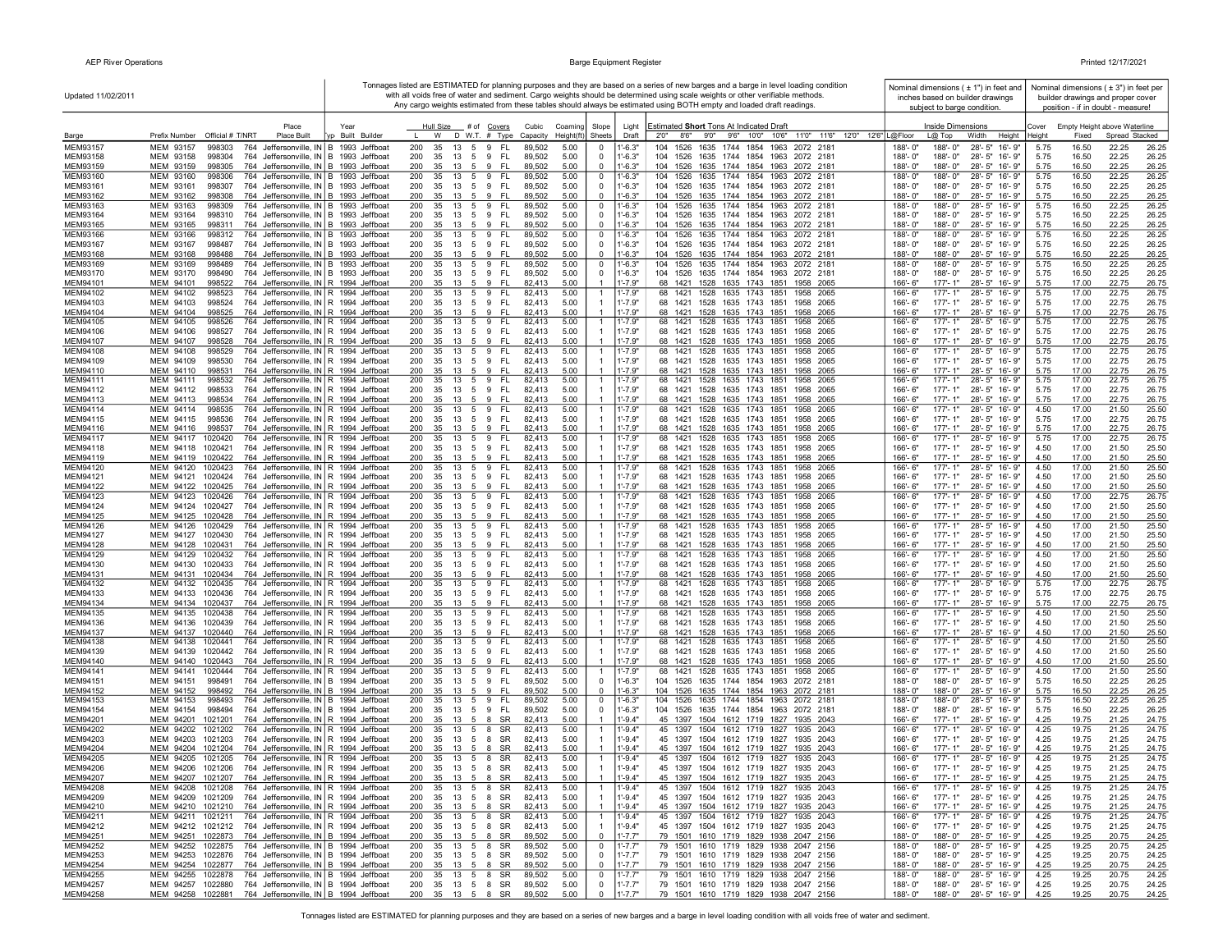| Updated 11/02/2011   |                                                                                                                                     |                                      |                                                                               |                                  |                                                       | Tonnages listed are ESTIMATED for planning purposes and they are based on a series of new barges and a barge in level loading condition<br>with all voids free of water and sediment. Cargo weights should be determined using scale weights or other verifiable methods.<br>Any cargo weights estimated from these tables should always be estimated using BOTH empty and loaded draft readings. | Nominal dimensions ( ± 1") in feet and<br>inches based on builder drawings<br>subject to barge condition |                                                |               |                | Nominal dimensions $(±3")$ in feet per<br>builder drawings and proper cover<br>position - if in doubt - measure! |
|----------------------|-------------------------------------------------------------------------------------------------------------------------------------|--------------------------------------|-------------------------------------------------------------------------------|----------------------------------|-------------------------------------------------------|---------------------------------------------------------------------------------------------------------------------------------------------------------------------------------------------------------------------------------------------------------------------------------------------------------------------------------------------------------------------------------------------------|----------------------------------------------------------------------------------------------------------|------------------------------------------------|---------------|----------------|------------------------------------------------------------------------------------------------------------------|
|                      | Place                                                                                                                               | Year                                 | Hull Size<br># of Covers                                                      | Cubic<br>Coaming                 | Slope<br>Light                                        | Estimated Short Tons At Indicated Draft                                                                                                                                                                                                                                                                                                                                                           |                                                                                                          | Inside Dimensions                              | Cover         |                | Empty Height above Waterline                                                                                     |
| Barge                | Prefix Number Official # T/NRT<br>Place Built                                                                                       | Built Builder                        | $D$ W.T. $#$ Type<br>$\mathbf{L}$<br>W                                        | Height(ft)<br>Capacity           | Sheets<br>Draft                                       | 2'0''<br>9'0"<br>9'6"<br>10'0"<br>10'6"<br>11'0" 11'6"<br>8'6''                                                                                                                                                                                                                                                                                                                                   | 12'0" 12'6" L@Floor<br>$L(0)$ Top                                                                        | Width<br>Height                                | <b>leight</b> | Fixed          | Spread Stacked                                                                                                   |
| MEM93157<br>MEM93158 | MEM 93157<br>998303<br>764 Jeffersonville, IN B 1993 Jeffboat<br>MEM 93158<br>998304<br>Jeffersonville, IN B 1993 Jeffboat<br>764   |                                      | 200<br>35<br>13<br>5<br>9<br>FL.<br>200<br>35<br>13<br>5<br>9<br>FL.          | 89,502<br>5.00<br>89,502<br>5.00 | $1' - 6.3"$<br>$\Omega$<br>$1' - 6.3"$<br>0           | 1526<br>1635<br>1744<br>1854<br>1963<br>2072 2181<br>104<br>104<br>1526<br>1635<br>1744<br>1854<br>1963<br>2072 2181                                                                                                                                                                                                                                                                              | 188'-0"<br>188'-0"<br>188'-0"<br>188'-0"                                                                 | 28'-5" 16'-9"<br>28'-5" 16'-9"                 | 5.75<br>5.75  | 16.50<br>16.50 | 22.25<br>26.25<br>22.25<br>26.25                                                                                 |
| MEM93159             | MEM 93159<br>998305<br>764 Jeffersonville, IN   B 1993 Jeffboat                                                                     |                                      | 200<br>9<br>FL.<br>35<br>13<br>-5                                             | 5.00<br>89,502                   | $1' - 6.3"$<br>$\Omega$                               | 104<br>1526<br>1635 1744 1854 1963 2072 2181                                                                                                                                                                                                                                                                                                                                                      | 188'-0"<br>$188 - 0'$                                                                                    | 28'-5" 16'-9"                                  | 5.75          | 16.50          | 22.25<br>26.25                                                                                                   |
| MEM93160             | MEM 93160<br>998306<br>764 Jeffersonville, IN B 1993 Jeffboat                                                                       |                                      | FL.<br>200<br>35<br>13<br>5<br>9                                              | 89,502<br>5.00                   | $\mathbf 0$<br>$1' - 6.3"$                            | 104<br>1526<br>1635 1744 1854 1963 2072 2181                                                                                                                                                                                                                                                                                                                                                      | 188'-0"<br>188'-0"                                                                                       | 28'-5" 16'-9"                                  | 5.75          | 16.50          | 22.25<br>26.25                                                                                                   |
| MEM93161             | MEM 93161<br>998307<br>764 Jeffersonville, IN   B 1993 Jeffboat                                                                     |                                      | 200<br>35<br>13<br>5 <sup>5</sup><br>9<br>FL.                                 | 89,502<br>5.00                   | $^{\circ}$<br>$1' - 6.3"$                             | 104<br>1526<br>1635 1744 1854 1963 2072 2181                                                                                                                                                                                                                                                                                                                                                      | 188'-0"<br>188'-0"                                                                                       | 28'-5" 16'-9"                                  | 5.75          | 16.50          | 22.25<br>26.25                                                                                                   |
| MEM93162<br>MEM93163 | 764 Jeffersonville, IN B 1993 Jeffboat<br>MEM 93162<br>998308<br>MEM 93163<br>998309<br>764 Jeffersonville, IN B 1993 Jeffboat      |                                      | 9<br>- FL<br>200<br>35<br>13<br>-5<br>200<br>35<br>13<br>5<br>9<br>FL.        | 5.00<br>89,502<br>89,502<br>5.00 | $1' - 6.3"$<br>$\Omega$<br>$\mathbf 0$<br>$1' - 6.3"$ | 1635 1744 1854 1963 2072 2181<br>104 1526<br>104<br>1526<br>1635 1744 1854 1963 2072 2181                                                                                                                                                                                                                                                                                                         | $188 - 0'$<br>188'-0"<br>188'-0"<br>188'-0"                                                              | 28'-5" 16'-9"<br>28'-5" 16'-9"                 | 5.75<br>5.75  | 16.50<br>16.50 | 22.25<br>26.25<br>22.25<br>26.25                                                                                 |
| MEM93164             | MEM 93164<br>998310<br>764 Jeffersonville, IN B 1993 Jeffboat                                                                       |                                      | 200<br>9<br>-FL<br>35<br>13<br>5                                              | 89,502<br>5.00                   | $\mathbf 0$<br>$1' - 6.3"$                            | 1635 1744 1854 1963 2072 2181<br>104<br>1526                                                                                                                                                                                                                                                                                                                                                      | 188'-0"<br>188'-0"                                                                                       | 28'-5" 16'-9"                                  | 5.75          | 16.50          | 22.25<br>26.25                                                                                                   |
| MEM93165             | MEM 93165<br>998311<br>764 Jeffersonville, IN B 1993 Jeffboat                                                                       |                                      | 200<br>9<br>FL.<br>35<br>13<br>-5                                             | 89,502<br>5.00                   | $1' - 6.3"$<br>$\mathbf 0$                            | 104<br>1526<br>1635 1744 1854 1963 2072 2181                                                                                                                                                                                                                                                                                                                                                      | 188'-0"<br>188'-0"                                                                                       | 28'-5" 16'-9"                                  | 5.75          | 16.50          | 22.25<br>26.25                                                                                                   |
| MEM93166<br>MEM93167 | MEM 93166<br>998312<br>764 Jeffersonville, IN B 1993 Jeffboat<br>MEM 93167<br>998487<br>764 Jeffersonville, IN B 1993 Jeffboat      |                                      | 9<br>FL.<br>200<br>35<br>13<br>5<br>200<br>35<br>13<br>5<br>9<br>FL.          | 89,502<br>5.00<br>89,502<br>5.00 | $^{\circ}$<br>$1' - 6.3"$<br>$1'-6.3"$<br>$^{\circ}$  | 104<br>1526<br>1635 1744 1854 1963<br>2072 2181<br>104<br>1526<br>1635 1744 1854 1963 2072 2181                                                                                                                                                                                                                                                                                                   | 188'-0"<br>188'-0"<br>188'-0"<br>188'-0"                                                                 | 28'-5" 16'-9"<br>28'-5" 16'-9"                 | 5.75<br>5.75  | 16.50<br>16.50 | 22.25<br>26.25<br>22.25<br>26.25                                                                                 |
| MEM93168             | MEM 93168<br>998488<br>764 Jeffersonville, IN B 1993 Jeffboat                                                                       |                                      | 9<br>- FL<br>200<br>35<br>13<br>-5                                            | 89,502<br>5.00                   | $1' - 6.3"$<br>$\Omega$                               | 1635 1744 1854 1963 2072 2181<br>104 1526                                                                                                                                                                                                                                                                                                                                                         | 188'-0"<br>$188 - 0'$                                                                                    | 28'-5" 16'-9"                                  | 5.75          | 16.50          | 22.25<br>26.25                                                                                                   |
| MEM93169             | MEM 93169<br>998489<br>764 Jeffersonville, IN B 1993 Jeffboat                                                                       |                                      | 200<br>35<br>13<br>5<br>9<br>FL.                                              | 89.502<br>5.00                   | $1' - 6.3"$<br>$\Omega$                               | 104<br>1526<br>1635<br>1744 1854<br>1963<br>2072 2181                                                                                                                                                                                                                                                                                                                                             | 188'-0'<br>188'-0"                                                                                       | 28'-5" 16'-9"                                  | 5.75          | 16.50          | 22.25<br>26.25                                                                                                   |
| MEM93170             | MEM 93170<br>998490<br>764 Jeffersonville, IN B 1993 Jeffboat                                                                       |                                      | 200<br>5<br>9<br>FL.<br>35<br>13                                              | 89,502<br>5.00                   | $\Omega$<br>$1' - 6.3"$                               | 104 1526 1635 1744 1854 1963 2072 2181                                                                                                                                                                                                                                                                                                                                                            | 188'-0"<br>188'-0"                                                                                       | 28'-5" 16'-9"                                  | 5.75          | 16.50          | 22.25<br>26.25                                                                                                   |
| MEM94101<br>MEM94102 | 764 Jeffersonville, IN R 1994 Jeffboat<br>MEM 94101<br>998522<br>MEM 94102<br>998523<br>764 Jeffersonville, IN R 1994 Jeffboat      |                                      | 200<br>9 FL<br>35<br>13<br>5<br>FL.<br>200<br>35<br>13<br>5<br>9              | 5.00<br>82,413<br>82,413<br>5.00 | $1' - 7.9"$<br>$1' - 7.9"$                            | 68 1421<br>1528 1635 1743 1851 1958 2065<br>68 1421<br>1528<br>1635 1743 1851<br>2065<br>1958                                                                                                                                                                                                                                                                                                     | $177 - 1"$<br>166'-6'<br>166'-6'<br>177'-1"                                                              | 28'-5" 16'-9"<br>28'-5" 16'-9"                 | 5.75<br>5.75  | 17.00<br>17.00 | 22.75<br>26.75<br>22.75<br>26.75                                                                                 |
| MEM94103             | MEM 94103<br>998524<br>764 Jeffersonville, IN R 1994 Jeffboat                                                                       |                                      | 200<br>35<br>13<br>5<br>9<br>-FL                                              | 82,413<br>5.00                   | $1' - 7.9"$                                           | 68 1421<br>1528<br>1635 1743 1851<br>1958 2065                                                                                                                                                                                                                                                                                                                                                    | 166'-6"<br>177'-1"                                                                                       | 28'-5" 16'-9"                                  | 5.75          | 17.00          | 22.75<br>26.75                                                                                                   |
| MEM94104             | MEM 94104<br>998525<br>764 Jeffersonville, IN R 1994 Jeffboat                                                                       |                                      | 9<br>- FL<br>200<br>35<br>13<br>-5                                            | 5.00<br>82,413                   | $1' - 7.9"$                                           | 1528 1635 1743 1851<br>68 1421<br>1958 2065                                                                                                                                                                                                                                                                                                                                                       | 166'-6"<br>$177 - 1"$                                                                                    | 28'-5" 16'-9"                                  | 5.75          | 17.00          | 22.75<br>26.75                                                                                                   |
| MEM94105<br>MEM94106 | MEM 94105<br>998526<br>764 Jeffersonville, IN R 1994 Jeffboat<br>764 Jeffersonville, IN R 1994 Jeffboat<br>MEM 94106<br>998527      |                                      | 200<br>35<br>13<br>5<br>9 FL<br>200<br>35<br>9<br>-FL<br>- 13<br>-5           | 82,413<br>5.00<br>82,413<br>5.00 | $1' - 7.9"$<br>$1' - 7.9"$                            | 68 1421<br>1528 1635 1743 1851<br>1958 2065<br>68 1421<br>1528<br>1635 1743 1851<br>1958 2065                                                                                                                                                                                                                                                                                                     | 166'-6'<br>177'-1'<br>$177 - 1"$<br>166'-6"                                                              | $28 - 5"$<br>16'-9"<br>28'-5" 16'-9"           | 5.75<br>5.75  | 17.00<br>17.00 | 22.75<br>26.75<br>22.75<br>26.75                                                                                 |
| MEM94107             | MEM 94107<br>998528<br>764 Jeffersonville, IN R 1994 Jeffboat                                                                       |                                      | 200<br>$\overline{5}$<br>9<br>FL<br>35<br>13                                  | 82,413<br>5.00                   | $1' - 7.9"$                                           | 1528<br>1635 1743 1851<br>68 1421<br>1958<br>2065                                                                                                                                                                                                                                                                                                                                                 | 166'-6"<br>$177 - 1"$                                                                                    | 28'-5" 16'-9"                                  | 5.75          | 17.00          | 22.75<br>26.75                                                                                                   |
| <b>MEM94108</b>      | MEM 94108<br>764 Jeffersonville, IN R 1994 Jeffboat<br>998529                                                                       |                                      | FL.<br>200<br>5<br>9<br>35<br>13                                              | 82,413<br>5.00                   | $1' - 7.9"$                                           | 1635 1743 1851<br>68 1421<br>1528<br>1958<br>- 2065                                                                                                                                                                                                                                                                                                                                               | 166'-6"<br>177'-1'                                                                                       | 28'-5"<br>16'-9"                               | 5.75          | 17.00          | 22.75<br>26.75                                                                                                   |
| MEM94109<br>MEM94110 | MEM 94109<br>998530<br>764 Jeffersonville, IN<br>MEM 94110<br>998531<br>764 Jeffersonville, IN R 1994 Jeffboat                      | R 1994 Jeffboat                      | 200<br>35<br>13<br>5<br>9<br>FL.<br>9<br>FL.<br>200<br>35<br>13<br>-5         | 82,413<br>5.00<br>82.413<br>5.00 | $1' - 7.9"$<br>$1' - 7.9"$                            | 68 1421<br>1528<br>1635 1743 1851<br>1958<br>- 2065<br>1528<br>1635 1743 1851<br>68 1421<br>1958<br>2065                                                                                                                                                                                                                                                                                          | 166'-6"<br>177'-1"<br>$177 - 1"$<br>$166 - 6$                                                            | $28 - 5"$<br>16'-9"<br>$28 - 5"$<br>$16' - 9'$ | 5.75<br>5.75  | 17.00<br>17.00 | 22.75<br>26.75<br>22.75<br>26.75                                                                                 |
| MEM94111             | MEM 94111<br>998532<br>764 Jeffersonville, IN R 1994 Jeffboat                                                                       |                                      | 200<br>35<br>13<br>5<br>9<br>FL.                                              | 82,413<br>5.00                   | $1' - 7.9"$                                           | 68<br>1421<br>1528<br>1635 1743 1851<br>1958<br>2065                                                                                                                                                                                                                                                                                                                                              | 166'-6"<br>$177 - 1'$                                                                                    | $28 - 5"$<br>16'-9"                            | 5.75          | 17.00          | 22.75<br>26.75                                                                                                   |
| MEM94112             | MEM 94112<br>998533<br>764 Jeffersonville, IN R 1994 Jeffboat                                                                       |                                      | 200<br>35<br>9<br>FL.<br>-13<br>5                                             | 82,413<br>5.00                   | $1' - 7.9"$                                           | 1528 1635 1743 1851<br>68 1421<br>1958 2065                                                                                                                                                                                                                                                                                                                                                       | $177 - 1"$<br>$166 - 6$                                                                                  | 28'-5" 16'-9"                                  | 5.75          | 17.00          | 22.75<br>26.75                                                                                                   |
| MEM94113             | MEM 94113<br>998534<br>764 Jeffersonville, IN R 1994 Jeffboat                                                                       |                                      | 200<br>35<br>9<br><b>FL</b><br>-13<br>-5                                      | 82,413<br>5.00                   | $1' - 7.9"$                                           | 1528 1635 1743 1851<br>68 1421<br>1958 2065                                                                                                                                                                                                                                                                                                                                                       | $177' - 1''$<br>$166 - 6$                                                                                | 28'-5" 16'-9"                                  | 5.75          | 17.00          | 22.75<br>26.75                                                                                                   |
| MEM94114<br>MEM94115 | MEM 94114<br>998535<br>764 Jeffersonville, IN   R 1994 Jeffboat<br>MEM 94115<br>998536<br>764 Jeffersonville, IN R 1994 Jeffboat    |                                      | 9 FL<br>200<br>13<br>5<br>35<br>FL.<br>200<br>35<br>13<br>5 <sup>5</sup><br>9 | 82,413<br>5.00<br>82,413<br>5.00 | $1' - 7.9"$<br>$1' - 7.9"$                            | 1528 1635 1743 1851<br>68 1421<br>1958<br>- 2065<br>68 1421 1528 1635 1743 1851<br>1958 2065                                                                                                                                                                                                                                                                                                      | $177 - 1"$<br>166'-6'<br>166'-6"<br>177'-1"                                                              | 28'-5" 16'-9"<br>28'-5" 16'-9"                 | 4.50<br>5.75  | 17.00<br>17.00 | 21.50<br>25.50<br>22.75<br>26.75                                                                                 |
| MEM94116             | MEM 94116<br>998537<br>764 Jeffersonville, IN R 1994 Jeffboat                                                                       |                                      | 200<br>35<br>13<br>5<br>9<br>-FL                                              | 82,413<br>5.00                   | $1' - 7.9"$                                           | 68 1421<br>1528 1635 1743 1851<br>1958 2065                                                                                                                                                                                                                                                                                                                                                       | 166'-6"<br>177'-1"                                                                                       | 28'-5" 16'-9"                                  | 5.75          | 17.00          | 22.75<br>26.75                                                                                                   |
| MEM94117             | MEM 94117<br>1020420<br>764 Jeffersonville, IN R 1994 Jeffboat                                                                      |                                      | - FL<br>200<br>35<br>13<br>5<br>9                                             | 82,413<br>5.00                   | $1' - 7.9"$                                           | 1528 1635 1743 1851<br>68 1421<br>1958 2065                                                                                                                                                                                                                                                                                                                                                       | 177'-1"<br>166'-6'                                                                                       | 28'-5" 16'-9"                                  | 5.75          | 17.00          | 22.75<br>26.75                                                                                                   |
| MEM94118<br>MEM94119 | MEM 94118 1020421<br>764 Jeffersonville, IN R 1994 Jeffboat<br>MEM 94119 1020422<br>Jeffersonville, IN R 1994 Jeffboat<br>764       |                                      | 200<br>9<br>FL.<br>35<br>13<br>-5<br>200<br>9<br>FL.<br>35<br>-13<br>-5       | 82,413<br>5.00<br>82,413<br>5.00 | $1' - 7.9"$<br>$1' - 7.9"$<br>-1                      | 68 1421<br>1528 1635 1743 1851<br>1958 2065<br>1421<br>1528 1635 1743 1851<br>68<br>1958 2065                                                                                                                                                                                                                                                                                                     | 166'-6"<br>$177 - 1"$<br>166'-6"<br>$177 - 1"$                                                           | 28'-5" 16'-9"<br>28'-5" 16'-9"                 | 4.50<br>4.50  | 17.00<br>17.00 | 21.50<br>25.50<br>21.50<br>25.50                                                                                 |
| MEM94120             | 764 Jeffersonville, IN R 1994 Jeffboat<br>MEM 94120<br>1020423                                                                      |                                      | 13<br>9<br>FL.<br>200<br>35<br>5                                              | 82,413<br>5.00                   | $1' - 7.9"$                                           | 1528 1635 1743 1851<br>68 1421<br>1958<br>- 2065                                                                                                                                                                                                                                                                                                                                                  | 177'-1"<br>166'-6"                                                                                       | 28'-5" 16'-9"                                  | 4.50          | 17.00          | 21.50<br>25.50                                                                                                   |
| MEM94121             | MEM 94121<br>1020424<br>764<br>Jeffersonville, IN R 1994 Jeffboat                                                                   |                                      | FL.<br>200<br>35<br>13<br>5<br>9                                              | 82,413<br>5.00                   | $1' - 7.9"$                                           | 68 1421<br>1528 1635 1743 1851<br>1958 2065                                                                                                                                                                                                                                                                                                                                                       | 166'-6"<br>177'-1"                                                                                       | 28'-5" 16'-9"                                  | 4.50          | 17.00          | 21.50<br>25.50                                                                                                   |
| MEM94122<br>MEM94123 | 764 Jeffersonville, IN R 1994 Jeffboat<br>MEM 94122<br>1020425<br>MEM 94123<br>1020426<br>764 Jeffersonville. IN R 1994 Jeffboat    |                                      | 200<br>35<br>13<br>5<br>9<br>-FL<br>9<br>FL.<br>200<br>35<br>13<br>5          | 82,413<br>5.00<br>5.00<br>82,413 | $1' - 7.9"$<br>$1' - 7.9"$                            | 68 1421<br>1528 1635 1743 1851<br>1958 2065<br>68<br>1421<br>1528<br>1635 1743<br>1851<br>1958<br>2065                                                                                                                                                                                                                                                                                            | 166'-6"<br>177'-1"<br>166'-6"<br>$177 - 1'$                                                              | 28'-5" 16'-9"<br>28'-5" 16'-9"                 | 4.50<br>4.50  | 17.00<br>17.00 | 21.50<br>25.50<br>22.75<br>26.75                                                                                 |
| MEM94124             | MEM 94124<br>1020427<br>764 Jeffersonville, IN R 1994 Jeffboat                                                                      |                                      | 200<br>35<br>5<br>9<br>FL.<br>-13                                             | 82.413<br>5.00                   | $1' - 7.9"$                                           | 68 1421<br>1528<br>1635 1743 1851<br>1958 2065                                                                                                                                                                                                                                                                                                                                                    | $177 - 1"$<br>$166 - 6$                                                                                  | 28'-5" 16'-9"                                  | 4.50          | 17.00          | 21.50<br>25.50                                                                                                   |
| MEM94125             | MEM 94125<br>1020428<br>764 Jeffersonville, IN R 1994 Jeffboat                                                                      |                                      | 200<br>9<br><b>FL</b><br>35<br>-13<br>-5                                      | 5.00<br>82.413                   | $1' - 7.9"$                                           | 68 1421<br>1528<br>1635 1743 1851<br>1958 2065                                                                                                                                                                                                                                                                                                                                                    | 166'-6'<br>$177 - 1"$                                                                                    | 28'-5" 16'-9"                                  | 4.50          | 17.00          | 21.50<br>25.50                                                                                                   |
| MEM94126             | MEM 94126<br>1020429<br>764 Jeffersonville, IN R 1994 Jeffboat                                                                      |                                      | 13<br>5<br>9<br>FL.<br>200<br>35                                              | 5.00<br>82,413                   | $1' - 7.9"$                                           | 1528 1635 1743 1851<br>68 1421<br>2065<br>1958                                                                                                                                                                                                                                                                                                                                                    | 177'-1"<br>166'-6'                                                                                       | 28'-5" 16'-9"                                  | 4.50          | 17.00          | 21.50<br>25.50                                                                                                   |
| MEM94127<br>MEM94128 | MEM 94127<br>1020430<br>764<br>Jeffersonville, IN R 1994 Jeffboat<br>MEM 94128<br>1020431<br>764 Jeffersonville, IN R 1994 Jeffboat |                                      | 200<br>35<br>13<br>5<br>9<br>FL.<br>200<br>35<br>13<br>5<br>9<br>-FL          | 82,413<br>5.00<br>82,413<br>5.00 | $1' - 7.9"$<br>$1' - 7.9"$                            | 68 1421<br>1528<br>1635 1743 1851<br>1958 2065<br>1528<br>1635 1743 1851<br>1958 2065<br>68 1421                                                                                                                                                                                                                                                                                                  | 166'-6"<br>177'-1"<br>166'-6'<br>177'-1"                                                                 | 28'-5" 16'-9"<br>28'-5" 16'-9"                 | 4.50<br>4.50  | 17.00<br>17.00 | 21.50<br>25.50<br>21.50<br>25.50                                                                                 |
| MEM94129             | MEM 94129<br>1020432<br>764 Jeffersonville, IN R 1994 Jeffboat                                                                      |                                      | FL.<br>200<br>35<br>13<br>5<br>9                                              | 82,413<br>5.00                   | $1' - 7.9"$                                           | 1635 1743 1851<br>68 1421<br>1528<br>1958<br>2065                                                                                                                                                                                                                                                                                                                                                 | $177 - 1"$<br>166'-6'                                                                                    | 28'-5" 16'-9"                                  | 4.50          | 17.00          | 21.50<br>25.50                                                                                                   |
| MEM94130<br>MEM94131 | MEM 94130<br>1020433<br>764 Jeffersonville, IN R 1994 Jeffboat<br>MEM 94131<br>1020434<br>764 Jeffersonville, IN R 1994 Jeffboat    |                                      | 200<br>35<br>13<br>5<br>9<br>-FL<br>200<br>9<br><b>FL</b><br>-5               | 82,413<br>5.00<br>82.413<br>5.00 | $1' - 7.9"$<br>$1' - 7.9"$                            | 68 1421 1528<br>1635 1743 1851<br>1958 2065<br>68 1421<br>1528 1635 1743 1851<br>1958 2065                                                                                                                                                                                                                                                                                                        | 166'-6"<br>177'-1"<br>166'-6"<br>$177 - 1"$                                                              | 28'-5" 16'-9"                                  | 4.50<br>4.50  | 17.00<br>17.00 | 21.50<br>25.50<br>21.50                                                                                          |
| MEM94132             | MEM 94132<br>1020435<br>764 Jeffersonville, IN R 1994 Jeffboat                                                                      |                                      | 35<br>13<br>200<br>FL.<br>35<br>13<br>5<br>9                                  | 82,413<br>5.00                   | $1' - 7.9"$                                           | 1528<br>1635 1743 1851<br>68 1421<br>1958 2065                                                                                                                                                                                                                                                                                                                                                    | $177 - 1'$<br>166'-6"                                                                                    | 28'-5" 16'-9"<br>$28 - 5"$<br>16'-9"           | 5.75          | 17.00          | 25.50<br>22.75<br>26.75                                                                                          |
| MEM94133             | MEM 94133<br>1020436<br>764                                                                                                         | Jeffersonville, IN   R 1994 Jeffboat | 200<br>9<br>FL.<br>-35<br>13<br>- 5                                           | 82.413<br>5.00                   | $1' - 7.9"$                                           | 1635 1743 1851<br>68 1421<br>1528<br>1958 2065                                                                                                                                                                                                                                                                                                                                                    | 177'-1"<br>166'-6"                                                                                       | $28 - 5"$<br>16'-9"                            | 5.75          | 17.00          | 22.75<br>26.75                                                                                                   |
| MEM94134<br>MEM94135 | MEM 94134<br>1020437<br>764<br>Jeffersonville, IN R 1994 Jeffboat                                                                   |                                      | 200<br>35<br>13<br>5<br>9<br>FL.<br>200<br>35                                 | 82,413<br>5.00                   | $1' - 7.9"$                                           | 68 1421<br>1528<br>1635 1743 1851<br>1958<br>2065<br>1635 1743<br>68<br>1421<br>1851<br>1958<br>2065                                                                                                                                                                                                                                                                                              | 177'-1"<br>166'-6"<br>$177 - 1'$                                                                         | $28 - 5"$<br>16'-9"<br>$16 - 9'$               | 5.75          | 17.00<br>17.00 | 22.75<br>26.75                                                                                                   |
| MEM94136             | MEM 94135<br>1020438<br>764 Jeffersonville, IN R 1994 Jeffboat<br>MEM 94136<br>1020439<br>764 Jeffersonville, IN R 1994 Jeffboat    |                                      | 9<br>FL.<br>13<br>5<br>200<br>35<br>13<br>5<br>9<br>FL.                       | 5.00<br>82,413<br>82,413<br>5.00 | $1' - 7.9"$<br>$1' - 7.9"$                            | 1528<br>68 1421<br>1528<br>1635 1743 1851<br>1958 2065                                                                                                                                                                                                                                                                                                                                            | 166'-6"<br>166'-6"<br>177'-1"                                                                            | $28 - 5"$<br>28'-5" 16'-9"                     | 4.50<br>4.50  | 17.00          | 21.50<br>25.50<br>21.50<br>25.50                                                                                 |
| MEM94137             | MEM 94137<br>1020440<br>764 Jeffersonville, IN R 1994 Jeffboat                                                                      |                                      | 200<br>35<br>9<br><b>FL</b><br>-13<br>-5                                      | 82.413<br>5.00                   | $1' - 7.9"$                                           | 68 1421 1528 1635 1743 1851<br>1958 2065                                                                                                                                                                                                                                                                                                                                                          | 166'-6"<br>$177 - 1"$                                                                                    | 28'-5" 16'-9"                                  | 4.50          | 17.00          | 21.50<br>25.50                                                                                                   |
| MEM94138             | MEM 94138<br>764 Jeffersonville, IN R 1994 Jeffboat<br>1020441                                                                      |                                      | FL.<br>200<br>9<br>35<br>13<br>5<br>9<br>FL.<br>200                           | 82,413<br>5.00                   | $1' - 7.9"$<br>$1' - 7.9"$                            | 1528 1635 1743 1851<br>68 1421<br>1958 2065                                                                                                                                                                                                                                                                                                                                                       | 166'-6"<br>$177 - 1"$                                                                                    | 28'-5" 16'-9"                                  | 4.50          | 17.00          | 21.50<br>25.50                                                                                                   |
| MEM94139<br>MEM94140 | MEM 94139<br>1020442<br>764 Jeffersonville, IN   R 1994 Jeffboat<br>MEM 94140 1020443<br>764 Jeffersonville, IN R 1994 Jeffboat     |                                      | 35<br>13<br>5<br>200<br>35<br>13<br>5<br>9<br>-FL                             | 82,413<br>5.00<br>82,413<br>5.00 | $1' - 7.9"$                                           | 68 1421 1528 1635 1743 1851<br>1958 2065<br>68 1421 1528 1635 1743 1851 1958 2065                                                                                                                                                                                                                                                                                                                 | 166'-6"<br>177'-1"<br>166'-6"<br>$177 - 1"$                                                              | 28'-5" 16'-9"<br>28'-5" 16'-9"                 | 4.50<br>4.50  | 17.00<br>17.00 | 21.50<br>25.50<br>21.50<br>25.50                                                                                 |
| MEM94141             | MEM 94141 1020444<br>764 Jeffersonville, IN R 1994 Jeffboat                                                                         |                                      | 200<br>35<br>13<br>5<br>9 FL                                                  | 82,413<br>5.00                   | $1' - 7.9"$                                           | 68 1421 1528 1635 1743 1851<br>1958 2065                                                                                                                                                                                                                                                                                                                                                          | 166'-6"<br>177'-1"                                                                                       | 28'-5" 16'-9"                                  | 4.50          | 17.00          | 21.50<br>25.50                                                                                                   |
| MEM94151             | MEM 94151<br>998491<br>764 Jeffersonville, IN B 1994 Jeffboat                                                                       |                                      | 5 9<br>- FL<br>200<br>35<br>13                                                | 5.00<br>89,502                   | $1' - 6.3"$<br>$^{\circ}$                             | 104 1526 1635 1744 1854 1963 2072 2181                                                                                                                                                                                                                                                                                                                                                            | 188'-0"<br>188'-0"                                                                                       | 28'-5" 16'-9"                                  | 5.75          | 16.50          | 22.25<br>26.25                                                                                                   |
| MEM94152<br>MEM94153 | MEM 94152<br>998492<br>764 Jeffersonville, IN B 1994 Jeffboat<br>MEM 94153<br>764 Jeffersonville, IN   B 1994 Jeffboat<br>998493    |                                      | 200<br>9<br><b>FL</b><br>35<br>-13<br>-5<br>13<br>9<br>FL.<br>200<br>35<br>5  | 89,502<br>5.00<br>89,502<br>5.00 | $\Omega$<br>$1' - 6.3"$<br>$1' - 6.3"$<br>$^{\circ}$  | 104 1526<br>1635 1744 1854 1963 2072 2181<br>104 1526 1635 1744 1854 1963 2072 2181                                                                                                                                                                                                                                                                                                               | 188'-0"<br>188'-0"<br>188'-0"<br>188'-0"                                                                 | 28'-5" 16'-9"<br>28'-5" 16'-9"                 | 5.75<br>5.75  | 16.50<br>16.50 | 22.25<br>26.25<br>22.25<br>26.25                                                                                 |
| MEM94154             | 764 Jeffersonville, IN B 1994 Jeffboat<br>MEM 94154<br>998494                                                                       |                                      | 9<br>FL.<br>200<br>35<br>13<br>5                                              | 89,502<br>5.00                   | $\mathbf 0$<br>$1' - 6.3"$                            | 104 1526<br>1635 1744 1854 1963 2072 2181                                                                                                                                                                                                                                                                                                                                                         | 188'-0"<br>188'-0"                                                                                       | 28'-5" 16'-9"                                  | 5.75          | 16.50          | 22.25<br>26.25                                                                                                   |
| MEM94201             | 764 Jeffersonville, IN R 1994 Jeffboat<br>MEM 94201<br>1021201                                                                      |                                      | 200<br>35<br>13<br>-5<br>- 8<br>SR                                            | 82,413<br>5.00                   | $1' - 9.4"$                                           | 45 1397 1504 1612 1719 1827 1935 2043                                                                                                                                                                                                                                                                                                                                                             | 166'-6"<br>177'-1"                                                                                       | 28'-5" 16'-9"                                  | 4.25          | 19.75          | 21.25<br>24.75                                                                                                   |
| MEM94202<br>MEM94203 | MEM 94202<br>1021202<br>764 Jeffersonville, IN R 1994 Jeffboat<br>MEM 94203<br>1021203<br>764 Jeffersonville, IN R 1994 Jeffboat    |                                      | 200<br>35<br>13<br>5<br>8<br>SR<br>SR<br>200<br>35<br>13<br>5<br>8            | 82,413<br>5.00<br>5.00<br>82,413 | $1' - 9.4"$<br>$1' - 9.4"$                            | 1504 1612 1719 1827<br>45 1397<br>1935 2043<br>45 1397 1504 1612 1719 1827 1935 2043                                                                                                                                                                                                                                                                                                              | 166'-6"<br>177'-1'<br>166'-6"<br>177'-1"                                                                 | 28'-5" 16'-9"<br>28'-5" 16'-9"                 | 4.25<br>4.25  | 19.75<br>19.75 | 21.25<br>24.75<br>21.25<br>24.75                                                                                 |
| MEM94204             | MEM 94204 1021204<br>764 Jeffersonville, IN R 1994 Jeffboat                                                                         |                                      | 200<br>8<br><b>SR</b><br>35<br>13<br>5                                        | 82,413<br>5.00                   | $1' - 9.4"$                                           | 45 1397 1504 1612 1719 1827 1935 2043                                                                                                                                                                                                                                                                                                                                                             | 166'-6"<br>$177 - 1"$                                                                                    | 28'-5" 16'-9"                                  | 4.25          | 19.75          | 21.25<br>24.75                                                                                                   |
| MEM94205             | MEM 94205<br>764 Jeffersonville, IN R 1994 Jeffboat<br>1021205                                                                      |                                      | $13 \quad 5 \quad 8$<br>SR<br>200<br>35                                       | 82.413<br>5.00                   | $1' - 9.4"$                                           | 45 1397 1504 1612 1719 1827 1935 2043                                                                                                                                                                                                                                                                                                                                                             | $177 - 1"$<br>$166 - 6$                                                                                  | 28'-5" 16'-9"                                  | 4.25          | 19.75          | 21.25<br>24.75                                                                                                   |
| MEM94206<br>MEM94207 | MEM 94206<br>1021206<br>764 Jeffersonville, IN R 1994 Jeffboat<br>MEM 94207 1021207 764 Jeffersonville, IN R 1994 Jeffboat          |                                      | 200<br>SR<br>35<br>13 5 8                                                     | 5.00<br>82,413                   | $1' - 9.4"$                                           | 45 1397 1504 1612 1719 1827 1935 2043<br>45 1397 1504 1612 1719 1827 1935 2043                                                                                                                                                                                                                                                                                                                    | 166'-6"<br>177'- 1"                                                                                      | 16'-9"<br>28'- 5"                              | 4 25          | 19.75          | 24.75<br>21.25                                                                                                   |
| MEM94208             | 764 Jeffersonville, IN R 1994 Jeffboat<br>MEM 94208 1021208                                                                         |                                      | 200 35 13 5 8 SR<br>35 13 5 8 SR<br>200                                       | 82,413<br>5.00<br>82,413<br>5.00 | $1' - 9.4"$<br>$1' - 9.4"$                            | 45 1397 1504 1612 1719 1827 1935 2043                                                                                                                                                                                                                                                                                                                                                             | 166'-6"<br>166'-6"<br>177'-1"                                                                            | 177'-1" 28'-5" 16'-9"<br>28'-5" 16'-9"         | 4.25<br>4.25  | 19.75<br>19.75 | 24.75<br>21.25<br>24.75<br>21.25                                                                                 |
| MEM94209             | MEM 94209 1021209<br>764 Jeffersonville, IN R 1994 Jeffboat                                                                         |                                      | 200<br>35 13 5 8 SR                                                           | 82,413<br>5.00                   | $1' - 9.4"$                                           | 45 1397 1504 1612 1719 1827 1935 2043                                                                                                                                                                                                                                                                                                                                                             | 166'-6"<br>177'-1"                                                                                       | 28'-5" 16'-9"                                  | 4.25          | 19.75          | 21.25<br>24.75                                                                                                   |
| MEM94210             | MEM 94210 1021210<br>764 Jeffersonville, IN R 1994 Jeffboat                                                                         |                                      | 35 13 5 8 SR<br>200                                                           | 82,413<br>5.00                   | $1' - 9.4"$                                           | 45 1397 1504 1612 1719 1827 1935 2043                                                                                                                                                                                                                                                                                                                                                             | 177'-1"<br>166'-6"                                                                                       | 28'-5" 16'-9"                                  | 4.25          | 19.75          | 21.25<br>24.75                                                                                                   |
| MEM94211<br>MEM94212 | MEM 94211 1021211<br>764 Jeffersonville, IN R 1994 Jeffboat<br>MEM 94212 1021212 764 Jeffersonville, IN R 1994 Jeffboat             |                                      | 200<br>35 13 5 8 SR<br>200<br>35 13 5 8 SR                                    | 82,413<br>5.00<br>82,413<br>5.00 | $1' - 9.4"$<br>$1' - 9.4"$<br>-1                      | 45 1397 1504 1612 1719 1827 1935 2043<br>45 1397 1504 1612 1719 1827 1935 2043                                                                                                                                                                                                                                                                                                                    | 166'-6"<br>$177 - 1"$<br>177'-1"<br>166'-6"                                                              | 28'-5" 16'-9"<br>28'-5" 16'-9"                 | 4.25<br>4.25  | 19.75<br>19.75 | 21.25<br>24.75<br>21.25<br>24.75                                                                                 |
| MEM94251             | MEM 94251 1022873<br>764 Jeffersonville, IN B 1994 Jeffboat                                                                         |                                      | 35 13 5<br>200<br>8 SR                                                        | 89,502<br>5.00                   | $1' - 7.7"$<br>$\overline{0}$                         | 79 1501 1610 1719 1829 1938 2047 2156                                                                                                                                                                                                                                                                                                                                                             | 188'-0"<br>188'-0"                                                                                       | 28'-5" 16'-9"                                  | 4.25          | 19.25          | 20.75<br>24.25                                                                                                   |
| MEM94252             | MEM 94252 1022875<br>764 Jeffersonville, IN B 1994 Jeffboat                                                                         |                                      | 200<br>35 13 5 8 SR                                                           | 5.00<br>89,502                   | $\mathbf 0$<br>$1' - 7.7"$                            | 79 1501 1610 1719 1829 1938 2047 2156                                                                                                                                                                                                                                                                                                                                                             | 188'-0"<br>188'-0"                                                                                       | 28'-5" 16'-9"                                  | 4.25          | 19.25          | 24.25<br>20.75                                                                                                   |
| MEM94253<br>MEM94254 | MEM 94253 1022876<br>764 Jeffersonville, IN B 1994 Jeffboat<br>MEM 94254 1022877<br>764 Jeffersonville, IN B 1994 Jeffboat          |                                      | 200<br>35 13 5 8 SR<br>200<br>35 13 5 8 SR                                    | 89,502<br>5.00<br>89,502<br>5.00 | $\mathbf 0$<br>$1' - 7.7"$<br>$1' - 7.7"$<br>$\Omega$ | 79 1501 1610 1719 1829 1938 2047 2156<br>79 1501 1610 1719 1829 1938 2047 2156                                                                                                                                                                                                                                                                                                                    | 188'-0"<br>188'-0"<br>188'-0"<br>188'-0"                                                                 | 28'-5" 16'-9"<br>28'-5" 16'-9"                 | 4.25<br>4.25  | 19.25<br>19.25 | 20.75<br>24.25<br>20.75<br>24.25                                                                                 |
| MEM94255             | 764 Jeffersonville, IN B 1994 Jeffboat<br>MEM 94255 1022878                                                                         |                                      | 200<br>35 13 5 8 SR                                                           | 89,502<br>5.00                   | $\overline{0}$<br>$1' - 7.7"$                         | 79 1501 1610 1719 1829 1938 2047 2156                                                                                                                                                                                                                                                                                                                                                             | 188'-0"<br>188'-0"                                                                                       | 28'-5" 16'-9"                                  | 4.25          | 19.25          | 20.75<br>24.25                                                                                                   |
| MEM94257             | MEM 94257 1022880 764 Jeffersonville, IN B 1994 Jeffboat                                                                            |                                      | 200 35 13 5 8 SR                                                              | 89,502<br>5.00                   | $1' - 7.7"$<br>$\overline{0}$                         | 79 1501 1610 1719 1829 1938 2047 2156                                                                                                                                                                                                                                                                                                                                                             | 188'-0"                                                                                                  | 188'-0" 28'-5" 16'-9"                          | 4.25          | 19.25          | 20.75<br>24.25                                                                                                   |
| MEM94258             | MEM 94258 1022881 764 Jeffersonville, IN B 1994 Jeffboat                                                                            |                                      | 200 35 13 5 8 SR                                                              | 89,502<br>5.00                   | $0$ 1'-7.7"                                           | 79 1501 1610 1719 1829 1938 2047 2156                                                                                                                                                                                                                                                                                                                                                             | 188'-0"                                                                                                  | 188'-0" 28'-5" 16'-9"                          | 4.25          | 19.25          | 24.25<br>20.75                                                                                                   |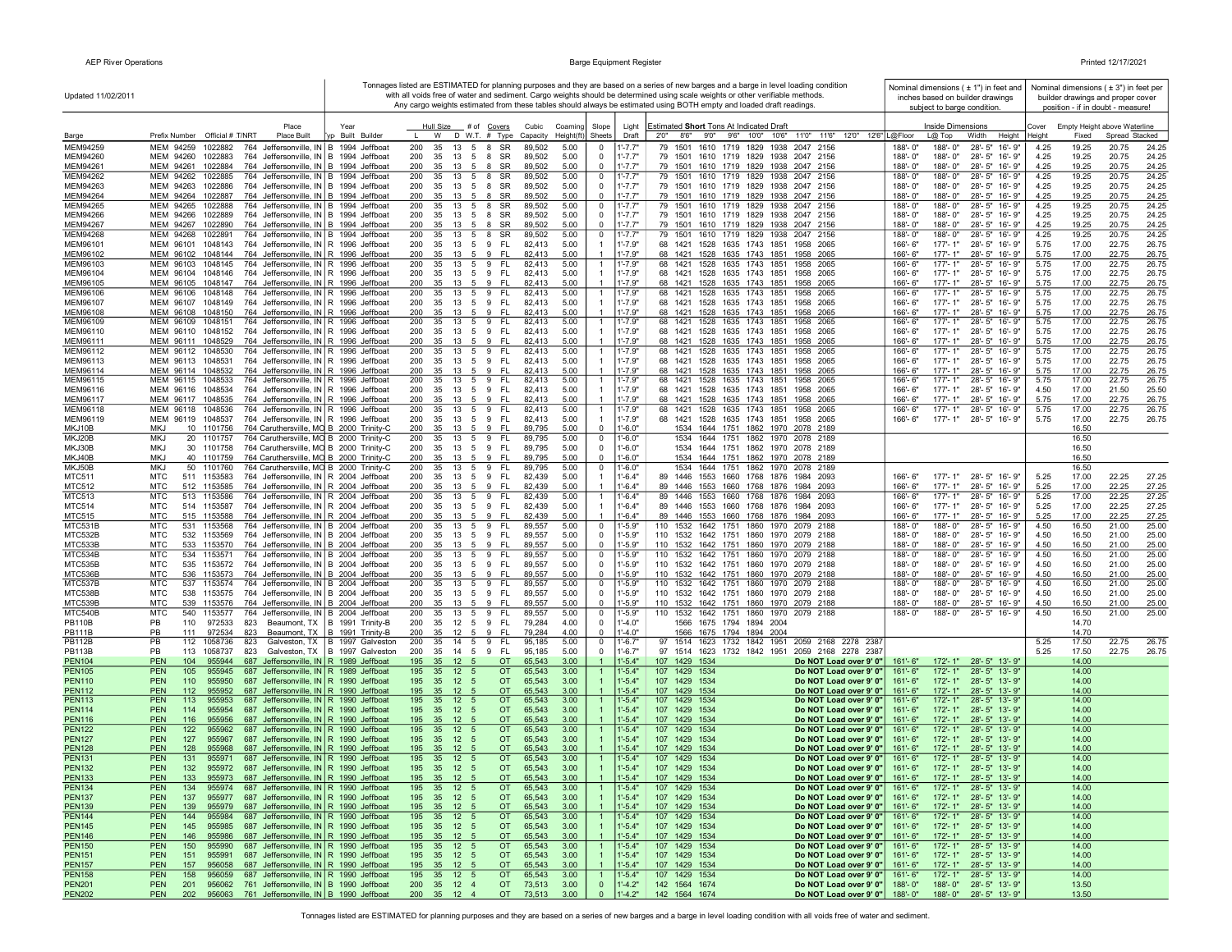| Updated 11/02/2011             |                                                                                                                                                    |                                                                  |                                                        |                                   |                  |              |                                                          | with all voids free of water and sediment. Cargo weights should be determined using scale weights or other verifiable methods.<br>Any cargo weights estimated from these tables should always be estimated using BOTH empty and loaded draft readings. | Tonnages listed are ESTIMATED for planning purposes and they are based on a series of new barges and a barge in level loading condition |                          |                                                  | Nominal dimensions ( ± 1") in feet and<br>inches based on builder drawings |              |                | Nominal dimensions ( $\pm$ 3") in feet per<br>builder drawings and proper cover |                |
|--------------------------------|----------------------------------------------------------------------------------------------------------------------------------------------------|------------------------------------------------------------------|--------------------------------------------------------|-----------------------------------|------------------|--------------|----------------------------------------------------------|--------------------------------------------------------------------------------------------------------------------------------------------------------------------------------------------------------------------------------------------------------|-----------------------------------------------------------------------------------------------------------------------------------------|--------------------------|--------------------------------------------------|----------------------------------------------------------------------------|--------------|----------------|---------------------------------------------------------------------------------|----------------|
|                                | Place                                                                                                                                              | Year                                                             | <b>Hull Size</b>                                       | # of Covers                       | Cubic            | Coaming      | Slope<br>Light                                           | Estimated Short Tons At Indicated Draft                                                                                                                                                                                                                |                                                                                                                                         |                          | subject to barge condition.<br>Inside Dimensions |                                                                            | Cover        |                | position - if in doubt - measure!<br>Empty Height above Waterline               |                |
| Barge                          | Prefix Number Official # T/NRT<br>Place Built                                                                                                      | Built Builde                                                     | W                                                      | D W.T. # Type                     | Capacity         | Height(ft    | Sheets<br>Draft                                          | 8'6" 9'0" 9'6" 10'0" 10'6"<br>2'0"                                                                                                                                                                                                                     | 11'0" 11'6" 12'0" 12'6" L@Floor                                                                                                         |                          | $L@$ Top                                         | Width<br>Height                                                            | Height       | Fixed          | Spread Stacked                                                                  |                |
| MEM94259                       | MEM 94259<br>1022882<br>764 Jeffersonville, IN B 1994 Jeffboat                                                                                     |                                                                  | 200<br>35<br>13                                        | 5<br>8<br><b>SR</b>               | 89,502           | 5.00         | $1' - 7.7'$<br>$\mathbf 0$                               | 1501<br>79                                                                                                                                                                                                                                             | 1610 1719 1829 1938<br>2047 2156                                                                                                        | 188'-0'                  | 188'-0"                                          | 28'-5" 16'-9"                                                              | 4.25         | 19.25          | 20.75                                                                           | 24.25          |
| MEM94260<br>MEM94261           | MEM 94260<br>1022883<br>764 Jeffersonville, IN B 1994 Jeffboat<br>MEM 94261 1022884<br>764 Jeffersonville, IN B 1994 Jeffboat                      |                                                                  | 200<br>35<br>13<br>200<br>35<br>13<br>-5               | 5<br>8 SR<br>8<br>SR              | 89,502<br>89,502 | 5.00<br>5.00 | $\Omega$<br>$1' - 7.7"$<br>$\Omega$<br>$1' - 7.7"$       | 79 1501                                                                                                                                                                                                                                                | 79 1501 1610 1719 1829 1938 2047 2156<br>1610 1719 1829 1938 2047 2156                                                                  | 188'-0"<br>188'-0"       | 188'-0"<br>188'-0"                               | 28'-5" 16'-9"<br>28'-5" 16'-9"                                             | 4.25<br>4.25 | 19.25<br>19.25 | 20.75<br>20.75                                                                  | 24.25<br>24.25 |
| MEM94262                       | MEM 94262<br>1022885<br>764 Jeffersonville, IN B 1994 Jeffboat                                                                                     |                                                                  | 200<br>13<br>35                                        | 5<br>8 SR                         | 89,502           | 5.00         | $1' - 7.7"$<br>0                                         | 79 1501                                                                                                                                                                                                                                                | 1610 1719 1829 1938 2047 2156                                                                                                           | 188'-0"                  | 188'-0"                                          | 28'-5" 16'-9"                                                              | 4.25         | 19.25          | 20.75                                                                           | 24.25          |
| MEM94263                       | 764 Jeffersonville, IN B 1994 Jeffboat<br>MEM 94263 1022886                                                                                        |                                                                  | 200<br>35<br>13                                        | 5<br>8 SR                         | 89,502           | 5.00         | $1' - 7.7"$<br>$\mathbf 0$                               |                                                                                                                                                                                                                                                        | 79 1501 1610 1719 1829 1938 2047 2156                                                                                                   | 188'-0"                  | 188'-0"                                          | 28'-5" 16'-9"                                                              | 4.25         | 19.25          | 20.75                                                                           | 24.25          |
| MEM94264                       | MEM 94264 1022887<br>764 Jeffersonville, IN B 1994 Jeffboat                                                                                        |                                                                  | 200<br>35<br>13 5                                      | SR<br>8                           | 89,502           | 5.00         | $1' - 7.7"$<br>$\mathbf 0$                               |                                                                                                                                                                                                                                                        | 79 1501 1610 1719 1829 1938 2047 2156                                                                                                   | 188'-0"                  | 188'-0"                                          | 28'-5" 16'-9"                                                              | 4.25         | 19.25          | 20.75                                                                           | 24.25          |
| MEM94265<br>MEM94266           | MEM 94265<br>1022888<br>764 Jeffersonville, IN B 1994 Jeffboat<br>MEM 94266 1022889<br>764 Jeffersonville, IN B 1994 Jeffboat                      |                                                                  | 200<br>35<br>13<br>200<br>35<br>13 5                   | 5<br>8<br><b>SR</b><br>8 SR       | 89,502<br>89,502 | 5.00<br>5.00 | $1' - 7.7"$<br>$^{\circ}$<br>$1' - 7.7"$<br>$^{\circ}$   | 79 1501                                                                                                                                                                                                                                                | 1610 1719 1829 1938<br>2047 2156<br>79 1501 1610 1719 1829 1938 2047 2156                                                               | 188'-0"<br>188'-0"       | 188'-0"<br>188'-0"                               | 28'-5" 16'-9"<br>28'-5" 16'-9"                                             | 4.25<br>4.25 | 19.25<br>19.25 | 20.75<br>20.75                                                                  | 24.25<br>24.25 |
| MEM94267                       | MEM 94267 1022890<br>764 Jeffersonville, IN B 1994 Jeffboat                                                                                        |                                                                  | 200<br>35<br>13 5                                      | 8 SR                              | 89,502           | 5.00         | $\Omega$<br>$1' - 7.7"$                                  |                                                                                                                                                                                                                                                        | 79 1501 1610 1719 1829 1938 2047 2156                                                                                                   | 188'-0"                  | 188'-0"                                          | 28'-5" 16'-9"                                                              | 4.25         | 19.25          | 20.75                                                                           | 24.25          |
| MEM94268                       | MEM 94268<br>764 Jeffersonville, IN B 1994 Jeffboat<br>1022891                                                                                     |                                                                  | 200<br>35<br>13                                        | $5\phantom{.0}$<br>8<br><b>SR</b> | 89,502           | 5.00         | $\mathbf 0$<br>$1' - 7.7"$                               | 79 1501                                                                                                                                                                                                                                                | 1610 1719 1829 1938<br>2047 2156                                                                                                        | 188'-0"                  | 188'-0"                                          | 28'-5" 16'-9"                                                              | 4.25         | 19.25          | 20.75                                                                           | 24.25          |
| MEM96101                       | MEM 96101<br>1048143<br>764 Jeffersonville, IN R 1996 Jeffboat                                                                                     |                                                                  | 200<br>35<br>13                                        | 9 FL<br>$5\overline{)}$           | 82,413           | 5.00         | $1' - 7.9"$<br>-1                                        |                                                                                                                                                                                                                                                        | 68 1421 1528 1635 1743 1851 1958 2065                                                                                                   | 166'-6"                  | 177'-1"                                          | 28'-5" 16'-9"                                                              | 5.75         | 17.00          | 22.75                                                                           | 26.75          |
| MEM96102<br>MEM96103           | MEM 96102 1048144<br>764 Jeffersonville, IN R 1996 Jeffboat<br>1048145<br>764 Jeffersonville, IN R 1996 Jeffboat<br>MEM 96103                      |                                                                  | 200<br>35<br>13 5<br>200<br>35                         | 13 5 9 FL<br>9 FL                 | 82,413<br>82,413 | 5.00<br>5.00 | $1' - 7.9"$<br>$1' - 7.9"$                               | 68 1421 1528 1635 1743 1851                                                                                                                                                                                                                            | 68 1421 1528 1635 1743 1851 1958 2065<br>1958 2065                                                                                      | 166'-6"<br>166'-6"       | 177'-1"<br>$177 - 1"$                            | 28'-5" 16'-9"<br>28'-5" 16'-9"                                             | 5.75<br>5.75 | 17.00<br>17.00 | 22.75<br>22.75                                                                  | 26.75<br>26.75 |
| MEM96104                       | MEM 96104<br>1048146<br>764 Jeffersonville, IN R 1996 Jeffboat                                                                                     |                                                                  | 200<br>35                                              | 13    5    9    FL                | 82,413           | 5.00         | $1' - 7.9"$                                              |                                                                                                                                                                                                                                                        | 68 1421 1528 1635 1743 1851 1958 2065                                                                                                   | 166'-6"                  | 177'-1"                                          | 28'-5" 16'-9"                                                              | 5.75         | 17.00          | 22.75                                                                           | 26.75          |
| MEM96105                       | MEM 96105 1048147<br>764 Jeffersonville, IN R 1996 Jeffboat                                                                                        |                                                                  | 200<br>35<br>13 5                                      | 9<br>- FL                         | 82,413           | 5.00         | $1' - 7.9"$<br>-1                                        |                                                                                                                                                                                                                                                        | 68 1421 1528 1635 1743 1851 1958 2065                                                                                                   | 166'-6"                  | $177 - 1"$                                       | 28'-5" 16'-9"                                                              | 5.75         | 17.00          | 22.75                                                                           | 26.75          |
| MEM96106                       | MEM 96106<br>1048148<br>764 Jeffersonville, IN R 1996 Jeffboat                                                                                     |                                                                  | 200<br>13<br>35                                        | 5<br>9<br>FL.                     | 82,413           | 5.00         | $1' - 7.9"$                                              | 68 1421                                                                                                                                                                                                                                                | 1528 1635 1743 1851<br>1958 2065                                                                                                        | 166'-6"                  | $177 - 1'$                                       | $28 - 5"$<br>16'-9"                                                        | 5.75         | 17.00          | 22.75                                                                           | 26.75          |
| MEM96107<br>MEM96108           | 1048149<br>764 Jeffersonville, IN R 1996 Jeffboat<br>MEM 96107<br>764 Jeffersonville, IN R 1996 Jeffboat<br>MEM 96108<br>1048150                   |                                                                  | 200<br>35<br>13<br>200<br>35<br>13                     | 9<br>FL.<br>5<br>5<br>9<br>-FL    | 82,413<br>82,413 | 5.00<br>5.00 | $1' - 7.9"$<br>$1' - 7.9"$                               | 68 1421<br>68 1421                                                                                                                                                                                                                                     | 1528 1635 1743 1851 1958 2065<br>1528 1635 1743 1851 1958 2065                                                                          | 166'-6"<br>166'-6"       | 177'-1"<br>177'-1"                               | 28'-5" 16'-9"<br>28'-5" 16'-9"                                             | 5.75<br>5.75 | 17.00<br>17.00 | 22.75<br>22.75                                                                  | 26.75<br>26.75 |
| MEM96109                       | MEM 96109<br>1048151<br>764 Jeffersonville, IN   R 1996 Jeffboat                                                                                   |                                                                  | 200<br>35<br>13                                        | 5<br>9<br>-FL                     | 82,413           | 5.00         | $1' - 7.9"$                                              | 68 1421                                                                                                                                                                                                                                                | 1528 1635 1743 1851<br>1958 2065                                                                                                        | 166'-6"                  | 177'-1'                                          | 28'-5" 16'-9"                                                              | 5.75         | 17.00          | 22.75                                                                           | 26.75          |
| MEM96110                       | MEM 96110 1048152<br>764 Jeffersonville, IN R 1996 Jeffboat                                                                                        |                                                                  | 200<br>35<br>13                                        | 5 9 FL                            | 82,413           | 5.00         | $1' - 7.9"$                                              | 68 1421 1528 1635 1743 1851                                                                                                                                                                                                                            | 1958 2065                                                                                                                               | 166'-6"                  | $177 - 1"$                                       | 28'-5" 16'-9"                                                              | 5.75         | 17.00          | 22.75                                                                           | 26.75          |
| MEM96111                       | MEM 96111 1048529<br>764 Jeffersonville, IN R 1996 Jeffboat                                                                                        |                                                                  | 200<br>35<br>13<br>200<br>35                           | 9<br>- FL<br>-5                   | 82.413           | 5.00         | $1' - 7.9"$                                              |                                                                                                                                                                                                                                                        | 68 1421 1528 1635 1743 1851 1958 2065                                                                                                   | 166'-6"<br>$166 - 6$     | $177 - 1"$<br>$177 - 1"$                         | 28'-5" 16'-9"                                                              | 5.75         | 17.00          | 22.75                                                                           | 26.75          |
| MEM96112<br>MEM96113           | MEM 96112 1048530<br>764 Jeffersonville, IN R 1996 Jeffboat<br>MEM 96113 1048531<br>764 Jeffersonville, IN R 1996 Jeffboat                         |                                                                  | 13<br>200<br>35                                        | 5 9 FL<br>13 5 9 FL               | 82,413<br>82,413 | 5.00<br>5.00 | $1' - 7.9"$<br>$1' - 7.9"$<br>-1                         |                                                                                                                                                                                                                                                        | 68 1421 1528 1635 1743 1851 1958 2065<br>68 1421 1528 1635 1743 1851 1958 2065                                                          | 166'-6"                  | 177'-1"                                          | 28'-5" 16'-9"<br>28'-5" 16'-9"                                             | 5.75<br>5.75 | 17.00<br>17.00 | 22.75<br>22.75                                                                  | 26.75<br>26.75 |
| MEM96114                       | 764 Jeffersonville, IN R 1996 Jeffboat<br>MEM 96114 1048532                                                                                        |                                                                  | 200<br>35<br>13                                        | 5<br>9<br>-FL                     | 82,413           | 5.00         | $1' - 7.9"$                                              |                                                                                                                                                                                                                                                        | 68 1421 1528 1635 1743 1851 1958 2065                                                                                                   | 166'-6"                  | 177'-1"                                          | 28'-5" 16'-9"                                                              | 5.75         | 17.00          | 22.75                                                                           | 26.75          |
| MEM96115                       | MEM 96115 1048533<br>764 Jeffersonville, IN R 1996 Jeffboat                                                                                        |                                                                  | 200<br>35                                              | 13   5   9   FL                   | 82,413           | 5.00         | $1' - 7.9"$                                              |                                                                                                                                                                                                                                                        | 68 1421 1528 1635 1743 1851 1958 2065                                                                                                   | 166'-6"                  | 177'-1"                                          | 28'-5" 16'-9"                                                              | 5.75         | 17.00          | 22.75                                                                           | 26.75          |
| MEM96116                       | MEM 96116 1048534<br>764 Jeffersonville, IN R 1996 Jeffboat<br>764 Jeffersonville, IN R 1996 Jeffboat                                              |                                                                  | 200<br>35                                              | 13 5 9 FL                         | 82,413           | 5.00         | $1' - 7.9"$                                              |                                                                                                                                                                                                                                                        | 68 1421 1528 1635 1743 1851 1958 2065                                                                                                   | 166'-6"                  | 177'-1"                                          | 28'-5" 16'-9"                                                              | 4.50         | 17.00          | 21.50                                                                           | 25.50          |
| MEM96117<br>MEM96118           | MEM 96117 1048535<br>MEM 96118 1048536<br>764 Jeffersonville, IN R 1996 Jeffboat                                                                   |                                                                  | 200<br>35<br>$13 \quad 5$<br>200<br>$13 \quad 5$<br>35 | 9 FL<br>9 FL                      | 82.413<br>82,413 | 5.00<br>5.00 | $1' - 7.9"$<br>$1' - 7.9"$                               |                                                                                                                                                                                                                                                        | 68 1421 1528 1635 1743 1851 1958 2065<br>68 1421 1528 1635 1743 1851 1958 2065                                                          | 166'-6"<br>166'-6"       | $177 - 1"$<br>$177 - 1"$                         | 28'-5" 16'-9"<br>28'-5" 16'-9"                                             | 5.75<br>5.75 | 17.00<br>17.00 | 22.75<br>22.75                                                                  | 26.75<br>26.75 |
| MEM96119                       | MEM 96119 1048537<br>764 Jeffersonville, IN R 1996 Jeffboat                                                                                        |                                                                  | 200<br>35<br>13                                        | 9<br>FL.<br>5                     | 82,413           | 5.00         | $1' - 7.9"$                                              | 68 1421                                                                                                                                                                                                                                                | 1528 1635 1743 1851 1958 2065                                                                                                           | 166'-6"                  |                                                  | 177'-1" 28'-5" 16'-9"                                                      | 5.75         | 17.00          | 22.75                                                                           | 26.75          |
| MKJ10B                         | 764 Caruthersville, MO B 2000 Trinity-C<br><b>MKJ</b><br>10 1101756                                                                                |                                                                  | 200<br>35<br>13                                        | 9<br>FL<br>5                      | 89,795           | 5.00         | $1' - 6.0"$<br>$\overline{0}$                            |                                                                                                                                                                                                                                                        | 1534 1644 1751 1862 1970 2078 2189                                                                                                      |                          |                                                  |                                                                            |              | 16.50          |                                                                                 |                |
| MKJ20B                         | MKJ<br>20 1101757<br>764 Caruthersville, MO B 2000 Trinity-C                                                                                       |                                                                  | 200<br>35<br>13                                        | 5<br>9<br>FL.                     | 89,795           | 5.00         | 0<br>$1' - 6.0"$<br>$\mathbf 0$                          |                                                                                                                                                                                                                                                        | 1534 1644 1751 1862 1970 2078 2189<br>1534 1644 1751 1862 1970 2078 2189                                                                |                          |                                                  |                                                                            |              | 16.50          |                                                                                 |                |
| MKJ30B<br>MKJ40B               | <b>MKJ</b><br>764 Caruthersville, MO B 2000 Trinity-C<br>30 1101758<br>MKJ<br>764 Caruthersville, MO B 2000 Trinity-C<br>40 1101759                |                                                                  | 200<br>35<br>13<br>200<br>35<br>13                     | 5<br>9<br>FL.<br>9<br>5<br>-FL    | 89,795<br>89,795 | 5.00<br>5.00 | $1' - 6.0"$<br>$1' - 6.0"$<br>$\Omega$                   | 1534                                                                                                                                                                                                                                                   | 1644 1751 1862 1970 2078 2189                                                                                                           |                          |                                                  |                                                                            |              | 16.50<br>16.50 |                                                                                 |                |
| MKJ50B                         | <b>MKJ</b><br>50 1101760<br>764 Caruthersville, MO B 2000 Trinity-C                                                                                |                                                                  | 200<br>35<br>13                                        | 5<br>9<br>FL.                     | 89,795           | 5.00         | $\mathbf{0}$<br>$1' - 6.0"$                              | 1534                                                                                                                                                                                                                                                   | 1644 1751 1862 1970<br>2078 2189                                                                                                        |                          |                                                  |                                                                            |              | 16.50          |                                                                                 |                |
| <b>MTC511</b>                  | MTC<br>764 Jeffersonville, IN R 2004 Jeffboat<br>511 1153583                                                                                       |                                                                  | 200<br>35<br>13                                        | 9<br>FL.<br>5                     | 82,439           | 5.00         | $1'-6.4"$<br>-1                                          | 89 1446<br>1553 1660                                                                                                                                                                                                                                   | 1768 1876 1984 2093                                                                                                                     | 166'-6"                  | $177 - 1"$                                       | 28'-5" 16'-9"                                                              | 5.25         | 17.00          | 22.25                                                                           | 27.25          |
| <b>MTC512</b><br><b>MTC513</b> | <b>MTC</b><br>764 Jeffersonville, IN R 2004 Jeffboat<br>512 1153585<br>MTC<br>513 1153586<br>764 Jeffersonville, IN R 2004 Jeffboat                |                                                                  | 200<br>35<br>13 5 9<br>200<br>35                       | 13 5 9 FL<br>FL.                  | 82,439<br>82,439 | 5.00<br>5.00 | $1'-6.4"$<br>-1<br>$1' - 6.4"$                           |                                                                                                                                                                                                                                                        | 89 1446 1553 1660 1768 1876 1984 2093<br>89 1446 1553 1660 1768 1876 1984 2093                                                          | 166'-6"<br>166'-6'       | 177'-1"<br>177'-1"                               | 28'-5" 16'-9"<br>28'-5" 16'-9"                                             | 5.25<br>5.25 | 17.00<br>17.00 | 22.25<br>22.25                                                                  | 27.25<br>27.25 |
| <b>MTC514</b>                  | 764 Jeffersonville, IN R 2004 Jeffboat<br>MTC<br>514 1153587                                                                                       |                                                                  | 200<br>35<br>13                                        | 5 9 FL                            | 82,439           | 5.00         | $1'-6.4"$                                                | 89 1446 1553 1660 1768 1876                                                                                                                                                                                                                            | 1984 2093                                                                                                                               | 166'-6"                  | 177'-1"                                          | 28'-5" 16'-9"                                                              | 5.25         | 17.00          | 22.25                                                                           | 27.25          |
| <b>MTC515</b>                  | 515 1153588<br>764 Jeffersonville, IN R 2004 Jeffboat<br>MTC                                                                                       |                                                                  | 200<br>35<br>13<br>- 5                                 | 9 FL                              | 82,439           | 5.00         | $1'-6.4"$                                                |                                                                                                                                                                                                                                                        | 89 1446 1553 1660 1768 1876 1984 2093                                                                                                   | 166'-6"                  | 177'-1"                                          | 28'-5" 16'-9"                                                              | 5.25         | 17.00          | 22.25                                                                           | 27.25          |
| MTC531B                        | <b>MTC</b><br>531<br>1153568<br>764 Jeffersonville, IN B 2004 Jeffboat                                                                             |                                                                  | 200<br>35<br>13                                        | 5<br>9<br>FL.                     | 89,557           | 5.00         | $\mathbf 0$<br>$1' - 5.9"$                               | 110<br>1532 1642 1751                                                                                                                                                                                                                                  | 1860 1970 2079 2188                                                                                                                     | 188'-0"                  | 188'-0"                                          | 28'-5" 16'-9"                                                              | 4.50         | 16.50          | 21.00                                                                           | 25.00          |
| MTC532B<br>MTC533B             | MTC<br>1153569<br>532<br>764 Jeffersonville, IN   B 2004 Jeffboat<br><b>MTC</b><br>533 1153570<br>764 Jeffersonville, IN B 2004 Jeffboat           |                                                                  | 200<br>35<br>13<br>-5<br>200<br>35<br>13               | FL.<br>9<br>9<br>FL<br>5          | 89,557<br>89,557 | 5.00<br>5.00 | $\mathbf 0$<br>$1' - 5.9"$<br>$1' - 5.9"$<br>$\mathbf 0$ | 110<br>1532<br>1642 1751<br>110 1532                                                                                                                                                                                                                   | 1860 1970 2079 2188<br>1642 1751 1860 1970<br>2079 2188                                                                                 | 188'-0"<br>188'-0"       | 188'-0"<br>188'-0"                               | 28'-5" 16'-9"<br>28'-5" 16'-9"                                             | 4.50<br>4.50 | 16.50<br>16.50 | 21.00<br>21.00                                                                  | 25.00<br>25.00 |
| MTC534B                        | MTC<br>534 1153571<br>764 Jeffersonville, IN B 2004 Jeffboat                                                                                       |                                                                  | 200<br>35<br>13                                        | 9<br>5<br>FL.                     | 89,557           | 5.00         | 0<br>$1' - 5.9"$                                         | 110<br>1532<br>1642 1751                                                                                                                                                                                                                               | 1860 1970<br>2079 2188                                                                                                                  | 188'-0"                  | 188'-0"                                          | 28'-5" 16'-9"                                                              | 4.50         | 16.50          | 21.00                                                                           | 25.00          |
| MTC535B                        | MTC<br>535<br>1153572<br>764 Jeffersonville, IN   B 2004 Jeffboat                                                                                  |                                                                  | 200<br>35<br>13                                        | 5<br>9<br>FL.                     | 89,557           | 5.00         | $1' - 5.9"$<br>0                                         | 110<br>1532                                                                                                                                                                                                                                            | 1642 1751 1860 1970 2079 2188                                                                                                           | 188'-0"                  | 188'-0"                                          | 28'-5" 16'-9"                                                              | 4.50         | 16.50          | 21.00                                                                           | 25.00          |
| MTC536B<br>MTC537B             | <b>MTC</b><br>536 1153573<br>764 Jeffersonville, IN B 2004 Jeffboat<br><b>MTC</b><br>537<br>1153574<br>764 Jeffersonville, IN B 2004 Jeffboat      |                                                                  | 35<br>13<br>200<br>-5<br>200<br>35<br>13               | 9 FL<br>5<br>9<br>FL.             | 89,557<br>89,557 | 5.00<br>5.00 | $^{\circ}$<br>$1' - 5.9"$<br>$\mathbf 0$<br>$1' - 5.9"$  | 110<br>1532                                                                                                                                                                                                                                            | 110 1532 1642 1751 1860 1970 2079 2188<br>1642 1751 1860 1970<br>2079 2188                                                              | 188'-0"<br>188'-0"       | 188'-0"<br>188'-0"                               | 28'-5" 16'-9"<br>28'-5" 16'-9"                                             | 4.50<br>4.50 | 16.50<br>16.50 | 21.00<br>21.00                                                                  | 25.00<br>25.00 |
| MTC538B                        | <b>MTC</b><br>538<br>1153575<br>764 Jeffersonville, IN B 2004 Jeffboat                                                                             |                                                                  | 200<br>35<br>13                                        | 5 9<br>FL.                        | 89,557           | 5.00         | $^{\circ}$<br>$1' - 5.9"$                                |                                                                                                                                                                                                                                                        | 110 1532 1642 1751 1860 1970 2079 2188                                                                                                  | 188'-0"                  | 188'-0"                                          | 28'-5" 16'-9"                                                              | 4.50         | 16.50          | 21.00                                                                           | 25.00          |
| MTC539B                        | <b>MTC</b><br>539 1153576<br>764 Jeffersonville, IN B 2004 Jeffboat                                                                                |                                                                  | 200<br>35<br>13                                        | 9<br>- FL<br>5                    | 89,557           | 5.00         | $1' - 5.9"$<br>$\mathbf{0}$                              |                                                                                                                                                                                                                                                        | 110 1532 1642 1751 1860 1970 2079 2188                                                                                                  | 188'-0"                  | 188'-0"                                          | 28'-5" 16'-9"                                                              | 4.50         | 16.50          | 21.00                                                                           | 25.00          |
| MTC540B                        | MTC<br>540 1153577<br>764 Jeffersonville, IN B 2004 Jeffboat                                                                                       |                                                                  | 200<br>35<br>13                                        | 9<br>FL.<br>5                     | 89,557           | 5.00         | $\mathbf 0$<br>$1' - 5.9"$                               | 110                                                                                                                                                                                                                                                    | 1532 1642 1751 1860 1970 2079 2188                                                                                                      | 188'-0"                  | 188'-0"                                          | 28'-5" 16'-9"                                                              | 4.50         | 16.50          | 21.00                                                                           | 25.00          |
| <b>PB110B</b><br><b>PB111B</b> | PB<br>110<br>972533<br>823<br>PB<br>972534<br>823<br>111                                                                                           | Beaumont, TX   B 1991 Trinity-B<br>Beaumont, TX B 1991 Trinity-B | 200<br>35<br>12 5 9<br>200<br>35<br>12<br>- 5          | - FL<br>9<br><b>FL</b>            | 79,284<br>79,284 | 4.00<br>4.00 | $1' - 4.0"$<br>0<br>$\Omega$<br>$1' - 4.0"$              | 1566 1675 1794 1894 2004<br>1566 1675 1794 1894 2004                                                                                                                                                                                                   |                                                                                                                                         |                          |                                                  |                                                                            |              | 14.70<br>14.70 |                                                                                 |                |
| <b>PB112B</b>                  | PB<br>112<br>1058736<br>823                                                                                                                        | Galveston, TX   B 1997 Galveston                                 | 200<br>35<br>14 5                                      | 9<br>FL.                          | 95,185           | 5.00         | $\mathbf 0$<br>$1' - 6.7"$                               | 97<br>1514 1623 1732 1842 1951                                                                                                                                                                                                                         | 2059 2168 2278 2387                                                                                                                     |                          |                                                  |                                                                            | 5.25         | 17.50          | 22.75                                                                           | 26.75          |
| <b>PB113B</b>                  | PB<br>113 1058737<br>823                                                                                                                           | Galveston, TX   B 1997 Galveston                                 | 200<br>35<br>14 5                                      | 9<br>FL.                          | 95,185           | 5.00         | $\Omega$<br>$1'-6.7"$                                    | 97 1514 1623 1732 1842 1951                                                                                                                                                                                                                            | 2059 2168 2278 2387                                                                                                                     |                          |                                                  |                                                                            | 5.25         | 17.50          | 22.75                                                                           | 26.75          |
| <b>PEN104</b>                  | 687 Jeffersonville, IN R 1989 Jeffboat<br><b>PEN</b><br>104<br>955944                                                                              |                                                                  | 12<br>195<br>35<br>-5                                  | <b>OT</b>                         | 65,543           | 3.00         | $1'-5.4"$<br>$\overline{1}$                              | 107 1429 1534                                                                                                                                                                                                                                          | Do NOT Load over 9' 0"                                                                                                                  | 161'-6"                  | 172'-1"                                          | 28'-5" 13'-9"                                                              |              | 14.00          |                                                                                 |                |
| <b>PEN105</b><br><b>PEN110</b> | <b>PEN</b><br>105<br>955945<br>687 Jeffersonville, IN R 1989 Jeffboat<br>687 Jeffersonville, IN R 1990 Jeffboat<br><b>PEN</b><br>110<br>955950     |                                                                  | 195<br>12<br>35<br>5<br>195<br>12<br>35<br>5           | <b>OT</b><br><b>OT</b>            | 65,543<br>65,543 | 3.00<br>3.00 | $1'-5.4"$<br>$1' - 5.4"$                                 | 107<br>1429 1534<br>107<br>1429 1534                                                                                                                                                                                                                   | Do NOT Load over 9' 0"<br>Do NOT Load over 9' 0"                                                                                        | $161 - 6"$<br>161'-6"    | 172'-1"<br>172'-1"                               | 28'-5" 13'-9"<br>28'-5" 13'-9"                                             |              | 14.00<br>14.00 |                                                                                 |                |
| <b>PEN112</b>                  | <b>PEN</b><br>112<br>955952<br>687 Jeffersonville, IN R 1990 Jeffboat                                                                              |                                                                  | 195<br>35<br>12<br>-5                                  | <b>OT</b>                         | 65,543           | 3.00         | $1'-5.4"$                                                | 107 1429 1534                                                                                                                                                                                                                                          | Do NOT Load over 9' 0"                                                                                                                  | 161'-6"                  | 172'-1"                                          | 28'-5" 13'-9"                                                              |              | 14.00          |                                                                                 |                |
| <b>PEN113</b>                  | <b>PEN</b><br>113<br>955953<br>687 Jeffersonville, IN   R 1990 Jeffboat                                                                            |                                                                  | 35<br>12<br>195<br>5                                   | <b>OT</b>                         | 65,543           | 3.00         | $1'-5.4"$                                                | 107<br>1429 1534                                                                                                                                                                                                                                       | Do NOT Load over 9' 0"                                                                                                                  | 161'-6"                  | 172'-1"                                          | 28'-5" 13'-9"                                                              |              | 14.00          |                                                                                 |                |
| <b>PEN114</b>                  | <b>PEN</b><br>114<br>955954<br>687 Jeffersonville, IN R 1990 Jeffboat                                                                              |                                                                  | 195<br>35 12<br>5                                      | OT.                               | 65,543           | 3.00         | $1'-5.4"$                                                | 107<br>1429 1534                                                                                                                                                                                                                                       | Do NOT Load over 9' 0"                                                                                                                  | 161'-6"                  |                                                  | 172'-1" 28'-5" 13'-9"                                                      |              | 14.00          |                                                                                 |                |
| <b>PEN116</b><br><b>PEN122</b> | <b>PEN</b><br>116<br>687 Jeffersonville, IN   R 1990 Jeffboat<br>955956<br>122<br><b>PEN</b><br>687 Jeffersonville, IN   R 1990 Jeffboat<br>955962 |                                                                  | 195<br>35 12 5<br>195<br>12 <sub>5</sub><br>35         | <b>OT</b><br><b>OT</b>            | 65,543<br>65,543 | 3.00<br>3.00 | $1'-5.4"$<br>$1' - 5.4"$                                 | 107 1429 1534<br>107<br>1429 1534                                                                                                                                                                                                                      | Do NOT Load over 9' 0"<br>Do NOT Load over 9' 0"                                                                                        | 161'-6"<br>$161 - 6'$    | 172'-1"<br>$172 - 1"$                            | 28'-5" 13'-9"<br>28'-5" 13'-9"                                             |              | 14.00<br>14.00 |                                                                                 |                |
| <b>PEN127</b>                  | <b>PEN</b><br>127<br>955967<br>687 Jeffersonville, IN R 1990 Jeffboat                                                                              |                                                                  | 195<br>35<br>12<br>5                                   | OT                                | 65,543           | 3.00         | $1'-5.4"$                                                | 107 1429 1534                                                                                                                                                                                                                                          | Do NOT Load over 9' 0"                                                                                                                  | 161'-6"                  |                                                  | 172'-1" 28'-5" 13'-9"                                                      |              | 14.00          |                                                                                 |                |
| <b>PEN128</b>                  | 687 Jeffersonville, IN R 1990 Jeffboat<br><b>PEN</b><br>128<br>955968                                                                              |                                                                  | 35<br>12<br>195<br>-5                                  | <b>OT</b>                         | 65,543           | 3.00         | $1'-5.4"$                                                | 107 1429 1534                                                                                                                                                                                                                                          | Do NOT Load over 9' 0"                                                                                                                  | 161'-6"                  | 172'-1"                                          | 28'-5" 13'-9"                                                              |              | 14.00          |                                                                                 |                |
| <b>PEN131</b>                  | <b>PEN</b><br>131<br>955971<br>687 Jeffersonville, IN R 1990 Jeffboat                                                                              |                                                                  | 195<br>35<br>12 <sub>5</sub>                           | <b>OT</b>                         | 65,543           | 3.00         | $1' - 5.4"$                                              | 107<br>1429 1534                                                                                                                                                                                                                                       | Do NOT Load over 9' 0"                                                                                                                  | 161'-6"                  | 172'-1"                                          | 28'-5" 13'-9"                                                              |              | 14.00          |                                                                                 |                |
| <b>PEN132</b><br><b>PEN133</b> | <b>PEN</b><br>132<br>955972<br>687 Jeffersonville, IN R 1990 Jeffboat<br>955973 687 Jeffersonville, IN R 1990 Jeffboat<br><b>PEN</b><br>133        |                                                                  | 195<br>35 12 5<br>$105$ $35$ $12$ $5$                  | <b>OT</b><br>$\cap$ T             | 65,543<br>65.543 | 3.00<br>3.00 | $1' - 5.4"$<br>1'.5A''                                   | 107 1429 1534<br>107 1429 1534                                                                                                                                                                                                                         | Do NOT Load over 9' 0"<br>Do NOT Load over 9' 0"                                                                                        | $161 - 6"$<br>161'-6"    |                                                  | 172'-1" 28'-5" 13'-9"<br>172'-1" 28'-5" 13'-0"                             |              | 14.00<br>14.00 |                                                                                 |                |
| <b>PEN134</b>                  | 955974 687 Jeffersonville, IN R 1990 Jeffboat<br>134<br><b>PEN</b>                                                                                 |                                                                  | 195<br>35<br>12<br>-5                                  | OT                                | 65,543           | 3.00         | $1' - 5.4"$                                              | 107 1429 1534                                                                                                                                                                                                                                          | Do NOT Load over 9' 0"   161'-6"                                                                                                        |                          |                                                  | 172'-1" 28'-5" 13'-9"                                                      |              | 14.00          |                                                                                 |                |
| <b>PEN137</b>                  | 687 Jeffersonville, IN R 1990 Jeffboat<br><b>PEN</b><br>137<br>955977                                                                              |                                                                  | 195<br>35 12<br>$5\overline{5}$                        | OT                                | 65,543           | 3.00         | $1' - 5.4"$                                              | 107 1429 1534                                                                                                                                                                                                                                          | Do NOT Load over 9' 0"                                                                                                                  | 161'-6"                  |                                                  | 172'-1" 28'-5" 13'-9"                                                      |              | 14.00          |                                                                                 |                |
| <b>PEN139</b>                  | 955979<br>687 Jeffersonville, IN R 1990 Jeffboat<br><b>PEN</b><br>139                                                                              |                                                                  | 195<br>35<br>12                                        | <b>OT</b><br>5                    | 65,543           | 3.00         | $1' - 5.4"$                                              | 107 1429 1534                                                                                                                                                                                                                                          | Do NOT Load over 9' 0"                                                                                                                  | 161'-6"                  |                                                  | 172'-1" 28'-5" 13'-9"                                                      |              | 14.00          |                                                                                 |                |
| <b>PEN144</b><br><b>PEN145</b> | <b>PEN</b><br>144<br>955984<br>687 Jeffersonville, IN R 1990 Jeffboat<br>687 Jeffersonville, IN R 1990 Jeffboat<br><b>PEN</b><br>145<br>955985     |                                                                  | 195<br>35<br>12 <sub>5</sub><br>195 35 12 5            | OT<br>OT                          | 65,543<br>65,543 | 3.00<br>3.00 | $1' - 5.4"$<br>$1' - 5.4"$                               | 107 1429 1534<br>107 1429 1534                                                                                                                                                                                                                         | Do NOT Load over 9' 0"<br>Do NOT Load over 9' 0"                                                                                        | $161 - 6"$<br>$161 - 6"$ |                                                  | 172'-1" 28'-5" 13'-9"<br>172'-1" 28'-5" 13'-9"                             |              | 14.00<br>14.00 |                                                                                 |                |
| <b>PEN146</b>                  | 687 Jeffersonville, IN R 1990 Jeffboat<br><b>PEN</b><br>146<br>955986                                                                              |                                                                  | 195 35 12 5                                            | OT                                | 65,543           | 3.00         | $1' - 5.4"$                                              | 107 1429 1534                                                                                                                                                                                                                                          | Do NOT Load over 9' 0"                                                                                                                  | $161 - 6"$               |                                                  | 172'-1" 28'-5" 13'-9"                                                      |              | 14.00          |                                                                                 |                |
| <b>PEN150</b>                  | 687 Jeffersonville, IN R 1990 Jeffboat<br>150<br>955990<br><b>PEN</b>                                                                              |                                                                  | 195<br>35 12 5                                         | OT                                | 65,543           | 3.00         | $1'-5.4"$                                                | 107 1429 1534                                                                                                                                                                                                                                          | Do NOT Load over 9' 0"                                                                                                                  | $161 - 6"$               |                                                  | 172'-1" 28'-5" 13'-9"                                                      |              | 14.00          |                                                                                 |                |
| <b>PEN151</b>                  | 687 Jeffersonville, IN R 1990 Jeffboat<br>955991<br><b>PEN</b><br>151                                                                              |                                                                  | 195 35 12 5                                            | OT                                | 65,543           | 3.00         | $1' - 5.4"$                                              | 107 1429 1534                                                                                                                                                                                                                                          | Do NOT Load over 9' 0"                                                                                                                  | $161 - 6"$               |                                                  | 172'-1" 28'-5" 13'-9"                                                      |              | 14.00          |                                                                                 |                |
| <b>PEN157</b><br><b>PEN158</b> | 687 Jeffersonville, IN R 1990 Jeffboat<br>157<br>956058<br><b>PEN</b><br>687 Jeffersonville, IN R 1990 Jeffboat<br><b>PEN</b><br>158<br>956059     |                                                                  | 195 35 12 5<br>195 35 12 5                             | OT<br>OT                          | 65,543<br>65,543 | 3.00<br>3.00 | $1' - 5.4"$<br>$1' - 5.4"$                               | 107 1429 1534<br>107 1429 1534                                                                                                                                                                                                                         | Do NOT Load over 9' 0"   161'-6"<br>Do NOT Load over 9' 0"                                                                              | $161 - 6"$               |                                                  | 172'-1" 28'-5" 13'-9"<br>172'-1" 28'-5" 13'-9"                             |              | 14.00<br>14.00 |                                                                                 |                |
| <b>PEN201</b>                  | PEN 201 956062 761 Jeffersonville, IN B 1990 Jeffboat                                                                                              |                                                                  | 200 35 12 4                                            |                                   | OT 73,513        | 3.00         | $1' - 4.2"$<br>$\overline{0}$                            | 142 1564 1674                                                                                                                                                                                                                                          | Do NOT Load over 9' 0"   188'-0"                                                                                                        |                          |                                                  | 188'-0" 28'-5" 13'-9"                                                      |              | 13.50          |                                                                                 |                |
| <b>PEN202</b>                  | PEN 202 956063 761 Jeffersonville. IN B 1990 Jeffboat                                                                                              |                                                                  | 200 35 12 4                                            |                                   | OT 73,513        | 3.00         | $1' - 4.2"$<br>$\Omega$                                  | 142 1564 1674                                                                                                                                                                                                                                          | Do NOT Load over 9' 0"   188'-0" 188'-0" 28'-5" 13'-9"                                                                                  |                          |                                                  |                                                                            |              | 13.50          |                                                                                 |                |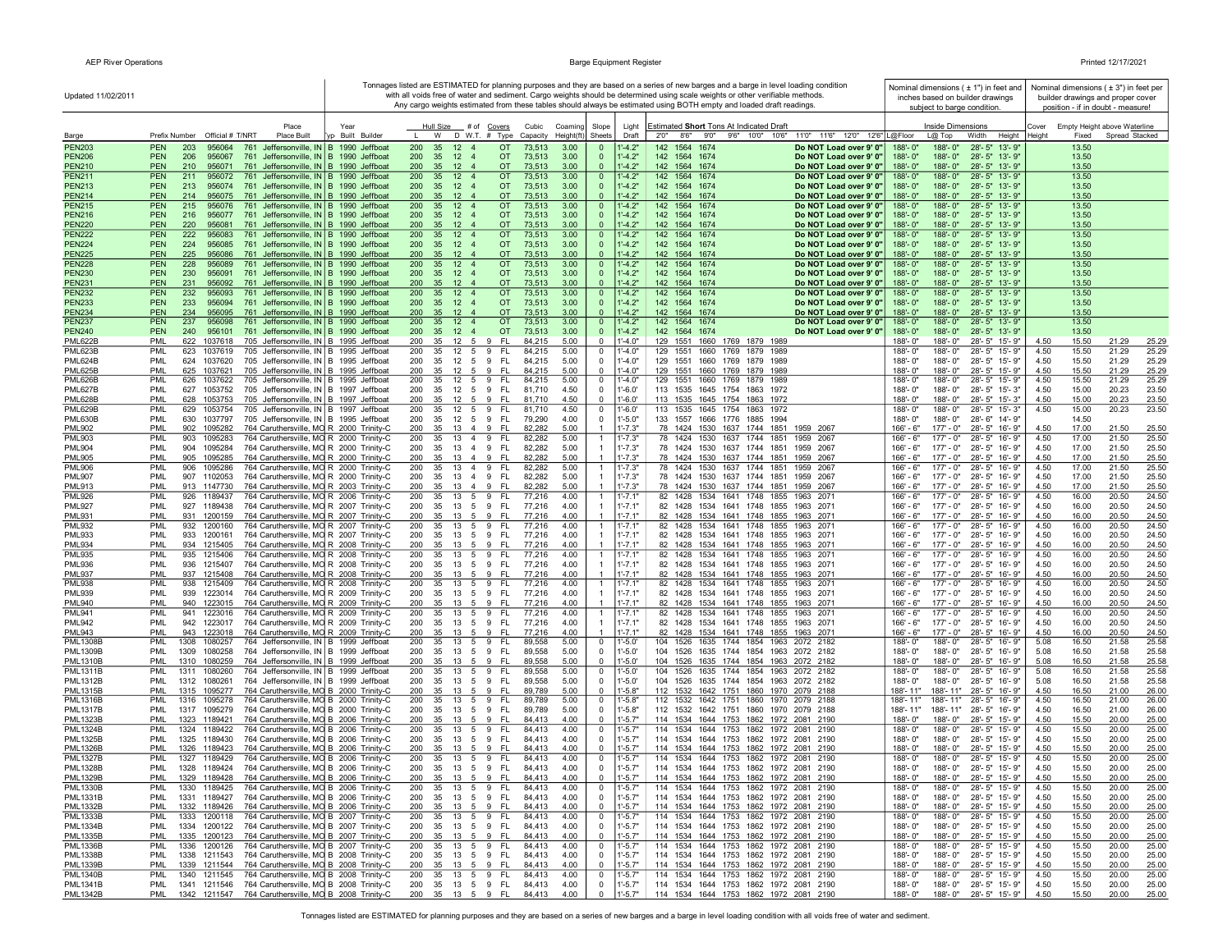| Updated 11/02/2011                 |                                                                                                                                                    |                                    |                                                                                              |                                            |                                                     |                            | Tonnages listed are ESTIMATED for planning purposes and they are based on a series of new barges and a barge in level loading condition<br>with all voids free of water and sediment. Cargo weights should be determined using scale weights or other verifiable methods.<br>Any cargo weights estimated from these tables should always be estimated using BOTH empty and loaded draft readings. |                                                  |                          | Nominal dimensions ( ± 1") in feet and<br>inches based on builder drawings<br>subject to barge condition. |                                | Nominal dimensions ( $\pm$ 3") in feet per<br>builder drawings and proper cover<br>position - if in doubt - measure! |
|------------------------------------|----------------------------------------------------------------------------------------------------------------------------------------------------|------------------------------------|----------------------------------------------------------------------------------------------|--------------------------------------------|-----------------------------------------------------|----------------------------|---------------------------------------------------------------------------------------------------------------------------------------------------------------------------------------------------------------------------------------------------------------------------------------------------------------------------------------------------------------------------------------------------|--------------------------------------------------|--------------------------|-----------------------------------------------------------------------------------------------------------|--------------------------------|----------------------------------------------------------------------------------------------------------------------|
| Barge                              | Place<br>Prefix Number Official # T/NRT<br><b>Place Built</b>                                                                                      | Year<br>Built Builde               | Hull Size # of Covers<br>W<br>D W.T. # Type                                                  | Cubic<br>Capacity                          | Coaming<br>Slope<br>Height(ft)<br>Sheets            | Light<br>Draft             | Estimated Short Tons At Indicated Draft<br>2'0''<br>8'6" 9'0" 9'6" 10'0" 10'6"                                                                                                                                                                                                                                                                                                                    | 11'0" 11'6" 12'0" 12'6" L@Floor                  |                          | Inside Dimensions<br>L@ Top<br>Width<br>Height                                                            | Cover<br>Height<br>Fixed       | Empty Height above Waterline<br>Spread Stacked                                                                       |
| <b>PEN203</b><br><b>PEN206</b>     | <b>PEN</b><br>203<br>956064<br>761 Jeffersonville, IN B 1990 Jeffboat<br><b>PEN</b><br>206<br>761 Jeffersonville, IN B 1990 Jeffboat<br>956067     |                                    | 200<br>35<br>12<br>200<br>35<br>12<br>$\overline{4}$                                         | <b>OT</b><br>73,513<br><b>OT</b><br>73,513 | 3.00<br>$\mathbf 0$<br>3.00<br>$\mathbf{0}$         | $-4.2"$<br>$1 - 4.2"$      | 142<br>1564<br>1674<br>142<br>1564 1674                                                                                                                                                                                                                                                                                                                                                           | Do NOT Load over 9' 0"<br>Do NOT Load over 9' 0" | 188'-0'<br>188'-0"       | 188'-0"<br>$28 - 5"$<br>13'-9"<br>188'-0"<br>28'-5" 13'-9"                                                | 13.50<br>13.50                 |                                                                                                                      |
| <b>PEN210</b><br><b>PEN211</b>     | <b>PEN</b><br>761 Jeffersonville, IN B 1990 Jeffboat<br>210<br>956071<br><b>PEN</b><br>211<br>956072<br>761 Jeffersonville, IN B 1990 Jeffboat     |                                    | 35<br>12<br>200<br>200<br>35<br>12 <sup>2</sup><br>$\overline{4}$                            | <b>OT</b><br>73,513<br><b>OT</b><br>73,513 | 3.00<br>$\Omega$<br>3.00                            | $-4.2"$<br>$1 - 4.2"$      | 142 1564 1674<br>142<br>1564 1674                                                                                                                                                                                                                                                                                                                                                                 | Do NOT Load over 9' 0"<br>Do NOT Load over 9' 0" | 188'-0"<br>188'-0"       | 188'-0"<br>28'-5" 13'-9"<br>188'-0"<br>$28 - 5"$<br>$13' - 9'$                                            | 13.50<br>13.50                 |                                                                                                                      |
| <b>PEN213</b>                      | <b>PEN</b><br>213<br>761 Jeffersonville, IN   B 1990 Jeffboat<br>956074                                                                            |                                    | 200<br>35<br>12<br>$\overline{4}$                                                            | <b>OT</b><br>73,513                        | $\mathbf{0}$<br>3.00<br>$\mathbf{0}$                | $1' - 4.2"$                | 142<br>1564 1674                                                                                                                                                                                                                                                                                                                                                                                  | Do NOT Load over 9' 0"                           | 188'-0"                  | 188'-0"<br>28'-5" 13'-9"                                                                                  | 13.50                          |                                                                                                                      |
| <b>PEN214</b><br><b>PEN215</b>     | <b>PEN</b><br>214<br>761 Jeffersonville, IN B 1990 Jeffboat<br>956075<br><b>PEN</b><br>215<br>761 Jeffersonville, IN B 1990 Jeffboat<br>956076     |                                    | 200<br>35 12 4<br>200<br>35 12 4                                                             | <b>OT</b><br>73,513<br><b>OT</b><br>73,513 | 3.00<br>$\mathbf{0}$<br>3.00<br>$\mathbf{0}$        | $1 - 4.2"$<br>$1' - 4.2"$  | 142 1564 1674<br>142 1564 1674                                                                                                                                                                                                                                                                                                                                                                    | Do NOT Load over 9' 0"<br>Do NOT Load over 9' 0" | 188'-0"<br>188'-0"       | 188'-0"<br>28'-5" 13'-9"<br>188'-0"<br>28'-5" 13'-9'                                                      | 13.50<br>13.50                 |                                                                                                                      |
| <b>PEN216</b>                      | <b>PEN</b><br>216<br>956077<br>761 Jeffersonville, IN   B 1990 Jeffboat                                                                            |                                    | 200<br>35<br>12<br>$\overline{4}$                                                            | <b>OT</b><br>73,513                        | 3.00<br>$\overline{0}$                              | $1' - 4.2"$                | 142 1564 1674                                                                                                                                                                                                                                                                                                                                                                                     | Do NOT Load over 9' 0"                           | 188'-0"                  | $188 - 0$ "<br>28'-5" 13'-9"                                                                              | 13.50                          |                                                                                                                      |
| <b>PEN220</b><br><b>PEN222</b>     | <b>PEN</b><br>761 Jeffersonville, IN B 1990 Jeffboat<br>220<br>956081<br><b>PEN</b><br>222<br>956083<br>761                                        | Jeffersonville, IN B 1990 Jeffboat | 35 12 4<br>200<br>200<br>35<br>12<br>$\overline{4}$                                          | <b>OT</b><br>73,513<br><b>OT</b><br>73,513 | 3.00<br>$\Omega$<br>3.00<br>$\overline{0}$          | $1' - 4.2"$<br>$1' - 4.2"$ | 142 1564 1674<br>142 1564 1674                                                                                                                                                                                                                                                                                                                                                                    | Do NOT Load over 9' 0"<br>Do NOT Load over 9' 0" | 188'-0"<br>188'-0"       | $188 - 0$ "<br>28'-5" 13'-9"<br>188'-0"<br>28'-5" 13'-9"                                                  | 13.50<br>13.50                 |                                                                                                                      |
| <b>PEN224</b>                      | <b>PEN</b><br>224<br>956085<br>761                                                                                                                 | Jeffersonville, IN B 1990 Jeffboat | 200<br>35<br>12<br>$\overline{4}$                                                            | <b>OT</b><br>73,513                        | 3.00<br>$\mathbf{0}$                                | $1' - 4.2"$                | 142 1564 1674                                                                                                                                                                                                                                                                                                                                                                                     | Do NOT Load over 9' 0"                           | 188'-0"                  | $188 - 0$ "<br>28'-5" 13'-9"                                                                              | 13.50                          |                                                                                                                      |
| <b>PEN225</b><br><b>PEN228</b>     | <b>PEN</b><br>225<br>956086<br>761 Jeffersonville, IN B 1990 Jeffboat<br><b>PEN</b><br>228<br>761 Jeffersonville, IN B 1990 Jeffboat<br>956089     |                                    | 200<br>35<br>12<br>$\overline{\mathbf{4}}$<br>200<br>12 <sup>2</sup><br>35<br>$\overline{4}$ | <b>OT</b><br>73,513<br><b>OT</b><br>73,513 | 3.00<br>$\Omega$<br>3.00<br>$\overline{0}$          | $1' - 4.2"$<br>$1' - 4.2"$ | 142 1564 1674<br>142<br>1564 1674                                                                                                                                                                                                                                                                                                                                                                 | Do NOT Load over 9' 0"<br>Do NOT Load over 9' 0" | 188'-0"<br>188'-0"       | 188'-0"<br>28'-5" 13'-9"<br>28'-5" 13'-9"<br>188'-0"                                                      | 13.50<br>13.50                 |                                                                                                                      |
| <b>PEN230</b>                      | <b>PEN</b><br>230<br>956091<br>761 Jeffersonville, IN B 1990 Jeffboat                                                                              |                                    | 200<br>35<br>12<br>$\overline{4}$                                                            | <b>OT</b><br>73,513                        | 3.00<br>$\mathbf{0}$                                | $1' - 4.2"$                | 142<br>1564 1674                                                                                                                                                                                                                                                                                                                                                                                  | Do NOT Load over 9' 0"                           | 188'-0"                  | $188 - 0$ "<br>28'-5" 13'-9"                                                                              | 13.50                          |                                                                                                                      |
| <b>PEN231</b><br><b>PEN232</b>     | <b>PEN</b><br>231<br>761 Jeffersonville, IN B 1990 Jeffboat<br>956092<br>761 Jeffersonville, IN B 1990 Jeffboat<br><b>PEN</b><br>232<br>956093     |                                    | 200<br>35<br>12<br>$\overline{4}$<br>200<br>35<br>12<br>$\overline{4}$                       | <b>OT</b><br>73,513<br><b>OT</b><br>73,513 | 3.00<br>$\Omega$<br>3.00<br>$\mathbf{0}$            | $1 - 4.2"$<br>$1' - 4.2"$  | 142 1564 1674<br>142<br>1564 1674                                                                                                                                                                                                                                                                                                                                                                 | Do NOT Load over 9' 0"<br>Do NOT Load over 9' 0" | 188'-0"<br>188'-0'       | 188'-0"<br>28'-5" 13'-9"<br>$188 - 0$ "<br>28'-5" 13'-9"                                                  | 13.50<br>13.50                 |                                                                                                                      |
| <b>PEN233</b>                      | <b>PEN</b><br>233<br>956094<br>761 Jeffersonville, IN   B 1990 Jeffboat                                                                            |                                    | 200<br>35<br>12<br>$\overline{4}$                                                            | <b>OT</b><br>73,513                        | 3.00<br>$\mathbf{0}$                                | $1' - 4.2"$                | 142 1564 1674                                                                                                                                                                                                                                                                                                                                                                                     | Do NOT Load over 9' 0"                           | 188'-0"                  | $188 - 0$ "<br>28'-5" 13'-9"                                                                              | 13.50                          |                                                                                                                      |
| <b>PEN234</b><br><b>PEN237</b>     | <b>PEN</b><br>234<br>761 Jeffersonville, IN   B 1990 Jeffboat<br>956095<br><b>PEN</b><br>237<br>956098<br>761 Jeffersonville, IN   B 1990 Jeffboat |                                    | 200<br>35 12 4<br>12<br>200<br>35<br>$\overline{4}$                                          | <b>OT</b><br>73,513<br><b>OT</b><br>73,513 | 3.00<br>$\mathbf{0}$<br>3.00<br>$\mathbf{0}$        | $1 - 4.2"$<br>$1' - 4.2"$  | 142 1564 1674<br>142 1564 1674                                                                                                                                                                                                                                                                                                                                                                    | Do NOT Load over 9' 0"<br>Do NOT Load over 9' 0" | 188'-0"<br>188'-0'       | 188'-0"<br>28'-5" 13'-9"<br>$188 - 0$ "<br>28'-5" 13'-9"                                                  | 13.50<br>13.50                 |                                                                                                                      |
| <b>PEN240</b>                      | <b>PEN</b><br>240<br>956101<br>761 Jeffersonville, IN   B 1990 Jeffboat                                                                            |                                    | 200<br>35<br>12<br>$\overline{4}$                                                            | <b>OT</b><br>73,513                        | 3.00<br>$\mathbf{0}$                                | $1' - 4.2"$                | 142 1564 1674                                                                                                                                                                                                                                                                                                                                                                                     | Do NOT Load over 9' 0"                           | 188'-0"                  | $188 - 0"$<br>28'-5" 13'-9"                                                                               | 13.50                          |                                                                                                                      |
| <b>PML622B</b><br><b>PML623B</b>   | 622 1037618<br>705 Jeffersonville, IN B 1995 Jeffboat<br><b>PML</b><br>PML<br>623<br>1037619<br>705 Jeffersonville, IN B 1995 Jeffboat             |                                    | 35 12 5 9 FL<br>200<br>200<br>35<br>12<br>5<br>9                                             | 84,215<br><b>FL</b><br>84,215              | 5.00<br>$\Omega$<br>5.00<br>$\mathbf 0$             | 1'-4.0"<br>1'-4.0"         | 129 1551 1660 1769 1879 1989<br>129<br>1551<br>1660<br>1769<br>1879 1989                                                                                                                                                                                                                                                                                                                          |                                                  | 188'-0"<br>188'-0'       | 28'-5" 15'-9"<br>188'-0"<br>188'-0"<br>28'-5" 15'-9"                                                      | 4.50<br>15.50<br>4.50<br>15.50 | 25.29<br>21.29<br>25.29<br>21.29                                                                                     |
| <b>PML624B</b>                     | PML<br>624<br>1037620<br>705 Jeffersonville, IN B 1995 Jeffboat                                                                                    |                                    | 200<br>35<br>12<br>9<br>5                                                                    | - FL<br>84,215                             | 5.00<br>$\mathbf 0$                                 | $1'-4.0"$                  | 129 1551<br>1660 1769<br>1879 1989                                                                                                                                                                                                                                                                                                                                                                |                                                  | $188 - 0$ "              | 188'-0"<br>28'-5" 15'-9"                                                                                  | 15.50<br>4.50                  | 21.29<br>25.29                                                                                                       |
| <b>PML625B</b><br><b>PML626B</b>   | <b>PML</b><br>625<br>1037621<br>705 Jeffersonville, IN B 1995 Jeffboat<br>PML<br>626<br>705 Jeffersonville, IN   B 1995 Jeffboat<br>1037622        |                                    | 200<br>9<br>35<br>12<br>5<br>5<br>9<br>200<br>35<br>12                                       | FL<br>84,215<br><b>FL</b><br>84,215        | 5.00<br>$\overline{0}$<br>5.00<br>$\overline{0}$    | $-4.0"$<br>$-4.0"$         | 129 1551<br>1660 1769 1879 1989<br>1660<br>129 1551<br>1769<br>1879<br>1989                                                                                                                                                                                                                                                                                                                       |                                                  | 188'-0"<br>188'-0"       | 28'-5" 15'-9"<br>188'-0"<br>$28 - 5"$<br>188'-0"<br>15'-9"                                                | 4.50<br>15.50<br>15.50<br>4.50 | 21.29<br>25.29<br>21.29<br>25.29                                                                                     |
| <b>PML627B</b>                     | PML<br>627<br>1053752<br>705 Jeffersonville, IN   B 1997 Jeffboat                                                                                  |                                    | 200<br>35<br>12<br>5<br>9                                                                    | <b>FL</b><br>81,710                        | 4.50<br>$\mathbf 0$                                 | 1'-6.0'                    | 113 1535<br>1645 1754<br>1863<br>1972                                                                                                                                                                                                                                                                                                                                                             |                                                  | 188'-0"                  | 188'-0"<br>$28 - 5"$<br>15'-3"                                                                            | 4.50<br>15.00                  | 20.23<br>23.50                                                                                                       |
| <b>PML628B</b><br><b>PML629B</b>   | PML<br>628<br>1053753<br>705 Jeffersonville, IN B 1997 Jeffboat<br>705 Jeffersonville, IN B 1997 Jeffboat<br>PML<br>629<br>1053754                 |                                    | 35<br>12<br>9<br>200<br>-5<br>9<br>200<br>35<br>12<br>5                                      | <b>FL</b><br>81.710<br><b>FL</b><br>81,710 | 4.50<br>$\Omega$<br>4.50<br>$\overline{0}$          | $1' - 6.0'$<br>1'-6.0'     | 113 1535 1645 1754 1863<br>1972<br>113 1535 1645 1754 1863<br>1972                                                                                                                                                                                                                                                                                                                                |                                                  | $188 - 0$ "<br>188'-0"   | 188'-0"<br>28'-5" 15'-3"<br>188'-0"<br>28'-5" 15'-3"                                                      | 4.50<br>15.00<br>15.00<br>4.50 | 20.23<br>23.50<br>23.50<br>20.23                                                                                     |
| <b>PML630B</b>                     | PML<br>630<br>1037797<br>705 Jeffersonville, IN B 1995 Jeffboat                                                                                    |                                    | 200<br>35<br>$12 \quad 5 \quad 9$                                                            | -FL<br>79,290                              | 4.00<br>$\mathbf 0$                                 | $1' - 5.0"$                | 133 1557 1666 1776 1885 1994                                                                                                                                                                                                                                                                                                                                                                      |                                                  | 188'-0"                  | 188'-0"<br>28'-6" 14'-9"                                                                                  | 14.50                          |                                                                                                                      |
| <b>PML902</b><br><b>PML903</b>     | PML<br>902<br>1095282<br>764 Caruthersville, MO R 2000 Trinity-C<br>PML<br>903<br>1095283<br>764 Caruthersville, MO R 2000 Trinity-C               |                                    | 200<br>35<br>13 4 9<br>13 4 9 FL<br>200<br>35                                                | 82,282<br>- Fl<br>82,282                   | 5.00<br>$\overline{1}$<br>5.00<br>-1                | $1' - 7.3"$<br>$1' - 7.3"$ | 78 1424 1530 1637 1744 1851<br>78 1424 1530 1637 1744 1851                                                                                                                                                                                                                                                                                                                                        | 1959 2067<br>1959 2067                           | 166' - 6"<br>166' - 6"   | $177' - 0''$<br>28'-5" 16'-9"<br>$177' - 0''$<br>28'-5" 16'-9"                                            | 4.50<br>17.00<br>4.50<br>17.00 | 21.50<br>25.50<br>21.50<br>25.50                                                                                     |
| <b>PML904</b>                      | 764 Caruthersville, MO R 2000 Trinity-C<br>PML<br>904<br>1095284                                                                                   |                                    | 200<br>35<br>13 4 9                                                                          | FL.<br>82,282                              | 5.00<br>-1                                          | 1'-7.3"                    | 78 1424 1530 1637 1744 1851                                                                                                                                                                                                                                                                                                                                                                       | 1959 2067                                        | 166' - 6"                | 177' - 0"<br>28'-5" 16'-9"                                                                                | 4.50<br>17.00                  | 21.50<br>25.50                                                                                                       |
| <b>PML905</b><br><b>PML906</b>     | PML<br>905<br>1095285<br>764 Caruthersville, MO R 2000 Trinity-C<br>PML<br>906<br>1095286<br>764 Caruthersville, MO R 2000 Trinity-C               |                                    | 200<br>35<br>13 4 9<br>13  4  9  FL<br>200<br>35                                             | -FL<br>82,282<br>82,282                    | 5.00<br>$\overline{1}$<br>5.00<br>$\overline{1}$    | 1'-7.3"<br>$1' - 7.3"$     | 78 1424 1530 1637 1744 1851<br>78 1424 1530 1637 1744 1851                                                                                                                                                                                                                                                                                                                                        | 1959 2067<br>1959 2067                           | 166' - 6"<br>166' - 6"   | $177 - 0$ "<br>28'-5" 16'-9"<br>$177' - 0''$<br>28'-5" 16'-9"                                             | 4.50<br>17.00<br>4.50<br>17.00 | 21.50<br>25.50<br>21.50<br>25.50                                                                                     |
| <b>PML907</b>                      | PML<br>907 1102053<br>764 Caruthersville, MO R 2000 Trinity-C                                                                                      |                                    | 200<br>35<br>13 4 9                                                                          | - FL<br>82,282                             | 5.00<br>$\overline{1}$                              | $1' - 7.3"$                | 78 1424 1530 1637 1744 1851                                                                                                                                                                                                                                                                                                                                                                       | 1959 2067                                        | 166' - 6"                | $177 - 0$ "<br>28'-5" 16'-9"                                                                              | 4.50<br>17.00                  | 21.50<br>25.50                                                                                                       |
| <b>PML913</b><br><b>PML926</b>     | PML<br>913 1147730<br>764 Caruthersville, MO R 2003 Trinity-C<br>PML<br>926 1189437<br>764 Caruthersville, MO R 2006 Trinity-C                     |                                    | 35<br>13<br>9<br>200<br>$\overline{4}$<br>13<br>5<br>9<br>200<br>35                          | -FL<br>82,282<br>FL<br>77,216              | 5.00<br>$\overline{1}$<br>4.00<br>$\mathbf{1}$      | $1' - 7.3"$<br>$1' - 7.1'$ | 78 1424 1530 1637 1744 1851 1959 2067<br>82 1428<br>1534 1641 1748 1855                                                                                                                                                                                                                                                                                                                           | 1963 2071                                        | 166' - 6"<br>$166' - 6"$ | $177' - 0''$<br>28'-5" 16'-9"<br>$177' - 0''$<br>28'-5" 16'-9"                                            | 4.50<br>17.00<br>4.50<br>16.00 | 21.50<br>25.50<br>20.50<br>24.50                                                                                     |
| <b>PML927</b>                      | 764 Caruthersville, MO R 2007 Trinity-C<br>PML<br>927 1189438                                                                                      |                                    | 200<br>35<br>13<br>5<br>9<br>9                                                               | FL.<br>77,216                              | 4.00<br>-1<br>-1                                    | $1' - 7.1"$                | 82 1428 1534 1641 1748 1855 1963 2071<br>82 1428 1534 1641 1748 1855 1963 2071                                                                                                                                                                                                                                                                                                                    |                                                  | 166' - 6"                | 177' - 0"<br>28'-5" 16'-9"                                                                                | 4.50<br>16.00                  | 20.50<br>24.50                                                                                                       |
| <b>PML931</b><br><b>PML932</b>     | 764 Caruthersville, MO R 2007 Trinity-C<br>PML<br>931 1200159<br>PML<br>932<br>764 Caruthersville, MO R 2007 Trinity-C<br>1200160                  |                                    | 200<br>35<br>13<br>5<br>9<br>200<br>35<br>13<br>5                                            | FL.<br>77,216<br>FL.<br>77,216             | 4.00<br>4.00<br>$\mathbf{1}$                        | 1'-7.1"<br>1'-7.1'         | 1534 1641 1748 1855<br>82 1428                                                                                                                                                                                                                                                                                                                                                                    | 1963 2071                                        | 166' - 6"<br>166' - 6"   | 177' - 0"<br>28'-5" 16'-9"<br>$177 - 0$ "<br>28'-5" 16'-9"                                                | 4.50<br>16.00<br>4.50<br>16.00 | 20.50<br>24.50<br>20.50<br>24.50                                                                                     |
| <b>PML933</b><br><b>PML934</b>     | PML<br>933<br>1200161<br>764 Caruthersville, MO R 2007 Trinity-C<br>PML<br>934 1215405<br>764 Caruthersville, MO R 2008 Trinity-C                  |                                    | 200<br>35<br>13 5<br>9<br>35<br>13 5<br>9<br>200                                             | FL.<br>77,216<br>- FL<br>77,216            | 4.00<br>4.00                                        | $1' - 7.1"$<br>$1' - 7.1"$ | 82 1428<br>1534 1641 1748 1855<br>82 1428 1534 1641 1748 1855 1963 2071                                                                                                                                                                                                                                                                                                                           | 1963 2071                                        | 166' - 6"<br>166' - 6"   | $177 - 0$ "<br>28'-5" 16'-9"<br>$177' - 0''$<br>28'-5" 16'-9"                                             | 4.50<br>16.00<br>4.50<br>16.00 | 20.50<br>24.50<br>20.50<br>24.50                                                                                     |
| <b>PML935</b>                      | PML<br>935<br>1215406<br>764 Caruthersville, MO R 2008 Trinity-C                                                                                   |                                    | 13<br>5<br>9<br>200<br>35                                                                    | FL.<br>77,216                              | 4.00<br>$\mathbf{1}$                                | $1' - 7.1'$                | 82 1428<br>1534 1641 1748 1855                                                                                                                                                                                                                                                                                                                                                                    | 1963 2071                                        | 166' - 6'                | $177 - 0$ "<br>28'-5" 16'-9"                                                                              | 4.50<br>16.00                  | 20.50<br>24.50                                                                                                       |
| <b>PML936</b><br><b>PML937</b>     | PML<br>936 1215407<br>764 Caruthersville, MO R 2008 Trinity-C<br>PML<br>937 1215408<br>764 Caruthersville, MO R 2008 Trinity-C                     |                                    | 200<br>35<br>9<br>13 5<br>13 5 9 FL<br>200<br>35                                             | FL.<br>77,216<br>77,216                    | 4.00<br>-1<br>4.00<br>$\mathbf{1}$                  | 1'-7.1'<br>1'-7.1"         | 82 1428 1534 1641 1748 1855 1963 2071<br>82 1428 1534 1641 1748 1855 1963 2071                                                                                                                                                                                                                                                                                                                    |                                                  | 166' - 6"<br>166' - 6"   | 177' - 0"<br>28'-5" 16'-9'<br>$177 - 0"$<br>28'-5" 16'-9"                                                 | 4.50<br>16.00<br>4.50<br>16.00 | 20.50<br>24.50<br>20.50<br>24.50                                                                                     |
| <b>PML938</b>                      | PML<br>938<br>1215409<br>764 Caruthersville, MO R 2008 Trinity-C                                                                                   |                                    | 200<br>35<br>13<br>5<br>9                                                                    | - FL<br>77,216                             | 4.00<br>$\overline{1}$                              | 1'-7.1'                    | 1534 1641 1748 1855<br>82 1428                                                                                                                                                                                                                                                                                                                                                                    | 1963 2071                                        | $166' - 6"$              | 28'-5" 16'-9"<br>$177 - 0$ "                                                                              | 16.00<br>4.50                  | 24.50<br>20.50                                                                                                       |
| <b>PML939</b><br><b>PML940</b>     | PML<br>939<br>1223014<br>764 Caruthersville, MO R 2009 Trinity-C<br>PML<br>940 1223015<br>764 Caruthersville, MO R 2009 Trinity-C                  |                                    | 200<br>35<br>13 5 9<br>13 5 9<br>200<br>35                                                   | - FL<br>77,216<br>- FL<br>77,216           | 4.00<br>-1<br>4.00<br>$\overline{1}$                | 1'-7.1"<br>$1' - 7.1"$     | 82 1428 1534 1641 1748 1855 1963 2071<br>82 1428 1534 1641 1748 1855 1963 2071                                                                                                                                                                                                                                                                                                                    |                                                  | 166' - 6"<br>$166' - 6"$ | 28'-5" 16'-9"<br>177' - 0"<br>$177 - 0$ "<br>28'-5" 16'-9"                                                | 4.50<br>16.00<br>4.50<br>16.00 | 20.50<br>24.50<br>20.50<br>24.50                                                                                     |
| <b>PML941</b>                      | PML<br>941<br>1223016<br>764 Caruthersville, MO R 2009 Trinity-C                                                                                   |                                    | 13<br>5<br>9<br>200<br>35                                                                    | FL.<br>77,216                              | 4.00<br>-1                                          | $1' - 7.1'$                | 1534 1641 1748 1855<br>82 1428                                                                                                                                                                                                                                                                                                                                                                    | 1963 2071                                        | $166' - 6"$              | $177 - 0$ "<br>28'-5"<br>16'-9"                                                                           | 4.50<br>16.00                  | 20.50<br>24.50                                                                                                       |
| <b>PML942</b><br><b>PML943</b>     | PML<br>942<br>1223017<br>764 Caruthersville, MO R 2009 Trinity-C<br>1223018<br>PML<br>943<br>764 Caruthersville, MO R 2009 Trinity-C               |                                    | 200<br>9<br>35<br>13<br>5<br>200<br>35<br>13<br>5<br>9                                       | FL<br>77,216<br>-FL<br>77,216              | 4.00<br>-1<br>4.00                                  | $1' - 7.1"$<br>$1' - 7.1"$ | 82 1428 1534 1641 1748 1855 1963 2071<br>82 1428 1534 1641 1748 1855 1963 2071                                                                                                                                                                                                                                                                                                                    |                                                  | 166' - 6"<br>166' - 6"   | 28'-5"<br>16'-9"<br>177' - 0"<br>$177 - 0$ "<br>$28 - 5"$<br>16'-9"                                       | 4.50<br>16.00<br>4.50<br>16.00 | 20.50<br>24.50<br>20.50<br>24.50                                                                                     |
| <b>PML1308B</b>                    | 1308<br>764 Jeffersonville, IN B 1999 Jeffboat<br><b>PML</b><br>1080257                                                                            |                                    | 9<br>200<br>35<br>13<br>5                                                                    | <b>FL</b><br>89,558                        | 5.00<br>$\overline{\mathbf{0}}$                     | $1' - 5.0'$                | 1635 1744 1854 1963<br>104<br>1526                                                                                                                                                                                                                                                                                                                                                                | 2072 2182                                        | $188 - 0$ "              | 188'-0"<br>$28 - 5"$<br>$16' - 9'$                                                                        | 5.08<br>16.50                  | 21.58<br>25.58                                                                                                       |
| <b>PML1309B</b><br><b>PML1310B</b> | <b>PML</b><br>1309<br>1080258<br>764 Jeffersonville, IN B 1999 Jeffboat<br>PML<br>1310 1080259<br>764 Jeffersonville, IN B 1999 Jeffboat           |                                    | 5 9<br>200<br>35<br>13<br>200<br>35<br>9<br>$13 \quad 5$                                     | FL.<br>89,558<br>- FL<br>89,558            | 5.00<br>$\overline{\mathbf{0}}$<br>5.00<br>$\Omega$ | $1' - 5.0'$<br>$1' - 5.0'$ | 104<br>1526<br>1635 1744 1854 1963 2072 2182<br>104 1526 1635 1744 1854 1963 2072 2182                                                                                                                                                                                                                                                                                                            |                                                  | 188'-0"<br>188'-0"       | 28'-5" 16'-9"<br>188'-0"<br>188'-0"<br>28'-5" 16'-9"                                                      | 5.08<br>16.50<br>5.08<br>16.50 | 21.58<br>25.58<br>21.58<br>25.58                                                                                     |
| <b>PML1311B</b>                    | PML<br>1311 1080260<br>764 Jeffersonville, IN B 1999 Jeffboat                                                                                      |                                    | 200<br>13 5 9 FL<br>35                                                                       | 89,558                                     | 5.00<br>$\overline{0}$                              | 1'-5.0'                    | 104 1526 1635 1744 1854 1963 2072 2182                                                                                                                                                                                                                                                                                                                                                            |                                                  | $188 - 0'$               | 188'-0"<br>28'-5" 16'-9"                                                                                  | 16.50<br>5.08                  | 21.58<br>25.58                                                                                                       |
| <b>PML1312B</b><br><b>PML1315B</b> | PML<br>1312 1080261<br>764 Jeffersonville, IN B 1999 Jeffboat<br>764 Caruthersville, MO B 2000 Trinity-C<br>PML<br>1315 1095277                    |                                    | 13 5 9 FL<br>200<br>35<br>200<br>35<br>13<br>5<br>9                                          | 89,558<br>-FI<br>89,789                    | 5.00<br>$\overline{0}$<br>5.00<br>$\Omega$          | $1'-5.0'$<br>$1' - 5.8"$   | 104 1526 1635 1744 1854 1963 2072 2182<br>112 1532 1642 1751 1860 1970 2079 2188                                                                                                                                                                                                                                                                                                                  |                                                  | 188'-0"<br>188'- 11"     | 188'-0"<br>28'-5" 16'-9"<br>188'-11"<br>28'-5" 16'-9"                                                     | 5.08<br>16.50<br>4.50<br>16.50 | 21.58<br>25.58<br>21.00<br>26.00                                                                                     |
| <b>PML1316B</b>                    | PML<br>1316 1095278<br>764 Caruthersville, MO B 2000 Trinity-C                                                                                     |                                    | 200<br>35<br>13 5 9 FL                                                                       | 89,789                                     | 5.00<br>$\mathbf 0$                                 | 1'-5.8"                    | 112 1532 1642 1751 1860 1970 2079 2188                                                                                                                                                                                                                                                                                                                                                            |                                                  | 188'- 11"                | 188'-11"<br>28'-5" 16'-9"                                                                                 | 4.50<br>16.50                  | 21.00<br>26.00                                                                                                       |
| <b>PML1317B</b><br><b>PML1323B</b> | 764 Caruthersville, MO B 2000 Trinity-C<br>PML<br>1317 1095279<br>PML<br>1323 1189421<br>764 Caruthersville, MO B 2006 Trinity-C                   |                                    | 13 5 9 FL<br>200<br>35<br>200<br>35<br>13 5<br>9                                             | 89,789<br>- FL<br>84.413                   | 5.00<br>$\overline{0}$<br>4.00<br>$\Omega$          | $1' - 5.8"$<br>$1' - 5.7"$ | 112 1532 1642 1751 1860 1970 2079 2188<br>114 1534 1644 1753 1862 1972 2081 2190                                                                                                                                                                                                                                                                                                                  |                                                  | 188'- 11"<br>188'-0"     | 188'-11" 28'-5" 16'-9"<br>188'-0"<br>28'-5" 15'-9"                                                        | 4.50<br>16.50<br>4.50<br>15.50 | 21.00<br>26.00<br>20.00<br>25.00                                                                                     |
| <b>PML1324B</b>                    | <b>PML</b><br>1324 1189422<br>764 Caruthersville, MO B 2006 Trinity-C                                                                              |                                    | 13 5 9<br>200<br>35                                                                          | - FL<br>84,413                             | 4.00<br>$\mathbf 0$                                 | $1' - 5.7'$                | 114 1534 1644 1753 1862 1972 2081 2190                                                                                                                                                                                                                                                                                                                                                            |                                                  | 188'-0"                  | 188'-0"<br>28'-5" 15'-9"                                                                                  | 4.50<br>15.50                  | 20.00<br>25.00                                                                                                       |
| <b>PML1325B</b><br><b>PML1326B</b> | 764 Caruthersville, MO B 2006 Trinity-C<br>PML<br>1325 1189430<br>764 Caruthersville, MO B 2006 Trinity-C<br>PML<br>1326<br>1189423                |                                    | 200<br>35<br>13<br>5<br>9<br>200<br>35<br>13<br>5<br>9                                       | - FL<br>84,413<br>-FL<br>84,413            | 4.00<br>$\mathbf 0$<br>4.00<br>$\Omega$             | $1' - 5.7"$<br>$1' - 5.7"$ | 114 1534 1644 1753 1862 1972 2081 2190<br>114 1534 1644 1753 1862 1972 2081 2190                                                                                                                                                                                                                                                                                                                  |                                                  | 188'-0"<br>188'-0"       | 188'-0"<br>28'-5" 15'-9"<br>188'-0"<br>28'-5" 15'-9"                                                      | 15.50<br>4.50<br>15.50<br>4.50 | 20.00<br>25.00<br>20.00<br>25.00                                                                                     |
| <b>PML1327B</b>                    | PML<br>1327 1189429<br>764 Caruthersville, MO B 2006 Trinity-C<br>764 Caruthersville, MO B 2006 Trinity-C                                          |                                    | 200<br>35 13 5 9 FL                                                                          | 84,413                                     | 4.00<br>$\mathbf 0$<br>$\Omega$                     | 1'-5.7"                    | 114 1534 1644 1753 1862 1972 2081 2190<br>114 1534 1644 1753 1862 1972 2081 2190                                                                                                                                                                                                                                                                                                                  |                                                  | 188'-0"                  | 188'-0"<br>28'-5" 15'-9"                                                                                  | 4.50<br>15.50                  | 20.00<br>25.00                                                                                                       |
| <b>PML1328B</b><br><b>PML1329B</b> | <b>PML</b><br>1328 1189424<br>1329 1189428<br>764 Caruthersville, MO B 2006 Trinity-C<br><b>PML</b>                                                |                                    | 13 5 9 FL<br>200<br>35<br>13 5 9 FL<br>200<br>35                                             | 84.413<br>84,413                           | 4.00<br>4.00<br>$\Omega$                            | $1' - 5.7"$<br>$1'$ -5.7"  | 114 1534 1644 1753 1862 1972 2081 2190                                                                                                                                                                                                                                                                                                                                                            |                                                  | 188'-0"<br>188'-0"       | 188'-0"<br>28'-5" 15'-9"<br>188'-0"<br>28'-5" 15'-9"                                                      | 4.50<br>15.50<br>4.50<br>15.50 | 25.00<br>20.00<br>20.00<br>25.00                                                                                     |
| <b>PML1330B</b>                    | <b>PML</b><br>1330 1189425<br>764 Caruthersville, MO B 2006 Trinity-C<br>764 Caruthersville, MO B 2006 Trinity-C<br><b>PML</b><br>1331 1189427     |                                    | 200<br>35<br>13 5 9 FL<br>200                                                                | 84,413<br>84,413                           | 4.00<br>$\overline{0}$<br>$\overline{0}$            | 1'-5.7"<br>$1' - 5.7"$     | 114 1534 1644 1753 1862 1972 2081 2190<br>114 1534 1644 1753 1862 1972 2081 2190                                                                                                                                                                                                                                                                                                                  |                                                  | 188'-0"<br>188'-0"       | 188'-0"<br>28'-5" 15'-9"<br>188'-0"<br>28'-5" 15'-9"                                                      | 4.50<br>15.50                  | 25.00<br>20.00                                                                                                       |
| <b>PML1331B</b><br><b>PML1332B</b> | PML<br>1332 1189426<br>764 Caruthersville, MO B 2006 Trinity-C                                                                                     |                                    | 35 13 5 9 FL<br>200 35 13 5 9 FL                                                             | 84,413                                     | 4.00<br>$\overline{0}$<br>4.00                      | $1' - 5.7"$                | 114 1534 1644 1753 1862 1972 2081 2190                                                                                                                                                                                                                                                                                                                                                            |                                                  | 188'-0"                  | 188'-0"<br>28'-5" 15'-9"                                                                                  | 4.50<br>15.50<br>4.50<br>15.50 | 20.00<br>25.00<br>20.00<br>25.00                                                                                     |
| <b>PML1333B</b><br><b>PML1334B</b> | <b>PML</b><br>1333 1200118<br>764 Caruthersville, MO B 2007 Trinity-C<br>1334 1200122<br>764 Caruthersville, MO B 2007 Trinity-C                   |                                    | 200<br>35 13 5 9 FL<br>200<br>35 13 5 9 FL                                                   | 84,413<br>84,413                           | 4.00<br>$\overline{0}$<br>4.00                      | 1'-5.7"<br>$1' - 5.7"$     | 114 1534 1644 1753 1862 1972 2081 2190<br>114 1534 1644 1753 1862 1972 2081 2190                                                                                                                                                                                                                                                                                                                  |                                                  | 188'-0"<br>188'-0"       | 28'-5" 15'-9"<br>188'-0"<br>188'-0"<br>28'-5" 15'-9"                                                      | 15.50<br>4.50<br>15.50         | 25.00<br>20.00<br>20.00<br>25.00                                                                                     |
| <b>PML1335B</b>                    | PML<br>1335 1200123<br>764 Caruthersville, MO B 2007 Trinity-C<br>PML                                                                              |                                    | 35 13 5 9 FL<br>200                                                                          | 84,413                                     | $\overline{0}$<br>4.00<br>$\mathbf 0$               | $1' - 5.7"$                | 114 1534 1644 1753 1862 1972 2081 2190                                                                                                                                                                                                                                                                                                                                                            |                                                  | 188'-0"                  | 188'-0"<br>28'-5" 15'-9"                                                                                  | 4.50<br>4.50<br>15.50          | 20.00<br>25.00                                                                                                       |
| <b>PML1336B</b><br><b>PML1338B</b> | 764 Caruthersville, MO B 2007 Trinity-C<br>PML<br>1336 1200126<br>1338 1211543<br>764 Caruthersville, MO B 2008 Trinity-C<br>PML                   |                                    | 200<br>35 13 5 9 FL<br>200<br>13 5 9 FL<br>35                                                | 84,413<br>84,413                           | 4.00<br>$\overline{0}$<br>4.00<br>$\overline{0}$    | $1' - 5.7"$<br>$1' - 5.7"$ | 114 1534 1644 1753 1862 1972 2081 2190<br>114 1534 1644 1753 1862 1972 2081 2190                                                                                                                                                                                                                                                                                                                  |                                                  | 188'-0"<br>188'-0"       | 188'-0"<br>28'-5" 15'-9"<br>28'-5" 15'-9"<br>188'-0"                                                      | 4.50<br>15.50<br>4.50<br>15.50 | 20.00<br>25.00<br>20.00<br>25.00                                                                                     |
| <b>PML1339B</b>                    | 764 Caruthersville, MO B 2008 Trinity-C<br>PML<br>1339 1211544                                                                                     |                                    | 200<br>13 5 9 FL<br>35                                                                       | 84,413                                     | 4.00<br>$\overline{0}$                              | $1' - 5.7"$                | 114 1534 1644 1753 1862 1972 2081 2190                                                                                                                                                                                                                                                                                                                                                            |                                                  | 188'-0"                  | 28'-5" 15'-9"<br>188'-0"                                                                                  | 15.50<br>4.50                  | 25.00<br>20.00                                                                                                       |
| <b>PML1340B</b><br><b>PML1341B</b> | PML<br>764 Caruthersville, MO B 2008 Trinity-C<br>1340 1211545<br>PML<br>1341 1211546<br>764 Caruthersville, MO B 2008 Trinity-C                   |                                    | 200<br>35 13 5 9 FL<br>200<br>35 13 5 9 FL                                                   | 84,413<br>84,413                           | 4.00<br>$\overline{0}$<br>4.00<br>$\overline{0}$    | 1'-5.7"<br>$1' - 5.7"$     | 114 1534 1644 1753 1862 1972 2081 2190<br>114 1534 1644 1753 1862 1972 2081 2190                                                                                                                                                                                                                                                                                                                  |                                                  | 188'-0"<br>188'-0"       | 188'-0"<br>28'-5" 15'-9"<br>188'-0"<br>28'-5" 15'-9"                                                      | 4.50<br>15.50<br>4.50<br>15.50 | 25.00<br>20.00<br>20.00<br>25.00                                                                                     |
| <b>PML1342B</b>                    | <b>PML</b><br>1342 1211547<br>764 Caruthersville, MO B 2008 Trinity-C                                                                              |                                    | 200 35 13 5 9 FL                                                                             | 84,413                                     | 4.00<br>$^{\circ}$                                  | $1' - 5.7"$                | 114 1534 1644 1753 1862 1972 2081 2190                                                                                                                                                                                                                                                                                                                                                            |                                                  | 188'-0"                  | 188'-0" 28'-5" 15'-9"                                                                                     | 4.50<br>15.50                  | 20.00<br>25.00                                                                                                       |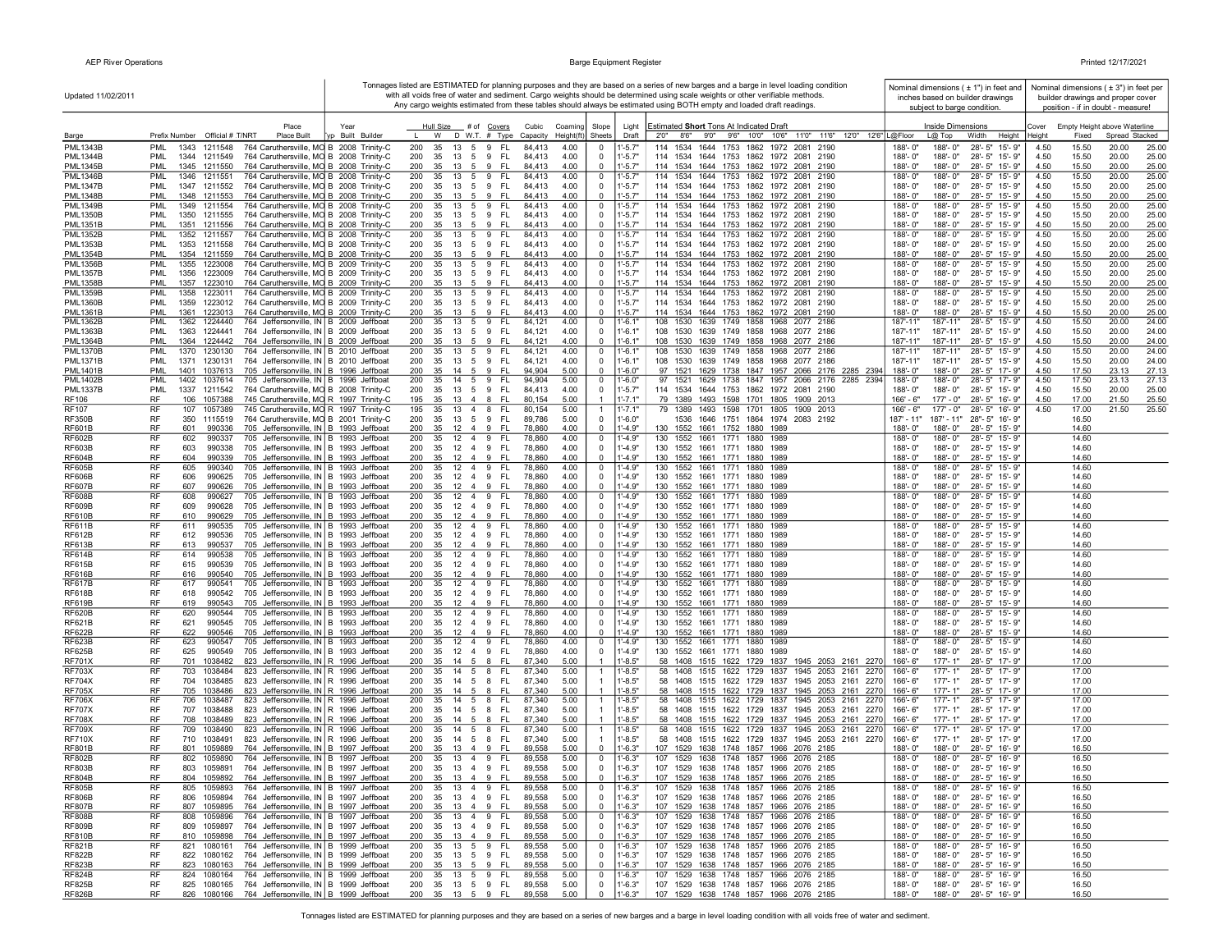| Updated 11/02/2011                 |                                                                                                                                            |                          |                                                     |                                           |                                                  |                            | Tonnages listed are ESTIMATED for planning purposes and they are based on a series of new barges and a barge in level loading condition<br>with all voids free of water and sediment. Cargo weights should be determined using scale weights or other verifiable methods.<br>Any cargo weights estimated from these tables should always be estimated using BOTH empty and loaded draft readings. | Nominal dimensions $(± 1")$ in feet and<br>inches based on builder drawings<br>subject to barge condition. |                                        |                                | Nominal dimensions ( $\pm$ 3") in feet per<br>builder drawings and proper cover<br>position - if in doubt - measure! |
|------------------------------------|--------------------------------------------------------------------------------------------------------------------------------------------|--------------------------|-----------------------------------------------------|-------------------------------------------|--------------------------------------------------|----------------------------|---------------------------------------------------------------------------------------------------------------------------------------------------------------------------------------------------------------------------------------------------------------------------------------------------------------------------------------------------------------------------------------------------|------------------------------------------------------------------------------------------------------------|----------------------------------------|--------------------------------|----------------------------------------------------------------------------------------------------------------------|
| Barge                              | Place<br>Prefix Number Official # T/NRT<br>Place Built                                                                                     | Year<br>/p Built Builder | Hull Size<br># of Covers<br>W<br>D W.T. # Type      | Cubic<br>Coaming<br>Capacity<br>Height(ft | Slope<br>Sheets                                  | Light<br>Draft             | Estimated Short Tons At Indicated Draft<br>8'6" 9'0" 9'6" 10'0" 10'6" 11'0" 11'6" 12'0" 12'6" L@Floor<br>2'0''                                                                                                                                                                                                                                                                                    | Inside Dimensions<br>$L@$ Top                                                                              | Width<br>Height                        | Cover<br>Height<br>Fixed       | Empty Height above Waterline<br>Spread Stacked                                                                       |
| <b>PML1343B</b>                    | <b>PML</b><br>1211548<br>764 Caruthersville, MO B 2008 Trinity-C<br>1343                                                                   |                          | 200<br>35<br>13<br>5<br>9                           | - FL<br>84,413                            | 4.00<br>- 0                                      | $1' - 5.7'$                | 114 1534<br>1644 1753 1862 1972 2081 2190                                                                                                                                                                                                                                                                                                                                                         | 188'-0"<br>188'-0"                                                                                         | 28'-5" 15'-9"                          | 4.50<br>15.50                  | 20.00<br>25.00                                                                                                       |
| <b>PML1344B</b>                    | <b>PML</b><br>1344 1211549<br>764 Caruthersville, MO B 2008 Trinity-C                                                                      |                          | 200<br>35<br>13 5 9                                 | - FL<br>84,413                            | 4.00<br>$\overline{0}$                           | $1' - 5.7"$                | 114 1534 1644 1753 1862 1972 2081 2190                                                                                                                                                                                                                                                                                                                                                            | 188'-0"<br>188'-0"                                                                                         | 28'-5" 15'-9"                          | 4.50<br>15.50                  | 20.00<br>25.00                                                                                                       |
| <b>PML1345B</b>                    | PML<br>1345 1211550<br>764 Caruthersville, MO B 2008 Trinity-C                                                                             |                          | 35<br>13 5 9<br>200                                 | - FL<br>84,413                            | 4.00<br>$\Omega$                                 | $1' - 5.7"$                | 114 1534 1644 1753 1862 1972 2081 2190                                                                                                                                                                                                                                                                                                                                                            | 188'-0"<br>188'-0"                                                                                         | 28'-5" 15'-9"                          | 4.50<br>15.50                  | 20.00<br>25.00                                                                                                       |
| <b>PML1346B</b><br><b>PML1347B</b> | <b>PML</b><br>1346 1211551<br>764 Caruthersville, MO B 2008 Trinity-C<br>PML<br>1347 1211552<br>764 Caruthersville, MO B 2008 Trinity-C    |                          | 200<br>35<br>13 5 9 FL<br>35<br>13 5 9 FL<br>200    | 84,413<br>84,413                          | 4.00<br>$\mathbf 0$<br>4.00<br>$\mathbf 0$       | $1'-5.7'$<br>$1' - 5.7"$   | 114 1534 1644 1753 1862 1972 2081 2190<br>114 1534 1644 1753 1862 1972 2081 2190                                                                                                                                                                                                                                                                                                                  | 188'-0"<br>188'-0"<br>188'-0"<br>188'-0"                                                                   | 28'-5" 15'-9"<br>28'-5" 15'-9"         | 4.50<br>15.50<br>4.50<br>15.50 | 20.00<br>25.00<br>20.00<br>25.00                                                                                     |
| <b>PML1348B</b>                    | 764 Caruthersville, MO B 2008 Trinity-C<br>PML<br>1348 1211553                                                                             |                          | 200<br>35<br>13 5 9                                 | - FL<br>84,413                            | 4.00<br>$\mathbf 0$                              | $1'-5.7"$                  | 114 1534 1644 1753 1862 1972 2081 2190                                                                                                                                                                                                                                                                                                                                                            | 188'-0"<br>188'-0"                                                                                         | 28'-5" 15'-9"                          | 4.50<br>15.50                  | 20.00<br>25.00                                                                                                       |
| <b>PML1349B</b>                    | 764 Caruthersville, MO B 2008 Trinity-C<br>PML<br>1349<br>1211554                                                                          |                          | 200<br>13<br>35<br>5<br>9                           | FL.<br>84,413                             | 4.00<br>$\overline{0}$                           | $1' - 5.7'$                | 114 1534<br>1644 1753 1862 1972 2081 2190                                                                                                                                                                                                                                                                                                                                                         | 188'-0"<br>188'-0"                                                                                         | 28'-5" 15'-9"                          | 15.50<br>4.50                  | 20.00<br>25.00                                                                                                       |
| <b>PML1350B</b>                    | PML<br>1350 1211555<br>764 Caruthersville, MO B 2008 Trinity-C                                                                             |                          | 200<br>35<br>13 5 9                                 | - FL<br>84,413                            | 4.00<br>$\overline{0}$                           | $1' - 5.7"$                | 114 1534 1644 1753 1862 1972 2081 2190                                                                                                                                                                                                                                                                                                                                                            | 188'-0"<br>188'-0"                                                                                         | 28'-5" 15'-9"                          | 4.50<br>15.50                  | 20.00<br>25.00                                                                                                       |
| <b>PML1351B</b><br><b>PML1352B</b> | PML<br>1351 1211556<br>764 Caruthersville, MO B 2008 Trinity-C<br><b>PML</b><br>1352<br>1211557<br>764 Caruthersville, MO B 2008 Trinity-C |                          | 200<br>35<br>13 5 9 FL<br>200<br>35<br>13 5 9       | 84.413<br>FL.<br>84.413                   | 4.00<br>$\overline{0}$<br>4.00<br>$\overline{0}$ | $1' - 5.7"$<br>$1' - 5.7'$ | 114 1534 1644 1753 1862 1972 2081 2190<br>114 1534<br>1644 1753 1862 1972 2081<br>2190                                                                                                                                                                                                                                                                                                            | 188'-0"<br>188'-0"<br>188'-0"<br>188'-0"                                                                   | 28'-5" 15'-9"<br>28'-5" 15'-9"         | 4.50<br>15.50<br>4.50<br>15.50 | 20.00<br>25.00<br>20.00<br>25.00                                                                                     |
| <b>PML1353B</b>                    | PML<br>1353 1211558<br>764 Caruthersville, MO B 2008 Trinity-C                                                                             |                          | 200<br>35 13 5 9 FL                                 | 84,413                                    | 4.00<br>$\mathbf 0$                              | $1' - 5.7"$                | 114 1534 1644 1753 1862 1972 2081 2190                                                                                                                                                                                                                                                                                                                                                            | 188'-0"<br>188'-0"                                                                                         | 28'-5" 15'-9"                          | 4.50<br>15.50                  | 20.00<br>25.00                                                                                                       |
| <b>PML1354B</b>                    | PML<br>764 Caruthersville, MO B 2008 Trinity-C<br>1354 1211559                                                                             |                          | 200<br>35 13 5 9 FL                                 | 84,413                                    | $\mathbf 0$<br>4.00                              | $1' - 5.7"$                | 114 1534 1644 1753 1862 1972 2081 2190                                                                                                                                                                                                                                                                                                                                                            | 188'-0"<br>188'-0"                                                                                         | 28'-5" 15'-9"                          | 4.50<br>15.50                  | 20.00<br>25.00                                                                                                       |
| <b>PML1356B</b><br><b>PML1357B</b> | 764 Caruthersville, MO B 2009 Trinity-C<br>PML<br>1355<br>1223008<br>PML<br>1356<br>1223009<br>764 Caruthersville, MO B 2009 Trinity-C     |                          | 200<br>35 13 5 9<br>200<br>35 13 5 9 FL             | - FL<br>84,413<br>84,413                  | 4.00<br>$\mathbf 0$<br>4.00<br>$\overline{0}$    | $1'-5.7'$<br>$1' - 5.7"$   | 114 1534 1644 1753 1862 1972 2081 2190<br>114 1534 1644 1753 1862 1972 2081 2190                                                                                                                                                                                                                                                                                                                  | 188'-0"<br>188'-0"<br>188'-0"<br>188'-0"                                                                   | 28'-5" 15'-9"<br>28'-5" 15'-9"         | 15.50<br>4.50<br>4.50<br>15.50 | 20.00<br>25.00<br>20.00<br>25.00                                                                                     |
| <b>PML1358B</b>                    | 1357 1223010<br>764 Caruthersville, MO B 2009 Trinity-C<br><b>PML</b>                                                                      |                          | 35 13 5 9 FL<br>200                                 | 84,413                                    | 4.00<br>$^{\circ}$                               | $1' - 5.7"$                | 114 1534 1644 1753 1862 1972 2081 2190                                                                                                                                                                                                                                                                                                                                                            | 188'-0"<br>188'-0"                                                                                         | 28'-5" 15'-9"                          | 4.50<br>15.50                  | 20.00<br>25.00                                                                                                       |
| <b>PML1359B</b>                    | PML<br>1358<br>1223011<br>764 Caruthersville, MO B 2009 Trinity-C                                                                          |                          | 200<br>35<br>13 5 9                                 | - FL<br>84,413                            | 4.00<br>$\mathbf 0$                              | $1' - 5.7'$                | 114 1534<br>1644 1753<br>1862 1972 2081 2190                                                                                                                                                                                                                                                                                                                                                      | 188'-0"<br>188'-0"                                                                                         | 28'-5" 15'-9"                          | 4.50<br>15.50                  | 20.00<br>25.00                                                                                                       |
| <b>PML1360B</b>                    | PML<br>1223012<br>764 Caruthersville, MO B 2009 Trinity-C<br>1359                                                                          |                          | 200<br>35<br>13 5 9 FL                              | 84,413                                    | 4.00<br>$\overline{0}$                           | $1' - 5.7"$                | 114 1534 1644 1753 1862 1972 2081 2190                                                                                                                                                                                                                                                                                                                                                            | 188'-0"<br>188'-0"                                                                                         | 28'-5" 15'-9"                          | 4.50<br>15.50                  | 20.00<br>25.00                                                                                                       |
| <b>PML1361B</b><br><b>PML1362B</b> | 764 Caruthersville, MO B 2009 Trinity-C<br>PML<br>1361<br>1223013<br>PML<br>764 Jeffersonville, IN B 2009 Jeffboat<br>1362<br>1224440      |                          | 13 5 9 FL<br>200<br>35<br>13 5 9 FL<br>200<br>35    | 84,413<br>84,121                          | 4.00<br>$\mathbf 0$<br>4.00<br>$\mathbf 0$       | $1' - 5.7"$<br>1'-6.1'     | 114 1534 1644 1753 1862 1972 2081 2190<br>108 1530 1639 1749 1858 1968 2077 2186                                                                                                                                                                                                                                                                                                                  | 188'-0"<br>188'-0"<br>187'-11"<br>187'-11'                                                                 | 28'-5" 15'-9"<br>$28 - 5"$<br>15'-9"   | 4.50<br>15.50<br>4.50<br>15.50 | 20.00<br>25.00<br>20.00<br>24.00                                                                                     |
| <b>PML1363B</b>                    | PML<br>1363<br>1224441<br>764 Jeffersonville, IN   B 2009 Jeffboat                                                                         |                          | 200<br>35<br>13 5 9 FL                              | 84,121                                    | 4.00<br>$\overline{0}$                           | $1 - 6.1"$                 | 108 1530 1639 1749 1858 1968 2077 2186                                                                                                                                                                                                                                                                                                                                                            | 187'-11"<br>187'-11"                                                                                       | 28'-5"<br>15'-9"                       | 15.50<br>4.50                  | 20.00<br>24.00                                                                                                       |
| <b>PML1364B</b>                    | PML<br>1364<br>1224442<br>764 Jeffersonville, IN B 2009 Jeffboat                                                                           |                          | 200<br>35<br>13<br>5                                | 9 FL<br>84,121                            | 4.00<br>$\Omega$                                 | $1' - 6.1"$                | 108 1530 1639 1749 1858 1968 2077 2186                                                                                                                                                                                                                                                                                                                                                            | 187'-11"<br>187'-11"                                                                                       | 28'-5" 15'-9"                          | 4.50<br>15.50                  | 20.00<br>24.00                                                                                                       |
| <b>PML1370B</b><br><b>PML1371B</b> | 764 Jeffersonville, IN B 2010 Jeffboat<br>PML<br>1370<br>1230130<br>PML<br>1230131                                                         |                          | 200<br>35<br>13 5 9<br>200<br>35<br>13 5 9 FL       | - FL<br>84,121<br>84,121                  | 4.00<br>$\mathbf 0$<br>4.00<br>$\mathbf 0$       | 1'-6.1'<br>$1' - 6.1"$     | 108 1530<br>1639 1749 1858 1968 2077 2186<br>108 1530 1639 1749 1858 1968 2077 2186                                                                                                                                                                                                                                                                                                               | 187'-11"<br>187'-11"<br>187'-11"<br>187'-11"                                                               | 28'-5" 15'-9"<br>28'-5" 15'-9"         | 15.50<br>4.50<br>15.50         | 20.00<br>24.00<br>20.00<br>24.00                                                                                     |
| <b>PML1401B</b>                    | 764 Jeffersonville, IN B 2010 Jeffboat<br>1371<br>PMI<br>1401<br>705 Jeffersonville, IN B 1996 Jeffboat<br>1037613                         |                          | 200<br>35<br>14 5 9 FL                              | 94,904                                    | 5.00<br>$\overline{0}$                           | $1'-6.0"$                  | 97 1521 1629 1738 1847 1957 2066 2176 2285 2394                                                                                                                                                                                                                                                                                                                                                   | 188'-0"<br>188'-0"                                                                                         | 28'-5" 17'-9"                          | 4.50<br>4.50<br>17.50          | 23.13<br>27.13                                                                                                       |
| <b>PML1402B</b>                    | PML<br>1402 1037614<br>705 Jeffersonville, IN   B 1996 Jeffboat                                                                            |                          | 200<br>35 14 5 9 FL                                 | 94,904                                    | $\mathbf 0$<br>5.00                              | 1'-6.0"                    | 97 1521 1629 1738 1847 1957 2066 2176 2285 2394                                                                                                                                                                                                                                                                                                                                                   | 188'-0"<br>188'-0"                                                                                         | 28'-5" 17'-9"                          | 17.50<br>4.50                  | 27.13<br>23.13                                                                                                       |
| <b>PML1337B</b>                    | <b>PML</b><br>1337 1211542<br>764 Caruthersville, MO B 2008 Trinity-C                                                                      |                          | 200<br>35 13 5 9 FL                                 | 84,413<br>4.00                            | $\overline{0}$                                   | $1' - 5.7"$                | 114 1534 1644 1753 1862 1972 2081 2190                                                                                                                                                                                                                                                                                                                                                            | 188'-0"<br>188'-0"                                                                                         | 28'-5" 15'-9"                          | 4.50<br>15.50                  | 20.00<br>25.00                                                                                                       |
| <b>RF106</b><br><b>RF107</b>       | RF<br>745 Caruthersville, MO R 1997 Trinity-C<br>106<br>1057388<br>RF<br>107 1057389<br>745 Caruthersville, MO R 1997 Trinity-C            |                          | 35 13 4 8<br>195<br>35 13 4 8 FL<br>195             | -FL<br>80.154<br>80,154                   | 5.00<br>5.00<br>$\overline{1}$                   | $1' - 7.1"$<br>$1' - 7.1'$ | 79 1389 1493 1598 1701 1805 1909 2013<br>79 1389 1493 1598 1701 1805 1909 2013                                                                                                                                                                                                                                                                                                                    | $177 - 0$ "<br>166' - 6"<br>177' - 0"<br>$166' - 6"$                                                       | 28'-5" 16'-9"<br>28'-5" 16'-9"         | 4.50<br>17.00<br>17.00<br>4.50 | 21.50<br>25.50<br>21.50<br>25.50                                                                                     |
| <b>RF350B</b>                      | <b>RF</b><br>350 1115519<br>764 Caruthersville, MO B 2001 Trinity-C                                                                        |                          | 200<br>35 13 5 9 FL                                 | 89,786                                    | 5.00<br>$\mathbf 0$                              | $1' - 6.0"$                | 1536 1646 1751 1864 1974 2083 2192                                                                                                                                                                                                                                                                                                                                                                | $187' - 11"$                                                                                               | 187' - 11" 28" - 5" 16' - 9"           | 16.50                          |                                                                                                                      |
| <b>RF601B</b>                      | RF<br>601<br>990336<br>705 Jeffersonville, IN B 1993 Jeffboat                                                                              |                          | 200<br>35<br>$12 \t 4 \t 9$                         | - FL<br>78,860                            | 4.00<br>$\mathbf 0$                              | $1' - 4.9"$                | 130 1552 1661 1752 1880 1989                                                                                                                                                                                                                                                                                                                                                                      | 188'-0"<br>188'-0"                                                                                         | 28'-5" 15'-9"                          | 14.60                          |                                                                                                                      |
| <b>RF602B</b>                      | RF<br>602<br>990337<br>705 Jeffersonville, IN B 1993 Jeffboat                                                                              |                          | 200<br>12   4   9   FL<br>35                        | 78,860                                    | 4.00<br>$\mathbf 0$                              | $1' - 4.9"$                | 130 1552 1661 1771 1880 1989                                                                                                                                                                                                                                                                                                                                                                      | 188'-0"<br>188'-0"                                                                                         | 28'-5" 15'-9"                          | 14.60                          |                                                                                                                      |
| <b>RF603B</b><br><b>RF604B</b>     | RF<br>705 Jeffersonville, IN B 1993 Jeffboat<br>603<br>990338<br>RF<br>705 Jeffersonville, IN B 1993 Jeffboat<br>604<br>990339             |                          | 200<br>35<br>12 4 9<br>200<br>35<br>12 4 9          | FL.<br>78,860<br>-FL<br>78,860            | 4.00<br>$\overline{0}$<br>4.00<br>$\overline{0}$ | $1' - 4.9"$<br>$1' - 4.9"$ | 130 1552 1661 1771 1880 1989<br>130 1552 1661 1771 1880 1989                                                                                                                                                                                                                                                                                                                                      | 188'-0"<br>188'-0"<br>188'-0"<br>188'-0"                                                                   | 28'-5" 15'-9"<br>28'-5" 15'-9"         | 14.60<br>14.60                 |                                                                                                                      |
| <b>RF605B</b>                      | RF<br>605<br>705 Jeffersonville, IN B 1993 Jeffboat<br>990340                                                                              |                          | 200<br>$12 \t4 \t9$<br>35                           | FL.<br>78,860                             | 4.00<br>$\overline{0}$                           | $1' - 4.9"$                | 130 1552 1661 1771 1880<br>1989                                                                                                                                                                                                                                                                                                                                                                   | 188'-0"<br>188'-0"                                                                                         | 28'-5" 15'-9"                          | 14.60                          |                                                                                                                      |
| <b>RF606B</b>                      | <b>RF</b><br>606<br>990625<br>705 Jeffersonville, IN B 1993 Jeffboat                                                                       |                          | 200<br>35<br>$12 \t4 \t9$                           | - FL<br>78,860                            | 4.00<br>$\mathbf{0}$                             | $1' - 4.9"$                | 130 1552 1661 1771 1880 1989                                                                                                                                                                                                                                                                                                                                                                      | 188'-0"<br>188'-0"                                                                                         | 28'-5" 15'-9"                          | 14.60                          |                                                                                                                      |
| <b>RF607B</b><br><b>RF608B</b>     | <b>RF</b><br>607<br>990626<br>705 Jeffersonville, IN B 1993 Jeffboat<br>RF<br>608<br>990627<br>705 Jeffersonville, IN B 1993 Jeffboat      |                          | 200<br>35<br>12   4   9   FL<br>200<br>35<br>12 4 9 | 78,860<br>FL.<br>78,860                   | 4.00<br>$\mathbf{0}$<br>4.00<br>$\mathbf 0$      | $1' - 4.9"$<br>$1' - 4.9"$ | 130 1552 1661 1771 1880 1989<br>130 1552 1661 1771 1880 1989                                                                                                                                                                                                                                                                                                                                      | 188'-0"<br>188'-0"<br>188'-0"<br>188'-0"                                                                   | 28'-5" 15'-9"<br>28'-5" 15'-9"         | 14.60<br>14.60                 |                                                                                                                      |
| <b>RF609B</b>                      | RF<br>609<br>990628<br>705 Jeffersonville, IN   B 1993 Jeffboat                                                                            |                          | 200<br>35<br>12 4 9                                 | - FL<br>78,860                            | 4.00<br>$\overline{0}$                           | $1' - 4.9"$                | 130 1552 1661 1771 1880 1989                                                                                                                                                                                                                                                                                                                                                                      | 188'-0"<br>188'-0"                                                                                         | 28'-5" 15'-9"                          | 14.60                          |                                                                                                                      |
| <b>RF610B</b>                      | RF<br>610<br>990629<br>705 Jeffersonville, IN B 1993 Jeffboat                                                                              |                          | 200<br>35 12 4 9 FL                                 | 78,860                                    | 4.00<br>0                                        | $1' - 4.9"$                | 130 1552 1661 1771 1880 1989                                                                                                                                                                                                                                                                                                                                                                      | 188'-0"<br>188'-0"                                                                                         | 28'-5" 15'-9"                          | 14.60                          |                                                                                                                      |
| <b>RF611B</b><br><b>RF612B</b>     | RF<br>611<br>990535<br>705 Jeffersonville, IN B 1993 Jeffboat<br>RF<br>612<br>990536<br>705 Jeffersonville, IN B 1993 Jeffboat             |                          | 12 4 9<br>200<br>35<br>200<br>35<br>12 4 9          | - FL<br>78,860<br>- FL<br>78,860          | 4.00<br>$\mathbf 0$<br>4.00<br>$\mathbf 0$       | $1' - 4.9"$<br>$1' - 4.9"$ | 130 1552 1661 1771<br>1880 1989<br>130 1552 1661 1771<br>1880 1989                                                                                                                                                                                                                                                                                                                                | 188'-0"<br>188'-0"<br>188'-0"<br>188'-0"                                                                   | 28'-5" 15'-9"<br>28'-5" 15'-9"         | 14.60<br>14.60                 |                                                                                                                      |
| <b>RF613B</b>                      | RF<br>613<br>990537<br>705 Jeffersonville, IN B 1993 Jeffboat                                                                              |                          | 200<br>35<br>$12 \t4 \t9$                           | - FL<br>78,860                            | 4.00<br>$\mathbf 0$                              | $1' - 4.9"$                | 130 1552 1661 1771 1880 1989                                                                                                                                                                                                                                                                                                                                                                      | 188'-0"<br>188'-0"                                                                                         | 28'-5" 15'-9"                          | 14.60                          |                                                                                                                      |
| <b>RF614B</b>                      | RF<br>614<br>990538<br>705 Jeffersonville, IN B 1993 Jeffboat                                                                              |                          | 200<br>12  4  9  FL<br>35                           | 78,860                                    | 4.00<br>$\mathbf 0$                              | $1 - 4.9"$                 | 130 1552 1661 1771<br>1880<br>1989                                                                                                                                                                                                                                                                                                                                                                | 188'-0"<br>188'-0"                                                                                         | 28'-5" 15'-9"                          | 14.60                          |                                                                                                                      |
| <b>RF615B</b><br><b>RF616B</b>     | RF<br>615<br>990539<br>705 Jeffersonville, IN   B 1993 Jeffboat<br>RF                                                                      |                          | 200<br>35<br>12 4 9                                 | - FL<br>78,860                            | 4.00<br>0<br>4.00                                | $1' - 4.9"$<br>$1' - 4.9"$ | 130 1552 1661 1771<br>1880 1989                                                                                                                                                                                                                                                                                                                                                                   | 188'-0"<br>188'-0"                                                                                         | 28'-5" 15'-9"                          | 14.60                          |                                                                                                                      |
| <b>RF617B</b>                      | 616<br>990540<br>705 Jeffersonville, IN B 1993 Jeffboat<br>RF<br>617<br>990541<br>705 Jeffersonville, IN B 1993 Jeffboat                   |                          | 200<br>35<br>12 4 9<br>200<br>12 4 9<br>35          | -FL<br>78,860<br>- FL<br>78,860           | $\overline{0}$<br>4.00<br>$\mathbf 0$            | $1' - 4.9"$                | 130 1552 1661 1771 1880<br>1989<br>130 1552 1661 1771<br>1880<br>1989                                                                                                                                                                                                                                                                                                                             | 188'-0"<br>188'-0"<br>188'-0"<br>$188 - 0$ "                                                               | 28'-5" 15'-9"<br>28'-5" 15'-9'         | 14.60<br>14.60                 |                                                                                                                      |
| <b>RF618B</b>                      | RF<br>618<br>990542<br>705 Jeffersonville, IN B 1993 Jeffboat                                                                              |                          | 200<br>35<br>12   4   9   FL                        | 78,860                                    | 4.00<br>$\mathbf 0$                              | $1' - 4.9"$                | 130 1552 1661 1771 1880<br>1989                                                                                                                                                                                                                                                                                                                                                                   | 188'-0"<br>188'-0"                                                                                         | 28'-5" 15'-9"                          | 14.60                          |                                                                                                                      |
| <b>RF619B</b>                      | <b>RF</b><br>619<br>990543<br>705 Jeffersonville, IN B 1993 Jeffboat                                                                       |                          | 200<br>35<br>12   4   9   FL                        | 78,860                                    | 4.00<br>$\overline{0}$                           | $1' - 4.9"$                | 130 1552 1661 1771 1880<br>1989                                                                                                                                                                                                                                                                                                                                                                   | 188'-0"<br>188'-0"                                                                                         | 28'-5" 15'-9"                          | 14.60                          |                                                                                                                      |
| <b>RF620B</b><br><b>RF621B</b>     | RF<br>620<br>990544<br>705 Jeffersonville, IN B 1993 Jeffboat<br>RF<br>990545<br>621<br>705 Jeffersonville, IN   B 1993 Jeffboat           |                          | 12  4  9  FL<br>200<br>35<br>35 12 4 9 FL<br>200    | 78,860<br>78,860                          | 4.00<br>$\mathbf 0$<br>4.00<br>$\mathbf 0$       | $1' - 4.9"$<br>$1' - 4.9"$ | 130 1552 1661 1771 1880<br>1989<br>130 1552 1661 1771 1880 1989                                                                                                                                                                                                                                                                                                                                   | 188'-0"<br>188'-0"<br>188'-0"<br>188'-0"                                                                   | 28'-5" 15'-9'<br>28'-5" 15'-9"         | 14.60<br>14.60                 |                                                                                                                      |
| <b>RF622B</b>                      | RF<br>622<br>990546<br>705 Jeffersonville, IN B 1993 Jeffboat                                                                              |                          | 200<br>35 12 4 9                                    | - FL<br>78,860                            | $\mathbf 0$<br>4.00                              | $1' - 4.9"$                | 130 1552 1661 1771 1880 1989                                                                                                                                                                                                                                                                                                                                                                      | 188'-0"<br>188'-0"                                                                                         | 28'-5" 15'-9"                          | 14.60                          |                                                                                                                      |
| <b>RF623B</b>                      | RF<br>623<br>990547<br>705 Jeffersonville, IN B 1993 Jeffboat                                                                              |                          | 200<br>35 12 4 9 FL                                 | 78,860                                    | 4.00<br>$\mathbf 0$                              | $1' - 4.9"$                | 130 1552 1661 1771 1880 1989                                                                                                                                                                                                                                                                                                                                                                      | 188'-0"<br>188'-0"                                                                                         | 28'-5" 15'-9"                          | 14.60                          |                                                                                                                      |
| <b>RF625B</b><br><b>RF701X</b>     | RF<br>625<br>990549<br>705 Jeffersonville, IN B 1993 Jeffboat<br><b>RF</b><br>701<br>1038482<br>823 Jeffersonville, IN R 1996 Jeffboat     |                          | 35 12 4 9 FL<br>200<br>200<br>35 14 5 8             | 78,860<br>- FL<br>87,340                  | 4.00<br>$\overline{0}$<br>5.00<br>$\overline{1}$ | $1' - 4.9"$<br>$1' - 8.5"$ | 130 1552 1661 1771 1880 1989<br>58 1408 1515 1622 1729 1837 1945 2053 2161 2270                                                                                                                                                                                                                                                                                                                   | 188'-0"<br>188'-0"<br>166'-6"<br>$177 - 1"$                                                                | 28'-5" 15'-9"<br>28'-5" 17'-9"         | 14.60<br>17.00                 |                                                                                                                      |
| <b>RF703X</b>                      | RF<br>703<br>1038484<br>823 Jeffersonville, IN R 1996 Jeffboat                                                                             |                          | 200<br>14 5 8<br>35                                 | - FL<br>87,340                            | 5.00<br>1                                        | $1'-8.5"$                  | 58 1408 1515 1622 1729 1837 1945 2053 2161 2270                                                                                                                                                                                                                                                                                                                                                   | $177 - 1"$<br>166'-6"                                                                                      | 28'-5" 17'-9"                          | 17.00                          |                                                                                                                      |
| <b>RF704X</b>                      | RF<br>704<br>1038485<br>823 Jeffersonville, IN R 1996 Jeffboat                                                                             |                          | 200<br>35<br>14 5 8                                 | - FL<br>87,340                            | 5.00                                             | $1' - 8.5"$                | 58 1408 1515 1622 1729 1837 1945 2053 2161<br>2270                                                                                                                                                                                                                                                                                                                                                | 177'-1"<br>166'-6"                                                                                         | 28'-5" 17'-9"                          | 17.00                          |                                                                                                                      |
| <b>RF705X</b><br><b>RF706X</b>     | RF<br>823 Jeffersonville, IN R 1996 Jeffboat<br>705 1038486<br>RF<br>706<br>1038487                                                        |                          | 200<br>35<br>14 5 8<br>200<br>35<br>14 5 8          | FL.<br>87,340<br>FL.<br>87,340            | 5.00<br>-1                                       | $1' - 8.5"$                | 58 1408 1515 1622 1729 1837 1945 2053 2161<br>2270<br>58 1408 1515 1622 1729 1837 1945 2053 2161 2270                                                                                                                                                                                                                                                                                             | $177 - 1"$<br>166'-6"<br>166'-6"<br>177'-1"                                                                | 28'-5" 17'-9"<br>28'-5" 17'-9"         | 17.00<br>17.00                 |                                                                                                                      |
| <b>RF707X</b>                      | 823 Jeffersonville, IN R 1996 Jeffboat<br>RF<br>823 Jeffersonville, IN R 1996 Jeffboat<br>707 1038488                                      |                          | 200<br>35<br>14 5 8                                 | - FL<br>87,340                            | 5.00<br>5.00                                     | 1'-8.5"<br>$1' - 8.5"$     | 58 1408 1515 1622 1729 1837 1945 2053 2161 2270                                                                                                                                                                                                                                                                                                                                                   | 177'-1"<br>166'-6"                                                                                         | 28'-5" 17'-9"                          | 17.00                          |                                                                                                                      |
| <b>RF708X</b>                      | <b>RF</b><br>708<br>1038489<br>823 Jeffersonville, IN R 1996 Jeffboat                                                                      |                          | 200<br>35<br>14 5 8                                 | - FL<br>87.340                            | 5.00                                             | $1' - 8.5"$                | 58 1408 1515 1622 1729 1837 1945 2053 2161 2270                                                                                                                                                                                                                                                                                                                                                   | 166'-6"<br>$177 - 1"$                                                                                      | 28'-5" 17'-9"                          | 17.00                          |                                                                                                                      |
| <b>RF709X</b>                      | RF<br>709<br>1038490<br>823 Jeffersonville, IN R 1996 Jeffboat                                                                             |                          | 200<br>14 5 8<br>35                                 | - FL<br>87,340                            | 5.00<br>$\mathbf{1}$                             | $1' - 8.5"$                | 1515 1622 1729 1837 1945 2053 2161 2270<br>58 1408                                                                                                                                                                                                                                                                                                                                                | $177 - 1"$<br>166'-6"                                                                                      | 28'-5" 17'-9"                          | 17.00                          |                                                                                                                      |
| <b>RF710X</b><br><b>RF801B</b>     | <b>RF</b><br>710 1038491<br>823 Jeffersonville, IN   R 1996 Jeffboat<br>RF<br>801 1059889<br>764 Jeffersonville, IN B 1997 Jeffboat        |                          | 200<br>35 14 5 8 FL<br>35 13 4 9 FL<br>200          | 87,340<br>89,558                          | 5.00<br>-1<br>5.00<br>$^{\circ}$                 | $1'-8.5"$<br>$1' - 6.3"$   | 58 1408 1515 1622 1729 1837 1945 2053 2161 2270<br>107 1529 1638 1748 1857 1966 2076 2185                                                                                                                                                                                                                                                                                                         | 166'-6"<br>177'-1"<br>188'-0"<br>188'-0"                                                                   | 28'-5" 17'-9"<br>28'-5" 16'-9"         | 17.00<br>16.50                 |                                                                                                                      |
| <b>RF802B</b>                      | RF<br>802 1059890<br>764 Jeffersonville, IN B 1997 Jeffboat                                                                                |                          | 200<br>35 13 4 9 FL                                 | 89,558                                    | 5.00<br>$\overline{0}$                           | $1'$ -6.3"                 | 107 1529 1638 1748 1857 1966 2076 2185                                                                                                                                                                                                                                                                                                                                                            | 188'-0"<br>188'-0"                                                                                         | 28'-5" 16'-9"                          | 16.50                          |                                                                                                                      |
| <b>RF803B</b>                      | RF<br>764 Jeffersonville, IN B 1997 Jeffboat<br>803 1059891                                                                                |                          | 200 35 13 4 9 FL                                    | 89,558                                    | 5.00<br>$^{\circ}$                               | $1' - 6.3"$                | 107 1529 1638 1748 1857 1966 2076 2185                                                                                                                                                                                                                                                                                                                                                            | 188'-0"                                                                                                    | 188'-0" 28'-5" 16'-9"                  | 16.50                          |                                                                                                                      |
| RF804B                             | <b>RF</b><br>804 1059892 764 Jeffersonville IN R 1997 Jeffboat<br>RF<br>764 Jeffersonville, IN B 1997 Jeffboat                             |                          | 200 35 13 4 9 FL                                    | 89.558                                    | 5.00<br>$\Omega$                                 | 1'.6.3"                    | 107 1529 1638 1748 1857 1966 2076 2185                                                                                                                                                                                                                                                                                                                                                            | 188'-0"                                                                                                    | 188'-0" 28'-5" 16'-9"                  | 16.50                          |                                                                                                                      |
| <b>RF805B</b><br><b>RF806B</b>     | 805 1059893<br>764 Jeffersonville, IN B 1997 Jeffboat<br>RF<br>806 1059894                                                                 |                          | 200<br>35<br>13  4  9  FL<br>200<br>35 13 4 9 FL    | 89,558<br>89,558                          | 5.00<br>$\mathbf 0$<br>5.00<br>$\overline{0}$    | 1'-6.3'<br>$1' - 6.3"$     | 107 1529 1638 1748 1857 1966 2076 2185<br>107 1529 1638 1748 1857 1966 2076 2185                                                                                                                                                                                                                                                                                                                  | 188'-0"<br>188'-0"<br>188'-0"                                                                              | 28'-5" 16'-9"<br>188'-0" 28'-5" 16'-9" | 16.50<br>16.50                 |                                                                                                                      |
| <b>RF807B</b>                      | 764 Jeffersonville, IN B 1997 Jeffboat<br>RF<br>807 1059895                                                                                |                          | 13   4   9   FL<br>200<br>35                        | 89,558                                    | 5.00<br>$\mathbf 0$                              | $1' - 6.3"$                | 107 1529 1638 1748 1857 1966 2076 2185                                                                                                                                                                                                                                                                                                                                                            | 188'-0"<br>188'-0"                                                                                         | 28'-5" 16'-9"                          | 16.50                          |                                                                                                                      |
| <b>RF808B</b>                      | 764 Jeffersonville, IN B 1997 Jeffboat<br>RF<br>808 1059896                                                                                |                          | 200<br>35 13 4 9 FL                                 | 89,558                                    | 5.00<br>$\overline{0}$                           | $1' - 6.3"$                | 107 1529 1638 1748 1857 1966 2076 2185                                                                                                                                                                                                                                                                                                                                                            | 188'-0"<br>188'-0"                                                                                         | 28'-5" 16'-9"                          | 16.50                          |                                                                                                                      |
| <b>RF809B</b><br><b>RF810B</b>     | RF<br>809 1059897<br>764 Jeffersonville, IN B 1997 Jeffboat<br>RF<br>810 1059898<br>764 Jeffersonville, IN B 1997 Jeffboat                 |                          | 200<br>35 13 4 9 FL<br>200<br>35 13 4 9 FL          | 89,558<br>89,558                          | 5.00<br>$\mathbf 0$<br>5.00<br>$\mathbf{0}$      | $1' - 6.3"$<br>$1' - 6.3"$ | 107 1529 1638 1748 1857 1966 2076 2185<br>107 1529 1638 1748 1857 1966 2076 2185                                                                                                                                                                                                                                                                                                                  | 188'-0"<br>188'-0"<br>188'-0"<br>188'-0"                                                                   | 28'-5" 16'-9"<br>28'-5" 16'-9"         | 16.50<br>16.50                 |                                                                                                                      |
| <b>RF821B</b>                      | 764 Jeffersonville, IN B 1999 Jeffboat<br><b>RF</b><br>821 1080161                                                                         |                          | 200<br>35 13 5 9 FL                                 | 89,558                                    | 5.00<br>$\mathbf 0$                              | $1' - 6.3"$                | 107 1529 1638 1748 1857 1966 2076 2185                                                                                                                                                                                                                                                                                                                                                            | 188'-0"<br>188'-0"                                                                                         | 28'-5" 16'-9"                          | 16.50                          |                                                                                                                      |
| <b>RF822B</b>                      | RF<br>822 1080162 764 Jeffersonville. IN B 1999 Jeffboat                                                                                   |                          | 200 35 13 5 9 FL                                    | 89,558                                    | 5.00<br>$\mathbf 0$                              | $1' - 6.3"$                | 107 1529 1638 1748 1857 1966 2076 2185                                                                                                                                                                                                                                                                                                                                                            | 188'-0"                                                                                                    | 188'-0" 28'-5" 16'-9"                  | 16.50                          |                                                                                                                      |
| <b>RF823B</b>                      | RF<br>823 1080163 764 Jeffersonville, IN B 1999 Jeffboat<br>RF<br>824 1080164 764 Jeffersonville, IN B 1999 Jeffboat                       |                          | 200 35 13 5 9 FL                                    | 89,558                                    | 5.00<br>$\mathbf 0$                              | $1'-6.3"$                  | 107 1529 1638 1748 1857 1966 2076 2185<br>107 1529 1638 1748 1857 1966 2076 2185                                                                                                                                                                                                                                                                                                                  | 188'-0"                                                                                                    | 188'-0" 28'-5" 16'-9"                  | 16.50                          |                                                                                                                      |
| <b>RF824B</b><br><b>RF825B</b>     | 825 1080165 764 Jeffersonville, IN B 1999 Jeffboat<br>RF                                                                                   |                          | 200 35 13 5 9 FL<br>200 35 13 5 9 FL                | 89,558<br>89,558                          | 5.00<br>$\overline{0}$<br>5.00<br>$\mathbf 0$    | $1' - 6.3"$<br>$1' - 6.3"$ | 107 1529 1638 1748 1857 1966 2076 2185                                                                                                                                                                                                                                                                                                                                                            | 188'-0"<br>188'-0" 188'-0" 28'-5" 16'-9"                                                                   | 188'-0" 28'-5" 16'-9"                  | 16.50<br>16.50                 |                                                                                                                      |
| <b>RF826B</b>                      | RF<br>826 1080166 764 Jeffersonville, IN B 1999 Jeffboat                                                                                   |                          | 200 35 13 5 9 FL                                    | 89,558                                    | 5.00<br>$^{\circ}$                               | $1' - 6.3"$                | 107 1529 1638 1748 1857 1966 2076 2185                                                                                                                                                                                                                                                                                                                                                            | 188'-0" 188'-0" 28'-5" 16'-9"                                                                              |                                        | 16.50                          |                                                                                                                      |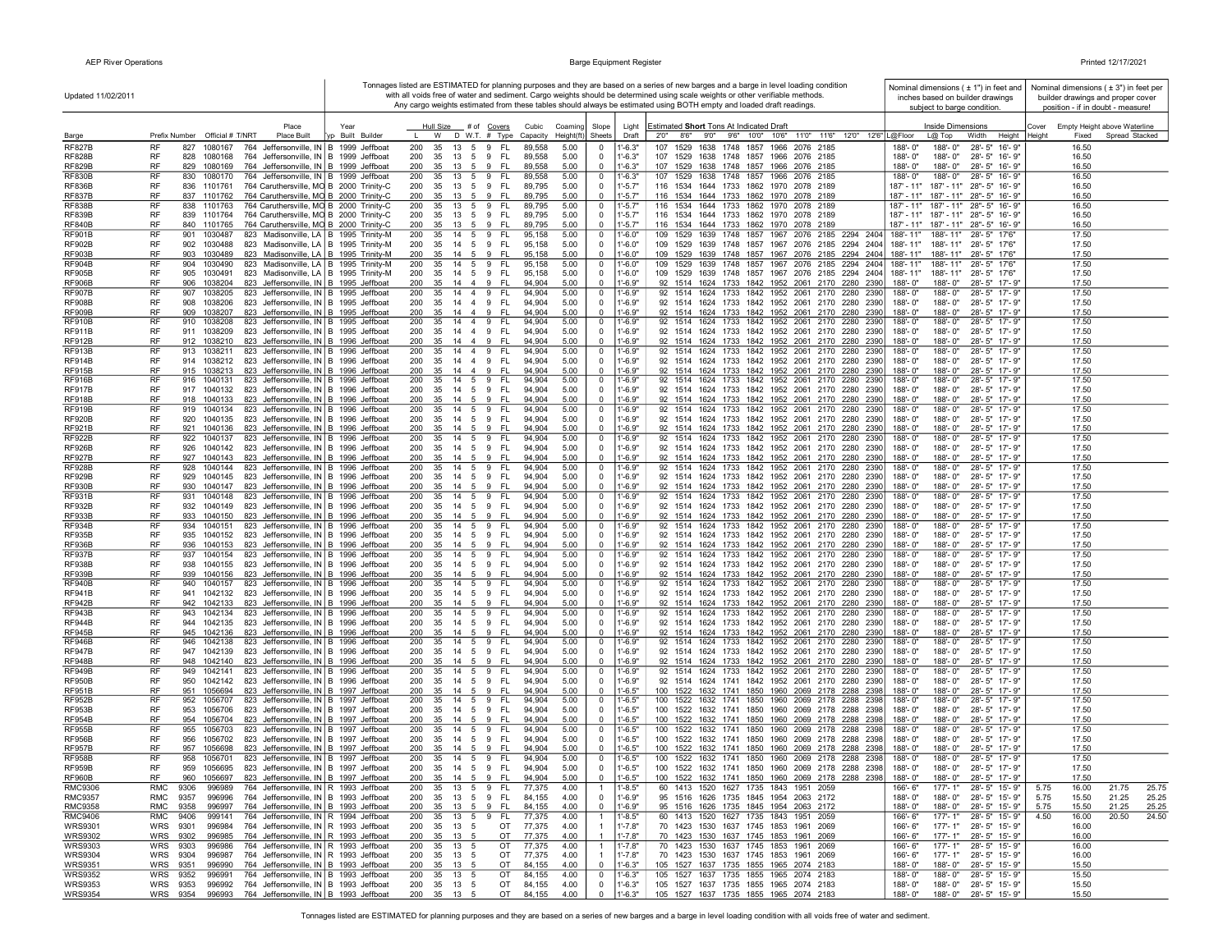| Updated 11/02/2011               |                                                                                                                                                |                         |                                                                                     |                                          |                            |                            | Tonnages listed are ESTIMATED for planning purposes and they are based on a series of new barges and a barge in level loading condition<br>with all voids free of water and sediment. Cargo weights should be determined using scale weights or other verifiable methods. | Nominal dimensions $(± 1")$ in feet and<br>inches based on builder drawings        | Nominal dimensions $(±3")$ in feet per<br>builder drawings and proper cover |
|----------------------------------|------------------------------------------------------------------------------------------------------------------------------------------------|-------------------------|-------------------------------------------------------------------------------------|------------------------------------------|----------------------------|----------------------------|---------------------------------------------------------------------------------------------------------------------------------------------------------------------------------------------------------------------------------------------------------------------------|------------------------------------------------------------------------------------|-----------------------------------------------------------------------------|
|                                  |                                                                                                                                                |                         |                                                                                     |                                          |                            |                            | Any cargo weights estimated from these tables should always be estimated using BOTH empty and loaded draft readings.                                                                                                                                                      | subject to barge condition.                                                        | position - if in doubt - measure!                                           |
|                                  | Place<br>Prefix Number Official # T/NRT<br><b>Place Built</b>                                                                                  | Year<br>p Built Builder | Hull Size # of Covers<br>W D W.T. # Type                                            | Cubic<br>Coaming                         | Slope<br>Sheets            | Light<br>Draft             | Estimated Short Tons At Indicated Draft<br>2'0" 8'6" 9'0" 9'6" 10'0" 10'6" 11'0" 11'6" 12'0" 12'6" L@Floor                                                                                                                                                                | Inside Dimensions<br>$L(\overline{\omega})$ Top<br>Height                          | Empty Height above Waterline<br>Cover<br>Spread Stacked<br>Heiaht<br>Fixed  |
| Barge<br><b>RF827B</b>           | RF<br>827<br>1080167<br>764 Jeffersonville, IN B 1999 Jeffboat                                                                                 |                         | 200<br>35<br>13<br>$5\overline{5}$<br>- FL<br>9                                     | Height(ft)<br>Capacity<br>89,558<br>5.00 | - 0                        | $1' - 6.3"$                | 1529<br>1638 1748 1857 1966 2076 2185<br>107                                                                                                                                                                                                                              | Width<br>188'-0"<br>188'-0"<br>28'-5" 16'-9"                                       | 16.50                                                                       |
| <b>RF828B</b>                    | <b>RF</b><br>828<br>1080168<br>764 Jeffersonville, IN B 1999 Jeffboat                                                                          |                         | 200<br>35<br>13 5 9 FL                                                              | 89,558<br>5.00                           | $\Omega$                   | $1' - 6.3"$                | 107 1529 1638 1748 1857 1966 2076 2185                                                                                                                                                                                                                                    | 188'-0"<br>188'-0"<br>28'-5" 16'-9"                                                | 16.50                                                                       |
| <b>RF829B</b>                    | <b>RF</b><br>829 1080169<br>764 Jeffersonville, IN B 1999 Jeffboat<br>764 Jeffersonville, IN B 1999 Jeffboat                                   |                         | 200<br>35<br>13 5 9 FL<br>35 13 5 9 FL                                              | 89,558<br>5.00                           | $\mathbf{0}$               | $1' - 6.3"$                | 107 1529 1638 1748 1857 1966 2076 2185<br>107 1529 1638 1748 1857 1966 2076 2185                                                                                                                                                                                          | 188'-0"<br>188'-0" 28'-5" 16'-9"<br>$188 - 0$ "                                    | 16.50                                                                       |
| <b>RF830B</b><br><b>RF836B</b>   | RF<br>830 1080170<br>RF<br>836 1101761<br>764 Caruthersville, MO B 2000 Trinity-C                                                              |                         | 200<br>35 13 5 9 FL<br>200                                                          | 89,558<br>5.00<br>5.00<br>89,795         | $\mathbf 0$<br>$\mathbf 0$ | $1' - 6.3"$<br>$1' - 5.7"$ | 116 1534 1644 1733 1862 1970 2078 2189                                                                                                                                                                                                                                    | 188'-0"<br>28'-5" 16'-9"<br>187' - 11" 187' - 11" 28" - 5" 16' - 9"                | 16.50<br>16.50                                                              |
| <b>RF837B</b>                    | RF<br>837 1101762<br>764 Caruthersville, MO B 2000 Trinity-C                                                                                   |                         | 200 35 13 5 9 FL                                                                    | 5.00<br>89,795                           | $\mathbf 0$                | $1' - 5.7"$                | 116 1534 1644 1733 1862 1970 2078 2189                                                                                                                                                                                                                                    | 187' - 11" 187' - 11" 28" - 5" 16' - 9"                                            | 16.50                                                                       |
| <b>RF838B</b><br><b>RF839B</b>   | RF<br>838 1101763<br>764 Caruthersville, MO B 2000 Trinity-C<br>RF<br>839 1101764<br>764 Caruthersville, MO B 2000 Trinity-C                   |                         | 200<br>35 13 5 9 FL<br>35 13 5 9 FL<br>200                                          | 89,795<br>5.00<br>5.00<br>89,795         | 0<br>$^{\circ}$            | $1' - 5.7"$<br>$1' - 5.7"$ | 116 1534 1644 1733 1862 1970 2078 2189<br>116 1534 1644 1733 1862 1970 2078 2189                                                                                                                                                                                          | 187' - 11" 187' - 11" 28" - 5" 16' - 9"<br>187' - 11" 187' - 11" 28" - 5" 16' - 9" | 16.50<br>16.50                                                              |
| <b>RF840B</b>                    | RF<br>840 1101765<br>764 Caruthersville, MO B 2000 Trinity-C                                                                                   |                         | 200<br>35 13 5 9<br>- FL                                                            | 89,795<br>5.00                           | $\Omega$                   | $1' - 5.7"$                | 116 1534 1644 1733 1862 1970 2078 2189                                                                                                                                                                                                                                    | 187' - 11" 187' - 11" 28" - 5" 16' - 9"                                            | 16.50                                                                       |
| <b>RF901B</b>                    | 823 Madisonville, LA B 1995 Trinity-M<br>RF<br>901<br>1030487                                                                                  |                         | 200<br>35 14 5 9<br>FL.                                                             | 95,158<br>5.00                           | 0                          | $1' - 6.0"$                | 109 1529 1639 1748 1857 1967 2076 2185 2294 2404                                                                                                                                                                                                                          | 188'-11"<br>188'-11" 28'-5" 17'6"                                                  | 17.50                                                                       |
| <b>RF902B</b><br><b>RF903B</b>   | RF<br>823 Madisonville, LA   B 1995 Trinity-M<br>902<br>1030488<br>RF<br>823 Madisonville, LA   B 1995 Trinity-M<br>903<br>1030489             |                         | 35 14 5 9<br>200<br>- FL<br>9<br>FL<br>200<br>35<br>14 5                            | 95,158<br>5.00<br>5.00<br>95,158         | $^{\circ}$<br>$^{\circ}$   | $1' - 6.0"$<br>$1'-6.0"$   | 109 1529 1639 1748 1857 1967 2076 2185 2294 2404<br>109 1529 1639 1748 1857 1967 2076 2185 2294 2404                                                                                                                                                                      | 188'-11" 28'-5" 17'6"<br>188'-11"<br>188'-11"<br>188'-11" 28'-5" 17'6"             | 17.50<br>17.50                                                              |
| <b>RF904B</b>                    | RF<br>904<br>1030490<br>823 Madisonville, LA B 1995 Trinity-M                                                                                  |                         | 200<br>14 5<br>9<br>FL<br>35                                                        | 5.00<br>95,158                           | $^{\circ}$                 | $1' - 6.0"$                | 109 1529 1639 1748 1857 1967 2076 2185 2294 2404                                                                                                                                                                                                                          | 188'-11"<br>188'-11"<br>28'-5" 17'6"                                               | 17.50                                                                       |
| <b>RF905B</b>                    | RF<br>823 Madisonville, LA B 1995 Trinity-M<br>905 1030491                                                                                     |                         | 200<br>35 14 5 9<br>- FL                                                            | 5.00<br>95,158                           | $^{\circ}$                 | $1' - 6.0"$                | 109 1529 1639 1748 1857 1967 2076 2185 2294 2404                                                                                                                                                                                                                          | 188'-11" 28'-5" 17'6"<br>188'-11"                                                  | 17.50                                                                       |
| <b>RF906B</b><br><b>RF907B</b>   | <b>RF</b><br>906 1038204<br>823 Jeffersonville, IN B 1995 Jeffboat<br>RF<br>907<br>1038205<br>823 Jeffersonville, IN B 1995 Jeffboat           |                         | 200<br>35 14 4 9 FL<br>FL.<br>200<br>35 14 4 9                                      | 94.904<br>5.00<br>94,904<br>5.00         | $\mathbf{0}$<br>0          | $1' - 6.9"$<br>1'-6.9"     | 92 1514 1624 1733 1842 1952 2061 2170 2280 2390<br>92 1514 1624 1733 1842 1952 2061 2170 2280 2390                                                                                                                                                                        | 188'-0"<br>188'-0" 28'-5" 17'-9"<br>188'-0"<br>188'-0"<br>28'-5" 17'-9"            | 17.50<br>17.50                                                              |
| <b>RF908B</b>                    | RF<br>908<br>1038206<br>823 Jeffersonville, IN B 1995 Jeffboat                                                                                 |                         | 200<br>35<br>14 4 9<br>- FL                                                         | 5.00<br>94,904                           | $^{\circ}$                 | $1' - 6.9"$                | 92 1514 1624 1733 1842 1952 2061 2170 2280 2390                                                                                                                                                                                                                           | 188'-0"<br>188'-0" 28'-5" 17'-9"                                                   | 17.50                                                                       |
| <b>RF909B</b>                    | RF<br>909<br>1038207<br>823 Jeffersonville, IN   B 1995 Jeffboat                                                                               |                         | 35 14 4 9<br>- FL<br>200                                                            | 5.00<br>94,904                           | $\Omega$                   | 1'-6.9"                    | 92 1514 1624 1733 1842 1952 2061 2170 2280 2390                                                                                                                                                                                                                           | 188'-0" 28'-5" 17'-9"<br>188'-0"                                                   | 17.50                                                                       |
| <b>RF910B</b><br><b>RF911B</b>   | RF<br>910 1038208<br>823 Jeffersonville, IN   B 1995 Jeffboat<br>RF<br>911 1038209<br>823 Jeffersonville, IN B 1995 Jeffboat                   |                         | 200<br>35 14 4 9<br>- FL<br>200<br>35 14 4 9 FL                                     | 94,904<br>5.00<br>94,904<br>5.00         | $\mathbf 0$<br>$^{\circ}$  | 1'-6.9"<br>1'-6.9"         | 92 1514 1624 1733 1842 1952 2061 2170 2280 2390<br>92 1514 1624 1733 1842 1952 2061 2170 2280 2390                                                                                                                                                                        | 188'-0"<br>188'-0"<br>28'-5" 17'-9"<br>188'-0" 28'-5" 17'-9"<br>188'-0"            | 17.50<br>17.50                                                              |
| <b>RF912B</b>                    | RF<br>912 1038210<br>823 Jeffersonville, IN B 1996 Jeffboat                                                                                    |                         | 200<br>35<br>14 4 9<br>- FL                                                         | 94,904<br>5.00                           | $\Omega$                   | 1'-6.9"                    | 92 1514 1624 1733 1842 1952 2061 2170 2280 2390                                                                                                                                                                                                                           | 188'-0"<br>188'-0"<br>28'-5" 17'-9"                                                | 17.50                                                                       |
| <b>RF913B</b>                    | RF<br>913<br>823 Jeffersonville, IN B 1996 Jeffboat<br>1038211                                                                                 |                         | - FL<br>200<br>35<br>14 4 9                                                         | 94,904<br>5.00                           | $^{\circ}$                 | 1'-6.9"                    | 92 1514 1624 1733 1842 1952 2061 2170 2280 2390                                                                                                                                                                                                                           | 188'-0"<br>28'-5" 17'-9"<br>$188 - 0'$                                             | 17.50                                                                       |
| <b>RF914B</b><br><b>RF915B</b>   | RF<br>914 1038212<br>823 Jeffersonville, IN   B 1996 Jeffboat<br>RF<br>1038213<br>823 Jeffersonville, IN B 1996 Jeffboat<br>915                |                         | 200<br>35<br>14 4 9<br>- FL<br>9<br>200<br>35<br>14<br>$\overline{4}$<br>-FL        | 94,904<br>5.00<br>94,904<br>5.00         | 0<br>$\Omega$              | 1'-6.9"<br>$1' - 6.9"$     | 92 1514 1624 1733 1842 1952 2061 2170 2280 2390<br>92 1514 1624 1733 1842 1952 2061 2170 2280 2390                                                                                                                                                                        | 28'-5" 17'-9"<br>188'-0"<br>188'-0"<br>28'-5" 17'-9"<br>188'-0"<br>188'-0"         | 17.50<br>17.50                                                              |
| <b>RF916B</b>                    | RF<br>916<br>1040131<br>823 Jeffersonville, IN   B 1996 Jeffboat                                                                               |                         | 200<br>35<br>14 5 9<br>- FL                                                         | 94,904<br>5.00                           | $^{\circ}$                 | 1'-6.9"                    | 92 1514 1624 1733 1842 1952 2061 2170 2280 2390                                                                                                                                                                                                                           | 28'-5" 17'-9"<br>188'-0"<br>188'-0"                                                | 17.50                                                                       |
| <b>RF917B</b><br><b>RF918B</b>   | RF<br>917 1040132<br>823 Jeffersonville, IN B 1996 Jeffboat<br><b>RF</b><br>918 1040133<br>823 Jeffersonville, IN B 1996 Jeffboat              |                         | 200<br>35<br>14   5   9   FL<br>200<br>35<br>14 5 9 FL                              | 94,904<br>5.00<br>94.904<br>5.00         | $\mathbf 0$<br>$\Omega$    | 1'-6.9"<br>$1' - 6.9"$     | 92 1514 1624 1733 1842 1952 2061 2170 2280 2390<br>92 1514 1624 1733 1842 1952 2061 2170 2280 2390                                                                                                                                                                        | 188'-0"<br>28'-5" 17'-9"<br>188'-0"<br>188'-0"<br>188'-0"<br>28'-5" 17'-9"         | 17.50<br>17.50                                                              |
| <b>RF919B</b>                    | <b>RF</b><br>919<br>1040134<br>823 Jeffersonville, IN B 1996 Jeffboat                                                                          |                         | 200<br>35<br>14 5 9<br>- FL                                                         | 94,904<br>5.00                           | $\mathbf 0$                | 1'-6.9"                    | 92 1514 1624 1733 1842 1952 2061 2170 2280 2390                                                                                                                                                                                                                           | 188'-0"<br>188'-0"<br>28'-5" 17'-9"                                                | 17.50                                                                       |
| <b>RF920B</b>                    | RF<br>920 1040135<br>823 Jeffersonville, IN B 1996 Jeffboat                                                                                    |                         | 200<br>14 5 9<br>- FL<br>- 35                                                       | 5.00<br>94,904                           | $\Omega$                   | $1' - 6.9"$                | 92 1514 1624 1733 1842 1952 2061 2170 2280 2390                                                                                                                                                                                                                           | 188'-0"<br>188'-0" 28'-5" 17'-9"                                                   | 17.50                                                                       |
| <b>RF921B</b><br><b>RF922B</b>   | RF<br>921 1040136<br>823 Jeffersonville, IN B 1996 Jeffboat<br>RF<br>922 1040137<br>823 Jeffersonville, IN B 1996 Jeffboat                     |                         | 35 14 5 9 FL<br>200<br>200<br>35 14 5 9 FL                                          | 5.00<br>94,904<br>94,904<br>5.00         | $\mathbf{0}$<br>0          | $1' - 6.9"$<br>1'-6.9"     | 92 1514 1624 1733 1842 1952 2061 2170 2280 2390<br>92 1514 1624 1733 1842 1952 2061 2170 2280 2390                                                                                                                                                                        | 188'-0"<br>188'-0" 28'-5" 17'-9"<br>188'-0"<br>28'-5" 17'-9"<br>188'-0"            | 17.50<br>17.50                                                              |
| <b>RF926B</b>                    | RF<br>926 1040142<br>823 Jeffersonville, IN B 1996 Jeffboat                                                                                    |                         | 200<br>35 14 5 9 FL                                                                 | 94,904<br>5.00                           | $\Omega$                   | 1'-6.9"                    | 92 1514 1624 1733 1842 1952 2061 2170 2280 2390                                                                                                                                                                                                                           | 188'-0"<br>188'-0" 28'-5" 17'-9"                                                   | 17.50                                                                       |
| <b>RF927B</b>                    | RF<br>927 1040143<br>823 Jeffersonville, IN B 1996 Jeffboat                                                                                    |                         | 35 14 5<br>9<br>- FL<br>200                                                         | 94,904<br>5.00                           | $\Omega$                   | 1'-6.9"                    | 92 1514 1624 1733 1842 1952 2061 2170 2280 2390                                                                                                                                                                                                                           | 188'-0"<br>28'-5" 17'-9"<br>$188 - 0'$                                             | 17.50                                                                       |
| <b>RF928B</b><br><b>RF929B</b>   | RF<br>928<br>1040144<br>823 Jeffersonville, IN B 1996 Jeffboat<br>823 Jeffersonville, IN B 1996 Jeffboat<br>RF<br>1040145<br>929               |                         | 200<br>35<br>14 5<br>9<br>- FL<br>200<br>35<br>14 5 9<br>- FL                       | 94,904<br>5.00<br>94,904<br>5.00         | $\mathbf 0$<br>$^{\circ}$  | 1'-6.9"<br>$1' - 6.9"$     | 92 1514 1624 1733 1842 1952 2061 2170 2280 2390<br>92 1514 1624 1733 1842 1952 2061 2170 2280 2390                                                                                                                                                                        | 188'-0"<br>188'-0"<br>28'-5" 17'-9"<br>188'-0"<br>188'-0"<br>28'-5" 17'-9"         | 17.50<br>17.50                                                              |
| <b>RF930B</b>                    | 823 Jeffersonville, IN B 1996 Jeffboat<br>RF<br>930<br>1040147                                                                                 |                         | 9<br>- FL<br>200<br>35<br>14<br>5                                                   | 94,904<br>5.00                           | $\mathbf 0$                | $1' - 6.9"$                | 92 1514 1624 1733 1842 1952 2061 2170 2280 2390                                                                                                                                                                                                                           | 28'-5" 17'-9"<br>188'-0"<br>188'-0"                                                | 17.50                                                                       |
| <b>RF931B</b>                    | RF<br>931<br>1040148<br>823 Jeffersonville, IN B 1996 Jeffboat                                                                                 |                         | 200<br>14 5<br>9<br>FL.<br>35                                                       | 94,904<br>5.00                           | $^{\circ}$                 | 1'-6.9"                    | 92 1514 1624 1733 1842 1952 2061 2170 2280 2390                                                                                                                                                                                                                           | 28'-5" 17'-9"<br>188'-0"<br>188'-0"                                                | 17.50                                                                       |
| <b>RF932B</b><br><b>RF933B</b>   | RF<br>932<br>823 Jeffersonville, IN B 1996 Jeffboat<br>1040149<br>RF<br>933<br>823 Jeffersonville, IN B 1996 Jeffboat<br>1040150               |                         | 200<br>35<br>14 5<br>9<br>-FL<br>200<br>35<br>14 5<br>9<br>- FL                     | 94,904<br>5.00<br>5.00<br>94,904         | $^{\circ}$<br>$\Omega$     | 1'-6.9"<br>1'-6.9"         | 92 1514 1624 1733 1842 1952 2061 2170 2280 2390<br>92 1514 1624 1733 1842 1952 2061 2170 2280 2390                                                                                                                                                                        | 188'-0"<br>188'-0"<br>28'-5" 17'-9"<br>28'-5" 17'-9"<br>$188 - 0'$<br>188'-0"      | 17.50<br>17.50                                                              |
| <b>RF934B</b>                    | <b>RF</b><br>934<br>1040151<br>823 Jeffersonville, IN B 1996 Jeffboat                                                                          |                         | 200<br>35<br>14 5<br>9<br>FL.                                                       | 94,904<br>5.00                           | $^{\circ}$                 | $1' - 6.9'$                | 92 1514 1624 1733 1842 1952 2061 2170 2280 2390                                                                                                                                                                                                                           | 188'-0"<br>188'-0"<br>28'-5" 17'-9"                                                | 17.50                                                                       |
| <b>RF935B</b><br><b>RF936B</b>   | <b>RF</b><br>935<br>1040152<br>823 Jeffersonville, IN B 1996 Jeffboat<br>RF<br>1040153<br>936<br>823 Jeffersonville, IN   B 1996 Jeffboat      |                         | 200<br>- FL<br>- 35<br>14 5 9<br>200<br>35 14 5 9 FL                                | 94,904<br>5.00<br>5.00<br>94,904         | $^{\circ}$<br>$\mathbf{0}$ | $1' - 6.9"$<br>$1' - 6.9"$ | 92 1514 1624 1733 1842 1952 2061 2170 2280 2390<br>92 1514 1624 1733 1842 1952 2061 2170 2280 2390                                                                                                                                                                        | 188'-0"<br>188'-0" 28'-5" 17'-9"<br>188'-0" 28'-5" 17'-9"<br>188'-0"               | 17.50<br>17.50                                                              |
| <b>RF937B</b>                    | RF<br>937<br>1040154<br>823 Jeffersonville, IN   B 1996 Jeffboat                                                                               |                         | - FL<br>200<br>35 14 5 9                                                            | 94,904<br>5.00                           | $^{\circ}$                 | 1'-6.9"                    | 92 1514 1624 1733 1842 1952 2061 2170 2280 2390                                                                                                                                                                                                                           | 28'-5" 17'-9"<br>188'-0"<br>188'-0"                                                | 17.50                                                                       |
| RF938B                           | RF<br>938<br>1040155<br>823 Jeffersonville, IN   B 1996 Jeffboat                                                                               |                         | 200<br>35<br>14 5 9<br>- FL                                                         | 94,904<br>5.00                           | $^{\circ}$                 | $1' - 6.9"$                | 92 1514 1624 1733 1842 1952 2061 2170 2280 2390                                                                                                                                                                                                                           | 188'-0"<br>188'-0" 28'-5" 17'-9"                                                   | 17.50                                                                       |
| <b>RF939B</b><br><b>RF940B</b>   | RF<br>939 1040156<br>823 Jeffersonville, IN B 1996 Jeffboat<br>RF<br>940<br>1040157<br>823 Jeffersonville, IN B 1996 Jeffboat                  |                         | 35 14 5 9 FL<br>200<br>200<br>35<br>14 5 9<br>- FL                                  | 94,904<br>5.00<br>94,904<br>5.00         | $\Omega$<br>$\Omega$       | 1'-6.9"<br>1'-6.9"         | 92 1514 1624 1733 1842 1952 2061 2170 2280 2390<br>92 1514 1624 1733 1842 1952 2061 2170 2280 2390                                                                                                                                                                        | 188'-0" 28'-5" 17'-9"<br>188'-0"<br>188'-0"<br>188'-0"<br>28'-5" 17'-9"            | 17.50<br>17.50                                                              |
| <b>RF941B</b>                    | RF<br>941 1042132<br>823 Jeffersonville, IN B 1996 Jeffboat                                                                                    |                         | 200<br>35<br>14   5   9   FL                                                        | 94,904<br>5.00                           | $\Omega$                   | $1' - 6.9"$                | 92 1514 1624 1733 1842 1952 2061 2170 2280 2390                                                                                                                                                                                                                           | 188'-0" 28'-5" 17'-9"<br>$188 - 0$ "                                               | 17.50                                                                       |
| <b>RF942B</b>                    | RF<br>942 1042133<br>823 Jeffersonville, IN B 1996 Jeffboat                                                                                    |                         | 200<br>35<br>14 5 9<br>- FL                                                         | 94,904<br>5.00                           | $\Omega$                   | $1' - 6.9"$                | 92 1514 1624 1733 1842 1952 2061 2170 2280 2390                                                                                                                                                                                                                           | 28'-5" 17'-9"<br>188'-0"<br>188'-0"                                                | 17.50                                                                       |
| <b>RF943B</b><br><b>RF944B</b>   | RF<br>943<br>823 Jeffersonville, IN B 1996 Jeffboat<br>1042134<br>RF<br>944<br>1042135<br>823 Jeffersonville, IN   B 1996 Jeffboat             |                         | 200<br>35<br>14<br>5<br>9<br>-FL<br>200<br>35<br>14<br>$5\overline{5}$<br>9<br>- FL | 94,904<br>5.00<br>94,904<br>5.00         | $^{\circ}$<br>$^{\circ}$   | 1'-6.9"<br>1'-6.9"         | 92 1514 1624 1733 1842 1952 2061 2170 2280 2390<br>92 1514 1624 1733 1842 1952 2061 2170 2280 2390                                                                                                                                                                        | 28'-5" 17'-9"<br>188'-0"<br>188'-0"<br>188'-0"<br>188'-0"<br>28'-5" 17'-9"         | 17.50<br>17.50                                                              |
| <b>RF945B</b>                    | RF<br>945<br>1042136<br>823 Jeffersonville, IN B 1996 Jeffboat                                                                                 |                         | 200<br>35<br>9 FL<br>14 5                                                           | 94,904<br>5.00                           | $\Omega$                   | 1'-6.9"                    | 92 1514 1624 1733 1842 1952 2061 2170 2280 2390                                                                                                                                                                                                                           | 188'-0"<br>188'-0"<br>28'-5" 17'-9"                                                | 17.50                                                                       |
| <b>RF946B</b><br><b>RF947B</b>   | <b>RF</b><br>946<br>1042138<br>823 Jeffersonville, IN B 1996 Jeffboat<br><b>RF</b><br>947<br>1042139<br>823 Jeffersonville, IN B 1996 Jeffboat |                         | 200<br>35<br>14 5<br>9<br>-FL<br>200<br>35 14 5 9 FL                                | 94,904<br>5.00<br>94,904<br>5.00         | $\Omega$<br>$\Omega$       | 1'-6.9"<br>1'-6.9"         | 92 1514 1624 1733 1842 1952 2061 2170 2280 2390<br>92 1514 1624 1733 1842 1952 2061 2170 2280 2390                                                                                                                                                                        | 188'-0"<br>188'-0"<br>28'-5" 17'-9"<br>188'-0"<br>188'-0" 28'-5" 17'-9"            | 17.50<br>17.50                                                              |
| <b>RF948B</b>                    | <b>RF</b><br>948 1042140<br>823 Jeffersonville, IN B 1996 Jeffboat                                                                             |                         | 35 14 5 9 FL<br>200                                                                 | 5.00<br>94,904                           | $\Omega$                   | $1' - 6.9"$                | 92 1514 1624 1733 1842 1952 2061 2170 2280 2390                                                                                                                                                                                                                           | 188'-0"<br>188'-0"<br>28'-5" 17'-9"                                                | 17.50                                                                       |
| <b>RF949B</b>                    | RF<br>949 1042141<br>823 Jeffersonville, IN   B 1996 Jeffboat                                                                                  |                         | 35 14 5 9 FL<br>200                                                                 | 94,904<br>5.00                           | $^{\circ}$                 | 1'-6.9"                    | 92 1514 1624 1733 1842 1952 2061 2170 2280 2390                                                                                                                                                                                                                           | 188'-0"<br>188'-0"<br>28'-5" 17'-9"                                                | 17.50                                                                       |
| <b>RF950B</b><br><b>RF951B</b>   | RF<br>950 1042142<br>823 Jeffersonville, IN   B 1996 Jeffboat<br>RF<br>951 1056694<br>823 Jeffersonville, IN B 1997 Jeffboat                   |                         | 35 14 5 9 FL<br>200<br>200<br>35 14 5<br>9<br>- FL                                  | 94,904<br>5.00<br>94,904<br>5.00         | $\mathbf 0$<br>$\Omega$    | $1' - 6.9"$<br>$1' - 6.5"$ | 92 1514 1624 1741 1842 1952 2061 2170 2280 2390<br>100 1522 1632 1741 1850 1960 2069 2178 2288 2398                                                                                                                                                                       | 188'-0"<br>188'-0" 28'-5" 17'-9"<br>188'-0"<br>188'-0" 28'-5" 17'-9"               | 17.50<br>17.50                                                              |
| <b>RF952B</b>                    | RF<br>952 1056707<br>823 Jeffersonville, IN B 1997 Jeffboat                                                                                    |                         | 35 14 5 9 FL<br>200                                                                 | 94,904<br>5.00                           | 0                          | 1'-6.5"                    | 100 1522 1632 1741 1850 1960 2069 2178 2288 2398                                                                                                                                                                                                                          | 28'-5" 17'-9"<br>188'-0"<br>188'-0"                                                | 17.50                                                                       |
| <b>RF953B</b>                    | RF<br>953 1056706<br>823 Jeffersonville, IN B 1997 Jeffboat                                                                                    |                         | 200<br>35 14 5 9 FL                                                                 | 94,904<br>5.00                           | $\Omega$<br>$\Omega$       | $1' - 6.5"$                | 100 1522 1632 1741 1850 1960 2069 2178 2288 2398                                                                                                                                                                                                                          | 188'-0" 28'-5" 17'-9"<br>$188 - 0$ "                                               | 17.50                                                                       |
| <b>RF954B</b><br><b>RF955B</b>   | RF<br>823 Jeffersonville, IN B 1997 Jeffboat<br>954 1056704<br>RF<br>955<br>823 Jeffersonville, IN B 1997 Jeffboat<br>1056703                  |                         | 200<br>9<br>- FL<br>35<br>14 5<br>200<br>- FL<br>35<br>14 5 9                       | 94,904<br>5.00<br>94,904<br>5.00         | $\mathbf 0$                | $1' - 6.5"$<br>$1' - 6.5"$ | 100 1522 1632 1741 1850 1960 2069 2178 2288 2398<br>100 1522 1632 1741 1850 1960 2069 2178 2288 2398                                                                                                                                                                      | 28'-5" 17'-9"<br>188'-0"<br>188'-0"<br>28'-5" 17'-9"<br>188'-0"<br>188'-0"         | 17.50<br>17.50                                                              |
| RF956B                           | RF<br>956<br>1056702<br>823 Jeffersonville, IN B 1997 Jeffboat                                                                                 |                         | 200<br>35 14 5 9<br>- FL                                                            | 94,904<br>5.00                           | $^{\circ}$                 | $1' - 6.5"$                | 100 1522 1632 1741 1850 1960 2069 2178 2288 2398                                                                                                                                                                                                                          | 188'-0"<br>188'-0"<br>28'-5" 17'-9"                                                | 17.50                                                                       |
| <b>RF957B</b><br><b>RF958B</b>   | <b>RF</b><br>957<br>823 Jeffersonville, IN B 1997 Jeffboat<br>1056698<br>823 Jeffersonville, IN B 1997 Jeffboat<br>RF<br>958<br>1056701        |                         | 200<br>35<br>14 5<br>9<br>- FL<br>200<br>35 14 5 9<br>- FL                          | 94.904<br>5.00<br>5.00<br>94,904         | $\Omega$<br>$^{\circ}$     | $1' - 6.5"$<br>$1' - 6.5'$ | 100 1522 1632 1741 1850 1960 2069 2178 2288 2398<br>100 1522 1632 1741 1850 1960 2069 2178 2288 2398                                                                                                                                                                      | 188'-0"<br>28'-5" 17'-9"<br>$188 - 0'$<br>188'-0"<br>28'-5" 17'-9"<br>188'-0"      | 17.50<br>17.50                                                              |
| <b>RF959B</b>                    | <b>RF</b><br>959 1056695 823 Jeffersonville, IN B 1997 Jeffboat                                                                                |                         | 200 35 14 5 9 FL                                                                    | 94,904<br>5.00                           | $\Omega$                   | $1' - 6.5"$                | 100 1522 1632 1741 1850 1960 2069 2178 2288 2398                                                                                                                                                                                                                          | 188'-0"<br>188'-0" 28'-5" 17'-9"                                                   | 17.50                                                                       |
| <b>RF960B</b>                    | RF<br>1056697 823 Jeffersonville, IN B 1997 Jeffboat<br>960                                                                                    |                         | 200 35 14 5 9 FL                                                                    | 5.00<br>94,904                           | $\Omega$                   | $1' - 6.5"$                | 100 1522 1632 1741 1850 1960 2069 2178 2288 2398                                                                                                                                                                                                                          | 188'-0"<br>188'-0" 28'-5" 17'-9"                                                   | 17.50                                                                       |
| <b>RMC9306</b><br><b>RMC9357</b> | RMC<br>9306<br>996989<br>764 Jeffersonville, IN   R 1993 Jeffboat<br>764 Jeffersonville, IN B 1993 Jeffboat<br>RMC<br>9357<br>996996           |                         | 200<br>35<br>13 5 9<br>- FL<br>200<br>- FL<br>- 35<br>13 5 9                        | 77,375<br>4.00<br>84,155<br>4.00         | -1<br>$\mathbf 0$          | 1'-8.5"<br>$1'-6.9"$       | 60 1413 1520 1627 1735 1843 1951 2059<br>95 1516 1626 1735 1845 1954 2063 2172                                                                                                                                                                                            | 166'- 6"<br>177'- 1"<br>28'-5" 15'-9"<br>188'-0"<br>188'-0" 28'-5" 15'-9"          | 25.75<br>5.75<br>16.00<br>21.75<br>21.25<br>25.25<br>5.75<br>15.50          |
| <b>RMC9358</b>                   | 764 Jeffersonville, IN   B 1993 Jeffboat<br>RMC<br>9358<br>996997                                                                              |                         | - FL<br>200<br>35<br>13 5 9                                                         | 4.00<br>84,155                           | $\mathbf 0$                | $1' - 6.9"$                | 95 1516 1626 1735 1845 1954 2063 2172                                                                                                                                                                                                                                     | 188'-0"<br>188'-0" 28'-5" 15'-9"                                                   | 25.25<br>5.75<br>15.50<br>21.25                                             |
| <b>RMC9406</b>                   | <b>RMC</b><br>9406<br>999141<br>764 Jeffersonville, IN R 1994 Jeffboat                                                                         |                         | 200<br>35<br>13 5 9<br>- FL                                                         | 77,375<br>4.00                           | $\overline{1}$             | $1' - 8.5"$                | 60 1413 1520 1627 1735 1843 1951 2059                                                                                                                                                                                                                                     | 177'-1" 28'-5" 15'-9"<br>166'-6"                                                   | 16.00<br>20.50<br>24.50<br>4.50                                             |
| <b>WRS9301</b><br><b>WRS9302</b> | 9301<br>996984<br>764 Jeffersonville, IN R 1993 Jeffboat<br>WRS<br>WRS<br>9302<br>996985<br>764 Jeffersonville, IN R 1993 Jeffboat             |                         | 200<br>35 13 5<br>OT<br>200<br>35<br>13<br>OT<br>5                                  | 77,375<br>4.00<br>77,375<br>4.00         |                            | $1' - 7.8"$<br>$1' - 7.8"$ | 70 1423 1530 1637 1745 1853 1961 2069<br>70 1423 1530 1637 1745 1853 1961 2069                                                                                                                                                                                            | 166'-6"<br>177'-1" 28'-5" 15'-9"<br>166'-6"<br>177'-1" 28'-5" 15'-9"               | 16.00<br>16.00                                                              |
| <b>WRS9303</b>                   | 764 Jeffersonville, IN R 1993 Jeffboat<br>9303<br>996986<br>WRS                                                                                |                         | 200<br>35 13 5<br>OT                                                                | 77,375<br>4.00                           | $\overline{1}$             | $1' - 7.8"$                | 70 1423 1530 1637 1745 1853 1961 2069                                                                                                                                                                                                                                     | 177'-1" 28'-5" 15'-9"<br>166'-6"                                                   | 16.00                                                                       |
| <b>WRS9304</b>                   | 764 Jeffersonville, IN R 1993 Jeffboat<br>WRS<br>9304<br>996987                                                                                |                         | 200<br>35 13 5<br>OT                                                                | 77,375<br>4.00                           |                            | $1' - 7.8"$                | 70 1423 1530 1637 1745 1853 1961 2069                                                                                                                                                                                                                                     | 166'-6"<br>177'-1" 28'-5" 15'-9"                                                   | 16.00                                                                       |
| <b>WRS9351</b><br><b>WRS9352</b> | 764 Jeffersonville, IN B 1993 Jeffboat<br>WRS<br>9351<br>996990<br>WRS<br>9352<br>996991<br>764 Jeffersonville, IN B 1993 Jeffboat             |                         | 200<br>35<br>13 5<br>OT<br>200<br>35 13 5<br>OT                                     | 4.00<br>84,155<br>84,155<br>4.00         | $^{\circ}$<br>$\mathbf 0$  | $1' - 6.3"$<br>$1' - 6.3"$ | 105 1527 1637 1735 1855 1965 2074 2183<br>105 1527 1637 1735 1855 1965 2074 2183                                                                                                                                                                                          | 188'-0"<br>188'-0"<br>28'-5" 15'-9"<br>188'-0"<br>188'-0"<br>28'-5" 15'-9"         | 15.50<br>15.50                                                              |
| <b>WRS9353</b>                   | 764 Jeffersonville, IN B 1993 Jeffboat<br>WRS 9353<br>996992                                                                                   |                         | 200 35 13 5<br>OT                                                                   | 84,155<br>4.00                           | $\mathbf{0}$               | $1' - 6.3"$                | 105 1527 1637 1735 1855 1965 2074 2183                                                                                                                                                                                                                                    | 188'-0"<br>188'-0" 28'-5" 15'-9"                                                   | 15.50                                                                       |
| <b>WRS9354</b>                   | WRS 9354 996993 764 Jeffersonville, IN B 1993 Jeffboat                                                                                         |                         | 200 35 13 5                                                                         | OT 84,155<br>4.00                        |                            | $0$ 1'-6.3"                | 105 1527 1637 1735 1855 1965 2074 2183                                                                                                                                                                                                                                    | 188'-0"<br>188'-0" 28'-5" 15'-9"                                                   | 15.50                                                                       |